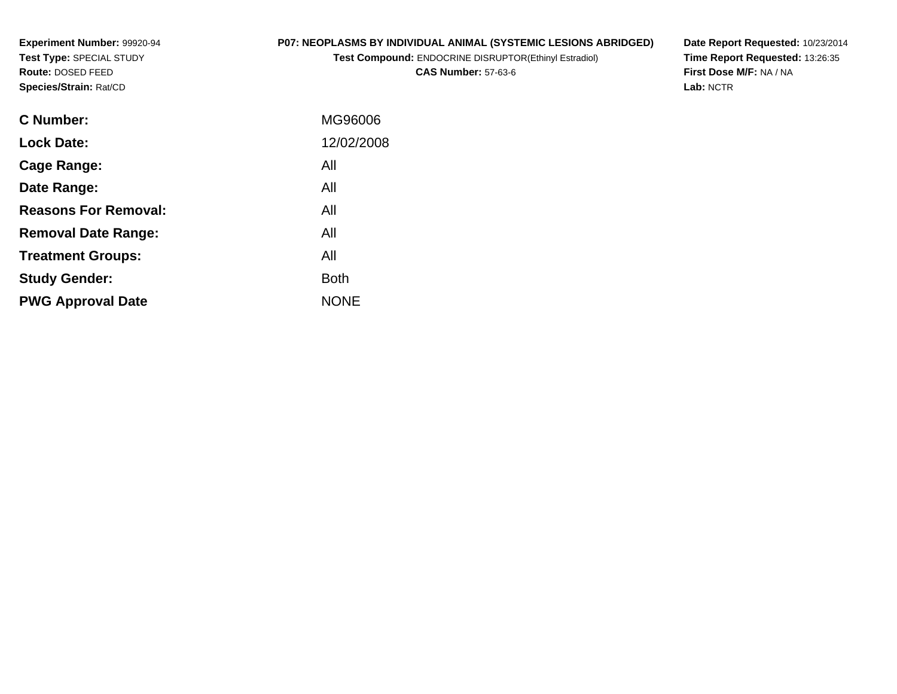**Experiment Number:** 99920-94**Test Type:** SPECIAL STUDY**Route:** DOSED FEED**Species/Strain:** Rat/CD

## **P07: NEOPLASMS BY INDIVIDUAL ANIMAL (SYSTEMIC LESIONS ABRIDGED)**

**Test Compound:** ENDOCRINE DISRUPTOR(Ethinyl Estradiol)

**CAS Number:** 57-63-6

**Date Report Requested:** 10/23/2014 **Time Report Requested:** 13:26:35**First Dose M/F:** NA / NA**Lab:** NCTR

| <b>C</b> Number:            | MG96006     |
|-----------------------------|-------------|
| <b>Lock Date:</b>           | 12/02/2008  |
| Cage Range:                 | All         |
| Date Range:                 | All         |
| <b>Reasons For Removal:</b> | All         |
| <b>Removal Date Range:</b>  | All         |
| <b>Treatment Groups:</b>    | All         |
| <b>Study Gender:</b>        | <b>Both</b> |
| <b>PWG Approval Date</b>    | <b>NONE</b> |
|                             |             |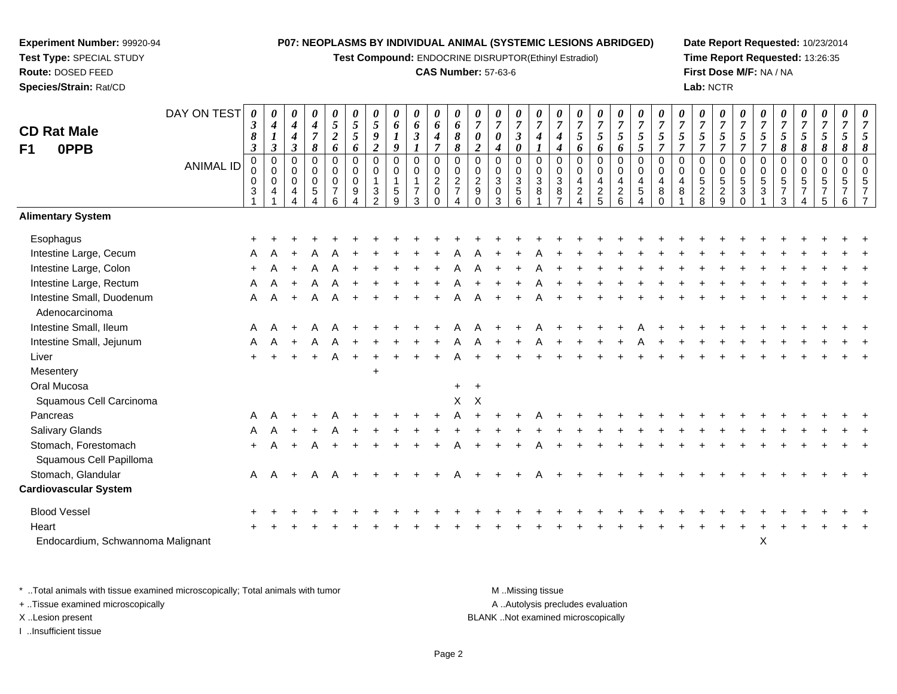**Test Compound:** ENDOCRINE DISRUPTOR(Ethinyl Estradiol)

#### **CAS Number:** 57-63-6

**Date Report Requested:** 10/23/2014**Time Report Requested:** 13:26:35**First Dose M/F:** NA / NA**Lab:** NCTR

| <b>CD Rat Male</b><br>0PPB<br>F1  | DAY ON TEST<br><b>ANIMAL ID</b> | 0<br>$\boldsymbol{\beta}$<br>8<br>$\boldsymbol{\beta}$<br>$\mathbf 0$<br>0<br>0<br>$\mathbf{3}$ | $\boldsymbol{\theta}$<br>$\boldsymbol{4}$<br>$\boldsymbol{l}$<br>$\mathfrak{z}$<br>$\pmb{0}$<br>$\mathbf 0$<br>$\mathbf 0$<br>4 | 0<br>$\boldsymbol{4}$<br>$\boldsymbol{4}$<br>3<br>0<br>0<br>$\mathsf 0$<br>4 | $\boldsymbol{\theta}$<br>$\boldsymbol{4}$<br>$\overline{7}$<br>$\pmb{8}$<br>$\pmb{0}$<br>$\mathbf 0$<br>$\mathbf 0$<br>$\sqrt{5}$ | 0<br>$\mathfrak{S}$<br>$\boldsymbol{2}$<br>6<br>$\pmb{0}$<br>$\mathbf 0$<br>$\pmb{0}$<br>$\overline{7}$<br>6 | $\boldsymbol{\theta}$<br>$\sqrt{5}$<br>$\sqrt{5}$<br>6<br>$\pmb{0}$<br>0<br>$\mathbf 0$<br>9 | 0<br>5<br>9<br>$\boldsymbol{2}$<br>$\pmb{0}$<br>$\mathbf 0$<br>3<br>$\mathcal{P}$ | $\boldsymbol{\theta}$<br>6<br>$\boldsymbol{l}$<br>9<br>$\mathbf 0$<br>0<br>$\overline{\mathbf{1}}$<br>$\sqrt{5}$<br>$\overline{9}$ | $\boldsymbol{\theta}$<br>6<br>$\boldsymbol{\beta}$<br>$\boldsymbol{l}$<br>$\mathbf 0$<br>$\mathbf 0$<br>$\mathbf{1}$<br>$\boldsymbol{7}$<br>$\mathbf{3}$ | $\boldsymbol{\theta}$<br>6<br>4<br>$\overline{7}$<br>$\mathbf 0$<br>$\mathbf 0$<br>$\boldsymbol{2}$<br>$\pmb{0}$<br>$\Omega$ | 0<br>6<br>8<br>8<br>$\mathbf 0$<br>$\mathbf 0$<br>$\overline{2}$<br>$\overline{7}$ | 0<br>$\overline{7}$<br>$\boldsymbol{\theta}$<br>$\boldsymbol{2}$<br>$\mathbf 0$<br>0<br>$\boldsymbol{2}$<br>$\boldsymbol{9}$<br>$\Omega$ | 0<br>$\overline{7}$<br>0<br>4<br>0<br>0<br>$\mathbf{3}$<br>$\mathbf 0$<br>3 | $\boldsymbol{\theta}$<br>$\overline{7}$<br>$\boldsymbol{\beta}$<br>$\boldsymbol{\theta}$<br>$\mathbf 0$<br>$\mathbf 0$<br>$\overline{3}$<br>$\sqrt{5}$<br>$6\phantom{1}$ | $\boldsymbol{\theta}$<br>$\overline{7}$<br>$\boldsymbol{4}$<br>$\mathbf 0$<br>0<br>$\mathbf{3}$<br>8 | $\boldsymbol{\theta}$<br>$\overline{7}$<br>4<br>$\boldsymbol{4}$<br>$\mathbf 0$<br>0<br>$\overline{3}$<br>8<br>$\overline{ }$ | $\pmb{\theta}$<br>$\overline{7}$<br>5<br>6<br>$\pmb{0}$<br>0<br>4<br>$\overline{2}$ | 0<br>$\overline{7}$<br>5<br>6<br>0<br>0<br>4<br>$rac{2}{5}$ | $\boldsymbol{\theta}$<br>$\overline{7}$<br>$\overline{5}$<br>6<br>$\pmb{0}$<br>$\mathbf 0$<br>$\overline{4}$<br>$\frac{2}{6}$ | 0<br>$\overline{7}$<br>$5\overline{)}$<br>5<br>$\mathbf 0$<br>$\mathbf 0$<br>4<br>$\sqrt{5}$ | 0<br>$\overline{7}$<br>5<br>$\overline{7}$<br>$\mathbf 0$<br>$\Omega$<br>4<br>8<br>$\Omega$ | 0<br>$\overline{7}$<br>$5\overline{)}$<br>$\overline{7}$<br>$\mathbf 0$<br>$\Omega$<br>4<br>8 | $\pmb{\theta}$<br>$\boldsymbol{7}$<br>$5\overline{)}$<br>$\overline{7}$<br>0<br>0<br>$\overline{5}$<br>$\frac{2}{8}$ | 0<br>$\boldsymbol{7}$<br>$\sqrt{5}$<br>$\overline{7}$<br>$\mathbf 0$<br>$\mathbf 0$<br>$\overline{5}$<br>$\frac{2}{9}$ | $\boldsymbol{\theta}$<br>$\overline{7}$<br>$\mathfrak{z}$<br>$\overline{7}$<br>$\mathbf 0$<br>0<br>$\sqrt{5}$<br>$\mathbf{3}$<br>$\Omega$ | $\boldsymbol{\theta}$<br>$\overline{7}$<br>5<br>$\overline{7}$<br>$\pmb{0}$<br>0<br>$\overline{5}$<br>$\mathbf{3}$ | $\pmb{\theta}$<br>$\overline{7}$<br>$\mathfrak{H}$<br>8<br>0<br>0<br>5<br>$\overline{7}$<br>3 | 0<br>$\boldsymbol{7}$<br>$\mathfrak{s}$<br>8<br>0<br>0<br>$\overline{5}$<br>$\overline{7}$ | $\boldsymbol{\theta}$<br>$\overline{7}$<br>$\mathfrak{s}$<br>$\pmb{8}$<br>$\pmb{0}$<br>$\mathbf 0$<br>$\overline{5}$<br>5 | $\boldsymbol{\theta}$<br>$\overline{7}$<br>$\mathfrak{s}$<br>$\pmb{8}$<br>$\mathbf 0$<br>$\mathbf 0$<br>5<br>$\overline{7}$<br>6 | $\boldsymbol{\theta}$<br>$\overline{7}$<br>5<br>8<br>$\mathbf 0$<br>$\Omega$<br>5 |
|-----------------------------------|---------------------------------|-------------------------------------------------------------------------------------------------|---------------------------------------------------------------------------------------------------------------------------------|------------------------------------------------------------------------------|-----------------------------------------------------------------------------------------------------------------------------------|--------------------------------------------------------------------------------------------------------------|----------------------------------------------------------------------------------------------|-----------------------------------------------------------------------------------|------------------------------------------------------------------------------------------------------------------------------------|----------------------------------------------------------------------------------------------------------------------------------------------------------|------------------------------------------------------------------------------------------------------------------------------|------------------------------------------------------------------------------------|------------------------------------------------------------------------------------------------------------------------------------------|-----------------------------------------------------------------------------|--------------------------------------------------------------------------------------------------------------------------------------------------------------------------|------------------------------------------------------------------------------------------------------|-------------------------------------------------------------------------------------------------------------------------------|-------------------------------------------------------------------------------------|-------------------------------------------------------------|-------------------------------------------------------------------------------------------------------------------------------|----------------------------------------------------------------------------------------------|---------------------------------------------------------------------------------------------|-----------------------------------------------------------------------------------------------|----------------------------------------------------------------------------------------------------------------------|------------------------------------------------------------------------------------------------------------------------|-------------------------------------------------------------------------------------------------------------------------------------------|--------------------------------------------------------------------------------------------------------------------|-----------------------------------------------------------------------------------------------|--------------------------------------------------------------------------------------------|---------------------------------------------------------------------------------------------------------------------------|----------------------------------------------------------------------------------------------------------------------------------|-----------------------------------------------------------------------------------|
| <b>Alimentary System</b>          |                                 |                                                                                                 |                                                                                                                                 |                                                                              |                                                                                                                                   |                                                                                                              |                                                                                              |                                                                                   |                                                                                                                                    |                                                                                                                                                          |                                                                                                                              |                                                                                    |                                                                                                                                          |                                                                             |                                                                                                                                                                          |                                                                                                      |                                                                                                                               |                                                                                     |                                                             |                                                                                                                               |                                                                                              |                                                                                             |                                                                                               |                                                                                                                      |                                                                                                                        |                                                                                                                                           |                                                                                                                    |                                                                                               |                                                                                            |                                                                                                                           |                                                                                                                                  |                                                                                   |
| Esophagus                         |                                 |                                                                                                 |                                                                                                                                 |                                                                              |                                                                                                                                   |                                                                                                              |                                                                                              |                                                                                   |                                                                                                                                    |                                                                                                                                                          |                                                                                                                              |                                                                                    |                                                                                                                                          |                                                                             |                                                                                                                                                                          |                                                                                                      |                                                                                                                               |                                                                                     |                                                             |                                                                                                                               |                                                                                              |                                                                                             |                                                                                               |                                                                                                                      |                                                                                                                        |                                                                                                                                           |                                                                                                                    |                                                                                               |                                                                                            |                                                                                                                           |                                                                                                                                  |                                                                                   |
| Intestine Large, Cecum            |                                 |                                                                                                 |                                                                                                                                 |                                                                              |                                                                                                                                   |                                                                                                              |                                                                                              |                                                                                   |                                                                                                                                    |                                                                                                                                                          |                                                                                                                              |                                                                                    |                                                                                                                                          |                                                                             |                                                                                                                                                                          |                                                                                                      |                                                                                                                               |                                                                                     |                                                             |                                                                                                                               |                                                                                              |                                                                                             |                                                                                               |                                                                                                                      |                                                                                                                        |                                                                                                                                           |                                                                                                                    |                                                                                               |                                                                                            |                                                                                                                           |                                                                                                                                  |                                                                                   |
| Intestine Large, Colon            |                                 |                                                                                                 |                                                                                                                                 |                                                                              |                                                                                                                                   |                                                                                                              |                                                                                              |                                                                                   |                                                                                                                                    |                                                                                                                                                          |                                                                                                                              |                                                                                    |                                                                                                                                          |                                                                             |                                                                                                                                                                          |                                                                                                      |                                                                                                                               |                                                                                     |                                                             |                                                                                                                               |                                                                                              |                                                                                             |                                                                                               |                                                                                                                      |                                                                                                                        |                                                                                                                                           |                                                                                                                    |                                                                                               |                                                                                            |                                                                                                                           |                                                                                                                                  |                                                                                   |
| Intestine Large, Rectum           |                                 | A                                                                                               |                                                                                                                                 | $\ddot{+}$                                                                   | A                                                                                                                                 |                                                                                                              |                                                                                              |                                                                                   |                                                                                                                                    |                                                                                                                                                          |                                                                                                                              |                                                                                    |                                                                                                                                          |                                                                             |                                                                                                                                                                          |                                                                                                      |                                                                                                                               |                                                                                     |                                                             |                                                                                                                               |                                                                                              |                                                                                             |                                                                                               |                                                                                                                      |                                                                                                                        |                                                                                                                                           |                                                                                                                    |                                                                                               |                                                                                            |                                                                                                                           |                                                                                                                                  |                                                                                   |
| Intestine Small, Duodenum         |                                 | A                                                                                               | A                                                                                                                               | $+$                                                                          | A                                                                                                                                 | A                                                                                                            |                                                                                              |                                                                                   |                                                                                                                                    |                                                                                                                                                          |                                                                                                                              |                                                                                    |                                                                                                                                          |                                                                             |                                                                                                                                                                          |                                                                                                      |                                                                                                                               |                                                                                     |                                                             |                                                                                                                               |                                                                                              |                                                                                             |                                                                                               |                                                                                                                      |                                                                                                                        |                                                                                                                                           |                                                                                                                    |                                                                                               |                                                                                            |                                                                                                                           |                                                                                                                                  |                                                                                   |
| Adenocarcinoma                    |                                 |                                                                                                 |                                                                                                                                 |                                                                              |                                                                                                                                   |                                                                                                              |                                                                                              |                                                                                   |                                                                                                                                    |                                                                                                                                                          |                                                                                                                              |                                                                                    |                                                                                                                                          |                                                                             |                                                                                                                                                                          |                                                                                                      |                                                                                                                               |                                                                                     |                                                             |                                                                                                                               |                                                                                              |                                                                                             |                                                                                               |                                                                                                                      |                                                                                                                        |                                                                                                                                           |                                                                                                                    |                                                                                               |                                                                                            |                                                                                                                           |                                                                                                                                  |                                                                                   |
| Intestine Small, Ileum            |                                 | A                                                                                               | A                                                                                                                               |                                                                              |                                                                                                                                   |                                                                                                              |                                                                                              |                                                                                   |                                                                                                                                    |                                                                                                                                                          |                                                                                                                              |                                                                                    |                                                                                                                                          |                                                                             |                                                                                                                                                                          |                                                                                                      |                                                                                                                               |                                                                                     |                                                             |                                                                                                                               |                                                                                              |                                                                                             |                                                                                               |                                                                                                                      |                                                                                                                        |                                                                                                                                           |                                                                                                                    |                                                                                               |                                                                                            |                                                                                                                           |                                                                                                                                  |                                                                                   |
| Intestine Small, Jejunum          |                                 | A                                                                                               |                                                                                                                                 | $\ddot{}$                                                                    | A                                                                                                                                 | A                                                                                                            |                                                                                              |                                                                                   |                                                                                                                                    |                                                                                                                                                          |                                                                                                                              |                                                                                    |                                                                                                                                          |                                                                             |                                                                                                                                                                          |                                                                                                      |                                                                                                                               |                                                                                     |                                                             |                                                                                                                               |                                                                                              |                                                                                             |                                                                                               |                                                                                                                      |                                                                                                                        |                                                                                                                                           |                                                                                                                    |                                                                                               |                                                                                            |                                                                                                                           |                                                                                                                                  |                                                                                   |
| Liver                             |                                 | $+$                                                                                             |                                                                                                                                 | $\ddot{+}$                                                                   | $+$                                                                                                                               | A                                                                                                            | $+$                                                                                          | $\overline{1}$                                                                    |                                                                                                                                    |                                                                                                                                                          |                                                                                                                              | А                                                                                  |                                                                                                                                          |                                                                             |                                                                                                                                                                          |                                                                                                      |                                                                                                                               |                                                                                     |                                                             |                                                                                                                               |                                                                                              |                                                                                             |                                                                                               |                                                                                                                      |                                                                                                                        |                                                                                                                                           |                                                                                                                    |                                                                                               |                                                                                            |                                                                                                                           |                                                                                                                                  |                                                                                   |
| Mesentery                         |                                 |                                                                                                 |                                                                                                                                 |                                                                              |                                                                                                                                   |                                                                                                              |                                                                                              | $\ddot{}$                                                                         |                                                                                                                                    |                                                                                                                                                          |                                                                                                                              |                                                                                    |                                                                                                                                          |                                                                             |                                                                                                                                                                          |                                                                                                      |                                                                                                                               |                                                                                     |                                                             |                                                                                                                               |                                                                                              |                                                                                             |                                                                                               |                                                                                                                      |                                                                                                                        |                                                                                                                                           |                                                                                                                    |                                                                                               |                                                                                            |                                                                                                                           |                                                                                                                                  |                                                                                   |
| Oral Mucosa                       |                                 |                                                                                                 |                                                                                                                                 |                                                                              |                                                                                                                                   |                                                                                                              |                                                                                              |                                                                                   |                                                                                                                                    |                                                                                                                                                          |                                                                                                                              | $+$                                                                                | $+$                                                                                                                                      |                                                                             |                                                                                                                                                                          |                                                                                                      |                                                                                                                               |                                                                                     |                                                             |                                                                                                                               |                                                                                              |                                                                                             |                                                                                               |                                                                                                                      |                                                                                                                        |                                                                                                                                           |                                                                                                                    |                                                                                               |                                                                                            |                                                                                                                           |                                                                                                                                  |                                                                                   |
| Squamous Cell Carcinoma           |                                 |                                                                                                 |                                                                                                                                 |                                                                              |                                                                                                                                   |                                                                                                              |                                                                                              |                                                                                   |                                                                                                                                    |                                                                                                                                                          |                                                                                                                              | X                                                                                  | $\mathsf{X}$                                                                                                                             |                                                                             |                                                                                                                                                                          |                                                                                                      |                                                                                                                               |                                                                                     |                                                             |                                                                                                                               |                                                                                              |                                                                                             |                                                                                               |                                                                                                                      |                                                                                                                        |                                                                                                                                           |                                                                                                                    |                                                                                               |                                                                                            |                                                                                                                           |                                                                                                                                  |                                                                                   |
| Pancreas                          |                                 | A                                                                                               |                                                                                                                                 |                                                                              |                                                                                                                                   |                                                                                                              |                                                                                              |                                                                                   |                                                                                                                                    |                                                                                                                                                          |                                                                                                                              |                                                                                    |                                                                                                                                          |                                                                             |                                                                                                                                                                          |                                                                                                      |                                                                                                                               |                                                                                     |                                                             |                                                                                                                               |                                                                                              |                                                                                             |                                                                                               |                                                                                                                      |                                                                                                                        |                                                                                                                                           |                                                                                                                    |                                                                                               |                                                                                            |                                                                                                                           |                                                                                                                                  |                                                                                   |
| <b>Salivary Glands</b>            |                                 | A                                                                                               |                                                                                                                                 |                                                                              |                                                                                                                                   |                                                                                                              |                                                                                              |                                                                                   |                                                                                                                                    |                                                                                                                                                          |                                                                                                                              |                                                                                    |                                                                                                                                          |                                                                             |                                                                                                                                                                          |                                                                                                      |                                                                                                                               |                                                                                     |                                                             |                                                                                                                               |                                                                                              |                                                                                             |                                                                                               |                                                                                                                      |                                                                                                                        |                                                                                                                                           |                                                                                                                    |                                                                                               |                                                                                            |                                                                                                                           |                                                                                                                                  |                                                                                   |
| Stomach, Forestomach              |                                 | $+$                                                                                             | A                                                                                                                               | $\ddot{}$                                                                    |                                                                                                                                   |                                                                                                              |                                                                                              |                                                                                   |                                                                                                                                    |                                                                                                                                                          |                                                                                                                              |                                                                                    |                                                                                                                                          |                                                                             |                                                                                                                                                                          |                                                                                                      |                                                                                                                               |                                                                                     |                                                             |                                                                                                                               |                                                                                              |                                                                                             |                                                                                               |                                                                                                                      |                                                                                                                        |                                                                                                                                           |                                                                                                                    |                                                                                               |                                                                                            |                                                                                                                           |                                                                                                                                  |                                                                                   |
| Squamous Cell Papilloma           |                                 |                                                                                                 |                                                                                                                                 |                                                                              | A                                                                                                                                 |                                                                                                              |                                                                                              |                                                                                   |                                                                                                                                    |                                                                                                                                                          |                                                                                                                              |                                                                                    |                                                                                                                                          |                                                                             |                                                                                                                                                                          |                                                                                                      |                                                                                                                               |                                                                                     |                                                             |                                                                                                                               |                                                                                              |                                                                                             |                                                                                               |                                                                                                                      |                                                                                                                        |                                                                                                                                           |                                                                                                                    |                                                                                               |                                                                                            |                                                                                                                           |                                                                                                                                  |                                                                                   |
| Stomach, Glandular                |                                 |                                                                                                 |                                                                                                                                 |                                                                              |                                                                                                                                   |                                                                                                              |                                                                                              |                                                                                   |                                                                                                                                    |                                                                                                                                                          |                                                                                                                              |                                                                                    |                                                                                                                                          |                                                                             |                                                                                                                                                                          |                                                                                                      |                                                                                                                               |                                                                                     |                                                             |                                                                                                                               |                                                                                              |                                                                                             |                                                                                               |                                                                                                                      |                                                                                                                        |                                                                                                                                           |                                                                                                                    |                                                                                               |                                                                                            |                                                                                                                           |                                                                                                                                  |                                                                                   |
|                                   |                                 | $\mathsf{A}$                                                                                    | $\mathsf{A}$                                                                                                                    | $+$                                                                          | $\mathsf{A}$                                                                                                                      | A                                                                                                            |                                                                                              |                                                                                   |                                                                                                                                    |                                                                                                                                                          |                                                                                                                              |                                                                                    |                                                                                                                                          |                                                                             |                                                                                                                                                                          |                                                                                                      |                                                                                                                               |                                                                                     |                                                             |                                                                                                                               |                                                                                              |                                                                                             |                                                                                               |                                                                                                                      |                                                                                                                        |                                                                                                                                           |                                                                                                                    |                                                                                               |                                                                                            |                                                                                                                           |                                                                                                                                  |                                                                                   |
| <b>Cardiovascular System</b>      |                                 |                                                                                                 |                                                                                                                                 |                                                                              |                                                                                                                                   |                                                                                                              |                                                                                              |                                                                                   |                                                                                                                                    |                                                                                                                                                          |                                                                                                                              |                                                                                    |                                                                                                                                          |                                                                             |                                                                                                                                                                          |                                                                                                      |                                                                                                                               |                                                                                     |                                                             |                                                                                                                               |                                                                                              |                                                                                             |                                                                                               |                                                                                                                      |                                                                                                                        |                                                                                                                                           |                                                                                                                    |                                                                                               |                                                                                            |                                                                                                                           |                                                                                                                                  |                                                                                   |
| <b>Blood Vessel</b>               |                                 |                                                                                                 |                                                                                                                                 |                                                                              |                                                                                                                                   |                                                                                                              |                                                                                              |                                                                                   |                                                                                                                                    |                                                                                                                                                          |                                                                                                                              |                                                                                    |                                                                                                                                          |                                                                             |                                                                                                                                                                          |                                                                                                      |                                                                                                                               |                                                                                     |                                                             |                                                                                                                               |                                                                                              |                                                                                             |                                                                                               |                                                                                                                      |                                                                                                                        |                                                                                                                                           |                                                                                                                    |                                                                                               |                                                                                            |                                                                                                                           |                                                                                                                                  |                                                                                   |
| Heart                             |                                 |                                                                                                 |                                                                                                                                 |                                                                              |                                                                                                                                   |                                                                                                              |                                                                                              |                                                                                   |                                                                                                                                    |                                                                                                                                                          |                                                                                                                              |                                                                                    |                                                                                                                                          |                                                                             |                                                                                                                                                                          |                                                                                                      |                                                                                                                               |                                                                                     |                                                             |                                                                                                                               |                                                                                              |                                                                                             |                                                                                               |                                                                                                                      |                                                                                                                        |                                                                                                                                           |                                                                                                                    |                                                                                               |                                                                                            |                                                                                                                           |                                                                                                                                  |                                                                                   |
| Endocardium, Schwannoma Malignant |                                 |                                                                                                 |                                                                                                                                 |                                                                              |                                                                                                                                   |                                                                                                              |                                                                                              |                                                                                   |                                                                                                                                    |                                                                                                                                                          |                                                                                                                              |                                                                                    |                                                                                                                                          |                                                                             |                                                                                                                                                                          |                                                                                                      |                                                                                                                               |                                                                                     |                                                             |                                                                                                                               |                                                                                              |                                                                                             |                                                                                               |                                                                                                                      |                                                                                                                        |                                                                                                                                           | X                                                                                                                  |                                                                                               |                                                                                            |                                                                                                                           |                                                                                                                                  |                                                                                   |

\* ..Total animals with tissue examined microscopically; Total animals with tumor **M** . Missing tissue M ..Missing tissue A ..Autolysis precludes evaluation + ..Tissue examined microscopically X ..Lesion present BLANK ..Not examined microscopicallyI ..Insufficient tissue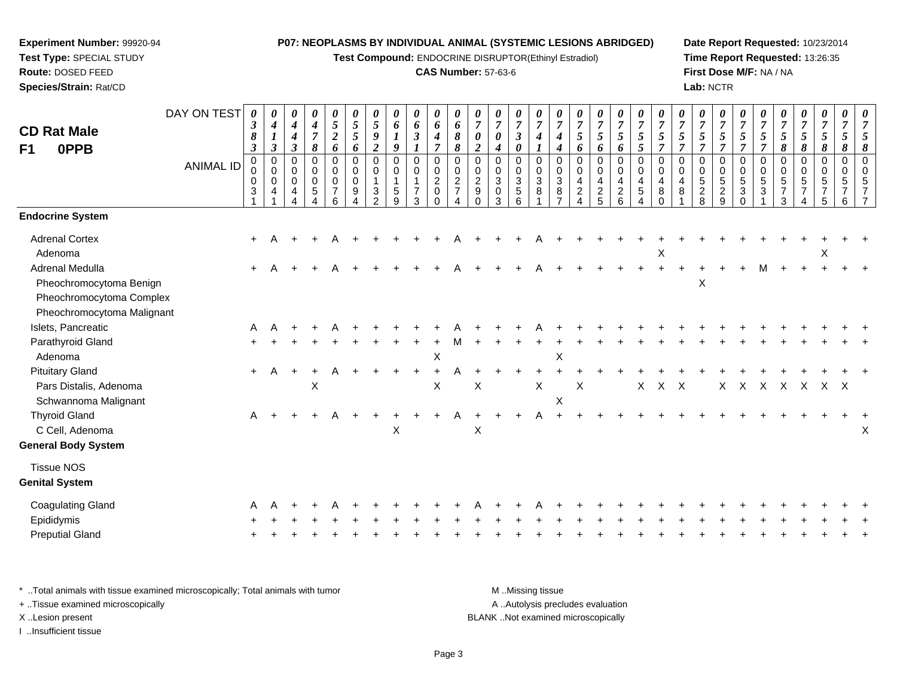**Test Compound:** ENDOCRINE DISRUPTOR(Ethinyl Estradiol)

#### **CAS Number:** 57-63-6

**Date Report Requested:** 10/23/2014**Time Report Requested:** 13:26:35**First Dose M/F:** NA / NA**Lab:** NCTR

| <b>CD Rat Male</b><br>F1<br>0PPB                                                                            | DAY ON TEST<br><b>ANIMAL ID</b> | $\boldsymbol{\theta}$<br>$\boldsymbol{\beta}$<br>8<br>$\boldsymbol{\beta}$<br>0<br>0<br>$\mathbf 0$<br>3 | $\boldsymbol{\theta}$<br>$\boldsymbol{4}$<br>$\boldsymbol{l}$<br>$\mathfrak{z}$<br>$\pmb{0}$<br>$\pmb{0}$<br>$\mathbf 0$<br>4 | 0<br>4<br>4<br>3<br>0<br>0<br>$\mathbf 0$<br>4 | $\pmb{\theta}$<br>$\boldsymbol{4}$<br>$\overline{7}$<br>8<br>$\mathbf 0$<br>0<br>$\mathbf 0$<br>5 | $\pmb{\theta}$<br>5<br>$\boldsymbol{2}$<br>6<br>$\pmb{0}$<br>$\mathbf 0$<br>$\pmb{0}$<br>$\overline{7}$<br>6 | 0<br>$\mathfrak{s}$<br>5<br>6<br>0<br>0<br>$\mathbf 0$<br>9 | $\boldsymbol{\theta}$<br>$\mathfrak{s}$<br>$\boldsymbol{g}$<br>$\boldsymbol{2}$<br>$\mathbf 0$<br>$\mathbf 0$<br>$\mathbf{1}$<br>3<br>$\mathcal{P}$ | $\pmb{\theta}$<br>6<br>9<br>$\mathbf 0$<br>$\mathbf 0$<br>5<br>9 | $\pmb{\theta}$<br>6<br>$\boldsymbol{\beta}$<br>$\pmb{0}$<br>0<br>$\mathbf{1}$<br>$\overline{7}$<br>3 | $\pmb{\theta}$<br>6<br>$\boldsymbol{4}$<br>$\overline{7}$<br>$\pmb{0}$<br>$\pmb{0}$<br>$\boldsymbol{2}$<br>0<br>$\Omega$ | 0<br>6<br>8<br>$\pmb{8}$<br>0<br>$\mathbf 0$<br>$\overline{c}$<br>$\overline{7}$<br>Δ | $\boldsymbol{\theta}$<br>$\overline{7}$<br>$\boldsymbol{\theta}$<br>$\boldsymbol{2}$<br>$\mathbf 0$<br>$\mathbf 0$<br>$\overline{2}$<br>9<br>$\Omega$ | 0<br>$\overline{7}$<br>0<br>4<br>$\mathbf 0$<br>$\Omega$<br>$\mathbf{3}$<br>$\mathbf 0$<br>3 | $\pmb{\theta}$<br>$\overline{7}$<br>$\boldsymbol{\beta}$<br>$\boldsymbol{\theta}$<br>0<br>$\pmb{0}$<br>$\sqrt{3}$<br>$\sqrt{5}$<br>6 | $\pmb{\theta}$<br>$\overline{7}$<br>$\boldsymbol{4}$<br>$\pmb{0}$<br>$\pmb{0}$<br>$\sqrt{3}$<br>8 | 0<br>$\overline{7}$<br>$\boldsymbol{4}$<br>4<br>$\mathbf 0$<br>$\mathbf 0$<br>$\mathbf{3}$<br>8 | 0<br>$\boldsymbol{7}$<br>$\mathfrak{s}$<br>6<br>$\mathbf 0$<br>$\mathbf 0$<br>$\overline{4}$<br>$\overline{c}$ | 0<br>$\overline{7}$<br>$5\overline{)}$<br>6<br>0<br>$\mathbf 0$<br>4<br>$\frac{2}{5}$ | $\pmb{\theta}$<br>$\boldsymbol{7}$<br>$\mathfrak{z}$<br>6<br>$\pmb{0}$<br>$\pmb{0}$<br>$\overline{4}$<br>$\overline{a}$<br>6 | $\pmb{\theta}$<br>$\overline{7}$<br>$\sqrt{5}$<br>$\mathfrak{s}$<br>$\pmb{0}$<br>$\pmb{0}$<br>$\overline{4}$<br>$\sqrt{5}$<br>Δ | $\pmb{\theta}$<br>$\overline{7}$<br>$\sqrt{5}$<br>$\overline{7}$<br>$\mathbf 0$<br>$\mathbf 0$<br>$\overline{4}$<br>8<br>$\Omega$ | $\boldsymbol{\theta}$<br>$\boldsymbol{7}$<br>$\mathfrak{s}$<br>$\overline{7}$<br>$\mathbf 0$<br>$\mathbf 0$<br>4<br>8 | 0<br>$\overline{7}$<br>5<br>$\overline{7}$<br>0<br>0<br>5<br>$\overline{a}$<br>8 | $\pmb{\theta}$<br>$\overline{7}$<br>$\mathfrak{H}$<br>$\overline{7}$<br>0<br>$\pmb{0}$<br>$\sqrt{5}$<br>$\overline{c}$<br>9 | $\pmb{\theta}$<br>$\overline{7}$<br>5<br>$\overline{7}$<br>$\pmb{0}$<br>$\pmb{0}$<br>$\sqrt{5}$<br>$\mathbf{3}$<br>$\Omega$ | 0<br>$\overline{7}$<br>$\sqrt{5}$<br>$\overline{7}$<br>0<br>0<br>5<br>3 | 0<br>$\overline{7}$<br>5<br>8<br>$\mathbf 0$<br>$\Omega$<br>5<br>7<br>3 | 0<br>$\overline{7}$<br>5<br>8<br>0<br>$\mathbf 0$<br>5 | $\pmb{\theta}$<br>$\overline{7}$<br>$\sqrt{5}$<br>8<br>$\,0\,$<br>$\pmb{0}$<br>5<br>5 | 0<br>$\overline{7}$<br>5<br>8<br>$\pmb{0}$<br>$\mathbf 0$<br>5<br>6 |   |
|-------------------------------------------------------------------------------------------------------------|---------------------------------|----------------------------------------------------------------------------------------------------------|-------------------------------------------------------------------------------------------------------------------------------|------------------------------------------------|---------------------------------------------------------------------------------------------------|--------------------------------------------------------------------------------------------------------------|-------------------------------------------------------------|-----------------------------------------------------------------------------------------------------------------------------------------------------|------------------------------------------------------------------|------------------------------------------------------------------------------------------------------|--------------------------------------------------------------------------------------------------------------------------|---------------------------------------------------------------------------------------|-------------------------------------------------------------------------------------------------------------------------------------------------------|----------------------------------------------------------------------------------------------|--------------------------------------------------------------------------------------------------------------------------------------|---------------------------------------------------------------------------------------------------|-------------------------------------------------------------------------------------------------|----------------------------------------------------------------------------------------------------------------|---------------------------------------------------------------------------------------|------------------------------------------------------------------------------------------------------------------------------|---------------------------------------------------------------------------------------------------------------------------------|-----------------------------------------------------------------------------------------------------------------------------------|-----------------------------------------------------------------------------------------------------------------------|----------------------------------------------------------------------------------|-----------------------------------------------------------------------------------------------------------------------------|-----------------------------------------------------------------------------------------------------------------------------|-------------------------------------------------------------------------|-------------------------------------------------------------------------|--------------------------------------------------------|---------------------------------------------------------------------------------------|---------------------------------------------------------------------|---|
| <b>Endocrine System</b>                                                                                     |                                 |                                                                                                          |                                                                                                                               |                                                |                                                                                                   |                                                                                                              |                                                             |                                                                                                                                                     |                                                                  |                                                                                                      |                                                                                                                          |                                                                                       |                                                                                                                                                       |                                                                                              |                                                                                                                                      |                                                                                                   |                                                                                                 |                                                                                                                |                                                                                       |                                                                                                                              |                                                                                                                                 |                                                                                                                                   |                                                                                                                       |                                                                                  |                                                                                                                             |                                                                                                                             |                                                                         |                                                                         |                                                        |                                                                                       |                                                                     |   |
| <b>Adrenal Cortex</b><br>Adenoma                                                                            |                                 | $\ddot{}$                                                                                                |                                                                                                                               |                                                |                                                                                                   |                                                                                                              |                                                             |                                                                                                                                                     |                                                                  |                                                                                                      |                                                                                                                          |                                                                                       |                                                                                                                                                       |                                                                                              |                                                                                                                                      |                                                                                                   |                                                                                                 |                                                                                                                |                                                                                       |                                                                                                                              |                                                                                                                                 | X                                                                                                                                 |                                                                                                                       |                                                                                  |                                                                                                                             |                                                                                                                             |                                                                         |                                                                         |                                                        | X                                                                                     |                                                                     |   |
| <b>Adrenal Medulla</b><br>Pheochromocytoma Benign<br>Pheochromocytoma Complex<br>Pheochromocytoma Malignant |                                 | $+$                                                                                                      |                                                                                                                               |                                                |                                                                                                   |                                                                                                              |                                                             |                                                                                                                                                     |                                                                  |                                                                                                      |                                                                                                                          |                                                                                       |                                                                                                                                                       |                                                                                              |                                                                                                                                      |                                                                                                   |                                                                                                 |                                                                                                                |                                                                                       |                                                                                                                              |                                                                                                                                 |                                                                                                                                   |                                                                                                                       | $\mathsf X$                                                                      |                                                                                                                             |                                                                                                                             | м                                                                       |                                                                         |                                                        |                                                                                       |                                                                     |   |
| Islets, Pancreatic                                                                                          |                                 | A                                                                                                        |                                                                                                                               |                                                |                                                                                                   |                                                                                                              |                                                             |                                                                                                                                                     |                                                                  |                                                                                                      |                                                                                                                          |                                                                                       |                                                                                                                                                       |                                                                                              |                                                                                                                                      |                                                                                                   |                                                                                                 |                                                                                                                |                                                                                       |                                                                                                                              |                                                                                                                                 |                                                                                                                                   |                                                                                                                       |                                                                                  |                                                                                                                             |                                                                                                                             |                                                                         |                                                                         |                                                        |                                                                                       |                                                                     |   |
| Parathyroid Gland<br>Adenoma                                                                                |                                 |                                                                                                          |                                                                                                                               |                                                |                                                                                                   |                                                                                                              |                                                             |                                                                                                                                                     |                                                                  |                                                                                                      | $\mathsf X$                                                                                                              |                                                                                       |                                                                                                                                                       |                                                                                              |                                                                                                                                      |                                                                                                   | Χ                                                                                               |                                                                                                                |                                                                                       |                                                                                                                              |                                                                                                                                 |                                                                                                                                   |                                                                                                                       |                                                                                  |                                                                                                                             |                                                                                                                             |                                                                         |                                                                         |                                                        |                                                                                       |                                                                     |   |
| <b>Pituitary Gland</b>                                                                                      |                                 | $+$                                                                                                      | A                                                                                                                             | $\ddot{}$                                      |                                                                                                   |                                                                                                              |                                                             |                                                                                                                                                     |                                                                  |                                                                                                      | $\ddot{}$                                                                                                                |                                                                                       |                                                                                                                                                       |                                                                                              |                                                                                                                                      |                                                                                                   |                                                                                                 |                                                                                                                |                                                                                       |                                                                                                                              |                                                                                                                                 |                                                                                                                                   |                                                                                                                       |                                                                                  |                                                                                                                             |                                                                                                                             |                                                                         |                                                                         |                                                        |                                                                                       |                                                                     |   |
| Pars Distalis, Adenoma<br>Schwannoma Malignant                                                              |                                 |                                                                                                          |                                                                                                                               |                                                | Χ                                                                                                 |                                                                                                              |                                                             |                                                                                                                                                     |                                                                  |                                                                                                      | X                                                                                                                        |                                                                                       | X                                                                                                                                                     |                                                                                              |                                                                                                                                      | X                                                                                                 | $\mathsf X$                                                                                     | X                                                                                                              |                                                                                       |                                                                                                                              | X                                                                                                                               | X                                                                                                                                 | X                                                                                                                     |                                                                                  | Χ                                                                                                                           | $\times$                                                                                                                    | X                                                                       | X                                                                       | $\mathsf{X}$                                           | X X                                                                                   |                                                                     |   |
| <b>Thyroid Gland</b><br>C Cell, Adenoma<br><b>General Body System</b>                                       |                                 | A                                                                                                        |                                                                                                                               |                                                |                                                                                                   | A                                                                                                            |                                                             |                                                                                                                                                     | Χ                                                                |                                                                                                      |                                                                                                                          | A                                                                                     | X                                                                                                                                                     |                                                                                              | $\ddot{}$                                                                                                                            | A                                                                                                 |                                                                                                 |                                                                                                                |                                                                                       |                                                                                                                              |                                                                                                                                 |                                                                                                                                   |                                                                                                                       |                                                                                  |                                                                                                                             |                                                                                                                             |                                                                         |                                                                         |                                                        |                                                                                       |                                                                     | Х |
|                                                                                                             |                                 |                                                                                                          |                                                                                                                               |                                                |                                                                                                   |                                                                                                              |                                                             |                                                                                                                                                     |                                                                  |                                                                                                      |                                                                                                                          |                                                                                       |                                                                                                                                                       |                                                                                              |                                                                                                                                      |                                                                                                   |                                                                                                 |                                                                                                                |                                                                                       |                                                                                                                              |                                                                                                                                 |                                                                                                                                   |                                                                                                                       |                                                                                  |                                                                                                                             |                                                                                                                             |                                                                         |                                                                         |                                                        |                                                                                       |                                                                     |   |
| <b>Tissue NOS</b><br><b>Genital System</b>                                                                  |                                 |                                                                                                          |                                                                                                                               |                                                |                                                                                                   |                                                                                                              |                                                             |                                                                                                                                                     |                                                                  |                                                                                                      |                                                                                                                          |                                                                                       |                                                                                                                                                       |                                                                                              |                                                                                                                                      |                                                                                                   |                                                                                                 |                                                                                                                |                                                                                       |                                                                                                                              |                                                                                                                                 |                                                                                                                                   |                                                                                                                       |                                                                                  |                                                                                                                             |                                                                                                                             |                                                                         |                                                                         |                                                        |                                                                                       |                                                                     |   |
| <b>Coagulating Gland</b>                                                                                    |                                 |                                                                                                          |                                                                                                                               |                                                |                                                                                                   |                                                                                                              |                                                             |                                                                                                                                                     |                                                                  |                                                                                                      |                                                                                                                          |                                                                                       |                                                                                                                                                       |                                                                                              |                                                                                                                                      |                                                                                                   |                                                                                                 |                                                                                                                |                                                                                       |                                                                                                                              |                                                                                                                                 |                                                                                                                                   |                                                                                                                       |                                                                                  |                                                                                                                             |                                                                                                                             |                                                                         |                                                                         |                                                        |                                                                                       |                                                                     |   |
| Epididymis                                                                                                  |                                 |                                                                                                          |                                                                                                                               |                                                |                                                                                                   |                                                                                                              |                                                             |                                                                                                                                                     |                                                                  |                                                                                                      |                                                                                                                          |                                                                                       |                                                                                                                                                       |                                                                                              |                                                                                                                                      |                                                                                                   |                                                                                                 |                                                                                                                |                                                                                       |                                                                                                                              |                                                                                                                                 |                                                                                                                                   |                                                                                                                       |                                                                                  |                                                                                                                             |                                                                                                                             |                                                                         |                                                                         |                                                        |                                                                                       |                                                                     |   |
| <b>Preputial Gland</b>                                                                                      |                                 |                                                                                                          |                                                                                                                               |                                                |                                                                                                   |                                                                                                              |                                                             |                                                                                                                                                     |                                                                  |                                                                                                      |                                                                                                                          |                                                                                       |                                                                                                                                                       |                                                                                              |                                                                                                                                      |                                                                                                   |                                                                                                 |                                                                                                                |                                                                                       |                                                                                                                              |                                                                                                                                 |                                                                                                                                   |                                                                                                                       |                                                                                  |                                                                                                                             |                                                                                                                             |                                                                         |                                                                         |                                                        |                                                                                       |                                                                     |   |

\* ..Total animals with tissue examined microscopically; Total animals with tumor **M** . Missing tissue M ..Missing tissue A ..Autolysis precludes evaluation + ..Tissue examined microscopically X ..Lesion present BLANK ..Not examined microscopicallyI ..Insufficient tissue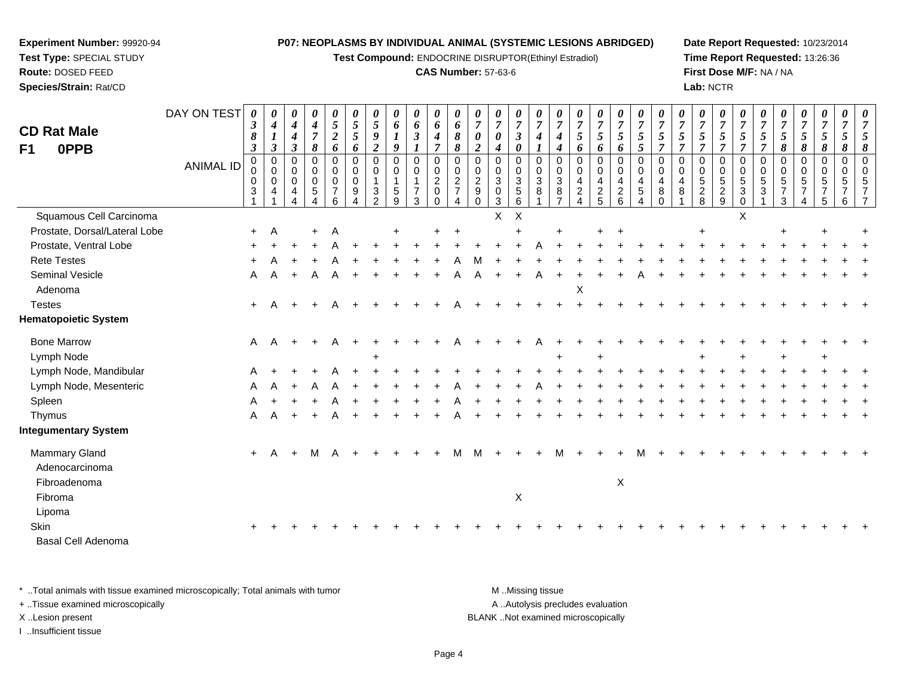**Test Compound:** ENDOCRINE DISRUPTOR(Ethinyl Estradiol)

#### **CAS Number:** 57-63-6

**Date Report Requested:** 10/23/2014**Time Report Requested:** 13:26:36**First Dose M/F:** NA / NA**Lab:** NCTR

| <b>CD Rat Male</b><br>0PPB<br>F1                | DAY ON TEST<br><b>ANIMAL ID</b> | 0<br>$\boldsymbol{\beta}$<br>8<br>$\boldsymbol{\beta}$<br>$\pmb{0}$<br>0<br>$\,0\,$<br>3 | $\boldsymbol{\theta}$<br>$\boldsymbol{4}$<br>$\mathfrak{z}$<br>$\pmb{0}$<br>$\mathbf 0$<br>$\mathbf 0$<br>4 | $\boldsymbol{\theta}$<br>$\boldsymbol{4}$<br>$\boldsymbol{4}$<br>$\boldsymbol{\beta}$<br>0<br>$\mathbf 0$<br>0<br>4 | $\boldsymbol{\theta}$<br>$\boldsymbol{4}$<br>$\boldsymbol{7}$<br>8<br>$\mathbf 0$<br>$\mathbf 0$<br>$\mathbf 0$<br>5<br>4 | 0<br>5<br>$\overline{a}$<br>6<br>$\mathbf 0$<br>$\mathbf 0$<br>0<br>$\overline{7}$<br>6 | 0<br>$\sqrt{5}$<br>5<br>6<br>$\mathbf 0$<br>0<br>$\mathbf 0$<br>9 | 0<br>$\sqrt{5}$<br>9<br>$\boldsymbol{2}$<br>$\overline{0}$<br>$\mathbf 0$<br>$\mathbf{1}$<br>$\mathbf{3}$<br>$\overline{2}$ | 0<br>6<br>$\boldsymbol{l}$<br>$\boldsymbol{g}$<br>0<br>$\mathbf 0$<br>$\mathbf{1}$<br>$\,$ 5 $\,$<br>9 | $\pmb{\theta}$<br>6<br>$\mathfrak{z}$<br>1<br>$\boldsymbol{0}$<br>$\mathbf 0$<br>$\mathbf{1}$<br>$\overline{7}$<br>$\mathbf{3}$ | 0<br>6<br>4<br>$\overline{7}$<br>$\mathbf 0$<br>$\mathbf 0$<br>$\overline{c}$<br>0<br>$\Omega$ | 0<br>6<br>$\pmb{8}$<br>8<br>$\mathbf 0$<br>$\mathbf 0$<br>$\overline{c}$<br>$\overline{7}$<br>$\overline{4}$ | 0<br>$\overline{7}$<br>0<br>$\boldsymbol{2}$<br>$\mathbf 0$<br>$\mathbf 0$<br>$\overline{c}$<br>$\boldsymbol{9}$<br>$\Omega$ | $\boldsymbol{\theta}$<br>$\overline{7}$<br>0<br>4<br>$\mathbf 0$<br>$\mathbf 0$<br>$\sqrt{3}$<br>$\mathbf 0$<br>$\overline{3}$ | 0<br>$\overline{7}$<br>$\mathfrak{z}$<br>$\boldsymbol{\theta}$<br>$\mathbf 0$<br>$\mathbf 0$<br>$\mathbf 3$<br>$\sqrt{5}$<br>$\,6\,$ | 0<br>$\overline{7}$<br>4<br>$\mathbf 0$<br>$\Omega$<br>3<br>8 | 0<br>$\overline{7}$<br>4<br>4<br>$\mathbf 0$<br>$\mathbf 0$<br>$\sqrt{3}$<br>8<br>$\overline{7}$ | 0<br>$\overline{7}$<br>5<br>6<br>$\mathbf 0$<br>$\mathbf 0$<br>$\overline{4}$<br>$\boldsymbol{2}$<br>$\overline{4}$ | $\pmb{\theta}$<br>$\boldsymbol{7}$<br>$\mathfrak{s}$<br>6<br>$\mathbf 0$<br>$\mathbf 0$<br>$\overline{4}$<br>$\frac{2}{5}$ | $\pmb{\theta}$<br>$\boldsymbol{7}$<br>$\sqrt{5}$<br>6<br>$\mathbf 0$<br>$\mathbf 0$<br>$\overline{\mathbf{4}}$<br>$\frac{2}{6}$ | 0<br>$\overline{7}$<br>5<br>5<br>$\mathbf 0$<br>$\Omega$<br>4<br>5<br>4 | 0<br>$\overline{7}$<br>$\sqrt{5}$<br>$\overline{7}$<br>$\mathbf 0$<br>$\Omega$<br>4<br>8<br>$\Omega$ | 0<br>$\overline{7}$<br>5<br>$\overline{7}$<br>$\mathbf 0$<br>$\mathbf 0$<br>4<br>8 | 0<br>$\overline{7}$<br>5<br>$\overline{7}$<br>0<br>$\mathbf 0$<br>$5\phantom{.0}$<br>$\frac{2}{8}$ | 0<br>$\overline{7}$<br>5<br>$\overline{7}$<br>$\mathbf 0$<br>$\mathbf 0$<br>$\sqrt{5}$<br>$\frac{2}{9}$ | 0<br>$\overline{7}$<br>$\mathfrak{s}$<br>$\overline{7}$<br>$\mathbf 0$<br>$\mathbf 0$<br>$\sqrt{5}$<br>3<br>$\mathbf 0$ | 0<br>$\overline{7}$<br>$\sqrt{5}$<br>$\overline{7}$<br>$\mathbf 0$<br>$\mathbf 0$<br>$\,$ 5 $\,$<br>$\mathbf{3}$ | 0<br>$\overline{7}$<br>5<br>8<br>$\mathbf 0$<br>0<br>$\mathbf 5$<br>$\overline{7}$<br>3 | 0<br>$\boldsymbol{7}$<br>5<br>8<br>0<br>0<br>5 | $\pmb{\theta}$<br>$\overline{7}$<br>$\mathfrak{s}$<br>8<br>$\mathbf 0$<br>$\Omega$<br>$\sqrt{5}$<br>7<br>5 | 0<br>$\overline{7}$<br>5<br>8<br>$\mathbf 0$<br>$\Omega$<br>5<br>6 | 8<br>$\Omega$ |
|-------------------------------------------------|---------------------------------|------------------------------------------------------------------------------------------|-------------------------------------------------------------------------------------------------------------|---------------------------------------------------------------------------------------------------------------------|---------------------------------------------------------------------------------------------------------------------------|-----------------------------------------------------------------------------------------|-------------------------------------------------------------------|-----------------------------------------------------------------------------------------------------------------------------|--------------------------------------------------------------------------------------------------------|---------------------------------------------------------------------------------------------------------------------------------|------------------------------------------------------------------------------------------------|--------------------------------------------------------------------------------------------------------------|------------------------------------------------------------------------------------------------------------------------------|--------------------------------------------------------------------------------------------------------------------------------|--------------------------------------------------------------------------------------------------------------------------------------|---------------------------------------------------------------|--------------------------------------------------------------------------------------------------|---------------------------------------------------------------------------------------------------------------------|----------------------------------------------------------------------------------------------------------------------------|---------------------------------------------------------------------------------------------------------------------------------|-------------------------------------------------------------------------|------------------------------------------------------------------------------------------------------|------------------------------------------------------------------------------------|----------------------------------------------------------------------------------------------------|---------------------------------------------------------------------------------------------------------|-------------------------------------------------------------------------------------------------------------------------|------------------------------------------------------------------------------------------------------------------|-----------------------------------------------------------------------------------------|------------------------------------------------|------------------------------------------------------------------------------------------------------------|--------------------------------------------------------------------|---------------|
| Squamous Cell Carcinoma                         |                                 |                                                                                          |                                                                                                             |                                                                                                                     |                                                                                                                           |                                                                                         |                                                                   |                                                                                                                             |                                                                                                        |                                                                                                                                 |                                                                                                |                                                                                                              |                                                                                                                              | X                                                                                                                              | $\times$                                                                                                                             |                                                               |                                                                                                  |                                                                                                                     |                                                                                                                            |                                                                                                                                 |                                                                         |                                                                                                      |                                                                                    |                                                                                                    |                                                                                                         | $\sf X$                                                                                                                 |                                                                                                                  |                                                                                         |                                                |                                                                                                            |                                                                    |               |
| Prostate, Dorsal/Lateral Lobe                   |                                 | $+$                                                                                      | A                                                                                                           |                                                                                                                     | $\ddot{}$                                                                                                                 | Α                                                                                       |                                                                   |                                                                                                                             |                                                                                                        |                                                                                                                                 |                                                                                                | $\ddot{}$                                                                                                    |                                                                                                                              |                                                                                                                                |                                                                                                                                      |                                                               |                                                                                                  |                                                                                                                     |                                                                                                                            | $\ddot{}$                                                                                                                       |                                                                         |                                                                                                      |                                                                                    |                                                                                                    |                                                                                                         |                                                                                                                         |                                                                                                                  | $\div$                                                                                  |                                                |                                                                                                            |                                                                    |               |
| Prostate, Ventral Lobe                          |                                 |                                                                                          |                                                                                                             |                                                                                                                     |                                                                                                                           |                                                                                         |                                                                   |                                                                                                                             |                                                                                                        |                                                                                                                                 |                                                                                                |                                                                                                              |                                                                                                                              |                                                                                                                                |                                                                                                                                      |                                                               |                                                                                                  |                                                                                                                     |                                                                                                                            |                                                                                                                                 |                                                                         |                                                                                                      |                                                                                    |                                                                                                    |                                                                                                         |                                                                                                                         |                                                                                                                  |                                                                                         |                                                |                                                                                                            |                                                                    |               |
| <b>Rete Testes</b>                              |                                 |                                                                                          |                                                                                                             |                                                                                                                     |                                                                                                                           |                                                                                         |                                                                   |                                                                                                                             |                                                                                                        |                                                                                                                                 |                                                                                                |                                                                                                              |                                                                                                                              |                                                                                                                                |                                                                                                                                      |                                                               |                                                                                                  |                                                                                                                     |                                                                                                                            |                                                                                                                                 |                                                                         |                                                                                                      |                                                                                    |                                                                                                    |                                                                                                         |                                                                                                                         |                                                                                                                  |                                                                                         |                                                |                                                                                                            |                                                                    |               |
| Seminal Vesicle                                 |                                 | A                                                                                        | A                                                                                                           | $\ddot{}$                                                                                                           | A                                                                                                                         | Α                                                                                       |                                                                   |                                                                                                                             |                                                                                                        |                                                                                                                                 |                                                                                                |                                                                                                              |                                                                                                                              |                                                                                                                                |                                                                                                                                      | Α                                                             |                                                                                                  |                                                                                                                     |                                                                                                                            |                                                                                                                                 |                                                                         |                                                                                                      |                                                                                    |                                                                                                    |                                                                                                         |                                                                                                                         |                                                                                                                  |                                                                                         |                                                |                                                                                                            |                                                                    |               |
| Adenoma                                         |                                 |                                                                                          |                                                                                                             |                                                                                                                     |                                                                                                                           |                                                                                         |                                                                   |                                                                                                                             |                                                                                                        |                                                                                                                                 |                                                                                                |                                                                                                              |                                                                                                                              |                                                                                                                                |                                                                                                                                      |                                                               |                                                                                                  | Χ                                                                                                                   |                                                                                                                            |                                                                                                                                 |                                                                         |                                                                                                      |                                                                                    |                                                                                                    |                                                                                                         |                                                                                                                         |                                                                                                                  |                                                                                         |                                                |                                                                                                            |                                                                    |               |
| <b>Testes</b>                                   |                                 | $+$                                                                                      | A                                                                                                           |                                                                                                                     |                                                                                                                           |                                                                                         |                                                                   |                                                                                                                             |                                                                                                        |                                                                                                                                 |                                                                                                |                                                                                                              |                                                                                                                              |                                                                                                                                |                                                                                                                                      |                                                               |                                                                                                  |                                                                                                                     |                                                                                                                            |                                                                                                                                 |                                                                         |                                                                                                      |                                                                                    |                                                                                                    |                                                                                                         |                                                                                                                         |                                                                                                                  |                                                                                         |                                                |                                                                                                            |                                                                    |               |
| <b>Hematopoietic System</b>                     |                                 |                                                                                          |                                                                                                             |                                                                                                                     |                                                                                                                           |                                                                                         |                                                                   |                                                                                                                             |                                                                                                        |                                                                                                                                 |                                                                                                |                                                                                                              |                                                                                                                              |                                                                                                                                |                                                                                                                                      |                                                               |                                                                                                  |                                                                                                                     |                                                                                                                            |                                                                                                                                 |                                                                         |                                                                                                      |                                                                                    |                                                                                                    |                                                                                                         |                                                                                                                         |                                                                                                                  |                                                                                         |                                                |                                                                                                            |                                                                    |               |
| <b>Bone Marrow</b>                              |                                 | Α                                                                                        | A                                                                                                           |                                                                                                                     |                                                                                                                           |                                                                                         |                                                                   |                                                                                                                             |                                                                                                        |                                                                                                                                 |                                                                                                |                                                                                                              |                                                                                                                              |                                                                                                                                |                                                                                                                                      |                                                               |                                                                                                  |                                                                                                                     |                                                                                                                            |                                                                                                                                 |                                                                         |                                                                                                      |                                                                                    |                                                                                                    |                                                                                                         |                                                                                                                         |                                                                                                                  |                                                                                         |                                                |                                                                                                            |                                                                    |               |
| Lymph Node                                      |                                 |                                                                                          |                                                                                                             |                                                                                                                     |                                                                                                                           |                                                                                         |                                                                   |                                                                                                                             |                                                                                                        |                                                                                                                                 |                                                                                                |                                                                                                              |                                                                                                                              |                                                                                                                                |                                                                                                                                      |                                                               |                                                                                                  |                                                                                                                     |                                                                                                                            |                                                                                                                                 |                                                                         |                                                                                                      |                                                                                    |                                                                                                    |                                                                                                         |                                                                                                                         |                                                                                                                  |                                                                                         |                                                |                                                                                                            |                                                                    |               |
| Lymph Node, Mandibular                          |                                 |                                                                                          |                                                                                                             |                                                                                                                     |                                                                                                                           |                                                                                         |                                                                   |                                                                                                                             |                                                                                                        |                                                                                                                                 |                                                                                                |                                                                                                              |                                                                                                                              |                                                                                                                                |                                                                                                                                      |                                                               |                                                                                                  |                                                                                                                     |                                                                                                                            |                                                                                                                                 |                                                                         |                                                                                                      |                                                                                    |                                                                                                    |                                                                                                         |                                                                                                                         |                                                                                                                  |                                                                                         |                                                |                                                                                                            |                                                                    |               |
| Lymph Node, Mesenteric                          |                                 | A                                                                                        |                                                                                                             |                                                                                                                     |                                                                                                                           |                                                                                         |                                                                   |                                                                                                                             |                                                                                                        |                                                                                                                                 |                                                                                                |                                                                                                              |                                                                                                                              |                                                                                                                                |                                                                                                                                      |                                                               |                                                                                                  |                                                                                                                     |                                                                                                                            |                                                                                                                                 |                                                                         |                                                                                                      |                                                                                    |                                                                                                    |                                                                                                         |                                                                                                                         |                                                                                                                  |                                                                                         |                                                |                                                                                                            |                                                                    |               |
| Spleen                                          |                                 | А                                                                                        |                                                                                                             |                                                                                                                     |                                                                                                                           |                                                                                         |                                                                   |                                                                                                                             |                                                                                                        |                                                                                                                                 |                                                                                                |                                                                                                              |                                                                                                                              |                                                                                                                                |                                                                                                                                      |                                                               |                                                                                                  |                                                                                                                     |                                                                                                                            |                                                                                                                                 |                                                                         |                                                                                                      |                                                                                    |                                                                                                    |                                                                                                         |                                                                                                                         |                                                                                                                  |                                                                                         |                                                |                                                                                                            |                                                                    |               |
| Thymus                                          |                                 | A                                                                                        |                                                                                                             | $\ddot{}$                                                                                                           |                                                                                                                           |                                                                                         |                                                                   |                                                                                                                             |                                                                                                        |                                                                                                                                 |                                                                                                |                                                                                                              |                                                                                                                              |                                                                                                                                |                                                                                                                                      |                                                               |                                                                                                  |                                                                                                                     |                                                                                                                            |                                                                                                                                 |                                                                         |                                                                                                      |                                                                                    |                                                                                                    |                                                                                                         |                                                                                                                         |                                                                                                                  |                                                                                         |                                                |                                                                                                            |                                                                    |               |
| <b>Integumentary System</b>                     |                                 |                                                                                          |                                                                                                             |                                                                                                                     |                                                                                                                           |                                                                                         |                                                                   |                                                                                                                             |                                                                                                        |                                                                                                                                 |                                                                                                |                                                                                                              |                                                                                                                              |                                                                                                                                |                                                                                                                                      |                                                               |                                                                                                  |                                                                                                                     |                                                                                                                            |                                                                                                                                 |                                                                         |                                                                                                      |                                                                                    |                                                                                                    |                                                                                                         |                                                                                                                         |                                                                                                                  |                                                                                         |                                                |                                                                                                            |                                                                    |               |
| Mammary Gland<br>Adenocarcinoma<br>Fibroadenoma |                                 | $+$                                                                                      | A                                                                                                           | $\ddot{}$                                                                                                           | M                                                                                                                         | $\mathsf{A}$                                                                            |                                                                   |                                                                                                                             |                                                                                                        |                                                                                                                                 |                                                                                                | м                                                                                                            | м                                                                                                                            |                                                                                                                                |                                                                                                                                      |                                                               | м                                                                                                |                                                                                                                     |                                                                                                                            | X                                                                                                                               |                                                                         |                                                                                                      |                                                                                    |                                                                                                    |                                                                                                         |                                                                                                                         |                                                                                                                  |                                                                                         |                                                |                                                                                                            |                                                                    |               |
| Fibroma                                         |                                 |                                                                                          |                                                                                                             |                                                                                                                     |                                                                                                                           |                                                                                         |                                                                   |                                                                                                                             |                                                                                                        |                                                                                                                                 |                                                                                                |                                                                                                              |                                                                                                                              |                                                                                                                                | X                                                                                                                                    |                                                               |                                                                                                  |                                                                                                                     |                                                                                                                            |                                                                                                                                 |                                                                         |                                                                                                      |                                                                                    |                                                                                                    |                                                                                                         |                                                                                                                         |                                                                                                                  |                                                                                         |                                                |                                                                                                            |                                                                    |               |
| Lipoma                                          |                                 |                                                                                          |                                                                                                             |                                                                                                                     |                                                                                                                           |                                                                                         |                                                                   |                                                                                                                             |                                                                                                        |                                                                                                                                 |                                                                                                |                                                                                                              |                                                                                                                              |                                                                                                                                |                                                                                                                                      |                                                               |                                                                                                  |                                                                                                                     |                                                                                                                            |                                                                                                                                 |                                                                         |                                                                                                      |                                                                                    |                                                                                                    |                                                                                                         |                                                                                                                         |                                                                                                                  |                                                                                         |                                                |                                                                                                            |                                                                    |               |
| Skin                                            |                                 |                                                                                          |                                                                                                             |                                                                                                                     |                                                                                                                           |                                                                                         |                                                                   |                                                                                                                             |                                                                                                        |                                                                                                                                 |                                                                                                |                                                                                                              |                                                                                                                              |                                                                                                                                |                                                                                                                                      |                                                               |                                                                                                  |                                                                                                                     |                                                                                                                            |                                                                                                                                 |                                                                         |                                                                                                      |                                                                                    |                                                                                                    |                                                                                                         |                                                                                                                         |                                                                                                                  |                                                                                         |                                                |                                                                                                            |                                                                    |               |
| Basal Cell Adenoma                              |                                 |                                                                                          |                                                                                                             |                                                                                                                     |                                                                                                                           |                                                                                         |                                                                   |                                                                                                                             |                                                                                                        |                                                                                                                                 |                                                                                                |                                                                                                              |                                                                                                                              |                                                                                                                                |                                                                                                                                      |                                                               |                                                                                                  |                                                                                                                     |                                                                                                                            |                                                                                                                                 |                                                                         |                                                                                                      |                                                                                    |                                                                                                    |                                                                                                         |                                                                                                                         |                                                                                                                  |                                                                                         |                                                |                                                                                                            |                                                                    |               |
|                                                 |                                 |                                                                                          |                                                                                                             |                                                                                                                     |                                                                                                                           |                                                                                         |                                                                   |                                                                                                                             |                                                                                                        |                                                                                                                                 |                                                                                                |                                                                                                              |                                                                                                                              |                                                                                                                                |                                                                                                                                      |                                                               |                                                                                                  |                                                                                                                     |                                                                                                                            |                                                                                                                                 |                                                                         |                                                                                                      |                                                                                    |                                                                                                    |                                                                                                         |                                                                                                                         |                                                                                                                  |                                                                                         |                                                |                                                                                                            |                                                                    |               |

\* ..Total animals with tissue examined microscopically; Total animals with tumor **M** . Missing tissue M ..Missing tissue A ..Autolysis precludes evaluation + ..Tissue examined microscopically X ..Lesion present BLANK ..Not examined microscopicallyI ..Insufficient tissue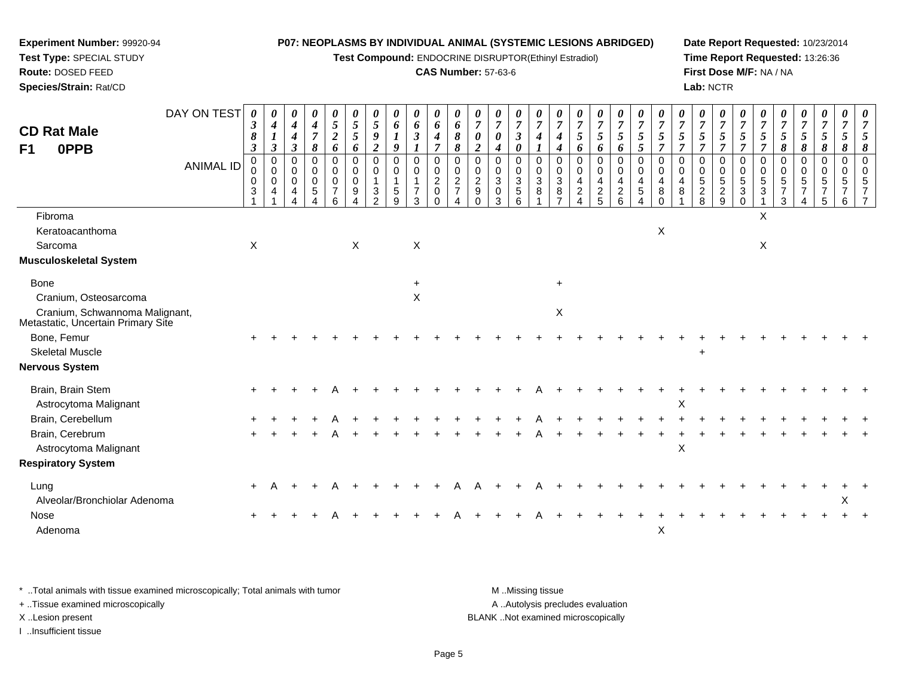**Test Compound:** ENDOCRINE DISRUPTOR(Ethinyl Estradiol)

#### **CAS Number:** 57-63-6

**Date Report Requested:** 10/23/2014**Time Report Requested:** 13:26:36**First Dose M/F:** NA / NA**Lab:** NCTR

| <b>CD Rat Male</b>                                                   | DAY ON TEST      | 0<br>3                    | $\boldsymbol{\theta}$<br>4                        | 0<br>$\boldsymbol{4}$                               | 0<br>$\boldsymbol{4}$                    | $\boldsymbol{\theta}$<br>5                          | $\boldsymbol{\theta}$<br>$\mathfrak{s}$ | 0<br>5                                                 | $\boldsymbol{\theta}$<br>6     | $\boldsymbol{\theta}$<br>6                         | $\boldsymbol{\theta}$<br>6                                 | $\boldsymbol{\theta}$<br>6                        | $\boldsymbol{\theta}$<br>$\overline{7}$          | $\boldsymbol{\theta}$<br>$\overline{7}$           | U<br>$\overline{7}$                                                      | $\boldsymbol{\theta}$<br>$\overline{7}$       | $\overline{7}$                                                        | $\frac{\theta}{7}$                                       | $\frac{\theta}{7}$<br>$\overline{5}$                                | $\boldsymbol{\theta}$<br>$\boldsymbol{7}$      | $\overline{7}$                                     | $\boldsymbol{\theta}$<br>$\overline{7}$       | $\frac{\boldsymbol{0}}{7}$        | 0<br>$\overline{7}$                                    | $\theta$<br>$\overline{7}$          | $\overline{7}$                                        | $\boldsymbol{\theta}$<br>$\overline{7}$                | $\boldsymbol{\theta}$<br>$\overline{7}$             | $\boldsymbol{\theta}$<br>$\boldsymbol{7}$ | $\theta$<br>$\overline{7}$     | $\overline{7}$                 | 0<br>$\overline{7}$                         |
|----------------------------------------------------------------------|------------------|---------------------------|---------------------------------------------------|-----------------------------------------------------|------------------------------------------|-----------------------------------------------------|-----------------------------------------|--------------------------------------------------------|--------------------------------|----------------------------------------------------|------------------------------------------------------------|---------------------------------------------------|--------------------------------------------------|---------------------------------------------------|--------------------------------------------------------------------------|-----------------------------------------------|-----------------------------------------------------------------------|----------------------------------------------------------|---------------------------------------------------------------------|------------------------------------------------|----------------------------------------------------|-----------------------------------------------|-----------------------------------|--------------------------------------------------------|-------------------------------------|-------------------------------------------------------|--------------------------------------------------------|-----------------------------------------------------|-------------------------------------------|--------------------------------|--------------------------------|---------------------------------------------|
| <b>OPPB</b><br>F1                                                    |                  | 8<br>$\boldsymbol{\beta}$ | $\boldsymbol{l}$<br>$\mathfrak{z}$                | $\boldsymbol{4}$<br>$\boldsymbol{\beta}$            | $\overline{7}$<br>$\boldsymbol{\delta}$  | $\overline{2}$<br>6                                 | 5<br>6                                  | 9<br>$\boldsymbol{2}$                                  | $\boldsymbol{l}$<br>9          | $\mathfrak{z}$                                     | $\boldsymbol{4}$<br>$\overline{7}$                         | 8<br>8                                            | 0<br>$\overline{c}$                              | $\boldsymbol{\theta}$<br>$\boldsymbol{4}$         | $\boldsymbol{\mathfrak{z}}$<br>0                                         | $\boldsymbol{4}$<br>$\boldsymbol{\mathit{1}}$ | $\boldsymbol{4}$<br>$\boldsymbol{4}$                                  | 5<br>6                                                   | 6                                                                   | 5<br>6                                         | 5<br>$\mathfrak{s}$                                | 5<br>7                                        | $\mathfrak{s}$<br>$\overline{7}$  | 5<br>$\overline{7}$                                    | 5<br>$\overline{\tau}$              | $\sqrt{5}$<br>$\overline{7}$                          | $\mathfrak{s}$<br>$\overline{7}$                       | $\sqrt{5}$<br>8                                     | $\mathfrak{s}$<br>8                       | 5<br>8                         | $\mathfrak{s}$<br>8            | 5<br>8                                      |
|                                                                      | <b>ANIMAL ID</b> | 0<br>0<br>0<br>3          | $\mathbf 0$<br>$\mathbf 0$<br>0<br>$\overline{4}$ | $\mathbf 0$<br>$\mathbf 0$<br>$\mathbf 0$<br>4<br>Λ | $\mathbf 0$<br>0<br>0<br>$\sqrt{5}$<br>4 | $\Omega$<br>0<br>$\mathbf 0$<br>$\overline{7}$<br>6 | 0<br>0<br>$\mathbf 0$<br>9              | $\mathbf 0$<br>$\mathbf 0$<br>1<br>3<br>$\overline{2}$ | $\Omega$<br>0<br>$\frac{5}{9}$ | $\Omega$<br>$\pmb{0}$<br>-1<br>$\overline{7}$<br>3 | $\Omega$<br>0<br>$\overline{c}$<br>$\mathbf 0$<br>$\Omega$ | $\Omega$<br>0<br>$\overline{2}$<br>$\overline{7}$ | $\Omega$<br>0<br>$\overline{2}$<br>9<br>$\Omega$ | $\Omega$<br>0<br>$\mathfrak{S}$<br>$\pmb{0}$<br>3 | $\Omega$<br>$\mathbf 0$<br>$\ensuremath{\mathsf{3}}$<br>$\mathbf 5$<br>6 | $\mathbf 0$<br>0<br>$\sqrt{3}$<br>8           | $\mathbf 0$<br>$\mathbf 0$<br>$\sqrt{3}$<br>$\,8\,$<br>$\overline{z}$ | 0<br>0<br>4<br>$\overline{c}$<br>$\overline{\mathbf{A}}$ | $\mathbf 0$<br>$\mathsf{O}\xspace$<br>$\overline{4}$<br>$rac{2}{5}$ | $\mathbf 0$<br>$\pmb{0}$<br>4<br>$\frac{2}{6}$ | $\Omega$<br>0<br>4<br>$\sqrt{5}$<br>$\overline{4}$ | $\Omega$<br>$\mathbf 0$<br>4<br>8<br>$\Omega$ | $\Omega$<br>$\mathbf 0$<br>4<br>8 | $\Omega$<br>$\mathbf 0$<br>$\sqrt{5}$<br>$\frac{2}{8}$ | $\Omega$<br>0<br>5<br>$\frac{2}{9}$ | $\Omega$<br>0<br>$\sqrt{5}$<br>$\sqrt{3}$<br>$\Omega$ | $\mathbf 0$<br>$\mathbf 0$<br>$\sqrt{5}$<br>$\sqrt{3}$ | $\Omega$<br>0<br>$\,$ 5 $\,$<br>$\overline{7}$<br>3 | $\Omega$<br>$\mathbf 0$<br>5<br>7<br>Δ    | $\Omega$<br>$\Omega$<br>5<br>5 | $\Omega$<br>$\Omega$<br>5<br>6 | $\Omega$<br>$\Omega$<br>5<br>$\overline{7}$ |
| Fibroma                                                              |                  |                           |                                                   |                                                     |                                          |                                                     |                                         |                                                        |                                |                                                    |                                                            |                                                   |                                                  |                                                   |                                                                          |                                               |                                                                       |                                                          |                                                                     |                                                |                                                    |                                               |                                   |                                                        |                                     |                                                       | X                                                      |                                                     |                                           |                                |                                |                                             |
| Keratoacanthoma                                                      |                  |                           |                                                   |                                                     |                                          |                                                     |                                         |                                                        |                                |                                                    |                                                            |                                                   |                                                  |                                                   |                                                                          |                                               |                                                                       |                                                          |                                                                     |                                                |                                                    | X                                             |                                   |                                                        |                                     |                                                       |                                                        |                                                     |                                           |                                |                                |                                             |
| Sarcoma                                                              |                  | $\mathsf X$               |                                                   |                                                     |                                          |                                                     | $\sf X$                                 |                                                        |                                | X                                                  |                                                            |                                                   |                                                  |                                                   |                                                                          |                                               |                                                                       |                                                          |                                                                     |                                                |                                                    |                                               |                                   |                                                        |                                     |                                                       | $\mathsf X$                                            |                                                     |                                           |                                |                                |                                             |
| Musculoskeletal System                                               |                  |                           |                                                   |                                                     |                                          |                                                     |                                         |                                                        |                                |                                                    |                                                            |                                                   |                                                  |                                                   |                                                                          |                                               |                                                                       |                                                          |                                                                     |                                                |                                                    |                                               |                                   |                                                        |                                     |                                                       |                                                        |                                                     |                                           |                                |                                |                                             |
| <b>Bone</b>                                                          |                  |                           |                                                   |                                                     |                                          |                                                     |                                         |                                                        |                                | $\ddot{}$                                          |                                                            |                                                   |                                                  |                                                   |                                                                          |                                               | $\ddot{}$                                                             |                                                          |                                                                     |                                                |                                                    |                                               |                                   |                                                        |                                     |                                                       |                                                        |                                                     |                                           |                                |                                |                                             |
| Cranium, Osteosarcoma                                                |                  |                           |                                                   |                                                     |                                          |                                                     |                                         |                                                        |                                | $\times$                                           |                                                            |                                                   |                                                  |                                                   |                                                                          |                                               |                                                                       |                                                          |                                                                     |                                                |                                                    |                                               |                                   |                                                        |                                     |                                                       |                                                        |                                                     |                                           |                                |                                |                                             |
| Cranium, Schwannoma Malignant,<br>Metastatic, Uncertain Primary Site |                  |                           |                                                   |                                                     |                                          |                                                     |                                         |                                                        |                                |                                                    |                                                            |                                                   |                                                  |                                                   |                                                                          |                                               | X                                                                     |                                                          |                                                                     |                                                |                                                    |                                               |                                   |                                                        |                                     |                                                       |                                                        |                                                     |                                           |                                |                                |                                             |
| Bone, Femur                                                          |                  |                           |                                                   |                                                     |                                          |                                                     |                                         |                                                        |                                |                                                    |                                                            |                                                   |                                                  |                                                   |                                                                          |                                               |                                                                       |                                                          |                                                                     |                                                |                                                    |                                               |                                   |                                                        |                                     |                                                       |                                                        |                                                     |                                           |                                |                                |                                             |
| <b>Skeletal Muscle</b>                                               |                  |                           |                                                   |                                                     |                                          |                                                     |                                         |                                                        |                                |                                                    |                                                            |                                                   |                                                  |                                                   |                                                                          |                                               |                                                                       |                                                          |                                                                     |                                                |                                                    |                                               |                                   | $\ddot{}$                                              |                                     |                                                       |                                                        |                                                     |                                           |                                |                                |                                             |
| Nervous System                                                       |                  |                           |                                                   |                                                     |                                          |                                                     |                                         |                                                        |                                |                                                    |                                                            |                                                   |                                                  |                                                   |                                                                          |                                               |                                                                       |                                                          |                                                                     |                                                |                                                    |                                               |                                   |                                                        |                                     |                                                       |                                                        |                                                     |                                           |                                |                                |                                             |
| Brain, Brain Stem<br>Astrocytoma Malignant                           |                  |                           |                                                   |                                                     |                                          |                                                     |                                         |                                                        |                                |                                                    |                                                            |                                                   |                                                  |                                                   |                                                                          |                                               |                                                                       |                                                          |                                                                     |                                                |                                                    |                                               | $\boldsymbol{\mathsf{X}}$         |                                                        |                                     |                                                       |                                                        |                                                     |                                           |                                |                                |                                             |
| Brain, Cerebellum                                                    |                  |                           |                                                   |                                                     |                                          |                                                     |                                         |                                                        |                                |                                                    |                                                            |                                                   |                                                  |                                                   |                                                                          |                                               |                                                                       |                                                          |                                                                     |                                                |                                                    |                                               |                                   |                                                        |                                     |                                                       |                                                        |                                                     |                                           |                                |                                |                                             |
| Brain, Cerebrum                                                      |                  |                           |                                                   |                                                     |                                          |                                                     |                                         |                                                        |                                |                                                    |                                                            |                                                   |                                                  |                                                   |                                                                          |                                               |                                                                       |                                                          |                                                                     |                                                |                                                    |                                               |                                   |                                                        |                                     |                                                       |                                                        |                                                     |                                           |                                |                                |                                             |
| Astrocytoma Malignant                                                |                  |                           |                                                   |                                                     |                                          |                                                     |                                         |                                                        |                                |                                                    |                                                            |                                                   |                                                  |                                                   |                                                                          |                                               |                                                                       |                                                          |                                                                     |                                                |                                                    |                                               | X                                 |                                                        |                                     |                                                       |                                                        |                                                     |                                           |                                |                                |                                             |
| <b>Respiratory System</b>                                            |                  |                           |                                                   |                                                     |                                          |                                                     |                                         |                                                        |                                |                                                    |                                                            |                                                   |                                                  |                                                   |                                                                          |                                               |                                                                       |                                                          |                                                                     |                                                |                                                    |                                               |                                   |                                                        |                                     |                                                       |                                                        |                                                     |                                           |                                |                                |                                             |
| Lung                                                                 |                  | $\ddot{}$                 |                                                   |                                                     |                                          |                                                     |                                         |                                                        |                                |                                                    |                                                            |                                                   |                                                  |                                                   |                                                                          |                                               |                                                                       |                                                          |                                                                     |                                                |                                                    |                                               |                                   |                                                        |                                     |                                                       |                                                        |                                                     |                                           |                                |                                |                                             |
| Alveolar/Bronchiolar Adenoma                                         |                  |                           |                                                   |                                                     |                                          |                                                     |                                         |                                                        |                                |                                                    |                                                            |                                                   |                                                  |                                                   |                                                                          |                                               |                                                                       |                                                          |                                                                     |                                                |                                                    |                                               |                                   |                                                        |                                     |                                                       |                                                        |                                                     |                                           |                                | X                              |                                             |
| Nose                                                                 |                  |                           |                                                   |                                                     |                                          |                                                     |                                         |                                                        |                                |                                                    |                                                            |                                                   |                                                  |                                                   |                                                                          |                                               |                                                                       |                                                          |                                                                     |                                                |                                                    |                                               |                                   |                                                        |                                     |                                                       |                                                        |                                                     |                                           |                                |                                |                                             |
| Adenoma                                                              |                  |                           |                                                   |                                                     |                                          |                                                     |                                         |                                                        |                                |                                                    |                                                            |                                                   |                                                  |                                                   |                                                                          |                                               |                                                                       |                                                          |                                                                     |                                                |                                                    | X                                             |                                   |                                                        |                                     |                                                       |                                                        |                                                     |                                           |                                |                                |                                             |
|                                                                      |                  |                           |                                                   |                                                     |                                          |                                                     |                                         |                                                        |                                |                                                    |                                                            |                                                   |                                                  |                                                   |                                                                          |                                               |                                                                       |                                                          |                                                                     |                                                |                                                    |                                               |                                   |                                                        |                                     |                                                       |                                                        |                                                     |                                           |                                |                                |                                             |

\* ..Total animals with tissue examined microscopically; Total animals with tumor **M** . Missing tissue M ..Missing tissue A ..Autolysis precludes evaluation + ..Tissue examined microscopically X ..Lesion present BLANK ..Not examined microscopicallyI ..Insufficient tissue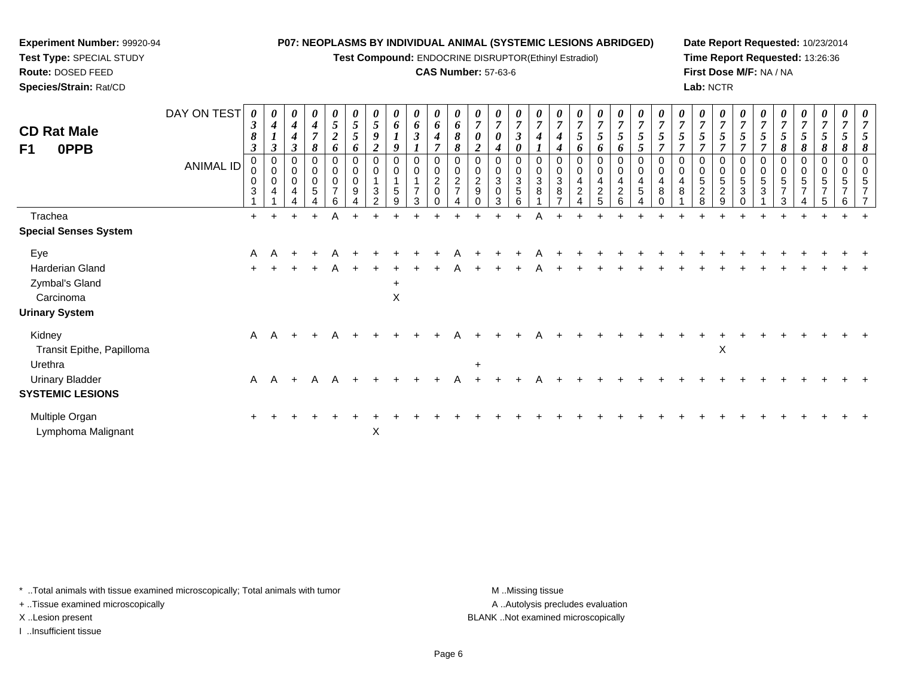**Test Compound:** ENDOCRINE DISRUPTOR(Ethinyl Estradiol)

#### **CAS Number:** 57-63-6

**Date Report Requested:** 10/23/2014**Time Report Requested:** 13:26:36**First Dose M/F:** NA / NA**Lab:** NCTR

| <b>CD Rat Male</b><br>F1<br>0PPB                                               | DAY ON TEST<br><b>ANIMAL ID</b> | 0<br>$\boldsymbol{\beta}$<br>8<br>$\boldsymbol{\beta}$<br>0<br>3 | $\boldsymbol{\theta}$<br>$\boldsymbol{4}$<br>$\boldsymbol{\beta}$<br>0<br>$\mathbf 0$<br>$\mathbf 0$<br>4 | $\boldsymbol{\theta}$<br>$\boldsymbol{4}$<br>$\boldsymbol{4}$<br>$\boldsymbol{\beta}$<br>0<br>$\pmb{0}$<br>0<br>4 | $\boldsymbol{\theta}$<br>$\boldsymbol{4}$<br>$\overline{7}$<br>8<br>0<br>$\mathbf 0$<br>$\mathbf 0$<br>5 | 0<br>5<br>$\overline{c}$<br>6<br>0<br>0<br>0<br>$\overline{ }$<br>6 | 0<br>$\mathfrak{s}$<br>$\sqrt{5}$<br>6<br>0<br>$\pmb{0}$<br>$\boldsymbol{9}$ | 0<br>$\mathfrak{s}$<br>9<br>$\overline{2}$<br>0<br>0<br>$\sqrt{3}$<br>$\mathfrak{p}$ | 0<br>6<br>$\boldsymbol{l}$<br>9<br>0<br>0<br>$\overline{1}$<br>$\sqrt{5}$<br>9 | $\boldsymbol{\theta}$<br>6<br>$\boldsymbol{\beta}$<br>0<br>$\mathbf 0$<br>$\overline{1}$<br>$\overline{7}$<br>3 | 0<br>6<br>4<br>0<br>0<br>$\overline{c}$<br>0 | $\pmb{\theta}$<br>6<br>8<br>8<br>$\pmb{0}$<br>$\boldsymbol{2}$<br>$\overline{7}$ | 0<br>$\overline{7}$<br>0<br>0<br>$\boldsymbol{2}$<br>$\boldsymbol{9}$ | $\boldsymbol{\theta}$<br>$\overline{7}$<br>0<br>4<br>0<br>$\mathbf 0$<br>$\ensuremath{\mathsf{3}}$<br>0<br>3 | $\boldsymbol{\theta}$<br>$\overline{7}$<br>$\boldsymbol{\beta}$<br>0<br>0<br>$\mathbf 0$<br>$\sqrt{3}$<br>$\sqrt{5}$<br>6 | 0<br>$\overline{7}$<br>0<br>$\mathbf 0$<br>3<br>8 | 0<br>4<br>0<br>$\sqrt{3}$<br>8 | 0<br>$\overline{7}$<br>6<br>0<br>4<br>$\overline{c}$ | 0<br>$\overline{7}$<br>5<br>6<br>0<br>$\boldsymbol{0}$<br>$\overline{4}$<br>$\overline{c}$<br>5 | $\boldsymbol{\theta}$<br>$\overline{7}$<br>$\mathfrak{s}$<br>6<br>0<br>$\pmb{0}$<br>$\begin{array}{c} 4 \\ 2 \end{array}$<br>6 | $\boldsymbol{\theta}$<br>$\overline{7}$<br>$\mathfrak{s}$<br>$\overline{5}$<br>0<br>$\mathbf 0$<br>$\overline{4}$<br>$\overline{5}$ | 0<br>$\boldsymbol{7}$<br>7<br>$\mathbf 0$<br>4<br>8 | 0<br>$\overline{7}$<br>0<br>$\mathbf 0$<br>4<br>8 | 0<br>$\overline{7}$<br>$\mathfrak{s}$<br>0<br>5<br>$\overline{c}$<br>8 | $\boldsymbol{\theta}$<br>$\overline{7}$<br>5<br>0<br>$\mathbf 0$<br>$\overline{5}$<br>$\overline{2}$<br>9 | 0<br>$\overline{7}$<br>5<br>0<br>$\mathbf 0$<br>5<br>3<br>0 | 0<br>7<br>7<br>$\mathbf 0$<br>5<br>3 | 0<br>$\overline{7}$<br>5<br>8<br>0<br>0<br>5<br>$\overline{\phantom{a}}$<br>3 | $\frac{\boldsymbol{0}}{7}$<br>$\sqrt{5}$<br>8<br>0<br>$\,0\,$<br>5<br>$\overline{ }$ | $\pmb{\theta}$<br>$\overline{7}$<br>$\sqrt{5}$<br>8<br>0<br>0<br>5<br>5 | $\boldsymbol{\theta}$<br>$\overline{7}$<br>5<br>8<br>0<br>0<br>5<br>$\overline{ }$<br>6 | $\boldsymbol{\theta}$<br>$\overline{7}$<br>5<br>8<br>$\Omega$<br>$\overline{7}$ |
|--------------------------------------------------------------------------------|---------------------------------|------------------------------------------------------------------|-----------------------------------------------------------------------------------------------------------|-------------------------------------------------------------------------------------------------------------------|----------------------------------------------------------------------------------------------------------|---------------------------------------------------------------------|------------------------------------------------------------------------------|--------------------------------------------------------------------------------------|--------------------------------------------------------------------------------|-----------------------------------------------------------------------------------------------------------------|----------------------------------------------|----------------------------------------------------------------------------------|-----------------------------------------------------------------------|--------------------------------------------------------------------------------------------------------------|---------------------------------------------------------------------------------------------------------------------------|---------------------------------------------------|--------------------------------|------------------------------------------------------|-------------------------------------------------------------------------------------------------|--------------------------------------------------------------------------------------------------------------------------------|-------------------------------------------------------------------------------------------------------------------------------------|-----------------------------------------------------|---------------------------------------------------|------------------------------------------------------------------------|-----------------------------------------------------------------------------------------------------------|-------------------------------------------------------------|--------------------------------------|-------------------------------------------------------------------------------|--------------------------------------------------------------------------------------|-------------------------------------------------------------------------|-----------------------------------------------------------------------------------------|---------------------------------------------------------------------------------|
| Trachea                                                                        |                                 | $+$                                                              |                                                                                                           | $\ddot{}$                                                                                                         | $+$                                                                                                      | Α                                                                   |                                                                              |                                                                                      |                                                                                |                                                                                                                 |                                              |                                                                                  |                                                                       |                                                                                                              |                                                                                                                           |                                                   |                                |                                                      |                                                                                                 |                                                                                                                                |                                                                                                                                     |                                                     |                                                   |                                                                        |                                                                                                           |                                                             |                                      |                                                                               |                                                                                      |                                                                         |                                                                                         |                                                                                 |
| <b>Special Senses System</b>                                                   |                                 |                                                                  |                                                                                                           |                                                                                                                   |                                                                                                          |                                                                     |                                                                              |                                                                                      |                                                                                |                                                                                                                 |                                              |                                                                                  |                                                                       |                                                                                                              |                                                                                                                           |                                                   |                                |                                                      |                                                                                                 |                                                                                                                                |                                                                                                                                     |                                                     |                                                   |                                                                        |                                                                                                           |                                                             |                                      |                                                                               |                                                                                      |                                                                         |                                                                                         |                                                                                 |
| Eye<br>Harderian Gland<br>Zymbal's Gland<br>Carcinoma<br><b>Urinary System</b> |                                 | A<br>$+$                                                         | $\overline{A}$                                                                                            |                                                                                                                   |                                                                                                          | A                                                                   |                                                                              |                                                                                      | $\ddot{}$<br>X                                                                 |                                                                                                                 |                                              |                                                                                  |                                                                       |                                                                                                              |                                                                                                                           |                                                   |                                |                                                      |                                                                                                 |                                                                                                                                |                                                                                                                                     |                                                     |                                                   |                                                                        |                                                                                                           |                                                             |                                      |                                                                               |                                                                                      |                                                                         |                                                                                         |                                                                                 |
| Kidney<br>Transit Epithe, Papilloma                                            |                                 |                                                                  | A A                                                                                                       | $+$                                                                                                               | $+$                                                                                                      | A                                                                   |                                                                              |                                                                                      |                                                                                |                                                                                                                 |                                              |                                                                                  |                                                                       |                                                                                                              |                                                                                                                           |                                                   |                                |                                                      |                                                                                                 |                                                                                                                                |                                                                                                                                     |                                                     |                                                   |                                                                        | X                                                                                                         |                                                             |                                      |                                                                               |                                                                                      |                                                                         |                                                                                         |                                                                                 |
| Urethra<br><b>Urinary Bladder</b><br><b>SYSTEMIC LESIONS</b>                   |                                 | $\mathsf{A}$                                                     | A                                                                                                         | $+$                                                                                                               | A                                                                                                        | A                                                                   |                                                                              |                                                                                      |                                                                                |                                                                                                                 |                                              |                                                                                  | $\ddot{}$                                                             |                                                                                                              |                                                                                                                           |                                                   |                                |                                                      |                                                                                                 |                                                                                                                                |                                                                                                                                     |                                                     |                                                   |                                                                        |                                                                                                           |                                                             |                                      |                                                                               |                                                                                      |                                                                         |                                                                                         |                                                                                 |
| Multiple Organ<br>Lymphoma Malignant                                           |                                 | $\pm$                                                            |                                                                                                           |                                                                                                                   |                                                                                                          |                                                                     |                                                                              | X                                                                                    |                                                                                |                                                                                                                 |                                              |                                                                                  |                                                                       |                                                                                                              |                                                                                                                           |                                                   |                                |                                                      |                                                                                                 |                                                                                                                                |                                                                                                                                     |                                                     |                                                   |                                                                        |                                                                                                           |                                                             |                                      |                                                                               |                                                                                      |                                                                         |                                                                                         |                                                                                 |

\* ..Total animals with tissue examined microscopically; Total animals with tumor **M** . Missing tissue M ..Missing tissue

+ ..Tissue examined microscopically

**Experiment Number:** 99920-94**Test Type:** SPECIAL STUDY**Route:** DOSED FEED**Species/Strain:** Rat/CD

I ..Insufficient tissue

A ..Autolysis precludes evaluation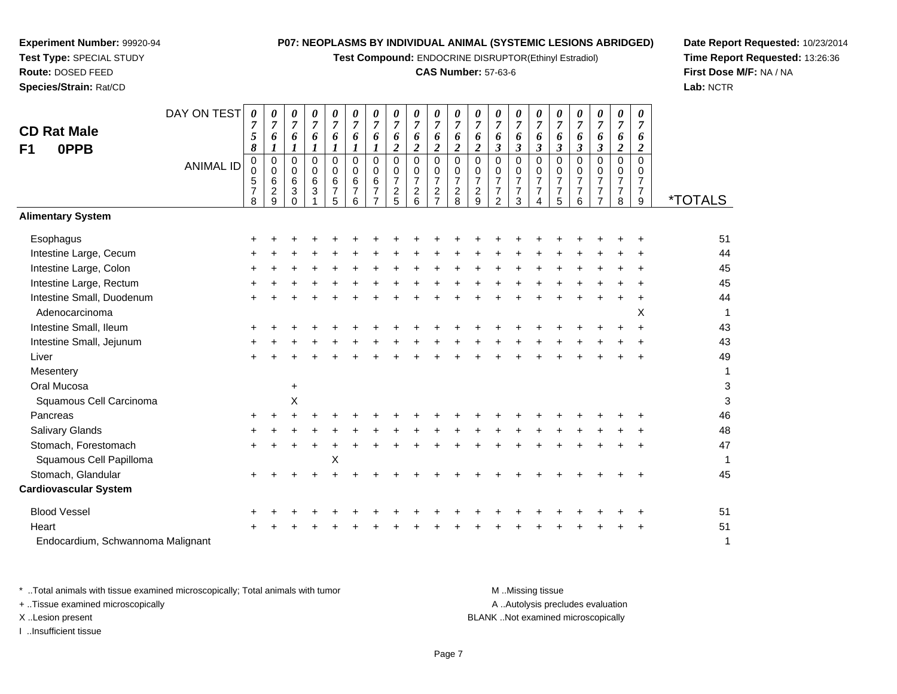**Test Compound:** ENDOCRINE DISRUPTOR(Ethinyl Estradiol)

## **CAS Number:** 57-63-6

**Date Report Requested:** 10/23/2014**Time Report Requested:** 13:26:36**First Dose M/F:** NA / NA**Lab:** NCTR

 $\mathsf 3$ 

| <b>CD Rat Male</b><br><b>OPPB</b><br>F <sub>1</sub> | DAY ON TEST      | 0<br>$\overline{7}$<br>5<br>8                | 0<br>7<br>6<br>1                                       | 0<br>$\overline{7}$<br>6<br>1                     | 0<br>$\overline{7}$<br>6<br>1       | 0<br>$\overline{7}$<br>6<br>$\boldsymbol{l}$    | 6<br>1                                 | 0<br>7<br>6<br>1                            | 0<br>$\overline{7}$<br>6<br>$\overline{c}$             | 0<br>$\overline{7}$<br>6<br>$\boldsymbol{2}$                     | 0<br>$\overline{7}$<br>6<br>$\overline{\mathbf{c}}$                           | 0<br>$\overline{7}$<br>6<br>$\overline{2}$                | 0<br>$\overline{7}$<br>6<br>$\overline{\mathbf{c}}$                 | 0<br>$\overline{7}$<br>6<br>$\boldsymbol{\beta}$                    | 0<br>$\overline{7}$<br>6<br>3                             | 0<br>$\overline{7}$<br>6<br>$\mathbf{3}$                            | 0<br>$\overline{7}$<br>6<br>$\boldsymbol{\beta}$       | 0<br>$\overline{7}$<br>6<br>3             | 0<br>$\overline{7}$<br>6<br>$\boldsymbol{\beta}$                                    | 0<br>7<br>6<br>$\boldsymbol{2}$                 | $\boldsymbol{\theta}$<br>$\overline{7}$<br>6<br>$\boldsymbol{2}$ |                       |
|-----------------------------------------------------|------------------|----------------------------------------------|--------------------------------------------------------|---------------------------------------------------|-------------------------------------|-------------------------------------------------|----------------------------------------|---------------------------------------------|--------------------------------------------------------|------------------------------------------------------------------|-------------------------------------------------------------------------------|-----------------------------------------------------------|---------------------------------------------------------------------|---------------------------------------------------------------------|-----------------------------------------------------------|---------------------------------------------------------------------|--------------------------------------------------------|-------------------------------------------|-------------------------------------------------------------------------------------|-------------------------------------------------|------------------------------------------------------------------|-----------------------|
|                                                     | <b>ANIMAL ID</b> | $\mathbf 0$<br>0<br>5<br>$\overline{7}$<br>8 | $\mathbf 0$<br>$\mathbf 0$<br>6<br>$\overline{c}$<br>9 | $\mathbf 0$<br>0<br>6<br>$\mathbf{3}$<br>$\Omega$ | 0<br>0<br>$\,6\,$<br>$\mathfrak{S}$ | $\overline{0}$<br>0<br>6<br>$\overline{7}$<br>5 | $\mathbf 0$<br>$\Omega$<br>6<br>7<br>6 | $\Omega$<br>$\Omega$<br>6<br>$\overline{7}$ | $\Omega$<br>0<br>$\overline{7}$<br>$\overline{c}$<br>5 | $\Omega$<br>$\mathbf 0$<br>$\overline{7}$<br>$\overline{c}$<br>6 | $\Omega$<br>$\mathbf 0$<br>$\overline{7}$<br>$\overline{c}$<br>$\overline{7}$ | 0<br>$\pmb{0}$<br>$\overline{7}$<br>$\boldsymbol{2}$<br>8 | $\mathbf 0$<br>$\mathbf 0$<br>$\overline{7}$<br>$\overline{c}$<br>9 | $\mathbf 0$<br>$\mathbf 0$<br>$\overline{7}$<br>$\overline{7}$<br>2 | $\mathbf 0$<br>0<br>$\overline{7}$<br>$\overline{7}$<br>3 | $\mathbf 0$<br>$\mathbf 0$<br>$\overline{7}$<br>$\overline{7}$<br>4 | $\Omega$<br>0<br>$\overline{7}$<br>$\overline{7}$<br>5 | $\Omega$<br>0<br>7<br>$\overline{7}$<br>6 | $\overline{0}$<br>$\mathbf 0$<br>$\overline{7}$<br>$\overline{7}$<br>$\overline{7}$ | 0<br>0<br>$\overline{7}$<br>$\overline{7}$<br>8 | $\Omega$<br>$\Omega$<br>$\overline{7}$<br>$\overline{7}$<br>9    | <i><b>*TOTALS</b></i> |
| <b>Alimentary System</b>                            |                  |                                              |                                                        |                                                   |                                     |                                                 |                                        |                                             |                                                        |                                                                  |                                                                               |                                                           |                                                                     |                                                                     |                                                           |                                                                     |                                                        |                                           |                                                                                     |                                                 |                                                                  |                       |
| Esophagus                                           |                  |                                              |                                                        |                                                   |                                     |                                                 |                                        |                                             |                                                        |                                                                  |                                                                               |                                                           |                                                                     |                                                                     |                                                           |                                                                     |                                                        |                                           |                                                                                     |                                                 |                                                                  | 51                    |
| Intestine Large, Cecum                              |                  |                                              |                                                        |                                                   |                                     |                                                 |                                        |                                             |                                                        |                                                                  |                                                                               |                                                           |                                                                     |                                                                     |                                                           |                                                                     |                                                        |                                           |                                                                                     |                                                 |                                                                  | 44                    |
| Intestine Large, Colon                              |                  |                                              |                                                        |                                                   |                                     |                                                 |                                        |                                             |                                                        |                                                                  |                                                                               |                                                           |                                                                     |                                                                     |                                                           |                                                                     |                                                        |                                           |                                                                                     |                                                 |                                                                  | 45                    |
| Intestine Large, Rectum                             |                  |                                              |                                                        |                                                   |                                     |                                                 |                                        |                                             |                                                        |                                                                  |                                                                               |                                                           |                                                                     |                                                                     |                                                           |                                                                     |                                                        |                                           |                                                                                     |                                                 |                                                                  | 45                    |
| Intestine Small, Duodenum                           |                  |                                              |                                                        |                                                   |                                     |                                                 |                                        |                                             |                                                        |                                                                  |                                                                               |                                                           |                                                                     |                                                                     |                                                           |                                                                     |                                                        |                                           |                                                                                     |                                                 |                                                                  | 44                    |
| Adenocarcinoma                                      |                  |                                              |                                                        |                                                   |                                     |                                                 |                                        |                                             |                                                        |                                                                  |                                                                               |                                                           |                                                                     |                                                                     |                                                           |                                                                     |                                                        |                                           |                                                                                     |                                                 | X                                                                | 1                     |
| Intestine Small, Ileum                              |                  |                                              |                                                        |                                                   |                                     |                                                 |                                        |                                             |                                                        |                                                                  |                                                                               |                                                           |                                                                     |                                                                     |                                                           |                                                                     |                                                        |                                           |                                                                                     |                                                 |                                                                  | 43                    |
| Intestine Small, Jejunum                            |                  |                                              |                                                        |                                                   |                                     |                                                 |                                        |                                             |                                                        |                                                                  |                                                                               |                                                           |                                                                     |                                                                     |                                                           |                                                                     |                                                        |                                           |                                                                                     |                                                 |                                                                  | 43                    |
| Liver                                               |                  |                                              |                                                        |                                                   |                                     |                                                 |                                        |                                             |                                                        |                                                                  |                                                                               |                                                           |                                                                     |                                                                     |                                                           |                                                                     |                                                        |                                           |                                                                                     |                                                 |                                                                  | 49                    |
| Mesentery                                           |                  |                                              |                                                        |                                                   |                                     |                                                 |                                        |                                             |                                                        |                                                                  |                                                                               |                                                           |                                                                     |                                                                     |                                                           |                                                                     |                                                        |                                           |                                                                                     |                                                 |                                                                  |                       |
| Oral Mucosa                                         |                  |                                              |                                                        | $\ddot{}$                                         |                                     |                                                 |                                        |                                             |                                                        |                                                                  |                                                                               |                                                           |                                                                     |                                                                     |                                                           |                                                                     |                                                        |                                           |                                                                                     |                                                 |                                                                  | 3                     |
| Squamous Cell Carcinoma                             |                  |                                              |                                                        | X                                                 |                                     |                                                 |                                        |                                             |                                                        |                                                                  |                                                                               |                                                           |                                                                     |                                                                     |                                                           |                                                                     |                                                        |                                           |                                                                                     |                                                 |                                                                  | 3                     |
| Pancreas                                            |                  |                                              |                                                        |                                                   |                                     |                                                 |                                        |                                             |                                                        |                                                                  |                                                                               |                                                           |                                                                     |                                                                     |                                                           |                                                                     |                                                        |                                           |                                                                                     |                                                 |                                                                  | 46                    |
| Salivary Glands                                     |                  |                                              |                                                        |                                                   |                                     |                                                 |                                        |                                             |                                                        |                                                                  |                                                                               |                                                           |                                                                     |                                                                     |                                                           |                                                                     |                                                        |                                           |                                                                                     |                                                 |                                                                  | 48                    |
| Stomach, Forestomach                                |                  |                                              |                                                        |                                                   |                                     |                                                 |                                        |                                             |                                                        |                                                                  |                                                                               |                                                           |                                                                     |                                                                     |                                                           |                                                                     |                                                        |                                           |                                                                                     |                                                 |                                                                  | 47                    |
| Squamous Cell Papilloma                             |                  |                                              |                                                        |                                                   |                                     | X                                               |                                        |                                             |                                                        |                                                                  |                                                                               |                                                           |                                                                     |                                                                     |                                                           |                                                                     |                                                        |                                           |                                                                                     |                                                 |                                                                  | 1                     |
| Stomach, Glandular                                  |                  |                                              |                                                        |                                                   |                                     |                                                 |                                        |                                             |                                                        |                                                                  |                                                                               |                                                           |                                                                     |                                                                     |                                                           |                                                                     |                                                        |                                           |                                                                                     |                                                 |                                                                  | 45                    |
| <b>Cardiovascular System</b>                        |                  |                                              |                                                        |                                                   |                                     |                                                 |                                        |                                             |                                                        |                                                                  |                                                                               |                                                           |                                                                     |                                                                     |                                                           |                                                                     |                                                        |                                           |                                                                                     |                                                 |                                                                  |                       |
| <b>Blood Vessel</b>                                 |                  |                                              |                                                        |                                                   |                                     |                                                 |                                        |                                             |                                                        |                                                                  |                                                                               |                                                           |                                                                     |                                                                     |                                                           |                                                                     |                                                        |                                           |                                                                                     |                                                 |                                                                  | 51                    |
| Heart                                               |                  |                                              |                                                        |                                                   |                                     |                                                 |                                        |                                             |                                                        |                                                                  |                                                                               |                                                           |                                                                     |                                                                     |                                                           |                                                                     |                                                        |                                           |                                                                                     |                                                 |                                                                  | 51                    |
| Endocardium, Schwannoma Malignant                   |                  |                                              |                                                        |                                                   |                                     |                                                 |                                        |                                             |                                                        |                                                                  |                                                                               |                                                           |                                                                     |                                                                     |                                                           |                                                                     |                                                        |                                           |                                                                                     |                                                 |                                                                  | 1                     |

**Experiment Number:** 99920-94**Test Type:** SPECIAL STUDY**Route:** DOSED FEED**Species/Strain:** Rat/CD

\* ..Total animals with tissue examined microscopically; Total animals with tumor **M** ...Missing tissue M ...Missing tissue A .. Autolysis precludes evaluation + ..Tissue examined microscopically X ..Lesion present BLANK ..Not examined microscopicallyI ..Insufficient tissue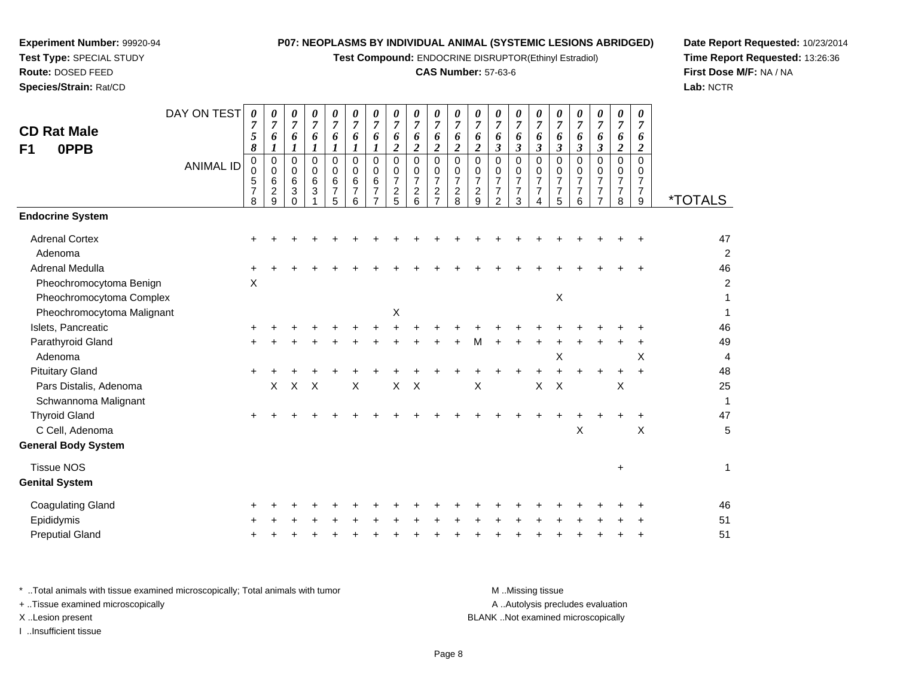**Test Compound:** ENDOCRINE DISRUPTOR(Ethinyl Estradiol)

### **CAS Number:** 57-63-6

*0 7*

*6 2*

**Date Report Requested:** 10/23/2014**Time Report Requested:** 13:26:36**First Dose M/F:** NA / NA**Lab:** NCTR

| <b>Pituitary Gland</b>                                                         | $+$ |    |   |              |   |  |       |  |   |                                    |   |              |   |           |       | 48             |
|--------------------------------------------------------------------------------|-----|----|---|--------------|---|--|-------|--|---|------------------------------------|---|--------------|---|-----------|-------|----------------|
| Pars Distalis, Adenoma                                                         |     | X. | X | $\mathsf{X}$ | X |  | $X$ X |  | X |                                    | X | $\mathsf{X}$ |   | X         |       | 25             |
| Schwannoma Malignant                                                           |     |    |   |              |   |  |       |  |   |                                    |   |              |   |           |       |                |
| <b>Thyroid Gland</b>                                                           | $+$ |    |   |              |   |  |       |  |   |                                    |   |              |   |           | $\pm$ | 47             |
| C Cell, Adenoma                                                                |     |    |   |              |   |  |       |  |   |                                    |   |              | X |           | X     |                |
| <b>General Body System</b>                                                     |     |    |   |              |   |  |       |  |   |                                    |   |              |   |           |       |                |
| <b>Tissue NOS</b>                                                              |     |    |   |              |   |  |       |  |   |                                    |   |              |   | $\ddot{}$ |       |                |
| <b>Genital System</b>                                                          |     |    |   |              |   |  |       |  |   |                                    |   |              |   |           |       |                |
| <b>Coagulating Gland</b>                                                       |     |    |   |              |   |  |       |  |   |                                    |   |              |   |           |       | 46             |
| Epididymis                                                                     | $+$ |    |   |              |   |  |       |  |   |                                    |   |              |   |           |       | 5 <sup>1</sup> |
| <b>Preputial Gland</b>                                                         | $+$ | ÷  |   |              |   |  |       |  |   |                                    |   |              |   |           | $\pm$ | 5 <sup>1</sup> |
| * Total animals with tissue examined microscopically; Total animals with tumor |     |    |   |              |   |  |       |  |   | M Missing tissue                   |   |              |   |           |       |                |
| + Tissue examined microscopically                                              |     |    |   |              |   |  |       |  |   | A  Autolysis precludes evaluation  |   |              |   |           |       |                |
| X Lesion present                                                               |     |    |   |              |   |  |       |  |   | BLANK Not examined microscopically |   |              |   |           |       |                |

I ..Insufficient tissue

## Expe **Test Rout**

DAY ON TEST

**Species/Strain:** Rat/CD

| eriment Number: 99920-94 |  |
|--------------------------|--|
| t Type: SPECIAL STUDY    |  |
| ite: DOSED FEED          |  |

**CD Rat MaleF1 0PPB**

|                            | <b>ANIMAL ID</b> | 0<br>0<br>$\frac{5}{7}$<br>8 | 0<br>0<br>6<br>$\boldsymbol{2}$<br>9 | 0<br>$\pmb{0}$<br>$\,6\,$<br>3<br>$\Omega$ | 0<br>$\pmb{0}$<br>$\,6\,$<br>$\mathbf{3}$ | 0<br>0<br>6<br>7<br>5 | 0<br>0<br>6<br>$\overline{7}$<br>6 | 0<br>$\mathsf{O}\xspace$<br>6<br>$\overline{7}$<br>$\overline{ }$ | 0<br>0<br>$\overline{7}$<br>$\frac{2}{5}$ | 0<br>$\pmb{0}$<br>$\overline{7}$<br>$\overline{\mathbf{c}}$<br>6 | 0<br>0<br>$\overline{7}$<br>$\overline{c}$<br>$\overline{ }$ | 0<br>0<br>$\overline{7}$<br>$\overline{a}$<br>8 | 0<br>$\pmb{0}$<br>$\overline{7}$<br>$\frac{2}{9}$ | 0<br>$\mathbf 0$<br>$\overline{7}$<br>$\overline{7}$<br>$\overline{2}$ | 0<br>$\begin{smallmatrix}0\\7\end{smallmatrix}$<br>$\overline{7}$<br>3 | 0<br>$\frac{0}{7}$<br>$\overline{7}$<br>$\overline{4}$ | 0<br>$\frac{0}{7}$<br>$\overline{7}$<br>5 | 0<br>0<br>$\overline{7}$<br>$\overline{7}$<br>6 | 0<br>0<br>$\overline{7}$<br>$\overline{7}$<br>$\overline{\phantom{a}}$ | 0<br>0<br>$\overline{7}$<br>$\overline{7}$<br>8 | 0<br>0<br>$\overline{7}$<br>7<br>9 | <i><b>*TOTALS</b></i> |
|----------------------------|------------------|------------------------------|--------------------------------------|--------------------------------------------|-------------------------------------------|-----------------------|------------------------------------|-------------------------------------------------------------------|-------------------------------------------|------------------------------------------------------------------|--------------------------------------------------------------|-------------------------------------------------|---------------------------------------------------|------------------------------------------------------------------------|------------------------------------------------------------------------|--------------------------------------------------------|-------------------------------------------|-------------------------------------------------|------------------------------------------------------------------------|-------------------------------------------------|------------------------------------|-----------------------|
| <b>Endocrine System</b>    |                  |                              |                                      |                                            |                                           |                       |                                    |                                                                   |                                           |                                                                  |                                                              |                                                 |                                                   |                                                                        |                                                                        |                                                        |                                           |                                                 |                                                                        |                                                 |                                    |                       |
| <b>Adrenal Cortex</b>      |                  | +                            |                                      |                                            |                                           |                       |                                    |                                                                   |                                           |                                                                  |                                                              |                                                 |                                                   |                                                                        |                                                                        |                                                        |                                           |                                                 |                                                                        |                                                 |                                    | 47                    |
| Adenoma                    |                  |                              |                                      |                                            |                                           |                       |                                    |                                                                   |                                           |                                                                  |                                                              |                                                 |                                                   |                                                                        |                                                                        |                                                        |                                           |                                                 |                                                                        |                                                 |                                    | $\overline{2}$        |
| Adrenal Medulla            |                  | +                            |                                      |                                            |                                           |                       |                                    |                                                                   |                                           |                                                                  |                                                              |                                                 |                                                   |                                                                        |                                                                        |                                                        |                                           |                                                 |                                                                        |                                                 |                                    | 46                    |
| Pheochromocytoma Benign    |                  | $\mathsf X$                  |                                      |                                            |                                           |                       |                                    |                                                                   |                                           |                                                                  |                                                              |                                                 |                                                   |                                                                        |                                                                        |                                                        |                                           |                                                 |                                                                        |                                                 |                                    | 2                     |
| Pheochromocytoma Complex   |                  |                              |                                      |                                            |                                           |                       |                                    |                                                                   |                                           |                                                                  |                                                              |                                                 |                                                   |                                                                        |                                                                        |                                                        | X                                         |                                                 |                                                                        |                                                 |                                    |                       |
| Pheochromocytoma Malignant |                  |                              |                                      |                                            |                                           |                       |                                    |                                                                   | Χ                                         |                                                                  |                                                              |                                                 |                                                   |                                                                        |                                                                        |                                                        |                                           |                                                 |                                                                        |                                                 |                                    |                       |
| Islets, Pancreatic         |                  |                              |                                      |                                            |                                           |                       |                                    |                                                                   |                                           |                                                                  |                                                              |                                                 |                                                   |                                                                        |                                                                        |                                                        |                                           |                                                 |                                                                        |                                                 |                                    | 46                    |
| Parathyroid Gland          |                  |                              |                                      |                                            |                                           |                       |                                    |                                                                   |                                           |                                                                  |                                                              |                                                 | м                                                 |                                                                        |                                                                        |                                                        |                                           |                                                 |                                                                        |                                                 |                                    | 49                    |
| Adenoma                    |                  |                              |                                      |                                            |                                           |                       |                                    |                                                                   |                                           |                                                                  |                                                              |                                                 |                                                   |                                                                        |                                                                        |                                                        | X                                         |                                                 |                                                                        |                                                 | X                                  | 4                     |
| <b>Pituitary Gland</b>     |                  |                              |                                      |                                            |                                           |                       |                                    |                                                                   |                                           |                                                                  |                                                              |                                                 |                                                   |                                                                        |                                                                        |                                                        |                                           |                                                 |                                                                        |                                                 |                                    | 48                    |
| Pars Distalis, Adenoma     |                  |                              | X                                    | $\mathsf{X}$                               | $\boldsymbol{\mathsf{X}}$                 |                       | X                                  |                                                                   | $\mathsf{X}$                              | $\boldsymbol{\mathsf{X}}$                                        |                                                              |                                                 | X                                                 |                                                                        |                                                                        | X                                                      | $\boldsymbol{\mathsf{X}}$                 |                                                 |                                                                        | X                                               |                                    | 25                    |
| Schwannoma Malignant       |                  |                              |                                      |                                            |                                           |                       |                                    |                                                                   |                                           |                                                                  |                                                              |                                                 |                                                   |                                                                        |                                                                        |                                                        |                                           |                                                 |                                                                        |                                                 |                                    | 1                     |
| <b>Thyroid Gland</b>       |                  |                              |                                      |                                            |                                           |                       |                                    |                                                                   |                                           |                                                                  |                                                              |                                                 |                                                   |                                                                        |                                                                        |                                                        |                                           |                                                 |                                                                        |                                                 |                                    | 47                    |
| C Cell, Adenoma            |                  |                              |                                      |                                            |                                           |                       |                                    |                                                                   |                                           |                                                                  |                                                              |                                                 |                                                   |                                                                        |                                                                        |                                                        |                                           | $\mathsf X$                                     |                                                                        |                                                 | X                                  | 5                     |
| <b>General Body System</b> |                  |                              |                                      |                                            |                                           |                       |                                    |                                                                   |                                           |                                                                  |                                                              |                                                 |                                                   |                                                                        |                                                                        |                                                        |                                           |                                                 |                                                                        |                                                 |                                    |                       |
| <b>Tissue NOS</b>          |                  |                              |                                      |                                            |                                           |                       |                                    |                                                                   |                                           |                                                                  |                                                              |                                                 |                                                   |                                                                        |                                                                        |                                                        |                                           |                                                 |                                                                        | $\ddot{}$                                       |                                    |                       |
| <b>Genital System</b>      |                  |                              |                                      |                                            |                                           |                       |                                    |                                                                   |                                           |                                                                  |                                                              |                                                 |                                                   |                                                                        |                                                                        |                                                        |                                           |                                                 |                                                                        |                                                 |                                    |                       |
| <b>Coagulating Gland</b>   |                  |                              |                                      |                                            |                                           |                       |                                    |                                                                   |                                           |                                                                  |                                                              |                                                 |                                                   |                                                                        |                                                                        |                                                        |                                           |                                                 |                                                                        |                                                 |                                    | 46                    |
| Epididymis                 |                  |                              |                                      |                                            |                                           |                       |                                    |                                                                   |                                           |                                                                  |                                                              |                                                 |                                                   |                                                                        |                                                                        |                                                        |                                           |                                                 |                                                                        |                                                 |                                    | 51                    |
| <b>Preputial Gland</b>     |                  |                              |                                      |                                            |                                           |                       |                                    |                                                                   |                                           |                                                                  |                                                              |                                                 |                                                   |                                                                        |                                                                        |                                                        |                                           |                                                 |                                                                        |                                                 |                                    | 51                    |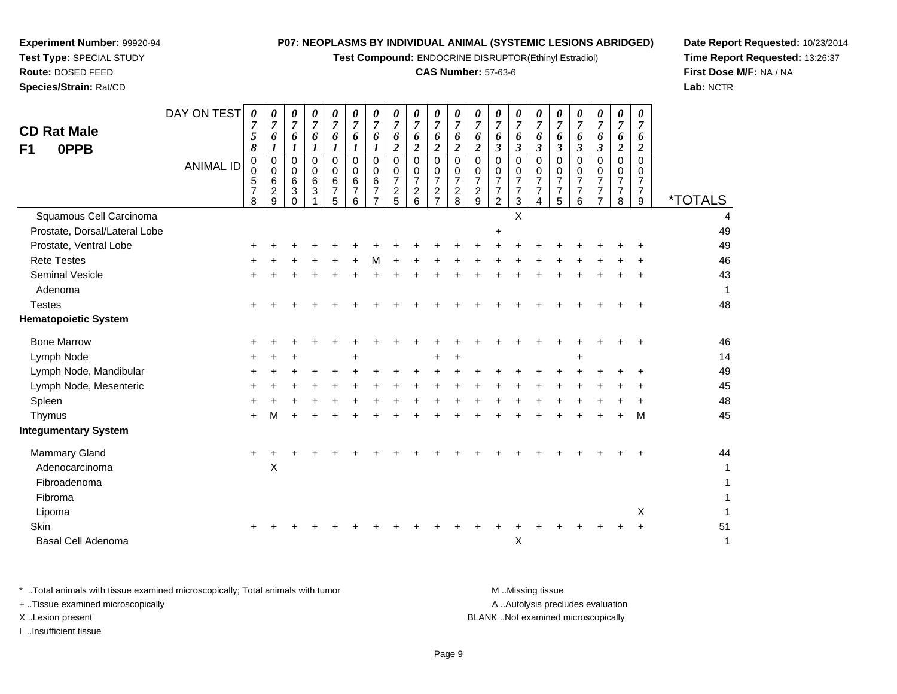**Test Compound:** ENDOCRINE DISRUPTOR(Ethinyl Estradiol)

## **CAS Number:** 57-63-6

**Date Report Requested:** 10/23/2014 **Time Report Requested:** 13:26:37**First Dose M/F:** NA / NA**Lab:** NCTR

| <b>CD Rat Male</b><br>0PPB<br>F <sub>1</sub> | DAY ON TEST<br><b>ANIMAL ID</b> | $\boldsymbol{\theta}$<br>7<br>5<br>8<br>0<br>$\mathbf 0$<br>5<br>$\overline{7}$ | 0<br>$\overline{7}$<br>6<br>0<br>0<br>$6\phantom{1}$<br>$\overline{a}$ | 0<br>$\overline{7}$<br>6<br>1<br>$\mathbf 0$<br>$\mathbf 0$<br>$\,6\,$<br>3 | 0<br>$\overline{7}$<br>6<br>1<br>0<br>$\mathbf 0$<br>6<br>3 | 0<br>7<br>6<br>1<br>0<br>0<br>$\,6\,$<br>$\overline{7}$ | 0<br>$\overline{7}$<br>6<br>1<br>$\mathbf 0$<br>$\Omega$<br>6<br>$\overline{7}$ | 0<br>$\overline{7}$<br>6<br>1<br>0<br>0<br>6<br>7 | 0<br>$\overline{7}$<br>6<br>$\overline{\mathbf{c}}$<br>$\Omega$<br>0<br>$\overline{7}$<br>$\overline{c}$ | 0<br>$\overline{7}$<br>6<br>$\overline{\mathbf{2}}$<br>$\Omega$<br>0<br>$\overline{7}$ | 0<br>$\overline{7}$<br>6<br>$\boldsymbol{2}$<br>$\mathbf 0$<br>$\pmb{0}$<br>$\overline{7}$<br>$\overline{c}$ | 0<br>$\overline{7}$<br>6<br>$\overline{c}$<br>0<br>0<br>$\overline{7}$ | 0<br>$\overline{7}$<br>6<br>$\overline{2}$<br>$\Omega$<br>0<br>$\overline{7}$<br>$\boldsymbol{2}$ | 0<br>$\overline{7}$<br>6<br>$\mathfrak{z}$<br>$\mathbf 0$<br>0<br>$\overline{7}$<br>$\overline{7}$ | 0<br>$\overline{7}$<br>6<br>$\boldsymbol{\beta}$<br>$\pmb{0}$<br>0<br>$\overline{7}$<br>$\overline{7}$ | 0<br>$\overline{7}$<br>6<br>$\boldsymbol{\beta}$<br>$\mathbf 0$<br>0<br>$\overline{7}$<br>$\overline{7}$ | 0<br>$\overline{7}$<br>6<br>3<br>0<br>0<br>$\overline{7}$<br>$\overline{7}$ | 0<br>$\overline{7}$<br>6<br>$\boldsymbol{\beta}$<br>$\mathbf 0$<br>$\mathbf 0$<br>$\overline{7}$<br>$\overline{7}$ | 0<br>$\overline{7}$<br>6<br>3<br>0<br>$\mathbf 0$<br>$\overline{7}$<br>$\overline{7}$ | $\pmb{\theta}$<br>$\boldsymbol{7}$<br>6<br>$\boldsymbol{2}$<br>$\mathbf 0$<br>0<br>$\overline{7}$<br>$\overline{7}$ | 0<br>$\overline{7}$<br>6<br>2<br>$\Omega$<br>0<br>$\overline{7}$<br>7 |                       |
|----------------------------------------------|---------------------------------|---------------------------------------------------------------------------------|------------------------------------------------------------------------|-----------------------------------------------------------------------------|-------------------------------------------------------------|---------------------------------------------------------|---------------------------------------------------------------------------------|---------------------------------------------------|----------------------------------------------------------------------------------------------------------|----------------------------------------------------------------------------------------|--------------------------------------------------------------------------------------------------------------|------------------------------------------------------------------------|---------------------------------------------------------------------------------------------------|----------------------------------------------------------------------------------------------------|--------------------------------------------------------------------------------------------------------|----------------------------------------------------------------------------------------------------------|-----------------------------------------------------------------------------|--------------------------------------------------------------------------------------------------------------------|---------------------------------------------------------------------------------------|---------------------------------------------------------------------------------------------------------------------|-----------------------------------------------------------------------|-----------------------|
|                                              |                                 | 8                                                                               | 9                                                                      | $\Omega$                                                                    |                                                             | 5                                                       | 6                                                                               | $\overline{7}$                                    | 5                                                                                                        | $\frac{2}{6}$                                                                          | $\overline{7}$                                                                                               | $\frac{2}{8}$                                                          | 9                                                                                                 | $\overline{2}$                                                                                     | 3                                                                                                      | 4                                                                                                        | 5                                                                           | 6                                                                                                                  | $\overline{7}$                                                                        | 8                                                                                                                   | 9                                                                     | <i><b>*TOTALS</b></i> |
| Squamous Cell Carcinoma                      |                                 |                                                                                 |                                                                        |                                                                             |                                                             |                                                         |                                                                                 |                                                   |                                                                                                          |                                                                                        |                                                                                                              |                                                                        |                                                                                                   |                                                                                                    | X                                                                                                      |                                                                                                          |                                                                             |                                                                                                                    |                                                                                       |                                                                                                                     |                                                                       |                       |
| Prostate, Dorsal/Lateral Lobe                |                                 |                                                                                 |                                                                        |                                                                             |                                                             |                                                         |                                                                                 |                                                   |                                                                                                          |                                                                                        |                                                                                                              |                                                                        |                                                                                                   | +                                                                                                  |                                                                                                        |                                                                                                          |                                                                             |                                                                                                                    |                                                                                       |                                                                                                                     |                                                                       | 49                    |
| Prostate, Ventral Lobe                       |                                 |                                                                                 |                                                                        |                                                                             |                                                             |                                                         |                                                                                 |                                                   |                                                                                                          |                                                                                        |                                                                                                              |                                                                        |                                                                                                   |                                                                                                    |                                                                                                        |                                                                                                          |                                                                             |                                                                                                                    |                                                                                       |                                                                                                                     |                                                                       | 49                    |
| <b>Rete Testes</b>                           |                                 |                                                                                 |                                                                        |                                                                             |                                                             |                                                         |                                                                                 |                                                   |                                                                                                          |                                                                                        |                                                                                                              |                                                                        |                                                                                                   |                                                                                                    |                                                                                                        |                                                                                                          |                                                                             |                                                                                                                    |                                                                                       |                                                                                                                     |                                                                       | 46                    |
| <b>Seminal Vesicle</b>                       |                                 |                                                                                 |                                                                        |                                                                             |                                                             |                                                         |                                                                                 |                                                   |                                                                                                          |                                                                                        |                                                                                                              |                                                                        |                                                                                                   |                                                                                                    |                                                                                                        |                                                                                                          |                                                                             |                                                                                                                    |                                                                                       |                                                                                                                     |                                                                       | 43                    |
| Adenoma                                      |                                 |                                                                                 |                                                                        |                                                                             |                                                             |                                                         |                                                                                 |                                                   |                                                                                                          |                                                                                        |                                                                                                              |                                                                        |                                                                                                   |                                                                                                    |                                                                                                        |                                                                                                          |                                                                             |                                                                                                                    |                                                                                       |                                                                                                                     |                                                                       | 1                     |
| <b>Testes</b>                                |                                 |                                                                                 |                                                                        |                                                                             |                                                             |                                                         |                                                                                 |                                                   |                                                                                                          |                                                                                        |                                                                                                              |                                                                        |                                                                                                   |                                                                                                    |                                                                                                        |                                                                                                          |                                                                             |                                                                                                                    |                                                                                       |                                                                                                                     |                                                                       | 48                    |
| <b>Hematopoietic System</b>                  |                                 |                                                                                 |                                                                        |                                                                             |                                                             |                                                         |                                                                                 |                                                   |                                                                                                          |                                                                                        |                                                                                                              |                                                                        |                                                                                                   |                                                                                                    |                                                                                                        |                                                                                                          |                                                                             |                                                                                                                    |                                                                                       |                                                                                                                     |                                                                       |                       |
| <b>Bone Marrow</b>                           |                                 |                                                                                 |                                                                        |                                                                             |                                                             |                                                         |                                                                                 |                                                   |                                                                                                          |                                                                                        |                                                                                                              |                                                                        |                                                                                                   |                                                                                                    |                                                                                                        |                                                                                                          |                                                                             |                                                                                                                    |                                                                                       |                                                                                                                     |                                                                       | 46                    |
| Lymph Node                                   |                                 |                                                                                 | ÷                                                                      | +                                                                           |                                                             |                                                         |                                                                                 |                                                   |                                                                                                          |                                                                                        |                                                                                                              | +                                                                      |                                                                                                   |                                                                                                    |                                                                                                        |                                                                                                          |                                                                             | +                                                                                                                  |                                                                                       |                                                                                                                     |                                                                       | 14                    |
| Lymph Node, Mandibular                       |                                 |                                                                                 |                                                                        |                                                                             |                                                             |                                                         |                                                                                 |                                                   |                                                                                                          |                                                                                        |                                                                                                              |                                                                        |                                                                                                   |                                                                                                    |                                                                                                        |                                                                                                          |                                                                             |                                                                                                                    |                                                                                       |                                                                                                                     |                                                                       | 49                    |
| Lymph Node, Mesenteric                       |                                 |                                                                                 |                                                                        |                                                                             |                                                             |                                                         |                                                                                 |                                                   |                                                                                                          |                                                                                        |                                                                                                              |                                                                        |                                                                                                   |                                                                                                    |                                                                                                        |                                                                                                          |                                                                             |                                                                                                                    |                                                                                       |                                                                                                                     |                                                                       | 45                    |
| Spleen                                       |                                 |                                                                                 |                                                                        |                                                                             |                                                             |                                                         |                                                                                 |                                                   |                                                                                                          |                                                                                        |                                                                                                              |                                                                        |                                                                                                   |                                                                                                    |                                                                                                        |                                                                                                          |                                                                             |                                                                                                                    |                                                                                       |                                                                                                                     |                                                                       | 48                    |
| Thymus                                       |                                 |                                                                                 | м                                                                      |                                                                             |                                                             |                                                         |                                                                                 |                                                   |                                                                                                          |                                                                                        |                                                                                                              |                                                                        |                                                                                                   |                                                                                                    |                                                                                                        |                                                                                                          |                                                                             |                                                                                                                    |                                                                                       |                                                                                                                     | M                                                                     | 45                    |
| <b>Integumentary System</b>                  |                                 |                                                                                 |                                                                        |                                                                             |                                                             |                                                         |                                                                                 |                                                   |                                                                                                          |                                                                                        |                                                                                                              |                                                                        |                                                                                                   |                                                                                                    |                                                                                                        |                                                                                                          |                                                                             |                                                                                                                    |                                                                                       |                                                                                                                     |                                                                       |                       |
| <b>Mammary Gland</b>                         |                                 |                                                                                 |                                                                        |                                                                             |                                                             |                                                         |                                                                                 |                                                   |                                                                                                          |                                                                                        |                                                                                                              |                                                                        |                                                                                                   |                                                                                                    |                                                                                                        |                                                                                                          |                                                                             |                                                                                                                    |                                                                                       |                                                                                                                     |                                                                       | 44                    |
| Adenocarcinoma                               |                                 |                                                                                 | X                                                                      |                                                                             |                                                             |                                                         |                                                                                 |                                                   |                                                                                                          |                                                                                        |                                                                                                              |                                                                        |                                                                                                   |                                                                                                    |                                                                                                        |                                                                                                          |                                                                             |                                                                                                                    |                                                                                       |                                                                                                                     |                                                                       |                       |
| Fibroadenoma                                 |                                 |                                                                                 |                                                                        |                                                                             |                                                             |                                                         |                                                                                 |                                                   |                                                                                                          |                                                                                        |                                                                                                              |                                                                        |                                                                                                   |                                                                                                    |                                                                                                        |                                                                                                          |                                                                             |                                                                                                                    |                                                                                       |                                                                                                                     |                                                                       |                       |
| Fibroma                                      |                                 |                                                                                 |                                                                        |                                                                             |                                                             |                                                         |                                                                                 |                                                   |                                                                                                          |                                                                                        |                                                                                                              |                                                                        |                                                                                                   |                                                                                                    |                                                                                                        |                                                                                                          |                                                                             |                                                                                                                    |                                                                                       |                                                                                                                     |                                                                       |                       |
| Lipoma                                       |                                 |                                                                                 |                                                                        |                                                                             |                                                             |                                                         |                                                                                 |                                                   |                                                                                                          |                                                                                        |                                                                                                              |                                                                        |                                                                                                   |                                                                                                    |                                                                                                        |                                                                                                          |                                                                             |                                                                                                                    |                                                                                       |                                                                                                                     | X                                                                     |                       |
| Skin                                         |                                 |                                                                                 |                                                                        |                                                                             |                                                             |                                                         |                                                                                 |                                                   |                                                                                                          |                                                                                        |                                                                                                              |                                                                        |                                                                                                   |                                                                                                    |                                                                                                        |                                                                                                          |                                                                             |                                                                                                                    |                                                                                       |                                                                                                                     |                                                                       | 51                    |
| <b>Basal Cell Adenoma</b>                    |                                 |                                                                                 |                                                                        |                                                                             |                                                             |                                                         |                                                                                 |                                                   |                                                                                                          |                                                                                        |                                                                                                              |                                                                        |                                                                                                   |                                                                                                    | X                                                                                                      |                                                                                                          |                                                                             |                                                                                                                    |                                                                                       |                                                                                                                     |                                                                       | 1                     |
|                                              |                                 |                                                                                 |                                                                        |                                                                             |                                                             |                                                         |                                                                                 |                                                   |                                                                                                          |                                                                                        |                                                                                                              |                                                                        |                                                                                                   |                                                                                                    |                                                                                                        |                                                                                                          |                                                                             |                                                                                                                    |                                                                                       |                                                                                                                     |                                                                       |                       |

| Total animals with tissue examined microscopically; Total animals with tumor | M Missing tissue                   |
|------------------------------------------------------------------------------|------------------------------------|
| + Tissue examined microscopically                                            | A Autolysis precludes evaluation   |
| XLesion present                                                              | BLANK Not examined microscopically |
| …Insufficient tissue                                                         |                                    |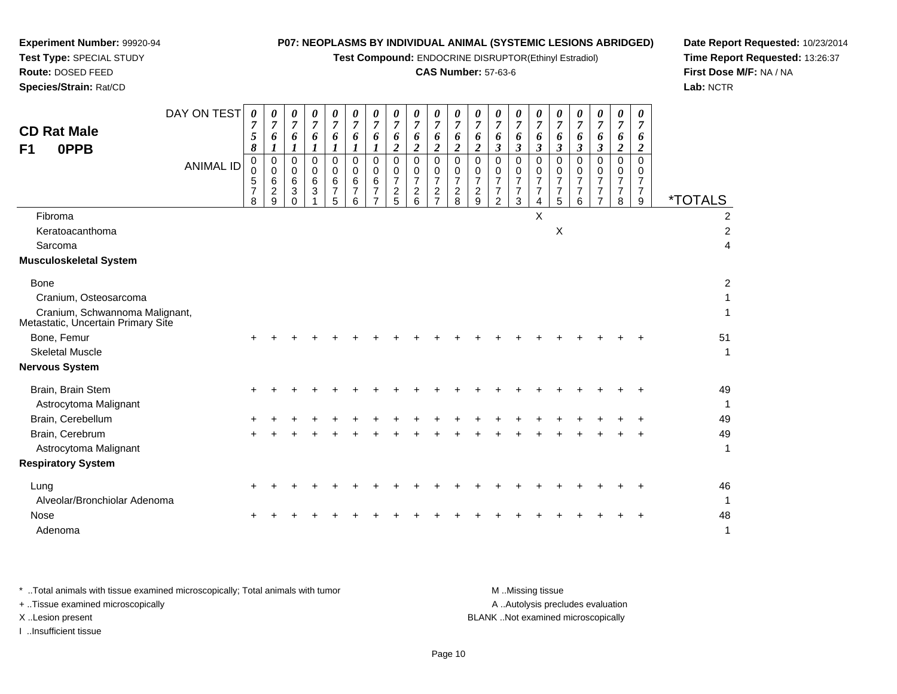**Test Compound:** ENDOCRINE DISRUPTOR(Ethinyl Estradiol)

## **CAS Number:** 57-63-6

**Date Report Requested:** 10/23/2014**Time Report Requested:** 13:26:37**First Dose M/F:** NA / NA**Lab:** NCTR

| DAY ON TEST<br>0<br>0<br>0<br>0<br>0<br>0<br>0<br>$\boldsymbol{\theta}$<br>$\theta$<br>0<br>0<br>$\boldsymbol{\theta}$<br>$\theta$<br>$\theta$<br>0<br>0<br>$\theta$<br>$\overline{7}$<br>$\overline{7}$<br>$\overline{7}$<br>$\overline{7}$<br>$\boldsymbol{7}$<br>$\overline{7}$<br>$\boldsymbol{7}$<br>$\overline{7}$<br>$\overline{7}$<br>$\boldsymbol{7}$<br>$\overline{7}$<br>$\overline{7}$<br>$\overline{7}$<br>$\overline{7}$<br>$\overline{7}$<br>$\overline{7}$<br>$\overline{7}$<br>$\overline{7}$<br>$\overline{7}$<br><b>CD Rat Male</b><br>5<br>6<br>6<br>6<br>6<br>6<br>6<br>6<br>6<br>6<br>6<br>6<br>6<br>6<br>6<br>6<br>6<br>6<br>6<br>$\boldsymbol{\beta}$<br>$\boldsymbol{\beta}$<br>8<br>$\boldsymbol{2}$<br>$\boldsymbol{2}$<br>$\boldsymbol{2}$<br>$\overline{2}$<br>$\boldsymbol{\beta}$<br>$\boldsymbol{\beta}$<br>$\boldsymbol{\beta}$<br>$\boldsymbol{\beta}$<br>$\boldsymbol{2}$<br>$\boldsymbol{l}$<br>$\boldsymbol{l}$<br>1<br>1<br>$\boldsymbol{2}$<br>0PPB<br>$\boldsymbol{l}$<br>F1<br>0<br>$\Omega$<br>$\Omega$<br>$\Omega$<br>$\Omega$<br>$\mathbf 0$<br>$\mathbf 0$<br>$\Omega$<br>$\Omega$<br>$\mathbf 0$<br>$\Omega$<br>$\Omega$<br>$\Omega$<br>0<br>0<br>$\Omega$<br>$\Omega$<br>$\Omega$<br>$\Omega$<br><b>ANIMAL ID</b><br>$\pmb{0}$<br>$\mathbf 0$<br>0<br>$\mathbf 0$<br>$\mathbf 0$<br>$\mathbf 0$<br>$\mathbf 0$<br>0<br>0<br>0<br>$\Omega$<br>0<br>0<br>0<br>0<br>$\Omega$<br>$\Omega$<br>0<br>$\Omega$<br>$\sqrt{5}$<br>6<br>$\overline{7}$<br>$\overline{7}$<br>6<br>$\overline{7}$<br>$\overline{7}$<br>$\overline{7}$<br>$\overline{7}$<br>$\overline{7}$<br>$\overline{7}$<br>$\overline{7}$<br>6<br>6<br>6<br>7<br>7<br>$\overline{7}$<br>6<br>$\overline{7}$<br>$\overline{c}$<br>7<br>$\overline{c}$<br>$\boldsymbol{2}$<br>$\boldsymbol{2}$<br>$\frac{2}{8}$<br>$\overline{c}$<br>$\overline{7}$<br>3<br>3<br>$\overline{7}$<br>7<br>$\overline{7}$<br>$\overline{7}$<br>$\overline{7}$<br>7<br>7<br>7<br>5<br>6<br>$\overline{7}$<br>$\overline{2}$<br>3<br>5<br>8<br>$\Omega$<br>5<br>6<br>9<br>$\overline{7}$<br>9<br>$\overline{7}$<br>$\overline{4}$<br>6<br>8<br>X<br>Fibroma<br>$\boldsymbol{\mathsf{X}}$<br>Keratoacanthoma<br>Sarcoma<br>Musculoskeletal System<br><b>Bone</b><br>Cranium, Osteosarcoma<br>Cranium, Schwannoma Malignant,<br>Metastatic, Uncertain Primary Site<br>Bone, Femur<br><b>Skeletal Muscle</b><br>Nervous System<br>Brain, Brain Stem<br>Astrocytoma Malignant<br>Brain, Cerebellum<br>Brain, Cerebrum<br>Astrocytoma Malignant<br><b>Respiratory System</b><br>Lung |                                                                    |  |  |  |  |  |  |  |  |  |                              |
|----------------------------------------------------------------------------------------------------------------------------------------------------------------------------------------------------------------------------------------------------------------------------------------------------------------------------------------------------------------------------------------------------------------------------------------------------------------------------------------------------------------------------------------------------------------------------------------------------------------------------------------------------------------------------------------------------------------------------------------------------------------------------------------------------------------------------------------------------------------------------------------------------------------------------------------------------------------------------------------------------------------------------------------------------------------------------------------------------------------------------------------------------------------------------------------------------------------------------------------------------------------------------------------------------------------------------------------------------------------------------------------------------------------------------------------------------------------------------------------------------------------------------------------------------------------------------------------------------------------------------------------------------------------------------------------------------------------------------------------------------------------------------------------------------------------------------------------------------------------------------------------------------------------------------------------------------------------------------------------------------------------------------------------------------------------------------------------------------------------------------------------------------------------------------------------------------------------------------------------------------------------------------------------------------------------------------------------------------------------------------------------------------------------------------------------------------------------------------------------------------------------------------------------------------------------|--------------------------------------------------------------------|--|--|--|--|--|--|--|--|--|------------------------------|
|                                                                                                                                                                                                                                                                                                                                                                                                                                                                                                                                                                                                                                                                                                                                                                                                                                                                                                                                                                                                                                                                                                                                                                                                                                                                                                                                                                                                                                                                                                                                                                                                                                                                                                                                                                                                                                                                                                                                                                                                                                                                                                                                                                                                                                                                                                                                                                                                                                                                                                                                                                | 0<br>$\overline{\mathcal{I}}$<br>6<br>$\overline{\mathbf{2}}$      |  |  |  |  |  |  |  |  |  |                              |
|                                                                                                                                                                                                                                                                                                                                                                                                                                                                                                                                                                                                                                                                                                                                                                                                                                                                                                                                                                                                                                                                                                                                                                                                                                                                                                                                                                                                                                                                                                                                                                                                                                                                                                                                                                                                                                                                                                                                                                                                                                                                                                                                                                                                                                                                                                                                                                                                                                                                                                                                                                | $\Omega$<br>0<br>$\overline{7}$<br>7<br><i><b>*TOTALS</b></i><br>9 |  |  |  |  |  |  |  |  |  |                              |
|                                                                                                                                                                                                                                                                                                                                                                                                                                                                                                                                                                                                                                                                                                                                                                                                                                                                                                                                                                                                                                                                                                                                                                                                                                                                                                                                                                                                                                                                                                                                                                                                                                                                                                                                                                                                                                                                                                                                                                                                                                                                                                                                                                                                                                                                                                                                                                                                                                                                                                                                                                | $\boldsymbol{2}$                                                   |  |  |  |  |  |  |  |  |  |                              |
|                                                                                                                                                                                                                                                                                                                                                                                                                                                                                                                                                                                                                                                                                                                                                                                                                                                                                                                                                                                                                                                                                                                                                                                                                                                                                                                                                                                                                                                                                                                                                                                                                                                                                                                                                                                                                                                                                                                                                                                                                                                                                                                                                                                                                                                                                                                                                                                                                                                                                                                                                                | $\boldsymbol{2}$                                                   |  |  |  |  |  |  |  |  |  |                              |
|                                                                                                                                                                                                                                                                                                                                                                                                                                                                                                                                                                                                                                                                                                                                                                                                                                                                                                                                                                                                                                                                                                                                                                                                                                                                                                                                                                                                                                                                                                                                                                                                                                                                                                                                                                                                                                                                                                                                                                                                                                                                                                                                                                                                                                                                                                                                                                                                                                                                                                                                                                | $\overline{\mathbf{4}}$                                            |  |  |  |  |  |  |  |  |  |                              |
|                                                                                                                                                                                                                                                                                                                                                                                                                                                                                                                                                                                                                                                                                                                                                                                                                                                                                                                                                                                                                                                                                                                                                                                                                                                                                                                                                                                                                                                                                                                                                                                                                                                                                                                                                                                                                                                                                                                                                                                                                                                                                                                                                                                                                                                                                                                                                                                                                                                                                                                                                                |                                                                    |  |  |  |  |  |  |  |  |  |                              |
|                                                                                                                                                                                                                                                                                                                                                                                                                                                                                                                                                                                                                                                                                                                                                                                                                                                                                                                                                                                                                                                                                                                                                                                                                                                                                                                                                                                                                                                                                                                                                                                                                                                                                                                                                                                                                                                                                                                                                                                                                                                                                                                                                                                                                                                                                                                                                                                                                                                                                                                                                                | $\boldsymbol{2}$                                                   |  |  |  |  |  |  |  |  |  |                              |
|                                                                                                                                                                                                                                                                                                                                                                                                                                                                                                                                                                                                                                                                                                                                                                                                                                                                                                                                                                                                                                                                                                                                                                                                                                                                                                                                                                                                                                                                                                                                                                                                                                                                                                                                                                                                                                                                                                                                                                                                                                                                                                                                                                                                                                                                                                                                                                                                                                                                                                                                                                |                                                                    |  |  |  |  |  |  |  |  |  |                              |
|                                                                                                                                                                                                                                                                                                                                                                                                                                                                                                                                                                                                                                                                                                                                                                                                                                                                                                                                                                                                                                                                                                                                                                                                                                                                                                                                                                                                                                                                                                                                                                                                                                                                                                                                                                                                                                                                                                                                                                                                                                                                                                                                                                                                                                                                                                                                                                                                                                                                                                                                                                | $\mathbf{1}$                                                       |  |  |  |  |  |  |  |  |  |                              |
|                                                                                                                                                                                                                                                                                                                                                                                                                                                                                                                                                                                                                                                                                                                                                                                                                                                                                                                                                                                                                                                                                                                                                                                                                                                                                                                                                                                                                                                                                                                                                                                                                                                                                                                                                                                                                                                                                                                                                                                                                                                                                                                                                                                                                                                                                                                                                                                                                                                                                                                                                                | 51                                                                 |  |  |  |  |  |  |  |  |  |                              |
|                                                                                                                                                                                                                                                                                                                                                                                                                                                                                                                                                                                                                                                                                                                                                                                                                                                                                                                                                                                                                                                                                                                                                                                                                                                                                                                                                                                                                                                                                                                                                                                                                                                                                                                                                                                                                                                                                                                                                                                                                                                                                                                                                                                                                                                                                                                                                                                                                                                                                                                                                                | -1                                                                 |  |  |  |  |  |  |  |  |  |                              |
|                                                                                                                                                                                                                                                                                                                                                                                                                                                                                                                                                                                                                                                                                                                                                                                                                                                                                                                                                                                                                                                                                                                                                                                                                                                                                                                                                                                                                                                                                                                                                                                                                                                                                                                                                                                                                                                                                                                                                                                                                                                                                                                                                                                                                                                                                                                                                                                                                                                                                                                                                                |                                                                    |  |  |  |  |  |  |  |  |  |                              |
|                                                                                                                                                                                                                                                                                                                                                                                                                                                                                                                                                                                                                                                                                                                                                                                                                                                                                                                                                                                                                                                                                                                                                                                                                                                                                                                                                                                                                                                                                                                                                                                                                                                                                                                                                                                                                                                                                                                                                                                                                                                                                                                                                                                                                                                                                                                                                                                                                                                                                                                                                                | 49                                                                 |  |  |  |  |  |  |  |  |  |                              |
|                                                                                                                                                                                                                                                                                                                                                                                                                                                                                                                                                                                                                                                                                                                                                                                                                                                                                                                                                                                                                                                                                                                                                                                                                                                                                                                                                                                                                                                                                                                                                                                                                                                                                                                                                                                                                                                                                                                                                                                                                                                                                                                                                                                                                                                                                                                                                                                                                                                                                                                                                                | $\mathbf{1}$                                                       |  |  |  |  |  |  |  |  |  |                              |
|                                                                                                                                                                                                                                                                                                                                                                                                                                                                                                                                                                                                                                                                                                                                                                                                                                                                                                                                                                                                                                                                                                                                                                                                                                                                                                                                                                                                                                                                                                                                                                                                                                                                                                                                                                                                                                                                                                                                                                                                                                                                                                                                                                                                                                                                                                                                                                                                                                                                                                                                                                | 49                                                                 |  |  |  |  |  |  |  |  |  |                              |
|                                                                                                                                                                                                                                                                                                                                                                                                                                                                                                                                                                                                                                                                                                                                                                                                                                                                                                                                                                                                                                                                                                                                                                                                                                                                                                                                                                                                                                                                                                                                                                                                                                                                                                                                                                                                                                                                                                                                                                                                                                                                                                                                                                                                                                                                                                                                                                                                                                                                                                                                                                | 49                                                                 |  |  |  |  |  |  |  |  |  |                              |
|                                                                                                                                                                                                                                                                                                                                                                                                                                                                                                                                                                                                                                                                                                                                                                                                                                                                                                                                                                                                                                                                                                                                                                                                                                                                                                                                                                                                                                                                                                                                                                                                                                                                                                                                                                                                                                                                                                                                                                                                                                                                                                                                                                                                                                                                                                                                                                                                                                                                                                                                                                | $\mathbf{1}$                                                       |  |  |  |  |  |  |  |  |  |                              |
|                                                                                                                                                                                                                                                                                                                                                                                                                                                                                                                                                                                                                                                                                                                                                                                                                                                                                                                                                                                                                                                                                                                                                                                                                                                                                                                                                                                                                                                                                                                                                                                                                                                                                                                                                                                                                                                                                                                                                                                                                                                                                                                                                                                                                                                                                                                                                                                                                                                                                                                                                                |                                                                    |  |  |  |  |  |  |  |  |  |                              |
|                                                                                                                                                                                                                                                                                                                                                                                                                                                                                                                                                                                                                                                                                                                                                                                                                                                                                                                                                                                                                                                                                                                                                                                                                                                                                                                                                                                                                                                                                                                                                                                                                                                                                                                                                                                                                                                                                                                                                                                                                                                                                                                                                                                                                                                                                                                                                                                                                                                                                                                                                                | 46                                                                 |  |  |  |  |  |  |  |  |  |                              |
|                                                                                                                                                                                                                                                                                                                                                                                                                                                                                                                                                                                                                                                                                                                                                                                                                                                                                                                                                                                                                                                                                                                                                                                                                                                                                                                                                                                                                                                                                                                                                                                                                                                                                                                                                                                                                                                                                                                                                                                                                                                                                                                                                                                                                                                                                                                                                                                                                                                                                                                                                                | $\mathbf 1$                                                        |  |  |  |  |  |  |  |  |  | Alveolar/Bronchiolar Adenoma |
| Nose                                                                                                                                                                                                                                                                                                                                                                                                                                                                                                                                                                                                                                                                                                                                                                                                                                                                                                                                                                                                                                                                                                                                                                                                                                                                                                                                                                                                                                                                                                                                                                                                                                                                                                                                                                                                                                                                                                                                                                                                                                                                                                                                                                                                                                                                                                                                                                                                                                                                                                                                                           | 48                                                                 |  |  |  |  |  |  |  |  |  |                              |
| Adenoma                                                                                                                                                                                                                                                                                                                                                                                                                                                                                                                                                                                                                                                                                                                                                                                                                                                                                                                                                                                                                                                                                                                                                                                                                                                                                                                                                                                                                                                                                                                                                                                                                                                                                                                                                                                                                                                                                                                                                                                                                                                                                                                                                                                                                                                                                                                                                                                                                                                                                                                                                        | $\mathbf 1$                                                        |  |  |  |  |  |  |  |  |  |                              |

**Experiment Number:** 99920-94**Test Type:** SPECIAL STUDY**Route:** DOSED FEED**Species/Strain:** Rat/CD

\* ..Total animals with tissue examined microscopically; Total animals with tumor **M** . Missing tissue M ..Missing tissue A ..Autolysis precludes evaluation + ..Tissue examined microscopically X ..Lesion present BLANK ..Not examined microscopicallyI ..Insufficient tissue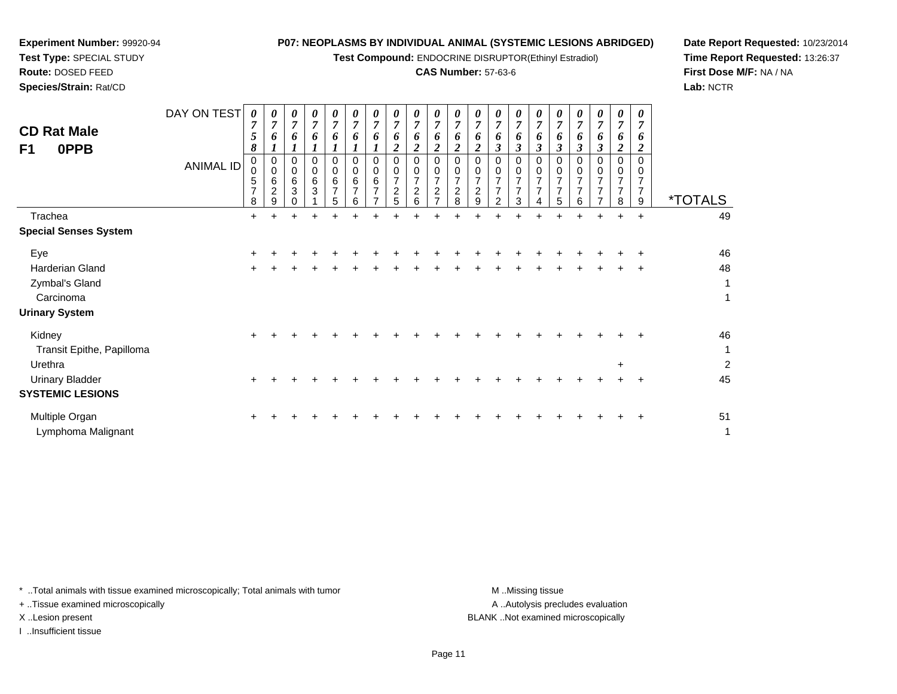**Test Compound:** ENDOCRINE DISRUPTOR(Ethinyl Estradiol)

### **CAS Number:** 57-63-6

┯

**Date Report Requested:** 10/23/2014**Time Report Requested:** 13:26:37**First Dose M/F:** NA / NA**Lab:** NCTR

| <b>CD Rat Male</b><br>F1<br>0PPB | DAY ON TEST<br><b>ANIMAL ID</b> | 0<br>$\overline{7}$<br>5<br>8<br>0<br>0<br>5<br>$\overline{7}$<br>8 | 0<br>6<br>0<br>$\Omega$<br>6<br>$\overline{c}$<br>9 | 0<br>$\overline{7}$<br>6<br>0<br>$\mathbf 0$<br>6<br>3 | 0<br>7<br>6<br>0<br>$\mathbf 0$<br>6<br>3 | 0<br>$\overline{7}$<br>6<br>1<br>$\mathbf 0$<br>$\mathbf 0$<br>6<br>$\overline{7}$<br>5 | 0<br>$\overline{7}$<br>0<br>0<br>6<br>$\overline{7}$<br>6 | 0<br>7<br>6<br>$\Omega$<br>0<br>$\,6$<br>$\overline{7}$ | 0<br>$\overline{7}$<br>$\boldsymbol{2}$<br>0<br>0<br>$\overline{7}$<br>$\boldsymbol{2}$<br>5 | 0<br>$\overline{7}$<br>6<br>$\overline{2}$<br>$\mathbf 0$<br>$\mathbf 0$<br>$\overline{7}$<br>$\overline{c}$<br>6 | 0<br>$\overline{7}$<br>6<br>2<br>0<br>0<br>$\overline{ }$<br>$\overline{c}$<br>$\overline{ }$ | 6<br>2<br>0<br>0<br>$\overline{7}$<br>2<br>8 | 0<br>$\overline{7}$<br>6<br>$\boldsymbol{2}$<br>$\Omega$<br>0<br>$\overline{7}$<br>$\overline{c}$<br>9 | 0<br>7<br>3<br>0<br>0<br>$\overline{\phantom{a}}$<br>$\overline{2}$ | 0<br>$\overline{7}$<br>6<br>3<br>$\Omega$<br>0<br>$\overline{ }$<br>7<br>3 | 0<br>7<br>$\mathfrak{z}$<br>0<br>0<br>$\overline{7}$<br>$\overline{7}$ | 0<br>7<br>6<br>$\mathbf{3}$<br>$\Omega$<br>0<br>$\overline{7}$<br>$\overline{7}$<br>5 | 0<br>7<br>6<br>3<br>$\Omega$<br>0<br>$\overline{ }$<br>6 | 3<br>0<br>0 | 0<br>7<br>6<br>$\boldsymbol{2}$<br>$\Omega$<br>0<br>7<br>$\overline{7}$<br>8 | 0<br>7<br>6<br>2<br>0<br>0<br>$\overline{7}$<br>9 | <i><b>*TOTALS</b></i> |
|----------------------------------|---------------------------------|---------------------------------------------------------------------|-----------------------------------------------------|--------------------------------------------------------|-------------------------------------------|-----------------------------------------------------------------------------------------|-----------------------------------------------------------|---------------------------------------------------------|----------------------------------------------------------------------------------------------|-------------------------------------------------------------------------------------------------------------------|-----------------------------------------------------------------------------------------------|----------------------------------------------|--------------------------------------------------------------------------------------------------------|---------------------------------------------------------------------|----------------------------------------------------------------------------|------------------------------------------------------------------------|---------------------------------------------------------------------------------------|----------------------------------------------------------|-------------|------------------------------------------------------------------------------|---------------------------------------------------|-----------------------|
| Trachea                          |                                 | $+$                                                                 | $\div$                                              | $+$                                                    | $\ddot{}$                                 | ÷                                                                                       |                                                           |                                                         |                                                                                              |                                                                                                                   |                                                                                               |                                              |                                                                                                        |                                                                     |                                                                            |                                                                        | 4                                                                                     | ÷                                                        | $\pm$       | $\ddot{}$                                                                    | $\ddot{}$                                         | 49                    |
| <b>Special Senses System</b>     |                                 |                                                                     |                                                     |                                                        |                                           |                                                                                         |                                                           |                                                         |                                                                                              |                                                                                                                   |                                                                                               |                                              |                                                                                                        |                                                                     |                                                                            |                                                                        |                                                                                       |                                                          |             |                                                                              |                                                   |                       |
| Eye                              |                                 | ٠                                                                   |                                                     |                                                        |                                           |                                                                                         |                                                           |                                                         |                                                                                              |                                                                                                                   |                                                                                               |                                              |                                                                                                        |                                                                     |                                                                            |                                                                        |                                                                                       |                                                          |             |                                                                              |                                                   | 46                    |
| Harderian Gland                  |                                 | $\pm$                                                               |                                                     |                                                        |                                           |                                                                                         |                                                           |                                                         |                                                                                              |                                                                                                                   |                                                                                               |                                              |                                                                                                        |                                                                     |                                                                            |                                                                        |                                                                                       |                                                          |             | +                                                                            | $\ddot{}$                                         | 48                    |
| Zymbal's Gland                   |                                 |                                                                     |                                                     |                                                        |                                           |                                                                                         |                                                           |                                                         |                                                                                              |                                                                                                                   |                                                                                               |                                              |                                                                                                        |                                                                     |                                                                            |                                                                        |                                                                                       |                                                          |             |                                                                              |                                                   | $\mathbf{1}$          |
| Carcinoma                        |                                 |                                                                     |                                                     |                                                        |                                           |                                                                                         |                                                           |                                                         |                                                                                              |                                                                                                                   |                                                                                               |                                              |                                                                                                        |                                                                     |                                                                            |                                                                        |                                                                                       |                                                          |             |                                                                              |                                                   | $\mathbf{1}$          |
| <b>Urinary System</b>            |                                 |                                                                     |                                                     |                                                        |                                           |                                                                                         |                                                           |                                                         |                                                                                              |                                                                                                                   |                                                                                               |                                              |                                                                                                        |                                                                     |                                                                            |                                                                        |                                                                                       |                                                          |             |                                                                              |                                                   |                       |
| Kidney                           |                                 | $\pm$                                                               |                                                     |                                                        |                                           |                                                                                         |                                                           |                                                         |                                                                                              |                                                                                                                   |                                                                                               |                                              |                                                                                                        |                                                                     |                                                                            |                                                                        |                                                                                       |                                                          |             |                                                                              |                                                   | 46                    |
| Transit Epithe, Papilloma        |                                 |                                                                     |                                                     |                                                        |                                           |                                                                                         |                                                           |                                                         |                                                                                              |                                                                                                                   |                                                                                               |                                              |                                                                                                        |                                                                     |                                                                            |                                                                        |                                                                                       |                                                          |             |                                                                              |                                                   | $\mathbf{1}$          |
| Urethra                          |                                 |                                                                     |                                                     |                                                        |                                           |                                                                                         |                                                           |                                                         |                                                                                              |                                                                                                                   |                                                                                               |                                              |                                                                                                        |                                                                     |                                                                            |                                                                        |                                                                                       |                                                          |             | $\ddot{}$                                                                    |                                                   | $\overline{2}$        |
| <b>Urinary Bladder</b>           |                                 | $\pm$                                                               |                                                     |                                                        |                                           |                                                                                         |                                                           |                                                         |                                                                                              |                                                                                                                   |                                                                                               |                                              |                                                                                                        |                                                                     |                                                                            |                                                                        |                                                                                       |                                                          |             |                                                                              |                                                   | 45                    |
| <b>SYSTEMIC LESIONS</b>          |                                 |                                                                     |                                                     |                                                        |                                           |                                                                                         |                                                           |                                                         |                                                                                              |                                                                                                                   |                                                                                               |                                              |                                                                                                        |                                                                     |                                                                            |                                                                        |                                                                                       |                                                          |             |                                                                              |                                                   |                       |
| Multiple Organ                   |                                 | ÷                                                                   |                                                     |                                                        |                                           |                                                                                         |                                                           |                                                         |                                                                                              |                                                                                                                   |                                                                                               |                                              |                                                                                                        |                                                                     |                                                                            |                                                                        |                                                                                       |                                                          |             |                                                                              | ÷                                                 | 51                    |
| Lymphoma Malignant               |                                 |                                                                     |                                                     |                                                        |                                           |                                                                                         |                                                           |                                                         |                                                                                              |                                                                                                                   |                                                                                               |                                              |                                                                                                        |                                                                     |                                                                            |                                                                        |                                                                                       |                                                          |             |                                                                              |                                                   | $\mathbf{1}$          |

\* ..Total animals with tissue examined microscopically; Total animals with tumor **M** ...Missing tissue M ...Missing tissue

+ ..Tissue examined microscopically

**Experiment Number:** 99920-94**Test Type:** SPECIAL STUDY**Route:** DOSED FEED**Species/Strain:** Rat/CD

I ..Insufficient tissue

A ..Autolysis precludes evaluation X ..Lesion present BLANK ..Not examined microscopically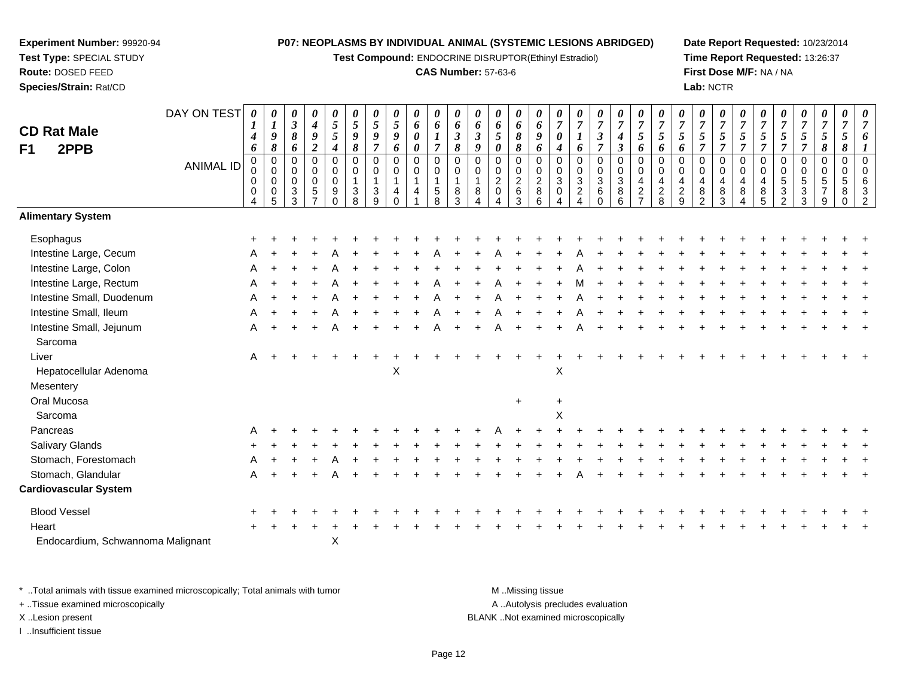**Test Compound:** ENDOCRINE DISRUPTOR(Ethinyl Estradiol)

#### **CAS Number:** 57-63-6

**Date Report Requested:** 10/23/2014**Time Report Requested:** 13:26:37**First Dose M/F:** NA / NA**Lab:** NCTR

| <b>CD Rat Male</b><br>2PPB<br>F1  | DAY ON TEST<br><b>ANIMAL ID</b> | 0<br>$\boldsymbol{I}$<br>4<br>6<br>$\pmb{0}$<br>0<br>0<br>0 | $\boldsymbol{\theta}$<br>$\boldsymbol{l}$<br>$\boldsymbol{9}$<br>$\pmb{8}$<br>$\mathbf 0$<br>$\mathbf 0$<br>$\mathbf 0$<br>$\mathbf 0$ | 0<br>$\boldsymbol{\beta}$<br>8<br>6<br>0<br>0<br>$\mathbf 0$<br>3 | $\pmb{\theta}$<br>$\boldsymbol{4}$<br>9<br>$\boldsymbol{2}$<br>$\mathbf 0$<br>$\mathbf 0$<br>$\pmb{0}$<br>5 | $\pmb{\theta}$<br>$\sqrt{5}$<br>5<br>$\boldsymbol{4}$<br>$\pmb{0}$<br>$\mathbf 0$<br>$\pmb{0}$<br>$\boldsymbol{9}$ | 0<br>$\mathfrak{s}$<br>$\boldsymbol{g}$<br>$\pmb{8}$<br>$\mathbf 0$<br>$\mathbf 0$<br>$\overline{1}$<br>$\mathbf{3}$ | 0<br>$\mathfrak{s}$<br>9<br>$\overline{7}$<br>$\mathbf 0$<br>$\mathbf 0$<br>1<br>3 | 0<br>5<br>9<br>6<br>0<br>0<br>$\mathbf{1}$<br>4 | $\pmb{\theta}$<br>6<br>0<br>0<br>$\pmb{0}$<br>0<br>$\mathbf{1}$<br>$\overline{4}$ | 0<br>6<br>$\overline{7}$<br>$\pmb{0}$<br>$\mathbf 0$<br>$\mathbf{1}$<br>$\overline{5}$ | 0<br>6<br>$\boldsymbol{\beta}$<br>$\pmb{8}$<br>$\mathbf 0$<br>$\mathbf 0$<br>$\overline{1}$<br>8 | $\boldsymbol{\theta}$<br>6<br>$\mathfrak{z}$<br>9<br>$\mathbf 0$<br>$\Omega$<br>1<br>8 | 0<br>6<br>$5\phantom{.0}$<br>0<br>0<br>0<br>$\overline{a}$<br>$\mathbf 0$ | $\pmb{\theta}$<br>6<br>8<br>8<br>0<br>$\pmb{0}$<br>$\mathbf 2$<br>6 | $\boldsymbol{\theta}$<br>6<br>9<br>6<br>$\pmb{0}$<br>$\mathbf 0$<br>$\sqrt{2}$<br>$\bf 8$ | 0<br>$\overline{7}$<br>0<br>4<br>$\mathbf 0$<br>$\mathbf 0$<br>$\sqrt{3}$<br>0 | 0<br>$\overline{7}$<br>6<br>$\mathbf 0$<br>$\mathbf 0$<br>$\sqrt{3}$<br>$\overline{c}$ | 0<br>$\overline{7}$<br>$\boldsymbol{\beta}$<br>$\overline{\tau}$<br>0<br>0<br>$\mathbf{3}$<br>6 | $\pmb{\theta}$<br>$\overline{7}$<br>$\boldsymbol{4}$<br>$\boldsymbol{\beta}$<br>$\pmb{0}$<br>$\pmb{0}$<br>$\ensuremath{\mathsf{3}}$ | $\pmb{\theta}$<br>$\overline{7}$<br>$\mathfrak{s}$<br>6<br>$\pmb{0}$<br>$\mathbf 0$<br>$\overline{a}$ | 0<br>$\overline{7}$<br>5<br>6<br>$\mathbf 0$<br>$\mathbf 0$<br>$\overline{4}$ | 0<br>$\overline{7}$<br>5<br>6<br>$\mathbf 0$<br>$\mathbf 0$<br>$\overline{4}$<br>$\boldsymbol{2}$ | 0<br>$\overline{7}$<br>5<br>$\overline{7}$<br>0<br>$\mathbf 0$<br>4<br>8 | $\pmb{\theta}$<br>$\overline{7}$<br>$\sqrt{5}$<br>$\overline{7}$<br>$\pmb{0}$<br>0<br>$\overline{\mathbf{4}}$ | $\boldsymbol{\theta}$<br>$\overline{7}$<br>5<br>$\overline{7}$<br>$\pmb{0}$<br>$\mathbf 0$<br>$\overline{4}$<br>$\,8\,$ | 0<br>$\overline{7}$<br>5<br>$\overline{7}$<br>$\mathbf 0$<br>$\mathbf 0$<br>4<br>$\bf 8$ | 0<br>7<br>5<br>$\overline{7}$<br>$\mathbf 0$<br>$\Omega$<br>5<br>3 | 0<br>$\overline{7}$<br>5<br>$\overline{7}$<br>0<br>$\mathbf 0$<br>5<br>3 | $\pmb{\theta}$<br>$\boldsymbol{7}$<br>$\sqrt{5}$<br>8<br>0<br>0<br>$\sqrt{5}$ | $\pmb{\theta}$<br>$\overline{7}$<br>5<br>8<br>$\mathbf 0$<br>$\mathbf 0$<br>$\sqrt{5}$<br>8 |  |
|-----------------------------------|---------------------------------|-------------------------------------------------------------|----------------------------------------------------------------------------------------------------------------------------------------|-------------------------------------------------------------------|-------------------------------------------------------------------------------------------------------------|--------------------------------------------------------------------------------------------------------------------|----------------------------------------------------------------------------------------------------------------------|------------------------------------------------------------------------------------|-------------------------------------------------|-----------------------------------------------------------------------------------|----------------------------------------------------------------------------------------|--------------------------------------------------------------------------------------------------|----------------------------------------------------------------------------------------|---------------------------------------------------------------------------|---------------------------------------------------------------------|-------------------------------------------------------------------------------------------|--------------------------------------------------------------------------------|----------------------------------------------------------------------------------------|-------------------------------------------------------------------------------------------------|-------------------------------------------------------------------------------------------------------------------------------------|-------------------------------------------------------------------------------------------------------|-------------------------------------------------------------------------------|---------------------------------------------------------------------------------------------------|--------------------------------------------------------------------------|---------------------------------------------------------------------------------------------------------------|-------------------------------------------------------------------------------------------------------------------------|------------------------------------------------------------------------------------------|--------------------------------------------------------------------|--------------------------------------------------------------------------|-------------------------------------------------------------------------------|---------------------------------------------------------------------------------------------|--|
|                                   |                                 | 4                                                           | 5                                                                                                                                      | 3                                                                 | $\overline{7}$                                                                                              | $\Omega$                                                                                                           | 8                                                                                                                    | $\mathsf{Q}$                                                                       | $\Omega$                                        |                                                                                   | 8                                                                                      | 3                                                                                                |                                                                                        |                                                                           | 3                                                                   | 6                                                                                         | 4                                                                              |                                                                                        | $\Omega$                                                                                        | $^8_6$                                                                                                                              | $\frac{2}{7}$                                                                                         | $_{8}^{\rm 2}$                                                                | 9                                                                                                 | $\mathfrak{p}$                                                           | $^8_3$                                                                                                        | 4                                                                                                                       | 5                                                                                        | $\mathfrak{p}$                                                     | 3                                                                        | 9                                                                             | $\Omega$                                                                                    |  |
| <b>Alimentary System</b>          |                                 |                                                             |                                                                                                                                        |                                                                   |                                                                                                             |                                                                                                                    |                                                                                                                      |                                                                                    |                                                 |                                                                                   |                                                                                        |                                                                                                  |                                                                                        |                                                                           |                                                                     |                                                                                           |                                                                                |                                                                                        |                                                                                                 |                                                                                                                                     |                                                                                                       |                                                                               |                                                                                                   |                                                                          |                                                                                                               |                                                                                                                         |                                                                                          |                                                                    |                                                                          |                                                                               |                                                                                             |  |
| Esophagus                         |                                 |                                                             |                                                                                                                                        |                                                                   |                                                                                                             |                                                                                                                    |                                                                                                                      |                                                                                    |                                                 |                                                                                   |                                                                                        |                                                                                                  |                                                                                        |                                                                           |                                                                     |                                                                                           |                                                                                |                                                                                        |                                                                                                 |                                                                                                                                     |                                                                                                       |                                                                               |                                                                                                   |                                                                          |                                                                                                               |                                                                                                                         |                                                                                          |                                                                    |                                                                          |                                                                               |                                                                                             |  |
| Intestine Large, Cecum            |                                 |                                                             |                                                                                                                                        |                                                                   |                                                                                                             |                                                                                                                    |                                                                                                                      |                                                                                    |                                                 |                                                                                   |                                                                                        |                                                                                                  |                                                                                        |                                                                           |                                                                     |                                                                                           |                                                                                |                                                                                        |                                                                                                 |                                                                                                                                     |                                                                                                       |                                                                               |                                                                                                   |                                                                          |                                                                                                               |                                                                                                                         |                                                                                          |                                                                    |                                                                          |                                                                               |                                                                                             |  |
| Intestine Large, Colon            |                                 |                                                             |                                                                                                                                        |                                                                   |                                                                                                             |                                                                                                                    |                                                                                                                      |                                                                                    |                                                 |                                                                                   |                                                                                        |                                                                                                  |                                                                                        |                                                                           |                                                                     |                                                                                           |                                                                                |                                                                                        |                                                                                                 |                                                                                                                                     |                                                                                                       |                                                                               |                                                                                                   |                                                                          |                                                                                                               |                                                                                                                         |                                                                                          |                                                                    |                                                                          |                                                                               |                                                                                             |  |
| Intestine Large, Rectum           |                                 | A                                                           |                                                                                                                                        |                                                                   |                                                                                                             |                                                                                                                    |                                                                                                                      |                                                                                    |                                                 |                                                                                   |                                                                                        |                                                                                                  |                                                                                        |                                                                           |                                                                     |                                                                                           |                                                                                |                                                                                        |                                                                                                 |                                                                                                                                     |                                                                                                       |                                                                               |                                                                                                   |                                                                          |                                                                                                               |                                                                                                                         |                                                                                          |                                                                    |                                                                          |                                                                               |                                                                                             |  |
| Intestine Small, Duodenum         |                                 |                                                             |                                                                                                                                        |                                                                   |                                                                                                             |                                                                                                                    |                                                                                                                      |                                                                                    |                                                 |                                                                                   |                                                                                        |                                                                                                  |                                                                                        |                                                                           |                                                                     |                                                                                           |                                                                                |                                                                                        |                                                                                                 |                                                                                                                                     |                                                                                                       |                                                                               |                                                                                                   |                                                                          |                                                                                                               |                                                                                                                         |                                                                                          |                                                                    |                                                                          |                                                                               |                                                                                             |  |
| Intestine Small, Ileum            |                                 |                                                             |                                                                                                                                        |                                                                   |                                                                                                             |                                                                                                                    |                                                                                                                      |                                                                                    |                                                 |                                                                                   |                                                                                        |                                                                                                  |                                                                                        |                                                                           |                                                                     |                                                                                           |                                                                                |                                                                                        |                                                                                                 |                                                                                                                                     |                                                                                                       |                                                                               |                                                                                                   |                                                                          |                                                                                                               |                                                                                                                         |                                                                                          |                                                                    |                                                                          |                                                                               |                                                                                             |  |
| Intestine Small, Jejunum          |                                 | A                                                           |                                                                                                                                        |                                                                   |                                                                                                             |                                                                                                                    |                                                                                                                      |                                                                                    |                                                 |                                                                                   |                                                                                        |                                                                                                  |                                                                                        |                                                                           |                                                                     |                                                                                           |                                                                                |                                                                                        |                                                                                                 |                                                                                                                                     |                                                                                                       |                                                                               |                                                                                                   |                                                                          |                                                                                                               |                                                                                                                         |                                                                                          |                                                                    |                                                                          |                                                                               |                                                                                             |  |
| Sarcoma                           |                                 |                                                             |                                                                                                                                        |                                                                   |                                                                                                             |                                                                                                                    |                                                                                                                      |                                                                                    |                                                 |                                                                                   |                                                                                        |                                                                                                  |                                                                                        |                                                                           |                                                                     |                                                                                           |                                                                                |                                                                                        |                                                                                                 |                                                                                                                                     |                                                                                                       |                                                                               |                                                                                                   |                                                                          |                                                                                                               |                                                                                                                         |                                                                                          |                                                                    |                                                                          |                                                                               |                                                                                             |  |
| Liver                             |                                 | A                                                           |                                                                                                                                        |                                                                   |                                                                                                             |                                                                                                                    |                                                                                                                      |                                                                                    |                                                 |                                                                                   |                                                                                        |                                                                                                  |                                                                                        |                                                                           |                                                                     |                                                                                           |                                                                                |                                                                                        |                                                                                                 |                                                                                                                                     |                                                                                                       |                                                                               |                                                                                                   |                                                                          |                                                                                                               |                                                                                                                         |                                                                                          |                                                                    |                                                                          |                                                                               |                                                                                             |  |
| Hepatocellular Adenoma            |                                 |                                                             |                                                                                                                                        |                                                                   |                                                                                                             |                                                                                                                    |                                                                                                                      |                                                                                    | X                                               |                                                                                   |                                                                                        |                                                                                                  |                                                                                        |                                                                           |                                                                     |                                                                                           | X                                                                              |                                                                                        |                                                                                                 |                                                                                                                                     |                                                                                                       |                                                                               |                                                                                                   |                                                                          |                                                                                                               |                                                                                                                         |                                                                                          |                                                                    |                                                                          |                                                                               |                                                                                             |  |
| Mesentery                         |                                 |                                                             |                                                                                                                                        |                                                                   |                                                                                                             |                                                                                                                    |                                                                                                                      |                                                                                    |                                                 |                                                                                   |                                                                                        |                                                                                                  |                                                                                        |                                                                           |                                                                     |                                                                                           |                                                                                |                                                                                        |                                                                                                 |                                                                                                                                     |                                                                                                       |                                                                               |                                                                                                   |                                                                          |                                                                                                               |                                                                                                                         |                                                                                          |                                                                    |                                                                          |                                                                               |                                                                                             |  |
| Oral Mucosa                       |                                 |                                                             |                                                                                                                                        |                                                                   |                                                                                                             |                                                                                                                    |                                                                                                                      |                                                                                    |                                                 |                                                                                   |                                                                                        |                                                                                                  |                                                                                        |                                                                           | $\ddot{}$                                                           |                                                                                           | $\ddot{}$                                                                      |                                                                                        |                                                                                                 |                                                                                                                                     |                                                                                                       |                                                                               |                                                                                                   |                                                                          |                                                                                                               |                                                                                                                         |                                                                                          |                                                                    |                                                                          |                                                                               |                                                                                             |  |
| Sarcoma                           |                                 |                                                             |                                                                                                                                        |                                                                   |                                                                                                             |                                                                                                                    |                                                                                                                      |                                                                                    |                                                 |                                                                                   |                                                                                        |                                                                                                  |                                                                                        |                                                                           |                                                                     |                                                                                           | X                                                                              |                                                                                        |                                                                                                 |                                                                                                                                     |                                                                                                       |                                                                               |                                                                                                   |                                                                          |                                                                                                               |                                                                                                                         |                                                                                          |                                                                    |                                                                          |                                                                               |                                                                                             |  |
| Pancreas                          |                                 |                                                             |                                                                                                                                        |                                                                   |                                                                                                             |                                                                                                                    |                                                                                                                      |                                                                                    |                                                 |                                                                                   |                                                                                        |                                                                                                  |                                                                                        |                                                                           |                                                                     |                                                                                           |                                                                                |                                                                                        |                                                                                                 |                                                                                                                                     |                                                                                                       |                                                                               |                                                                                                   |                                                                          |                                                                                                               |                                                                                                                         |                                                                                          |                                                                    |                                                                          |                                                                               |                                                                                             |  |
| Salivary Glands                   |                                 |                                                             |                                                                                                                                        |                                                                   |                                                                                                             |                                                                                                                    |                                                                                                                      |                                                                                    |                                                 |                                                                                   |                                                                                        |                                                                                                  |                                                                                        |                                                                           |                                                                     |                                                                                           |                                                                                |                                                                                        |                                                                                                 |                                                                                                                                     |                                                                                                       |                                                                               |                                                                                                   |                                                                          |                                                                                                               |                                                                                                                         |                                                                                          |                                                                    |                                                                          |                                                                               |                                                                                             |  |
| Stomach, Forestomach              |                                 |                                                             |                                                                                                                                        |                                                                   |                                                                                                             |                                                                                                                    |                                                                                                                      |                                                                                    |                                                 |                                                                                   |                                                                                        |                                                                                                  |                                                                                        |                                                                           |                                                                     |                                                                                           |                                                                                |                                                                                        |                                                                                                 |                                                                                                                                     |                                                                                                       |                                                                               |                                                                                                   |                                                                          |                                                                                                               |                                                                                                                         |                                                                                          |                                                                    |                                                                          |                                                                               |                                                                                             |  |
| Stomach, Glandular                |                                 | A                                                           |                                                                                                                                        |                                                                   |                                                                                                             |                                                                                                                    |                                                                                                                      |                                                                                    |                                                 |                                                                                   |                                                                                        |                                                                                                  |                                                                                        |                                                                           |                                                                     |                                                                                           |                                                                                |                                                                                        |                                                                                                 |                                                                                                                                     |                                                                                                       |                                                                               |                                                                                                   |                                                                          |                                                                                                               |                                                                                                                         |                                                                                          |                                                                    |                                                                          |                                                                               |                                                                                             |  |
| <b>Cardiovascular System</b>      |                                 |                                                             |                                                                                                                                        |                                                                   |                                                                                                             |                                                                                                                    |                                                                                                                      |                                                                                    |                                                 |                                                                                   |                                                                                        |                                                                                                  |                                                                                        |                                                                           |                                                                     |                                                                                           |                                                                                |                                                                                        |                                                                                                 |                                                                                                                                     |                                                                                                       |                                                                               |                                                                                                   |                                                                          |                                                                                                               |                                                                                                                         |                                                                                          |                                                                    |                                                                          |                                                                               |                                                                                             |  |
| <b>Blood Vessel</b>               |                                 |                                                             |                                                                                                                                        |                                                                   |                                                                                                             |                                                                                                                    |                                                                                                                      |                                                                                    |                                                 |                                                                                   |                                                                                        |                                                                                                  |                                                                                        |                                                                           |                                                                     |                                                                                           |                                                                                |                                                                                        |                                                                                                 |                                                                                                                                     |                                                                                                       |                                                                               |                                                                                                   |                                                                          |                                                                                                               |                                                                                                                         |                                                                                          |                                                                    |                                                                          |                                                                               |                                                                                             |  |
| Heart                             |                                 |                                                             |                                                                                                                                        |                                                                   |                                                                                                             |                                                                                                                    |                                                                                                                      |                                                                                    |                                                 |                                                                                   |                                                                                        |                                                                                                  |                                                                                        |                                                                           |                                                                     |                                                                                           |                                                                                |                                                                                        |                                                                                                 |                                                                                                                                     |                                                                                                       |                                                                               |                                                                                                   |                                                                          |                                                                                                               |                                                                                                                         |                                                                                          |                                                                    |                                                                          |                                                                               |                                                                                             |  |
| Endocardium, Schwannoma Malignant |                                 |                                                             |                                                                                                                                        |                                                                   |                                                                                                             | X                                                                                                                  |                                                                                                                      |                                                                                    |                                                 |                                                                                   |                                                                                        |                                                                                                  |                                                                                        |                                                                           |                                                                     |                                                                                           |                                                                                |                                                                                        |                                                                                                 |                                                                                                                                     |                                                                                                       |                                                                               |                                                                                                   |                                                                          |                                                                                                               |                                                                                                                         |                                                                                          |                                                                    |                                                                          |                                                                               |                                                                                             |  |

\* ..Total animals with tissue examined microscopically; Total animals with tumor **M** . Missing tissue M ..Missing tissue A ..Autolysis precludes evaluation + ..Tissue examined microscopically X ..Lesion present BLANK ..Not examined microscopicallyI ..Insufficient tissue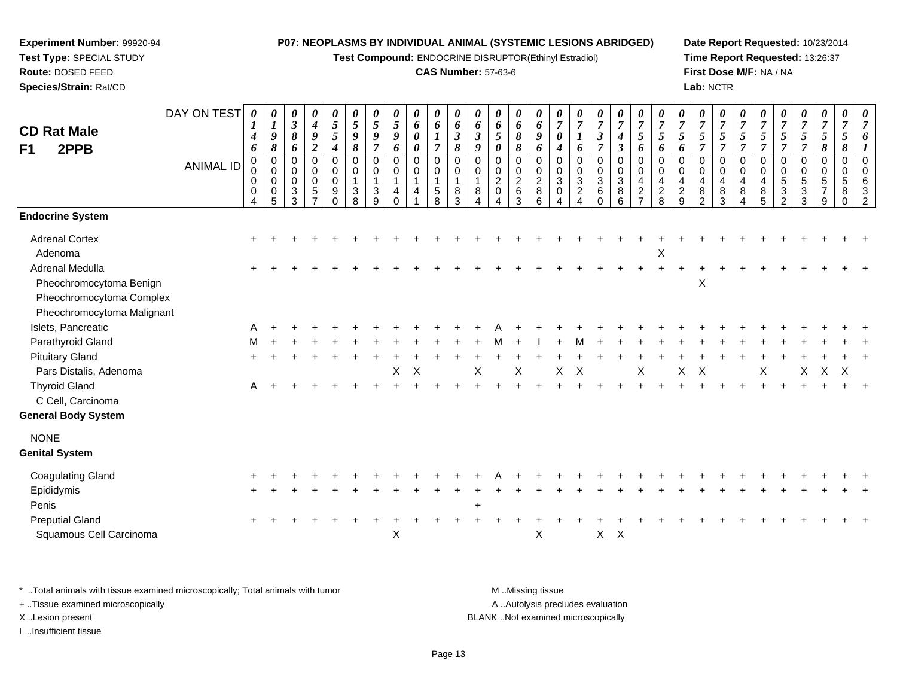**Test Compound:** ENDOCRINE DISRUPTOR(Ethinyl Estradiol)

#### **CAS Number:** 57-63-6

**Date Report Requested:** 10/23/2014**Time Report Requested:** 13:26:37**First Dose M/F:** NA / NA**Lab:** NCTR

| <b>CD Rat Male</b>                                                                                   | DAY ON TEST      | $\theta$<br>1<br>4            | $\boldsymbol{\theta}$<br>$\boldsymbol{l}$<br>$\boldsymbol{9}$ | 0<br>$\mathbf{3}$<br>$\pmb{8}$            | 0<br>$\boldsymbol{4}$<br>9                                  | 0<br>$\sqrt{5}$<br>5                                   | 0<br>$\sqrt{5}$<br>9                      | 0<br>$\mathfrak{s}$<br>$\boldsymbol{9}$              | $\boldsymbol{\theta}$<br>$\mathfrak{s}$<br>9 | 0<br>6<br>$\boldsymbol{\theta}$                  | $\pmb{\theta}$<br>$\pmb{6}$<br>$\bm{l}$  | 0<br>6<br>$\boldsymbol{\beta}$ | 0<br>6<br>$\boldsymbol{\beta}$    | $\pmb{\theta}$<br>6<br>$\mathfrak{s}$          | 0<br>6<br>8                  | 0<br>6<br>9                                  | 0<br>$\overline{7}$<br>0 | 0<br>$\overline{7}$                                            | 0<br>$\boldsymbol{7}$<br>$\mathfrak{z}$         | 0<br>$\overline{7}$<br>$\boldsymbol{4}$    | 0<br>$\overline{7}$<br>5                        | 0<br>$\overline{7}$<br>5                    | 0<br>$\overline{7}$<br>5                                         | 0<br>$\overline{7}$<br>$\mathfrak{s}$ | 0<br>$\overline{7}$<br>5                                     | 0<br>$\overline{7}$<br>5        | $\overline{7}$<br>$\sqrt{5}$                                           | 0<br>$\overline{7}$<br>5                                                  | 0<br>$\boldsymbol{7}$<br>$\sqrt{5}$ | 0<br>$\boldsymbol{7}$<br>$\mathfrak{s}$                | 0<br>$\overline{7}$<br>5                       | $\overline{7}$       |
|------------------------------------------------------------------------------------------------------|------------------|-------------------------------|---------------------------------------------------------------|-------------------------------------------|-------------------------------------------------------------|--------------------------------------------------------|-------------------------------------------|------------------------------------------------------|----------------------------------------------|--------------------------------------------------|------------------------------------------|--------------------------------|-----------------------------------|------------------------------------------------|------------------------------|----------------------------------------------|--------------------------|----------------------------------------------------------------|-------------------------------------------------|--------------------------------------------|-------------------------------------------------|---------------------------------------------|------------------------------------------------------------------|---------------------------------------|--------------------------------------------------------------|---------------------------------|------------------------------------------------------------------------|---------------------------------------------------------------------------|-------------------------------------|--------------------------------------------------------|------------------------------------------------|----------------------|
| F1<br>2PPB                                                                                           |                  | 6                             | $\pmb{8}$                                                     | 6                                         | $\boldsymbol{2}$                                            | 4                                                      | 8                                         | $\overline{7}$                                       | 6                                            | $\boldsymbol{\theta}$                            | $\overline{7}$                           | 8                              | 9                                 | $\boldsymbol{\theta}$                          | 8                            | 6                                            | 4                        | 6                                                              | $\overline{7}$                                  | $\boldsymbol{\beta}$                       | 6                                               | 6                                           | 6                                                                | $\overline{7}$                        | $\overline{7}$                                               | $\overline{\tau}$               | $\overline{7}$                                                         | $\overline{7}$                                                            | $\overline{7}$                      | 8                                                      | 8                                              |                      |
|                                                                                                      | <b>ANIMAL ID</b> | $\pmb{0}$<br>0<br>0<br>0<br>4 | $\mathbf 0$<br>$\mathbf 0$<br>$\mathbf 0$<br>$\mathbf 0$<br>5 | $\mathbf 0$<br>0<br>$\mathbf 0$<br>3<br>3 | $\pmb{0}$<br>$\pmb{0}$<br>0<br>$\sqrt{5}$<br>$\overline{7}$ | $\pmb{0}$<br>$\pmb{0}$<br>$\mathbf 0$<br>9<br>$\Omega$ | $\mathbf 0$<br>0<br>$\mathbf 1$<br>3<br>8 | $\mathbf 0$<br>$\mathbf 0$<br>1<br>$\mathbf{3}$<br>9 | $\mathbf 0$<br>0<br>1<br>4<br>$\Omega$       | $\pmb{0}$<br>0<br>$\mathbf{1}$<br>$\overline{4}$ | $\pmb{0}$<br>0<br>$\mathbf{1}$<br>5<br>8 | $\Omega$<br>0<br>8<br>3        | $\Omega$<br>$\mathbf 0$<br>1<br>8 | 0<br>0<br>$\boldsymbol{2}$<br>$\mathbf 0$<br>4 | 0<br>0<br>$\frac{2}{6}$<br>3 | $\mathbf 0$<br>0<br>$\overline{c}$<br>8<br>6 | $\Omega$<br>0<br>3<br>0  | $\mathbf 0$<br>$\mathbf 0$<br>$\overline{3}$<br>$\overline{2}$ | $\mathbf 0$<br>0<br>$\sqrt{3}$<br>6<br>$\Omega$ | $\mathbf 0$<br>0<br>$\mathbf{3}$<br>8<br>6 | 0<br>0<br>4<br>$\overline{a}$<br>$\overline{7}$ | $\Omega$<br>0<br>4<br>$\boldsymbol{2}$<br>8 | $\Omega$<br>$\mathbf 0$<br>$\overline{4}$<br>$\overline{2}$<br>9 | 0<br>0<br>4<br>$\bf 8$<br>2           | $\mathbf 0$<br>$\mathbf 0$<br>$\overline{4}$<br>$\,8\,$<br>3 | $\mathbf 0$<br>0<br>4<br>8<br>4 | $\mathbf 0$<br>$\pmb{0}$<br>4<br>$\begin{array}{c} 8 \\ 5 \end{array}$ | $\mathbf 0$<br>$\mathbf 0$<br>$\sqrt{5}$<br>$\mathbf{3}$<br>$\mathcal{P}$ | 0<br>0<br>$\sqrt{5}$<br>3<br>3      | $\mathbf 0$<br>$\mathbf 0$<br>5<br>$\overline{7}$<br>9 | $\pmb{0}$<br>$\mathbf 0$<br>5<br>8<br>$\Omega$ | $\Omega$<br>$\Omega$ |
| <b>Endocrine System</b>                                                                              |                  |                               |                                                               |                                           |                                                             |                                                        |                                           |                                                      |                                              |                                                  |                                          |                                |                                   |                                                |                              |                                              |                          |                                                                |                                                 |                                            |                                                 |                                             |                                                                  |                                       |                                                              |                                 |                                                                        |                                                                           |                                     |                                                        |                                                |                      |
| <b>Adrenal Cortex</b><br>Adenoma                                                                     |                  |                               |                                                               |                                           |                                                             |                                                        |                                           |                                                      |                                              |                                                  |                                          |                                |                                   |                                                |                              |                                              |                          |                                                                |                                                 |                                            |                                                 | X                                           |                                                                  |                                       |                                                              |                                 |                                                                        |                                                                           |                                     |                                                        |                                                |                      |
| Adrenal Medulla<br>Pheochromocytoma Benign<br>Pheochromocytoma Complex<br>Pheochromocytoma Malignant |                  |                               |                                                               |                                           |                                                             |                                                        |                                           |                                                      |                                              |                                                  |                                          |                                |                                   |                                                |                              |                                              |                          |                                                                |                                                 |                                            |                                                 |                                             |                                                                  | X                                     |                                                              |                                 |                                                                        |                                                                           |                                     |                                                        |                                                |                      |
| Islets, Pancreatic                                                                                   |                  |                               |                                                               |                                           |                                                             |                                                        |                                           |                                                      |                                              |                                                  |                                          |                                |                                   |                                                |                              |                                              |                          |                                                                |                                                 |                                            |                                                 |                                             |                                                                  |                                       |                                                              |                                 |                                                                        |                                                                           |                                     |                                                        |                                                |                      |
| Parathyroid Gland                                                                                    |                  | м                             |                                                               |                                           |                                                             |                                                        |                                           |                                                      |                                              |                                                  |                                          |                                |                                   |                                                |                              |                                              |                          |                                                                |                                                 |                                            |                                                 |                                             |                                                                  |                                       |                                                              |                                 |                                                                        |                                                                           |                                     |                                                        |                                                |                      |
| <b>Pituitary Gland</b>                                                                               |                  |                               |                                                               |                                           |                                                             |                                                        |                                           |                                                      |                                              |                                                  |                                          |                                |                                   |                                                |                              |                                              |                          |                                                                |                                                 |                                            |                                                 |                                             |                                                                  |                                       |                                                              |                                 |                                                                        |                                                                           |                                     |                                                        |                                                |                      |
| Pars Distalis, Adenoma                                                                               |                  |                               |                                                               |                                           |                                                             |                                                        |                                           |                                                      | X                                            | X                                                |                                          |                                | X                                 |                                                | X                            |                                              | X                        | X                                                              |                                                 |                                            | Χ                                               |                                             | X                                                                | X                                     |                                                              |                                 | х                                                                      |                                                                           | X                                   | X                                                      | Χ                                              |                      |
| <b>Thyroid Gland</b><br>C Cell, Carcinoma<br><b>General Body System</b>                              |                  | A                             |                                                               |                                           |                                                             |                                                        |                                           |                                                      |                                              |                                                  |                                          |                                |                                   |                                                |                              |                                              |                          |                                                                |                                                 |                                            |                                                 |                                             |                                                                  |                                       |                                                              |                                 |                                                                        |                                                                           |                                     |                                                        |                                                |                      |
| <b>NONE</b><br><b>Genital System</b>                                                                 |                  |                               |                                                               |                                           |                                                             |                                                        |                                           |                                                      |                                              |                                                  |                                          |                                |                                   |                                                |                              |                                              |                          |                                                                |                                                 |                                            |                                                 |                                             |                                                                  |                                       |                                                              |                                 |                                                                        |                                                                           |                                     |                                                        |                                                |                      |
| <b>Coagulating Gland</b>                                                                             |                  |                               |                                                               |                                           |                                                             |                                                        |                                           |                                                      |                                              |                                                  |                                          |                                |                                   |                                                |                              |                                              |                          |                                                                |                                                 |                                            |                                                 |                                             |                                                                  |                                       |                                                              |                                 |                                                                        |                                                                           |                                     |                                                        |                                                |                      |
| Epididymis<br>Penis                                                                                  |                  |                               |                                                               |                                           |                                                             |                                                        |                                           |                                                      |                                              |                                                  |                                          |                                | $\overline{ }$                    |                                                |                              |                                              |                          |                                                                |                                                 |                                            |                                                 |                                             |                                                                  |                                       |                                                              |                                 |                                                                        |                                                                           |                                     |                                                        |                                                |                      |
| <b>Preputial Gland</b><br>Squamous Cell Carcinoma                                                    |                  |                               |                                                               |                                           |                                                             |                                                        |                                           |                                                      | X                                            |                                                  |                                          |                                |                                   |                                                |                              | X                                            |                          |                                                                | $X$ $X$                                         |                                            |                                                 |                                             |                                                                  |                                       |                                                              |                                 |                                                                        |                                                                           |                                     |                                                        |                                                |                      |

\* ..Total animals with tissue examined microscopically; Total animals with tumor **M** . Missing tissue M ..Missing tissue A ..Autolysis precludes evaluation + ..Tissue examined microscopically X ..Lesion present BLANK ..Not examined microscopicallyI ..Insufficient tissue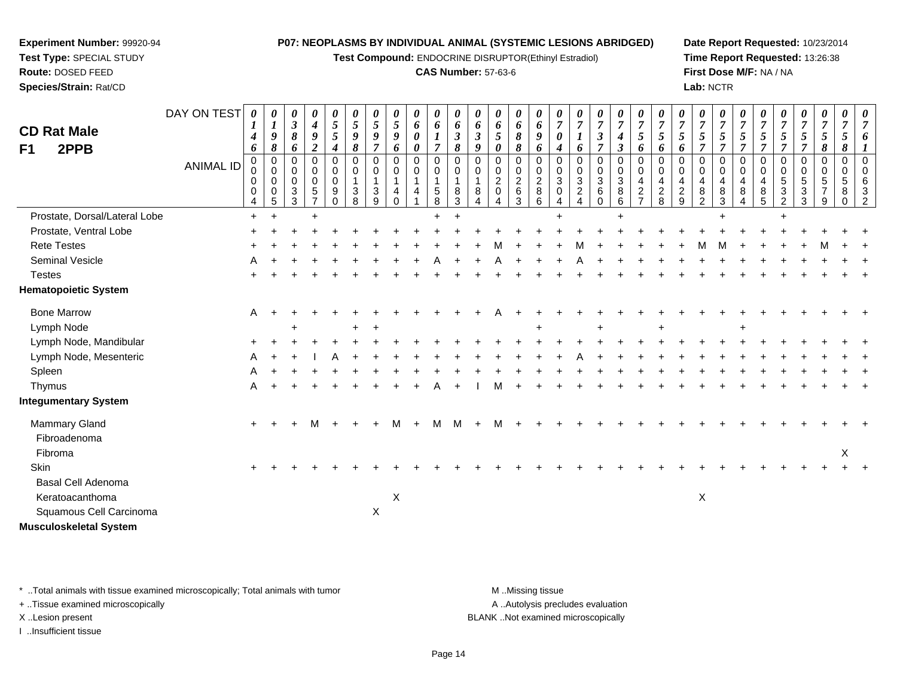**Test Compound:** ENDOCRINE DISRUPTOR(Ethinyl Estradiol)

## **CAS Number:** 57-63-6

**Date Report Requested:** 10/23/2014**Time Report Requested:** 13:26:38**First Dose M/F:** NA / NA**Lab:** NCTR

| <b>CD Rat Male</b><br>2PPB<br>F <sub>1</sub> | DAY ON TEST<br><b>ANIMAL ID</b> | 0<br>1<br>$\boldsymbol{4}$<br>6<br>$\Omega$<br>0<br>0<br>0<br>4 | 0<br>$\boldsymbol{l}$<br>$\boldsymbol{g}$<br>8<br>$\mathbf 0$<br>$\mathbf 0$<br>0<br>0<br>5 | 0<br>$\mathfrak{z}$<br>8<br>6<br>$\Omega$<br>0<br>0<br>3<br>3 | 0<br>$\boldsymbol{4}$<br>9<br>$\boldsymbol{2}$<br>$\Omega$<br>0<br>$\mathbf 0$<br>$\sqrt{5}$ | 0<br>5<br>5<br>$\boldsymbol{4}$<br>$\Omega$<br>$\mathbf 0$<br>$\mathbf 0$<br>9<br>$\Omega$ | 0<br>$\mathfrak{s}$<br>$\boldsymbol{9}$<br>$\pmb{8}$<br>$\Omega$<br>0<br>$\mathbf{1}$<br>3<br>8 | $\boldsymbol{\theta}$<br>$\sqrt{5}$<br>9<br>$\overline{7}$<br>$\Omega$<br>$\mathbf 0$<br>$\overline{1}$<br>3<br>9 | 0<br>$5\overline{)}$<br>9<br>6<br>$\Omega$<br>0<br>4<br>$\Omega$ | 0<br>6<br>$\boldsymbol{\theta}$<br>0<br>$\Omega$<br>0<br>$\mathbf{1}$<br>4 | 0<br>6<br>$\boldsymbol{l}$<br>$\overline{7}$<br>$\Omega$<br>$\mathbf 0$<br>1<br>$\,$ 5 $\,$<br>8 | 0<br>6<br>$\boldsymbol{\beta}$<br>8<br>$\Omega$<br>0<br>$\overline{1}$<br>8<br>3 | $\boldsymbol{\theta}$<br>6<br>$\mathfrak{z}$<br>9<br>$\Omega$<br>0<br>$\mathbf{1}$<br>8 | 0<br>6<br>$5\overline{)}$<br>$\pmb{\theta}$<br>$\Omega$<br>0<br>$\overline{a}$<br>$\pmb{0}$<br>4 | 0<br>6<br>$\pmb{8}$<br>8<br>0<br>$\mathbf 0$<br>$\frac{2}{6}$<br>3 | 0<br>6<br>9<br>6<br>$\Omega$<br>0<br>$\overline{c}$<br>8<br>6 | $\overline{7}$<br>$\boldsymbol{\theta}$<br>$\boldsymbol{4}$<br>$\Omega$<br>0<br>3<br>0<br>$\overline{4}$ | 0<br>$\overline{7}$<br>6<br>$\mathbf 0$<br>$\mathbf 0$<br>$\sqrt{3}$<br>$\sqrt{2}$<br>$\boldsymbol{\Lambda}$ | 0<br>$\overline{7}$<br>$\boldsymbol{\beta}$<br>$\overline{7}$<br>0<br>$\overline{0}$<br>$\mathbf{3}$<br>$\,6\,$<br>$\mathbf 0$ | 0<br>$\overline{7}$<br>$\boldsymbol{4}$<br>$\mathbf{3}$<br>$\mathbf 0$<br>$\mathbf 0$<br>$\mathbf{3}$<br>$\bf 8$<br>6 | 0<br>$\overline{7}$<br>5<br>6<br>$\Omega$<br>$\mathbf 0$<br>$\overline{4}$<br>$\overline{2}$ | 0<br>$\overline{7}$<br>$\mathfrak{s}$<br>6<br>$\Omega$<br>0<br>4<br>$\boldsymbol{2}$<br>8 | 0<br>$\overline{7}$<br>5<br>6<br>$\Omega$<br>0<br>$\overline{4}$<br>$\overline{c}$<br>9 | 0<br>$\overline{7}$<br>5<br>$\overline{7}$<br>0<br>$\mathbf 0$<br>4<br>8<br>$\overline{2}$ | 0<br>$\overline{7}$<br>5<br>$\overline{7}$<br>$\Omega$<br>$\mathbf 0$<br>$\overline{4}$<br>8<br>3 | 0<br>$\overline{7}$<br>$\mathfrak{s}$<br>$\overline{7}$<br>$\Omega$<br>0<br>4<br>8<br>4 | $\overline{7}$<br>5<br>$\overline{7}$<br>$\Omega$<br>$\mathbf 0$<br>4<br>8<br>5 | 0<br>$\overline{7}$<br>5<br>$\overline{7}$<br>$\Omega$<br>0<br>5<br>3<br>$\overline{c}$ | 0<br>$\overline{7}$<br>$5\phantom{.0}$<br>$\overline{7}$<br>$\Omega$<br>0<br>5<br>$\mathbf{3}$<br>3 | 0<br>$\overline{7}$<br>$\mathfrak{s}$<br>8<br>$\Omega$<br>0<br>$\sqrt{5}$<br>$\overline{7}$<br>9 | 0<br>$\overline{7}$<br>$\sqrt{5}$<br>8<br>$\mathbf 0$<br>0<br>5<br>8<br>$\Omega$ | 0<br>$\overline{7}$<br>6<br>$\Omega$<br>$\mathbf 0$<br>6<br>3<br>$\overline{2}$ |
|----------------------------------------------|---------------------------------|-----------------------------------------------------------------|---------------------------------------------------------------------------------------------|---------------------------------------------------------------|----------------------------------------------------------------------------------------------|--------------------------------------------------------------------------------------------|-------------------------------------------------------------------------------------------------|-------------------------------------------------------------------------------------------------------------------|------------------------------------------------------------------|----------------------------------------------------------------------------|--------------------------------------------------------------------------------------------------|----------------------------------------------------------------------------------|-----------------------------------------------------------------------------------------|--------------------------------------------------------------------------------------------------|--------------------------------------------------------------------|---------------------------------------------------------------|----------------------------------------------------------------------------------------------------------|--------------------------------------------------------------------------------------------------------------|--------------------------------------------------------------------------------------------------------------------------------|-----------------------------------------------------------------------------------------------------------------------|----------------------------------------------------------------------------------------------|-------------------------------------------------------------------------------------------|-----------------------------------------------------------------------------------------|--------------------------------------------------------------------------------------------|---------------------------------------------------------------------------------------------------|-----------------------------------------------------------------------------------------|---------------------------------------------------------------------------------|-----------------------------------------------------------------------------------------|-----------------------------------------------------------------------------------------------------|--------------------------------------------------------------------------------------------------|----------------------------------------------------------------------------------|---------------------------------------------------------------------------------|
| Prostate, Dorsal/Lateral Lobe                |                                 | $\ddot{}$                                                       |                                                                                             |                                                               | $\ddot{}$                                                                                    |                                                                                            |                                                                                                 |                                                                                                                   |                                                                  |                                                                            | $\ddot{}$                                                                                        |                                                                                  |                                                                                         |                                                                                                  |                                                                    |                                                               | $\pm$                                                                                                    |                                                                                                              |                                                                                                                                | ÷                                                                                                                     |                                                                                              |                                                                                           |                                                                                         |                                                                                            |                                                                                                   |                                                                                         |                                                                                 |                                                                                         |                                                                                                     |                                                                                                  |                                                                                  |                                                                                 |
| Prostate, Ventral Lobe                       |                                 |                                                                 |                                                                                             |                                                               |                                                                                              |                                                                                            |                                                                                                 |                                                                                                                   |                                                                  |                                                                            |                                                                                                  |                                                                                  |                                                                                         |                                                                                                  |                                                                    |                                                               |                                                                                                          |                                                                                                              |                                                                                                                                |                                                                                                                       |                                                                                              |                                                                                           |                                                                                         |                                                                                            |                                                                                                   |                                                                                         |                                                                                 |                                                                                         |                                                                                                     |                                                                                                  |                                                                                  |                                                                                 |
| <b>Rete Testes</b>                           |                                 |                                                                 |                                                                                             |                                                               |                                                                                              |                                                                                            |                                                                                                 |                                                                                                                   |                                                                  |                                                                            |                                                                                                  |                                                                                  |                                                                                         |                                                                                                  |                                                                    |                                                               |                                                                                                          |                                                                                                              |                                                                                                                                |                                                                                                                       |                                                                                              |                                                                                           |                                                                                         |                                                                                            |                                                                                                   |                                                                                         |                                                                                 |                                                                                         |                                                                                                     |                                                                                                  |                                                                                  |                                                                                 |
| Seminal Vesicle                              |                                 |                                                                 |                                                                                             |                                                               |                                                                                              |                                                                                            |                                                                                                 |                                                                                                                   |                                                                  |                                                                            |                                                                                                  |                                                                                  |                                                                                         |                                                                                                  |                                                                    |                                                               |                                                                                                          |                                                                                                              |                                                                                                                                |                                                                                                                       |                                                                                              |                                                                                           |                                                                                         |                                                                                            |                                                                                                   |                                                                                         |                                                                                 |                                                                                         |                                                                                                     |                                                                                                  |                                                                                  |                                                                                 |
| <b>Testes</b>                                |                                 |                                                                 |                                                                                             |                                                               |                                                                                              |                                                                                            |                                                                                                 |                                                                                                                   |                                                                  |                                                                            |                                                                                                  |                                                                                  |                                                                                         |                                                                                                  |                                                                    |                                                               |                                                                                                          |                                                                                                              |                                                                                                                                |                                                                                                                       |                                                                                              |                                                                                           |                                                                                         |                                                                                            |                                                                                                   |                                                                                         |                                                                                 |                                                                                         |                                                                                                     |                                                                                                  |                                                                                  |                                                                                 |
| <b>Hematopoietic System</b>                  |                                 |                                                                 |                                                                                             |                                                               |                                                                                              |                                                                                            |                                                                                                 |                                                                                                                   |                                                                  |                                                                            |                                                                                                  |                                                                                  |                                                                                         |                                                                                                  |                                                                    |                                                               |                                                                                                          |                                                                                                              |                                                                                                                                |                                                                                                                       |                                                                                              |                                                                                           |                                                                                         |                                                                                            |                                                                                                   |                                                                                         |                                                                                 |                                                                                         |                                                                                                     |                                                                                                  |                                                                                  |                                                                                 |
| <b>Bone Marrow</b>                           |                                 | A                                                               |                                                                                             |                                                               |                                                                                              |                                                                                            |                                                                                                 |                                                                                                                   |                                                                  |                                                                            |                                                                                                  |                                                                                  |                                                                                         |                                                                                                  |                                                                    |                                                               |                                                                                                          |                                                                                                              |                                                                                                                                |                                                                                                                       |                                                                                              |                                                                                           |                                                                                         |                                                                                            |                                                                                                   |                                                                                         |                                                                                 |                                                                                         |                                                                                                     |                                                                                                  |                                                                                  |                                                                                 |
| Lymph Node                                   |                                 |                                                                 |                                                                                             |                                                               |                                                                                              |                                                                                            |                                                                                                 |                                                                                                                   |                                                                  |                                                                            |                                                                                                  |                                                                                  |                                                                                         |                                                                                                  |                                                                    |                                                               |                                                                                                          |                                                                                                              |                                                                                                                                |                                                                                                                       |                                                                                              |                                                                                           |                                                                                         |                                                                                            |                                                                                                   |                                                                                         |                                                                                 |                                                                                         |                                                                                                     |                                                                                                  |                                                                                  |                                                                                 |
| Lymph Node, Mandibular                       |                                 |                                                                 |                                                                                             |                                                               |                                                                                              |                                                                                            |                                                                                                 |                                                                                                                   |                                                                  |                                                                            |                                                                                                  |                                                                                  |                                                                                         |                                                                                                  |                                                                    |                                                               |                                                                                                          |                                                                                                              |                                                                                                                                |                                                                                                                       |                                                                                              |                                                                                           |                                                                                         |                                                                                            |                                                                                                   |                                                                                         |                                                                                 |                                                                                         |                                                                                                     |                                                                                                  |                                                                                  |                                                                                 |
| Lymph Node, Mesenteric                       |                                 |                                                                 |                                                                                             |                                                               |                                                                                              |                                                                                            |                                                                                                 |                                                                                                                   |                                                                  |                                                                            |                                                                                                  |                                                                                  |                                                                                         |                                                                                                  |                                                                    |                                                               |                                                                                                          |                                                                                                              |                                                                                                                                |                                                                                                                       |                                                                                              |                                                                                           |                                                                                         |                                                                                            |                                                                                                   |                                                                                         |                                                                                 |                                                                                         |                                                                                                     |                                                                                                  |                                                                                  |                                                                                 |
| Spleen                                       |                                 |                                                                 |                                                                                             |                                                               |                                                                                              |                                                                                            |                                                                                                 |                                                                                                                   |                                                                  |                                                                            |                                                                                                  |                                                                                  |                                                                                         |                                                                                                  |                                                                    |                                                               |                                                                                                          |                                                                                                              |                                                                                                                                |                                                                                                                       |                                                                                              |                                                                                           |                                                                                         |                                                                                            |                                                                                                   |                                                                                         |                                                                                 |                                                                                         |                                                                                                     |                                                                                                  |                                                                                  |                                                                                 |
| Thymus                                       |                                 | A                                                               |                                                                                             |                                                               |                                                                                              |                                                                                            |                                                                                                 |                                                                                                                   |                                                                  |                                                                            |                                                                                                  |                                                                                  |                                                                                         |                                                                                                  |                                                                    |                                                               |                                                                                                          |                                                                                                              |                                                                                                                                |                                                                                                                       |                                                                                              |                                                                                           |                                                                                         |                                                                                            |                                                                                                   |                                                                                         |                                                                                 |                                                                                         |                                                                                                     |                                                                                                  |                                                                                  |                                                                                 |
| <b>Integumentary System</b>                  |                                 |                                                                 |                                                                                             |                                                               |                                                                                              |                                                                                            |                                                                                                 |                                                                                                                   |                                                                  |                                                                            |                                                                                                  |                                                                                  |                                                                                         |                                                                                                  |                                                                    |                                                               |                                                                                                          |                                                                                                              |                                                                                                                                |                                                                                                                       |                                                                                              |                                                                                           |                                                                                         |                                                                                            |                                                                                                   |                                                                                         |                                                                                 |                                                                                         |                                                                                                     |                                                                                                  |                                                                                  |                                                                                 |
| Mammary Gland                                |                                 | $\ddot{}$                                                       |                                                                                             |                                                               |                                                                                              |                                                                                            |                                                                                                 |                                                                                                                   |                                                                  |                                                                            | м                                                                                                |                                                                                  |                                                                                         |                                                                                                  |                                                                    |                                                               |                                                                                                          |                                                                                                              |                                                                                                                                |                                                                                                                       |                                                                                              |                                                                                           |                                                                                         |                                                                                            |                                                                                                   |                                                                                         |                                                                                 |                                                                                         |                                                                                                     |                                                                                                  |                                                                                  |                                                                                 |
| Fibroadenoma                                 |                                 |                                                                 |                                                                                             |                                                               |                                                                                              |                                                                                            |                                                                                                 |                                                                                                                   |                                                                  |                                                                            |                                                                                                  |                                                                                  |                                                                                         |                                                                                                  |                                                                    |                                                               |                                                                                                          |                                                                                                              |                                                                                                                                |                                                                                                                       |                                                                                              |                                                                                           |                                                                                         |                                                                                            |                                                                                                   |                                                                                         |                                                                                 |                                                                                         |                                                                                                     |                                                                                                  |                                                                                  |                                                                                 |
| Fibroma                                      |                                 |                                                                 |                                                                                             |                                                               |                                                                                              |                                                                                            |                                                                                                 |                                                                                                                   |                                                                  |                                                                            |                                                                                                  |                                                                                  |                                                                                         |                                                                                                  |                                                                    |                                                               |                                                                                                          |                                                                                                              |                                                                                                                                |                                                                                                                       |                                                                                              |                                                                                           |                                                                                         |                                                                                            |                                                                                                   |                                                                                         |                                                                                 |                                                                                         |                                                                                                     |                                                                                                  | X                                                                                |                                                                                 |
| Skin                                         |                                 |                                                                 |                                                                                             |                                                               |                                                                                              |                                                                                            |                                                                                                 |                                                                                                                   |                                                                  |                                                                            |                                                                                                  |                                                                                  |                                                                                         |                                                                                                  |                                                                    |                                                               |                                                                                                          |                                                                                                              |                                                                                                                                |                                                                                                                       |                                                                                              |                                                                                           |                                                                                         |                                                                                            |                                                                                                   |                                                                                         |                                                                                 |                                                                                         |                                                                                                     |                                                                                                  |                                                                                  |                                                                                 |
| <b>Basal Cell Adenoma</b>                    |                                 |                                                                 |                                                                                             |                                                               |                                                                                              |                                                                                            |                                                                                                 |                                                                                                                   |                                                                  |                                                                            |                                                                                                  |                                                                                  |                                                                                         |                                                                                                  |                                                                    |                                                               |                                                                                                          |                                                                                                              |                                                                                                                                |                                                                                                                       |                                                                                              |                                                                                           |                                                                                         |                                                                                            |                                                                                                   |                                                                                         |                                                                                 |                                                                                         |                                                                                                     |                                                                                                  |                                                                                  |                                                                                 |
| Keratoacanthoma                              |                                 |                                                                 |                                                                                             |                                                               |                                                                                              |                                                                                            |                                                                                                 |                                                                                                                   | $\mathsf X$                                                      |                                                                            |                                                                                                  |                                                                                  |                                                                                         |                                                                                                  |                                                                    |                                                               |                                                                                                          |                                                                                                              |                                                                                                                                |                                                                                                                       |                                                                                              |                                                                                           |                                                                                         | X                                                                                          |                                                                                                   |                                                                                         |                                                                                 |                                                                                         |                                                                                                     |                                                                                                  |                                                                                  |                                                                                 |
| Squamous Cell Carcinoma                      |                                 |                                                                 |                                                                                             |                                                               |                                                                                              |                                                                                            |                                                                                                 | $\mathsf X$                                                                                                       |                                                                  |                                                                            |                                                                                                  |                                                                                  |                                                                                         |                                                                                                  |                                                                    |                                                               |                                                                                                          |                                                                                                              |                                                                                                                                |                                                                                                                       |                                                                                              |                                                                                           |                                                                                         |                                                                                            |                                                                                                   |                                                                                         |                                                                                 |                                                                                         |                                                                                                     |                                                                                                  |                                                                                  |                                                                                 |
| <b>Musculoskeletal System</b>                |                                 |                                                                 |                                                                                             |                                                               |                                                                                              |                                                                                            |                                                                                                 |                                                                                                                   |                                                                  |                                                                            |                                                                                                  |                                                                                  |                                                                                         |                                                                                                  |                                                                    |                                                               |                                                                                                          |                                                                                                              |                                                                                                                                |                                                                                                                       |                                                                                              |                                                                                           |                                                                                         |                                                                                            |                                                                                                   |                                                                                         |                                                                                 |                                                                                         |                                                                                                     |                                                                                                  |                                                                                  |                                                                                 |

\* ..Total animals with tissue examined microscopically; Total animals with tumor **M** . Missing tissue M ..Missing tissue

+ ..Tissue examined microscopically

**Experiment Number:** 99920-94**Test Type:** SPECIAL STUDY**Route:** DOSED FEED**Species/Strain:** Rat/CD

I ..Insufficient tissue

A ..Autolysis precludes evaluation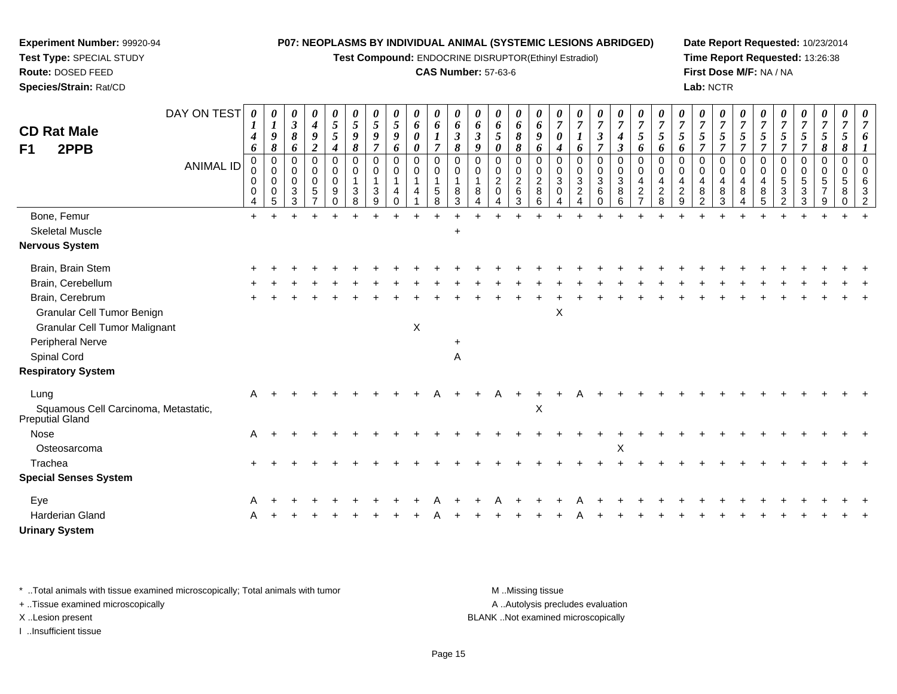**Test Compound:** ENDOCRINE DISRUPTOR(Ethinyl Estradiol)

### **CAS Number:** 57-63-6

**Date Report Requested:** 10/23/2014**Time Report Requested:** 13:26:38**First Dose M/F:** NA / NA**Lab:** NCTR

| <b>CD Rat Male</b><br>2PPB<br>F <sub>1</sub>                                                                 | DAY ON TEST<br><b>ANIMAL ID</b> | 0<br>-1<br>$\boldsymbol{4}$<br>6<br>0<br>0<br>0<br>0<br>4 | 0<br>$\boldsymbol{l}$<br>$\boldsymbol{9}$<br>8<br>0<br>0<br>0<br>0<br>5 | 0<br>$\boldsymbol{\beta}$<br>8<br>6<br>0<br>$\mathbf 0$<br>$\Omega$<br>3<br>3 | 0<br>$\boldsymbol{4}$<br>9<br>$\boldsymbol{2}$<br>0<br>0<br>0<br>$\sqrt{5}$ | 0<br>$\sqrt{5}$<br>$\overline{5}$<br>$\boldsymbol{4}$<br>0<br>$\mathbf 0$<br>$\mathbf 0$<br>9<br>$\mathbf 0$ | 0<br>$\overline{5}$<br>$\boldsymbol{g}$<br>8<br>0<br>0<br>$\mathbf{1}$<br>3<br>8 | 0<br>5<br>9<br>7<br>$\mathbf 0$<br>$\Omega$<br>3<br>9 | 0<br>5<br>9<br>6<br>0<br>$\mathbf 0$<br>4<br>$\Omega$ | 0<br>6<br>0<br>0<br>0<br>0<br>$\mathbf{1}$<br>$\overline{4}$ | 0<br>6<br>7<br>$\mathbf 0$<br>$\mathbf 0$<br>$\begin{array}{c} 5 \\ 8 \end{array}$ | 0<br>6<br>$\mathfrak{z}$<br>8<br>$\mathbf 0$<br>$\mathbf 0$<br>8<br>3 | 0<br>6<br>$\mathfrak{z}$<br>9<br>0<br>0<br>8<br>Δ | 0<br>6<br>5<br>0<br>0<br>0<br>$\overline{c}$<br>$\mathbf 0$<br>4 | 0<br>6<br>8<br>8<br>0<br>0<br>$\frac{2}{6}$<br>3 | 0<br>6<br>9<br>6<br>0<br>0<br>$\overline{c}$<br>8<br>6 | $\overline{7}$<br>0<br>$\boldsymbol{4}$<br>$\Omega$<br>0<br>$\mathbf{3}$<br>$\mathbf 0$<br>$\boldsymbol{\Lambda}$ | 0<br>$\overline{7}$<br>6<br>0<br>$\mathbf 0$<br>$\sqrt{3}$<br>$\overline{2}$<br>4 | 0<br>$\overline{7}$<br>$\boldsymbol{\beta}$<br>$\overline{7}$<br>0<br>0<br>$\mathbf{3}$<br>$\,6$<br>$\Omega$ | $\boldsymbol{\theta}$<br>$\overline{7}$<br>$\boldsymbol{4}$<br>$\mathfrak{z}$<br>$\pmb{0}$<br>$\mathbf 0$<br>$\overline{3}$<br>$\overline{8}$<br>6 | 0<br>$\overline{7}$<br>5<br>6<br>0<br>$\mathbf 0$<br>$\overline{4}$<br>$\overline{c}$<br>$\overline{7}$ | 0<br>$\overline{7}$<br>5<br>6<br>0<br>$\Omega$<br>4<br>$_{\rm 8}^2$ | 0<br>$\overline{7}$<br>5<br>6<br>$\Omega$<br>$\mathbf 0$<br>4<br>$\overline{c}$<br>9 | 0<br>$\overline{7}$<br>5<br>7<br>0<br>$\mathbf 0$<br>4<br>8<br>$\overline{2}$ | 0<br>$\overline{7}$<br>5<br>$\overline{7}$<br>$\mathbf 0$<br>$\mathbf 0$<br>$\overline{4}$<br>8<br>$\mathbf{3}$ | 0<br>$\overline{7}$<br>5<br>$\overline{7}$<br>0<br>$\mathbf 0$<br>$\overline{4}$<br>8<br>4 | 7<br>5<br>7<br>0<br>$\Omega$<br>8<br>5 | 0<br>$\overline{7}$<br>5<br>0<br>0<br>5<br>3<br>$\overline{2}$ | 0<br>$\boldsymbol{7}$<br>5<br>$\overline{7}$<br>0<br>0<br>5<br>$\mathbf{3}$<br>3 | 0<br>$\overline{7}$<br>5<br>8<br>0<br>0<br>5<br>$\overline{ }$<br>9 | 0<br>$\overline{7}$<br>$\mathfrak{s}$<br>8<br>0<br>0<br>5<br>8<br>$\mathbf 0$ | 0<br>$\overline{7}$<br>6<br>$\Omega$<br>$\Omega$<br>6<br>3<br>$\overline{2}$ |
|--------------------------------------------------------------------------------------------------------------|---------------------------------|-----------------------------------------------------------|-------------------------------------------------------------------------|-------------------------------------------------------------------------------|-----------------------------------------------------------------------------|--------------------------------------------------------------------------------------------------------------|----------------------------------------------------------------------------------|-------------------------------------------------------|-------------------------------------------------------|--------------------------------------------------------------|------------------------------------------------------------------------------------|-----------------------------------------------------------------------|---------------------------------------------------|------------------------------------------------------------------|--------------------------------------------------|--------------------------------------------------------|-------------------------------------------------------------------------------------------------------------------|-----------------------------------------------------------------------------------|--------------------------------------------------------------------------------------------------------------|----------------------------------------------------------------------------------------------------------------------------------------------------|---------------------------------------------------------------------------------------------------------|---------------------------------------------------------------------|--------------------------------------------------------------------------------------|-------------------------------------------------------------------------------|-----------------------------------------------------------------------------------------------------------------|--------------------------------------------------------------------------------------------|----------------------------------------|----------------------------------------------------------------|----------------------------------------------------------------------------------|---------------------------------------------------------------------|-------------------------------------------------------------------------------|------------------------------------------------------------------------------|
| Bone, Femur                                                                                                  |                                 | $+$                                                       |                                                                         |                                                                               |                                                                             |                                                                                                              |                                                                                  |                                                       |                                                       |                                                              |                                                                                    |                                                                       |                                                   |                                                                  |                                                  |                                                        |                                                                                                                   |                                                                                   |                                                                                                              |                                                                                                                                                    |                                                                                                         |                                                                     |                                                                                      |                                                                               |                                                                                                                 |                                                                                            |                                        |                                                                |                                                                                  |                                                                     |                                                                               |                                                                              |
| <b>Skeletal Muscle</b>                                                                                       |                                 |                                                           |                                                                         |                                                                               |                                                                             |                                                                                                              |                                                                                  |                                                       |                                                       |                                                              |                                                                                    | $\ddot{}$                                                             |                                                   |                                                                  |                                                  |                                                        |                                                                                                                   |                                                                                   |                                                                                                              |                                                                                                                                                    |                                                                                                         |                                                                     |                                                                                      |                                                                               |                                                                                                                 |                                                                                            |                                        |                                                                |                                                                                  |                                                                     |                                                                               |                                                                              |
| <b>Nervous System</b>                                                                                        |                                 |                                                           |                                                                         |                                                                               |                                                                             |                                                                                                              |                                                                                  |                                                       |                                                       |                                                              |                                                                                    |                                                                       |                                                   |                                                                  |                                                  |                                                        |                                                                                                                   |                                                                                   |                                                                                                              |                                                                                                                                                    |                                                                                                         |                                                                     |                                                                                      |                                                                               |                                                                                                                 |                                                                                            |                                        |                                                                |                                                                                  |                                                                     |                                                                               |                                                                              |
| Brain, Brain Stem                                                                                            |                                 |                                                           |                                                                         |                                                                               |                                                                             |                                                                                                              |                                                                                  |                                                       |                                                       |                                                              |                                                                                    |                                                                       |                                                   |                                                                  |                                                  |                                                        |                                                                                                                   |                                                                                   |                                                                                                              |                                                                                                                                                    |                                                                                                         |                                                                     |                                                                                      |                                                                               |                                                                                                                 |                                                                                            |                                        |                                                                |                                                                                  |                                                                     |                                                                               |                                                                              |
| Brain, Cerebellum                                                                                            |                                 |                                                           |                                                                         |                                                                               |                                                                             |                                                                                                              |                                                                                  |                                                       |                                                       |                                                              |                                                                                    |                                                                       |                                                   |                                                                  |                                                  |                                                        |                                                                                                                   |                                                                                   |                                                                                                              |                                                                                                                                                    |                                                                                                         |                                                                     |                                                                                      |                                                                               |                                                                                                                 |                                                                                            |                                        |                                                                |                                                                                  |                                                                     |                                                                               |                                                                              |
| Brain, Cerebrum                                                                                              |                                 |                                                           |                                                                         |                                                                               |                                                                             |                                                                                                              |                                                                                  |                                                       |                                                       |                                                              |                                                                                    |                                                                       |                                                   |                                                                  |                                                  |                                                        |                                                                                                                   |                                                                                   |                                                                                                              |                                                                                                                                                    |                                                                                                         |                                                                     |                                                                                      |                                                                               |                                                                                                                 |                                                                                            |                                        |                                                                |                                                                                  |                                                                     |                                                                               |                                                                              |
| <b>Granular Cell Tumor Benign</b><br><b>Granular Cell Tumor Malignant</b><br>Peripheral Nerve<br>Spinal Cord |                                 |                                                           |                                                                         |                                                                               |                                                                             |                                                                                                              |                                                                                  |                                                       |                                                       | X                                                            |                                                                                    | $\ddot{}$                                                             |                                                   |                                                                  |                                                  |                                                        | X                                                                                                                 |                                                                                   |                                                                                                              |                                                                                                                                                    |                                                                                                         |                                                                     |                                                                                      |                                                                               |                                                                                                                 |                                                                                            |                                        |                                                                |                                                                                  |                                                                     |                                                                               |                                                                              |
|                                                                                                              |                                 |                                                           |                                                                         |                                                                               |                                                                             |                                                                                                              |                                                                                  |                                                       |                                                       |                                                              |                                                                                    | A                                                                     |                                                   |                                                                  |                                                  |                                                        |                                                                                                                   |                                                                                   |                                                                                                              |                                                                                                                                                    |                                                                                                         |                                                                     |                                                                                      |                                                                               |                                                                                                                 |                                                                                            |                                        |                                                                |                                                                                  |                                                                     |                                                                               |                                                                              |
| <b>Respiratory System</b>                                                                                    |                                 |                                                           |                                                                         |                                                                               |                                                                             |                                                                                                              |                                                                                  |                                                       |                                                       |                                                              |                                                                                    |                                                                       |                                                   |                                                                  |                                                  |                                                        |                                                                                                                   |                                                                                   |                                                                                                              |                                                                                                                                                    |                                                                                                         |                                                                     |                                                                                      |                                                                               |                                                                                                                 |                                                                                            |                                        |                                                                |                                                                                  |                                                                     |                                                                               |                                                                              |
| Lung                                                                                                         |                                 | A                                                         |                                                                         |                                                                               |                                                                             |                                                                                                              |                                                                                  |                                                       |                                                       |                                                              |                                                                                    |                                                                       |                                                   |                                                                  |                                                  |                                                        |                                                                                                                   |                                                                                   |                                                                                                              |                                                                                                                                                    |                                                                                                         |                                                                     |                                                                                      |                                                                               |                                                                                                                 |                                                                                            |                                        |                                                                |                                                                                  |                                                                     |                                                                               |                                                                              |
| Squamous Cell Carcinoma, Metastatic,<br>Preputial Gland                                                      |                                 |                                                           |                                                                         |                                                                               |                                                                             |                                                                                                              |                                                                                  |                                                       |                                                       |                                                              |                                                                                    |                                                                       |                                                   |                                                                  |                                                  | X                                                      |                                                                                                                   |                                                                                   |                                                                                                              |                                                                                                                                                    |                                                                                                         |                                                                     |                                                                                      |                                                                               |                                                                                                                 |                                                                                            |                                        |                                                                |                                                                                  |                                                                     |                                                                               |                                                                              |
| <b>Nose</b>                                                                                                  |                                 | A                                                         |                                                                         |                                                                               |                                                                             |                                                                                                              |                                                                                  |                                                       |                                                       |                                                              |                                                                                    |                                                                       |                                                   |                                                                  |                                                  |                                                        |                                                                                                                   |                                                                                   |                                                                                                              |                                                                                                                                                    |                                                                                                         |                                                                     |                                                                                      |                                                                               |                                                                                                                 |                                                                                            |                                        |                                                                |                                                                                  |                                                                     |                                                                               |                                                                              |
| Osteosarcoma                                                                                                 |                                 |                                                           |                                                                         |                                                                               |                                                                             |                                                                                                              |                                                                                  |                                                       |                                                       |                                                              |                                                                                    |                                                                       |                                                   |                                                                  |                                                  |                                                        |                                                                                                                   |                                                                                   |                                                                                                              | X                                                                                                                                                  |                                                                                                         |                                                                     |                                                                                      |                                                                               |                                                                                                                 |                                                                                            |                                        |                                                                |                                                                                  |                                                                     |                                                                               |                                                                              |
| Trachea                                                                                                      |                                 |                                                           |                                                                         |                                                                               |                                                                             |                                                                                                              |                                                                                  |                                                       |                                                       |                                                              |                                                                                    |                                                                       |                                                   |                                                                  |                                                  |                                                        |                                                                                                                   |                                                                                   |                                                                                                              |                                                                                                                                                    |                                                                                                         |                                                                     |                                                                                      |                                                                               |                                                                                                                 |                                                                                            |                                        |                                                                |                                                                                  |                                                                     |                                                                               |                                                                              |
| <b>Special Senses System</b>                                                                                 |                                 |                                                           |                                                                         |                                                                               |                                                                             |                                                                                                              |                                                                                  |                                                       |                                                       |                                                              |                                                                                    |                                                                       |                                                   |                                                                  |                                                  |                                                        |                                                                                                                   |                                                                                   |                                                                                                              |                                                                                                                                                    |                                                                                                         |                                                                     |                                                                                      |                                                                               |                                                                                                                 |                                                                                            |                                        |                                                                |                                                                                  |                                                                     |                                                                               |                                                                              |
| Eye                                                                                                          |                                 |                                                           |                                                                         |                                                                               |                                                                             |                                                                                                              |                                                                                  |                                                       |                                                       |                                                              |                                                                                    |                                                                       |                                                   |                                                                  |                                                  |                                                        |                                                                                                                   |                                                                                   |                                                                                                              |                                                                                                                                                    |                                                                                                         |                                                                     |                                                                                      |                                                                               |                                                                                                                 |                                                                                            |                                        |                                                                |                                                                                  |                                                                     |                                                                               |                                                                              |
| Harderian Gland                                                                                              |                                 |                                                           |                                                                         |                                                                               |                                                                             |                                                                                                              |                                                                                  |                                                       |                                                       |                                                              |                                                                                    |                                                                       |                                                   |                                                                  |                                                  |                                                        |                                                                                                                   |                                                                                   |                                                                                                              |                                                                                                                                                    |                                                                                                         |                                                                     |                                                                                      |                                                                               |                                                                                                                 |                                                                                            |                                        |                                                                |                                                                                  |                                                                     |                                                                               |                                                                              |
| <b>Urinary System</b>                                                                                        |                                 |                                                           |                                                                         |                                                                               |                                                                             |                                                                                                              |                                                                                  |                                                       |                                                       |                                                              |                                                                                    |                                                                       |                                                   |                                                                  |                                                  |                                                        |                                                                                                                   |                                                                                   |                                                                                                              |                                                                                                                                                    |                                                                                                         |                                                                     |                                                                                      |                                                                               |                                                                                                                 |                                                                                            |                                        |                                                                |                                                                                  |                                                                     |                                                                               |                                                                              |

\* ..Total animals with tissue examined microscopically; Total animals with tumor **M** . Missing tissue M ..Missing tissue

+ ..Tissue examined microscopically

**Experiment Number:** 99920-94**Test Type:** SPECIAL STUDY**Route:** DOSED FEED**Species/Strain:** Rat/CD

I ..Insufficient tissue

A ..Autolysis precludes evaluation X ..Lesion present BLANK ..Not examined microscopically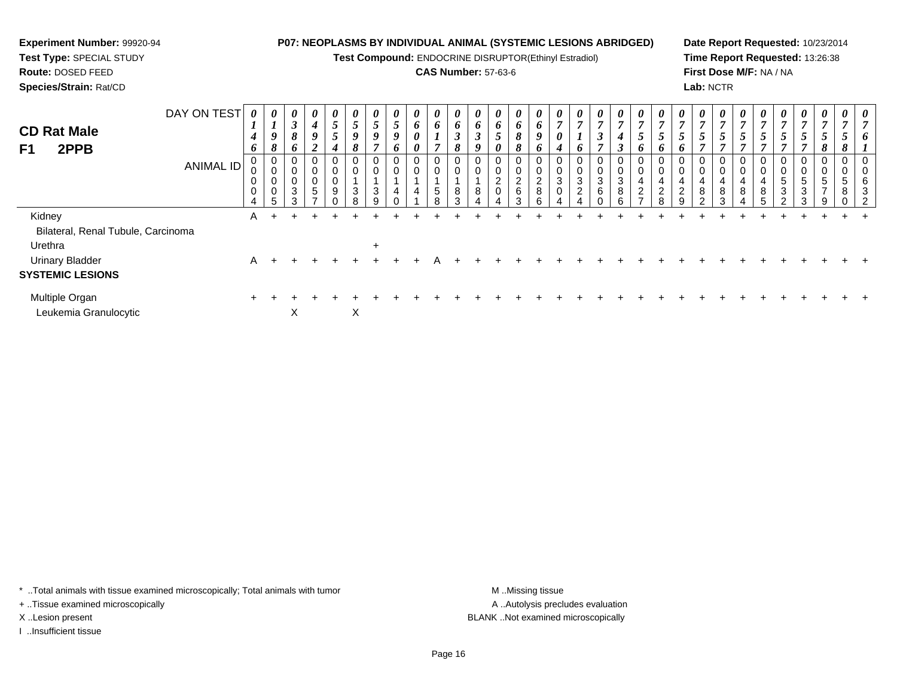# **Experiment Number:** 99920-94**Test Type:** SPECIAL STUDY

**Route:** DOSED FEED

**Species/Strain:** Rat/CD

## **P07: NEOPLASMS BY INDIVIDUAL ANIMAL (SYSTEMIC LESIONS ABRIDGED)**

**Test Compound:** ENDOCRINE DISRUPTOR(Ethinyl Estradiol)

## **CAS Number:** 57-63-6

**Date Report Requested:** 10/23/2014**Time Report Requested:** 13:26:38**First Dose M/F:** NA / NA**Lab:** NCTR

| <b>CD Rat Male</b><br>2PPB<br>F <sub>1</sub> | DAY ON TEST<br><b>ANIMAL ID</b> | 0<br>$\mathbf{I}$<br>$\boldsymbol{4}$<br>6<br>0<br>0<br>0<br>4 | $\boldsymbol{\theta}$<br>$\mathbf{I}$<br>9<br>8<br>J<br>0<br>0<br>5 | $\boldsymbol{\theta}$<br>$\boldsymbol{\beta}$<br>8<br>6<br>0<br>0<br>$\pmb{0}$<br>$\sqrt{3}$<br>3 | $\boldsymbol{\theta}$<br>$\boldsymbol{4}$<br>9<br>$\boldsymbol{2}$<br>0<br>0<br>0<br>$\sqrt{5}$<br>$\overline{ }$ | $\boldsymbol{\theta}$<br>$\overline{5}$<br>5<br>4<br>$\boldsymbol{0}$<br>$\pmb{0}$<br>$\pmb{0}$<br>$\overline{9}$ | $\boldsymbol{\theta}$<br>-<br>$\mathcal{I}$<br>9<br>$\Omega$<br>$\sigma$<br>0<br>0<br>3<br>8 | 0<br>5<br>$\boldsymbol{9}$<br>0<br>3 | 0<br>5<br>9<br>6<br>$\pmb{0}$<br>0<br>4 | $\boldsymbol{\theta}$<br>6<br>0<br>0<br>0<br>0<br>4 | 0<br>6<br>$\overline{ }$<br>$\boldsymbol{0}$<br>$\pmb{0}$<br>$\sqrt{5}$<br>8 | 0<br>6<br>$\mathfrak{z}$<br>8<br>$\mathbf 0$<br>$\pmb{0}$<br>8<br>3 | $\boldsymbol{\theta}$<br>6<br>$\boldsymbol{\beta}$<br>9<br>0<br>$\mathbf 0$<br>8 | $\boldsymbol{\theta}$<br>6<br>$\overline{ }$<br>J<br>0<br>0<br>0<br>$\overline{2}$<br>0 | 0<br>6<br>8<br>$\Omega$<br>$\sigma$<br>$\frac{2}{6}$<br>З | 0<br>6<br>9<br>o<br>0<br>0<br>$_{8}^{\rm 2}$<br>ĥ | 0<br>$\mathbf{r}$<br>0<br>4<br>0<br>$\ensuremath{\mathsf{3}}$<br>$\mathbf 0$ | 0<br>$\overline{ }$<br>6<br>$\pmb{0}$<br>$\pmb{0}$<br>$\ensuremath{\mathsf{3}}$<br>$\overline{2}$ | $\boldsymbol{\theta}$<br>$\overline{7}$<br>$\boldsymbol{\beta}$<br>$\overline{7}$<br>$\mathbf 0$<br>$\pmb{0}$<br>$\frac{3}{6}$ | $\boldsymbol{\theta}$<br>$\overline{7}$<br>$\boldsymbol{4}$<br>$\mathfrak{Z}$<br>$\pmb{0}$<br>$\pmb{0}$<br>$\sqrt{3}$<br>$\bf 8$<br>Р. | $\boldsymbol{\theta}$<br>$\overline{ }$<br>$\mathcal{L}$<br>o<br>0<br>0<br>4<br>$\overline{2}$ | $\boldsymbol{\theta}$<br>Ć<br>o<br>4<br>$\overline{2}$ | 0<br>$\mathbf{r}$<br>$\overline{\phantom{0}}$<br>0<br>0<br>4<br>$\overline{c}$<br>a | 0<br>$\overline{ }$<br>$\mathfrak{s}$<br>$\overline{ }$<br>0<br>$\boldsymbol{0}$<br>4<br>8<br>$\sim$ | 0<br>$\mathbf{r}$<br>$\mathcal{L}$<br>0<br>0<br>4<br>8<br>3 | 0<br>$\overline{5}$<br>$\overline{ }$<br>$\pmb{0}$<br>0<br>4<br>$\bf 8$ | $\boldsymbol{\theta}$<br>5<br>$\pmb{0}$<br>$\pmb{0}$<br>4<br>$\bf 8$<br>5 | $\boldsymbol{\theta}$<br>7<br>$\overline{a}$<br>$\mathcal{L}$<br>$\overline{ }$<br>0<br>0<br>5<br>3<br>C | $\boldsymbol{\theta}$<br>$\overline{7}$<br>$5\phantom{.0}$<br>$\overline{ }$<br>0<br>$5\phantom{.0}$<br>3<br>3 | 0<br>$\overline{ }$<br>$5\phantom{.0}$<br>8<br>0<br>0<br>5<br>$\overline{ }$<br>9 | 0<br>5<br>0<br>5<br>8<br>∩ | 0<br>n<br>6<br>3<br>റ |
|----------------------------------------------|---------------------------------|----------------------------------------------------------------|---------------------------------------------------------------------|---------------------------------------------------------------------------------------------------|-------------------------------------------------------------------------------------------------------------------|-------------------------------------------------------------------------------------------------------------------|----------------------------------------------------------------------------------------------|--------------------------------------|-----------------------------------------|-----------------------------------------------------|------------------------------------------------------------------------------|---------------------------------------------------------------------|----------------------------------------------------------------------------------|-----------------------------------------------------------------------------------------|-----------------------------------------------------------|---------------------------------------------------|------------------------------------------------------------------------------|---------------------------------------------------------------------------------------------------|--------------------------------------------------------------------------------------------------------------------------------|----------------------------------------------------------------------------------------------------------------------------------------|------------------------------------------------------------------------------------------------|--------------------------------------------------------|-------------------------------------------------------------------------------------|------------------------------------------------------------------------------------------------------|-------------------------------------------------------------|-------------------------------------------------------------------------|---------------------------------------------------------------------------|----------------------------------------------------------------------------------------------------------|----------------------------------------------------------------------------------------------------------------|-----------------------------------------------------------------------------------|----------------------------|-----------------------|
| Kidney                                       |                                 | A                                                              |                                                                     |                                                                                                   |                                                                                                                   |                                                                                                                   |                                                                                              |                                      |                                         |                                                     |                                                                              |                                                                     |                                                                                  |                                                                                         |                                                           |                                                   |                                                                              |                                                                                                   |                                                                                                                                |                                                                                                                                        |                                                                                                |                                                        |                                                                                     |                                                                                                      |                                                             |                                                                         |                                                                           |                                                                                                          |                                                                                                                |                                                                                   |                            |                       |
| Bilateral, Renal Tubule, Carcinoma           |                                 |                                                                |                                                                     |                                                                                                   |                                                                                                                   |                                                                                                                   |                                                                                              |                                      |                                         |                                                     |                                                                              |                                                                     |                                                                                  |                                                                                         |                                                           |                                                   |                                                                              |                                                                                                   |                                                                                                                                |                                                                                                                                        |                                                                                                |                                                        |                                                                                     |                                                                                                      |                                                             |                                                                         |                                                                           |                                                                                                          |                                                                                                                |                                                                                   |                            |                       |
| Urethra                                      |                                 |                                                                |                                                                     |                                                                                                   |                                                                                                                   |                                                                                                                   |                                                                                              | $\ddot{}$                            |                                         |                                                     |                                                                              |                                                                     |                                                                                  |                                                                                         |                                                           |                                                   |                                                                              |                                                                                                   |                                                                                                                                |                                                                                                                                        |                                                                                                |                                                        |                                                                                     |                                                                                                      |                                                             |                                                                         |                                                                           |                                                                                                          |                                                                                                                |                                                                                   |                            |                       |
| <b>Urinary Bladder</b>                       |                                 | A                                                              | $\div$                                                              |                                                                                                   |                                                                                                                   |                                                                                                                   |                                                                                              |                                      |                                         |                                                     |                                                                              |                                                                     |                                                                                  |                                                                                         |                                                           |                                                   |                                                                              |                                                                                                   |                                                                                                                                |                                                                                                                                        |                                                                                                |                                                        |                                                                                     |                                                                                                      |                                                             |                                                                         |                                                                           |                                                                                                          |                                                                                                                |                                                                                   |                            |                       |
| <b>SYSTEMIC LESIONS</b>                      |                                 |                                                                |                                                                     |                                                                                                   |                                                                                                                   |                                                                                                                   |                                                                                              |                                      |                                         |                                                     |                                                                              |                                                                     |                                                                                  |                                                                                         |                                                           |                                                   |                                                                              |                                                                                                   |                                                                                                                                |                                                                                                                                        |                                                                                                |                                                        |                                                                                     |                                                                                                      |                                                             |                                                                         |                                                                           |                                                                                                          |                                                                                                                |                                                                                   |                            |                       |
| Multiple Organ<br>Leukemia Granulocytic      |                                 | $\pm$                                                          |                                                                     | X                                                                                                 |                                                                                                                   |                                                                                                                   | X                                                                                            |                                      |                                         |                                                     |                                                                              |                                                                     |                                                                                  |                                                                                         |                                                           |                                                   |                                                                              |                                                                                                   |                                                                                                                                |                                                                                                                                        |                                                                                                |                                                        |                                                                                     |                                                                                                      |                                                             |                                                                         |                                                                           |                                                                                                          |                                                                                                                |                                                                                   |                            |                       |

\* ..Total animals with tissue examined microscopically; Total animals with tumor **M** . Missing tissue M ..Missing tissue

+ ..Tissue examined microscopically

I ..Insufficient tissue

A ..Autolysis precludes evaluation X ..Lesion present BLANK ..Not examined microscopically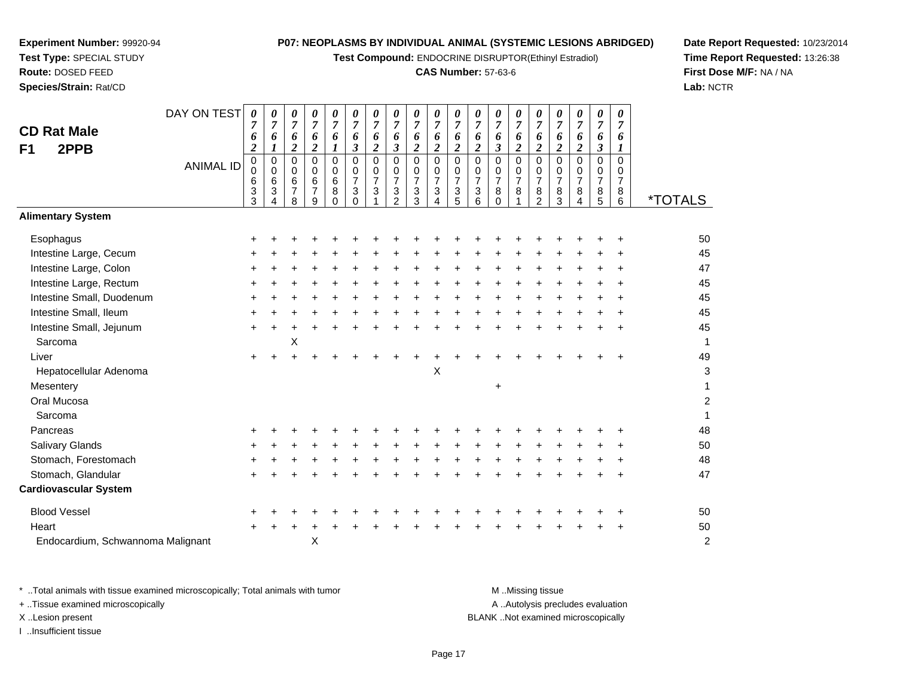**Test Compound:** ENDOCRINE DISRUPTOR(Ethinyl Estradiol)

#### **CAS Number:** 57-63-6

**Date Report Requested:** 10/23/2014**Time Report Requested:** 13:26:38**First Dose M/F:** NA / NA**Lab:** NCTR

|                                                                                | <b>ANIMAL ID</b>                  | 0<br>0<br>6<br>3<br>3 | 0<br>$\pmb{0}$<br>6<br>3<br>4 | 0<br>$\mathbf 0$<br>6<br>7<br>8 | 0<br>$\mathbf 0$<br>$\,6\,$<br>$\overline{7}$<br>9 | 0<br>0<br>6<br>8<br>$\Omega$ | 0<br>0<br>$\overline{7}$<br>3<br>$\Omega$ | 0<br>$\mathbf 0$<br>$\overline{7}$<br>3 | 0<br>0<br>$\overline{7}$<br>$\frac{3}{2}$ | 0<br>$\pmb{0}$<br>$\overline{7}$<br>$\frac{3}{3}$ | 0<br>0<br>$\overline{7}$<br>3<br>4 | 0<br>$\pmb{0}$<br>$\overline{7}$<br>$\frac{3}{5}$ | 0<br>0<br>$\overline{7}$<br>3<br>6 | 0<br>0<br>$\overline{7}$<br>8<br>0 | 0<br>0<br>$\overline{7}$<br>8<br>1 | 0<br>0<br>$\overline{7}$<br>8<br>$\overline{2}$ | 0<br>0<br>7<br>8<br>3 | 0<br>0<br>$\overline{7}$<br>8<br>4 | 0<br>0<br>$\overline{7}$<br>$\frac{8}{5}$ | 0<br>0<br>$\overline{7}$<br>8<br>6 | <i><b>*TOTALS</b></i> |
|--------------------------------------------------------------------------------|-----------------------------------|-----------------------|-------------------------------|---------------------------------|----------------------------------------------------|------------------------------|-------------------------------------------|-----------------------------------------|-------------------------------------------|---------------------------------------------------|------------------------------------|---------------------------------------------------|------------------------------------|------------------------------------|------------------------------------|-------------------------------------------------|-----------------------|------------------------------------|-------------------------------------------|------------------------------------|-----------------------|
| <b>Alimentary System</b>                                                       |                                   |                       |                               |                                 |                                                    |                              |                                           |                                         |                                           |                                                   |                                    |                                                   |                                    |                                    |                                    |                                                 |                       |                                    |                                           |                                    |                       |
| Esophagus                                                                      |                                   | +                     |                               |                                 |                                                    |                              |                                           |                                         |                                           |                                                   |                                    |                                                   |                                    |                                    |                                    |                                                 |                       |                                    |                                           |                                    | 50                    |
| Intestine Large, Cecum                                                         |                                   | +                     |                               |                                 |                                                    |                              |                                           |                                         |                                           |                                                   |                                    |                                                   |                                    |                                    |                                    |                                                 |                       |                                    |                                           |                                    | 45                    |
| Intestine Large, Colon                                                         |                                   | +                     |                               |                                 |                                                    |                              |                                           |                                         |                                           |                                                   |                                    |                                                   |                                    |                                    |                                    |                                                 |                       |                                    |                                           |                                    | 47                    |
| Intestine Large, Rectum                                                        |                                   | +                     |                               |                                 |                                                    |                              |                                           |                                         |                                           |                                                   |                                    |                                                   |                                    |                                    |                                    |                                                 |                       |                                    |                                           |                                    | 45                    |
| Intestine Small, Duodenum                                                      |                                   | +                     |                               |                                 |                                                    |                              |                                           |                                         |                                           |                                                   |                                    |                                                   |                                    |                                    |                                    |                                                 |                       |                                    |                                           | ÷                                  | 45                    |
| Intestine Small, Ileum                                                         |                                   |                       |                               |                                 |                                                    |                              |                                           |                                         |                                           |                                                   |                                    |                                                   |                                    |                                    |                                    |                                                 |                       |                                    |                                           |                                    | 45                    |
| Intestine Small, Jejunum                                                       |                                   | $\ddot{}$             | +                             |                                 |                                                    |                              |                                           |                                         |                                           |                                                   |                                    |                                                   |                                    |                                    |                                    |                                                 |                       |                                    |                                           |                                    | 45                    |
| Sarcoma                                                                        |                                   |                       |                               | X                               |                                                    |                              |                                           |                                         |                                           |                                                   |                                    |                                                   |                                    |                                    |                                    |                                                 |                       |                                    |                                           |                                    | 1                     |
| Liver                                                                          |                                   | $\ddot{}$             |                               |                                 |                                                    |                              |                                           |                                         |                                           |                                                   |                                    |                                                   |                                    |                                    |                                    |                                                 |                       |                                    |                                           |                                    | 49                    |
| Hepatocellular Adenoma                                                         |                                   |                       |                               |                                 |                                                    |                              |                                           |                                         |                                           |                                                   | $\boldsymbol{\mathsf{X}}$          |                                                   |                                    |                                    |                                    |                                                 |                       |                                    |                                           |                                    | 3                     |
| Mesentery                                                                      |                                   |                       |                               |                                 |                                                    |                              |                                           |                                         |                                           |                                                   |                                    |                                                   |                                    | +                                  |                                    |                                                 |                       |                                    |                                           |                                    |                       |
| Oral Mucosa                                                                    |                                   |                       |                               |                                 |                                                    |                              |                                           |                                         |                                           |                                                   |                                    |                                                   |                                    |                                    |                                    |                                                 |                       |                                    |                                           |                                    | 2                     |
| Sarcoma                                                                        |                                   |                       |                               |                                 |                                                    |                              |                                           |                                         |                                           |                                                   |                                    |                                                   |                                    |                                    |                                    |                                                 |                       |                                    |                                           |                                    | 1                     |
| Pancreas                                                                       |                                   |                       |                               |                                 |                                                    |                              |                                           |                                         |                                           |                                                   |                                    |                                                   |                                    |                                    |                                    |                                                 |                       |                                    |                                           |                                    | 48                    |
| <b>Salivary Glands</b>                                                         |                                   | ٠                     |                               |                                 |                                                    |                              |                                           |                                         |                                           |                                                   |                                    |                                                   |                                    |                                    |                                    |                                                 |                       |                                    |                                           |                                    | 50                    |
| Stomach, Forestomach                                                           |                                   |                       |                               |                                 |                                                    |                              |                                           |                                         |                                           |                                                   |                                    |                                                   |                                    |                                    |                                    |                                                 |                       |                                    |                                           |                                    | 48                    |
| Stomach, Glandular                                                             |                                   |                       |                               |                                 |                                                    |                              |                                           |                                         |                                           |                                                   |                                    |                                                   |                                    |                                    |                                    |                                                 |                       |                                    |                                           |                                    | 47                    |
| <b>Cardiovascular System</b>                                                   |                                   |                       |                               |                                 |                                                    |                              |                                           |                                         |                                           |                                                   |                                    |                                                   |                                    |                                    |                                    |                                                 |                       |                                    |                                           |                                    |                       |
| <b>Blood Vessel</b>                                                            |                                   | +                     |                               |                                 |                                                    |                              |                                           |                                         |                                           |                                                   |                                    |                                                   |                                    |                                    |                                    |                                                 |                       |                                    |                                           |                                    | 50                    |
| Heart                                                                          |                                   | $\pm$                 |                               |                                 |                                                    |                              |                                           |                                         |                                           |                                                   |                                    |                                                   |                                    |                                    |                                    |                                                 |                       |                                    |                                           |                                    | 50                    |
| Endocardium, Schwannoma Malignant                                              |                                   |                       |                               |                                 | Χ                                                  |                              |                                           |                                         |                                           |                                                   |                                    |                                                   |                                    |                                    |                                    |                                                 |                       |                                    |                                           |                                    | $\overline{c}$        |
| * Total animals with tissue examined microscopically; Total animals with tumor |                                   |                       |                               |                                 |                                                    |                              |                                           |                                         |                                           |                                                   |                                    |                                                   |                                    |                                    |                                    | M Missing tissue                                |                       |                                    |                                           |                                    |                       |
| + Tissue examined microscopically                                              | A  Autolysis precludes evaluation |                       |                               |                                 |                                                    |                              |                                           |                                         |                                           |                                                   |                                    |                                                   |                                    |                                    |                                    |                                                 |                       |                                    |                                           |                                    |                       |
| X Lesion present                                                               |                                   |                       |                               |                                 |                                                    |                              |                                           |                                         |                                           |                                                   |                                    |                                                   |                                    |                                    |                                    |                                                 |                       |                                    | BLANK Not examined microscopically        |                                    |                       |

**Experiment Number:** 99920-94**Test Type:** SPECIAL STUDY**Route:** DOSED FEED**Species/Strain:** Rat/CD

**CD Rat MaleF1 2PPB**

DAY ON TEST

I ..Insufficient tissue

Page 17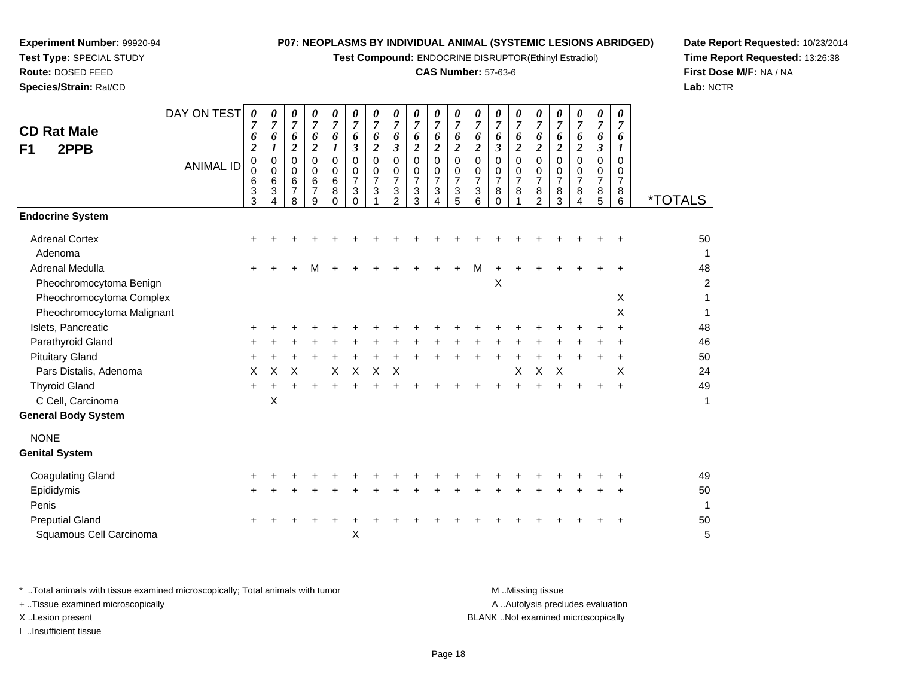**Test Compound:** ENDOCRINE DISRUPTOR(Ethinyl Estradiol)

### **CAS Number:** 57-63-6

**Date Report Requested:** 10/23/2014**Time Report Requested:** 13:26:38**First Dose M/F:** NA / NA**Lab:** NCTR

| <b>CD Rat Male</b><br>F1<br>2PPB                       | DAY ON TEST<br><b>ANIMAL ID</b> | 0<br>7<br>6<br>$\boldsymbol{2}$<br>0<br>0<br>6<br>$\frac{3}{3}$ | 0<br>$\overline{7}$<br>6<br>$\boldsymbol{l}$<br>0<br>$\mathbf 0$<br>6<br>$\ensuremath{\mathsf{3}}$<br>$\boldsymbol{\Lambda}$ | 0<br>$\overline{7}$<br>6<br>$\overline{2}$<br>0<br>$\mathbf 0$<br>6<br>$\overline{7}$<br>8 | 0<br>$\overline{7}$<br>6<br>$\boldsymbol{2}$<br>$\Omega$<br>0<br>6<br>$\overline{7}$<br>9 | 0<br>$\overline{7}$<br>6<br>1<br>$\Omega$<br>0<br>6<br>8<br>$\Omega$ | 0<br>$\overline{7}$<br>6<br>3<br>$\mathbf 0$<br>0<br>$\overline{7}$<br>3<br>$\Omega$ | 0<br>$\boldsymbol{7}$<br>6<br>$\overline{\mathbf{c}}$<br>$\Omega$<br>0<br>$\overline{7}$<br>$\sqrt{3}$<br>1 | 0<br>$\overline{7}$<br>6<br>$\mathbf{3}$<br>$\mathbf 0$<br>$\mathbf 0$<br>$\overline{7}$<br>$\ensuremath{\mathsf{3}}$<br>2 | 0<br>$\overline{7}$<br>6<br>$\boldsymbol{2}$<br>$\Omega$<br>0<br>$\overline{7}$<br>3<br>3 | 0<br>$\overline{7}$<br>6<br>$\overline{2}$<br>$\mathbf 0$<br>$\mathbf 0$<br>$\overline{7}$<br>3<br>$\overline{4}$ | 0<br>$\boldsymbol{7}$<br>6<br>$\overline{\mathbf{c}}$<br>0<br>0<br>$\overline{7}$<br>3<br>5 | 0<br>$\boldsymbol{7}$<br>6<br>$\boldsymbol{2}$<br>$\mathbf 0$<br>0<br>$\overline{7}$<br>$\ensuremath{\mathsf{3}}$<br>6 | 0<br>$\boldsymbol{7}$<br>6<br>$\mathfrak{z}$<br>0<br>0<br>$\overline{7}$<br>8<br>$\Omega$ | 0<br>$\overline{7}$<br>6<br>$\overline{c}$<br>$\Omega$<br>$\mathbf 0$<br>$\overline{7}$<br>8 | 0<br>$\overline{7}$<br>6<br>$\overline{2}$<br>$\Omega$<br>0<br>$\overline{7}$<br>8<br>$\overline{2}$ | 0<br>$\boldsymbol{7}$<br>6<br>$\overline{2}$<br>$\Omega$<br>0<br>$\overline{7}$<br>8<br>3 | 0<br>7<br>6<br>$\overline{c}$<br>$\Omega$<br>0<br>$\overline{7}$<br>8<br>4 | $\boldsymbol{\theta}$<br>$\overline{7}$<br>6<br>$\mathfrak{z}$<br>0<br>0<br>$\boldsymbol{7}$<br>$\begin{array}{c} 8 \\ 5 \end{array}$ | $\boldsymbol{\theta}$<br>7<br>6<br>$\boldsymbol{l}$<br>$\Omega$<br>$\mathbf 0$<br>$\overline{7}$<br>8<br>6 | <i><b>*TOTALS</b></i> |
|--------------------------------------------------------|---------------------------------|-----------------------------------------------------------------|------------------------------------------------------------------------------------------------------------------------------|--------------------------------------------------------------------------------------------|-------------------------------------------------------------------------------------------|----------------------------------------------------------------------|--------------------------------------------------------------------------------------|-------------------------------------------------------------------------------------------------------------|----------------------------------------------------------------------------------------------------------------------------|-------------------------------------------------------------------------------------------|-------------------------------------------------------------------------------------------------------------------|---------------------------------------------------------------------------------------------|------------------------------------------------------------------------------------------------------------------------|-------------------------------------------------------------------------------------------|----------------------------------------------------------------------------------------------|------------------------------------------------------------------------------------------------------|-------------------------------------------------------------------------------------------|----------------------------------------------------------------------------|---------------------------------------------------------------------------------------------------------------------------------------|------------------------------------------------------------------------------------------------------------|-----------------------|
| <b>Endocrine System</b>                                |                                 |                                                                 |                                                                                                                              |                                                                                            |                                                                                           |                                                                      |                                                                                      |                                                                                                             |                                                                                                                            |                                                                                           |                                                                                                                   |                                                                                             |                                                                                                                        |                                                                                           |                                                                                              |                                                                                                      |                                                                                           |                                                                            |                                                                                                                                       |                                                                                                            |                       |
| <b>Adrenal Cortex</b><br>Adenoma                       |                                 |                                                                 |                                                                                                                              |                                                                                            |                                                                                           |                                                                      |                                                                                      |                                                                                                             |                                                                                                                            |                                                                                           |                                                                                                                   |                                                                                             |                                                                                                                        |                                                                                           |                                                                                              |                                                                                                      |                                                                                           |                                                                            |                                                                                                                                       |                                                                                                            | 50<br>$\mathbf{1}$    |
| Adrenal Medulla<br>Pheochromocytoma Benign             |                                 |                                                                 |                                                                                                                              |                                                                                            |                                                                                           |                                                                      |                                                                                      |                                                                                                             |                                                                                                                            |                                                                                           |                                                                                                                   | +                                                                                           | м                                                                                                                      | X                                                                                         |                                                                                              |                                                                                                      |                                                                                           |                                                                            |                                                                                                                                       |                                                                                                            | 48<br>$\overline{c}$  |
| Pheochromocytoma Complex<br>Pheochromocytoma Malignant |                                 |                                                                 |                                                                                                                              |                                                                                            |                                                                                           |                                                                      |                                                                                      |                                                                                                             |                                                                                                                            |                                                                                           |                                                                                                                   |                                                                                             |                                                                                                                        |                                                                                           |                                                                                              |                                                                                                      |                                                                                           |                                                                            |                                                                                                                                       | X<br>X                                                                                                     | 1<br>1                |
| Islets, Pancreatic                                     |                                 |                                                                 |                                                                                                                              |                                                                                            |                                                                                           |                                                                      |                                                                                      |                                                                                                             |                                                                                                                            |                                                                                           |                                                                                                                   |                                                                                             |                                                                                                                        |                                                                                           |                                                                                              |                                                                                                      |                                                                                           |                                                                            |                                                                                                                                       |                                                                                                            | 48                    |
| Parathyroid Gland                                      |                                 |                                                                 |                                                                                                                              |                                                                                            |                                                                                           |                                                                      |                                                                                      |                                                                                                             |                                                                                                                            |                                                                                           |                                                                                                                   |                                                                                             |                                                                                                                        |                                                                                           |                                                                                              |                                                                                                      |                                                                                           |                                                                            |                                                                                                                                       |                                                                                                            | 46                    |
| <b>Pituitary Gland</b>                                 |                                 | +                                                               |                                                                                                                              |                                                                                            |                                                                                           |                                                                      |                                                                                      |                                                                                                             |                                                                                                                            |                                                                                           |                                                                                                                   |                                                                                             |                                                                                                                        |                                                                                           |                                                                                              |                                                                                                      |                                                                                           |                                                                            |                                                                                                                                       |                                                                                                            | 50                    |
| Pars Distalis, Adenoma                                 |                                 | X                                                               | X                                                                                                                            | X                                                                                          |                                                                                           | X                                                                    | $\times$                                                                             | $\times$                                                                                                    | X                                                                                                                          |                                                                                           |                                                                                                                   |                                                                                             |                                                                                                                        |                                                                                           | X                                                                                            | X                                                                                                    | X                                                                                         |                                                                            |                                                                                                                                       | X                                                                                                          | 24                    |
| <b>Thyroid Gland</b>                                   |                                 | $+$                                                             |                                                                                                                              |                                                                                            |                                                                                           |                                                                      |                                                                                      |                                                                                                             |                                                                                                                            |                                                                                           |                                                                                                                   |                                                                                             |                                                                                                                        |                                                                                           |                                                                                              |                                                                                                      |                                                                                           |                                                                            |                                                                                                                                       |                                                                                                            | 49                    |
| C Cell, Carcinoma<br><b>General Body System</b>        |                                 |                                                                 | X                                                                                                                            |                                                                                            |                                                                                           |                                                                      |                                                                                      |                                                                                                             |                                                                                                                            |                                                                                           |                                                                                                                   |                                                                                             |                                                                                                                        |                                                                                           |                                                                                              |                                                                                                      |                                                                                           |                                                                            |                                                                                                                                       |                                                                                                            | 1                     |
| <b>NONE</b><br><b>Genital System</b>                   |                                 |                                                                 |                                                                                                                              |                                                                                            |                                                                                           |                                                                      |                                                                                      |                                                                                                             |                                                                                                                            |                                                                                           |                                                                                                                   |                                                                                             |                                                                                                                        |                                                                                           |                                                                                              |                                                                                                      |                                                                                           |                                                                            |                                                                                                                                       |                                                                                                            |                       |
|                                                        |                                 |                                                                 |                                                                                                                              |                                                                                            |                                                                                           |                                                                      |                                                                                      |                                                                                                             |                                                                                                                            |                                                                                           |                                                                                                                   |                                                                                             |                                                                                                                        |                                                                                           |                                                                                              |                                                                                                      |                                                                                           |                                                                            |                                                                                                                                       |                                                                                                            |                       |
| <b>Coagulating Gland</b><br>Epididymis                 |                                 |                                                                 |                                                                                                                              |                                                                                            |                                                                                           |                                                                      |                                                                                      |                                                                                                             |                                                                                                                            |                                                                                           |                                                                                                                   |                                                                                             |                                                                                                                        |                                                                                           |                                                                                              |                                                                                                      |                                                                                           |                                                                            |                                                                                                                                       |                                                                                                            | 49<br>50              |
| Penis                                                  |                                 |                                                                 |                                                                                                                              |                                                                                            |                                                                                           |                                                                      |                                                                                      |                                                                                                             |                                                                                                                            |                                                                                           |                                                                                                                   |                                                                                             |                                                                                                                        |                                                                                           |                                                                                              |                                                                                                      |                                                                                           |                                                                            |                                                                                                                                       |                                                                                                            | $\mathbf{1}$          |
| <b>Preputial Gland</b><br>Squamous Cell Carcinoma      |                                 |                                                                 |                                                                                                                              |                                                                                            |                                                                                           |                                                                      | Χ                                                                                    |                                                                                                             |                                                                                                                            |                                                                                           |                                                                                                                   |                                                                                             |                                                                                                                        |                                                                                           |                                                                                              |                                                                                                      |                                                                                           |                                                                            |                                                                                                                                       |                                                                                                            | 50<br>5               |
|                                                        |                                 |                                                                 |                                                                                                                              |                                                                                            |                                                                                           |                                                                      |                                                                                      |                                                                                                             |                                                                                                                            |                                                                                           |                                                                                                                   |                                                                                             |                                                                                                                        |                                                                                           |                                                                                              |                                                                                                      |                                                                                           |                                                                            |                                                                                                                                       |                                                                                                            |                       |

**Experiment Number:** 99920-94**Test Type:** SPECIAL STUDY**Route:** DOSED FEED**Species/Strain:** Rat/CD

\* ..Total animals with tissue examined microscopically; Total animals with tumor **M** . Missing tissue M ..Missing tissue A ..Autolysis precludes evaluation + ..Tissue examined microscopically X ..Lesion present BLANK ..Not examined microscopicallyI ..Insufficient tissue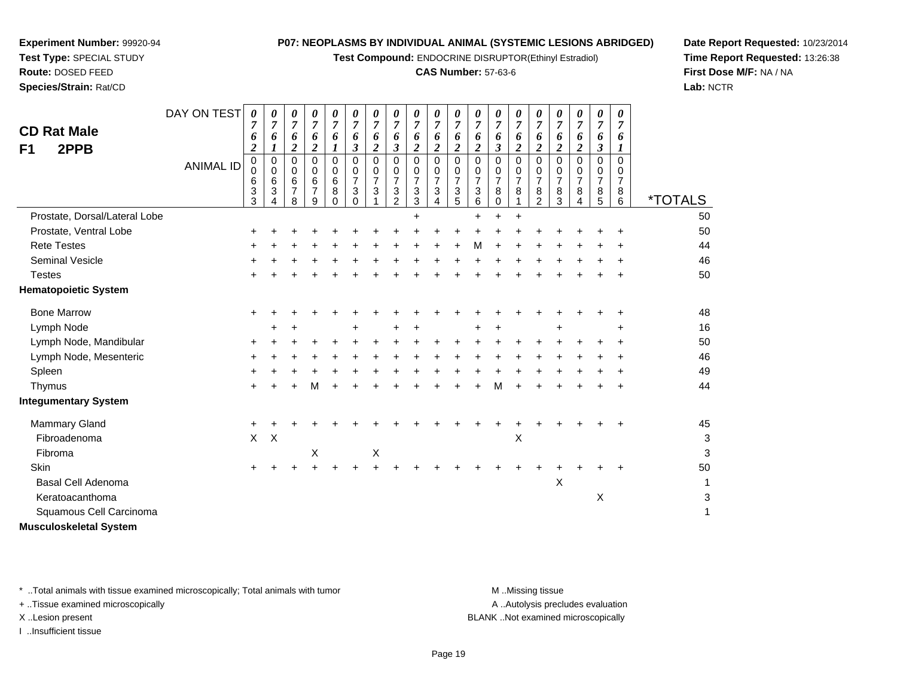**Test Compound:** ENDOCRINE DISRUPTOR(Ethinyl Estradiol)

### **CAS Number:** 57-63-6

**Date Report Requested:** 10/23/2014**Time Report Requested:** 13:26:38**First Dose M/F:** NA / NA**Lab:** NCTR

| <b>CD Rat Male</b><br>2PPB<br>F <sub>1</sub> | DAY ON TEST      | 0<br>7<br>6<br>$\overline{2}$ | 0<br>6                | 0<br>$\overline{7}$<br>6<br>2      | 0<br>$\overline{7}$<br>6<br>$\boldsymbol{2}$             | 0<br>$\overline{7}$<br>6               | 0<br>$\overline{7}$<br>6<br>3                    | 0<br>$\overline{7}$<br>6<br>$\boldsymbol{2}$ | 0<br>$\overline{7}$<br>6<br>3                   | 0<br>7<br>6<br>$\overline{2}$      | 0<br>7<br>6<br>$\overline{2}$           | 0<br>7<br>6<br>$\boldsymbol{2}$              | 0<br>$\overline{7}$<br>6<br>$\overline{\mathbf{2}}$ | 0<br>7<br>6<br>3                   | 0<br>7<br>6<br>2                        | 0<br>7<br>6<br>$\boldsymbol{2}$              | 0<br>7<br>6<br>2                             | 0<br>$\overline{7}$<br>6<br>$\boldsymbol{2}$ | 0<br>$\overline{7}$<br>6<br>3                | 0<br>6                                    |                       |
|----------------------------------------------|------------------|-------------------------------|-----------------------|------------------------------------|----------------------------------------------------------|----------------------------------------|--------------------------------------------------|----------------------------------------------|-------------------------------------------------|------------------------------------|-----------------------------------------|----------------------------------------------|-----------------------------------------------------|------------------------------------|-----------------------------------------|----------------------------------------------|----------------------------------------------|----------------------------------------------|----------------------------------------------|-------------------------------------------|-----------------------|
|                                              | <b>ANIMAL ID</b> | $\pmb{0}$<br>0<br>6<br>3<br>3 | 0<br>0<br>6<br>3<br>4 | 0<br>0<br>6<br>$\overline{7}$<br>8 | $\pmb{0}$<br>0<br>$6\phantom{1}6$<br>$\overline{7}$<br>9 | $\mathbf 0$<br>0<br>6<br>8<br>$\Omega$ | $\Omega$<br>0<br>$\overline{7}$<br>3<br>$\Omega$ | $\mathbf 0$<br>0<br>$\overline{7}$<br>3      | 0<br>0<br>$\overline{7}$<br>3<br>$\overline{2}$ | 0<br>0<br>$\overline{7}$<br>3<br>3 | $\mathbf 0$<br>0<br>$\overline{7}$<br>3 | $\mathbf 0$<br>0<br>$\overline{7}$<br>3<br>5 | 0<br>0<br>$\overline{7}$<br>3<br>6                  | 0<br>0<br>$\overline{7}$<br>8<br>0 | $\mathbf 0$<br>0<br>$\overline{7}$<br>8 | $\mathbf 0$<br>0<br>$\overline{7}$<br>8<br>2 | $\mathbf 0$<br>0<br>$\overline{7}$<br>8<br>3 | $\mathbf 0$<br>0<br>$\overline{7}$<br>8<br>4 | $\mathbf 0$<br>0<br>$\overline{7}$<br>8<br>5 | $\Omega$<br>0<br>$\overline{7}$<br>8<br>6 | <i><b>*TOTALS</b></i> |
| Prostate, Dorsal/Lateral Lobe                |                  |                               |                       |                                    |                                                          |                                        |                                                  |                                              |                                                 | $\ddot{}$                          |                                         |                                              | $\ddot{}$                                           | +                                  | $\ddot{}$                               |                                              |                                              |                                              |                                              |                                           | 50                    |
| Prostate, Ventral Lobe                       |                  |                               |                       |                                    |                                                          |                                        |                                                  |                                              |                                                 |                                    |                                         |                                              |                                                     |                                    |                                         |                                              |                                              |                                              |                                              |                                           | 50                    |
| <b>Rete Testes</b>                           |                  | +                             |                       |                                    |                                                          |                                        |                                                  |                                              |                                                 |                                    |                                         |                                              | м                                                   |                                    | ÷                                       |                                              |                                              |                                              |                                              |                                           | 44                    |
| <b>Seminal Vesicle</b>                       |                  |                               |                       |                                    |                                                          |                                        |                                                  |                                              |                                                 |                                    |                                         |                                              |                                                     |                                    |                                         |                                              |                                              |                                              |                                              |                                           | 46                    |
| <b>Testes</b>                                |                  | +                             |                       |                                    |                                                          |                                        |                                                  |                                              |                                                 |                                    |                                         |                                              |                                                     |                                    |                                         |                                              |                                              |                                              |                                              |                                           | 50                    |
| <b>Hematopoietic System</b>                  |                  |                               |                       |                                    |                                                          |                                        |                                                  |                                              |                                                 |                                    |                                         |                                              |                                                     |                                    |                                         |                                              |                                              |                                              |                                              |                                           |                       |
| <b>Bone Marrow</b>                           |                  | $\ddot{}$                     |                       |                                    |                                                          |                                        |                                                  |                                              |                                                 |                                    |                                         |                                              |                                                     |                                    |                                         |                                              |                                              |                                              |                                              | ٠                                         | 48                    |
| Lymph Node                                   |                  |                               | +                     |                                    |                                                          |                                        | ٠                                                |                                              | +                                               |                                    |                                         |                                              |                                                     |                                    |                                         |                                              |                                              |                                              |                                              | ٠                                         | 16                    |
| Lymph Node, Mandibular                       |                  | $\ddot{}$                     |                       |                                    |                                                          |                                        |                                                  |                                              |                                                 |                                    |                                         |                                              |                                                     |                                    |                                         |                                              |                                              |                                              |                                              |                                           | 50                    |
| Lymph Node, Mesenteric                       |                  | +                             |                       |                                    |                                                          |                                        |                                                  |                                              |                                                 |                                    |                                         |                                              |                                                     |                                    |                                         |                                              |                                              |                                              |                                              |                                           | 46                    |
| Spleen                                       |                  | ٠                             |                       |                                    |                                                          |                                        |                                                  |                                              |                                                 |                                    |                                         |                                              |                                                     |                                    |                                         |                                              |                                              |                                              |                                              |                                           | 49                    |
| Thymus                                       |                  | ٠                             |                       |                                    | м                                                        |                                        |                                                  |                                              |                                                 |                                    |                                         |                                              |                                                     | м                                  |                                         |                                              |                                              |                                              |                                              |                                           | 44                    |
| <b>Integumentary System</b>                  |                  |                               |                       |                                    |                                                          |                                        |                                                  |                                              |                                                 |                                    |                                         |                                              |                                                     |                                    |                                         |                                              |                                              |                                              |                                              |                                           |                       |
| Mammary Gland                                |                  | $\ddot{}$                     |                       |                                    |                                                          |                                        |                                                  |                                              |                                                 |                                    |                                         |                                              |                                                     |                                    |                                         |                                              |                                              |                                              |                                              |                                           | 45                    |
| Fibroadenoma                                 |                  | X                             | $\times$              |                                    |                                                          |                                        |                                                  |                                              |                                                 |                                    |                                         |                                              |                                                     |                                    | $\boldsymbol{\mathsf{X}}$               |                                              |                                              |                                              |                                              |                                           | 3                     |
| Fibroma                                      |                  |                               |                       |                                    | $\boldsymbol{\mathsf{X}}$                                |                                        |                                                  | X                                            |                                                 |                                    |                                         |                                              |                                                     |                                    |                                         |                                              |                                              |                                              |                                              |                                           | 3                     |
| Skin                                         |                  | $\ddot{}$                     | +                     |                                    | $\ddot{}$                                                |                                        |                                                  |                                              |                                                 |                                    |                                         |                                              |                                                     |                                    |                                         |                                              |                                              |                                              |                                              | $\ddot{}$                                 | 50                    |
| Basal Cell Adenoma                           |                  |                               |                       |                                    |                                                          |                                        |                                                  |                                              |                                                 |                                    |                                         |                                              |                                                     |                                    |                                         |                                              | Χ                                            |                                              |                                              |                                           | 1                     |
| Keratoacanthoma                              |                  |                               |                       |                                    |                                                          |                                        |                                                  |                                              |                                                 |                                    |                                         |                                              |                                                     |                                    |                                         |                                              |                                              |                                              | X                                            |                                           | 3                     |
| Squamous Cell Carcinoma                      |                  |                               |                       |                                    |                                                          |                                        |                                                  |                                              |                                                 |                                    |                                         |                                              |                                                     |                                    |                                         |                                              |                                              |                                              |                                              |                                           | 1                     |
| <b>Musculoskeletal System</b>                |                  |                               |                       |                                    |                                                          |                                        |                                                  |                                              |                                                 |                                    |                                         |                                              |                                                     |                                    |                                         |                                              |                                              |                                              |                                              |                                           |                       |

\* ..Total animals with tissue examined microscopically; Total animals with tumor **M** ...Missing tissue M ...Missing tissue

+ ..Tissue examined microscopically

**Experiment Number:** 99920-94**Test Type:** SPECIAL STUDY**Route:** DOSED FEED**Species/Strain:** Rat/CD

I ..Insufficient tissue

A ..Autolysis precludes evaluation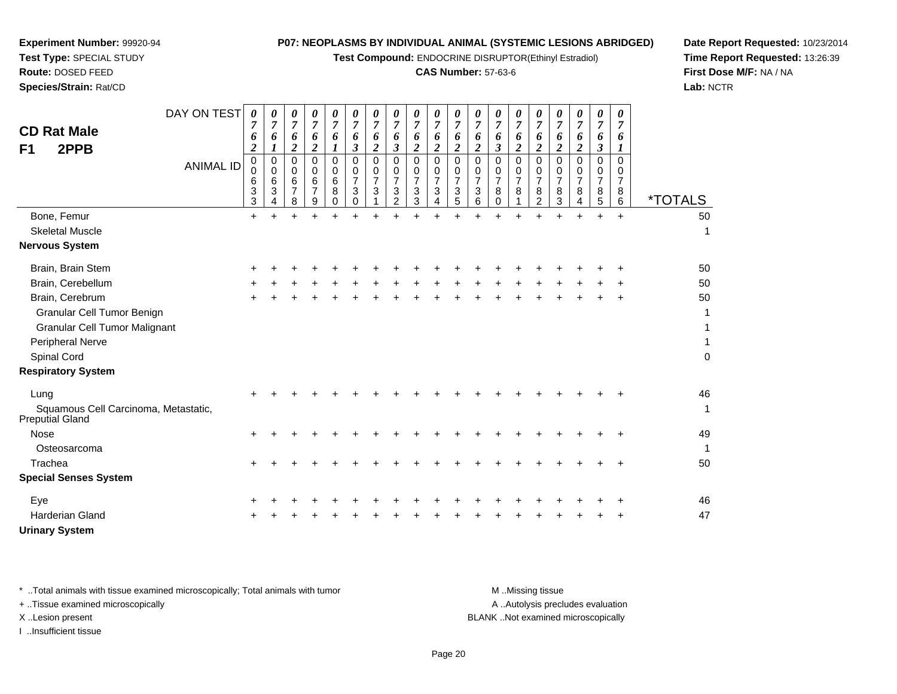**Test Compound:** ENDOCRINE DISRUPTOR(Ethinyl Estradiol)

### **CAS Number:** 57-63-6

**Date Report Requested:** 10/23/2014**Time Report Requested:** 13:26:39**First Dose M/F:** NA / NA**Lab:** NCTR

| F <sub>1</sub> | <b>CD Rat Male</b><br>2PPB                                     | DAY ON TEST<br><b>ANIMAL ID</b> | 0<br>7<br>6<br>$\boldsymbol{2}$<br>$\mathbf 0$<br>$\mathbf 0$<br>6<br>3<br>3 | 0<br>$\overline{7}$<br>6<br>1<br>$\mathbf 0$<br>$\Omega$<br>6<br>3<br>4 | $\boldsymbol{\theta}$<br>7<br>6<br>2<br>$\mathbf 0$<br>$\Omega$<br>6<br>$\overline{7}$<br>8 | 0<br>$\overline{7}$<br>6<br>$\overline{2}$<br>0<br>0<br>6<br>7<br>9 | 0<br>$\overline{7}$<br>6<br>$\mathbf 0$<br>0<br>6<br>8<br>0 | 0<br>$\overline{7}$<br>6<br>$\boldsymbol{\beta}$<br>$\mathbf 0$<br>0<br>$\overline{7}$<br>3<br>$\mathbf 0$ | 0<br>$\overline{7}$<br>6<br>$\overline{2}$<br>$\mathbf 0$<br>0<br>$\overline{7}$<br>3 | 0<br>$\boldsymbol{7}$<br>6<br>$\boldsymbol{\beta}$<br>0<br>0<br>$\overline{7}$<br>3<br>2 | 0<br>$\overline{7}$<br>6<br>$\overline{2}$<br>$\mathbf 0$<br>$\mathbf 0$<br>$\overline{7}$<br>3<br>3 | 0<br>$\overline{7}$<br>6<br>$\overline{2}$<br>0<br>0<br>$\overline{7}$<br>$\mathbf{3}$<br>4 | 0<br>$\overline{7}$<br>6<br>$\overline{2}$<br>$\mathbf 0$<br>0<br>$\overline{7}$<br>$\mathbf{3}$<br>5 | 0<br>$\overline{7}$<br>6<br>$\overline{2}$<br>$\mathbf 0$<br>0<br>$\overline{7}$<br>3<br>6 | 0<br>$\overline{7}$<br>6<br>$\mathfrak{z}$<br>0<br>0<br>$\overline{7}$<br>8<br>0 | $\overline{7}$<br>6<br>$\overline{2}$<br>0<br>0<br>$\overline{7}$<br>8 | 0<br>7<br>6<br>$\overline{2}$<br>$\Omega$<br>0<br>$\overline{7}$<br>8<br>$\overline{c}$ | 0<br>7<br>6<br>$\boldsymbol{2}$<br>$\Omega$<br>0<br>$\overline{7}$<br>8<br>3 | 0<br>$\overline{7}$<br>6<br>$\overline{2}$<br>$\Omega$<br>0<br>$\overline{7}$<br>8<br>4 | $\pmb{\theta}$<br>$\overline{7}$<br>6<br>$\mathfrak{z}$<br>$\mathbf 0$<br>0<br>$\overline{7}$<br>8<br>5 | 0<br>$\overline{7}$<br>6<br>$\Omega$<br>0<br>$\overline{7}$<br>8<br>6 | <i><b>*TOTALS</b></i> |
|----------------|----------------------------------------------------------------|---------------------------------|------------------------------------------------------------------------------|-------------------------------------------------------------------------|---------------------------------------------------------------------------------------------|---------------------------------------------------------------------|-------------------------------------------------------------|------------------------------------------------------------------------------------------------------------|---------------------------------------------------------------------------------------|------------------------------------------------------------------------------------------|------------------------------------------------------------------------------------------------------|---------------------------------------------------------------------------------------------|-------------------------------------------------------------------------------------------------------|--------------------------------------------------------------------------------------------|----------------------------------------------------------------------------------|------------------------------------------------------------------------|-----------------------------------------------------------------------------------------|------------------------------------------------------------------------------|-----------------------------------------------------------------------------------------|---------------------------------------------------------------------------------------------------------|-----------------------------------------------------------------------|-----------------------|
|                | Bone, Femur                                                    |                                 | $\ddot{}$                                                                    |                                                                         |                                                                                             |                                                                     |                                                             |                                                                                                            | $\ddot{}$                                                                             |                                                                                          |                                                                                                      |                                                                                             |                                                                                                       |                                                                                            |                                                                                  |                                                                        |                                                                                         |                                                                              |                                                                                         | $\ddot{}$                                                                                               | $+$                                                                   | 50                    |
|                | <b>Skeletal Muscle</b>                                         |                                 |                                                                              |                                                                         |                                                                                             |                                                                     |                                                             |                                                                                                            |                                                                                       |                                                                                          |                                                                                                      |                                                                                             |                                                                                                       |                                                                                            |                                                                                  |                                                                        |                                                                                         |                                                                              |                                                                                         |                                                                                                         |                                                                       | $\mathbf{1}$          |
|                | <b>Nervous System</b>                                          |                                 |                                                                              |                                                                         |                                                                                             |                                                                     |                                                             |                                                                                                            |                                                                                       |                                                                                          |                                                                                                      |                                                                                             |                                                                                                       |                                                                                            |                                                                                  |                                                                        |                                                                                         |                                                                              |                                                                                         |                                                                                                         |                                                                       |                       |
|                | Brain, Brain Stem                                              |                                 |                                                                              |                                                                         |                                                                                             |                                                                     |                                                             |                                                                                                            |                                                                                       |                                                                                          |                                                                                                      |                                                                                             |                                                                                                       |                                                                                            |                                                                                  |                                                                        |                                                                                         |                                                                              |                                                                                         |                                                                                                         |                                                                       | 50                    |
|                | Brain, Cerebellum                                              |                                 |                                                                              |                                                                         |                                                                                             |                                                                     |                                                             |                                                                                                            |                                                                                       |                                                                                          |                                                                                                      |                                                                                             |                                                                                                       |                                                                                            |                                                                                  |                                                                        |                                                                                         |                                                                              |                                                                                         |                                                                                                         |                                                                       | 50                    |
|                | Brain, Cerebrum                                                |                                 |                                                                              |                                                                         |                                                                                             |                                                                     |                                                             |                                                                                                            |                                                                                       |                                                                                          |                                                                                                      |                                                                                             |                                                                                                       |                                                                                            |                                                                                  |                                                                        |                                                                                         |                                                                              |                                                                                         |                                                                                                         |                                                                       | 50                    |
|                | Granular Cell Tumor Benign                                     |                                 |                                                                              |                                                                         |                                                                                             |                                                                     |                                                             |                                                                                                            |                                                                                       |                                                                                          |                                                                                                      |                                                                                             |                                                                                                       |                                                                                            |                                                                                  |                                                                        |                                                                                         |                                                                              |                                                                                         |                                                                                                         |                                                                       | 1                     |
|                | <b>Granular Cell Tumor Malignant</b>                           |                                 |                                                                              |                                                                         |                                                                                             |                                                                     |                                                             |                                                                                                            |                                                                                       |                                                                                          |                                                                                                      |                                                                                             |                                                                                                       |                                                                                            |                                                                                  |                                                                        |                                                                                         |                                                                              |                                                                                         |                                                                                                         |                                                                       | 1                     |
|                | Peripheral Nerve                                               |                                 |                                                                              |                                                                         |                                                                                             |                                                                     |                                                             |                                                                                                            |                                                                                       |                                                                                          |                                                                                                      |                                                                                             |                                                                                                       |                                                                                            |                                                                                  |                                                                        |                                                                                         |                                                                              |                                                                                         |                                                                                                         |                                                                       | $\mathbf{1}$          |
|                | Spinal Cord                                                    |                                 |                                                                              |                                                                         |                                                                                             |                                                                     |                                                             |                                                                                                            |                                                                                       |                                                                                          |                                                                                                      |                                                                                             |                                                                                                       |                                                                                            |                                                                                  |                                                                        |                                                                                         |                                                                              |                                                                                         |                                                                                                         |                                                                       | $\pmb{0}$             |
|                | <b>Respiratory System</b>                                      |                                 |                                                                              |                                                                         |                                                                                             |                                                                     |                                                             |                                                                                                            |                                                                                       |                                                                                          |                                                                                                      |                                                                                             |                                                                                                       |                                                                                            |                                                                                  |                                                                        |                                                                                         |                                                                              |                                                                                         |                                                                                                         |                                                                       |                       |
| Lung           |                                                                |                                 |                                                                              |                                                                         |                                                                                             |                                                                     |                                                             |                                                                                                            |                                                                                       |                                                                                          |                                                                                                      |                                                                                             |                                                                                                       |                                                                                            |                                                                                  |                                                                        |                                                                                         |                                                                              |                                                                                         |                                                                                                         |                                                                       | 46                    |
|                | Squamous Cell Carcinoma, Metastatic,<br><b>Preputial Gland</b> |                                 |                                                                              |                                                                         |                                                                                             |                                                                     |                                                             |                                                                                                            |                                                                                       |                                                                                          |                                                                                                      |                                                                                             |                                                                                                       |                                                                                            |                                                                                  |                                                                        |                                                                                         |                                                                              |                                                                                         |                                                                                                         |                                                                       | $\mathbf{1}$          |
| <b>Nose</b>    |                                                                |                                 |                                                                              |                                                                         |                                                                                             |                                                                     |                                                             |                                                                                                            |                                                                                       |                                                                                          |                                                                                                      |                                                                                             |                                                                                                       |                                                                                            |                                                                                  |                                                                        |                                                                                         |                                                                              |                                                                                         |                                                                                                         |                                                                       | 49                    |
|                | Osteosarcoma                                                   |                                 |                                                                              |                                                                         |                                                                                             |                                                                     |                                                             |                                                                                                            |                                                                                       |                                                                                          |                                                                                                      |                                                                                             |                                                                                                       |                                                                                            |                                                                                  |                                                                        |                                                                                         |                                                                              |                                                                                         |                                                                                                         |                                                                       | $\mathbf{1}$          |
| Trachea        |                                                                |                                 | ÷                                                                            |                                                                         |                                                                                             |                                                                     |                                                             |                                                                                                            |                                                                                       |                                                                                          |                                                                                                      |                                                                                             |                                                                                                       |                                                                                            |                                                                                  |                                                                        |                                                                                         |                                                                              |                                                                                         |                                                                                                         | ÷                                                                     | 50                    |
|                | <b>Special Senses System</b>                                   |                                 |                                                                              |                                                                         |                                                                                             |                                                                     |                                                             |                                                                                                            |                                                                                       |                                                                                          |                                                                                                      |                                                                                             |                                                                                                       |                                                                                            |                                                                                  |                                                                        |                                                                                         |                                                                              |                                                                                         |                                                                                                         |                                                                       |                       |
| Eye            |                                                                |                                 |                                                                              |                                                                         |                                                                                             |                                                                     |                                                             |                                                                                                            |                                                                                       |                                                                                          |                                                                                                      |                                                                                             |                                                                                                       |                                                                                            |                                                                                  |                                                                        |                                                                                         |                                                                              |                                                                                         |                                                                                                         |                                                                       | 46                    |
|                | <b>Harderian Gland</b>                                         |                                 |                                                                              |                                                                         |                                                                                             |                                                                     |                                                             |                                                                                                            |                                                                                       |                                                                                          |                                                                                                      |                                                                                             |                                                                                                       |                                                                                            |                                                                                  |                                                                        |                                                                                         |                                                                              |                                                                                         |                                                                                                         |                                                                       | 47                    |
|                | <b>Urinary System</b>                                          |                                 |                                                                              |                                                                         |                                                                                             |                                                                     |                                                             |                                                                                                            |                                                                                       |                                                                                          |                                                                                                      |                                                                                             |                                                                                                       |                                                                                            |                                                                                  |                                                                        |                                                                                         |                                                                              |                                                                                         |                                                                                                         |                                                                       |                       |

**Experiment Number:** 99920-94**Test Type:** SPECIAL STUDY**Route:** DOSED FEED**Species/Strain:** Rat/CD

\* ..Total animals with tissue examined microscopically; Total animals with tumor **M** . Missing tissue M ..Missing tissue A ..Autolysis precludes evaluation + ..Tissue examined microscopically X ..Lesion present BLANK ..Not examined microscopicallyI ..Insufficient tissue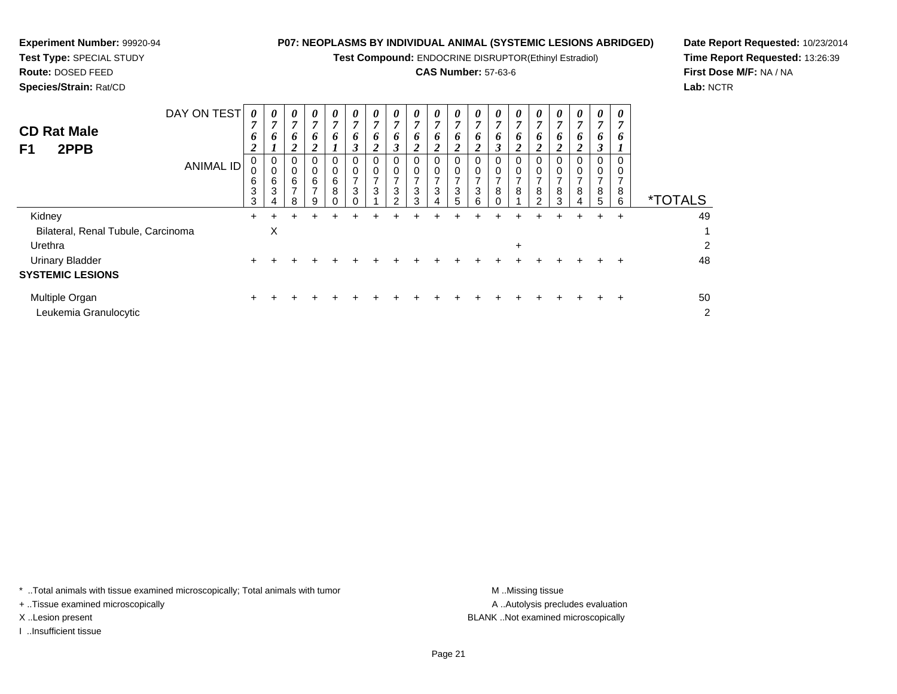**Test Compound:** ENDOCRINE DISRUPTOR(Ethinyl Estradiol)

## **CAS Number:** 57-63-6

**Date Report Requested:** 10/23/2014**Time Report Requested:** 13:26:39**First Dose M/F:** NA / NA**Lab:** NCTR

| <b>CD Rat Male</b><br>2PPB<br>F1                        | DAY ON TEST<br>ANIMAL ID | 0<br>7<br>6<br>∍<br>◢<br>U<br>υ<br>6<br>3<br>3 | 0<br>п<br>6<br>$\mathbf 0$<br>0<br>6<br>3<br>4 | 0<br>7<br>6<br>2<br>0<br>0<br>6<br>⇁<br>8 | 0<br>7<br>0<br>0<br>6<br>⇁<br>9 | 0<br>7<br>6<br>0<br>6<br>8<br>0 | 0<br>$\overline{ }$<br>6<br>3 | 0<br>$\overline{ }$<br>6<br>∍<br>$\Omega$<br>0<br>⇁<br>3 | 0<br>7<br>6<br>3<br>0<br>0<br>3<br>$\mathcal{D}$ | 0<br>$\overline{ }$<br>6<br>ി<br>0<br>3<br>3 | 0<br>7<br>6<br>0<br>3<br>4 | 0<br>7<br>6<br>U<br>3<br>$\mathbf{D}$ | 0<br>7<br>6<br>∠<br>0<br>0<br>3<br>6 | 0<br>л<br>O<br>◠<br>0<br>0<br>8<br>$\Omega$ | 0<br>7<br>6<br>2<br>U<br>8 | 0<br>7<br>6<br>2<br>0<br>8<br>2 | 0<br>z<br>6<br>0<br>8<br>3 | 0<br>7<br>6<br>∠<br>8<br>4 | $\theta$<br>$\overline{ }$<br>6<br>$\rightarrow$<br>J<br>0<br>0<br>⇁<br>8<br>5 | 0<br>7<br>Ð<br>υ<br>8<br>6 | <i><b>*TOTALS</b></i> |
|---------------------------------------------------------|--------------------------|------------------------------------------------|------------------------------------------------|-------------------------------------------|---------------------------------|---------------------------------|-------------------------------|----------------------------------------------------------|--------------------------------------------------|----------------------------------------------|----------------------------|---------------------------------------|--------------------------------------|---------------------------------------------|----------------------------|---------------------------------|----------------------------|----------------------------|--------------------------------------------------------------------------------|----------------------------|-----------------------|
| Kidney<br>Bilateral, Renal Tubule, Carcinoma<br>Urethra |                          |                                                | X                                              |                                           |                                 |                                 |                               |                                                          |                                                  |                                              |                            |                                       |                                      |                                             | ÷                          |                                 |                            |                            |                                                                                | ÷                          | 49<br>◠               |

| Urinary Bladder<br><b>SYSTEMIC LESIONS</b> |  |  |  |  |  |  |  |  |  | 48 |
|--------------------------------------------|--|--|--|--|--|--|--|--|--|----|
| Multiple Organ<br>Leukemia Granulocytic    |  |  |  |  |  |  |  |  |  | 50 |

\* ..Total animals with tissue examined microscopically; Total animals with tumor **M** . Missing tissue M ..Missing tissue

+ ..Tissue examined microscopically

**Experiment Number:** 99920-94**Test Type:** SPECIAL STUDY**Route:** DOSED FEED**Species/Strain:** Rat/CD

I ..Insufficient tissue

A ..Autolysis precludes evaluation X ..Lesion present BLANK ..Not examined microscopically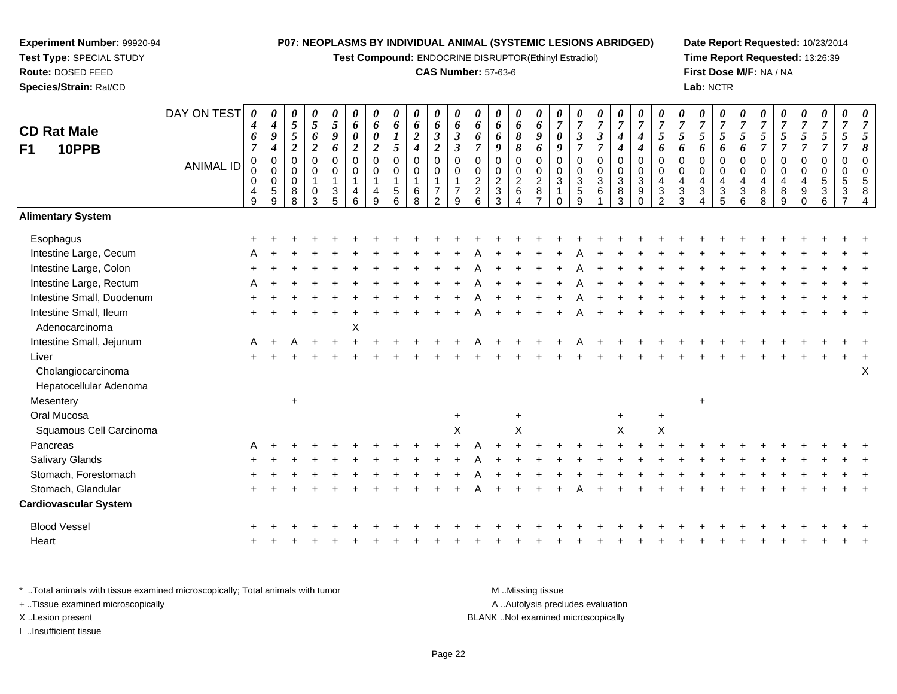**Test Compound:** ENDOCRINE DISRUPTOR(Ethinyl Estradiol)

#### **CAS Number:** 57-63-6

**Date Report Requested:** 10/23/2014**Time Report Requested:** 13:26:39**First Dose M/F:** NA / NA**Lab:** NCTR

| <b>CD Rat Male</b><br>10PPB<br>F1                                     | DAY ON TEST<br><b>ANIMAL ID</b> | 0<br>4<br>6<br>$\overline{7}$<br>$\pmb{0}$<br>$\mathbf 0$<br>$\mathbf 0$<br>4<br>$\overline{9}$ | $\boldsymbol{4}$<br>9<br>$\boldsymbol{4}$<br>$\mathbf 0$<br>$\mathbf 0$<br>$\mathbf 0$<br>$\sqrt{5}$<br>$\mathbf{q}$ | 0<br>5<br>5<br>$\overline{\mathbf{c}}$<br>$\mathbf 0$<br>0<br>$\mathbf 0$<br>8<br>$\mathsf{R}$ | 0<br>$\sqrt{5}$<br>6<br>$\boldsymbol{2}$<br>$\mathbf 0$<br>$\pmb{0}$<br>$\overline{1}$<br>0<br>3 | 0<br>$\sqrt{5}$<br>$\boldsymbol{g}$<br>6<br>$\mathbf 0$<br>$\mathbf 0$<br>$\mathbf{1}$<br>$\frac{3}{5}$ | 0<br>6<br>$\pmb{\theta}$<br>$\boldsymbol{2}$<br>$\mathbf 0$<br>0<br>$\mathbf{1}$<br>4<br>6 | 0<br>6<br>$\boldsymbol{\theta}$<br>$\boldsymbol{2}$<br>$\mathbf 0$<br>$\overline{0}$<br>$\mathbf{1}$<br>4<br>q | 0<br>6<br>5<br>$\mathbf 0$<br>$\mathbf 0$<br>5<br>6 | 0<br>6<br>$\boldsymbol{2}$<br>$\boldsymbol{4}$<br>$\pmb{0}$<br>$\mathbf 0$<br>$\mathbf{1}$<br>6<br>$\overline{8}$ | 0<br>6<br>$\boldsymbol{\beta}$<br>$\boldsymbol{2}$<br>$\mathsf 0$<br>$\pmb{0}$<br>$\mathbf{1}$<br>7<br>$\mathcal{P}$ | 0<br>6<br>$\boldsymbol{\beta}$<br>$\mathfrak{z}$<br>$\mathbf 0$<br>$\mathbf 0$<br>1<br>$\overline{7}$<br>9 | 0<br>6<br>6<br>$\overline{7}$<br>$\mathbf 0$<br>$\mathbf 0$<br>$\overline{c}$<br>$\overline{2}$<br>6 | 0<br>6<br>6<br>9<br>$\mathbf 0$<br>0<br>$\overline{a}$<br>$\sqrt{3}$<br>3 | 0<br>6<br>8<br>8<br>$\mathbf 0$<br>$\mathbf 0$<br>$\frac{2}{6}$ | 0<br>6<br>$\boldsymbol{g}$<br>6<br>$\mathbf 0$<br>$\mathbf 0$<br>$_{8}^{\rm 2}$<br>$\overline{z}$ | 0<br>$\overline{7}$<br>$\pmb{\theta}$<br>$\boldsymbol{9}$<br>$\mathbf 0$<br>$\mathbf 0$<br>$\sqrt{3}$<br>1<br>O | $\overline{7}$<br>$\boldsymbol{\beta}$<br>$\overline{7}$<br>$\mathbf 0$<br>$\mathbf 0$<br>$\sqrt{3}$<br>$\frac{5}{9}$ | 0<br>$\overline{7}$<br>$\boldsymbol{\beta}$<br>$\overline{7}$<br>0<br>0<br>3<br>6 | 0<br>$\overline{7}$<br>$\boldsymbol{4}$<br>$\boldsymbol{4}$<br>$\pmb{0}$<br>$\pmb{0}$<br>$\ensuremath{\mathsf{3}}$<br>$\frac{8}{3}$ | 0<br>$\overline{7}$<br>$\boldsymbol{4}$<br>$\boldsymbol{4}$<br>$\pmb{0}$<br>$\mathsf{O}\xspace$<br>$\sqrt{3}$<br>$\boldsymbol{9}$<br>$\Omega$ | 0<br>$\overline{7}$<br>$\sqrt{5}$<br>6<br>$\mathbf 0$<br>$\mathbf 0$<br>4<br>$\ensuremath{\mathsf{3}}$<br>$\overline{2}$ | $\overline{7}$<br>5<br>6<br>$\mathbf 0$<br>$\mathbf 0$<br>4<br>$\ensuremath{\mathsf{3}}$<br>$\mathbf{R}$ | 0<br>$\overline{7}$<br>5<br>6<br>0<br>$\mathbf 0$<br>4<br>3 | 0<br>$\boldsymbol{7}$<br>5<br>6<br>$\pmb{0}$<br>$\pmb{0}$<br>$\overline{4}$<br>$\frac{3}{5}$ | 0<br>$\boldsymbol{7}$<br>5<br>6<br>$\mathbf 0$<br>$\mathbf 0$<br>$\overline{a}$<br>$\sqrt{3}$<br>6 | 0<br>$\overline{7}$<br>$\sqrt{5}$<br>$\overline{7}$<br>$\mathbf 0$<br>$\mathbf 0$<br>$\overline{4}$<br>8<br>8 | 7<br>5<br>$\overline{7}$<br>$\mathbf 0$<br>$\mathbf 0$<br>4<br>8<br>q | $\overline{7}$<br>5<br>$\overline{7}$<br>$\mathbf 0$<br>$\mathbf 0$<br>4<br>9 | 0<br>$\boldsymbol{7}$<br>$\mathfrak{s}$<br>$\overline{7}$<br>$\pmb{0}$<br>$\mathbf 0$<br>$\sqrt{5}$<br>3<br>6 | $\overline{7}$<br>$\mathfrak{s}$<br>$\overline{7}$<br>$\mathbf 0$<br>$\mathsf{O}\xspace$<br>$\sqrt{5}$<br>$\mathbf{3}$ | 8 |
|-----------------------------------------------------------------------|---------------------------------|-------------------------------------------------------------------------------------------------|----------------------------------------------------------------------------------------------------------------------|------------------------------------------------------------------------------------------------|--------------------------------------------------------------------------------------------------|---------------------------------------------------------------------------------------------------------|--------------------------------------------------------------------------------------------|----------------------------------------------------------------------------------------------------------------|-----------------------------------------------------|-------------------------------------------------------------------------------------------------------------------|----------------------------------------------------------------------------------------------------------------------|------------------------------------------------------------------------------------------------------------|------------------------------------------------------------------------------------------------------|---------------------------------------------------------------------------|-----------------------------------------------------------------|---------------------------------------------------------------------------------------------------|-----------------------------------------------------------------------------------------------------------------|-----------------------------------------------------------------------------------------------------------------------|-----------------------------------------------------------------------------------|-------------------------------------------------------------------------------------------------------------------------------------|-----------------------------------------------------------------------------------------------------------------------------------------------|--------------------------------------------------------------------------------------------------------------------------|----------------------------------------------------------------------------------------------------------|-------------------------------------------------------------|----------------------------------------------------------------------------------------------|----------------------------------------------------------------------------------------------------|---------------------------------------------------------------------------------------------------------------|-----------------------------------------------------------------------|-------------------------------------------------------------------------------|---------------------------------------------------------------------------------------------------------------|------------------------------------------------------------------------------------------------------------------------|---|
| <b>Alimentary System</b>                                              |                                 |                                                                                                 |                                                                                                                      |                                                                                                |                                                                                                  |                                                                                                         |                                                                                            |                                                                                                                |                                                     |                                                                                                                   |                                                                                                                      |                                                                                                            |                                                                                                      |                                                                           |                                                                 |                                                                                                   |                                                                                                                 |                                                                                                                       |                                                                                   |                                                                                                                                     |                                                                                                                                               |                                                                                                                          |                                                                                                          |                                                             |                                                                                              |                                                                                                    |                                                                                                               |                                                                       |                                                                               |                                                                                                               |                                                                                                                        |   |
| Esophagus<br>Intestine Large, Cecum                                   |                                 |                                                                                                 |                                                                                                                      |                                                                                                |                                                                                                  |                                                                                                         |                                                                                            |                                                                                                                |                                                     |                                                                                                                   |                                                                                                                      |                                                                                                            |                                                                                                      |                                                                           |                                                                 |                                                                                                   |                                                                                                                 |                                                                                                                       |                                                                                   |                                                                                                                                     |                                                                                                                                               |                                                                                                                          |                                                                                                          |                                                             |                                                                                              |                                                                                                    |                                                                                                               |                                                                       |                                                                               |                                                                                                               |                                                                                                                        |   |
| Intestine Large, Colon<br>Intestine Large, Rectum                     |                                 |                                                                                                 |                                                                                                                      |                                                                                                |                                                                                                  |                                                                                                         |                                                                                            |                                                                                                                |                                                     |                                                                                                                   |                                                                                                                      |                                                                                                            |                                                                                                      |                                                                           |                                                                 |                                                                                                   |                                                                                                                 |                                                                                                                       |                                                                                   |                                                                                                                                     |                                                                                                                                               |                                                                                                                          |                                                                                                          |                                                             |                                                                                              |                                                                                                    |                                                                                                               |                                                                       |                                                                               |                                                                                                               |                                                                                                                        |   |
| Intestine Small, Duodenum<br>Intestine Small, Ileum<br>Adenocarcinoma |                                 |                                                                                                 |                                                                                                                      |                                                                                                |                                                                                                  |                                                                                                         | X                                                                                          |                                                                                                                |                                                     |                                                                                                                   |                                                                                                                      |                                                                                                            |                                                                                                      |                                                                           |                                                                 |                                                                                                   |                                                                                                                 |                                                                                                                       |                                                                                   |                                                                                                                                     |                                                                                                                                               |                                                                                                                          |                                                                                                          |                                                             |                                                                                              |                                                                                                    |                                                                                                               |                                                                       |                                                                               |                                                                                                               |                                                                                                                        |   |
| Intestine Small, Jejunum<br>Liver<br>Cholangiocarcinoma               |                                 | Α                                                                                               |                                                                                                                      |                                                                                                |                                                                                                  |                                                                                                         |                                                                                            |                                                                                                                |                                                     |                                                                                                                   |                                                                                                                      |                                                                                                            |                                                                                                      |                                                                           |                                                                 |                                                                                                   |                                                                                                                 |                                                                                                                       |                                                                                   |                                                                                                                                     |                                                                                                                                               |                                                                                                                          |                                                                                                          |                                                             |                                                                                              |                                                                                                    |                                                                                                               |                                                                       |                                                                               |                                                                                                               |                                                                                                                        | Χ |
| Hepatocellular Adenoma<br>Mesentery<br>Oral Mucosa                    |                                 |                                                                                                 |                                                                                                                      | $\ddot{}$                                                                                      |                                                                                                  |                                                                                                         |                                                                                            |                                                                                                                |                                                     |                                                                                                                   |                                                                                                                      | $+$                                                                                                        |                                                                                                      |                                                                           | $\pm$                                                           |                                                                                                   |                                                                                                                 |                                                                                                                       |                                                                                   | $\ddot{}$                                                                                                                           |                                                                                                                                               | $+$                                                                                                                      |                                                                                                          | $\ddot{}$                                                   |                                                                                              |                                                                                                    |                                                                                                               |                                                                       |                                                                               |                                                                                                               |                                                                                                                        |   |
| Squamous Cell Carcinoma<br>Pancreas                                   |                                 |                                                                                                 |                                                                                                                      |                                                                                                |                                                                                                  |                                                                                                         |                                                                                            |                                                                                                                |                                                     |                                                                                                                   |                                                                                                                      | X                                                                                                          |                                                                                                      |                                                                           | X                                                               |                                                                                                   |                                                                                                                 |                                                                                                                       |                                                                                   | X                                                                                                                                   |                                                                                                                                               | X                                                                                                                        |                                                                                                          |                                                             |                                                                                              |                                                                                                    |                                                                                                               |                                                                       |                                                                               |                                                                                                               |                                                                                                                        |   |
| Salivary Glands<br>Stomach, Forestomach                               |                                 |                                                                                                 |                                                                                                                      |                                                                                                |                                                                                                  |                                                                                                         |                                                                                            |                                                                                                                |                                                     |                                                                                                                   |                                                                                                                      |                                                                                                            |                                                                                                      |                                                                           |                                                                 |                                                                                                   |                                                                                                                 |                                                                                                                       |                                                                                   |                                                                                                                                     |                                                                                                                                               |                                                                                                                          |                                                                                                          |                                                             |                                                                                              |                                                                                                    |                                                                                                               |                                                                       |                                                                               |                                                                                                               |                                                                                                                        |   |
| Stomach, Glandular<br><b>Cardiovascular System</b>                    |                                 |                                                                                                 |                                                                                                                      |                                                                                                |                                                                                                  |                                                                                                         |                                                                                            |                                                                                                                |                                                     |                                                                                                                   |                                                                                                                      |                                                                                                            |                                                                                                      |                                                                           |                                                                 |                                                                                                   |                                                                                                                 |                                                                                                                       |                                                                                   |                                                                                                                                     |                                                                                                                                               |                                                                                                                          |                                                                                                          |                                                             |                                                                                              |                                                                                                    |                                                                                                               |                                                                       |                                                                               |                                                                                                               |                                                                                                                        |   |
| <b>Blood Vessel</b><br>Heart                                          |                                 |                                                                                                 |                                                                                                                      |                                                                                                |                                                                                                  |                                                                                                         |                                                                                            |                                                                                                                |                                                     |                                                                                                                   |                                                                                                                      |                                                                                                            |                                                                                                      |                                                                           |                                                                 |                                                                                                   |                                                                                                                 |                                                                                                                       |                                                                                   |                                                                                                                                     |                                                                                                                                               |                                                                                                                          |                                                                                                          |                                                             |                                                                                              |                                                                                                    |                                                                                                               |                                                                       |                                                                               |                                                                                                               |                                                                                                                        |   |

\* ..Total animals with tissue examined microscopically; Total animals with tumor **M** . Missing tissue M ..Missing tissue A ..Autolysis precludes evaluation + ..Tissue examined microscopically X ..Lesion present BLANK ..Not examined microscopicallyI ..Insufficient tissue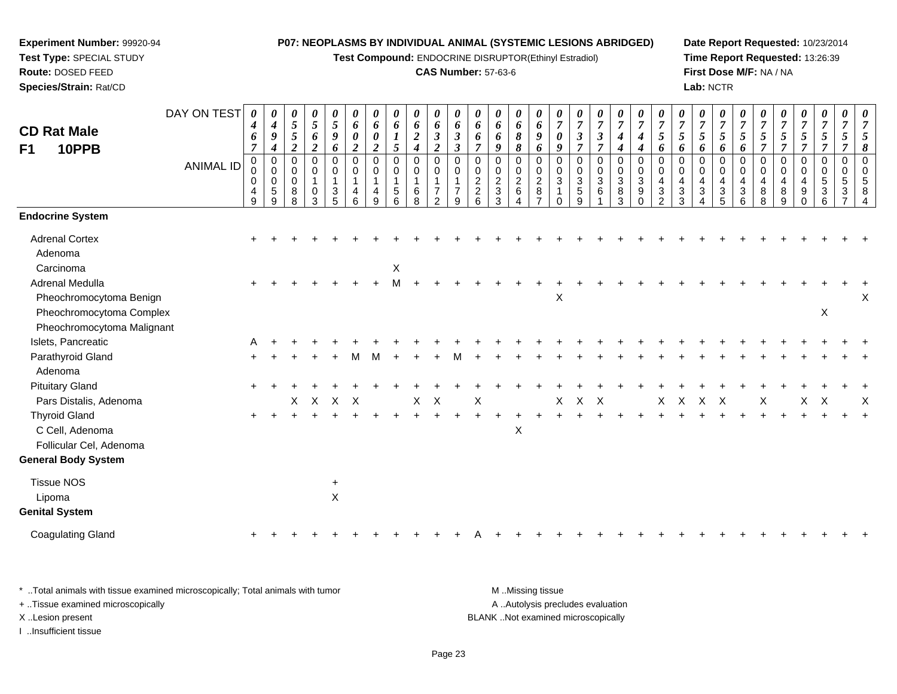**Test Compound:** ENDOCRINE DISRUPTOR(Ethinyl Estradiol)

### **CAS Number:** 57-63-6

**Date Report Requested:** 10/23/2014**Time Report Requested:** 13:26:39**First Dose M/F:** NA / NA**Lab:** NCTR

| <b>CD Rat Male</b><br>F1<br>10PPB                                  | DAY ON TEST<br><b>ANIMAL ID</b> | $\boldsymbol{\theta}$<br>$\boldsymbol{4}$<br>6<br>$\overline{7}$<br>$\boldsymbol{0}$<br>$\pmb{0}$ | 0<br>$\boldsymbol{4}$<br>$\boldsymbol{9}$<br>$\boldsymbol{4}$<br>$\pmb{0}$<br>$\mathbf 0$ | 0<br>5<br>5<br>$\overline{c}$<br>0<br>0 | 0<br>$\mathfrak{s}$<br>6<br>$\boldsymbol{2}$<br>0<br>0 | 0<br>$\sqrt{5}$<br>9<br>6<br>$\mathbf 0$<br>0  | 0<br>6<br>$\boldsymbol{\theta}$<br>$\boldsymbol{2}$<br>$\mathbf 0$<br>0 | 0<br>6<br>$\boldsymbol{\theta}$<br>$\boldsymbol{2}$<br>0<br>0 | $\boldsymbol{\theta}$<br>6<br>$\boldsymbol{l}$<br>5<br>$\mathbf 0$<br>0 | 0<br>6<br>$\boldsymbol{2}$<br>$\boldsymbol{4}$<br>0<br>$\pmb{0}$ | $\pmb{\theta}$<br>6<br>$\mathfrak{z}$<br>$\boldsymbol{2}$<br>$\mathbf 0$<br>$\mathbf 0$ | 0<br>6<br>$\boldsymbol{\beta}$<br>$\boldsymbol{\beta}$<br>$\mathbf 0$<br>0 | 0<br>6<br>6<br>$\overline{7}$<br>$\mathbf 0$<br>0 | $\pmb{\theta}$<br>6<br>6<br>9<br>0<br>0 | 0<br>6<br>8<br>8<br>0<br>0 | 0<br>6<br>9<br>6<br>0<br>0            | $\overline{7}$<br>0<br>9<br>$\Omega$<br>0 | 0<br>$\overline{7}$<br>$\mathfrak{z}$<br>$\overline{7}$<br>$\mathbf 0$<br>$\mathbf 0$ | 0<br>$\overline{7}$<br>$\mathfrak{z}$<br>$\overline{7}$<br>0<br>$\boldsymbol{0}$ | 0<br>$\boldsymbol{7}$<br>$\boldsymbol{4}$<br>$\boldsymbol{4}$<br>$\mathbf 0$<br>$\mathbf 0$ | 0<br>$\overline{7}$<br>$\boldsymbol{4}$<br>$\boldsymbol{4}$<br>$\mathbf 0$<br>0 | 0<br>$\boldsymbol{7}$<br>$\sqrt{5}$<br>6<br>$\mathbf 0$<br>0  | 0<br>$\overline{7}$<br>5<br>6<br>$\mathbf 0$<br>$\mathbf 0$ | 0<br>$\boldsymbol{7}$<br>$\mathfrak{I}$<br>6<br>0<br>0 | 0<br>$\overline{7}$<br>5<br>6<br>$\mathbf 0$<br>$\mathbf 0$ | 0<br>$\overline{7}$<br>5<br>6<br>$\Omega$<br>0 | $\overline{7}$<br>5<br>$\overline{7}$<br>0<br>0 | $\boldsymbol{\theta}$<br>$\overline{7}$<br>5<br>$\overline{7}$<br>0<br>0 | $\pmb{\theta}$<br>$\overline{7}$<br>$\mathfrak{H}$<br>$\overline{7}$<br>$\mathbf 0$<br>$\mathbf 0$ | 0<br>$\overline{7}$<br>$\sqrt{5}$<br>$\overline{7}$<br>0<br>$\mathbf 0$ | $\boldsymbol{\theta}$<br>7<br>5<br>7<br>0<br>$\mathbf 0$ | $\Omega$ |
|--------------------------------------------------------------------|---------------------------------|---------------------------------------------------------------------------------------------------|-------------------------------------------------------------------------------------------|-----------------------------------------|--------------------------------------------------------|------------------------------------------------|-------------------------------------------------------------------------|---------------------------------------------------------------|-------------------------------------------------------------------------|------------------------------------------------------------------|-----------------------------------------------------------------------------------------|----------------------------------------------------------------------------|---------------------------------------------------|-----------------------------------------|----------------------------|---------------------------------------|-------------------------------------------|---------------------------------------------------------------------------------------|----------------------------------------------------------------------------------|---------------------------------------------------------------------------------------------|---------------------------------------------------------------------------------|---------------------------------------------------------------|-------------------------------------------------------------|--------------------------------------------------------|-------------------------------------------------------------|------------------------------------------------|-------------------------------------------------|--------------------------------------------------------------------------|----------------------------------------------------------------------------------------------------|-------------------------------------------------------------------------|----------------------------------------------------------|----------|
|                                                                    |                                 | $\mathbf 0$<br>4<br>9                                                                             | $\mathbf 0$<br>$\sqrt{5}$<br>9                                                            | $\mathbf 0$<br>8<br>8                   | $\mathbf{1}$<br>0<br>3                                 | $\mathbf{1}$<br>$\ensuremath{\mathsf{3}}$<br>5 | $\overline{1}$<br>4<br>6                                                | $\mathbf{1}$<br>4<br>9                                        | 1<br>5<br>6                                                             | $\mathbf{1}$<br>$\,6\,$<br>8                                     | $\mathbf{1}$<br>$\overline{7}$<br>$\overline{2}$                                        | $\overline{7}$<br>9                                                        | $\sqrt{2}$<br>$\boldsymbol{2}$<br>6               | $\overline{2}$<br>$\sqrt{3}$<br>3       | $\overline{2}$<br>6        | $\overline{2}$<br>8<br>$\overline{7}$ | $\mathbf{3}$<br>0                         | $\sqrt{3}$<br>$\sqrt{5}$<br>9                                                         | 3<br>$\,6\,$                                                                     | $\sqrt{3}$<br>$\, 8$<br>3                                                                   | 3<br>9<br>$\Omega$                                                              | $\overline{4}$<br>$\ensuremath{\mathsf{3}}$<br>$\overline{2}$ | $\overline{4}$<br>$\ensuremath{\mathsf{3}}$<br>3            | 4<br>$\mathbf{3}$<br>Δ                                 | $\overline{a}$<br>$\mathbf{3}$<br>5                         | 4<br>3<br>6                                    | $\overline{4}$<br>8<br>8                        | 4<br>8<br>9                                                              | $\overline{a}$<br>$\boldsymbol{9}$<br>$\mathbf 0$                                                  | $\sqrt{5}$<br>$\mathbf{3}$<br>6                                         | 5<br>3                                                   |          |
| <b>Endocrine System</b>                                            |                                 |                                                                                                   |                                                                                           |                                         |                                                        |                                                |                                                                         |                                                               |                                                                         |                                                                  |                                                                                         |                                                                            |                                                   |                                         |                            |                                       |                                           |                                                                                       |                                                                                  |                                                                                             |                                                                                 |                                                               |                                                             |                                                        |                                                             |                                                |                                                 |                                                                          |                                                                                                    |                                                                         |                                                          |          |
| <b>Adrenal Cortex</b><br>Adenoma                                   |                                 |                                                                                                   |                                                                                           |                                         |                                                        |                                                |                                                                         |                                                               |                                                                         |                                                                  |                                                                                         |                                                                            |                                                   |                                         |                            |                                       |                                           |                                                                                       |                                                                                  |                                                                                             |                                                                                 |                                                               |                                                             |                                                        |                                                             |                                                |                                                 |                                                                          |                                                                                                    |                                                                         |                                                          |          |
| Carcinoma<br><b>Adrenal Medulla</b><br>Pheochromocytoma Benign     |                                 |                                                                                                   |                                                                                           |                                         |                                                        |                                                |                                                                         |                                                               | X<br>M                                                                  |                                                                  |                                                                                         |                                                                            |                                                   |                                         |                            |                                       | X                                         |                                                                                       |                                                                                  |                                                                                             |                                                                                 |                                                               |                                                             |                                                        |                                                             |                                                |                                                 |                                                                          |                                                                                                    |                                                                         |                                                          | Х        |
| Pheochromocytoma Complex<br>Pheochromocytoma Malignant             |                                 |                                                                                                   |                                                                                           |                                         |                                                        |                                                |                                                                         |                                                               |                                                                         |                                                                  |                                                                                         |                                                                            |                                                   |                                         |                            |                                       |                                           |                                                                                       |                                                                                  |                                                                                             |                                                                                 |                                                               |                                                             |                                                        |                                                             |                                                |                                                 |                                                                          |                                                                                                    | X                                                                       |                                                          |          |
| Islets, Pancreatic                                                 |                                 | A                                                                                                 |                                                                                           |                                         |                                                        |                                                |                                                                         |                                                               |                                                                         |                                                                  |                                                                                         |                                                                            |                                                   |                                         |                            |                                       |                                           |                                                                                       |                                                                                  |                                                                                             |                                                                                 |                                                               |                                                             |                                                        |                                                             |                                                |                                                 |                                                                          |                                                                                                    |                                                                         |                                                          |          |
| Parathyroid Gland<br>Adenoma                                       |                                 |                                                                                                   |                                                                                           |                                         |                                                        |                                                |                                                                         |                                                               |                                                                         |                                                                  |                                                                                         |                                                                            |                                                   |                                         |                            |                                       |                                           |                                                                                       |                                                                                  |                                                                                             |                                                                                 |                                                               |                                                             |                                                        |                                                             |                                                |                                                 |                                                                          |                                                                                                    |                                                                         |                                                          |          |
| <b>Pituitary Gland</b>                                             |                                 |                                                                                                   |                                                                                           |                                         |                                                        |                                                |                                                                         |                                                               |                                                                         |                                                                  |                                                                                         |                                                                            |                                                   |                                         |                            |                                       |                                           |                                                                                       |                                                                                  |                                                                                             |                                                                                 |                                                               |                                                             |                                                        |                                                             |                                                |                                                 |                                                                          |                                                                                                    |                                                                         |                                                          |          |
| Pars Distalis, Adenoma                                             |                                 |                                                                                                   |                                                                                           | X                                       | $\boldsymbol{\mathsf{X}}$                              | $X$ $X$                                        |                                                                         |                                                               |                                                                         | X                                                                | $\mathsf{X}$                                                                            |                                                                            | Χ                                                 |                                         |                            |                                       | X                                         | $\mathsf{X}$                                                                          | $\mathsf{X}$                                                                     |                                                                                             |                                                                                 | X                                                             | $\mathsf{X}$                                                | $\boldsymbol{\mathsf{X}}$                              | $\mathsf{X}$                                                |                                                | Χ                                               |                                                                          | X                                                                                                  | $\boldsymbol{\mathsf{X}}$                                               |                                                          | X        |
| <b>Thyroid Gland</b><br>C Cell, Adenoma<br>Follicular Cel, Adenoma |                                 |                                                                                                   |                                                                                           |                                         |                                                        |                                                |                                                                         |                                                               |                                                                         |                                                                  |                                                                                         |                                                                            |                                                   |                                         | $\boldsymbol{\mathsf{X}}$  |                                       |                                           |                                                                                       |                                                                                  |                                                                                             |                                                                                 |                                                               |                                                             |                                                        |                                                             |                                                |                                                 |                                                                          |                                                                                                    |                                                                         |                                                          |          |
| <b>General Body System</b>                                         |                                 |                                                                                                   |                                                                                           |                                         |                                                        |                                                |                                                                         |                                                               |                                                                         |                                                                  |                                                                                         |                                                                            |                                                   |                                         |                            |                                       |                                           |                                                                                       |                                                                                  |                                                                                             |                                                                                 |                                                               |                                                             |                                                        |                                                             |                                                |                                                 |                                                                          |                                                                                                    |                                                                         |                                                          |          |
| <b>Tissue NOS</b><br>Lipoma<br><b>Genital System</b>               |                                 |                                                                                                   |                                                                                           |                                         |                                                        | $\ddot{}$<br>$\mathsf{X}$                      |                                                                         |                                                               |                                                                         |                                                                  |                                                                                         |                                                                            |                                                   |                                         |                            |                                       |                                           |                                                                                       |                                                                                  |                                                                                             |                                                                                 |                                                               |                                                             |                                                        |                                                             |                                                |                                                 |                                                                          |                                                                                                    |                                                                         |                                                          |          |
| <b>Coagulating Gland</b>                                           |                                 |                                                                                                   |                                                                                           |                                         |                                                        |                                                |                                                                         |                                                               |                                                                         |                                                                  |                                                                                         |                                                                            |                                                   |                                         |                            |                                       |                                           |                                                                                       |                                                                                  |                                                                                             |                                                                                 |                                                               |                                                             |                                                        |                                                             |                                                |                                                 |                                                                          |                                                                                                    |                                                                         |                                                          |          |

\* ..Total animals with tissue examined microscopically; Total animals with tumor **M** . Missing tissue M ..Missing tissue A ..Autolysis precludes evaluation + ..Tissue examined microscopically X ..Lesion present BLANK ..Not examined microscopicallyI ..Insufficient tissue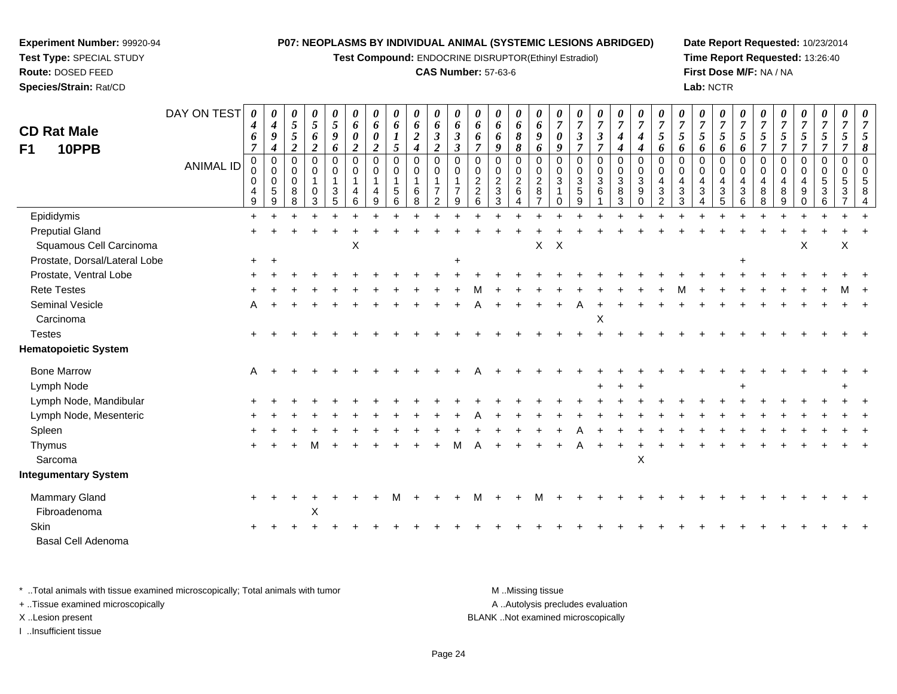**Test Compound:** ENDOCRINE DISRUPTOR(Ethinyl Estradiol)

#### **CAS Number:** 57-63-6

**Date Report Requested:** 10/23/2014**Time Report Requested:** 13:26:40**First Dose M/F:** NA / NA**Lab:** NCTR

| <b>CD Rat Male</b><br>10PPB<br>F1 | DAY ON TEST<br><b>ANIMAL ID</b> | 0<br>$\boldsymbol{4}$<br>6<br>$\overline{7}$<br>$\pmb{0}$<br>0<br>0<br>4<br>9 | $\boldsymbol{\theta}$<br>$\boldsymbol{4}$<br>9<br>$\boldsymbol{4}$<br>$\mathbf 0$<br>$\pmb{0}$<br>$\mathbf 0$<br>5<br>9 | 0<br>$\mathfrak{I}$<br>$5\overline{)}$<br>$\overline{2}$<br>0<br>$\mathbf 0$<br>$\mathbf 0$<br>8<br>8 | $\boldsymbol{\theta}$<br>$\mathfrak{z}$<br>6<br>$\overline{2}$<br>$\pmb{0}$<br>$\mathbf 0$<br>$\overline{1}$<br>$\mathbf 0$<br>3 | 0<br>$\mathfrak{s}$<br>9<br>6<br>$\mathbf 0$<br>$\mathbf 0$<br>$\mathbf{1}$<br>3<br>5 | 0<br>6<br>0<br>$\overline{2}$<br>$\mathbf 0$<br>0<br>$\mathbf{1}$<br>4<br>6 | 0<br>6<br>0<br>2<br>$\pmb{0}$<br>$\mathbf 0$<br>1<br>4<br>9 | 0<br>6<br>1<br>5<br>0<br>0<br>$\overline{\mathbf{1}}$<br>$\sqrt{5}$<br>6 | $\boldsymbol{\theta}$<br>6<br>$\boldsymbol{2}$<br>$\overline{\boldsymbol{4}}$<br>$\mathbf 0$<br>$\mathbf 0$<br>$\mathbf{1}$<br>6<br>8 | 0<br>6<br>$\boldsymbol{\beta}$<br>$\overline{\mathbf{c}}$<br>$\mathbf 0$<br>$\Omega$<br>$\mathbf{1}$<br>7<br>$\overline{2}$ | $\pmb{\theta}$<br>6<br>$\boldsymbol{\beta}$<br>$\boldsymbol{\beta}$<br>$\mathbf 0$<br>$\Omega$<br>$\mathbf{1}$<br>$\overline{7}$<br>9 | 0<br>6<br>6<br>$\overline{7}$<br>$\mathbf 0$<br>0<br>$\overline{2}$<br>$\overline{c}$<br>6 | $\boldsymbol{\theta}$<br>6<br>6<br>9<br>0<br>$\mathbf 0$<br>$\overline{c}$<br>$\ensuremath{\mathsf{3}}$<br>3 | $\boldsymbol{\theta}$<br>6<br>$\boldsymbol{\delta}$<br>$\pmb{8}$<br>$\pmb{0}$<br>$\mathbf 0$<br>$\overline{2}$<br>$\,6\,$<br>4 | 0<br>6<br>9<br>6<br>$\mathbf 0$<br>0<br>$\overline{2}$<br>8 | 0<br>$\boldsymbol{7}$<br>0<br>9<br>$\mathbf 0$<br>$\Omega$<br>3 | 0<br>$\overline{7}$<br>3<br>$\overline{7}$<br>$\mathbf 0$<br>0<br>$\sqrt{3}$<br>$\overline{5}$<br>9 | 0<br>$\boldsymbol{7}$<br>$\boldsymbol{\beta}$<br>$\overline{7}$<br>0<br>$\mathbf 0$<br>$\ensuremath{\mathsf{3}}$<br>6 | $\pmb{\theta}$<br>$\boldsymbol{7}$<br>$\boldsymbol{4}$<br>$\boldsymbol{4}$<br>$\pmb{0}$<br>$\mathsf{O}\xspace$<br>$\sqrt{3}$<br>$\,8\,$<br>3 | 0<br>$\boldsymbol{7}$<br>4<br>4<br>$\mathbf 0$<br>$\mathbf 0$<br>3<br>9<br>$\Omega$ | $\boldsymbol{\theta}$<br>$\overline{7}$<br>$\mathfrak{H}$<br>6<br>$\mathbf 0$<br>$\Omega$<br>4<br>3<br>$\mathcal{P}$ | $\pmb{\theta}$<br>$\overline{7}$<br>5<br>6<br>$\Omega$<br>$\Omega$<br>4<br>3<br>3 | 0<br>$\overline{7}$<br>5<br>6<br>0<br>$\mathbf 0$<br>4<br>$\mathbf{3}$ | $\boldsymbol{\theta}$<br>$\overline{7}$<br>5<br>6<br>$\pmb{0}$<br>$\mathbf 0$<br>$\overline{4}$<br>$\sqrt{3}$<br>5 | 0<br>$\overline{7}$<br>$\mathfrak{H}$<br>6<br>$\mathbf 0$<br>$\mathbf 0$<br>$\overline{4}$<br>$\sqrt{3}$<br>6 | $\pmb{\theta}$<br>$\overline{7}$<br>$\mathfrak{s}$<br>$\overline{7}$<br>$\pmb{0}$<br>$\mathbf 0$<br>4<br>8 | 0<br>$\overline{7}$<br>5<br>$\overline{7}$<br>0<br>$\mathbf 0$<br>4<br>8<br>9 | 0<br>$\boldsymbol{7}$<br>$\sqrt{5}$<br>$\overline{7}$<br>0<br>$\mathbf{0}$<br>4<br>9 | $\boldsymbol{\theta}$<br>$\overline{7}$<br>$\mathfrak{s}$<br>$\overline{7}$<br>$\mathbf 0$<br>$\Omega$<br>5<br>$\sqrt{3}$<br>6 | 0<br>$\overline{7}$<br>5<br>$\overline{7}$<br>$\mathbf 0$<br>0<br>5 | 8 |
|-----------------------------------|---------------------------------|-------------------------------------------------------------------------------|-------------------------------------------------------------------------------------------------------------------------|-------------------------------------------------------------------------------------------------------|----------------------------------------------------------------------------------------------------------------------------------|---------------------------------------------------------------------------------------|-----------------------------------------------------------------------------|-------------------------------------------------------------|--------------------------------------------------------------------------|---------------------------------------------------------------------------------------------------------------------------------------|-----------------------------------------------------------------------------------------------------------------------------|---------------------------------------------------------------------------------------------------------------------------------------|--------------------------------------------------------------------------------------------|--------------------------------------------------------------------------------------------------------------|--------------------------------------------------------------------------------------------------------------------------------|-------------------------------------------------------------|-----------------------------------------------------------------|-----------------------------------------------------------------------------------------------------|-----------------------------------------------------------------------------------------------------------------------|----------------------------------------------------------------------------------------------------------------------------------------------|-------------------------------------------------------------------------------------|----------------------------------------------------------------------------------------------------------------------|-----------------------------------------------------------------------------------|------------------------------------------------------------------------|--------------------------------------------------------------------------------------------------------------------|---------------------------------------------------------------------------------------------------------------|------------------------------------------------------------------------------------------------------------|-------------------------------------------------------------------------------|--------------------------------------------------------------------------------------|--------------------------------------------------------------------------------------------------------------------------------|---------------------------------------------------------------------|---|
| Epididymis                        |                                 | $\ddot{}$                                                                     |                                                                                                                         |                                                                                                       |                                                                                                                                  |                                                                                       |                                                                             |                                                             |                                                                          |                                                                                                                                       |                                                                                                                             |                                                                                                                                       |                                                                                            |                                                                                                              |                                                                                                                                |                                                             |                                                                 |                                                                                                     |                                                                                                                       |                                                                                                                                              |                                                                                     |                                                                                                                      |                                                                                   |                                                                        |                                                                                                                    |                                                                                                               |                                                                                                            |                                                                               |                                                                                      |                                                                                                                                |                                                                     |   |
| <b>Preputial Gland</b>            |                                 |                                                                               |                                                                                                                         |                                                                                                       |                                                                                                                                  |                                                                                       |                                                                             |                                                             |                                                                          |                                                                                                                                       |                                                                                                                             |                                                                                                                                       |                                                                                            |                                                                                                              |                                                                                                                                |                                                             |                                                                 |                                                                                                     |                                                                                                                       |                                                                                                                                              |                                                                                     |                                                                                                                      |                                                                                   |                                                                        |                                                                                                                    |                                                                                                               |                                                                                                            |                                                                               |                                                                                      |                                                                                                                                |                                                                     |   |
| Squamous Cell Carcinoma           |                                 |                                                                               |                                                                                                                         |                                                                                                       |                                                                                                                                  |                                                                                       | X                                                                           |                                                             |                                                                          |                                                                                                                                       |                                                                                                                             |                                                                                                                                       |                                                                                            |                                                                                                              |                                                                                                                                | X                                                           | $\boldsymbol{X}$                                                |                                                                                                     |                                                                                                                       |                                                                                                                                              |                                                                                     |                                                                                                                      |                                                                                   |                                                                        |                                                                                                                    |                                                                                                               |                                                                                                            |                                                                               | X                                                                                    |                                                                                                                                | X                                                                   |   |
| Prostate, Dorsal/Lateral Lobe     |                                 | $+$                                                                           |                                                                                                                         |                                                                                                       |                                                                                                                                  |                                                                                       |                                                                             |                                                             |                                                                          |                                                                                                                                       |                                                                                                                             |                                                                                                                                       |                                                                                            |                                                                                                              |                                                                                                                                |                                                             |                                                                 |                                                                                                     |                                                                                                                       |                                                                                                                                              |                                                                                     |                                                                                                                      |                                                                                   |                                                                        |                                                                                                                    |                                                                                                               |                                                                                                            |                                                                               |                                                                                      |                                                                                                                                |                                                                     |   |
| Prostate, Ventral Lobe            |                                 |                                                                               |                                                                                                                         |                                                                                                       |                                                                                                                                  |                                                                                       |                                                                             |                                                             |                                                                          |                                                                                                                                       |                                                                                                                             |                                                                                                                                       |                                                                                            |                                                                                                              |                                                                                                                                |                                                             |                                                                 |                                                                                                     |                                                                                                                       |                                                                                                                                              |                                                                                     |                                                                                                                      |                                                                                   |                                                                        |                                                                                                                    |                                                                                                               |                                                                                                            |                                                                               |                                                                                      |                                                                                                                                |                                                                     |   |
| <b>Rete Testes</b>                |                                 |                                                                               |                                                                                                                         |                                                                                                       |                                                                                                                                  |                                                                                       |                                                                             |                                                             |                                                                          |                                                                                                                                       |                                                                                                                             |                                                                                                                                       |                                                                                            |                                                                                                              |                                                                                                                                |                                                             |                                                                 |                                                                                                     |                                                                                                                       |                                                                                                                                              |                                                                                     |                                                                                                                      |                                                                                   |                                                                        |                                                                                                                    |                                                                                                               |                                                                                                            |                                                                               |                                                                                      |                                                                                                                                |                                                                     |   |
| <b>Seminal Vesicle</b>            |                                 | A                                                                             |                                                                                                                         |                                                                                                       |                                                                                                                                  |                                                                                       |                                                                             |                                                             |                                                                          |                                                                                                                                       |                                                                                                                             |                                                                                                                                       |                                                                                            |                                                                                                              |                                                                                                                                |                                                             |                                                                 |                                                                                                     |                                                                                                                       |                                                                                                                                              |                                                                                     |                                                                                                                      |                                                                                   |                                                                        |                                                                                                                    |                                                                                                               |                                                                                                            |                                                                               |                                                                                      |                                                                                                                                |                                                                     |   |
| Carcinoma                         |                                 |                                                                               |                                                                                                                         |                                                                                                       |                                                                                                                                  |                                                                                       |                                                                             |                                                             |                                                                          |                                                                                                                                       |                                                                                                                             |                                                                                                                                       |                                                                                            |                                                                                                              |                                                                                                                                |                                                             |                                                                 |                                                                                                     | X                                                                                                                     |                                                                                                                                              |                                                                                     |                                                                                                                      |                                                                                   |                                                                        |                                                                                                                    |                                                                                                               |                                                                                                            |                                                                               |                                                                                      |                                                                                                                                |                                                                     |   |
| <b>Testes</b>                     |                                 |                                                                               |                                                                                                                         |                                                                                                       |                                                                                                                                  |                                                                                       |                                                                             |                                                             |                                                                          |                                                                                                                                       |                                                                                                                             |                                                                                                                                       |                                                                                            |                                                                                                              |                                                                                                                                |                                                             |                                                                 |                                                                                                     |                                                                                                                       |                                                                                                                                              |                                                                                     |                                                                                                                      |                                                                                   |                                                                        |                                                                                                                    |                                                                                                               |                                                                                                            |                                                                               |                                                                                      |                                                                                                                                |                                                                     |   |
| <b>Hematopoietic System</b>       |                                 |                                                                               |                                                                                                                         |                                                                                                       |                                                                                                                                  |                                                                                       |                                                                             |                                                             |                                                                          |                                                                                                                                       |                                                                                                                             |                                                                                                                                       |                                                                                            |                                                                                                              |                                                                                                                                |                                                             |                                                                 |                                                                                                     |                                                                                                                       |                                                                                                                                              |                                                                                     |                                                                                                                      |                                                                                   |                                                                        |                                                                                                                    |                                                                                                               |                                                                                                            |                                                                               |                                                                                      |                                                                                                                                |                                                                     |   |
| <b>Bone Marrow</b>                |                                 | A                                                                             |                                                                                                                         |                                                                                                       |                                                                                                                                  |                                                                                       |                                                                             |                                                             |                                                                          |                                                                                                                                       |                                                                                                                             |                                                                                                                                       |                                                                                            |                                                                                                              |                                                                                                                                |                                                             |                                                                 |                                                                                                     |                                                                                                                       |                                                                                                                                              |                                                                                     |                                                                                                                      |                                                                                   |                                                                        |                                                                                                                    |                                                                                                               |                                                                                                            |                                                                               |                                                                                      |                                                                                                                                |                                                                     |   |
| Lymph Node                        |                                 |                                                                               |                                                                                                                         |                                                                                                       |                                                                                                                                  |                                                                                       |                                                                             |                                                             |                                                                          |                                                                                                                                       |                                                                                                                             |                                                                                                                                       |                                                                                            |                                                                                                              |                                                                                                                                |                                                             |                                                                 |                                                                                                     |                                                                                                                       |                                                                                                                                              |                                                                                     |                                                                                                                      |                                                                                   |                                                                        |                                                                                                                    |                                                                                                               |                                                                                                            |                                                                               |                                                                                      |                                                                                                                                |                                                                     |   |
| Lymph Node, Mandibular            |                                 |                                                                               |                                                                                                                         |                                                                                                       |                                                                                                                                  |                                                                                       |                                                                             |                                                             |                                                                          |                                                                                                                                       |                                                                                                                             |                                                                                                                                       |                                                                                            |                                                                                                              |                                                                                                                                |                                                             |                                                                 |                                                                                                     |                                                                                                                       |                                                                                                                                              |                                                                                     |                                                                                                                      |                                                                                   |                                                                        |                                                                                                                    |                                                                                                               |                                                                                                            |                                                                               |                                                                                      |                                                                                                                                |                                                                     |   |
| Lymph Node, Mesenteric            |                                 |                                                                               |                                                                                                                         |                                                                                                       |                                                                                                                                  |                                                                                       |                                                                             |                                                             |                                                                          |                                                                                                                                       |                                                                                                                             |                                                                                                                                       |                                                                                            |                                                                                                              |                                                                                                                                |                                                             |                                                                 |                                                                                                     |                                                                                                                       |                                                                                                                                              |                                                                                     |                                                                                                                      |                                                                                   |                                                                        |                                                                                                                    |                                                                                                               |                                                                                                            |                                                                               |                                                                                      |                                                                                                                                |                                                                     |   |
| Spleen                            |                                 |                                                                               |                                                                                                                         |                                                                                                       |                                                                                                                                  |                                                                                       |                                                                             |                                                             |                                                                          |                                                                                                                                       |                                                                                                                             |                                                                                                                                       |                                                                                            |                                                                                                              |                                                                                                                                |                                                             |                                                                 |                                                                                                     |                                                                                                                       |                                                                                                                                              |                                                                                     |                                                                                                                      |                                                                                   |                                                                        |                                                                                                                    |                                                                                                               |                                                                                                            |                                                                               |                                                                                      |                                                                                                                                |                                                                     |   |
| Thymus                            |                                 |                                                                               |                                                                                                                         |                                                                                                       |                                                                                                                                  |                                                                                       |                                                                             |                                                             |                                                                          |                                                                                                                                       |                                                                                                                             |                                                                                                                                       |                                                                                            |                                                                                                              |                                                                                                                                |                                                             |                                                                 |                                                                                                     |                                                                                                                       |                                                                                                                                              |                                                                                     |                                                                                                                      |                                                                                   |                                                                        |                                                                                                                    |                                                                                                               |                                                                                                            |                                                                               |                                                                                      |                                                                                                                                |                                                                     |   |
| Sarcoma                           |                                 |                                                                               |                                                                                                                         |                                                                                                       |                                                                                                                                  |                                                                                       |                                                                             |                                                             |                                                                          |                                                                                                                                       |                                                                                                                             |                                                                                                                                       |                                                                                            |                                                                                                              |                                                                                                                                |                                                             |                                                                 |                                                                                                     |                                                                                                                       |                                                                                                                                              | $\boldsymbol{\mathsf{X}}$                                                           |                                                                                                                      |                                                                                   |                                                                        |                                                                                                                    |                                                                                                               |                                                                                                            |                                                                               |                                                                                      |                                                                                                                                |                                                                     |   |
| Integumentary System              |                                 |                                                                               |                                                                                                                         |                                                                                                       |                                                                                                                                  |                                                                                       |                                                                             |                                                             |                                                                          |                                                                                                                                       |                                                                                                                             |                                                                                                                                       |                                                                                            |                                                                                                              |                                                                                                                                |                                                             |                                                                 |                                                                                                     |                                                                                                                       |                                                                                                                                              |                                                                                     |                                                                                                                      |                                                                                   |                                                                        |                                                                                                                    |                                                                                                               |                                                                                                            |                                                                               |                                                                                      |                                                                                                                                |                                                                     |   |
| Mammary Gland                     |                                 |                                                                               |                                                                                                                         |                                                                                                       |                                                                                                                                  |                                                                                       |                                                                             |                                                             |                                                                          |                                                                                                                                       |                                                                                                                             |                                                                                                                                       |                                                                                            |                                                                                                              |                                                                                                                                |                                                             |                                                                 |                                                                                                     |                                                                                                                       |                                                                                                                                              |                                                                                     |                                                                                                                      |                                                                                   |                                                                        |                                                                                                                    |                                                                                                               |                                                                                                            |                                                                               |                                                                                      |                                                                                                                                |                                                                     |   |
| Fibroadenoma                      |                                 |                                                                               |                                                                                                                         |                                                                                                       | X                                                                                                                                |                                                                                       |                                                                             |                                                             |                                                                          |                                                                                                                                       |                                                                                                                             |                                                                                                                                       |                                                                                            |                                                                                                              |                                                                                                                                |                                                             |                                                                 |                                                                                                     |                                                                                                                       |                                                                                                                                              |                                                                                     |                                                                                                                      |                                                                                   |                                                                        |                                                                                                                    |                                                                                                               |                                                                                                            |                                                                               |                                                                                      |                                                                                                                                |                                                                     |   |
| <b>Skin</b>                       |                                 |                                                                               |                                                                                                                         |                                                                                                       |                                                                                                                                  |                                                                                       |                                                                             |                                                             |                                                                          |                                                                                                                                       |                                                                                                                             |                                                                                                                                       |                                                                                            |                                                                                                              |                                                                                                                                |                                                             |                                                                 |                                                                                                     |                                                                                                                       |                                                                                                                                              |                                                                                     |                                                                                                                      |                                                                                   |                                                                        |                                                                                                                    |                                                                                                               |                                                                                                            |                                                                               |                                                                                      |                                                                                                                                |                                                                     |   |
| Basal Cell Adenoma                |                                 |                                                                               |                                                                                                                         |                                                                                                       |                                                                                                                                  |                                                                                       |                                                                             |                                                             |                                                                          |                                                                                                                                       |                                                                                                                             |                                                                                                                                       |                                                                                            |                                                                                                              |                                                                                                                                |                                                             |                                                                 |                                                                                                     |                                                                                                                       |                                                                                                                                              |                                                                                     |                                                                                                                      |                                                                                   |                                                                        |                                                                                                                    |                                                                                                               |                                                                                                            |                                                                               |                                                                                      |                                                                                                                                |                                                                     |   |

\* ..Total animals with tissue examined microscopically; Total animals with tumor **M** . Missing tissue M ..Missing tissue A ..Autolysis precludes evaluation + ..Tissue examined microscopically X ..Lesion present BLANK ..Not examined microscopicallyI ..Insufficient tissue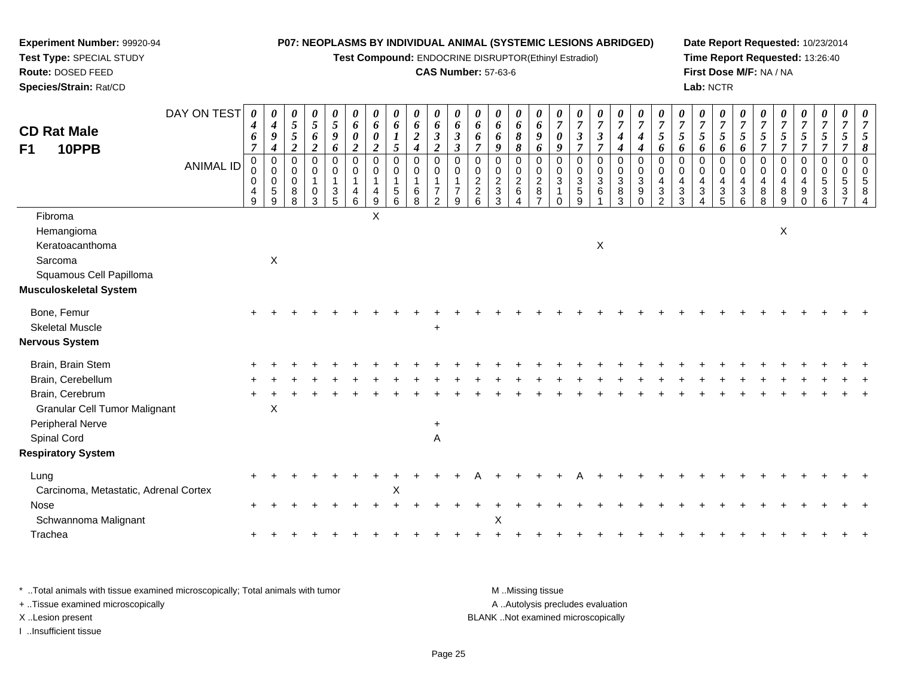**Test Compound:** ENDOCRINE DISRUPTOR(Ethinyl Estradiol)

#### **CAS Number:** 57-63-6

**Date Report Requested:** 10/23/2014**Time Report Requested:** 13:26:40**First Dose M/F:** NA / NA**Lab:** NCTR

| <b>CD Rat Male</b><br>10PPB<br>F1                                          | DAY ON TEST      | 0<br>$\boldsymbol{4}$<br>6<br>$\overline{7}$ | 0<br>$\boldsymbol{4}$<br>9<br>$\boldsymbol{4}$                      | $\boldsymbol{\theta}$<br>$\sqrt{5}$<br>$\sqrt{5}$<br>$\overline{2}$ | $\frac{\theta}{5}$<br>6<br>$\overline{2}$                   | $\boldsymbol{\theta}$<br>5<br>$\boldsymbol{g}$<br>6 | $\boldsymbol{\theta}$<br>6<br>$\pmb{\theta}$<br>$\boldsymbol{2}$ | 0<br>6<br>$\boldsymbol{\theta}$<br>$\overline{2}$                   | 0<br>$\boldsymbol{6}$<br>$\boldsymbol{l}$<br>$5\overline{)}$                        | 0<br>6<br>$\boldsymbol{2}$<br>$\overline{\mathbf{4}}$    | $\boldsymbol{\theta}$<br>6<br>$\mathfrak{z}$<br>$\overline{2}$ | 0<br>$\boldsymbol{6}$<br>$\mathfrak{z}$<br>$\mathfrak{z}$ | $\theta$<br>6<br>6<br>$\overline{7}$      | 0<br>6<br>6<br>9                                                             | 0<br>6<br>$\pmb{8}$<br>$\boldsymbol{\delta}$                              | 0<br>6<br>$\boldsymbol{g}$<br>6                  | $\overline{7}$<br>$\boldsymbol{\theta}$<br>9                                      | $\frac{\boldsymbol{0}}{7}$<br>$\boldsymbol{\beta}$<br>$\overline{7}$ | $\frac{\boldsymbol{0}}{7}$<br>$\boldsymbol{\mathfrak{z}}$<br>$\overline{7}$ | $\frac{\theta}{7}$<br>$\boldsymbol{4}$<br>$\boldsymbol{4}$                    | $\frac{\theta}{7}$<br>$\boldsymbol{4}$<br>$\boldsymbol{4}$     | $\overline{7}$<br>5<br>6                      | $\frac{\boldsymbol{0}}{7}$<br>5<br>6 | $\frac{\theta}{7}$<br>5<br>6                                                           | $\boldsymbol{\theta}$<br>$\overline{7}$<br>5<br>6 | U<br>$\overline{7}$<br>$\sqrt{5}$<br>6               | $\overline{7}$<br>$\mathfrak{s}$<br>$\overline{7}$ | $\frac{\boldsymbol{0}}{7}$<br>$\mathfrak{s}$<br>$\overline{7}$ | $\frac{\boldsymbol{\theta}}{\boldsymbol{7}}$<br>$\sqrt{5}$<br>$\overline{7}$ | $\frac{\theta}{7}$<br>$\sqrt{5}$<br>$\overline{7}$                       | 0<br>$\overline{7}$<br>$\mathfrak{s}$<br>$\overline{7}$ | $\overline{7}$<br>5<br>8                               |
|----------------------------------------------------------------------------|------------------|----------------------------------------------|---------------------------------------------------------------------|---------------------------------------------------------------------|-------------------------------------------------------------|-----------------------------------------------------|------------------------------------------------------------------|---------------------------------------------------------------------|-------------------------------------------------------------------------------------|----------------------------------------------------------|----------------------------------------------------------------|-----------------------------------------------------------|-------------------------------------------|------------------------------------------------------------------------------|---------------------------------------------------------------------------|--------------------------------------------------|-----------------------------------------------------------------------------------|----------------------------------------------------------------------|-----------------------------------------------------------------------------|-------------------------------------------------------------------------------|----------------------------------------------------------------|-----------------------------------------------|--------------------------------------|----------------------------------------------------------------------------------------|---------------------------------------------------|------------------------------------------------------|----------------------------------------------------|----------------------------------------------------------------|------------------------------------------------------------------------------|--------------------------------------------------------------------------|---------------------------------------------------------|--------------------------------------------------------|
|                                                                            | <b>ANIMAL ID</b> | $\mathbf 0$<br>0<br>0<br>$\frac{4}{9}$       | $\mathbf 0$<br>$\mathsf{O}\xspace$<br>$\pmb{0}$<br>$\,$ 5 $\,$<br>9 | 0<br>$\mathbf 0$<br>$\overline{0}$<br>$_{\rm 8}^{\rm 8}$            | $\mathbf 0$<br>$\pmb{0}$<br>$\overline{1}$<br>$\frac{0}{3}$ | $\Omega$<br>0<br>$\mathbf{1}$<br>$\frac{3}{5}$      | $\mathbf 0$<br>0<br>$\mathbf{1}$<br>4<br>$6\phantom{a}$          | $\mathbf 0$<br>$\mathbf 0$<br>$\begin{array}{c} 4 \\ 9 \end{array}$ | $\mathbf 0$<br>$\pmb{0}$<br>$\overline{1}$<br>$\begin{array}{c} 5 \\ 6 \end{array}$ | $\mathbf 0$<br>$\pmb{0}$<br>$\mathbf{1}$<br>$\,6\,$<br>8 | $\Omega$<br>0<br>$\overline{7}$<br>$\overline{2}$              | 0<br>0<br>7<br>9                                          | 0<br>0<br>$\overline{c}$<br>$\frac{2}{6}$ | $\mathbf 0$<br>$\pmb{0}$<br>$\overline{c}$<br>$\ensuremath{\mathsf{3}}$<br>3 | $\mathbf 0$<br>$\pmb{0}$<br>$\boldsymbol{2}$<br>$\,6\,$<br>$\overline{4}$ | $\Omega$<br>0<br>$\overline{2}$<br>$\frac{8}{7}$ | $\mathbf 0$<br>$\pmb{0}$<br>$\ensuremath{\mathsf{3}}$<br>$\mathbf{1}$<br>$\Omega$ | 0<br>$\pmb{0}$<br>$\ensuremath{\mathsf{3}}$<br>$\frac{5}{9}$         | 0<br>0<br>$\ensuremath{\mathsf{3}}$<br>$\,6\,$                              | $\mathbf 0$<br>$\boldsymbol{0}$<br>$\ensuremath{\mathsf{3}}$<br>$\frac{8}{3}$ | $\mathbf 0$<br>0<br>$\sqrt{3}$<br>$\boldsymbol{9}$<br>$\Omega$ | $\Omega$<br>$\mathbf 0$<br>4<br>$\frac{3}{2}$ | $\Omega$<br>0<br>3<br>3              | $\Omega$<br>0<br>$\overline{4}$<br>$\ensuremath{\mathsf{3}}$<br>$\boldsymbol{\Lambda}$ | $\Omega$<br>$\mathbf 0$<br>4<br>$\frac{3}{5}$     | $\Omega$<br>0<br>4<br>$\ensuremath{\mathsf{3}}$<br>6 | $\Omega$<br>0<br>4<br>8<br>8                       | $\mathbf 0$<br>0<br>4<br>$\bf 8$<br>9                          | 0<br>$\mathbf 0$<br>$\overline{4}$<br>$\boldsymbol{9}$<br>$\mathbf 0$        | $\mathbf 0$<br>$\pmb{0}$<br>$\sqrt{5}$<br>$\ensuremath{\mathsf{3}}$<br>6 | 0<br>$\mathbf 0$<br>$\sqrt{5}$<br>$\frac{3}{7}$         | $\Omega$<br>$\mathbf 0$<br>5<br>$\boldsymbol{\Lambda}$ |
| Fibroma<br>Hemangioma<br>Keratoacanthoma<br>Sarcoma                        |                  |                                              | $\pmb{\times}$                                                      |                                                                     |                                                             |                                                     |                                                                  | X                                                                   |                                                                                     |                                                          |                                                                |                                                           |                                           |                                                                              |                                                                           |                                                  |                                                                                   |                                                                      | X                                                                           |                                                                               |                                                                |                                               |                                      |                                                                                        |                                                   |                                                      |                                                    | X                                                              |                                                                              |                                                                          |                                                         |                                                        |
| Squamous Cell Papilloma<br>Musculoskeletal System                          |                  |                                              |                                                                     |                                                                     |                                                             |                                                     |                                                                  |                                                                     |                                                                                     |                                                          |                                                                |                                                           |                                           |                                                                              |                                                                           |                                                  |                                                                                   |                                                                      |                                                                             |                                                                               |                                                                |                                               |                                      |                                                                                        |                                                   |                                                      |                                                    |                                                                |                                                                              |                                                                          |                                                         |                                                        |
| Bone, Femur<br><b>Skeletal Muscle</b><br>Nervous System                    |                  |                                              |                                                                     |                                                                     |                                                             |                                                     |                                                                  |                                                                     |                                                                                     |                                                          | $\ddot{}$                                                      |                                                           |                                           |                                                                              |                                                                           |                                                  |                                                                                   |                                                                      |                                                                             |                                                                               |                                                                |                                               |                                      |                                                                                        |                                                   |                                                      |                                                    |                                                                |                                                                              |                                                                          |                                                         |                                                        |
| Brain, Brain Stem<br>Brain, Cerebellum<br>Brain, Cerebrum                  |                  |                                              |                                                                     |                                                                     |                                                             |                                                     |                                                                  |                                                                     |                                                                                     |                                                          |                                                                |                                                           |                                           |                                                                              |                                                                           |                                                  |                                                                                   |                                                                      |                                                                             |                                                                               |                                                                |                                               |                                      |                                                                                        |                                                   |                                                      |                                                    |                                                                |                                                                              |                                                                          |                                                         |                                                        |
| <b>Granular Cell Tumor Malignant</b><br>Peripheral Nerve<br>Spinal Cord    |                  |                                              | X                                                                   |                                                                     |                                                             |                                                     |                                                                  |                                                                     |                                                                                     |                                                          | $\ddot{}$<br>Α                                                 |                                                           |                                           |                                                                              |                                                                           |                                                  |                                                                                   |                                                                      |                                                                             |                                                                               |                                                                |                                               |                                      |                                                                                        |                                                   |                                                      |                                                    |                                                                |                                                                              |                                                                          |                                                         |                                                        |
| <b>Respiratory System</b><br>Lung<br>Carcinoma, Metastatic, Adrenal Cortex |                  |                                              |                                                                     |                                                                     |                                                             |                                                     |                                                                  |                                                                     | $\mathsf X$                                                                         |                                                          |                                                                |                                                           |                                           |                                                                              |                                                                           |                                                  |                                                                                   |                                                                      |                                                                             |                                                                               |                                                                |                                               |                                      |                                                                                        |                                                   |                                                      |                                                    |                                                                |                                                                              |                                                                          |                                                         |                                                        |
| Nose<br>Schwannoma Malignant                                               |                  |                                              |                                                                     |                                                                     |                                                             |                                                     |                                                                  |                                                                     |                                                                                     |                                                          |                                                                |                                                           |                                           | $\boldsymbol{\mathsf{X}}$                                                    |                                                                           |                                                  |                                                                                   |                                                                      |                                                                             |                                                                               |                                                                |                                               |                                      |                                                                                        |                                                   |                                                      |                                                    |                                                                |                                                                              |                                                                          |                                                         |                                                        |
| Trachea                                                                    |                  |                                              |                                                                     |                                                                     |                                                             |                                                     |                                                                  |                                                                     |                                                                                     |                                                          |                                                                |                                                           |                                           |                                                                              |                                                                           |                                                  |                                                                                   |                                                                      |                                                                             |                                                                               |                                                                |                                               |                                      |                                                                                        |                                                   |                                                      |                                                    |                                                                |                                                                              |                                                                          |                                                         |                                                        |

\* ..Total animals with tissue examined microscopically; Total animals with tumor **M** . Missing tissue M ..Missing tissue A ..Autolysis precludes evaluation + ..Tissue examined microscopically X ..Lesion present BLANK ..Not examined microscopicallyI ..Insufficient tissue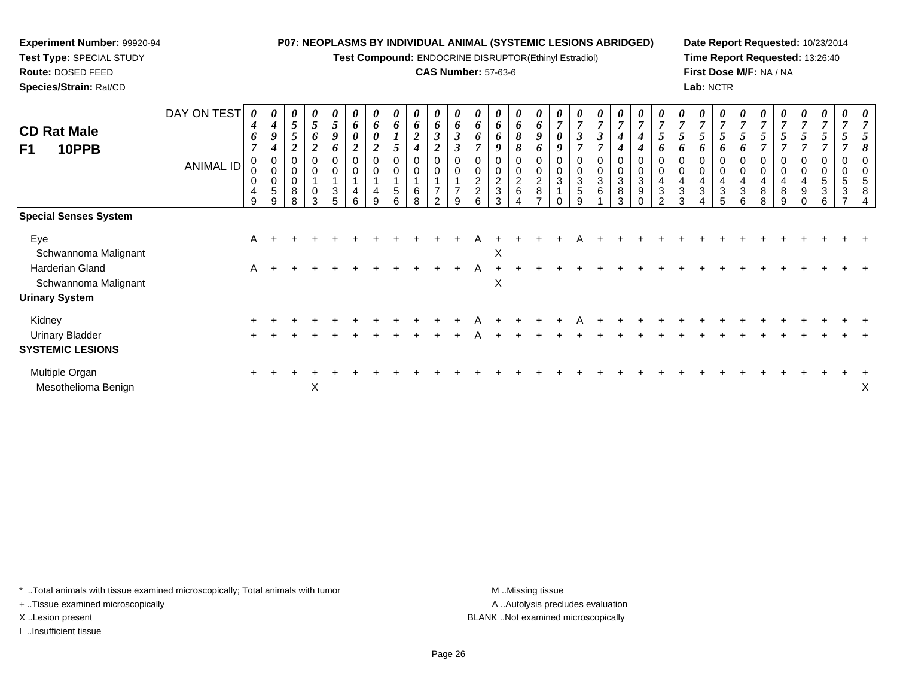**Test Compound:** ENDOCRINE DISRUPTOR(Ethinyl Estradiol)

### **CAS Number:** 57-63-6

**Date Report Requested:** 10/23/2014**Time Report Requested:** 13:26:40**First Dose M/F:** NA / NA**Lab:** NCTR

| <b>CD Rat Male</b><br>F1<br>10PPB                           | DAY ON TEST<br><b>ANIMAL ID</b> | 0<br>4<br>6<br>7<br>0<br>0<br>0<br>4<br>9 | $\boldsymbol{\theta}$<br>$\boldsymbol{4}$<br>9<br>$\boldsymbol{4}$<br>0<br>$\pmb{0}$<br>$\mathbf 0$<br>5<br>9 | 0<br>$5\overline{)}$<br>0<br>0<br>8<br>8 | 0<br>$\mathfrak{H}$<br>6<br>0<br>0<br>3 | 0<br>5<br>9<br>6<br>0<br>$\mathbf 0$<br>$\sqrt{3}$<br>5 | $\boldsymbol{\theta}$<br>6<br>$\boldsymbol{\theta}$<br>C<br>0<br>$\mathbf 0$<br>4<br>6 | U<br>6<br>$\boldsymbol{\theta}$<br>$\overline{2}$<br>$\mathbf 0$<br>4<br>9 | 0<br>6<br>0<br>5<br>6 | 0<br>6<br>$\boldsymbol{2}$<br>0<br>$\pmb{0}$<br>6<br>8 | 0<br>6<br>$\mathfrak{z}$<br><u>ีว</u><br>0<br>$\mathbf 0$<br>$\overline{7}$<br>2 | $\boldsymbol{\theta}$<br>6<br>$\mathfrak{z}$<br>$\boldsymbol{\beta}$<br>0<br>0<br>$\overline{\phantom{a}}$<br>9 | $\boldsymbol{\mathit{U}}$<br>6<br>o<br>7<br>$\mathbf 0$<br>$\overline{c}$<br>$\overline{2}$ | 0<br>6<br>0<br>2<br>3<br>3 | 0<br>6<br>8<br>8<br>0<br>$\frac{2}{6}$ | 0<br>6<br>9<br>6<br>0<br>$\pmb{0}$<br>$_{\rm 8}^2$<br>⇁ | $\boldsymbol{\theta}$<br>$\overline{ }$<br>0<br>9<br>0<br>0<br>3 | $\boldsymbol{\mathit{U}}$<br>$\overline{7}$<br>$\boldsymbol{\beta}$<br>7<br>$\sqrt{3}$<br>5<br>g | $\theta$<br>$\overline{ }$<br>3<br>0<br>3<br>6 | 0<br>$\overline{7}$<br>$\boldsymbol{4}$<br>0<br>$\mathbf 0$<br>$\ensuremath{\mathsf{3}}$<br>8<br>3 | $\boldsymbol{\theta}$<br>$\overline{7}$<br>4<br>0<br>$\pmb{0}$<br>$\sqrt{3}$<br>$\boldsymbol{9}$<br>$\Omega$ | $\boldsymbol{\theta}$<br>$\overline{7}$<br>5<br>o<br>0<br>$\mathbf 0$<br>4<br>$\sqrt{3}$<br>$\mathcal{P}$ | $\boldsymbol{\mathit{U}}$<br>$\overline{7}$<br>$\mathcal{L}$<br>o<br>$\mathbf 0$<br>4<br>3<br>3 | 0<br>$\overline{ }$<br>0<br>4<br>3 | 0<br>$\overline{7}$<br>5<br>6<br>$\,0\,$<br>$\overline{\mathbf{4}}$<br>$\sqrt{3}$<br>5 | 0<br>$\overline{7}$<br>6<br>0<br>$\pmb{0}$<br>$\overline{a}$<br>$\sqrt{3}$<br>6 | $\boldsymbol{\theta}$<br>$\overline{ }$<br>0<br>$\mathbf 0$<br>4<br>8<br>8 | U<br>8<br>9 | $\boldsymbol{\theta}$<br>0<br>9 | $\boldsymbol{\theta}$<br>0<br>$\mathbf 5$<br>$\mathbf{3}$<br>6 | $\boldsymbol{\theta}$<br>0<br>0<br>5<br>3 | $\boldsymbol{\theta}$ |
|-------------------------------------------------------------|---------------------------------|-------------------------------------------|---------------------------------------------------------------------------------------------------------------|------------------------------------------|-----------------------------------------|---------------------------------------------------------|----------------------------------------------------------------------------------------|----------------------------------------------------------------------------|-----------------------|--------------------------------------------------------|----------------------------------------------------------------------------------|-----------------------------------------------------------------------------------------------------------------|---------------------------------------------------------------------------------------------|----------------------------|----------------------------------------|---------------------------------------------------------|------------------------------------------------------------------|--------------------------------------------------------------------------------------------------|------------------------------------------------|----------------------------------------------------------------------------------------------------|--------------------------------------------------------------------------------------------------------------|-----------------------------------------------------------------------------------------------------------|-------------------------------------------------------------------------------------------------|------------------------------------|----------------------------------------------------------------------------------------|---------------------------------------------------------------------------------|----------------------------------------------------------------------------|-------------|---------------------------------|----------------------------------------------------------------|-------------------------------------------|-----------------------|
| <b>Special Senses System</b>                                |                                 |                                           |                                                                                                               |                                          |                                         |                                                         |                                                                                        |                                                                            |                       |                                                        |                                                                                  |                                                                                                                 |                                                                                             |                            |                                        |                                                         |                                                                  |                                                                                                  |                                                |                                                                                                    |                                                                                                              |                                                                                                           |                                                                                                 |                                    |                                                                                        |                                                                                 |                                                                            |             |                                 |                                                                |                                           |                       |
| Eye<br>Schwannoma Malignant                                 |                                 | A                                         |                                                                                                               |                                          |                                         |                                                         |                                                                                        |                                                                            |                       |                                                        |                                                                                  |                                                                                                                 |                                                                                             | X                          |                                        |                                                         |                                                                  |                                                                                                  |                                                |                                                                                                    |                                                                                                              |                                                                                                           |                                                                                                 |                                    |                                                                                        |                                                                                 |                                                                            |             |                                 |                                                                |                                           |                       |
| Harderian Gland<br>Schwannoma Malignant                     |                                 | $\mathsf{A}$                              |                                                                                                               |                                          |                                         |                                                         |                                                                                        |                                                                            |                       |                                                        |                                                                                  |                                                                                                                 | A                                                                                           | X                          |                                        |                                                         |                                                                  |                                                                                                  |                                                |                                                                                                    |                                                                                                              |                                                                                                           |                                                                                                 |                                    |                                                                                        |                                                                                 |                                                                            |             |                                 |                                                                |                                           |                       |
| <b>Urinary System</b>                                       |                                 |                                           |                                                                                                               |                                          |                                         |                                                         |                                                                                        |                                                                            |                       |                                                        |                                                                                  |                                                                                                                 |                                                                                             |                            |                                        |                                                         |                                                                  |                                                                                                  |                                                |                                                                                                    |                                                                                                              |                                                                                                           |                                                                                                 |                                    |                                                                                        |                                                                                 |                                                                            |             |                                 |                                                                |                                           |                       |
| Kidney<br><b>Urinary Bladder</b><br><b>SYSTEMIC LESIONS</b> |                                 |                                           |                                                                                                               |                                          |                                         |                                                         |                                                                                        |                                                                            |                       |                                                        |                                                                                  |                                                                                                                 |                                                                                             |                            |                                        |                                                         |                                                                  |                                                                                                  |                                                |                                                                                                    |                                                                                                              |                                                                                                           |                                                                                                 |                                    |                                                                                        |                                                                                 |                                                                            |             |                                 |                                                                |                                           |                       |
| Multiple Organ<br>Mesothelioma Benign                       |                                 |                                           |                                                                                                               |                                          | X                                       |                                                         |                                                                                        |                                                                            |                       |                                                        |                                                                                  |                                                                                                                 |                                                                                             |                            |                                        |                                                         |                                                                  |                                                                                                  |                                                |                                                                                                    |                                                                                                              |                                                                                                           |                                                                                                 |                                    |                                                                                        |                                                                                 |                                                                            |             |                                 |                                                                |                                           | Х                     |

\* ..Total animals with tissue examined microscopically; Total animals with tumor **M** . Missing tissue M ..Missing tissue

+ ..Tissue examined microscopically

**Experiment Number:** 99920-94**Test Type:** SPECIAL STUDY**Route:** DOSED FEED**Species/Strain:** Rat/CD

I ..Insufficient tissue

A ..Autolysis precludes evaluation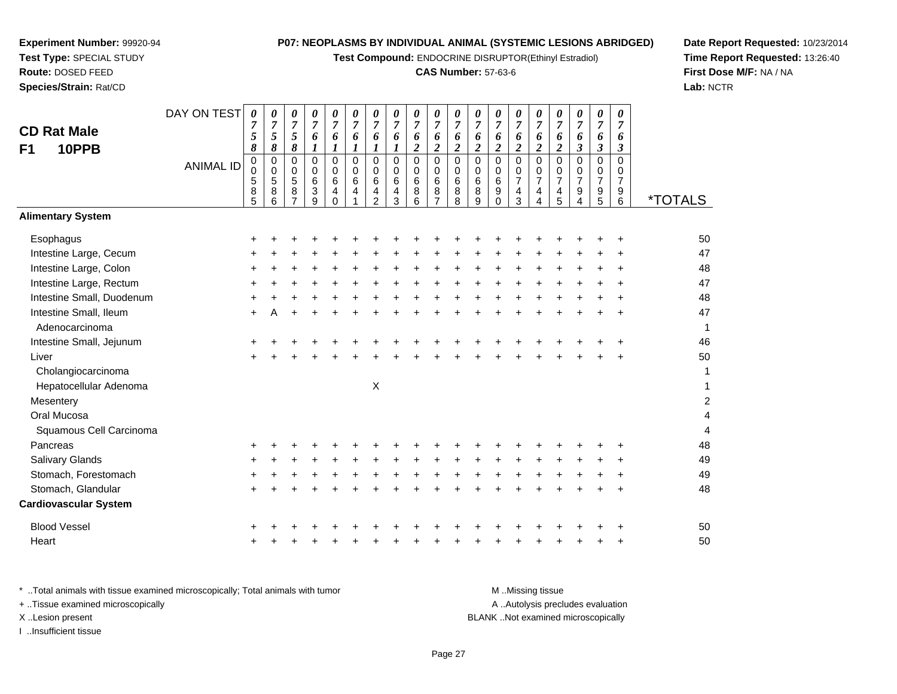**Test Compound:** ENDOCRINE DISRUPTOR(Ethinyl Estradiol)

## **CAS Number:** 57-63-6

**Date Report Requested:** 10/23/2014 **Time Report Requested:** 13:26:40**First Dose M/F:** NA / NA**Lab:** NCTR

| <b>CD Rat Male</b><br>10PPB<br>F <sub>1</sub> | DAY ON TEST      | 0<br>5<br>8                                    | 0<br>$\boldsymbol{7}$<br>$\mathfrak{S}$<br>8           | 0<br>$\overline{7}$<br>5<br>8                                   | 0<br>$\overline{7}$<br>6<br>$\boldsymbol{l}$            | 0<br>$\overline{7}$<br>6<br>$\boldsymbol{l}$           | 0<br>$\overline{7}$<br>6<br>$\boldsymbol{l}$ | 0<br>$\boldsymbol{7}$<br>6<br>$\boldsymbol{l}$         | 0<br>$\overline{7}$<br>6<br>1             | 0<br>$\overline{7}$<br>6<br>$\boldsymbol{2}$ | 0<br>$\boldsymbol{7}$<br>6<br>$\overline{2}$                  | 0<br>$\overline{7}$<br>6<br>$\boldsymbol{2}$    | 0<br>$\overline{7}$<br>6<br>$\boldsymbol{2}$ | 0<br>$\overline{7}$<br>6<br>$\boldsymbol{2}$                             | 0<br>$\overline{7}$<br>6<br>$\boldsymbol{2}$ | 0<br>$\overline{7}$<br>6<br>$\overline{\mathbf{c}}$                                   | $\boldsymbol{\theta}$<br>$\overline{7}$<br>6<br>$\boldsymbol{2}$ | 0<br>$\overline{7}$<br>6<br>$\boldsymbol{\beta}$          | 0<br>$\overline{7}$<br>6<br>$\boldsymbol{\mathfrak{z}}$ | 0<br>$\overline{7}$<br>6<br>$\mathbf{3}$                         |                       |
|-----------------------------------------------|------------------|------------------------------------------------|--------------------------------------------------------|-----------------------------------------------------------------|---------------------------------------------------------|--------------------------------------------------------|----------------------------------------------|--------------------------------------------------------|-------------------------------------------|----------------------------------------------|---------------------------------------------------------------|-------------------------------------------------|----------------------------------------------|--------------------------------------------------------------------------|----------------------------------------------|---------------------------------------------------------------------------------------|------------------------------------------------------------------|-----------------------------------------------------------|---------------------------------------------------------|------------------------------------------------------------------|-----------------------|
|                                               | <b>ANIMAL ID</b> | $\pmb{0}$<br>$\mathbf 0$<br>5<br>$\frac{8}{5}$ | $\pmb{0}$<br>$\mathbf 0$<br>$\mathbf 5$<br>$\bf8$<br>6 | $\mathbf 0$<br>$\mathbf 0$<br>$\sqrt{5}$<br>8<br>$\overline{7}$ | 0<br>$\mathbf 0$<br>6<br>$\ensuremath{\mathsf{3}}$<br>9 | $\mathbf 0$<br>$\mathbf 0$<br>$\,6\,$<br>4<br>$\Omega$ | $\Omega$<br>0<br>6<br>4                      | $\mathbf 0$<br>$\mathbf 0$<br>6<br>4<br>$\overline{2}$ | $\mathbf 0$<br>$\mathbf 0$<br>6<br>4<br>3 | $\mathbf 0$<br>$\mathbf 0$<br>6<br>8<br>6    | $\pmb{0}$<br>0<br>$6\phantom{a}$<br>$\bf 8$<br>$\overline{7}$ | $\mathsf 0$<br>$\mathbf 0$<br>$\,6\,$<br>8<br>8 | $\Omega$<br>$\mathbf 0$<br>6<br>8<br>9       | $\mathbf 0$<br>$\mathbf 0$<br>$\,6\,$<br>$\boldsymbol{9}$<br>$\mathbf 0$ | 0<br>0<br>$\overline{7}$<br>$\frac{4}{3}$    | $\pmb{0}$<br>$\pmb{0}$<br>$\overline{7}$<br>$\overline{\mathbf{4}}$<br>$\overline{A}$ | $\Omega$<br>0<br>$\overline{7}$<br>4<br>5                        | $\mathbf 0$<br>0<br>$\overline{7}$<br>9<br>$\overline{4}$ | $\mathbf 0$<br>0<br>$\overline{7}$<br>$\frac{9}{5}$     | $\Omega$<br>$\mathbf 0$<br>$\overline{7}$<br>9<br>$6\phantom{1}$ | <i><b>*TOTALS</b></i> |
| <b>Alimentary System</b>                      |                  |                                                |                                                        |                                                                 |                                                         |                                                        |                                              |                                                        |                                           |                                              |                                                               |                                                 |                                              |                                                                          |                                              |                                                                                       |                                                                  |                                                           |                                                         |                                                                  |                       |
| Esophagus                                     |                  | ٠                                              |                                                        |                                                                 |                                                         |                                                        |                                              |                                                        |                                           |                                              |                                                               |                                                 |                                              |                                                                          |                                              |                                                                                       |                                                                  |                                                           |                                                         |                                                                  | 50                    |
| Intestine Large, Cecum                        |                  |                                                |                                                        |                                                                 |                                                         |                                                        |                                              |                                                        |                                           |                                              |                                                               |                                                 |                                              |                                                                          |                                              |                                                                                       |                                                                  |                                                           |                                                         |                                                                  | 47                    |
| Intestine Large, Colon                        |                  | +                                              |                                                        |                                                                 |                                                         |                                                        |                                              |                                                        |                                           |                                              |                                                               |                                                 |                                              |                                                                          |                                              |                                                                                       |                                                                  |                                                           |                                                         |                                                                  | 48                    |
| Intestine Large, Rectum                       |                  | +                                              |                                                        |                                                                 |                                                         |                                                        |                                              |                                                        |                                           |                                              |                                                               |                                                 |                                              |                                                                          |                                              |                                                                                       |                                                                  |                                                           |                                                         |                                                                  | 47                    |
| Intestine Small, Duodenum                     |                  | +                                              |                                                        |                                                                 |                                                         |                                                        |                                              |                                                        |                                           |                                              |                                                               |                                                 |                                              |                                                                          |                                              |                                                                                       |                                                                  |                                                           |                                                         |                                                                  | 48                    |
| Intestine Small, Ileum                        |                  | $\ddot{}$                                      | А                                                      |                                                                 |                                                         |                                                        |                                              |                                                        |                                           |                                              |                                                               |                                                 |                                              |                                                                          |                                              |                                                                                       |                                                                  |                                                           |                                                         |                                                                  | 47                    |
| Adenocarcinoma                                |                  |                                                |                                                        |                                                                 |                                                         |                                                        |                                              |                                                        |                                           |                                              |                                                               |                                                 |                                              |                                                                          |                                              |                                                                                       |                                                                  |                                                           |                                                         |                                                                  | 1                     |
| Intestine Small, Jejunum                      |                  |                                                |                                                        |                                                                 |                                                         |                                                        |                                              |                                                        |                                           |                                              |                                                               |                                                 |                                              |                                                                          |                                              |                                                                                       |                                                                  |                                                           |                                                         |                                                                  | 46                    |
| Liver                                         |                  |                                                |                                                        |                                                                 |                                                         |                                                        |                                              |                                                        |                                           |                                              |                                                               |                                                 |                                              |                                                                          |                                              |                                                                                       |                                                                  |                                                           |                                                         |                                                                  | 50                    |
| Cholangiocarcinoma                            |                  |                                                |                                                        |                                                                 |                                                         |                                                        |                                              |                                                        |                                           |                                              |                                                               |                                                 |                                              |                                                                          |                                              |                                                                                       |                                                                  |                                                           |                                                         |                                                                  | 1                     |
| Hepatocellular Adenoma                        |                  |                                                |                                                        |                                                                 |                                                         |                                                        |                                              | $\boldsymbol{\mathsf{X}}$                              |                                           |                                              |                                                               |                                                 |                                              |                                                                          |                                              |                                                                                       |                                                                  |                                                           |                                                         |                                                                  | $\mathbf{1}$          |
| Mesentery                                     |                  |                                                |                                                        |                                                                 |                                                         |                                                        |                                              |                                                        |                                           |                                              |                                                               |                                                 |                                              |                                                                          |                                              |                                                                                       |                                                                  |                                                           |                                                         |                                                                  | $\overline{c}$        |
| Oral Mucosa                                   |                  |                                                |                                                        |                                                                 |                                                         |                                                        |                                              |                                                        |                                           |                                              |                                                               |                                                 |                                              |                                                                          |                                              |                                                                                       |                                                                  |                                                           |                                                         |                                                                  | 4                     |
| Squamous Cell Carcinoma                       |                  |                                                |                                                        |                                                                 |                                                         |                                                        |                                              |                                                        |                                           |                                              |                                                               |                                                 |                                              |                                                                          |                                              |                                                                                       |                                                                  |                                                           |                                                         |                                                                  | $\overline{4}$        |
| Pancreas                                      |                  |                                                |                                                        |                                                                 |                                                         |                                                        |                                              |                                                        |                                           |                                              |                                                               |                                                 |                                              |                                                                          |                                              |                                                                                       |                                                                  |                                                           |                                                         |                                                                  | 48                    |
| Salivary Glands                               |                  | +                                              |                                                        |                                                                 |                                                         |                                                        |                                              |                                                        |                                           |                                              |                                                               |                                                 |                                              |                                                                          |                                              |                                                                                       |                                                                  |                                                           |                                                         |                                                                  | 49                    |
| Stomach, Forestomach                          |                  |                                                |                                                        |                                                                 |                                                         |                                                        |                                              |                                                        |                                           |                                              |                                                               |                                                 |                                              |                                                                          |                                              |                                                                                       |                                                                  |                                                           |                                                         |                                                                  | 49                    |
| Stomach, Glandular                            |                  | ÷                                              |                                                        |                                                                 |                                                         |                                                        |                                              |                                                        |                                           |                                              |                                                               |                                                 |                                              |                                                                          |                                              |                                                                                       |                                                                  |                                                           |                                                         |                                                                  | 48                    |
| <b>Cardiovascular System</b>                  |                  |                                                |                                                        |                                                                 |                                                         |                                                        |                                              |                                                        |                                           |                                              |                                                               |                                                 |                                              |                                                                          |                                              |                                                                                       |                                                                  |                                                           |                                                         |                                                                  |                       |
| <b>Blood Vessel</b>                           |                  |                                                |                                                        |                                                                 |                                                         |                                                        |                                              |                                                        |                                           |                                              |                                                               |                                                 |                                              |                                                                          |                                              |                                                                                       |                                                                  |                                                           |                                                         |                                                                  | 50                    |
| Heart                                         |                  |                                                |                                                        |                                                                 |                                                         |                                                        |                                              |                                                        |                                           |                                              |                                                               |                                                 |                                              |                                                                          |                                              |                                                                                       |                                                                  |                                                           |                                                         |                                                                  | 50                    |

| * Total animals with tissue examined microscopically; Total animals with tumor | M Missina tissue                   |
|--------------------------------------------------------------------------------|------------------------------------|
| + Tissue examined microscopically                                              | A Autolysis precludes evaluation   |
| X Lesion present                                                               | BLANK Not examined microscopically |
| Insufficient tissue                                                            |                                    |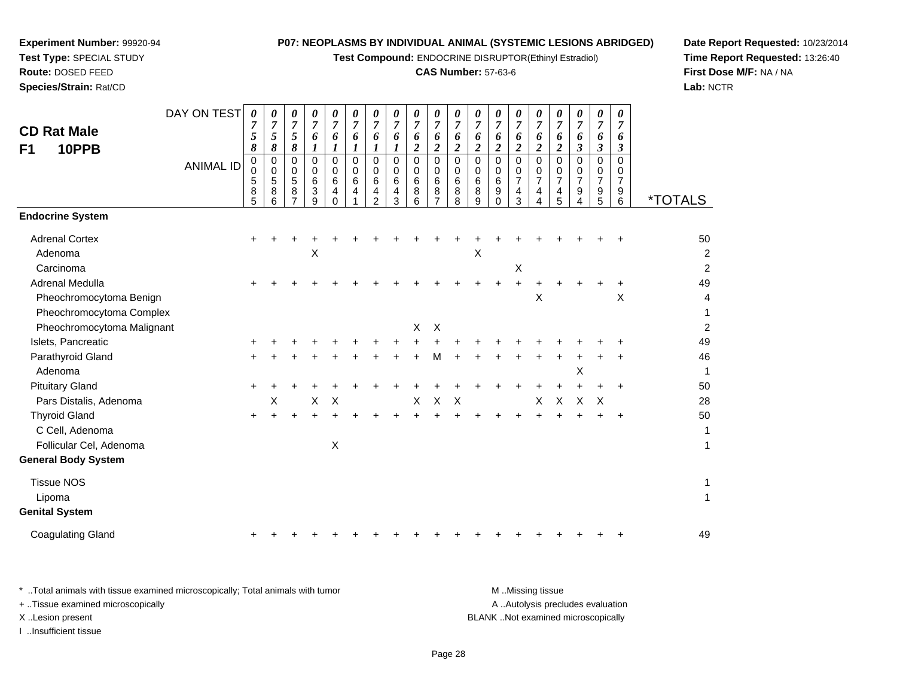**Test Compound:** ENDOCRINE DISRUPTOR(Ethinyl Estradiol)

## **CAS Number:** 57-63-6

**Date Report Requested:** 10/23/2014**Time Report Requested:** 13:26:40**First Dose M/F:** NA / NA**Lab:** NCTR

 $\overline{2}$ 

| <b>CD Rat Male</b><br>10PPB<br>F <sub>1</sub>                          | DAY ON TEST<br><b>ANIMAL ID</b> | 0<br>5<br>8<br>$\pmb{0}$<br>$\mathbf 0$ | 0<br>$\overline{7}$<br>5<br>8<br>0<br>0 | 0<br>$\overline{7}$<br>5<br>8<br>0<br>0 | 0<br>$\overline{7}$<br>6<br>1<br>0<br>0 | 0<br>$\overline{7}$<br>6<br>$\boldsymbol{l}$<br>$\mathbf 0$<br>0 | 0<br>7<br>6<br>$\boldsymbol{l}$<br>$\mathbf 0$<br>$\Omega$ | 0<br>$\overline{7}$<br>6<br>$\mathbf 0$<br>$\mathbf 0$ | $\overline{7}$<br>6<br>0<br>0 | 0<br>$\overline{7}$<br>6<br>$\boldsymbol{2}$<br>0<br>0 | $\theta$<br>7<br>6<br>$\overline{c}$<br>$\mathbf 0$<br>$\Omega$ | 0<br>7<br>6<br>$\boldsymbol{2}$<br>$\mathbf 0$<br>$\Omega$ | 0<br>$\overline{7}$<br>6<br>$\boldsymbol{2}$<br>$\mathbf 0$<br>0 | 0<br>7<br>6<br>$\overline{\mathbf{c}}$<br>0<br>0 | 0<br>7<br>6<br>$\boldsymbol{2}$<br>0 | 0<br>7<br>6<br>$\boldsymbol{2}$<br>$\mathbf 0$ | 0<br>7<br>6<br>$\boldsymbol{2}$<br>$\mathbf 0$<br>0 | 0<br>$\overline{7}$<br>6<br>$\boldsymbol{\beta}$<br>$\mathbf 0$<br>0 | 0<br>$\overline{7}$<br>6<br>3<br>$\mathbf 0$<br>0 | 0<br>7<br>6<br>3<br>$\Omega$<br>0 |                       |
|------------------------------------------------------------------------|---------------------------------|-----------------------------------------|-----------------------------------------|-----------------------------------------|-----------------------------------------|------------------------------------------------------------------|------------------------------------------------------------|--------------------------------------------------------|-------------------------------|--------------------------------------------------------|-----------------------------------------------------------------|------------------------------------------------------------|------------------------------------------------------------------|--------------------------------------------------|--------------------------------------|------------------------------------------------|-----------------------------------------------------|----------------------------------------------------------------------|---------------------------------------------------|-----------------------------------|-----------------------|
|                                                                        |                                 | 5<br>8<br>5                             | 5<br>8<br>6                             | 5<br>8                                  | 6<br>3<br>9                             | 6<br>4<br>$\Omega$                                               | 6<br>4                                                     | 6<br>4<br>$\overline{2}$                               | 6<br>4<br>3                   | 6<br>8<br>6                                            | 6<br>8<br>$\overline{7}$                                        | 6<br>8<br>8                                                | 6<br>8<br>9                                                      | 6<br>9<br>0                                      | 0<br>7<br>4<br>3                     | 0<br>$\overline{7}$<br>$\overline{4}$<br>4     | $\overline{7}$<br>4<br>5                            | $\overline{7}$<br>9<br>4                                             | $\overline{7}$<br>9<br>5                          | $\overline{7}$<br>9<br>6          | <i><b>*TOTALS</b></i> |
| <b>Endocrine System</b>                                                |                                 |                                         |                                         |                                         |                                         |                                                                  |                                                            |                                                        |                               |                                                        |                                                                 |                                                            |                                                                  |                                                  |                                      |                                                |                                                     |                                                                      |                                                   |                                   |                       |
| <b>Adrenal Cortex</b><br>Adenoma<br>Carcinoma                          |                                 | $\pm$                                   |                                         |                                         | Χ                                       |                                                                  |                                                            |                                                        |                               |                                                        |                                                                 |                                                            | Χ                                                                |                                                  | $\boldsymbol{\mathsf{X}}$            |                                                |                                                     |                                                                      |                                                   |                                   | 50<br>2<br>2          |
| Adrenal Medulla<br>Pheochromocytoma Benign<br>Pheochromocytoma Complex |                                 | $\pm$                                   |                                         |                                         |                                         |                                                                  |                                                            |                                                        |                               |                                                        |                                                                 |                                                            |                                                                  |                                                  | $\ddot{}$                            | $\times$                                       |                                                     |                                                                      |                                                   | ٠<br>X                            | 49<br>4<br>1          |
| Pheochromocytoma Malignant                                             |                                 |                                         |                                         |                                         |                                         |                                                                  |                                                            |                                                        |                               | X                                                      | $\times$                                                        |                                                            |                                                                  |                                                  |                                      |                                                |                                                     |                                                                      |                                                   |                                   | $\overline{c}$        |
| Islets, Pancreatic                                                     |                                 | ٠                                       |                                         |                                         |                                         |                                                                  |                                                            |                                                        |                               |                                                        |                                                                 |                                                            |                                                                  |                                                  |                                      |                                                |                                                     |                                                                      |                                                   |                                   | 49                    |
| Parathyroid Gland<br>Adenoma                                           |                                 | ٠                                       |                                         |                                         |                                         |                                                                  |                                                            |                                                        |                               |                                                        | м                                                               |                                                            |                                                                  |                                                  |                                      |                                                |                                                     | X                                                                    |                                                   |                                   | 46<br>1               |
| <b>Pituitary Gland</b>                                                 |                                 | $\ddot{}$                               |                                         |                                         |                                         |                                                                  |                                                            |                                                        |                               |                                                        |                                                                 |                                                            |                                                                  |                                                  |                                      |                                                |                                                     |                                                                      |                                                   |                                   | 50                    |
| Pars Distalis, Adenoma                                                 |                                 |                                         | х                                       |                                         | $\mathsf X$                             | $\mathsf X$                                                      |                                                            |                                                        |                               | X                                                      | X                                                               | $\boldsymbol{\mathsf{X}}$                                  |                                                                  |                                                  |                                      | X                                              | X                                                   | X                                                                    | $\boldsymbol{\mathsf{X}}$                         |                                   | 28                    |
| <b>Thyroid Gland</b><br>C Cell, Adenoma<br>Follicular Cel, Adenoma     |                                 | $\ddot{}$                               | $\ddot{}$                               | $\pm$                                   |                                         | Χ                                                                |                                                            |                                                        | ÷                             | +                                                      |                                                                 |                                                            |                                                                  |                                                  | ÷                                    |                                                |                                                     |                                                                      | ٠                                                 | $\ddot{}$                         | 50<br>1<br>1          |
| <b>General Body System</b>                                             |                                 |                                         |                                         |                                         |                                         |                                                                  |                                                            |                                                        |                               |                                                        |                                                                 |                                                            |                                                                  |                                                  |                                      |                                                |                                                     |                                                                      |                                                   |                                   |                       |
| <b>Tissue NOS</b><br>Lipoma<br><b>Genital System</b>                   |                                 |                                         |                                         |                                         |                                         |                                                                  |                                                            |                                                        |                               |                                                        |                                                                 |                                                            |                                                                  |                                                  |                                      |                                                |                                                     |                                                                      |                                                   |                                   | 1<br>1                |

Coagulating Glandd  $+$ <sup>+</sup> <sup>+</sup> <sup>+</sup> <sup>+</sup> <sup>+</sup> <sup>+</sup> <sup>+</sup> <sup>+</sup> <sup>+</sup> <sup>+</sup> <sup>+</sup> <sup>+</sup> <sup>+</sup> <sup>+</sup> <sup>+</sup> <sup>+</sup> <sup>+</sup> <sup>+</sup> <sup>49</sup>

**Experiment Number:** 99920-94**Test Type:** SPECIAL STUDY**Route:** DOSED FEED**Species/Strain:** Rat/CD

\* ..Total animals with tissue examined microscopically; Total animals with tumor **M** ..Missing tissue M ..Missing tissue A ..Autolysis precludes evaluation + ..Tissue examined microscopically X ..Lesion present BLANK ..Not examined microscopicallyI ..Insufficient tissue

Page 28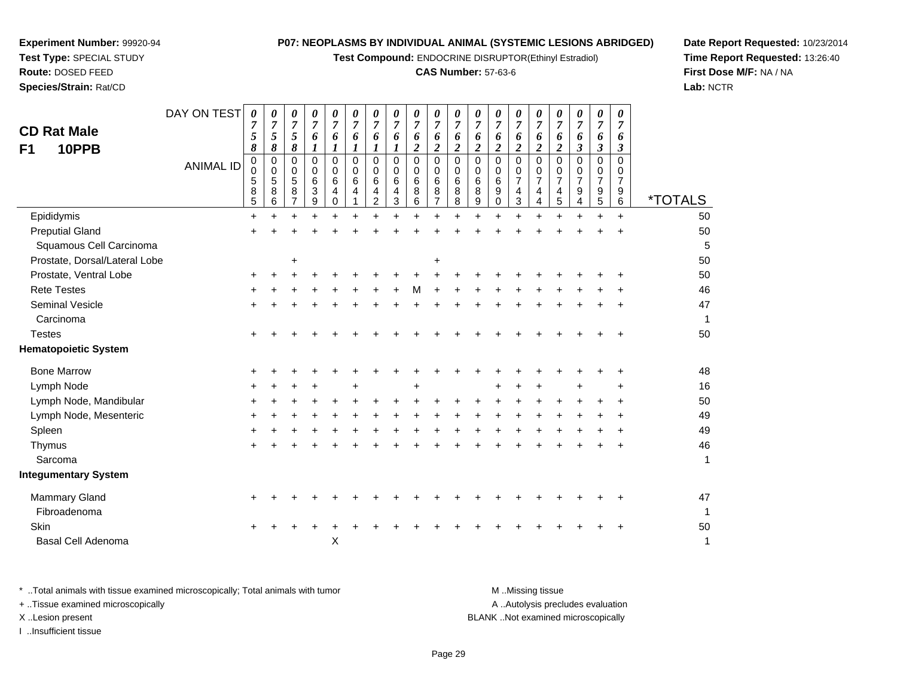**Test Compound:** ENDOCRINE DISRUPTOR(Ethinyl Estradiol)

#### **CAS Number:** 57-63-6

**Date Report Requested:** 10/23/2014**Time Report Requested:** 13:26:40**First Dose M/F:** NA / NA**Lab:** NCTR

| <b>CD Rat Male</b><br>10PPB<br>F1 | DAY ON TEST      | 0<br>5<br>8           | 0<br>$\boldsymbol{7}$<br>$\mathfrak{s}$<br>8 | 0<br>$\overline{7}$<br>5<br>8             | 0<br>$\boldsymbol{7}$<br>6<br>1                                   | 0<br>7<br>6<br>1                          | 0<br>$\boldsymbol{7}$<br>6<br>$\boldsymbol{l}$ | 0<br>$\boldsymbol{7}$<br>6<br>$\boldsymbol{l}$ | 0<br>$\overline{7}$<br>6<br>1                | 0<br>$\boldsymbol{7}$<br>6<br>$\overline{\mathbf{c}}$ | 0<br>$\boldsymbol{7}$<br>6<br>$\boldsymbol{2}$ | 0<br>$\overline{7}$<br>6<br>$\boldsymbol{2}$ | 0<br>$\overline{7}$<br>6<br>$\overline{\mathbf{c}}$ | 0<br>$\overline{7}$<br>6<br>$\boldsymbol{2}$ | 0<br>$\overline{7}$<br>6<br>$\overline{2}$ | 0<br>$\overline{7}$<br>6<br>$\boldsymbol{2}$    | 0<br>$\overline{7}$<br>6<br>$\boldsymbol{2}$ | 0<br>$\overline{7}$<br>6<br>$\boldsymbol{\beta}$          | 0<br>$\overline{7}$<br>6<br>$\boldsymbol{\beta}$ | 0<br>7<br>6<br>3                                          |                       |
|-----------------------------------|------------------|-----------------------|----------------------------------------------|-------------------------------------------|-------------------------------------------------------------------|-------------------------------------------|------------------------------------------------|------------------------------------------------|----------------------------------------------|-------------------------------------------------------|------------------------------------------------|----------------------------------------------|-----------------------------------------------------|----------------------------------------------|--------------------------------------------|-------------------------------------------------|----------------------------------------------|-----------------------------------------------------------|--------------------------------------------------|-----------------------------------------------------------|-----------------------|
|                                   | <b>ANIMAL ID</b> | 0<br>0<br>5<br>8<br>5 | 0<br>0<br>$\sqrt{5}$<br>$\bf 8$<br>6         | $\Omega$<br>0<br>5<br>8<br>$\overline{7}$ | $\mathbf 0$<br>$\mathbf 0$<br>6<br>$\ensuremath{\mathsf{3}}$<br>9 | $\mathbf 0$<br>0<br>6<br>4<br>$\mathbf 0$ | $\mathbf 0$<br>0<br>6<br>Δ                     | $\mathbf 0$<br>0<br>6<br>4<br>$\overline{c}$   | $\mathbf 0$<br>0<br>6<br>$\overline{4}$<br>3 | 0<br>$\mathbf 0$<br>6<br>8<br>6                       | 0<br>0<br>6<br>8<br>$\overline{7}$             | $\mathbf 0$<br>0<br>6<br>8<br>8              | $\mathbf 0$<br>0<br>6<br>8<br>9                     | $\mathbf 0$<br>0<br>6<br>9<br>$\mathbf 0$    | 0<br>0<br>$\overline{7}$<br>4<br>3         | 0<br>0<br>$\overline{7}$<br>$\overline{4}$<br>4 | $\mathbf 0$<br>0<br>$\overline{7}$<br>4<br>5 | $\mathbf 0$<br>0<br>$\overline{7}$<br>9<br>$\overline{4}$ | $\mathbf 0$<br>0<br>$\overline{7}$<br>9<br>5     | $\overline{0}$<br>0<br>$\overline{7}$<br>9<br>$6^{\circ}$ | <i><b>*TOTALS</b></i> |
| Epididymis                        |                  | $\ddot{}$             | $\ddot{}$                                    |                                           | $\ddot{}$                                                         | $\ddot{}$                                 | $\ddot{}$                                      | ÷                                              |                                              | $\ddot{}$                                             | $+$                                            |                                              | ÷                                                   | ÷                                            | $+$                                        | $\div$                                          |                                              | $\ddot{}$                                                 | $\ddot{}$                                        | $+$                                                       | 50                    |
| <b>Preputial Gland</b>            |                  |                       |                                              |                                           |                                                                   |                                           |                                                |                                                |                                              |                                                       |                                                |                                              |                                                     |                                              |                                            |                                                 |                                              |                                                           |                                                  |                                                           | 50                    |
| Squamous Cell Carcinoma           |                  |                       |                                              |                                           |                                                                   |                                           |                                                |                                                |                                              |                                                       |                                                |                                              |                                                     |                                              |                                            |                                                 |                                              |                                                           |                                                  |                                                           | 5                     |
| Prostate, Dorsal/Lateral Lobe     |                  |                       |                                              | +                                         |                                                                   |                                           |                                                |                                                |                                              |                                                       | +                                              |                                              |                                                     |                                              |                                            |                                                 |                                              |                                                           |                                                  |                                                           | 50                    |
| Prostate, Ventral Lobe            |                  | +                     |                                              |                                           |                                                                   |                                           |                                                |                                                |                                              |                                                       |                                                |                                              |                                                     |                                              |                                            |                                                 |                                              |                                                           |                                                  |                                                           | 50                    |
| <b>Rete Testes</b>                |                  |                       |                                              |                                           |                                                                   |                                           |                                                |                                                |                                              |                                                       |                                                |                                              |                                                     |                                              |                                            |                                                 |                                              |                                                           |                                                  |                                                           | 46                    |
| Seminal Vesicle                   |                  | +                     |                                              |                                           |                                                                   |                                           |                                                |                                                |                                              |                                                       |                                                |                                              |                                                     |                                              |                                            |                                                 |                                              |                                                           |                                                  |                                                           | 47                    |
| Carcinoma                         |                  |                       |                                              |                                           |                                                                   |                                           |                                                |                                                |                                              |                                                       |                                                |                                              |                                                     |                                              |                                            |                                                 |                                              |                                                           |                                                  |                                                           | $\mathbf 1$           |
| <b>Testes</b>                     |                  |                       |                                              |                                           |                                                                   |                                           |                                                |                                                |                                              |                                                       |                                                |                                              |                                                     |                                              |                                            |                                                 |                                              |                                                           |                                                  |                                                           | 50                    |
| <b>Hematopoietic System</b>       |                  |                       |                                              |                                           |                                                                   |                                           |                                                |                                                |                                              |                                                       |                                                |                                              |                                                     |                                              |                                            |                                                 |                                              |                                                           |                                                  |                                                           |                       |
| <b>Bone Marrow</b>                |                  |                       |                                              |                                           |                                                                   |                                           |                                                |                                                |                                              |                                                       |                                                |                                              |                                                     |                                              |                                            |                                                 |                                              |                                                           |                                                  |                                                           | 48                    |
| Lymph Node                        |                  |                       |                                              |                                           |                                                                   |                                           |                                                |                                                |                                              |                                                       |                                                |                                              |                                                     |                                              |                                            |                                                 |                                              |                                                           |                                                  |                                                           | 16                    |
| Lymph Node, Mandibular            |                  | +                     |                                              |                                           |                                                                   |                                           |                                                |                                                |                                              |                                                       |                                                |                                              |                                                     |                                              |                                            |                                                 |                                              |                                                           |                                                  |                                                           | 50                    |
| Lymph Node, Mesenteric            |                  |                       |                                              |                                           |                                                                   |                                           |                                                |                                                |                                              |                                                       |                                                |                                              |                                                     |                                              |                                            |                                                 |                                              |                                                           |                                                  |                                                           | 49                    |
| Spleen                            |                  |                       |                                              |                                           |                                                                   |                                           |                                                |                                                |                                              |                                                       |                                                |                                              |                                                     |                                              |                                            |                                                 |                                              |                                                           |                                                  |                                                           | 49                    |
| Thymus                            |                  |                       |                                              |                                           |                                                                   |                                           |                                                |                                                |                                              |                                                       |                                                |                                              |                                                     |                                              |                                            |                                                 |                                              |                                                           |                                                  |                                                           | 46                    |
| Sarcoma                           |                  |                       |                                              |                                           |                                                                   |                                           |                                                |                                                |                                              |                                                       |                                                |                                              |                                                     |                                              |                                            |                                                 |                                              |                                                           |                                                  |                                                           | $\mathbf{1}$          |
| <b>Integumentary System</b>       |                  |                       |                                              |                                           |                                                                   |                                           |                                                |                                                |                                              |                                                       |                                                |                                              |                                                     |                                              |                                            |                                                 |                                              |                                                           |                                                  |                                                           |                       |
| Mammary Gland                     |                  | $\ddot{}$             |                                              |                                           |                                                                   |                                           |                                                |                                                |                                              |                                                       |                                                |                                              |                                                     |                                              |                                            |                                                 |                                              |                                                           |                                                  |                                                           | 47                    |
| Fibroadenoma                      |                  |                       |                                              |                                           |                                                                   |                                           |                                                |                                                |                                              |                                                       |                                                |                                              |                                                     |                                              |                                            |                                                 |                                              |                                                           |                                                  |                                                           | $\mathbf 1$           |
| Skin                              |                  | ÷                     |                                              |                                           |                                                                   |                                           |                                                |                                                |                                              |                                                       |                                                |                                              |                                                     |                                              |                                            |                                                 |                                              |                                                           |                                                  |                                                           | 50                    |
| <b>Basal Cell Adenoma</b>         |                  |                       |                                              |                                           |                                                                   | X                                         |                                                |                                                |                                              |                                                       |                                                |                                              |                                                     |                                              |                                            |                                                 |                                              |                                                           |                                                  |                                                           | 1                     |
|                                   |                  |                       |                                              |                                           |                                                                   |                                           |                                                |                                                |                                              |                                                       |                                                |                                              |                                                     |                                              |                                            |                                                 |                                              |                                                           |                                                  |                                                           |                       |

**Experiment Number:** 99920-94**Test Type:** SPECIAL STUDY**Route:** DOSED FEED**Species/Strain:** Rat/CD

\* ..Total animals with tissue examined microscopically; Total animals with tumor **M** . Missing tissue M ..Missing tissue A ..Autolysis precludes evaluation + ..Tissue examined microscopically X ..Lesion present BLANK ..Not examined microscopicallyI ..Insufficient tissue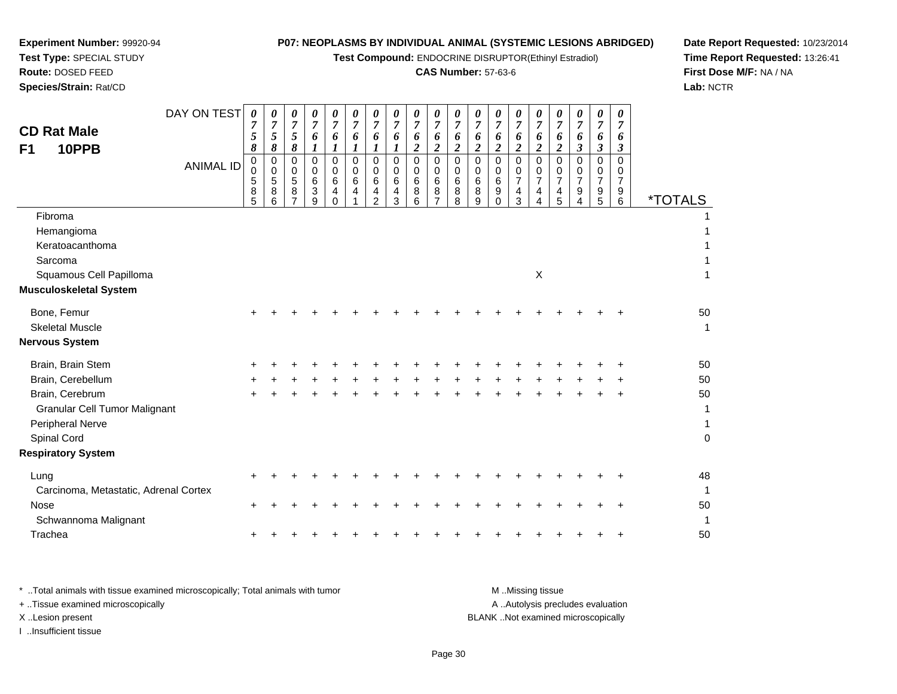**Test Compound:** ENDOCRINE DISRUPTOR(Ethinyl Estradiol)

## **CAS Number:** 57-63-6

**Date Report Requested:** 10/23/2014 **Time Report Requested:** 13:26:41**First Dose M/F:** NA / NA**Lab:** NCTR

| <b>CD Rat Male</b><br>10PPB<br>F <sub>1</sub>                                                                                                                     | DAY ON TEST      | 0<br>7<br>5<br>8      | 0<br>$\boldsymbol{7}$<br>5<br>8 | 0<br>$\overline{7}$<br>5<br>8   | 0<br>$\boldsymbol{7}$<br>6<br>$\boldsymbol{l}$              | 0<br>$\overline{7}$<br>6<br>1              | 0<br>$\overline{7}$<br>6<br>1 | 0<br>$\boldsymbol{7}$<br>6         | 0<br>7<br>6<br>1                | 0<br>$\boldsymbol{7}$<br>6<br>$\overline{2}$        | 0<br>$\overline{7}$<br>6<br>$\overline{c}$             | 0<br>$\overline{7}$<br>6<br>$\boldsymbol{2}$ | 0<br>$\overline{7}$<br>6<br>$\boldsymbol{2}$ | 0<br>7<br>6<br>$\overline{c}$        | 0<br>$\overline{7}$<br>6<br>$\boldsymbol{2}$             | 0<br>$\overline{7}$<br>6<br>$\boldsymbol{2}$ | 0<br>$\overline{7}$<br>6<br>$\boldsymbol{2}$ | 0<br>$\overline{7}$<br>6<br>$\boldsymbol{\beta}$ | 0<br>7<br>6<br>$\mathfrak{z}$ | 0<br>$\overline{7}$<br>6<br>$\boldsymbol{\beta}$ |                                         |
|-------------------------------------------------------------------------------------------------------------------------------------------------------------------|------------------|-----------------------|---------------------------------|---------------------------------|-------------------------------------------------------------|--------------------------------------------|-------------------------------|------------------------------------|---------------------------------|-----------------------------------------------------|--------------------------------------------------------|----------------------------------------------|----------------------------------------------|--------------------------------------|----------------------------------------------------------|----------------------------------------------|----------------------------------------------|--------------------------------------------------|-------------------------------|--------------------------------------------------|-----------------------------------------|
|                                                                                                                                                                   | <b>ANIMAL ID</b> | 0<br>0<br>5<br>8<br>5 | 0<br>0<br>5<br>8<br>6           | 0<br>$\mathbf 0$<br>5<br>8<br>7 | 0<br>$\mathbf 0$<br>$\,6$<br>$\ensuremath{\mathsf{3}}$<br>9 | $\Omega$<br>$\Omega$<br>6<br>4<br>$\Omega$ | 0<br>0<br>6<br>4              | 0<br>0<br>6<br>4<br>$\overline{c}$ | 0<br>$\mathbf 0$<br>6<br>4<br>3 | $\mathbf 0$<br>$\mathbf 0$<br>$\,6$<br>$\,8\,$<br>6 | $\mathbf 0$<br>$\mathbf 0$<br>6<br>8<br>$\overline{7}$ | $\mathbf 0$<br>$\mathbf 0$<br>6<br>8<br>8    | 0<br>0<br>6<br>8<br>9                        | 0<br>0<br>6<br>$\boldsymbol{9}$<br>0 | 0<br>0<br>$\overline{7}$<br>$\overline{\mathbf{4}}$<br>3 | $\mathbf 0$<br>0<br>$\overline{7}$<br>4<br>4 | $\mathbf 0$<br>0<br>$\overline{7}$<br>4<br>5 | 0<br>0<br>7<br>$\boldsymbol{9}$<br>4             | 0<br>0<br>7<br>9<br>5         | $\mathbf 0$<br>$\mathbf 0$<br>7<br>9<br>6        | <i><b>*TOTALS</b></i>                   |
| Fibroma<br>Hemangioma<br>Keratoacanthoma<br>Sarcoma                                                                                                               |                  |                       |                                 |                                 |                                                             |                                            |                               |                                    |                                 |                                                     |                                                        |                                              |                                              |                                      |                                                          |                                              |                                              |                                                  |                               |                                                  |                                         |
| Squamous Cell Papilloma<br><b>Musculoskeletal System</b>                                                                                                          |                  |                       |                                 |                                 |                                                             |                                            |                               |                                    |                                 |                                                     |                                                        |                                              |                                              |                                      |                                                          | $\mathsf X$                                  |                                              |                                                  |                               |                                                  |                                         |
| Bone, Femur<br><b>Skeletal Muscle</b><br><b>Nervous System</b>                                                                                                    |                  |                       |                                 |                                 |                                                             |                                            |                               |                                    |                                 |                                                     |                                                        |                                              |                                              |                                      |                                                          |                                              |                                              |                                                  |                               |                                                  | 50<br>1                                 |
| Brain, Brain Stem<br>Brain, Cerebellum<br>Brain, Cerebrum<br><b>Granular Cell Tumor Malignant</b><br>Peripheral Nerve<br>Spinal Cord<br><b>Respiratory System</b> |                  |                       |                                 |                                 |                                                             |                                            |                               |                                    |                                 |                                                     |                                                        |                                              |                                              |                                      |                                                          |                                              |                                              |                                                  |                               |                                                  | 50<br>50<br>50<br>1<br>1<br>$\mathbf 0$ |
| Lung<br>Carcinoma, Metastatic, Adrenal Cortex<br><b>Nose</b><br>Schwannoma Malignant                                                                              |                  | ÷                     |                                 |                                 |                                                             |                                            |                               |                                    |                                 |                                                     |                                                        |                                              |                                              |                                      |                                                          |                                              |                                              |                                                  |                               |                                                  | 48<br>1<br>50<br>1                      |
| Trachea                                                                                                                                                           |                  |                       |                                 |                                 |                                                             |                                            |                               |                                    |                                 |                                                     |                                                        |                                              |                                              |                                      |                                                          |                                              |                                              |                                                  |                               |                                                  | 50                                      |

**Experiment Number:** 99920-94**Test Type:** SPECIAL STUDY**Route:** DOSED FEED**Species/Strain:** Rat/CD

| Total animals with tissue examined microscopically; Total animals with tumor | M Missing tissue                   |
|------------------------------------------------------------------------------|------------------------------------|
| + Tissue examined microscopically                                            | A Autolysis precludes evaluation   |
| X Lesion present                                                             | BLANK Not examined microscopically |
| Insufficient tissue                                                          |                                    |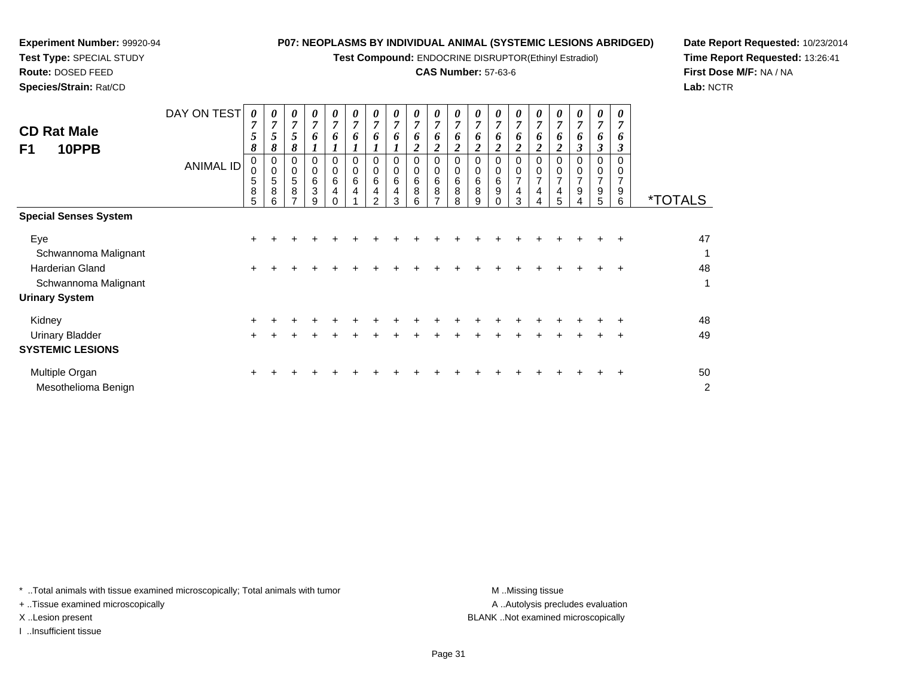**Test Compound:** ENDOCRINE DISRUPTOR(Ethinyl Estradiol)

## **CAS Number:** 57-63-6

**Date Report Requested:** 10/23/2014**Time Report Requested:** 13:26:41**First Dose M/F:** NA / NA**Lab:** NCTR

| <b>CD Rat Male</b><br>F1<br>10PPB                           | DAY ON TEST<br><b>ANIMAL ID</b> | 0<br>7<br>5<br>8<br>0<br>0<br>5<br>8<br>5 | 0<br>$\boldsymbol{7}$<br>$5\overline{)}$<br>8<br>0<br>$\mathbf 0$<br>$\mathbf 5$<br>8<br>6 | 0<br>$\overline{7}$<br>5<br>8<br>0<br>$\mathbf 0$<br>5<br>8<br>⇁ | 0<br>$\overline{7}$<br>6<br>0<br>$\mathbf 0$<br>6<br>3<br>g | 0<br>$\overline{7}$<br>6<br>0<br>$\mathbf 0$<br>6<br>4 | 0<br>$\mathbf{z}$<br>6<br>0<br>$\pmb{0}$<br>6<br>4 | 0<br>$\overline{ }$<br>0<br>0<br>0<br>6<br>4<br>$\mathcal{P}$ | 0<br>$\overline{7}$<br>6<br>0<br>0<br>6<br>4<br>3 | 0<br>7<br>6<br>$\overline{\mathbf{c}}$<br>0<br>0<br>6<br>8<br>6 | 0<br>$\overline{7}$<br>6<br>$\boldsymbol{2}$<br>0<br>$\mathbf 0$<br>6<br>8<br>$\overline{ }$ | 0<br>$\overline{7}$<br>6<br>$\boldsymbol{2}$<br>0<br>$\,0\,$<br>$\,6$<br>8<br>8 | 0<br>6<br>2<br>0<br>0<br>6<br>8<br>9 | 0<br>$\overline{7}$<br>6<br>0<br>0<br>6<br>9<br>$\Omega$ | 0<br>7<br>6<br>$\overline{2}$<br>0<br>$\pmb{0}$<br>$\overline{7}$<br>4<br>3 | 0<br>$\overline{7}$<br>6<br>ን<br>$\Omega$<br>0<br>$\overline{7}$<br>4<br>4 | 0<br>$\overline{7}$<br>6<br>2<br>0<br>$\pmb{0}$<br>$\overline{7}$<br>4<br>5 | 0<br>7<br>6<br>3<br>0<br>0<br>$\overline{7}$<br>9<br>4 | 0<br>7<br>6<br>3<br>0<br>0<br>$\overline{ }$<br>9<br>5 | 7<br>6<br>3<br>0<br>$\overline{7}$<br>9<br>6 | <i><b>*TOTALS</b></i> |
|-------------------------------------------------------------|---------------------------------|-------------------------------------------|--------------------------------------------------------------------------------------------|------------------------------------------------------------------|-------------------------------------------------------------|--------------------------------------------------------|----------------------------------------------------|---------------------------------------------------------------|---------------------------------------------------|-----------------------------------------------------------------|----------------------------------------------------------------------------------------------|---------------------------------------------------------------------------------|--------------------------------------|----------------------------------------------------------|-----------------------------------------------------------------------------|----------------------------------------------------------------------------|-----------------------------------------------------------------------------|--------------------------------------------------------|--------------------------------------------------------|----------------------------------------------|-----------------------|
| <b>Special Senses System</b>                                |                                 |                                           |                                                                                            |                                                                  |                                                             |                                                        |                                                    |                                                               |                                                   |                                                                 |                                                                                              |                                                                                 |                                      |                                                          |                                                                             |                                                                            |                                                                             |                                                        |                                                        |                                              |                       |
| Eye<br>Schwannoma Malignant                                 |                                 | $\pm$                                     |                                                                                            |                                                                  |                                                             |                                                        |                                                    |                                                               |                                                   |                                                                 |                                                                                              |                                                                                 |                                      |                                                          |                                                                             |                                                                            |                                                                             |                                                        |                                                        | ÷                                            | 47<br>1               |
| Harderian Gland<br>Schwannoma Malignant                     |                                 | $\pm$                                     |                                                                                            |                                                                  |                                                             |                                                        |                                                    |                                                               |                                                   |                                                                 |                                                                                              |                                                                                 |                                      |                                                          |                                                                             |                                                                            |                                                                             |                                                        |                                                        | ÷                                            | 48<br>$\mathbf{1}$    |
| <b>Urinary System</b>                                       |                                 |                                           |                                                                                            |                                                                  |                                                             |                                                        |                                                    |                                                               |                                                   |                                                                 |                                                                                              |                                                                                 |                                      |                                                          |                                                                             |                                                                            |                                                                             |                                                        |                                                        |                                              |                       |
| Kidney<br><b>Urinary Bladder</b><br><b>SYSTEMIC LESIONS</b> |                                 | $\pm$<br>$\pm$                            |                                                                                            |                                                                  |                                                             |                                                        |                                                    |                                                               |                                                   |                                                                 |                                                                                              |                                                                                 |                                      |                                                          |                                                                             |                                                                            |                                                                             | ÷                                                      | $\pm$                                                  | $\pm$                                        | 48<br>49              |
| Multiple Organ                                              |                                 | ÷                                         |                                                                                            |                                                                  |                                                             |                                                        |                                                    |                                                               |                                                   |                                                                 |                                                                                              |                                                                                 |                                      |                                                          |                                                                             |                                                                            |                                                                             |                                                        |                                                        |                                              | 50                    |
|                                                             |                                 |                                           |                                                                                            |                                                                  |                                                             |                                                        |                                                    |                                                               |                                                   |                                                                 |                                                                                              |                                                                                 |                                      |                                                          |                                                                             |                                                                            |                                                                             |                                                        |                                                        |                                              |                       |

Mesothelioma Benignn  $\sim$  2

**Experiment Number:** 99920-94**Test Type:** SPECIAL STUDY**Route:** DOSED FEED**Species/Strain:** Rat/CD

\* ..Total animals with tissue examined microscopically; Total animals with tumor **M** . Missing tissue M ..Missing tissue

+ ..Tissue examined microscopically

I ..Insufficient tissue

A ..Autolysis precludes evaluation X ..Lesion present BLANK ..Not examined microscopically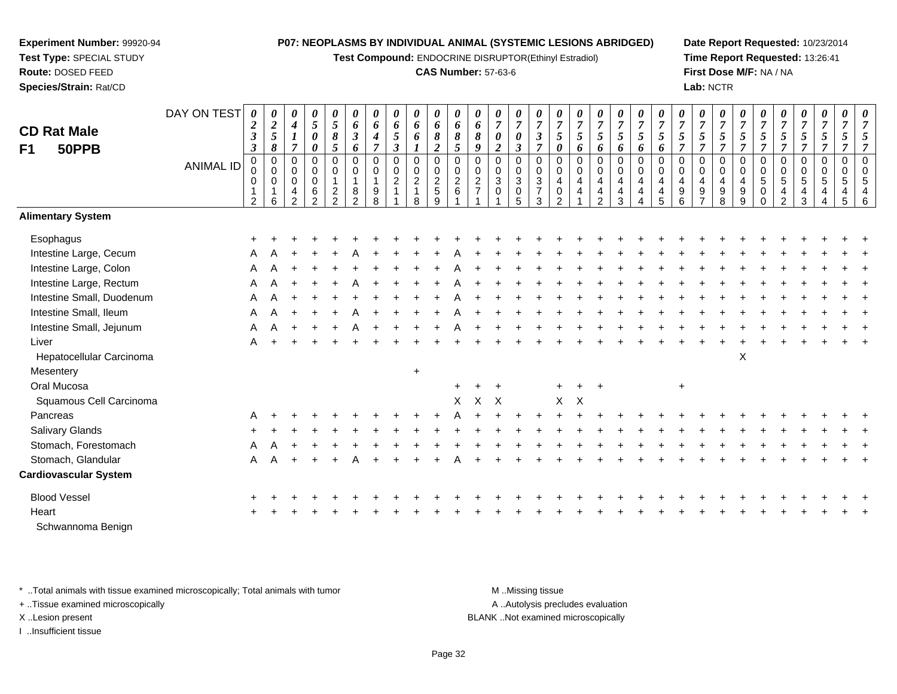**Test Compound:** ENDOCRINE DISRUPTOR(Ethinyl Estradiol)

#### **CAS Number:** 57-63-6

**Date Report Requested:** 10/23/2014**Time Report Requested:** 13:26:41**First Dose M/F:** NA / NA**Lab:** NCTR

| <b>CD Rat Male</b><br>50PPB<br>F1 | DAY ON TEST<br><b>ANIMAL ID</b> | 0<br>$\boldsymbol{2}$<br>3<br>$\boldsymbol{\beta}$<br>$\pmb{0}$<br>0<br>0<br>$\overline{2}$ | 0<br>$\boldsymbol{2}$<br>5<br>8<br>$\pmb{0}$<br>$\Omega$<br>0<br>6 | 0<br>$\boldsymbol{4}$<br>$\boldsymbol{l}$<br>$\overline{7}$<br>0<br>$\mathbf 0$<br>$\mathbf 0$<br>4<br>$\overline{2}$ | $\boldsymbol{\theta}$<br>$\mathfrak{s}$<br>$\pmb{\theta}$<br>$\pmb{\theta}$<br>$\pmb{0}$<br>$\mathbf 0$<br>$\mathsf 0$<br>$\,6$<br>$\overline{2}$ | $\boldsymbol{\theta}$<br>5<br>$\pmb{8}$<br>5<br>$\mathbf 0$<br>$\mathbf 0$<br>$\mathbf{1}$<br>$\overline{c}$<br>$\overline{2}$ | 0<br>6<br>$\boldsymbol{\beta}$<br>6<br>$\pmb{0}$<br>0<br>$\mathbf{1}$<br>8<br>$\mathcal{P}$ | 0<br>6<br>$\boldsymbol{4}$<br>$\overline{7}$<br>$\mathbf 0$<br>$\mathbf 0$<br>$\mathbf{1}$<br>9<br>8 | $\pmb{\theta}$<br>6<br>5<br>$\boldsymbol{\beta}$<br>$\pmb{0}$<br>$\pmb{0}$<br>$\overline{c}$ | $\pmb{\theta}$<br>6<br>6<br>$\pmb{0}$<br>$\pmb{0}$<br>$\sqrt{2}$<br>$\mathbf 1$<br>8 | $\pmb{\theta}$<br>6<br>$\pmb{8}$<br>$\overline{c}$<br>$\mathbf 0$<br>$\mathbf 0$<br>$\overline{c}$<br>$\,$ 5 $\,$<br>$\boldsymbol{9}$ | 0<br>6<br>8<br>$\mathfrak{s}$<br>$\mathbf 0$<br>$\mathbf 0$<br>$\overline{2}$<br>$\,6\,$ | $\boldsymbol{\theta}$<br>6<br>8<br>9<br>0<br>$\mathbf 0$<br>$\overline{c}$<br>$\overline{7}$ | 0<br>$\boldsymbol{7}$<br>$\boldsymbol{\theta}$<br>$\overline{c}$<br>0<br>0<br>$\mathbf{3}$<br>0 | 0<br>$\overline{7}$<br>$\pmb{\theta}$<br>$\boldsymbol{\beta}$<br>$\mathbf 0$<br>$\mathbf 0$<br>$\sqrt{3}$<br>$\mathbf 0$<br>5 | 0<br>$\overline{7}$<br>$\mathfrak{z}$<br>$\overline{7}$<br>$\mathbf 0$<br>$\mathbf 0$<br>3<br>$\overline{7}$<br>3 | 0<br>$\overline{7}$<br>5<br>$\boldsymbol{\theta}$<br>$\pmb{0}$<br>$\mathbf 0$<br>4<br>0<br>$\Omega$ | $\boldsymbol{\theta}$<br>$\boldsymbol{7}$<br>$\mathfrak{s}$<br>6<br>0<br>$\,0\,$<br>$\overline{4}$<br>4 | 0<br>$\boldsymbol{7}$<br>5<br>6<br>$\mathbf 0$<br>$\mathbf 0$<br>$\overline{4}$<br>$\overline{\mathbf{4}}$<br>$\mathfrak{p}$ | 0<br>$\boldsymbol{7}$<br>5<br>6<br>$\boldsymbol{0}$<br>0<br>4<br>4<br>3 | 0<br>$\boldsymbol{7}$<br>$\mathfrak{s}$<br>6<br>$\pmb{0}$<br>$\mathbf 0$<br>$\overline{4}$<br>$\overline{\mathbf{4}}$ | 0<br>$\overline{7}$<br>$\mathfrak{S}$<br>6<br>$\mathbf 0$<br>$\mathbf 0$<br>$\overline{4}$<br>4<br>5 | $\boldsymbol{\theta}$<br>$\overline{7}$<br>5<br>$\overline{7}$<br>0<br>0<br>4<br>$\boldsymbol{9}$<br>6 | $\pmb{\theta}$<br>$\overline{7}$<br>5<br>$\overline{7}$<br>$\pmb{0}$<br>$\mathbf 0$<br>$\overline{4}$<br>$\boldsymbol{9}$<br>$\overline{7}$ | 0<br>$\overline{7}$<br>$\mathfrak{z}$<br>$\overline{7}$<br>0<br>0<br>4<br>9<br>8 | 0<br>$\overline{7}$<br>5<br>$\overline{7}$<br>$\pmb{0}$<br>$\mathbf 0$<br>4<br>9<br>9 | 0<br>$\overline{7}$<br>5<br>$\overline{7}$<br>0<br>0<br>5<br>$\pmb{0}$<br>$\Omega$ | 0<br>$\boldsymbol{7}$<br>5<br>$\overline{7}$<br>$\mathbf 0$<br>$\boldsymbol{0}$<br>$\overline{5}$<br>4<br>$\overline{2}$ | $\boldsymbol{\theta}$<br>$\overline{7}$<br>5<br>$\overline{7}$<br>$\pmb{0}$<br>$\pmb{0}$<br>$\overline{5}$<br>4<br>3 | 0<br>$\overline{7}$<br>5<br>$\overline{7}$<br>$\mathbf 0$<br>$\mathbf 0$<br>5<br>$\overline{4}$<br>$\overline{4}$ | $\overline{7}$<br>5<br>7<br>$\mathbf 0$<br>$\Omega$<br>5<br>4<br>5 | 0<br>$\overline{7}$<br>5<br>$\overline{7}$<br>$\mathbf 0$<br>$\mathbf 0$<br>5<br>4<br>6 |
|-----------------------------------|---------------------------------|---------------------------------------------------------------------------------------------|--------------------------------------------------------------------|-----------------------------------------------------------------------------------------------------------------------|---------------------------------------------------------------------------------------------------------------------------------------------------|--------------------------------------------------------------------------------------------------------------------------------|---------------------------------------------------------------------------------------------|------------------------------------------------------------------------------------------------------|----------------------------------------------------------------------------------------------|--------------------------------------------------------------------------------------|---------------------------------------------------------------------------------------------------------------------------------------|------------------------------------------------------------------------------------------|----------------------------------------------------------------------------------------------|-------------------------------------------------------------------------------------------------|-------------------------------------------------------------------------------------------------------------------------------|-------------------------------------------------------------------------------------------------------------------|-----------------------------------------------------------------------------------------------------|---------------------------------------------------------------------------------------------------------|------------------------------------------------------------------------------------------------------------------------------|-------------------------------------------------------------------------|-----------------------------------------------------------------------------------------------------------------------|------------------------------------------------------------------------------------------------------|--------------------------------------------------------------------------------------------------------|---------------------------------------------------------------------------------------------------------------------------------------------|----------------------------------------------------------------------------------|---------------------------------------------------------------------------------------|------------------------------------------------------------------------------------|--------------------------------------------------------------------------------------------------------------------------|----------------------------------------------------------------------------------------------------------------------|-------------------------------------------------------------------------------------------------------------------|--------------------------------------------------------------------|-----------------------------------------------------------------------------------------|
| <b>Alimentary System</b>          |                                 |                                                                                             |                                                                    |                                                                                                                       |                                                                                                                                                   |                                                                                                                                |                                                                                             |                                                                                                      |                                                                                              |                                                                                      |                                                                                                                                       |                                                                                          |                                                                                              |                                                                                                 |                                                                                                                               |                                                                                                                   |                                                                                                     |                                                                                                         |                                                                                                                              |                                                                         |                                                                                                                       |                                                                                                      |                                                                                                        |                                                                                                                                             |                                                                                  |                                                                                       |                                                                                    |                                                                                                                          |                                                                                                                      |                                                                                                                   |                                                                    |                                                                                         |
| Esophagus                         |                                 |                                                                                             |                                                                    |                                                                                                                       |                                                                                                                                                   |                                                                                                                                |                                                                                             |                                                                                                      |                                                                                              |                                                                                      |                                                                                                                                       |                                                                                          |                                                                                              |                                                                                                 |                                                                                                                               |                                                                                                                   |                                                                                                     |                                                                                                         |                                                                                                                              |                                                                         |                                                                                                                       |                                                                                                      |                                                                                                        |                                                                                                                                             |                                                                                  |                                                                                       |                                                                                    |                                                                                                                          |                                                                                                                      |                                                                                                                   |                                                                    |                                                                                         |
| Intestine Large, Cecum            |                                 |                                                                                             |                                                                    |                                                                                                                       |                                                                                                                                                   |                                                                                                                                |                                                                                             |                                                                                                      |                                                                                              |                                                                                      |                                                                                                                                       |                                                                                          |                                                                                              |                                                                                                 |                                                                                                                               |                                                                                                                   |                                                                                                     |                                                                                                         |                                                                                                                              |                                                                         |                                                                                                                       |                                                                                                      |                                                                                                        |                                                                                                                                             |                                                                                  |                                                                                       |                                                                                    |                                                                                                                          |                                                                                                                      |                                                                                                                   |                                                                    |                                                                                         |
| Intestine Large, Colon            |                                 | A                                                                                           |                                                                    |                                                                                                                       |                                                                                                                                                   |                                                                                                                                |                                                                                             |                                                                                                      |                                                                                              |                                                                                      |                                                                                                                                       |                                                                                          |                                                                                              |                                                                                                 |                                                                                                                               |                                                                                                                   |                                                                                                     |                                                                                                         |                                                                                                                              |                                                                         |                                                                                                                       |                                                                                                      |                                                                                                        |                                                                                                                                             |                                                                                  |                                                                                       |                                                                                    |                                                                                                                          |                                                                                                                      |                                                                                                                   |                                                                    |                                                                                         |
| Intestine Large, Rectum           |                                 | Α                                                                                           |                                                                    |                                                                                                                       |                                                                                                                                                   |                                                                                                                                |                                                                                             |                                                                                                      |                                                                                              |                                                                                      |                                                                                                                                       |                                                                                          |                                                                                              |                                                                                                 |                                                                                                                               |                                                                                                                   |                                                                                                     |                                                                                                         |                                                                                                                              |                                                                         |                                                                                                                       |                                                                                                      |                                                                                                        |                                                                                                                                             |                                                                                  |                                                                                       |                                                                                    |                                                                                                                          |                                                                                                                      |                                                                                                                   |                                                                    |                                                                                         |
| Intestine Small, Duodenum         |                                 | Α                                                                                           |                                                                    |                                                                                                                       |                                                                                                                                                   |                                                                                                                                |                                                                                             |                                                                                                      |                                                                                              |                                                                                      |                                                                                                                                       |                                                                                          |                                                                                              |                                                                                                 |                                                                                                                               |                                                                                                                   |                                                                                                     |                                                                                                         |                                                                                                                              |                                                                         |                                                                                                                       |                                                                                                      |                                                                                                        |                                                                                                                                             |                                                                                  |                                                                                       |                                                                                    |                                                                                                                          |                                                                                                                      |                                                                                                                   |                                                                    |                                                                                         |
| Intestine Small, Ileum            |                                 | А                                                                                           |                                                                    |                                                                                                                       |                                                                                                                                                   |                                                                                                                                |                                                                                             |                                                                                                      |                                                                                              |                                                                                      |                                                                                                                                       |                                                                                          |                                                                                              |                                                                                                 |                                                                                                                               |                                                                                                                   |                                                                                                     |                                                                                                         |                                                                                                                              |                                                                         |                                                                                                                       |                                                                                                      |                                                                                                        |                                                                                                                                             |                                                                                  |                                                                                       |                                                                                    |                                                                                                                          |                                                                                                                      |                                                                                                                   |                                                                    |                                                                                         |
| Intestine Small, Jejunum          |                                 | Α                                                                                           |                                                                    |                                                                                                                       |                                                                                                                                                   |                                                                                                                                |                                                                                             |                                                                                                      |                                                                                              |                                                                                      |                                                                                                                                       |                                                                                          |                                                                                              |                                                                                                 |                                                                                                                               |                                                                                                                   |                                                                                                     |                                                                                                         |                                                                                                                              |                                                                         |                                                                                                                       |                                                                                                      |                                                                                                        |                                                                                                                                             |                                                                                  |                                                                                       |                                                                                    |                                                                                                                          |                                                                                                                      |                                                                                                                   |                                                                    |                                                                                         |
| Liver                             |                                 | Α                                                                                           |                                                                    |                                                                                                                       |                                                                                                                                                   |                                                                                                                                |                                                                                             |                                                                                                      |                                                                                              |                                                                                      |                                                                                                                                       |                                                                                          |                                                                                              |                                                                                                 |                                                                                                                               |                                                                                                                   |                                                                                                     |                                                                                                         |                                                                                                                              |                                                                         |                                                                                                                       |                                                                                                      |                                                                                                        |                                                                                                                                             |                                                                                  |                                                                                       |                                                                                    |                                                                                                                          |                                                                                                                      |                                                                                                                   |                                                                    |                                                                                         |
| Hepatocellular Carcinoma          |                                 |                                                                                             |                                                                    |                                                                                                                       |                                                                                                                                                   |                                                                                                                                |                                                                                             |                                                                                                      |                                                                                              |                                                                                      |                                                                                                                                       |                                                                                          |                                                                                              |                                                                                                 |                                                                                                                               |                                                                                                                   |                                                                                                     |                                                                                                         |                                                                                                                              |                                                                         |                                                                                                                       |                                                                                                      |                                                                                                        |                                                                                                                                             |                                                                                  | X                                                                                     |                                                                                    |                                                                                                                          |                                                                                                                      |                                                                                                                   |                                                                    |                                                                                         |
| Mesentery                         |                                 |                                                                                             |                                                                    |                                                                                                                       |                                                                                                                                                   |                                                                                                                                |                                                                                             |                                                                                                      |                                                                                              | $\ddot{}$                                                                            |                                                                                                                                       |                                                                                          |                                                                                              |                                                                                                 |                                                                                                                               |                                                                                                                   |                                                                                                     |                                                                                                         |                                                                                                                              |                                                                         |                                                                                                                       |                                                                                                      |                                                                                                        |                                                                                                                                             |                                                                                  |                                                                                       |                                                                                    |                                                                                                                          |                                                                                                                      |                                                                                                                   |                                                                    |                                                                                         |
| Oral Mucosa                       |                                 |                                                                                             |                                                                    |                                                                                                                       |                                                                                                                                                   |                                                                                                                                |                                                                                             |                                                                                                      |                                                                                              |                                                                                      |                                                                                                                                       |                                                                                          |                                                                                              |                                                                                                 |                                                                                                                               |                                                                                                                   |                                                                                                     |                                                                                                         | $+$                                                                                                                          |                                                                         |                                                                                                                       |                                                                                                      | $+$                                                                                                    |                                                                                                                                             |                                                                                  |                                                                                       |                                                                                    |                                                                                                                          |                                                                                                                      |                                                                                                                   |                                                                    |                                                                                         |
| Squamous Cell Carcinoma           |                                 |                                                                                             |                                                                    |                                                                                                                       |                                                                                                                                                   |                                                                                                                                |                                                                                             |                                                                                                      |                                                                                              |                                                                                      |                                                                                                                                       | $\mathsf{X}$                                                                             | X                                                                                            | $\mathsf{X}$                                                                                    |                                                                                                                               |                                                                                                                   | $\mathsf{X}$                                                                                        | $\times$                                                                                                |                                                                                                                              |                                                                         |                                                                                                                       |                                                                                                      |                                                                                                        |                                                                                                                                             |                                                                                  |                                                                                       |                                                                                    |                                                                                                                          |                                                                                                                      |                                                                                                                   |                                                                    |                                                                                         |
| Pancreas                          |                                 |                                                                                             |                                                                    |                                                                                                                       |                                                                                                                                                   |                                                                                                                                |                                                                                             |                                                                                                      |                                                                                              |                                                                                      |                                                                                                                                       |                                                                                          |                                                                                              |                                                                                                 |                                                                                                                               |                                                                                                                   |                                                                                                     |                                                                                                         |                                                                                                                              |                                                                         |                                                                                                                       |                                                                                                      |                                                                                                        |                                                                                                                                             |                                                                                  |                                                                                       |                                                                                    |                                                                                                                          |                                                                                                                      |                                                                                                                   |                                                                    |                                                                                         |
| Salivary Glands                   |                                 |                                                                                             |                                                                    |                                                                                                                       |                                                                                                                                                   |                                                                                                                                |                                                                                             |                                                                                                      |                                                                                              |                                                                                      |                                                                                                                                       |                                                                                          |                                                                                              |                                                                                                 |                                                                                                                               |                                                                                                                   |                                                                                                     |                                                                                                         |                                                                                                                              |                                                                         |                                                                                                                       |                                                                                                      |                                                                                                        |                                                                                                                                             |                                                                                  |                                                                                       |                                                                                    |                                                                                                                          |                                                                                                                      |                                                                                                                   |                                                                    |                                                                                         |
| Stomach, Forestomach              |                                 | Α                                                                                           |                                                                    |                                                                                                                       |                                                                                                                                                   |                                                                                                                                |                                                                                             |                                                                                                      |                                                                                              |                                                                                      |                                                                                                                                       |                                                                                          |                                                                                              |                                                                                                 |                                                                                                                               |                                                                                                                   |                                                                                                     |                                                                                                         |                                                                                                                              |                                                                         |                                                                                                                       |                                                                                                      |                                                                                                        |                                                                                                                                             |                                                                                  |                                                                                       |                                                                                    |                                                                                                                          |                                                                                                                      |                                                                                                                   |                                                                    |                                                                                         |
| Stomach, Glandular                |                                 | Α                                                                                           | А                                                                  |                                                                                                                       |                                                                                                                                                   |                                                                                                                                |                                                                                             |                                                                                                      |                                                                                              |                                                                                      |                                                                                                                                       |                                                                                          |                                                                                              |                                                                                                 |                                                                                                                               |                                                                                                                   |                                                                                                     |                                                                                                         |                                                                                                                              |                                                                         |                                                                                                                       |                                                                                                      |                                                                                                        |                                                                                                                                             |                                                                                  |                                                                                       |                                                                                    |                                                                                                                          |                                                                                                                      |                                                                                                                   |                                                                    |                                                                                         |
| <b>Cardiovascular System</b>      |                                 |                                                                                             |                                                                    |                                                                                                                       |                                                                                                                                                   |                                                                                                                                |                                                                                             |                                                                                                      |                                                                                              |                                                                                      |                                                                                                                                       |                                                                                          |                                                                                              |                                                                                                 |                                                                                                                               |                                                                                                                   |                                                                                                     |                                                                                                         |                                                                                                                              |                                                                         |                                                                                                                       |                                                                                                      |                                                                                                        |                                                                                                                                             |                                                                                  |                                                                                       |                                                                                    |                                                                                                                          |                                                                                                                      |                                                                                                                   |                                                                    |                                                                                         |
| <b>Blood Vessel</b>               |                                 |                                                                                             |                                                                    |                                                                                                                       |                                                                                                                                                   |                                                                                                                                |                                                                                             |                                                                                                      |                                                                                              |                                                                                      |                                                                                                                                       |                                                                                          |                                                                                              |                                                                                                 |                                                                                                                               |                                                                                                                   |                                                                                                     |                                                                                                         |                                                                                                                              |                                                                         |                                                                                                                       |                                                                                                      |                                                                                                        |                                                                                                                                             |                                                                                  |                                                                                       |                                                                                    |                                                                                                                          |                                                                                                                      |                                                                                                                   |                                                                    |                                                                                         |
| Heart                             |                                 |                                                                                             |                                                                    |                                                                                                                       |                                                                                                                                                   |                                                                                                                                |                                                                                             |                                                                                                      |                                                                                              |                                                                                      |                                                                                                                                       |                                                                                          |                                                                                              |                                                                                                 |                                                                                                                               |                                                                                                                   |                                                                                                     |                                                                                                         |                                                                                                                              |                                                                         |                                                                                                                       |                                                                                                      |                                                                                                        |                                                                                                                                             |                                                                                  |                                                                                       |                                                                                    |                                                                                                                          |                                                                                                                      |                                                                                                                   |                                                                    |                                                                                         |
| Schwannoma Benign                 |                                 |                                                                                             |                                                                    |                                                                                                                       |                                                                                                                                                   |                                                                                                                                |                                                                                             |                                                                                                      |                                                                                              |                                                                                      |                                                                                                                                       |                                                                                          |                                                                                              |                                                                                                 |                                                                                                                               |                                                                                                                   |                                                                                                     |                                                                                                         |                                                                                                                              |                                                                         |                                                                                                                       |                                                                                                      |                                                                                                        |                                                                                                                                             |                                                                                  |                                                                                       |                                                                                    |                                                                                                                          |                                                                                                                      |                                                                                                                   |                                                                    |                                                                                         |

\* ..Total animals with tissue examined microscopically; Total animals with tumor **M** . Missing tissue M ..Missing tissue

+ ..Tissue examined microscopically

**Experiment Number:** 99920-94**Test Type:** SPECIAL STUDY**Route:** DOSED FEED**Species/Strain:** Rat/CD

I ..Insufficient tissue

A ..Autolysis precludes evaluation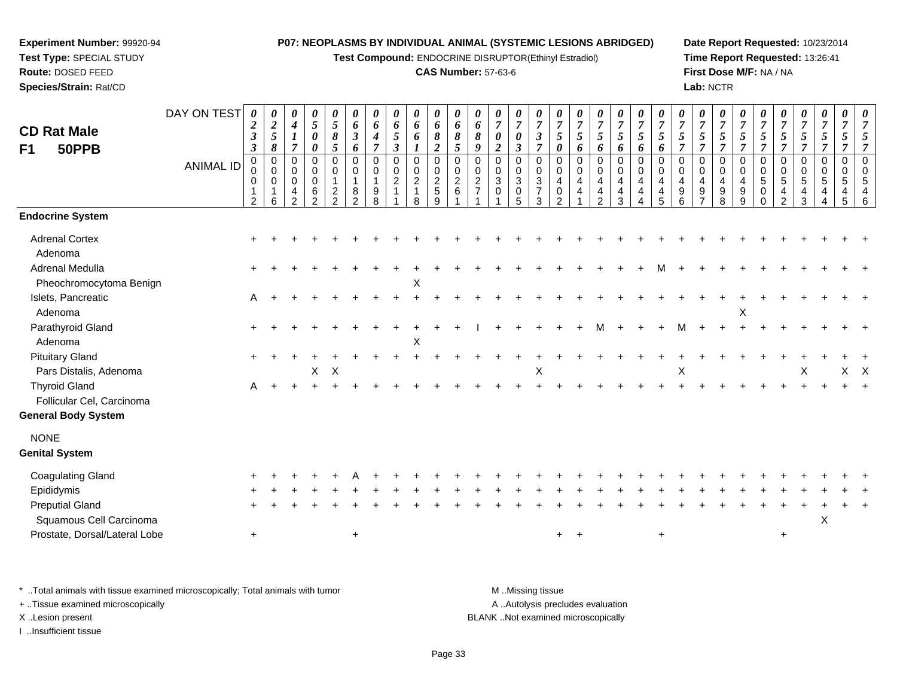**Test Compound:** ENDOCRINE DISRUPTOR(Ethinyl Estradiol)

#### **CAS Number:** 57-63-6

**Date Report Requested:** 10/23/2014**Time Report Requested:** 13:26:41**First Dose M/F:** NA / NA**Lab:** NCTR

| <b>CD Rat Male</b><br>50PPB<br>F <sub>1</sub>                   | DAY ON TEST<br><b>ANIMAL ID</b> | 0<br>$\boldsymbol{2}$<br>$\boldsymbol{\beta}$<br>$\mathbf{3}$<br>0<br>0<br>0<br>$\overline{2}$ | 0<br>$\frac{2}{5}$<br>8<br>0<br>$\mathbf 0$<br>0<br>-1<br>6 | 0<br>$\boldsymbol{4}$<br>$\boldsymbol{l}$<br>$\overline{7}$<br>0<br>$\mathbf 0$<br>$\mathbf 0$<br>4<br>2 | 0<br>$5\overline{)}$<br>0<br>0<br>0<br>0<br>$\mathbf 0$<br>6<br>$\overline{2}$ | $\pmb{\theta}$<br>$\mathfrak{s}$<br>8<br>5<br>$\mathbf 0$<br>$\mathbf 0$<br>$\mathbf{1}$<br>$\overline{c}$<br>$\overline{2}$ | 0<br>6<br>$\boldsymbol{\beta}$<br>6<br>$\mathbf 0$<br>0<br>$\mathbf{1}$<br>8<br>2 | 0<br>6<br>4<br>$\overline{7}$<br>$\mathbf 0$<br>$\Omega$<br>1<br>9<br>8 | 0<br>6<br>5<br>$\boldsymbol{\beta}$<br>$\mathbf 0$<br>0<br>$\overline{c}$ | 0<br>6<br>6<br>$\mathsf 0$<br>$\mathsf 0$<br>$\overline{c}$<br>$\mathbf{1}$<br>8 | 0<br>6<br>8<br>$\boldsymbol{2}$<br>$\pmb{0}$<br>$\pmb{0}$<br>$\boldsymbol{2}$<br>$\sqrt{5}$<br>9 | $\boldsymbol{\theta}$<br>6<br>8<br>5<br>$\mathbf 0$<br>$\pmb{0}$<br>$\sqrt{2}$<br>6 | 0<br>6<br>8<br>9<br>0<br>$\mathbf 0$<br>$\overline{c}$<br>$\overline{7}$ | 0<br>$\overline{7}$<br>$\boldsymbol{\theta}$<br>$\overline{2}$<br>$\mathbf 0$<br>0<br>3<br>$\mathbf 0$ | 0<br>$\overline{7}$<br>0<br>$\mathfrak{z}$<br>0<br>$\mathbf 0$<br>$\sqrt{3}$<br>$\pmb{0}$<br>5 | 0<br>$\overline{7}$<br>$\boldsymbol{\beta}$<br>$\overline{7}$<br>$\mathbf 0$<br>$\mathbf 0$<br>$\mathbf{3}$<br>$\overline{7}$<br>3 | 0<br>$\overline{7}$<br>5<br>0<br>$\mathbf 0$<br>$\Omega$<br>4<br>$\mathbf 0$<br>$\overline{2}$ | 0<br>$\overline{7}$<br>5<br>6<br>0<br>$\mathbf 0$<br>$\overline{4}$<br>4 | 0<br>$\overline{7}$<br>5<br>6<br>0<br>$\mathbf 0$<br>4<br>4<br>$\overline{a}$ | 0<br>$\overline{7}$<br>$\mathfrak{s}$<br>6<br>$\mathbf 0$<br>$\boldsymbol{0}$<br>4<br>$\overline{\mathbf{4}}$<br>3 | 0<br>$\overline{7}$<br>5<br>6<br>$\Omega$<br>$\mathbf 0$<br>4<br>4<br>4 | 0<br>$\overline{7}$<br>5<br>6<br>$\mathbf 0$<br>$\Omega$<br>4<br>$\overline{4}$<br>5 | 0<br>$\overline{7}$<br>5<br>$\overline{7}$<br>$\Omega$<br>$\mathbf 0$<br>4<br>9<br>6 | 0<br>$\overline{7}$<br>5<br>$\overline{7}$<br>$\mathbf 0$<br>0<br>$\overline{4}$<br>$9\,$ | 0<br>$\overline{7}$<br>5<br>$\overline{7}$<br>0<br>0<br>$\overline{4}$<br>$\boldsymbol{9}$<br>8 | 0<br>$\overline{7}$<br>5<br>$\overline{7}$<br>$\mathbf 0$<br>0<br>4<br>9<br>9 | 0<br>$\boldsymbol{7}$<br>5<br>7<br>0<br>$\mathbf 0$<br>5<br>$\mathbf 0$<br>$\Omega$ | 0<br>$\overline{7}$<br>5<br>$\overline{7}$<br>0<br>$\mathbf 0$<br>$5\phantom{.0}$<br>4<br>$\overline{2}$ | 0<br>$\overline{7}$<br>$\mathfrak{s}$<br>$\overline{7}$<br>0<br>$\mathbf 0$<br>$\sqrt{5}$<br>4<br>3 | 0<br>$\overline{7}$<br>$\mathfrak{s}$<br>$\overline{7}$<br>0<br>$\mathbf 0$<br>5<br>4<br>$\overline{4}$ | 0<br>$\overline{7}$<br>5<br>$\overline{7}$<br>0<br>$\Omega$<br>5<br>4<br>5 | 5<br>$\overline{7}$<br>$\Omega$<br>$\Omega$<br>5<br>$\overline{4}$<br>6 |
|-----------------------------------------------------------------|---------------------------------|------------------------------------------------------------------------------------------------|-------------------------------------------------------------|----------------------------------------------------------------------------------------------------------|--------------------------------------------------------------------------------|------------------------------------------------------------------------------------------------------------------------------|-----------------------------------------------------------------------------------|-------------------------------------------------------------------------|---------------------------------------------------------------------------|----------------------------------------------------------------------------------|--------------------------------------------------------------------------------------------------|-------------------------------------------------------------------------------------|--------------------------------------------------------------------------|--------------------------------------------------------------------------------------------------------|------------------------------------------------------------------------------------------------|------------------------------------------------------------------------------------------------------------------------------------|------------------------------------------------------------------------------------------------|--------------------------------------------------------------------------|-------------------------------------------------------------------------------|--------------------------------------------------------------------------------------------------------------------|-------------------------------------------------------------------------|--------------------------------------------------------------------------------------|--------------------------------------------------------------------------------------|-------------------------------------------------------------------------------------------|-------------------------------------------------------------------------------------------------|-------------------------------------------------------------------------------|-------------------------------------------------------------------------------------|----------------------------------------------------------------------------------------------------------|-----------------------------------------------------------------------------------------------------|---------------------------------------------------------------------------------------------------------|----------------------------------------------------------------------------|-------------------------------------------------------------------------|
| <b>Endocrine System</b>                                         |                                 |                                                                                                |                                                             |                                                                                                          |                                                                                |                                                                                                                              |                                                                                   |                                                                         |                                                                           |                                                                                  |                                                                                                  |                                                                                     |                                                                          |                                                                                                        |                                                                                                |                                                                                                                                    |                                                                                                |                                                                          |                                                                               |                                                                                                                    |                                                                         |                                                                                      |                                                                                      |                                                                                           |                                                                                                 |                                                                               |                                                                                     |                                                                                                          |                                                                                                     |                                                                                                         |                                                                            |                                                                         |
| <b>Adrenal Cortex</b><br>Adenoma                                |                                 |                                                                                                |                                                             |                                                                                                          |                                                                                |                                                                                                                              |                                                                                   |                                                                         |                                                                           |                                                                                  |                                                                                                  |                                                                                     |                                                                          |                                                                                                        |                                                                                                |                                                                                                                                    |                                                                                                |                                                                          |                                                                               |                                                                                                                    |                                                                         |                                                                                      |                                                                                      |                                                                                           |                                                                                                 |                                                                               |                                                                                     |                                                                                                          |                                                                                                     |                                                                                                         |                                                                            |                                                                         |
| Adrenal Medulla<br>Pheochromocytoma Benign                      |                                 |                                                                                                |                                                             |                                                                                                          |                                                                                |                                                                                                                              |                                                                                   |                                                                         |                                                                           | X                                                                                |                                                                                                  |                                                                                     |                                                                          |                                                                                                        |                                                                                                |                                                                                                                                    |                                                                                                |                                                                          |                                                                               |                                                                                                                    |                                                                         |                                                                                      |                                                                                      |                                                                                           |                                                                                                 |                                                                               |                                                                                     |                                                                                                          |                                                                                                     |                                                                                                         |                                                                            |                                                                         |
| Islets, Pancreatic<br>Adenoma                                   |                                 | A                                                                                              |                                                             |                                                                                                          |                                                                                |                                                                                                                              |                                                                                   |                                                                         |                                                                           |                                                                                  |                                                                                                  |                                                                                     |                                                                          |                                                                                                        |                                                                                                |                                                                                                                                    |                                                                                                |                                                                          |                                                                               |                                                                                                                    |                                                                         |                                                                                      |                                                                                      |                                                                                           |                                                                                                 | X                                                                             |                                                                                     |                                                                                                          |                                                                                                     |                                                                                                         |                                                                            |                                                                         |
| Parathyroid Gland<br>Adenoma                                    |                                 |                                                                                                |                                                             |                                                                                                          |                                                                                |                                                                                                                              |                                                                                   |                                                                         |                                                                           | X                                                                                |                                                                                                  |                                                                                     |                                                                          |                                                                                                        |                                                                                                |                                                                                                                                    |                                                                                                |                                                                          | м                                                                             |                                                                                                                    |                                                                         |                                                                                      |                                                                                      |                                                                                           |                                                                                                 |                                                                               |                                                                                     |                                                                                                          |                                                                                                     |                                                                                                         |                                                                            |                                                                         |
| <b>Pituitary Gland</b><br>Pars Distalis, Adenoma                |                                 |                                                                                                |                                                             |                                                                                                          | X                                                                              | $\times$                                                                                                                     |                                                                                   |                                                                         |                                                                           |                                                                                  |                                                                                                  |                                                                                     |                                                                          |                                                                                                        |                                                                                                | X                                                                                                                                  |                                                                                                |                                                                          |                                                                               |                                                                                                                    |                                                                         |                                                                                      | Χ                                                                                    |                                                                                           |                                                                                                 |                                                                               |                                                                                     |                                                                                                          | X                                                                                                   |                                                                                                         | $X$ $X$                                                                    |                                                                         |
| <b>Thyroid Gland</b><br>Follicular Cel, Carcinoma               |                                 | Α                                                                                              |                                                             | $\ddot{}$                                                                                                |                                                                                |                                                                                                                              |                                                                                   |                                                                         |                                                                           |                                                                                  |                                                                                                  |                                                                                     |                                                                          |                                                                                                        |                                                                                                |                                                                                                                                    |                                                                                                |                                                                          |                                                                               |                                                                                                                    |                                                                         |                                                                                      |                                                                                      |                                                                                           |                                                                                                 |                                                                               |                                                                                     |                                                                                                          |                                                                                                     |                                                                                                         |                                                                            |                                                                         |
| <b>General Body System</b>                                      |                                 |                                                                                                |                                                             |                                                                                                          |                                                                                |                                                                                                                              |                                                                                   |                                                                         |                                                                           |                                                                                  |                                                                                                  |                                                                                     |                                                                          |                                                                                                        |                                                                                                |                                                                                                                                    |                                                                                                |                                                                          |                                                                               |                                                                                                                    |                                                                         |                                                                                      |                                                                                      |                                                                                           |                                                                                                 |                                                                               |                                                                                     |                                                                                                          |                                                                                                     |                                                                                                         |                                                                            |                                                                         |
| <b>NONE</b><br><b>Genital System</b>                            |                                 |                                                                                                |                                                             |                                                                                                          |                                                                                |                                                                                                                              |                                                                                   |                                                                         |                                                                           |                                                                                  |                                                                                                  |                                                                                     |                                                                          |                                                                                                        |                                                                                                |                                                                                                                                    |                                                                                                |                                                                          |                                                                               |                                                                                                                    |                                                                         |                                                                                      |                                                                                      |                                                                                           |                                                                                                 |                                                                               |                                                                                     |                                                                                                          |                                                                                                     |                                                                                                         |                                                                            |                                                                         |
| <b>Coagulating Gland</b>                                        |                                 |                                                                                                |                                                             |                                                                                                          |                                                                                |                                                                                                                              |                                                                                   |                                                                         |                                                                           |                                                                                  |                                                                                                  |                                                                                     |                                                                          |                                                                                                        |                                                                                                |                                                                                                                                    |                                                                                                |                                                                          |                                                                               |                                                                                                                    |                                                                         |                                                                                      |                                                                                      |                                                                                           |                                                                                                 |                                                                               |                                                                                     |                                                                                                          |                                                                                                     |                                                                                                         |                                                                            |                                                                         |
| Epididymis<br><b>Preputial Gland</b><br>Squamous Cell Carcinoma |                                 |                                                                                                |                                                             |                                                                                                          |                                                                                |                                                                                                                              |                                                                                   |                                                                         |                                                                           |                                                                                  |                                                                                                  |                                                                                     |                                                                          |                                                                                                        |                                                                                                |                                                                                                                                    |                                                                                                |                                                                          |                                                                               |                                                                                                                    |                                                                         |                                                                                      |                                                                                      |                                                                                           |                                                                                                 |                                                                               |                                                                                     |                                                                                                          |                                                                                                     | $\pmb{\times}$                                                                                          |                                                                            |                                                                         |
| Prostate, Dorsal/Lateral Lobe                                   |                                 | $\ddot{}$                                                                                      |                                                             |                                                                                                          |                                                                                |                                                                                                                              | $\ddot{}$                                                                         |                                                                         |                                                                           |                                                                                  |                                                                                                  |                                                                                     |                                                                          |                                                                                                        |                                                                                                |                                                                                                                                    | $+$                                                                                            | $\overline{1}$                                                           |                                                                               |                                                                                                                    |                                                                         | $\ddot{}$                                                                            |                                                                                      |                                                                                           |                                                                                                 |                                                                               |                                                                                     | $\ddot{}$                                                                                                |                                                                                                     |                                                                                                         |                                                                            |                                                                         |

\* ..Total animals with tissue examined microscopically; Total animals with tumor **M** . Missing tissue M ..Missing tissue

+ ..Tissue examined microscopically

**Experiment Number:** 99920-94**Test Type:** SPECIAL STUDY**Route:** DOSED FEED**Species/Strain:** Rat/CD

I ..Insufficient tissue

A ..Autolysis precludes evaluation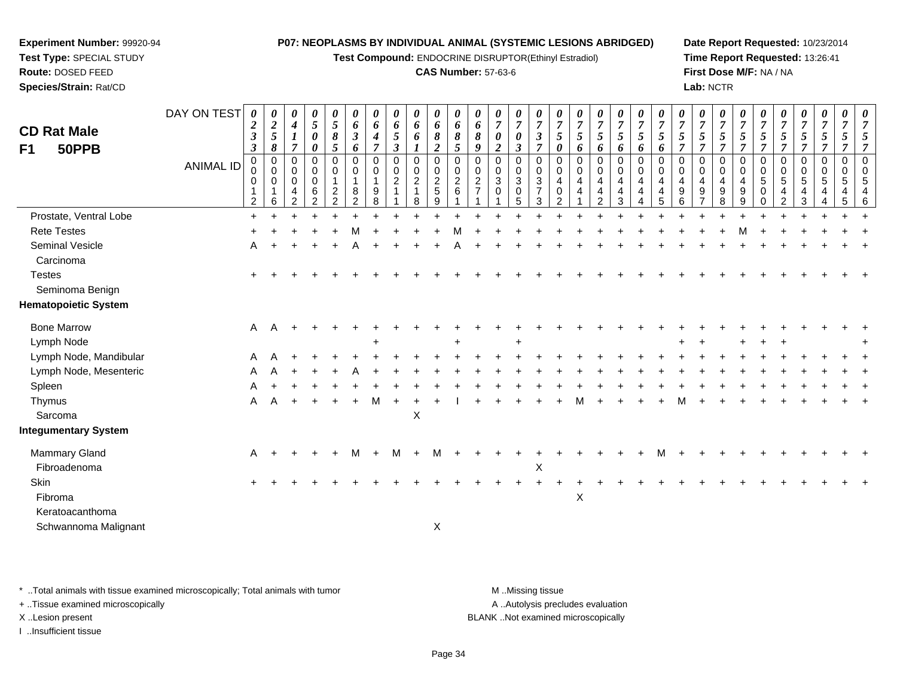**Test Compound:** ENDOCRINE DISRUPTOR(Ethinyl Estradiol)

#### **CAS Number:** 57-63-6

**Date Report Requested:** 10/23/2014**Time Report Requested:** 13:26:41**First Dose M/F:** NA / NA**Lab:** NCTR

| <b>CD Rat Male</b><br>50PPB<br>F1                               | DAY ON TEST      | 0<br>$\boldsymbol{2}$<br>$\boldsymbol{\beta}$<br>$\boldsymbol{\beta}$ | $\boldsymbol{\theta}$<br>$\boldsymbol{2}$<br>$\mathfrak{H}$<br>8 | 0<br>$\boldsymbol{4}$<br>$\boldsymbol{l}$<br>$\overline{7}$ | $\boldsymbol{\theta}$<br>$\mathfrak{s}$<br>$\boldsymbol{\theta}$<br>$\boldsymbol{\theta}$ | 0<br>$\mathfrak{H}$<br>8<br>5                     | 0<br>6<br>$\boldsymbol{\beta}$<br>6           | $\pmb{\theta}$<br>6<br>4<br>$\overline{7}$ | 0<br>6<br>$\mathfrak{I}$<br>3  | $\pmb{\theta}$<br>6<br>6<br>$\boldsymbol{l}$                      | 0<br>6<br>8<br>$\overline{2}$          | $\pmb{\theta}$<br>6<br>8<br>5           | 0<br>6<br>8<br>9               | $\boldsymbol{\theta}$<br>$\overline{7}$<br>0<br>$\boldsymbol{2}$ | 0<br>$\overline{7}$<br>$\boldsymbol{\theta}$<br>$\boldsymbol{\beta}$ | 0<br>7<br>3<br>$\overline{7}$      | $\overline{7}$<br>5<br>0           | 0<br>$\overline{7}$<br>$\mathfrak{s}$<br>6 | $\pmb{\theta}$<br>$\overline{7}$<br>5<br>6 | $\pmb{\theta}$<br>$\overline{7}$<br>$\sqrt{5}$<br>6                        | 0<br>$\overline{7}$<br>$\mathfrak{s}$<br>6 | 0<br>$\boldsymbol{7}$<br>$\mathfrak{s}$<br>6 | 0<br>$\overline{7}$<br>5<br>7                  | 0<br>$\overline{7}$<br>5<br>$\overline{7}$                  | 0<br>$\overline{7}$<br>5<br>$\overline{7}$               | 0<br>$\overline{7}$<br>$\mathfrak{s}$<br>7   | 0<br>$\overline{7}$<br>5<br>$\overline{7}$       | 0<br>$\overline{7}$<br>5<br>7               | 0<br>$\overline{7}$<br>5<br>7 | $\boldsymbol{\theta}$<br>$\overline{7}$<br>5<br>$\overline{7}$ | $\boldsymbol{\theta}$<br>7<br>5<br>7 |                                                |
|-----------------------------------------------------------------|------------------|-----------------------------------------------------------------------|------------------------------------------------------------------|-------------------------------------------------------------|-------------------------------------------------------------------------------------------|---------------------------------------------------|-----------------------------------------------|--------------------------------------------|--------------------------------|-------------------------------------------------------------------|----------------------------------------|-----------------------------------------|--------------------------------|------------------------------------------------------------------|----------------------------------------------------------------------|------------------------------------|------------------------------------|--------------------------------------------|--------------------------------------------|----------------------------------------------------------------------------|--------------------------------------------|----------------------------------------------|------------------------------------------------|-------------------------------------------------------------|----------------------------------------------------------|----------------------------------------------|--------------------------------------------------|---------------------------------------------|-------------------------------|----------------------------------------------------------------|--------------------------------------|------------------------------------------------|
|                                                                 | <b>ANIMAL ID</b> | $\mathbf 0$<br>0<br>0<br>2                                            | $\mathbf 0$<br>$\mathbf 0$<br>$\pmb{0}$<br>6                     | 0<br>0<br>0<br>4<br>$\overline{2}$                          | $\mathbf 0$<br>0<br>$\mathbf 0$<br>$\,6$<br>$\overline{2}$                                | 0<br>0<br>1<br>$\boldsymbol{2}$<br>$\overline{2}$ | 0<br>0<br>$\mathbf{1}$<br>8<br>$\overline{2}$ | $\mathbf 0$<br>0<br>9<br>8                 | 0<br>$\mathbf 0$<br>$\sqrt{2}$ | $\mathbf 0$<br>$\mathbf 0$<br>$\overline{c}$<br>$\mathbf{1}$<br>8 | $\mathbf 0$<br>0<br>$\frac{2}{5}$<br>9 | $\mathbf 0$<br>0<br>$\overline{c}$<br>6 | $\mathbf 0$<br>0<br>$\sqrt{2}$ | $\mathbf 0$<br>0<br>$\sqrt{3}$<br>$\pmb{0}$                      | $\mathbf 0$<br>$\mathbf 0$<br>$\sqrt{3}$<br>$\pmb{0}$<br>5           | 0<br>0<br>3<br>$\overline{7}$<br>3 | 0<br>0<br>4<br>0<br>$\overline{2}$ | 0<br>0<br>4<br>4                           | 0<br>0<br>4<br>4<br>$\overline{2}$         | $\mathbf 0$<br>$\mathbf 0$<br>4<br>$\overline{\mathbf{4}}$<br>$\mathbf{3}$ | $\mathbf 0$<br>0<br>4<br>4<br>4            | $\mathbf 0$<br>0<br>4<br>4<br>5              | $\mathbf 0$<br>0<br>4<br>$\boldsymbol{9}$<br>6 | $\mathbf 0$<br>0<br>4<br>$\boldsymbol{9}$<br>$\overline{7}$ | $\mathbf 0$<br>$\mathbf 0$<br>4<br>$\boldsymbol{9}$<br>8 | $\mathbf 0$<br>0<br>$\overline{4}$<br>9<br>9 | $\mathbf 0$<br>0<br>$\,$ 5 $\,$<br>0<br>$\Omega$ | 0<br>0<br>$\sqrt{5}$<br>4<br>$\overline{2}$ | 0<br>0<br>5<br>4<br>3         | $\mathbf 0$<br>0<br>5<br>4<br>4                                | 0<br>0<br>5<br>4<br>$\overline{5}$   | $\Omega$<br>5<br>$\overline{\mathcal{A}}$<br>6 |
| Prostate, Ventral Lobe                                          |                  | $\ddot{}$                                                             |                                                                  |                                                             |                                                                                           |                                                   |                                               |                                            |                                |                                                                   |                                        |                                         |                                |                                                                  |                                                                      |                                    |                                    |                                            |                                            |                                                                            |                                            |                                              |                                                |                                                             |                                                          |                                              |                                                  |                                             |                               |                                                                |                                      |                                                |
| <b>Rete Testes</b>                                              |                  |                                                                       |                                                                  |                                                             |                                                                                           |                                                   |                                               |                                            |                                |                                                                   |                                        |                                         |                                |                                                                  |                                                                      |                                    |                                    |                                            |                                            |                                                                            |                                            |                                              |                                                |                                                             |                                                          |                                              |                                                  |                                             |                               |                                                                |                                      |                                                |
| Seminal Vesicle                                                 |                  | A                                                                     |                                                                  |                                                             |                                                                                           |                                                   |                                               |                                            |                                |                                                                   |                                        |                                         |                                |                                                                  |                                                                      |                                    |                                    |                                            |                                            |                                                                            |                                            |                                              |                                                |                                                             |                                                          |                                              |                                                  |                                             |                               |                                                                |                                      |                                                |
| Carcinoma                                                       |                  |                                                                       |                                                                  |                                                             |                                                                                           |                                                   |                                               |                                            |                                |                                                                   |                                        |                                         |                                |                                                                  |                                                                      |                                    |                                    |                                            |                                            |                                                                            |                                            |                                              |                                                |                                                             |                                                          |                                              |                                                  |                                             |                               |                                                                |                                      |                                                |
| <b>Testes</b><br>Seminoma Benign<br><b>Hematopoietic System</b> |                  |                                                                       |                                                                  |                                                             |                                                                                           |                                                   |                                               |                                            |                                |                                                                   |                                        |                                         |                                |                                                                  |                                                                      |                                    |                                    |                                            |                                            |                                                                            |                                            |                                              |                                                |                                                             |                                                          |                                              |                                                  |                                             |                               |                                                                |                                      |                                                |
|                                                                 |                  |                                                                       |                                                                  |                                                             |                                                                                           |                                                   |                                               |                                            |                                |                                                                   |                                        |                                         |                                |                                                                  |                                                                      |                                    |                                    |                                            |                                            |                                                                            |                                            |                                              |                                                |                                                             |                                                          |                                              |                                                  |                                             |                               |                                                                |                                      |                                                |
| <b>Bone Marrow</b>                                              |                  | Α                                                                     | Α                                                                |                                                             |                                                                                           |                                                   |                                               |                                            |                                |                                                                   |                                        |                                         |                                |                                                                  |                                                                      |                                    |                                    |                                            |                                            |                                                                            |                                            |                                              |                                                |                                                             |                                                          |                                              |                                                  |                                             |                               |                                                                |                                      |                                                |
| Lymph Node                                                      |                  |                                                                       |                                                                  |                                                             |                                                                                           |                                                   |                                               |                                            |                                |                                                                   |                                        |                                         |                                |                                                                  |                                                                      |                                    |                                    |                                            |                                            |                                                                            |                                            |                                              |                                                |                                                             |                                                          |                                              |                                                  |                                             |                               |                                                                |                                      |                                                |
| Lymph Node, Mandibular                                          |                  |                                                                       |                                                                  |                                                             |                                                                                           |                                                   |                                               |                                            |                                |                                                                   |                                        |                                         |                                |                                                                  |                                                                      |                                    |                                    |                                            |                                            |                                                                            |                                            |                                              |                                                |                                                             |                                                          |                                              |                                                  |                                             |                               |                                                                |                                      |                                                |
| Lymph Node, Mesenteric                                          |                  |                                                                       |                                                                  |                                                             |                                                                                           |                                                   |                                               |                                            |                                |                                                                   |                                        |                                         |                                |                                                                  |                                                                      |                                    |                                    |                                            |                                            |                                                                            |                                            |                                              |                                                |                                                             |                                                          |                                              |                                                  |                                             |                               |                                                                |                                      |                                                |
| Spleen<br>Thymus                                                |                  | Α                                                                     |                                                                  |                                                             |                                                                                           |                                                   |                                               | м                                          |                                |                                                                   |                                        |                                         |                                |                                                                  |                                                                      |                                    |                                    |                                            |                                            |                                                                            |                                            |                                              |                                                |                                                             |                                                          |                                              |                                                  |                                             |                               |                                                                |                                      |                                                |
| Sarcoma                                                         |                  |                                                                       |                                                                  |                                                             |                                                                                           |                                                   |                                               |                                            |                                | $\times$                                                          |                                        |                                         |                                |                                                                  |                                                                      |                                    |                                    |                                            |                                            |                                                                            |                                            |                                              |                                                |                                                             |                                                          |                                              |                                                  |                                             |                               |                                                                |                                      |                                                |
| Integumentary System                                            |                  |                                                                       |                                                                  |                                                             |                                                                                           |                                                   |                                               |                                            |                                |                                                                   |                                        |                                         |                                |                                                                  |                                                                      |                                    |                                    |                                            |                                            |                                                                            |                                            |                                              |                                                |                                                             |                                                          |                                              |                                                  |                                             |                               |                                                                |                                      |                                                |
| Mammary Gland                                                   |                  | A                                                                     |                                                                  |                                                             |                                                                                           |                                                   | М                                             | $\overline{ }$                             | М                              |                                                                   | М                                      |                                         |                                |                                                                  |                                                                      |                                    |                                    |                                            |                                            |                                                                            |                                            |                                              |                                                |                                                             |                                                          |                                              |                                                  |                                             |                               |                                                                |                                      |                                                |
| Fibroadenoma                                                    |                  |                                                                       |                                                                  |                                                             |                                                                                           |                                                   |                                               |                                            |                                |                                                                   |                                        |                                         |                                |                                                                  |                                                                      | Χ                                  |                                    |                                            |                                            |                                                                            |                                            |                                              |                                                |                                                             |                                                          |                                              |                                                  |                                             |                               |                                                                |                                      |                                                |
| Skin                                                            |                  |                                                                       |                                                                  |                                                             |                                                                                           |                                                   |                                               |                                            |                                |                                                                   |                                        |                                         |                                |                                                                  |                                                                      |                                    |                                    |                                            |                                            |                                                                            |                                            |                                              |                                                |                                                             |                                                          |                                              |                                                  |                                             |                               |                                                                |                                      |                                                |
| Fibroma                                                         |                  |                                                                       |                                                                  |                                                             |                                                                                           |                                                   |                                               |                                            |                                |                                                                   |                                        |                                         |                                |                                                                  |                                                                      |                                    |                                    | X                                          |                                            |                                                                            |                                            |                                              |                                                |                                                             |                                                          |                                              |                                                  |                                             |                               |                                                                |                                      |                                                |
| Keratoacanthoma                                                 |                  |                                                                       |                                                                  |                                                             |                                                                                           |                                                   |                                               |                                            |                                |                                                                   |                                        |                                         |                                |                                                                  |                                                                      |                                    |                                    |                                            |                                            |                                                                            |                                            |                                              |                                                |                                                             |                                                          |                                              |                                                  |                                             |                               |                                                                |                                      |                                                |
| Schwannoma Malignant                                            |                  |                                                                       |                                                                  |                                                             |                                                                                           |                                                   |                                               |                                            |                                |                                                                   | X                                      |                                         |                                |                                                                  |                                                                      |                                    |                                    |                                            |                                            |                                                                            |                                            |                                              |                                                |                                                             |                                                          |                                              |                                                  |                                             |                               |                                                                |                                      |                                                |

\* ..Total animals with tissue examined microscopically; Total animals with tumor **M** . Missing tissue M ..Missing tissue

+ ..Tissue examined microscopically

**Experiment Number:** 99920-94**Test Type:** SPECIAL STUDY**Route:** DOSED FEED**Species/Strain:** Rat/CD

I ..Insufficient tissue

A ..Autolysis precludes evaluation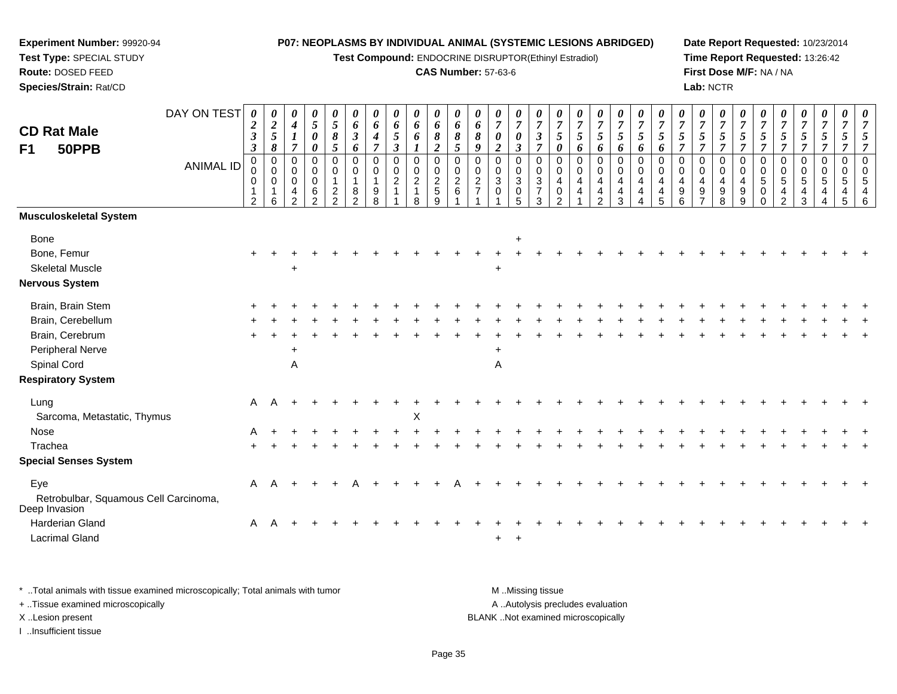**Test Compound:** ENDOCRINE DISRUPTOR(Ethinyl Estradiol)

#### **CAS Number:** 57-63-6

**Date Report Requested:** 10/23/2014 **Time Report Requested:** 13:26:42**First Dose M/F:** NA / NA**Lab:** NCTR

| <b>CD Rat Male</b><br>F1<br>50PPB                      | DAY ON TEST<br><b>ANIMAL ID</b> | 0<br>$\boldsymbol{2}$<br>$\boldsymbol{\beta}$<br>$\boldsymbol{\beta}$<br>$\mathbf 0$<br>0<br>0 | $\boldsymbol{\theta}$<br>$\boldsymbol{2}$<br>$\sqrt{5}$<br>8<br>$\mathbf 0$<br>$\mathbf 0$<br>0 | 0<br>$\boldsymbol{4}$<br>$\boldsymbol{l}$<br>$\overline{7}$<br>0<br>0<br>$\mathbf 0$ | $\boldsymbol{\theta}$<br>$\sqrt{5}$<br>$\boldsymbol{\theta}$<br>$\boldsymbol{\theta}$<br>$\Omega$<br>$\mathbf 0$<br>$\mathbf 0$ | 0<br>$\mathfrak{s}$<br>$\pmb{8}$<br>5<br>$\Omega$<br>0<br>$\mathbf{1}$ | 0<br>6<br>$\boldsymbol{\beta}$<br>6<br>$\mathbf 0$<br>$\mathbf 0$<br>$\overline{1}$ | 0<br>6<br>4<br>$\overline{\tau}$<br>$\pmb{0}$<br>0 | 0<br>6<br>$\mathfrak{H}$<br>$\mathfrak{z}$<br>$\mathbf 0$<br>$\mathbf 0$<br>$\sqrt{2}$ | 0<br>6<br>$\pmb{6}$<br>1<br>$\pmb{0}$<br>$\mathbf 0$<br>$\overline{2}$ | 0<br>6<br>$\pmb{8}$<br>$\boldsymbol{2}$<br>$\Omega$<br>$\mathbf 0$<br>$\overline{c}$ | 0<br>6<br>$\pmb{8}$<br>5<br>$\Omega$<br>0<br>$\boldsymbol{2}$ | 0<br>6<br>8<br>9<br>$\Omega$<br>0<br>$\overline{c}$ | $\pmb{\theta}$<br>$\boldsymbol{7}$<br>$\boldsymbol{\theta}$<br>$\overline{a}$<br>$\Omega$<br>0<br>3 | $\boldsymbol{\theta}$<br>$\overline{7}$<br>$\boldsymbol{\theta}$<br>$\boldsymbol{\beta}$<br>$\Omega$<br>$\mathbf 0$<br>$\mathbf{3}$ | 0<br>$\overline{7}$<br>$\mathfrak{z}$<br>$\overline{7}$<br>$\mathbf 0$<br>$\mathbf 0$<br>$\ensuremath{\mathsf{3}}$ | $\overline{7}$<br>$\sqrt{5}$<br>0<br>0<br>$\mathbf 0$<br>4 | 0<br>$\overline{7}$<br>5<br>6<br>$\mathbf 0$<br>0<br>4 | 0<br>$\boldsymbol{7}$<br>$\mathfrak{s}$<br>6<br>$\Omega$<br>0<br>4 | 0<br>$\overline{7}$<br>5<br>6<br>$\mathbf 0$<br>$\mathbf 0$<br>$\overline{4}$ | 0<br>$\overline{7}$<br>$\mathfrak{s}$<br>6<br>$\Omega$<br>$\mathbf 0$<br>4 | $\overline{7}$<br>5<br>6<br>$\Omega$<br>$\mathbf 0$<br>4 | 0<br>$\overline{7}$<br>5<br>$\overline{7}$<br>$\Omega$<br>0<br>4 | 0<br>$\boldsymbol{7}$<br>$\sqrt{5}$<br>$\overline{7}$<br>0<br>$\mathbf 0$<br>$\overline{4}$ | 0<br>$\overline{7}$<br>$\sqrt{5}$<br>$\overline{7}$<br>$\Omega$<br>0<br>$\overline{4}$ | 0<br>$\overline{7}$<br>$\sqrt{5}$<br>$\overline{7}$<br>$\Omega$<br>0<br>$\overline{4}$ | 0<br>$\overline{7}$<br>$\overline{5}$<br>$\overline{7}$<br>$\Omega$<br>$\mathbf 0$<br>$\overline{5}$ | $\boldsymbol{\theta}$<br>$\overline{7}$<br>5<br>$\overline{7}$<br>$\Omega$<br>0<br>5 | 0<br>$\boldsymbol{7}$<br>$\mathfrak{S}$<br>$\overline{7}$<br>0<br>0<br>$\overline{5}$ | 0<br>$\boldsymbol{7}$<br>$\mathfrak{s}$<br>7<br>$\mathbf 0$<br>$\mathbf 0$<br>$\sqrt{5}$ | $\overline{7}$<br>$\sqrt{5}$<br>7<br>$\mathbf 0$<br>$\mathbf 0$<br>5 | 7<br>5<br>$\overline{7}$<br>$\overline{0}$<br>$\mathbf 0$<br>5 |
|--------------------------------------------------------|---------------------------------|------------------------------------------------------------------------------------------------|-------------------------------------------------------------------------------------------------|--------------------------------------------------------------------------------------|---------------------------------------------------------------------------------------------------------------------------------|------------------------------------------------------------------------|-------------------------------------------------------------------------------------|----------------------------------------------------|----------------------------------------------------------------------------------------|------------------------------------------------------------------------|--------------------------------------------------------------------------------------|---------------------------------------------------------------|-----------------------------------------------------|-----------------------------------------------------------------------------------------------------|-------------------------------------------------------------------------------------------------------------------------------------|--------------------------------------------------------------------------------------------------------------------|------------------------------------------------------------|--------------------------------------------------------|--------------------------------------------------------------------|-------------------------------------------------------------------------------|----------------------------------------------------------------------------|----------------------------------------------------------|------------------------------------------------------------------|---------------------------------------------------------------------------------------------|----------------------------------------------------------------------------------------|----------------------------------------------------------------------------------------|------------------------------------------------------------------------------------------------------|--------------------------------------------------------------------------------------|---------------------------------------------------------------------------------------|------------------------------------------------------------------------------------------|----------------------------------------------------------------------|----------------------------------------------------------------|
|                                                        |                                 | $\overline{2}$                                                                                 | 6                                                                                               | 4<br>$\overline{2}$                                                                  | 6<br>$\mathcal{P}$                                                                                                              | $\frac{2}{2}$                                                          | 8<br>$\overline{2}$                                                                 | 9<br>8                                             |                                                                                        | $\mathbf{1}$<br>8                                                      | 5<br>9                                                                               | $\,6\,$                                                       |                                                     | 0                                                                                                   | 0<br>5                                                                                                                              | $\overline{7}$<br>3                                                                                                | 0<br>$\mathcal{D}$                                         | 4                                                      | 4<br>$\overline{2}$                                                | 4<br>3                                                                        | 4                                                                          | 4                                                        | 9<br>6                                                           | $\boldsymbol{9}$<br>$\overline{7}$                                                          | 9<br>8                                                                                 | 9<br>9                                                                                 | 0<br>$\Omega$                                                                                        | 4<br>$\mathfrak{p}$                                                                  | 4<br>3                                                                                | 4                                                                                        | 4<br>5                                                               | $\overline{4}$<br>6                                            |
| Musculoskeletal System                                 |                                 |                                                                                                |                                                                                                 |                                                                                      |                                                                                                                                 |                                                                        |                                                                                     |                                                    |                                                                                        |                                                                        |                                                                                      |                                                               |                                                     |                                                                                                     |                                                                                                                                     |                                                                                                                    |                                                            |                                                        |                                                                    |                                                                               |                                                                            |                                                          |                                                                  |                                                                                             |                                                                                        |                                                                                        |                                                                                                      |                                                                                      |                                                                                       |                                                                                          |                                                                      |                                                                |
| Bone                                                   |                                 |                                                                                                |                                                                                                 |                                                                                      |                                                                                                                                 |                                                                        |                                                                                     |                                                    |                                                                                        |                                                                        |                                                                                      |                                                               |                                                     |                                                                                                     | $\ddot{}$                                                                                                                           |                                                                                                                    |                                                            |                                                        |                                                                    |                                                                               |                                                                            |                                                          |                                                                  |                                                                                             |                                                                                        |                                                                                        |                                                                                                      |                                                                                      |                                                                                       |                                                                                          |                                                                      |                                                                |
| Bone, Femur                                            |                                 |                                                                                                |                                                                                                 |                                                                                      |                                                                                                                                 |                                                                        |                                                                                     |                                                    |                                                                                        |                                                                        |                                                                                      |                                                               |                                                     |                                                                                                     |                                                                                                                                     |                                                                                                                    |                                                            |                                                        |                                                                    |                                                                               |                                                                            |                                                          |                                                                  |                                                                                             |                                                                                        |                                                                                        |                                                                                                      |                                                                                      |                                                                                       |                                                                                          |                                                                      |                                                                |
| <b>Skeletal Muscle</b>                                 |                                 |                                                                                                |                                                                                                 |                                                                                      |                                                                                                                                 |                                                                        |                                                                                     |                                                    |                                                                                        |                                                                        |                                                                                      |                                                               |                                                     |                                                                                                     |                                                                                                                                     |                                                                                                                    |                                                            |                                                        |                                                                    |                                                                               |                                                                            |                                                          |                                                                  |                                                                                             |                                                                                        |                                                                                        |                                                                                                      |                                                                                      |                                                                                       |                                                                                          |                                                                      |                                                                |
| Nervous System                                         |                                 |                                                                                                |                                                                                                 |                                                                                      |                                                                                                                                 |                                                                        |                                                                                     |                                                    |                                                                                        |                                                                        |                                                                                      |                                                               |                                                     |                                                                                                     |                                                                                                                                     |                                                                                                                    |                                                            |                                                        |                                                                    |                                                                               |                                                                            |                                                          |                                                                  |                                                                                             |                                                                                        |                                                                                        |                                                                                                      |                                                                                      |                                                                                       |                                                                                          |                                                                      |                                                                |
| Brain, Brain Stem                                      |                                 |                                                                                                |                                                                                                 |                                                                                      |                                                                                                                                 |                                                                        |                                                                                     |                                                    |                                                                                        |                                                                        |                                                                                      |                                                               |                                                     |                                                                                                     |                                                                                                                                     |                                                                                                                    |                                                            |                                                        |                                                                    |                                                                               |                                                                            |                                                          |                                                                  |                                                                                             |                                                                                        |                                                                                        |                                                                                                      |                                                                                      |                                                                                       |                                                                                          |                                                                      |                                                                |
| Brain, Cerebellum                                      |                                 |                                                                                                |                                                                                                 |                                                                                      |                                                                                                                                 |                                                                        |                                                                                     |                                                    |                                                                                        |                                                                        |                                                                                      |                                                               |                                                     |                                                                                                     |                                                                                                                                     |                                                                                                                    |                                                            |                                                        |                                                                    |                                                                               |                                                                            |                                                          |                                                                  |                                                                                             |                                                                                        |                                                                                        |                                                                                                      |                                                                                      |                                                                                       |                                                                                          |                                                                      |                                                                |
| Brain, Cerebrum                                        |                                 |                                                                                                |                                                                                                 |                                                                                      |                                                                                                                                 |                                                                        |                                                                                     |                                                    |                                                                                        |                                                                        |                                                                                      |                                                               |                                                     |                                                                                                     |                                                                                                                                     |                                                                                                                    |                                                            |                                                        |                                                                    |                                                                               |                                                                            |                                                          |                                                                  |                                                                                             |                                                                                        |                                                                                        |                                                                                                      |                                                                                      |                                                                                       |                                                                                          |                                                                      |                                                                |
| Peripheral Nerve                                       |                                 |                                                                                                |                                                                                                 | +                                                                                    |                                                                                                                                 |                                                                        |                                                                                     |                                                    |                                                                                        |                                                                        |                                                                                      |                                                               |                                                     |                                                                                                     |                                                                                                                                     |                                                                                                                    |                                                            |                                                        |                                                                    |                                                                               |                                                                            |                                                          |                                                                  |                                                                                             |                                                                                        |                                                                                        |                                                                                                      |                                                                                      |                                                                                       |                                                                                          |                                                                      |                                                                |
| Spinal Cord                                            |                                 |                                                                                                |                                                                                                 | $\mathsf{A}$                                                                         |                                                                                                                                 |                                                                        |                                                                                     |                                                    |                                                                                        |                                                                        |                                                                                      |                                                               |                                                     | Α                                                                                                   |                                                                                                                                     |                                                                                                                    |                                                            |                                                        |                                                                    |                                                                               |                                                                            |                                                          |                                                                  |                                                                                             |                                                                                        |                                                                                        |                                                                                                      |                                                                                      |                                                                                       |                                                                                          |                                                                      |                                                                |
| <b>Respiratory System</b>                              |                                 |                                                                                                |                                                                                                 |                                                                                      |                                                                                                                                 |                                                                        |                                                                                     |                                                    |                                                                                        |                                                                        |                                                                                      |                                                               |                                                     |                                                                                                     |                                                                                                                                     |                                                                                                                    |                                                            |                                                        |                                                                    |                                                                               |                                                                            |                                                          |                                                                  |                                                                                             |                                                                                        |                                                                                        |                                                                                                      |                                                                                      |                                                                                       |                                                                                          |                                                                      |                                                                |
| Lung                                                   |                                 | A                                                                                              |                                                                                                 |                                                                                      |                                                                                                                                 |                                                                        |                                                                                     |                                                    |                                                                                        |                                                                        |                                                                                      |                                                               |                                                     |                                                                                                     |                                                                                                                                     |                                                                                                                    |                                                            |                                                        |                                                                    |                                                                               |                                                                            |                                                          |                                                                  |                                                                                             |                                                                                        |                                                                                        |                                                                                                      |                                                                                      |                                                                                       |                                                                                          |                                                                      |                                                                |
| Sarcoma, Metastatic, Thymus                            |                                 |                                                                                                |                                                                                                 |                                                                                      |                                                                                                                                 |                                                                        |                                                                                     |                                                    |                                                                                        | X                                                                      |                                                                                      |                                                               |                                                     |                                                                                                     |                                                                                                                                     |                                                                                                                    |                                                            |                                                        |                                                                    |                                                                               |                                                                            |                                                          |                                                                  |                                                                                             |                                                                                        |                                                                                        |                                                                                                      |                                                                                      |                                                                                       |                                                                                          |                                                                      |                                                                |
| Nose                                                   |                                 | A                                                                                              |                                                                                                 |                                                                                      |                                                                                                                                 |                                                                        |                                                                                     |                                                    |                                                                                        |                                                                        |                                                                                      |                                                               |                                                     |                                                                                                     |                                                                                                                                     |                                                                                                                    |                                                            |                                                        |                                                                    |                                                                               |                                                                            |                                                          |                                                                  |                                                                                             |                                                                                        |                                                                                        |                                                                                                      |                                                                                      |                                                                                       |                                                                                          |                                                                      |                                                                |
| Trachea                                                |                                 |                                                                                                |                                                                                                 |                                                                                      |                                                                                                                                 |                                                                        |                                                                                     |                                                    |                                                                                        |                                                                        |                                                                                      |                                                               |                                                     |                                                                                                     |                                                                                                                                     |                                                                                                                    |                                                            |                                                        |                                                                    |                                                                               |                                                                            |                                                          |                                                                  |                                                                                             |                                                                                        |                                                                                        |                                                                                                      |                                                                                      |                                                                                       |                                                                                          |                                                                      |                                                                |
| <b>Special Senses System</b>                           |                                 |                                                                                                |                                                                                                 |                                                                                      |                                                                                                                                 |                                                                        |                                                                                     |                                                    |                                                                                        |                                                                        |                                                                                      |                                                               |                                                     |                                                                                                     |                                                                                                                                     |                                                                                                                    |                                                            |                                                        |                                                                    |                                                                               |                                                                            |                                                          |                                                                  |                                                                                             |                                                                                        |                                                                                        |                                                                                                      |                                                                                      |                                                                                       |                                                                                          |                                                                      |                                                                |
| Eye                                                    |                                 | A                                                                                              |                                                                                                 |                                                                                      |                                                                                                                                 |                                                                        |                                                                                     |                                                    |                                                                                        |                                                                        |                                                                                      |                                                               |                                                     |                                                                                                     |                                                                                                                                     |                                                                                                                    |                                                            |                                                        |                                                                    |                                                                               |                                                                            |                                                          |                                                                  |                                                                                             |                                                                                        |                                                                                        |                                                                                                      |                                                                                      |                                                                                       |                                                                                          |                                                                      |                                                                |
| Retrobulbar, Squamous Cell Carcinoma,<br>Deep Invasion |                                 |                                                                                                |                                                                                                 |                                                                                      |                                                                                                                                 |                                                                        |                                                                                     |                                                    |                                                                                        |                                                                        |                                                                                      |                                                               |                                                     |                                                                                                     |                                                                                                                                     |                                                                                                                    |                                                            |                                                        |                                                                    |                                                                               |                                                                            |                                                          |                                                                  |                                                                                             |                                                                                        |                                                                                        |                                                                                                      |                                                                                      |                                                                                       |                                                                                          |                                                                      |                                                                |
| Harderian Gland                                        |                                 | A                                                                                              |                                                                                                 |                                                                                      |                                                                                                                                 |                                                                        |                                                                                     |                                                    |                                                                                        |                                                                        |                                                                                      |                                                               |                                                     |                                                                                                     |                                                                                                                                     |                                                                                                                    |                                                            |                                                        |                                                                    |                                                                               |                                                                            |                                                          |                                                                  |                                                                                             |                                                                                        |                                                                                        |                                                                                                      |                                                                                      |                                                                                       |                                                                                          |                                                                      |                                                                |
| <b>Lacrimal Gland</b>                                  |                                 |                                                                                                |                                                                                                 |                                                                                      |                                                                                                                                 |                                                                        |                                                                                     |                                                    |                                                                                        |                                                                        |                                                                                      |                                                               |                                                     | +                                                                                                   | $\pm$                                                                                                                               |                                                                                                                    |                                                            |                                                        |                                                                    |                                                                               |                                                                            |                                                          |                                                                  |                                                                                             |                                                                                        |                                                                                        |                                                                                                      |                                                                                      |                                                                                       |                                                                                          |                                                                      |                                                                |
|                                                        |                                 |                                                                                                |                                                                                                 |                                                                                      |                                                                                                                                 |                                                                        |                                                                                     |                                                    |                                                                                        |                                                                        |                                                                                      |                                                               |                                                     |                                                                                                     |                                                                                                                                     |                                                                                                                    |                                                            |                                                        |                                                                    |                                                                               |                                                                            |                                                          |                                                                  |                                                                                             |                                                                                        |                                                                                        |                                                                                                      |                                                                                      |                                                                                       |                                                                                          |                                                                      |                                                                |

\* ..Total animals with tissue examined microscopically; Total animals with tumor **M** . Missing tissue M ..Missing tissue A ..Autolysis precludes evaluation + ..Tissue examined microscopically X ..Lesion present BLANK ..Not examined microscopicallyI ..Insufficient tissue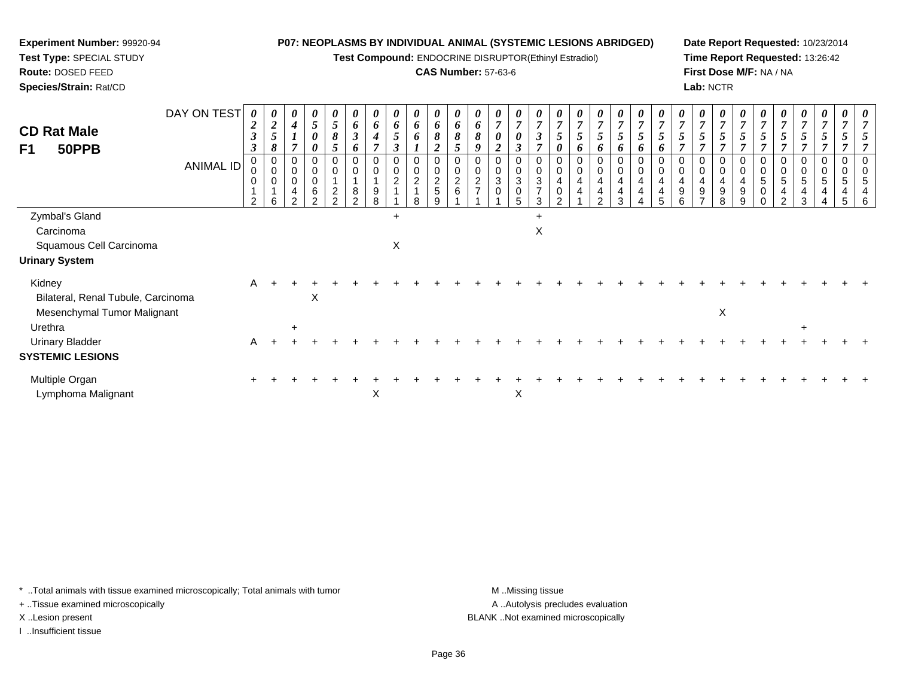**Test Compound:** ENDOCRINE DISRUPTOR(Ethinyl Estradiol)

### **CAS Number:** 57-63-6

**Date Report Requested:** 10/23/2014**Time Report Requested:** 13:26:42**First Dose M/F:** NA / NA**Lab:** NCTR

| $\overline{2}$<br>$\boldsymbol{\beta}$<br>$\mathbf{\Omega}$ | $\boldsymbol{\theta}$<br>$\boldsymbol{2}$<br>$\mathfrak{S}$<br>8<br>0 | 0<br>$\boldsymbol{4}$<br>$\mathbf{I}$<br>7 | $\boldsymbol{\theta}$<br>$\overline{5}$<br>$\boldsymbol{\theta}$<br>0 | $\boldsymbol{\theta}$<br>5<br>8          | 6<br>$\boldsymbol{\beta}$ | $\boldsymbol{\theta}$<br>6<br>$\boldsymbol{4}$ | $\boldsymbol{\theta}$<br>6<br>$\mathfrak{s}$ | 0<br>$\pmb{6}$                                 | $\boldsymbol{\theta}$<br>6                       | $\boldsymbol{\theta}$<br>6         | $\boldsymbol{\theta}$<br>6 | 0<br>$\overline{7}$         | $\boldsymbol{\theta}$<br>$\overline{7}$          | $\boldsymbol{\theta}$<br>$\overline{7}$                         | U<br>$\overline{7}$ | $\boldsymbol{\theta}$<br>$\overline{7}$ | $\frac{\theta}{7}$            | $\boldsymbol{\theta}$<br>$\overline{7}$      | $\boldsymbol{\theta}$<br>$\overline{7}$ | $\boldsymbol{\mathit{U}}$<br>$\overline{ }$ | $\theta$<br>$\overline{ }$ | 0<br>$\overline{7}$               | 0<br>$\overline{ }$           | $\boldsymbol{\theta}$           |                     | $\boldsymbol{\theta}$<br>$\overline{7}$ | 0<br>$\overline{7}$ | $\boldsymbol{\theta}$ | $\theta$<br>$\mathbf{r}$ | $\boldsymbol{\theta}$ |
|-------------------------------------------------------------|-----------------------------------------------------------------------|--------------------------------------------|-----------------------------------------------------------------------|------------------------------------------|---------------------------|------------------------------------------------|----------------------------------------------|------------------------------------------------|--------------------------------------------------|------------------------------------|----------------------------|-----------------------------|--------------------------------------------------|-----------------------------------------------------------------|---------------------|-----------------------------------------|-------------------------------|----------------------------------------------|-----------------------------------------|---------------------------------------------|----------------------------|-----------------------------------|-------------------------------|---------------------------------|---------------------|-----------------------------------------|---------------------|-----------------------|--------------------------|-----------------------|
|                                                             |                                                                       |                                            |                                                                       |                                          | 6                         |                                                | $\boldsymbol{\beta}$                         | 6                                              | 8                                                | 8                                  | 8                          | 0<br><u>ำ</u>               | $\boldsymbol{\theta}$<br>$\boldsymbol{\beta}$    | $\boldsymbol{\beta}$<br>$\overline{ }$                          | 5<br>0              | 5<br>6                                  | 5<br>o                        | 5<br>o                                       | o                                       | o                                           |                            | 5<br>$\overline{ }$               |                               | 5                               | 5<br>$\overline{ }$ | $5\overline{)}$                         | $\mathfrak{s}$      |                       |                          | $\overline{ }$        |
| $\overline{2}$                                              | $\pmb{0}$<br>$\pmb{0}$<br>6                                           | 0<br>0<br>0<br>4<br>$\mathcal{P}$          | $\mathbf 0$<br>$\boldsymbol{0}$<br>$\,6$<br>$\sim$                    | $\Omega$<br>$\overline{\mathbf{c}}$<br>ົ | 0<br>8<br>$\Omega$        | 0<br>9<br>8                                    | $\pmb{0}$<br>$\pmb{0}$<br>$\overline{c}$     | $\pmb{0}$<br>$\pmb{0}$<br>$\sqrt{2}$<br>1<br>8 | $\mathbf 0$<br>$\overline{c}$<br>$\sqrt{5}$<br>9 | $\mathbf 0$<br>$\overline{c}$<br>6 | 0<br>$\overline{c}$        | 0<br>0<br>$\mathbf{3}$<br>0 | 0<br>$\mathbf 0$<br>$\sqrt{3}$<br>$\pmb{0}$<br>5 | $\mathbf 0$<br>$\mathbf 0$<br>$\sqrt{3}$<br>$\overline{7}$<br>3 | $\mathbf 0$         | 0<br>0<br>4<br>4                        | 0<br>4<br>4<br>$\mathfrak{D}$ | 0<br>$\mathbf 0$<br>$\overline{4}$<br>4<br>3 | 0<br>4<br>4                             | 0                                           | 0<br>9                     | 0<br>$\overline{\mathbf{4}}$<br>9 | 0<br>$\overline{4}$<br>9<br>8 | 0<br>4<br>$\boldsymbol{9}$<br>9 | 0<br>5<br>0         | 0<br>5<br>4<br>$\mathcal{P}$            | 0<br>5<br>4<br>3    | 0<br>5                | 0<br>5<br>5              | 5<br>6                |
|                                                             |                                                                       |                                            |                                                                       |                                          |                           |                                                | $+$                                          |                                                |                                                  |                                    |                            |                             |                                                  | $\ddot{}$                                                       |                     |                                         |                               |                                              |                                         |                                             |                            |                                   |                               |                                 |                     |                                         |                     |                       |                          |                       |
|                                                             |                                                                       |                                            |                                                                       |                                          |                           |                                                |                                              |                                                |                                                  |                                    |                            |                             |                                                  | X                                                               |                     |                                         |                               |                                              |                                         |                                             |                            |                                   |                               |                                 |                     |                                         |                     |                       |                          |                       |
|                                                             |                                                                       |                                            |                                                                       |                                          |                           |                                                | Χ                                            |                                                |                                                  |                                    |                            |                             |                                                  |                                                                 |                     |                                         |                               |                                              |                                         |                                             |                            |                                   |                               |                                 |                     |                                         |                     |                       |                          |                       |
|                                                             |                                                                       |                                            |                                                                       |                                          |                           |                                                |                                              |                                                |                                                  |                                    |                            |                             |                                                  |                                                                 |                     |                                         |                               |                                              |                                         |                                             |                            |                                   |                               |                                 |                     |                                         |                     |                       |                          |                       |
| A                                                           |                                                                       |                                            | X                                                                     |                                          |                           |                                                |                                              |                                                |                                                  |                                    |                            |                             |                                                  |                                                                 |                     |                                         |                               |                                              |                                         |                                             |                            |                                   |                               |                                 |                     |                                         |                     |                       |                          |                       |
|                                                             |                                                                       |                                            |                                                                       |                                          |                           |                                                |                                              |                                                |                                                  |                                    |                            |                             |                                                  |                                                                 |                     |                                         |                               |                                              |                                         |                                             |                            |                                   | $\mathsf X$                   |                                 |                     |                                         |                     |                       |                          |                       |
|                                                             |                                                                       | $\ddot{}$                                  |                                                                       |                                          |                           |                                                |                                              |                                                |                                                  |                                    |                            |                             |                                                  |                                                                 |                     |                                         |                               |                                              |                                         |                                             |                            |                                   |                               |                                 |                     |                                         | $\ddot{}$           |                       |                          |                       |
| A                                                           |                                                                       |                                            |                                                                       |                                          |                           |                                                |                                              |                                                |                                                  |                                    |                            |                             |                                                  |                                                                 |                     |                                         |                               |                                              |                                         |                                             |                            |                                   |                               |                                 |                     |                                         |                     |                       |                          |                       |
|                                                             |                                                                       |                                            |                                                                       |                                          |                           |                                                |                                              |                                                |                                                  |                                    |                            |                             |                                                  |                                                                 |                     |                                         |                               |                                              |                                         |                                             |                            |                                   |                               |                                 |                     |                                         |                     |                       |                          |                       |
|                                                             |                                                                       |                                            |                                                                       |                                          |                           |                                                |                                              |                                                |                                                  |                                    |                            |                             |                                                  |                                                                 |                     |                                         |                               |                                              |                                         |                                             |                            |                                   |                               |                                 |                     |                                         |                     |                       |                          |                       |
|                                                             |                                                                       |                                            |                                                                       |                                          |                           |                                                |                                              |                                                |                                                  |                                    |                            |                             |                                                  |                                                                 |                     |                                         |                               |                                              |                                         |                                             |                            |                                   |                               |                                 |                     |                                         |                     |                       | X<br>X                   |                       |

\* ..Total animals with tissue examined microscopically; Total animals with tumor **M** . Missing tissue M ..Missing tissue

+ ..Tissue examined microscopically

**Experiment Number:** 99920-94**Test Type:** SPECIAL STUDY**Route:** DOSED FEED**Species/Strain:** Rat/CD

I ..Insufficient tissue

A ..Autolysis precludes evaluation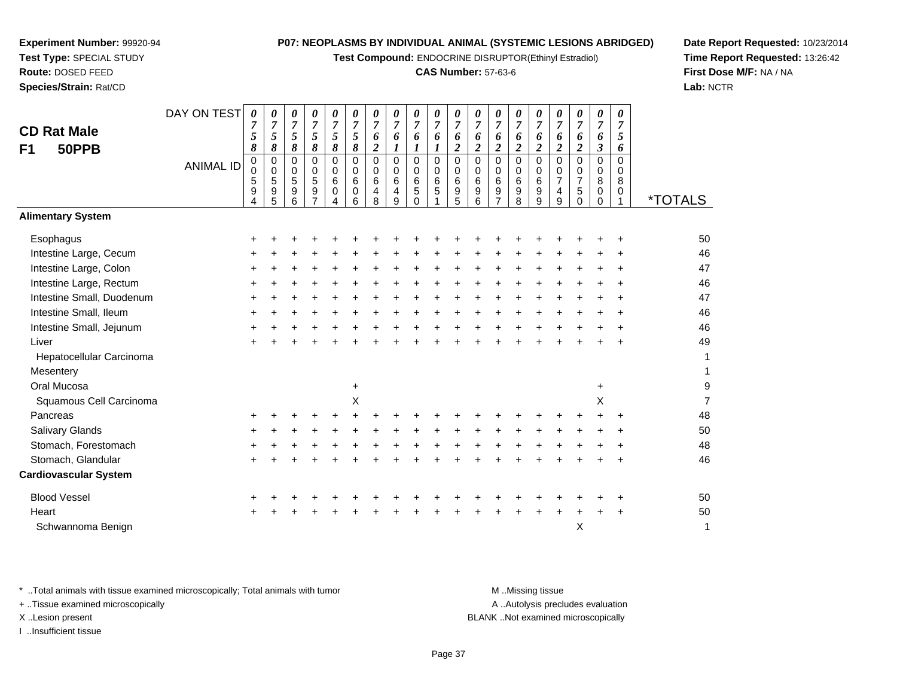**Test Compound:** ENDOCRINE DISRUPTOR(Ethinyl Estradiol)

#### **CAS Number:** 57-63-6

<sup>+</sup> <sup>+</sup> <sup>+</sup> <sup>+</sup> <sup>+</sup> <sup>+</sup> <sup>+</sup> <sup>+</sup> <sup>+</sup> <sup>+</sup> <sup>+</sup> <sup>+</sup> <sup>+</sup> <sup>+</sup> <sup>+</sup> <sup>+</sup> <sup>+</sup> <sup>+</sup> <sup>50</sup>

<sup>1</sup> \*TOTALS

9

 $\mathsf{X}$  and  $\mathsf{Y}$ 

**Date Report Requested:** 10/23/2014**Time Report Requested:** 13:26:42**First Dose M/F:** NA / NA**Lab:** NCTR

| Intestine Large, Colon       | $\pm$ |  |   |           |        |  |        |   |       |       |  |       | ÷         | 47 |
|------------------------------|-------|--|---|-----------|--------|--|--------|---|-------|-------|--|-------|-----------|----|
| Intestine Large, Rectum      | $\pm$ |  |   |           |        |  |        |   |       |       |  |       | ÷         | 46 |
| Intestine Small, Duodenum    | $\pm$ |  |   |           | ÷      |  | +      | + |       |       |  | ÷     | $\pm$     | 47 |
| Intestine Small, Ileum       | $\pm$ |  |   |           |        |  |        |   |       |       |  | +     | $\div$    | 46 |
| Intestine Small, Jejunum     | +     |  |   |           | $\div$ |  | $\div$ | + |       | +     |  | ÷     | $\ddot{}$ | 46 |
| Liver                        | $\pm$ |  |   |           |        |  |        |   | +     |       |  |       | $\ddot{}$ | 49 |
| Hepatocellular Carcinoma     |       |  |   |           |        |  |        |   |       |       |  |       |           | 1  |
| Mesentery                    |       |  |   |           |        |  |        |   |       |       |  |       |           |    |
| Oral Mucosa                  |       |  |   | $\ddot{}$ |        |  |        |   |       |       |  | $\pm$ |           | g  |
| Squamous Cell Carcinoma      |       |  |   | X         |        |  |        |   |       |       |  | X     |           | 7  |
| Pancreas                     | +     |  |   |           |        |  |        |   |       |       |  |       |           | 48 |
| <b>Salivary Glands</b>       | $\pm$ |  |   |           |        |  |        |   |       |       |  |       | $\div$    | 50 |
| Stomach, Forestomach         | +     |  |   |           |        |  | +      |   |       |       |  |       | $\ddot{}$ | 48 |
| Stomach, Glandular           | $\pm$ |  | + | ÷.        | ÷      |  | $\div$ | ÷ | $\pm$ | $\pm$ |  | ÷     | $\ddot{}$ | 46 |
| <b>Cardiovascular System</b> |       |  |   |           |        |  |        |   |       |       |  |       |           |    |
| <b>Blood Vessel</b>          | $\pm$ |  |   |           |        |  |        |   |       |       |  |       | ÷         | 50 |
| Heart                        | ٠     |  |   |           |        |  |        |   |       |       |  |       | $\ddot{}$ | 50 |
|                              |       |  |   |           |        |  |        |   |       |       |  |       |           |    |

**Heart** Schwannoma Benignn  $X$ 

**Experiment Number:** 99920-94**Test Type:** SPECIAL STUDY**Route:** DOSED FEED**Species/Strain:** Rat/CD

**CD Rat MaleF1 50PPB**

**Alimentary System**

Intestine Large, Cecum

**Esophagus** 

\* ..Total animals with tissue examined microscopically; Total animals with tumor M ...Missing tissue M ...Missing tissue

DAY ON TEST

*0 7 5*

<sup>+</sup> <sup>+</sup> <sup>+</sup> <sup>+</sup> <sup>+</sup> <sup>+</sup> <sup>+</sup> <sup>+</sup> <sup>+</sup> <sup>+</sup> <sup>+</sup> <sup>+</sup> <sup>+</sup> <sup>+</sup> <sup>+</sup> <sup>+</sup> <sup>+</sup> <sup>+</sup> <sup>+</sup> <sup>46</sup>

 *8*0

ANIMAL ID

 $\mathsf{S}$  +

+ ..Tissue examined microscopically

I ..Insufficient tissue

A ..Autolysis precludes evaluation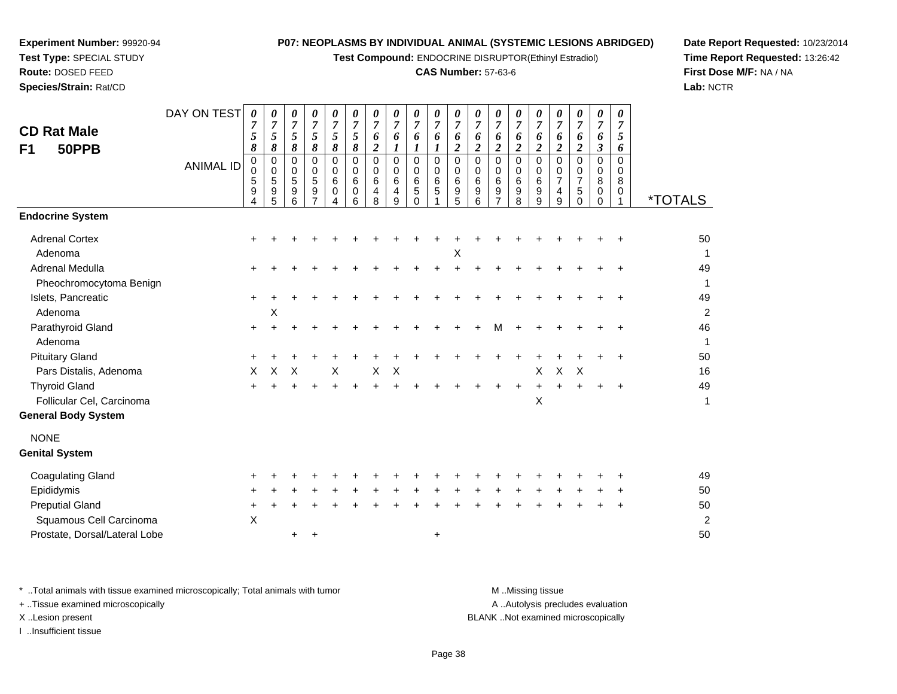**Test Compound:** ENDOCRINE DISRUPTOR(Ethinyl Estradiol)

## **CAS Number:** 57-63-6

**Date Report Requested:** 10/23/2014**Time Report Requested:** 13:26:42**First Dose M/F:** NA / NA**Lab:** NCTR

| <b>CD Rat Male</b><br>50PPB<br>F1                                                                                            | DAY ON TEST<br><b>ANIMAL ID</b> | $\boldsymbol{\theta}$<br>7<br>5<br>8<br>$\pmb{0}$<br>$\ddot{\mathbf{0}}$<br>$\mathbf 5$<br>$\frac{9}{4}$ | 0<br>$\overline{7}$<br>5<br>8<br>0<br>$\pmb{0}$<br>5<br>9<br>5 | 0<br>$\boldsymbol{7}$<br>5<br>8<br>$\mathbf 0$<br>0<br>$\overline{5}$<br>9<br>6 | 0<br>$\overline{7}$<br>5<br>8<br>$\mathbf 0$<br>0<br>5<br>9<br>$\overline{7}$ | 0<br>$\boldsymbol{7}$<br>5<br>8<br>0<br>$\mathbf 0$<br>6<br>0<br>4 | 0<br>$\boldsymbol{7}$<br>5<br>$\pmb{8}$<br>$\mathbf 0$<br>$\mathsf{O}\xspace$<br>$\,6\,$<br>0<br>6 | 0<br>$\overline{7}$<br>6<br>$\boldsymbol{2}$<br>$\Omega$<br>0<br>6<br>$\overline{4}$<br>8 | 0<br>$\overline{7}$<br>6<br>$\boldsymbol{l}$<br>0<br>$\mathbf 0$<br>6<br>4<br>9 | 0<br>$\boldsymbol{7}$<br>6<br>$\boldsymbol{l}$<br>0<br>0<br>6<br>5<br>$\Omega$ | 0<br>$\overline{7}$<br>6<br>$\boldsymbol{l}$<br>$\mathbf 0$<br>0<br>6<br>$\mathbf 5$<br>1 | 0<br>$\boldsymbol{7}$<br>6<br>$\overline{\mathbf{c}}$<br>$\mathbf 0$<br>$\mathsf{O}\xspace$<br>$\,6\,$<br>$\frac{9}{5}$ | 0<br>$\overline{7}$<br>6<br>$\overline{2}$<br>$\mathbf 0$<br>0<br>6<br>$\boldsymbol{9}$<br>6 | 0<br>$\overline{7}$<br>6<br>$\overline{2}$<br>$\mathbf 0$<br>0<br>6<br>9<br>$\overline{7}$ | 0<br>$\boldsymbol{7}$<br>6<br>$\boldsymbol{2}$<br>0<br>0<br>6<br>$\frac{9}{8}$ | 0<br>$\overline{7}$<br>6<br>$\boldsymbol{2}$<br>$\mathbf 0$<br>0<br>6<br>9<br>9 | 0<br>$\overline{7}$<br>6<br>$\overline{2}$<br>$\mathbf 0$<br>0<br>$\overline{7}$<br>4<br>9 | 0<br>7<br>6<br>$\overline{2}$<br>$\Omega$<br>0<br>$\overline{7}$<br>5<br>$\Omega$ | 0<br>$\boldsymbol{7}$<br>6<br>$\mathfrak{z}$<br>$\mathbf 0$<br>$\mathbf 0$<br>8<br>0<br>$\Omega$ | 0<br>$\overline{7}$<br>5<br>6<br>0<br>0<br>8<br>0<br>1 | <i><b>*TOTALS</b></i>                  |
|------------------------------------------------------------------------------------------------------------------------------|---------------------------------|----------------------------------------------------------------------------------------------------------|----------------------------------------------------------------|---------------------------------------------------------------------------------|-------------------------------------------------------------------------------|--------------------------------------------------------------------|----------------------------------------------------------------------------------------------------|-------------------------------------------------------------------------------------------|---------------------------------------------------------------------------------|--------------------------------------------------------------------------------|-------------------------------------------------------------------------------------------|-------------------------------------------------------------------------------------------------------------------------|----------------------------------------------------------------------------------------------|--------------------------------------------------------------------------------------------|--------------------------------------------------------------------------------|---------------------------------------------------------------------------------|--------------------------------------------------------------------------------------------|-----------------------------------------------------------------------------------|--------------------------------------------------------------------------------------------------|--------------------------------------------------------|----------------------------------------|
| <b>Endocrine System</b>                                                                                                      |                                 |                                                                                                          |                                                                |                                                                                 |                                                                               |                                                                    |                                                                                                    |                                                                                           |                                                                                 |                                                                                |                                                                                           |                                                                                                                         |                                                                                              |                                                                                            |                                                                                |                                                                                 |                                                                                            |                                                                                   |                                                                                                  |                                                        |                                        |
| <b>Adrenal Cortex</b><br>Adenoma                                                                                             |                                 |                                                                                                          |                                                                |                                                                                 |                                                                               |                                                                    |                                                                                                    |                                                                                           |                                                                                 |                                                                                |                                                                                           | х                                                                                                                       |                                                                                              |                                                                                            |                                                                                |                                                                                 |                                                                                            |                                                                                   |                                                                                                  |                                                        | 50                                     |
| Adrenal Medulla<br>Pheochromocytoma Benign                                                                                   |                                 |                                                                                                          |                                                                |                                                                                 |                                                                               |                                                                    |                                                                                                    |                                                                                           |                                                                                 |                                                                                |                                                                                           |                                                                                                                         |                                                                                              |                                                                                            |                                                                                |                                                                                 |                                                                                            |                                                                                   |                                                                                                  |                                                        | 49<br>1                                |
| Islets, Pancreatic<br>Adenoma                                                                                                |                                 |                                                                                                          | X                                                              |                                                                                 |                                                                               |                                                                    |                                                                                                    |                                                                                           |                                                                                 |                                                                                |                                                                                           |                                                                                                                         |                                                                                              |                                                                                            |                                                                                |                                                                                 |                                                                                            |                                                                                   |                                                                                                  |                                                        | 49<br>$\overline{2}$                   |
| Parathyroid Gland<br>Adenoma                                                                                                 |                                 |                                                                                                          |                                                                |                                                                                 |                                                                               |                                                                    |                                                                                                    |                                                                                           |                                                                                 |                                                                                |                                                                                           |                                                                                                                         |                                                                                              | м                                                                                          |                                                                                |                                                                                 |                                                                                            |                                                                                   |                                                                                                  |                                                        | 46<br>1                                |
| <b>Pituitary Gland</b><br>Pars Distalis, Adenoma                                                                             |                                 | X                                                                                                        | X                                                              | X                                                                               |                                                                               | X                                                                  |                                                                                                    | X                                                                                         | X                                                                               |                                                                                |                                                                                           |                                                                                                                         |                                                                                              |                                                                                            |                                                                                | X                                                                               | $\mathsf{X}$                                                                               | $\boldsymbol{\mathsf{X}}$                                                         |                                                                                                  |                                                        | 50<br>16                               |
| <b>Thyroid Gland</b><br>Follicular Cel, Carcinoma<br><b>General Body System</b>                                              |                                 |                                                                                                          |                                                                |                                                                                 |                                                                               |                                                                    |                                                                                                    |                                                                                           |                                                                                 |                                                                                |                                                                                           |                                                                                                                         |                                                                                              |                                                                                            |                                                                                | $\pmb{\times}$                                                                  | $+$                                                                                        |                                                                                   |                                                                                                  |                                                        | 49<br>$\mathbf 1$                      |
| <b>NONE</b><br><b>Genital System</b>                                                                                         |                                 |                                                                                                          |                                                                |                                                                                 |                                                                               |                                                                    |                                                                                                    |                                                                                           |                                                                                 |                                                                                |                                                                                           |                                                                                                                         |                                                                                              |                                                                                            |                                                                                |                                                                                 |                                                                                            |                                                                                   |                                                                                                  |                                                        |                                        |
| <b>Coagulating Gland</b><br>Epididymis<br><b>Preputial Gland</b><br>Squamous Cell Carcinoma<br>Prostate, Dorsal/Lateral Lobe |                                 | $\times$                                                                                                 |                                                                | ÷                                                                               | +                                                                             |                                                                    |                                                                                                    |                                                                                           |                                                                                 |                                                                                | $\ddot{}$                                                                                 |                                                                                                                         |                                                                                              |                                                                                            |                                                                                |                                                                                 |                                                                                            |                                                                                   |                                                                                                  |                                                        | 49<br>50<br>50<br>$\overline{c}$<br>50 |

\* ..Total animals with tissue examined microscopically; Total animals with tumor **M** . Missing tissue M ..Missing tissue

+ ..Tissue examined microscopically

**Experiment Number:** 99920-94**Test Type:** SPECIAL STUDY**Route:** DOSED FEED**Species/Strain:** Rat/CD

I ..Insufficient tissue

A ..Autolysis precludes evaluation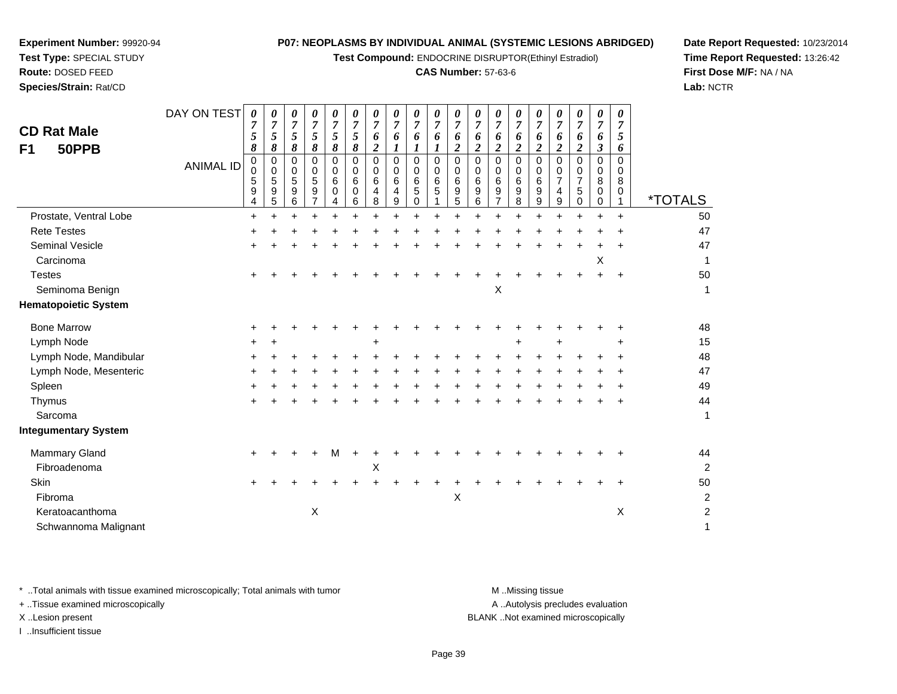**Test Compound:** ENDOCRINE DISRUPTOR(Ethinyl Estradiol)

## **CAS Number:** 57-63-6

**Date Report Requested:** 10/23/2014**Time Report Requested:** 13:26:42**First Dose M/F:** NA / NA**Lab:** NCTR

| <b>CD Rat Male</b><br>50PPB<br>F1 | DAY ON TEST<br><b>ANIMAL ID</b> | $\boldsymbol{\theta}$<br>$\overline{7}$<br>5<br>8<br>0<br>$\mathbf 0$<br>5<br>9<br>4 | 0<br>$\overline{7}$<br>5<br>8<br>0<br>0<br>5<br>$\boldsymbol{9}$<br>5 | 0<br>$\overline{7}$<br>$\sqrt{5}$<br>$\pmb{8}$<br>$\mathbf 0$<br>0<br>5<br>9<br>6 | 0<br>$\overline{7}$<br>5<br>8<br>0<br>0<br>5<br>9<br>$\overline{7}$ | 0<br>$\overline{7}$<br>5<br>8<br>$\Omega$<br>0<br>6<br>0<br>4 | 0<br>$\overline{7}$<br>5<br>8<br>0<br>$\mathbf 0$<br>$\,6\,$<br>$\mathbf 0$<br>6 | 0<br>$\overline{7}$<br>6<br>$\boldsymbol{2}$<br>$\Omega$<br>$\mathbf 0$<br>6<br>4<br>8 | 0<br>$\boldsymbol{7}$<br>6<br>$\bm{l}$<br>$\Omega$<br>$\Omega$<br>6<br>4<br>9 | 0<br>$\overline{7}$<br>6<br>1<br>$\Omega$<br>$\mathbf 0$<br>6<br>$\sqrt{5}$<br>$\mathbf 0$ | 0<br>$\overline{7}$<br>6<br>1<br>$\Omega$<br>0<br>6<br>5 | 0<br>$\overline{7}$<br>6<br>$\boldsymbol{2}$<br>$\pmb{0}$<br>$\pmb{0}$<br>$\,6\,$<br>$\frac{9}{5}$ | 0<br>$\overline{7}$<br>6<br>$\overline{c}$<br>$\mathbf 0$<br>0<br>6<br>9<br>$\,6\,$ | 0<br>$\overline{7}$<br>6<br>$\boldsymbol{2}$<br>$\Omega$<br>0<br>6<br>9<br>$\overline{7}$ | 0<br>$\overline{7}$<br>6<br>$\boldsymbol{2}$<br>$\Omega$<br>$\mathbf 0$<br>6<br>9<br>8 | 0<br>$\overline{7}$<br>6<br>$\overline{\mathbf{c}}$<br>$\Omega$<br>0<br>6<br>9<br>9 | 0<br>$\overline{7}$<br>6<br>$\overline{c}$<br>0<br>0<br>$\overline{7}$<br>4<br>$\boldsymbol{9}$ | 0<br>$\overline{7}$<br>6<br>$\overline{2}$<br>$\Omega$<br>0<br>$\overline{7}$<br>5<br>$\mathbf 0$ | 0<br>$\overline{7}$<br>6<br>$\boldsymbol{\beta}$<br>$\Omega$<br>0<br>8<br>0<br>0 | 0<br>$\overline{7}$<br>5<br>6<br>$\Omega$<br>$\mathbf 0$<br>8<br>0<br>$\mathbf{1}$ | <i><b>*TOTALS</b></i> |
|-----------------------------------|---------------------------------|--------------------------------------------------------------------------------------|-----------------------------------------------------------------------|-----------------------------------------------------------------------------------|---------------------------------------------------------------------|---------------------------------------------------------------|----------------------------------------------------------------------------------|----------------------------------------------------------------------------------------|-------------------------------------------------------------------------------|--------------------------------------------------------------------------------------------|----------------------------------------------------------|----------------------------------------------------------------------------------------------------|-------------------------------------------------------------------------------------|-------------------------------------------------------------------------------------------|----------------------------------------------------------------------------------------|-------------------------------------------------------------------------------------|-------------------------------------------------------------------------------------------------|---------------------------------------------------------------------------------------------------|----------------------------------------------------------------------------------|------------------------------------------------------------------------------------|-----------------------|
| Prostate, Ventral Lobe            |                                 | $\ddot{}$                                                                            | $\ddot{}$                                                             | $\ddot{}$                                                                         | $\ddot{}$                                                           | $\ddot{}$                                                     | $\ddot{}$                                                                        | $\ddot{}$                                                                              | $\ddot{}$                                                                     | $\ddot{}$                                                                                  | $\ddot{}$                                                | $\ddot{}$                                                                                          | $\ddot{}$                                                                           | $\ddot{}$                                                                                 | $\ddot{}$                                                                              | $\ddot{}$                                                                           | $\ddot{}$                                                                                       | ÷                                                                                                 | $\ddot{}$                                                                        | $\ddot{}$                                                                          | 50                    |
| <b>Rete Testes</b>                |                                 |                                                                                      |                                                                       |                                                                                   |                                                                     |                                                               |                                                                                  |                                                                                        |                                                                               |                                                                                            |                                                          |                                                                                                    |                                                                                     |                                                                                           |                                                                                        |                                                                                     |                                                                                                 |                                                                                                   |                                                                                  |                                                                                    | 47                    |
| <b>Seminal Vesicle</b>            |                                 |                                                                                      |                                                                       |                                                                                   |                                                                     |                                                               |                                                                                  |                                                                                        |                                                                               |                                                                                            |                                                          |                                                                                                    |                                                                                     |                                                                                           |                                                                                        |                                                                                     |                                                                                                 |                                                                                                   |                                                                                  | ÷                                                                                  | 47                    |
| Carcinoma                         |                                 |                                                                                      |                                                                       |                                                                                   |                                                                     |                                                               |                                                                                  |                                                                                        |                                                                               |                                                                                            |                                                          |                                                                                                    |                                                                                     |                                                                                           |                                                                                        |                                                                                     |                                                                                                 |                                                                                                   | X                                                                                |                                                                                    | $\mathbf{1}$          |
| <b>Testes</b>                     |                                 |                                                                                      |                                                                       |                                                                                   |                                                                     |                                                               |                                                                                  |                                                                                        |                                                                               |                                                                                            |                                                          |                                                                                                    |                                                                                     |                                                                                           |                                                                                        |                                                                                     |                                                                                                 |                                                                                                   |                                                                                  |                                                                                    | 50                    |
| Seminoma Benign                   |                                 |                                                                                      |                                                                       |                                                                                   |                                                                     |                                                               |                                                                                  |                                                                                        |                                                                               |                                                                                            |                                                          |                                                                                                    |                                                                                     | $\pmb{\times}$                                                                            |                                                                                        |                                                                                     |                                                                                                 |                                                                                                   |                                                                                  |                                                                                    | 1                     |
| <b>Hematopoietic System</b>       |                                 |                                                                                      |                                                                       |                                                                                   |                                                                     |                                                               |                                                                                  |                                                                                        |                                                                               |                                                                                            |                                                          |                                                                                                    |                                                                                     |                                                                                           |                                                                                        |                                                                                     |                                                                                                 |                                                                                                   |                                                                                  |                                                                                    |                       |
| <b>Bone Marrow</b>                |                                 | ٠                                                                                    |                                                                       |                                                                                   |                                                                     |                                                               |                                                                                  |                                                                                        |                                                                               |                                                                                            |                                                          |                                                                                                    |                                                                                     |                                                                                           |                                                                                        |                                                                                     |                                                                                                 |                                                                                                   |                                                                                  |                                                                                    | 48                    |
| Lymph Node                        |                                 | +                                                                                    |                                                                       |                                                                                   |                                                                     |                                                               |                                                                                  |                                                                                        |                                                                               |                                                                                            |                                                          |                                                                                                    |                                                                                     |                                                                                           |                                                                                        |                                                                                     |                                                                                                 |                                                                                                   |                                                                                  |                                                                                    | 15                    |
| Lymph Node, Mandibular            |                                 | ٠                                                                                    |                                                                       |                                                                                   |                                                                     |                                                               |                                                                                  |                                                                                        |                                                                               |                                                                                            |                                                          |                                                                                                    |                                                                                     |                                                                                           |                                                                                        |                                                                                     |                                                                                                 |                                                                                                   |                                                                                  |                                                                                    | 48                    |
| Lymph Node, Mesenteric            |                                 |                                                                                      |                                                                       |                                                                                   |                                                                     |                                                               |                                                                                  |                                                                                        |                                                                               |                                                                                            |                                                          |                                                                                                    |                                                                                     |                                                                                           |                                                                                        |                                                                                     |                                                                                                 |                                                                                                   |                                                                                  |                                                                                    | 47                    |
| Spleen                            |                                 |                                                                                      |                                                                       |                                                                                   |                                                                     |                                                               |                                                                                  |                                                                                        |                                                                               |                                                                                            |                                                          |                                                                                                    |                                                                                     |                                                                                           |                                                                                        |                                                                                     |                                                                                                 |                                                                                                   |                                                                                  |                                                                                    | 49                    |
| Thymus                            |                                 |                                                                                      |                                                                       |                                                                                   |                                                                     |                                                               |                                                                                  |                                                                                        |                                                                               |                                                                                            |                                                          |                                                                                                    |                                                                                     |                                                                                           |                                                                                        |                                                                                     |                                                                                                 |                                                                                                   |                                                                                  |                                                                                    | 44                    |
| Sarcoma                           |                                 |                                                                                      |                                                                       |                                                                                   |                                                                     |                                                               |                                                                                  |                                                                                        |                                                                               |                                                                                            |                                                          |                                                                                                    |                                                                                     |                                                                                           |                                                                                        |                                                                                     |                                                                                                 |                                                                                                   |                                                                                  |                                                                                    | 1                     |
| <b>Integumentary System</b>       |                                 |                                                                                      |                                                                       |                                                                                   |                                                                     |                                                               |                                                                                  |                                                                                        |                                                                               |                                                                                            |                                                          |                                                                                                    |                                                                                     |                                                                                           |                                                                                        |                                                                                     |                                                                                                 |                                                                                                   |                                                                                  |                                                                                    |                       |
| Mammary Gland                     |                                 |                                                                                      |                                                                       |                                                                                   |                                                                     | М                                                             |                                                                                  |                                                                                        |                                                                               |                                                                                            |                                                          |                                                                                                    |                                                                                     |                                                                                           |                                                                                        |                                                                                     |                                                                                                 |                                                                                                   |                                                                                  |                                                                                    | 44                    |
| Fibroadenoma                      |                                 |                                                                                      |                                                                       |                                                                                   |                                                                     |                                                               |                                                                                  | X                                                                                      |                                                                               |                                                                                            |                                                          |                                                                                                    |                                                                                     |                                                                                           |                                                                                        |                                                                                     |                                                                                                 |                                                                                                   |                                                                                  |                                                                                    | $\overline{2}$        |
| Skin                              |                                 |                                                                                      |                                                                       |                                                                                   |                                                                     |                                                               |                                                                                  |                                                                                        |                                                                               |                                                                                            |                                                          |                                                                                                    |                                                                                     |                                                                                           |                                                                                        |                                                                                     |                                                                                                 |                                                                                                   |                                                                                  |                                                                                    | 50                    |
| Fibroma                           |                                 |                                                                                      |                                                                       |                                                                                   |                                                                     |                                                               |                                                                                  |                                                                                        |                                                                               |                                                                                            |                                                          | Χ                                                                                                  |                                                                                     |                                                                                           |                                                                                        |                                                                                     |                                                                                                 |                                                                                                   |                                                                                  |                                                                                    | $\overline{c}$        |
| Keratoacanthoma                   |                                 |                                                                                      |                                                                       |                                                                                   | $\times$                                                            |                                                               |                                                                                  |                                                                                        |                                                                               |                                                                                            |                                                          |                                                                                                    |                                                                                     |                                                                                           |                                                                                        |                                                                                     |                                                                                                 |                                                                                                   |                                                                                  | X                                                                                  | $\overline{c}$        |
| Schwannoma Malignant              |                                 |                                                                                      |                                                                       |                                                                                   |                                                                     |                                                               |                                                                                  |                                                                                        |                                                                               |                                                                                            |                                                          |                                                                                                    |                                                                                     |                                                                                           |                                                                                        |                                                                                     |                                                                                                 |                                                                                                   |                                                                                  |                                                                                    | 1                     |
|                                   |                                 |                                                                                      |                                                                       |                                                                                   |                                                                     |                                                               |                                                                                  |                                                                                        |                                                                               |                                                                                            |                                                          |                                                                                                    |                                                                                     |                                                                                           |                                                                                        |                                                                                     |                                                                                                 |                                                                                                   |                                                                                  |                                                                                    |                       |

\* ..Total animals with tissue examined microscopically; Total animals with tumor **M** . Missing tissue M ..Missing tissue

+ ..Tissue examined microscopically

**Experiment Number:** 99920-94**Test Type:** SPECIAL STUDY**Route:** DOSED FEED**Species/Strain:** Rat/CD

I ..Insufficient tissue

A ..Autolysis precludes evaluation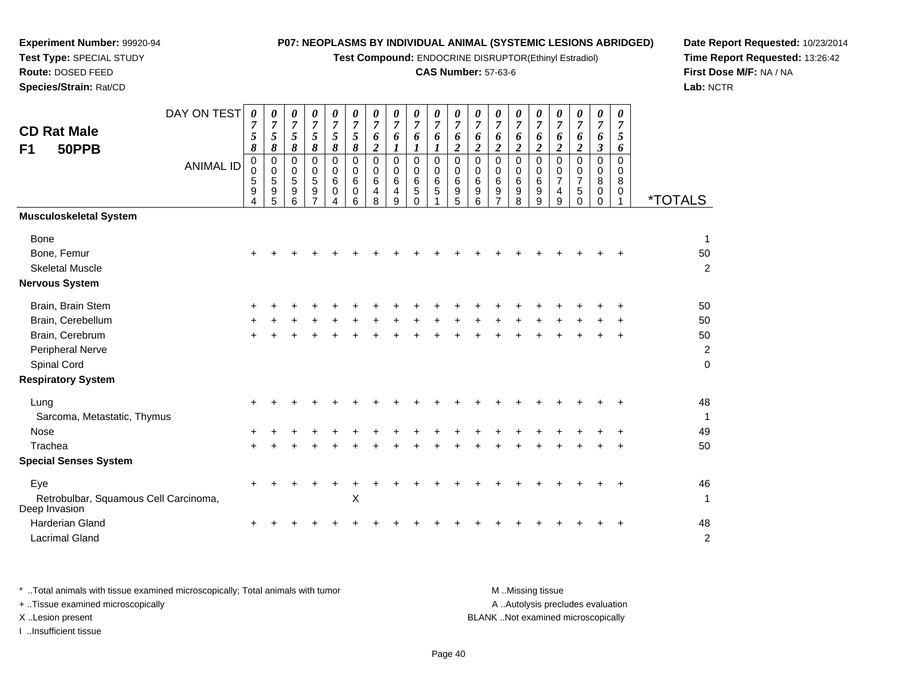**Test Compound:** ENDOCRINE DISRUPTOR(Ethinyl Estradiol)

# **CAS Number:** 57-63-6

**Date Report Requested:** 10/23/2014 **Time Report Requested:** 13:26:42**First Dose M/F:** NA / NA**Lab:** NCTR

| <b>CD Rat Male</b><br>50PPB<br>F <sub>1</sub>          | DAY ON TEST<br><b>ANIMAL ID</b> | 0<br>7<br>5<br>8<br>$\mathbf 0$<br>$\mathbf 0$<br>5<br>9<br>4 | 0<br>$\overline{7}$<br>5<br>8<br>0<br>$\mathbf 0$<br>5<br>9<br>5 | 0<br>$\overline{7}$<br>5<br>8<br>0<br>$\pmb{0}$<br>5<br>$\boldsymbol{9}$<br>6 | 0<br>$\overline{7}$<br>5<br>8<br>0<br>0<br>5<br>9 | 0<br>$\boldsymbol{7}$<br>5<br>$\boldsymbol{\delta}$<br>0<br>0<br>6<br>$\mathbf 0$<br>4 | 0<br>$\overline{7}$<br>$\sqrt{5}$<br>8<br>$\Omega$<br>$\mathbf 0$<br>6<br>0<br>6 | 0<br>$\boldsymbol{7}$<br>6<br>$\boldsymbol{2}$<br>$\mathbf 0$<br>0<br>6<br>4<br>8 | 0<br>$\overline{7}$<br>6<br>1<br>$\mathbf 0$<br>$\mathbf 0$<br>6<br>4<br>9 | 0<br>$\overline{7}$<br>6<br>1<br>$\mathbf 0$<br>$\mathbf 0$<br>6<br>$\,$ 5 $\,$<br>$\Omega$ | 0<br>$\overline{7}$<br>6<br>1<br>$\mathbf 0$<br>$\mathbf 0$<br>6<br>5 | 0<br>$\overline{7}$<br>6<br>$\overline{\mathbf{c}}$<br>0<br>0<br>6<br>9<br>5 | 0<br>$\overline{7}$<br>6<br>$\overline{2}$<br>$\pmb{0}$<br>0<br>6<br>9<br>6 | 0<br>$\overline{7}$<br>6<br>$\overline{2}$<br>$\mathbf 0$<br>$\mathbf 0$<br>6<br>9 | 0<br>$\overline{7}$<br>6<br>$\boldsymbol{2}$<br>0<br>$\pmb{0}$<br>$6\phantom{1}6$<br>$\boldsymbol{9}$<br>8 | 0<br>$\overline{7}$<br>6<br>$\overline{a}$<br>$\Omega$<br>0<br>6<br>9<br>9 | 0<br>$\overline{7}$<br>6<br>$\overline{2}$<br>$\mathbf 0$<br>0<br>$\overline{7}$<br>4<br>9 | 0<br>$\overline{7}$<br>6<br>$\boldsymbol{2}$<br>$\Omega$<br>0<br>7<br>$\mathbf 5$<br>$\mathbf 0$ | 0<br>$\boldsymbol{7}$<br>6<br>$\boldsymbol{\beta}$<br>$\mathbf 0$<br>0<br>$\bf 8$<br>0<br>0 | 0<br>$\overline{7}$<br>$\mathfrak{s}$<br>6<br>$\Omega$<br>0<br>8<br>$\mathbf 0$<br>1 | <i><b>*TOTALS</b></i> |
|--------------------------------------------------------|---------------------------------|---------------------------------------------------------------|------------------------------------------------------------------|-------------------------------------------------------------------------------|---------------------------------------------------|----------------------------------------------------------------------------------------|----------------------------------------------------------------------------------|-----------------------------------------------------------------------------------|----------------------------------------------------------------------------|---------------------------------------------------------------------------------------------|-----------------------------------------------------------------------|------------------------------------------------------------------------------|-----------------------------------------------------------------------------|------------------------------------------------------------------------------------|------------------------------------------------------------------------------------------------------------|----------------------------------------------------------------------------|--------------------------------------------------------------------------------------------|--------------------------------------------------------------------------------------------------|---------------------------------------------------------------------------------------------|--------------------------------------------------------------------------------------|-----------------------|
| <b>Musculoskeletal System</b>                          |                                 |                                                               |                                                                  |                                                                               |                                                   |                                                                                        |                                                                                  |                                                                                   |                                                                            |                                                                                             |                                                                       |                                                                              |                                                                             |                                                                                    |                                                                                                            |                                                                            |                                                                                            |                                                                                                  |                                                                                             |                                                                                      |                       |
| <b>Bone</b>                                            |                                 |                                                               |                                                                  |                                                                               |                                                   |                                                                                        |                                                                                  |                                                                                   |                                                                            |                                                                                             |                                                                       |                                                                              |                                                                             |                                                                                    |                                                                                                            |                                                                            |                                                                                            |                                                                                                  |                                                                                             |                                                                                      | $\mathbf 1$           |
| Bone, Femur                                            |                                 |                                                               |                                                                  |                                                                               |                                                   |                                                                                        |                                                                                  |                                                                                   |                                                                            |                                                                                             |                                                                       |                                                                              |                                                                             |                                                                                    |                                                                                                            |                                                                            |                                                                                            |                                                                                                  |                                                                                             |                                                                                      | 50                    |
| <b>Skeletal Muscle</b>                                 |                                 |                                                               |                                                                  |                                                                               |                                                   |                                                                                        |                                                                                  |                                                                                   |                                                                            |                                                                                             |                                                                       |                                                                              |                                                                             |                                                                                    |                                                                                                            |                                                                            |                                                                                            |                                                                                                  |                                                                                             |                                                                                      | $\overline{c}$        |
| <b>Nervous System</b>                                  |                                 |                                                               |                                                                  |                                                                               |                                                   |                                                                                        |                                                                                  |                                                                                   |                                                                            |                                                                                             |                                                                       |                                                                              |                                                                             |                                                                                    |                                                                                                            |                                                                            |                                                                                            |                                                                                                  |                                                                                             |                                                                                      |                       |
| Brain, Brain Stem                                      |                                 |                                                               |                                                                  |                                                                               |                                                   |                                                                                        |                                                                                  |                                                                                   |                                                                            |                                                                                             |                                                                       |                                                                              |                                                                             |                                                                                    |                                                                                                            |                                                                            |                                                                                            |                                                                                                  |                                                                                             |                                                                                      | 50                    |
| Brain, Cerebellum                                      |                                 |                                                               |                                                                  |                                                                               |                                                   |                                                                                        |                                                                                  |                                                                                   |                                                                            |                                                                                             |                                                                       |                                                                              |                                                                             |                                                                                    |                                                                                                            |                                                                            |                                                                                            |                                                                                                  |                                                                                             |                                                                                      | 50                    |
| Brain, Cerebrum                                        |                                 |                                                               |                                                                  |                                                                               |                                                   |                                                                                        |                                                                                  |                                                                                   |                                                                            |                                                                                             |                                                                       |                                                                              |                                                                             |                                                                                    |                                                                                                            |                                                                            |                                                                                            |                                                                                                  |                                                                                             |                                                                                      | 50                    |
| Peripheral Nerve                                       |                                 |                                                               |                                                                  |                                                                               |                                                   |                                                                                        |                                                                                  |                                                                                   |                                                                            |                                                                                             |                                                                       |                                                                              |                                                                             |                                                                                    |                                                                                                            |                                                                            |                                                                                            |                                                                                                  |                                                                                             |                                                                                      | $\overline{c}$        |
| Spinal Cord                                            |                                 |                                                               |                                                                  |                                                                               |                                                   |                                                                                        |                                                                                  |                                                                                   |                                                                            |                                                                                             |                                                                       |                                                                              |                                                                             |                                                                                    |                                                                                                            |                                                                            |                                                                                            |                                                                                                  |                                                                                             |                                                                                      | $\mathbf 0$           |
| <b>Respiratory System</b>                              |                                 |                                                               |                                                                  |                                                                               |                                                   |                                                                                        |                                                                                  |                                                                                   |                                                                            |                                                                                             |                                                                       |                                                                              |                                                                             |                                                                                    |                                                                                                            |                                                                            |                                                                                            |                                                                                                  |                                                                                             |                                                                                      |                       |
| Lung                                                   |                                 | +                                                             |                                                                  |                                                                               |                                                   |                                                                                        |                                                                                  |                                                                                   |                                                                            |                                                                                             |                                                                       |                                                                              |                                                                             |                                                                                    |                                                                                                            |                                                                            |                                                                                            |                                                                                                  |                                                                                             |                                                                                      | 48                    |
| Sarcoma, Metastatic, Thymus                            |                                 |                                                               |                                                                  |                                                                               |                                                   |                                                                                        |                                                                                  |                                                                                   |                                                                            |                                                                                             |                                                                       |                                                                              |                                                                             |                                                                                    |                                                                                                            |                                                                            |                                                                                            |                                                                                                  |                                                                                             |                                                                                      | 1                     |
| <b>Nose</b>                                            |                                 |                                                               |                                                                  |                                                                               |                                                   |                                                                                        |                                                                                  |                                                                                   |                                                                            |                                                                                             |                                                                       |                                                                              |                                                                             |                                                                                    |                                                                                                            |                                                                            |                                                                                            |                                                                                                  |                                                                                             |                                                                                      | 49                    |
| Trachea                                                |                                 |                                                               |                                                                  |                                                                               |                                                   |                                                                                        |                                                                                  |                                                                                   |                                                                            |                                                                                             |                                                                       |                                                                              |                                                                             |                                                                                    |                                                                                                            |                                                                            |                                                                                            |                                                                                                  |                                                                                             |                                                                                      | 50                    |
| <b>Special Senses System</b>                           |                                 |                                                               |                                                                  |                                                                               |                                                   |                                                                                        |                                                                                  |                                                                                   |                                                                            |                                                                                             |                                                                       |                                                                              |                                                                             |                                                                                    |                                                                                                            |                                                                            |                                                                                            |                                                                                                  |                                                                                             |                                                                                      |                       |
| Eye                                                    |                                 | ÷                                                             |                                                                  |                                                                               |                                                   |                                                                                        |                                                                                  |                                                                                   |                                                                            |                                                                                             |                                                                       |                                                                              |                                                                             |                                                                                    |                                                                                                            |                                                                            |                                                                                            |                                                                                                  |                                                                                             | $\ddot{}$                                                                            | 46                    |
| Retrobulbar, Squamous Cell Carcinoma,<br>Deep Invasion |                                 |                                                               |                                                                  |                                                                               |                                                   |                                                                                        | X                                                                                |                                                                                   |                                                                            |                                                                                             |                                                                       |                                                                              |                                                                             |                                                                                    |                                                                                                            |                                                                            |                                                                                            |                                                                                                  |                                                                                             |                                                                                      | $\mathbf{1}$          |
| <b>Harderian Gland</b>                                 |                                 |                                                               |                                                                  |                                                                               |                                                   |                                                                                        |                                                                                  |                                                                                   |                                                                            |                                                                                             |                                                                       |                                                                              |                                                                             |                                                                                    |                                                                                                            |                                                                            |                                                                                            |                                                                                                  |                                                                                             |                                                                                      | 48                    |
| <b>Lacrimal Gland</b>                                  |                                 |                                                               |                                                                  |                                                                               |                                                   |                                                                                        |                                                                                  |                                                                                   |                                                                            |                                                                                             |                                                                       |                                                                              |                                                                             |                                                                                    |                                                                                                            |                                                                            |                                                                                            |                                                                                                  |                                                                                             |                                                                                      | $\boldsymbol{2}$      |

| Total animals with tissue examined microscopically; Total animals with tumor | M Missing tissue                   |
|------------------------------------------------------------------------------|------------------------------------|
| + Tissue examined microscopically                                            | A Autolysis precludes evaluation   |
| X Lesion present                                                             | BLANK Not examined microscopically |
| Insufficient tissue                                                          |                                    |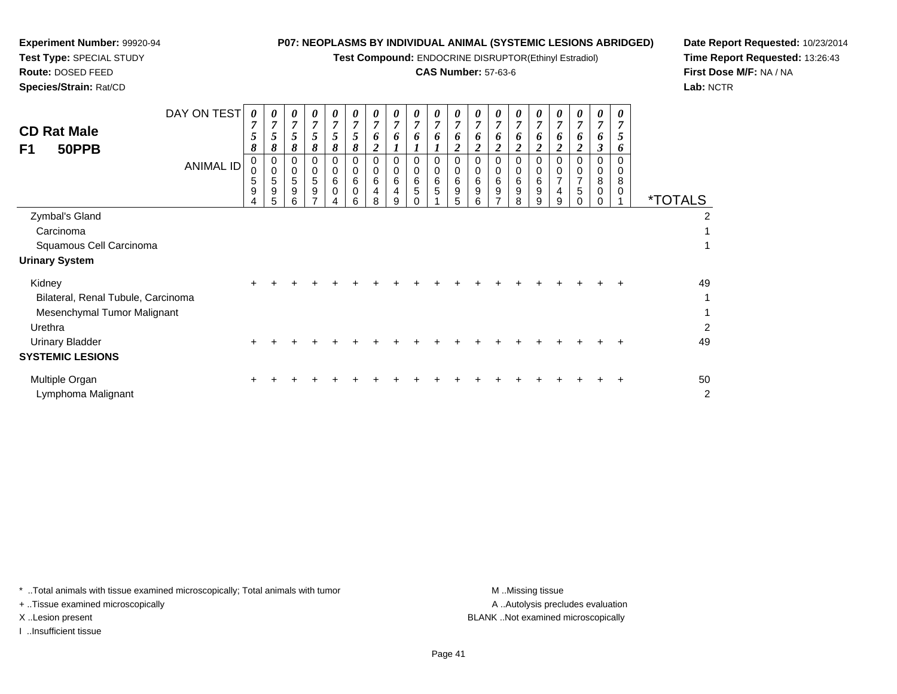**Test Compound:** ENDOCRINE DISRUPTOR(Ethinyl Estradiol)

## **CAS Number:** 57-63-6

**Date Report Requested:** 10/23/2014**Time Report Requested:** 13:26:43**First Dose M/F:** NA / NA**Lab:** NCTR

 $\overline{2}$ 

| <b>CD Rat Male</b>                 | DAY ON TEST      | 0<br>7<br>5      | 0                | 0<br>7<br>5      | 0<br>7<br>5               | $\boldsymbol{\theta}$<br>$\boldsymbol{7}$<br>5 | 0<br>$\overline{7}$<br>5   | 0<br>$\overline{7}$ | 0<br>$\overline{7}$<br>6 | 0<br>$\overline{7}$<br>6 | 0<br>7<br>6      | 0<br>$\overline{7}$<br>6              | $\theta$<br>$\overline{7}$<br>o | $\boldsymbol{\theta}$<br>$\overline{7}$<br>6 | $\theta$<br>7<br>o | 0<br>7<br>6      | 0<br>7              | 0<br>7<br>6                   | $\theta$<br>7<br>O. | 0<br>$\overline{7}$<br>5 |                       |
|------------------------------------|------------------|------------------|------------------|------------------|---------------------------|------------------------------------------------|----------------------------|---------------------|--------------------------|--------------------------|------------------|---------------------------------------|---------------------------------|----------------------------------------------|--------------------|------------------|---------------------|-------------------------------|---------------------|--------------------------|-----------------------|
| F1<br>50PPB                        |                  | 8                | 8                | 8                | 8                         | 8                                              | 8                          | 0<br>$\overline{2}$ |                          |                          |                  | $\overline{2}$                        | <u>ีว</u>                       |                                              |                    |                  | o<br>2              |                               | 3                   | 6                        |                       |
|                                    | <b>ANIMAL ID</b> | 0<br>0<br>5<br>9 | 0<br>0<br>5<br>9 | 0<br>0<br>5<br>9 | 0<br>0<br>$\sqrt{5}$<br>9 | 0<br>0<br>$\,6$<br>0                           | 0<br>0<br>6<br>$\mathbf 0$ | 0<br>0<br>6         | 0<br>0<br>6<br>4         | 0<br>0<br>6<br>5         | 0<br>0<br>6<br>5 | 0<br>0<br>$\,6\,$<br>$\boldsymbol{9}$ | 0<br>0<br>6<br>9                | 0<br>0<br>6<br>9                             | 6<br>9             | 0<br>0<br>6<br>9 | $\overline{ }$<br>4 | 0<br>0<br>$\overline{7}$<br>5 | 0<br>0<br>8<br>0    | $\Omega$<br>0<br>8<br>0  |                       |
|                                    |                  | 4                | 5                | 6                |                           | 4                                              | 6                          | 8                   | 9                        |                          |                  | 5                                     | 6                               |                                              | 8                  | 9                | 9                   |                               |                     |                          | <i><b>*TOTALS</b></i> |
| Zymbal's Gland                     |                  |                  |                  |                  |                           |                                                |                            |                     |                          |                          |                  |                                       |                                 |                                              |                    |                  |                     |                               |                     |                          | 2                     |
| Carcinoma                          |                  |                  |                  |                  |                           |                                                |                            |                     |                          |                          |                  |                                       |                                 |                                              |                    |                  |                     |                               |                     |                          |                       |
| Squamous Cell Carcinoma            |                  |                  |                  |                  |                           |                                                |                            |                     |                          |                          |                  |                                       |                                 |                                              |                    |                  |                     |                               |                     |                          |                       |
| <b>Urinary System</b>              |                  |                  |                  |                  |                           |                                                |                            |                     |                          |                          |                  |                                       |                                 |                                              |                    |                  |                     |                               |                     |                          |                       |
| Kidney                             |                  |                  |                  |                  |                           |                                                |                            |                     |                          |                          |                  |                                       |                                 |                                              |                    |                  |                     |                               |                     |                          | 49                    |
| Bilateral, Renal Tubule, Carcinoma |                  |                  |                  |                  |                           |                                                |                            |                     |                          |                          |                  |                                       |                                 |                                              |                    |                  |                     |                               |                     |                          |                       |
| Mesenchymal Tumor Malignant        |                  |                  |                  |                  |                           |                                                |                            |                     |                          |                          |                  |                                       |                                 |                                              |                    |                  |                     |                               |                     |                          |                       |
| Urethra                            |                  |                  |                  |                  |                           |                                                |                            |                     |                          |                          |                  |                                       |                                 |                                              |                    |                  |                     |                               |                     |                          | $\overline{2}$        |
| Urinary Bladder                    |                  |                  |                  |                  |                           |                                                |                            |                     |                          |                          |                  |                                       |                                 |                                              |                    |                  |                     |                               |                     |                          | 49                    |
| <b>SYSTEMIC LESIONS</b>            |                  |                  |                  |                  |                           |                                                |                            |                     |                          |                          |                  |                                       |                                 |                                              |                    |                  |                     |                               |                     |                          |                       |

| Multiple Organ     |  |  | + + + + + + + + + + + + + + + + + + + |  |  |  |  |  |  |  | 50 |
|--------------------|--|--|---------------------------------------|--|--|--|--|--|--|--|----|
| Lymphoma Malignant |  |  |                                       |  |  |  |  |  |  |  |    |

\* ..Total animals with tissue examined microscopically; Total animals with tumor **M** . Missing tissue M ..Missing tissue

+ ..Tissue examined microscopically

**Experiment Number:** 99920-94**Test Type:** SPECIAL STUDY**Route:** DOSED FEED**Species/Strain:** Rat/CD

I ..Insufficient tissue

A ..Autolysis precludes evaluation X ..Lesion present BLANK ..Not examined microscopically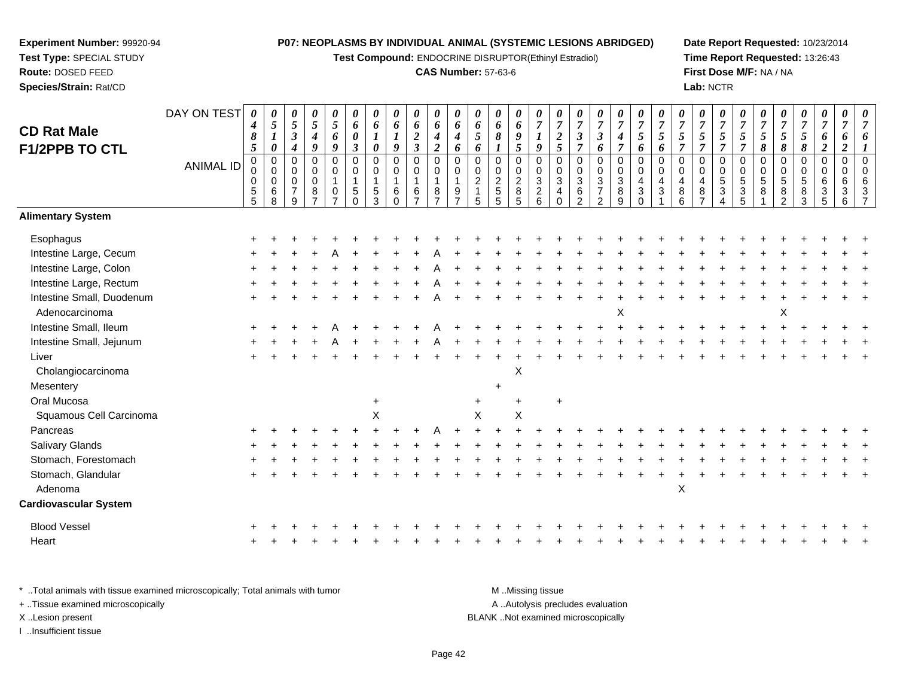**Test Compound:** ENDOCRINE DISRUPTOR(Ethinyl Estradiol)

#### **CAS Number:** 57-63-6

**Date Report Requested:** 10/23/2014**Time Report Requested:** 13:26:43**First Dose M/F:** NA / NA**Lab:** NCTR

#### DAY ON TEST**CD Rat Male F1/2PPB TO CTL**ANIMAL ID*0 4 8 5* 0 0 0 5 5*0 5 1 0* 0 0 0 6 8*0 5 3 4* 0 0 0 7 9*0 5 4 9* 0 0 0 8 7*0 5 6 9* 0 0 1 0 7*0 6 0 3* 0 0 1 5 0*0 6 1 0* 0 0 1 5 3*0 6 1 9* 0 0 1 6 0*0 6 2 3* 0 0 1 6 7*0 6 4 2* 0 0 1 8 7*0 6 4 6* 0 0 1 9 7*0 6 5 6* 0 0 2 1 5*0 6 8 1* 0 0 2 5 5*0 6 9 5* 0 0 2 8 5*0 7 1 9* 0 0 3 2 6*0 7 2 5* 0 0 3 4 0*0 7 3 7* 0 0 3 6 2*0 7 3 6* 0 0 3 7 2*0 7 4 7* 0 0 3 8 9*0 7 5 6* 0 0 4 3 0*0 7 5 6* 0 0 4 3 1*0 7 5 7* 0 0 4 8 6*0 7 5 7* 0 0 4 8 7*0 7 5 7* 0 0 5 3 4*0 7 5 7* 0 0 5 3 5*0 7 5 8* 0 0 5 8 1*0 7 5 8* 0 0 5 8 2*0 7 5 8* 0 0 5 8 3*0 7 6 2* 0 0 6 3 5*0 7 6 2* 0 0 6 3 6*0 7 6 1* 0 0 6 3 7**Alimentary SystemEsophagus**  $\mathsf{S}$  + <sup>+</sup> <sup>+</sup> <sup>+</sup> <sup>+</sup> <sup>+</sup> <sup>+</sup> <sup>+</sup> <sup>+</sup> <sup>+</sup> <sup>+</sup> <sup>+</sup> <sup>+</sup> <sup>+</sup> <sup>+</sup> <sup>+</sup> <sup>+</sup> <sup>+</sup> <sup>+</sup> <sup>+</sup> <sup>+</sup> <sup>+</sup> <sup>+</sup> <sup>+</sup> <sup>+</sup> <sup>+</sup> <sup>+</sup> <sup>+</sup> <sup>+</sup> <sup>+</sup> <sup>+</sup> Intestine Large, Cecum <sup>+</sup> <sup>+</sup> <sup>+</sup> <sup>+</sup> <sup>A</sup> <sup>+</sup> <sup>+</sup> <sup>+</sup> <sup>+</sup> <sup>A</sup> <sup>+</sup> <sup>+</sup> <sup>+</sup> <sup>+</sup> <sup>+</sup> <sup>+</sup> <sup>+</sup> <sup>+</sup> <sup>+</sup> <sup>+</sup> <sup>+</sup> <sup>+</sup> <sup>+</sup> <sup>+</sup> <sup>+</sup> <sup>+</sup> <sup>+</sup> <sup>+</sup> <sup>+</sup> <sup>+</sup> <sup>+</sup> Intestine Large, Colonn  $+$  <sup>+</sup> <sup>+</sup> <sup>+</sup> <sup>+</sup> <sup>+</sup> <sup>+</sup> <sup>+</sup> <sup>+</sup> <sup>A</sup> <sup>+</sup> <sup>+</sup> <sup>+</sup> <sup>+</sup> <sup>+</sup> <sup>+</sup> <sup>+</sup> <sup>+</sup> <sup>+</sup> <sup>+</sup> <sup>+</sup> <sup>+</sup> <sup>+</sup> <sup>+</sup> <sup>+</sup> <sup>+</sup> <sup>+</sup> <sup>+</sup> <sup>+</sup> <sup>+</sup> <sup>+</sup> Intestine Large, Rectum <sup>+</sup> <sup>+</sup> <sup>+</sup> <sup>+</sup> <sup>+</sup> <sup>+</sup> <sup>+</sup> <sup>+</sup> <sup>+</sup> <sup>A</sup> <sup>+</sup> <sup>+</sup> <sup>+</sup> <sup>+</sup> <sup>+</sup> <sup>+</sup> <sup>+</sup> <sup>+</sup> <sup>+</sup> <sup>+</sup> <sup>+</sup> <sup>+</sup> <sup>+</sup> <sup>+</sup> <sup>+</sup> <sup>+</sup> <sup>+</sup> <sup>+</sup> <sup>+</sup> <sup>+</sup> <sup>+</sup> Intestine Small, Duodenum <sup>+</sup> <sup>+</sup> <sup>+</sup> <sup>+</sup> <sup>+</sup> <sup>+</sup> <sup>+</sup> <sup>+</sup> <sup>+</sup> <sup>A</sup> <sup>+</sup> <sup>+</sup> <sup>+</sup> <sup>+</sup> <sup>+</sup> <sup>+</sup> <sup>+</sup> <sup>+</sup> <sup>+</sup> <sup>+</sup> <sup>+</sup> <sup>+</sup> <sup>+</sup> <sup>+</sup> <sup>+</sup> <sup>+</sup> <sup>+</sup> <sup>+</sup> <sup>+</sup> <sup>+</sup> <sup>+</sup> Adenocarcinoma $\alpha$  $\mathsf{x}$  x  $\mathsf{x}$ Intestine Small, Ileum <sup>+</sup> <sup>+</sup> <sup>+</sup> <sup>+</sup> <sup>A</sup> <sup>+</sup> <sup>+</sup> <sup>+</sup> <sup>+</sup> <sup>A</sup> <sup>+</sup> <sup>+</sup> <sup>+</sup> <sup>+</sup> <sup>+</sup> <sup>+</sup> <sup>+</sup> <sup>+</sup> <sup>+</sup> <sup>+</sup> <sup>+</sup> <sup>+</sup> <sup>+</sup> <sup>+</sup> <sup>+</sup> <sup>+</sup> <sup>+</sup> <sup>+</sup> <sup>+</sup> <sup>+</sup> <sup>+</sup> Intestine Small, Jejunum <sup>+</sup> <sup>+</sup> <sup>+</sup> <sup>+</sup> <sup>A</sup> <sup>+</sup> <sup>+</sup> <sup>+</sup> <sup>+</sup> <sup>A</sup> <sup>+</sup> <sup>+</sup> <sup>+</sup> <sup>+</sup> <sup>+</sup> <sup>+</sup> <sup>+</sup> <sup>+</sup> <sup>+</sup> <sup>+</sup> <sup>+</sup> <sup>+</sup> <sup>+</sup> <sup>+</sup> <sup>+</sup> <sup>+</sup> <sup>+</sup> <sup>+</sup> <sup>+</sup> <sup>+</sup> <sup>+</sup> Liver $\mathsf{r}$  + <sup>+</sup> <sup>+</sup> <sup>+</sup> <sup>+</sup> <sup>+</sup> <sup>+</sup> <sup>+</sup> <sup>+</sup> <sup>+</sup> <sup>+</sup> <sup>+</sup> <sup>+</sup> <sup>+</sup> <sup>+</sup> <sup>+</sup> <sup>+</sup> <sup>+</sup> <sup>+</sup> <sup>+</sup> <sup>+</sup> <sup>+</sup> <sup>+</sup> <sup>+</sup> <sup>+</sup> <sup>+</sup> <sup>+</sup> <sup>+</sup> <sup>+</sup> <sup>+</sup> <sup>+</sup> Cholangiocarcinoma $\alpha$ **Mesentery**  $\mathsf{y}$ Oral Mucosaa  $+$  <sup>+</sup> <sup>+</sup> <sup>+</sup> Squamous Cell Carcinomaa  $\lambda$  $x \times x$ Pancreas <sup>+</sup> <sup>+</sup> <sup>+</sup> <sup>+</sup> <sup>+</sup> <sup>+</sup> <sup>+</sup> <sup>+</sup> <sup>+</sup> <sup>A</sup> <sup>+</sup> <sup>+</sup> <sup>+</sup> <sup>+</sup> <sup>+</sup> <sup>+</sup> <sup>+</sup> <sup>+</sup> <sup>+</sup> <sup>+</sup> <sup>+</sup> <sup>+</sup> <sup>+</sup> <sup>+</sup> <sup>+</sup> <sup>+</sup> <sup>+</sup> <sup>+</sup> <sup>+</sup> <sup>+</sup> <sup>+</sup> Salivary Glands $\sim$   $\sim$   $\sim$   $\sim$   $\sim$   $\sim$  <sup>+</sup> <sup>+</sup> <sup>+</sup> <sup>+</sup> <sup>+</sup> <sup>+</sup> <sup>+</sup> <sup>+</sup> <sup>+</sup> <sup>+</sup> <sup>+</sup> <sup>+</sup> <sup>+</sup> <sup>+</sup> <sup>+</sup> <sup>+</sup> <sup>+</sup> <sup>+</sup> <sup>+</sup> <sup>+</sup> <sup>+</sup> <sup>+</sup> <sup>+</sup> <sup>+</sup> <sup>+</sup> <sup>+</sup> <sup>+</sup> <sup>+</sup> <sup>+</sup> <sup>+</sup> Stomach, Forestomach $h \rightarrow$  <sup>+</sup> <sup>+</sup> <sup>+</sup> <sup>+</sup> <sup>+</sup> <sup>+</sup> <sup>+</sup> <sup>+</sup> <sup>+</sup> <sup>+</sup> <sup>+</sup> <sup>+</sup> <sup>+</sup> <sup>+</sup> <sup>+</sup> <sup>+</sup> <sup>+</sup> <sup>+</sup> <sup>+</sup> <sup>+</sup> <sup>+</sup> <sup>+</sup> <sup>+</sup> <sup>+</sup> <sup>+</sup> <sup>+</sup> <sup>+</sup> <sup>+</sup> <sup>+</sup> <sup>+</sup> Stomach, Glandularr + <sup>+</sup> <sup>+</sup> <sup>+</sup> <sup>+</sup> <sup>+</sup> <sup>+</sup> <sup>+</sup> <sup>+</sup> <sup>+</sup> <sup>+</sup> <sup>+</sup> <sup>+</sup> <sup>+</sup> <sup>+</sup> <sup>+</sup> <sup>+</sup> <sup>+</sup> <sup>+</sup> <sup>+</sup> <sup>+</sup> <sup>+</sup> <sup>+</sup> <sup>+</sup> <sup>+</sup> <sup>+</sup> <sup>+</sup> <sup>+</sup> <sup>+</sup> <sup>+</sup> <sup>+</sup> Adenoma $\alpha$ **Cardiovascular System**Blood Vessel $\mathbf{+}$  <sup>+</sup> <sup>+</sup> <sup>+</sup> <sup>+</sup> <sup>+</sup> <sup>+</sup> <sup>+</sup> <sup>+</sup> <sup>+</sup> <sup>+</sup> <sup>+</sup> <sup>+</sup> <sup>+</sup> <sup>+</sup> <sup>+</sup> <sup>+</sup> <sup>+</sup> <sup>+</sup> <sup>+</sup> <sup>+</sup> <sup>+</sup> <sup>+</sup> <sup>+</sup> <sup>+</sup> <sup>+</sup> <sup>+</sup> <sup>+</sup> <sup>+</sup> <sup>+</sup> <sup>+</sup> Heart <sup>+</sup><sup>+</sup> <sup>+</sup> <sup>+</sup> <sup>+</sup> <sup>+</sup> <sup>+</sup> <sup>+</sup> <sup>+</sup> <sup>+</sup> <sup>+</sup> <sup>+</sup> <sup>+</sup> <sup>+</sup> <sup>+</sup> <sup>+</sup> <sup>+</sup> <sup>+</sup> <sup>+</sup> <sup>+</sup> <sup>+</sup> <sup>+</sup> <sup>+</sup> <sup>+</sup> <sup>+</sup> <sup>+</sup> <sup>+</sup> <sup>+</sup> <sup>+</sup> <sup>+</sup> <sup>+</sup>

\* ..Total animals with tissue examined microscopically; Total animals with tumor M ...Total animals with tumor A ..Autolysis precludes evaluation + ..Tissue examined microscopically X ..Lesion present BLANK ..Not examined microscopicallyI ..Insufficient tissue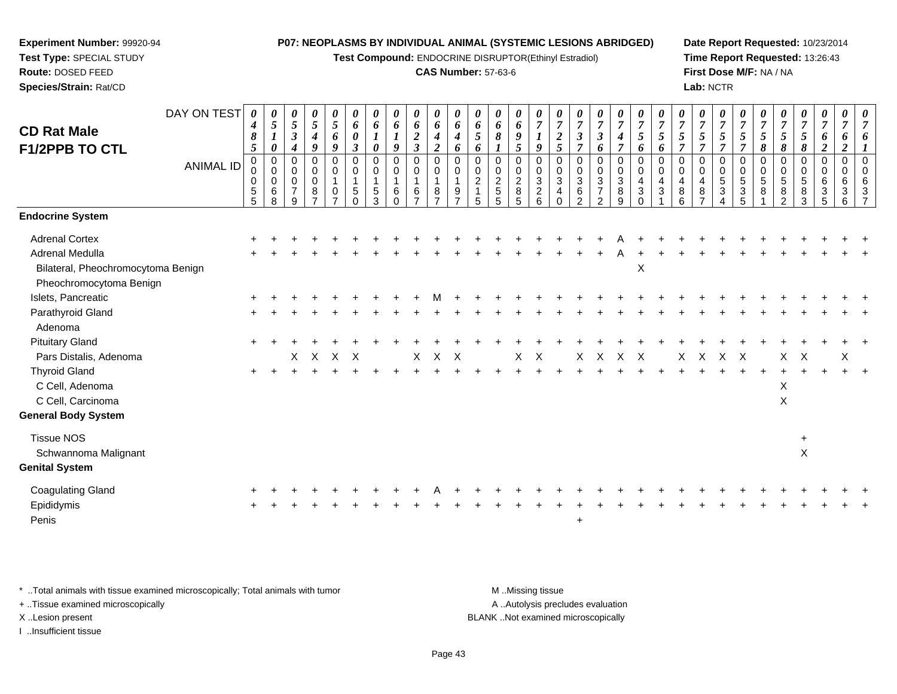**Test Compound:** ENDOCRINE DISRUPTOR(Ethinyl Estradiol)

## **CAS Number:** 57-63-6

**Date Report Requested:** 10/23/2014**Time Report Requested:** 13:26:43**First Dose M/F:** NA / NA**Lab:** NCTR

| <b>CD Rat Male</b><br><b>F1/2PPB TO CTL</b>                                                                                                                                                                                                                                                                       | DAY ON TEST<br><b>ANIMAL ID</b> | 0<br>4<br>8<br>$\mathfrak{s}$<br>0<br>0<br>0<br>$\sqrt{5}$<br>5 | $\overline{5}$<br>$\boldsymbol{l}$<br>$\boldsymbol{\theta}$<br>$\mathbf 0$<br>0<br>$\mathbf 0$<br>6<br>8 | 0<br>5<br>$\boldsymbol{\beta}$<br>4<br>0<br>$\Omega$<br>$\mathbf 0$<br>$\overline{7}$<br>q | 0<br>$\sqrt{5}$<br>$\boldsymbol{4}$<br>$\boldsymbol{q}$<br>$\mathbf 0$<br>0<br>$\mathbf 0$<br>8 | $\boldsymbol{\theta}$<br>$\mathfrak{s}$<br>6<br>9<br>$\mathbf 0$<br>$\mathbf 0$<br>$\mathbf{1}$<br>0<br>$\overline{ }$ | $\boldsymbol{\theta}$<br>6<br>$\pmb{\theta}$<br>$\boldsymbol{\beta}$<br>$\mathbf 0$<br>0<br>$\overline{1}$<br>5<br>$\Omega$ | 6<br>$\boldsymbol{\theta}$<br>$\mathbf 0$<br>$\mathbf 0$<br>1<br>5<br>3 | $\boldsymbol{\theta}$<br>6<br>9<br>0<br>$\mathbf 0$<br>1<br>6<br>$\Omega$ | 0<br>6<br>$\boldsymbol{2}$<br>$\overline{3}$<br>$\pmb{0}$<br>$\pmb{0}$<br>$\mathbf{1}$<br>6<br>$\overline{z}$ | $\boldsymbol{\theta}$<br>6<br>4<br>$\overline{2}$<br>$\pmb{0}$<br>$\mathbf 0$<br>$\overline{1}$<br>8<br>$\overline{z}$ | $\boldsymbol{\theta}$<br>6<br>4<br>6<br>$\mathbf 0$<br>$\mathbf 0$<br>$\mathbf{1}$<br>9<br>$\overline{ }$ | 6<br>5<br>6<br>$\mathbf 0$<br>$\mathbf 0$<br>$\overline{2}$<br>$\overline{1}$<br>5 | $\boldsymbol{\theta}$<br>6<br>8<br>0<br>0<br>$\overline{c}$<br>5<br>5 | 0<br>6<br>9<br>5<br>$\mathbf 0$<br>$\pmb{0}$<br>$\boldsymbol{2}$<br>8<br>5 | 0<br>$\overline{7}$<br>9<br>$\mathbf 0$<br>$\pmb{0}$<br>$\sqrt{3}$<br>$\overline{c}$<br>6 | $\boldsymbol{\theta}$<br>$\overline{7}$<br>$\frac{2}{5}$<br>$\mathbf 0$<br>0<br>3<br>$\overline{4}$<br>$\Omega$ | $\overline{7}$<br>$\boldsymbol{\beta}$<br>$\overline{7}$<br>$\mathbf 0$<br>$\mathbf 0$<br>$\mathbf{3}$<br>6<br>$\Omega$ | $\boldsymbol{\theta}$<br>$\overline{7}$<br>$\boldsymbol{\beta}$<br>6<br>0<br>0<br>$\mathfrak{S}$<br>$\overline{7}$<br>$\mathcal{P}$ | $\boldsymbol{\theta}$<br>$\boldsymbol{7}$<br>$\boldsymbol{4}$<br>$\overline{7}$<br>$\pmb{0}$<br>$\pmb{0}$<br>$\sqrt{3}$<br>8<br>9 | $\boldsymbol{\theta}$<br>$\boldsymbol{7}$<br>$\sqrt{5}$<br>6<br>$\mathsf{O}\xspace$<br>$\pmb{0}$<br>$\overline{4}$<br>$\sqrt{3}$<br>$\Omega$ | $\boldsymbol{\theta}$<br>$\overline{7}$<br>$\sqrt{5}$<br>6<br>$\mathbf 0$<br>0<br>4<br>3 | $\overline{7}$<br>5<br>$\overline{7}$<br>$\Omega$<br>$\mathbf 0$<br>4<br>8<br>6 | $\boldsymbol{\theta}$<br>$\overline{7}$<br>5<br>$\overline{\tau}$<br>$\mathbf 0$<br>$\Omega$<br>4<br>8 | 0<br>$\boldsymbol{7}$<br>$\mathfrak{s}$<br>$\overline{7}$<br>$\pmb{0}$<br>$\pmb{0}$<br>5<br>$\sqrt{3}$ | $\theta$<br>$\boldsymbol{7}$<br>$\mathfrak{s}$<br>$\overline{7}$<br>$\mathbf 0$<br>$\mathbf 0$<br>$\sqrt{5}$<br>$\sqrt{3}$<br>5 | $\theta$<br>$\overline{7}$<br>$\sqrt{5}$<br>8<br>$\mathbf 0$<br>$\mathbf 0$<br>5<br>8 | $\overline{7}$<br>5<br>8<br>$\Omega$<br>$\Omega$<br>5<br>8<br>$\mathcal{D}$ | $\boldsymbol{\theta}$<br>$\overline{7}$<br>5<br>8<br>0<br>0<br>5<br>8<br>3 | 0<br>$\boldsymbol{7}$<br>6<br>$\overline{2}$<br>$\pmb{0}$<br>$\pmb{0}$<br>6<br>$\sqrt{3}$<br>5 | 0<br>$\overline{7}$<br>6<br>2<br>$\mathbf 0$<br>$\mathbf 0$<br>6<br>3<br>6 | $\boldsymbol{\theta}$ |
|-------------------------------------------------------------------------------------------------------------------------------------------------------------------------------------------------------------------------------------------------------------------------------------------------------------------|---------------------------------|-----------------------------------------------------------------|----------------------------------------------------------------------------------------------------------|--------------------------------------------------------------------------------------------|-------------------------------------------------------------------------------------------------|------------------------------------------------------------------------------------------------------------------------|-----------------------------------------------------------------------------------------------------------------------------|-------------------------------------------------------------------------|---------------------------------------------------------------------------|---------------------------------------------------------------------------------------------------------------|------------------------------------------------------------------------------------------------------------------------|-----------------------------------------------------------------------------------------------------------|------------------------------------------------------------------------------------|-----------------------------------------------------------------------|----------------------------------------------------------------------------|-------------------------------------------------------------------------------------------|-----------------------------------------------------------------------------------------------------------------|-------------------------------------------------------------------------------------------------------------------------|-------------------------------------------------------------------------------------------------------------------------------------|-----------------------------------------------------------------------------------------------------------------------------------|----------------------------------------------------------------------------------------------------------------------------------------------|------------------------------------------------------------------------------------------|---------------------------------------------------------------------------------|--------------------------------------------------------------------------------------------------------|--------------------------------------------------------------------------------------------------------|---------------------------------------------------------------------------------------------------------------------------------|---------------------------------------------------------------------------------------|-----------------------------------------------------------------------------|----------------------------------------------------------------------------|------------------------------------------------------------------------------------------------|----------------------------------------------------------------------------|-----------------------|
| <b>Endocrine System</b>                                                                                                                                                                                                                                                                                           |                                 |                                                                 |                                                                                                          |                                                                                            |                                                                                                 |                                                                                                                        |                                                                                                                             |                                                                         |                                                                           |                                                                                                               |                                                                                                                        |                                                                                                           |                                                                                    |                                                                       |                                                                            |                                                                                           |                                                                                                                 |                                                                                                                         |                                                                                                                                     |                                                                                                                                   |                                                                                                                                              |                                                                                          |                                                                                 |                                                                                                        |                                                                                                        |                                                                                                                                 |                                                                                       |                                                                             |                                                                            |                                                                                                |                                                                            |                       |
| <b>Adrenal Cortex</b><br>Adrenal Medulla<br>Bilateral, Pheochromocytoma Benign<br>Pheochromocytoma Benign<br>Islets, Pancreatic<br>Parathyroid Gland<br>Adenoma<br><b>Pituitary Gland</b><br>Pars Distalis, Adenoma<br><b>Thyroid Gland</b><br>C Cell, Adenoma<br>C Cell, Carcinoma<br><b>General Body System</b> |                                 |                                                                 |                                                                                                          | X                                                                                          | $\mathsf{X}$                                                                                    | $\times$                                                                                                               | $\times$                                                                                                                    |                                                                         |                                                                           | X                                                                                                             | $\times$                                                                                                               | $\times$                                                                                                  |                                                                                    |                                                                       | X                                                                          | $\times$                                                                                  |                                                                                                                 | X                                                                                                                       | $\times$                                                                                                                            | $\times$                                                                                                                          | $\boldsymbol{\mathsf{X}}$<br>$\mathsf{X}$                                                                                                    |                                                                                          | X                                                                               | $\boldsymbol{\mathsf{X}}$                                                                              | $\mathsf{X}$                                                                                           | $\mathsf{X}$                                                                                                                    |                                                                                       | X<br>X<br>X                                                                 | $\boldsymbol{\mathsf{X}}$                                                  |                                                                                                | X                                                                          |                       |
| <b>Tissue NOS</b><br>Schwannoma Malignant<br><b>Genital System</b>                                                                                                                                                                                                                                                |                                 |                                                                 |                                                                                                          |                                                                                            |                                                                                                 |                                                                                                                        |                                                                                                                             |                                                                         |                                                                           |                                                                                                               |                                                                                                                        |                                                                                                           |                                                                                    |                                                                       |                                                                            |                                                                                           |                                                                                                                 |                                                                                                                         |                                                                                                                                     |                                                                                                                                   |                                                                                                                                              |                                                                                          |                                                                                 |                                                                                                        |                                                                                                        |                                                                                                                                 |                                                                                       |                                                                             | +<br>$\sf X$                                                               |                                                                                                |                                                                            |                       |
| <b>Coagulating Gland</b><br>Epididymis<br>Penis                                                                                                                                                                                                                                                                   |                                 |                                                                 |                                                                                                          |                                                                                            |                                                                                                 |                                                                                                                        |                                                                                                                             |                                                                         |                                                                           |                                                                                                               |                                                                                                                        |                                                                                                           |                                                                                    |                                                                       |                                                                            |                                                                                           |                                                                                                                 | +                                                                                                                       |                                                                                                                                     |                                                                                                                                   |                                                                                                                                              |                                                                                          |                                                                                 |                                                                                                        |                                                                                                        |                                                                                                                                 |                                                                                       |                                                                             |                                                                            |                                                                                                |                                                                            |                       |

\* ..Total animals with tissue examined microscopically; Total animals with tumor **M** . Missing tissue M ..Missing tissue

+ ..Tissue examined microscopically

**Experiment Number:** 99920-94**Test Type:** SPECIAL STUDY**Route:** DOSED FEED**Species/Strain:** Rat/CD

I ..Insufficient tissue

A ..Autolysis precludes evaluation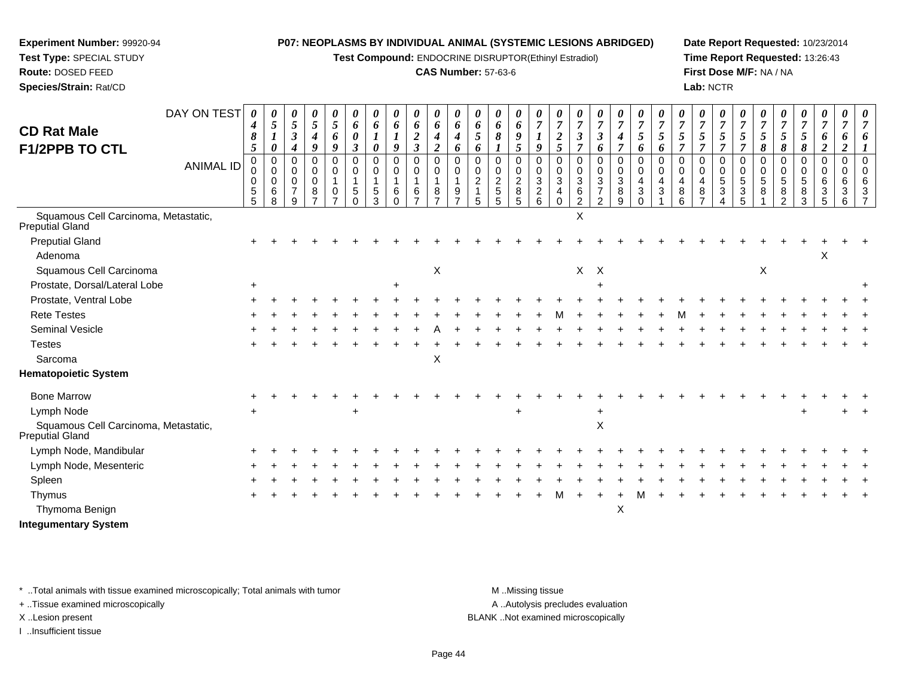**Test Compound:** ENDOCRINE DISRUPTOR(Ethinyl Estradiol)

## **CAS Number:** 57-63-6

**Date Report Requested:** 10/23/2014**Time Report Requested:** 13:26:43**First Dose M/F:** NA / NA**Lab:** NCTR

| <b>CD Rat Male</b><br><b>F1/2PPB TO CTL</b>                    | DAY ON TEST      | $\theta$<br>$\boldsymbol{4}$<br>8<br>$\mathfrak{s}$ | $\boldsymbol{\theta}$<br>$\mathfrak{s}$<br>1<br>0   | 0<br>$5\overline{)}$<br>$\mathfrak{z}$<br>4            | 0<br>5<br>$\boldsymbol{4}$<br>9 | 0<br>$\mathfrak{s}$<br>6<br>9              | 0<br>6<br>0<br>$\boldsymbol{\beta}$ | $\boldsymbol{\theta}$<br>6<br>$\boldsymbol{l}$<br>$\boldsymbol{\theta}$ | 0<br>6<br>9                            | 0<br>6<br>$\boldsymbol{2}$<br>$\mathfrak{z}$ | 0<br>6<br>$\boldsymbol{4}$<br>$\overline{2}$            | $\boldsymbol{\theta}$<br>6<br>$\boldsymbol{4}$<br>6 | $\boldsymbol{\theta}$<br>6<br>5<br>6   | $\boldsymbol{\theta}$<br>6<br>8                 | 0<br>6<br>9<br>5                   | 0<br>$\overline{7}$<br>$\boldsymbol{l}$<br>9                      | $\overline{7}$<br>$\boldsymbol{2}$<br>5 | $\boldsymbol{\theta}$<br>$\overline{7}$<br>$\mathfrak{z}$<br>$\overline{7}$  | $\boldsymbol{\theta}$<br>$\overline{7}$<br>$\mathfrak{z}$<br>6      | 0<br>$\overline{7}$<br>$\boldsymbol{4}$<br>$\overline{7}$ | 0<br>$\overline{7}$<br>5<br>6             | $\overline{7}$<br>5<br>6                    | $\overline{7}$<br>5                 | $\boldsymbol{\theta}$<br>$\overline{7}$<br>5<br>$\overline{7}$ | 0<br>$\boldsymbol{7}$<br>5<br>$\overline{7}$ | $\boldsymbol{\theta}$<br>$\overline{7}$<br>5<br>$\overline{7}$ | $\overline{7}$<br>$\sqrt{5}$<br>8 | 0<br>$\overline{7}$<br>5<br>8                                  | $\boldsymbol{\theta}$<br>$\overline{7}$<br>$\sqrt{5}$<br>$\pmb{8}$ | 0<br>$\overline{7}$<br>6<br>$\boldsymbol{2}$ | 0<br>$\overline{7}$<br>6<br>$\overline{2}$ |          |
|----------------------------------------------------------------|------------------|-----------------------------------------------------|-----------------------------------------------------|--------------------------------------------------------|---------------------------------|--------------------------------------------|-------------------------------------|-------------------------------------------------------------------------|----------------------------------------|----------------------------------------------|---------------------------------------------------------|-----------------------------------------------------|----------------------------------------|-------------------------------------------------|------------------------------------|-------------------------------------------------------------------|-----------------------------------------|------------------------------------------------------------------------------|---------------------------------------------------------------------|-----------------------------------------------------------|-------------------------------------------|---------------------------------------------|-------------------------------------|----------------------------------------------------------------|----------------------------------------------|----------------------------------------------------------------|-----------------------------------|----------------------------------------------------------------|--------------------------------------------------------------------|----------------------------------------------|--------------------------------------------|----------|
|                                                                | <b>ANIMAL ID</b> | $\mathbf 0$<br>0<br>0<br>$\sqrt{5}$<br>5            | $\mathbf 0$<br>$\mathbf 0$<br>$\mathbf 0$<br>6<br>8 | 0<br>$\mathbf 0$<br>$\mathbf 0$<br>$\overline{7}$<br>9 | 0<br>0<br>$\pmb{0}$<br>8        | $\mathbf 0$<br>0<br>$\mathbf{1}$<br>0<br>⇁ | 0<br>0<br>1<br>5<br>$\Omega$        | $\mathbf 0$<br>$\Omega$<br>1<br>5<br>$\mathcal{R}$                      | $\mathbf 0$<br>0<br>1<br>6<br>$\Omega$ | $\mathbf 0$<br>0<br>$\mathbf{1}$<br>6        | $\mathsf 0$<br>0<br>$\mathbf{1}$<br>8<br>$\overline{ }$ | $\Omega$<br>$\Omega$<br>9                           | $\Omega$<br>$\Omega$<br>$\overline{2}$ | 0<br>0<br>$\overline{c}$<br>$\overline{5}$<br>5 | 0<br>0<br>$\overline{c}$<br>8<br>5 | $\mathbf 0$<br>$\mathbf 0$<br>$\mathbf{3}$<br>$\overline{c}$<br>6 | 0<br>$\mathbf 0$<br>3<br>4<br>$\Omega$  | $\pmb{0}$<br>$\mathbf 0$<br>$\ensuremath{\mathsf{3}}$<br>6<br>$\overline{2}$ | 0<br>$\mathbf 0$<br>$\mathbf{3}$<br>$\overline{7}$<br>$\mathcal{P}$ | $\mathbf 0$<br>0<br>$\mathbf{3}$<br>8<br>9                | 0<br>0<br>$\overline{4}$<br>3<br>$\Omega$ | $\Omega$<br>$\Omega$<br>$\overline{4}$<br>3 | $\Omega$<br>$\Omega$<br>4<br>8<br>6 | 0<br>0<br>4<br>$\,8\,$                                         | $\mathbf 0$<br>$\mathbf 0$<br>5<br>3         | 0<br>$\mathbf 0$<br>5<br>3<br>5                                | $\pmb{0}$<br>0<br>5<br>8          | $\mathbf 0$<br>$\mathbf 0$<br>$\sqrt{5}$<br>8<br>$\mathcal{P}$ | 0<br>0<br>$\sqrt{5}$<br>8<br>3                                     | $\mathbf 0$<br>$\mathbf 0$<br>6<br>3<br>5    | 0<br>$\mathbf 0$<br>6<br>3<br>6            | $\Omega$ |
| Squamous Cell Carcinoma, Metastatic,<br><b>Preputial Gland</b> |                  |                                                     |                                                     |                                                        |                                 |                                            |                                     |                                                                         |                                        |                                              |                                                         |                                                     |                                        |                                                 |                                    |                                                                   |                                         | X                                                                            |                                                                     |                                                           |                                           |                                             |                                     |                                                                |                                              |                                                                |                                   |                                                                |                                                                    |                                              |                                            |          |
| <b>Preputial Gland</b><br>Adenoma                              |                  |                                                     |                                                     |                                                        |                                 |                                            |                                     |                                                                         |                                        |                                              |                                                         |                                                     |                                        |                                                 |                                    |                                                                   |                                         |                                                                              |                                                                     |                                                           |                                           |                                             |                                     |                                                                |                                              |                                                                |                                   |                                                                |                                                                    | X                                            |                                            |          |
| Squamous Cell Carcinoma                                        |                  |                                                     |                                                     |                                                        |                                 |                                            |                                     |                                                                         |                                        |                                              | $\boldsymbol{\mathsf{X}}$                               |                                                     |                                        |                                                 |                                    |                                                                   |                                         | $X$ $X$                                                                      |                                                                     |                                                           |                                           |                                             |                                     |                                                                |                                              |                                                                | $\pmb{\times}$                    |                                                                |                                                                    |                                              |                                            |          |
| Prostate, Dorsal/Lateral Lobe                                  |                  | $\ddot{}$                                           |                                                     |                                                        |                                 |                                            |                                     |                                                                         | ÷                                      |                                              |                                                         |                                                     |                                        |                                                 |                                    |                                                                   |                                         |                                                                              |                                                                     |                                                           |                                           |                                             |                                     |                                                                |                                              |                                                                |                                   |                                                                |                                                                    |                                              |                                            |          |
| Prostate, Ventral Lobe                                         |                  |                                                     |                                                     |                                                        |                                 |                                            |                                     |                                                                         |                                        |                                              |                                                         |                                                     |                                        |                                                 |                                    |                                                                   |                                         |                                                                              |                                                                     |                                                           |                                           |                                             |                                     |                                                                |                                              |                                                                |                                   |                                                                |                                                                    |                                              |                                            |          |
| <b>Rete Testes</b>                                             |                  |                                                     |                                                     |                                                        |                                 |                                            |                                     |                                                                         |                                        |                                              |                                                         |                                                     |                                        |                                                 |                                    |                                                                   |                                         |                                                                              |                                                                     |                                                           |                                           |                                             |                                     |                                                                |                                              |                                                                |                                   |                                                                |                                                                    |                                              |                                            |          |
| Seminal Vesicle                                                |                  |                                                     |                                                     |                                                        |                                 |                                            |                                     |                                                                         |                                        |                                              |                                                         |                                                     |                                        |                                                 |                                    |                                                                   |                                         |                                                                              |                                                                     |                                                           |                                           |                                             |                                     |                                                                |                                              |                                                                |                                   |                                                                |                                                                    |                                              |                                            |          |
| <b>Testes</b>                                                  |                  |                                                     |                                                     |                                                        |                                 |                                            |                                     |                                                                         |                                        |                                              |                                                         |                                                     |                                        |                                                 |                                    |                                                                   |                                         |                                                                              |                                                                     |                                                           |                                           |                                             |                                     |                                                                |                                              |                                                                |                                   |                                                                |                                                                    |                                              |                                            |          |
| Sarcoma                                                        |                  |                                                     |                                                     |                                                        |                                 |                                            |                                     |                                                                         |                                        |                                              | $\boldsymbol{\mathsf{X}}$                               |                                                     |                                        |                                                 |                                    |                                                                   |                                         |                                                                              |                                                                     |                                                           |                                           |                                             |                                     |                                                                |                                              |                                                                |                                   |                                                                |                                                                    |                                              |                                            |          |
| <b>Hematopoietic System</b>                                    |                  |                                                     |                                                     |                                                        |                                 |                                            |                                     |                                                                         |                                        |                                              |                                                         |                                                     |                                        |                                                 |                                    |                                                                   |                                         |                                                                              |                                                                     |                                                           |                                           |                                             |                                     |                                                                |                                              |                                                                |                                   |                                                                |                                                                    |                                              |                                            |          |
| <b>Bone Marrow</b>                                             |                  |                                                     |                                                     |                                                        |                                 |                                            |                                     |                                                                         |                                        |                                              |                                                         |                                                     |                                        |                                                 |                                    |                                                                   |                                         |                                                                              |                                                                     |                                                           |                                           |                                             |                                     |                                                                |                                              |                                                                |                                   |                                                                |                                                                    |                                              |                                            |          |
| Lymph Node                                                     |                  | $\ddot{}$                                           |                                                     |                                                        |                                 |                                            |                                     |                                                                         |                                        |                                              |                                                         |                                                     |                                        |                                                 |                                    |                                                                   |                                         |                                                                              |                                                                     |                                                           |                                           |                                             |                                     |                                                                |                                              |                                                                |                                   |                                                                |                                                                    |                                              |                                            |          |
| Squamous Cell Carcinoma, Metastatic,<br>Preputial Gland        |                  |                                                     |                                                     |                                                        |                                 |                                            |                                     |                                                                         |                                        |                                              |                                                         |                                                     |                                        |                                                 |                                    |                                                                   |                                         |                                                                              | X                                                                   |                                                           |                                           |                                             |                                     |                                                                |                                              |                                                                |                                   |                                                                |                                                                    |                                              |                                            |          |
| Lymph Node, Mandibular                                         |                  |                                                     |                                                     |                                                        |                                 |                                            |                                     |                                                                         |                                        |                                              |                                                         |                                                     |                                        |                                                 |                                    |                                                                   |                                         |                                                                              |                                                                     |                                                           |                                           |                                             |                                     |                                                                |                                              |                                                                |                                   |                                                                |                                                                    |                                              |                                            |          |
| Lymph Node, Mesenteric                                         |                  |                                                     |                                                     |                                                        |                                 |                                            |                                     |                                                                         |                                        |                                              |                                                         |                                                     |                                        |                                                 |                                    |                                                                   |                                         |                                                                              |                                                                     |                                                           |                                           |                                             |                                     |                                                                |                                              |                                                                |                                   |                                                                |                                                                    |                                              |                                            |          |
| Spleen                                                         |                  |                                                     |                                                     |                                                        |                                 |                                            |                                     |                                                                         |                                        |                                              |                                                         |                                                     |                                        |                                                 |                                    |                                                                   |                                         |                                                                              |                                                                     |                                                           |                                           |                                             |                                     |                                                                |                                              |                                                                |                                   |                                                                |                                                                    |                                              |                                            |          |
| Thymus                                                         |                  |                                                     |                                                     |                                                        |                                 |                                            |                                     |                                                                         |                                        |                                              |                                                         |                                                     |                                        |                                                 |                                    |                                                                   |                                         |                                                                              |                                                                     |                                                           |                                           |                                             |                                     |                                                                |                                              |                                                                |                                   |                                                                |                                                                    |                                              |                                            |          |
| Thymoma Benign                                                 |                  |                                                     |                                                     |                                                        |                                 |                                            |                                     |                                                                         |                                        |                                              |                                                         |                                                     |                                        |                                                 |                                    |                                                                   |                                         |                                                                              |                                                                     | X                                                         |                                           |                                             |                                     |                                                                |                                              |                                                                |                                   |                                                                |                                                                    |                                              |                                            |          |

**Integumentary System**

**Experiment Number:** 99920-94**Test Type:** SPECIAL STUDY**Route:** DOSED FEED**Species/Strain:** Rat/CD

\* ..Total animals with tissue examined microscopically; Total animals with tumor **M** . Missing tissue M ..Missing tissue

+ ..Tissue examined microscopically

I ..Insufficient tissue

A ..Autolysis precludes evaluation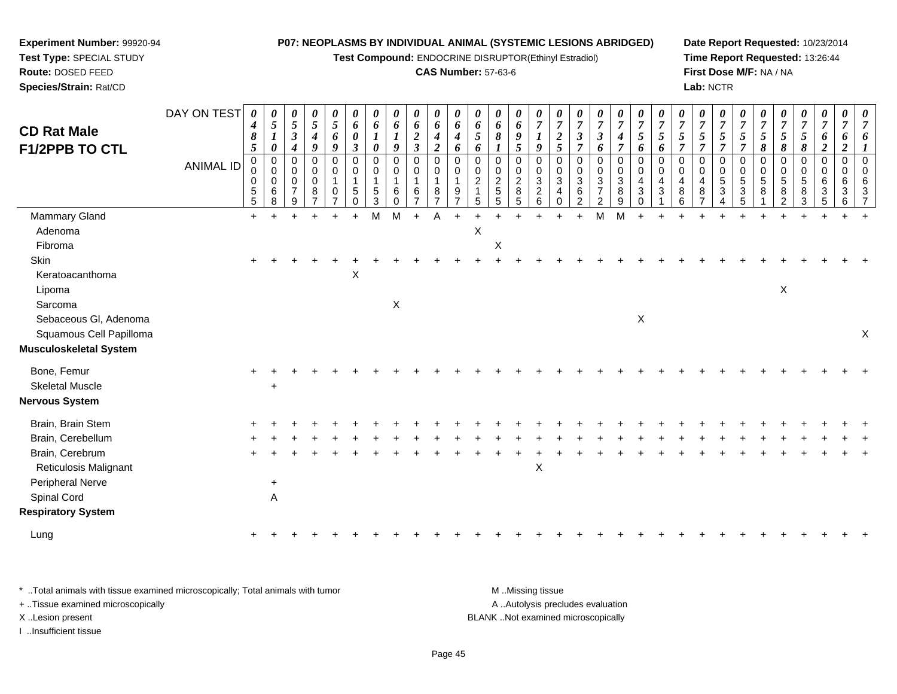**Test Compound:** ENDOCRINE DISRUPTOR(Ethinyl Estradiol)

## **CAS Number:** 57-63-6

**Date Report Requested:** 10/23/2014**Time Report Requested:** 13:26:44**First Dose M/F:** NA / NA**Lab:** NCTR

| <b>CD Rat Male</b><br><b>F1/2PPB TO CTL</b> | DAY ON TEST<br><b>ANIMAL ID</b> | $\boldsymbol{\theta}$<br>$\boldsymbol{4}$<br>$\pmb{8}$<br>$\mathfrak{s}$<br>$\pmb{0}$<br>$\boldsymbol{0}$<br>$\pmb{0}$<br>$\begin{array}{c} 5 \\ 5 \end{array}$ | 0<br>$5\phantom{.0}$<br>$\boldsymbol{\theta}$<br>$\pmb{0}$<br>$\mathsf 0$<br>0<br>6<br>8 | 0<br>$\sqrt{5}$<br>$\boldsymbol{\beta}$<br>4<br>0<br>0<br>$\mathbf 0$<br>$\overline{7}$<br>9 | $\boldsymbol{\theta}$<br>$\mathfrak{s}$<br>$\boldsymbol{4}$<br>9<br>$\pmb{0}$<br>$\mathbf 0$<br>$\mathbf 0$<br>8 | 0<br>$\overline{5}$<br>6<br>9<br>$\mathbf 0$<br>0<br>$\mathbf{1}$<br>0 | 0<br>6<br>0<br>3<br>$\mathbf 0$<br>$\mathbf 0$<br>$\mathbf{1}$<br>5<br>$\Omega$ | 0<br>6<br>0<br>0<br>0<br>1<br>5<br>3 | 0<br>6<br>$\boldsymbol{l}$<br>9<br>$\pmb{0}$<br>$\boldsymbol{0}$<br>$\mathbf{1}$<br>$6\phantom{1}6$<br>$\Omega$ | $\pmb{\theta}$<br>6<br>$\boldsymbol{2}$<br>$\boldsymbol{\mathfrak{z}}$<br>$\pmb{0}$<br>$\mathbf 0$<br>1<br>6 | $\boldsymbol{\theta}$<br>6<br>$\boldsymbol{4}$<br>$\boldsymbol{2}$<br>$\mathbf 0$<br>0<br>$\overline{1}$<br>8<br>$\overline{7}$ | $\boldsymbol{\theta}$<br>6<br>$\boldsymbol{4}$<br>6<br>$\mathbf 0$<br>0<br>$\mathbf{1}$<br>9 | 0<br>6<br>5<br>6<br>$\mathbf 0$<br>0<br>$\overline{c}$<br>5 | $\boldsymbol{\theta}$<br>6<br>8<br>$\boldsymbol{\eta}$<br>0<br>$^{\rm 0}_{\rm 2}$<br>$\sqrt{5}$<br>5 | 0<br>$\pmb{6}$<br>9<br>5<br>$\pmb{0}$<br>$\pmb{0}$<br>$\overline{c}$<br>8<br>5 | 0<br>$\overline{7}$<br>9<br>$\mathbf 0$<br>0<br>$\mathbf{3}$<br>$\sqrt{2}$<br>6 | 0<br>$\overline{7}$<br>$\boldsymbol{2}$<br>$\mathfrak{s}$<br>$\mathbf 0$<br>$\mathbf 0$<br>$\overline{3}$<br>$\overline{4}$<br>$\mathbf 0$ | 0<br>$\boldsymbol{7}$<br>$\boldsymbol{\beta}$<br>$\overline{7}$<br>0<br>$\pmb{0}$<br>3<br>$6\phantom{.}6$<br>2 | 0<br>$\boldsymbol{7}$<br>$\boldsymbol{\beta}$<br>6<br>$\pmb{0}$<br>$\mathbf 0$<br>$\sqrt{3}$<br>$\overline{7}$<br>2 | 0<br>$\overline{7}$<br>$\boldsymbol{4}$<br>$\overline{7}$<br>$\pmb{0}$<br>0<br>$\sqrt{3}$<br>8<br>9 | 0<br>$\overline{7}$<br>$\mathfrak{s}$<br>6<br>$\mathbf 0$<br>0<br>4<br>$\sqrt{3}$<br>0 | 0<br>$\overline{7}$<br>5<br>6<br>$\mathbf 0$<br>$\mathbf 0$<br>4<br>3 | $\boldsymbol{\theta}$<br>$\overline{7}$<br>$\mathfrak{s}$<br>$\overline{7}$<br>0<br>0<br>4<br>$\bf8$<br>6 | $\boldsymbol{\theta}$<br>$\overline{7}$<br>$\mathfrak{s}$<br>$\overline{7}$<br>$\pmb{0}$<br>$\mathbf 0$<br>$\overline{4}$<br>8<br>7 | 0<br>$\overline{7}$<br>5<br>$\overline{7}$<br>$\mathbf 0$<br>$\mathbf 0$<br>5<br>3 | 0<br>$\overline{7}$<br>$\mathfrak{s}$<br>$\overline{7}$<br>$\mathbf 0$<br>0<br>$\sqrt{5}$<br>$\ensuremath{\mathsf{3}}$ | 0<br>$\overline{7}$<br>5<br>8<br>$\pmb{0}$<br>$\pmb{0}$<br>$\sqrt{5}$<br>8 | 0<br>$\boldsymbol{7}$<br>$\sqrt{5}$<br>8<br>0<br>0<br>$5\,$<br>8<br>$\overline{2}$ | $\boldsymbol{\theta}$<br>$\overline{7}$<br>$\mathfrak{s}$<br>$\pmb{8}$<br>$\pmb{0}$<br>$\mathbf 0$<br>$\overline{5}$<br>8<br>3 | 0<br>$\overline{7}$<br>6<br>$\boldsymbol{2}$<br>$\mathbf 0$<br>0<br>6<br>$\mathbf{3}$<br>5 | $\boldsymbol{\theta}$<br>$\overline{7}$<br>6<br>$\boldsymbol{2}$<br>$\mathbf 0$<br>$\Omega$<br>6<br>3<br>6 | $\pmb{\theta}$<br>$\overline{7}$<br>6<br>$\mathbf 0$<br>0<br>$6\phantom{1}6$<br>3 |
|---------------------------------------------|---------------------------------|-----------------------------------------------------------------------------------------------------------------------------------------------------------------|------------------------------------------------------------------------------------------|----------------------------------------------------------------------------------------------|------------------------------------------------------------------------------------------------------------------|------------------------------------------------------------------------|---------------------------------------------------------------------------------|--------------------------------------|-----------------------------------------------------------------------------------------------------------------|--------------------------------------------------------------------------------------------------------------|---------------------------------------------------------------------------------------------------------------------------------|----------------------------------------------------------------------------------------------|-------------------------------------------------------------|------------------------------------------------------------------------------------------------------|--------------------------------------------------------------------------------|---------------------------------------------------------------------------------|--------------------------------------------------------------------------------------------------------------------------------------------|----------------------------------------------------------------------------------------------------------------|---------------------------------------------------------------------------------------------------------------------|-----------------------------------------------------------------------------------------------------|----------------------------------------------------------------------------------------|-----------------------------------------------------------------------|-----------------------------------------------------------------------------------------------------------|-------------------------------------------------------------------------------------------------------------------------------------|------------------------------------------------------------------------------------|------------------------------------------------------------------------------------------------------------------------|----------------------------------------------------------------------------|------------------------------------------------------------------------------------|--------------------------------------------------------------------------------------------------------------------------------|--------------------------------------------------------------------------------------------|------------------------------------------------------------------------------------------------------------|-----------------------------------------------------------------------------------|
| Mammary Gland                               |                                 | $+$                                                                                                                                                             |                                                                                          |                                                                                              |                                                                                                                  |                                                                        |                                                                                 |                                      | М                                                                                                               |                                                                                                              | Α                                                                                                                               |                                                                                              |                                                             |                                                                                                      |                                                                                |                                                                                 |                                                                                                                                            | $\ddot{}$                                                                                                      | M                                                                                                                   |                                                                                                     |                                                                                        |                                                                       |                                                                                                           |                                                                                                                                     |                                                                                    |                                                                                                                        |                                                                            |                                                                                    |                                                                                                                                |                                                                                            |                                                                                                            |                                                                                   |
| Adenoma                                     |                                 |                                                                                                                                                                 |                                                                                          |                                                                                              |                                                                                                                  |                                                                        |                                                                                 |                                      |                                                                                                                 |                                                                                                              |                                                                                                                                 |                                                                                              | $\sf X$                                                     |                                                                                                      |                                                                                |                                                                                 |                                                                                                                                            |                                                                                                                |                                                                                                                     |                                                                                                     |                                                                                        |                                                                       |                                                                                                           |                                                                                                                                     |                                                                                    |                                                                                                                        |                                                                            |                                                                                    |                                                                                                                                |                                                                                            |                                                                                                            |                                                                                   |
| Fibroma                                     |                                 |                                                                                                                                                                 |                                                                                          |                                                                                              |                                                                                                                  |                                                                        |                                                                                 |                                      |                                                                                                                 |                                                                                                              |                                                                                                                                 |                                                                                              |                                                             | $\times$                                                                                             |                                                                                |                                                                                 |                                                                                                                                            |                                                                                                                |                                                                                                                     |                                                                                                     |                                                                                        |                                                                       |                                                                                                           |                                                                                                                                     |                                                                                    |                                                                                                                        |                                                                            |                                                                                    |                                                                                                                                |                                                                                            |                                                                                                            |                                                                                   |
| Skin                                        |                                 |                                                                                                                                                                 |                                                                                          |                                                                                              |                                                                                                                  |                                                                        |                                                                                 |                                      |                                                                                                                 |                                                                                                              |                                                                                                                                 |                                                                                              |                                                             |                                                                                                      |                                                                                |                                                                                 |                                                                                                                                            |                                                                                                                |                                                                                                                     |                                                                                                     |                                                                                        |                                                                       |                                                                                                           |                                                                                                                                     |                                                                                    |                                                                                                                        |                                                                            |                                                                                    |                                                                                                                                |                                                                                            |                                                                                                            |                                                                                   |
| Keratoacanthoma<br>Lipoma                   |                                 |                                                                                                                                                                 |                                                                                          |                                                                                              |                                                                                                                  |                                                                        | X                                                                               |                                      |                                                                                                                 |                                                                                                              |                                                                                                                                 |                                                                                              |                                                             |                                                                                                      |                                                                                |                                                                                 |                                                                                                                                            |                                                                                                                |                                                                                                                     |                                                                                                     |                                                                                        |                                                                       |                                                                                                           |                                                                                                                                     |                                                                                    |                                                                                                                        |                                                                            | X                                                                                  |                                                                                                                                |                                                                                            |                                                                                                            |                                                                                   |
| Sarcoma                                     |                                 |                                                                                                                                                                 |                                                                                          |                                                                                              |                                                                                                                  |                                                                        |                                                                                 |                                      | X                                                                                                               |                                                                                                              |                                                                                                                                 |                                                                                              |                                                             |                                                                                                      |                                                                                |                                                                                 |                                                                                                                                            |                                                                                                                |                                                                                                                     |                                                                                                     |                                                                                        |                                                                       |                                                                                                           |                                                                                                                                     |                                                                                    |                                                                                                                        |                                                                            |                                                                                    |                                                                                                                                |                                                                                            |                                                                                                            |                                                                                   |
| Sebaceous Gl, Adenoma                       |                                 |                                                                                                                                                                 |                                                                                          |                                                                                              |                                                                                                                  |                                                                        |                                                                                 |                                      |                                                                                                                 |                                                                                                              |                                                                                                                                 |                                                                                              |                                                             |                                                                                                      |                                                                                |                                                                                 |                                                                                                                                            |                                                                                                                |                                                                                                                     |                                                                                                     | X                                                                                      |                                                                       |                                                                                                           |                                                                                                                                     |                                                                                    |                                                                                                                        |                                                                            |                                                                                    |                                                                                                                                |                                                                                            |                                                                                                            |                                                                                   |
| Squamous Cell Papilloma                     |                                 |                                                                                                                                                                 |                                                                                          |                                                                                              |                                                                                                                  |                                                                        |                                                                                 |                                      |                                                                                                                 |                                                                                                              |                                                                                                                                 |                                                                                              |                                                             |                                                                                                      |                                                                                |                                                                                 |                                                                                                                                            |                                                                                                                |                                                                                                                     |                                                                                                     |                                                                                        |                                                                       |                                                                                                           |                                                                                                                                     |                                                                                    |                                                                                                                        |                                                                            |                                                                                    |                                                                                                                                |                                                                                            |                                                                                                            | $\mathsf X$                                                                       |
| Musculoskeletal System                      |                                 |                                                                                                                                                                 |                                                                                          |                                                                                              |                                                                                                                  |                                                                        |                                                                                 |                                      |                                                                                                                 |                                                                                                              |                                                                                                                                 |                                                                                              |                                                             |                                                                                                      |                                                                                |                                                                                 |                                                                                                                                            |                                                                                                                |                                                                                                                     |                                                                                                     |                                                                                        |                                                                       |                                                                                                           |                                                                                                                                     |                                                                                    |                                                                                                                        |                                                                            |                                                                                    |                                                                                                                                |                                                                                            |                                                                                                            |                                                                                   |
| Bone, Femur                                 |                                 |                                                                                                                                                                 |                                                                                          |                                                                                              |                                                                                                                  |                                                                        |                                                                                 |                                      |                                                                                                                 |                                                                                                              |                                                                                                                                 |                                                                                              |                                                             |                                                                                                      |                                                                                |                                                                                 |                                                                                                                                            |                                                                                                                |                                                                                                                     |                                                                                                     |                                                                                        |                                                                       |                                                                                                           |                                                                                                                                     |                                                                                    |                                                                                                                        |                                                                            |                                                                                    |                                                                                                                                |                                                                                            |                                                                                                            |                                                                                   |
| <b>Skeletal Muscle</b>                      |                                 |                                                                                                                                                                 | $\ddot{}$                                                                                |                                                                                              |                                                                                                                  |                                                                        |                                                                                 |                                      |                                                                                                                 |                                                                                                              |                                                                                                                                 |                                                                                              |                                                             |                                                                                                      |                                                                                |                                                                                 |                                                                                                                                            |                                                                                                                |                                                                                                                     |                                                                                                     |                                                                                        |                                                                       |                                                                                                           |                                                                                                                                     |                                                                                    |                                                                                                                        |                                                                            |                                                                                    |                                                                                                                                |                                                                                            |                                                                                                            |                                                                                   |
| Nervous System                              |                                 |                                                                                                                                                                 |                                                                                          |                                                                                              |                                                                                                                  |                                                                        |                                                                                 |                                      |                                                                                                                 |                                                                                                              |                                                                                                                                 |                                                                                              |                                                             |                                                                                                      |                                                                                |                                                                                 |                                                                                                                                            |                                                                                                                |                                                                                                                     |                                                                                                     |                                                                                        |                                                                       |                                                                                                           |                                                                                                                                     |                                                                                    |                                                                                                                        |                                                                            |                                                                                    |                                                                                                                                |                                                                                            |                                                                                                            |                                                                                   |
| Brain, Brain Stem                           |                                 |                                                                                                                                                                 |                                                                                          |                                                                                              |                                                                                                                  |                                                                        |                                                                                 |                                      |                                                                                                                 |                                                                                                              |                                                                                                                                 |                                                                                              |                                                             |                                                                                                      |                                                                                |                                                                                 |                                                                                                                                            |                                                                                                                |                                                                                                                     |                                                                                                     |                                                                                        |                                                                       |                                                                                                           |                                                                                                                                     |                                                                                    |                                                                                                                        |                                                                            |                                                                                    |                                                                                                                                |                                                                                            |                                                                                                            |                                                                                   |
| Brain, Cerebellum                           |                                 |                                                                                                                                                                 |                                                                                          |                                                                                              |                                                                                                                  |                                                                        |                                                                                 |                                      |                                                                                                                 |                                                                                                              |                                                                                                                                 |                                                                                              |                                                             |                                                                                                      |                                                                                |                                                                                 |                                                                                                                                            |                                                                                                                |                                                                                                                     |                                                                                                     |                                                                                        |                                                                       |                                                                                                           |                                                                                                                                     |                                                                                    |                                                                                                                        |                                                                            |                                                                                    |                                                                                                                                |                                                                                            |                                                                                                            |                                                                                   |
| Brain, Cerebrum                             |                                 |                                                                                                                                                                 |                                                                                          |                                                                                              |                                                                                                                  |                                                                        |                                                                                 |                                      |                                                                                                                 |                                                                                                              |                                                                                                                                 |                                                                                              |                                                             |                                                                                                      |                                                                                |                                                                                 |                                                                                                                                            |                                                                                                                |                                                                                                                     |                                                                                                     |                                                                                        |                                                                       |                                                                                                           |                                                                                                                                     |                                                                                    |                                                                                                                        |                                                                            |                                                                                    |                                                                                                                                |                                                                                            |                                                                                                            |                                                                                   |
| Reticulosis Malignant                       |                                 |                                                                                                                                                                 |                                                                                          |                                                                                              |                                                                                                                  |                                                                        |                                                                                 |                                      |                                                                                                                 |                                                                                                              |                                                                                                                                 |                                                                                              |                                                             |                                                                                                      |                                                                                | X                                                                               |                                                                                                                                            |                                                                                                                |                                                                                                                     |                                                                                                     |                                                                                        |                                                                       |                                                                                                           |                                                                                                                                     |                                                                                    |                                                                                                                        |                                                                            |                                                                                    |                                                                                                                                |                                                                                            |                                                                                                            |                                                                                   |
| Peripheral Nerve                            |                                 |                                                                                                                                                                 | $+$                                                                                      |                                                                                              |                                                                                                                  |                                                                        |                                                                                 |                                      |                                                                                                                 |                                                                                                              |                                                                                                                                 |                                                                                              |                                                             |                                                                                                      |                                                                                |                                                                                 |                                                                                                                                            |                                                                                                                |                                                                                                                     |                                                                                                     |                                                                                        |                                                                       |                                                                                                           |                                                                                                                                     |                                                                                    |                                                                                                                        |                                                                            |                                                                                    |                                                                                                                                |                                                                                            |                                                                                                            |                                                                                   |
| Spinal Cord                                 |                                 |                                                                                                                                                                 | A                                                                                        |                                                                                              |                                                                                                                  |                                                                        |                                                                                 |                                      |                                                                                                                 |                                                                                                              |                                                                                                                                 |                                                                                              |                                                             |                                                                                                      |                                                                                |                                                                                 |                                                                                                                                            |                                                                                                                |                                                                                                                     |                                                                                                     |                                                                                        |                                                                       |                                                                                                           |                                                                                                                                     |                                                                                    |                                                                                                                        |                                                                            |                                                                                    |                                                                                                                                |                                                                                            |                                                                                                            |                                                                                   |
| <b>Respiratory System</b>                   |                                 |                                                                                                                                                                 |                                                                                          |                                                                                              |                                                                                                                  |                                                                        |                                                                                 |                                      |                                                                                                                 |                                                                                                              |                                                                                                                                 |                                                                                              |                                                             |                                                                                                      |                                                                                |                                                                                 |                                                                                                                                            |                                                                                                                |                                                                                                                     |                                                                                                     |                                                                                        |                                                                       |                                                                                                           |                                                                                                                                     |                                                                                    |                                                                                                                        |                                                                            |                                                                                    |                                                                                                                                |                                                                                            |                                                                                                            |                                                                                   |
| Lung                                        |                                 |                                                                                                                                                                 |                                                                                          |                                                                                              |                                                                                                                  |                                                                        |                                                                                 |                                      |                                                                                                                 |                                                                                                              |                                                                                                                                 |                                                                                              |                                                             |                                                                                                      |                                                                                |                                                                                 |                                                                                                                                            |                                                                                                                |                                                                                                                     |                                                                                                     |                                                                                        |                                                                       |                                                                                                           |                                                                                                                                     |                                                                                    |                                                                                                                        |                                                                            |                                                                                    |                                                                                                                                |                                                                                            |                                                                                                            |                                                                                   |
|                                             |                                 |                                                                                                                                                                 |                                                                                          |                                                                                              |                                                                                                                  |                                                                        |                                                                                 |                                      |                                                                                                                 |                                                                                                              |                                                                                                                                 |                                                                                              |                                                             |                                                                                                      |                                                                                |                                                                                 |                                                                                                                                            |                                                                                                                |                                                                                                                     |                                                                                                     |                                                                                        |                                                                       |                                                                                                           |                                                                                                                                     |                                                                                    |                                                                                                                        |                                                                            |                                                                                    |                                                                                                                                |                                                                                            |                                                                                                            |                                                                                   |

\* ..Total animals with tissue examined microscopically; Total animals with tumor **M** . Missing tissue M ..Missing tissue A ..Autolysis precludes evaluation + ..Tissue examined microscopically X ..Lesion present BLANK ..Not examined microscopicallyI ..Insufficient tissue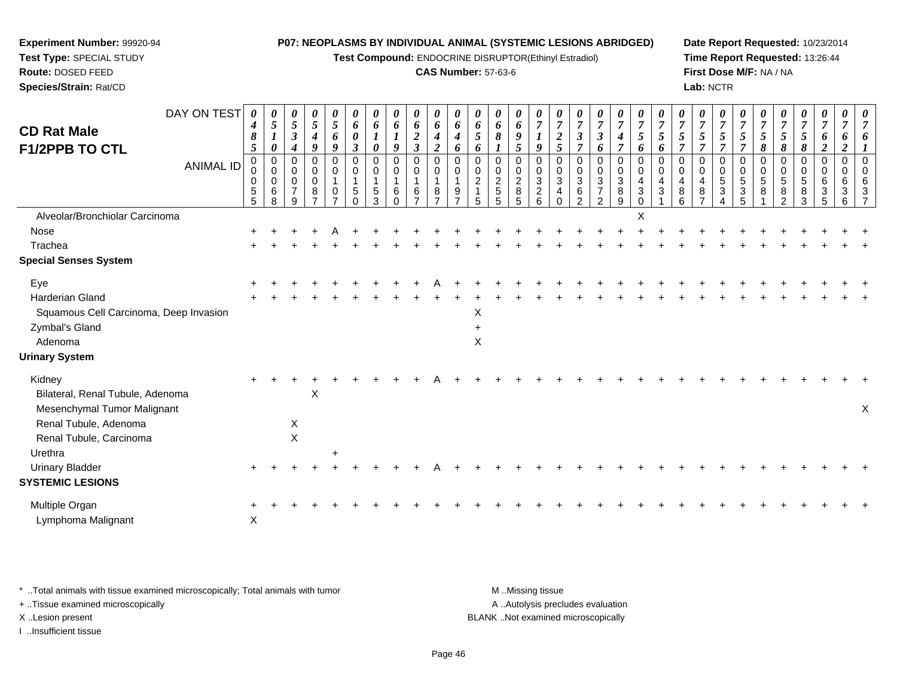**Test Compound:** ENDOCRINE DISRUPTOR(Ethinyl Estradiol)

## **CAS Number:** 57-63-6

**Date Report Requested:** 10/23/2014**Time Report Requested:** 13:26:44**First Dose M/F:** NA / NA**Lab:** NCTR

| DAY ON TEST<br><b>CD Rat Male</b><br>F1/2PPB TO CTL<br><b>ANIMAL ID</b> | 0<br>4<br>8<br>5<br>$\mathbf 0$<br>0<br>0<br>$\mathbf 5$<br>5 | 0<br>5<br>$\boldsymbol{l}$<br>$\boldsymbol{\theta}$<br>$\mathbf 0$<br>0<br>0<br>$\,6\,$<br>8 | 0<br>5<br>$\boldsymbol{\beta}$<br>4<br>$\Omega$<br>0<br>0<br>$\overline{7}$<br>9 | 0<br>$\overline{5}$<br>$\boldsymbol{4}$<br>9<br>$\mathbf 0$<br>0<br>$\mathbf 0$<br>8<br>$\overline{7}$ | 0<br>5<br>6<br>9<br>$\Omega$<br>0<br>0 | 0<br>6<br>0<br>$\boldsymbol{\beta}$<br>$\Omega$<br>0<br>1<br>5 | 0<br>6<br>1<br>0<br>0<br>0<br>5<br>3 | 0<br>6<br>$\boldsymbol{l}$<br>9<br>$\Omega$<br>0<br>6<br>$\Omega$ | $\pmb{\theta}$<br>6<br>$\boldsymbol{2}$<br>$\mathfrak{z}$<br>$\Omega$<br>$\mathbf 0$<br>$\mathbf{1}$<br>$\,6\,$<br>$\overline{z}$ | 0<br>6<br>$\boldsymbol{4}$<br>$\boldsymbol{2}$<br>0<br>0<br>8<br>$\overline{ }$ | 0<br>6<br>$\boldsymbol{4}$<br>6<br>$\Omega$<br>0<br>9<br>$\overline{ }$ | 0<br>6<br>5<br>6<br>0<br>0<br>$\overline{2}$ | 0<br>6<br>8<br>0<br>0<br>$\frac{2}{5}$<br>5 | 0<br>6<br>9<br>5<br>$\Omega$<br>0<br>$\overline{c}$<br>$\bf8$<br>5 | 0<br>$\overline{7}$<br>9<br>$\Omega$<br>0<br>3<br>$\overline{c}$<br>6 | $\boldsymbol{\theta}$<br>$\overline{7}$<br>$\boldsymbol{2}$<br>5<br>$\mathbf 0$<br>0<br>$\mathbf{3}$<br>4 | 0<br>$\overline{7}$<br>$\boldsymbol{\beta}$<br>$\overline{7}$<br>0<br>0<br>$\sqrt{3}$<br>$\,6$<br>$\overline{2}$ | 0<br>$\boldsymbol{7}$<br>$\boldsymbol{\beta}$<br>6<br>0<br>$\mathbf 0$<br>$\ensuremath{\mathsf{3}}$<br>$\boldsymbol{7}$<br>$\overline{2}$ | 0<br>$\overline{7}$<br>$\boldsymbol{4}$<br>$\overline{7}$<br>$\Omega$<br>0<br>3<br>$\bf 8$<br>9 | $\boldsymbol{\theta}$<br>$\overline{7}$<br>$\mathfrak{s}$<br>6<br>$\Omega$<br>0<br>4<br>$\mathbf{3}$<br>$\Omega$ | 0<br>5<br>6<br>$\Omega$<br>0<br>$\overline{4}$<br>3 | 0<br>$\overline{7}$<br>$\mathfrak{s}$<br>7<br>$\Omega$<br>0<br>4<br>$\,8\,$<br>6 | 0<br>$\overline{7}$<br>$\mathfrak{s}$<br>$\overline{7}$<br>$\Omega$<br>$\mathbf 0$<br>$\overline{4}$<br>8<br>$\overline{7}$ | 0<br>7<br>5<br>7<br>$\Omega$<br>0<br>5<br>3 | $\overline{7}$<br>5<br>0<br>0<br>5<br>$\boldsymbol{3}$<br>5 | 0<br>$\overline{7}$<br>5<br>8<br>0<br>0<br>5<br>8 | 0<br>$\overline{7}$<br>5<br>8<br>0<br>0<br>$\sqrt{5}$<br>8<br>2 | 0<br>$\overline{7}$<br>5<br>8<br>$\Omega$<br>0<br>$\sqrt{5}$<br>8<br>3 | 0<br>$\overline{7}$<br>6<br>$\boldsymbol{2}$<br>$\Omega$<br>0<br>6<br>$\mathbf{3}$<br>5 | 0<br>7<br>6<br>$\overline{\mathbf{2}}$<br>$\Omega$<br>0<br>6<br>3<br>6 | 0<br>$\overline{7}$<br>6<br>$\Omega$<br>0<br>6<br>3 |
|-------------------------------------------------------------------------|---------------------------------------------------------------|----------------------------------------------------------------------------------------------|----------------------------------------------------------------------------------|--------------------------------------------------------------------------------------------------------|----------------------------------------|----------------------------------------------------------------|--------------------------------------|-------------------------------------------------------------------|-----------------------------------------------------------------------------------------------------------------------------------|---------------------------------------------------------------------------------|-------------------------------------------------------------------------|----------------------------------------------|---------------------------------------------|--------------------------------------------------------------------|-----------------------------------------------------------------------|-----------------------------------------------------------------------------------------------------------|------------------------------------------------------------------------------------------------------------------|-------------------------------------------------------------------------------------------------------------------------------------------|-------------------------------------------------------------------------------------------------|------------------------------------------------------------------------------------------------------------------|-----------------------------------------------------|----------------------------------------------------------------------------------|-----------------------------------------------------------------------------------------------------------------------------|---------------------------------------------|-------------------------------------------------------------|---------------------------------------------------|-----------------------------------------------------------------|------------------------------------------------------------------------|-----------------------------------------------------------------------------------------|------------------------------------------------------------------------|-----------------------------------------------------|
| Alveolar/Bronchiolar Carcinoma                                          |                                                               |                                                                                              |                                                                                  |                                                                                                        |                                        |                                                                |                                      |                                                                   |                                                                                                                                   |                                                                                 |                                                                         |                                              |                                             |                                                                    |                                                                       |                                                                                                           |                                                                                                                  |                                                                                                                                           |                                                                                                 | Χ                                                                                                                |                                                     |                                                                                  |                                                                                                                             |                                             |                                                             |                                                   |                                                                 |                                                                        |                                                                                         |                                                                        |                                                     |
| Nose                                                                    |                                                               |                                                                                              |                                                                                  |                                                                                                        |                                        |                                                                |                                      |                                                                   |                                                                                                                                   |                                                                                 |                                                                         |                                              |                                             |                                                                    |                                                                       |                                                                                                           |                                                                                                                  |                                                                                                                                           |                                                                                                 |                                                                                                                  |                                                     |                                                                                  |                                                                                                                             |                                             |                                                             |                                                   |                                                                 |                                                                        |                                                                                         |                                                                        |                                                     |
| Trachea                                                                 |                                                               |                                                                                              |                                                                                  |                                                                                                        |                                        |                                                                |                                      |                                                                   |                                                                                                                                   |                                                                                 |                                                                         |                                              |                                             |                                                                    |                                                                       |                                                                                                           |                                                                                                                  |                                                                                                                                           |                                                                                                 |                                                                                                                  |                                                     |                                                                                  |                                                                                                                             |                                             |                                                             |                                                   |                                                                 |                                                                        |                                                                                         |                                                                        |                                                     |
| <b>Special Senses System</b>                                            |                                                               |                                                                                              |                                                                                  |                                                                                                        |                                        |                                                                |                                      |                                                                   |                                                                                                                                   |                                                                                 |                                                                         |                                              |                                             |                                                                    |                                                                       |                                                                                                           |                                                                                                                  |                                                                                                                                           |                                                                                                 |                                                                                                                  |                                                     |                                                                                  |                                                                                                                             |                                             |                                                             |                                                   |                                                                 |                                                                        |                                                                                         |                                                                        |                                                     |
| Eye                                                                     |                                                               |                                                                                              |                                                                                  |                                                                                                        |                                        |                                                                |                                      |                                                                   |                                                                                                                                   |                                                                                 |                                                                         |                                              |                                             |                                                                    |                                                                       |                                                                                                           |                                                                                                                  |                                                                                                                                           |                                                                                                 |                                                                                                                  |                                                     |                                                                                  |                                                                                                                             |                                             |                                                             |                                                   |                                                                 |                                                                        |                                                                                         |                                                                        |                                                     |
| <b>Harderian Gland</b>                                                  |                                                               |                                                                                              |                                                                                  |                                                                                                        |                                        |                                                                |                                      |                                                                   |                                                                                                                                   |                                                                                 |                                                                         |                                              |                                             |                                                                    |                                                                       |                                                                                                           |                                                                                                                  |                                                                                                                                           |                                                                                                 |                                                                                                                  |                                                     |                                                                                  |                                                                                                                             |                                             |                                                             |                                                   |                                                                 |                                                                        |                                                                                         |                                                                        |                                                     |
| Squamous Cell Carcinoma, Deep Invasion                                  |                                                               |                                                                                              |                                                                                  |                                                                                                        |                                        |                                                                |                                      |                                                                   |                                                                                                                                   |                                                                                 |                                                                         | X                                            |                                             |                                                                    |                                                                       |                                                                                                           |                                                                                                                  |                                                                                                                                           |                                                                                                 |                                                                                                                  |                                                     |                                                                                  |                                                                                                                             |                                             |                                                             |                                                   |                                                                 |                                                                        |                                                                                         |                                                                        |                                                     |
| Zymbal's Gland                                                          |                                                               |                                                                                              |                                                                                  |                                                                                                        |                                        |                                                                |                                      |                                                                   |                                                                                                                                   |                                                                                 |                                                                         |                                              |                                             |                                                                    |                                                                       |                                                                                                           |                                                                                                                  |                                                                                                                                           |                                                                                                 |                                                                                                                  |                                                     |                                                                                  |                                                                                                                             |                                             |                                                             |                                                   |                                                                 |                                                                        |                                                                                         |                                                                        |                                                     |
| Adenoma                                                                 |                                                               |                                                                                              |                                                                                  |                                                                                                        |                                        |                                                                |                                      |                                                                   |                                                                                                                                   |                                                                                 |                                                                         | X                                            |                                             |                                                                    |                                                                       |                                                                                                           |                                                                                                                  |                                                                                                                                           |                                                                                                 |                                                                                                                  |                                                     |                                                                                  |                                                                                                                             |                                             |                                                             |                                                   |                                                                 |                                                                        |                                                                                         |                                                                        |                                                     |
| <b>Urinary System</b>                                                   |                                                               |                                                                                              |                                                                                  |                                                                                                        |                                        |                                                                |                                      |                                                                   |                                                                                                                                   |                                                                                 |                                                                         |                                              |                                             |                                                                    |                                                                       |                                                                                                           |                                                                                                                  |                                                                                                                                           |                                                                                                 |                                                                                                                  |                                                     |                                                                                  |                                                                                                                             |                                             |                                                             |                                                   |                                                                 |                                                                        |                                                                                         |                                                                        |                                                     |
| Kidney                                                                  |                                                               |                                                                                              |                                                                                  |                                                                                                        |                                        |                                                                |                                      |                                                                   |                                                                                                                                   |                                                                                 |                                                                         |                                              |                                             |                                                                    |                                                                       |                                                                                                           |                                                                                                                  |                                                                                                                                           |                                                                                                 |                                                                                                                  |                                                     |                                                                                  |                                                                                                                             |                                             |                                                             |                                                   |                                                                 |                                                                        |                                                                                         |                                                                        |                                                     |
| Bilateral, Renal Tubule, Adenoma                                        |                                                               |                                                                                              |                                                                                  | X                                                                                                      |                                        |                                                                |                                      |                                                                   |                                                                                                                                   |                                                                                 |                                                                         |                                              |                                             |                                                                    |                                                                       |                                                                                                           |                                                                                                                  |                                                                                                                                           |                                                                                                 |                                                                                                                  |                                                     |                                                                                  |                                                                                                                             |                                             |                                                             |                                                   |                                                                 |                                                                        |                                                                                         |                                                                        |                                                     |
| Mesenchymal Tumor Malignant                                             |                                                               |                                                                                              |                                                                                  |                                                                                                        |                                        |                                                                |                                      |                                                                   |                                                                                                                                   |                                                                                 |                                                                         |                                              |                                             |                                                                    |                                                                       |                                                                                                           |                                                                                                                  |                                                                                                                                           |                                                                                                 |                                                                                                                  |                                                     |                                                                                  |                                                                                                                             |                                             |                                                             |                                                   |                                                                 |                                                                        |                                                                                         |                                                                        | $\mathsf X$                                         |
| Renal Tubule, Adenoma                                                   |                                                               |                                                                                              | X                                                                                |                                                                                                        |                                        |                                                                |                                      |                                                                   |                                                                                                                                   |                                                                                 |                                                                         |                                              |                                             |                                                                    |                                                                       |                                                                                                           |                                                                                                                  |                                                                                                                                           |                                                                                                 |                                                                                                                  |                                                     |                                                                                  |                                                                                                                             |                                             |                                                             |                                                   |                                                                 |                                                                        |                                                                                         |                                                                        |                                                     |
| Renal Tubule, Carcinoma                                                 |                                                               |                                                                                              | $\mathsf X$                                                                      |                                                                                                        |                                        |                                                                |                                      |                                                                   |                                                                                                                                   |                                                                                 |                                                                         |                                              |                                             |                                                                    |                                                                       |                                                                                                           |                                                                                                                  |                                                                                                                                           |                                                                                                 |                                                                                                                  |                                                     |                                                                                  |                                                                                                                             |                                             |                                                             |                                                   |                                                                 |                                                                        |                                                                                         |                                                                        |                                                     |
| Urethra                                                                 |                                                               |                                                                                              |                                                                                  |                                                                                                        |                                        |                                                                |                                      |                                                                   |                                                                                                                                   |                                                                                 |                                                                         |                                              |                                             |                                                                    |                                                                       |                                                                                                           |                                                                                                                  |                                                                                                                                           |                                                                                                 |                                                                                                                  |                                                     |                                                                                  |                                                                                                                             |                                             |                                                             |                                                   |                                                                 |                                                                        |                                                                                         |                                                                        |                                                     |
| <b>Urinary Bladder</b>                                                  |                                                               |                                                                                              |                                                                                  |                                                                                                        |                                        |                                                                |                                      |                                                                   |                                                                                                                                   |                                                                                 |                                                                         |                                              |                                             |                                                                    |                                                                       |                                                                                                           |                                                                                                                  |                                                                                                                                           |                                                                                                 |                                                                                                                  |                                                     |                                                                                  |                                                                                                                             |                                             |                                                             |                                                   |                                                                 |                                                                        |                                                                                         |                                                                        |                                                     |
| <b>SYSTEMIC LESIONS</b>                                                 |                                                               |                                                                                              |                                                                                  |                                                                                                        |                                        |                                                                |                                      |                                                                   |                                                                                                                                   |                                                                                 |                                                                         |                                              |                                             |                                                                    |                                                                       |                                                                                                           |                                                                                                                  |                                                                                                                                           |                                                                                                 |                                                                                                                  |                                                     |                                                                                  |                                                                                                                             |                                             |                                                             |                                                   |                                                                 |                                                                        |                                                                                         |                                                                        |                                                     |
| Multiple Organ                                                          |                                                               |                                                                                              |                                                                                  |                                                                                                        |                                        |                                                                |                                      |                                                                   |                                                                                                                                   |                                                                                 |                                                                         |                                              |                                             |                                                                    |                                                                       |                                                                                                           |                                                                                                                  |                                                                                                                                           |                                                                                                 |                                                                                                                  |                                                     |                                                                                  |                                                                                                                             |                                             |                                                             |                                                   |                                                                 |                                                                        |                                                                                         |                                                                        |                                                     |
| Lymphoma Malignant                                                      | $\mathsf X$                                                   |                                                                                              |                                                                                  |                                                                                                        |                                        |                                                                |                                      |                                                                   |                                                                                                                                   |                                                                                 |                                                                         |                                              |                                             |                                                                    |                                                                       |                                                                                                           |                                                                                                                  |                                                                                                                                           |                                                                                                 |                                                                                                                  |                                                     |                                                                                  |                                                                                                                             |                                             |                                                             |                                                   |                                                                 |                                                                        |                                                                                         |                                                                        |                                                     |

\* ..Total animals with tissue examined microscopically; Total animals with tumor **M** . Missing tissue M ..Missing tissue

+ ..Tissue examined microscopically

**Experiment Number:** 99920-94**Test Type:** SPECIAL STUDY**Route:** DOSED FEED**Species/Strain:** Rat/CD

I ..Insufficient tissue

A ..Autolysis precludes evaluation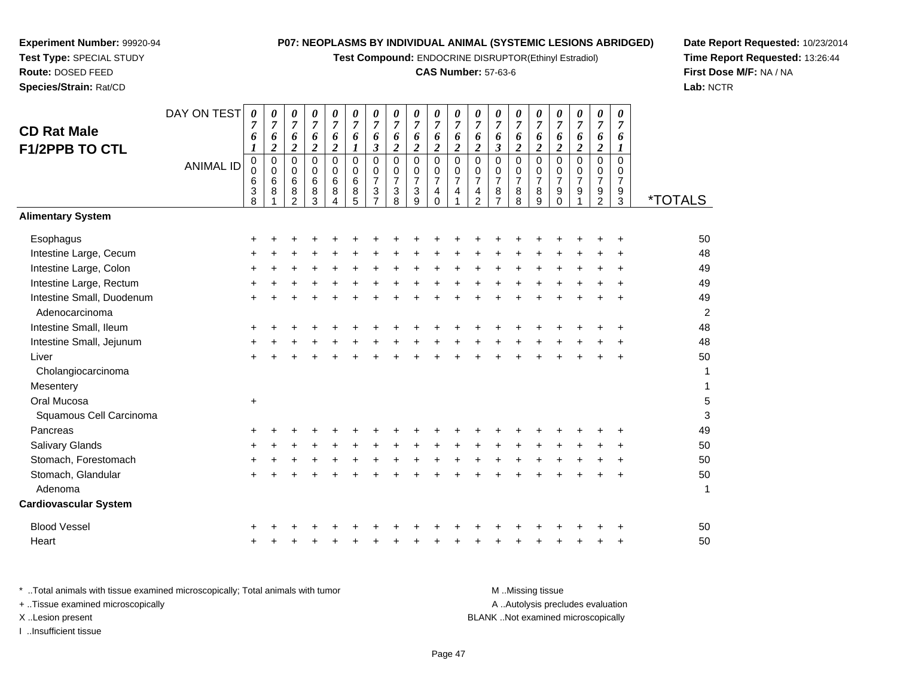**Test Compound:** ENDOCRINE DISRUPTOR(Ethinyl Estradiol)

# **CAS Number:** 57-63-6

**Date Report Requested:** 10/23/2014 **Time Report Requested:** 13:26:44**First Dose M/F:** NA / NA**Lab:** NCTR

| <b>CD Rat Male</b><br><b>F1/2PPB TO CTL</b> | DAY ON TEST<br><b>ANIMAL ID</b> | $\boldsymbol{\theta}$<br>7<br>6<br>1<br>$\pmb{0}$<br>0<br>6<br>3<br>8 | 0<br>$\overline{7}$<br>6<br>$\boldsymbol{2}$<br>$\mathbf 0$<br>$\mathbf 0$<br>6<br>8 | 0<br>$\overline{7}$<br>6<br>$\boldsymbol{2}$<br>$\Omega$<br>0<br>6<br>$\bf8$<br>$\overline{2}$ | $\boldsymbol{\theta}$<br>$\overline{7}$<br>6<br>$\overline{\mathbf{c}}$<br>$\Omega$<br>0<br>6<br>8<br>3 | 0<br>$\overline{7}$<br>6<br>$\boldsymbol{2}$<br>$\mathbf 0$<br>$\mathbf 0$<br>6<br>$\bf 8$<br>4 | 0<br>$\overline{7}$<br>6<br>$\boldsymbol{l}$<br>$\Omega$<br>0<br>$\,6\,$<br>$\bf 8$<br>5 | 0<br>$\overline{7}$<br>6<br>$\boldsymbol{\beta}$<br>0<br>0<br>$\overline{7}$<br>$\sqrt{3}$<br>$\overline{7}$ | 0<br>$\overline{7}$<br>6<br>$\boldsymbol{2}$<br>$\mathbf 0$<br>0<br>$\boldsymbol{7}$<br>$\ensuremath{\mathsf{3}}$<br>8 | $\boldsymbol{\theta}$<br>$\overline{7}$<br>6<br>$\boldsymbol{2}$<br>$\overline{0}$<br>$\mathbf 0$<br>$\boldsymbol{7}$<br>$\sqrt{3}$<br>9 | $\boldsymbol{\theta}$<br>$\boldsymbol{7}$<br>6<br>$\boldsymbol{2}$<br>$\overline{0}$<br>$\frac{0}{7}$<br>4<br>$\Omega$ | 0<br>$\overline{7}$<br>6<br>$\overline{\mathbf{c}}$<br>$\overline{0}$<br>$\,0\,$<br>$\overline{7}$<br>4<br>$\overline{1}$ | 0<br>$\overline{7}$<br>6<br>$\boldsymbol{2}$<br>0<br>0<br>$\overline{7}$<br>4<br>$\overline{2}$ | 0<br>$\boldsymbol{7}$<br>6<br>$\mathfrak{z}$<br>$\pmb{0}$<br>$\mathbf 0$<br>$\overline{7}$<br>$\bf 8$<br>$\overline{7}$ | 0<br>$\overline{7}$<br>6<br>$\boldsymbol{2}$<br>$\Omega$<br>$\mathbf 0$<br>$\overline{7}$<br>8<br>8 | 0<br>$\overline{7}$<br>6<br>$\overline{\mathbf{2}}$<br>$\mathbf 0$<br>$\mathbf 0$<br>$\overline{7}$<br>$\bf 8$<br>9 | 0<br>$\overline{7}$<br>6<br>$\boldsymbol{2}$<br>0<br>$\frac{0}{7}$<br>$\boldsymbol{9}$<br>$\bar{0}$ | 0<br>$\boldsymbol{7}$<br>6<br>$\boldsymbol{2}$<br>$\overline{0}$<br>$\begin{smallmatrix}0\\7\end{smallmatrix}$<br>$\boldsymbol{9}$ | 0<br>$\overline{7}$<br>6<br>$\boldsymbol{2}$<br>$\Omega$<br>$\mathbf 0$<br>$\boldsymbol{7}$<br>9<br>$\overline{2}$ | $\pmb{\theta}$<br>$\overline{7}$<br>6<br>$\boldsymbol{l}$<br>$\Omega$<br>$\mathbf 0$<br>$\overline{7}$<br>$\boldsymbol{9}$<br>3 | <i><b>*TOTALS</b></i> |
|---------------------------------------------|---------------------------------|-----------------------------------------------------------------------|--------------------------------------------------------------------------------------|------------------------------------------------------------------------------------------------|---------------------------------------------------------------------------------------------------------|-------------------------------------------------------------------------------------------------|------------------------------------------------------------------------------------------|--------------------------------------------------------------------------------------------------------------|------------------------------------------------------------------------------------------------------------------------|------------------------------------------------------------------------------------------------------------------------------------------|------------------------------------------------------------------------------------------------------------------------|---------------------------------------------------------------------------------------------------------------------------|-------------------------------------------------------------------------------------------------|-------------------------------------------------------------------------------------------------------------------------|-----------------------------------------------------------------------------------------------------|---------------------------------------------------------------------------------------------------------------------|-----------------------------------------------------------------------------------------------------|------------------------------------------------------------------------------------------------------------------------------------|--------------------------------------------------------------------------------------------------------------------|---------------------------------------------------------------------------------------------------------------------------------|-----------------------|
| <b>Alimentary System</b>                    |                                 |                                                                       |                                                                                      |                                                                                                |                                                                                                         |                                                                                                 |                                                                                          |                                                                                                              |                                                                                                                        |                                                                                                                                          |                                                                                                                        |                                                                                                                           |                                                                                                 |                                                                                                                         |                                                                                                     |                                                                                                                     |                                                                                                     |                                                                                                                                    |                                                                                                                    |                                                                                                                                 |                       |
| Esophagus                                   |                                 | +                                                                     |                                                                                      |                                                                                                |                                                                                                         |                                                                                                 |                                                                                          |                                                                                                              |                                                                                                                        |                                                                                                                                          |                                                                                                                        |                                                                                                                           |                                                                                                 |                                                                                                                         |                                                                                                     |                                                                                                                     |                                                                                                     |                                                                                                                                    |                                                                                                                    |                                                                                                                                 | 50                    |
| Intestine Large, Cecum                      |                                 |                                                                       |                                                                                      |                                                                                                |                                                                                                         |                                                                                                 |                                                                                          |                                                                                                              |                                                                                                                        |                                                                                                                                          |                                                                                                                        |                                                                                                                           |                                                                                                 |                                                                                                                         |                                                                                                     |                                                                                                                     |                                                                                                     |                                                                                                                                    |                                                                                                                    |                                                                                                                                 | 48                    |
| Intestine Large, Colon                      |                                 |                                                                       |                                                                                      |                                                                                                |                                                                                                         |                                                                                                 |                                                                                          |                                                                                                              |                                                                                                                        |                                                                                                                                          |                                                                                                                        |                                                                                                                           |                                                                                                 |                                                                                                                         |                                                                                                     |                                                                                                                     |                                                                                                     |                                                                                                                                    |                                                                                                                    |                                                                                                                                 | 49                    |
| Intestine Large, Rectum                     |                                 |                                                                       |                                                                                      |                                                                                                |                                                                                                         |                                                                                                 |                                                                                          |                                                                                                              |                                                                                                                        |                                                                                                                                          |                                                                                                                        |                                                                                                                           |                                                                                                 |                                                                                                                         |                                                                                                     |                                                                                                                     |                                                                                                     |                                                                                                                                    |                                                                                                                    |                                                                                                                                 | 49                    |
| Intestine Small, Duodenum<br>Adenocarcinoma |                                 |                                                                       |                                                                                      |                                                                                                |                                                                                                         |                                                                                                 |                                                                                          |                                                                                                              |                                                                                                                        |                                                                                                                                          |                                                                                                                        |                                                                                                                           |                                                                                                 |                                                                                                                         |                                                                                                     |                                                                                                                     |                                                                                                     |                                                                                                                                    |                                                                                                                    |                                                                                                                                 | 49<br>$\overline{c}$  |
| Intestine Small, Ileum                      |                                 |                                                                       |                                                                                      |                                                                                                |                                                                                                         |                                                                                                 |                                                                                          |                                                                                                              |                                                                                                                        |                                                                                                                                          |                                                                                                                        |                                                                                                                           |                                                                                                 |                                                                                                                         |                                                                                                     |                                                                                                                     |                                                                                                     |                                                                                                                                    |                                                                                                                    |                                                                                                                                 | 48                    |
| Intestine Small, Jejunum                    |                                 |                                                                       |                                                                                      |                                                                                                |                                                                                                         |                                                                                                 |                                                                                          |                                                                                                              |                                                                                                                        |                                                                                                                                          |                                                                                                                        |                                                                                                                           |                                                                                                 |                                                                                                                         |                                                                                                     |                                                                                                                     |                                                                                                     |                                                                                                                                    |                                                                                                                    |                                                                                                                                 | 48                    |
| Liver                                       |                                 | +                                                                     |                                                                                      |                                                                                                |                                                                                                         |                                                                                                 |                                                                                          |                                                                                                              |                                                                                                                        |                                                                                                                                          |                                                                                                                        |                                                                                                                           |                                                                                                 |                                                                                                                         |                                                                                                     |                                                                                                                     |                                                                                                     |                                                                                                                                    |                                                                                                                    | $\ddot{}$                                                                                                                       | 50                    |
| Cholangiocarcinoma                          |                                 |                                                                       |                                                                                      |                                                                                                |                                                                                                         |                                                                                                 |                                                                                          |                                                                                                              |                                                                                                                        |                                                                                                                                          |                                                                                                                        |                                                                                                                           |                                                                                                 |                                                                                                                         |                                                                                                     |                                                                                                                     |                                                                                                     |                                                                                                                                    |                                                                                                                    |                                                                                                                                 | 1                     |
| Mesentery                                   |                                 |                                                                       |                                                                                      |                                                                                                |                                                                                                         |                                                                                                 |                                                                                          |                                                                                                              |                                                                                                                        |                                                                                                                                          |                                                                                                                        |                                                                                                                           |                                                                                                 |                                                                                                                         |                                                                                                     |                                                                                                                     |                                                                                                     |                                                                                                                                    |                                                                                                                    |                                                                                                                                 | 1                     |
| Oral Mucosa                                 |                                 | $\ddot{}$                                                             |                                                                                      |                                                                                                |                                                                                                         |                                                                                                 |                                                                                          |                                                                                                              |                                                                                                                        |                                                                                                                                          |                                                                                                                        |                                                                                                                           |                                                                                                 |                                                                                                                         |                                                                                                     |                                                                                                                     |                                                                                                     |                                                                                                                                    |                                                                                                                    |                                                                                                                                 | 5                     |
| Squamous Cell Carcinoma                     |                                 |                                                                       |                                                                                      |                                                                                                |                                                                                                         |                                                                                                 |                                                                                          |                                                                                                              |                                                                                                                        |                                                                                                                                          |                                                                                                                        |                                                                                                                           |                                                                                                 |                                                                                                                         |                                                                                                     |                                                                                                                     |                                                                                                     |                                                                                                                                    |                                                                                                                    |                                                                                                                                 | 3                     |
| Pancreas                                    |                                 |                                                                       |                                                                                      |                                                                                                |                                                                                                         |                                                                                                 |                                                                                          |                                                                                                              |                                                                                                                        |                                                                                                                                          |                                                                                                                        |                                                                                                                           |                                                                                                 |                                                                                                                         |                                                                                                     |                                                                                                                     |                                                                                                     |                                                                                                                                    |                                                                                                                    |                                                                                                                                 | 49                    |
| Salivary Glands                             |                                 |                                                                       |                                                                                      |                                                                                                |                                                                                                         |                                                                                                 |                                                                                          |                                                                                                              |                                                                                                                        |                                                                                                                                          |                                                                                                                        |                                                                                                                           |                                                                                                 |                                                                                                                         |                                                                                                     |                                                                                                                     |                                                                                                     |                                                                                                                                    |                                                                                                                    |                                                                                                                                 | 50                    |
| Stomach, Forestomach                        |                                 |                                                                       |                                                                                      |                                                                                                |                                                                                                         |                                                                                                 |                                                                                          |                                                                                                              |                                                                                                                        |                                                                                                                                          |                                                                                                                        |                                                                                                                           |                                                                                                 |                                                                                                                         |                                                                                                     |                                                                                                                     |                                                                                                     |                                                                                                                                    |                                                                                                                    |                                                                                                                                 | 50                    |
| Stomach, Glandular                          |                                 |                                                                       |                                                                                      |                                                                                                |                                                                                                         |                                                                                                 |                                                                                          |                                                                                                              |                                                                                                                        |                                                                                                                                          |                                                                                                                        |                                                                                                                           |                                                                                                 |                                                                                                                         |                                                                                                     |                                                                                                                     |                                                                                                     |                                                                                                                                    |                                                                                                                    |                                                                                                                                 | 50                    |
| Adenoma                                     |                                 |                                                                       |                                                                                      |                                                                                                |                                                                                                         |                                                                                                 |                                                                                          |                                                                                                              |                                                                                                                        |                                                                                                                                          |                                                                                                                        |                                                                                                                           |                                                                                                 |                                                                                                                         |                                                                                                     |                                                                                                                     |                                                                                                     |                                                                                                                                    |                                                                                                                    |                                                                                                                                 | 1                     |
| <b>Cardiovascular System</b>                |                                 |                                                                       |                                                                                      |                                                                                                |                                                                                                         |                                                                                                 |                                                                                          |                                                                                                              |                                                                                                                        |                                                                                                                                          |                                                                                                                        |                                                                                                                           |                                                                                                 |                                                                                                                         |                                                                                                     |                                                                                                                     |                                                                                                     |                                                                                                                                    |                                                                                                                    |                                                                                                                                 |                       |
| <b>Blood Vessel</b>                         |                                 |                                                                       |                                                                                      |                                                                                                |                                                                                                         |                                                                                                 |                                                                                          |                                                                                                              |                                                                                                                        |                                                                                                                                          |                                                                                                                        |                                                                                                                           |                                                                                                 |                                                                                                                         |                                                                                                     |                                                                                                                     |                                                                                                     |                                                                                                                                    |                                                                                                                    |                                                                                                                                 | 50                    |
| Heart                                       |                                 |                                                                       |                                                                                      |                                                                                                |                                                                                                         |                                                                                                 |                                                                                          |                                                                                                              |                                                                                                                        |                                                                                                                                          |                                                                                                                        |                                                                                                                           |                                                                                                 |                                                                                                                         |                                                                                                     |                                                                                                                     |                                                                                                     |                                                                                                                                    |                                                                                                                    |                                                                                                                                 | 50                    |

| Total animals with tissue examined microscopically; Total animals with tumor | M Missing tissue                   |
|------------------------------------------------------------------------------|------------------------------------|
| + Tissue examined microscopically                                            | A Autolysis precludes evaluation   |
| X Lesion present                                                             | BLANK Not examined microscopically |
| Insufficient tissue                                                          |                                    |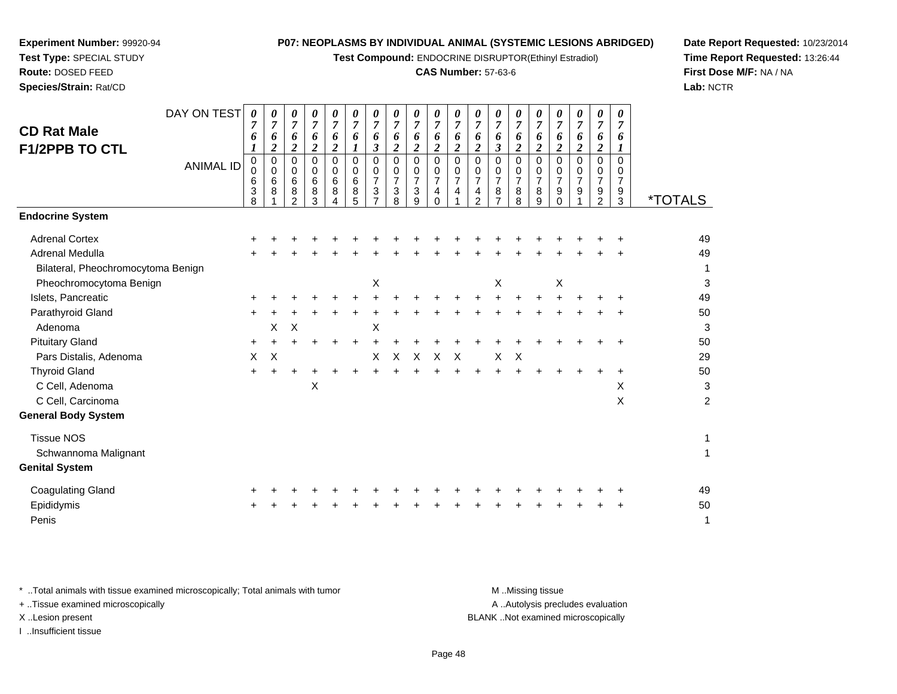**Test Compound:** ENDOCRINE DISRUPTOR(Ethinyl Estradiol)

## **CAS Number:** 57-63-6

**Date Report Requested:** 10/23/2014**Time Report Requested:** 13:26:44**First Dose M/F:** NA / NA**Lab:** NCTR

|                                    | DAY ON TEST      | 0<br>7 | 0<br>$\boldsymbol{7}$ | 0<br>$\boldsymbol{7}$    | 0<br>$\boldsymbol{7}$ | 0<br>$\overline{7}$        | 0<br>$\boldsymbol{7}$      | 0<br>$\overline{7}$                         | 0<br>$\overline{7}$ | 0<br>$\overline{7}$ | 0<br>$\overline{7}$        | 0<br>$\overline{7}$        | 0<br>$\overline{7}$      | 0<br>$\boldsymbol{7}$ | 0<br>$\overline{7}$       | 0<br>$\overline{7}$ | 0<br>$\overline{7}$ | 0<br>$\overline{7}$ | 0<br>$\boldsymbol{7}$      | 0<br>$\overline{7}$ |                       |
|------------------------------------|------------------|--------|-----------------------|--------------------------|-----------------------|----------------------------|----------------------------|---------------------------------------------|---------------------|---------------------|----------------------------|----------------------------|--------------------------|-----------------------|---------------------------|---------------------|---------------------|---------------------|----------------------------|---------------------|-----------------------|
| <b>CD Rat Male</b>                 |                  | 6      | 6                     | 6                        | 6                     | 6                          | 6                          | 6                                           | 6                   | 6                   | 6                          | 6                          | 6                        | 6                     | 6                         | 6                   | 6                   | 6                   | 6                          | 6                   |                       |
| <b>F1/2PPB TO CTL</b>              |                  | 1      | $\boldsymbol{2}$      | $\boldsymbol{2}$         | $\boldsymbol{2}$      | $\boldsymbol{2}$           | $\boldsymbol{l}$           | $\boldsymbol{\beta}$                        | $\boldsymbol{2}$    | $\boldsymbol{2}$    | $\boldsymbol{2}$           | $\overline{2}$             | $\boldsymbol{2}$         | $\boldsymbol{\beta}$  | $\boldsymbol{2}$          | $\boldsymbol{2}$    | $\overline{2}$      | $\boldsymbol{2}$    | $\boldsymbol{2}$           | $\boldsymbol{l}$    |                       |
|                                    | <b>ANIMAL ID</b> | 0<br>0 | $\pmb{0}$<br>0        | $\pmb{0}$<br>$\mathbf 0$ | $\pmb{0}$<br>0        | $\mathbf 0$<br>$\mathbf 0$ | $\mathbf 0$<br>$\mathbf 0$ | $\mathbf 0$<br>0                            | $\mathbf 0$<br>0    | $\pmb{0}$<br>0      | $\mathbf 0$<br>$\mathbf 0$ | $\mathbf 0$<br>$\mathbf 0$ | $\mathbf 0$<br>$\pmb{0}$ | 0<br>0                | $\mathbf 0$<br>0          | $\Omega$<br>0       | 0<br>$\mathsf{O}$   | 0<br>0              | $\mathsf 0$<br>$\mathbf 0$ | $\Omega$<br>0       |                       |
|                                    |                  | 6      | 6                     | 6                        | 6                     | 6                          | 6                          | $\overline{7}$                              | $\overline{7}$      | $\overline{7}$      | $\overline{7}$             | $\overline{7}$             | $\overline{7}$           | $\overline{7}$        | $\overline{7}$            | $\overline{7}$      | $\overline{7}$      | $\overline{7}$      | $\overline{7}$             | $\overline{7}$      |                       |
|                                    |                  | 3<br>8 | 8                     | 8<br>$\mathfrak{p}$      | 8<br>3                | 8<br>4                     | 8<br>5                     | $\ensuremath{\mathsf{3}}$<br>$\overline{7}$ | 3<br>8              | $\sqrt{3}$<br>9     | 4<br>$\Omega$              | 4                          | 4<br>$\mathfrak{p}$      | 8                     | 8<br>8                    | 8<br>9              | 9<br>$\Omega$       | 9                   | $\frac{9}{2}$              | 9<br>3              | <i><b>*TOTALS</b></i> |
| <b>Endocrine System</b>            |                  |        |                       |                          |                       |                            |                            |                                             |                     |                     |                            |                            |                          |                       |                           |                     |                     |                     |                            |                     |                       |
| <b>Adrenal Cortex</b>              |                  |        |                       |                          |                       |                            |                            |                                             |                     |                     |                            |                            |                          |                       |                           |                     |                     |                     |                            |                     | 49                    |
| Adrenal Medulla                    |                  |        |                       |                          |                       |                            |                            |                                             |                     |                     |                            |                            |                          |                       |                           |                     |                     |                     |                            |                     | 49                    |
| Bilateral, Pheochromocytoma Benign |                  |        |                       |                          |                       |                            |                            |                                             |                     |                     |                            |                            |                          |                       |                           |                     |                     |                     |                            |                     | $\mathbf{1}$          |
| Pheochromocytoma Benign            |                  |        |                       |                          |                       |                            |                            | X                                           |                     |                     |                            |                            |                          | $\times$              |                           |                     | Χ                   |                     |                            |                     | 3                     |
| Islets, Pancreatic                 |                  |        |                       |                          |                       |                            |                            |                                             |                     |                     |                            |                            |                          |                       |                           |                     |                     |                     |                            |                     | 49                    |
| Parathyroid Gland                  |                  |        |                       |                          |                       |                            |                            |                                             |                     |                     |                            |                            |                          |                       |                           |                     |                     |                     |                            |                     | 50                    |
| Adenoma                            |                  |        | X                     | $\times$                 |                       |                            |                            | Χ                                           |                     |                     |                            |                            |                          |                       |                           |                     |                     |                     |                            |                     | $\sqrt{3}$            |
| <b>Pituitary Gland</b>             |                  | $\pm$  |                       |                          |                       |                            |                            |                                             |                     |                     |                            |                            |                          |                       |                           |                     |                     |                     |                            |                     | 50                    |
| Pars Distalis, Adenoma             |                  | X      | Χ                     |                          |                       |                            |                            | X                                           | X                   | $\mathsf{X}$        | $\boldsymbol{\mathsf{X}}$  | $\boldsymbol{\mathsf{X}}$  |                          | X                     | $\boldsymbol{\mathsf{X}}$ |                     |                     |                     |                            |                     | 29                    |
| <b>Thyroid Gland</b>               |                  | $+$    | $\ddot{}$             |                          |                       |                            | $\div$                     |                                             |                     |                     |                            |                            |                          |                       |                           |                     |                     |                     |                            | $\ddot{}$           | 50                    |
| C Cell, Adenoma                    |                  |        |                       |                          | Χ                     |                            |                            |                                             |                     |                     |                            |                            |                          |                       |                           |                     |                     |                     |                            | Χ                   | $\sqrt{3}$            |
| C Cell, Carcinoma                  |                  |        |                       |                          |                       |                            |                            |                                             |                     |                     |                            |                            |                          |                       |                           |                     |                     |                     |                            | X                   | $\overline{c}$        |
| <b>General Body System</b>         |                  |        |                       |                          |                       |                            |                            |                                             |                     |                     |                            |                            |                          |                       |                           |                     |                     |                     |                            |                     |                       |
| <b>Tissue NOS</b>                  |                  |        |                       |                          |                       |                            |                            |                                             |                     |                     |                            |                            |                          |                       |                           |                     |                     |                     |                            |                     | $\mathbf{1}$          |
| Schwannoma Malignant               |                  |        |                       |                          |                       |                            |                            |                                             |                     |                     |                            |                            |                          |                       |                           |                     |                     |                     |                            |                     | 1                     |
| <b>Genital System</b>              |                  |        |                       |                          |                       |                            |                            |                                             |                     |                     |                            |                            |                          |                       |                           |                     |                     |                     |                            |                     |                       |
| <b>Coagulating Gland</b>           |                  |        |                       |                          |                       |                            |                            |                                             |                     |                     |                            |                            |                          |                       |                           |                     |                     |                     |                            |                     | 49                    |
| Epididymis                         |                  |        |                       |                          |                       |                            |                            |                                             |                     |                     |                            |                            |                          |                       |                           |                     |                     |                     |                            |                     | 50                    |
| Penis                              |                  |        |                       |                          |                       |                            |                            |                                             |                     |                     |                            |                            |                          |                       |                           |                     |                     |                     |                            |                     | 1                     |
|                                    |                  |        |                       |                          |                       |                            |                            |                                             |                     |                     |                            |                            |                          |                       |                           |                     |                     |                     |                            |                     |                       |

\* ..Total animals with tissue examined microscopically; Total animals with tumor **M** . Missing tissue M ..Missing tissue A ..Autolysis precludes evaluation + ..Tissue examined microscopically X ..Lesion present BLANK ..Not examined microscopically

I ..Insufficient tissue

**Experiment Number:** 99920-94**Test Type:** SPECIAL STUDY**Route:** DOSED FEED**Species/Strain:** Rat/CD

Page 48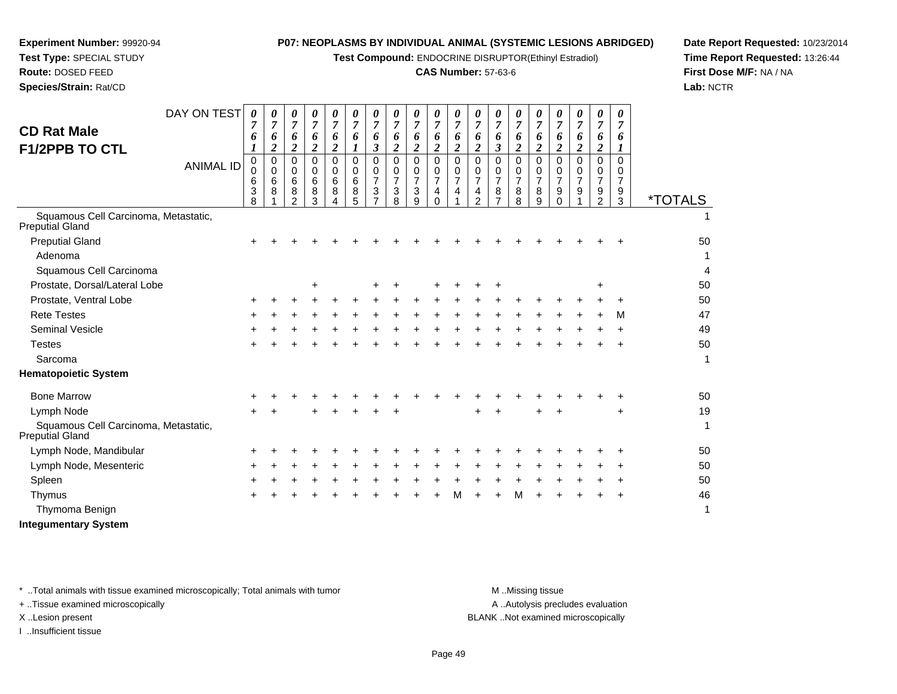**Test Compound:** ENDOCRINE DISRUPTOR(Ethinyl Estradiol)

## **CAS Number:** 57-63-6

**Date Report Requested:** 10/23/2014**Time Report Requested:** 13:26:44**First Dose M/F:** NA / NA**Lab:** NCTR

| <b>CD Rat Male</b><br><b>F1/2PPB TO CTL</b>             | DAY ON TEST      | 0<br>7<br>6           | 0<br>$\overline{7}$<br>6<br>$\boldsymbol{2}$ | 0<br>7<br>6<br>$\overline{2}$             | 0<br>$\overline{7}$<br>6<br>$\boldsymbol{2}$ | 0<br>$\overline{7}$<br>6<br>$\overline{2}$ | 0<br>7<br>6           | 0<br>$\overline{7}$<br>6<br>$\boldsymbol{\beta}$ | 0<br>$\overline{7}$<br>6<br>$\overline{2}$   | 0<br>$\overline{7}$<br>6<br>$\boldsymbol{2}$ | 0<br>$\overline{7}$<br>6<br>$\boldsymbol{2}$               | 0<br>$\overline{7}$<br>6<br>$\overline{2}$        | 0<br>7<br>6<br>$\overline{\mathbf{2}}$    | 0<br>$\overline{7}$<br>6<br>$\mathbf{3}$ | 0<br>$\overline{7}$<br>6<br>$\boldsymbol{2}$ | 0<br>$\overline{7}$<br>6<br>$\overline{\mathbf{c}}$ | $\boldsymbol{\theta}$<br>$\overline{7}$<br>6<br>$\overline{\mathbf{2}}$ | 0<br>$\overline{7}$<br>6<br>$\boldsymbol{2}$ | 0<br>$\overline{7}$<br>6<br>$\boldsymbol{2}$ | 0<br>$\overline{7}$<br>6<br>1             |                       |
|---------------------------------------------------------|------------------|-----------------------|----------------------------------------------|-------------------------------------------|----------------------------------------------|--------------------------------------------|-----------------------|--------------------------------------------------|----------------------------------------------|----------------------------------------------|------------------------------------------------------------|---------------------------------------------------|-------------------------------------------|------------------------------------------|----------------------------------------------|-----------------------------------------------------|-------------------------------------------------------------------------|----------------------------------------------|----------------------------------------------|-------------------------------------------|-----------------------|
|                                                         | <b>ANIMAL ID</b> | 0<br>0<br>6<br>3<br>8 | $\mathbf 0$<br>0<br>6<br>8                   | $\Omega$<br>0<br>6<br>8<br>$\mathfrak{p}$ | $\Omega$<br>0<br>6<br>8<br>3                 | $\Omega$<br>0<br>6<br>8                    | 0<br>0<br>6<br>8<br>5 | $\Omega$<br>0<br>$\overline{7}$<br>3             | $\mathbf 0$<br>0<br>$\overline{7}$<br>3<br>8 | $\Omega$<br>$\mathbf 0$<br>7<br>3<br>9       | $\Omega$<br>$\mathbf 0$<br>$\overline{7}$<br>4<br>$\Omega$ | $\Omega$<br>0<br>$\overline{7}$<br>$\overline{4}$ | $\Omega$<br>0<br>7<br>4<br>$\overline{2}$ | $\Omega$<br>0<br>$\overline{7}$<br>8     | $\Omega$<br>0<br>$\overline{7}$<br>8<br>8    | $\Omega$<br>0<br>7<br>8<br>9                        | $\Omega$<br>0<br>$\overline{7}$<br>9<br>$\Omega$                        | $\Omega$<br>0<br>$\overline{7}$<br>9         | $\mathbf 0$<br>0<br>7<br>9<br>$\overline{2}$ | $\Omega$<br>0<br>$\overline{7}$<br>9<br>3 | <i><b>*TOTALS</b></i> |
| Squamous Cell Carcinoma, Metastatic,<br>Preputial Gland |                  |                       |                                              |                                           |                                              |                                            |                       |                                                  |                                              |                                              |                                                            |                                                   |                                           |                                          |                                              |                                                     |                                                                         |                                              |                                              |                                           | 1                     |
| <b>Preputial Gland</b>                                  |                  | ٠                     |                                              |                                           |                                              |                                            |                       |                                                  |                                              |                                              |                                                            |                                                   |                                           |                                          |                                              |                                                     |                                                                         |                                              |                                              |                                           | 50                    |
| Adenoma                                                 |                  |                       |                                              |                                           |                                              |                                            |                       |                                                  |                                              |                                              |                                                            |                                                   |                                           |                                          |                                              |                                                     |                                                                         |                                              |                                              |                                           |                       |
| Squamous Cell Carcinoma                                 |                  |                       |                                              |                                           |                                              |                                            |                       |                                                  |                                              |                                              |                                                            |                                                   |                                           |                                          |                                              |                                                     |                                                                         |                                              |                                              |                                           | 4                     |
| Prostate, Dorsal/Lateral Lobe                           |                  |                       |                                              |                                           | ÷                                            |                                            |                       |                                                  |                                              |                                              |                                                            |                                                   |                                           | ÷                                        |                                              |                                                     |                                                                         |                                              | +                                            |                                           | 50                    |
| Prostate, Ventral Lobe                                  |                  | ٠                     |                                              |                                           |                                              |                                            |                       |                                                  |                                              |                                              |                                                            |                                                   |                                           |                                          |                                              |                                                     |                                                                         |                                              |                                              |                                           | 50                    |
| <b>Rete Testes</b>                                      |                  |                       |                                              |                                           |                                              |                                            |                       |                                                  |                                              |                                              |                                                            |                                                   |                                           |                                          |                                              |                                                     |                                                                         |                                              |                                              | м                                         | 47                    |
| <b>Seminal Vesicle</b>                                  |                  |                       |                                              |                                           |                                              |                                            |                       |                                                  |                                              |                                              |                                                            |                                                   |                                           |                                          |                                              |                                                     |                                                                         |                                              |                                              |                                           | 49                    |
| <b>Testes</b>                                           |                  |                       |                                              |                                           |                                              |                                            |                       |                                                  |                                              |                                              |                                                            |                                                   |                                           |                                          |                                              |                                                     |                                                                         |                                              |                                              |                                           | 50                    |
| Sarcoma                                                 |                  |                       |                                              |                                           |                                              |                                            |                       |                                                  |                                              |                                              |                                                            |                                                   |                                           |                                          |                                              |                                                     |                                                                         |                                              |                                              |                                           | $\mathbf 1$           |
| <b>Hematopoietic System</b>                             |                  |                       |                                              |                                           |                                              |                                            |                       |                                                  |                                              |                                              |                                                            |                                                   |                                           |                                          |                                              |                                                     |                                                                         |                                              |                                              |                                           |                       |
| <b>Bone Marrow</b>                                      |                  |                       |                                              |                                           |                                              |                                            |                       |                                                  |                                              |                                              |                                                            |                                                   |                                           |                                          |                                              |                                                     |                                                                         |                                              |                                              |                                           | 50                    |
| Lymph Node                                              |                  |                       |                                              |                                           |                                              |                                            |                       |                                                  |                                              |                                              |                                                            |                                                   |                                           |                                          |                                              |                                                     |                                                                         |                                              |                                              | +                                         | 19                    |
| Squamous Cell Carcinoma, Metastatic,<br>Preputial Gland |                  |                       |                                              |                                           |                                              |                                            |                       |                                                  |                                              |                                              |                                                            |                                                   |                                           |                                          |                                              |                                                     |                                                                         |                                              |                                              |                                           | $\mathbf 1$           |
| Lymph Node, Mandibular                                  |                  |                       |                                              |                                           |                                              |                                            |                       |                                                  |                                              |                                              |                                                            |                                                   |                                           |                                          |                                              |                                                     |                                                                         |                                              |                                              |                                           | 50                    |
| Lymph Node, Mesenteric                                  |                  |                       |                                              |                                           |                                              |                                            |                       |                                                  |                                              |                                              |                                                            |                                                   |                                           |                                          |                                              |                                                     |                                                                         |                                              |                                              |                                           | 50                    |
| Spleen                                                  |                  |                       |                                              |                                           |                                              |                                            |                       |                                                  |                                              |                                              |                                                            |                                                   |                                           |                                          |                                              |                                                     |                                                                         |                                              |                                              |                                           | 50                    |
| Thymus                                                  |                  |                       |                                              |                                           |                                              |                                            |                       |                                                  |                                              |                                              |                                                            | М                                                 |                                           |                                          | м                                            |                                                     |                                                                         |                                              |                                              |                                           | 46                    |
| Thymoma Benign                                          |                  |                       |                                              |                                           |                                              |                                            |                       |                                                  |                                              |                                              |                                                            |                                                   |                                           |                                          |                                              |                                                     |                                                                         |                                              |                                              |                                           | 1                     |
|                                                         |                  |                       |                                              |                                           |                                              |                                            |                       |                                                  |                                              |                                              |                                                            |                                                   |                                           |                                          |                                              |                                                     |                                                                         |                                              |                                              |                                           |                       |

**Integumentary System**

**Experiment Number:** 99920-94**Test Type:** SPECIAL STUDY**Route:** DOSED FEED**Species/Strain:** Rat/CD

\* ..Total animals with tissue examined microscopically; Total animals with tumor **M** . Missing tissue M ..Missing tissue

+ ..Tissue examined microscopically

I ..Insufficient tissue

A ..Autolysis precludes evaluation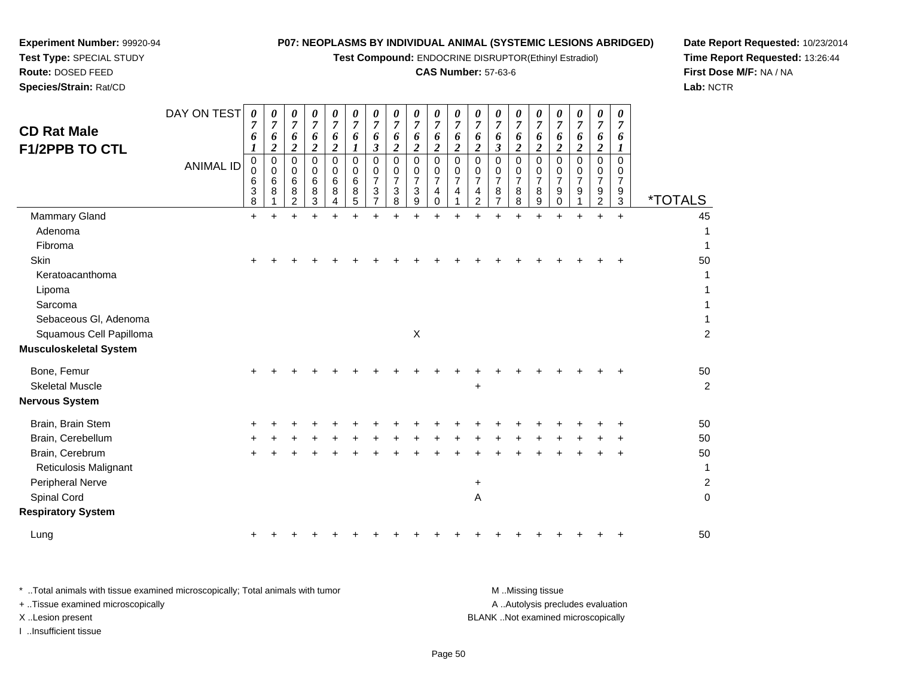**Test Compound:** ENDOCRINE DISRUPTOR(Ethinyl Estradiol)

# **CAS Number:** 57-63-6

**Date Report Requested:** 10/23/2014**Time Report Requested:** 13:26:44**First Dose M/F:** NA / NA**Lab:** NCTR

**Experiment Number:** 99920-94

**Species/Strain:** Rat/CD

| <b>CD Rat Male</b><br><b>F1/2PPB TO CTL</b>     | DAY ON TEST<br><b>ANIMAL ID</b> | $\boldsymbol{\theta}$<br>7<br>6<br>$\mathbf 0$<br>$\pmb{0}$<br>6<br>3<br>8 | 0<br>$\overline{7}$<br>6<br>$\overline{c}$<br>$\mathbf 0$<br>$\mathbf 0$<br>6<br>8 | 0<br>$\overline{7}$<br>6<br>$\overline{c}$<br>0<br>$\Omega$<br>6<br>8<br>$\overline{c}$ | 0<br>$\overline{7}$<br>6<br>$\overline{2}$<br>$\mathbf 0$<br>$\Omega$<br>6<br>8<br>3 | $\boldsymbol{\theta}$<br>$\overline{7}$<br>6<br>$\boldsymbol{2}$<br>$\mathbf 0$<br>$\mathbf 0$<br>6<br>8<br>4 | 0<br>$\overline{7}$<br>6<br>$\mathbf 0$<br>0<br>$\,6$<br>8<br>5 | 0<br>$\overline{7}$<br>6<br>$\boldsymbol{\beta}$<br>$\mathbf 0$<br>0<br>$\overline{7}$<br>3 | $\boldsymbol{\theta}$<br>$\overline{7}$<br>6<br>$\overline{2}$<br>0<br>$\mathbf 0$<br>$\overline{7}$<br>3<br>8 | $\pmb{\theta}$<br>$\overline{7}$<br>6<br>$\boldsymbol{2}$<br>$\mathbf 0$<br>$\mathbf 0$<br>$\overline{7}$<br>3<br>9 | $\boldsymbol{\theta}$<br>$\overline{7}$<br>6<br>$\overline{2}$<br>$\mathbf 0$<br>$\mathbf 0$<br>$\overline{7}$<br>4<br>0 | 0<br>$\overline{7}$<br>6<br>$\overline{\mathbf{c}}$<br>0<br>0<br>$\overline{7}$<br>4 | 0<br>$\overline{7}$<br>6<br>$\overline{2}$<br>0<br>$\mathbf 0$<br>$\overline{7}$<br>$\overline{4}$<br>$\overline{c}$ | 0<br>$\overline{7}$<br>6<br>3<br>$\mathbf 0$<br>$\Omega$<br>$\overline{7}$<br>8 | 0<br>$\overline{7}$<br>6<br>$\overline{c}$<br>$\mathbf 0$<br>0<br>$\overline{7}$<br>8<br>8 | 0<br>$\overline{7}$<br>6<br>$\overline{2}$<br>0<br>0<br>$\overline{7}$<br>8<br>9 | 0<br>$\overline{7}$<br>6<br>$\overline{c}$<br>0<br>0<br>$\overline{7}$<br>9<br>0 | 0<br>$\overline{7}$<br>6<br>$\overline{2}$<br>$\Omega$<br>0<br>$\overline{7}$<br>9 | 0<br>$\overline{7}$<br>6<br>$\boldsymbol{2}$<br>$\mathbf 0$<br>0<br>$\overline{7}$<br>9<br>$\overline{c}$ | 0<br>$\overline{7}$<br>6<br>0<br>0<br>$\overline{7}$<br>9<br>3 | <i><b>*TOTALS</b></i> |
|-------------------------------------------------|---------------------------------|----------------------------------------------------------------------------|------------------------------------------------------------------------------------|-----------------------------------------------------------------------------------------|--------------------------------------------------------------------------------------|---------------------------------------------------------------------------------------------------------------|-----------------------------------------------------------------|---------------------------------------------------------------------------------------------|----------------------------------------------------------------------------------------------------------------|---------------------------------------------------------------------------------------------------------------------|--------------------------------------------------------------------------------------------------------------------------|--------------------------------------------------------------------------------------|----------------------------------------------------------------------------------------------------------------------|---------------------------------------------------------------------------------|--------------------------------------------------------------------------------------------|----------------------------------------------------------------------------------|----------------------------------------------------------------------------------|------------------------------------------------------------------------------------|-----------------------------------------------------------------------------------------------------------|----------------------------------------------------------------|-----------------------|
| Mammary Gland                                   |                                 | $+$                                                                        |                                                                                    |                                                                                         |                                                                                      | ÷.                                                                                                            | $\ddot{}$                                                       |                                                                                             |                                                                                                                |                                                                                                                     | ÷                                                                                                                        | $\ddot{}$                                                                            |                                                                                                                      |                                                                                 | ÷                                                                                          | $\ddot{}$                                                                        | ÷                                                                                |                                                                                    | ÷                                                                                                         | $\ddot{}$                                                      | 45                    |
| Adenoma                                         |                                 |                                                                            |                                                                                    |                                                                                         |                                                                                      |                                                                                                               |                                                                 |                                                                                             |                                                                                                                |                                                                                                                     |                                                                                                                          |                                                                                      |                                                                                                                      |                                                                                 |                                                                                            |                                                                                  |                                                                                  |                                                                                    |                                                                                                           |                                                                |                       |
| Fibroma                                         |                                 |                                                                            |                                                                                    |                                                                                         |                                                                                      |                                                                                                               |                                                                 |                                                                                             |                                                                                                                |                                                                                                                     |                                                                                                                          |                                                                                      |                                                                                                                      |                                                                                 |                                                                                            |                                                                                  |                                                                                  |                                                                                    |                                                                                                           |                                                                | 1                     |
| Skin                                            |                                 |                                                                            |                                                                                    |                                                                                         |                                                                                      |                                                                                                               |                                                                 |                                                                                             |                                                                                                                |                                                                                                                     |                                                                                                                          |                                                                                      |                                                                                                                      |                                                                                 |                                                                                            |                                                                                  |                                                                                  |                                                                                    |                                                                                                           |                                                                | 50                    |
| Keratoacanthoma                                 |                                 |                                                                            |                                                                                    |                                                                                         |                                                                                      |                                                                                                               |                                                                 |                                                                                             |                                                                                                                |                                                                                                                     |                                                                                                                          |                                                                                      |                                                                                                                      |                                                                                 |                                                                                            |                                                                                  |                                                                                  |                                                                                    |                                                                                                           |                                                                | 1                     |
| Lipoma                                          |                                 |                                                                            |                                                                                    |                                                                                         |                                                                                      |                                                                                                               |                                                                 |                                                                                             |                                                                                                                |                                                                                                                     |                                                                                                                          |                                                                                      |                                                                                                                      |                                                                                 |                                                                                            |                                                                                  |                                                                                  |                                                                                    |                                                                                                           |                                                                |                       |
| Sarcoma                                         |                                 |                                                                            |                                                                                    |                                                                                         |                                                                                      |                                                                                                               |                                                                 |                                                                                             |                                                                                                                |                                                                                                                     |                                                                                                                          |                                                                                      |                                                                                                                      |                                                                                 |                                                                                            |                                                                                  |                                                                                  |                                                                                    |                                                                                                           |                                                                | 1                     |
| Sebaceous Gl, Adenoma                           |                                 |                                                                            |                                                                                    |                                                                                         |                                                                                      |                                                                                                               |                                                                 |                                                                                             |                                                                                                                |                                                                                                                     |                                                                                                                          |                                                                                      |                                                                                                                      |                                                                                 |                                                                                            |                                                                                  |                                                                                  |                                                                                    |                                                                                                           |                                                                | 1                     |
| Squamous Cell Papilloma                         |                                 |                                                                            |                                                                                    |                                                                                         |                                                                                      |                                                                                                               |                                                                 |                                                                                             |                                                                                                                | X                                                                                                                   |                                                                                                                          |                                                                                      |                                                                                                                      |                                                                                 |                                                                                            |                                                                                  |                                                                                  |                                                                                    |                                                                                                           |                                                                | $\overline{c}$        |
| <b>Musculoskeletal System</b>                   |                                 |                                                                            |                                                                                    |                                                                                         |                                                                                      |                                                                                                               |                                                                 |                                                                                             |                                                                                                                |                                                                                                                     |                                                                                                                          |                                                                                      |                                                                                                                      |                                                                                 |                                                                                            |                                                                                  |                                                                                  |                                                                                    |                                                                                                           |                                                                |                       |
| Bone, Femur                                     |                                 |                                                                            |                                                                                    |                                                                                         |                                                                                      |                                                                                                               |                                                                 |                                                                                             |                                                                                                                |                                                                                                                     |                                                                                                                          |                                                                                      |                                                                                                                      |                                                                                 |                                                                                            |                                                                                  |                                                                                  |                                                                                    |                                                                                                           |                                                                | 50                    |
| <b>Skeletal Muscle</b>                          |                                 |                                                                            |                                                                                    |                                                                                         |                                                                                      |                                                                                                               |                                                                 |                                                                                             |                                                                                                                |                                                                                                                     |                                                                                                                          |                                                                                      | +                                                                                                                    |                                                                                 |                                                                                            |                                                                                  |                                                                                  |                                                                                    |                                                                                                           |                                                                | $\overline{c}$        |
| <b>Nervous System</b>                           |                                 |                                                                            |                                                                                    |                                                                                         |                                                                                      |                                                                                                               |                                                                 |                                                                                             |                                                                                                                |                                                                                                                     |                                                                                                                          |                                                                                      |                                                                                                                      |                                                                                 |                                                                                            |                                                                                  |                                                                                  |                                                                                    |                                                                                                           |                                                                |                       |
| Brain, Brain Stem                               |                                 |                                                                            |                                                                                    |                                                                                         |                                                                                      |                                                                                                               |                                                                 |                                                                                             |                                                                                                                |                                                                                                                     |                                                                                                                          |                                                                                      |                                                                                                                      |                                                                                 |                                                                                            |                                                                                  |                                                                                  |                                                                                    |                                                                                                           |                                                                | 50                    |
| Brain, Cerebellum                               |                                 |                                                                            |                                                                                    |                                                                                         |                                                                                      |                                                                                                               |                                                                 |                                                                                             |                                                                                                                |                                                                                                                     |                                                                                                                          |                                                                                      |                                                                                                                      |                                                                                 |                                                                                            |                                                                                  |                                                                                  |                                                                                    |                                                                                                           |                                                                | 50                    |
| Brain, Cerebrum<br><b>Reticulosis Malignant</b> |                                 |                                                                            |                                                                                    |                                                                                         |                                                                                      |                                                                                                               |                                                                 |                                                                                             |                                                                                                                |                                                                                                                     |                                                                                                                          |                                                                                      |                                                                                                                      |                                                                                 |                                                                                            |                                                                                  |                                                                                  |                                                                                    |                                                                                                           |                                                                | 50<br>$\mathbf{1}$    |
| Peripheral Nerve                                |                                 |                                                                            |                                                                                    |                                                                                         |                                                                                      |                                                                                                               |                                                                 |                                                                                             |                                                                                                                |                                                                                                                     |                                                                                                                          |                                                                                      | $\ddot{}$                                                                                                            |                                                                                 |                                                                                            |                                                                                  |                                                                                  |                                                                                    |                                                                                                           |                                                                | $\overline{c}$        |
| Spinal Cord                                     |                                 |                                                                            |                                                                                    |                                                                                         |                                                                                      |                                                                                                               |                                                                 |                                                                                             |                                                                                                                |                                                                                                                     |                                                                                                                          |                                                                                      | Α                                                                                                                    |                                                                                 |                                                                                            |                                                                                  |                                                                                  |                                                                                    |                                                                                                           |                                                                | $\mathbf 0$           |
| <b>Respiratory System</b>                       |                                 |                                                                            |                                                                                    |                                                                                         |                                                                                      |                                                                                                               |                                                                 |                                                                                             |                                                                                                                |                                                                                                                     |                                                                                                                          |                                                                                      |                                                                                                                      |                                                                                 |                                                                                            |                                                                                  |                                                                                  |                                                                                    |                                                                                                           |                                                                |                       |
| Lung                                            |                                 |                                                                            |                                                                                    |                                                                                         |                                                                                      |                                                                                                               |                                                                 |                                                                                             |                                                                                                                |                                                                                                                     |                                                                                                                          |                                                                                      |                                                                                                                      |                                                                                 |                                                                                            |                                                                                  |                                                                                  |                                                                                    |                                                                                                           |                                                                | 50                    |

| Total animals with tissue examined microscopically; Total animals with tumor | M Missing tissue                   |
|------------------------------------------------------------------------------|------------------------------------|
| + Tissue examined microscopically                                            | A Autolysis precludes evaluation   |
| X Lesion present                                                             | BLANK Not examined microscopically |
| …Insufficient tissue                                                         |                                    |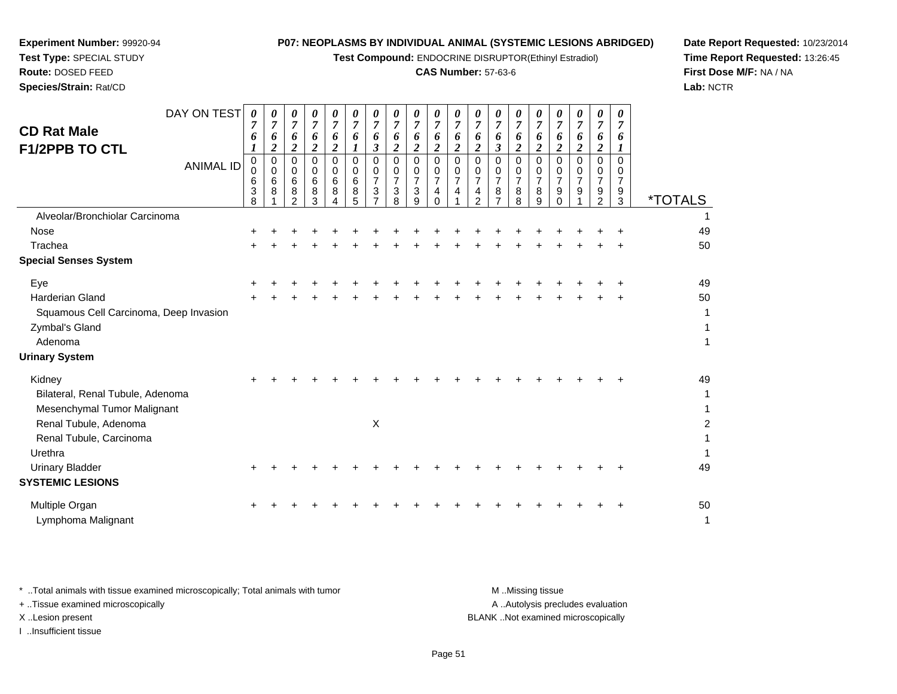**Test Compound:** ENDOCRINE DISRUPTOR(Ethinyl Estradiol)

## **CAS Number:** 57-63-6

**Date Report Requested:** 10/23/2014**Time Report Requested:** 13:26:45**First Dose M/F:** NA / NA**Lab:** NCTR

| <b>CD Rat Male</b><br><b>F1/2PPB TO CTL</b> | DAY ON TEST<br><b>ANIMAL ID</b> | 0<br>7<br>6<br>0<br>0<br>6<br>3 | 0<br>$\overline{7}$<br>6<br>$\boldsymbol{2}$<br>$\mathbf 0$<br>$\mathbf 0$<br>6<br>8 | 0<br>$\overline{7}$<br>6<br>$\boldsymbol{2}$<br>0<br>0<br>6<br>8 | 0<br>$\overline{7}$<br>6<br>$\overline{2}$<br>$\Omega$<br>$\mathbf 0$<br>6<br>8 | 0<br>$\overline{7}$<br>6<br>$\overline{c}$<br>$\Omega$<br>0<br>6<br>8 | 0<br>$\overline{7}$<br>6<br>$\Omega$<br>0<br>6<br>8 | $\boldsymbol{\theta}$<br>$\overline{7}$<br>6<br>3<br>0<br>0<br>7<br>3 | $\boldsymbol{\theta}$<br>$\overline{7}$<br>6<br>$\boldsymbol{2}$<br>$\mathbf 0$<br>0<br>$\overline{7}$<br>3 | 0<br>$\overline{7}$<br>6<br>$\boldsymbol{2}$<br>$\Omega$<br>0<br>7<br>3 | 0<br>$\overline{7}$<br>6<br>$\boldsymbol{2}$<br>$\mathbf 0$<br>$\mathbf 0$<br>$\overline{7}$<br>4 | 0<br>$\overline{7}$<br>6<br>$\boldsymbol{2}$<br>$\Omega$<br>0<br>$\overline{7}$<br>4 | 0<br>$\overline{7}$<br>6<br>$\overline{c}$<br>$\Omega$<br>0<br>7<br>4 | 0<br>$\overline{7}$<br>6<br>3<br>0<br>0<br>$\overline{7}$<br>8 | 0<br>$\overline{7}$<br>6<br>$\boldsymbol{2}$<br>$\Omega$<br>0<br>7<br>8 | 0<br>$\boldsymbol{7}$<br>6<br>$\overline{2}$<br>$\Omega$<br>0<br>7<br>8 | 0<br>$\overline{7}$<br>6<br>$\overline{\mathbf{2}}$<br>$\Omega$<br>0<br>$\overline{7}$<br>9 | 0<br>$\overline{7}$<br>6<br>$\overline{2}$<br>$\Omega$<br>0<br>7<br>9 | 0<br>$\overline{7}$<br>6<br>$\boldsymbol{2}$<br>0<br>0<br>7<br>9 | 0<br>$\overline{7}$<br>6<br>$\boldsymbol{l}$<br>0<br>0<br>$\overline{7}$<br>9 |                       |
|---------------------------------------------|---------------------------------|---------------------------------|--------------------------------------------------------------------------------------|------------------------------------------------------------------|---------------------------------------------------------------------------------|-----------------------------------------------------------------------|-----------------------------------------------------|-----------------------------------------------------------------------|-------------------------------------------------------------------------------------------------------------|-------------------------------------------------------------------------|---------------------------------------------------------------------------------------------------|--------------------------------------------------------------------------------------|-----------------------------------------------------------------------|----------------------------------------------------------------|-------------------------------------------------------------------------|-------------------------------------------------------------------------|---------------------------------------------------------------------------------------------|-----------------------------------------------------------------------|------------------------------------------------------------------|-------------------------------------------------------------------------------|-----------------------|
| Alveolar/Bronchiolar Carcinoma              |                                 | 8                               |                                                                                      | $\mathfrak{p}$                                                   | 3                                                                               |                                                                       | 5                                                   |                                                                       | 8                                                                                                           | g                                                                       | $\Omega$                                                                                          |                                                                                      | $\overline{2}$                                                        |                                                                | 8                                                                       | 9                                                                       | $\Omega$                                                                                    |                                                                       | 2                                                                | 3                                                                             | <i><b>*TOTALS</b></i> |
| <b>Nose</b>                                 |                                 |                                 |                                                                                      |                                                                  |                                                                                 |                                                                       |                                                     |                                                                       |                                                                                                             |                                                                         |                                                                                                   |                                                                                      |                                                                       |                                                                |                                                                         |                                                                         |                                                                                             |                                                                       |                                                                  |                                                                               | 49                    |
| Trachea                                     |                                 |                                 |                                                                                      |                                                                  |                                                                                 |                                                                       |                                                     |                                                                       |                                                                                                             |                                                                         |                                                                                                   |                                                                                      |                                                                       |                                                                |                                                                         |                                                                         |                                                                                             |                                                                       |                                                                  |                                                                               | 50                    |
| <b>Special Senses System</b>                |                                 |                                 |                                                                                      |                                                                  |                                                                                 |                                                                       |                                                     |                                                                       |                                                                                                             |                                                                         |                                                                                                   |                                                                                      |                                                                       |                                                                |                                                                         |                                                                         |                                                                                             |                                                                       |                                                                  |                                                                               |                       |
| Eye                                         |                                 |                                 |                                                                                      |                                                                  |                                                                                 |                                                                       |                                                     |                                                                       |                                                                                                             |                                                                         |                                                                                                   |                                                                                      |                                                                       |                                                                |                                                                         |                                                                         |                                                                                             |                                                                       |                                                                  |                                                                               | 49                    |
| <b>Harderian Gland</b>                      |                                 |                                 |                                                                                      |                                                                  |                                                                                 |                                                                       |                                                     |                                                                       |                                                                                                             |                                                                         |                                                                                                   |                                                                                      |                                                                       |                                                                |                                                                         |                                                                         |                                                                                             |                                                                       |                                                                  |                                                                               | 50                    |
| Squamous Cell Carcinoma, Deep Invasion      |                                 |                                 |                                                                                      |                                                                  |                                                                                 |                                                                       |                                                     |                                                                       |                                                                                                             |                                                                         |                                                                                                   |                                                                                      |                                                                       |                                                                |                                                                         |                                                                         |                                                                                             |                                                                       |                                                                  |                                                                               | 1                     |
| Zymbal's Gland                              |                                 |                                 |                                                                                      |                                                                  |                                                                                 |                                                                       |                                                     |                                                                       |                                                                                                             |                                                                         |                                                                                                   |                                                                                      |                                                                       |                                                                |                                                                         |                                                                         |                                                                                             |                                                                       |                                                                  |                                                                               | 1                     |
| Adenoma                                     |                                 |                                 |                                                                                      |                                                                  |                                                                                 |                                                                       |                                                     |                                                                       |                                                                                                             |                                                                         |                                                                                                   |                                                                                      |                                                                       |                                                                |                                                                         |                                                                         |                                                                                             |                                                                       |                                                                  |                                                                               | $\mathbf{1}$          |
| <b>Urinary System</b>                       |                                 |                                 |                                                                                      |                                                                  |                                                                                 |                                                                       |                                                     |                                                                       |                                                                                                             |                                                                         |                                                                                                   |                                                                                      |                                                                       |                                                                |                                                                         |                                                                         |                                                                                             |                                                                       |                                                                  |                                                                               |                       |
| Kidney                                      |                                 |                                 |                                                                                      |                                                                  |                                                                                 |                                                                       |                                                     |                                                                       |                                                                                                             |                                                                         |                                                                                                   |                                                                                      |                                                                       |                                                                |                                                                         |                                                                         |                                                                                             |                                                                       |                                                                  |                                                                               | 49                    |
| Bilateral, Renal Tubule, Adenoma            |                                 |                                 |                                                                                      |                                                                  |                                                                                 |                                                                       |                                                     |                                                                       |                                                                                                             |                                                                         |                                                                                                   |                                                                                      |                                                                       |                                                                |                                                                         |                                                                         |                                                                                             |                                                                       |                                                                  |                                                                               | $\mathbf{1}$          |
| Mesenchymal Tumor Malignant                 |                                 |                                 |                                                                                      |                                                                  |                                                                                 |                                                                       |                                                     |                                                                       |                                                                                                             |                                                                         |                                                                                                   |                                                                                      |                                                                       |                                                                |                                                                         |                                                                         |                                                                                             |                                                                       |                                                                  |                                                                               | $\mathbf{1}$          |
| Renal Tubule, Adenoma                       |                                 |                                 |                                                                                      |                                                                  |                                                                                 |                                                                       |                                                     | $\boldsymbol{\mathsf{X}}$                                             |                                                                                                             |                                                                         |                                                                                                   |                                                                                      |                                                                       |                                                                |                                                                         |                                                                         |                                                                                             |                                                                       |                                                                  |                                                                               | $\overline{2}$        |
| Renal Tubule, Carcinoma                     |                                 |                                 |                                                                                      |                                                                  |                                                                                 |                                                                       |                                                     |                                                                       |                                                                                                             |                                                                         |                                                                                                   |                                                                                      |                                                                       |                                                                |                                                                         |                                                                         |                                                                                             |                                                                       |                                                                  |                                                                               | 1                     |
| Urethra                                     |                                 |                                 |                                                                                      |                                                                  |                                                                                 |                                                                       |                                                     |                                                                       |                                                                                                             |                                                                         |                                                                                                   |                                                                                      |                                                                       |                                                                |                                                                         |                                                                         |                                                                                             |                                                                       |                                                                  |                                                                               | $\mathbf{1}$          |
| <b>Urinary Bladder</b>                      |                                 | +                               |                                                                                      |                                                                  |                                                                                 |                                                                       |                                                     |                                                                       |                                                                                                             |                                                                         |                                                                                                   |                                                                                      |                                                                       |                                                                |                                                                         |                                                                         |                                                                                             |                                                                       |                                                                  |                                                                               | 49                    |
| <b>SYSTEMIC LESIONS</b>                     |                                 |                                 |                                                                                      |                                                                  |                                                                                 |                                                                       |                                                     |                                                                       |                                                                                                             |                                                                         |                                                                                                   |                                                                                      |                                                                       |                                                                |                                                                         |                                                                         |                                                                                             |                                                                       |                                                                  |                                                                               |                       |
| Multiple Organ                              |                                 |                                 |                                                                                      |                                                                  |                                                                                 |                                                                       |                                                     |                                                                       |                                                                                                             |                                                                         |                                                                                                   |                                                                                      |                                                                       |                                                                |                                                                         |                                                                         |                                                                                             |                                                                       |                                                                  |                                                                               | 50                    |
| Lymphoma Malignant                          |                                 |                                 |                                                                                      |                                                                  |                                                                                 |                                                                       |                                                     |                                                                       |                                                                                                             |                                                                         |                                                                                                   |                                                                                      |                                                                       |                                                                |                                                                         |                                                                         |                                                                                             |                                                                       |                                                                  |                                                                               | $\mathbf{1}$          |

**Experiment Number:** 99920-94**Test Type:** SPECIAL STUDY**Route:** DOSED FEED**Species/Strain:** Rat/CD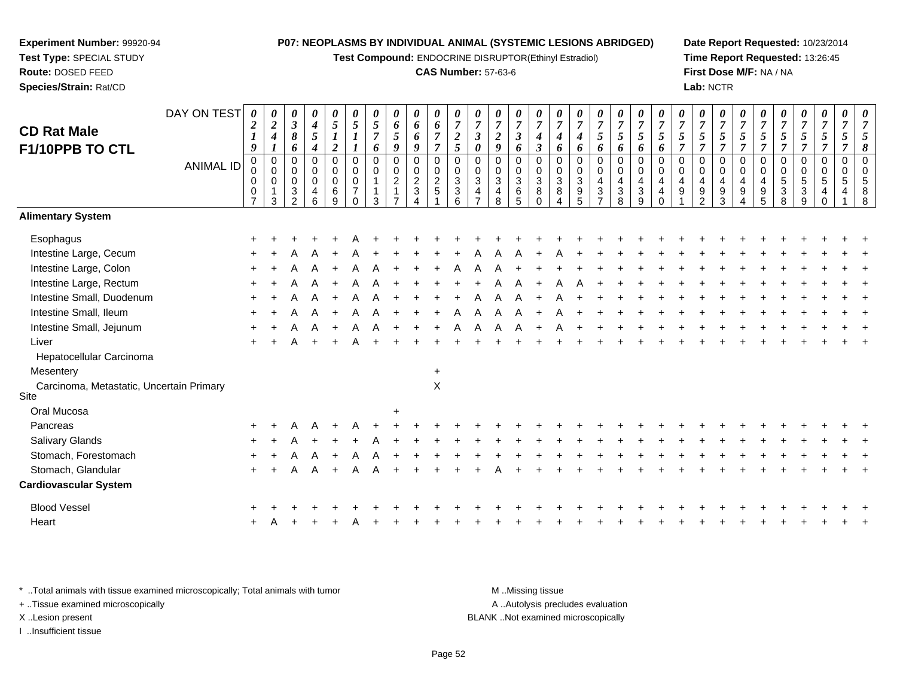**Test Compound:** ENDOCRINE DISRUPTOR(Ethinyl Estradiol)

## **CAS Number:** 57-63-6

**Date Report Requested:** 10/23/2014**Time Report Requested:** 13:26:45**First Dose M/F:** NA / NA**Lab:** NCTR

| <b>CD Rat Male</b><br>F1/10PPB TO CTL            | DAY ON TEST      | 0<br>$\boldsymbol{2}$<br>$\boldsymbol{l}$<br>9               | 0<br>$\overline{2}$<br>$\boldsymbol{4}$<br>$\boldsymbol{l}$         | 0<br>$\mathfrak{z}$<br>8<br>6                                          | 0<br>$\boldsymbol{4}$<br>5<br>$\boldsymbol{4}$      | $\boldsymbol{\theta}$<br>$\mathfrak{s}$<br>$\boldsymbol{l}$<br>$\boldsymbol{2}$ | 0<br>5<br>$\boldsymbol{\mathit{1}}$                                   | 0<br>5<br>$\overline{7}$<br>6                                 | 0<br>6<br>5<br>$\boldsymbol{q}$                              | 0<br>6<br>6<br>9                              | $\boldsymbol{\theta}$<br>6<br>$\overline{7}$<br>$\overline{7}$ | 0<br>$\overline{7}$<br>$\overline{2}$<br>5                                   | 0<br>$\boldsymbol{7}$<br>$\mathfrak{z}$<br>$\pmb{\theta}$             | 0<br>$\overline{7}$<br>$\boldsymbol{2}$<br>$\boldsymbol{q}$       | 0<br>$\boldsymbol{7}$<br>$\mathfrak{z}$<br>6                        | 0<br>$\overline{7}$<br>$\boldsymbol{4}$<br>$\boldsymbol{\beta}$      | 0<br>$\overline{7}$<br>$\boldsymbol{4}$<br>6                                         | 0<br>$\overline{7}$<br>$\boldsymbol{4}$<br>6                                      | 0<br>$\overline{7}$<br>5<br>6          | 0<br>$\boldsymbol{7}$<br>5<br>6 | 0<br>$\overline{7}$<br>$\mathfrak{s}$<br>6                  | 0<br>$\overline{7}$<br>$\sqrt{5}$<br>6                                   | $\overline{7}$<br>5<br>$\overline{7}$          | 0<br>$\overline{7}$<br>5<br>$\overline{7}$ | 0<br>$\boldsymbol{7}$<br>5<br>$\overline{7}$               | 0<br>$\overline{7}$<br>5<br>$\overline{7}$                               | $\boldsymbol{\theta}$<br>$\overline{7}$<br>$\mathfrak{s}$<br>$\overline{7}$ | 7<br>5<br>$\overline{7}$                            | 0<br>$\overline{7}$<br>5<br>$\overline{7}$ | 0<br>$\overline{7}$<br>5<br>$\overline{7}$ | 0<br>$\overline{7}$<br>5<br>$\overline{7}$ | $\boldsymbol{\theta}$<br>7<br>8 |
|--------------------------------------------------|------------------|--------------------------------------------------------------|---------------------------------------------------------------------|------------------------------------------------------------------------|-----------------------------------------------------|---------------------------------------------------------------------------------|-----------------------------------------------------------------------|---------------------------------------------------------------|--------------------------------------------------------------|-----------------------------------------------|----------------------------------------------------------------|------------------------------------------------------------------------------|-----------------------------------------------------------------------|-------------------------------------------------------------------|---------------------------------------------------------------------|----------------------------------------------------------------------|--------------------------------------------------------------------------------------|-----------------------------------------------------------------------------------|----------------------------------------|---------------------------------|-------------------------------------------------------------|--------------------------------------------------------------------------|------------------------------------------------|--------------------------------------------|------------------------------------------------------------|--------------------------------------------------------------------------|-----------------------------------------------------------------------------|-----------------------------------------------------|--------------------------------------------|--------------------------------------------|--------------------------------------------|---------------------------------|
|                                                  | <b>ANIMAL ID</b> | $\mathbf 0$<br>$\pmb{0}$<br>0<br>$\pmb{0}$<br>$\overline{7}$ | $\overline{0}$<br>$\boldsymbol{0}$<br>$\pmb{0}$<br>$\mathbf 1$<br>3 | $\mathbf 0$<br>$\mathbf 0$<br>$\pmb{0}$<br>$\sqrt{3}$<br>$\mathcal{L}$ | $\Omega$<br>0<br>$\mathbf 0$<br>4<br>$6\phantom{1}$ | $\mathbf 0$<br>$\pmb{0}$<br>$\pmb{0}$<br>$\,6$<br>$\overline{9}$                | $\mathbf 0$<br>$\mathbf 0$<br>$\pmb{0}$<br>$\overline{7}$<br>$\Omega$ | $\mathbf 0$<br>$\pmb{0}$<br>$\mathbf{1}$<br>$\mathbf{1}$<br>3 | $\mathbf 0$<br>$\mathbf 0$<br>$\overline{c}$<br>$\mathbf{1}$ | 0<br>$\mathbf 0$<br>$\frac{2}{3}$<br>$\Delta$ | $\mathbf 0$<br>$\pmb{0}$<br>$\frac{2}{5}$                      | $\mathbf 0$<br>$\mathbf 0$<br>$\ensuremath{\mathsf{3}}$<br>$\mathbf{3}$<br>6 | $\Omega$<br>$\boldsymbol{0}$<br>$\mathfrak{S}$<br>4<br>$\overline{7}$ | $\mathbf 0$<br>$\mathbf 0$<br>$\mathbf{3}$<br>$\overline{4}$<br>8 | $\Omega$<br>$\pmb{0}$<br>$\ensuremath{\mathsf{3}}$<br>$\frac{6}{5}$ | $\Omega$<br>$\boldsymbol{0}$<br>$\overline{3}$<br>$\, 8$<br>$\Omega$ | $\mathbf 0$<br>$\mathbf 0$<br>$\ensuremath{\mathsf{3}}$<br>$\bf 8$<br>$\overline{4}$ | $\mathbf 0$<br>$\mathbf 0$<br>$\sqrt{3}$<br>$\begin{array}{c} 9 \\ 5 \end{array}$ | 0<br>$\mathbf 0$<br>4<br>$\frac{3}{7}$ | 0<br>$\mathbf 0$<br>4<br>$_8^3$ | $\mathbf 0$<br>$\pmb{0}$<br>$\overline{4}$<br>$\frac{3}{9}$ | $\Omega$<br>$\pmb{0}$<br>$\overline{4}$<br>$\overline{4}$<br>$\mathbf 0$ | $\Omega$<br>$\mathbf 0$<br>$\overline{4}$<br>9 | $\mathbf 0$<br>0<br>4<br>$\frac{9}{2}$     | $\Omega$<br>$\mathbf 0$<br>$\overline{4}$<br>$\frac{9}{3}$ | $\Omega$<br>$\mathbf 0$<br>$\overline{4}$<br>9<br>$\boldsymbol{\Lambda}$ | $\Omega$<br>$\pmb{0}$<br>4<br>$\begin{array}{c} 9 \\ 5 \end{array}$         | $\Omega$<br>$\mathbf 0$<br>5<br>3<br>$\overline{8}$ | 0<br>0<br>5<br>3<br>9                      | 0<br>$\pmb{0}$<br>$\sqrt{5}$<br>4          | $\mathbf 0$<br>$\pmb{0}$<br>5              | 8<br>$\mathsf{R}$               |
| <b>Alimentary System</b>                         |                  |                                                              |                                                                     |                                                                        |                                                     |                                                                                 |                                                                       |                                                               |                                                              |                                               |                                                                |                                                                              |                                                                       |                                                                   |                                                                     |                                                                      |                                                                                      |                                                                                   |                                        |                                 |                                                             |                                                                          |                                                |                                            |                                                            |                                                                          |                                                                             |                                                     |                                            |                                            |                                            |                                 |
| Esophagus                                        |                  |                                                              |                                                                     |                                                                        |                                                     |                                                                                 |                                                                       |                                                               |                                                              |                                               |                                                                |                                                                              |                                                                       |                                                                   |                                                                     |                                                                      |                                                                                      |                                                                                   |                                        |                                 |                                                             |                                                                          |                                                |                                            |                                                            |                                                                          |                                                                             |                                                     |                                            |                                            |                                            |                                 |
| Intestine Large, Cecum                           |                  |                                                              |                                                                     |                                                                        |                                                     |                                                                                 |                                                                       |                                                               |                                                              |                                               |                                                                |                                                                              |                                                                       |                                                                   |                                                                     |                                                                      |                                                                                      |                                                                                   |                                        |                                 |                                                             |                                                                          |                                                |                                            |                                                            |                                                                          |                                                                             |                                                     |                                            |                                            |                                            |                                 |
| Intestine Large, Colon                           |                  |                                                              |                                                                     |                                                                        |                                                     |                                                                                 |                                                                       |                                                               |                                                              |                                               |                                                                |                                                                              |                                                                       |                                                                   |                                                                     |                                                                      |                                                                                      |                                                                                   |                                        |                                 |                                                             |                                                                          |                                                |                                            |                                                            |                                                                          |                                                                             |                                                     |                                            |                                            |                                            |                                 |
| Intestine Large, Rectum                          |                  |                                                              |                                                                     |                                                                        |                                                     |                                                                                 |                                                                       |                                                               |                                                              |                                               |                                                                |                                                                              |                                                                       |                                                                   |                                                                     |                                                                      |                                                                                      |                                                                                   |                                        |                                 |                                                             |                                                                          |                                                |                                            |                                                            |                                                                          |                                                                             |                                                     |                                            |                                            |                                            |                                 |
| Intestine Small, Duodenum                        |                  |                                                              |                                                                     |                                                                        |                                                     |                                                                                 |                                                                       |                                                               |                                                              |                                               |                                                                |                                                                              |                                                                       |                                                                   |                                                                     |                                                                      |                                                                                      |                                                                                   |                                        |                                 |                                                             |                                                                          |                                                |                                            |                                                            |                                                                          |                                                                             |                                                     |                                            |                                            |                                            |                                 |
| Intestine Small, Ileum                           |                  |                                                              |                                                                     |                                                                        |                                                     |                                                                                 |                                                                       |                                                               |                                                              |                                               |                                                                |                                                                              |                                                                       |                                                                   |                                                                     |                                                                      |                                                                                      |                                                                                   |                                        |                                 |                                                             |                                                                          |                                                |                                            |                                                            |                                                                          |                                                                             |                                                     |                                            |                                            |                                            |                                 |
| Intestine Small, Jejunum                         |                  |                                                              |                                                                     |                                                                        |                                                     |                                                                                 |                                                                       |                                                               |                                                              |                                               |                                                                |                                                                              |                                                                       |                                                                   |                                                                     |                                                                      |                                                                                      |                                                                                   |                                        |                                 |                                                             |                                                                          |                                                |                                            |                                                            |                                                                          |                                                                             |                                                     |                                            |                                            |                                            |                                 |
| Liver                                            |                  |                                                              |                                                                     |                                                                        |                                                     |                                                                                 |                                                                       |                                                               |                                                              |                                               |                                                                |                                                                              |                                                                       |                                                                   |                                                                     |                                                                      |                                                                                      |                                                                                   |                                        |                                 |                                                             |                                                                          |                                                |                                            |                                                            |                                                                          |                                                                             |                                                     |                                            |                                            |                                            |                                 |
| Hepatocellular Carcinoma                         |                  |                                                              |                                                                     |                                                                        |                                                     |                                                                                 |                                                                       |                                                               |                                                              |                                               |                                                                |                                                                              |                                                                       |                                                                   |                                                                     |                                                                      |                                                                                      |                                                                                   |                                        |                                 |                                                             |                                                                          |                                                |                                            |                                                            |                                                                          |                                                                             |                                                     |                                            |                                            |                                            |                                 |
| Mesentery                                        |                  |                                                              |                                                                     |                                                                        |                                                     |                                                                                 |                                                                       |                                                               |                                                              |                                               | $\ddot{}$                                                      |                                                                              |                                                                       |                                                                   |                                                                     |                                                                      |                                                                                      |                                                                                   |                                        |                                 |                                                             |                                                                          |                                                |                                            |                                                            |                                                                          |                                                                             |                                                     |                                            |                                            |                                            |                                 |
| Carcinoma, Metastatic, Uncertain Primary<br>Site |                  |                                                              |                                                                     |                                                                        |                                                     |                                                                                 |                                                                       |                                                               |                                                              |                                               | $\mathsf X$                                                    |                                                                              |                                                                       |                                                                   |                                                                     |                                                                      |                                                                                      |                                                                                   |                                        |                                 |                                                             |                                                                          |                                                |                                            |                                                            |                                                                          |                                                                             |                                                     |                                            |                                            |                                            |                                 |
| Oral Mucosa                                      |                  |                                                              |                                                                     |                                                                        |                                                     |                                                                                 |                                                                       |                                                               | $\ddot{}$                                                    |                                               |                                                                |                                                                              |                                                                       |                                                                   |                                                                     |                                                                      |                                                                                      |                                                                                   |                                        |                                 |                                                             |                                                                          |                                                |                                            |                                                            |                                                                          |                                                                             |                                                     |                                            |                                            |                                            |                                 |
| Pancreas                                         |                  |                                                              |                                                                     |                                                                        |                                                     |                                                                                 |                                                                       |                                                               |                                                              |                                               |                                                                |                                                                              |                                                                       |                                                                   |                                                                     |                                                                      |                                                                                      |                                                                                   |                                        |                                 |                                                             |                                                                          |                                                |                                            |                                                            |                                                                          |                                                                             |                                                     |                                            |                                            |                                            |                                 |
| Salivary Glands                                  |                  |                                                              |                                                                     |                                                                        |                                                     |                                                                                 |                                                                       |                                                               |                                                              |                                               |                                                                |                                                                              |                                                                       |                                                                   |                                                                     |                                                                      |                                                                                      |                                                                                   |                                        |                                 |                                                             |                                                                          |                                                |                                            |                                                            |                                                                          |                                                                             |                                                     |                                            |                                            |                                            |                                 |
| Stomach, Forestomach                             |                  |                                                              |                                                                     |                                                                        |                                                     |                                                                                 |                                                                       |                                                               |                                                              |                                               |                                                                |                                                                              |                                                                       |                                                                   |                                                                     |                                                                      |                                                                                      |                                                                                   |                                        |                                 |                                                             |                                                                          |                                                |                                            |                                                            |                                                                          |                                                                             |                                                     |                                            |                                            |                                            |                                 |
| Stomach, Glandular                               |                  |                                                              |                                                                     |                                                                        |                                                     |                                                                                 |                                                                       |                                                               |                                                              |                                               |                                                                |                                                                              |                                                                       |                                                                   |                                                                     |                                                                      |                                                                                      |                                                                                   |                                        |                                 |                                                             |                                                                          |                                                |                                            |                                                            |                                                                          |                                                                             |                                                     |                                            |                                            |                                            |                                 |
| <b>Cardiovascular System</b>                     |                  |                                                              |                                                                     |                                                                        |                                                     |                                                                                 |                                                                       |                                                               |                                                              |                                               |                                                                |                                                                              |                                                                       |                                                                   |                                                                     |                                                                      |                                                                                      |                                                                                   |                                        |                                 |                                                             |                                                                          |                                                |                                            |                                                            |                                                                          |                                                                             |                                                     |                                            |                                            |                                            |                                 |
| <b>Blood Vessel</b>                              |                  |                                                              |                                                                     |                                                                        |                                                     |                                                                                 |                                                                       |                                                               |                                                              |                                               |                                                                |                                                                              |                                                                       |                                                                   |                                                                     |                                                                      |                                                                                      |                                                                                   |                                        |                                 |                                                             |                                                                          |                                                |                                            |                                                            |                                                                          |                                                                             |                                                     |                                            |                                            |                                            |                                 |
| Heart                                            |                  |                                                              |                                                                     |                                                                        |                                                     |                                                                                 |                                                                       |                                                               |                                                              |                                               |                                                                |                                                                              |                                                                       |                                                                   |                                                                     |                                                                      |                                                                                      |                                                                                   |                                        |                                 |                                                             |                                                                          |                                                |                                            |                                                            |                                                                          |                                                                             |                                                     |                                            |                                            |                                            |                                 |
|                                                  |                  |                                                              |                                                                     |                                                                        |                                                     |                                                                                 |                                                                       |                                                               |                                                              |                                               |                                                                |                                                                              |                                                                       |                                                                   |                                                                     |                                                                      |                                                                                      |                                                                                   |                                        |                                 |                                                             |                                                                          |                                                |                                            |                                                            |                                                                          |                                                                             |                                                     |                                            |                                            |                                            |                                 |

\* ..Total animals with tissue examined microscopically; Total animals with tumor **M** . Missing tissue M ..Missing tissue A ..Autolysis precludes evaluation + ..Tissue examined microscopically X ..Lesion present BLANK ..Not examined microscopicallyI ..Insufficient tissue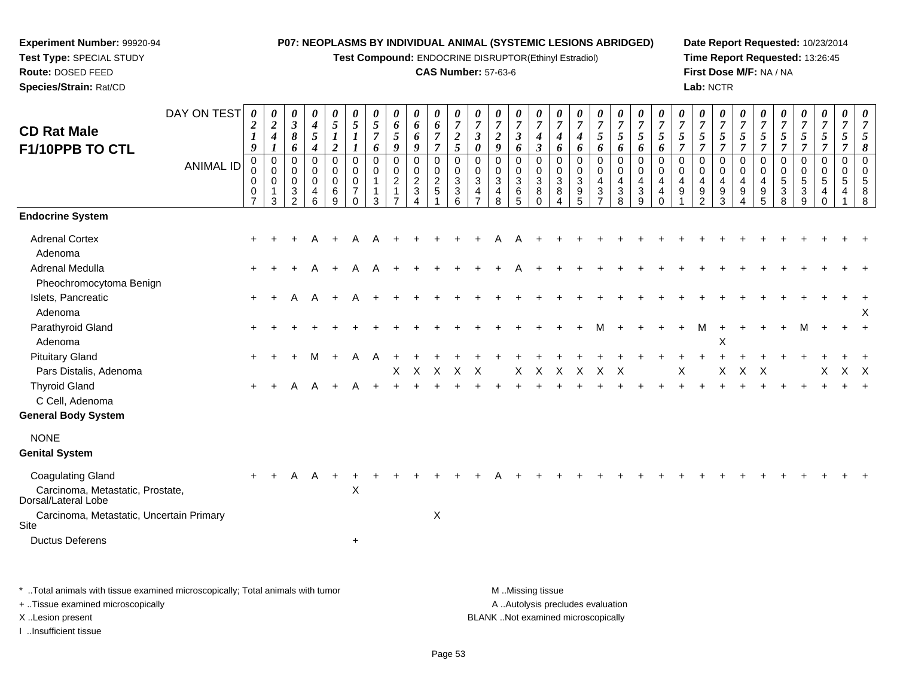**Test Compound:** ENDOCRINE DISRUPTOR(Ethinyl Estradiol)

## **CAS Number:** 57-63-6

**Date Report Requested:** 10/23/2014**Time Report Requested:** 13:26:45**First Dose M/F:** NA / NA**Lab:** NCTR

|                                                         | DAY ON TEST      |                       |                            |                                |                       |                                         |                            |                                         |                            |                                  |                           |                     |                                  |                                           |                                         |                                         |                                         |                                         |                                |                                         |                                         |                                         |                                         |                                    |                                         |                                         |                                         |                                           |                                |                            |                     |                            |
|---------------------------------------------------------|------------------|-----------------------|----------------------------|--------------------------------|-----------------------|-----------------------------------------|----------------------------|-----------------------------------------|----------------------------|----------------------------------|---------------------------|---------------------|----------------------------------|-------------------------------------------|-----------------------------------------|-----------------------------------------|-----------------------------------------|-----------------------------------------|--------------------------------|-----------------------------------------|-----------------------------------------|-----------------------------------------|-----------------------------------------|------------------------------------|-----------------------------------------|-----------------------------------------|-----------------------------------------|-------------------------------------------|--------------------------------|----------------------------|---------------------|----------------------------|
|                                                         |                  | 0<br>$\boldsymbol{2}$ | 0<br>$\boldsymbol{2}$      | 0<br>$\boldsymbol{\beta}$      | 0<br>$\boldsymbol{4}$ | $\boldsymbol{\theta}$<br>$\mathfrak{s}$ | $\boldsymbol{\theta}$<br>5 | $\boldsymbol{\theta}$<br>$\mathfrak{s}$ | $\boldsymbol{\theta}$<br>6 | 0<br>6                           | 0<br>6                    | 0<br>$\overline{7}$ | 0<br>$\overline{7}$              | $\boldsymbol{\theta}$<br>$\boldsymbol{7}$ | $\boldsymbol{\theta}$<br>$\overline{7}$ | $\boldsymbol{\theta}$<br>$\overline{7}$ | $\boldsymbol{\theta}$<br>$\overline{7}$ | $\boldsymbol{\theta}$<br>$\overline{7}$ | U<br>$\overline{7}$            | $\boldsymbol{\theta}$<br>$\overline{7}$ | $\boldsymbol{\theta}$<br>$\overline{7}$ | $\boldsymbol{\theta}$<br>$\overline{7}$ | $\boldsymbol{\theta}$<br>$\overline{7}$ | 0<br>$\boldsymbol{7}$              | $\boldsymbol{\theta}$<br>$\overline{7}$ | $\boldsymbol{\theta}$<br>$\overline{7}$ | $\boldsymbol{\theta}$<br>$\overline{7}$ | $\boldsymbol{\theta}$<br>$\boldsymbol{7}$ | U<br>$\overline{7}$            | 0<br>$\overline{7}$        | 0<br>$\overline{7}$ | 0<br>$\overline{7}$        |
| <b>CD Rat Male</b>                                      |                  | $\boldsymbol{l}$      | $\boldsymbol{4}$           | 8                              | $\mathfrak{s}$        | $\boldsymbol{l}$                        | 1                          | $\overline{7}$                          | 5                          | 6                                | $\overline{7}$            | $\boldsymbol{2}$    | $\mathfrak{z}$                   | $\boldsymbol{2}$                          | $\boldsymbol{\beta}$                    | 4                                       | 4                                       | 4                                       | 5                              | 5                                       | $\mathfrak{s}$                          | 5                                       | 5                                       | 5                                  | 5                                       | $\mathfrak{s}$                          | 5                                       | $\mathfrak{s}$                            | 5                              | $\mathfrak{z}$             | $5\phantom{.0}$     | 5                          |
| F1/10PPB TO CTL                                         |                  | 9                     | $\boldsymbol{l}$           | 6                              | 4                     | $\overline{2}$                          | 1                          | 6                                       | 9                          | 9                                | $\overline{7}$            | 5                   | $\boldsymbol{\theta}$            | 9                                         | 6                                       | 3                                       | 6                                       | 6                                       | 6                              | 6                                       | 6                                       | 6                                       | $\overline{7}$                          | $\overline{7}$                     | $\overline{7}$                          | $\overline{7}$                          | $\overline{7}$                          | $\overline{7}$                            | $\overline{7}$                 | $\overline{7}$             | $\overline{7}$      | 8                          |
|                                                         | <b>ANIMAL ID</b> | $\mathbf 0$<br>0      | $\mathbf 0$<br>$\mathbf 0$ | 0<br>$\mathbf 0$               | 0<br>$\mathbf 0$      | $\mathbf 0$<br>$\mathbf 0$              | $\mathbf 0$<br>0           | $\mathbf 0$<br>$\mathbf 0$              | $\mathbf 0$<br>0           | $\pmb{0}$<br>$\mathsf{O}\xspace$ | $\pmb{0}$<br>$\mathbf 0$  | $\mathbf 0$<br>0    | $\mathbf 0$<br>$\mathbf 0$       | 0<br>$\mathbf 0$                          | $\mathbf 0$<br>$\mathbf 0$              | $\mathbf 0$<br>$\mathbf 0$              | $\mathbf 0$<br>0                        | $\mathbf 0$<br>0                        | 0<br>$\mathbf 0$               | $\pmb{0}$<br>$\mathbf 0$                | $\mathbf 0$<br>$\mathbf 0$              | $\mathbf 0$<br>$\mathbf 0$              | $\Omega$<br>$\Omega$                    | $\mathbf 0$<br>$\mathsf 0$         | $\mathbf 0$<br>$\mathbf 0$              | $\mathbf 0$<br>$\mathbf 0$              | $\mathbf 0$<br>$\mathbf 0$              | 0<br>$\mathbf 0$                          | $\pmb{0}$<br>$\mathbf 0$       | $\mathbf 0$<br>$\mathbf 0$ | 0<br>0              | $\mathsf 0$<br>$\mathbf 0$ |
|                                                         |                  | $\mathbf 0$           | $\mathbf 0$                | $\mathbf 0$                    | $\mathbf 0$           | $\mathbf 0$                             | $\mathbf 0$                | $\mathbf{1}$                            | $\overline{2}$             | $\overline{2}$                   | $\overline{c}$            | 3                   | $\ensuremath{\mathsf{3}}$        | 3                                         | 3                                       | 3                                       | 3                                       | 3                                       | $\overline{4}$                 | $\overline{4}$                          | $\overline{4}$                          | 4                                       | 4                                       | 4                                  | $\overline{4}$                          | $\overline{4}$                          | $\overline{4}$                          | $\overline{5}$                            | 5                              | 5                          | 5                   | 5                          |
|                                                         |                  | 0<br>$\overline{7}$   | 1<br>3                     | $\mathbf{3}$<br>$\overline{2}$ | 4<br>$\,6\,$          | $\,6\,$<br>9                            | $\overline{7}$<br>$\Omega$ | $\mathbf{1}$<br>3                       |                            | $\sqrt{3}$<br>$\overline{4}$     | 5                         | $\sqrt{3}$<br>6     | $\overline{4}$<br>$\overline{ }$ | 4<br>8                                    | $\,6\,$<br>5                            | 8<br>$\Omega$                           | $\,8\,$<br>4                            | $\boldsymbol{9}$<br>$\overline{5}$      | $\mathbf{3}$<br>$\overline{z}$ | $\mathbf{3}$<br>8                       | $\mathbf{3}$<br>9                       | 4<br>$\Omega$                           | 9                                       | $\boldsymbol{9}$<br>$\overline{2}$ | $\boldsymbol{9}$<br>3                   | $9\,$<br>4                              | $\boldsymbol{9}$<br>5                   | $\ensuremath{\mathsf{3}}$<br>8            | $\ensuremath{\mathsf{3}}$<br>9 | 4<br>0                     | 4                   | 8<br>8                     |
| <b>Endocrine System</b>                                 |                  |                       |                            |                                |                       |                                         |                            |                                         |                            |                                  |                           |                     |                                  |                                           |                                         |                                         |                                         |                                         |                                |                                         |                                         |                                         |                                         |                                    |                                         |                                         |                                         |                                           |                                |                            |                     |                            |
| <b>Adrenal Cortex</b>                                   |                  | $\pm$                 |                            |                                |                       |                                         |                            |                                         |                            |                                  |                           |                     |                                  |                                           |                                         |                                         |                                         |                                         |                                |                                         |                                         |                                         |                                         |                                    |                                         |                                         |                                         |                                           |                                |                            |                     |                            |
| Adenoma                                                 |                  |                       |                            |                                |                       |                                         |                            |                                         |                            |                                  |                           |                     |                                  |                                           |                                         |                                         |                                         |                                         |                                |                                         |                                         |                                         |                                         |                                    |                                         |                                         |                                         |                                           |                                |                            |                     |                            |
| Adrenal Medulla                                         |                  | $\ddot{}$             |                            |                                |                       |                                         |                            |                                         |                            |                                  |                           |                     |                                  |                                           |                                         |                                         |                                         |                                         |                                |                                         |                                         |                                         |                                         |                                    |                                         |                                         |                                         |                                           |                                |                            |                     |                            |
| Pheochromocytoma Benign                                 |                  |                       |                            |                                |                       |                                         |                            |                                         |                            |                                  |                           |                     |                                  |                                           |                                         |                                         |                                         |                                         |                                |                                         |                                         |                                         |                                         |                                    |                                         |                                         |                                         |                                           |                                |                            |                     |                            |
| Islets, Pancreatic                                      |                  | $\ddot{}$             |                            | Α                              | A                     |                                         |                            |                                         |                            |                                  |                           |                     |                                  |                                           |                                         |                                         |                                         |                                         |                                |                                         |                                         |                                         |                                         |                                    |                                         |                                         |                                         |                                           |                                |                            |                     |                            |
| Adenoma                                                 |                  |                       |                            |                                |                       |                                         |                            |                                         |                            |                                  |                           |                     |                                  |                                           |                                         |                                         |                                         |                                         |                                |                                         |                                         |                                         |                                         |                                    |                                         |                                         |                                         |                                           |                                |                            |                     | X                          |
| Parathyroid Gland                                       |                  |                       |                            |                                |                       |                                         |                            |                                         |                            |                                  |                           |                     |                                  |                                           |                                         |                                         |                                         |                                         |                                |                                         |                                         |                                         |                                         | M                                  |                                         |                                         |                                         |                                           |                                |                            | $+$                 |                            |
| Adenoma                                                 |                  |                       |                            |                                |                       |                                         |                            |                                         |                            |                                  |                           |                     |                                  |                                           |                                         |                                         |                                         |                                         |                                |                                         |                                         |                                         |                                         |                                    | X                                       |                                         |                                         |                                           |                                |                            |                     |                            |
| <b>Pituitary Gland</b>                                  |                  | $\pm$                 |                            | $\ddot{}$                      | M                     |                                         | A                          |                                         |                            |                                  |                           |                     |                                  |                                           |                                         |                                         |                                         |                                         |                                |                                         |                                         |                                         |                                         |                                    |                                         |                                         |                                         |                                           |                                |                            |                     |                            |
| Pars Distalis, Adenoma                                  |                  |                       |                            |                                |                       |                                         |                            |                                         | X                          | $\boldsymbol{\mathsf{X}}$        | $\boldsymbol{\mathsf{X}}$ | X                   | $\times$                         |                                           | X                                       | $\boldsymbol{\mathsf{X}}$               | $\times$                                | $\times$                                | X                              | $\times$                                |                                         |                                         | X                                       |                                    | X                                       | X                                       | X                                       |                                           |                                | Χ                          | $X$ $X$             |                            |
| <b>Thyroid Gland</b>                                    |                  | +                     |                            |                                |                       |                                         |                            |                                         |                            |                                  |                           |                     |                                  |                                           |                                         |                                         |                                         |                                         |                                |                                         |                                         |                                         |                                         |                                    |                                         |                                         |                                         |                                           |                                |                            |                     |                            |
| C Cell, Adenoma                                         |                  |                       |                            |                                |                       |                                         |                            |                                         |                            |                                  |                           |                     |                                  |                                           |                                         |                                         |                                         |                                         |                                |                                         |                                         |                                         |                                         |                                    |                                         |                                         |                                         |                                           |                                |                            |                     |                            |
| <b>General Body System</b>                              |                  |                       |                            |                                |                       |                                         |                            |                                         |                            |                                  |                           |                     |                                  |                                           |                                         |                                         |                                         |                                         |                                |                                         |                                         |                                         |                                         |                                    |                                         |                                         |                                         |                                           |                                |                            |                     |                            |
| <b>NONE</b>                                             |                  |                       |                            |                                |                       |                                         |                            |                                         |                            |                                  |                           |                     |                                  |                                           |                                         |                                         |                                         |                                         |                                |                                         |                                         |                                         |                                         |                                    |                                         |                                         |                                         |                                           |                                |                            |                     |                            |
| <b>Genital System</b>                                   |                  |                       |                            |                                |                       |                                         |                            |                                         |                            |                                  |                           |                     |                                  |                                           |                                         |                                         |                                         |                                         |                                |                                         |                                         |                                         |                                         |                                    |                                         |                                         |                                         |                                           |                                |                            |                     |                            |
| <b>Coagulating Gland</b>                                |                  | $\pm$                 |                            | А                              | A                     |                                         |                            |                                         |                            |                                  |                           |                     |                                  |                                           |                                         |                                         |                                         |                                         |                                |                                         |                                         |                                         |                                         |                                    |                                         |                                         |                                         |                                           |                                |                            |                     |                            |
| Carcinoma, Metastatic, Prostate,<br>Dorsal/Lateral Lobe |                  |                       |                            |                                |                       |                                         | $\sf X$                    |                                         |                            |                                  |                           |                     |                                  |                                           |                                         |                                         |                                         |                                         |                                |                                         |                                         |                                         |                                         |                                    |                                         |                                         |                                         |                                           |                                |                            |                     |                            |
| Carcinoma, Metastatic, Uncertain Primary<br>Site        |                  |                       |                            |                                |                       |                                         |                            |                                         |                            |                                  | X                         |                     |                                  |                                           |                                         |                                         |                                         |                                         |                                |                                         |                                         |                                         |                                         |                                    |                                         |                                         |                                         |                                           |                                |                            |                     |                            |
| <b>Ductus Deferens</b>                                  |                  |                       |                            |                                |                       |                                         | $\ddot{}$                  |                                         |                            |                                  |                           |                     |                                  |                                           |                                         |                                         |                                         |                                         |                                |                                         |                                         |                                         |                                         |                                    |                                         |                                         |                                         |                                           |                                |                            |                     |                            |
|                                                         |                  |                       |                            |                                |                       |                                         |                            |                                         |                            |                                  |                           |                     |                                  |                                           |                                         |                                         |                                         |                                         |                                |                                         |                                         |                                         |                                         |                                    |                                         |                                         |                                         |                                           |                                |                            |                     |                            |

\* ..Total animals with tissue examined microscopically; Total animals with tumor **M** . Missing tissue M ..Missing tissue A ..Autolysis precludes evaluation + ..Tissue examined microscopically X ..Lesion present BLANK ..Not examined microscopicallyI ..Insufficient tissue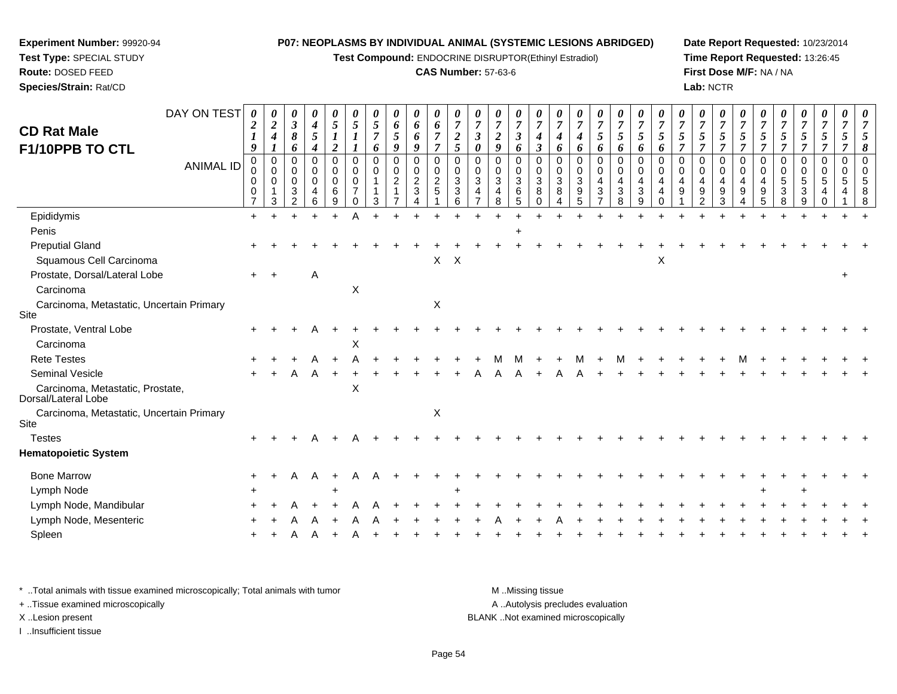**Test Compound:** ENDOCRINE DISRUPTOR(Ethinyl Estradiol)

## **CAS Number:** 57-63-6

**Date Report Requested:** 10/23/2014**Time Report Requested:** 13:26:45**First Dose M/F:** NA / NA**Lab:** NCTR

| DAY ON TEST                                             | 0                                            | 0                                           | 0                                                      | 0                                                   | 0                                         | 0                                                   |                              | 0                                            | 0                                  | 0                                                   | 0                                    |                                                                   | 0                                        | 0                                              |                                                                | 0                            | 0                                                      | 0                                                  | 0                                                                              | 0                                                                          | 0                                             |                           |                                                         | 0                                            | 0                                                 | 0                                |                                           | 0                               |                     |                              |  |
|---------------------------------------------------------|----------------------------------------------|---------------------------------------------|--------------------------------------------------------|-----------------------------------------------------|-------------------------------------------|-----------------------------------------------------|------------------------------|----------------------------------------------|------------------------------------|-----------------------------------------------------|--------------------------------------|-------------------------------------------------------------------|------------------------------------------|------------------------------------------------|----------------------------------------------------------------|------------------------------|--------------------------------------------------------|----------------------------------------------------|--------------------------------------------------------------------------------|----------------------------------------------------------------------------|-----------------------------------------------|---------------------------|---------------------------------------------------------|----------------------------------------------|---------------------------------------------------|----------------------------------|-------------------------------------------|---------------------------------|---------------------|------------------------------|--|
| <b>CD Rat Male</b>                                      | $\boldsymbol{2}$                             | $\boldsymbol{2}$<br>$\boldsymbol{4}$        | $\boldsymbol{\beta}$<br>8                              | $\boldsymbol{4}$<br>$\mathfrak{s}$                  | 5<br>$\bm{l}$                             | 5                                                   | 5<br>$\overline{7}$          | 6<br>5                                       | 6<br>6                             | 6<br>$\overline{7}$                                 | $\boldsymbol{7}$<br>$\boldsymbol{2}$ | $\overline{7}$<br>$\mathfrak{z}$                                  | $\boldsymbol{2}$                         | 7<br>$\mathfrak{z}$                            | $\overline{7}$<br>$\boldsymbol{4}$                             | $\overline{7}$<br>4          | $\overline{7}$<br>$\boldsymbol{4}$                     | 5                                                  | $\overline{7}$<br>$\mathfrak{s}$                                               | $\overline{7}$<br>$\mathfrak{s}$                                           | $\overline{7}$<br>5                           | $\overline{7}$<br>5       | $\overline{\tau}$<br>5                                  | $\overline{7}$<br>5                          | $\overline{7}$<br>5                               | $\overline{7}$<br>$\mathfrak{s}$ | 7<br>5                                    | $\overline{7}$<br>5             | $\overline{7}$<br>5 |                              |  |
| F1/10PPB TO CTL                                         | 9                                            | 1                                           | 6                                                      | 4                                                   | $\overline{2}$                            |                                                     | 6                            | 9                                            | 9                                  | $\overline{7}$                                      | 5                                    | 0                                                                 | 9                                        | 6                                              | $\mathfrak{z}$                                                 | 6                            | 6                                                      | 6                                                  | 6                                                                              | 6                                                                          | 6                                             | $\overline{7}$            | 7                                                       | 7                                            | $\overline{7}$                                    | $\overline{7}$                   | $\overline{7}$                            |                                 |                     |                              |  |
| <b>ANIMAL ID</b>                                        | $\mathbf 0$<br>0<br>0<br>0<br>$\overline{7}$ | $\mathbf 0$<br>$\mathbf 0$<br>$\Omega$<br>3 | $\Omega$<br>$\Omega$<br>$\Omega$<br>3<br>$\mathcal{P}$ | $\mathbf 0$<br>$\mathbf 0$<br>$\mathbf 0$<br>4<br>6 | $\mathbf 0$<br>0<br>$\mathbf 0$<br>6<br>9 | $\mathbf 0$<br>0<br>0<br>$\overline{7}$<br>$\Omega$ | $\mathbf 0$<br>$\Omega$<br>3 | $\mathbf 0$<br>$\mathbf 0$<br>$\overline{c}$ | 0<br>0<br>$\overline{2}$<br>3<br>4 | $\mathbf 0$<br>$\mathbf 0$<br>$\boldsymbol{2}$<br>5 | $\mathbf 0$<br>0<br>3<br>3<br>6      | $\mathbf 0$<br>$\mathbf 0$<br>$\mathbf{3}$<br>4<br>$\overline{7}$ | $\mathbf 0$<br>0<br>$\sqrt{3}$<br>4<br>8 | $\mathbf 0$<br>0<br>$\mathbf{3}$<br>$\,6$<br>5 | $\overline{0}$<br>$\mathbf 0$<br>$\mathbf{3}$<br>8<br>$\Omega$ | $\Omega$<br>0<br>3<br>8<br>4 | $\mathbf 0$<br>$\mathbf 0$<br>$\mathfrak{S}$<br>9<br>5 | $\mathbf 0$<br>0<br>$\overline{4}$<br>$\mathbf{3}$ | $\mathbf 0$<br>$\mathbf 0$<br>$\overline{4}$<br>$\ensuremath{\mathsf{3}}$<br>8 | $\mathbf 0$<br>$\mathbf 0$<br>$\overline{\mathbf{4}}$<br>$\mathbf{3}$<br>9 | $\Omega$<br>$\mathbf 0$<br>4<br>4<br>$\Omega$ | $\Omega$<br>$\Omega$<br>9 | $\mathbf{0}$<br>$\mathbf 0$<br>4<br>9<br>$\mathfrak{p}$ | 0<br>$\mathbf 0$<br>$\overline{4}$<br>9<br>3 | $\mathbf 0$<br>$\mathbf 0$<br>$\overline{4}$<br>9 | $\mathbf 0$<br>0<br>4<br>9<br>5  | $\mathbf 0$<br>$\mathbf 0$<br>5<br>3<br>8 | $\mathbf 0$<br>0<br>5<br>3<br>9 | $\Omega$<br>0<br>5  | $\Omega$<br>$\mathbf 0$<br>5 |  |
| Epididymis                                              | $+$                                          |                                             |                                                        |                                                     |                                           | A                                                   |                              |                                              |                                    |                                                     |                                      |                                                                   |                                          |                                                |                                                                |                              |                                                        |                                                    |                                                                                |                                                                            |                                               |                           |                                                         |                                              |                                                   |                                  |                                           |                                 |                     |                              |  |
| Penis                                                   |                                              |                                             |                                                        |                                                     |                                           |                                                     |                              |                                              |                                    |                                                     |                                      |                                                                   |                                          |                                                |                                                                |                              |                                                        |                                                    |                                                                                |                                                                            |                                               |                           |                                                         |                                              |                                                   |                                  |                                           |                                 |                     |                              |  |
| <b>Preputial Gland</b><br>Squamous Cell Carcinoma       |                                              |                                             |                                                        |                                                     |                                           |                                                     |                              |                                              |                                    | X                                                   | $\mathsf{X}$                         |                                                                   |                                          |                                                |                                                                |                              |                                                        |                                                    |                                                                                |                                                                            | Χ                                             |                           |                                                         |                                              |                                                   |                                  |                                           |                                 |                     |                              |  |
| Prostate, Dorsal/Lateral Lobe                           | $+$                                          |                                             |                                                        | Α                                                   |                                           |                                                     |                              |                                              |                                    |                                                     |                                      |                                                                   |                                          |                                                |                                                                |                              |                                                        |                                                    |                                                                                |                                                                            |                                               |                           |                                                         |                                              |                                                   |                                  |                                           |                                 |                     |                              |  |
| Carcinoma                                               |                                              |                                             |                                                        |                                                     |                                           | X                                                   |                              |                                              |                                    |                                                     |                                      |                                                                   |                                          |                                                |                                                                |                              |                                                        |                                                    |                                                                                |                                                                            |                                               |                           |                                                         |                                              |                                                   |                                  |                                           |                                 |                     |                              |  |
| Carcinoma, Metastatic, Uncertain Primary<br>Site        |                                              |                                             |                                                        |                                                     |                                           |                                                     |                              |                                              |                                    | X                                                   |                                      |                                                                   |                                          |                                                |                                                                |                              |                                                        |                                                    |                                                                                |                                                                            |                                               |                           |                                                         |                                              |                                                   |                                  |                                           |                                 |                     |                              |  |
| Prostate, Ventral Lobe                                  |                                              |                                             |                                                        |                                                     |                                           |                                                     |                              |                                              |                                    |                                                     |                                      |                                                                   |                                          |                                                |                                                                |                              |                                                        |                                                    |                                                                                |                                                                            |                                               |                           |                                                         |                                              |                                                   |                                  |                                           |                                 |                     |                              |  |
| Carcinoma                                               |                                              |                                             |                                                        |                                                     |                                           | X                                                   |                              |                                              |                                    |                                                     |                                      |                                                                   |                                          |                                                |                                                                |                              |                                                        |                                                    |                                                                                |                                                                            |                                               |                           |                                                         |                                              |                                                   |                                  |                                           |                                 |                     |                              |  |
| <b>Rete Testes</b>                                      |                                              |                                             |                                                        |                                                     |                                           |                                                     |                              |                                              |                                    |                                                     |                                      |                                                                   |                                          |                                                |                                                                |                              |                                                        |                                                    |                                                                                |                                                                            |                                               |                           |                                                         |                                              |                                                   |                                  |                                           |                                 |                     |                              |  |
| Seminal Vesicle                                         |                                              |                                             |                                                        | Α                                                   |                                           |                                                     |                              |                                              |                                    |                                                     |                                      |                                                                   |                                          |                                                |                                                                |                              |                                                        |                                                    |                                                                                |                                                                            |                                               |                           |                                                         |                                              |                                                   |                                  |                                           |                                 |                     |                              |  |
| Carcinoma, Metastatic, Prostate,<br>Dorsal/Lateral Lobe |                                              |                                             |                                                        |                                                     |                                           | X                                                   |                              |                                              |                                    |                                                     |                                      |                                                                   |                                          |                                                |                                                                |                              |                                                        |                                                    |                                                                                |                                                                            |                                               |                           |                                                         |                                              |                                                   |                                  |                                           |                                 |                     |                              |  |
| Carcinoma, Metastatic, Uncertain Primary<br>Site        |                                              |                                             |                                                        |                                                     |                                           |                                                     |                              |                                              |                                    | X                                                   |                                      |                                                                   |                                          |                                                |                                                                |                              |                                                        |                                                    |                                                                                |                                                                            |                                               |                           |                                                         |                                              |                                                   |                                  |                                           |                                 |                     |                              |  |
| <b>Testes</b>                                           |                                              |                                             |                                                        |                                                     |                                           |                                                     |                              |                                              |                                    |                                                     |                                      |                                                                   |                                          |                                                |                                                                |                              |                                                        |                                                    |                                                                                |                                                                            |                                               |                           |                                                         |                                              |                                                   |                                  |                                           |                                 |                     |                              |  |
| <b>Hematopoietic System</b>                             |                                              |                                             |                                                        |                                                     |                                           |                                                     |                              |                                              |                                    |                                                     |                                      |                                                                   |                                          |                                                |                                                                |                              |                                                        |                                                    |                                                                                |                                                                            |                                               |                           |                                                         |                                              |                                                   |                                  |                                           |                                 |                     |                              |  |
| <b>Bone Marrow</b>                                      |                                              |                                             | Α                                                      | A                                                   |                                           | А                                                   |                              |                                              |                                    |                                                     |                                      |                                                                   |                                          |                                                |                                                                |                              |                                                        |                                                    |                                                                                |                                                                            |                                               |                           |                                                         |                                              |                                                   |                                  |                                           |                                 |                     |                              |  |
| Lymph Node                                              |                                              |                                             |                                                        |                                                     |                                           |                                                     |                              |                                              |                                    |                                                     |                                      |                                                                   |                                          |                                                |                                                                |                              |                                                        |                                                    |                                                                                |                                                                            |                                               |                           |                                                         |                                              |                                                   |                                  |                                           |                                 |                     |                              |  |
| Lymph Node, Mandibular                                  |                                              |                                             |                                                        |                                                     |                                           |                                                     |                              |                                              |                                    |                                                     |                                      |                                                                   |                                          |                                                |                                                                |                              |                                                        |                                                    |                                                                                |                                                                            |                                               |                           |                                                         |                                              |                                                   |                                  |                                           |                                 |                     |                              |  |
| Lymph Node, Mesenteric                                  |                                              |                                             |                                                        |                                                     |                                           |                                                     |                              |                                              |                                    |                                                     |                                      |                                                                   |                                          |                                                |                                                                |                              |                                                        |                                                    |                                                                                |                                                                            |                                               |                           |                                                         |                                              |                                                   |                                  |                                           |                                 |                     |                              |  |
| Spleen                                                  |                                              |                                             |                                                        |                                                     |                                           |                                                     |                              |                                              |                                    |                                                     |                                      |                                                                   |                                          |                                                |                                                                |                              |                                                        |                                                    |                                                                                |                                                                            |                                               |                           |                                                         |                                              |                                                   |                                  |                                           |                                 |                     |                              |  |

\* ..Total animals with tissue examined microscopically; Total animals with tumor **M** . Missing tissue M ..Missing tissue A ..Autolysis precludes evaluation + ..Tissue examined microscopically X ..Lesion present BLANK ..Not examined microscopicallyI ..Insufficient tissue

**Experiment Number:** 99920-94**Test Type:** SPECIAL STUDY**Route:** DOSED FEED**Species/Strain:** Rat/CD

Page 54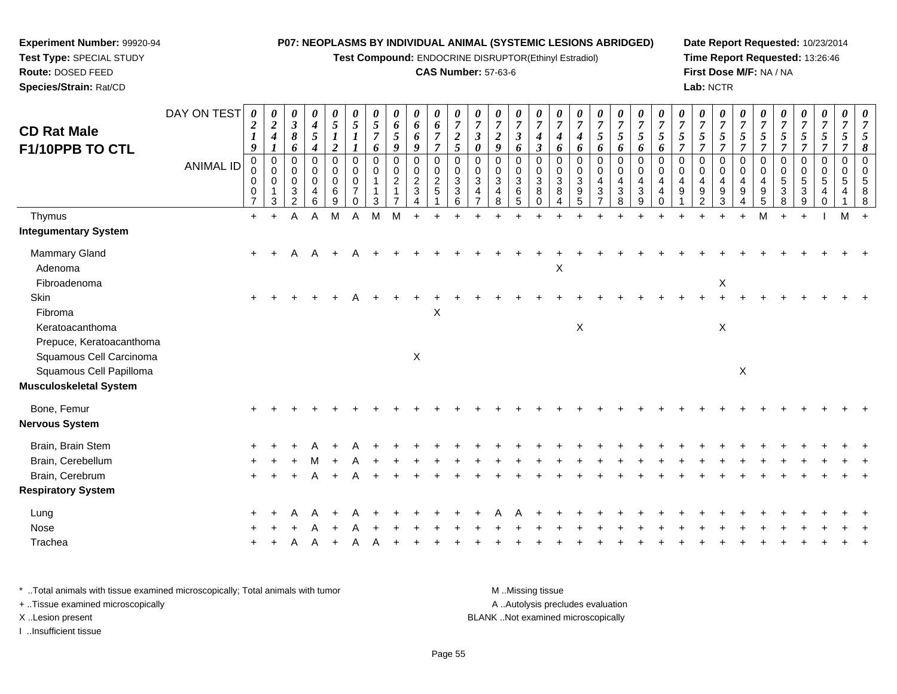**Test Compound:** ENDOCRINE DISRUPTOR(Ethinyl Estradiol)

## **CAS Number:** 57-63-6

**Date Report Requested:** 10/23/2014**Time Report Requested:** 13:26:46**First Dose M/F:** NA / NA**Lab:** NCTR

| <b>CD Rat Male</b><br>F1/10PPB TO CTL              | DAY ON TEST<br><b>ANIMAL ID</b> | 0<br>$\boldsymbol{2}$<br>$\boldsymbol{l}$<br>9<br>$\mathbf 0$<br>0<br>$\mathbf 0$<br>0<br>$\overline{7}$ | 0<br>$\overline{2}$<br>$\boldsymbol{4}$<br>$\boldsymbol{l}$<br>$\mathbf 0$<br>$\mathbf 0$<br>$\mathbf 0$<br>$\mathbf{1}$<br>$\mathbf{3}$ | 0<br>$\boldsymbol{\beta}$<br>8<br>6<br>$\mathbf 0$<br>$\mathbf 0$<br>$\mathbf 0$<br>$\sqrt{3}$<br>$\overline{2}$ | 0<br>$\boldsymbol{4}$<br>$\sqrt{5}$<br>$\boldsymbol{4}$<br>0<br>0<br>$\mathbf 0$<br>4<br>6 | $\boldsymbol{\theta}$<br>$\mathfrak{s}$<br>$\overline{\mathbf{c}}$<br>$\mathbf 0$<br>0<br>0<br>$\,6$<br>9 | $\boldsymbol{\theta}$<br>$\sqrt{5}$<br>$\mathbf 0$<br>0<br>$\mathbf 0$<br>$\overline{7}$<br>$\Omega$ | $\boldsymbol{\theta}$<br>$\mathfrak{s}$<br>$\overline{7}$<br>6<br>$\mathbf 0$<br>0<br>1<br>3 | 0<br>6<br>5<br>9<br>$\mathbf 0$<br>0<br>$\overline{c}$ | 0<br>6<br>6<br>9<br>$\pmb{0}$<br>$\begin{smallmatrix} 0\\2 \end{smallmatrix}$<br>$\mathbf{3}$<br>$\boldsymbol{\Lambda}$ | 0<br>6<br>$\overline{7}$<br>$\overline{7}$<br>$\pmb{0}$<br>$\mathbf 0$<br>$\boldsymbol{2}$<br>5 | 0<br>$\overline{7}$<br>$\overline{2}$<br>5<br>$\Omega$<br>0<br>3<br>$\ensuremath{\mathsf{3}}$<br>6 | $\boldsymbol{\theta}$<br>$\overline{7}$<br>$\boldsymbol{\beta}$<br>$\boldsymbol{\theta}$<br>$\Omega$<br>$\mathbf 0$<br>$\mathbf{3}$<br>$\overline{4}$ | $\boldsymbol{\theta}$<br>$\boldsymbol{7}$<br>$\boldsymbol{2}$<br>9<br>0<br>0<br>$\mathbf{3}$<br>4<br>8 | 0<br>$\overline{7}$<br>$\boldsymbol{\beta}$<br>6<br>$\mathbf 0$<br>0<br>$\mathbf{3}$<br>6<br>5 | $\boldsymbol{\theta}$<br>$\overline{7}$<br>$\boldsymbol{4}$<br>$\boldsymbol{\beta}$<br>$\mathbf 0$<br>0<br>3<br>8<br>0 | $\boldsymbol{\theta}$<br>$\overline{7}$<br>4<br>6<br>0<br>0<br>$\sqrt{3}$<br>8<br>$\overline{4}$ | $\boldsymbol{\theta}$<br>$\overline{7}$<br>$\boldsymbol{4}$<br>6<br>$\mathbf 0$<br>$\pmb{0}$<br>$\overline{3}$<br>$\boldsymbol{9}$<br>5 | $\boldsymbol{\theta}$<br>$\boldsymbol{7}$<br>5<br>6<br>0<br>0<br>$\overline{\mathbf{4}}$<br>$\ensuremath{\mathsf{3}}$<br>$\overline{7}$ | $\boldsymbol{\theta}$<br>$\overline{7}$<br>$\mathfrak{s}$<br>6<br>$\mathbf 0$<br>$\mathbf 0$<br>$\overline{a}$<br>$\sqrt{3}$<br>8 | 0<br>$\overline{7}$<br>5<br>6<br>$\Omega$<br>$\mathbf 0$<br>4<br>$\sqrt{3}$<br>9 | $\boldsymbol{\theta}$<br>$\boldsymbol{7}$<br>5<br>6<br>$\Omega$<br>0<br>$\overline{4}$<br>$\overline{4}$ | $\boldsymbol{\theta}$<br>$\overline{7}$<br>5<br>7<br>$\Omega$<br>$\Omega$<br>4<br>9 | 0<br>$\overline{7}$<br>$\mathfrak{s}$<br>$\overline{7}$<br>$\mathbf 0$<br>0<br>$\overline{a}$<br>$\boldsymbol{9}$<br>$\overline{2}$ | $\boldsymbol{\theta}$<br>$\overline{7}$<br>$\mathfrak{s}$<br>$\overline{7}$<br>$\mathbf 0$<br>0<br>$\overline{a}$<br>$9\,$<br>3 | $\boldsymbol{\theta}$<br>$\overline{7}$<br>5<br>$\overline{7}$<br>$\Omega$<br>$\mathbf 0$<br>4<br>9 | $\boldsymbol{7}$<br>5<br>$\overline{7}$<br>$\Omega$<br>$\Omega$<br>4<br>9<br>5 | 0<br>$\overline{7}$<br>5<br>$\overline{7}$<br>$\mathbf 0$<br>0<br>$\sqrt{5}$<br>$\sqrt{3}$<br>8 | 0<br>$\boldsymbol{7}$<br>$5\overline{)}$<br>$\overline{7}$<br>$\mathbf 0$<br>0<br>$\overline{5}$<br>$\mathbf{3}$<br>9 | 0<br>$\overline{7}$<br>$\mathfrak{I}$<br>$\overline{7}$<br>$\mathbf 0$<br>$\mathbf 0$<br>5<br>4<br>$\Omega$ | $\boldsymbol{\theta}$<br>$\overline{7}$<br>5<br>7<br>$\mathbf 0$<br>0<br>5<br>4 | 8<br>$\Omega$<br>$\Omega$<br>8 |
|----------------------------------------------------|---------------------------------|----------------------------------------------------------------------------------------------------------|------------------------------------------------------------------------------------------------------------------------------------------|------------------------------------------------------------------------------------------------------------------|--------------------------------------------------------------------------------------------|-----------------------------------------------------------------------------------------------------------|------------------------------------------------------------------------------------------------------|----------------------------------------------------------------------------------------------|--------------------------------------------------------|-------------------------------------------------------------------------------------------------------------------------|-------------------------------------------------------------------------------------------------|----------------------------------------------------------------------------------------------------|-------------------------------------------------------------------------------------------------------------------------------------------------------|--------------------------------------------------------------------------------------------------------|------------------------------------------------------------------------------------------------|------------------------------------------------------------------------------------------------------------------------|--------------------------------------------------------------------------------------------------|-----------------------------------------------------------------------------------------------------------------------------------------|-----------------------------------------------------------------------------------------------------------------------------------------|-----------------------------------------------------------------------------------------------------------------------------------|----------------------------------------------------------------------------------|----------------------------------------------------------------------------------------------------------|-------------------------------------------------------------------------------------|-------------------------------------------------------------------------------------------------------------------------------------|---------------------------------------------------------------------------------------------------------------------------------|-----------------------------------------------------------------------------------------------------|--------------------------------------------------------------------------------|-------------------------------------------------------------------------------------------------|-----------------------------------------------------------------------------------------------------------------------|-------------------------------------------------------------------------------------------------------------|---------------------------------------------------------------------------------|--------------------------------|
| Thymus                                             |                                 | $+$                                                                                                      | $+$                                                                                                                                      | Α                                                                                                                | A                                                                                          | M                                                                                                         | A                                                                                                    | M                                                                                            | М                                                      |                                                                                                                         |                                                                                                 |                                                                                                    |                                                                                                                                                       |                                                                                                        |                                                                                                |                                                                                                                        |                                                                                                  |                                                                                                                                         |                                                                                                                                         |                                                                                                                                   |                                                                                  |                                                                                                          |                                                                                     |                                                                                                                                     |                                                                                                                                 | $\ddot{}$                                                                                           |                                                                                |                                                                                                 |                                                                                                                       |                                                                                                             | М                                                                               |                                |
| <b>Integumentary System</b>                        |                                 |                                                                                                          |                                                                                                                                          |                                                                                                                  |                                                                                            |                                                                                                           |                                                                                                      |                                                                                              |                                                        |                                                                                                                         |                                                                                                 |                                                                                                    |                                                                                                                                                       |                                                                                                        |                                                                                                |                                                                                                                        |                                                                                                  |                                                                                                                                         |                                                                                                                                         |                                                                                                                                   |                                                                                  |                                                                                                          |                                                                                     |                                                                                                                                     |                                                                                                                                 |                                                                                                     |                                                                                |                                                                                                 |                                                                                                                       |                                                                                                             |                                                                                 |                                |
| Mammary Gland<br>Adenoma                           |                                 | $+$                                                                                                      |                                                                                                                                          | Α                                                                                                                | A                                                                                          |                                                                                                           |                                                                                                      |                                                                                              |                                                        |                                                                                                                         |                                                                                                 |                                                                                                    |                                                                                                                                                       |                                                                                                        |                                                                                                |                                                                                                                        | X                                                                                                |                                                                                                                                         |                                                                                                                                         |                                                                                                                                   |                                                                                  |                                                                                                          |                                                                                     |                                                                                                                                     |                                                                                                                                 |                                                                                                     |                                                                                |                                                                                                 |                                                                                                                       |                                                                                                             |                                                                                 |                                |
| Fibroadenoma                                       |                                 |                                                                                                          |                                                                                                                                          |                                                                                                                  |                                                                                            |                                                                                                           |                                                                                                      |                                                                                              |                                                        |                                                                                                                         |                                                                                                 |                                                                                                    |                                                                                                                                                       |                                                                                                        |                                                                                                |                                                                                                                        |                                                                                                  |                                                                                                                                         |                                                                                                                                         |                                                                                                                                   |                                                                                  |                                                                                                          |                                                                                     |                                                                                                                                     | X                                                                                                                               |                                                                                                     |                                                                                |                                                                                                 |                                                                                                                       |                                                                                                             |                                                                                 |                                |
| Skin<br>Fibroma                                    |                                 | $+$                                                                                                      |                                                                                                                                          |                                                                                                                  |                                                                                            |                                                                                                           | А                                                                                                    |                                                                                              |                                                        |                                                                                                                         | $\boldsymbol{\mathsf{X}}$                                                                       |                                                                                                    |                                                                                                                                                       |                                                                                                        |                                                                                                |                                                                                                                        |                                                                                                  |                                                                                                                                         |                                                                                                                                         |                                                                                                                                   |                                                                                  |                                                                                                          |                                                                                     |                                                                                                                                     |                                                                                                                                 |                                                                                                     |                                                                                |                                                                                                 |                                                                                                                       |                                                                                                             |                                                                                 |                                |
| Keratoacanthoma<br>Prepuce, Keratoacanthoma        |                                 |                                                                                                          |                                                                                                                                          |                                                                                                                  |                                                                                            |                                                                                                           |                                                                                                      |                                                                                              |                                                        |                                                                                                                         |                                                                                                 |                                                                                                    |                                                                                                                                                       |                                                                                                        |                                                                                                |                                                                                                                        |                                                                                                  | $\mathsf X$                                                                                                                             |                                                                                                                                         |                                                                                                                                   |                                                                                  |                                                                                                          |                                                                                     |                                                                                                                                     | $\mathsf X$                                                                                                                     |                                                                                                     |                                                                                |                                                                                                 |                                                                                                                       |                                                                                                             |                                                                                 |                                |
| Squamous Cell Carcinoma<br>Squamous Cell Papilloma |                                 |                                                                                                          |                                                                                                                                          |                                                                                                                  |                                                                                            |                                                                                                           |                                                                                                      |                                                                                              |                                                        | $\mathsf X$                                                                                                             |                                                                                                 |                                                                                                    |                                                                                                                                                       |                                                                                                        |                                                                                                |                                                                                                                        |                                                                                                  |                                                                                                                                         |                                                                                                                                         |                                                                                                                                   |                                                                                  |                                                                                                          |                                                                                     |                                                                                                                                     |                                                                                                                                 | $\boldsymbol{\mathsf{X}}$                                                                           |                                                                                |                                                                                                 |                                                                                                                       |                                                                                                             |                                                                                 |                                |
| <b>Musculoskeletal System</b>                      |                                 |                                                                                                          |                                                                                                                                          |                                                                                                                  |                                                                                            |                                                                                                           |                                                                                                      |                                                                                              |                                                        |                                                                                                                         |                                                                                                 |                                                                                                    |                                                                                                                                                       |                                                                                                        |                                                                                                |                                                                                                                        |                                                                                                  |                                                                                                                                         |                                                                                                                                         |                                                                                                                                   |                                                                                  |                                                                                                          |                                                                                     |                                                                                                                                     |                                                                                                                                 |                                                                                                     |                                                                                |                                                                                                 |                                                                                                                       |                                                                                                             |                                                                                 |                                |
| Bone, Femur                                        |                                 |                                                                                                          |                                                                                                                                          |                                                                                                                  |                                                                                            |                                                                                                           |                                                                                                      |                                                                                              |                                                        |                                                                                                                         |                                                                                                 |                                                                                                    |                                                                                                                                                       |                                                                                                        |                                                                                                |                                                                                                                        |                                                                                                  |                                                                                                                                         |                                                                                                                                         |                                                                                                                                   |                                                                                  |                                                                                                          |                                                                                     |                                                                                                                                     |                                                                                                                                 |                                                                                                     |                                                                                |                                                                                                 |                                                                                                                       |                                                                                                             |                                                                                 |                                |
| <b>Nervous System</b>                              |                                 |                                                                                                          |                                                                                                                                          |                                                                                                                  |                                                                                            |                                                                                                           |                                                                                                      |                                                                                              |                                                        |                                                                                                                         |                                                                                                 |                                                                                                    |                                                                                                                                                       |                                                                                                        |                                                                                                |                                                                                                                        |                                                                                                  |                                                                                                                                         |                                                                                                                                         |                                                                                                                                   |                                                                                  |                                                                                                          |                                                                                     |                                                                                                                                     |                                                                                                                                 |                                                                                                     |                                                                                |                                                                                                 |                                                                                                                       |                                                                                                             |                                                                                 |                                |
| Brain, Brain Stem                                  |                                 |                                                                                                          |                                                                                                                                          |                                                                                                                  |                                                                                            |                                                                                                           |                                                                                                      |                                                                                              |                                                        |                                                                                                                         |                                                                                                 |                                                                                                    |                                                                                                                                                       |                                                                                                        |                                                                                                |                                                                                                                        |                                                                                                  |                                                                                                                                         |                                                                                                                                         |                                                                                                                                   |                                                                                  |                                                                                                          |                                                                                     |                                                                                                                                     |                                                                                                                                 |                                                                                                     |                                                                                |                                                                                                 |                                                                                                                       |                                                                                                             |                                                                                 |                                |
| Brain, Cerebellum                                  |                                 |                                                                                                          |                                                                                                                                          |                                                                                                                  |                                                                                            |                                                                                                           |                                                                                                      |                                                                                              |                                                        |                                                                                                                         |                                                                                                 |                                                                                                    |                                                                                                                                                       |                                                                                                        |                                                                                                |                                                                                                                        |                                                                                                  |                                                                                                                                         |                                                                                                                                         |                                                                                                                                   |                                                                                  |                                                                                                          |                                                                                     |                                                                                                                                     |                                                                                                                                 |                                                                                                     |                                                                                |                                                                                                 |                                                                                                                       |                                                                                                             |                                                                                 |                                |
| Brain, Cerebrum                                    |                                 |                                                                                                          |                                                                                                                                          |                                                                                                                  |                                                                                            |                                                                                                           |                                                                                                      |                                                                                              |                                                        |                                                                                                                         |                                                                                                 |                                                                                                    |                                                                                                                                                       |                                                                                                        |                                                                                                |                                                                                                                        |                                                                                                  |                                                                                                                                         |                                                                                                                                         |                                                                                                                                   |                                                                                  |                                                                                                          |                                                                                     |                                                                                                                                     |                                                                                                                                 |                                                                                                     |                                                                                |                                                                                                 |                                                                                                                       |                                                                                                             |                                                                                 |                                |
| <b>Respiratory System</b>                          |                                 |                                                                                                          |                                                                                                                                          |                                                                                                                  |                                                                                            |                                                                                                           |                                                                                                      |                                                                                              |                                                        |                                                                                                                         |                                                                                                 |                                                                                                    |                                                                                                                                                       |                                                                                                        |                                                                                                |                                                                                                                        |                                                                                                  |                                                                                                                                         |                                                                                                                                         |                                                                                                                                   |                                                                                  |                                                                                                          |                                                                                     |                                                                                                                                     |                                                                                                                                 |                                                                                                     |                                                                                |                                                                                                 |                                                                                                                       |                                                                                                             |                                                                                 |                                |
| Lung                                               |                                 |                                                                                                          |                                                                                                                                          |                                                                                                                  |                                                                                            |                                                                                                           |                                                                                                      |                                                                                              |                                                        |                                                                                                                         |                                                                                                 |                                                                                                    |                                                                                                                                                       |                                                                                                        |                                                                                                |                                                                                                                        |                                                                                                  |                                                                                                                                         |                                                                                                                                         |                                                                                                                                   |                                                                                  |                                                                                                          |                                                                                     |                                                                                                                                     |                                                                                                                                 |                                                                                                     |                                                                                |                                                                                                 |                                                                                                                       |                                                                                                             |                                                                                 |                                |
| Nose                                               |                                 |                                                                                                          |                                                                                                                                          |                                                                                                                  |                                                                                            |                                                                                                           |                                                                                                      |                                                                                              |                                                        |                                                                                                                         |                                                                                                 |                                                                                                    |                                                                                                                                                       |                                                                                                        |                                                                                                |                                                                                                                        |                                                                                                  |                                                                                                                                         |                                                                                                                                         |                                                                                                                                   |                                                                                  |                                                                                                          |                                                                                     |                                                                                                                                     |                                                                                                                                 |                                                                                                     |                                                                                |                                                                                                 |                                                                                                                       |                                                                                                             |                                                                                 |                                |
| Trachea                                            |                                 |                                                                                                          |                                                                                                                                          |                                                                                                                  |                                                                                            |                                                                                                           |                                                                                                      |                                                                                              |                                                        |                                                                                                                         |                                                                                                 |                                                                                                    |                                                                                                                                                       |                                                                                                        |                                                                                                |                                                                                                                        |                                                                                                  |                                                                                                                                         |                                                                                                                                         |                                                                                                                                   |                                                                                  |                                                                                                          |                                                                                     |                                                                                                                                     |                                                                                                                                 |                                                                                                     |                                                                                |                                                                                                 |                                                                                                                       |                                                                                                             |                                                                                 |                                |
|                                                    |                                 |                                                                                                          |                                                                                                                                          |                                                                                                                  |                                                                                            |                                                                                                           |                                                                                                      |                                                                                              |                                                        |                                                                                                                         |                                                                                                 |                                                                                                    |                                                                                                                                                       |                                                                                                        |                                                                                                |                                                                                                                        |                                                                                                  |                                                                                                                                         |                                                                                                                                         |                                                                                                                                   |                                                                                  |                                                                                                          |                                                                                     |                                                                                                                                     |                                                                                                                                 |                                                                                                     |                                                                                |                                                                                                 |                                                                                                                       |                                                                                                             |                                                                                 |                                |

\* ..Total animals with tissue examined microscopically; Total animals with tumor **M** . Missing tissue M ..Missing tissue A ..Autolysis precludes evaluation + ..Tissue examined microscopically X ..Lesion present BLANK ..Not examined microscopicallyI ..Insufficient tissue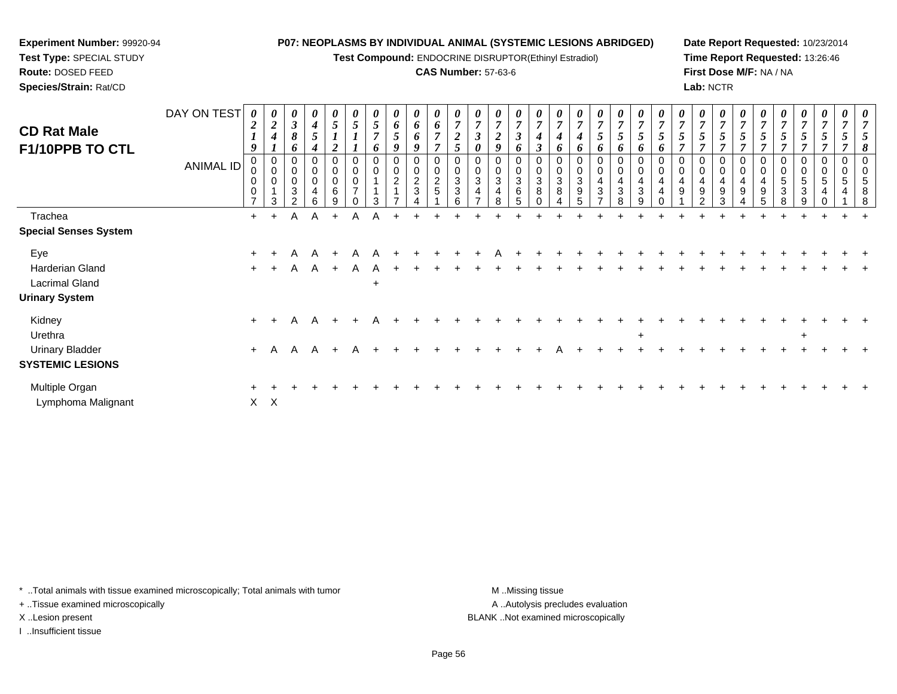**Test Compound:** ENDOCRINE DISRUPTOR(Ethinyl Estradiol)

## **CAS Number:** 57-63-6

**Date Report Requested:** 10/23/2014**Time Report Requested:** 13:26:46**First Dose M/F:** NA / NA**Lab:** NCTR

| <b>CD Rat Male</b><br>F1/10PPB TO CTL                                    | DAY ON TEST<br>ANIMAL ID | $\overline{2}$<br>9<br>0<br>0 | $\boldsymbol{\theta}$<br>$\overline{2}$<br>$\boldsymbol{4}$<br>0<br>$\pmb{0}$<br>0<br>3 | $\boldsymbol{\theta}$<br>$\mathbf{3}$<br>8<br>o<br>0<br>0<br>0<br>3<br>$\mathfrak{p}$ | 0<br>$\boldsymbol{4}$<br>5<br>4<br>$\Omega$<br>$\mathbf 0$<br>$\mathbf 0$<br>4<br>6 | 0<br>5<br>$\mathbf 0$<br>0<br>$\pmb{0}$<br>6<br>g | $\mathfrak{s}$<br>$\pmb{0}$<br>$\overline{7}$ | 5<br>$\overline{ }$<br>6<br>$\pmb{0}$<br>$\mathbf 0$<br>3 | 0<br>6<br>5<br>$\boldsymbol{9}$<br>0<br>$\mathsf 0$<br>$\overline{c}$ | $\boldsymbol{\theta}$<br>$\boldsymbol{\delta}$<br>6<br>9<br>$\overline{0}$<br>$\pmb{0}$<br>$\frac{2}{3}$ | $\boldsymbol{\theta}$<br>6<br>$\overline{ }$<br>$\overline{7}$<br>$\mathbf 0$<br>$\mathbf 0$<br>$\frac{2}{5}$ | $\overline{7}$<br>$\overline{2}$<br>5<br>$\mathbf 0$<br>3<br>3<br>6 | $\overline{7}$<br>$\boldsymbol{\theta}$<br>0<br>$\mathbf{3}$ | 0<br>$\overline{7}$<br>$\boldsymbol{2}$<br>9<br>$\mathbf 0$<br>0<br>3<br>4<br>8 | 0<br>$\overline{7}$<br>$\boldsymbol{\beta}$<br>6<br>$\mathbf 0$<br>$\mathbf 0$<br>$\sqrt{3}$<br>6<br>5 | $\boldsymbol{\theta}$<br>$\overline{7}$<br>3<br>0<br>0<br>3<br>8 | o<br>$\sqrt{3}$<br>8 | $\overline{ }$<br>6<br>0<br>0<br>3<br>9<br>5 | $\boldsymbol{\theta}$<br>$\overline{7}$<br>5<br>6<br>0<br>0<br>$\overline{4}$<br>$\mathbf{3}$<br>$\rightarrow$ | $\boldsymbol{\theta}$<br>$\overline{7}$<br>$\overline{5}$<br>6<br>$\pmb{0}$<br>$\pmb{0}$<br>$\overline{\mathbf{4}}$<br>$\mathbf{3}$<br>8 | $\boldsymbol{\theta}$<br>$\overline{7}$<br>$\bm{o}$<br>$\mathbf 0$<br>$\mathbf 0$<br>4<br>3<br>9 | o | $\overline{7}$<br>0<br>0<br>4<br>9 | $\boldsymbol{\theta}$<br>$\overline{7}$<br>5<br>$\Omega$<br>4<br>9<br>C | $\theta$<br>$\overline{7}$<br>$\mathbf 0$<br>$\mathbf 0$<br>4<br>9<br>3 | 7<br>0<br>$\mathbf 0$<br>4<br>9 | 7<br>$\Omega$<br>9 | $\boldsymbol{\theta}$<br>$\overline{\tau}$<br>0<br>0<br>5<br>3 | 0<br>$\mathfrak{s}$<br>0<br>0<br>$\mathbf 5$<br>3<br>9 | 0<br>$\overline{7}$<br>5<br>0<br>$\mathbf 0$<br>5<br>4<br>$\Omega$ | $\boldsymbol{\theta}$<br>0<br>0<br>5 | 8<br>$\Omega$<br>8 |
|--------------------------------------------------------------------------|--------------------------|-------------------------------|-----------------------------------------------------------------------------------------|---------------------------------------------------------------------------------------|-------------------------------------------------------------------------------------|---------------------------------------------------|-----------------------------------------------|-----------------------------------------------------------|-----------------------------------------------------------------------|----------------------------------------------------------------------------------------------------------|---------------------------------------------------------------------------------------------------------------|---------------------------------------------------------------------|--------------------------------------------------------------|---------------------------------------------------------------------------------|--------------------------------------------------------------------------------------------------------|------------------------------------------------------------------|----------------------|----------------------------------------------|----------------------------------------------------------------------------------------------------------------|------------------------------------------------------------------------------------------------------------------------------------------|--------------------------------------------------------------------------------------------------|---|------------------------------------|-------------------------------------------------------------------------|-------------------------------------------------------------------------|---------------------------------|--------------------|----------------------------------------------------------------|--------------------------------------------------------|--------------------------------------------------------------------|--------------------------------------|--------------------|
| Trachea<br><b>Special Senses System</b>                                  |                          | $+$                           | $+$                                                                                     | A                                                                                     | A                                                                                   | $+$                                               | A                                             |                                                           |                                                                       |                                                                                                          |                                                                                                               |                                                                     |                                                              |                                                                                 |                                                                                                        |                                                                  |                      |                                              |                                                                                                                |                                                                                                                                          |                                                                                                  |   |                                    |                                                                         |                                                                         |                                 |                    |                                                                |                                                        |                                                                    |                                      |                    |
| Eye<br>Harderian Gland<br><b>Lacrimal Gland</b><br><b>Urinary System</b> |                          | $+$<br>$+$                    |                                                                                         | A<br>A                                                                                | $\mathsf{A}$                                                                        | $+$                                               | A<br>A                                        | A<br>A<br>$\ddot{}$                                       |                                                                       |                                                                                                          |                                                                                                               |                                                                     |                                                              |                                                                                 |                                                                                                        |                                                                  |                      |                                              |                                                                                                                |                                                                                                                                          |                                                                                                  |   |                                    |                                                                         |                                                                         |                                 |                    |                                                                |                                                        |                                                                    |                                      |                    |
| Kidney<br>Urethra<br><b>Urinary Bladder</b><br><b>SYSTEMIC LESIONS</b>   |                          | $+$<br>$+$                    | A                                                                                       | Α<br>$\mathsf{A}$                                                                     | A<br>A                                                                              |                                                   | A                                             |                                                           |                                                                       |                                                                                                          |                                                                                                               |                                                                     |                                                              |                                                                                 |                                                                                                        |                                                                  |                      |                                              |                                                                                                                |                                                                                                                                          | $+$                                                                                              |   |                                    |                                                                         |                                                                         |                                 |                    |                                                                | $\overline{+}$                                         |                                                                    |                                      |                    |
| Multiple Organ<br>Lymphoma Malignant                                     |                          | $\pm$                         | $X$ $X$                                                                                 |                                                                                       |                                                                                     |                                                   |                                               |                                                           |                                                                       |                                                                                                          |                                                                                                               |                                                                     |                                                              |                                                                                 |                                                                                                        |                                                                  |                      |                                              |                                                                                                                |                                                                                                                                          |                                                                                                  |   |                                    |                                                                         |                                                                         |                                 |                    |                                                                |                                                        |                                                                    |                                      |                    |

\* ..Total animals with tissue examined microscopically; Total animals with tumor **M** . Missing tissue M ..Missing tissue

+ ..Tissue examined microscopically

**Experiment Number:** 99920-94**Test Type:** SPECIAL STUDY**Route:** DOSED FEED**Species/Strain:** Rat/CD

I ..Insufficient tissue

A ..Autolysis precludes evaluation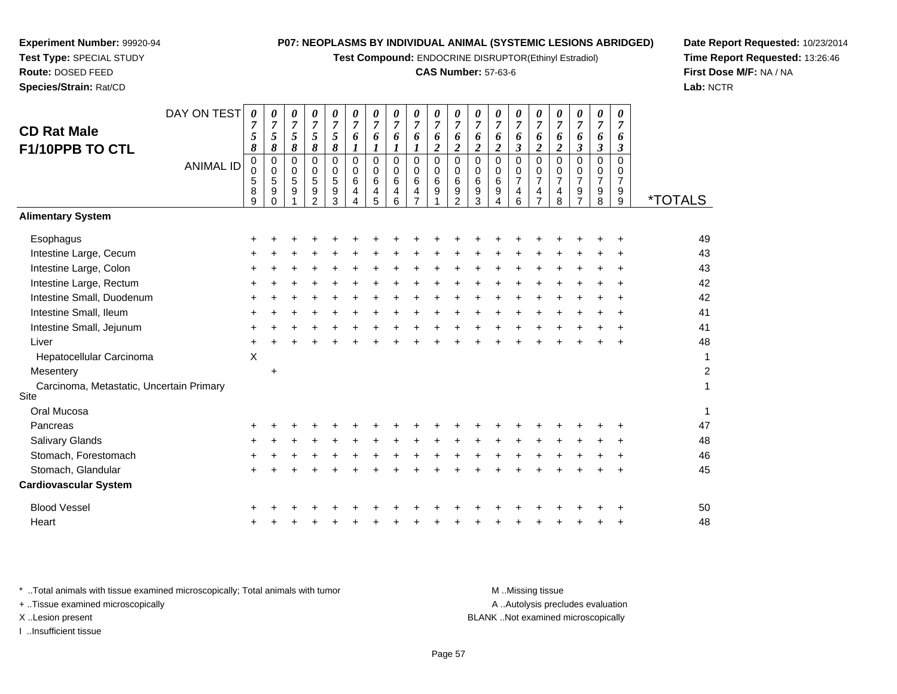**Test Compound:** ENDOCRINE DISRUPTOR(Ethinyl Estradiol)

## **CAS Number:** 57-63-6

*0 7*

*0 7*

*0 7*

*0 7*

*0 7*

*0 7*

*0 7*

*0 7*

*0 7*

**Date Report Requested:** 10/23/2014**Time Report Requested:** 13:26:46**First Dose M/F:** NA / NA**Lab:** NCTR

| <b>CD Rat Male</b><br>F1/10PPB TO CTL            | 7<br>5<br>8                    | 7<br>5<br>8                                               | 7<br>5<br>8      | 7<br>5<br>$\pmb{8}$                                               | 7<br>5<br>8                     | 7<br>6<br>$\boldsymbol{l}$   | 7<br>6<br>1                     | 7<br>6<br>1                     | 7<br>6<br>$\boldsymbol{l}$                         | 7<br>6<br>$\boldsymbol{2}$        | 7<br>6<br>$\boldsymbol{2}$                   | 7<br>6<br>$\boldsymbol{2}$ | 7<br>6<br>$\boldsymbol{2}$            | 7<br>6<br>$\boldsymbol{\mathfrak{z}}$        | 7<br>6<br>$\boldsymbol{2}$                                                | 7<br>6<br>$\boldsymbol{2}$                   | 7<br>6<br>$\boldsymbol{\beta}$            | 7<br>6<br>$\boldsymbol{\beta}$               | 7<br>6<br>$\boldsymbol{\beta}$               |                       |
|--------------------------------------------------|--------------------------------|-----------------------------------------------------------|------------------|-------------------------------------------------------------------|---------------------------------|------------------------------|---------------------------------|---------------------------------|----------------------------------------------------|-----------------------------------|----------------------------------------------|----------------------------|---------------------------------------|----------------------------------------------|---------------------------------------------------------------------------|----------------------------------------------|-------------------------------------------|----------------------------------------------|----------------------------------------------|-----------------------|
| <b>ANIMAL ID</b>                                 | 0<br>0<br>$\sqrt{5}$<br>8<br>9 | $\mathbf 0$<br>$\mathbf 0$<br>$\sqrt{5}$<br>9<br>$\Omega$ | 0<br>0<br>5<br>9 | $\mathbf 0$<br>$\mathbf 0$<br>$\sqrt{5}$<br>$\boldsymbol{9}$<br>2 | $\mathbf 0$<br>0<br>5<br>9<br>3 | $\Omega$<br>0<br>6<br>4<br>4 | $\mathbf 0$<br>0<br>6<br>4<br>5 | $\mathbf 0$<br>0<br>6<br>4<br>6 | $\mathbf 0$<br>0<br>$\,6\,$<br>4<br>$\overline{7}$ | $\overline{0}$<br>0<br>$\,6$<br>9 | $\mathbf 0$<br>0<br>6<br>9<br>$\overline{2}$ | 0<br>0<br>6<br>9<br>3      | $\mathbf 0$<br>0<br>$\,6\,$<br>9<br>4 | $\mathbf 0$<br>0<br>$\overline{7}$<br>4<br>6 | $\overline{0}$<br>0<br>$\overline{7}$<br>$\overline{4}$<br>$\overline{7}$ | $\mathbf 0$<br>0<br>$\overline{7}$<br>4<br>8 | $\Omega$<br>0<br>$\overline{7}$<br>9<br>7 | $\mathbf 0$<br>0<br>$\overline{7}$<br>9<br>8 | $\mathbf 0$<br>0<br>$\overline{7}$<br>9<br>9 | <i><b>*TOTALS</b></i> |
| <b>Alimentary System</b>                         |                                |                                                           |                  |                                                                   |                                 |                              |                                 |                                 |                                                    |                                   |                                              |                            |                                       |                                              |                                                                           |                                              |                                           |                                              |                                              |                       |
| Esophagus                                        | +                              |                                                           |                  |                                                                   |                                 |                              |                                 |                                 |                                                    |                                   |                                              |                            |                                       |                                              |                                                                           |                                              |                                           |                                              |                                              | 49                    |
| Intestine Large, Cecum                           | +                              |                                                           |                  |                                                                   |                                 |                              |                                 |                                 |                                                    |                                   |                                              |                            |                                       |                                              |                                                                           |                                              |                                           |                                              |                                              | 43                    |
| Intestine Large, Colon                           | ٠                              |                                                           |                  |                                                                   |                                 |                              |                                 |                                 |                                                    |                                   |                                              |                            |                                       |                                              |                                                                           |                                              |                                           |                                              |                                              | 43                    |
| Intestine Large, Rectum                          | ٠                              |                                                           |                  |                                                                   |                                 |                              |                                 |                                 |                                                    |                                   |                                              |                            |                                       |                                              |                                                                           |                                              |                                           |                                              |                                              | 42                    |
| Intestine Small, Duodenum                        | $\ddot{}$                      |                                                           |                  |                                                                   |                                 |                              |                                 |                                 |                                                    |                                   |                                              |                            |                                       |                                              |                                                                           |                                              |                                           |                                              |                                              | 42                    |
| Intestine Small, Ileum                           | ÷                              |                                                           |                  |                                                                   |                                 |                              |                                 |                                 |                                                    |                                   |                                              |                            |                                       |                                              |                                                                           |                                              |                                           |                                              | ÷                                            | 41                    |
| Intestine Small, Jejunum                         | ٠                              |                                                           |                  |                                                                   |                                 |                              |                                 |                                 |                                                    |                                   |                                              |                            |                                       |                                              |                                                                           |                                              |                                           |                                              |                                              | 41                    |
| Liver                                            | $\ddot{}$                      |                                                           |                  |                                                                   |                                 |                              |                                 |                                 |                                                    |                                   |                                              |                            |                                       |                                              |                                                                           |                                              |                                           |                                              |                                              | 48                    |
| Hepatocellular Carcinoma                         | X                              |                                                           |                  |                                                                   |                                 |                              |                                 |                                 |                                                    |                                   |                                              |                            |                                       |                                              |                                                                           |                                              |                                           |                                              |                                              | 1                     |
| Mesentery                                        |                                | $\ddot{}$                                                 |                  |                                                                   |                                 |                              |                                 |                                 |                                                    |                                   |                                              |                            |                                       |                                              |                                                                           |                                              |                                           |                                              |                                              | $\overline{c}$        |
| Carcinoma, Metastatic, Uncertain Primary<br>Site |                                |                                                           |                  |                                                                   |                                 |                              |                                 |                                 |                                                    |                                   |                                              |                            |                                       |                                              |                                                                           |                                              |                                           |                                              |                                              | 1                     |
| Oral Mucosa                                      |                                |                                                           |                  |                                                                   |                                 |                              |                                 |                                 |                                                    |                                   |                                              |                            |                                       |                                              |                                                                           |                                              |                                           |                                              |                                              | $\mathbf{1}$          |
| Pancreas                                         | +                              |                                                           |                  |                                                                   |                                 |                              |                                 |                                 |                                                    |                                   |                                              |                            |                                       |                                              |                                                                           |                                              |                                           |                                              |                                              | 47                    |
| Salivary Glands                                  |                                |                                                           |                  |                                                                   |                                 |                              |                                 |                                 |                                                    |                                   |                                              |                            |                                       |                                              |                                                                           |                                              |                                           |                                              |                                              | 48                    |
| Stomach, Forestomach                             |                                |                                                           |                  |                                                                   |                                 |                              |                                 |                                 |                                                    |                                   |                                              |                            |                                       |                                              |                                                                           |                                              |                                           |                                              | +                                            | 46                    |
| Stomach, Glandular                               |                                |                                                           |                  |                                                                   |                                 |                              |                                 |                                 |                                                    |                                   |                                              |                            |                                       |                                              |                                                                           |                                              |                                           |                                              |                                              | 45                    |
| <b>Cardiovascular System</b>                     |                                |                                                           |                  |                                                                   |                                 |                              |                                 |                                 |                                                    |                                   |                                              |                            |                                       |                                              |                                                                           |                                              |                                           |                                              |                                              |                       |
| <b>Blood Vessel</b>                              |                                |                                                           |                  |                                                                   |                                 |                              |                                 |                                 |                                                    |                                   |                                              |                            |                                       |                                              |                                                                           |                                              |                                           |                                              |                                              | 50                    |
| Heart                                            | +                              |                                                           |                  |                                                                   |                                 |                              |                                 |                                 |                                                    |                                   |                                              |                            |                                       |                                              |                                                                           |                                              |                                           |                                              | ÷                                            | 48                    |
|                                                  |                                |                                                           |                  |                                                                   |                                 |                              |                                 |                                 |                                                    |                                   |                                              |                            |                                       |                                              |                                                                           |                                              |                                           |                                              |                                              |                       |

**Experiment Number:** 99920-94**Test Type:** SPECIAL STUDY**Route:** DOSED FEED**Species/Strain:** Rat/CD

DAY ON TEST *0 7*

*0 7*

*0 7*

*0 7*

*0 7*

*0 7*

*0 7*

*0 7*

*0 7*

*0 7*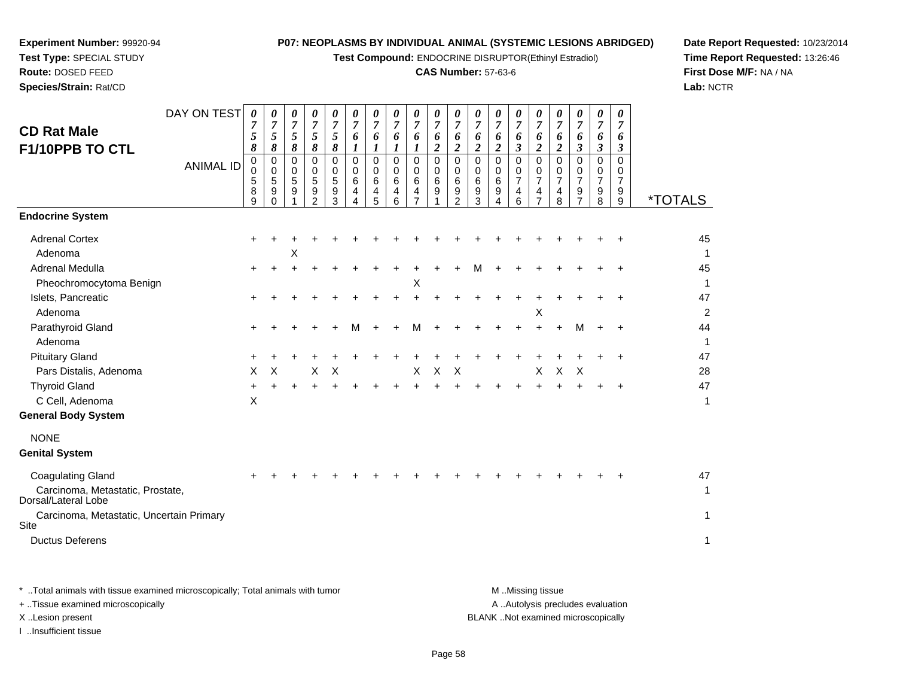**Test Compound:** ENDOCRINE DISRUPTOR(Ethinyl Estradiol)

## **CAS Number:** 57-63-6

**Date Report Requested:** 10/23/2014**Time Report Requested:** 13:26:46**First Dose M/F:** NA / NA**Lab:** NCTR

| Species/Strain: Rat/CD                                  |                                 |                                                                                   |                                                                  |                                                             |                                                                            |                                                                            |                                                                                                  |                                                  |                                                                                 |                                                                    |                                                                                      |                                                                                              |                                                                                 |                                                                     |                                                                                            |                                                                                                        |                                                                 |                                                                                                         |                                                        |                                                                                         | Lab: $\land$          |
|---------------------------------------------------------|---------------------------------|-----------------------------------------------------------------------------------|------------------------------------------------------------------|-------------------------------------------------------------|----------------------------------------------------------------------------|----------------------------------------------------------------------------|--------------------------------------------------------------------------------------------------|--------------------------------------------------|---------------------------------------------------------------------------------|--------------------------------------------------------------------|--------------------------------------------------------------------------------------|----------------------------------------------------------------------------------------------|---------------------------------------------------------------------------------|---------------------------------------------------------------------|--------------------------------------------------------------------------------------------|--------------------------------------------------------------------------------------------------------|-----------------------------------------------------------------|---------------------------------------------------------------------------------------------------------|--------------------------------------------------------|-----------------------------------------------------------------------------------------|-----------------------|
| <b>CD Rat Male</b><br>F1/10PPB TO CTL                   | DAY ON TEST<br><b>ANIMAL ID</b> | $\boldsymbol{\theta}$<br>7<br>5<br>8<br>$\mathbf 0$<br>$\mathbf 0$<br>5<br>8<br>9 | 0<br>$\overline{7}$<br>5<br>8<br>$\mathbf 0$<br>0<br>5<br>9<br>0 | 0<br>$\overline{7}$<br>5<br>8<br>$\mathbf 0$<br>0<br>5<br>9 | 0<br>$\overline{7}$<br>5<br>8<br>$\Omega$<br>0<br>5<br>9<br>$\overline{2}$ | 0<br>$\overline{7}$<br>5<br>8<br>$\mathbf 0$<br>$\mathbf 0$<br>5<br>9<br>3 | 0<br>$\overline{7}$<br>6<br>$\boldsymbol{l}$<br>$\mathbf 0$<br>$\mathbf 0$<br>6<br>4<br>$\Delta$ | 0<br>7<br>6<br>1<br>$\Omega$<br>0<br>6<br>4<br>5 | 0<br>$\overline{7}$<br>6<br>$\boldsymbol{l}$<br>$\mathbf 0$<br>0<br>6<br>4<br>6 | 0<br>$\boldsymbol{7}$<br>6<br>1<br>$\mathbf 0$<br>0<br>6<br>4<br>7 | 0<br>$\overline{7}$<br>6<br>$\boldsymbol{2}$<br>$\mathbf 0$<br>$\mathbf 0$<br>6<br>9 | 0<br>$\overline{7}$<br>6<br>$\boldsymbol{2}$<br>$\mathbf 0$<br>0<br>6<br>9<br>$\overline{2}$ | 0<br>$\overline{7}$<br>6<br>$\boldsymbol{2}$<br>$\mathbf 0$<br>0<br>6<br>9<br>3 | 0<br>$\overline{7}$<br>6<br>$\overline{c}$<br>0<br>0<br>6<br>9<br>4 | 0<br>$\boldsymbol{7}$<br>6<br>$\mathbf{3}$<br>$\mathbf 0$<br>0<br>$\overline{7}$<br>4<br>6 | 0<br>$\overline{7}$<br>6<br>$\boldsymbol{2}$<br>$\Omega$<br>0<br>$\overline{7}$<br>4<br>$\overline{7}$ | 0<br>7<br>6<br>$\boldsymbol{2}$<br>$\Omega$<br>0<br>7<br>4<br>8 | 0<br>$\overline{7}$<br>6<br>$\mathfrak{z}$<br>$\mathbf 0$<br>0<br>$\overline{7}$<br>9<br>$\overline{7}$ | 0<br>$\overline{7}$<br>6<br>3<br>0<br>0<br>7<br>9<br>8 | $\boldsymbol{\theta}$<br>7<br>6<br>$\boldsymbol{\beta}$<br>$\Omega$<br>0<br>7<br>9<br>9 | <i><b>*TOTALS</b></i> |
| <b>Endocrine System</b>                                 |                                 |                                                                                   |                                                                  |                                                             |                                                                            |                                                                            |                                                                                                  |                                                  |                                                                                 |                                                                    |                                                                                      |                                                                                              |                                                                                 |                                                                     |                                                                                            |                                                                                                        |                                                                 |                                                                                                         |                                                        |                                                                                         |                       |
| <b>Adrenal Cortex</b><br>Adenoma                        |                                 |                                                                                   |                                                                  | X                                                           |                                                                            |                                                                            |                                                                                                  |                                                  |                                                                                 |                                                                    |                                                                                      |                                                                                              |                                                                                 |                                                                     |                                                                                            |                                                                                                        |                                                                 |                                                                                                         |                                                        |                                                                                         | 45<br>$\mathbf{1}$    |
| <b>Adrenal Medulla</b>                                  |                                 |                                                                                   |                                                                  |                                                             |                                                                            |                                                                            |                                                                                                  |                                                  |                                                                                 |                                                                    |                                                                                      |                                                                                              |                                                                                 |                                                                     |                                                                                            |                                                                                                        |                                                                 |                                                                                                         |                                                        |                                                                                         | 45                    |
| Pheochromocytoma Benign<br>Islets, Pancreatic           |                                 |                                                                                   |                                                                  |                                                             |                                                                            |                                                                            |                                                                                                  |                                                  |                                                                                 | $\boldsymbol{\mathsf{X}}$                                          |                                                                                      |                                                                                              |                                                                                 |                                                                     |                                                                                            |                                                                                                        |                                                                 |                                                                                                         |                                                        |                                                                                         | $\mathbf{1}$<br>47    |
| Adenoma                                                 |                                 |                                                                                   |                                                                  |                                                             |                                                                            |                                                                            |                                                                                                  |                                                  |                                                                                 |                                                                    |                                                                                      |                                                                                              |                                                                                 |                                                                     |                                                                                            | х                                                                                                      |                                                                 |                                                                                                         |                                                        |                                                                                         | $\overline{2}$        |
| Parathyroid Gland<br>Adenoma                            |                                 |                                                                                   |                                                                  |                                                             |                                                                            |                                                                            | м                                                                                                |                                                  |                                                                                 | м                                                                  |                                                                                      |                                                                                              |                                                                                 |                                                                     |                                                                                            |                                                                                                        |                                                                 | м                                                                                                       | +                                                      | $\ddot{}$                                                                               | 44<br>$\mathbf{1}$    |
| <b>Pituitary Gland</b>                                  |                                 | +                                                                                 |                                                                  |                                                             |                                                                            |                                                                            |                                                                                                  |                                                  |                                                                                 |                                                                    |                                                                                      |                                                                                              |                                                                                 |                                                                     |                                                                                            |                                                                                                        |                                                                 |                                                                                                         |                                                        |                                                                                         | 47                    |
| Pars Distalis, Adenoma                                  |                                 | X                                                                                 | X                                                                |                                                             | X                                                                          | $\boldsymbol{\mathsf{X}}$                                                  |                                                                                                  |                                                  |                                                                                 | X                                                                  | $\pmb{\times}$                                                                       | X                                                                                            |                                                                                 |                                                                     |                                                                                            | $\pmb{\times}$                                                                                         | $\mathsf X$                                                     | X                                                                                                       |                                                        |                                                                                         | 28                    |
| <b>Thyroid Gland</b>                                    |                                 |                                                                                   |                                                                  |                                                             |                                                                            |                                                                            |                                                                                                  |                                                  |                                                                                 |                                                                    |                                                                                      |                                                                                              |                                                                                 |                                                                     |                                                                                            |                                                                                                        |                                                                 |                                                                                                         |                                                        |                                                                                         | 47                    |
| C Cell, Adenoma                                         |                                 | X                                                                                 |                                                                  |                                                             |                                                                            |                                                                            |                                                                                                  |                                                  |                                                                                 |                                                                    |                                                                                      |                                                                                              |                                                                                 |                                                                     |                                                                                            |                                                                                                        |                                                                 |                                                                                                         |                                                        |                                                                                         | $\mathbf{1}$          |
| <b>General Body System</b>                              |                                 |                                                                                   |                                                                  |                                                             |                                                                            |                                                                            |                                                                                                  |                                                  |                                                                                 |                                                                    |                                                                                      |                                                                                              |                                                                                 |                                                                     |                                                                                            |                                                                                                        |                                                                 |                                                                                                         |                                                        |                                                                                         |                       |
| <b>NONE</b>                                             |                                 |                                                                                   |                                                                  |                                                             |                                                                            |                                                                            |                                                                                                  |                                                  |                                                                                 |                                                                    |                                                                                      |                                                                                              |                                                                                 |                                                                     |                                                                                            |                                                                                                        |                                                                 |                                                                                                         |                                                        |                                                                                         |                       |
| <b>Genital System</b>                                   |                                 |                                                                                   |                                                                  |                                                             |                                                                            |                                                                            |                                                                                                  |                                                  |                                                                                 |                                                                    |                                                                                      |                                                                                              |                                                                                 |                                                                     |                                                                                            |                                                                                                        |                                                                 |                                                                                                         |                                                        |                                                                                         |                       |
| <b>Coagulating Gland</b>                                |                                 |                                                                                   |                                                                  |                                                             |                                                                            |                                                                            |                                                                                                  |                                                  |                                                                                 |                                                                    |                                                                                      |                                                                                              |                                                                                 |                                                                     |                                                                                            |                                                                                                        |                                                                 |                                                                                                         |                                                        |                                                                                         | 47                    |
| Carcinoma, Metastatic, Prostate,<br>Dorsal/Lateral Lobe |                                 |                                                                                   |                                                                  |                                                             |                                                                            |                                                                            |                                                                                                  |                                                  |                                                                                 |                                                                    |                                                                                      |                                                                                              |                                                                                 |                                                                     |                                                                                            |                                                                                                        |                                                                 |                                                                                                         |                                                        |                                                                                         | $\mathbf{1}$          |
| Carcinoma, Metastatic, Uncertain Primary<br>Site        |                                 |                                                                                   |                                                                  |                                                             |                                                                            |                                                                            |                                                                                                  |                                                  |                                                                                 |                                                                    |                                                                                      |                                                                                              |                                                                                 |                                                                     |                                                                                            |                                                                                                        |                                                                 |                                                                                                         |                                                        |                                                                                         | $\mathbf{1}$          |
| <b>Ductus Deferens</b>                                  |                                 |                                                                                   |                                                                  |                                                             |                                                                            |                                                                            |                                                                                                  |                                                  |                                                                                 |                                                                    |                                                                                      |                                                                                              |                                                                                 |                                                                     |                                                                                            |                                                                                                        |                                                                 |                                                                                                         |                                                        |                                                                                         | $\mathbf{1}$          |
|                                                         |                                 |                                                                                   |                                                                  |                                                             |                                                                            |                                                                            |                                                                                                  |                                                  |                                                                                 |                                                                    |                                                                                      |                                                                                              |                                                                                 |                                                                     |                                                                                            |                                                                                                        |                                                                 |                                                                                                         |                                                        |                                                                                         |                       |

**Experiment Number:** 99920-94**Test Type:** SPECIAL STUDY**Route:** DOSED FEED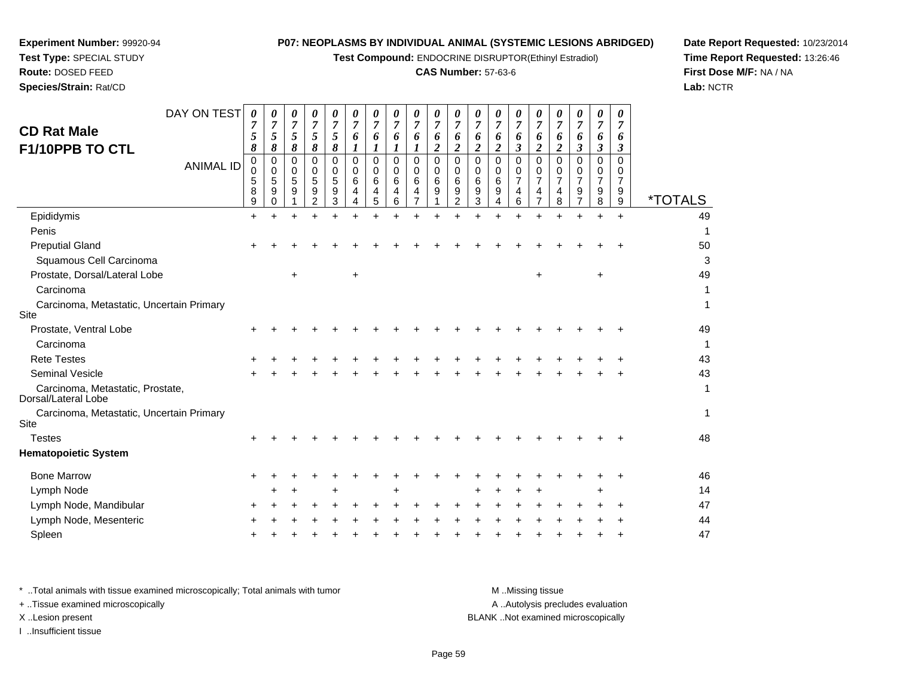**Test Compound:** ENDOCRINE DISRUPTOR(Ethinyl Estradiol)

## **CAS Number:** 57-63-6

**Date Report Requested:** 10/23/2014**Time Report Requested:** 13:26:46**First Dose M/F:** NA / NA**Lab:** NCTR

**Experiment Number:** 99920-94

**Species/Strain:** Rat/CD

| DAY ON TEST<br><b>CD Rat Male</b><br>F1/10PPB TO CTL    |                  | 0<br>7<br>5<br>8      | 0<br>7<br>5<br>8                | 0<br>$\overline{7}$<br>$\mathfrak{H}$<br>8 | 0<br>7<br>5<br>8                          | 0<br>$\overline{7}$<br>5<br>8 | 0<br>6                  | 0<br>7<br>6           | $\boldsymbol{\theta}$<br>7<br>6 | 0<br>$\overline{7}$<br>6       | 0<br>$\overline{7}$<br>6<br>$\boldsymbol{2}$ | 0<br>7<br>6<br>$\overline{2}$      | 0<br>6<br>$\overline{2}$     | 0<br>$\overline{7}$<br>6<br>$\overline{2}$ | 0<br>$\overline{7}$<br>6<br>3      | 0<br>$\overline{7}$<br>6<br>2                          | 0<br>7<br>6<br>2                                 | 0<br>7<br>6<br>3                     | 0<br>7<br>6<br>3                                 | $\boldsymbol{\theta}$<br>7<br>6<br>3 |                       |
|---------------------------------------------------------|------------------|-----------------------|---------------------------------|--------------------------------------------|-------------------------------------------|-------------------------------|-------------------------|-----------------------|---------------------------------|--------------------------------|----------------------------------------------|------------------------------------|------------------------------|--------------------------------------------|------------------------------------|--------------------------------------------------------|--------------------------------------------------|--------------------------------------|--------------------------------------------------|--------------------------------------|-----------------------|
|                                                         | <b>ANIMAL ID</b> | 0<br>0<br>5<br>8<br>9 | 0<br>$\mathbf 0$<br>5<br>9<br>0 | 0<br>$\Omega$<br>5<br>9                    | 0<br>$\Omega$<br>5<br>9<br>$\overline{2}$ | 0<br>0<br>5<br>9<br>3         | $\Omega$<br>0<br>6<br>4 | 0<br>0<br>6<br>4<br>5 | 0<br>$\Omega$<br>6<br>4<br>6    | $\Omega$<br>$\Omega$<br>6<br>4 | $\mathbf 0$<br>$\mathbf 0$<br>6<br>9         | 0<br>0<br>6<br>9<br>$\overline{2}$ | 0<br>$\Omega$<br>6<br>9<br>3 | 0<br>0<br>6<br>9<br>4                      | 0<br>0<br>$\overline{7}$<br>4<br>6 | $\Omega$<br>0<br>$\overline{7}$<br>4<br>$\overline{7}$ | $\Omega$<br>$\Omega$<br>$\overline{7}$<br>4<br>8 | $\Omega$<br>0<br>$\overline{7}$<br>9 | $\Omega$<br>$\Omega$<br>$\overline{7}$<br>9<br>8 | 0<br>0<br>7<br>9<br>9                | <i><b>*TOTALS</b></i> |
| Epididymis                                              |                  | $\ddot{}$             |                                 |                                            |                                           |                               |                         |                       |                                 |                                |                                              |                                    |                              |                                            |                                    |                                                        |                                                  |                                      |                                                  | $\ddot{}$                            | 49                    |
| Penis                                                   |                  |                       |                                 |                                            |                                           |                               |                         |                       |                                 |                                |                                              |                                    |                              |                                            |                                    |                                                        |                                                  |                                      |                                                  |                                      | 1                     |
| <b>Preputial Gland</b>                                  |                  |                       |                                 |                                            |                                           |                               |                         |                       |                                 |                                |                                              |                                    |                              |                                            |                                    |                                                        |                                                  |                                      |                                                  |                                      | 50                    |
| Squamous Cell Carcinoma                                 |                  |                       |                                 |                                            |                                           |                               |                         |                       |                                 |                                |                                              |                                    |                              |                                            |                                    |                                                        |                                                  |                                      |                                                  |                                      | 3                     |
| Prostate, Dorsal/Lateral Lobe                           |                  |                       |                                 | $\ddot{}$                                  |                                           |                               | $\ddot{}$               |                       |                                 |                                |                                              |                                    |                              |                                            |                                    | +                                                      |                                                  |                                      | $\ddot{}$                                        |                                      | 49                    |
| Carcinoma                                               |                  |                       |                                 |                                            |                                           |                               |                         |                       |                                 |                                |                                              |                                    |                              |                                            |                                    |                                                        |                                                  |                                      |                                                  |                                      | 1                     |
| Carcinoma, Metastatic, Uncertain Primary<br>Site        |                  |                       |                                 |                                            |                                           |                               |                         |                       |                                 |                                |                                              |                                    |                              |                                            |                                    |                                                        |                                                  |                                      |                                                  |                                      | 1                     |
| Prostate, Ventral Lobe                                  |                  |                       |                                 |                                            |                                           |                               |                         |                       |                                 |                                |                                              |                                    |                              |                                            |                                    |                                                        |                                                  |                                      |                                                  |                                      | 49                    |
| Carcinoma                                               |                  |                       |                                 |                                            |                                           |                               |                         |                       |                                 |                                |                                              |                                    |                              |                                            |                                    |                                                        |                                                  |                                      |                                                  |                                      | $\mathbf{1}$          |
| <b>Rete Testes</b>                                      |                  |                       |                                 |                                            |                                           |                               |                         |                       |                                 |                                |                                              |                                    |                              |                                            |                                    |                                                        |                                                  |                                      |                                                  |                                      | 43                    |
| <b>Seminal Vesicle</b>                                  |                  |                       |                                 |                                            |                                           |                               |                         |                       |                                 |                                |                                              |                                    |                              |                                            |                                    |                                                        |                                                  |                                      |                                                  |                                      | 43                    |
| Carcinoma, Metastatic, Prostate,<br>Dorsal/Lateral Lobe |                  |                       |                                 |                                            |                                           |                               |                         |                       |                                 |                                |                                              |                                    |                              |                                            |                                    |                                                        |                                                  |                                      |                                                  |                                      | $\mathbf{1}$          |
| Carcinoma, Metastatic, Uncertain Primary<br>Site        |                  |                       |                                 |                                            |                                           |                               |                         |                       |                                 |                                |                                              |                                    |                              |                                            |                                    |                                                        |                                                  |                                      |                                                  |                                      | $\mathbf 1$           |
| <b>Testes</b>                                           |                  |                       |                                 |                                            |                                           |                               |                         |                       |                                 |                                |                                              |                                    |                              |                                            |                                    |                                                        |                                                  |                                      |                                                  |                                      | 48                    |
| <b>Hematopoietic System</b>                             |                  |                       |                                 |                                            |                                           |                               |                         |                       |                                 |                                |                                              |                                    |                              |                                            |                                    |                                                        |                                                  |                                      |                                                  |                                      |                       |
| <b>Bone Marrow</b>                                      |                  |                       |                                 |                                            |                                           |                               |                         |                       |                                 |                                |                                              |                                    |                              |                                            |                                    |                                                        |                                                  |                                      |                                                  |                                      | 46                    |
| Lymph Node                                              |                  |                       |                                 |                                            |                                           |                               |                         |                       |                                 |                                |                                              |                                    |                              |                                            |                                    |                                                        |                                                  |                                      |                                                  |                                      | 14                    |
| Lymph Node, Mandibular                                  |                  |                       |                                 |                                            |                                           |                               |                         |                       |                                 |                                |                                              |                                    |                              |                                            |                                    |                                                        |                                                  |                                      |                                                  |                                      | 47                    |
| Lymph Node, Mesenteric                                  |                  |                       |                                 |                                            |                                           |                               |                         |                       |                                 |                                |                                              |                                    |                              |                                            |                                    |                                                        |                                                  |                                      |                                                  |                                      | 44                    |
| Spleen                                                  |                  |                       |                                 |                                            |                                           |                               |                         |                       |                                 |                                |                                              |                                    |                              |                                            |                                    |                                                        |                                                  |                                      |                                                  |                                      | 47                    |
|                                                         |                  |                       |                                 |                                            |                                           |                               |                         |                       |                                 |                                |                                              |                                    |                              |                                            |                                    |                                                        |                                                  |                                      |                                                  |                                      |                       |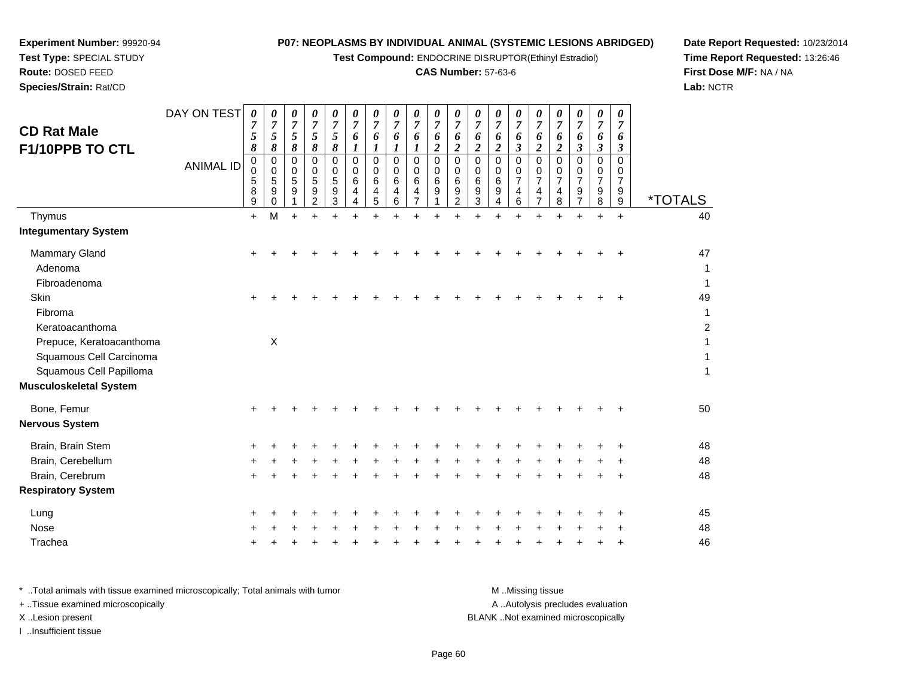**Test Compound:** ENDOCRINE DISRUPTOR(Ethinyl Estradiol)

## **CAS Number:** 57-63-6

**Date Report Requested:** 10/23/2014**Time Report Requested:** 13:26:46**First Dose M/F:** NA / NA**Lab:** NCTR

| <b>Route: DOSED FEED</b> |                  |                       |                    |   |  |
|--------------------------|------------------|-----------------------|--------------------|---|--|
| Species/Strain: Rat/CD   |                  |                       |                    |   |  |
|                          | DAY ON TEST      | $\boldsymbol{\theta}$ | $\frac{\theta}{7}$ |   |  |
| <b>CD Rat Male</b>       |                  |                       |                    |   |  |
| F1/10PPB TO CTL          |                  | 8                     |                    |   |  |
|                          | <b>ANIMAL ID</b> |                       | 0                  | 0 |  |
|                          |                  |                       |                    |   |  |

**Experiment Number:** 99920-94**Test Type:** SPECIAL STUDY

| <b>CD Rat Male</b><br>F1/10PPB TO CTL                                          | DAY ON TEST<br><b>ANIMAL ID</b> | 0<br>7<br>$\mathfrak{s}$<br>8<br>0<br>0<br>5<br>8 | 0<br>7<br>5<br>8<br>0<br>$\Omega$<br>5<br>9 | 0<br>7<br>5<br>8<br>0<br>$\Omega$<br>5<br>9 | 0<br>$\overline{7}$<br>5<br>8<br>0<br>0<br>5<br>9<br>$\overline{2}$ | 0<br>7<br>5<br>8<br>0<br>0<br>5<br>9<br>3 | 0<br>7<br>6<br>$\boldsymbol{l}$<br>0<br>$\Omega$<br>6<br>4 | 0<br>$\overline{7}$<br>6<br>$\boldsymbol{l}$<br>$\mathbf 0$<br>$\Omega$<br>6<br>4 | 0<br>7<br>6<br>$\boldsymbol{l}$<br>0<br>$\Omega$<br>6<br>4 | 0<br>7<br>6<br>0<br>0<br>6<br>4 | 0<br>$\overline{7}$<br>6<br>$\overline{c}$<br>0<br>0<br>6<br>9 | 0<br>7<br>6<br>$\overline{2}$<br>0<br>$\Omega$<br>$\,6\,$<br>9 | 0<br>$\overline{7}$<br>6<br>$\overline{2}$<br>0<br>$\Omega$<br>6<br>9 | 0<br>$\overline{7}$<br>6<br>$\boldsymbol{2}$<br>0<br>$\Omega$<br>6<br>9<br>4 | 0<br>7<br>6<br>3<br>0<br>0<br>$\overline{7}$<br>4 | 0<br>$\overline{7}$<br>6<br>$\overline{c}$<br>$\Omega$<br>0<br>$\overline{7}$<br>$\overline{4}$<br>$\overline{7}$ | 0<br>6<br>$\overline{2}$<br>$\mathbf 0$<br>$\Omega$<br>$\overline{7}$<br>4 | 0<br>7<br>6<br>$\boldsymbol{\beta}$<br>$\mathbf 0$<br>$\Omega$<br>$\overline{7}$<br>9<br>7 | 0<br>$\overline{7}$<br>6<br>3<br>0<br>0<br>$\overline{7}$<br>9 | 0<br>7<br>6<br>3<br>0<br>0<br>$\overline{7}$<br>9 | <i><b>*TOTALS</b></i>                |
|--------------------------------------------------------------------------------|---------------------------------|---------------------------------------------------|---------------------------------------------|---------------------------------------------|---------------------------------------------------------------------|-------------------------------------------|------------------------------------------------------------|-----------------------------------------------------------------------------------|------------------------------------------------------------|---------------------------------|----------------------------------------------------------------|----------------------------------------------------------------|-----------------------------------------------------------------------|------------------------------------------------------------------------------|---------------------------------------------------|-------------------------------------------------------------------------------------------------------------------|----------------------------------------------------------------------------|--------------------------------------------------------------------------------------------|----------------------------------------------------------------|---------------------------------------------------|--------------------------------------|
| Thymus                                                                         |                                 | 9<br>$\ddot{}$                                    | $\Omega$<br>M                               | $\ddot{}$                                   |                                                                     |                                           | 4                                                          | 5                                                                                 | 6                                                          |                                 |                                                                | 2                                                              | 3                                                                     |                                                                              | 6                                                 |                                                                                                                   | 8                                                                          |                                                                                            | 8                                                              | 9<br>$+$                                          | 40                                   |
| <b>Integumentary System</b>                                                    |                                 |                                                   |                                             |                                             |                                                                     |                                           |                                                            |                                                                                   |                                                            |                                 |                                                                |                                                                |                                                                       |                                                                              |                                                   |                                                                                                                   |                                                                            |                                                                                            |                                                                |                                                   |                                      |
| Mammary Gland<br>Adenoma<br>Fibroadenoma                                       |                                 | $\pm$                                             |                                             |                                             |                                                                     |                                           |                                                            |                                                                                   |                                                            |                                 |                                                                |                                                                |                                                                       |                                                                              |                                                   |                                                                                                                   |                                                                            |                                                                                            |                                                                | ÷                                                 | 47<br>1<br>$\mathbf 1$               |
| Skin<br>Fibroma<br>Keratoacanthoma                                             |                                 |                                                   |                                             |                                             |                                                                     |                                           |                                                            |                                                                                   |                                                            |                                 |                                                                |                                                                |                                                                       |                                                                              |                                                   |                                                                                                                   |                                                                            |                                                                                            |                                                                |                                                   | 49<br>$\mathbf{1}$<br>$\overline{c}$ |
| Prepuce, Keratoacanthoma<br>Squamous Cell Carcinoma<br>Squamous Cell Papilloma |                                 |                                                   | $\boldsymbol{\mathsf{X}}$                   |                                             |                                                                     |                                           |                                                            |                                                                                   |                                                            |                                 |                                                                |                                                                |                                                                       |                                                                              |                                                   |                                                                                                                   |                                                                            |                                                                                            |                                                                |                                                   | $\mathbf{1}$<br>$\mathbf{1}$<br>1    |
| <b>Musculoskeletal System</b>                                                  |                                 |                                                   |                                             |                                             |                                                                     |                                           |                                                            |                                                                                   |                                                            |                                 |                                                                |                                                                |                                                                       |                                                                              |                                                   |                                                                                                                   |                                                                            |                                                                                            |                                                                |                                                   |                                      |
| Bone, Femur<br><b>Nervous System</b>                                           |                                 |                                                   |                                             |                                             |                                                                     |                                           |                                                            |                                                                                   |                                                            |                                 |                                                                |                                                                |                                                                       |                                                                              |                                                   |                                                                                                                   |                                                                            |                                                                                            |                                                                |                                                   | 50                                   |
| Brain, Brain Stem                                                              |                                 |                                                   |                                             |                                             |                                                                     |                                           |                                                            |                                                                                   |                                                            |                                 |                                                                |                                                                |                                                                       |                                                                              |                                                   |                                                                                                                   |                                                                            |                                                                                            |                                                                |                                                   | 48                                   |
| Brain, Cerebellum                                                              |                                 |                                                   |                                             |                                             |                                                                     |                                           |                                                            |                                                                                   |                                                            |                                 |                                                                |                                                                |                                                                       |                                                                              |                                                   |                                                                                                                   |                                                                            |                                                                                            |                                                                |                                                   | 48                                   |
| Brain, Cerebrum<br><b>Respiratory System</b>                                   |                                 |                                                   |                                             |                                             |                                                                     |                                           |                                                            |                                                                                   |                                                            |                                 |                                                                |                                                                |                                                                       |                                                                              |                                                   |                                                                                                                   |                                                                            |                                                                                            |                                                                |                                                   | 48                                   |
| Lung                                                                           |                                 |                                                   |                                             |                                             |                                                                     |                                           |                                                            |                                                                                   |                                                            |                                 |                                                                |                                                                |                                                                       |                                                                              |                                                   |                                                                                                                   |                                                                            |                                                                                            |                                                                |                                                   | 45                                   |
| Nose                                                                           |                                 |                                                   |                                             |                                             |                                                                     |                                           |                                                            |                                                                                   |                                                            |                                 |                                                                |                                                                |                                                                       |                                                                              |                                                   |                                                                                                                   |                                                                            |                                                                                            |                                                                |                                                   | 48                                   |
| Trachea                                                                        |                                 |                                                   |                                             |                                             |                                                                     |                                           |                                                            |                                                                                   |                                                            |                                 |                                                                |                                                                |                                                                       |                                                                              |                                                   |                                                                                                                   |                                                                            |                                                                                            |                                                                |                                                   | 46                                   |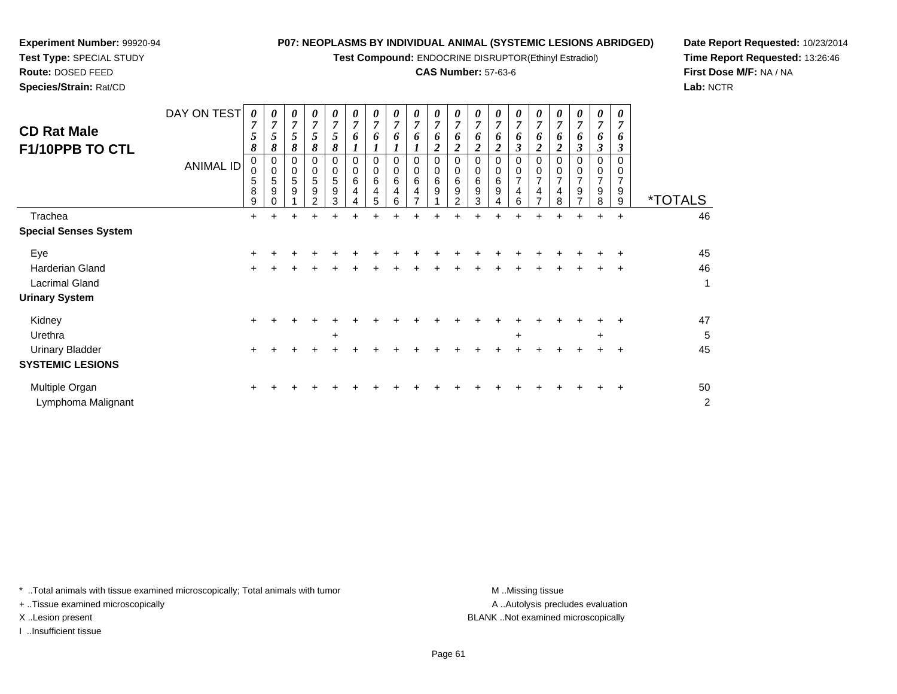**Test Compound:** ENDOCRINE DISRUPTOR(Ethinyl Estradiol)

## **CAS Number:** 57-63-6

**Date Report Requested:** 10/23/2014**Time Report Requested:** 13:26:46**First Dose M/F:** NA / NA**Lab:** NCTR

| <b>CD Rat Male</b><br>F1/10PPB TO CTL | DAY ON TEST<br><b>ANIMAL ID</b> | 0<br>7<br>5<br>8<br>0<br>$\mathbf 0$<br>5<br>8<br>9 | 0<br>$\overline{7}$<br>5<br>8<br>0<br>$\mathbf 0$<br>5<br>9 | 0<br>7<br>5<br>8<br>$\mathbf 0$<br>5<br>9 | 0<br>7<br>5<br>8<br>$\Omega$<br>5<br>9<br>っ | 0<br>$\overline{7}$<br>5<br>8<br>$\Omega$<br>$\mathbf 0$<br>5<br>9<br>3 | 0<br>$\overline{7}$<br>6<br>0<br>0<br>6<br>4 | 0<br>$\overline{7}$<br>6<br>0<br>0<br>6<br>4<br>5 | 0<br>$\overline{7}$<br>6<br>0<br>$\mathbf 0$<br>6<br>4<br>6 | $\boldsymbol{\theta}$<br>$\overline{7}$<br>6<br>$\Omega$<br>$\Omega$<br>6<br>4 | $\boldsymbol{\theta}$<br>$\overline{7}$<br>6<br>$\overline{\mathbf{2}}$<br>$\Omega$<br>$\mathbf 0$<br>$\,6$<br>9 | 0<br>$\overline{7}$<br>6<br>$\overline{c}$<br>0<br>0<br>$\,6\,$<br>9<br>2 | 0<br>$\overline{7}$<br>6<br>2<br>0<br>6<br>9<br>3 | 0<br>$\overline{7}$<br>6<br>0<br>$\,6$<br>9 | 0<br>$\overline{7}$<br>6<br>0<br>$\overline{ }$<br>4<br>6 | 0<br>7<br>6<br>$\overline{7}$ | 0<br>$\overline{7}$<br>6<br>2<br>$\overline{7}$<br>4<br>8 | 0<br>$\overline{7}$<br>6<br>3<br>$\overline{7}$<br>9 | 0<br>7<br>6<br>3<br>$\Omega$<br>$\overline{ }$<br>9<br>8 | 0<br>7<br>6<br>9<br>9 | <i><b>*TOTALS</b></i> |
|---------------------------------------|---------------------------------|-----------------------------------------------------|-------------------------------------------------------------|-------------------------------------------|---------------------------------------------|-------------------------------------------------------------------------|----------------------------------------------|---------------------------------------------------|-------------------------------------------------------------|--------------------------------------------------------------------------------|------------------------------------------------------------------------------------------------------------------|---------------------------------------------------------------------------|---------------------------------------------------|---------------------------------------------|-----------------------------------------------------------|-------------------------------|-----------------------------------------------------------|------------------------------------------------------|----------------------------------------------------------|-----------------------|-----------------------|
| Trachea                               |                                 | $+$                                                 | ÷                                                           |                                           |                                             |                                                                         |                                              |                                                   |                                                             |                                                                                |                                                                                                                  |                                                                           |                                                   |                                             |                                                           |                               |                                                           | +                                                    | $\ddot{}$                                                | $\ddot{}$             | 46                    |
| <b>Special Senses System</b>          |                                 |                                                     |                                                             |                                           |                                             |                                                                         |                                              |                                                   |                                                             |                                                                                |                                                                                                                  |                                                                           |                                                   |                                             |                                                           |                               |                                                           |                                                      |                                                          |                       |                       |
| Eye                                   |                                 | ٠                                                   |                                                             |                                           |                                             |                                                                         |                                              |                                                   |                                                             |                                                                                |                                                                                                                  |                                                                           |                                                   |                                             |                                                           |                               |                                                           |                                                      |                                                          | ٠                     | 45                    |
| Harderian Gland                       |                                 | $\pm$                                               |                                                             |                                           |                                             |                                                                         |                                              |                                                   |                                                             |                                                                                |                                                                                                                  |                                                                           |                                                   |                                             |                                                           |                               |                                                           |                                                      |                                                          | $\pm$                 | 46                    |
| <b>Lacrimal Gland</b>                 |                                 |                                                     |                                                             |                                           |                                             |                                                                         |                                              |                                                   |                                                             |                                                                                |                                                                                                                  |                                                                           |                                                   |                                             |                                                           |                               |                                                           |                                                      |                                                          |                       | 1                     |
| <b>Urinary System</b>                 |                                 |                                                     |                                                             |                                           |                                             |                                                                         |                                              |                                                   |                                                             |                                                                                |                                                                                                                  |                                                                           |                                                   |                                             |                                                           |                               |                                                           |                                                      |                                                          |                       |                       |
| Kidney                                |                                 | $\pm$                                               |                                                             |                                           |                                             |                                                                         |                                              |                                                   |                                                             |                                                                                |                                                                                                                  |                                                                           |                                                   |                                             |                                                           |                               |                                                           |                                                      |                                                          |                       | 47                    |
| Urethra                               |                                 |                                                     |                                                             |                                           |                                             | $\ddot{}$                                                               |                                              |                                                   |                                                             |                                                                                |                                                                                                                  |                                                                           |                                                   |                                             | +                                                         |                               |                                                           |                                                      | $\ddot{}$                                                |                       | 5                     |
| <b>Urinary Bladder</b>                |                                 | +                                                   |                                                             |                                           |                                             |                                                                         |                                              |                                                   |                                                             |                                                                                |                                                                                                                  |                                                                           |                                                   |                                             |                                                           |                               |                                                           |                                                      |                                                          | ٠                     | 45                    |
| <b>SYSTEMIC LESIONS</b>               |                                 |                                                     |                                                             |                                           |                                             |                                                                         |                                              |                                                   |                                                             |                                                                                |                                                                                                                  |                                                                           |                                                   |                                             |                                                           |                               |                                                           |                                                      |                                                          |                       |                       |
| Multiple Organ                        |                                 |                                                     |                                                             |                                           |                                             |                                                                         |                                              |                                                   |                                                             |                                                                                |                                                                                                                  |                                                                           |                                                   |                                             |                                                           |                               |                                                           |                                                      |                                                          | ٠                     | 50                    |
|                                       |                                 |                                                     |                                                             |                                           |                                             |                                                                         |                                              |                                                   |                                                             |                                                                                |                                                                                                                  |                                                                           |                                                   |                                             |                                                           |                               |                                                           |                                                      |                                                          |                       |                       |

\* ..Total animals with tissue examined microscopically; Total animals with tumor **M** . Missing tissue M ..Missing tissue

+ ..Tissue examined microscopically

Lymphoma Malignant

**Experiment Number:** 99920-94**Test Type:** SPECIAL STUDY**Route:** DOSED FEED**Species/Strain:** Rat/CD

X ..Lesion present BLANK ..Not examined microscopically

I ..Insufficient tissue

A ..Autolysis precludes evaluation

t de la construction de la construction de la construction de la construction de la construction de la construction<br>De la construction de la construction de la construction de la construction de la construction de la const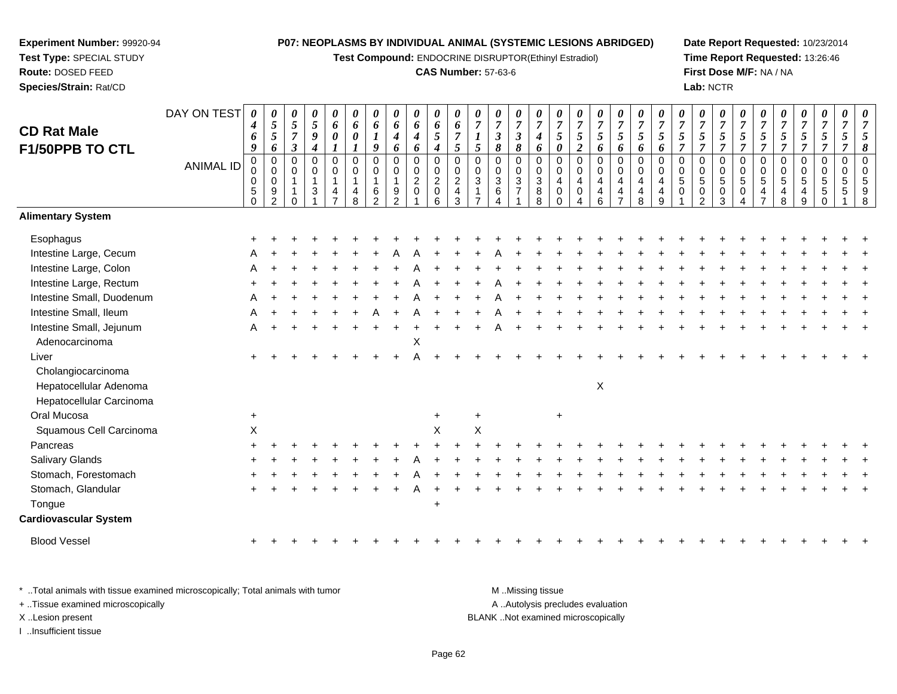**Test Compound:** ENDOCRINE DISRUPTOR(Ethinyl Estradiol)

## **CAS Number:** 57-63-6

**Date Report Requested:** 10/23/2014**Time Report Requested:** 13:26:46**First Dose M/F:** NA / NA**Lab:** NCTR

| <b>CD Rat Male</b><br>F1/50PPB TO CTL                                    | DAY ON TEST<br><b>ANIMAL ID</b> | 0<br>$\boldsymbol{4}$<br>6<br>9<br>$\pmb{0}$<br>0<br>$\pmb{0}$<br>$\,$ 5 $\,$<br>$\mathbf 0$ | $\pmb{\theta}$<br>$\sqrt{5}$<br>$\sqrt{5}$<br>6<br>$\pmb{0}$<br>$\mathbf 0$<br>$\mathbf 0$<br>$\boldsymbol{9}$<br>$\mathfrak{p}$ | $\boldsymbol{\theta}$<br>$\sqrt{5}$<br>$\overline{7}$<br>$\boldsymbol{\beta}$<br>0<br>0<br>$\mathbf{1}$<br>$\overline{1}$<br>$\Omega$ | $\pmb{\theta}$<br>$\sqrt{5}$<br>$\boldsymbol{9}$<br>$\boldsymbol{4}$<br>$\mathbf 0$<br>$\mathbf 0$<br>$\mathbf{1}$<br>$\sqrt{3}$<br>$\overline{1}$ | 0<br>6<br>0<br>$\mathbf 0$<br>$\Omega$<br>1<br>4 | 0<br>6<br>0<br>1<br>$\mathbf 0$<br>0<br>$\overline{1}$<br>4<br>8 | 0<br>6<br>$\boldsymbol{q}$<br>$\pmb{0}$<br>0<br>1<br>6<br>$\mathfrak{p}$ | $\pmb{\theta}$<br>6<br>4<br>6<br>$\mathsf 0$<br>0<br>$\mathbf{1}$<br>$\boldsymbol{9}$<br>$\overline{2}$ | $\pmb{\theta}$<br>6<br>$\boldsymbol{4}$<br>6<br>$\boldsymbol{0}$<br>$\mathbf 0$<br>$\sqrt{2}$<br>$\mathbf 0$ | $\boldsymbol{\theta}$<br>6<br>5<br>$\boldsymbol{4}$<br>$\mathbf 0$<br>$\mathbf 0$<br>$\overline{c}$<br>$\pmb{0}$<br>6 | 0<br>6<br>$\overline{7}$<br>5<br>$\mathbf 0$<br>$\Omega$<br>$\overline{2}$<br>$\overline{4}$<br>3 | 0<br>$\overline{7}$<br>5<br>0<br>$\mathbf 0$<br>3 | $\pmb{\theta}$<br>$\boldsymbol{7}$<br>$\boldsymbol{\beta}$<br>8<br>$\pmb{0}$<br>0<br>$\sqrt{3}$<br>$\,6\,$<br>$\overline{4}$ | $\pmb{\theta}$<br>$\overline{7}$<br>$\boldsymbol{\beta}$<br>$\pmb{8}$<br>$\pmb{0}$<br>$\pmb{0}$<br>$\sqrt{3}$<br>$\overline{7}$ | $\pmb{\theta}$<br>$\overline{7}$<br>$\boldsymbol{4}$<br>6<br>$\mathbf 0$<br>0<br>$\mathbf{3}$<br>8<br>8 | 0<br>$\overline{7}$<br>5<br>$\pmb{\theta}$<br>$\mathbf 0$<br>$\Omega$<br>$\overline{\mathbf{4}}$<br>$\mathbf 0$<br>$\Omega$ | $\pmb{\theta}$<br>$\overline{7}$<br>$\mathfrak{z}$<br>$\boldsymbol{2}$<br>0<br>$\mathbf 0$<br>$\overline{\mathbf{4}}$<br>$\mathbf 0$ | 0<br>$\boldsymbol{7}$<br>$\sqrt{5}$<br>6<br>$\mathsf 0$<br>0<br>$\overline{4}$<br>4<br>6 | $\boldsymbol{\theta}$<br>$\overline{7}$<br>5<br>6<br>$\pmb{0}$<br>$\mathbf 0$<br>$\overline{4}$<br>4 | $\boldsymbol{\theta}$<br>$\overline{7}$<br>5<br>6<br>$\mathbf 0$<br>$\mathbf 0$<br>$\overline{4}$<br>4<br>8 | $\boldsymbol{\theta}$<br>$\overline{7}$<br>5<br>6<br>$\mathbf 0$<br>$\Omega$<br>$\overline{4}$<br>4<br>$\mathbf{Q}$ | $\pmb{\theta}$<br>$\boldsymbol{7}$<br>$\mathfrak{s}$<br>$\overline{7}$<br>$\mathbf 0$<br>$\mathbf 0$<br>$\sqrt{5}$<br>$\mathbf 0$ | 0<br>$\boldsymbol{7}$<br>$\sqrt{5}$<br>$\overline{7}$<br>0<br>0<br>5<br>0<br>2 | 0<br>$\overline{7}$<br>5<br>$\overline{7}$<br>$\mathsf 0$<br>$\mathbf 0$<br>5<br>$\boldsymbol{0}$<br>3 | 0<br>$\overline{7}$<br>$\sqrt{5}$<br>$\overline{7}$<br>$\mathbf 0$<br>0<br>$\sqrt{5}$<br>0 | $\boldsymbol{\theta}$<br>$\overline{7}$<br>$\mathfrak{s}$<br>$\overline{7}$<br>$\pmb{0}$<br>$\mathbf 0$<br>$\sqrt{5}$<br>4 | 0<br>$\overline{7}$<br>$\sqrt{5}$<br>$\overline{7}$<br>0<br>0<br>$5\,$<br>4<br>8 | $\pmb{\theta}$<br>$\overline{7}$<br>$\mathfrak{s}$<br>$\overline{7}$<br>$\mathbf 0$<br>$\mathbf 0$<br>$\,$ 5 $\,$<br>4<br>9 | 0<br>$\overline{7}$<br>5<br>$\overline{7}$<br>$\mathbf 0$<br>$\Omega$<br>$\mathbf 5$<br>5 | $\boldsymbol{\theta}$<br>$\overline{7}$<br>5<br>$\overline{7}$<br>$\mathbf 0$<br>$\Omega$<br>5<br>5 | 0<br>$\overline{7}$<br>5<br>$\pmb{8}$<br>$\mathbf 0$<br>$\Omega$<br>5<br>9<br>8 |
|--------------------------------------------------------------------------|---------------------------------|----------------------------------------------------------------------------------------------|----------------------------------------------------------------------------------------------------------------------------------|---------------------------------------------------------------------------------------------------------------------------------------|----------------------------------------------------------------------------------------------------------------------------------------------------|--------------------------------------------------|------------------------------------------------------------------|--------------------------------------------------------------------------|---------------------------------------------------------------------------------------------------------|--------------------------------------------------------------------------------------------------------------|-----------------------------------------------------------------------------------------------------------------------|---------------------------------------------------------------------------------------------------|---------------------------------------------------|------------------------------------------------------------------------------------------------------------------------------|---------------------------------------------------------------------------------------------------------------------------------|---------------------------------------------------------------------------------------------------------|-----------------------------------------------------------------------------------------------------------------------------|--------------------------------------------------------------------------------------------------------------------------------------|------------------------------------------------------------------------------------------|------------------------------------------------------------------------------------------------------|-------------------------------------------------------------------------------------------------------------|---------------------------------------------------------------------------------------------------------------------|-----------------------------------------------------------------------------------------------------------------------------------|--------------------------------------------------------------------------------|--------------------------------------------------------------------------------------------------------|--------------------------------------------------------------------------------------------|----------------------------------------------------------------------------------------------------------------------------|----------------------------------------------------------------------------------|-----------------------------------------------------------------------------------------------------------------------------|-------------------------------------------------------------------------------------------|-----------------------------------------------------------------------------------------------------|---------------------------------------------------------------------------------|
| <b>Alimentary System</b>                                                 |                                 |                                                                                              |                                                                                                                                  |                                                                                                                                       |                                                                                                                                                    |                                                  |                                                                  |                                                                          |                                                                                                         |                                                                                                              |                                                                                                                       |                                                                                                   |                                                   |                                                                                                                              |                                                                                                                                 |                                                                                                         |                                                                                                                             |                                                                                                                                      |                                                                                          |                                                                                                      |                                                                                                             |                                                                                                                     |                                                                                                                                   |                                                                                |                                                                                                        |                                                                                            |                                                                                                                            |                                                                                  |                                                                                                                             |                                                                                           |                                                                                                     |                                                                                 |
| Esophagus                                                                |                                 |                                                                                              |                                                                                                                                  |                                                                                                                                       |                                                                                                                                                    |                                                  |                                                                  |                                                                          |                                                                                                         |                                                                                                              |                                                                                                                       |                                                                                                   |                                                   |                                                                                                                              |                                                                                                                                 |                                                                                                         |                                                                                                                             |                                                                                                                                      |                                                                                          |                                                                                                      |                                                                                                             |                                                                                                                     |                                                                                                                                   |                                                                                |                                                                                                        |                                                                                            |                                                                                                                            |                                                                                  |                                                                                                                             |                                                                                           |                                                                                                     |                                                                                 |
| Intestine Large, Cecum                                                   |                                 |                                                                                              |                                                                                                                                  |                                                                                                                                       |                                                                                                                                                    |                                                  |                                                                  |                                                                          |                                                                                                         |                                                                                                              |                                                                                                                       |                                                                                                   |                                                   |                                                                                                                              |                                                                                                                                 |                                                                                                         |                                                                                                                             |                                                                                                                                      |                                                                                          |                                                                                                      |                                                                                                             |                                                                                                                     |                                                                                                                                   |                                                                                |                                                                                                        |                                                                                            |                                                                                                                            |                                                                                  |                                                                                                                             |                                                                                           |                                                                                                     |                                                                                 |
| Intestine Large, Colon                                                   |                                 |                                                                                              |                                                                                                                                  |                                                                                                                                       |                                                                                                                                                    |                                                  |                                                                  |                                                                          |                                                                                                         |                                                                                                              |                                                                                                                       |                                                                                                   |                                                   |                                                                                                                              |                                                                                                                                 |                                                                                                         |                                                                                                                             |                                                                                                                                      |                                                                                          |                                                                                                      |                                                                                                             |                                                                                                                     |                                                                                                                                   |                                                                                |                                                                                                        |                                                                                            |                                                                                                                            |                                                                                  |                                                                                                                             |                                                                                           |                                                                                                     |                                                                                 |
| Intestine Large, Rectum                                                  |                                 |                                                                                              |                                                                                                                                  |                                                                                                                                       |                                                                                                                                                    |                                                  |                                                                  |                                                                          |                                                                                                         |                                                                                                              |                                                                                                                       |                                                                                                   |                                                   |                                                                                                                              |                                                                                                                                 |                                                                                                         |                                                                                                                             |                                                                                                                                      |                                                                                          |                                                                                                      |                                                                                                             |                                                                                                                     |                                                                                                                                   |                                                                                |                                                                                                        |                                                                                            |                                                                                                                            |                                                                                  |                                                                                                                             |                                                                                           |                                                                                                     |                                                                                 |
| Intestine Small, Duodenum                                                |                                 |                                                                                              |                                                                                                                                  |                                                                                                                                       |                                                                                                                                                    |                                                  |                                                                  |                                                                          |                                                                                                         |                                                                                                              |                                                                                                                       |                                                                                                   |                                                   |                                                                                                                              |                                                                                                                                 |                                                                                                         |                                                                                                                             |                                                                                                                                      |                                                                                          |                                                                                                      |                                                                                                             |                                                                                                                     |                                                                                                                                   |                                                                                |                                                                                                        |                                                                                            |                                                                                                                            |                                                                                  |                                                                                                                             |                                                                                           |                                                                                                     |                                                                                 |
| Intestine Small, Ileum                                                   |                                 |                                                                                              |                                                                                                                                  |                                                                                                                                       |                                                                                                                                                    |                                                  |                                                                  |                                                                          |                                                                                                         |                                                                                                              |                                                                                                                       |                                                                                                   |                                                   |                                                                                                                              |                                                                                                                                 |                                                                                                         |                                                                                                                             |                                                                                                                                      |                                                                                          |                                                                                                      |                                                                                                             |                                                                                                                     |                                                                                                                                   |                                                                                |                                                                                                        |                                                                                            |                                                                                                                            |                                                                                  |                                                                                                                             |                                                                                           |                                                                                                     |                                                                                 |
| Intestine Small, Jejunum                                                 |                                 | A                                                                                            |                                                                                                                                  |                                                                                                                                       |                                                                                                                                                    |                                                  |                                                                  |                                                                          |                                                                                                         |                                                                                                              |                                                                                                                       |                                                                                                   |                                                   |                                                                                                                              |                                                                                                                                 |                                                                                                         |                                                                                                                             |                                                                                                                                      |                                                                                          |                                                                                                      |                                                                                                             |                                                                                                                     |                                                                                                                                   |                                                                                |                                                                                                        |                                                                                            |                                                                                                                            |                                                                                  |                                                                                                                             |                                                                                           |                                                                                                     |                                                                                 |
| Adenocarcinoma                                                           |                                 |                                                                                              |                                                                                                                                  |                                                                                                                                       |                                                                                                                                                    |                                                  |                                                                  |                                                                          |                                                                                                         | $\mathsf X$                                                                                                  |                                                                                                                       |                                                                                                   |                                                   |                                                                                                                              |                                                                                                                                 |                                                                                                         |                                                                                                                             |                                                                                                                                      |                                                                                          |                                                                                                      |                                                                                                             |                                                                                                                     |                                                                                                                                   |                                                                                |                                                                                                        |                                                                                            |                                                                                                                            |                                                                                  |                                                                                                                             |                                                                                           |                                                                                                     |                                                                                 |
| Liver                                                                    |                                 | $\ddot{}$                                                                                    |                                                                                                                                  |                                                                                                                                       |                                                                                                                                                    |                                                  |                                                                  |                                                                          |                                                                                                         |                                                                                                              |                                                                                                                       |                                                                                                   |                                                   |                                                                                                                              |                                                                                                                                 |                                                                                                         |                                                                                                                             |                                                                                                                                      |                                                                                          |                                                                                                      |                                                                                                             |                                                                                                                     |                                                                                                                                   |                                                                                |                                                                                                        |                                                                                            |                                                                                                                            |                                                                                  |                                                                                                                             |                                                                                           |                                                                                                     |                                                                                 |
| Cholangiocarcinoma<br>Hepatocellular Adenoma<br>Hepatocellular Carcinoma |                                 |                                                                                              |                                                                                                                                  |                                                                                                                                       |                                                                                                                                                    |                                                  |                                                                  |                                                                          |                                                                                                         |                                                                                                              |                                                                                                                       |                                                                                                   |                                                   |                                                                                                                              |                                                                                                                                 |                                                                                                         |                                                                                                                             |                                                                                                                                      | $\boldsymbol{\mathsf{X}}$                                                                |                                                                                                      |                                                                                                             |                                                                                                                     |                                                                                                                                   |                                                                                |                                                                                                        |                                                                                            |                                                                                                                            |                                                                                  |                                                                                                                             |                                                                                           |                                                                                                     |                                                                                 |
| Oral Mucosa                                                              |                                 | $\ddot{}$                                                                                    |                                                                                                                                  |                                                                                                                                       |                                                                                                                                                    |                                                  |                                                                  |                                                                          |                                                                                                         |                                                                                                              | $+$                                                                                                                   |                                                                                                   | +                                                 |                                                                                                                              |                                                                                                                                 |                                                                                                         | $\ddot{}$                                                                                                                   |                                                                                                                                      |                                                                                          |                                                                                                      |                                                                                                             |                                                                                                                     |                                                                                                                                   |                                                                                |                                                                                                        |                                                                                            |                                                                                                                            |                                                                                  |                                                                                                                             |                                                                                           |                                                                                                     |                                                                                 |
| Squamous Cell Carcinoma                                                  |                                 | $\pmb{\times}$                                                                               |                                                                                                                                  |                                                                                                                                       |                                                                                                                                                    |                                                  |                                                                  |                                                                          |                                                                                                         |                                                                                                              | X                                                                                                                     |                                                                                                   | X                                                 |                                                                                                                              |                                                                                                                                 |                                                                                                         |                                                                                                                             |                                                                                                                                      |                                                                                          |                                                                                                      |                                                                                                             |                                                                                                                     |                                                                                                                                   |                                                                                |                                                                                                        |                                                                                            |                                                                                                                            |                                                                                  |                                                                                                                             |                                                                                           |                                                                                                     |                                                                                 |
| Pancreas                                                                 |                                 |                                                                                              |                                                                                                                                  |                                                                                                                                       |                                                                                                                                                    |                                                  |                                                                  |                                                                          |                                                                                                         |                                                                                                              |                                                                                                                       |                                                                                                   |                                                   |                                                                                                                              |                                                                                                                                 |                                                                                                         |                                                                                                                             |                                                                                                                                      |                                                                                          |                                                                                                      |                                                                                                             |                                                                                                                     |                                                                                                                                   |                                                                                |                                                                                                        |                                                                                            |                                                                                                                            |                                                                                  |                                                                                                                             |                                                                                           |                                                                                                     |                                                                                 |
| Salivary Glands                                                          |                                 |                                                                                              |                                                                                                                                  |                                                                                                                                       |                                                                                                                                                    |                                                  |                                                                  |                                                                          |                                                                                                         |                                                                                                              |                                                                                                                       |                                                                                                   |                                                   |                                                                                                                              |                                                                                                                                 |                                                                                                         |                                                                                                                             |                                                                                                                                      |                                                                                          |                                                                                                      |                                                                                                             |                                                                                                                     |                                                                                                                                   |                                                                                |                                                                                                        |                                                                                            |                                                                                                                            |                                                                                  |                                                                                                                             |                                                                                           |                                                                                                     |                                                                                 |
| Stomach, Forestomach                                                     |                                 |                                                                                              |                                                                                                                                  |                                                                                                                                       |                                                                                                                                                    |                                                  |                                                                  |                                                                          |                                                                                                         |                                                                                                              |                                                                                                                       |                                                                                                   |                                                   |                                                                                                                              |                                                                                                                                 |                                                                                                         |                                                                                                                             |                                                                                                                                      |                                                                                          |                                                                                                      |                                                                                                             |                                                                                                                     |                                                                                                                                   |                                                                                |                                                                                                        |                                                                                            |                                                                                                                            |                                                                                  |                                                                                                                             |                                                                                           |                                                                                                     |                                                                                 |
| Stomach, Glandular                                                       |                                 |                                                                                              |                                                                                                                                  |                                                                                                                                       |                                                                                                                                                    |                                                  |                                                                  |                                                                          |                                                                                                         |                                                                                                              |                                                                                                                       |                                                                                                   |                                                   |                                                                                                                              |                                                                                                                                 |                                                                                                         |                                                                                                                             |                                                                                                                                      |                                                                                          |                                                                                                      |                                                                                                             |                                                                                                                     |                                                                                                                                   |                                                                                |                                                                                                        |                                                                                            |                                                                                                                            |                                                                                  |                                                                                                                             |                                                                                           |                                                                                                     |                                                                                 |
| Tongue                                                                   |                                 |                                                                                              |                                                                                                                                  |                                                                                                                                       |                                                                                                                                                    |                                                  |                                                                  |                                                                          |                                                                                                         |                                                                                                              | $\ddot{}$                                                                                                             |                                                                                                   |                                                   |                                                                                                                              |                                                                                                                                 |                                                                                                         |                                                                                                                             |                                                                                                                                      |                                                                                          |                                                                                                      |                                                                                                             |                                                                                                                     |                                                                                                                                   |                                                                                |                                                                                                        |                                                                                            |                                                                                                                            |                                                                                  |                                                                                                                             |                                                                                           |                                                                                                     |                                                                                 |
| <b>Cardiovascular System</b>                                             |                                 |                                                                                              |                                                                                                                                  |                                                                                                                                       |                                                                                                                                                    |                                                  |                                                                  |                                                                          |                                                                                                         |                                                                                                              |                                                                                                                       |                                                                                                   |                                                   |                                                                                                                              |                                                                                                                                 |                                                                                                         |                                                                                                                             |                                                                                                                                      |                                                                                          |                                                                                                      |                                                                                                             |                                                                                                                     |                                                                                                                                   |                                                                                |                                                                                                        |                                                                                            |                                                                                                                            |                                                                                  |                                                                                                                             |                                                                                           |                                                                                                     |                                                                                 |
| <b>Blood Vessel</b>                                                      |                                 | $\pm$                                                                                        |                                                                                                                                  |                                                                                                                                       |                                                                                                                                                    |                                                  |                                                                  |                                                                          |                                                                                                         |                                                                                                              |                                                                                                                       |                                                                                                   |                                                   |                                                                                                                              |                                                                                                                                 |                                                                                                         |                                                                                                                             |                                                                                                                                      |                                                                                          |                                                                                                      |                                                                                                             |                                                                                                                     |                                                                                                                                   |                                                                                |                                                                                                        |                                                                                            |                                                                                                                            |                                                                                  |                                                                                                                             |                                                                                           |                                                                                                     |                                                                                 |
|                                                                          |                                 |                                                                                              |                                                                                                                                  |                                                                                                                                       |                                                                                                                                                    |                                                  |                                                                  |                                                                          |                                                                                                         |                                                                                                              |                                                                                                                       |                                                                                                   |                                                   |                                                                                                                              |                                                                                                                                 |                                                                                                         |                                                                                                                             |                                                                                                                                      |                                                                                          |                                                                                                      |                                                                                                             |                                                                                                                     |                                                                                                                                   |                                                                                |                                                                                                        |                                                                                            |                                                                                                                            |                                                                                  |                                                                                                                             |                                                                                           |                                                                                                     |                                                                                 |

\* ..Total animals with tissue examined microscopically; Total animals with tumor **M** . Missing tissue M ..Missing tissue A ..Autolysis precludes evaluation + ..Tissue examined microscopically X ..Lesion present BLANK ..Not examined microscopicallyI ..Insufficient tissue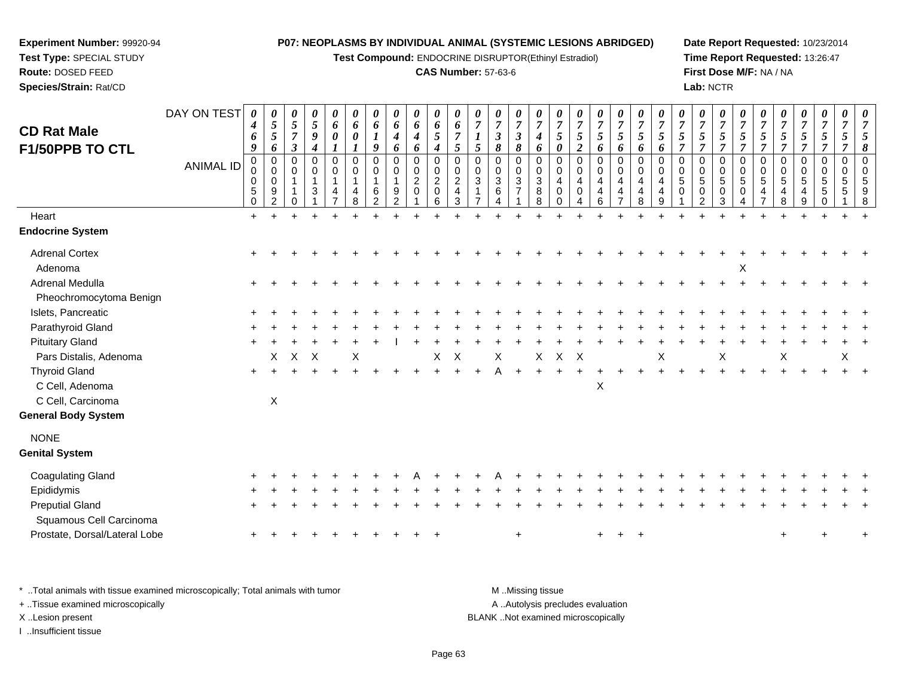**Test Compound:** ENDOCRINE DISRUPTOR(Ethinyl Estradiol)

## **CAS Number:** 57-63-6

**Date Report Requested:** 10/23/2014**Time Report Requested:** 13:26:47**First Dose M/F:** NA / NA**Lab:** NCTR

| <b>CD Rat Male</b><br>F1/50PPB TO CTL<br>Heart    | DAY ON TEST<br><b>ANIMAL ID</b> | $\boldsymbol{\theta}$<br>4<br>6<br>9<br>$\pmb{0}$<br>0<br>$\mathbf 0$<br>$\sqrt{5}$<br>$\mathbf 0$<br>$\ddot{}$ | 0<br>$\overline{5}$<br>$\overline{5}$<br>6<br>$\mathbf 0$<br>$\Omega$<br>$\mathbf 0$<br>9<br>$\overline{2}$ | $\pmb{\theta}$<br>5<br>$\overline{7}$<br>3<br>$\Omega$<br>0 | $\pmb{\theta}$<br>$\sqrt{5}$<br>9<br>$\boldsymbol{4}$<br>0<br>0<br>$\mathbf{1}$<br>3 | 0<br>6<br>0<br>$\pmb{0}$<br>$\mathbf 0$<br>$\mathbf{1}$<br>4 | 0<br>6<br>$\boldsymbol{\theta}$<br>$\mathbf 0$<br>0<br>$\overline{1}$<br>4<br>8 | 0<br>6<br>9<br>$\mathbf 0$<br>$\Omega$<br>1<br>6<br>2 | 0<br>6<br>4<br>6<br>$\mathbf 0$<br>$\Omega$<br>1<br>9 | $\pmb{\theta}$<br>6<br>$\boldsymbol{4}$<br>6<br>$\pmb{0}$<br>$\pmb{0}$<br>$\overline{c}$<br>0 | 0<br>6<br>$\mathfrak{I}$<br>4<br>$\pmb{0}$<br>$\pmb{0}$<br>$\sqrt{2}$<br>$\mathbf 0$<br>6 | 0<br>6<br>$\overline{7}$<br>5<br>$\mathbf 0$<br>$\mathbf 0$<br>$\sqrt{2}$<br>$\overline{4}$<br>3 | 0<br>$\overline{7}$<br>$\overline{5}$<br>$\mathbf 0$<br>$\Omega$<br>$\mathbf{3}$ | 0<br>$\overline{7}$<br>3<br>8<br>$\Omega$<br>$\Omega$<br>3<br>6 | $\pmb{\theta}$<br>$\boldsymbol{7}$<br>$\boldsymbol{\beta}$<br>8<br>0<br>0<br>$\sqrt{3}$<br>$\overline{7}$ | $\pmb{\theta}$<br>$\overline{7}$<br>4<br>6<br>$\pmb{0}$<br>$\mathbf 0$<br>$\sqrt{3}$<br>8<br>8 | 0<br>$\overline{7}$<br>$\sqrt{5}$<br>0<br>0<br>0<br>4<br>0<br>0 | 0<br>$\overline{7}$<br>$\mathfrak{s}$<br>$\boldsymbol{2}$<br>$\mathbf 0$<br>$\Omega$<br>4<br>$\Omega$ | 0<br>$\overline{7}$<br>5<br>6<br>0<br>$\Omega$<br>4<br>4<br>6 | $\pmb{\theta}$<br>$\overline{7}$<br>$\mathfrak{H}$<br>6<br>$\pmb{0}$<br>$\pmb{0}$<br>$\overline{\mathbf{4}}$<br>4 | $\pmb{\theta}$<br>$\overline{7}$<br>$\mathfrak{s}$<br>6<br>$\pmb{0}$<br>$\mathbf 0$<br>$\overline{4}$<br>4<br>8 | 0<br>$\overline{7}$<br>$\mathfrak{s}$<br>6<br>$\mathbf 0$<br>$\Omega$<br>4<br>$\overline{4}$<br>9 | 0<br>$\overline{7}$<br>5<br>$\overline{7}$<br>$\mathbf 0$<br>$\Omega$<br>5<br>$\mathbf 0$ | 0<br>$\overline{7}$<br>5<br>$\mathbf 0$<br>$\Omega$<br>5<br>0<br>$\mathcal{P}$ | $\pmb{\theta}$<br>$\overline{7}$<br>$\mathfrak{H}$<br>$\overline{7}$<br>0<br>$\,0\,$<br>$\sqrt{5}$<br>0<br>3 | 0<br>$\overline{7}$<br>5<br>$\overline{7}$<br>$\mathbf 0$<br>$\mathbf 0$<br>$\sqrt{5}$<br>0 | 0<br>$\overline{7}$<br>$\mathfrak{s}$<br>$\overline{7}$<br>0<br>0<br>5<br>4 | $\boldsymbol{\theta}$<br>$\overline{7}$<br>5<br>7<br>$\mathbf 0$<br>$\Omega$<br>5 | 0<br>$\overline{7}$<br>5<br>$\overline{7}$<br>0<br>$\Omega$<br>5 | 0<br>$\overline{7}$<br>5<br>$\overline{7}$<br>0<br>$\pmb{0}$<br>5<br>5 | 0<br>$\overline{7}$<br>5<br>$\pmb{0}$<br>$\mathbf 0$<br>5<br>5 | 8 |
|---------------------------------------------------|---------------------------------|-----------------------------------------------------------------------------------------------------------------|-------------------------------------------------------------------------------------------------------------|-------------------------------------------------------------|--------------------------------------------------------------------------------------|--------------------------------------------------------------|---------------------------------------------------------------------------------|-------------------------------------------------------|-------------------------------------------------------|-----------------------------------------------------------------------------------------------|-------------------------------------------------------------------------------------------|--------------------------------------------------------------------------------------------------|----------------------------------------------------------------------------------|-----------------------------------------------------------------|-----------------------------------------------------------------------------------------------------------|------------------------------------------------------------------------------------------------|-----------------------------------------------------------------|-------------------------------------------------------------------------------------------------------|---------------------------------------------------------------|-------------------------------------------------------------------------------------------------------------------|-----------------------------------------------------------------------------------------------------------------|---------------------------------------------------------------------------------------------------|-------------------------------------------------------------------------------------------|--------------------------------------------------------------------------------|--------------------------------------------------------------------------------------------------------------|---------------------------------------------------------------------------------------------|-----------------------------------------------------------------------------|-----------------------------------------------------------------------------------|------------------------------------------------------------------|------------------------------------------------------------------------|----------------------------------------------------------------|---|
| <b>Endocrine System</b>                           |                                 |                                                                                                                 |                                                                                                             |                                                             |                                                                                      |                                                              |                                                                                 |                                                       |                                                       |                                                                                               |                                                                                           |                                                                                                  |                                                                                  |                                                                 |                                                                                                           |                                                                                                |                                                                 |                                                                                                       |                                                               |                                                                                                                   |                                                                                                                 |                                                                                                   |                                                                                           |                                                                                |                                                                                                              |                                                                                             |                                                                             |                                                                                   |                                                                  |                                                                        |                                                                |   |
| <b>Adrenal Cortex</b><br>Adenoma                  |                                 |                                                                                                                 |                                                                                                             |                                                             |                                                                                      |                                                              |                                                                                 |                                                       |                                                       |                                                                                               |                                                                                           |                                                                                                  |                                                                                  |                                                                 |                                                                                                           |                                                                                                |                                                                 |                                                                                                       |                                                               |                                                                                                                   |                                                                                                                 |                                                                                                   |                                                                                           |                                                                                |                                                                                                              | X                                                                                           |                                                                             |                                                                                   |                                                                  |                                                                        |                                                                |   |
| <b>Adrenal Medulla</b><br>Pheochromocytoma Benign |                                 |                                                                                                                 |                                                                                                             |                                                             |                                                                                      |                                                              |                                                                                 |                                                       |                                                       |                                                                                               |                                                                                           |                                                                                                  |                                                                                  |                                                                 |                                                                                                           |                                                                                                |                                                                 |                                                                                                       |                                                               |                                                                                                                   |                                                                                                                 |                                                                                                   |                                                                                           |                                                                                |                                                                                                              |                                                                                             |                                                                             |                                                                                   |                                                                  |                                                                        |                                                                |   |
| Islets, Pancreatic                                |                                 |                                                                                                                 |                                                                                                             |                                                             |                                                                                      |                                                              |                                                                                 |                                                       |                                                       |                                                                                               |                                                                                           |                                                                                                  |                                                                                  |                                                                 |                                                                                                           |                                                                                                |                                                                 |                                                                                                       |                                                               |                                                                                                                   |                                                                                                                 |                                                                                                   |                                                                                           |                                                                                |                                                                                                              |                                                                                             |                                                                             |                                                                                   |                                                                  |                                                                        |                                                                |   |
| Parathyroid Gland                                 |                                 |                                                                                                                 |                                                                                                             |                                                             |                                                                                      |                                                              |                                                                                 |                                                       |                                                       |                                                                                               |                                                                                           |                                                                                                  |                                                                                  |                                                                 |                                                                                                           |                                                                                                |                                                                 |                                                                                                       |                                                               |                                                                                                                   |                                                                                                                 |                                                                                                   |                                                                                           |                                                                                |                                                                                                              |                                                                                             |                                                                             |                                                                                   |                                                                  |                                                                        |                                                                |   |
| <b>Pituitary Gland</b>                            |                                 |                                                                                                                 |                                                                                                             |                                                             |                                                                                      |                                                              |                                                                                 |                                                       |                                                       |                                                                                               |                                                                                           |                                                                                                  |                                                                                  |                                                                 |                                                                                                           |                                                                                                |                                                                 |                                                                                                       |                                                               |                                                                                                                   |                                                                                                                 |                                                                                                   |                                                                                           |                                                                                |                                                                                                              |                                                                                             |                                                                             |                                                                                   |                                                                  |                                                                        |                                                                |   |
| Pars Distalis, Adenoma                            |                                 |                                                                                                                 | X                                                                                                           | X                                                           | X                                                                                    |                                                              | X                                                                               |                                                       |                                                       |                                                                                               | X                                                                                         | X                                                                                                |                                                                                  | X                                                               |                                                                                                           | X                                                                                              | X                                                               | X                                                                                                     |                                                               |                                                                                                                   |                                                                                                                 | Χ                                                                                                 |                                                                                           |                                                                                | Χ                                                                                                            |                                                                                             |                                                                             | X                                                                                 |                                                                  |                                                                        | X                                                              |   |
| <b>Thyroid Gland</b><br>C Cell, Adenoma           |                                 | $+$                                                                                                             |                                                                                                             |                                                             |                                                                                      |                                                              |                                                                                 |                                                       |                                                       |                                                                                               |                                                                                           |                                                                                                  |                                                                                  |                                                                 |                                                                                                           |                                                                                                |                                                                 |                                                                                                       | X                                                             |                                                                                                                   |                                                                                                                 |                                                                                                   |                                                                                           |                                                                                |                                                                                                              |                                                                                             |                                                                             |                                                                                   |                                                                  |                                                                        |                                                                |   |
| C Cell, Carcinoma<br><b>General Body System</b>   |                                 |                                                                                                                 | $\mathsf X$                                                                                                 |                                                             |                                                                                      |                                                              |                                                                                 |                                                       |                                                       |                                                                                               |                                                                                           |                                                                                                  |                                                                                  |                                                                 |                                                                                                           |                                                                                                |                                                                 |                                                                                                       |                                                               |                                                                                                                   |                                                                                                                 |                                                                                                   |                                                                                           |                                                                                |                                                                                                              |                                                                                             |                                                                             |                                                                                   |                                                                  |                                                                        |                                                                |   |
| <b>NONE</b><br><b>Genital System</b>              |                                 |                                                                                                                 |                                                                                                             |                                                             |                                                                                      |                                                              |                                                                                 |                                                       |                                                       |                                                                                               |                                                                                           |                                                                                                  |                                                                                  |                                                                 |                                                                                                           |                                                                                                |                                                                 |                                                                                                       |                                                               |                                                                                                                   |                                                                                                                 |                                                                                                   |                                                                                           |                                                                                |                                                                                                              |                                                                                             |                                                                             |                                                                                   |                                                                  |                                                                        |                                                                |   |
| <b>Coagulating Gland</b>                          |                                 |                                                                                                                 |                                                                                                             |                                                             |                                                                                      |                                                              |                                                                                 |                                                       |                                                       |                                                                                               |                                                                                           |                                                                                                  |                                                                                  |                                                                 |                                                                                                           |                                                                                                |                                                                 |                                                                                                       |                                                               |                                                                                                                   |                                                                                                                 |                                                                                                   |                                                                                           |                                                                                |                                                                                                              |                                                                                             |                                                                             |                                                                                   |                                                                  |                                                                        |                                                                |   |
| Epididymis                                        |                                 |                                                                                                                 |                                                                                                             |                                                             |                                                                                      |                                                              |                                                                                 |                                                       |                                                       |                                                                                               |                                                                                           |                                                                                                  |                                                                                  |                                                                 |                                                                                                           |                                                                                                |                                                                 |                                                                                                       |                                                               |                                                                                                                   |                                                                                                                 |                                                                                                   |                                                                                           |                                                                                |                                                                                                              |                                                                                             |                                                                             |                                                                                   |                                                                  |                                                                        |                                                                |   |
| <b>Preputial Gland</b><br>Squamous Cell Carcinoma |                                 |                                                                                                                 |                                                                                                             |                                                             |                                                                                      |                                                              |                                                                                 |                                                       |                                                       |                                                                                               |                                                                                           |                                                                                                  |                                                                                  |                                                                 |                                                                                                           |                                                                                                |                                                                 |                                                                                                       |                                                               |                                                                                                                   |                                                                                                                 |                                                                                                   |                                                                                           |                                                                                |                                                                                                              |                                                                                             |                                                                             |                                                                                   |                                                                  |                                                                        |                                                                |   |
| Prostate, Dorsal/Lateral Lobe                     |                                 |                                                                                                                 |                                                                                                             |                                                             |                                                                                      |                                                              |                                                                                 |                                                       |                                                       |                                                                                               |                                                                                           |                                                                                                  |                                                                                  |                                                                 | $\ddot{}$                                                                                                 |                                                                                                |                                                                 |                                                                                                       | $+$                                                           | $+$                                                                                                               | $+$                                                                                                             |                                                                                                   |                                                                                           |                                                                                |                                                                                                              |                                                                                             |                                                                             | ÷                                                                                 |                                                                  |                                                                        |                                                                |   |
|                                                   |                                 |                                                                                                                 |                                                                                                             |                                                             |                                                                                      |                                                              |                                                                                 |                                                       |                                                       |                                                                                               |                                                                                           |                                                                                                  |                                                                                  |                                                                 |                                                                                                           |                                                                                                |                                                                 |                                                                                                       |                                                               |                                                                                                                   |                                                                                                                 |                                                                                                   |                                                                                           |                                                                                |                                                                                                              |                                                                                             |                                                                             |                                                                                   |                                                                  |                                                                        |                                                                |   |

\* ..Total animals with tissue examined microscopically; Total animals with tumor **M** . Missing tissue M ..Missing tissue

+ ..Tissue examined microscopically

**Experiment Number:** 99920-94**Test Type:** SPECIAL STUDY**Route:** DOSED FEED**Species/Strain:** Rat/CD

I ..Insufficient tissue

A ..Autolysis precludes evaluation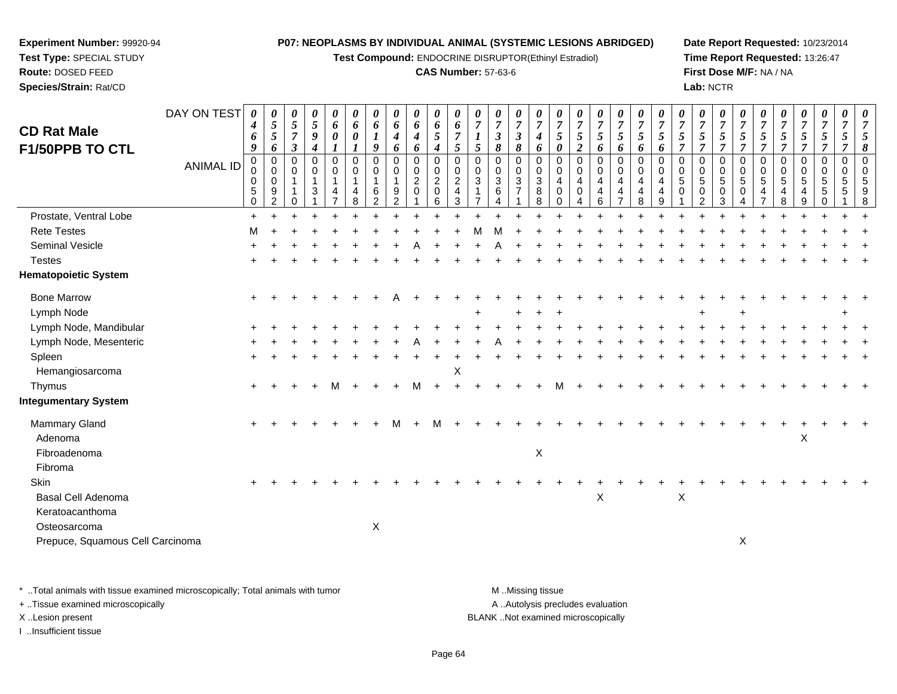**Test Compound:** ENDOCRINE DISRUPTOR(Ethinyl Estradiol)

## **CAS Number:** 57-63-6

**Date Report Requested:** 10/23/2014**Time Report Requested:** 13:26:47**First Dose M/F:** NA / NA**Lab:** NCTR

| <b>CD Rat Male</b>               | DAY ON TEST      | 0<br>4<br>6<br>9                          | 0<br>$\overline{5}$<br>$\overline{5}$<br>6                       | 0<br>$\mathfrak{S}$<br>$\boldsymbol{7}$<br>$\mathfrak{z}$ | 0<br>$\mathfrak{s}$<br>$\boldsymbol{g}$<br>$\boldsymbol{4}$ | 0<br>6<br>$\pmb{\theta}$<br>1                              | 0<br>6<br>$\boldsymbol{\theta}$                                  | 0<br>6<br>$\boldsymbol{l}$<br>9                        | 0<br>6<br>$\boldsymbol{4}$                                  | 0<br>6<br>$\boldsymbol{4}$                                                      | 0<br>$\pmb{6}$<br>5                                   | 0<br>6<br>$\overline{7}$<br>$\mathfrak{s}$                      | 0<br>$\overline{7}$<br>$\boldsymbol{l}$<br>$\mathfrak{s}$    | 0<br>$\overline{7}$<br>$\boldsymbol{\beta}$<br>8 | 0<br>$\overline{7}$<br>$\mathfrak{z}$<br>8         | $\boldsymbol{\theta}$<br>$\overline{7}$<br>$\boldsymbol{4}$ | $\boldsymbol{\theta}$<br>$\overline{7}$<br>$\sqrt{5}$                                            | $\boldsymbol{\theta}$<br>$\overline{7}$<br>$\mathfrak{s}$<br>$\boldsymbol{2}$ | $\boldsymbol{\theta}$<br>$\overline{7}$<br>5 | 0<br>$\overline{7}$<br>5                                                    | $\boldsymbol{\theta}$<br>$\overline{7}$<br>$\mathfrak{s}$ | 0<br>$\overline{7}$<br>5                                    | $\boldsymbol{\theta}$<br>$\overline{7}$<br>$\overline{5}$<br>$\overline{7}$ | 0<br>$\overline{7}$<br>5<br>7                       | 0<br>$\overline{7}$<br>5<br>$\overline{7}$   | $\boldsymbol{\theta}$<br>$\overline{7}$<br>$\mathfrak{s}$<br>$\overline{7}$ | 0<br>$\overline{7}$<br>$\mathfrak{s}$<br>$\overline{7}$ | $\boldsymbol{\theta}$<br>$\overline{7}$<br>$\overline{5}$<br>$\overline{7}$ | 0<br>$\overline{7}$<br>5<br>7 | 0<br>$\overline{7}$<br>5<br>$\overline{7}$      | 0<br>$\overline{7}$<br>$\mathfrak{s}$<br>$\overline{7}$ | 0<br>$\overline{7}$<br>8 |
|----------------------------------|------------------|-------------------------------------------|------------------------------------------------------------------|-----------------------------------------------------------|-------------------------------------------------------------|------------------------------------------------------------|------------------------------------------------------------------|--------------------------------------------------------|-------------------------------------------------------------|---------------------------------------------------------------------------------|-------------------------------------------------------|-----------------------------------------------------------------|--------------------------------------------------------------|--------------------------------------------------|----------------------------------------------------|-------------------------------------------------------------|--------------------------------------------------------------------------------------------------|-------------------------------------------------------------------------------|----------------------------------------------|-----------------------------------------------------------------------------|-----------------------------------------------------------|-------------------------------------------------------------|-----------------------------------------------------------------------------|-----------------------------------------------------|----------------------------------------------|-----------------------------------------------------------------------------|---------------------------------------------------------|-----------------------------------------------------------------------------|-------------------------------|-------------------------------------------------|---------------------------------------------------------|--------------------------|
| F1/50PPB TO CTL                  | <b>ANIMAL ID</b> | 0<br>0<br>$\mathbf 0$<br>5<br>$\mathbf 0$ | $\mathbf 0$<br>$\mathbf 0$<br>$\mathbf 0$<br>9<br>$\overline{2}$ | $\mathbf 0$<br>$\mathbf 0$<br>$\mathbf{1}$<br>0           | 0<br>$\pmb{0}$<br>$\overline{1}$<br>$\mathbf{3}$            | $\mathbf 0$<br>$\pmb{0}$<br>$\mathbf{1}$<br>$\overline{4}$ | $\boldsymbol{l}$<br>$\mathbf 0$<br>0<br>$\overline{1}$<br>4<br>8 | 0<br>$\mathbf 0$<br>$\mathbf{1}$<br>6<br>$\mathcal{P}$ | 6<br>$\mathbf 0$<br>0<br>$\mathbf 1$<br>9<br>$\mathfrak{p}$ | 6<br>$\mathbf 0$<br>$\begin{smallmatrix} 0\\2 \end{smallmatrix}$<br>$\mathbf 0$ | 4<br>$\pmb{0}$<br>$\,0\,$<br>$\overline{2}$<br>0<br>6 | $\mathbf 0$<br>$\mathbf 0$<br>$\sqrt{2}$<br>$\overline{4}$<br>3 | $\mathbf 0$<br>$\mathbf 0$<br>$\sqrt{3}$<br>$\mathbf 1$<br>⇁ | $\mathbf 0$<br>0<br>3<br>6                       | 0<br>$\pmb{0}$<br>$\overline{3}$<br>$\overline{7}$ | 6<br>$\mathbf 0$<br>$\pmb{0}$<br>$\sqrt{3}$<br>8<br>8       | $\boldsymbol{\theta}$<br>$\mathbf 0$<br>$\mathbf 0$<br>$\overline{4}$<br>$\mathbf 0$<br>$\Omega$ | $\mathbf 0$<br>$\mathbf 0$<br>$\overline{4}$<br>0                             | 6<br>0<br>0<br>$\overline{4}$<br>4<br>6      | 6<br>0<br>$\mathbf 0$<br>$\overline{4}$<br>$\overline{4}$<br>$\overline{7}$ | 6<br>$\mathbf 0$<br>$\mathbf 0$<br>4<br>4<br>8            | 6<br>$\mathbf 0$<br>$\mathbf 0$<br>$\overline{4}$<br>4<br>9 | $\mathbf 0$<br>$\mathbf 0$<br>$\sqrt{5}$<br>$\Omega$                        | $\Omega$<br>0<br>5<br>$\mathbf 0$<br>$\mathfrak{p}$ | $\mathbf 0$<br>0<br>$\overline{5}$<br>0<br>3 | $\mathbf 0$<br>$\mathbf 0$<br>$\overline{5}$<br>$\mathbf 0$<br>Δ            | $\mathbf 0$<br>$\mathbf 0$<br>$\overline{5}$<br>4       | $\mathbf 0$<br>$\mathbf 0$<br>$\overline{5}$<br>4<br>8                      | 0<br>0<br>5<br>4<br>9         | 0<br>$\begin{array}{c} 0 \\ 5 \end{array}$<br>5 | $\mathbf 0$<br>$\mathbf 0$<br>$\overline{5}$<br>5       | $\Omega$<br>$\Omega$     |
| Prostate, Ventral Lobe           |                  | $\ddot{}$                                 |                                                                  |                                                           |                                                             |                                                            |                                                                  |                                                        |                                                             |                                                                                 |                                                       |                                                                 |                                                              |                                                  |                                                    |                                                             |                                                                                                  |                                                                               |                                              |                                                                             |                                                           |                                                             |                                                                             |                                                     |                                              |                                                                             |                                                         |                                                                             |                               |                                                 |                                                         |                          |
| <b>Rete Testes</b>               |                  | M                                         |                                                                  |                                                           |                                                             |                                                            |                                                                  |                                                        |                                                             |                                                                                 |                                                       |                                                                 |                                                              |                                                  |                                                    |                                                             |                                                                                                  |                                                                               |                                              |                                                                             |                                                           |                                                             |                                                                             |                                                     |                                              |                                                                             |                                                         |                                                                             |                               |                                                 |                                                         |                          |
| Seminal Vesicle                  |                  |                                           |                                                                  |                                                           |                                                             |                                                            |                                                                  |                                                        |                                                             |                                                                                 |                                                       |                                                                 |                                                              |                                                  |                                                    |                                                             |                                                                                                  |                                                                               |                                              |                                                                             |                                                           |                                                             |                                                                             |                                                     |                                              |                                                                             |                                                         |                                                                             |                               |                                                 |                                                         |                          |
| <b>Testes</b>                    |                  |                                           |                                                                  |                                                           |                                                             |                                                            |                                                                  |                                                        |                                                             |                                                                                 |                                                       |                                                                 |                                                              |                                                  |                                                    |                                                             |                                                                                                  |                                                                               |                                              |                                                                             |                                                           |                                                             |                                                                             |                                                     |                                              |                                                                             |                                                         |                                                                             |                               |                                                 |                                                         |                          |
| <b>Hematopoietic System</b>      |                  |                                           |                                                                  |                                                           |                                                             |                                                            |                                                                  |                                                        |                                                             |                                                                                 |                                                       |                                                                 |                                                              |                                                  |                                                    |                                                             |                                                                                                  |                                                                               |                                              |                                                                             |                                                           |                                                             |                                                                             |                                                     |                                              |                                                                             |                                                         |                                                                             |                               |                                                 |                                                         |                          |
| <b>Bone Marrow</b>               |                  |                                           |                                                                  |                                                           |                                                             |                                                            |                                                                  |                                                        |                                                             |                                                                                 |                                                       |                                                                 |                                                              |                                                  |                                                    |                                                             |                                                                                                  |                                                                               |                                              |                                                                             |                                                           |                                                             |                                                                             |                                                     |                                              |                                                                             |                                                         |                                                                             |                               |                                                 |                                                         |                          |
| Lymph Node                       |                  |                                           |                                                                  |                                                           |                                                             |                                                            |                                                                  |                                                        |                                                             |                                                                                 |                                                       |                                                                 |                                                              |                                                  |                                                    |                                                             |                                                                                                  |                                                                               |                                              |                                                                             |                                                           |                                                             |                                                                             |                                                     |                                              |                                                                             |                                                         |                                                                             |                               |                                                 |                                                         |                          |
| Lymph Node, Mandibular           |                  |                                           |                                                                  |                                                           |                                                             |                                                            |                                                                  |                                                        |                                                             |                                                                                 |                                                       |                                                                 |                                                              |                                                  |                                                    |                                                             |                                                                                                  |                                                                               |                                              |                                                                             |                                                           |                                                             |                                                                             |                                                     |                                              |                                                                             |                                                         |                                                                             |                               |                                                 |                                                         |                          |
| Lymph Node, Mesenteric           |                  |                                           |                                                                  |                                                           |                                                             |                                                            |                                                                  |                                                        |                                                             |                                                                                 |                                                       |                                                                 |                                                              |                                                  |                                                    |                                                             |                                                                                                  |                                                                               |                                              |                                                                             |                                                           |                                                             |                                                                             |                                                     |                                              |                                                                             |                                                         |                                                                             |                               |                                                 |                                                         |                          |
| Spleen                           |                  |                                           |                                                                  |                                                           |                                                             |                                                            |                                                                  |                                                        |                                                             |                                                                                 |                                                       |                                                                 |                                                              |                                                  |                                                    |                                                             |                                                                                                  |                                                                               |                                              |                                                                             |                                                           |                                                             |                                                                             |                                                     |                                              |                                                                             |                                                         |                                                                             |                               |                                                 |                                                         |                          |
| Hemangiosarcoma                  |                  |                                           |                                                                  |                                                           |                                                             |                                                            |                                                                  |                                                        |                                                             |                                                                                 |                                                       | X                                                               |                                                              |                                                  |                                                    |                                                             |                                                                                                  |                                                                               |                                              |                                                                             |                                                           |                                                             |                                                                             |                                                     |                                              |                                                                             |                                                         |                                                                             |                               |                                                 |                                                         |                          |
| Thymus                           |                  |                                           |                                                                  |                                                           |                                                             |                                                            |                                                                  |                                                        |                                                             |                                                                                 |                                                       |                                                                 |                                                              |                                                  |                                                    |                                                             |                                                                                                  |                                                                               |                                              |                                                                             |                                                           |                                                             |                                                                             |                                                     |                                              |                                                                             |                                                         |                                                                             |                               |                                                 |                                                         |                          |
| <b>Integumentary System</b>      |                  |                                           |                                                                  |                                                           |                                                             |                                                            |                                                                  |                                                        |                                                             |                                                                                 |                                                       |                                                                 |                                                              |                                                  |                                                    |                                                             |                                                                                                  |                                                                               |                                              |                                                                             |                                                           |                                                             |                                                                             |                                                     |                                              |                                                                             |                                                         |                                                                             |                               |                                                 |                                                         |                          |
| Mammary Gland                    |                  | $\pm$                                     |                                                                  |                                                           |                                                             |                                                            |                                                                  |                                                        | М                                                           |                                                                                 | м                                                     |                                                                 |                                                              |                                                  |                                                    |                                                             |                                                                                                  |                                                                               |                                              |                                                                             |                                                           |                                                             |                                                                             |                                                     |                                              |                                                                             |                                                         |                                                                             |                               |                                                 |                                                         |                          |
| Adenoma                          |                  |                                           |                                                                  |                                                           |                                                             |                                                            |                                                                  |                                                        |                                                             |                                                                                 |                                                       |                                                                 |                                                              |                                                  |                                                    |                                                             |                                                                                                  |                                                                               |                                              |                                                                             |                                                           |                                                             |                                                                             |                                                     |                                              |                                                                             |                                                         |                                                                             | X                             |                                                 |                                                         |                          |
| Fibroadenoma                     |                  |                                           |                                                                  |                                                           |                                                             |                                                            |                                                                  |                                                        |                                                             |                                                                                 |                                                       |                                                                 |                                                              |                                                  |                                                    | X                                                           |                                                                                                  |                                                                               |                                              |                                                                             |                                                           |                                                             |                                                                             |                                                     |                                              |                                                                             |                                                         |                                                                             |                               |                                                 |                                                         |                          |
| Fibroma                          |                  |                                           |                                                                  |                                                           |                                                             |                                                            |                                                                  |                                                        |                                                             |                                                                                 |                                                       |                                                                 |                                                              |                                                  |                                                    |                                                             |                                                                                                  |                                                                               |                                              |                                                                             |                                                           |                                                             |                                                                             |                                                     |                                              |                                                                             |                                                         |                                                                             |                               |                                                 |                                                         |                          |
| Skin                             |                  |                                           |                                                                  |                                                           |                                                             |                                                            |                                                                  |                                                        |                                                             |                                                                                 |                                                       |                                                                 |                                                              |                                                  |                                                    |                                                             |                                                                                                  |                                                                               |                                              |                                                                             |                                                           |                                                             |                                                                             |                                                     |                                              |                                                                             |                                                         |                                                                             |                               |                                                 |                                                         |                          |
| Basal Cell Adenoma               |                  |                                           |                                                                  |                                                           |                                                             |                                                            |                                                                  |                                                        |                                                             |                                                                                 |                                                       |                                                                 |                                                              |                                                  |                                                    |                                                             |                                                                                                  |                                                                               | $\mathsf X$                                  |                                                                             |                                                           |                                                             | $\pmb{\times}$                                                              |                                                     |                                              |                                                                             |                                                         |                                                                             |                               |                                                 |                                                         |                          |
| Keratoacanthoma                  |                  |                                           |                                                                  |                                                           |                                                             |                                                            |                                                                  |                                                        |                                                             |                                                                                 |                                                       |                                                                 |                                                              |                                                  |                                                    |                                                             |                                                                                                  |                                                                               |                                              |                                                                             |                                                           |                                                             |                                                                             |                                                     |                                              |                                                                             |                                                         |                                                                             |                               |                                                 |                                                         |                          |
| Osteosarcoma                     |                  |                                           |                                                                  |                                                           |                                                             |                                                            |                                                                  | X                                                      |                                                             |                                                                                 |                                                       |                                                                 |                                                              |                                                  |                                                    |                                                             |                                                                                                  |                                                                               |                                              |                                                                             |                                                           |                                                             |                                                                             |                                                     |                                              |                                                                             |                                                         |                                                                             |                               |                                                 |                                                         |                          |
| Prepuce, Squamous Cell Carcinoma |                  |                                           |                                                                  |                                                           |                                                             |                                                            |                                                                  |                                                        |                                                             |                                                                                 |                                                       |                                                                 |                                                              |                                                  |                                                    |                                                             |                                                                                                  |                                                                               |                                              |                                                                             |                                                           |                                                             |                                                                             |                                                     |                                              | X                                                                           |                                                         |                                                                             |                               |                                                 |                                                         |                          |
|                                  |                  |                                           |                                                                  |                                                           |                                                             |                                                            |                                                                  |                                                        |                                                             |                                                                                 |                                                       |                                                                 |                                                              |                                                  |                                                    |                                                             |                                                                                                  |                                                                               |                                              |                                                                             |                                                           |                                                             |                                                                             |                                                     |                                              |                                                                             |                                                         |                                                                             |                               |                                                 |                                                         |                          |

\* ..Total animals with tissue examined microscopically; Total animals with tumor **M** . Missing tissue M ..Missing tissue A ..Autolysis precludes evaluation + ..Tissue examined microscopically X ..Lesion present BLANK ..Not examined microscopicallyI ..Insufficient tissue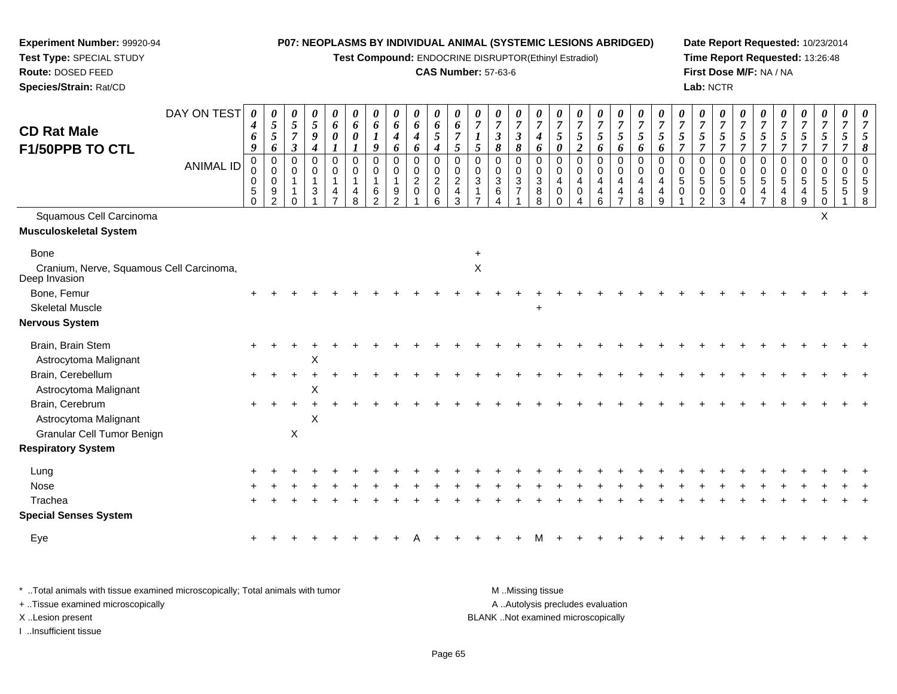**Test Compound:** ENDOCRINE DISRUPTOR(Ethinyl Estradiol)

# **CAS Number:** 57-63-6

**Date Report Requested:** 10/23/2014 **Time Report Requested:** 13:26:48**First Dose M/F:** NA / NA**Lab:** NCTR

| <b>CD Rat Male</b><br>F1/50PPB TO CTL                     | DAY ON TEST<br><b>ANIMAL ID</b> | $\boldsymbol{\theta}$<br>4<br>6<br>9<br>$\pmb{0}$<br>0<br>$\mathbf 0$<br>$\sqrt{5}$<br>$\Omega$ | 0<br>$\sqrt{5}$<br>$\mathfrak{s}$<br>6<br>$\mathbf 0$<br>$\mathbf 0$<br>$\mathsf{O}\xspace$<br>$9\,$<br>$\mathcal{D}$ | 0<br>$\mathfrak{z}$<br>$\overline{7}$<br>$\mathfrak{z}$<br>$\mathbf 0$<br>$\mathbf 0$<br>$\mathbf{1}$ | 0<br>$\sqrt{5}$<br>$\boldsymbol{g}$<br>$\boldsymbol{4}$<br>0<br>$\mathbf 0$<br>$\mathbf{1}$<br>3 | 0<br>6<br>0<br>$\pmb{0}$<br>$\pmb{0}$<br>$\mathbf{1}$<br>4 | $\theta$<br>6<br>0<br>$\mathbf 0$<br>0<br>$\overline{1}$<br>4<br>8 | 0<br>6<br>9<br>$\mathbf 0$<br>$\mathbf 0$<br>$\mathbf{1}$<br>6<br>$\mathcal{D}$ | 0<br>6<br>4<br>6<br>0<br>0<br>1<br>9<br>$\mathcal{P}$ | 0<br>6<br>$\boldsymbol{4}$<br>6<br>0<br>$\mathsf 0$<br>$\overline{2}$<br>$\mathbf 0$ | $\pmb{\theta}$<br>6<br>$5\phantom{.0}$<br>$\boldsymbol{4}$<br>$\mathbf 0$<br>$\pmb{0}$<br>$\boldsymbol{2}$<br>$\,0\,$<br>6 | 0<br>6<br>$\mathfrak{s}$<br>$\mathbf 0$<br>$\mathbf 0$<br>$\overline{2}$<br>$\overline{4}$<br>3 | 0<br>$\overline{7}$<br>1<br>5<br>$\mathbf 0$<br>$\mathbf 0$<br>$\sqrt{3}$ | 0<br>$\overline{7}$<br>$\mathbf{3}$<br>8<br>$\mathbf 0$<br>$\mathbf 0$<br>3<br>6 | 0<br>$\overline{7}$<br>$\boldsymbol{\beta}$<br>8<br>0<br>$\pmb{0}$<br>$\overline{3}$<br>$\overline{7}$ | 0<br>$\overline{7}$<br>$\boldsymbol{4}$<br>6<br>$\,0\,$<br>$\,0\,$<br>$\sqrt{3}$<br>8<br>8 | 0<br>$\overline{7}$<br>5<br>$\boldsymbol{\theta}$<br>$\mathbf 0$<br>$\mathbf 0$<br>$\overline{4}$<br>0<br>$\Omega$ | 0<br>$\overline{7}$<br>5<br>$\boldsymbol{2}$<br>$\pmb{0}$<br>$\mathbf 0$<br>4<br>0 | 0<br>$\overline{7}$<br>$5\overline{)}$<br>6<br>0<br>0<br>$\overline{4}$<br>4<br>6 | 0<br>$\boldsymbol{7}$<br>$5\overline{)}$<br>6<br>$\pmb{0}$<br>$\mathbf 0$<br>4<br>4<br>$\overline{ }$ | 0<br>$\overline{7}$<br>$5\overline{)}$<br>6<br>$\pmb{0}$<br>$\pmb{0}$<br>$\overline{4}$<br>$\overline{4}$<br>8 | 0<br>$\overline{7}$<br>5<br>6<br>$\mathbf 0$<br>$\mathbf 0$<br>$\overline{4}$<br>4<br>9 | 0<br>$\overline{7}$<br>5<br>$\overline{7}$<br>$\Omega$<br>$\Omega$<br>5<br>0 | 0<br>$\boldsymbol{7}$<br>$5\overline{)}$<br>$\overline{7}$<br>0<br>0<br>$5\,$<br>0<br>$\mathfrak{p}$ | 0<br>$\boldsymbol{7}$<br>$\mathfrak{H}$<br>$\overline{7}$<br>$\pmb{0}$<br>0<br>$\overline{5}$<br>0<br>3 | 0<br>$\overline{7}$<br>5<br>$\overline{7}$<br>0<br>$\mathbf 0$<br>$\sqrt{5}$<br>0<br>Δ | 0<br>$\overline{7}$<br>5<br>$\overline{7}$<br>0<br>$\mathbf 0$<br>5<br>4 | $\boldsymbol{\theta}$<br>$\overline{7}$<br>5<br>$\overline{7}$<br>$\mathbf 0$<br>$\mathbf 0$<br>5<br>4<br>8 | 0<br>$\overline{7}$<br>$\mathfrak{s}$<br>$\overline{7}$<br>0<br>0<br>$\sqrt{5}$<br>4<br>9 | 0<br>$\boldsymbol{7}$<br>$\overline{5}$<br>$\overline{7}$<br>$\,0\,$<br>0<br>5<br>5 | 0<br>$\overline{7}$<br>5<br>0<br>$\mathbf 0$<br>5<br>5 |  |
|-----------------------------------------------------------|---------------------------------|-------------------------------------------------------------------------------------------------|-----------------------------------------------------------------------------------------------------------------------|-------------------------------------------------------------------------------------------------------|--------------------------------------------------------------------------------------------------|------------------------------------------------------------|--------------------------------------------------------------------|---------------------------------------------------------------------------------|-------------------------------------------------------|--------------------------------------------------------------------------------------|----------------------------------------------------------------------------------------------------------------------------|-------------------------------------------------------------------------------------------------|---------------------------------------------------------------------------|----------------------------------------------------------------------------------|--------------------------------------------------------------------------------------------------------|--------------------------------------------------------------------------------------------|--------------------------------------------------------------------------------------------------------------------|------------------------------------------------------------------------------------|-----------------------------------------------------------------------------------|-------------------------------------------------------------------------------------------------------|----------------------------------------------------------------------------------------------------------------|-----------------------------------------------------------------------------------------|------------------------------------------------------------------------------|------------------------------------------------------------------------------------------------------|---------------------------------------------------------------------------------------------------------|----------------------------------------------------------------------------------------|--------------------------------------------------------------------------|-------------------------------------------------------------------------------------------------------------|-------------------------------------------------------------------------------------------|-------------------------------------------------------------------------------------|--------------------------------------------------------|--|
| Squamous Cell Carcinoma<br>Musculoskeletal System         |                                 |                                                                                                 |                                                                                                                       |                                                                                                       |                                                                                                  |                                                            |                                                                    |                                                                                 |                                                       |                                                                                      |                                                                                                                            |                                                                                                 |                                                                           |                                                                                  |                                                                                                        |                                                                                            |                                                                                                                    |                                                                                    |                                                                                   |                                                                                                       |                                                                                                                |                                                                                         |                                                                              |                                                                                                      |                                                                                                         |                                                                                        |                                                                          |                                                                                                             |                                                                                           | $\times$                                                                            |                                                        |  |
|                                                           |                                 |                                                                                                 |                                                                                                                       |                                                                                                       |                                                                                                  |                                                            |                                                                    |                                                                                 |                                                       |                                                                                      |                                                                                                                            |                                                                                                 |                                                                           |                                                                                  |                                                                                                        |                                                                                            |                                                                                                                    |                                                                                    |                                                                                   |                                                                                                       |                                                                                                                |                                                                                         |                                                                              |                                                                                                      |                                                                                                         |                                                                                        |                                                                          |                                                                                                             |                                                                                           |                                                                                     |                                                        |  |
| <b>Bone</b>                                               |                                 |                                                                                                 |                                                                                                                       |                                                                                                       |                                                                                                  |                                                            |                                                                    |                                                                                 |                                                       |                                                                                      |                                                                                                                            |                                                                                                 |                                                                           |                                                                                  |                                                                                                        |                                                                                            |                                                                                                                    |                                                                                    |                                                                                   |                                                                                                       |                                                                                                                |                                                                                         |                                                                              |                                                                                                      |                                                                                                         |                                                                                        |                                                                          |                                                                                                             |                                                                                           |                                                                                     |                                                        |  |
| Cranium, Nerve, Squamous Cell Carcinoma,<br>Deep Invasion |                                 |                                                                                                 |                                                                                                                       |                                                                                                       |                                                                                                  |                                                            |                                                                    |                                                                                 |                                                       |                                                                                      |                                                                                                                            |                                                                                                 | $\mathsf X$                                                               |                                                                                  |                                                                                                        |                                                                                            |                                                                                                                    |                                                                                    |                                                                                   |                                                                                                       |                                                                                                                |                                                                                         |                                                                              |                                                                                                      |                                                                                                         |                                                                                        |                                                                          |                                                                                                             |                                                                                           |                                                                                     |                                                        |  |
| Bone, Femur                                               |                                 |                                                                                                 |                                                                                                                       |                                                                                                       |                                                                                                  |                                                            |                                                                    |                                                                                 |                                                       |                                                                                      |                                                                                                                            |                                                                                                 |                                                                           |                                                                                  |                                                                                                        |                                                                                            |                                                                                                                    |                                                                                    |                                                                                   |                                                                                                       |                                                                                                                |                                                                                         |                                                                              |                                                                                                      |                                                                                                         |                                                                                        |                                                                          |                                                                                                             |                                                                                           |                                                                                     |                                                        |  |
| <b>Skeletal Muscle</b>                                    |                                 |                                                                                                 |                                                                                                                       |                                                                                                       |                                                                                                  |                                                            |                                                                    |                                                                                 |                                                       |                                                                                      |                                                                                                                            |                                                                                                 |                                                                           |                                                                                  |                                                                                                        |                                                                                            |                                                                                                                    |                                                                                    |                                                                                   |                                                                                                       |                                                                                                                |                                                                                         |                                                                              |                                                                                                      |                                                                                                         |                                                                                        |                                                                          |                                                                                                             |                                                                                           |                                                                                     |                                                        |  |
| Nervous System                                            |                                 |                                                                                                 |                                                                                                                       |                                                                                                       |                                                                                                  |                                                            |                                                                    |                                                                                 |                                                       |                                                                                      |                                                                                                                            |                                                                                                 |                                                                           |                                                                                  |                                                                                                        |                                                                                            |                                                                                                                    |                                                                                    |                                                                                   |                                                                                                       |                                                                                                                |                                                                                         |                                                                              |                                                                                                      |                                                                                                         |                                                                                        |                                                                          |                                                                                                             |                                                                                           |                                                                                     |                                                        |  |
| Brain, Brain Stem                                         |                                 |                                                                                                 |                                                                                                                       |                                                                                                       |                                                                                                  |                                                            |                                                                    |                                                                                 |                                                       |                                                                                      |                                                                                                                            |                                                                                                 |                                                                           |                                                                                  |                                                                                                        |                                                                                            |                                                                                                                    |                                                                                    |                                                                                   |                                                                                                       |                                                                                                                |                                                                                         |                                                                              |                                                                                                      |                                                                                                         |                                                                                        |                                                                          |                                                                                                             |                                                                                           |                                                                                     |                                                        |  |
| Astrocytoma Malignant                                     |                                 |                                                                                                 |                                                                                                                       |                                                                                                       | X                                                                                                |                                                            |                                                                    |                                                                                 |                                                       |                                                                                      |                                                                                                                            |                                                                                                 |                                                                           |                                                                                  |                                                                                                        |                                                                                            |                                                                                                                    |                                                                                    |                                                                                   |                                                                                                       |                                                                                                                |                                                                                         |                                                                              |                                                                                                      |                                                                                                         |                                                                                        |                                                                          |                                                                                                             |                                                                                           |                                                                                     |                                                        |  |
| Brain, Cerebellum                                         |                                 | $\pm$                                                                                           |                                                                                                                       | $\ddot{}$                                                                                             |                                                                                                  |                                                            |                                                                    |                                                                                 |                                                       |                                                                                      |                                                                                                                            |                                                                                                 |                                                                           |                                                                                  |                                                                                                        |                                                                                            |                                                                                                                    |                                                                                    |                                                                                   |                                                                                                       |                                                                                                                |                                                                                         |                                                                              |                                                                                                      |                                                                                                         |                                                                                        |                                                                          |                                                                                                             |                                                                                           |                                                                                     |                                                        |  |
| Astrocytoma Malignant                                     |                                 |                                                                                                 |                                                                                                                       |                                                                                                       | X                                                                                                |                                                            |                                                                    |                                                                                 |                                                       |                                                                                      |                                                                                                                            |                                                                                                 |                                                                           |                                                                                  |                                                                                                        |                                                                                            |                                                                                                                    |                                                                                    |                                                                                   |                                                                                                       |                                                                                                                |                                                                                         |                                                                              |                                                                                                      |                                                                                                         |                                                                                        |                                                                          |                                                                                                             |                                                                                           |                                                                                     |                                                        |  |
| Brain, Cerebrum                                           |                                 |                                                                                                 |                                                                                                                       |                                                                                                       |                                                                                                  |                                                            |                                                                    |                                                                                 |                                                       |                                                                                      |                                                                                                                            |                                                                                                 |                                                                           |                                                                                  |                                                                                                        |                                                                                            |                                                                                                                    |                                                                                    |                                                                                   |                                                                                                       |                                                                                                                |                                                                                         |                                                                              |                                                                                                      |                                                                                                         |                                                                                        |                                                                          |                                                                                                             |                                                                                           |                                                                                     |                                                        |  |
| Astrocytoma Malignant                                     |                                 |                                                                                                 |                                                                                                                       |                                                                                                       | $\pmb{\times}$                                                                                   |                                                            |                                                                    |                                                                                 |                                                       |                                                                                      |                                                                                                                            |                                                                                                 |                                                                           |                                                                                  |                                                                                                        |                                                                                            |                                                                                                                    |                                                                                    |                                                                                   |                                                                                                       |                                                                                                                |                                                                                         |                                                                              |                                                                                                      |                                                                                                         |                                                                                        |                                                                          |                                                                                                             |                                                                                           |                                                                                     |                                                        |  |
| Granular Cell Tumor Benign                                |                                 |                                                                                                 |                                                                                                                       | X                                                                                                     |                                                                                                  |                                                            |                                                                    |                                                                                 |                                                       |                                                                                      |                                                                                                                            |                                                                                                 |                                                                           |                                                                                  |                                                                                                        |                                                                                            |                                                                                                                    |                                                                                    |                                                                                   |                                                                                                       |                                                                                                                |                                                                                         |                                                                              |                                                                                                      |                                                                                                         |                                                                                        |                                                                          |                                                                                                             |                                                                                           |                                                                                     |                                                        |  |
| <b>Respiratory System</b>                                 |                                 |                                                                                                 |                                                                                                                       |                                                                                                       |                                                                                                  |                                                            |                                                                    |                                                                                 |                                                       |                                                                                      |                                                                                                                            |                                                                                                 |                                                                           |                                                                                  |                                                                                                        |                                                                                            |                                                                                                                    |                                                                                    |                                                                                   |                                                                                                       |                                                                                                                |                                                                                         |                                                                              |                                                                                                      |                                                                                                         |                                                                                        |                                                                          |                                                                                                             |                                                                                           |                                                                                     |                                                        |  |
| Lung                                                      |                                 |                                                                                                 |                                                                                                                       |                                                                                                       |                                                                                                  |                                                            |                                                                    |                                                                                 |                                                       |                                                                                      |                                                                                                                            |                                                                                                 |                                                                           |                                                                                  |                                                                                                        |                                                                                            |                                                                                                                    |                                                                                    |                                                                                   |                                                                                                       |                                                                                                                |                                                                                         |                                                                              |                                                                                                      |                                                                                                         |                                                                                        |                                                                          |                                                                                                             |                                                                                           |                                                                                     |                                                        |  |
| Nose                                                      |                                 |                                                                                                 |                                                                                                                       |                                                                                                       |                                                                                                  |                                                            |                                                                    |                                                                                 |                                                       |                                                                                      |                                                                                                                            |                                                                                                 |                                                                           |                                                                                  |                                                                                                        |                                                                                            |                                                                                                                    |                                                                                    |                                                                                   |                                                                                                       |                                                                                                                |                                                                                         |                                                                              |                                                                                                      |                                                                                                         |                                                                                        |                                                                          |                                                                                                             |                                                                                           |                                                                                     |                                                        |  |
| Trachea                                                   |                                 |                                                                                                 |                                                                                                                       |                                                                                                       |                                                                                                  |                                                            |                                                                    |                                                                                 |                                                       |                                                                                      |                                                                                                                            |                                                                                                 |                                                                           |                                                                                  |                                                                                                        |                                                                                            |                                                                                                                    |                                                                                    |                                                                                   |                                                                                                       |                                                                                                                |                                                                                         |                                                                              |                                                                                                      |                                                                                                         |                                                                                        |                                                                          |                                                                                                             |                                                                                           |                                                                                     |                                                        |  |
| <b>Special Senses System</b>                              |                                 |                                                                                                 |                                                                                                                       |                                                                                                       |                                                                                                  |                                                            |                                                                    |                                                                                 |                                                       |                                                                                      |                                                                                                                            |                                                                                                 |                                                                           |                                                                                  |                                                                                                        |                                                                                            |                                                                                                                    |                                                                                    |                                                                                   |                                                                                                       |                                                                                                                |                                                                                         |                                                                              |                                                                                                      |                                                                                                         |                                                                                        |                                                                          |                                                                                                             |                                                                                           |                                                                                     |                                                        |  |
| Eye                                                       |                                 |                                                                                                 |                                                                                                                       |                                                                                                       |                                                                                                  |                                                            |                                                                    |                                                                                 |                                                       |                                                                                      |                                                                                                                            |                                                                                                 |                                                                           |                                                                                  |                                                                                                        |                                                                                            |                                                                                                                    |                                                                                    |                                                                                   |                                                                                                       |                                                                                                                |                                                                                         |                                                                              |                                                                                                      |                                                                                                         |                                                                                        |                                                                          |                                                                                                             |                                                                                           |                                                                                     |                                                        |  |
|                                                           |                                 |                                                                                                 |                                                                                                                       |                                                                                                       |                                                                                                  |                                                            |                                                                    |                                                                                 |                                                       |                                                                                      |                                                                                                                            |                                                                                                 |                                                                           |                                                                                  |                                                                                                        |                                                                                            |                                                                                                                    |                                                                                    |                                                                                   |                                                                                                       |                                                                                                                |                                                                                         |                                                                              |                                                                                                      |                                                                                                         |                                                                                        |                                                                          |                                                                                                             |                                                                                           |                                                                                     |                                                        |  |

| * Total animals with tissue examined microscopically; Total animals with tumor | M Missing tissue                   |
|--------------------------------------------------------------------------------|------------------------------------|
| + Tissue examined microscopically                                              | A Autolysis precludes evaluation   |
| X Lesion present                                                               | BLANK Not examined microscopically |
| Insufficient tissue                                                            |                                    |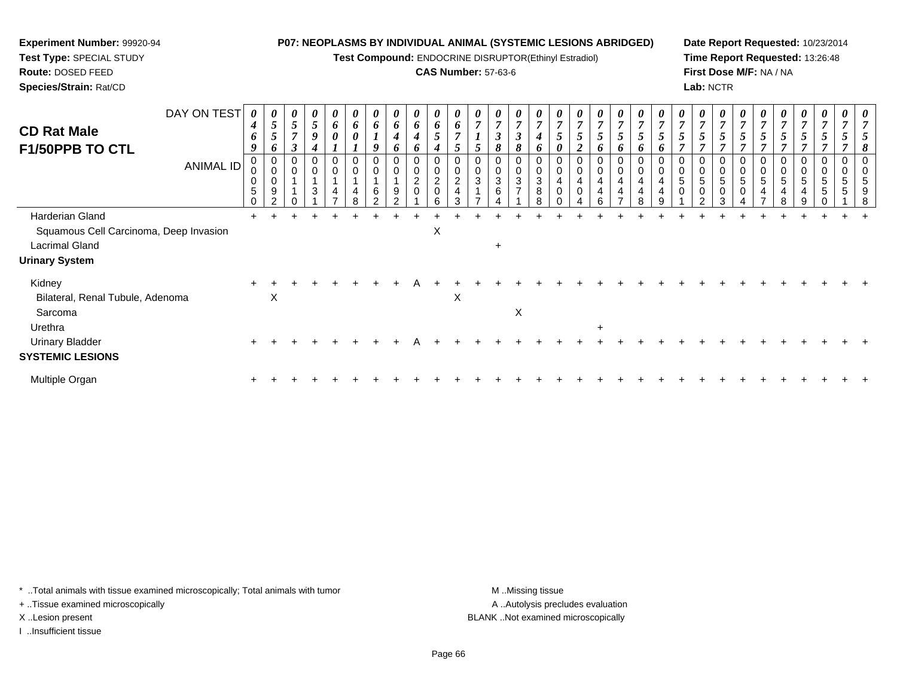**Test Compound:** ENDOCRINE DISRUPTOR(Ethinyl Estradiol)

## **CAS Number:** 57-63-6

**Date Report Requested:** 10/23/2014**Time Report Requested:** 13:26:48**First Dose M/F:** NA / NA**Lab:** NCTR

| DAY ON TEST<br><b>CD Rat Male</b><br><b>F1/50PPB TO CTL</b><br>ANIMAL ID | 0<br>4<br>6<br>9<br>0<br>5<br>0 | 0<br>$\mathfrak{s}$<br>6<br>0<br>$\pmb{0}$<br>0<br>9<br>ົາ | $\boldsymbol{\theta}$<br>5<br>$\overline{ }$<br>$\boldsymbol{\beta}$<br>0<br>$\,0\,$ | 0<br>5<br>9<br>4<br>$\mathbf 0$<br>$\overline{A}$<br>3 | 0<br>6<br>$\boldsymbol{\theta}$<br>0<br>0<br>4<br>$\overline{ }$ | $\boldsymbol{\theta}$<br>$\bm{o}$<br>4<br>8 | 0<br>6<br>9<br>0<br>$\pmb{0}$<br>6<br>$\mathcal{D}$ | 0<br>6<br>4<br>6<br>0<br>0<br>9<br>$\Omega$ | $\boldsymbol{\theta}$<br>6<br>$\boldsymbol{4}$<br>6<br>$\mathbf 0$<br>$\boldsymbol{2}$<br>$\overline{0}$ | 0<br>6<br>0<br>$\overline{\mathbf{c}}$<br>$\mathbf 0$<br>հ | 6<br>$\mathbf 0$<br>$\overline{2}$<br>3 | $\theta$<br>$\mathcal{L}$<br>$\mathbf 0$<br>3 | $\boldsymbol{\theta}$<br>$\overline{7}$<br>$\boldsymbol{\beta}$<br>8<br>0<br>0<br>$\sqrt{3}$<br>6 | $\boldsymbol{\theta}$<br>$\overline{7}$<br>I<br>8<br>0<br>$\pmb{0}$<br>3<br>$\overline{7}$ | 0<br>6<br>0<br>3<br>8 | 4 | 0<br>$\overline{ }$<br>$\mathbf 0$<br>4 | $\boldsymbol{\theta}$<br>$\overline{7}$<br>$\mathfrak{s}$<br>6<br>0<br>$\pmb{0}$<br>4<br>4<br>6 | 0<br>$\boldsymbol{7}$<br>5<br>6<br>0<br>$\pmb{0}$<br>$\overline{4}$<br>$\overline{4}$<br>$\overline{ }$ | 0<br>o<br>$\mathbf 0$<br>4<br>4<br>8 | 0 | 5 | 0<br>$\overline{7}$<br>5<br>7<br>0<br>0<br>5<br>0<br>$\mathfrak{p}$ | $\boldsymbol{\theta}$<br>$\overline{7}$<br>$\mathfrak{s}$<br>$\overline{ }$<br>0<br>$\mathbf 0$<br>5<br>$\mathbf 0$<br>3 | 0<br>$\overline{7}$<br>$\overline{ }$<br>$\mathbf 0$<br>5<br>0 | 5 | 0<br>0<br>0<br>5<br>8 | 0<br>$\overline{7}$<br>5<br>$\Omega$<br>5<br>4<br>9 | $\boldsymbol{\theta}$<br>$\mathcal{L}$<br>0<br>$\mathbf 0$<br>5<br>$\sqrt{5}$ | $\boldsymbol{\theta}$<br>$\Omega$<br>5<br>5 |  |
|--------------------------------------------------------------------------|---------------------------------|------------------------------------------------------------|--------------------------------------------------------------------------------------|--------------------------------------------------------|------------------------------------------------------------------|---------------------------------------------|-----------------------------------------------------|---------------------------------------------|----------------------------------------------------------------------------------------------------------|------------------------------------------------------------|-----------------------------------------|-----------------------------------------------|---------------------------------------------------------------------------------------------------|--------------------------------------------------------------------------------------------|-----------------------|---|-----------------------------------------|-------------------------------------------------------------------------------------------------|---------------------------------------------------------------------------------------------------------|--------------------------------------|---|---|---------------------------------------------------------------------|--------------------------------------------------------------------------------------------------------------------------|----------------------------------------------------------------|---|-----------------------|-----------------------------------------------------|-------------------------------------------------------------------------------|---------------------------------------------|--|
| Harderian Gland                                                          | ÷.                              |                                                            |                                                                                      |                                                        |                                                                  |                                             |                                                     |                                             |                                                                                                          |                                                            |                                         |                                               |                                                                                                   |                                                                                            |                       |   |                                         |                                                                                                 |                                                                                                         |                                      |   |   |                                                                     |                                                                                                                          |                                                                |   |                       |                                                     |                                                                               |                                             |  |
| Squamous Cell Carcinoma, Deep Invasion                                   |                                 |                                                            |                                                                                      |                                                        |                                                                  |                                             |                                                     |                                             |                                                                                                          | X                                                          |                                         |                                               |                                                                                                   |                                                                                            |                       |   |                                         |                                                                                                 |                                                                                                         |                                      |   |   |                                                                     |                                                                                                                          |                                                                |   |                       |                                                     |                                                                               |                                             |  |
| <b>Lacrimal Gland</b>                                                    |                                 |                                                            |                                                                                      |                                                        |                                                                  |                                             |                                                     |                                             |                                                                                                          |                                                            |                                         |                                               | $\ddot{}$                                                                                         |                                                                                            |                       |   |                                         |                                                                                                 |                                                                                                         |                                      |   |   |                                                                     |                                                                                                                          |                                                                |   |                       |                                                     |                                                                               |                                             |  |
| <b>Urinary System</b>                                                    |                                 |                                                            |                                                                                      |                                                        |                                                                  |                                             |                                                     |                                             |                                                                                                          |                                                            |                                         |                                               |                                                                                                   |                                                                                            |                       |   |                                         |                                                                                                 |                                                                                                         |                                      |   |   |                                                                     |                                                                                                                          |                                                                |   |                       |                                                     |                                                                               |                                             |  |
| Kidney<br>Bilateral, Renal Tubule, Adenoma                               | $\pm$                           | X                                                          |                                                                                      |                                                        |                                                                  |                                             |                                                     |                                             |                                                                                                          |                                                            | X                                       |                                               |                                                                                                   |                                                                                            |                       |   |                                         |                                                                                                 |                                                                                                         |                                      |   |   |                                                                     |                                                                                                                          |                                                                |   |                       |                                                     |                                                                               |                                             |  |
| Sarcoma                                                                  |                                 |                                                            |                                                                                      |                                                        |                                                                  |                                             |                                                     |                                             |                                                                                                          |                                                            |                                         |                                               |                                                                                                   | X                                                                                          |                       |   |                                         |                                                                                                 |                                                                                                         |                                      |   |   |                                                                     |                                                                                                                          |                                                                |   |                       |                                                     |                                                                               |                                             |  |
| Urethra                                                                  |                                 |                                                            |                                                                                      |                                                        |                                                                  |                                             |                                                     |                                             |                                                                                                          |                                                            |                                         |                                               |                                                                                                   |                                                                                            |                       |   |                                         | $\ddot{}$                                                                                       |                                                                                                         |                                      |   |   |                                                                     |                                                                                                                          |                                                                |   |                       |                                                     |                                                                               |                                             |  |
| <b>Urinary Bladder</b>                                                   |                                 |                                                            |                                                                                      |                                                        |                                                                  |                                             |                                                     |                                             |                                                                                                          |                                                            |                                         |                                               |                                                                                                   |                                                                                            |                       |   |                                         |                                                                                                 |                                                                                                         |                                      |   |   |                                                                     |                                                                                                                          |                                                                |   |                       |                                                     |                                                                               |                                             |  |
| <b>SYSTEMIC LESIONS</b>                                                  |                                 |                                                            |                                                                                      |                                                        |                                                                  |                                             |                                                     |                                             |                                                                                                          |                                                            |                                         |                                               |                                                                                                   |                                                                                            |                       |   |                                         |                                                                                                 |                                                                                                         |                                      |   |   |                                                                     |                                                                                                                          |                                                                |   |                       |                                                     |                                                                               |                                             |  |
| Multiple Organ                                                           |                                 |                                                            |                                                                                      |                                                        |                                                                  |                                             |                                                     |                                             |                                                                                                          |                                                            |                                         |                                               |                                                                                                   |                                                                                            |                       |   |                                         |                                                                                                 |                                                                                                         |                                      |   |   |                                                                     |                                                                                                                          |                                                                |   |                       |                                                     |                                                                               |                                             |  |

\* ..Total animals with tissue examined microscopically; Total animals with tumor **M** . Missing tissue M ..Missing tissue

+ ..Tissue examined microscopically

**Experiment Number:** 99920-94**Test Type:** SPECIAL STUDY**Route:** DOSED FEED**Species/Strain:** Rat/CD

I ..Insufficient tissue

A ..Autolysis precludes evaluation X ..Lesion present BLANK ..Not examined microscopically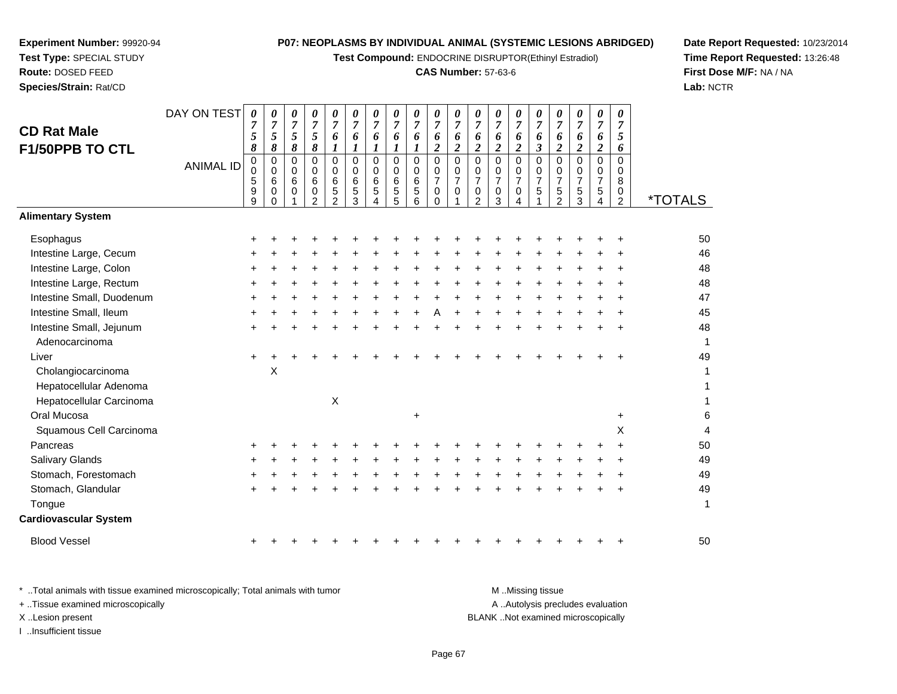**Test Compound:** ENDOCRINE DISRUPTOR(Ethinyl Estradiol)

# **CAS Number:** 57-63-6

**Date Report Requested:** 10/23/2014 **Time Report Requested:** 13:26:48**First Dose M/F:** NA / NA**Lab:** NCTR

|                              | DAY ON TEST      | $\boldsymbol{\theta}$ | 0                   | 0                   | 0                   | 0                         | 0                   | 0                    | 0                       | 0<br>$\overline{7}$        | 0                     | 0                   | 0                                  | 0                             | 0                           | $\boldsymbol{\theta}$ | 0                   | 0                          | $\boldsymbol{\theta}$<br>$\overline{7}$ | 0                   |                       |
|------------------------------|------------------|-----------------------|---------------------|---------------------|---------------------|---------------------------|---------------------|----------------------|-------------------------|----------------------------|-----------------------|---------------------|------------------------------------|-------------------------------|-----------------------------|-----------------------|---------------------|----------------------------|-----------------------------------------|---------------------|-----------------------|
| <b>CD Rat Male</b>           |                  | $\overline{7}$<br>5   | $\overline{7}$<br>5 | $\overline{7}$<br>5 | $\overline{7}$<br>5 | $\overline{7}$<br>6       | $\overline{7}$<br>6 | $\overline{7}$<br>6  | $\overline{7}$<br>6     | 6                          | $\overline{7}$<br>6   | $\overline{7}$<br>6 | $\overline{7}$<br>6                | $\overline{7}$<br>6           | $\overline{7}$<br>6         | $\overline{7}$<br>6   | $\overline{7}$<br>6 | $\overline{7}$<br>6        | 6                                       | $\overline{7}$<br>5 |                       |
| F1/50PPB TO CTL              |                  | 8                     | 8                   | 8                   | 8                   | 1                         | 1                   | $\bm{l}$             | 1                       | $\boldsymbol{l}$           | $\boldsymbol{2}$      | $\overline{c}$      | $\overline{2}$                     | $\overline{c}$                | $\boldsymbol{2}$            | $\boldsymbol{\beta}$  | $\boldsymbol{2}$    | $\boldsymbol{2}$           | $\overline{c}$                          | 6                   |                       |
|                              | <b>ANIMAL ID</b> | $\mathbf 0$           | $\mathbf 0$         | 0<br>$\mathbf 0$    | 0                   | $\Omega$                  | $\Omega$            | $\Omega$<br>$\Omega$ | $\Omega$<br>$\mathbf 0$ | $\mathbf 0$<br>$\mathbf 0$ | $\Omega$              | 0                   | $\mathbf 0$                        | 0                             | $\pmb{0}$<br>$\mathbf 0$    | $\Omega$              | $\Omega$            | $\mathbf 0$<br>$\mathbf 0$ | 0<br>$\mathbf 0$                        | 0                   |                       |
|                              |                  | 0<br>5                | 0<br>6              | 6                   | 0<br>6              | $\mathbf 0$<br>6          | $\mathbf 0$<br>6    | 6                    | 6                       | 6                          | 0<br>$\overline{7}$   | 0<br>$\overline{7}$ | 0<br>$\overline{7}$                | $\mathbf 0$<br>$\overline{7}$ | $\overline{7}$              | 0<br>$\overline{7}$   | 0<br>$\overline{7}$ | $\overline{7}$             | $\overline{7}$                          | 0<br>8              |                       |
|                              |                  | 9<br>9                | 0<br>$\Omega$       | 0                   | 0<br>$\mathcal{P}$  | 5<br>$\mathfrak{p}$       | $\sqrt{5}$<br>3     | $\sqrt{5}$<br>4      | 5<br>5                  | $\mathbf 5$<br>6           | $\pmb{0}$<br>$\Omega$ | 0                   | $\boldsymbol{0}$<br>$\overline{2}$ | 0<br>3                        | $\pmb{0}$<br>$\overline{4}$ | 5                     | $\mathbf 5$<br>2    | $\mathbf 5$<br>3           | 5<br>$\overline{4}$                     | 0<br>$\overline{2}$ | <i><b>*TOTALS</b></i> |
| <b>Alimentary System</b>     |                  |                       |                     |                     |                     |                           |                     |                      |                         |                            |                       |                     |                                    |                               |                             |                       |                     |                            |                                         |                     |                       |
| Esophagus                    |                  |                       |                     |                     |                     |                           |                     |                      |                         |                            |                       |                     |                                    |                               |                             |                       |                     |                            |                                         |                     | 50                    |
| Intestine Large, Cecum       |                  |                       |                     |                     |                     |                           |                     |                      |                         |                            |                       |                     |                                    |                               |                             |                       |                     |                            |                                         |                     | 46                    |
| Intestine Large, Colon       |                  |                       |                     |                     |                     |                           |                     |                      |                         |                            |                       |                     |                                    |                               |                             |                       |                     |                            |                                         |                     | 48                    |
| Intestine Large, Rectum      |                  | ٠                     |                     |                     |                     |                           |                     |                      |                         |                            |                       |                     |                                    |                               |                             |                       |                     |                            |                                         |                     | 48                    |
| Intestine Small, Duodenum    |                  |                       |                     |                     |                     |                           |                     |                      |                         |                            |                       |                     |                                    |                               |                             |                       |                     |                            |                                         |                     | 47                    |
| Intestine Small, Ileum       |                  |                       |                     |                     |                     |                           |                     |                      |                         |                            |                       |                     |                                    |                               |                             |                       |                     |                            |                                         |                     | 45                    |
| Intestine Small, Jejunum     |                  |                       |                     |                     |                     |                           |                     |                      |                         |                            |                       |                     |                                    |                               |                             |                       |                     |                            |                                         |                     | 48                    |
| Adenocarcinoma               |                  |                       |                     |                     |                     |                           |                     |                      |                         |                            |                       |                     |                                    |                               |                             |                       |                     |                            |                                         |                     | 1                     |
| Liver                        |                  |                       |                     |                     |                     |                           |                     |                      |                         |                            |                       |                     |                                    |                               |                             |                       |                     |                            |                                         |                     | 49                    |
| Cholangiocarcinoma           |                  |                       | Χ                   |                     |                     |                           |                     |                      |                         |                            |                       |                     |                                    |                               |                             |                       |                     |                            |                                         |                     |                       |
| Hepatocellular Adenoma       |                  |                       |                     |                     |                     |                           |                     |                      |                         |                            |                       |                     |                                    |                               |                             |                       |                     |                            |                                         |                     | 1                     |
| Hepatocellular Carcinoma     |                  |                       |                     |                     |                     | $\boldsymbol{\mathsf{X}}$ |                     |                      |                         |                            |                       |                     |                                    |                               |                             |                       |                     |                            |                                         |                     |                       |
| Oral Mucosa                  |                  |                       |                     |                     |                     |                           |                     |                      |                         | $\ddot{}$                  |                       |                     |                                    |                               |                             |                       |                     |                            |                                         | +                   | 6                     |
| Squamous Cell Carcinoma      |                  |                       |                     |                     |                     |                           |                     |                      |                         |                            |                       |                     |                                    |                               |                             |                       |                     |                            |                                         | X                   | 4                     |
| Pancreas                     |                  |                       |                     |                     |                     |                           |                     |                      |                         |                            |                       |                     |                                    |                               |                             |                       |                     |                            |                                         |                     | 50                    |
| Salivary Glands              |                  |                       |                     |                     |                     |                           |                     |                      |                         |                            |                       |                     |                                    |                               |                             |                       |                     |                            |                                         |                     | 49                    |
| Stomach, Forestomach         |                  |                       |                     |                     |                     |                           |                     |                      |                         |                            |                       |                     |                                    |                               |                             |                       |                     |                            |                                         |                     | 49                    |
| Stomach, Glandular           |                  |                       |                     |                     |                     |                           |                     |                      |                         |                            |                       |                     |                                    |                               |                             |                       |                     |                            |                                         |                     | 49                    |
| Tongue                       |                  |                       |                     |                     |                     |                           |                     |                      |                         |                            |                       |                     |                                    |                               |                             |                       |                     |                            |                                         |                     | 1                     |
| <b>Cardiovascular System</b> |                  |                       |                     |                     |                     |                           |                     |                      |                         |                            |                       |                     |                                    |                               |                             |                       |                     |                            |                                         |                     |                       |
| <b>Blood Vessel</b>          |                  |                       |                     |                     |                     |                           |                     |                      |                         |                            |                       |                     |                                    |                               |                             |                       |                     |                            |                                         |                     | 50                    |
|                              |                  |                       |                     |                     |                     |                           |                     |                      |                         |                            |                       |                     |                                    |                               |                             |                       |                     |                            |                                         |                     |                       |

| * Total animals with tissue examined microscopically; Total animals with tumor | M Missing tissue                   |
|--------------------------------------------------------------------------------|------------------------------------|
| + Tissue examined microscopically                                              | A Autolysis precludes evaluation   |
| X Lesion present                                                               | BLANK Not examined microscopically |
| Insufficient tissue                                                            |                                    |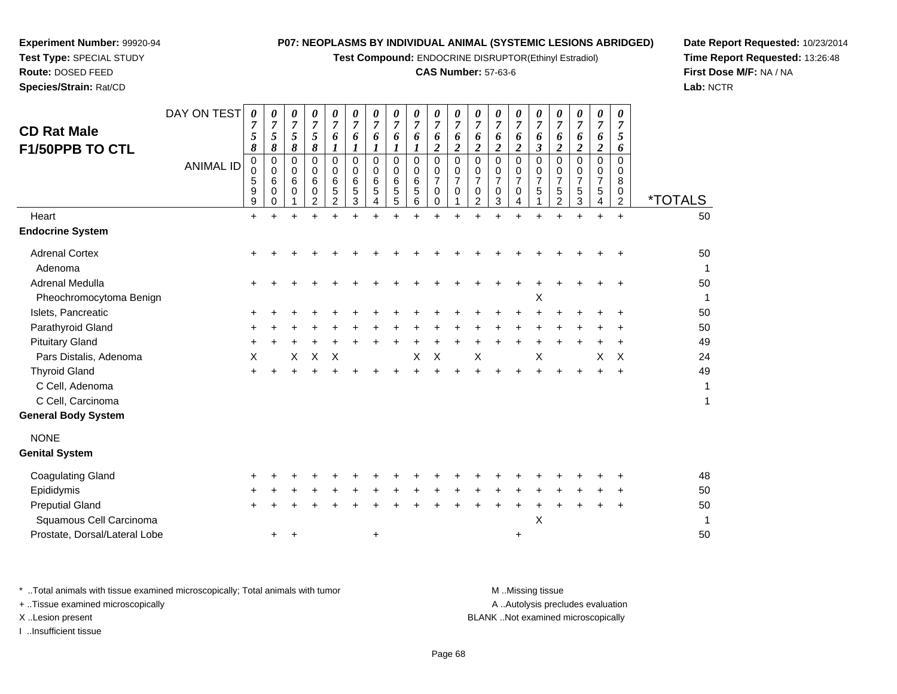**Test Compound:** ENDOCRINE DISRUPTOR(Ethinyl Estradiol)

## **CAS Number:** 57-63-6

**Date Report Requested:** 10/23/2014**Time Report Requested:** 13:26:48**First Dose M/F:** NA / NA**Lab:** NCTR

| <b>CD Rat Male</b><br>F1/50PPB TO CTL                                                      | DAY ON TEST<br><b>ANIMAL ID</b> | $\boldsymbol{\theta}$<br>$\overline{7}$<br>5<br>8<br>0<br>0<br>5<br>9<br>9 | 0<br>$\overline{7}$<br>5<br>8<br>0<br>$\Omega$<br>6<br>$\Omega$<br>0 | 0<br>$\overline{7}$<br>5<br>8<br>0<br>$\Omega$<br>6<br>$\Omega$ | 0<br>$\overline{7}$<br>5<br>8<br>0<br>$\Omega$<br>6<br>$\Omega$<br>$\overline{2}$ | 0<br>$\overline{7}$<br>6<br>$\boldsymbol{l}$<br>$\Omega$<br>$\Omega$<br>6<br>5<br>$\overline{2}$ | 0<br>$\overline{7}$<br>6<br>$\boldsymbol{l}$<br>$\Omega$<br>$\Omega$<br>6<br>5<br>3 | 0<br>$\overline{7}$<br>6<br>$\boldsymbol{I}$<br>$\Omega$<br>$\Omega$<br>6<br>5<br>4 | 0<br>$\overline{7}$<br>6<br>$\boldsymbol{l}$<br>$\Omega$<br>$\Omega$<br>6<br>5<br>5 | 0<br>$\overline{7}$<br>6<br>1<br>0<br>$\mathbf 0$<br>$\,6$<br>5<br>6 | 0<br>$\overline{7}$<br>6<br>$\boldsymbol{2}$<br>0<br>0<br>$\overline{7}$<br>0<br>0 | 0<br>7<br>6<br>$\overline{\mathbf{2}}$<br>0<br>0<br>7<br>0 | 0<br>$\overline{7}$<br>6<br>$\boldsymbol{2}$<br>$\Omega$<br>$\Omega$<br>$\overline{7}$<br>$\Omega$<br>2 | 0<br>$\overline{7}$<br>6<br>$\overline{\mathbf{c}}$<br>$\Omega$<br>$\Omega$<br>$\overline{7}$<br>$\mathbf 0$<br>3 | 0<br>$\overline{7}$<br>6<br>$\overline{c}$<br>$\Omega$<br>$\Omega$<br>$\overline{7}$<br>$\Omega$<br>4 | 0<br>$\overline{7}$<br>6<br>3<br>$\Omega$<br>$\Omega$<br>7<br>5 | 0<br>$\overline{7}$<br>6<br>$\boldsymbol{2}$<br>$\Omega$<br>0<br>$\overline{7}$<br>5<br>$\overline{c}$ | 0<br>$\overline{7}$<br>6<br>$\boldsymbol{2}$<br>0<br>0<br>$\overline{7}$<br>5<br>3 | 0<br>$\overline{7}$<br>6<br>$\overline{\mathbf{c}}$<br>0<br>0<br>7<br>5<br>4 | 0<br>$\overline{7}$<br>5<br>6<br>0<br>$\Omega$<br>8<br>$\mathbf 0$<br>$\overline{c}$ | <i><b>*TOTALS</b></i> |
|--------------------------------------------------------------------------------------------|---------------------------------|----------------------------------------------------------------------------|----------------------------------------------------------------------|-----------------------------------------------------------------|-----------------------------------------------------------------------------------|--------------------------------------------------------------------------------------------------|-------------------------------------------------------------------------------------|-------------------------------------------------------------------------------------|-------------------------------------------------------------------------------------|----------------------------------------------------------------------|------------------------------------------------------------------------------------|------------------------------------------------------------|---------------------------------------------------------------------------------------------------------|-------------------------------------------------------------------------------------------------------------------|-------------------------------------------------------------------------------------------------------|-----------------------------------------------------------------|--------------------------------------------------------------------------------------------------------|------------------------------------------------------------------------------------|------------------------------------------------------------------------------|--------------------------------------------------------------------------------------|-----------------------|
| Heart                                                                                      |                                 | $\ddot{}$                                                                  |                                                                      |                                                                 |                                                                                   |                                                                                                  |                                                                                     |                                                                                     |                                                                                     |                                                                      |                                                                                    |                                                            |                                                                                                         |                                                                                                                   |                                                                                                       |                                                                 |                                                                                                        | $\ddot{}$                                                                          | $\ddot{}$                                                                    | $\ddot{}$                                                                            | 50                    |
| <b>Endocrine System</b>                                                                    |                                 |                                                                            |                                                                      |                                                                 |                                                                                   |                                                                                                  |                                                                                     |                                                                                     |                                                                                     |                                                                      |                                                                                    |                                                            |                                                                                                         |                                                                                                                   |                                                                                                       |                                                                 |                                                                                                        |                                                                                    |                                                                              |                                                                                      |                       |
| <b>Adrenal Cortex</b><br>Adenoma                                                           |                                 |                                                                            |                                                                      |                                                                 |                                                                                   |                                                                                                  |                                                                                     |                                                                                     |                                                                                     |                                                                      |                                                                                    |                                                            |                                                                                                         |                                                                                                                   |                                                                                                       |                                                                 |                                                                                                        |                                                                                    |                                                                              |                                                                                      | 50<br>1               |
| Adrenal Medulla                                                                            |                                 |                                                                            |                                                                      |                                                                 |                                                                                   |                                                                                                  |                                                                                     |                                                                                     |                                                                                     |                                                                      |                                                                                    |                                                            |                                                                                                         |                                                                                                                   |                                                                                                       |                                                                 |                                                                                                        |                                                                                    |                                                                              |                                                                                      | 50                    |
| Pheochromocytoma Benign                                                                    |                                 |                                                                            |                                                                      |                                                                 |                                                                                   |                                                                                                  |                                                                                     |                                                                                     |                                                                                     |                                                                      |                                                                                    |                                                            |                                                                                                         |                                                                                                                   |                                                                                                       | X                                                               |                                                                                                        |                                                                                    |                                                                              |                                                                                      | 1                     |
| Islets, Pancreatic                                                                         |                                 |                                                                            |                                                                      |                                                                 |                                                                                   |                                                                                                  |                                                                                     |                                                                                     |                                                                                     |                                                                      |                                                                                    |                                                            |                                                                                                         |                                                                                                                   |                                                                                                       |                                                                 |                                                                                                        |                                                                                    |                                                                              |                                                                                      | 50                    |
| Parathyroid Gland                                                                          |                                 |                                                                            |                                                                      |                                                                 |                                                                                   |                                                                                                  |                                                                                     |                                                                                     |                                                                                     |                                                                      |                                                                                    |                                                            |                                                                                                         |                                                                                                                   |                                                                                                       |                                                                 |                                                                                                        |                                                                                    |                                                                              |                                                                                      | 50                    |
| <b>Pituitary Gland</b>                                                                     |                                 |                                                                            |                                                                      |                                                                 |                                                                                   |                                                                                                  |                                                                                     |                                                                                     |                                                                                     |                                                                      |                                                                                    |                                                            |                                                                                                         |                                                                                                                   |                                                                                                       |                                                                 |                                                                                                        |                                                                                    |                                                                              |                                                                                      | 49                    |
| Pars Distalis, Adenoma                                                                     |                                 | X                                                                          |                                                                      | X                                                               | X                                                                                 | $\times$                                                                                         |                                                                                     |                                                                                     |                                                                                     | X                                                                    | X                                                                                  |                                                            | X                                                                                                       |                                                                                                                   |                                                                                                       | $\pmb{\times}$                                                  |                                                                                                        |                                                                                    | X                                                                            | X                                                                                    | 24                    |
| <b>Thyroid Gland</b><br>C Cell, Adenoma<br>C Cell, Carcinoma<br><b>General Body System</b> |                                 |                                                                            |                                                                      |                                                                 |                                                                                   |                                                                                                  |                                                                                     |                                                                                     |                                                                                     |                                                                      |                                                                                    |                                                            |                                                                                                         |                                                                                                                   |                                                                                                       |                                                                 |                                                                                                        |                                                                                    |                                                                              | $\pm$                                                                                | 49<br>1<br>1          |
| <b>NONE</b>                                                                                |                                 |                                                                            |                                                                      |                                                                 |                                                                                   |                                                                                                  |                                                                                     |                                                                                     |                                                                                     |                                                                      |                                                                                    |                                                            |                                                                                                         |                                                                                                                   |                                                                                                       |                                                                 |                                                                                                        |                                                                                    |                                                                              |                                                                                      |                       |
| <b>Genital System</b>                                                                      |                                 |                                                                            |                                                                      |                                                                 |                                                                                   |                                                                                                  |                                                                                     |                                                                                     |                                                                                     |                                                                      |                                                                                    |                                                            |                                                                                                         |                                                                                                                   |                                                                                                       |                                                                 |                                                                                                        |                                                                                    |                                                                              |                                                                                      |                       |
| <b>Coagulating Gland</b>                                                                   |                                 |                                                                            |                                                                      |                                                                 |                                                                                   |                                                                                                  |                                                                                     |                                                                                     |                                                                                     |                                                                      |                                                                                    |                                                            |                                                                                                         |                                                                                                                   |                                                                                                       |                                                                 |                                                                                                        |                                                                                    |                                                                              |                                                                                      | 48                    |
| Epididymis                                                                                 |                                 |                                                                            |                                                                      |                                                                 |                                                                                   |                                                                                                  |                                                                                     |                                                                                     |                                                                                     |                                                                      |                                                                                    |                                                            |                                                                                                         |                                                                                                                   |                                                                                                       |                                                                 |                                                                                                        |                                                                                    |                                                                              |                                                                                      | 50                    |
| <b>Preputial Gland</b>                                                                     |                                 |                                                                            |                                                                      |                                                                 |                                                                                   |                                                                                                  |                                                                                     |                                                                                     |                                                                                     |                                                                      |                                                                                    |                                                            |                                                                                                         |                                                                                                                   |                                                                                                       |                                                                 |                                                                                                        |                                                                                    |                                                                              |                                                                                      | 50                    |
| Squamous Cell Carcinoma                                                                    |                                 |                                                                            |                                                                      |                                                                 |                                                                                   |                                                                                                  |                                                                                     |                                                                                     |                                                                                     |                                                                      |                                                                                    |                                                            |                                                                                                         |                                                                                                                   |                                                                                                       | X                                                               |                                                                                                        |                                                                                    |                                                                              |                                                                                      | 1                     |

**Experiment Number:** 99920-94**Test Type:** SPECIAL STUDY**Route:** DOSED FEED**Species/Strain:** Rat/CD

Prostate, Dorsal/Lateral Lobe

e +

\* ..Total animals with tissue examined microscopically; Total animals with tumor **M** ...Missing tissue M ...Missing tissue A ..Autolysis precludes evaluation + ..Tissue examined microscopically X ..Lesion present BLANK ..Not examined microscopicallyI ..Insufficient tissue

<sup>+</sup> <sup>+</sup> <sup>+</sup> <sup>50</sup>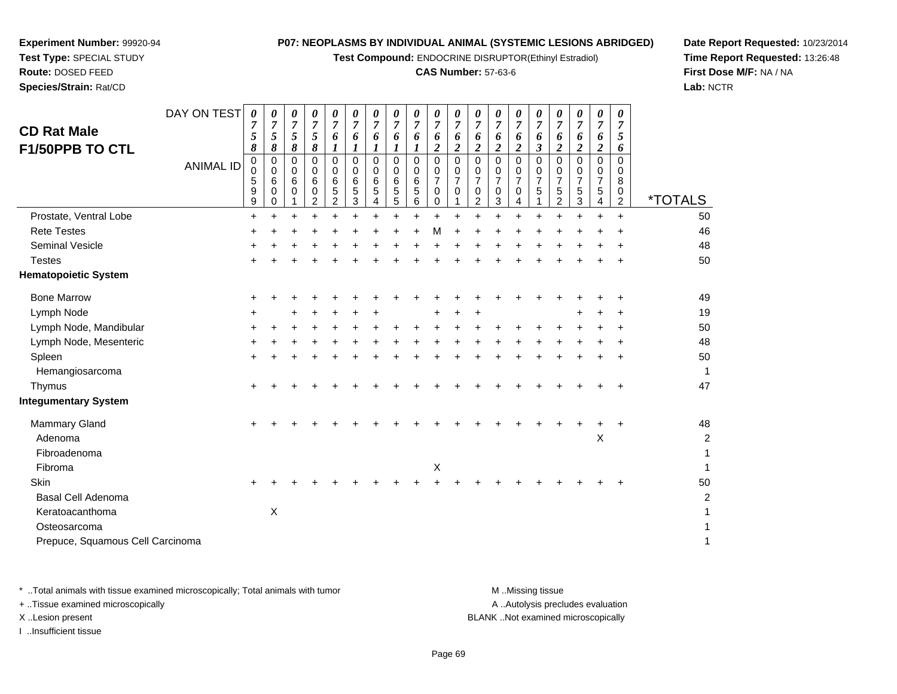**Test Compound:** ENDOCRINE DISRUPTOR(Ethinyl Estradiol)

## **CAS Number:** 57-63-6

**Date Report Requested:** 10/23/2014**Time Report Requested:** 13:26:48**First Dose M/F:** NA / NA**Lab:** NCTR

|                                  | DAY ON TEST      | 0                            | 0                               | 0                | 0                                  | 0                                            | 0                                      | 0                               | 0                               | 0                               | 0                                  | 0                             | 0                                  | 0                                                    | 0                                            | 0                                    | 0                                                                   | 0                                            | 0                     | 0                                  |                         |
|----------------------------------|------------------|------------------------------|---------------------------------|------------------|------------------------------------|----------------------------------------------|----------------------------------------|---------------------------------|---------------------------------|---------------------------------|------------------------------------|-------------------------------|------------------------------------|------------------------------------------------------|----------------------------------------------|--------------------------------------|---------------------------------------------------------------------|----------------------------------------------|-----------------------|------------------------------------|-------------------------|
| <b>CD Rat Male</b>               |                  | 7                            | $\boldsymbol{7}$                | $\boldsymbol{7}$ | $\overline{7}$<br>5                | $\overline{7}$                               | $\boldsymbol{7}$                       | $\overline{7}$                  | $\overline{7}$                  | $\boldsymbol{7}$                | 7                                  | $\boldsymbol{7}$              | $\boldsymbol{7}$                   | $\overline{7}$                                       | $\overline{7}$                               | $\overline{7}$                       | $\overline{7}$                                                      | $\overline{7}$                               | $\overline{7}$        | $\overline{7}$                     |                         |
| F1/50PPB TO CTL                  |                  | 5<br>8                       | 5<br>8                          | 5<br>8           | 8                                  | 6<br>1                                       | 6<br>1                                 | 6<br>1                          | 6<br>1                          | 6<br>1                          | 6<br>$\boldsymbol{2}$              | 6<br>2                        | 6<br>2                             | 6<br>$\boldsymbol{2}$                                | 6<br>$\overline{c}$                          | 6<br>3                               | 6<br>$\overline{\mathbf{c}}$                                        | 6<br>$\boldsymbol{2}$                        | 6<br>$\overline{2}$   | 5<br>6                             |                         |
|                                  | <b>ANIMAL ID</b> | 0<br>$\Omega$<br>5<br>9<br>9 | $\mathbf 0$<br>0<br>6<br>0<br>0 | 0<br>0<br>6<br>0 | 0<br>0<br>6<br>0<br>$\overline{2}$ | $\mathbf 0$<br>0<br>6<br>5<br>$\overline{2}$ | $\mathbf 0$<br>$\Omega$<br>6<br>5<br>3 | $\mathbf 0$<br>0<br>6<br>5<br>4 | $\mathbf 0$<br>0<br>6<br>5<br>5 | $\mathbf 0$<br>0<br>6<br>5<br>6 | 0<br>0<br>$\overline{7}$<br>0<br>0 | 0<br>0<br>$\overline{7}$<br>0 | 0<br>0<br>$\overline{7}$<br>0<br>2 | $\mathbf 0$<br>0<br>$\overline{7}$<br>$\pmb{0}$<br>3 | $\mathbf 0$<br>0<br>$\overline{7}$<br>0<br>4 | $\Omega$<br>0<br>$\overline{7}$<br>5 | $\mathbf 0$<br>0<br>$\overline{7}$<br>$\mathbf 5$<br>$\overline{2}$ | $\mathbf 0$<br>0<br>$\overline{7}$<br>5<br>3 | 0<br>0<br>7<br>5<br>4 | 0<br>0<br>8<br>0<br>$\overline{c}$ | <i><b>*TOTALS</b></i>   |
| Prostate, Ventral Lobe           |                  | $\ddot{}$                    | +                               | +                | $\ddot{}$                          | +                                            |                                        | +                               | $\ddot{}$                       | $\ddot{}$                       | $\ddot{}$                          |                               | +                                  |                                                      | $\ddot{}$                                    |                                      | $\ddot{}$                                                           | $\ddot{}$                                    | $\ddot{}$             | $\ddot{}$                          | 50                      |
| <b>Rete Testes</b>               |                  | +                            |                                 |                  |                                    |                                              |                                        |                                 |                                 | +                               | M                                  |                               |                                    |                                                      |                                              |                                      |                                                                     |                                              |                       | ٠                                  | 46                      |
| <b>Seminal Vesicle</b>           |                  |                              |                                 |                  |                                    |                                              |                                        |                                 |                                 |                                 |                                    |                               |                                    |                                                      |                                              |                                      |                                                                     |                                              |                       |                                    | 48                      |
| <b>Testes</b>                    |                  | +                            |                                 |                  |                                    |                                              |                                        |                                 |                                 |                                 |                                    |                               |                                    |                                                      |                                              |                                      |                                                                     |                                              |                       | +                                  | 50                      |
| <b>Hematopoietic System</b>      |                  |                              |                                 |                  |                                    |                                              |                                        |                                 |                                 |                                 |                                    |                               |                                    |                                                      |                                              |                                      |                                                                     |                                              |                       |                                    |                         |
| <b>Bone Marrow</b>               |                  | ÷                            |                                 |                  |                                    |                                              |                                        |                                 |                                 |                                 |                                    |                               |                                    |                                                      |                                              |                                      |                                                                     |                                              |                       |                                    | 49                      |
| Lymph Node                       |                  |                              |                                 |                  |                                    |                                              |                                        |                                 |                                 |                                 |                                    |                               |                                    |                                                      |                                              |                                      |                                                                     |                                              |                       |                                    | 19                      |
| Lymph Node, Mandibular           |                  |                              |                                 |                  |                                    |                                              |                                        |                                 |                                 |                                 |                                    |                               |                                    |                                                      |                                              |                                      |                                                                     |                                              |                       |                                    | 50                      |
| Lymph Node, Mesenteric           |                  |                              |                                 |                  |                                    |                                              |                                        |                                 |                                 |                                 |                                    |                               |                                    |                                                      |                                              |                                      |                                                                     |                                              |                       |                                    | 48                      |
| Spleen                           |                  | +                            |                                 |                  |                                    |                                              |                                        |                                 |                                 |                                 |                                    |                               |                                    |                                                      |                                              |                                      |                                                                     |                                              |                       | ÷                                  | 50                      |
| Hemangiosarcoma                  |                  |                              |                                 |                  |                                    |                                              |                                        |                                 |                                 |                                 |                                    |                               |                                    |                                                      |                                              |                                      |                                                                     |                                              |                       |                                    | 1                       |
| Thymus                           |                  | $\ddot{}$                    |                                 |                  |                                    |                                              |                                        |                                 |                                 |                                 |                                    |                               |                                    |                                                      |                                              |                                      |                                                                     |                                              |                       |                                    | 47                      |
| <b>Integumentary System</b>      |                  |                              |                                 |                  |                                    |                                              |                                        |                                 |                                 |                                 |                                    |                               |                                    |                                                      |                                              |                                      |                                                                     |                                              |                       |                                    |                         |
| <b>Mammary Gland</b>             |                  |                              |                                 |                  |                                    |                                              |                                        |                                 |                                 |                                 |                                    |                               |                                    |                                                      |                                              |                                      |                                                                     |                                              |                       | +                                  | 48                      |
| Adenoma                          |                  |                              |                                 |                  |                                    |                                              |                                        |                                 |                                 |                                 |                                    |                               |                                    |                                                      |                                              |                                      |                                                                     |                                              | Χ                     |                                    | $\overline{\mathbf{c}}$ |
| Fibroadenoma                     |                  |                              |                                 |                  |                                    |                                              |                                        |                                 |                                 |                                 |                                    |                               |                                    |                                                      |                                              |                                      |                                                                     |                                              |                       |                                    | 1                       |
| Fibroma                          |                  |                              |                                 |                  |                                    |                                              |                                        |                                 |                                 |                                 | X                                  |                               |                                    |                                                      |                                              |                                      |                                                                     |                                              |                       |                                    |                         |
| Skin                             |                  |                              |                                 |                  |                                    |                                              |                                        |                                 |                                 |                                 |                                    |                               |                                    |                                                      |                                              |                                      |                                                                     |                                              |                       |                                    | 50                      |
| <b>Basal Cell Adenoma</b>        |                  |                              |                                 |                  |                                    |                                              |                                        |                                 |                                 |                                 |                                    |                               |                                    |                                                      |                                              |                                      |                                                                     |                                              |                       |                                    | 2                       |
| Keratoacanthoma                  |                  |                              | Χ                               |                  |                                    |                                              |                                        |                                 |                                 |                                 |                                    |                               |                                    |                                                      |                                              |                                      |                                                                     |                                              |                       |                                    |                         |
| Osteosarcoma                     |                  |                              |                                 |                  |                                    |                                              |                                        |                                 |                                 |                                 |                                    |                               |                                    |                                                      |                                              |                                      |                                                                     |                                              |                       |                                    |                         |
| Prepuce, Squamous Cell Carcinoma |                  |                              |                                 |                  |                                    |                                              |                                        |                                 |                                 |                                 |                                    |                               |                                    |                                                      |                                              |                                      |                                                                     |                                              |                       |                                    | 1                       |

**Experiment Number:** 99920-94**Test Type:** SPECIAL STUDY**Route:** DOSED FEED**Species/Strain:** Rat/CD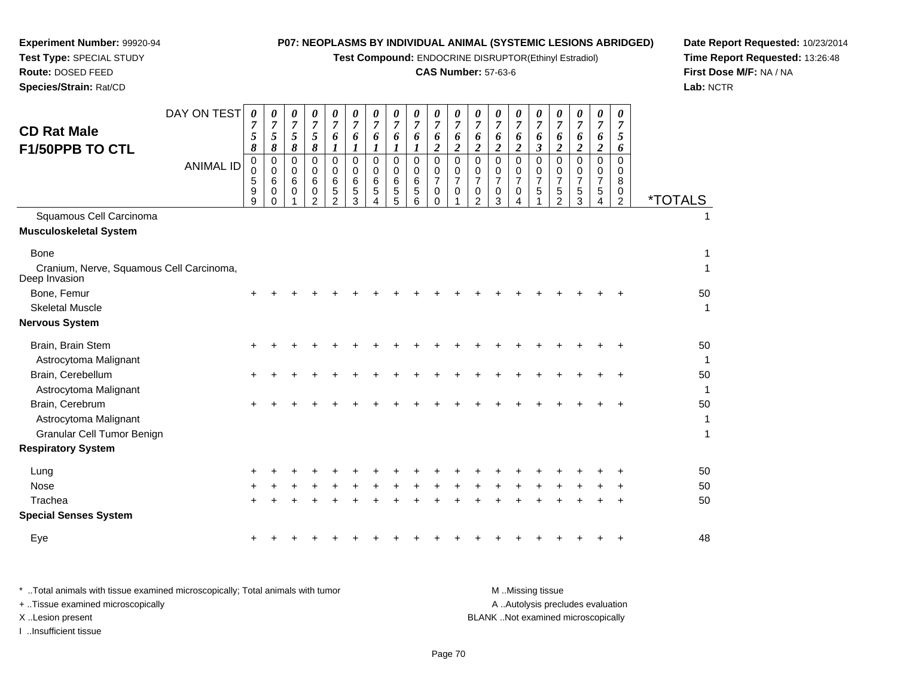**Test Compound:** ENDOCRINE DISRUPTOR(Ethinyl Estradiol)

## **CAS Number:** 57-63-6

**Date Report Requested:** 10/23/2014**Time Report Requested:** 13:26:48**First Dose M/F:** NA / NA**Lab:** NCTR

| <b>CD Rat Male</b><br>F1/50PPB TO CTL<br>Squamous Cell Carcinoma         | DAY ON TEST<br><b>ANIMAL ID</b> | 0<br>7<br>5<br>8<br>0<br>0<br>5<br>9<br>9 | 0<br>$\boldsymbol{7}$<br>5<br>8<br>0<br>0<br>6<br>0<br>0 | 0<br>$\boldsymbol{7}$<br>5<br>8<br>$\mathbf 0$<br>0<br>6<br>0 | 0<br>$\overline{7}$<br>5<br>8<br>$\mathbf 0$<br>$\Omega$<br>6<br>0<br>$\overline{2}$ | 0<br>$\overline{7}$<br>6<br>1<br>$\Omega$<br>0<br>6<br>5<br>2 | 0<br>7<br>6<br>1<br>$\mathbf 0$<br>0<br>6<br>5<br>3 | 0<br>$\overline{7}$<br>6<br>$\boldsymbol{l}$<br>$\mathbf 0$<br>0<br>6<br>5<br>4 | 0<br>$\overline{7}$<br>6<br>1<br>$\mathbf 0$<br>0<br>$\,6\,$<br>5<br>5 | 0<br>$\overline{7}$<br>6<br>$\boldsymbol{l}$<br>$\mathbf 0$<br>0<br>6<br>$\sqrt{5}$<br>6 | 0<br>$\overline{7}$<br>6<br>$\boldsymbol{2}$<br>$\mathbf 0$<br>0<br>$\overline{7}$<br>$\mathbf 0$<br>$\Omega$ | 0<br>7<br>6<br>$\overline{\mathbf{c}}$<br>0<br>0<br>$\overline{7}$<br>0 | 0<br>$\overline{7}$<br>6<br>$\overline{c}$<br>$\mathbf 0$<br>0<br>$\overline{7}$<br>0<br>$\overline{2}$ | 0<br>$\overline{7}$<br>6<br>$\boldsymbol{2}$<br>$\mathbf 0$<br>0<br>$\overline{7}$<br>0<br>3 | 0<br>$\overline{7}$<br>6<br>$\overline{c}$<br>$\mathbf 0$<br>0<br>$\overline{7}$<br>$\mathsf{O}$<br>4 | 0<br>$\overline{7}$<br>6<br>3<br>0<br>0<br>$\overline{7}$<br>5 | 0<br>7<br>6<br>$\boldsymbol{2}$<br>$\mathbf 0$<br>0<br>$\overline{7}$<br>$\sqrt{5}$<br>2 | 0<br>7<br>6<br>$\boldsymbol{2}$<br>$\mathbf 0$<br>0<br>$\overline{7}$<br>5<br>3 | 0<br>7<br>6<br>$\boldsymbol{2}$<br>$\mathbf 0$<br>0<br>$\overline{7}$<br>5<br>4 | 0<br>7<br>5<br>6<br>0<br>0<br>8<br>0<br>$\overline{2}$ | <i><b>*TOTALS</b></i> |
|--------------------------------------------------------------------------|---------------------------------|-------------------------------------------|----------------------------------------------------------|---------------------------------------------------------------|--------------------------------------------------------------------------------------|---------------------------------------------------------------|-----------------------------------------------------|---------------------------------------------------------------------------------|------------------------------------------------------------------------|------------------------------------------------------------------------------------------|---------------------------------------------------------------------------------------------------------------|-------------------------------------------------------------------------|---------------------------------------------------------------------------------------------------------|----------------------------------------------------------------------------------------------|-------------------------------------------------------------------------------------------------------|----------------------------------------------------------------|------------------------------------------------------------------------------------------|---------------------------------------------------------------------------------|---------------------------------------------------------------------------------|--------------------------------------------------------|-----------------------|
| <b>Musculoskeletal System</b>                                            |                                 |                                           |                                                          |                                                               |                                                                                      |                                                               |                                                     |                                                                                 |                                                                        |                                                                                          |                                                                                                               |                                                                         |                                                                                                         |                                                                                              |                                                                                                       |                                                                |                                                                                          |                                                                                 |                                                                                 |                                                        |                       |
| <b>Bone</b><br>Cranium, Nerve, Squamous Cell Carcinoma,<br>Deep Invasion |                                 |                                           |                                                          |                                                               |                                                                                      |                                                               |                                                     |                                                                                 |                                                                        |                                                                                          |                                                                                                               |                                                                         |                                                                                                         |                                                                                              |                                                                                                       |                                                                |                                                                                          |                                                                                 |                                                                                 |                                                        | 1<br>1                |
| Bone, Femur                                                              |                                 |                                           |                                                          |                                                               |                                                                                      |                                                               |                                                     |                                                                                 |                                                                        |                                                                                          |                                                                                                               |                                                                         |                                                                                                         |                                                                                              |                                                                                                       |                                                                |                                                                                          |                                                                                 |                                                                                 |                                                        | 50                    |
| <b>Skeletal Muscle</b>                                                   |                                 |                                           |                                                          |                                                               |                                                                                      |                                                               |                                                     |                                                                                 |                                                                        |                                                                                          |                                                                                                               |                                                                         |                                                                                                         |                                                                                              |                                                                                                       |                                                                |                                                                                          |                                                                                 |                                                                                 |                                                        | $\mathbf{1}$          |
| <b>Nervous System</b>                                                    |                                 |                                           |                                                          |                                                               |                                                                                      |                                                               |                                                     |                                                                                 |                                                                        |                                                                                          |                                                                                                               |                                                                         |                                                                                                         |                                                                                              |                                                                                                       |                                                                |                                                                                          |                                                                                 |                                                                                 |                                                        |                       |
| Brain, Brain Stem                                                        |                                 |                                           |                                                          |                                                               |                                                                                      |                                                               |                                                     |                                                                                 |                                                                        |                                                                                          |                                                                                                               |                                                                         |                                                                                                         |                                                                                              |                                                                                                       |                                                                |                                                                                          |                                                                                 |                                                                                 |                                                        | 50                    |
| Astrocytoma Malignant                                                    |                                 |                                           |                                                          |                                                               |                                                                                      |                                                               |                                                     |                                                                                 |                                                                        |                                                                                          |                                                                                                               |                                                                         |                                                                                                         |                                                                                              |                                                                                                       |                                                                |                                                                                          |                                                                                 |                                                                                 |                                                        | $\mathbf{1}$          |
| Brain, Cerebellum<br>Astrocytoma Malignant                               |                                 | $\ddot{}$                                 |                                                          |                                                               |                                                                                      |                                                               |                                                     |                                                                                 |                                                                        |                                                                                          |                                                                                                               |                                                                         |                                                                                                         |                                                                                              |                                                                                                       |                                                                |                                                                                          |                                                                                 |                                                                                 |                                                        | 50<br>$\mathbf 1$     |
| Brain, Cerebrum                                                          |                                 |                                           |                                                          |                                                               |                                                                                      |                                                               |                                                     |                                                                                 |                                                                        |                                                                                          |                                                                                                               |                                                                         |                                                                                                         |                                                                                              |                                                                                                       |                                                                |                                                                                          |                                                                                 |                                                                                 |                                                        | 50                    |
| Astrocytoma Malignant                                                    |                                 |                                           |                                                          |                                                               |                                                                                      |                                                               |                                                     |                                                                                 |                                                                        |                                                                                          |                                                                                                               |                                                                         |                                                                                                         |                                                                                              |                                                                                                       |                                                                |                                                                                          |                                                                                 |                                                                                 |                                                        | $\mathbf{1}$          |
| Granular Cell Tumor Benign                                               |                                 |                                           |                                                          |                                                               |                                                                                      |                                                               |                                                     |                                                                                 |                                                                        |                                                                                          |                                                                                                               |                                                                         |                                                                                                         |                                                                                              |                                                                                                       |                                                                |                                                                                          |                                                                                 |                                                                                 |                                                        | $\mathbf{1}$          |
| <b>Respiratory System</b>                                                |                                 |                                           |                                                          |                                                               |                                                                                      |                                                               |                                                     |                                                                                 |                                                                        |                                                                                          |                                                                                                               |                                                                         |                                                                                                         |                                                                                              |                                                                                                       |                                                                |                                                                                          |                                                                                 |                                                                                 |                                                        |                       |
| Lung                                                                     |                                 |                                           |                                                          |                                                               |                                                                                      |                                                               |                                                     |                                                                                 |                                                                        |                                                                                          |                                                                                                               |                                                                         |                                                                                                         |                                                                                              |                                                                                                       |                                                                |                                                                                          |                                                                                 |                                                                                 |                                                        | 50                    |
| <b>Nose</b>                                                              |                                 |                                           |                                                          |                                                               |                                                                                      |                                                               |                                                     |                                                                                 |                                                                        |                                                                                          |                                                                                                               |                                                                         |                                                                                                         |                                                                                              |                                                                                                       |                                                                |                                                                                          |                                                                                 |                                                                                 |                                                        | 50                    |
| Trachea                                                                  |                                 | $\ddot{}$                                 |                                                          |                                                               |                                                                                      |                                                               |                                                     |                                                                                 |                                                                        |                                                                                          |                                                                                                               |                                                                         |                                                                                                         |                                                                                              |                                                                                                       |                                                                |                                                                                          |                                                                                 |                                                                                 |                                                        | 50                    |
| <b>Special Senses System</b>                                             |                                 |                                           |                                                          |                                                               |                                                                                      |                                                               |                                                     |                                                                                 |                                                                        |                                                                                          |                                                                                                               |                                                                         |                                                                                                         |                                                                                              |                                                                                                       |                                                                |                                                                                          |                                                                                 |                                                                                 |                                                        |                       |
| Eye                                                                      |                                 |                                           |                                                          |                                                               |                                                                                      |                                                               |                                                     |                                                                                 |                                                                        |                                                                                          |                                                                                                               |                                                                         |                                                                                                         |                                                                                              |                                                                                                       |                                                                |                                                                                          |                                                                                 |                                                                                 |                                                        | 48                    |

**Experiment Number:** 99920-94**Test Type:** SPECIAL STUDY**Route:** DOSED FEED**Species/Strain:** Rat/CD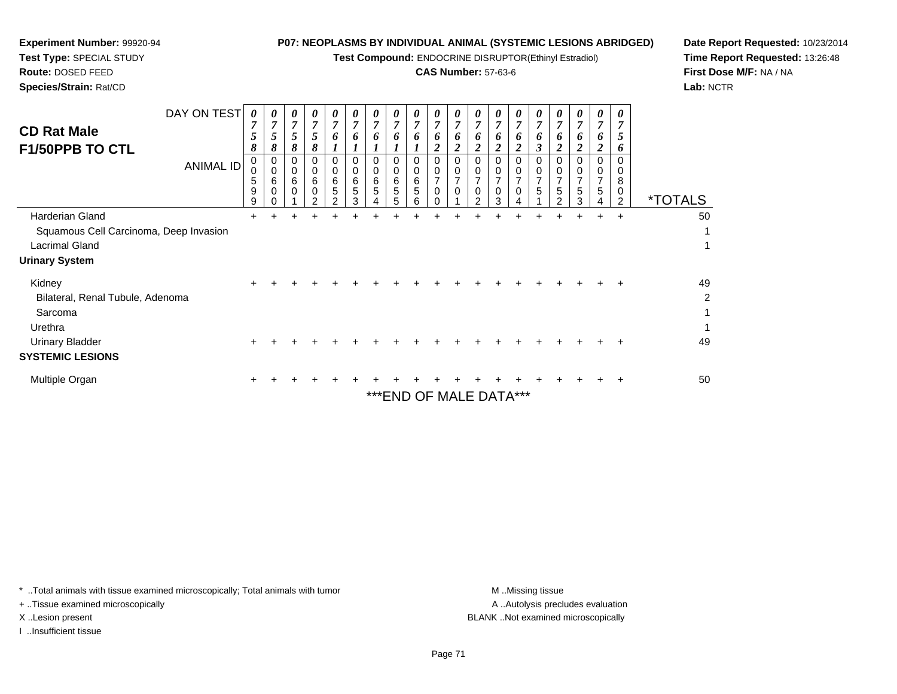| Test Type: SPECIAL STUDY<br>Route: DOSED FEED<br>Species/Strain: Rat/CD                                        | Test Compound: ENDOCRINE DISRUPTOR(Ethinyl Estradiol)<br><b>CAS Number: 57-63-6</b> |                                             |                                                                 |                                                   |                                                                 |                  |                                                                    |                                                     |                                                          |                                                          |                                                                                                   |                                                                                |                                                                                 |                                                                                                          |                                                                                             | Time Re<br><b>First Dos</b><br>Lab: NCT                                             |                                                   |                                                                                    |                                                          |                                               |                       |
|----------------------------------------------------------------------------------------------------------------|-------------------------------------------------------------------------------------|---------------------------------------------|-----------------------------------------------------------------|---------------------------------------------------|-----------------------------------------------------------------|------------------|--------------------------------------------------------------------|-----------------------------------------------------|----------------------------------------------------------|----------------------------------------------------------|---------------------------------------------------------------------------------------------------|--------------------------------------------------------------------------------|---------------------------------------------------------------------------------|----------------------------------------------------------------------------------------------------------|---------------------------------------------------------------------------------------------|-------------------------------------------------------------------------------------|---------------------------------------------------|------------------------------------------------------------------------------------|----------------------------------------------------------|-----------------------------------------------|-----------------------|
| <b>CD Rat Male</b><br>F1/50PPB TO CTL                                                                          | DAY ON TEST<br><b>ANIMAL ID</b>                                                     | 0<br>5<br>8<br>0<br>$\Omega$<br>5<br>9<br>9 | 0<br>$\overline{7}$<br>5<br>8<br>0<br>$\Omega$<br>6<br>$\Omega$ | 0<br>$\overline{7}$<br>5<br>8<br>0<br>0<br>6<br>0 | 0<br>$\overline{7}$<br>5<br>8<br>$\Omega$<br>$\Omega$<br>6<br>0 | 0<br>0<br>0<br>6 | 0<br>$\overline{7}$<br>6<br>$\Omega$<br>$\mathbf 0$<br>6<br>5<br>3 | 0<br>$\overline{7}$<br>6<br>$\Omega$<br>0<br>6<br>5 | 0<br>$\overline{7}$<br>1<br>$\Omega$<br>0<br>6<br>5<br>5 | 0<br>$\overline{7}$<br>1<br>$\Omega$<br>0<br>6<br>5<br>6 | 0<br>$\overline{7}$<br>6<br>$\overline{2}$<br>$\mathbf 0$<br>0<br>$\overline{7}$<br>$\Omega$<br>0 | 0<br>$\overline{7}$<br>6<br>$\boldsymbol{2}$<br>$\Omega$<br>0<br>7<br>$\Omega$ | 0<br>6<br>$\overline{\mathbf{c}}$<br>$\Omega$<br>0<br>$\Omega$<br>$\mathcal{P}$ | 0<br>$\overline{7}$<br>6<br>$\overline{2}$<br>$\Omega$<br>$\mathbf 0$<br>$\overline{7}$<br>$\Omega$<br>3 | 0<br>$\overline{7}$<br>6<br>$\overline{\mathbf{c}}$<br>$\Omega$<br>0<br>$\overline{7}$<br>0 | 0<br>$\overline{7}$<br>$\boldsymbol{\beta}$<br>$\Omega$<br>0<br>$\overline{7}$<br>5 | 0<br>$\overline{2}$<br>$\Omega$<br>$\overline{7}$ | 0<br>$\overline{7}$<br>6<br>$\overline{2}$<br>$\Omega$<br>0<br>$\overline{7}$<br>5 | 0<br>7<br>6<br>2<br>$\Omega$<br>0<br>$\overline{7}$<br>5 | 0<br>C.<br>6<br>0<br>8<br>0<br>$\overline{2}$ | <i><b>*TOTALS</b></i> |
| Harderian Gland<br>Squamous Cell Carcinoma, Deep Invasion<br><b>Lacrimal Gland</b><br><b>Urinary System</b>    |                                                                                     | $\pm$                                       |                                                                 |                                                   |                                                                 |                  |                                                                    |                                                     |                                                          |                                                          |                                                                                                   |                                                                                |                                                                                 |                                                                                                          |                                                                                             |                                                                                     |                                                   |                                                                                    |                                                          | $\div$                                        | 50                    |
| Kidney<br>Bilateral, Renal Tubule, Adenoma<br>Sarcoma<br>Urethra<br>Urinary Bladder<br><b>SYSTEMIC LESIONS</b> |                                                                                     | $\pm$                                       |                                                                 |                                                   |                                                                 |                  |                                                                    |                                                     |                                                          |                                                          |                                                                                                   |                                                                                |                                                                                 |                                                                                                          |                                                                                             |                                                                                     |                                                   |                                                                                    |                                                          |                                               | 49<br>2<br>49         |
| Multiple Organ                                                                                                 |                                                                                     | +                                           |                                                                 |                                                   |                                                                 |                  |                                                                    |                                                     |                                                          |                                                          |                                                                                                   |                                                                                | *** END OF MALE DATA***                                                         |                                                                                                          |                                                                                             |                                                                                     |                                                   |                                                                                    |                                                          |                                               | 50                    |

**Date Report Requested:** 10/23/2014**Time Report Requested:** 13:26:48**Se M/F:** NA / NA **Lab:** NCTR

\* ..Total animals with tissue examined microscopically; Total animals with tumor **M** . Missing tissue M ..Missing tissue

+ ..Tissue examined microscopically

**Experiment Number:** 99920-94

I ..Insufficient tissue

A ..Autolysis precludes evaluation X ..Lesion present BLANK ..Not examined microscopically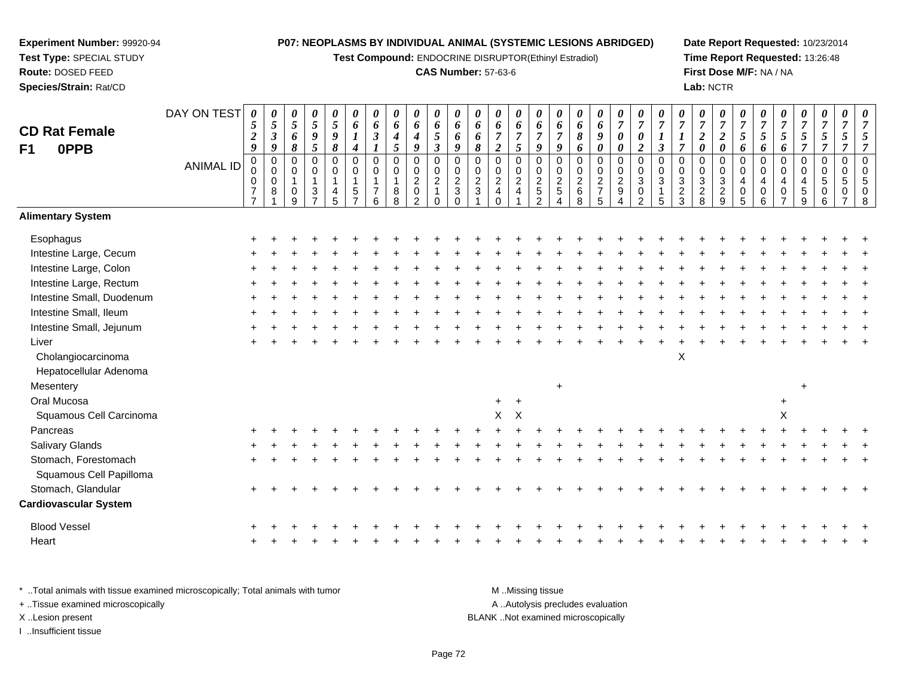**Test Compound:** ENDOCRINE DISRUPTOR(Ethinyl Estradiol)

## **CAS Number:** 57-63-6

**Date Report Requested:** 10/23/2014**Time Report Requested:** 13:26:48**First Dose M/F:** NA / NA**Lab:** NCTR

| <b>CD Rat Female</b>         | DAY ON TEST      | $\pmb{\theta}$<br>$\mathfrak{s}$<br>$\boldsymbol{2}$ | $\boldsymbol{\theta}$<br>$\mathfrak{s}$<br>$\boldsymbol{\beta}$ | $\pmb{\theta}$<br>$\sqrt{5}$<br>6               | 0<br>$\mathfrak{s}$<br>$\pmb{9}$                                           | $\boldsymbol{\theta}$<br>5<br>$\pmb{9}$                           | 0<br>6<br>1                                                       | 0<br>6<br>$\boldsymbol{\mathfrak{z}}$                                | 0<br>6<br>$\boldsymbol{4}$                         | $\pmb{\theta}$<br>6<br>$\boldsymbol{4}$                                              | $\pmb{\theta}$<br>6<br>$\overline{5}$                          | $\boldsymbol{\theta}$<br>6<br>6                                                        | 0<br>6<br>6                                                  | 0<br>6<br>$\boldsymbol{7}$                        | $\pmb{\theta}$<br>6<br>$\overline{7}$                                              | 0<br>6<br>$\overline{7}$                         | $\boldsymbol{\theta}$<br>6<br>$\overline{7}$              | $\pmb{\theta}$<br>$\pmb{6}$<br>$\pmb{8}$     | 0<br>6<br>9                                                         | 0<br>$\boldsymbol{7}$<br>$\pmb{\theta}$ | 0<br>$\boldsymbol{7}$<br>$\boldsymbol{\theta}$                                 | 0<br>$\overline{7}$                           | $\pmb{\theta}$<br>$\overline{7}$<br>$\boldsymbol{l}$ | $\pmb{\theta}$<br>$\overline{7}$<br>$\sqrt{2}$                 | 0<br>$\overline{7}$<br>$\boldsymbol{2}$                     | 0<br>$\boldsymbol{7}$<br>$\sqrt{5}$                 | $\pmb{\theta}$<br>$\overline{7}$<br>5                | 0<br>$\boldsymbol{7}$<br>$\mathfrak{z}$                  | $\boldsymbol{\theta}$<br>$\overline{7}$<br>$\mathfrak{s}$ | $\pmb{\theta}$<br>$\overline{7}$<br>$\overline{5}$ | $\boldsymbol{\theta}$<br>$\overline{7}$<br>5               | $\boldsymbol{\theta}$<br>$\overline{7}$<br>5                |
|------------------------------|------------------|------------------------------------------------------|-----------------------------------------------------------------|-------------------------------------------------|----------------------------------------------------------------------------|-------------------------------------------------------------------|-------------------------------------------------------------------|----------------------------------------------------------------------|----------------------------------------------------|--------------------------------------------------------------------------------------|----------------------------------------------------------------|----------------------------------------------------------------------------------------|--------------------------------------------------------------|---------------------------------------------------|------------------------------------------------------------------------------------|--------------------------------------------------|-----------------------------------------------------------|----------------------------------------------|---------------------------------------------------------------------|-----------------------------------------|--------------------------------------------------------------------------------|-----------------------------------------------|------------------------------------------------------|----------------------------------------------------------------|-------------------------------------------------------------|-----------------------------------------------------|------------------------------------------------------|----------------------------------------------------------|-----------------------------------------------------------|----------------------------------------------------|------------------------------------------------------------|-------------------------------------------------------------|
| <b>OPPB</b><br>F1            |                  | 9                                                    | 9                                                               | 8                                               | 5                                                                          | 8                                                                 | 4                                                                 |                                                                      | 5                                                  | 9                                                                                    | $\boldsymbol{\beta}$                                           | 9                                                                                      | 8                                                            | $\boldsymbol{2}$                                  | 5                                                                                  | 9                                                | 9                                                         | 6                                            | $\boldsymbol{\theta}$                                               | $\pmb{\theta}$                          | $\overline{2}$                                                                 | $\boldsymbol{\beta}$                          | $\overline{7}$                                       | $\pmb{\theta}$                                                 | $\pmb{\theta}$                                              | 6                                                   | 6                                                    | 6                                                        | $\overline{7}$                                            | $\overline{7}$                                     | $\overline{7}$                                             | $\overline{7}$                                              |
|                              | <b>ANIMAL ID</b> | $\pmb{0}$<br>0<br>$\boldsymbol{7}$<br>$\overline{7}$ | $\mathbf 0$<br>$\mathbf 0$<br>$\pmb{0}$<br>8                    | 0<br>0<br>$\mathbf{1}$<br>$\boldsymbol{0}$<br>9 | $\pmb{0}$<br>$\pmb{0}$<br>$\overline{1}$<br>$\mathbf{3}$<br>$\overline{7}$ | $\mathbf 0$<br>$\mathbf 0$<br>$\mathbf{1}$<br>$\overline{4}$<br>5 | $\mathbf 0$<br>$\mathbf 0$<br>$\mathbf{1}$<br>5<br>$\overline{7}$ | $\overline{0}$<br>$\mathbf 0$<br>$\mathbf{1}$<br>$\overline{7}$<br>6 | $\pmb{0}$<br>$\pmb{0}$<br>$\mathbf{1}$<br>$_{8}^8$ | $\pmb{0}$<br>$\pmb{0}$<br>$\sqrt{2}$<br>$\begin{smallmatrix} 0\\2 \end{smallmatrix}$ | 0<br>$\mathbf 0$<br>$\overline{c}$<br>$\mathbf{1}$<br>$\Omega$ | $\overline{0}$<br>$\pmb{0}$<br>$\overline{c}$<br>$\ensuremath{\mathsf{3}}$<br>$\Omega$ | $\mathbf 0$<br>$\mathbf 0$<br>$\overline{2}$<br>$\mathbf{3}$ | 0<br>$_{2}^{\rm 0}$<br>$\overline{4}$<br>$\Omega$ | $\overline{0}$<br>$\begin{smallmatrix} 0 \\ 2 \end{smallmatrix}$<br>$\overline{4}$ | $\mathsf 0$<br>$\mathbf 0$<br>$\frac{2}{5}$<br>2 | $\overline{0}$<br>$\mathbf 0$<br>$\sqrt{2}$<br>$\sqrt{5}$ | $\pmb{0}$<br>$\pmb{0}$<br>$\frac{2}{6}$<br>8 | $\mathbf 0$<br>$\pmb{0}$<br>$\overline{2}$<br>$\boldsymbol{7}$<br>5 | 0<br>0<br>$\frac{2}{9}$                 | $\mathbf 0$<br>$\mathbf 0$<br>$\sqrt{3}$<br>$\boldsymbol{0}$<br>$\overline{2}$ | $\overline{0}$<br>$\Omega$<br>$\sqrt{3}$<br>5 | 0<br>$_{3}^{\rm 0}$<br>$\frac{2}{3}$                 | $\pmb{0}$<br>$\boldsymbol{0}$<br>$\mathbf{3}$<br>$\frac{2}{8}$ | $\mathbf 0$<br>$\mathbf 0$<br>$\mathbf{3}$<br>$\frac{2}{9}$ | $\mathbf 0$<br>$\Omega$<br>4<br>0<br>$\overline{5}$ | $\overline{0}$<br>$\mathbf 0$<br>4<br>$\pmb{0}$<br>6 | 0<br>0<br>$\overline{\mathbf{4}}$<br>0<br>$\overline{ }$ | $\boldsymbol{0}$<br>$\mathbf 0$<br>4<br>$\,$ 5 $\,$<br>9  | $\pmb{0}$<br>$\mathbf 0$<br>5<br>0<br>6            | $\mathbf 0$<br>$\Omega$<br>5<br>$\Omega$<br>$\overline{ }$ | $\overline{0}$<br>$\boldsymbol{0}$<br>5<br>$\mathbf 0$<br>8 |
| <b>Alimentary System</b>     |                  |                                                      |                                                                 |                                                 |                                                                            |                                                                   |                                                                   |                                                                      |                                                    |                                                                                      |                                                                |                                                                                        |                                                              |                                                   |                                                                                    |                                                  |                                                           |                                              |                                                                     |                                         |                                                                                |                                               |                                                      |                                                                |                                                             |                                                     |                                                      |                                                          |                                                           |                                                    |                                                            |                                                             |
| Esophagus                    |                  |                                                      |                                                                 |                                                 |                                                                            |                                                                   |                                                                   |                                                                      |                                                    |                                                                                      |                                                                |                                                                                        |                                                              |                                                   |                                                                                    |                                                  |                                                           |                                              |                                                                     |                                         |                                                                                |                                               |                                                      |                                                                |                                                             |                                                     |                                                      |                                                          |                                                           |                                                    |                                                            |                                                             |
| Intestine Large, Cecum       |                  |                                                      |                                                                 |                                                 |                                                                            |                                                                   |                                                                   |                                                                      |                                                    |                                                                                      |                                                                |                                                                                        |                                                              |                                                   |                                                                                    |                                                  |                                                           |                                              |                                                                     |                                         |                                                                                |                                               |                                                      |                                                                |                                                             |                                                     |                                                      |                                                          |                                                           |                                                    |                                                            |                                                             |
| Intestine Large, Colon       |                  |                                                      |                                                                 |                                                 |                                                                            |                                                                   |                                                                   |                                                                      |                                                    |                                                                                      |                                                                |                                                                                        |                                                              |                                                   |                                                                                    |                                                  |                                                           |                                              |                                                                     |                                         |                                                                                |                                               |                                                      |                                                                |                                                             |                                                     |                                                      |                                                          |                                                           |                                                    |                                                            |                                                             |
| Intestine Large, Rectum      |                  |                                                      |                                                                 |                                                 |                                                                            |                                                                   |                                                                   |                                                                      |                                                    |                                                                                      |                                                                |                                                                                        |                                                              |                                                   |                                                                                    |                                                  |                                                           |                                              |                                                                     |                                         |                                                                                |                                               |                                                      |                                                                |                                                             |                                                     |                                                      |                                                          |                                                           |                                                    |                                                            |                                                             |
| Intestine Small, Duodenum    |                  |                                                      |                                                                 |                                                 |                                                                            |                                                                   |                                                                   |                                                                      |                                                    |                                                                                      |                                                                |                                                                                        |                                                              |                                                   |                                                                                    |                                                  |                                                           |                                              |                                                                     |                                         |                                                                                |                                               |                                                      |                                                                |                                                             |                                                     |                                                      |                                                          |                                                           |                                                    |                                                            |                                                             |
| Intestine Small, Ileum       |                  |                                                      |                                                                 |                                                 |                                                                            |                                                                   |                                                                   |                                                                      |                                                    |                                                                                      |                                                                |                                                                                        |                                                              |                                                   |                                                                                    |                                                  |                                                           |                                              |                                                                     |                                         |                                                                                |                                               |                                                      |                                                                |                                                             |                                                     |                                                      |                                                          |                                                           |                                                    |                                                            |                                                             |
| Intestine Small, Jejunum     |                  |                                                      |                                                                 |                                                 |                                                                            |                                                                   |                                                                   |                                                                      |                                                    |                                                                                      |                                                                |                                                                                        |                                                              |                                                   |                                                                                    |                                                  |                                                           |                                              |                                                                     |                                         |                                                                                |                                               |                                                      |                                                                |                                                             |                                                     |                                                      |                                                          |                                                           |                                                    |                                                            |                                                             |
| Liver                        |                  |                                                      |                                                                 |                                                 |                                                                            |                                                                   |                                                                   |                                                                      |                                                    |                                                                                      |                                                                |                                                                                        |                                                              |                                                   |                                                                                    |                                                  |                                                           |                                              |                                                                     |                                         |                                                                                |                                               |                                                      |                                                                |                                                             |                                                     |                                                      |                                                          |                                                           |                                                    |                                                            |                                                             |
| Cholangiocarcinoma           |                  |                                                      |                                                                 |                                                 |                                                                            |                                                                   |                                                                   |                                                                      |                                                    |                                                                                      |                                                                |                                                                                        |                                                              |                                                   |                                                                                    |                                                  |                                                           |                                              |                                                                     |                                         |                                                                                |                                               | $\pmb{\times}$                                       |                                                                |                                                             |                                                     |                                                      |                                                          |                                                           |                                                    |                                                            |                                                             |
| Hepatocellular Adenoma       |                  |                                                      |                                                                 |                                                 |                                                                            |                                                                   |                                                                   |                                                                      |                                                    |                                                                                      |                                                                |                                                                                        |                                                              |                                                   |                                                                                    |                                                  |                                                           |                                              |                                                                     |                                         |                                                                                |                                               |                                                      |                                                                |                                                             |                                                     |                                                      |                                                          |                                                           |                                                    |                                                            |                                                             |
| Mesentery                    |                  |                                                      |                                                                 |                                                 |                                                                            |                                                                   |                                                                   |                                                                      |                                                    |                                                                                      |                                                                |                                                                                        |                                                              |                                                   |                                                                                    |                                                  | $\ddot{}$                                                 |                                              |                                                                     |                                         |                                                                                |                                               |                                                      |                                                                |                                                             |                                                     |                                                      |                                                          |                                                           |                                                    |                                                            |                                                             |
| Oral Mucosa                  |                  |                                                      |                                                                 |                                                 |                                                                            |                                                                   |                                                                   |                                                                      |                                                    |                                                                                      |                                                                |                                                                                        |                                                              | $+$                                               | $+$                                                                                |                                                  |                                                           |                                              |                                                                     |                                         |                                                                                |                                               |                                                      |                                                                |                                                             |                                                     |                                                      | $\ddot{}$                                                |                                                           |                                                    |                                                            |                                                             |
| Squamous Cell Carcinoma      |                  |                                                      |                                                                 |                                                 |                                                                            |                                                                   |                                                                   |                                                                      |                                                    |                                                                                      |                                                                |                                                                                        |                                                              | X                                                 | $\mathsf{X}$                                                                       |                                                  |                                                           |                                              |                                                                     |                                         |                                                                                |                                               |                                                      |                                                                |                                                             |                                                     |                                                      | X                                                        |                                                           |                                                    |                                                            |                                                             |
| Pancreas                     |                  |                                                      |                                                                 |                                                 |                                                                            |                                                                   |                                                                   |                                                                      |                                                    |                                                                                      |                                                                |                                                                                        |                                                              |                                                   |                                                                                    |                                                  |                                                           |                                              |                                                                     |                                         |                                                                                |                                               |                                                      |                                                                |                                                             |                                                     |                                                      |                                                          |                                                           |                                                    |                                                            |                                                             |
| Salivary Glands              |                  |                                                      |                                                                 |                                                 |                                                                            |                                                                   |                                                                   |                                                                      |                                                    |                                                                                      |                                                                |                                                                                        |                                                              |                                                   |                                                                                    |                                                  |                                                           |                                              |                                                                     |                                         |                                                                                |                                               |                                                      |                                                                |                                                             |                                                     |                                                      |                                                          |                                                           |                                                    |                                                            |                                                             |
| Stomach, Forestomach         |                  |                                                      |                                                                 |                                                 |                                                                            |                                                                   |                                                                   |                                                                      |                                                    |                                                                                      |                                                                |                                                                                        |                                                              |                                                   |                                                                                    |                                                  |                                                           |                                              |                                                                     |                                         |                                                                                |                                               |                                                      |                                                                |                                                             |                                                     |                                                      |                                                          |                                                           |                                                    |                                                            |                                                             |
| Squamous Cell Papilloma      |                  |                                                      |                                                                 |                                                 |                                                                            |                                                                   |                                                                   |                                                                      |                                                    |                                                                                      |                                                                |                                                                                        |                                                              |                                                   |                                                                                    |                                                  |                                                           |                                              |                                                                     |                                         |                                                                                |                                               |                                                      |                                                                |                                                             |                                                     |                                                      |                                                          |                                                           |                                                    |                                                            |                                                             |
| Stomach, Glandular           |                  |                                                      |                                                                 |                                                 |                                                                            |                                                                   |                                                                   |                                                                      |                                                    |                                                                                      |                                                                |                                                                                        |                                                              |                                                   |                                                                                    |                                                  |                                                           |                                              |                                                                     |                                         |                                                                                |                                               |                                                      |                                                                |                                                             |                                                     |                                                      |                                                          |                                                           |                                                    |                                                            |                                                             |
| <b>Cardiovascular System</b> |                  |                                                      |                                                                 |                                                 |                                                                            |                                                                   |                                                                   |                                                                      |                                                    |                                                                                      |                                                                |                                                                                        |                                                              |                                                   |                                                                                    |                                                  |                                                           |                                              |                                                                     |                                         |                                                                                |                                               |                                                      |                                                                |                                                             |                                                     |                                                      |                                                          |                                                           |                                                    |                                                            |                                                             |
| <b>Blood Vessel</b>          |                  |                                                      |                                                                 |                                                 |                                                                            |                                                                   |                                                                   |                                                                      |                                                    |                                                                                      |                                                                |                                                                                        |                                                              |                                                   |                                                                                    |                                                  |                                                           |                                              |                                                                     |                                         |                                                                                |                                               |                                                      |                                                                |                                                             |                                                     |                                                      |                                                          |                                                           |                                                    |                                                            |                                                             |
| Heart                        |                  |                                                      |                                                                 |                                                 |                                                                            |                                                                   |                                                                   |                                                                      |                                                    |                                                                                      |                                                                |                                                                                        |                                                              |                                                   |                                                                                    |                                                  |                                                           |                                              |                                                                     |                                         |                                                                                |                                               |                                                      |                                                                |                                                             |                                                     |                                                      |                                                          |                                                           |                                                    |                                                            |                                                             |
|                              |                  |                                                      |                                                                 |                                                 |                                                                            |                                                                   |                                                                   |                                                                      |                                                    |                                                                                      |                                                                |                                                                                        |                                                              |                                                   |                                                                                    |                                                  |                                                           |                                              |                                                                     |                                         |                                                                                |                                               |                                                      |                                                                |                                                             |                                                     |                                                      |                                                          |                                                           |                                                    |                                                            |                                                             |

\* ..Total animals with tissue examined microscopically; Total animals with tumor **M** . Missing tissue M ..Missing tissue A ..Autolysis precludes evaluation + ..Tissue examined microscopically X ..Lesion present BLANK ..Not examined microscopicallyI ..Insufficient tissue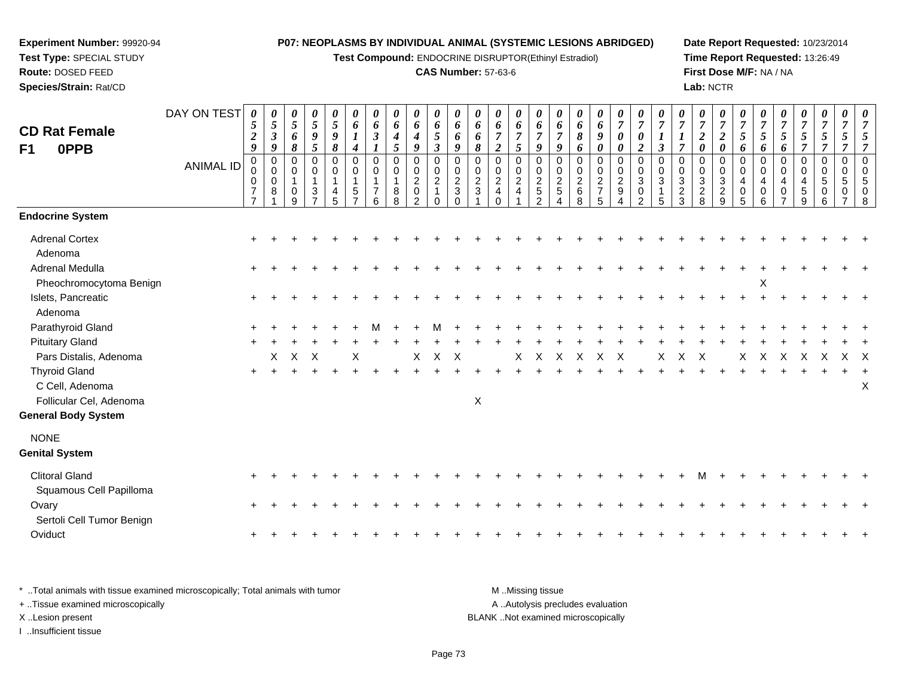**Test Compound:** ENDOCRINE DISRUPTOR(Ethinyl Estradiol)

## **CAS Number:** 57-63-6

**Date Report Requested:** 10/23/2014 **Time Report Requested:** 13:26:49**First Dose M/F:** NA / NA**Lab:** NCTR

| <b>CD Rat Female</b><br>F1<br>0PPB                                 | DAY ON TEST<br><b>ANIMAL ID</b> | $\boldsymbol{\theta}$<br>5<br>$\boldsymbol{2}$<br>$\boldsymbol{g}$<br>0<br>0<br>0<br>$\overline{\mathbf{7}}$<br>$\overline{7}$ | 0<br>5<br>$\boldsymbol{\beta}$<br>$\boldsymbol{q}$<br>0<br>$\pmb{0}$<br>0<br>8 | 0<br>5<br>6<br>8<br>$\Omega$<br>0<br>$\overline{1}$<br>0<br>9 | $\boldsymbol{\theta}$<br>$\mathfrak{s}$<br>$\boldsymbol{g}$<br>5<br>$\mathbf 0$<br>$\pmb{0}$<br>$\overline{1}$<br>$\mathbf{3}$<br>$\overline{ }$ | 0<br>$\mathfrak{s}$<br>$\boldsymbol{9}$<br>$\pmb{8}$<br>0<br>0<br>$\mathbf{1}$<br>4<br>5 | 0<br>6<br>$\boldsymbol{l}$<br>$\boldsymbol{4}$<br>$\Omega$<br>$\mathbf 0$<br>1<br>5 | 0<br>6<br>$\boldsymbol{\beta}$<br>0<br>$\mathbf 0$<br>6 | 0<br>6<br>$\boldsymbol{4}$<br>5<br>0<br>$\mathsf 0$<br>$\mathbf{1}$<br>8<br>8 | 0<br>6<br>$\boldsymbol{4}$<br>$\boldsymbol{q}$<br>0<br>$\pmb{0}$<br>$\boldsymbol{2}$<br>$\pmb{0}$<br>2 | 0<br>6<br>$\mathfrak{s}$<br>$\boldsymbol{\beta}$<br>0<br>$\mathbf 0$<br>$\overline{2}$<br>$\Omega$ | 0<br>6<br>6<br>9<br>0<br>$\mathbf 0$<br>$\overline{c}$<br>$\sqrt{3}$ | 0<br>6<br>6<br>8<br>0<br>$\mathbf 0$<br>$\overline{c}$<br>$\mathbf{3}$ | 0<br>6<br>$\overline{7}$<br>$\overline{2}$<br>0<br>$\mathbf 0$<br>$\overline{c}$<br>$\overline{4}$<br>$\Omega$ | 0<br>6<br>$\overline{7}$<br>5<br>0<br>$\mathbf 0$<br>$\overline{a}$<br>$\overline{4}$ | 0<br>6<br>$\boldsymbol{7}$<br>9<br>0<br>$\pmb{0}$<br>$\frac{2}{5}$<br>$\mathfrak{p}$ | 0<br>6<br>$\overline{7}$<br>9<br>$\mathbf 0$<br>$\mathsf 0$<br>$\frac{2}{5}$ | $\boldsymbol{\theta}$<br>6<br>$\pmb{8}$<br>6<br>$\pmb{0}$<br>$\mathsf{O}\xspace$<br>$\sqrt{2}$<br>$\,6\,$<br>8 | $\pmb{\theta}$<br>6<br>$\boldsymbol{g}$<br>$\pmb{\theta}$<br>$\pmb{0}$<br>$\mathbf 0$<br>$\frac{2}{7}$<br>5 | 0<br>$\overline{7}$<br>$\boldsymbol{\theta}$<br>$\boldsymbol{\theta}$<br>0<br>0<br>$\overline{a}$<br>9 | 0<br>$\overline{7}$<br>$\boldsymbol{\theta}$<br>$\boldsymbol{2}$<br>$\Omega$<br>$\mathbf 0$<br>$\sqrt{3}$<br>$\mathbf 0$<br>$\mathcal{P}$ | 0<br>$\overline{7}$<br>$\mathfrak{z}$<br>$\mathbf 0$<br>$\mathbf 0$<br>3<br>5 | 0<br>$\boldsymbol{7}$<br>$\overline{7}$<br>$\Omega$<br>$\overline{0}$<br>$\ensuremath{\mathsf{3}}$<br>$\overline{c}$<br>3 | 0<br>$\overline{7}$<br>$\boldsymbol{2}$<br>$\boldsymbol{\theta}$<br>$\mathbf 0$<br>$\mathsf{O}\xspace$<br>$\sqrt{3}$<br>$\overline{\mathbf{c}}$<br>8 | 0<br>$\overline{7}$<br>$\boldsymbol{2}$<br>$\boldsymbol{\theta}$<br>0<br>$\mathbf 0$<br>3<br>$\overline{c}$<br>9 | $\overline{7}$<br>$\mathfrak{s}$<br>6<br>$\mathbf 0$<br>$\mathbf 0$<br>4<br>$\mathbf 0$<br>5 | 0<br>$\overline{7}$<br>5<br>6<br>0<br>$\mathbf 0$<br>4<br>0<br>6 | 0<br>$\boldsymbol{7}$<br>$\mathfrak{z}$<br>6<br>0<br>0<br>$\overline{4}$<br>0 | 0<br>$\overline{7}$<br>$\mathfrak{s}$<br>$\overline{7}$<br>0<br>$\mathbf 0$<br>4<br>$\,$ 5 $\,$<br>9 | 0<br>$\mathfrak{s}$<br>$\overline{7}$<br>$\Omega$<br>$\mathbf{0}$<br>5<br>0<br>6 | 0<br>$\overline{7}$<br>5<br>$\overline{7}$<br>$\mathbf 0$<br>$\mathbf 0$<br>5<br>0 | 0<br>$\overline{7}$<br>$\mathfrak{s}$<br>$\overline{7}$<br>$\pmb{0}$<br>$\pmb{0}$<br>5<br>$\pmb{0}$<br>$\,8\,$ |
|--------------------------------------------------------------------|---------------------------------|--------------------------------------------------------------------------------------------------------------------------------|--------------------------------------------------------------------------------|---------------------------------------------------------------|--------------------------------------------------------------------------------------------------------------------------------------------------|------------------------------------------------------------------------------------------|-------------------------------------------------------------------------------------|---------------------------------------------------------|-------------------------------------------------------------------------------|--------------------------------------------------------------------------------------------------------|----------------------------------------------------------------------------------------------------|----------------------------------------------------------------------|------------------------------------------------------------------------|----------------------------------------------------------------------------------------------------------------|---------------------------------------------------------------------------------------|--------------------------------------------------------------------------------------|------------------------------------------------------------------------------|----------------------------------------------------------------------------------------------------------------|-------------------------------------------------------------------------------------------------------------|--------------------------------------------------------------------------------------------------------|-------------------------------------------------------------------------------------------------------------------------------------------|-------------------------------------------------------------------------------|---------------------------------------------------------------------------------------------------------------------------|------------------------------------------------------------------------------------------------------------------------------------------------------|------------------------------------------------------------------------------------------------------------------|----------------------------------------------------------------------------------------------|------------------------------------------------------------------|-------------------------------------------------------------------------------|------------------------------------------------------------------------------------------------------|----------------------------------------------------------------------------------|------------------------------------------------------------------------------------|----------------------------------------------------------------------------------------------------------------|
| <b>Endocrine System</b>                                            |                                 |                                                                                                                                |                                                                                |                                                               |                                                                                                                                                  |                                                                                          |                                                                                     |                                                         |                                                                               |                                                                                                        |                                                                                                    |                                                                      |                                                                        |                                                                                                                |                                                                                       |                                                                                      |                                                                              |                                                                                                                |                                                                                                             |                                                                                                        |                                                                                                                                           |                                                                               |                                                                                                                           |                                                                                                                                                      |                                                                                                                  |                                                                                              |                                                                  |                                                                               |                                                                                                      |                                                                                  |                                                                                    |                                                                                                                |
| <b>Adrenal Cortex</b><br>Adenoma                                   |                                 |                                                                                                                                |                                                                                |                                                               |                                                                                                                                                  |                                                                                          |                                                                                     |                                                         |                                                                               |                                                                                                        |                                                                                                    |                                                                      |                                                                        |                                                                                                                |                                                                                       |                                                                                      |                                                                              |                                                                                                                |                                                                                                             |                                                                                                        |                                                                                                                                           |                                                                               |                                                                                                                           |                                                                                                                                                      |                                                                                                                  |                                                                                              |                                                                  |                                                                               |                                                                                                      |                                                                                  |                                                                                    |                                                                                                                |
| Adrenal Medulla<br>Pheochromocytoma Benign                         |                                 | $\ddot{}$                                                                                                                      |                                                                                |                                                               |                                                                                                                                                  |                                                                                          |                                                                                     |                                                         |                                                                               |                                                                                                        |                                                                                                    |                                                                      |                                                                        |                                                                                                                |                                                                                       |                                                                                      |                                                                              |                                                                                                                |                                                                                                             |                                                                                                        |                                                                                                                                           |                                                                               |                                                                                                                           |                                                                                                                                                      |                                                                                                                  |                                                                                              | X                                                                |                                                                               |                                                                                                      |                                                                                  |                                                                                    |                                                                                                                |
| Islets, Pancreatic<br>Adenoma                                      |                                 | $\ddot{}$                                                                                                                      |                                                                                |                                                               |                                                                                                                                                  |                                                                                          |                                                                                     |                                                         |                                                                               |                                                                                                        |                                                                                                    |                                                                      |                                                                        |                                                                                                                |                                                                                       |                                                                                      |                                                                              |                                                                                                                |                                                                                                             |                                                                                                        |                                                                                                                                           |                                                                               |                                                                                                                           |                                                                                                                                                      |                                                                                                                  |                                                                                              |                                                                  |                                                                               |                                                                                                      |                                                                                  |                                                                                    |                                                                                                                |
| Parathyroid Gland                                                  |                                 |                                                                                                                                |                                                                                |                                                               |                                                                                                                                                  |                                                                                          |                                                                                     |                                                         |                                                                               |                                                                                                        |                                                                                                    |                                                                      |                                                                        |                                                                                                                |                                                                                       |                                                                                      |                                                                              |                                                                                                                |                                                                                                             |                                                                                                        |                                                                                                                                           |                                                                               |                                                                                                                           |                                                                                                                                                      |                                                                                                                  |                                                                                              |                                                                  |                                                                               |                                                                                                      |                                                                                  |                                                                                    |                                                                                                                |
| <b>Pituitary Gland</b>                                             |                                 |                                                                                                                                |                                                                                |                                                               |                                                                                                                                                  |                                                                                          |                                                                                     |                                                         |                                                                               |                                                                                                        |                                                                                                    |                                                                      |                                                                        |                                                                                                                |                                                                                       |                                                                                      |                                                                              |                                                                                                                |                                                                                                             |                                                                                                        |                                                                                                                                           |                                                                               |                                                                                                                           |                                                                                                                                                      |                                                                                                                  |                                                                                              |                                                                  |                                                                               |                                                                                                      |                                                                                  |                                                                                    |                                                                                                                |
| Pars Distalis, Adenoma                                             |                                 |                                                                                                                                | X                                                                              | X                                                             | $\times$                                                                                                                                         |                                                                                          | Χ                                                                                   |                                                         |                                                                               | X                                                                                                      | $\boldsymbol{\mathsf{X}}$                                                                          | $\times$                                                             |                                                                        |                                                                                                                | X                                                                                     | X                                                                                    | X                                                                            | X                                                                                                              | Χ                                                                                                           | X                                                                                                      |                                                                                                                                           | Χ                                                                             | X                                                                                                                         | $\times$                                                                                                                                             |                                                                                                                  | X                                                                                            | X                                                                | $\times$                                                                      | Χ                                                                                                    | Χ                                                                                | X.                                                                                 | $\mathsf{X}$                                                                                                   |
| <b>Thyroid Gland</b><br>C Cell, Adenoma<br>Follicular Cel, Adenoma |                                 | $+$                                                                                                                            | $\div$                                                                         |                                                               |                                                                                                                                                  |                                                                                          |                                                                                     |                                                         |                                                                               |                                                                                                        |                                                                                                    |                                                                      | X                                                                      |                                                                                                                |                                                                                       |                                                                                      |                                                                              |                                                                                                                |                                                                                                             |                                                                                                        |                                                                                                                                           |                                                                               |                                                                                                                           |                                                                                                                                                      |                                                                                                                  |                                                                                              |                                                                  |                                                                               |                                                                                                      |                                                                                  |                                                                                    | X                                                                                                              |
| <b>General Body System</b>                                         |                                 |                                                                                                                                |                                                                                |                                                               |                                                                                                                                                  |                                                                                          |                                                                                     |                                                         |                                                                               |                                                                                                        |                                                                                                    |                                                                      |                                                                        |                                                                                                                |                                                                                       |                                                                                      |                                                                              |                                                                                                                |                                                                                                             |                                                                                                        |                                                                                                                                           |                                                                               |                                                                                                                           |                                                                                                                                                      |                                                                                                                  |                                                                                              |                                                                  |                                                                               |                                                                                                      |                                                                                  |                                                                                    |                                                                                                                |
| <b>NONE</b><br><b>Genital System</b>                               |                                 |                                                                                                                                |                                                                                |                                                               |                                                                                                                                                  |                                                                                          |                                                                                     |                                                         |                                                                               |                                                                                                        |                                                                                                    |                                                                      |                                                                        |                                                                                                                |                                                                                       |                                                                                      |                                                                              |                                                                                                                |                                                                                                             |                                                                                                        |                                                                                                                                           |                                                                               |                                                                                                                           |                                                                                                                                                      |                                                                                                                  |                                                                                              |                                                                  |                                                                               |                                                                                                      |                                                                                  |                                                                                    |                                                                                                                |
| <b>Clitoral Gland</b><br>Squamous Cell Papilloma                   |                                 |                                                                                                                                |                                                                                |                                                               |                                                                                                                                                  |                                                                                          |                                                                                     |                                                         |                                                                               |                                                                                                        |                                                                                                    |                                                                      |                                                                        |                                                                                                                |                                                                                       |                                                                                      |                                                                              |                                                                                                                |                                                                                                             |                                                                                                        |                                                                                                                                           |                                                                               |                                                                                                                           |                                                                                                                                                      |                                                                                                                  |                                                                                              |                                                                  |                                                                               |                                                                                                      |                                                                                  |                                                                                    |                                                                                                                |
| Ovary<br>Sertoli Cell Tumor Benign                                 |                                 | $\ddot{}$                                                                                                                      |                                                                                |                                                               |                                                                                                                                                  |                                                                                          |                                                                                     |                                                         |                                                                               |                                                                                                        |                                                                                                    |                                                                      |                                                                        |                                                                                                                |                                                                                       |                                                                                      |                                                                              |                                                                                                                |                                                                                                             |                                                                                                        |                                                                                                                                           |                                                                               |                                                                                                                           |                                                                                                                                                      |                                                                                                                  |                                                                                              |                                                                  |                                                                               |                                                                                                      |                                                                                  |                                                                                    |                                                                                                                |
| Oviduct                                                            |                                 | $+$                                                                                                                            |                                                                                |                                                               |                                                                                                                                                  |                                                                                          |                                                                                     |                                                         |                                                                               |                                                                                                        |                                                                                                    |                                                                      |                                                                        |                                                                                                                |                                                                                       |                                                                                      |                                                                              |                                                                                                                |                                                                                                             |                                                                                                        |                                                                                                                                           |                                                                               |                                                                                                                           |                                                                                                                                                      |                                                                                                                  |                                                                                              |                                                                  |                                                                               |                                                                                                      |                                                                                  |                                                                                    |                                                                                                                |

| * Total animals with tissue examined microscopically; Total animals with tumor | M Missing tissue                   |
|--------------------------------------------------------------------------------|------------------------------------|
| + Tissue examined microscopically                                              | A Autolysis precludes evaluation   |
| X Lesion present                                                               | BLANK Not examined microscopically |
| …Insufficient tissue                                                           |                                    |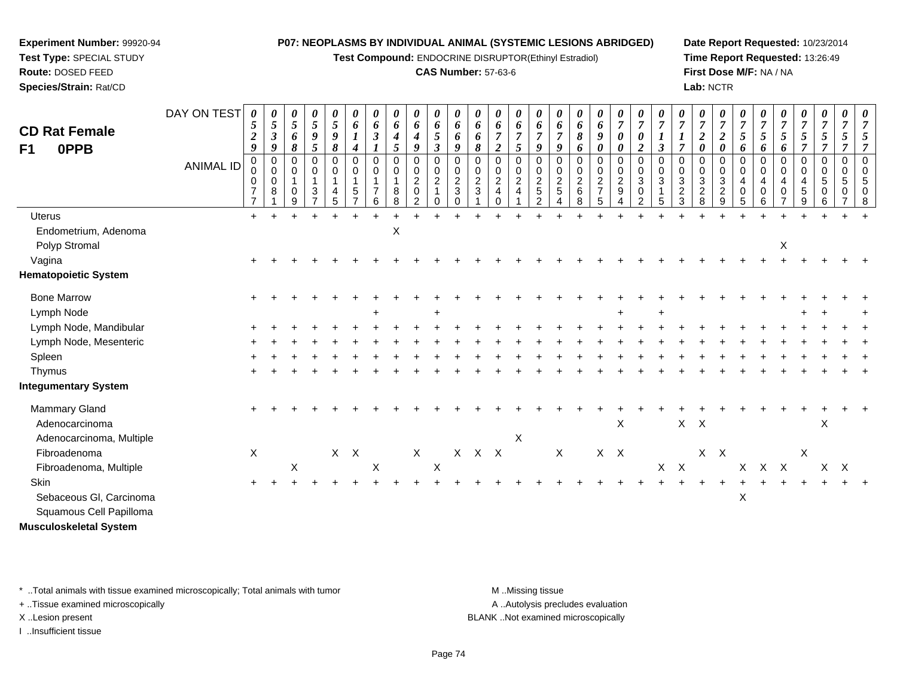**Test Compound:** ENDOCRINE DISRUPTOR(Ethinyl Estradiol)

### **CAS Number:** 57-63-6

**Date Report Requested:** 10/23/2014**Time Report Requested:** 13:26:49**First Dose M/F:** NA / NA**Lab:** NCTR

| <b>CD Rat Female</b><br>0PPB<br>F <sub>1</sub> | DAY ON TEST<br>ANIMAL ID | 0<br>5<br>$\overline{2}$<br>9<br>$\mathbf 0$<br>$\mathbf 0$<br>0<br>$\overline{7}$ | 0<br>$\mathfrak{s}$<br>$\boldsymbol{\beta}$<br>9<br>0<br>$\mathbf 0$<br>0<br>8 | $\boldsymbol{\theta}$<br>5<br>6<br>8<br>$\Omega$<br>0<br>$\overline{1}$<br>0 | 0<br>5<br>9<br>5<br>0<br>0<br>$\mathbf{1}$<br>3 | 0<br>5<br>9<br>8<br>$\Omega$<br>0<br>$\mathbf{1}$<br>4 | $\boldsymbol{\theta}$<br>6<br>$\boldsymbol{4}$<br>$\Omega$<br>0<br>$\,$ 5 $\,$<br>$\overline{ }$ | 0<br>6<br>$\boldsymbol{\beta}$<br>$\Omega$<br>0<br>$\overline{\mathbf{1}}$ | $\boldsymbol{\theta}$<br>6<br>$\boldsymbol{4}$<br>$\sqrt{5}$<br>$\mathbf 0$<br>0<br>$\mathbf{1}$<br>8 | 0<br>6<br>$\boldsymbol{4}$<br>9<br>0<br>$\mathbf 0$<br>$\overline{c}$<br>$\pmb{0}$ | 0<br>6<br>5<br>$\mathfrak{z}$<br>0<br>$\boldsymbol{0}$<br>$\frac{2}{1}$ | 0<br>6<br>6<br>9<br>$\mathbf 0$<br>$\pmb{0}$<br>$\frac{2}{3}$ | 0<br>6<br>6<br>8<br>$\Omega$<br>0<br>$\frac{2}{3}$ | 0<br>6<br>$\overline{7}$<br>$\overline{\mathbf{c}}$<br>$\Omega$<br>0<br>$\overline{2}$<br>4 | $\boldsymbol{\theta}$<br>6<br>$\boldsymbol{7}$<br>5<br>0<br>0<br>$\overline{c}$<br>$\overline{\mathbf{4}}$ | $\boldsymbol{\theta}$<br>6<br>$\overline{7}$<br>9<br>$\Omega$<br>0<br>$\overline{c}$<br>$\sqrt{5}$ | 0<br>6<br>$\overline{7}$<br>9<br>$\Omega$<br>0<br>$rac{2}{5}$ | $\boldsymbol{\theta}$<br>6<br>8<br>6<br>$\mathbf 0$<br>0<br>$\frac{2}{6}$ | 0<br>6<br>9<br>0<br>$\mathbf 0$<br>$\mathbf 0$<br>$\frac{2}{7}$ | 0<br>$\overline{7}$<br>$\boldsymbol{\theta}$<br>0<br>0<br>$\mathsf{O}\xspace$<br>$\frac{2}{9}$ | $\boldsymbol{\theta}$<br>$\overline{7}$<br>$\boldsymbol{\theta}$<br>$\overline{2}$<br>$\overline{0}$<br>$\mathbf 0$<br>$\overline{3}$<br>$\mathbf 0$ | 0<br>$\overline{7}$<br>$\boldsymbol{l}$<br>$\mathbf{3}$<br>$\Omega$<br>0<br>3 | $\boldsymbol{\theta}$<br>$\boldsymbol{7}$<br>$\boldsymbol{l}$<br>$\overline{7}$<br>0<br>0<br>$\mathbf 3$<br>$\frac{2}{3}$ | $\theta$<br>$\overline{7}$<br>$\boldsymbol{2}$<br>0<br>$\Omega$<br>0<br>$\sqrt{3}$<br>$\boldsymbol{2}$ | 0<br>$\boldsymbol{7}$<br>$\boldsymbol{2}$<br>$\boldsymbol{\theta}$<br>$\Omega$<br>0<br>$\sqrt{3}$<br>$\sqrt{2}$ | $\boldsymbol{\theta}$<br>$\overline{7}$<br>$\overline{5}$<br>6<br>$\Omega$<br>0<br>$\overline{4}$<br>$\,0\,$ | $\boldsymbol{\theta}$<br>$\overline{7}$<br>$\mathfrak{I}$<br>6<br>$\Omega$<br>0<br>4<br>0 | $\boldsymbol{\theta}$<br>$\boldsymbol{7}$<br>5<br>6<br>$\Omega$<br>0<br>4<br>0 | $\boldsymbol{\theta}$<br>$\overline{7}$<br>5<br>$\overline{7}$<br>0<br>0<br>4<br>$\sqrt{5}$ | $\boldsymbol{\theta}$<br>$\overline{7}$<br>5<br>$\overline{7}$<br>0<br>0<br>$5\,$<br>0 | 0<br>$\overline{7}$<br>$\mathfrak{s}$<br>$\overline{7}$<br>$\mathbf 0$<br>$\mathbf 0$<br>$\,$ 5 $\,$<br>0 | $\boldsymbol{\mathit{U}}$ |
|------------------------------------------------|--------------------------|------------------------------------------------------------------------------------|--------------------------------------------------------------------------------|------------------------------------------------------------------------------|-------------------------------------------------|--------------------------------------------------------|--------------------------------------------------------------------------------------------------|----------------------------------------------------------------------------|-------------------------------------------------------------------------------------------------------|------------------------------------------------------------------------------------|-------------------------------------------------------------------------|---------------------------------------------------------------|----------------------------------------------------|---------------------------------------------------------------------------------------------|------------------------------------------------------------------------------------------------------------|----------------------------------------------------------------------------------------------------|---------------------------------------------------------------|---------------------------------------------------------------------------|-----------------------------------------------------------------|------------------------------------------------------------------------------------------------|------------------------------------------------------------------------------------------------------------------------------------------------------|-------------------------------------------------------------------------------|---------------------------------------------------------------------------------------------------------------------------|--------------------------------------------------------------------------------------------------------|-----------------------------------------------------------------------------------------------------------------|--------------------------------------------------------------------------------------------------------------|-------------------------------------------------------------------------------------------|--------------------------------------------------------------------------------|---------------------------------------------------------------------------------------------|----------------------------------------------------------------------------------------|-----------------------------------------------------------------------------------------------------------|---------------------------|
| <b>Uterus</b>                                  |                          | $\overline{7}$<br>$+$                                                              |                                                                                | 9                                                                            |                                                 | 5                                                      |                                                                                                  | 6                                                                          | 8                                                                                                     | 2                                                                                  | $\Omega$                                                                | $\mathbf 0$                                                   |                                                    | $\Omega$                                                                                    |                                                                                                            | 2                                                                                                  | 4                                                             | 8                                                                         | 5                                                               | 4                                                                                              | $\overline{2}$                                                                                                                                       | 5                                                                             |                                                                                                                           | 8                                                                                                      | 9                                                                                                               | 5                                                                                                            | 6                                                                                         |                                                                                | 9                                                                                           | 6                                                                                      |                                                                                                           | R                         |
| Endometrium, Adenoma                           |                          |                                                                                    |                                                                                |                                                                              |                                                 |                                                        |                                                                                                  |                                                                            | $\mathsf X$                                                                                           |                                                                                    |                                                                         |                                                               |                                                    |                                                                                             |                                                                                                            |                                                                                                    |                                                               |                                                                           |                                                                 |                                                                                                |                                                                                                                                                      |                                                                               |                                                                                                                           |                                                                                                        |                                                                                                                 |                                                                                                              |                                                                                           |                                                                                |                                                                                             |                                                                                        |                                                                                                           |                           |
| Polyp Stromal                                  |                          |                                                                                    |                                                                                |                                                                              |                                                 |                                                        |                                                                                                  |                                                                            |                                                                                                       |                                                                                    |                                                                         |                                                               |                                                    |                                                                                             |                                                                                                            |                                                                                                    |                                                               |                                                                           |                                                                 |                                                                                                |                                                                                                                                                      |                                                                               |                                                                                                                           |                                                                                                        |                                                                                                                 |                                                                                                              |                                                                                           | $\mathsf X$                                                                    |                                                                                             |                                                                                        |                                                                                                           |                           |
| Vagina                                         |                          |                                                                                    |                                                                                |                                                                              |                                                 |                                                        |                                                                                                  |                                                                            |                                                                                                       |                                                                                    |                                                                         |                                                               |                                                    |                                                                                             |                                                                                                            |                                                                                                    |                                                               |                                                                           |                                                                 |                                                                                                |                                                                                                                                                      |                                                                               |                                                                                                                           |                                                                                                        |                                                                                                                 |                                                                                                              |                                                                                           |                                                                                |                                                                                             |                                                                                        |                                                                                                           |                           |
| <b>Hematopoietic System</b>                    |                          |                                                                                    |                                                                                |                                                                              |                                                 |                                                        |                                                                                                  |                                                                            |                                                                                                       |                                                                                    |                                                                         |                                                               |                                                    |                                                                                             |                                                                                                            |                                                                                                    |                                                               |                                                                           |                                                                 |                                                                                                |                                                                                                                                                      |                                                                               |                                                                                                                           |                                                                                                        |                                                                                                                 |                                                                                                              |                                                                                           |                                                                                |                                                                                             |                                                                                        |                                                                                                           |                           |
| <b>Bone Marrow</b>                             |                          |                                                                                    |                                                                                |                                                                              |                                                 |                                                        |                                                                                                  |                                                                            |                                                                                                       |                                                                                    |                                                                         |                                                               |                                                    |                                                                                             |                                                                                                            |                                                                                                    |                                                               |                                                                           |                                                                 |                                                                                                |                                                                                                                                                      |                                                                               |                                                                                                                           |                                                                                                        |                                                                                                                 |                                                                                                              |                                                                                           |                                                                                |                                                                                             |                                                                                        |                                                                                                           |                           |
| Lymph Node                                     |                          |                                                                                    |                                                                                |                                                                              |                                                 |                                                        |                                                                                                  |                                                                            |                                                                                                       |                                                                                    |                                                                         |                                                               |                                                    |                                                                                             |                                                                                                            |                                                                                                    |                                                               |                                                                           |                                                                 | ᆂ                                                                                              |                                                                                                                                                      |                                                                               |                                                                                                                           |                                                                                                        |                                                                                                                 |                                                                                                              |                                                                                           |                                                                                |                                                                                             |                                                                                        |                                                                                                           |                           |
| Lymph Node, Mandibular                         |                          |                                                                                    |                                                                                |                                                                              |                                                 |                                                        |                                                                                                  |                                                                            |                                                                                                       |                                                                                    |                                                                         |                                                               |                                                    |                                                                                             |                                                                                                            |                                                                                                    |                                                               |                                                                           |                                                                 |                                                                                                |                                                                                                                                                      |                                                                               |                                                                                                                           |                                                                                                        |                                                                                                                 |                                                                                                              |                                                                                           |                                                                                |                                                                                             |                                                                                        |                                                                                                           |                           |
| Lymph Node, Mesenteric                         |                          |                                                                                    |                                                                                |                                                                              |                                                 |                                                        |                                                                                                  |                                                                            |                                                                                                       |                                                                                    |                                                                         |                                                               |                                                    |                                                                                             |                                                                                                            |                                                                                                    |                                                               |                                                                           |                                                                 |                                                                                                |                                                                                                                                                      |                                                                               |                                                                                                                           |                                                                                                        |                                                                                                                 |                                                                                                              |                                                                                           |                                                                                |                                                                                             |                                                                                        |                                                                                                           |                           |
| Spleen                                         |                          |                                                                                    |                                                                                |                                                                              |                                                 |                                                        |                                                                                                  |                                                                            |                                                                                                       |                                                                                    |                                                                         |                                                               |                                                    |                                                                                             |                                                                                                            |                                                                                                    |                                                               |                                                                           |                                                                 |                                                                                                |                                                                                                                                                      |                                                                               |                                                                                                                           |                                                                                                        |                                                                                                                 |                                                                                                              |                                                                                           |                                                                                |                                                                                             |                                                                                        |                                                                                                           |                           |
| Thymus                                         |                          |                                                                                    |                                                                                |                                                                              |                                                 |                                                        |                                                                                                  |                                                                            |                                                                                                       |                                                                                    |                                                                         |                                                               |                                                    |                                                                                             |                                                                                                            |                                                                                                    |                                                               |                                                                           |                                                                 |                                                                                                |                                                                                                                                                      |                                                                               |                                                                                                                           |                                                                                                        |                                                                                                                 |                                                                                                              |                                                                                           |                                                                                |                                                                                             |                                                                                        |                                                                                                           |                           |
| <b>Integumentary System</b>                    |                          |                                                                                    |                                                                                |                                                                              |                                                 |                                                        |                                                                                                  |                                                                            |                                                                                                       |                                                                                    |                                                                         |                                                               |                                                    |                                                                                             |                                                                                                            |                                                                                                    |                                                               |                                                                           |                                                                 |                                                                                                |                                                                                                                                                      |                                                                               |                                                                                                                           |                                                                                                        |                                                                                                                 |                                                                                                              |                                                                                           |                                                                                |                                                                                             |                                                                                        |                                                                                                           |                           |
| Mammary Gland                                  |                          |                                                                                    |                                                                                |                                                                              |                                                 |                                                        |                                                                                                  |                                                                            |                                                                                                       |                                                                                    |                                                                         |                                                               |                                                    |                                                                                             |                                                                                                            |                                                                                                    |                                                               |                                                                           |                                                                 |                                                                                                |                                                                                                                                                      |                                                                               |                                                                                                                           |                                                                                                        |                                                                                                                 |                                                                                                              |                                                                                           |                                                                                |                                                                                             |                                                                                        |                                                                                                           |                           |
| Adenocarcinoma                                 |                          |                                                                                    |                                                                                |                                                                              |                                                 |                                                        |                                                                                                  |                                                                            |                                                                                                       |                                                                                    |                                                                         |                                                               |                                                    |                                                                                             |                                                                                                            |                                                                                                    |                                                               |                                                                           |                                                                 | $\mathsf X$                                                                                    |                                                                                                                                                      |                                                                               |                                                                                                                           | $X$ $X$                                                                                                |                                                                                                                 |                                                                                                              |                                                                                           |                                                                                |                                                                                             | X                                                                                      |                                                                                                           |                           |
| Adenocarcinoma, Multiple                       |                          |                                                                                    |                                                                                |                                                                              |                                                 |                                                        |                                                                                                  |                                                                            |                                                                                                       |                                                                                    |                                                                         |                                                               |                                                    |                                                                                             | X                                                                                                          |                                                                                                    |                                                               |                                                                           |                                                                 |                                                                                                |                                                                                                                                                      |                                                                               |                                                                                                                           |                                                                                                        |                                                                                                                 |                                                                                                              |                                                                                           |                                                                                |                                                                                             |                                                                                        |                                                                                                           |                           |
| Fibroadenoma                                   |                          | X                                                                                  |                                                                                |                                                                              |                                                 |                                                        | $X$ $X$                                                                                          |                                                                            |                                                                                                       | $\mathsf X$                                                                        |                                                                         | $X -$                                                         |                                                    | $X$ $X$                                                                                     |                                                                                                            |                                                                                                    | $\mathsf X$                                                   |                                                                           | $X$ $X$                                                         |                                                                                                |                                                                                                                                                      |                                                                               |                                                                                                                           |                                                                                                        | $X$ $X$                                                                                                         |                                                                                                              |                                                                                           |                                                                                | $\mathsf X$                                                                                 |                                                                                        |                                                                                                           |                           |
| Fibroadenoma, Multiple                         |                          |                                                                                    |                                                                                | X                                                                            |                                                 |                                                        |                                                                                                  | X                                                                          |                                                                                                       |                                                                                    | $\boldsymbol{\mathsf{X}}$                                               |                                                               |                                                    |                                                                                             |                                                                                                            |                                                                                                    |                                                               |                                                                           |                                                                 |                                                                                                |                                                                                                                                                      |                                                                               | $X$ $X$                                                                                                                   |                                                                                                        |                                                                                                                 |                                                                                                              | X X X                                                                                     |                                                                                |                                                                                             | $X$ $X$                                                                                |                                                                                                           |                           |
| Skin                                           |                          |                                                                                    |                                                                                |                                                                              |                                                 |                                                        |                                                                                                  |                                                                            |                                                                                                       |                                                                                    |                                                                         |                                                               |                                                    |                                                                                             |                                                                                                            |                                                                                                    |                                                               |                                                                           |                                                                 |                                                                                                |                                                                                                                                                      |                                                                               |                                                                                                                           |                                                                                                        |                                                                                                                 |                                                                                                              |                                                                                           |                                                                                |                                                                                             |                                                                                        |                                                                                                           |                           |
| Sebaceous Gl, Carcinoma                        |                          |                                                                                    |                                                                                |                                                                              |                                                 |                                                        |                                                                                                  |                                                                            |                                                                                                       |                                                                                    |                                                                         |                                                               |                                                    |                                                                                             |                                                                                                            |                                                                                                    |                                                               |                                                                           |                                                                 |                                                                                                |                                                                                                                                                      |                                                                               |                                                                                                                           |                                                                                                        |                                                                                                                 | X                                                                                                            |                                                                                           |                                                                                |                                                                                             |                                                                                        |                                                                                                           |                           |
| Squamous Cell Papilloma                        |                          |                                                                                    |                                                                                |                                                                              |                                                 |                                                        |                                                                                                  |                                                                            |                                                                                                       |                                                                                    |                                                                         |                                                               |                                                    |                                                                                             |                                                                                                            |                                                                                                    |                                                               |                                                                           |                                                                 |                                                                                                |                                                                                                                                                      |                                                                               |                                                                                                                           |                                                                                                        |                                                                                                                 |                                                                                                              |                                                                                           |                                                                                |                                                                                             |                                                                                        |                                                                                                           |                           |
| <b>Musculoskeletal System</b>                  |                          |                                                                                    |                                                                                |                                                                              |                                                 |                                                        |                                                                                                  |                                                                            |                                                                                                       |                                                                                    |                                                                         |                                                               |                                                    |                                                                                             |                                                                                                            |                                                                                                    |                                                               |                                                                           |                                                                 |                                                                                                |                                                                                                                                                      |                                                                               |                                                                                                                           |                                                                                                        |                                                                                                                 |                                                                                                              |                                                                                           |                                                                                |                                                                                             |                                                                                        |                                                                                                           |                           |

\* ..Total animals with tissue examined microscopically; Total animals with tumor **M** . Missing tissue M ..Missing tissue

+ ..Tissue examined microscopically

**Experiment Number:** 99920-94**Test Type:** SPECIAL STUDY**Route:** DOSED FEED**Species/Strain:** Rat/CD

I ..Insufficient tissue

A ..Autolysis precludes evaluation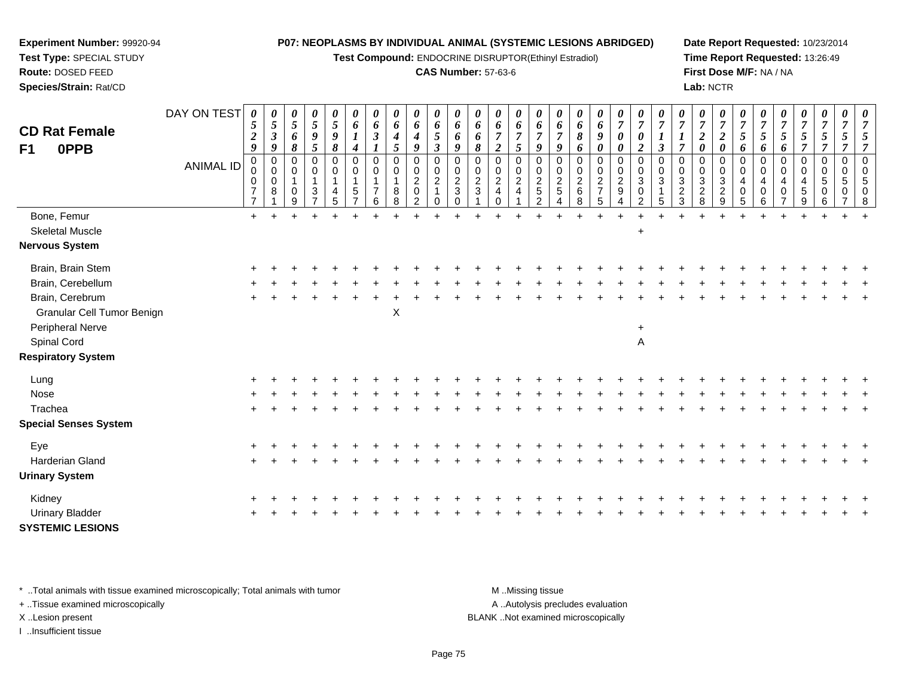**Test Compound:** ENDOCRINE DISRUPTOR(Ethinyl Estradiol)

### **CAS Number:** 57-63-6

**Date Report Requested:** 10/23/2014**Time Report Requested:** 13:26:49**First Dose M/F:** NA / NA**Lab:** NCTR

| <b>CD Rat Female</b><br><b>OPPB</b><br>F <sub>1</sub> | DAY ON TEST<br><b>ANIMAL ID</b> | 0<br>5<br>$\boldsymbol{2}$<br>9<br>$\pmb{0}$<br>$\mathsf 0$<br>0<br>$\overline{7}$ | 0<br>5<br>$\boldsymbol{\beta}$<br>9<br>$\mathbf 0$<br>0<br>$\Omega$<br>8 | 0<br>$\sqrt{5}$<br>6<br>$\pmb{8}$<br>$\pmb{0}$<br>0<br>0 | $\boldsymbol{\theta}$<br>$5\overline{)}$<br>$\pmb{9}$<br>$\mathfrak{s}$<br>0<br>0<br>1<br>$\mathbf{3}$ | $\boldsymbol{\theta}$<br>$\sqrt{5}$<br>$\boldsymbol{9}$<br>$\boldsymbol{\delta}$<br>$\pmb{0}$<br>$\pmb{0}$<br>$\mathbf{1}$<br>$\overline{\mathbf{4}}$ | 0<br>6<br>4<br>$\mathbf 0$<br>0<br>5 | 0<br>6<br>$\boldsymbol{\beta}$<br>$\mathbf 0$<br>0<br>1<br>$\overline{7}$ | 0<br>6<br>$\boldsymbol{4}$<br>5<br>0<br>0<br>$\mathbf{1}$<br>8 | 0<br>6<br>$\boldsymbol{4}$<br>9<br>$\pmb{0}$<br>0<br>$\overline{2}$<br>$\pmb{0}$ | 0<br>6<br>$\overline{\mathfrak{s}}$<br>$\boldsymbol{\mathfrak{z}}$<br>$\pmb{0}$<br>0<br>$\overline{2}$ | $\boldsymbol{\theta}$<br>6<br>6<br>9<br>$\mathbf 0$<br>$\begin{smallmatrix} 0\\2 \end{smallmatrix}$<br>$\ensuremath{\mathsf{3}}$ | 0<br>6<br>6<br>8<br>0<br>0<br>$\overline{2}$<br>3 | 0<br>6<br>$\boldsymbol{7}$<br>$\overline{\mathbf{c}}$<br>0<br>0<br>$\overline{2}$<br>$\overline{a}$ | 0<br>6<br>$\overline{7}$<br>5<br>$\mathbf 0$<br>0<br>$\overline{2}$<br>$\overline{4}$ | 0<br>6<br>$\overline{7}$<br>9<br>$\mathbf 0$<br>0<br>$\boldsymbol{2}$<br>5 | 0<br>6<br>$\overline{7}$<br>9<br>$\mathbf 0$<br>0<br>$\overline{c}$<br>5 | 0<br>6<br>8<br>6<br>$\mathbf 0$<br>0<br>$\boldsymbol{2}$<br>6 | 0<br>6<br>9<br>$\boldsymbol{\theta}$<br>0<br>0<br>$\overline{2}$<br>$\overline{7}$ | $\boldsymbol{\theta}$<br>$\overline{7}$<br>$\boldsymbol{\theta}$<br>$\boldsymbol{\theta}$<br>$\pmb{0}$<br>$\begin{smallmatrix} 0\\2 \end{smallmatrix}$<br>$9\,$ | 0<br>$\overline{7}$<br>$\boldsymbol{\theta}$<br>$\boldsymbol{2}$<br>$\mathbf 0$<br>0<br>$\mathbf{3}$<br>$\mathbf 0$ | 7<br>$\boldsymbol{l}$<br>$\mathfrak{z}$<br>$\mathbf 0$<br>$\mathbf 0$<br>3 | 0<br>$\overline{7}$<br>$\overline{7}$<br>$\mathbf 0$<br>0<br>3<br>$\overline{c}$ | 0<br>$\boldsymbol{7}$<br>$\boldsymbol{2}$<br>$\boldsymbol{\theta}$<br>0<br>0<br>$\frac{3}{2}$ | 0<br>$\overline{7}$<br>$\boldsymbol{2}$<br>$\boldsymbol{\theta}$<br>$\mathbf 0$<br>0<br>3<br>$\overline{c}$ | 0<br>$\overline{7}$<br>$\mathfrak{s}$<br>6<br>$\mathbf 0$<br>0<br>$\overline{4}$<br>$\mathbf 0$ | 0<br>$\overline{7}$<br>$\mathfrak{s}$<br>6<br>$\mathbf 0$<br>0<br>$\overline{4}$<br>$\mathbf 0$ | $\pmb{\theta}$<br>$\overline{7}$<br>$\mathfrak{z}$<br>6<br>$\pmb{0}$<br>$\mathbf 0$<br>4<br>$\mathsf{O}\xspace$ | 0<br>$\overline{7}$<br>$\sqrt{5}$<br>$\overline{7}$<br>$\pmb{0}$<br>0<br>$\overline{4}$<br>$\sqrt{5}$ | 0<br>$\overline{7}$<br>$\overline{5}$<br>$\overline{7}$<br>$\mathbf 0$<br>0<br>5<br>$\mathbf 0$ | 0<br>$\overline{7}$<br>5<br>$\overline{7}$<br>$\mathbf 0$<br>0<br>5<br>0 | 0<br>$\overline{7}$<br>5<br>$\overline{7}$<br>$\Omega$<br>$\mathbf 0$<br>5<br>$\mathbf 0$ |
|-------------------------------------------------------|---------------------------------|------------------------------------------------------------------------------------|--------------------------------------------------------------------------|----------------------------------------------------------|--------------------------------------------------------------------------------------------------------|-------------------------------------------------------------------------------------------------------------------------------------------------------|--------------------------------------|---------------------------------------------------------------------------|----------------------------------------------------------------|----------------------------------------------------------------------------------|--------------------------------------------------------------------------------------------------------|----------------------------------------------------------------------------------------------------------------------------------|---------------------------------------------------|-----------------------------------------------------------------------------------------------------|---------------------------------------------------------------------------------------|----------------------------------------------------------------------------|--------------------------------------------------------------------------|---------------------------------------------------------------|------------------------------------------------------------------------------------|-----------------------------------------------------------------------------------------------------------------------------------------------------------------|---------------------------------------------------------------------------------------------------------------------|----------------------------------------------------------------------------|----------------------------------------------------------------------------------|-----------------------------------------------------------------------------------------------|-------------------------------------------------------------------------------------------------------------|-------------------------------------------------------------------------------------------------|-------------------------------------------------------------------------------------------------|-----------------------------------------------------------------------------------------------------------------|-------------------------------------------------------------------------------------------------------|-------------------------------------------------------------------------------------------------|--------------------------------------------------------------------------|-------------------------------------------------------------------------------------------|
|                                                       |                                 | $\overline{7}$                                                                     |                                                                          | 9                                                        | $\overline{7}$                                                                                         | 5                                                                                                                                                     |                                      | 6                                                                         | 8                                                              | $\overline{2}$                                                                   | $\Omega$                                                                                               | $\Omega$                                                                                                                         |                                                   | $\Omega$                                                                                            |                                                                                       | 2                                                                          |                                                                          | 8                                                             | 5                                                                                  | $\overline{4}$                                                                                                                                                  | 2                                                                                                                   | 5                                                                          | 3                                                                                | 8                                                                                             | 9                                                                                                           | 5                                                                                               | 6                                                                                               | $\overline{7}$                                                                                                  | $9\,$                                                                                                 | 6                                                                                               |                                                                          | 8                                                                                         |
| Bone, Femur<br><b>Skeletal Muscle</b>                 |                                 | $+$                                                                                | $\ddot{}$                                                                |                                                          | $\ddot{}$                                                                                              |                                                                                                                                                       |                                      |                                                                           |                                                                |                                                                                  |                                                                                                        |                                                                                                                                  |                                                   |                                                                                                     |                                                                                       |                                                                            |                                                                          | $\overline{+}$                                                | $\div$                                                                             |                                                                                                                                                                 | ┹<br>$\ddot{}$                                                                                                      |                                                                            |                                                                                  |                                                                                               | $\ddot{}$                                                                                                   |                                                                                                 |                                                                                                 |                                                                                                                 |                                                                                                       |                                                                                                 |                                                                          |                                                                                           |
| <b>Nervous System</b>                                 |                                 |                                                                                    |                                                                          |                                                          |                                                                                                        |                                                                                                                                                       |                                      |                                                                           |                                                                |                                                                                  |                                                                                                        |                                                                                                                                  |                                                   |                                                                                                     |                                                                                       |                                                                            |                                                                          |                                                               |                                                                                    |                                                                                                                                                                 |                                                                                                                     |                                                                            |                                                                                  |                                                                                               |                                                                                                             |                                                                                                 |                                                                                                 |                                                                                                                 |                                                                                                       |                                                                                                 |                                                                          |                                                                                           |
| Brain, Brain Stem                                     |                                 |                                                                                    |                                                                          |                                                          |                                                                                                        |                                                                                                                                                       |                                      |                                                                           |                                                                |                                                                                  |                                                                                                        |                                                                                                                                  |                                                   |                                                                                                     |                                                                                       |                                                                            |                                                                          |                                                               |                                                                                    |                                                                                                                                                                 |                                                                                                                     |                                                                            |                                                                                  |                                                                                               |                                                                                                             |                                                                                                 |                                                                                                 |                                                                                                                 |                                                                                                       |                                                                                                 |                                                                          |                                                                                           |
| Brain, Cerebellum                                     |                                 |                                                                                    |                                                                          |                                                          |                                                                                                        |                                                                                                                                                       |                                      |                                                                           |                                                                |                                                                                  |                                                                                                        |                                                                                                                                  |                                                   |                                                                                                     |                                                                                       |                                                                            |                                                                          |                                                               |                                                                                    |                                                                                                                                                                 |                                                                                                                     |                                                                            |                                                                                  |                                                                                               |                                                                                                             |                                                                                                 |                                                                                                 |                                                                                                                 |                                                                                                       |                                                                                                 |                                                                          |                                                                                           |
| Brain, Cerebrum                                       |                                 |                                                                                    |                                                                          |                                                          |                                                                                                        |                                                                                                                                                       |                                      |                                                                           |                                                                |                                                                                  |                                                                                                        |                                                                                                                                  |                                                   |                                                                                                     |                                                                                       |                                                                            |                                                                          |                                                               |                                                                                    |                                                                                                                                                                 |                                                                                                                     |                                                                            |                                                                                  |                                                                                               |                                                                                                             |                                                                                                 |                                                                                                 |                                                                                                                 |                                                                                                       |                                                                                                 |                                                                          |                                                                                           |
| Granular Cell Tumor Benign                            |                                 |                                                                                    |                                                                          |                                                          |                                                                                                        |                                                                                                                                                       |                                      |                                                                           | X                                                              |                                                                                  |                                                                                                        |                                                                                                                                  |                                                   |                                                                                                     |                                                                                       |                                                                            |                                                                          |                                                               |                                                                                    |                                                                                                                                                                 |                                                                                                                     |                                                                            |                                                                                  |                                                                                               |                                                                                                             |                                                                                                 |                                                                                                 |                                                                                                                 |                                                                                                       |                                                                                                 |                                                                          |                                                                                           |
| Peripheral Nerve                                      |                                 |                                                                                    |                                                                          |                                                          |                                                                                                        |                                                                                                                                                       |                                      |                                                                           |                                                                |                                                                                  |                                                                                                        |                                                                                                                                  |                                                   |                                                                                                     |                                                                                       |                                                                            |                                                                          |                                                               |                                                                                    |                                                                                                                                                                 | $\ddot{}$                                                                                                           |                                                                            |                                                                                  |                                                                                               |                                                                                                             |                                                                                                 |                                                                                                 |                                                                                                                 |                                                                                                       |                                                                                                 |                                                                          |                                                                                           |
| Spinal Cord                                           |                                 |                                                                                    |                                                                          |                                                          |                                                                                                        |                                                                                                                                                       |                                      |                                                                           |                                                                |                                                                                  |                                                                                                        |                                                                                                                                  |                                                   |                                                                                                     |                                                                                       |                                                                            |                                                                          |                                                               |                                                                                    |                                                                                                                                                                 | A                                                                                                                   |                                                                            |                                                                                  |                                                                                               |                                                                                                             |                                                                                                 |                                                                                                 |                                                                                                                 |                                                                                                       |                                                                                                 |                                                                          |                                                                                           |
| <b>Respiratory System</b>                             |                                 |                                                                                    |                                                                          |                                                          |                                                                                                        |                                                                                                                                                       |                                      |                                                                           |                                                                |                                                                                  |                                                                                                        |                                                                                                                                  |                                                   |                                                                                                     |                                                                                       |                                                                            |                                                                          |                                                               |                                                                                    |                                                                                                                                                                 |                                                                                                                     |                                                                            |                                                                                  |                                                                                               |                                                                                                             |                                                                                                 |                                                                                                 |                                                                                                                 |                                                                                                       |                                                                                                 |                                                                          |                                                                                           |
| Lung                                                  |                                 |                                                                                    |                                                                          |                                                          |                                                                                                        |                                                                                                                                                       |                                      |                                                                           |                                                                |                                                                                  |                                                                                                        |                                                                                                                                  |                                                   |                                                                                                     |                                                                                       |                                                                            |                                                                          |                                                               |                                                                                    |                                                                                                                                                                 |                                                                                                                     |                                                                            |                                                                                  |                                                                                               |                                                                                                             |                                                                                                 |                                                                                                 |                                                                                                                 |                                                                                                       |                                                                                                 |                                                                          |                                                                                           |
| Nose                                                  |                                 |                                                                                    |                                                                          |                                                          |                                                                                                        |                                                                                                                                                       |                                      |                                                                           |                                                                |                                                                                  |                                                                                                        |                                                                                                                                  |                                                   |                                                                                                     |                                                                                       |                                                                            |                                                                          |                                                               |                                                                                    |                                                                                                                                                                 |                                                                                                                     |                                                                            |                                                                                  |                                                                                               |                                                                                                             |                                                                                                 |                                                                                                 |                                                                                                                 |                                                                                                       |                                                                                                 |                                                                          |                                                                                           |
| Trachea                                               |                                 |                                                                                    |                                                                          |                                                          |                                                                                                        |                                                                                                                                                       |                                      |                                                                           |                                                                |                                                                                  |                                                                                                        |                                                                                                                                  |                                                   |                                                                                                     |                                                                                       |                                                                            |                                                                          |                                                               |                                                                                    |                                                                                                                                                                 |                                                                                                                     |                                                                            |                                                                                  |                                                                                               |                                                                                                             |                                                                                                 |                                                                                                 |                                                                                                                 |                                                                                                       |                                                                                                 |                                                                          |                                                                                           |
| <b>Special Senses System</b>                          |                                 |                                                                                    |                                                                          |                                                          |                                                                                                        |                                                                                                                                                       |                                      |                                                                           |                                                                |                                                                                  |                                                                                                        |                                                                                                                                  |                                                   |                                                                                                     |                                                                                       |                                                                            |                                                                          |                                                               |                                                                                    |                                                                                                                                                                 |                                                                                                                     |                                                                            |                                                                                  |                                                                                               |                                                                                                             |                                                                                                 |                                                                                                 |                                                                                                                 |                                                                                                       |                                                                                                 |                                                                          |                                                                                           |
| Eye                                                   |                                 |                                                                                    |                                                                          |                                                          |                                                                                                        |                                                                                                                                                       |                                      |                                                                           |                                                                |                                                                                  |                                                                                                        |                                                                                                                                  |                                                   |                                                                                                     |                                                                                       |                                                                            |                                                                          |                                                               |                                                                                    |                                                                                                                                                                 |                                                                                                                     |                                                                            |                                                                                  |                                                                                               |                                                                                                             |                                                                                                 |                                                                                                 |                                                                                                                 |                                                                                                       |                                                                                                 |                                                                          |                                                                                           |
| Harderian Gland                                       |                                 |                                                                                    |                                                                          |                                                          |                                                                                                        |                                                                                                                                                       |                                      |                                                                           |                                                                |                                                                                  |                                                                                                        |                                                                                                                                  |                                                   |                                                                                                     |                                                                                       |                                                                            |                                                                          |                                                               |                                                                                    |                                                                                                                                                                 |                                                                                                                     |                                                                            |                                                                                  |                                                                                               |                                                                                                             |                                                                                                 |                                                                                                 |                                                                                                                 |                                                                                                       |                                                                                                 |                                                                          |                                                                                           |
| <b>Urinary System</b>                                 |                                 |                                                                                    |                                                                          |                                                          |                                                                                                        |                                                                                                                                                       |                                      |                                                                           |                                                                |                                                                                  |                                                                                                        |                                                                                                                                  |                                                   |                                                                                                     |                                                                                       |                                                                            |                                                                          |                                                               |                                                                                    |                                                                                                                                                                 |                                                                                                                     |                                                                            |                                                                                  |                                                                                               |                                                                                                             |                                                                                                 |                                                                                                 |                                                                                                                 |                                                                                                       |                                                                                                 |                                                                          |                                                                                           |
| Kidney                                                |                                 |                                                                                    |                                                                          |                                                          |                                                                                                        |                                                                                                                                                       |                                      |                                                                           |                                                                |                                                                                  |                                                                                                        |                                                                                                                                  |                                                   |                                                                                                     |                                                                                       |                                                                            |                                                                          |                                                               |                                                                                    |                                                                                                                                                                 |                                                                                                                     |                                                                            |                                                                                  |                                                                                               |                                                                                                             |                                                                                                 |                                                                                                 |                                                                                                                 |                                                                                                       |                                                                                                 |                                                                          |                                                                                           |
| <b>Urinary Bladder</b>                                |                                 |                                                                                    |                                                                          |                                                          |                                                                                                        |                                                                                                                                                       |                                      |                                                                           |                                                                |                                                                                  |                                                                                                        |                                                                                                                                  |                                                   |                                                                                                     |                                                                                       |                                                                            |                                                                          |                                                               |                                                                                    |                                                                                                                                                                 |                                                                                                                     |                                                                            |                                                                                  |                                                                                               |                                                                                                             |                                                                                                 |                                                                                                 |                                                                                                                 |                                                                                                       |                                                                                                 |                                                                          |                                                                                           |
| <b>SYSTEMIC LESIONS</b>                               |                                 |                                                                                    |                                                                          |                                                          |                                                                                                        |                                                                                                                                                       |                                      |                                                                           |                                                                |                                                                                  |                                                                                                        |                                                                                                                                  |                                                   |                                                                                                     |                                                                                       |                                                                            |                                                                          |                                                               |                                                                                    |                                                                                                                                                                 |                                                                                                                     |                                                                            |                                                                                  |                                                                                               |                                                                                                             |                                                                                                 |                                                                                                 |                                                                                                                 |                                                                                                       |                                                                                                 |                                                                          |                                                                                           |

\* ..Total animals with tissue examined microscopically; Total animals with tumor **M** . Missing tissue M ..Missing tissue

+ ..Tissue examined microscopically

**Experiment Number:** 99920-94**Test Type:** SPECIAL STUDY**Route:** DOSED FEED**Species/Strain:** Rat/CD

I ..Insufficient tissue

A ..Autolysis precludes evaluation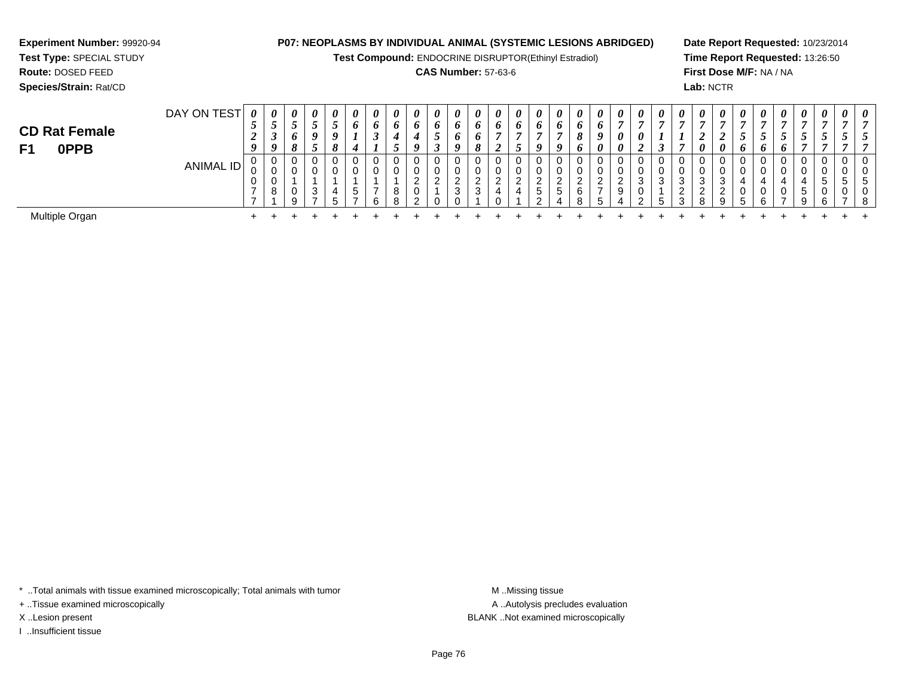**Test Compound:** ENDOCRINE DISRUPTOR(Ethinyl Estradiol)

#### **CAS Number:** 57-63-6

**Date Report Requested:** 10/23/2014**Time Report Requested:** 13:26:50**First Dose M/F:** NA / NA**Lab:** NCTR

| DAY ON TEST | $\boldsymbol{\theta}$ | 0         | 0      | $\boldsymbol{\theta}$ | 0      | $\boldsymbol{\theta}$ | 0 | $\boldsymbol{\theta}$ | 0        | $\boldsymbol{\theta}$ | $\boldsymbol{\theta}$ | 0        | $\boldsymbol{\theta}$ | $\boldsymbol{\theta}$ | 0             | $\boldsymbol{\theta}$ | $\boldsymbol{\theta}$ | 0                | $\boldsymbol{\theta}$ | $\boldsymbol{\theta}$ | $\boldsymbol{\theta}$ | $\boldsymbol{\theta}$ | $\boldsymbol{\theta}$ | 0        | $\boldsymbol{\theta}$ | 0 | 0                             | $\theta$                 | $\theta$     | $\boldsymbol{\theta}$ | $\boldsymbol{\theta}$ |
|-------------|-----------------------|-----------|--------|-----------------------|--------|-----------------------|---|-----------------------|----------|-----------------------|-----------------------|----------|-----------------------|-----------------------|---------------|-----------------------|-----------------------|------------------|-----------------------|-----------------------|-----------------------|-----------------------|-----------------------|----------|-----------------------|---|-------------------------------|--------------------------|--------------|-----------------------|-----------------------|
|             | ◡                     | ◡         |        | ◡                     | ◡      | 6                     | o | 6                     | o        | o                     | $\bm{o}$              | $\bm{o}$ | $\bm{o}$              | v                     |               | o                     | $\bm{o}$              | 6                | $\overline{ }$        |                       |                       |                       |                       |          |                       |   |                               |                          |              |                       |                       |
|             |                       | ◡         | 6      | 0                     | o      |                       |   |                       |          | ັ                     | o                     |          |                       |                       |               |                       | 8                     | 9                | $\boldsymbol{\theta}$ | 0                     |                       |                       |                       | ∼        | ◡                     | ◡ | $\overline{\phantom{0}}$<br>ັ |                          | ັ            | $\mathcal{L}$         | ູ                     |
|             |                       | 0         |        | J                     | 8      | 4                     |   |                       | 0        |                       |                       |          |                       |                       | o             | $\boldsymbol{a}$      | $\bm{o}$              | 0                | $\boldsymbol{\theta}$ |                       |                       |                       | $\boldsymbol{\theta}$ | 0        | $\bm{o}$              | 6 |                               |                          |              |                       |                       |
|             |                       | 0         | U      | 0                     |        | 0                     |   |                       | 0        |                       |                       | 0        |                       |                       | U             | 0                     | 0                     | 0                | 0                     |                       | 0                     |                       | 0                     | U        | 0                     |   |                               | 0                        | 0            | $\mathbf{0}$          | 0                     |
|             | ◡                     | v.        | U      | 0                     |        | 0                     |   |                       | ν        |                       |                       | U        |                       |                       | u             |                       | $\mathbf 0$           | U                |                       |                       | U.                    |                       | 0                     | ◡        | 0                     |   |                               | U                        |              |                       | 0                     |
|             | υ                     |           |        |                       |        |                       |   |                       | <u>_</u> | ◠                     | ົ                     | C.       | ⌒                     |                       | ◠<br><u>.</u> | ີ                     | <u>_</u>              | <u>_</u>         | ◠<br>_                |                       |                       | ົ<br>J                | 3                     | ົ<br>J.  |                       |   |                               |                          | <sub>5</sub> | . 5                   | <sub>5</sub>          |
|             |                       |           | v      |                       | 4      | .5                    |   | $\circ$               |          |                       |                       |          |                       |                       | <sub>5</sub>  |                       |                       |                  |                       |                       |                       | <u>.</u>              |                       | <u>_</u> |                       |   |                               | G                        |              |                       | 0                     |
|             |                       |           |        |                       | ∽      |                       |   |                       |          |                       |                       |          |                       |                       |               |                       |                       | h                |                       |                       | h                     |                       |                       | u        | h                     |   |                               |                          |              |                       | -8                    |
|             |                       |           |        |                       |        |                       |   |                       |          |                       |                       |          |                       |                       |               |                       |                       |                  |                       |                       |                       |                       |                       |          |                       |   |                               |                          |              |                       |                       |
|             |                       | ANIMAL ID | 0<br>8 | Q                     | 3<br>- |                       |   |                       |          | ົ<br>0                |                       | 3        | 3                     |                       |               |                       | 5                     | $\sim$<br>6<br>8 | ົ<br>$\overline{ }$   | 9                     |                       | 3                     | ◠<br>2                | 8        |                       |   | R                             | $\overline{\phantom{a}}$ | 9            | <b>6</b>              | $\rightarrow$         |

\* ..Total animals with tissue examined microscopically; Total animals with tumor **M** . Missing tissue M ..Missing tissue

+ ..Tissue examined microscopically

**Experiment Number:** 99920-94**Test Type:** SPECIAL STUDY**Route:** DOSED FEED**Species/Strain:** Rat/CD

I ..Insufficient tissue

A ..Autolysis precludes evaluation X ..Lesion present BLANK ..Not examined microscopically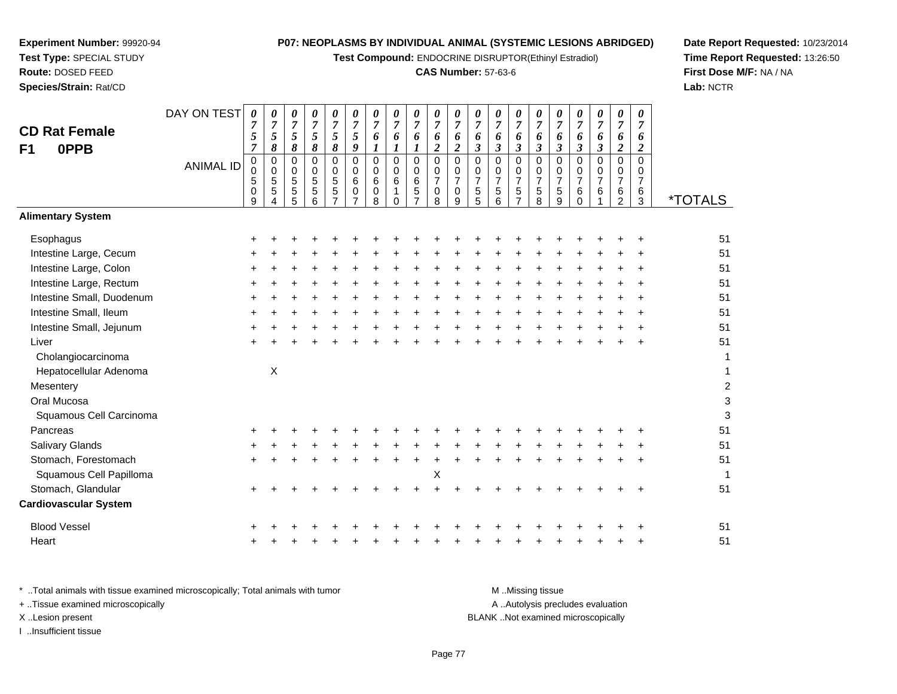**Test Compound:** ENDOCRINE DISRUPTOR(Ethinyl Estradiol)

## **CAS Number:** 57-63-6

**Date Report Requested:** 10/23/2014**Time Report Requested:** 13:26:50**First Dose M/F:** NA / NA**Lab:** NCTR

 $\mathbf{3}$ 

| <b>CD Rat Female</b><br><b>OPPB</b><br>F <sub>1</sub> | DAY ON TEST      | 0<br>$\overline{7}$<br>5<br>$\overline{7}$ | 0<br>$\overline{7}$<br>5<br>8 | 0<br>$\overline{7}$<br>5<br>8                     | 0<br>$\boldsymbol{7}$<br>5<br>8        | 0<br>$\overline{7}$<br>5<br>8                                                | 0<br>$\boldsymbol{7}$<br>5<br>9 | 0<br>$\overline{7}$<br>6<br>$\boldsymbol{l}$     | 0<br>$\overline{7}$<br>6<br>$\boldsymbol{l}$      | 0<br>$\overline{7}$<br>6<br>$\mathbf{I}$                | 0<br>$\overline{7}$<br>6<br>$\overline{\mathbf{c}}$ | 0<br>$\overline{7}$<br>6<br>$\overline{2}$                       | 0<br>$\overline{7}$<br>6<br>$\boldsymbol{\beta}$                         | 0<br>$\overline{7}$<br>6<br>$\boldsymbol{\beta}$                  | 0<br>$\overline{7}$<br>6<br>$\boldsymbol{\beta}$              | 0<br>$\overline{7}$<br>6<br>$\mathfrak{z}$              | 0<br>$\boldsymbol{7}$<br>6<br>3                        | 0<br>$\overline{7}$<br>6<br>$\boldsymbol{\beta}$          | 0<br>$\overline{7}$<br>6<br>$\boldsymbol{\beta}$ | 0<br>$\overline{7}$<br>6<br>$\overline{c}$                    | 0<br>$\overline{7}$<br>6<br>$\overline{c}$       |                       |
|-------------------------------------------------------|------------------|--------------------------------------------|-------------------------------|---------------------------------------------------|----------------------------------------|------------------------------------------------------------------------------|---------------------------------|--------------------------------------------------|---------------------------------------------------|---------------------------------------------------------|-----------------------------------------------------|------------------------------------------------------------------|--------------------------------------------------------------------------|-------------------------------------------------------------------|---------------------------------------------------------------|---------------------------------------------------------|--------------------------------------------------------|-----------------------------------------------------------|--------------------------------------------------|---------------------------------------------------------------|--------------------------------------------------|-----------------------|
|                                                       | <b>ANIMAL ID</b> | $\pmb{0}$<br>$\pmb{0}$<br>5<br>0<br>9      | 0<br>$\mathbf 0$<br>5<br>5    | $\pmb{0}$<br>0<br>$\mathbf 5$<br>$\mathbf 5$<br>5 | $\mathsf 0$<br>0<br>$\frac{5}{5}$<br>6 | $\mathbf 0$<br>$\mathbf 0$<br>$\sqrt{5}$<br>$\overline{5}$<br>$\overline{7}$ | $\mathbf 0$<br>0<br>6<br>0      | $\mathbf 0$<br>$\Omega$<br>6<br>$\mathbf 0$<br>8 | $\mathbf 0$<br>$\Omega$<br>$\,6$<br>1<br>$\Omega$ | $\Omega$<br>$\mathbf 0$<br>$\,6$<br>5<br>$\overline{7}$ | 0<br>0<br>7<br>0<br>8                               | $\mathbf 0$<br>$\mathbf 0$<br>$\boldsymbol{7}$<br>$\pmb{0}$<br>9 | $\mathbf 0$<br>$\mathbf 0$<br>$\begin{array}{c} 7 \\ 5 \end{array}$<br>5 | $\mathbf 0$<br>$\mathbf 0$<br>$\boldsymbol{7}$<br>$\sqrt{5}$<br>6 | $\mathbf 0$<br>$\Omega$<br>$\boldsymbol{7}$<br>$\overline{5}$ | $\mathbf 0$<br>0<br>$\boldsymbol{7}$<br>$\sqrt{5}$<br>8 | $\pmb{0}$<br>$\mathbf 0$<br>$\boldsymbol{7}$<br>5<br>9 | $\mathbf 0$<br>0<br>$\boldsymbol{7}$<br>$\,6$<br>$\Omega$ | $\overline{0}$<br>0<br>$\overline{7}$<br>6       | 0<br>$\mathbf 0$<br>$\overline{7}$<br>$\,6$<br>$\mathfrak{p}$ | $\mathbf 0$<br>0<br>$\overline{7}$<br>$\,6$<br>3 | <i><b>*TOTALS</b></i> |
| <b>Alimentary System</b>                              |                  |                                            |                               |                                                   |                                        |                                                                              |                                 |                                                  |                                                   |                                                         |                                                     |                                                                  |                                                                          |                                                                   |                                                               |                                                         |                                                        |                                                           |                                                  |                                                               |                                                  |                       |
| Esophagus                                             |                  |                                            |                               |                                                   |                                        |                                                                              |                                 |                                                  |                                                   |                                                         |                                                     |                                                                  |                                                                          |                                                                   |                                                               |                                                         |                                                        |                                                           |                                                  |                                                               |                                                  | 51                    |
| Intestine Large, Cecum                                |                  |                                            |                               |                                                   |                                        |                                                                              |                                 |                                                  |                                                   |                                                         |                                                     |                                                                  |                                                                          |                                                                   |                                                               |                                                         |                                                        |                                                           |                                                  |                                                               |                                                  | 51                    |
| Intestine Large, Colon                                |                  |                                            |                               |                                                   |                                        |                                                                              |                                 |                                                  |                                                   |                                                         |                                                     |                                                                  |                                                                          |                                                                   |                                                               |                                                         |                                                        |                                                           |                                                  |                                                               |                                                  | 51                    |
| Intestine Large, Rectum                               |                  |                                            |                               |                                                   |                                        |                                                                              |                                 |                                                  |                                                   |                                                         |                                                     |                                                                  |                                                                          |                                                                   |                                                               |                                                         |                                                        |                                                           |                                                  |                                                               |                                                  | 51                    |
| Intestine Small, Duodenum                             |                  |                                            |                               |                                                   |                                        |                                                                              |                                 |                                                  |                                                   |                                                         |                                                     |                                                                  |                                                                          |                                                                   |                                                               |                                                         |                                                        |                                                           |                                                  |                                                               |                                                  | 51                    |
| Intestine Small, Ileum                                |                  |                                            |                               |                                                   |                                        |                                                                              |                                 |                                                  |                                                   |                                                         |                                                     |                                                                  |                                                                          |                                                                   |                                                               |                                                         |                                                        |                                                           |                                                  |                                                               |                                                  | 51                    |
| Intestine Small, Jejunum                              |                  |                                            |                               |                                                   |                                        |                                                                              |                                 |                                                  |                                                   |                                                         |                                                     |                                                                  |                                                                          |                                                                   |                                                               |                                                         |                                                        |                                                           |                                                  |                                                               |                                                  | 51                    |
| Liver                                                 |                  |                                            |                               |                                                   |                                        |                                                                              |                                 |                                                  |                                                   |                                                         |                                                     |                                                                  |                                                                          |                                                                   |                                                               |                                                         |                                                        |                                                           |                                                  |                                                               |                                                  | 51                    |
| Cholangiocarcinoma                                    |                  |                                            |                               |                                                   |                                        |                                                                              |                                 |                                                  |                                                   |                                                         |                                                     |                                                                  |                                                                          |                                                                   |                                                               |                                                         |                                                        |                                                           |                                                  |                                                               |                                                  | $\mathbf 1$           |
| Hepatocellular Adenoma                                |                  |                                            | $\boldsymbol{\mathsf{X}}$     |                                                   |                                        |                                                                              |                                 |                                                  |                                                   |                                                         |                                                     |                                                                  |                                                                          |                                                                   |                                                               |                                                         |                                                        |                                                           |                                                  |                                                               |                                                  | $\mathbf 1$           |
| Mesentery                                             |                  |                                            |                               |                                                   |                                        |                                                                              |                                 |                                                  |                                                   |                                                         |                                                     |                                                                  |                                                                          |                                                                   |                                                               |                                                         |                                                        |                                                           |                                                  |                                                               |                                                  | $\boldsymbol{2}$      |
| Oral Mucosa                                           |                  |                                            |                               |                                                   |                                        |                                                                              |                                 |                                                  |                                                   |                                                         |                                                     |                                                                  |                                                                          |                                                                   |                                                               |                                                         |                                                        |                                                           |                                                  |                                                               |                                                  | 3                     |
| Squamous Cell Carcinoma                               |                  |                                            |                               |                                                   |                                        |                                                                              |                                 |                                                  |                                                   |                                                         |                                                     |                                                                  |                                                                          |                                                                   |                                                               |                                                         |                                                        |                                                           |                                                  |                                                               |                                                  | 3                     |
| Pancreas                                              |                  |                                            |                               |                                                   |                                        |                                                                              |                                 |                                                  |                                                   |                                                         |                                                     |                                                                  |                                                                          |                                                                   |                                                               |                                                         |                                                        |                                                           |                                                  |                                                               |                                                  | 51                    |
| <b>Salivary Glands</b>                                |                  |                                            |                               |                                                   |                                        |                                                                              |                                 |                                                  |                                                   |                                                         |                                                     |                                                                  |                                                                          |                                                                   |                                                               |                                                         |                                                        |                                                           |                                                  |                                                               |                                                  | 51                    |
| Stomach, Forestomach                                  |                  |                                            |                               |                                                   |                                        |                                                                              |                                 |                                                  |                                                   |                                                         |                                                     |                                                                  |                                                                          |                                                                   |                                                               |                                                         |                                                        |                                                           |                                                  |                                                               | $\ddot{}$                                        | 51                    |
| Squamous Cell Papilloma                               |                  |                                            |                               |                                                   |                                        |                                                                              |                                 |                                                  |                                                   |                                                         | Χ                                                   |                                                                  |                                                                          |                                                                   |                                                               |                                                         |                                                        |                                                           |                                                  |                                                               |                                                  | -1                    |
| Stomach, Glandular                                    |                  |                                            |                               |                                                   |                                        |                                                                              |                                 |                                                  |                                                   |                                                         |                                                     |                                                                  |                                                                          |                                                                   |                                                               |                                                         |                                                        |                                                           |                                                  |                                                               |                                                  | 51                    |
| <b>Cardiovascular System</b>                          |                  |                                            |                               |                                                   |                                        |                                                                              |                                 |                                                  |                                                   |                                                         |                                                     |                                                                  |                                                                          |                                                                   |                                                               |                                                         |                                                        |                                                           |                                                  |                                                               |                                                  |                       |
| <b>Blood Vessel</b>                                   |                  |                                            |                               |                                                   |                                        |                                                                              |                                 |                                                  |                                                   |                                                         |                                                     |                                                                  |                                                                          |                                                                   |                                                               |                                                         |                                                        |                                                           |                                                  |                                                               |                                                  | 51                    |
| Heart                                                 |                  |                                            |                               |                                                   |                                        |                                                                              |                                 |                                                  |                                                   |                                                         |                                                     |                                                                  |                                                                          |                                                                   |                                                               |                                                         |                                                        |                                                           |                                                  |                                                               |                                                  | 51                    |
|                                                       |                  |                                            |                               |                                                   |                                        |                                                                              |                                 |                                                  |                                                   |                                                         |                                                     |                                                                  |                                                                          |                                                                   |                                                               |                                                         |                                                        |                                                           |                                                  |                                                               |                                                  |                       |

| * Total animals with tissue examined microscopically; Total animals with tumor | M Missing tissue                   |
|--------------------------------------------------------------------------------|------------------------------------|
| + Tissue examined microscopically                                              | A Autolysis precludes evaluation   |
| X Lesion present                                                               | BLANK Not examined microscopically |
| Insufficient tissue                                                            |                                    |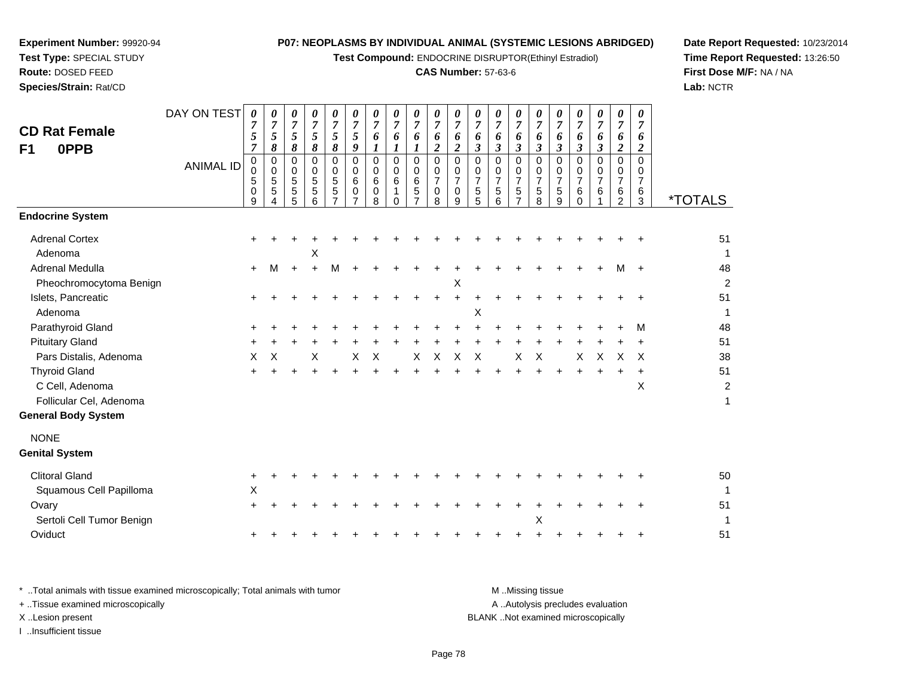**Test Compound:** ENDOCRINE DISRUPTOR(Ethinyl Estradiol)

## **CAS Number:** 57-63-6

**Date Report Requested:** 10/23/2014 **Time Report Requested:** 13:26:50**First Dose M/F:** NA / NA**Lab:** NCTR

| <b>CD Rat Female</b><br>F1<br>0PPB               | DAY ON TEST<br><b>ANIMAL ID</b> | 0<br>7<br>5<br>$\overline{7}$<br>0<br>0<br>5<br>0<br>9 | 0<br>$\overline{7}$<br>5<br>8<br>$\pmb{0}$<br>0<br>5<br>5<br>4 | 0<br>$\boldsymbol{7}$<br>5<br>8<br>0<br>0<br>$\sqrt{5}$<br>5<br>5 | 0<br>$\boldsymbol{7}$<br>5<br>8<br>$\mathbf 0$<br>0<br>5<br>5<br>6 | 0<br>$\boldsymbol{7}$<br>5<br>8<br>0<br>0<br>$\overline{5}$<br>5<br>$\overline{7}$ | 0<br>$\overline{7}$<br>$\mathfrak{s}$<br>$\boldsymbol{g}$<br>$\mathbf 0$<br>$\mathbf 0$<br>$\,6\,$<br>$\mathbf 0$<br>$\overline{7}$ | 0<br>$\boldsymbol{7}$<br>6<br>$\boldsymbol{l}$<br>$\mathbf 0$<br>0<br>$6\phantom{a}$<br>$\pmb{0}$<br>8 | 0<br>$\overline{7}$<br>6<br>$\boldsymbol{l}$<br>$\mathbf 0$<br>0<br>$\,6$<br>$\mathbf{1}$<br>$\Omega$ | 0<br>$\overline{7}$<br>6<br>1<br>0<br>0<br>$\,6$<br>$\sqrt{5}$ | $\boldsymbol{\theta}$<br>$\overline{7}$<br>6<br>$\boldsymbol{2}$<br>0<br>0<br>$\overline{7}$<br>$\pmb{0}$<br>8 | 0<br>$\boldsymbol{7}$<br>6<br>$\overline{c}$<br>0<br>0<br>$\overline{7}$<br>$\mathbf 0$<br>9 | 0<br>$\overline{7}$<br>6<br>$\boldsymbol{\mathfrak{z}}$<br>$\Omega$<br>0<br>$\overline{7}$<br>5<br>5 | 0<br>$\overline{7}$<br>6<br>$\mathfrak{z}$<br>$\Omega$<br>$\mathbf 0$<br>$\overline{7}$<br>5<br>6 | 0<br>$\overline{7}$<br>6<br>$\mathfrak{z}$<br>$\mathbf 0$<br>$\pmb{0}$<br>$\overline{7}$<br>5<br>$\overline{7}$ | 0<br>$\overline{7}$<br>6<br>$\boldsymbol{\beta}$<br>$\Omega$<br>0<br>$\overline{7}$<br>$\sqrt{5}$<br>8 | 0<br>$\overline{7}$<br>6<br>$\boldsymbol{\beta}$<br>$\Omega$<br>0<br>$\overline{7}$<br>5<br>9 | 0<br>7<br>6<br>$\mathfrak{z}$<br>$\Omega$<br>0<br>$\overline{7}$<br>6<br>$\Omega$ | 0<br>$\overline{7}$<br>6<br>3<br>0<br>0<br>$\overline{7}$<br>6 | 0<br>$\overline{7}$<br>6<br>$\overline{c}$<br>$\Omega$<br>0<br>$\overline{7}$<br>6<br>2 | 0<br>$\overline{\mathcal{I}}$<br>6<br>$\overline{2}$<br>0<br>0<br>$\overline{7}$<br>6<br>$\mathbf{3}$ | <i><b>*TOTALS</b></i>  |
|--------------------------------------------------|---------------------------------|--------------------------------------------------------|----------------------------------------------------------------|-------------------------------------------------------------------|--------------------------------------------------------------------|------------------------------------------------------------------------------------|-------------------------------------------------------------------------------------------------------------------------------------|--------------------------------------------------------------------------------------------------------|-------------------------------------------------------------------------------------------------------|----------------------------------------------------------------|----------------------------------------------------------------------------------------------------------------|----------------------------------------------------------------------------------------------|------------------------------------------------------------------------------------------------------|---------------------------------------------------------------------------------------------------|-----------------------------------------------------------------------------------------------------------------|--------------------------------------------------------------------------------------------------------|-----------------------------------------------------------------------------------------------|-----------------------------------------------------------------------------------|----------------------------------------------------------------|-----------------------------------------------------------------------------------------|-------------------------------------------------------------------------------------------------------|------------------------|
| <b>Endocrine System</b><br><b>Adrenal Cortex</b> |                                 |                                                        |                                                                |                                                                   |                                                                    |                                                                                    |                                                                                                                                     |                                                                                                        |                                                                                                       |                                                                |                                                                                                                |                                                                                              |                                                                                                      |                                                                                                   |                                                                                                                 |                                                                                                        |                                                                                               |                                                                                   |                                                                |                                                                                         |                                                                                                       | 51                     |
| Adenoma                                          |                                 |                                                        |                                                                |                                                                   | X                                                                  |                                                                                    |                                                                                                                                     |                                                                                                        |                                                                                                       |                                                                |                                                                                                                |                                                                                              |                                                                                                      |                                                                                                   |                                                                                                                 |                                                                                                        |                                                                                               |                                                                                   |                                                                |                                                                                         |                                                                                                       | -1                     |
| Adrenal Medulla                                  |                                 | $\pm$                                                  | м                                                              | $\ddot{}$                                                         | $\ddot{}$                                                          | M                                                                                  |                                                                                                                                     |                                                                                                        |                                                                                                       |                                                                |                                                                                                                |                                                                                              |                                                                                                      |                                                                                                   |                                                                                                                 |                                                                                                        |                                                                                               |                                                                                   |                                                                | М                                                                                       |                                                                                                       | 48                     |
| Pheochromocytoma Benign                          |                                 |                                                        |                                                                |                                                                   |                                                                    |                                                                                    |                                                                                                                                     |                                                                                                        |                                                                                                       |                                                                |                                                                                                                | X                                                                                            |                                                                                                      |                                                                                                   |                                                                                                                 |                                                                                                        |                                                                                               |                                                                                   |                                                                |                                                                                         |                                                                                                       | $\overline{2}$         |
| Islets, Pancreatic                               |                                 | $\pm$                                                  |                                                                |                                                                   |                                                                    |                                                                                    |                                                                                                                                     |                                                                                                        |                                                                                                       |                                                                |                                                                                                                | $\ddot{}$                                                                                    |                                                                                                      |                                                                                                   |                                                                                                                 |                                                                                                        |                                                                                               |                                                                                   |                                                                |                                                                                         |                                                                                                       | 51                     |
| Adenoma                                          |                                 |                                                        |                                                                |                                                                   |                                                                    |                                                                                    |                                                                                                                                     |                                                                                                        |                                                                                                       |                                                                |                                                                                                                |                                                                                              | X                                                                                                    |                                                                                                   |                                                                                                                 |                                                                                                        |                                                                                               |                                                                                   |                                                                |                                                                                         |                                                                                                       | -1                     |
| Parathyroid Gland                                |                                 |                                                        |                                                                |                                                                   |                                                                    |                                                                                    |                                                                                                                                     |                                                                                                        |                                                                                                       |                                                                |                                                                                                                |                                                                                              |                                                                                                      |                                                                                                   |                                                                                                                 |                                                                                                        |                                                                                               |                                                                                   |                                                                |                                                                                         | м                                                                                                     | 48                     |
| <b>Pituitary Gland</b>                           |                                 |                                                        |                                                                |                                                                   |                                                                    |                                                                                    |                                                                                                                                     |                                                                                                        |                                                                                                       |                                                                |                                                                                                                |                                                                                              |                                                                                                      |                                                                                                   |                                                                                                                 |                                                                                                        |                                                                                               |                                                                                   |                                                                |                                                                                         | $\times$                                                                                              | 51<br>38               |
| Pars Distalis, Adenoma                           |                                 | Χ                                                      | X                                                              |                                                                   | X                                                                  |                                                                                    | X                                                                                                                                   | X                                                                                                      |                                                                                                       | X                                                              | Х                                                                                                              | Х                                                                                            | Χ                                                                                                    |                                                                                                   | X                                                                                                               | X                                                                                                      |                                                                                               | X                                                                                 | X                                                              | X                                                                                       |                                                                                                       |                        |
| <b>Thyroid Gland</b><br>C Cell, Adenoma          |                                 |                                                        |                                                                |                                                                   |                                                                    |                                                                                    |                                                                                                                                     |                                                                                                        |                                                                                                       |                                                                |                                                                                                                |                                                                                              |                                                                                                      |                                                                                                   |                                                                                                                 |                                                                                                        |                                                                                               |                                                                                   |                                                                | $\div$                                                                                  | $\ddot{}$<br>X                                                                                        | 51<br>$\boldsymbol{2}$ |
| Follicular Cel, Adenoma                          |                                 |                                                        |                                                                |                                                                   |                                                                    |                                                                                    |                                                                                                                                     |                                                                                                        |                                                                                                       |                                                                |                                                                                                                |                                                                                              |                                                                                                      |                                                                                                   |                                                                                                                 |                                                                                                        |                                                                                               |                                                                                   |                                                                |                                                                                         |                                                                                                       | 1                      |
| <b>General Body System</b>                       |                                 |                                                        |                                                                |                                                                   |                                                                    |                                                                                    |                                                                                                                                     |                                                                                                        |                                                                                                       |                                                                |                                                                                                                |                                                                                              |                                                                                                      |                                                                                                   |                                                                                                                 |                                                                                                        |                                                                                               |                                                                                   |                                                                |                                                                                         |                                                                                                       |                        |
| <b>NONE</b>                                      |                                 |                                                        |                                                                |                                                                   |                                                                    |                                                                                    |                                                                                                                                     |                                                                                                        |                                                                                                       |                                                                |                                                                                                                |                                                                                              |                                                                                                      |                                                                                                   |                                                                                                                 |                                                                                                        |                                                                                               |                                                                                   |                                                                |                                                                                         |                                                                                                       |                        |
| <b>Genital System</b>                            |                                 |                                                        |                                                                |                                                                   |                                                                    |                                                                                    |                                                                                                                                     |                                                                                                        |                                                                                                       |                                                                |                                                                                                                |                                                                                              |                                                                                                      |                                                                                                   |                                                                                                                 |                                                                                                        |                                                                                               |                                                                                   |                                                                |                                                                                         |                                                                                                       |                        |
| <b>Clitoral Gland</b>                            |                                 | +                                                      |                                                                |                                                                   |                                                                    |                                                                                    |                                                                                                                                     |                                                                                                        |                                                                                                       |                                                                |                                                                                                                |                                                                                              |                                                                                                      |                                                                                                   |                                                                                                                 |                                                                                                        |                                                                                               |                                                                                   |                                                                |                                                                                         |                                                                                                       | 50                     |
| Squamous Cell Papilloma                          |                                 | X                                                      |                                                                |                                                                   |                                                                    |                                                                                    |                                                                                                                                     |                                                                                                        |                                                                                                       |                                                                |                                                                                                                |                                                                                              |                                                                                                      |                                                                                                   |                                                                                                                 |                                                                                                        |                                                                                               |                                                                                   |                                                                |                                                                                         |                                                                                                       |                        |
| Ovary<br>Sertoli Cell Tumor Benign               |                                 |                                                        |                                                                |                                                                   |                                                                    |                                                                                    |                                                                                                                                     |                                                                                                        |                                                                                                       |                                                                |                                                                                                                |                                                                                              |                                                                                                      |                                                                                                   |                                                                                                                 | X                                                                                                      |                                                                                               |                                                                                   |                                                                |                                                                                         |                                                                                                       | 51                     |
| Oviduct                                          |                                 |                                                        |                                                                |                                                                   |                                                                    |                                                                                    |                                                                                                                                     |                                                                                                        |                                                                                                       |                                                                |                                                                                                                |                                                                                              |                                                                                                      |                                                                                                   |                                                                                                                 |                                                                                                        |                                                                                               |                                                                                   |                                                                |                                                                                         |                                                                                                       | 51                     |
|                                                  |                                 |                                                        |                                                                |                                                                   |                                                                    |                                                                                    |                                                                                                                                     |                                                                                                        |                                                                                                       |                                                                |                                                                                                                |                                                                                              |                                                                                                      |                                                                                                   |                                                                                                                 |                                                                                                        |                                                                                               |                                                                                   |                                                                |                                                                                         |                                                                                                       |                        |

| Total animals with tissue examined microscopically; Total animals with tumor | M Missing tissue                   |
|------------------------------------------------------------------------------|------------------------------------|
| + Tissue examined microscopically                                            | A Autolysis precludes evaluation   |
| X Lesion present                                                             | BLANK Not examined microscopically |
| Insufficient tissue                                                          |                                    |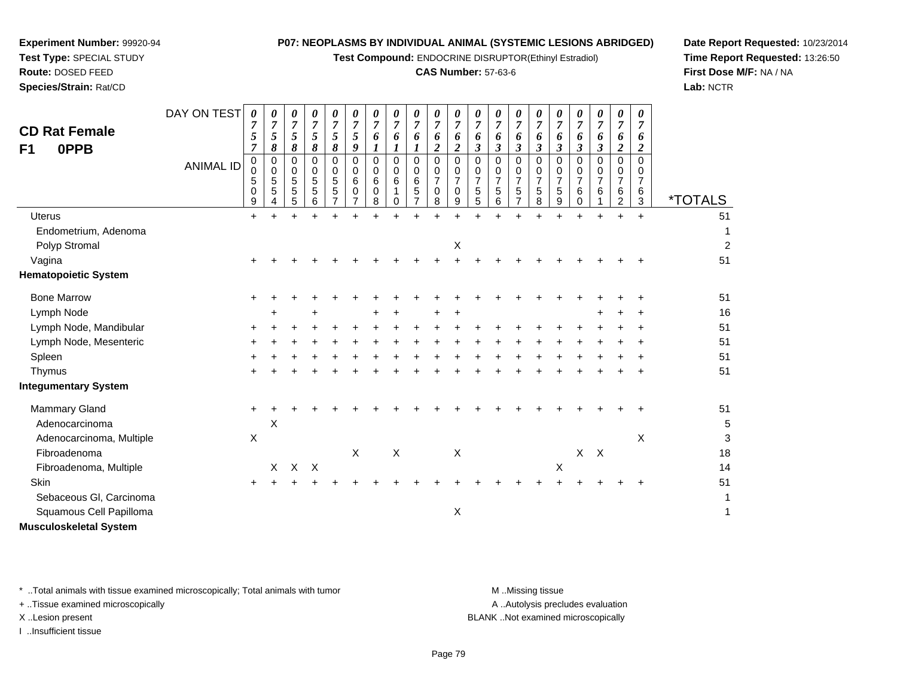**Test Compound:** ENDOCRINE DISRUPTOR(Ethinyl Estradiol)

## **CAS Number:** 57-63-6

DAY ON TEST*00000000000000000000*

**Date Report Requested:** 10/23/2014**Time Report Requested:** 13:26:50**First Dose M/F:** NA / NA**Lab:** NCTR

| <b>CD Rat Female</b><br>0PPB<br>F1 |                  | $\boldsymbol{7}$<br>5<br>$\overline{7}$ | $\overline{7}$<br>5<br>8                           | $\overline{7}$<br>5<br>8      | $\overline{7}$<br>$\mathfrak{s}$<br>8            | $\overline{7}$<br>5<br>8 | $\overline{7}$<br>$\mathfrak{s}$<br>9        | $\overline{7}$<br>6<br>$\boldsymbol{l}$   | $\overline{7}$<br>6<br>$\boldsymbol{l}$ | 7<br>6<br>1                     | 6<br>$\overline{\mathbf{c}}$       | $\overline{7}$<br>6<br>$\overline{2}$                  | 7<br>6<br>$\mathfrak{z}$           | 7<br>6<br>$\mathfrak{z}$                               | 6<br>$\mathfrak{z}$                                       | $\overline{7}$<br>6<br>$\mathfrak{z}$        | 6<br>$\boldsymbol{\beta}$                                       | $\overline{7}$<br>6<br>$\boldsymbol{\beta}$  | $\overline{7}$<br>6<br>$\boldsymbol{\beta}$ | $\overline{7}$<br>6<br>$\overline{2}$                                 | $\overline{7}$<br>6<br>$\boldsymbol{2}$ |                       |
|------------------------------------|------------------|-----------------------------------------|----------------------------------------------------|-------------------------------|--------------------------------------------------|--------------------------|----------------------------------------------|-------------------------------------------|-----------------------------------------|---------------------------------|------------------------------------|--------------------------------------------------------|------------------------------------|--------------------------------------------------------|-----------------------------------------------------------|----------------------------------------------|-----------------------------------------------------------------|----------------------------------------------|---------------------------------------------|-----------------------------------------------------------------------|-----------------------------------------|-----------------------|
|                                    | <b>ANIMAL ID</b> | 0<br>$\pmb{0}$<br>$\sqrt{5}$<br>0<br>9  | $\mathbf 0$<br>$\mathbf 0$<br>$\sqrt{5}$<br>5<br>4 | $\pmb{0}$<br>0<br>5<br>5<br>5 | $\pmb{0}$<br>0<br>$\sqrt{5}$<br>$\,$ 5 $\,$<br>6 | 0<br>0<br>5<br>5<br>7    | $\mathbf 0$<br>0<br>6<br>0<br>$\overline{7}$ | $\mathbf 0$<br>$\mathbf 0$<br>6<br>0<br>8 | $\pmb{0}$<br>0<br>6<br>1<br>0           | $\mathbf 0$<br>0<br>6<br>5<br>7 | 0<br>0<br>$\overline{7}$<br>0<br>8 | $\mathsf 0$<br>0<br>$\overline{7}$<br>$\mathbf 0$<br>9 | 0<br>0<br>$\overline{7}$<br>5<br>5 | $\mathbf 0$<br>$\mathbf 0$<br>$\overline{7}$<br>5<br>6 | $\mathbf 0$<br>0<br>$\overline{7}$<br>5<br>$\overline{7}$ | $\mathbf 0$<br>0<br>$\overline{7}$<br>5<br>8 | $\mathbf 0$<br>$\mathbf 0$<br>$\overline{7}$<br>$\sqrt{5}$<br>9 | $\mathbf 0$<br>0<br>$\overline{7}$<br>6<br>0 | $\mathbf 0$<br>0<br>$\overline{7}$<br>6     | $\pmb{0}$<br>$\mathbf 0$<br>$\overline{7}$<br>$\,6$<br>$\overline{c}$ | 0<br>0<br>$\overline{7}$<br>6<br>3      | <i><b>*TOTALS</b></i> |
| <b>Uterus</b>                      |                  | $+$                                     |                                                    |                               |                                                  |                          |                                              |                                           |                                         |                                 |                                    | $\ddot{}$                                              |                                    |                                                        |                                                           |                                              |                                                                 |                                              |                                             |                                                                       | $\ddot{}$                               | 51                    |
| Endometrium, Adenoma               |                  |                                         |                                                    |                               |                                                  |                          |                                              |                                           |                                         |                                 |                                    |                                                        |                                    |                                                        |                                                           |                                              |                                                                 |                                              |                                             |                                                                       |                                         | 1                     |
| Polyp Stromal                      |                  |                                         |                                                    |                               |                                                  |                          |                                              |                                           |                                         |                                 |                                    | Χ                                                      |                                    |                                                        |                                                           |                                              |                                                                 |                                              |                                             |                                                                       |                                         | $\overline{2}$        |
| Vagina                             |                  |                                         |                                                    |                               |                                                  |                          |                                              |                                           |                                         |                                 |                                    |                                                        |                                    |                                                        |                                                           |                                              |                                                                 |                                              |                                             |                                                                       |                                         | 51                    |
| <b>Hematopoietic System</b>        |                  |                                         |                                                    |                               |                                                  |                          |                                              |                                           |                                         |                                 |                                    |                                                        |                                    |                                                        |                                                           |                                              |                                                                 |                                              |                                             |                                                                       |                                         |                       |
| <b>Bone Marrow</b>                 |                  | $\ddot{}$                               |                                                    |                               |                                                  |                          |                                              |                                           |                                         |                                 |                                    |                                                        |                                    |                                                        |                                                           |                                              |                                                                 |                                              |                                             |                                                                       |                                         | 51                    |
| Lymph Node                         |                  |                                         |                                                    |                               |                                                  |                          |                                              | ÷                                         | ٠                                       |                                 |                                    | $\pm$                                                  |                                    |                                                        |                                                           |                                              |                                                                 |                                              | ÷                                           |                                                                       | ÷                                       | 16                    |
| Lymph Node, Mandibular             |                  |                                         |                                                    |                               |                                                  |                          |                                              |                                           |                                         |                                 |                                    |                                                        |                                    |                                                        |                                                           |                                              |                                                                 |                                              |                                             |                                                                       |                                         | 51                    |
| Lymph Node, Mesenteric             |                  |                                         |                                                    |                               |                                                  |                          |                                              |                                           |                                         |                                 |                                    |                                                        |                                    |                                                        |                                                           |                                              |                                                                 |                                              |                                             |                                                                       |                                         | 51                    |
| Spleen                             |                  |                                         |                                                    |                               |                                                  |                          |                                              |                                           |                                         |                                 |                                    |                                                        |                                    |                                                        |                                                           |                                              |                                                                 |                                              |                                             |                                                                       |                                         | 51                    |
| Thymus                             |                  |                                         |                                                    |                               |                                                  |                          |                                              |                                           |                                         |                                 |                                    |                                                        |                                    |                                                        |                                                           |                                              |                                                                 |                                              |                                             |                                                                       | $\ddot{}$                               | 51                    |
| <b>Integumentary System</b>        |                  |                                         |                                                    |                               |                                                  |                          |                                              |                                           |                                         |                                 |                                    |                                                        |                                    |                                                        |                                                           |                                              |                                                                 |                                              |                                             |                                                                       |                                         |                       |
| Mammary Gland                      |                  | $\ddot{}$                               |                                                    |                               |                                                  |                          |                                              |                                           |                                         |                                 |                                    |                                                        |                                    |                                                        |                                                           |                                              |                                                                 |                                              |                                             |                                                                       |                                         | 51                    |
| Adenocarcinoma                     |                  |                                         | Χ                                                  |                               |                                                  |                          |                                              |                                           |                                         |                                 |                                    |                                                        |                                    |                                                        |                                                           |                                              |                                                                 |                                              |                                             |                                                                       |                                         | 5                     |
| Adenocarcinoma, Multiple           |                  | X                                       |                                                    |                               |                                                  |                          |                                              |                                           |                                         |                                 |                                    |                                                        |                                    |                                                        |                                                           |                                              |                                                                 |                                              |                                             |                                                                       | X                                       | 3                     |
| Fibroadenoma                       |                  |                                         |                                                    |                               |                                                  |                          | $\boldsymbol{\mathsf{X}}$                    |                                           | $\boldsymbol{\mathsf{X}}$               |                                 |                                    | $\mathsf X$                                            |                                    |                                                        |                                                           |                                              |                                                                 | $\mathsf{X}$                                 | $\mathsf{X}$                                |                                                                       |                                         | 18                    |
| Fibroadenoma, Multiple             |                  |                                         | X                                                  | $\mathsf{X}$                  | $\times$                                         |                          |                                              |                                           |                                         |                                 |                                    |                                                        |                                    |                                                        |                                                           |                                              | X                                                               |                                              |                                             |                                                                       |                                         | 14                    |
| Skin                               |                  | ÷                                       |                                                    |                               |                                                  |                          |                                              |                                           |                                         |                                 |                                    |                                                        |                                    |                                                        |                                                           |                                              |                                                                 |                                              |                                             |                                                                       | ÷                                       | 51                    |
| Sebaceous GI, Carcinoma            |                  |                                         |                                                    |                               |                                                  |                          |                                              |                                           |                                         |                                 |                                    |                                                        |                                    |                                                        |                                                           |                                              |                                                                 |                                              |                                             |                                                                       |                                         | 1                     |
| Squamous Cell Papilloma            |                  |                                         |                                                    |                               |                                                  |                          |                                              |                                           |                                         |                                 |                                    | X                                                      |                                    |                                                        |                                                           |                                              |                                                                 |                                              |                                             |                                                                       |                                         | 1                     |
| <b>Musculoskeletal System</b>      |                  |                                         |                                                    |                               |                                                  |                          |                                              |                                           |                                         |                                 |                                    |                                                        |                                    |                                                        |                                                           |                                              |                                                                 |                                              |                                             |                                                                       |                                         |                       |
|                                    |                  |                                         |                                                    |                               |                                                  |                          |                                              |                                           |                                         |                                 |                                    |                                                        |                                    |                                                        |                                                           |                                              |                                                                 |                                              |                                             |                                                                       |                                         |                       |

\* ..Total animals with tissue examined microscopically; Total animals with tumor **M** ...Missing tissue M ...Missing tissue

+ ..Tissue examined microscopically

**Experiment Number:** 99920-94**Test Type:** SPECIAL STUDY**Route:** DOSED FEED**Species/Strain:** Rat/CD

I ..Insufficient tissue

A .. Autolysis precludes evaluation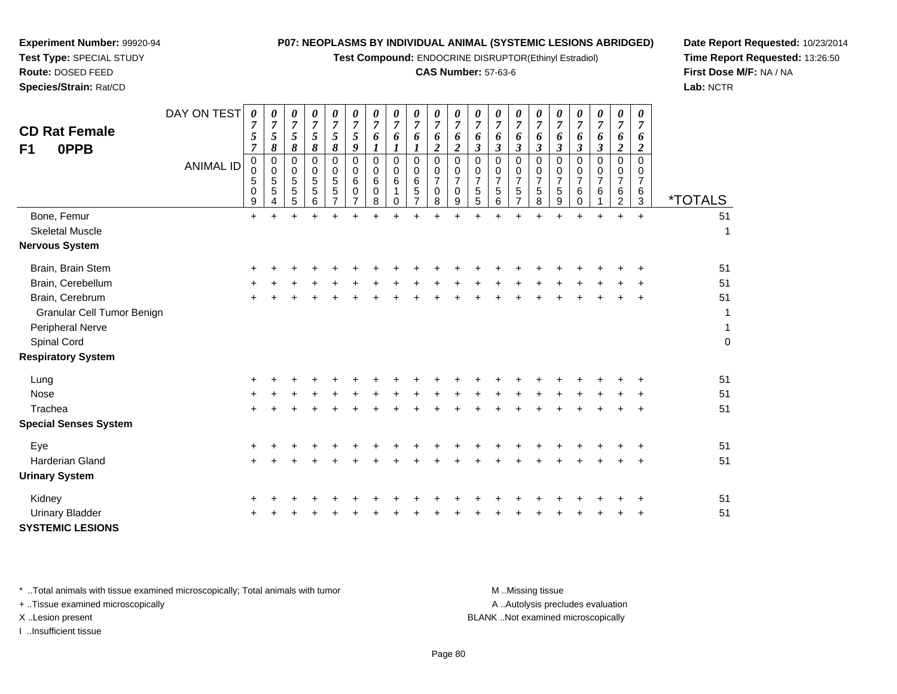**Test Compound:** ENDOCRINE DISRUPTOR(Ethinyl Estradiol)

## **CAS Number:** 57-63-6

**Date Report Requested:** 10/23/2014**Time Report Requested:** 13:26:50**First Dose M/F:** NA / NA**Lab:** NCTR

| <b>CD Rat Female</b><br>0PPB<br>F <sub>1</sub> | DAY ON TEST<br><b>ANIMAL ID</b> | $\pmb{\theta}$<br>$\boldsymbol{7}$<br>$\sqrt{5}$<br>$\overline{7}$<br>$\pmb{0}$<br>$\pmb{0}$<br>5<br>$\,0\,$<br>9 | $\boldsymbol{\theta}$<br>$\overline{7}$<br>5<br>8<br>0<br>$\mathbf 0$<br>$\overline{5}$<br>5<br>4 | 0<br>$\boldsymbol{7}$<br>5<br>8<br>0<br>0<br>5<br>$\sqrt{5}$<br>5 | $\boldsymbol{\theta}$<br>$\overline{7}$<br>5<br>$\pmb{8}$<br>0<br>$\begin{array}{c} 0 \\ 5 \end{array}$<br>$\sqrt{5}$<br>6 | $\boldsymbol{\theta}$<br>$\boldsymbol{7}$<br>$\sqrt{5}$<br>8<br>0<br>0<br>$\sqrt{5}$<br>$\sqrt{5}$<br>$\overline{7}$ | $\boldsymbol{\theta}$<br>$\overline{7}$<br>5<br>9<br>$\mathbf 0$<br>0<br>$6\phantom{1}6$<br>0<br>$\overline{7}$ | 0<br>$\boldsymbol{7}$<br>6<br>0<br>0<br>$\,6$<br>0<br>8 | 0<br>$\overline{7}$<br>6<br>$\boldsymbol{l}$<br>0<br>0<br>$\,6$<br>1<br>0 | 0<br>$\boldsymbol{7}$<br>6<br>0<br>0<br>$\,6\,$<br>$\sqrt{5}$<br>$\overline{7}$ | 0<br>$\overline{7}$<br>6<br>$\boldsymbol{2}$<br>$\mathbf 0$<br>0<br>$\overline{7}$<br>$\pmb{0}$<br>8 | 0<br>$\overline{7}$<br>6<br>$\overline{c}$<br>0<br>$\mathbf 0$<br>$\overline{7}$<br>$\mathbf 0$<br>9 | 0<br>$\boldsymbol{7}$<br>6<br>$\mathfrak{z}$<br>0<br>$\pmb{0}$<br>$\overline{7}$<br>$\sqrt{5}$<br>5 | $\pmb{\theta}$<br>$\boldsymbol{7}$<br>6<br>3<br>$\mathbf 0$<br>0<br>$\overline{7}$<br>$\mathbf 5$<br>6 | 0<br>$\overline{7}$<br>6<br>$\boldsymbol{\beta}$<br>$\mathbf 0$<br>0<br>$\overline{7}$<br>5<br>$\overline{7}$ | 0<br>$\overline{7}$<br>6<br>$\boldsymbol{\beta}$<br>0<br>0<br>$\overline{7}$<br>5<br>8 | 0<br>$\overline{7}$<br>6<br>$\mathfrak{z}$<br>0<br>0<br>$\overline{7}$<br>$\sqrt{5}$<br>9 | 0<br>$\boldsymbol{7}$<br>6<br>$\boldsymbol{\beta}$<br>0<br>0<br>$\overline{7}$<br>6<br>$\mathbf 0$ | $\boldsymbol{\theta}$<br>$\overline{7}$<br>6<br>$\boldsymbol{\beta}$<br>0<br>0<br>$\overline{7}$<br>6 | 0<br>$\overline{7}$<br>6<br>$\overline{c}$<br>0<br>$\mathbf 0$<br>$\overline{7}$<br>6<br>$\overline{2}$ | 0<br>$\overline{7}$<br>6<br>$\overline{c}$<br>$\mathbf 0$<br>0<br>$\overline{7}$<br>6<br>$\mathbf{3}$ | <i><b>*TOTALS</b></i> |
|------------------------------------------------|---------------------------------|-------------------------------------------------------------------------------------------------------------------|---------------------------------------------------------------------------------------------------|-------------------------------------------------------------------|----------------------------------------------------------------------------------------------------------------------------|----------------------------------------------------------------------------------------------------------------------|-----------------------------------------------------------------------------------------------------------------|---------------------------------------------------------|---------------------------------------------------------------------------|---------------------------------------------------------------------------------|------------------------------------------------------------------------------------------------------|------------------------------------------------------------------------------------------------------|-----------------------------------------------------------------------------------------------------|--------------------------------------------------------------------------------------------------------|---------------------------------------------------------------------------------------------------------------|----------------------------------------------------------------------------------------|-------------------------------------------------------------------------------------------|----------------------------------------------------------------------------------------------------|-------------------------------------------------------------------------------------------------------|---------------------------------------------------------------------------------------------------------|-------------------------------------------------------------------------------------------------------|-----------------------|
| Bone, Femur                                    |                                 | $\ddot{}$                                                                                                         |                                                                                                   | $\ddot{}$                                                         | $\ddot{}$                                                                                                                  | $\ddot{}$                                                                                                            |                                                                                                                 |                                                         |                                                                           |                                                                                 |                                                                                                      | $\ddot{}$                                                                                            | ÷                                                                                                   |                                                                                                        |                                                                                                               |                                                                                        | $\ddot{}$                                                                                 | $\ddot{}$                                                                                          | ÷                                                                                                     | $\ddot{}$                                                                                               | $+$                                                                                                   | 51                    |
| <b>Skeletal Muscle</b>                         |                                 |                                                                                                                   |                                                                                                   |                                                                   |                                                                                                                            |                                                                                                                      |                                                                                                                 |                                                         |                                                                           |                                                                                 |                                                                                                      |                                                                                                      |                                                                                                     |                                                                                                        |                                                                                                               |                                                                                        |                                                                                           |                                                                                                    |                                                                                                       |                                                                                                         |                                                                                                       | 1                     |
| <b>Nervous System</b>                          |                                 |                                                                                                                   |                                                                                                   |                                                                   |                                                                                                                            |                                                                                                                      |                                                                                                                 |                                                         |                                                                           |                                                                                 |                                                                                                      |                                                                                                      |                                                                                                     |                                                                                                        |                                                                                                               |                                                                                        |                                                                                           |                                                                                                    |                                                                                                       |                                                                                                         |                                                                                                       |                       |
| Brain, Brain Stem                              |                                 |                                                                                                                   |                                                                                                   |                                                                   |                                                                                                                            |                                                                                                                      |                                                                                                                 |                                                         |                                                                           |                                                                                 |                                                                                                      |                                                                                                      |                                                                                                     |                                                                                                        |                                                                                                               |                                                                                        |                                                                                           |                                                                                                    |                                                                                                       |                                                                                                         |                                                                                                       | 51                    |
| Brain, Cerebellum                              |                                 |                                                                                                                   |                                                                                                   |                                                                   |                                                                                                                            |                                                                                                                      |                                                                                                                 |                                                         |                                                                           |                                                                                 |                                                                                                      |                                                                                                      |                                                                                                     |                                                                                                        |                                                                                                               |                                                                                        |                                                                                           |                                                                                                    |                                                                                                       |                                                                                                         |                                                                                                       | 51                    |
| Brain, Cerebrum                                |                                 |                                                                                                                   |                                                                                                   |                                                                   |                                                                                                                            |                                                                                                                      |                                                                                                                 |                                                         |                                                                           |                                                                                 |                                                                                                      |                                                                                                      |                                                                                                     |                                                                                                        |                                                                                                               |                                                                                        |                                                                                           |                                                                                                    |                                                                                                       |                                                                                                         |                                                                                                       | 51                    |
| Granular Cell Tumor Benign                     |                                 |                                                                                                                   |                                                                                                   |                                                                   |                                                                                                                            |                                                                                                                      |                                                                                                                 |                                                         |                                                                           |                                                                                 |                                                                                                      |                                                                                                      |                                                                                                     |                                                                                                        |                                                                                                               |                                                                                        |                                                                                           |                                                                                                    |                                                                                                       |                                                                                                         |                                                                                                       | 1                     |
| Peripheral Nerve                               |                                 |                                                                                                                   |                                                                                                   |                                                                   |                                                                                                                            |                                                                                                                      |                                                                                                                 |                                                         |                                                                           |                                                                                 |                                                                                                      |                                                                                                      |                                                                                                     |                                                                                                        |                                                                                                               |                                                                                        |                                                                                           |                                                                                                    |                                                                                                       |                                                                                                         |                                                                                                       | $\mathbf{1}$          |
| Spinal Cord                                    |                                 |                                                                                                                   |                                                                                                   |                                                                   |                                                                                                                            |                                                                                                                      |                                                                                                                 |                                                         |                                                                           |                                                                                 |                                                                                                      |                                                                                                      |                                                                                                     |                                                                                                        |                                                                                                               |                                                                                        |                                                                                           |                                                                                                    |                                                                                                       |                                                                                                         |                                                                                                       | $\boldsymbol{0}$      |
| <b>Respiratory System</b>                      |                                 |                                                                                                                   |                                                                                                   |                                                                   |                                                                                                                            |                                                                                                                      |                                                                                                                 |                                                         |                                                                           |                                                                                 |                                                                                                      |                                                                                                      |                                                                                                     |                                                                                                        |                                                                                                               |                                                                                        |                                                                                           |                                                                                                    |                                                                                                       |                                                                                                         |                                                                                                       |                       |
| Lung                                           |                                 |                                                                                                                   |                                                                                                   |                                                                   |                                                                                                                            |                                                                                                                      |                                                                                                                 |                                                         |                                                                           |                                                                                 |                                                                                                      |                                                                                                      |                                                                                                     |                                                                                                        |                                                                                                               |                                                                                        |                                                                                           |                                                                                                    |                                                                                                       |                                                                                                         |                                                                                                       | 51                    |
| Nose                                           |                                 |                                                                                                                   |                                                                                                   |                                                                   |                                                                                                                            |                                                                                                                      |                                                                                                                 |                                                         |                                                                           |                                                                                 |                                                                                                      |                                                                                                      |                                                                                                     |                                                                                                        |                                                                                                               |                                                                                        |                                                                                           |                                                                                                    |                                                                                                       |                                                                                                         |                                                                                                       | 51                    |
| Trachea                                        |                                 |                                                                                                                   |                                                                                                   |                                                                   |                                                                                                                            |                                                                                                                      |                                                                                                                 |                                                         |                                                                           |                                                                                 |                                                                                                      |                                                                                                      |                                                                                                     |                                                                                                        |                                                                                                               |                                                                                        |                                                                                           |                                                                                                    |                                                                                                       |                                                                                                         |                                                                                                       | 51                    |
| <b>Special Senses System</b>                   |                                 |                                                                                                                   |                                                                                                   |                                                                   |                                                                                                                            |                                                                                                                      |                                                                                                                 |                                                         |                                                                           |                                                                                 |                                                                                                      |                                                                                                      |                                                                                                     |                                                                                                        |                                                                                                               |                                                                                        |                                                                                           |                                                                                                    |                                                                                                       |                                                                                                         |                                                                                                       |                       |
| Eye                                            |                                 |                                                                                                                   |                                                                                                   |                                                                   |                                                                                                                            |                                                                                                                      |                                                                                                                 |                                                         |                                                                           |                                                                                 |                                                                                                      |                                                                                                      |                                                                                                     |                                                                                                        |                                                                                                               |                                                                                        |                                                                                           |                                                                                                    |                                                                                                       |                                                                                                         | ÷                                                                                                     | 51                    |
| Harderian Gland                                |                                 |                                                                                                                   |                                                                                                   |                                                                   |                                                                                                                            |                                                                                                                      |                                                                                                                 |                                                         |                                                                           |                                                                                 |                                                                                                      |                                                                                                      |                                                                                                     |                                                                                                        |                                                                                                               |                                                                                        |                                                                                           |                                                                                                    |                                                                                                       |                                                                                                         |                                                                                                       | 51                    |
| <b>Urinary System</b>                          |                                 |                                                                                                                   |                                                                                                   |                                                                   |                                                                                                                            |                                                                                                                      |                                                                                                                 |                                                         |                                                                           |                                                                                 |                                                                                                      |                                                                                                      |                                                                                                     |                                                                                                        |                                                                                                               |                                                                                        |                                                                                           |                                                                                                    |                                                                                                       |                                                                                                         |                                                                                                       |                       |
| Kidney                                         |                                 |                                                                                                                   |                                                                                                   |                                                                   |                                                                                                                            |                                                                                                                      |                                                                                                                 |                                                         |                                                                           |                                                                                 |                                                                                                      |                                                                                                      |                                                                                                     |                                                                                                        |                                                                                                               |                                                                                        |                                                                                           |                                                                                                    |                                                                                                       |                                                                                                         |                                                                                                       | 51                    |
| <b>Urinary Bladder</b>                         |                                 |                                                                                                                   |                                                                                                   |                                                                   |                                                                                                                            |                                                                                                                      |                                                                                                                 |                                                         |                                                                           |                                                                                 |                                                                                                      |                                                                                                      |                                                                                                     |                                                                                                        |                                                                                                               |                                                                                        |                                                                                           |                                                                                                    |                                                                                                       |                                                                                                         |                                                                                                       | 51                    |
| <b>SYSTEMIC LESIONS</b>                        |                                 |                                                                                                                   |                                                                                                   |                                                                   |                                                                                                                            |                                                                                                                      |                                                                                                                 |                                                         |                                                                           |                                                                                 |                                                                                                      |                                                                                                      |                                                                                                     |                                                                                                        |                                                                                                               |                                                                                        |                                                                                           |                                                                                                    |                                                                                                       |                                                                                                         |                                                                                                       |                       |

\* ..Total animals with tissue examined microscopically; Total animals with tumor **M** . Missing tissue M ..Missing tissue

+ ..Tissue examined microscopically

**Experiment Number:** 99920-94**Test Type:** SPECIAL STUDY**Route:** DOSED FEED**Species/Strain:** Rat/CD

I ..Insufficient tissue

A ..Autolysis precludes evaluation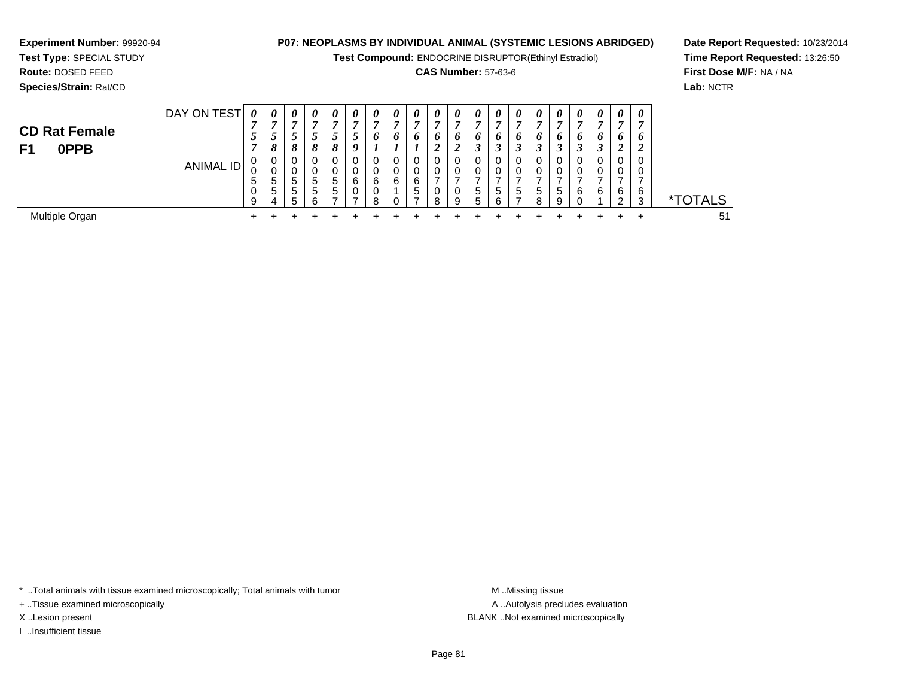**Test Compound:** ENDOCRINE DISRUPTOR(Ethinyl Estradiol)

## **CAS Number:** 57-63-6

<sup>+</sup> <sup>+</sup> <sup>+</sup> <sup>+</sup> <sup>+</sup> <sup>+</sup> <sup>+</sup> <sup>+</sup> <sup>+</sup> <sup>+</sup> <sup>+</sup> <sup>+</sup> <sup>+</sup> <sup>+</sup> <sup>+</sup> <sup>+</sup> <sup>+</sup> <sup>+</sup> <sup>+</sup> <sup>51</sup>

**Date Report Requested:** 10/23/2014**Time Report Requested:** 13:26:50**First Dose M/F:** NA / NA**Lab:** NCTR

\*TOTALS

| Species/Strain: Rat/CD                    |                  |   |                  |         |             |                        |                            |   |             |        |                       |             |                    |                   |               |        |                            |                            |        |        |             |
|-------------------------------------------|------------------|---|------------------|---------|-------------|------------------------|----------------------------|---|-------------|--------|-----------------------|-------------|--------------------|-------------------|---------------|--------|----------------------------|----------------------------|--------|--------|-------------|
|                                           | DAY ON TEST      | 0 | 0<br>Ð           | 0<br>7  | 0           | 0<br>п                 | $\boldsymbol{\theta}$<br>A | 0 | 0<br>г.     | 0<br>~ | $\boldsymbol{\theta}$ | 0           | 0                  | $\theta$          | 0<br>−        | 0      | $\theta$<br>$\overline{ }$ | $\boldsymbol{\theta}$<br>7 | 0      | 0      | 0<br>-      |
| <b>CD Rat Female</b><br><b>OPPB</b><br>F1 | ر ـ              |   | 8                | C.<br>8 | 8           | Ć<br>$\mathbf{o}$<br>o | 9                          | Đ | o           | o      | <sup>0</sup><br>◢     | o<br>◠<br>◢ | o<br><u>ว</u><br>J | o<br>Ĵ            | o<br>٠.,      | o<br>J | o<br>3                     | <sup>0</sup>               | o<br>J | o<br>◢ | o<br>ി<br>∠ |
|                                           | <b>ANIMAL ID</b> | 5 | 0<br>◠<br>U<br>5 | 0<br>5  | $5^{\circ}$ | 0<br>0<br>5            | 0<br>U<br>6                | 6 | 0<br>0<br>6 | 6      |                       |             |                    |                   | $\Omega$<br>0 |        | 0                          | 0                          |        |        | 0           |
|                                           |                  |   | 5<br>Δ           | 5<br>5  | $5 -$       | 5<br>-                 | 0                          | я |             | 5      | $\circ$               | 0<br>9      | 5<br>5             | <sub>5</sub><br>6 | 5<br>⇁        | 5<br>я | 5<br>9                     | 6                          | 6      | 6<br>ົ | 6<br>3      |

Multiple Organn  $+$ 

**Experiment Number:** 99920-94**Test Type:** SPECIAL STUDY**Route:** DOSED FEED

\* ..Total animals with tissue examined microscopically; Total animals with tumor **M** ...Missing tissue M ...Missing tissue

+ ..Tissue examined microscopically

I ..Insufficient tissue

A .. Autolysis precludes evaluation X ..Lesion present BLANK ..Not examined microscopically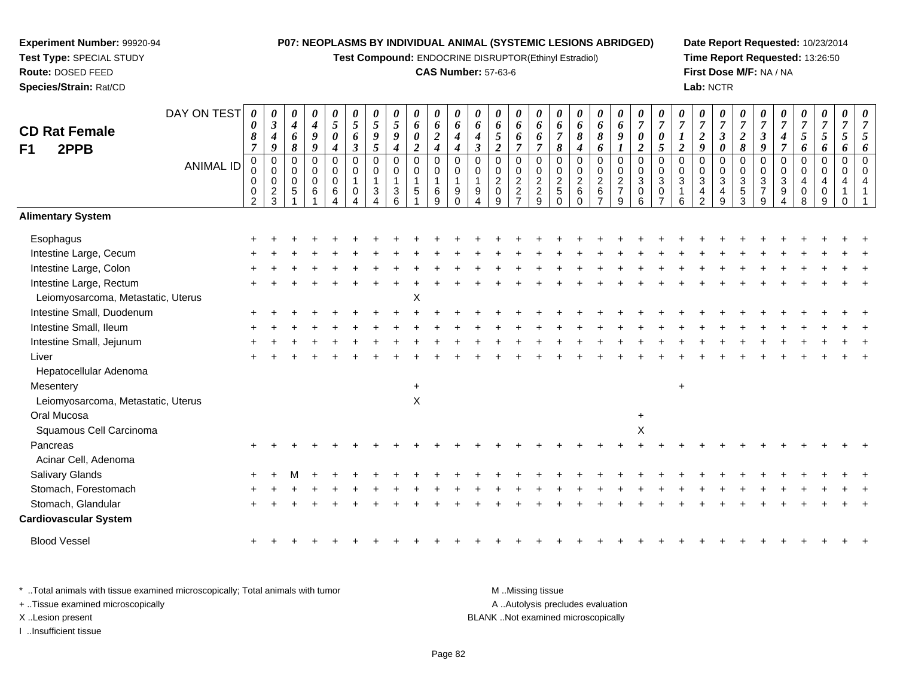**Test Compound:** ENDOCRINE DISRUPTOR(Ethinyl Estradiol)

#### **CAS Number:** 57-63-6

**Date Report Requested:** 10/23/2014**Time Report Requested:** 13:26:50**First Dose M/F:** NA / NA**Lab:** NCTR

| <b>CD Rat Female</b>               | DAY ON TEST      | 0<br>$\boldsymbol{\theta}$<br>8<br>$\overline{7}$      | 0<br>$\boldsymbol{\beta}$<br>$\boldsymbol{4}$<br>$\boldsymbol{9}$ | 0<br>$\boldsymbol{4}$<br>6<br>8 | 0<br>$\boldsymbol{4}$<br>9<br>9 | 0<br>$\mathfrak{s}$<br>$\boldsymbol{\theta}$                   | 0<br>$\overline{5}$<br>6<br>$\mathfrak{z}$ | $\boldsymbol{\theta}$<br>$\mathfrak{s}$<br>9<br>5 | 0<br>$\mathfrak{S}$<br>9 | 0<br>6<br>$\pmb{\theta}$<br>$\overline{c}$ | 0<br>6<br>$\boldsymbol{2}$                | 0<br>6<br>$\boldsymbol{4}$                                      | $\boldsymbol{\theta}$<br>6<br>$\boldsymbol{4}$<br>$\mathfrak{z}$ | 0<br>6<br>5<br>$\overline{2}$                | 0<br>6<br>6<br>$\overline{7}$             | $\boldsymbol{\theta}$<br>6<br>6<br>$\overline{7}$ | 0<br>6<br>$\overline{7}$<br>8            | $\boldsymbol{\theta}$<br>6<br>$\pmb{8}$                         | 0<br>6<br>8                     | 0<br>6<br>9<br>$\boldsymbol{l}$      | $\boldsymbol{\theta}$<br>$\overline{7}$<br>$\pmb{\theta}$<br>$\boldsymbol{2}$ | $\boldsymbol{\theta}$<br>$\overline{7}$<br>$\boldsymbol{\theta}$<br>$\mathfrak{s}$ | $\overline{7}$<br>$\boldsymbol{l}$<br>$\overline{2}$ | 0<br>$\overline{7}$<br>$\boldsymbol{2}$<br>9            | 0<br>$\overline{7}$<br>$\boldsymbol{\beta}$<br>0 | $\boldsymbol{\theta}$<br>$\overline{7}$<br>$\boldsymbol{2}$<br>$\pmb{8}$ | $\boldsymbol{\theta}$<br>$\overline{7}$<br>$\boldsymbol{\beta}$<br>9 | $\overline{7}$<br>$\boldsymbol{4}$<br>$\overline{7}$ | 0<br>$\overline{7}$<br>5<br>6 | 0<br>$\overline{7}$<br>$\mathfrak{z}$ | 0<br>$\overline{7}$<br>$\mathfrak{s}$ | 0<br>$\overline{7}$ |
|------------------------------------|------------------|--------------------------------------------------------|-------------------------------------------------------------------|---------------------------------|---------------------------------|----------------------------------------------------------------|--------------------------------------------|---------------------------------------------------|--------------------------|--------------------------------------------|-------------------------------------------|-----------------------------------------------------------------|------------------------------------------------------------------|----------------------------------------------|-------------------------------------------|---------------------------------------------------|------------------------------------------|-----------------------------------------------------------------|---------------------------------|--------------------------------------|-------------------------------------------------------------------------------|------------------------------------------------------------------------------------|------------------------------------------------------|---------------------------------------------------------|--------------------------------------------------|--------------------------------------------------------------------------|----------------------------------------------------------------------|------------------------------------------------------|-------------------------------|---------------------------------------|---------------------------------------|---------------------|
| F1<br>2PPB                         | <b>ANIMAL ID</b> | $\mathbf 0$<br>$\mathbf 0$<br>0<br>0<br>$\overline{2}$ | $\mathbf 0$<br>$\mathbf 0$<br>$\mathbf 0$<br>$\overline{2}$<br>3  | 0<br>0<br>$\Omega$<br>5         | 0<br>0<br>$\mathbf 0$<br>6      | $\boldsymbol{4}$<br>$\mathbf 0$<br>$\pmb{0}$<br>$\pmb{0}$<br>6 | $\mathbf 0$<br>$\mathbf 0$<br>0            | $\mathbf 0$<br>$\mathbf 0$<br>$\mathbf{1}$<br>3   | 4<br>0<br>0<br>3         | $\pmb{0}$<br>0<br>$\mathbf{1}$<br>5        | 4<br>$\mathbf 0$<br>$\mathbf 0$<br>6<br>9 | $\boldsymbol{4}$<br>$\mathbf 0$<br>$\mathbf 0$<br>9<br>$\Omega$ | $\mathbf 0$<br>0<br>$\mathbf{1}$<br>9                            | 0<br>0<br>$\overline{2}$<br>$\mathbf 0$<br>g | 0<br>0<br>$\frac{2}{2}$<br>$\overline{z}$ | $\mathbf 0$<br>$0$<br>$2$<br>$9$                  | $\mathbf 0$<br>$\frac{0}{2}$<br>$\Omega$ | $\boldsymbol{4}$<br>$\mathbf 0$<br>$\pmb{0}$<br>$\sqrt{2}$<br>6 | 6<br>0<br>0<br>$^2\phantom{1}6$ | $\pmb{0}$<br>0<br>$\frac{2}{7}$<br>9 | $\pmb{0}$<br>$\pmb{0}$<br>$\sqrt{3}$<br>$\pmb{0}$<br>6                        | $\mathbf 0$<br>$\mathbf 0$<br>3<br>0                                               | $\mathbf 0$<br>$\mathbf 0$<br>3<br>$\mathbf{1}$<br>6 | 0<br>$\mathbf 0$<br>$\mathbf{3}$<br>4<br>$\mathfrak{p}$ | 0<br>0<br>3<br>4<br>9                            | $\mathbf 0$<br>$\pmb{0}$<br>$\frac{3}{3}$                                | $\mathbf 0$<br>$\mathbf 0$<br>$\sqrt{3}$<br>$\overline{7}$<br>9      | $\mathbf 0$<br>$\mathbf 0$<br>3<br>9                 | 0<br>0<br>4<br>0              | 6<br>0<br>$\mathbf 0$<br>4<br>0<br>9  | 6<br>$\mathbf 0$<br>$\mathbf 0$       |                     |
| <b>Alimentary System</b>           |                  |                                                        |                                                                   |                                 |                                 |                                                                |                                            |                                                   |                          |                                            |                                           |                                                                 |                                                                  |                                              |                                           |                                                   |                                          |                                                                 |                                 |                                      |                                                                               |                                                                                    |                                                      |                                                         |                                                  |                                                                          |                                                                      |                                                      |                               |                                       |                                       |                     |
| Esophagus                          |                  |                                                        |                                                                   |                                 |                                 |                                                                |                                            |                                                   |                          |                                            |                                           |                                                                 |                                                                  |                                              |                                           |                                                   |                                          |                                                                 |                                 |                                      |                                                                               |                                                                                    |                                                      |                                                         |                                                  |                                                                          |                                                                      |                                                      |                               |                                       |                                       |                     |
| Intestine Large, Cecum             |                  |                                                        |                                                                   |                                 |                                 |                                                                |                                            |                                                   |                          |                                            |                                           |                                                                 |                                                                  |                                              |                                           |                                                   |                                          |                                                                 |                                 |                                      |                                                                               |                                                                                    |                                                      |                                                         |                                                  |                                                                          |                                                                      |                                                      |                               |                                       |                                       |                     |
| Intestine Large, Colon             |                  |                                                        |                                                                   |                                 |                                 |                                                                |                                            |                                                   |                          |                                            |                                           |                                                                 |                                                                  |                                              |                                           |                                                   |                                          |                                                                 |                                 |                                      |                                                                               |                                                                                    |                                                      |                                                         |                                                  |                                                                          |                                                                      |                                                      |                               |                                       |                                       |                     |
| Intestine Large, Rectum            |                  |                                                        |                                                                   |                                 |                                 |                                                                |                                            |                                                   |                          |                                            |                                           |                                                                 |                                                                  |                                              |                                           |                                                   |                                          |                                                                 |                                 |                                      |                                                                               |                                                                                    |                                                      |                                                         |                                                  |                                                                          |                                                                      |                                                      |                               |                                       |                                       |                     |
| Leiomyosarcoma, Metastatic, Uterus |                  |                                                        |                                                                   |                                 |                                 |                                                                |                                            |                                                   |                          | X                                          |                                           |                                                                 |                                                                  |                                              |                                           |                                                   |                                          |                                                                 |                                 |                                      |                                                                               |                                                                                    |                                                      |                                                         |                                                  |                                                                          |                                                                      |                                                      |                               |                                       |                                       |                     |
| Intestine Small, Duodenum          |                  |                                                        |                                                                   |                                 |                                 |                                                                |                                            |                                                   |                          |                                            |                                           |                                                                 |                                                                  |                                              |                                           |                                                   |                                          |                                                                 |                                 |                                      |                                                                               |                                                                                    |                                                      |                                                         |                                                  |                                                                          |                                                                      |                                                      |                               |                                       |                                       |                     |
| Intestine Small, Ileum             |                  |                                                        |                                                                   |                                 |                                 |                                                                |                                            |                                                   |                          |                                            |                                           |                                                                 |                                                                  |                                              |                                           |                                                   |                                          |                                                                 |                                 |                                      |                                                                               |                                                                                    |                                                      |                                                         |                                                  |                                                                          |                                                                      |                                                      |                               |                                       |                                       |                     |
| Intestine Small, Jejunum           |                  |                                                        |                                                                   |                                 |                                 |                                                                |                                            |                                                   |                          |                                            |                                           |                                                                 |                                                                  |                                              |                                           |                                                   |                                          |                                                                 |                                 |                                      |                                                                               |                                                                                    |                                                      |                                                         |                                                  |                                                                          |                                                                      |                                                      |                               |                                       |                                       |                     |
| Liver                              |                  |                                                        |                                                                   |                                 |                                 |                                                                |                                            |                                                   |                          |                                            |                                           |                                                                 |                                                                  |                                              |                                           |                                                   |                                          |                                                                 |                                 |                                      |                                                                               |                                                                                    |                                                      |                                                         |                                                  |                                                                          |                                                                      |                                                      |                               |                                       |                                       |                     |
| Hepatocellular Adenoma             |                  |                                                        |                                                                   |                                 |                                 |                                                                |                                            |                                                   |                          |                                            |                                           |                                                                 |                                                                  |                                              |                                           |                                                   |                                          |                                                                 |                                 |                                      |                                                                               |                                                                                    |                                                      |                                                         |                                                  |                                                                          |                                                                      |                                                      |                               |                                       |                                       |                     |
| Mesentery                          |                  |                                                        |                                                                   |                                 |                                 |                                                                |                                            |                                                   |                          | $\ddot{}$                                  |                                           |                                                                 |                                                                  |                                              |                                           |                                                   |                                          |                                                                 |                                 |                                      |                                                                               |                                                                                    | $\ddot{}$                                            |                                                         |                                                  |                                                                          |                                                                      |                                                      |                               |                                       |                                       |                     |
| Leiomyosarcoma, Metastatic, Uterus |                  |                                                        |                                                                   |                                 |                                 |                                                                |                                            |                                                   |                          | X                                          |                                           |                                                                 |                                                                  |                                              |                                           |                                                   |                                          |                                                                 |                                 |                                      |                                                                               |                                                                                    |                                                      |                                                         |                                                  |                                                                          |                                                                      |                                                      |                               |                                       |                                       |                     |
| Oral Mucosa                        |                  |                                                        |                                                                   |                                 |                                 |                                                                |                                            |                                                   |                          |                                            |                                           |                                                                 |                                                                  |                                              |                                           |                                                   |                                          |                                                                 |                                 |                                      | $\ddot{}$                                                                     |                                                                                    |                                                      |                                                         |                                                  |                                                                          |                                                                      |                                                      |                               |                                       |                                       |                     |
| Squamous Cell Carcinoma            |                  |                                                        |                                                                   |                                 |                                 |                                                                |                                            |                                                   |                          |                                            |                                           |                                                                 |                                                                  |                                              |                                           |                                                   |                                          |                                                                 |                                 |                                      | X                                                                             |                                                                                    |                                                      |                                                         |                                                  |                                                                          |                                                                      |                                                      |                               |                                       |                                       |                     |
| Pancreas                           |                  |                                                        |                                                                   |                                 |                                 |                                                                |                                            |                                                   |                          |                                            |                                           |                                                                 |                                                                  |                                              |                                           |                                                   |                                          |                                                                 |                                 |                                      |                                                                               |                                                                                    |                                                      |                                                         |                                                  |                                                                          |                                                                      |                                                      |                               |                                       |                                       |                     |
| Acinar Cell, Adenoma               |                  |                                                        |                                                                   |                                 |                                 |                                                                |                                            |                                                   |                          |                                            |                                           |                                                                 |                                                                  |                                              |                                           |                                                   |                                          |                                                                 |                                 |                                      |                                                                               |                                                                                    |                                                      |                                                         |                                                  |                                                                          |                                                                      |                                                      |                               |                                       |                                       |                     |
| Salivary Glands                    |                  |                                                        |                                                                   |                                 |                                 |                                                                |                                            |                                                   |                          |                                            |                                           |                                                                 |                                                                  |                                              |                                           |                                                   |                                          |                                                                 |                                 |                                      |                                                                               |                                                                                    |                                                      |                                                         |                                                  |                                                                          |                                                                      |                                                      |                               |                                       |                                       |                     |
| Stomach, Forestomach               |                  |                                                        |                                                                   |                                 |                                 |                                                                |                                            |                                                   |                          |                                            |                                           |                                                                 |                                                                  |                                              |                                           |                                                   |                                          |                                                                 |                                 |                                      |                                                                               |                                                                                    |                                                      |                                                         |                                                  |                                                                          |                                                                      |                                                      |                               |                                       |                                       |                     |
| Stomach, Glandular                 |                  |                                                        |                                                                   |                                 |                                 |                                                                |                                            |                                                   |                          |                                            |                                           |                                                                 |                                                                  |                                              |                                           |                                                   |                                          |                                                                 |                                 |                                      |                                                                               |                                                                                    |                                                      |                                                         |                                                  |                                                                          |                                                                      |                                                      |                               |                                       |                                       |                     |
| <b>Cardiovascular System</b>       |                  |                                                        |                                                                   |                                 |                                 |                                                                |                                            |                                                   |                          |                                            |                                           |                                                                 |                                                                  |                                              |                                           |                                                   |                                          |                                                                 |                                 |                                      |                                                                               |                                                                                    |                                                      |                                                         |                                                  |                                                                          |                                                                      |                                                      |                               |                                       |                                       |                     |
| <b>Blood Vessel</b>                |                  |                                                        |                                                                   |                                 |                                 |                                                                |                                            |                                                   |                          |                                            |                                           |                                                                 |                                                                  |                                              |                                           |                                                   |                                          |                                                                 |                                 |                                      |                                                                               |                                                                                    |                                                      |                                                         |                                                  |                                                                          |                                                                      |                                                      |                               |                                       |                                       |                     |
|                                    |                  |                                                        |                                                                   |                                 |                                 |                                                                |                                            |                                                   |                          |                                            |                                           |                                                                 |                                                                  |                                              |                                           |                                                   |                                          |                                                                 |                                 |                                      |                                                                               |                                                                                    |                                                      |                                                         |                                                  |                                                                          |                                                                      |                                                      |                               |                                       |                                       |                     |

\* ..Total animals with tissue examined microscopically; Total animals with tumor **M** . Missing tissue M ..Missing tissue A ..Autolysis precludes evaluation + ..Tissue examined microscopically X ..Lesion present BLANK ..Not examined microscopicallyI ..Insufficient tissue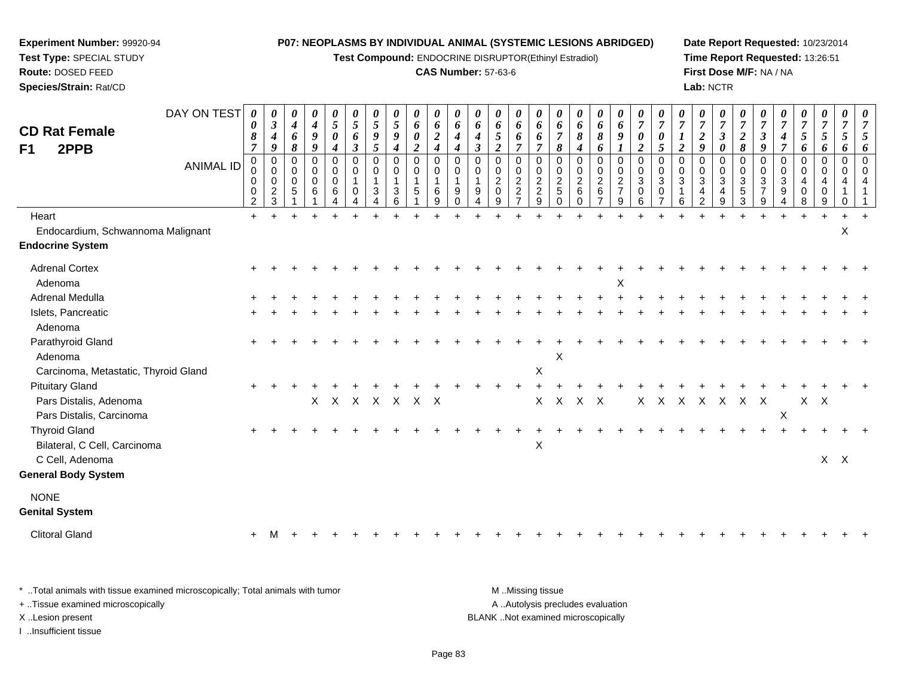**Test Compound:** ENDOCRINE DISRUPTOR(Ethinyl Estradiol)

#### **CAS Number:** 57-63-6

**Date Report Requested:** 10/23/2014**Time Report Requested:** 13:26:51**First Dose M/F:** NA / NA**Lab:** NCTR

| <b>CD Rat Female</b><br>2PPB<br>F1   | DAY ON TEST<br><b>ANIMAL ID</b> | 0<br>8<br>$\overline{7}$<br>$\Omega$<br>0<br>0<br>0<br>$\overline{2}$ | 0<br>$\mathfrak{z}$<br>$\boldsymbol{4}$<br>9<br>$\mathbf 0$<br>0<br>$\mathbf 0$<br>$\frac{2}{3}$ | 0<br>$\boldsymbol{4}$<br>6<br>8<br>$\Omega$<br>0<br>$\mathbf 0$<br>$\sqrt{5}$<br>1 | 0<br>$\boldsymbol{4}$<br>9<br>$\boldsymbol{g}$<br>$\Omega$<br>0<br>$\mathbf 0$<br>6 | 0<br>5<br>0<br>$\boldsymbol{4}$<br>$\Omega$<br>0<br>0<br>6<br>4 | $\boldsymbol{\theta}$<br>$\mathfrak{H}$<br>6<br>$\mathfrak{z}$<br>$\Omega$<br>0<br>0<br>Δ | $\boldsymbol{\theta}$<br>5<br>9<br>$\mathfrak{s}$<br>$\Omega$<br>0<br>3<br>4 | $\boldsymbol{\theta}$<br>5<br>9<br>4<br>$\Omega$<br>$\mathbf 0$<br>$\mathbf{1}$<br>3<br>6 | $\boldsymbol{\theta}$<br>6<br>$\boldsymbol{\theta}$<br>$\overline{2}$<br>$\Omega$<br>$\mathbf 0$<br>$\mathbf{1}$<br>5<br>1 | 0<br>6<br>$\boldsymbol{2}$<br>$\boldsymbol{4}$<br>$\Omega$<br>0<br>1<br>$\,6\,$<br>$\boldsymbol{9}$ | $\boldsymbol{\theta}$<br>6<br>$\boldsymbol{4}$<br>$\boldsymbol{4}$<br>$\Omega$<br>0<br>$\mathbf{1}$<br>9<br>$\mathbf 0$ | $\theta$<br>6<br>4<br>$\boldsymbol{\beta}$<br>$\Omega$<br>0<br>9<br>4 | 0<br>6<br>$\overline{5}$<br>$\overline{2}$<br>$\Omega$<br>$\mathbf 0$<br>$\overline{c}$<br>$\mathbf 0$<br>9 | $\boldsymbol{\theta}$<br>6<br>6<br>$\overline{7}$<br>$\Omega$<br>$\mathbf 0$<br>$\overline{c}$<br>$\overline{c}$<br>$\overline{7}$ | $\boldsymbol{\theta}$<br>6<br>6<br>$\overline{7}$<br>$\Omega$<br>0<br>$\overline{c}$<br>$\boldsymbol{2}$<br>9 | $\boldsymbol{\theta}$<br>6<br>$\overline{7}$<br>8<br>$\Omega$<br>0<br>$\boldsymbol{2}$<br>$\sqrt{5}$<br>$\mathbf 0$ | $\boldsymbol{\theta}$<br>6<br>8<br>4<br>$\mathbf 0$<br>0<br>$\sqrt{2}$<br>$\,6$<br>$\mathbf 0$ | $\boldsymbol{\theta}$<br>6<br>$\pmb{8}$<br>6<br>$\mathbf 0$<br>$\boldsymbol{0}$<br>$\sqrt{2}$<br>$\,6\,$<br>$\overline{7}$ | $\boldsymbol{\theta}$<br>6<br>9<br>$\boldsymbol{l}$<br>$\mathbf 0$<br>$\pmb{0}$<br>$\sqrt{2}$<br>$\overline{7}$<br>9 | $\boldsymbol{\theta}$<br>$\overline{7}$<br>0<br>$\overline{2}$<br>$\Omega$<br>0<br>3<br>0<br>6 | $\overline{7}$<br>0<br>$\mathfrak{s}$<br>$\Omega$<br>0<br>3<br>0<br>$\overline{7}$ | $\overline{7}$<br>$\overline{2}$<br>$\Omega$<br>0<br>3<br>6 | 0<br>$\overline{7}$<br>$\boldsymbol{2}$<br>9<br>$\Omega$<br>0<br>$\ensuremath{\mathsf{3}}$<br>4<br>$\overline{2}$ | $\theta$<br>$\overline{7}$<br>$\mathfrak{z}$<br>0<br>$\Omega$<br>0<br>$\sqrt{3}$<br>$\overline{4}$<br>$\boldsymbol{9}$ | $\theta$<br>$\overline{7}$<br>$\boldsymbol{2}$<br>8<br>$\Omega$<br>0<br>$\sqrt{3}$<br>5<br>$\mathbf{3}$ | $\overline{7}$<br>$\boldsymbol{\beta}$<br>9<br>$\Omega$<br>0<br>$\mathbf{3}$<br>$\overline{7}$<br>9 | U<br>$\overline{7}$<br>4<br>$\overline{\tau}$<br>$\Omega$<br>0<br>$\mathbf{3}$<br>9<br>4 | U<br>$\overline{7}$<br>5<br>6<br>0<br>0<br>4<br>0<br>8 | $\theta$<br>$\overline{7}$<br>5<br>6<br>$\Omega$<br>0<br>4<br>0<br>9 | 0<br>$\overline{7}$<br>5<br>6<br>$\Omega$<br>0<br>4<br>1<br>0 | $\overline{7}$<br>$\Omega$ |
|--------------------------------------|---------------------------------|-----------------------------------------------------------------------|--------------------------------------------------------------------------------------------------|------------------------------------------------------------------------------------|-------------------------------------------------------------------------------------|-----------------------------------------------------------------|-------------------------------------------------------------------------------------------|------------------------------------------------------------------------------|-------------------------------------------------------------------------------------------|----------------------------------------------------------------------------------------------------------------------------|-----------------------------------------------------------------------------------------------------|-------------------------------------------------------------------------------------------------------------------------|-----------------------------------------------------------------------|-------------------------------------------------------------------------------------------------------------|------------------------------------------------------------------------------------------------------------------------------------|---------------------------------------------------------------------------------------------------------------|---------------------------------------------------------------------------------------------------------------------|------------------------------------------------------------------------------------------------|----------------------------------------------------------------------------------------------------------------------------|----------------------------------------------------------------------------------------------------------------------|------------------------------------------------------------------------------------------------|------------------------------------------------------------------------------------|-------------------------------------------------------------|-------------------------------------------------------------------------------------------------------------------|------------------------------------------------------------------------------------------------------------------------|---------------------------------------------------------------------------------------------------------|-----------------------------------------------------------------------------------------------------|------------------------------------------------------------------------------------------|--------------------------------------------------------|----------------------------------------------------------------------|---------------------------------------------------------------|----------------------------|
| Heart                                |                                 | $+$                                                                   |                                                                                                  | $\ddot{}$                                                                          |                                                                                     |                                                                 |                                                                                           |                                                                              | $\ddot{}$                                                                                 |                                                                                                                            |                                                                                                     |                                                                                                                         |                                                                       |                                                                                                             |                                                                                                                                    |                                                                                                               |                                                                                                                     |                                                                                                |                                                                                                                            |                                                                                                                      |                                                                                                |                                                                                    |                                                             |                                                                                                                   |                                                                                                                        |                                                                                                         |                                                                                                     | $\ddot{}$                                                                                | $\pm$                                                  |                                                                      |                                                               |                            |
| Endocardium, Schwannoma Malignant    |                                 |                                                                       |                                                                                                  |                                                                                    |                                                                                     |                                                                 |                                                                                           |                                                                              |                                                                                           |                                                                                                                            |                                                                                                     |                                                                                                                         |                                                                       |                                                                                                             |                                                                                                                                    |                                                                                                               |                                                                                                                     |                                                                                                |                                                                                                                            |                                                                                                                      |                                                                                                |                                                                                    |                                                             |                                                                                                                   |                                                                                                                        |                                                                                                         |                                                                                                     |                                                                                          |                                                        |                                                                      | X                                                             |                            |
| <b>Endocrine System</b>              |                                 |                                                                       |                                                                                                  |                                                                                    |                                                                                     |                                                                 |                                                                                           |                                                                              |                                                                                           |                                                                                                                            |                                                                                                     |                                                                                                                         |                                                                       |                                                                                                             |                                                                                                                                    |                                                                                                               |                                                                                                                     |                                                                                                |                                                                                                                            |                                                                                                                      |                                                                                                |                                                                                    |                                                             |                                                                                                                   |                                                                                                                        |                                                                                                         |                                                                                                     |                                                                                          |                                                        |                                                                      |                                                               |                            |
| <b>Adrenal Cortex</b>                |                                 |                                                                       |                                                                                                  |                                                                                    |                                                                                     |                                                                 |                                                                                           |                                                                              |                                                                                           |                                                                                                                            |                                                                                                     |                                                                                                                         |                                                                       |                                                                                                             |                                                                                                                                    |                                                                                                               |                                                                                                                     |                                                                                                |                                                                                                                            |                                                                                                                      |                                                                                                |                                                                                    |                                                             |                                                                                                                   |                                                                                                                        |                                                                                                         |                                                                                                     |                                                                                          |                                                        |                                                                      |                                                               |                            |
| Adenoma                              |                                 |                                                                       |                                                                                                  |                                                                                    |                                                                                     |                                                                 |                                                                                           |                                                                              |                                                                                           |                                                                                                                            |                                                                                                     |                                                                                                                         |                                                                       |                                                                                                             |                                                                                                                                    |                                                                                                               |                                                                                                                     |                                                                                                |                                                                                                                            | X                                                                                                                    |                                                                                                |                                                                                    |                                                             |                                                                                                                   |                                                                                                                        |                                                                                                         |                                                                                                     |                                                                                          |                                                        |                                                                      |                                                               |                            |
| Adrenal Medulla                      |                                 |                                                                       |                                                                                                  |                                                                                    |                                                                                     |                                                                 |                                                                                           |                                                                              |                                                                                           |                                                                                                                            |                                                                                                     |                                                                                                                         |                                                                       |                                                                                                             |                                                                                                                                    |                                                                                                               |                                                                                                                     |                                                                                                |                                                                                                                            |                                                                                                                      |                                                                                                |                                                                                    |                                                             |                                                                                                                   |                                                                                                                        |                                                                                                         |                                                                                                     |                                                                                          |                                                        |                                                                      |                                                               |                            |
| Islets, Pancreatic                   |                                 |                                                                       |                                                                                                  |                                                                                    |                                                                                     |                                                                 |                                                                                           |                                                                              |                                                                                           |                                                                                                                            |                                                                                                     |                                                                                                                         |                                                                       |                                                                                                             |                                                                                                                                    |                                                                                                               |                                                                                                                     |                                                                                                |                                                                                                                            |                                                                                                                      |                                                                                                |                                                                                    |                                                             |                                                                                                                   |                                                                                                                        |                                                                                                         |                                                                                                     |                                                                                          |                                                        |                                                                      |                                                               |                            |
| Adenoma                              |                                 |                                                                       |                                                                                                  |                                                                                    |                                                                                     |                                                                 |                                                                                           |                                                                              |                                                                                           |                                                                                                                            |                                                                                                     |                                                                                                                         |                                                                       |                                                                                                             |                                                                                                                                    |                                                                                                               |                                                                                                                     |                                                                                                |                                                                                                                            |                                                                                                                      |                                                                                                |                                                                                    |                                                             |                                                                                                                   |                                                                                                                        |                                                                                                         |                                                                                                     |                                                                                          |                                                        |                                                                      |                                                               |                            |
| Parathyroid Gland                    |                                 |                                                                       |                                                                                                  |                                                                                    |                                                                                     |                                                                 |                                                                                           |                                                                              |                                                                                           |                                                                                                                            |                                                                                                     |                                                                                                                         |                                                                       |                                                                                                             |                                                                                                                                    |                                                                                                               |                                                                                                                     |                                                                                                |                                                                                                                            |                                                                                                                      |                                                                                                |                                                                                    |                                                             |                                                                                                                   |                                                                                                                        |                                                                                                         |                                                                                                     |                                                                                          |                                                        |                                                                      |                                                               |                            |
| Adenoma                              |                                 |                                                                       |                                                                                                  |                                                                                    |                                                                                     |                                                                 |                                                                                           |                                                                              |                                                                                           |                                                                                                                            |                                                                                                     |                                                                                                                         |                                                                       |                                                                                                             |                                                                                                                                    |                                                                                                               | X                                                                                                                   |                                                                                                |                                                                                                                            |                                                                                                                      |                                                                                                |                                                                                    |                                                             |                                                                                                                   |                                                                                                                        |                                                                                                         |                                                                                                     |                                                                                          |                                                        |                                                                      |                                                               |                            |
| Carcinoma, Metastatic, Thyroid Gland |                                 |                                                                       |                                                                                                  |                                                                                    |                                                                                     |                                                                 |                                                                                           |                                                                              |                                                                                           |                                                                                                                            |                                                                                                     |                                                                                                                         |                                                                       |                                                                                                             |                                                                                                                                    | Χ                                                                                                             |                                                                                                                     |                                                                                                |                                                                                                                            |                                                                                                                      |                                                                                                |                                                                                    |                                                             |                                                                                                                   |                                                                                                                        |                                                                                                         |                                                                                                     |                                                                                          |                                                        |                                                                      |                                                               |                            |
| <b>Pituitary Gland</b>               |                                 |                                                                       |                                                                                                  |                                                                                    |                                                                                     |                                                                 |                                                                                           |                                                                              |                                                                                           |                                                                                                                            |                                                                                                     |                                                                                                                         |                                                                       |                                                                                                             |                                                                                                                                    |                                                                                                               |                                                                                                                     |                                                                                                |                                                                                                                            |                                                                                                                      |                                                                                                |                                                                                    |                                                             |                                                                                                                   |                                                                                                                        |                                                                                                         |                                                                                                     |                                                                                          |                                                        |                                                                      |                                                               |                            |
| Pars Distalis, Adenoma               |                                 |                                                                       |                                                                                                  |                                                                                    |                                                                                     |                                                                 |                                                                                           | X X X X X X X                                                                |                                                                                           |                                                                                                                            |                                                                                                     |                                                                                                                         |                                                                       |                                                                                                             |                                                                                                                                    | X.                                                                                                            |                                                                                                                     | X X X                                                                                          |                                                                                                                            |                                                                                                                      | X                                                                                              |                                                                                    | X X X X                                                     |                                                                                                                   |                                                                                                                        | X                                                                                                       | $\mathsf{X}$                                                                                        |                                                                                          | $X$ $X$                                                |                                                                      |                                                               |                            |
| Pars Distalis, Carcinoma             |                                 |                                                                       |                                                                                                  |                                                                                    |                                                                                     |                                                                 |                                                                                           |                                                                              |                                                                                           |                                                                                                                            |                                                                                                     |                                                                                                                         |                                                                       |                                                                                                             |                                                                                                                                    |                                                                                                               |                                                                                                                     |                                                                                                |                                                                                                                            |                                                                                                                      |                                                                                                |                                                                                    |                                                             |                                                                                                                   |                                                                                                                        |                                                                                                         |                                                                                                     | $\mathsf X$                                                                              |                                                        |                                                                      |                                                               |                            |
| <b>Thyroid Gland</b>                 |                                 |                                                                       |                                                                                                  |                                                                                    |                                                                                     |                                                                 |                                                                                           |                                                                              |                                                                                           |                                                                                                                            |                                                                                                     |                                                                                                                         |                                                                       |                                                                                                             |                                                                                                                                    |                                                                                                               |                                                                                                                     |                                                                                                |                                                                                                                            |                                                                                                                      |                                                                                                |                                                                                    |                                                             |                                                                                                                   |                                                                                                                        |                                                                                                         |                                                                                                     |                                                                                          |                                                        |                                                                      |                                                               |                            |
| Bilateral, C Cell, Carcinoma         |                                 |                                                                       |                                                                                                  |                                                                                    |                                                                                     |                                                                 |                                                                                           |                                                                              |                                                                                           |                                                                                                                            |                                                                                                     |                                                                                                                         |                                                                       |                                                                                                             |                                                                                                                                    | $\pmb{\times}$                                                                                                |                                                                                                                     |                                                                                                |                                                                                                                            |                                                                                                                      |                                                                                                |                                                                                    |                                                             |                                                                                                                   |                                                                                                                        |                                                                                                         |                                                                                                     |                                                                                          |                                                        |                                                                      |                                                               |                            |
| C Cell, Adenoma                      |                                 |                                                                       |                                                                                                  |                                                                                    |                                                                                     |                                                                 |                                                                                           |                                                                              |                                                                                           |                                                                                                                            |                                                                                                     |                                                                                                                         |                                                                       |                                                                                                             |                                                                                                                                    |                                                                                                               |                                                                                                                     |                                                                                                |                                                                                                                            |                                                                                                                      |                                                                                                |                                                                                    |                                                             |                                                                                                                   |                                                                                                                        |                                                                                                         |                                                                                                     |                                                                                          |                                                        | $X$ $X$                                                              |                                                               |                            |
| <b>General Body System</b>           |                                 |                                                                       |                                                                                                  |                                                                                    |                                                                                     |                                                                 |                                                                                           |                                                                              |                                                                                           |                                                                                                                            |                                                                                                     |                                                                                                                         |                                                                       |                                                                                                             |                                                                                                                                    |                                                                                                               |                                                                                                                     |                                                                                                |                                                                                                                            |                                                                                                                      |                                                                                                |                                                                                    |                                                             |                                                                                                                   |                                                                                                                        |                                                                                                         |                                                                                                     |                                                                                          |                                                        |                                                                      |                                                               |                            |
| <b>NONE</b>                          |                                 |                                                                       |                                                                                                  |                                                                                    |                                                                                     |                                                                 |                                                                                           |                                                                              |                                                                                           |                                                                                                                            |                                                                                                     |                                                                                                                         |                                                                       |                                                                                                             |                                                                                                                                    |                                                                                                               |                                                                                                                     |                                                                                                |                                                                                                                            |                                                                                                                      |                                                                                                |                                                                                    |                                                             |                                                                                                                   |                                                                                                                        |                                                                                                         |                                                                                                     |                                                                                          |                                                        |                                                                      |                                                               |                            |
| <b>Genital System</b>                |                                 |                                                                       |                                                                                                  |                                                                                    |                                                                                     |                                                                 |                                                                                           |                                                                              |                                                                                           |                                                                                                                            |                                                                                                     |                                                                                                                         |                                                                       |                                                                                                             |                                                                                                                                    |                                                                                                               |                                                                                                                     |                                                                                                |                                                                                                                            |                                                                                                                      |                                                                                                |                                                                                    |                                                             |                                                                                                                   |                                                                                                                        |                                                                                                         |                                                                                                     |                                                                                          |                                                        |                                                                      |                                                               |                            |
| <b>Clitoral Gland</b>                |                                 |                                                                       |                                                                                                  |                                                                                    |                                                                                     |                                                                 |                                                                                           |                                                                              |                                                                                           |                                                                                                                            |                                                                                                     |                                                                                                                         |                                                                       |                                                                                                             |                                                                                                                                    |                                                                                                               |                                                                                                                     |                                                                                                |                                                                                                                            |                                                                                                                      |                                                                                                |                                                                                    |                                                             |                                                                                                                   |                                                                                                                        |                                                                                                         |                                                                                                     |                                                                                          |                                                        |                                                                      |                                                               |                            |
|                                      |                                 |                                                                       |                                                                                                  |                                                                                    |                                                                                     |                                                                 |                                                                                           |                                                                              |                                                                                           |                                                                                                                            |                                                                                                     |                                                                                                                         |                                                                       |                                                                                                             |                                                                                                                                    |                                                                                                               |                                                                                                                     |                                                                                                |                                                                                                                            |                                                                                                                      |                                                                                                |                                                                                    |                                                             |                                                                                                                   |                                                                                                                        |                                                                                                         |                                                                                                     |                                                                                          |                                                        |                                                                      |                                                               |                            |

\* ..Total animals with tissue examined microscopically; Total animals with tumor **M** . Missing tissue M ..Missing tissue A ..Autolysis precludes evaluation + ..Tissue examined microscopically X ..Lesion present BLANK ..Not examined microscopicallyI ..Insufficient tissue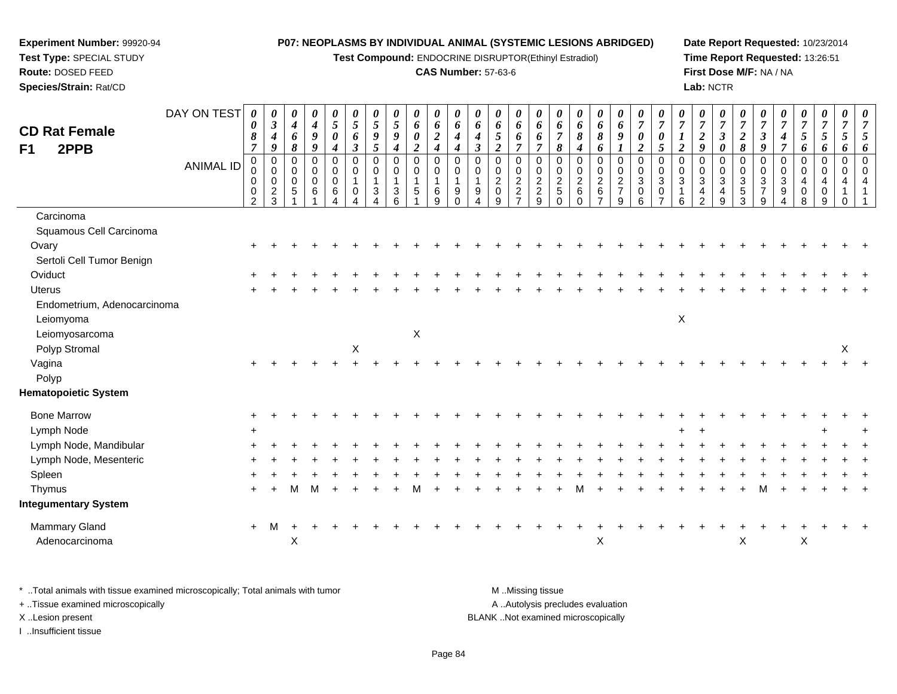**Test Compound:** ENDOCRINE DISRUPTOR(Ethinyl Estradiol)

### **CAS Number:** 57-63-6

**Date Report Requested:** 10/23/2014**Time Report Requested:** 13:26:51**First Dose M/F:** NA / NA**Lab:** NCTR

| <b>CD Rat Female</b><br>F1<br>2PPB | DAY ON TEST      | 0<br>0<br>8<br>$\overline{7}$              | 0<br>$\boldsymbol{\beta}$<br>$\boldsymbol{4}$<br>$\boldsymbol{9}$ | 0<br>$\boldsymbol{4}$<br>6<br>8               | 0<br>$\boldsymbol{4}$<br>$\boldsymbol{g}$<br>$\boldsymbol{g}$ | 0<br>$\mathfrak{I}$<br>0<br>$\boldsymbol{4}$       | 0<br>$\mathfrak{s}$<br>6<br>$\mathfrak{z}$   | 0<br>$\sqrt{5}$<br>$\boldsymbol{9}$<br>5        | 0<br>$\overline{5}$<br>9<br>$\boldsymbol{4}$ | 0<br>6<br>$\boldsymbol{\theta}$<br>$\boldsymbol{2}$       | 0<br>$\pmb{6}$<br>$\overline{2}$<br>$\boldsymbol{4}$ | 0<br>6<br>$\boldsymbol{4}$<br>$\boldsymbol{4}$      | 0<br>6<br>4<br>$\boldsymbol{\beta}$   | 0<br>6<br>5<br>$\boldsymbol{2}$                        | 0<br>6<br>6<br>$\overline{7}$                                                     | 0<br>6<br>6<br>$\overline{7}$                                | 0<br>6<br>$\overline{7}$<br>8                                      | 0<br>6<br>8<br>4                                      | 0<br>6<br>8<br>6                                             | 0<br>6<br>9<br>$\boldsymbol{l}$                    | 0<br>$\overline{7}$<br>0<br>$\overline{2}$                        | 0<br>$\overline{7}$<br>$\boldsymbol{\theta}$<br>$\overline{5}$ | 0<br>$\overline{7}$<br>$\boldsymbol{l}$<br>$\boldsymbol{2}$     | 0<br>$\overline{7}$<br>$\overline{2}$<br>9 | 0<br>$\boldsymbol{7}$<br>$\mathfrak{z}$<br>0 | $\boldsymbol{\theta}$<br>$\overline{7}$<br>$\boldsymbol{2}$<br>8 | 0<br>$\overline{7}$<br>$\boldsymbol{\beta}$<br>9                | $\overline{7}$<br>4<br>$\overline{7}$ | 0<br>$\overline{7}$<br>5<br>6             | 0<br>$\boldsymbol{7}$<br>5<br>6    | $\boldsymbol{\theta}$<br>$\overline{7}$<br>5<br>6      | $\boldsymbol{\theta}$<br>$\overline{7}$<br>6 |
|------------------------------------|------------------|--------------------------------------------|-------------------------------------------------------------------|-----------------------------------------------|---------------------------------------------------------------|----------------------------------------------------|----------------------------------------------|-------------------------------------------------|----------------------------------------------|-----------------------------------------------------------|------------------------------------------------------|-----------------------------------------------------|---------------------------------------|--------------------------------------------------------|-----------------------------------------------------------------------------------|--------------------------------------------------------------|--------------------------------------------------------------------|-------------------------------------------------------|--------------------------------------------------------------|----------------------------------------------------|-------------------------------------------------------------------|----------------------------------------------------------------|-----------------------------------------------------------------|--------------------------------------------|----------------------------------------------|------------------------------------------------------------------|-----------------------------------------------------------------|---------------------------------------|-------------------------------------------|------------------------------------|--------------------------------------------------------|----------------------------------------------|
|                                    | <b>ANIMAL ID</b> | $\pmb{0}$<br>0<br>0<br>0<br>$\overline{2}$ | $\pmb{0}$<br>$\pmb{0}$<br>$\mathbf 0$<br>$\sqrt{2}$<br>3          | $\mathbf 0$<br>0<br>$\mathbf 0$<br>$\sqrt{5}$ | $\pmb{0}$<br>$\pmb{0}$<br>$\ddot{\mathbf{0}}$<br>6            | $\pmb{0}$<br>$\,0\,$<br>$\boldsymbol{0}$<br>6<br>Δ | $\mathbf 0$<br>0<br>$\overline{1}$<br>0<br>Δ | $\mathbf 0$<br>$\mathbf 0$<br>$\mathbf{1}$<br>3 | $\mathbf 0$<br>$\mathbf 0$<br>3<br>6         | $\pmb{0}$<br>$\pmb{0}$<br>$\mathbf{1}$<br>$5\phantom{.0}$ | $\mathbf 0$<br>$\,0\,$<br>$\mathbf{1}$<br>$\,6$<br>9 | $\mathbf 0$<br>0<br>$\overline{1}$<br>9<br>$\Omega$ | $\mathbf 0$<br>0<br>$\mathbf{1}$<br>9 | $\mathbf 0$<br>0<br>$\overline{c}$<br>$\mathbf 0$<br>9 | 0<br>$\begin{smallmatrix} 0\\2 \end{smallmatrix}$<br>$\sqrt{2}$<br>$\overline{7}$ | $\mathbf 0$<br>$\,0\,$<br>$\overline{2}$<br>$\mathbf 2$<br>9 | $\pmb{0}$<br>$\pmb{0}$<br>$\overline{2}$<br>$\sqrt{5}$<br>$\Omega$ | $\mathbf 0$<br>$\pmb{0}$<br>$\overline{2}$<br>$\,6\,$ | $\mathbf 0$<br>$\pmb{0}$<br>$\overline{c}$<br>$6\phantom{a}$ | $\pmb{0}$<br>$_{2}^{\rm 0}$<br>$\overline{7}$<br>9 | $\boldsymbol{0}$<br>$\pmb{0}$<br>$\overline{3}$<br>$\pmb{0}$<br>6 | $\pmb{0}$<br>$\mathbf 0$<br>$\overline{3}$<br>0                | $\mathbf 0$<br>$\mathbf 0$<br>$\mathbf{3}$<br>$\mathbf{1}$<br>6 | $\Omega$<br>0<br>3<br>4<br>$\overline{2}$  | 0<br>0<br>$\overline{3}$<br>4<br>9           | $\mathbf 0$<br>0<br>$\sqrt{3}$<br>$\mathbf 5$<br>3               | $\mathbf 0$<br>$\mathbf 0$<br>$\sqrt{3}$<br>$\overline{7}$<br>9 | $\mathbf 0$<br>0<br>$\mathbf{3}$<br>9 | 0<br>0<br>$\overline{4}$<br>$\Omega$<br>8 | 0<br>0<br>$\overline{4}$<br>0<br>9 | $\pmb{0}$<br>$\mathbf 0$<br>$\overline{4}$<br>$\Omega$ | $\Omega$                                     |
| Carcinoma                          |                  |                                            |                                                                   |                                               |                                                               |                                                    |                                              |                                                 |                                              |                                                           |                                                      |                                                     |                                       |                                                        |                                                                                   |                                                              |                                                                    |                                                       |                                                              |                                                    |                                                                   |                                                                |                                                                 |                                            |                                              |                                                                  |                                                                 |                                       |                                           |                                    |                                                        |                                              |
| Squamous Cell Carcinoma            |                  |                                            |                                                                   |                                               |                                                               |                                                    |                                              |                                                 |                                              |                                                           |                                                      |                                                     |                                       |                                                        |                                                                                   |                                                              |                                                                    |                                                       |                                                              |                                                    |                                                                   |                                                                |                                                                 |                                            |                                              |                                                                  |                                                                 |                                       |                                           |                                    |                                                        |                                              |
| Ovary                              |                  |                                            |                                                                   |                                               |                                                               |                                                    |                                              |                                                 |                                              |                                                           |                                                      |                                                     |                                       |                                                        |                                                                                   |                                                              |                                                                    |                                                       |                                                              |                                                    |                                                                   |                                                                |                                                                 |                                            |                                              |                                                                  |                                                                 |                                       |                                           |                                    |                                                        |                                              |
| Sertoli Cell Tumor Benign          |                  |                                            |                                                                   |                                               |                                                               |                                                    |                                              |                                                 |                                              |                                                           |                                                      |                                                     |                                       |                                                        |                                                                                   |                                                              |                                                                    |                                                       |                                                              |                                                    |                                                                   |                                                                |                                                                 |                                            |                                              |                                                                  |                                                                 |                                       |                                           |                                    |                                                        |                                              |
| Oviduct                            |                  |                                            |                                                                   |                                               |                                                               |                                                    |                                              |                                                 |                                              |                                                           |                                                      |                                                     |                                       |                                                        |                                                                                   |                                                              |                                                                    |                                                       |                                                              |                                                    |                                                                   |                                                                |                                                                 |                                            |                                              |                                                                  |                                                                 |                                       |                                           |                                    |                                                        |                                              |
| <b>Uterus</b>                      |                  |                                            |                                                                   |                                               |                                                               |                                                    |                                              |                                                 |                                              |                                                           |                                                      |                                                     |                                       |                                                        |                                                                                   |                                                              |                                                                    |                                                       |                                                              |                                                    |                                                                   |                                                                |                                                                 |                                            |                                              |                                                                  |                                                                 |                                       |                                           |                                    |                                                        |                                              |
| Endometrium, Adenocarcinoma        |                  |                                            |                                                                   |                                               |                                                               |                                                    |                                              |                                                 |                                              |                                                           |                                                      |                                                     |                                       |                                                        |                                                                                   |                                                              |                                                                    |                                                       |                                                              |                                                    |                                                                   |                                                                |                                                                 |                                            |                                              |                                                                  |                                                                 |                                       |                                           |                                    |                                                        |                                              |
| Leiomyoma                          |                  |                                            |                                                                   |                                               |                                                               |                                                    |                                              |                                                 |                                              |                                                           |                                                      |                                                     |                                       |                                                        |                                                                                   |                                                              |                                                                    |                                                       |                                                              |                                                    |                                                                   |                                                                | $\mathsf X$                                                     |                                            |                                              |                                                                  |                                                                 |                                       |                                           |                                    |                                                        |                                              |
| Leiomyosarcoma                     |                  |                                            |                                                                   |                                               |                                                               |                                                    |                                              |                                                 |                                              | X                                                         |                                                      |                                                     |                                       |                                                        |                                                                                   |                                                              |                                                                    |                                                       |                                                              |                                                    |                                                                   |                                                                |                                                                 |                                            |                                              |                                                                  |                                                                 |                                       |                                           |                                    |                                                        |                                              |
| Polyp Stromal                      |                  |                                            |                                                                   |                                               |                                                               |                                                    | $\mathsf X$                                  |                                                 |                                              |                                                           |                                                      |                                                     |                                       |                                                        |                                                                                   |                                                              |                                                                    |                                                       |                                                              |                                                    |                                                                   |                                                                |                                                                 |                                            |                                              |                                                                  |                                                                 |                                       |                                           |                                    | X                                                      |                                              |
| Vagina                             |                  |                                            |                                                                   |                                               |                                                               |                                                    |                                              |                                                 |                                              |                                                           |                                                      |                                                     |                                       |                                                        |                                                                                   |                                                              |                                                                    |                                                       |                                                              |                                                    |                                                                   |                                                                |                                                                 |                                            |                                              |                                                                  |                                                                 |                                       |                                           |                                    |                                                        |                                              |
| Polyp                              |                  |                                            |                                                                   |                                               |                                                               |                                                    |                                              |                                                 |                                              |                                                           |                                                      |                                                     |                                       |                                                        |                                                                                   |                                                              |                                                                    |                                                       |                                                              |                                                    |                                                                   |                                                                |                                                                 |                                            |                                              |                                                                  |                                                                 |                                       |                                           |                                    |                                                        |                                              |
| <b>Hematopoietic System</b>        |                  |                                            |                                                                   |                                               |                                                               |                                                    |                                              |                                                 |                                              |                                                           |                                                      |                                                     |                                       |                                                        |                                                                                   |                                                              |                                                                    |                                                       |                                                              |                                                    |                                                                   |                                                                |                                                                 |                                            |                                              |                                                                  |                                                                 |                                       |                                           |                                    |                                                        |                                              |
| <b>Bone Marrow</b>                 |                  |                                            |                                                                   |                                               |                                                               |                                                    |                                              |                                                 |                                              |                                                           |                                                      |                                                     |                                       |                                                        |                                                                                   |                                                              |                                                                    |                                                       |                                                              |                                                    |                                                                   |                                                                |                                                                 |                                            |                                              |                                                                  |                                                                 |                                       |                                           |                                    |                                                        |                                              |
| Lymph Node                         |                  | $+$                                        |                                                                   |                                               |                                                               |                                                    |                                              |                                                 |                                              |                                                           |                                                      |                                                     |                                       |                                                        |                                                                                   |                                                              |                                                                    |                                                       |                                                              |                                                    |                                                                   |                                                                |                                                                 |                                            |                                              |                                                                  |                                                                 |                                       |                                           |                                    |                                                        |                                              |
| Lymph Node, Mandibular             |                  |                                            |                                                                   |                                               |                                                               |                                                    |                                              |                                                 |                                              |                                                           |                                                      |                                                     |                                       |                                                        |                                                                                   |                                                              |                                                                    |                                                       |                                                              |                                                    |                                                                   |                                                                |                                                                 |                                            |                                              |                                                                  |                                                                 |                                       |                                           |                                    |                                                        |                                              |
| Lymph Node, Mesenteric             |                  |                                            |                                                                   |                                               |                                                               |                                                    |                                              |                                                 |                                              |                                                           |                                                      |                                                     |                                       |                                                        |                                                                                   |                                                              |                                                                    |                                                       |                                                              |                                                    |                                                                   |                                                                |                                                                 |                                            |                                              |                                                                  |                                                                 |                                       |                                           |                                    |                                                        |                                              |
| Spleen                             |                  |                                            |                                                                   |                                               |                                                               |                                                    |                                              |                                                 |                                              |                                                           |                                                      |                                                     |                                       |                                                        |                                                                                   |                                                              |                                                                    |                                                       |                                                              |                                                    |                                                                   |                                                                |                                                                 |                                            |                                              |                                                                  |                                                                 |                                       |                                           |                                    |                                                        |                                              |
| Thymus                             |                  | $\ddot{}$                                  |                                                                   | M                                             | M                                                             |                                                    |                                              |                                                 |                                              |                                                           |                                                      |                                                     |                                       |                                                        |                                                                                   |                                                              |                                                                    | M                                                     |                                                              |                                                    |                                                                   |                                                                |                                                                 |                                            |                                              |                                                                  |                                                                 |                                       |                                           |                                    |                                                        |                                              |
| <b>Integumentary System</b>        |                  |                                            |                                                                   |                                               |                                                               |                                                    |                                              |                                                 |                                              |                                                           |                                                      |                                                     |                                       |                                                        |                                                                                   |                                                              |                                                                    |                                                       |                                                              |                                                    |                                                                   |                                                                |                                                                 |                                            |                                              |                                                                  |                                                                 |                                       |                                           |                                    |                                                        |                                              |
| Mammary Gland<br>Adenocarcinoma    |                  | $+$                                        | м                                                                 | X                                             |                                                               |                                                    |                                              |                                                 |                                              |                                                           |                                                      |                                                     |                                       |                                                        |                                                                                   |                                                              |                                                                    |                                                       | X                                                            |                                                    |                                                                   |                                                                |                                                                 |                                            |                                              | X                                                                |                                                                 |                                       | $\boldsymbol{\mathsf{X}}$                 |                                    |                                                        |                                              |
|                                    |                  |                                            |                                                                   |                                               |                                                               |                                                    |                                              |                                                 |                                              |                                                           |                                                      |                                                     |                                       |                                                        |                                                                                   |                                                              |                                                                    |                                                       |                                                              |                                                    |                                                                   |                                                                |                                                                 |                                            |                                              |                                                                  |                                                                 |                                       |                                           |                                    |                                                        |                                              |

\* ..Total animals with tissue examined microscopically; Total animals with tumor **M** . Missing tissue M ..Missing tissue A ..Autolysis precludes evaluation + ..Tissue examined microscopically X ..Lesion present BLANK ..Not examined microscopicallyI ..Insufficient tissue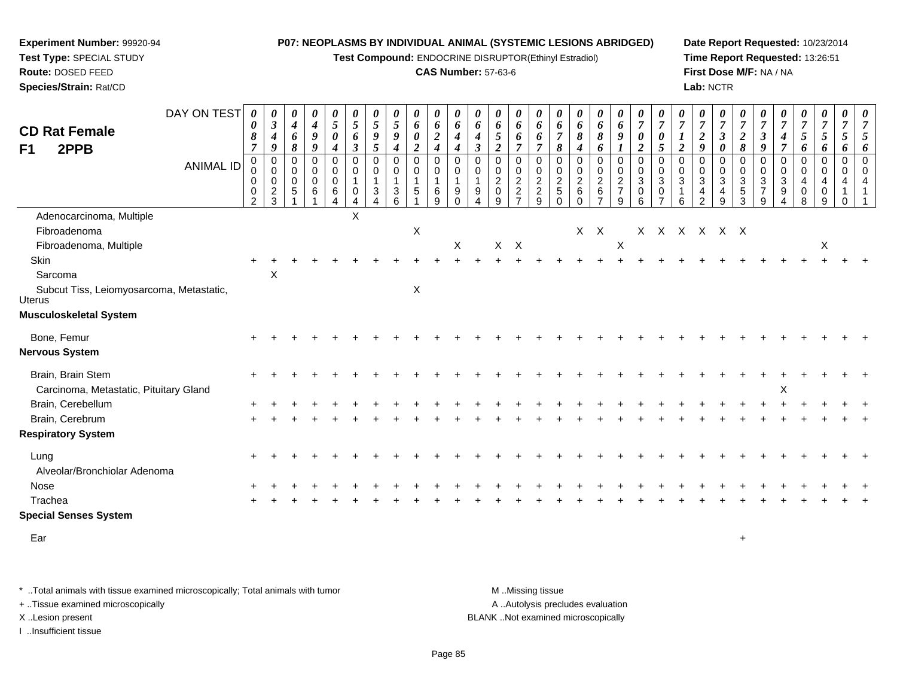**Test Compound:** ENDOCRINE DISRUPTOR(Ethinyl Estradiol)

#### **CAS Number:** 57-63-6

**Date Report Requested:** 10/23/2014**Time Report Requested:** 13:26:51**First Dose M/F:** NA / NA**Lab:** NCTR

|                                                    | DAY ON TEST      | 0<br>0                                       | 0<br>$\mathfrak{z}$                                    | 0<br>$\boldsymbol{4}$                         | 0<br>$\boldsymbol{4}$                                               | $\boldsymbol{\theta}$<br>5   | $\boldsymbol{\theta}$<br>$\mathfrak{S}$   | $\boldsymbol{\theta}$<br>5                      | $\boldsymbol{\theta}$<br>$\sqrt{5}$                   | 0<br>6                                         | 0<br>6                       | $\boldsymbol{\theta}$<br>6               | 0<br>6                         | 0<br>6                                              | 0<br>6                         | $\boldsymbol{\theta}$<br>6                   | $\boldsymbol{\theta}$<br>6                             | $\boldsymbol{\theta}$<br>6                               | 0<br>6                                              | $\boldsymbol{\theta}$<br>6                                                             | $\boldsymbol{\theta}$<br>$\overline{7}$       | $\boldsymbol{\theta}$<br>$\overline{7}$                      | $\frac{\boldsymbol{0}}{7}$         | $\frac{\theta}{7}$                                              | $\boldsymbol{\theta}$<br>$\overline{7}$                                | $\overline{7}$                                              | $\boldsymbol{\theta}$<br>$\overline{7}$              | $\frac{\theta}{7}$                                                             | $\frac{\boldsymbol{0}}{7}$                | $\frac{\boldsymbol{0}}{7}$      | $\theta$<br>$\overline{7}$     | 0<br>$\overline{7}$                             |
|----------------------------------------------------|------------------|----------------------------------------------|--------------------------------------------------------|-----------------------------------------------|---------------------------------------------------------------------|------------------------------|-------------------------------------------|-------------------------------------------------|-------------------------------------------------------|------------------------------------------------|------------------------------|------------------------------------------|--------------------------------|-----------------------------------------------------|--------------------------------|----------------------------------------------|--------------------------------------------------------|----------------------------------------------------------|-----------------------------------------------------|----------------------------------------------------------------------------------------|-----------------------------------------------|--------------------------------------------------------------|------------------------------------|-----------------------------------------------------------------|------------------------------------------------------------------------|-------------------------------------------------------------|------------------------------------------------------|--------------------------------------------------------------------------------|-------------------------------------------|---------------------------------|--------------------------------|-------------------------------------------------|
| <b>CD Rat Female</b>                               |                  | 8                                            | $\boldsymbol{4}$                                       | 6                                             | $\boldsymbol{9}$                                                    | $\boldsymbol{\theta}$        | 6                                         | $\boldsymbol{g}$                                | 9                                                     | $\pmb{\theta}$                                 | $\boldsymbol{2}$             | $\boldsymbol{4}$                         | $\boldsymbol{4}$               | $\sqrt{5}$                                          | 6                              | 6                                            | $\overline{7}$                                         | 8                                                        | 8                                                   | 9                                                                                      | $\boldsymbol{\theta}$                         | $\boldsymbol{\theta}$                                        |                                    | $\overline{c}$                                                  | $\mathfrak{z}$                                                         | $\boldsymbol{2}$                                            | $\boldsymbol{\beta}$                                 | $\boldsymbol{4}$                                                               | 5                                         | $\mathfrak{s}$                  | 5                              | 5                                               |
| 2PPB<br>F1                                         |                  | $\overline{7}$                               | 9                                                      | $\pmb{8}$                                     | $\boldsymbol{g}$                                                    | $\boldsymbol{4}$             | $\mathfrak{z}$                            | 5                                               | $\boldsymbol{4}$                                      | $\boldsymbol{2}$                               | $\boldsymbol{4}$             | $\boldsymbol{4}$                         | $\mathbf{3}$                   | $\boldsymbol{2}$                                    | $\overline{7}$                 | $\overline{7}$                               | 8                                                      | $\boldsymbol{4}$                                         | 6                                                   |                                                                                        | $\boldsymbol{2}$                              | $\overline{5}$                                               | $\overline{2}$                     | 9                                                               | 0                                                                      | $\pmb{8}$                                                   | 9                                                    | $\boldsymbol{7}$                                                               | 6                                         | 6                               | 6                              | 6                                               |
|                                                    | <b>ANIMAL ID</b> | $\mathbf 0$<br>0<br>$\,0\,$<br>$\frac{0}{2}$ | $\mathbf 0$<br>$\pmb{0}$<br>$\pmb{0}$<br>$\frac{2}{3}$ | 0<br>$\mathbf 0$<br>$\mathbf 0$<br>$\sqrt{5}$ | $\mathbf 0$<br>$\overline{0}$<br>$\mathbf 0$<br>6<br>$\overline{1}$ | $\Omega$<br>0<br>0<br>6<br>4 | $\Omega$<br>0<br>1<br>0<br>$\overline{4}$ | $\mathbf 0$<br>0<br>3<br>$\boldsymbol{\Lambda}$ | 0<br>$\mathbf 0$<br>$\overline{1}$<br>$\sqrt{3}$<br>6 | $\mathbf 0$<br>0<br>$\mathbf{1}$<br>$\sqrt{5}$ | $\Omega$<br>0<br>1<br>6<br>9 | $\Omega$<br>$\mathbf 0$<br>9<br>$\Omega$ | $\Omega$<br>0<br>9<br>$\Delta$ | $\Omega$<br>0<br>$\overline{c}$<br>$\mathbf 0$<br>9 | $\Omega$<br>0<br>$\frac{2}{2}$ | $\Omega$<br>0<br>$\sqrt{2}$<br>$\frac{2}{9}$ | $\Omega$<br>0<br>$\sqrt{2}$<br>$\,$ 5 $\,$<br>$\Omega$ | 0<br>0<br>$\overline{\mathbf{c}}$<br>$\,6\,$<br>$\Omega$ | $\mathbf 0$<br>0<br>$\overline{c}$<br>$\frac{6}{7}$ | $\mathbf 0$<br>$\mathsf{O}\xspace$<br>$\sqrt{2}$<br>$\overline{7}$<br>$\boldsymbol{9}$ | $\Omega$<br>0<br>$\sqrt{3}$<br>$\pmb{0}$<br>6 | $\Omega$<br>0<br>$\mathbf{3}$<br>$\pmb{0}$<br>$\overline{7}$ | $\Omega$<br>0<br>$\mathbf{3}$<br>6 | $\Omega$<br>0<br>$\sqrt{3}$<br>$\overline{4}$<br>$\overline{2}$ | $\mathbf 0$<br>$\pmb{0}$<br>$\sqrt{3}$<br>$\overline{\mathbf{r}}$<br>9 | $\Omega$<br>0<br>$\ensuremath{\mathsf{3}}$<br>$\frac{5}{3}$ | $\Omega$<br>0<br>$\mathbf{3}$<br>$\overline{7}$<br>9 | $\mathbf 0$<br>$\mathbf 0$<br>$\ensuremath{\mathsf{3}}$<br>9<br>$\overline{A}$ | $\mathbf 0$<br>$\mathbf 0$<br>4<br>0<br>8 | $\mathbf 0$<br>0<br>4<br>0<br>9 | $\Omega$<br>0<br>4<br>$\Omega$ | $\Omega$<br>$\Omega$<br>$\overline{\mathbf{A}}$ |
| Adenocarcinoma, Multiple                           |                  |                                              |                                                        |                                               |                                                                     |                              | Χ                                         |                                                 |                                                       |                                                |                              |                                          |                                |                                                     |                                |                                              |                                                        |                                                          |                                                     |                                                                                        |                                               |                                                              |                                    |                                                                 |                                                                        |                                                             |                                                      |                                                                                |                                           |                                 |                                |                                                 |
| Fibroadenoma                                       |                  |                                              |                                                        |                                               |                                                                     |                              |                                           |                                                 |                                                       | $\mathsf X$                                    |                              |                                          |                                |                                                     |                                |                                              |                                                        | $X$ $X$                                                  |                                                     |                                                                                        |                                               |                                                              |                                    |                                                                 | X X X X X X                                                            |                                                             |                                                      |                                                                                |                                           |                                 |                                |                                                 |
| Fibroadenoma, Multiple                             |                  |                                              |                                                        |                                               |                                                                     |                              |                                           |                                                 |                                                       |                                                |                              | X                                        |                                |                                                     | $X$ $X$                        |                                              |                                                        |                                                          |                                                     | $\boldsymbol{\mathsf{X}}$                                                              |                                               |                                                              |                                    |                                                                 |                                                                        |                                                             |                                                      |                                                                                |                                           | X                               |                                |                                                 |
| Skin                                               |                  |                                              |                                                        |                                               |                                                                     |                              |                                           |                                                 |                                                       |                                                |                              |                                          |                                |                                                     |                                |                                              |                                                        |                                                          |                                                     |                                                                                        |                                               |                                                              |                                    |                                                                 |                                                                        |                                                             |                                                      |                                                                                |                                           |                                 |                                |                                                 |
| Sarcoma                                            |                  |                                              | X                                                      |                                               |                                                                     |                              |                                           |                                                 |                                                       |                                                |                              |                                          |                                |                                                     |                                |                                              |                                                        |                                                          |                                                     |                                                                                        |                                               |                                                              |                                    |                                                                 |                                                                        |                                                             |                                                      |                                                                                |                                           |                                 |                                |                                                 |
| Subcut Tiss, Leiomyosarcoma, Metastatic,<br>Uterus |                  |                                              |                                                        |                                               |                                                                     |                              |                                           |                                                 |                                                       | $\mathsf X$                                    |                              |                                          |                                |                                                     |                                |                                              |                                                        |                                                          |                                                     |                                                                                        |                                               |                                                              |                                    |                                                                 |                                                                        |                                                             |                                                      |                                                                                |                                           |                                 |                                |                                                 |
| Musculoskeletal System                             |                  |                                              |                                                        |                                               |                                                                     |                              |                                           |                                                 |                                                       |                                                |                              |                                          |                                |                                                     |                                |                                              |                                                        |                                                          |                                                     |                                                                                        |                                               |                                                              |                                    |                                                                 |                                                                        |                                                             |                                                      |                                                                                |                                           |                                 |                                |                                                 |
| Bone, Femur                                        |                  |                                              |                                                        |                                               |                                                                     |                              |                                           |                                                 |                                                       |                                                |                              |                                          |                                |                                                     |                                |                                              |                                                        |                                                          |                                                     |                                                                                        |                                               |                                                              |                                    |                                                                 |                                                                        |                                                             |                                                      |                                                                                |                                           |                                 |                                |                                                 |
| Nervous System                                     |                  |                                              |                                                        |                                               |                                                                     |                              |                                           |                                                 |                                                       |                                                |                              |                                          |                                |                                                     |                                |                                              |                                                        |                                                          |                                                     |                                                                                        |                                               |                                                              |                                    |                                                                 |                                                                        |                                                             |                                                      |                                                                                |                                           |                                 |                                |                                                 |
| Brain, Brain Stem                                  |                  |                                              |                                                        |                                               |                                                                     |                              |                                           |                                                 |                                                       |                                                |                              |                                          |                                |                                                     |                                |                                              |                                                        |                                                          |                                                     |                                                                                        |                                               |                                                              |                                    |                                                                 |                                                                        |                                                             |                                                      |                                                                                |                                           |                                 |                                |                                                 |
| Carcinoma, Metastatic, Pituitary Gland             |                  |                                              |                                                        |                                               |                                                                     |                              |                                           |                                                 |                                                       |                                                |                              |                                          |                                |                                                     |                                |                                              |                                                        |                                                          |                                                     |                                                                                        |                                               |                                                              |                                    |                                                                 |                                                                        |                                                             |                                                      | X                                                                              |                                           |                                 |                                |                                                 |
| Brain, Cerebellum                                  |                  |                                              |                                                        |                                               |                                                                     |                              |                                           |                                                 |                                                       |                                                |                              |                                          |                                |                                                     |                                |                                              |                                                        |                                                          |                                                     |                                                                                        |                                               |                                                              |                                    |                                                                 |                                                                        |                                                             |                                                      |                                                                                |                                           |                                 |                                |                                                 |
| Brain, Cerebrum                                    |                  |                                              |                                                        |                                               |                                                                     |                              |                                           |                                                 |                                                       |                                                |                              |                                          |                                |                                                     |                                |                                              |                                                        |                                                          |                                                     |                                                                                        |                                               |                                                              |                                    |                                                                 |                                                                        |                                                             |                                                      |                                                                                |                                           |                                 |                                |                                                 |
| <b>Respiratory System</b>                          |                  |                                              |                                                        |                                               |                                                                     |                              |                                           |                                                 |                                                       |                                                |                              |                                          |                                |                                                     |                                |                                              |                                                        |                                                          |                                                     |                                                                                        |                                               |                                                              |                                    |                                                                 |                                                                        |                                                             |                                                      |                                                                                |                                           |                                 |                                |                                                 |
| Lung                                               |                  |                                              |                                                        |                                               |                                                                     |                              |                                           |                                                 |                                                       |                                                |                              |                                          |                                |                                                     |                                |                                              |                                                        |                                                          |                                                     |                                                                                        |                                               |                                                              |                                    |                                                                 |                                                                        |                                                             |                                                      |                                                                                |                                           |                                 |                                |                                                 |
| Alveolar/Bronchiolar Adenoma                       |                  |                                              |                                                        |                                               |                                                                     |                              |                                           |                                                 |                                                       |                                                |                              |                                          |                                |                                                     |                                |                                              |                                                        |                                                          |                                                     |                                                                                        |                                               |                                                              |                                    |                                                                 |                                                                        |                                                             |                                                      |                                                                                |                                           |                                 |                                |                                                 |
| Nose                                               |                  |                                              |                                                        |                                               |                                                                     |                              |                                           |                                                 |                                                       |                                                |                              |                                          |                                |                                                     |                                |                                              |                                                        |                                                          |                                                     |                                                                                        |                                               |                                                              |                                    |                                                                 |                                                                        |                                                             |                                                      |                                                                                |                                           |                                 |                                |                                                 |
| Trachea                                            |                  |                                              |                                                        |                                               |                                                                     |                              |                                           |                                                 |                                                       |                                                |                              |                                          |                                |                                                     |                                |                                              |                                                        |                                                          |                                                     |                                                                                        |                                               |                                                              |                                    |                                                                 |                                                                        |                                                             |                                                      |                                                                                |                                           |                                 |                                |                                                 |
| <b>Special Senses System</b>                       |                  |                                              |                                                        |                                               |                                                                     |                              |                                           |                                                 |                                                       |                                                |                              |                                          |                                |                                                     |                                |                                              |                                                        |                                                          |                                                     |                                                                                        |                                               |                                                              |                                    |                                                                 |                                                                        |                                                             |                                                      |                                                                                |                                           |                                 |                                |                                                 |
| Ear                                                |                  |                                              |                                                        |                                               |                                                                     |                              |                                           |                                                 |                                                       |                                                |                              |                                          |                                |                                                     |                                |                                              |                                                        |                                                          |                                                     |                                                                                        |                                               |                                                              |                                    |                                                                 |                                                                        | $\ddot{}$                                                   |                                                      |                                                                                |                                           |                                 |                                |                                                 |

\* ..Total animals with tissue examined microscopically; Total animals with tumor **M** . Missing tissue M ..Missing tissue A ..Autolysis precludes evaluation + ..Tissue examined microscopically X ..Lesion present BLANK ..Not examined microscopicallyI ..Insufficient tissue

**Experiment Number:** 99920-94**Test Type:** SPECIAL STUDY**Route:** DOSED FEED**Species/Strain:** Rat/CD

Page 85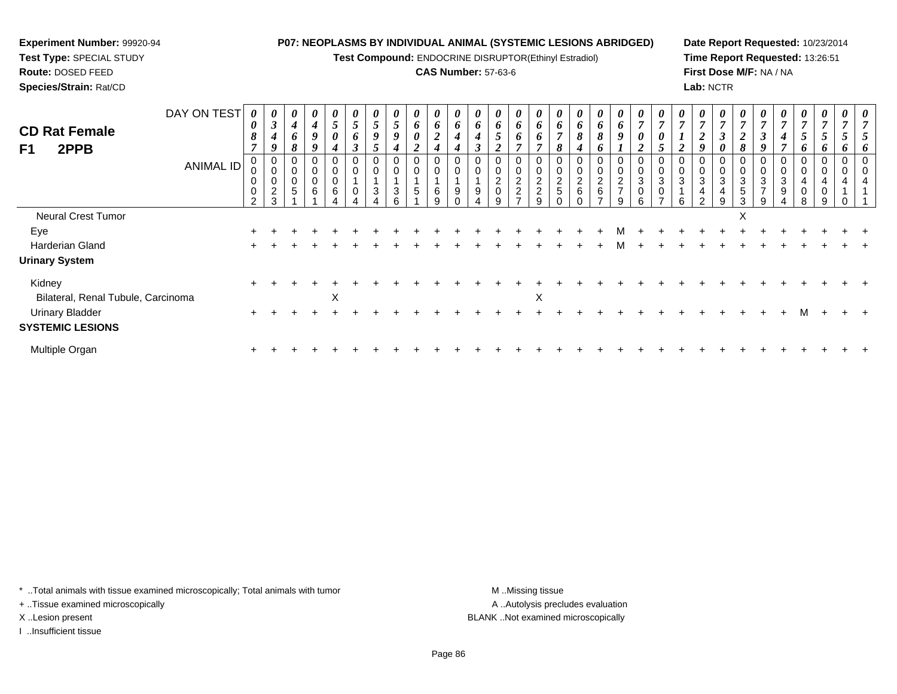**Test Compound:** ENDOCRINE DISRUPTOR(Ethinyl Estradiol)

## **CAS Number:** 57-63-6

**Date Report Requested:** 10/23/2014**Time Report Requested:** 13:26:51**First Dose M/F:** NA / NA**Lab:** NCTR

| DAY ON TEST<br><b>CD Rat Female</b><br>F1<br>2PPB<br><b>ANIMAL ID</b> | 0<br>$\boldsymbol{\theta}$<br>8<br>$\mathbf 0$<br>$\mathbf 0$ | U<br>$\boldsymbol{\beta}$<br>9<br>0<br>$\overline{c}$ | $\boldsymbol{\theta}$<br>$\boldsymbol{4}$<br>6<br>8<br>0<br>0<br>$\,0\,$<br>$\sqrt{5}$ | $\boldsymbol{\theta}$<br>$\boldsymbol{4}$<br>$\boldsymbol{g}$<br>9<br>0<br>$\pmb{0}$<br>$\pmb{0}$<br>$\,6$ | $\boldsymbol{\theta}$<br>$\overline{ }$<br>$\mathcal{L}$<br>$\boldsymbol{\theta}$<br>4<br>$\mathbf 0$<br>$\pmb{0}$<br>6 | U<br>5<br>6<br>$\boldsymbol{\beta}$<br>$\mathbf 0$ | $\boldsymbol{\theta}$<br>5<br>9<br>0<br>$\mathbf{3}$ | $\boldsymbol{\theta}$<br>5<br>9<br>0<br>3 | $\boldsymbol{\theta}$<br>6<br>$\boldsymbol{\theta}$<br>0<br>$\mathbf 0$<br>5 | $\bm{o}$<br>$\mathbf{\hat{z}}$<br>◢<br>4<br>0<br>6 | U<br>6<br>4<br>9 | $\boldsymbol{\theta}$<br>6<br>9 | O.<br>5<br>$\overline{2}$<br>$\mathbf 0$ | U<br>6<br>$\bm{o}$<br>$\frac{2}{2}$ | 6<br>6<br>$\,0\,$<br>$\frac{2}{2}$ | U<br>6<br>$\overline{ }$<br>8<br>0<br>$\frac{2}{5}$ | $\boldsymbol{\theta}$<br>6<br>8<br>4<br>0<br>$\frac{2}{6}$ | $\boldsymbol{\theta}$<br>6<br>8<br>$\boldsymbol{0}$<br>$\frac{2}{6}$ | $\boldsymbol{\theta}$<br>6<br>$\boldsymbol{q}$<br>0<br>$\pmb{0}$<br>$\frac{2}{7}$ | $\overline{ }$<br>3<br>0 | U<br>$\overline{ }$<br>0<br>3 | $\boldsymbol{\theta}$<br>2<br>0<br>3 | $\boldsymbol{\theta}$<br>$\overline{7}$<br>$\boldsymbol{2}$<br>$\mathbf 0$<br>$\ensuremath{\mathsf{3}}$<br>4 | $\overline{ }$<br>3<br>4 | ◢<br>$\mathbf{o}$<br>3<br>5 | U<br>$\overline{ }$<br>$\rightarrow$<br>J<br>Q<br>0<br>3<br>$\overline{ }$ | $\boldsymbol{\theta}$<br>$\overline{7}$<br>4<br>0<br>$\pmb{0}$<br>$\mathbf{3}$<br>$\boldsymbol{9}$ | $\boldsymbol{\theta}$<br>$\overline{7}$<br>$\overline{5}$<br>6<br>$\boldsymbol{0}$<br>$\pmb{0}$<br>$\overline{4}$<br>$\pmb{0}$ | $\boldsymbol{\theta}$<br>$\overline{ }$<br>$\mathcal{L}$<br>$\bm{o}$<br>$\mathbf 0$<br>4<br>0 | U | $\boldsymbol{\theta}$ |
|-----------------------------------------------------------------------|---------------------------------------------------------------|-------------------------------------------------------|----------------------------------------------------------------------------------------|------------------------------------------------------------------------------------------------------------|-------------------------------------------------------------------------------------------------------------------------|----------------------------------------------------|------------------------------------------------------|-------------------------------------------|------------------------------------------------------------------------------|----------------------------------------------------|------------------|---------------------------------|------------------------------------------|-------------------------------------|------------------------------------|-----------------------------------------------------|------------------------------------------------------------|----------------------------------------------------------------------|-----------------------------------------------------------------------------------|--------------------------|-------------------------------|--------------------------------------|--------------------------------------------------------------------------------------------------------------|--------------------------|-----------------------------|----------------------------------------------------------------------------|----------------------------------------------------------------------------------------------------|--------------------------------------------------------------------------------------------------------------------------------|-----------------------------------------------------------------------------------------------|---|-----------------------|
|                                                                       | $\mathfrak{p}$                                                | 3                                                     |                                                                                        |                                                                                                            |                                                                                                                         |                                                    |                                                      |                                           |                                                                              | g                                                  |                  |                                 |                                          |                                     | $\mathbf{Q}$                       |                                                     |                                                            | -                                                                    | 9                                                                                 | 6                        |                               | 6                                    | ◠                                                                                                            | q                        | 3                           | 9                                                                          |                                                                                                    | 8                                                                                                                              | g                                                                                             |   |                       |
| Neural Crest Tumor                                                    |                                                               |                                                       |                                                                                        |                                                                                                            |                                                                                                                         |                                                    |                                                      |                                           |                                                                              |                                                    |                  |                                 |                                          |                                     |                                    |                                                     |                                                            |                                                                      |                                                                                   |                          |                               |                                      |                                                                                                              |                          | X                           |                                                                            |                                                                                                    |                                                                                                                                |                                                                                               |   |                       |
| Eye                                                                   |                                                               |                                                       |                                                                                        |                                                                                                            |                                                                                                                         |                                                    |                                                      |                                           |                                                                              |                                                    |                  |                                 |                                          |                                     |                                    |                                                     |                                                            |                                                                      |                                                                                   |                          |                               |                                      |                                                                                                              |                          |                             |                                                                            |                                                                                                    |                                                                                                                                |                                                                                               |   |                       |
| Harderian Gland                                                       |                                                               |                                                       |                                                                                        |                                                                                                            |                                                                                                                         |                                                    |                                                      |                                           |                                                                              |                                                    |                  |                                 |                                          |                                     |                                    |                                                     |                                                            |                                                                      | м                                                                                 |                          |                               |                                      |                                                                                                              |                          |                             |                                                                            |                                                                                                    |                                                                                                                                |                                                                                               |   |                       |
| <b>Urinary System</b>                                                 |                                                               |                                                       |                                                                                        |                                                                                                            |                                                                                                                         |                                                    |                                                      |                                           |                                                                              |                                                    |                  |                                 |                                          |                                     |                                    |                                                     |                                                            |                                                                      |                                                                                   |                          |                               |                                      |                                                                                                              |                          |                             |                                                                            |                                                                                                    |                                                                                                                                |                                                                                               |   |                       |
| Kidney<br>Bilateral, Renal Tubule, Carcinoma                          |                                                               |                                                       |                                                                                        |                                                                                                            | X                                                                                                                       |                                                    |                                                      |                                           |                                                                              |                                                    |                  |                                 |                                          |                                     | $\pmb{\times}$                     |                                                     |                                                            |                                                                      |                                                                                   |                          |                               |                                      |                                                                                                              |                          |                             |                                                                            |                                                                                                    |                                                                                                                                |                                                                                               |   |                       |
| <b>Urinary Bladder</b><br><b>SYSTEMIC LESIONS</b>                     |                                                               |                                                       |                                                                                        |                                                                                                            |                                                                                                                         |                                                    |                                                      |                                           |                                                                              |                                                    |                  |                                 |                                          |                                     |                                    |                                                     |                                                            |                                                                      |                                                                                   |                          |                               |                                      |                                                                                                              |                          |                             |                                                                            |                                                                                                    | м                                                                                                                              |                                                                                               |   |                       |
| Multiple Organ                                                        | $\pm$                                                         |                                                       |                                                                                        |                                                                                                            |                                                                                                                         |                                                    |                                                      |                                           |                                                                              |                                                    |                  |                                 |                                          |                                     |                                    |                                                     |                                                            |                                                                      |                                                                                   |                          |                               |                                      |                                                                                                              |                          |                             |                                                                            |                                                                                                    |                                                                                                                                |                                                                                               |   |                       |

\* ..Total animals with tissue examined microscopically; Total animals with tumor **M** . Missing tissue M ..Missing tissue

+ ..Tissue examined microscopically

**Experiment Number:** 99920-94**Test Type:** SPECIAL STUDY**Route:** DOSED FEED**Species/Strain:** Rat/CD

I ..Insufficient tissue

A ..Autolysis precludes evaluation X ..Lesion present BLANK ..Not examined microscopically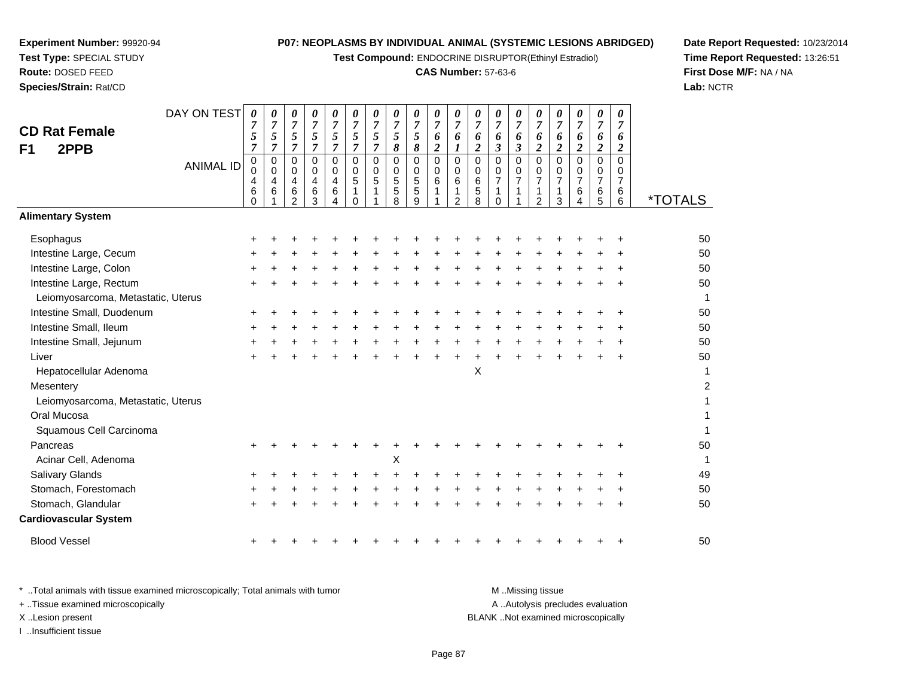**Test Compound:** ENDOCRINE DISRUPTOR(Ethinyl Estradiol)

## **CAS Number:** 57-63-6

**Date Report Requested:** 10/23/2014 **Time Report Requested:** 13:26:51**First Dose M/F:** NA / NA**Lab:** NCTR

| <b>CD Rat Female</b><br>2PPB<br>F <sub>1</sub> | DAY ON TEST<br><b>ANIMAL ID</b> | $\boldsymbol{\theta}$<br>7<br>5<br>$\overline{7}$<br>$\mathbf 0$<br>$\pmb{0}$<br>4<br>6<br>$\Omega$ | 0<br>$\overline{7}$<br>5<br>$\overline{7}$<br>$\mathbf 0$<br>$\mathbf 0$<br>4<br>6 | $\pmb{\theta}$<br>$\overline{7}$<br>5<br>$\overline{7}$<br>$\mathbf 0$<br>$\mathbf 0$<br>$\overline{\mathbf{4}}$<br>6<br>$\overline{2}$ | $\boldsymbol{\theta}$<br>$\overline{7}$<br>5<br>$\overline{7}$<br>$\Omega$<br>$\mathbf 0$<br>4<br>6<br>3 | 0<br>$\overline{7}$<br>$\frac{5}{7}$<br>$\pmb{0}$<br>$\overline{0}$<br>$\overline{4}$<br>6<br>4 | 0<br>$\overline{7}$<br>5<br>$\overline{7}$<br>$\Omega$<br>$\mathbf 0$<br>$\sqrt{5}$<br>$\mathbf{1}$<br>$\Omega$ | $\pmb{\theta}$<br>$\overline{7}$<br>5<br>$\overline{7}$<br>$\mathbf 0$<br>$\mathbf 0$<br>5 | $\pmb{\theta}$<br>$\boldsymbol{7}$<br>$\mathfrak{s}$<br>$\boldsymbol{\delta}$<br>$\mathbf 0$<br>$\mathbf 0$<br>$\sqrt{5}$<br>$\sqrt{5}$<br>$\overline{8}$ | 0<br>$\overline{7}$<br>5<br>$\boldsymbol{\delta}$<br>$\Omega$<br>$\mathbf 0$<br>$\sqrt{5}$<br>$\overline{5}$<br>9 | $\boldsymbol{\theta}$<br>$\overline{7}$<br>6<br>$\boldsymbol{2}$<br>0<br>$\ddot{\mathbf{0}}$<br>6 | 0<br>$\overline{7}$<br>6<br>$\boldsymbol{l}$<br>0<br>$\mathsf 0$<br>6<br>1<br>$\overline{2}$ | 0<br>$\overline{7}$<br>6<br>$\boldsymbol{2}$<br>$\mathbf 0$<br>$\mathbf 0$<br>6<br>5<br>8 | 0<br>$\overline{7}$<br>6<br>$\mathfrak{z}$<br>$\Omega$<br>$\mathbf 0$<br>$\overline{7}$<br>1<br>$\Omega$ | $\pmb{\theta}$<br>$\overline{7}$<br>6<br>$\mathfrak{z}$<br>$\pmb{0}$<br>$\mathbf 0$<br>$\overline{7}$<br>1 | $\boldsymbol{\theta}$<br>$\overline{7}$<br>6<br>$\overline{c}$<br>$\Omega$<br>0<br>$\overline{7}$<br>1<br>$\overline{2}$ | 0<br>$\overline{7}$<br>6<br>$\boldsymbol{2}$<br>$\mathbf 0$<br>$\pmb{0}$<br>$\overline{7}$<br>1<br>3 | $\boldsymbol{\theta}$<br>$\overline{7}$<br>6<br>$\overline{2}$<br>$\Omega$<br>0<br>$\overline{7}$<br>6<br>4 | $\pmb{\theta}$<br>$\boldsymbol{7}$<br>6<br>$\boldsymbol{2}$<br>$\mathbf 0$<br>$\mathbf 0$<br>$\overline{7}$<br>6<br>$\overline{5}$ | 0<br>$\overline{7}$<br>6<br>$\boldsymbol{2}$<br>$\Omega$<br>0<br>$\overline{7}$<br>6<br>$6\phantom{1}$ | <i><b>*TOTALS</b></i> |
|------------------------------------------------|---------------------------------|-----------------------------------------------------------------------------------------------------|------------------------------------------------------------------------------------|-----------------------------------------------------------------------------------------------------------------------------------------|----------------------------------------------------------------------------------------------------------|-------------------------------------------------------------------------------------------------|-----------------------------------------------------------------------------------------------------------------|--------------------------------------------------------------------------------------------|-----------------------------------------------------------------------------------------------------------------------------------------------------------|-------------------------------------------------------------------------------------------------------------------|---------------------------------------------------------------------------------------------------|----------------------------------------------------------------------------------------------|-------------------------------------------------------------------------------------------|----------------------------------------------------------------------------------------------------------|------------------------------------------------------------------------------------------------------------|--------------------------------------------------------------------------------------------------------------------------|------------------------------------------------------------------------------------------------------|-------------------------------------------------------------------------------------------------------------|------------------------------------------------------------------------------------------------------------------------------------|--------------------------------------------------------------------------------------------------------|-----------------------|
| <b>Alimentary System</b>                       |                                 |                                                                                                     |                                                                                    |                                                                                                                                         |                                                                                                          |                                                                                                 |                                                                                                                 |                                                                                            |                                                                                                                                                           |                                                                                                                   |                                                                                                   |                                                                                              |                                                                                           |                                                                                                          |                                                                                                            |                                                                                                                          |                                                                                                      |                                                                                                             |                                                                                                                                    |                                                                                                        |                       |
| Esophagus                                      |                                 |                                                                                                     |                                                                                    |                                                                                                                                         |                                                                                                          |                                                                                                 |                                                                                                                 |                                                                                            |                                                                                                                                                           |                                                                                                                   |                                                                                                   |                                                                                              |                                                                                           |                                                                                                          |                                                                                                            |                                                                                                                          |                                                                                                      |                                                                                                             |                                                                                                                                    |                                                                                                        | 50                    |
| Intestine Large, Cecum                         |                                 |                                                                                                     |                                                                                    |                                                                                                                                         |                                                                                                          |                                                                                                 |                                                                                                                 |                                                                                            |                                                                                                                                                           |                                                                                                                   |                                                                                                   |                                                                                              |                                                                                           |                                                                                                          |                                                                                                            |                                                                                                                          |                                                                                                      |                                                                                                             |                                                                                                                                    |                                                                                                        | 50                    |
| Intestine Large, Colon                         |                                 |                                                                                                     |                                                                                    |                                                                                                                                         |                                                                                                          |                                                                                                 |                                                                                                                 |                                                                                            |                                                                                                                                                           |                                                                                                                   |                                                                                                   |                                                                                              |                                                                                           |                                                                                                          |                                                                                                            |                                                                                                                          |                                                                                                      |                                                                                                             |                                                                                                                                    |                                                                                                        | 50                    |
| Intestine Large, Rectum                        |                                 |                                                                                                     |                                                                                    |                                                                                                                                         |                                                                                                          |                                                                                                 |                                                                                                                 |                                                                                            |                                                                                                                                                           |                                                                                                                   |                                                                                                   |                                                                                              |                                                                                           |                                                                                                          |                                                                                                            |                                                                                                                          |                                                                                                      |                                                                                                             |                                                                                                                                    |                                                                                                        | 50                    |
| Leiomyosarcoma, Metastatic, Uterus             |                                 |                                                                                                     |                                                                                    |                                                                                                                                         |                                                                                                          |                                                                                                 |                                                                                                                 |                                                                                            |                                                                                                                                                           |                                                                                                                   |                                                                                                   |                                                                                              |                                                                                           |                                                                                                          |                                                                                                            |                                                                                                                          |                                                                                                      |                                                                                                             |                                                                                                                                    |                                                                                                        | $\overline{1}$        |
| Intestine Small, Duodenum                      |                                 |                                                                                                     |                                                                                    |                                                                                                                                         |                                                                                                          |                                                                                                 |                                                                                                                 |                                                                                            |                                                                                                                                                           |                                                                                                                   |                                                                                                   |                                                                                              |                                                                                           |                                                                                                          |                                                                                                            |                                                                                                                          |                                                                                                      |                                                                                                             |                                                                                                                                    |                                                                                                        | 50                    |
| Intestine Small, Ileum                         |                                 |                                                                                                     |                                                                                    |                                                                                                                                         |                                                                                                          |                                                                                                 |                                                                                                                 |                                                                                            |                                                                                                                                                           |                                                                                                                   |                                                                                                   |                                                                                              |                                                                                           |                                                                                                          |                                                                                                            |                                                                                                                          |                                                                                                      |                                                                                                             |                                                                                                                                    |                                                                                                        | 50                    |
| Intestine Small, Jejunum                       |                                 |                                                                                                     |                                                                                    |                                                                                                                                         |                                                                                                          |                                                                                                 |                                                                                                                 |                                                                                            |                                                                                                                                                           |                                                                                                                   |                                                                                                   |                                                                                              |                                                                                           |                                                                                                          |                                                                                                            |                                                                                                                          |                                                                                                      |                                                                                                             |                                                                                                                                    |                                                                                                        | 50                    |
| Liver                                          |                                 |                                                                                                     |                                                                                    |                                                                                                                                         |                                                                                                          |                                                                                                 |                                                                                                                 |                                                                                            |                                                                                                                                                           |                                                                                                                   |                                                                                                   |                                                                                              |                                                                                           |                                                                                                          |                                                                                                            |                                                                                                                          |                                                                                                      |                                                                                                             |                                                                                                                                    |                                                                                                        | 50                    |
| Hepatocellular Adenoma                         |                                 |                                                                                                     |                                                                                    |                                                                                                                                         |                                                                                                          |                                                                                                 |                                                                                                                 |                                                                                            |                                                                                                                                                           |                                                                                                                   |                                                                                                   |                                                                                              | X                                                                                         |                                                                                                          |                                                                                                            |                                                                                                                          |                                                                                                      |                                                                                                             |                                                                                                                                    |                                                                                                        | 1                     |
| Mesentery                                      |                                 |                                                                                                     |                                                                                    |                                                                                                                                         |                                                                                                          |                                                                                                 |                                                                                                                 |                                                                                            |                                                                                                                                                           |                                                                                                                   |                                                                                                   |                                                                                              |                                                                                           |                                                                                                          |                                                                                                            |                                                                                                                          |                                                                                                      |                                                                                                             |                                                                                                                                    |                                                                                                        | $\overline{c}$        |
| Leiomyosarcoma, Metastatic, Uterus             |                                 |                                                                                                     |                                                                                    |                                                                                                                                         |                                                                                                          |                                                                                                 |                                                                                                                 |                                                                                            |                                                                                                                                                           |                                                                                                                   |                                                                                                   |                                                                                              |                                                                                           |                                                                                                          |                                                                                                            |                                                                                                                          |                                                                                                      |                                                                                                             |                                                                                                                                    |                                                                                                        |                       |
| Oral Mucosa                                    |                                 |                                                                                                     |                                                                                    |                                                                                                                                         |                                                                                                          |                                                                                                 |                                                                                                                 |                                                                                            |                                                                                                                                                           |                                                                                                                   |                                                                                                   |                                                                                              |                                                                                           |                                                                                                          |                                                                                                            |                                                                                                                          |                                                                                                      |                                                                                                             |                                                                                                                                    |                                                                                                        |                       |
| Squamous Cell Carcinoma                        |                                 |                                                                                                     |                                                                                    |                                                                                                                                         |                                                                                                          |                                                                                                 |                                                                                                                 |                                                                                            |                                                                                                                                                           |                                                                                                                   |                                                                                                   |                                                                                              |                                                                                           |                                                                                                          |                                                                                                            |                                                                                                                          |                                                                                                      |                                                                                                             |                                                                                                                                    |                                                                                                        | 1                     |
| Pancreas                                       |                                 |                                                                                                     |                                                                                    |                                                                                                                                         |                                                                                                          |                                                                                                 |                                                                                                                 |                                                                                            |                                                                                                                                                           |                                                                                                                   |                                                                                                   |                                                                                              |                                                                                           |                                                                                                          |                                                                                                            |                                                                                                                          |                                                                                                      |                                                                                                             |                                                                                                                                    |                                                                                                        | 50                    |
| Acinar Cell, Adenoma                           |                                 |                                                                                                     |                                                                                    |                                                                                                                                         |                                                                                                          |                                                                                                 |                                                                                                                 |                                                                                            | X                                                                                                                                                         |                                                                                                                   |                                                                                                   |                                                                                              |                                                                                           |                                                                                                          |                                                                                                            |                                                                                                                          |                                                                                                      |                                                                                                             |                                                                                                                                    |                                                                                                        | $\mathbf 1$           |
| Salivary Glands                                |                                 |                                                                                                     |                                                                                    |                                                                                                                                         |                                                                                                          |                                                                                                 |                                                                                                                 |                                                                                            |                                                                                                                                                           |                                                                                                                   |                                                                                                   |                                                                                              |                                                                                           |                                                                                                          |                                                                                                            |                                                                                                                          |                                                                                                      |                                                                                                             |                                                                                                                                    |                                                                                                        | 49                    |
| Stomach, Forestomach                           |                                 |                                                                                                     |                                                                                    |                                                                                                                                         |                                                                                                          |                                                                                                 |                                                                                                                 |                                                                                            |                                                                                                                                                           |                                                                                                                   |                                                                                                   |                                                                                              |                                                                                           |                                                                                                          |                                                                                                            |                                                                                                                          |                                                                                                      |                                                                                                             |                                                                                                                                    |                                                                                                        | 50                    |
| Stomach, Glandular                             |                                 |                                                                                                     |                                                                                    |                                                                                                                                         |                                                                                                          |                                                                                                 |                                                                                                                 |                                                                                            |                                                                                                                                                           |                                                                                                                   |                                                                                                   |                                                                                              |                                                                                           |                                                                                                          |                                                                                                            |                                                                                                                          |                                                                                                      |                                                                                                             |                                                                                                                                    |                                                                                                        | 50                    |
| <b>Cardiovascular System</b>                   |                                 |                                                                                                     |                                                                                    |                                                                                                                                         |                                                                                                          |                                                                                                 |                                                                                                                 |                                                                                            |                                                                                                                                                           |                                                                                                                   |                                                                                                   |                                                                                              |                                                                                           |                                                                                                          |                                                                                                            |                                                                                                                          |                                                                                                      |                                                                                                             |                                                                                                                                    |                                                                                                        |                       |
| <b>Blood Vessel</b>                            |                                 |                                                                                                     |                                                                                    |                                                                                                                                         |                                                                                                          |                                                                                                 |                                                                                                                 |                                                                                            |                                                                                                                                                           |                                                                                                                   |                                                                                                   |                                                                                              |                                                                                           |                                                                                                          |                                                                                                            |                                                                                                                          |                                                                                                      |                                                                                                             |                                                                                                                                    |                                                                                                        | 50                    |

| Total animals with tissue examined microscopically; Total animals with tumor. | M Missing tissue                   |
|-------------------------------------------------------------------------------|------------------------------------|
| + Tissue examined microscopically                                             | A Autolysis precludes evaluation   |
| X Lesion present                                                              | BLANK Not examined microscopically |
| Insufficient tissue                                                           |                                    |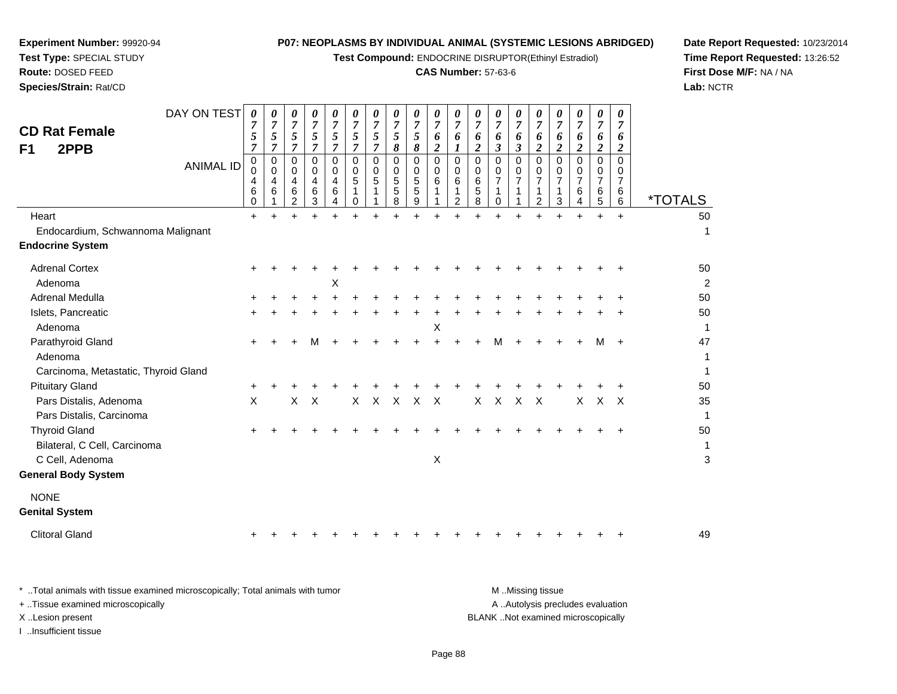**Test Compound:** ENDOCRINE DISRUPTOR(Ethinyl Estradiol)

#### **CAS Number:** 57-63-6

**Date Report Requested:** 10/23/2014**Time Report Requested:** 13:26:52**First Dose M/F:** NA / NA**Lab:** NCTR

| DAY ON TEST<br><b>CD Rat Female</b><br>2PPB<br>F <sub>1</sub><br><b>ANIMAL ID</b><br>Heart | $\boldsymbol{\theta}$<br>7<br>5<br>$\overline{7}$<br>$\pmb{0}$<br>0<br>4<br>6<br>0<br>$+$ | 0<br>$\overline{7}$<br>$\mathfrak{s}$<br>7<br>$\,0\,$<br>$\mathbf 0$<br>4<br>6 | 0<br>$\overline{7}$<br>5<br>$\overline{7}$<br>$\mathbf 0$<br>$\mathbf 0$<br>4<br>6<br>2 | 0<br>$\overline{7}$<br>5<br>$\overline{7}$<br>0<br>$\mathbf 0$<br>4<br>6<br>3 | 0<br>$\overline{7}$<br>5<br>$\overline{7}$<br>$\mathbf 0$<br>$\mathbf 0$<br>$\overline{4}$<br>6<br>4 | 0<br>$\overline{7}$<br>5<br>$\overline{7}$<br>$\mathbf 0$<br>0<br>5<br>1<br>0 | 0<br>$\overline{7}$<br>$\mathfrak{s}$<br>$\overline{7}$<br>$\mathbf 0$<br>$\mathbf 0$<br>5<br>1 | 0<br>$\overline{7}$<br>5<br>8<br>$\mathbf 0$<br>$\mathbf 0$<br>5<br>5<br>8 | 0<br>$\overline{7}$<br>5<br>$\pmb{8}$<br>0<br>$\mathbf 0$<br>$\,$ 5 $\,$<br>5<br>9<br>$\ddot{}$ | 0<br>$\overline{7}$<br>6<br>$\boldsymbol{2}$<br>$\pmb{0}$<br>0<br>6<br>1 | 0<br>$\overline{7}$<br>6<br>1<br>$\mathbf 0$<br>$\mathbf 0$<br>6<br>1<br>$\overline{c}$ | 0<br>$\overline{7}$<br>6<br>$\boldsymbol{2}$<br>$\mathbf 0$<br>$\mathbf 0$<br>6<br>5<br>8 | 0<br>$\overline{7}$<br>6<br>$\boldsymbol{\beta}$<br>$\mathbf 0$<br>$\mathbf 0$<br>$\overline{7}$<br>1<br>0 | 0<br>$\overline{7}$<br>6<br>3<br>0<br>0<br>$\overline{7}$<br>1 | 0<br>$\overline{7}$<br>6<br>$\overline{c}$<br>0<br>0<br>$\overline{7}$<br>$\mathbf{1}$<br>2 | 0<br>$\overline{7}$<br>6<br>$\overline{2}$<br>$\Omega$<br>0<br>$\overline{7}$<br>1<br>3 | 0<br>$\overline{7}$<br>6<br>$\boldsymbol{2}$<br>$\mathbf 0$<br>0<br>$\overline{7}$<br>6<br>4 | 0<br>$\overline{7}$<br>6<br>$\boldsymbol{2}$<br>0<br>0<br>$\overline{7}$<br>6<br>5<br>$\ddot{}$ | $\boldsymbol{\theta}$<br>$\overline{7}$<br>6<br>$\boldsymbol{2}$<br>$\mathbf 0$<br>0<br>$\overline{7}$<br>6<br>6<br>$\ddot{}$ | <i><b>*TOTALS</b></i><br>50 |
|--------------------------------------------------------------------------------------------|-------------------------------------------------------------------------------------------|--------------------------------------------------------------------------------|-----------------------------------------------------------------------------------------|-------------------------------------------------------------------------------|------------------------------------------------------------------------------------------------------|-------------------------------------------------------------------------------|-------------------------------------------------------------------------------------------------|----------------------------------------------------------------------------|-------------------------------------------------------------------------------------------------|--------------------------------------------------------------------------|-----------------------------------------------------------------------------------------|-------------------------------------------------------------------------------------------|------------------------------------------------------------------------------------------------------------|----------------------------------------------------------------|---------------------------------------------------------------------------------------------|-----------------------------------------------------------------------------------------|----------------------------------------------------------------------------------------------|-------------------------------------------------------------------------------------------------|-------------------------------------------------------------------------------------------------------------------------------|-----------------------------|
| Endocardium, Schwannoma Malignant                                                          |                                                                                           |                                                                                |                                                                                         |                                                                               |                                                                                                      |                                                                               |                                                                                                 |                                                                            |                                                                                                 |                                                                          |                                                                                         |                                                                                           |                                                                                                            |                                                                |                                                                                             |                                                                                         |                                                                                              |                                                                                                 |                                                                                                                               | 1                           |
| <b>Endocrine System</b>                                                                    |                                                                                           |                                                                                |                                                                                         |                                                                               |                                                                                                      |                                                                               |                                                                                                 |                                                                            |                                                                                                 |                                                                          |                                                                                         |                                                                                           |                                                                                                            |                                                                |                                                                                             |                                                                                         |                                                                                              |                                                                                                 |                                                                                                                               |                             |
| <b>Adrenal Cortex</b>                                                                      | +                                                                                         |                                                                                |                                                                                         |                                                                               |                                                                                                      |                                                                               |                                                                                                 |                                                                            |                                                                                                 |                                                                          |                                                                                         |                                                                                           |                                                                                                            |                                                                |                                                                                             |                                                                                         |                                                                                              |                                                                                                 |                                                                                                                               | 50                          |
| Adenoma                                                                                    |                                                                                           |                                                                                |                                                                                         |                                                                               | X                                                                                                    |                                                                               |                                                                                                 |                                                                            |                                                                                                 |                                                                          |                                                                                         |                                                                                           |                                                                                                            |                                                                |                                                                                             |                                                                                         |                                                                                              |                                                                                                 |                                                                                                                               | $\overline{c}$              |
| Adrenal Medulla                                                                            |                                                                                           |                                                                                |                                                                                         |                                                                               |                                                                                                      |                                                                               |                                                                                                 |                                                                            |                                                                                                 |                                                                          |                                                                                         |                                                                                           |                                                                                                            |                                                                |                                                                                             |                                                                                         |                                                                                              |                                                                                                 |                                                                                                                               | 50                          |
| Islets, Pancreatic                                                                         | +                                                                                         |                                                                                |                                                                                         |                                                                               |                                                                                                      |                                                                               |                                                                                                 |                                                                            |                                                                                                 |                                                                          |                                                                                         |                                                                                           |                                                                                                            |                                                                |                                                                                             |                                                                                         |                                                                                              |                                                                                                 |                                                                                                                               | 50                          |
| Adenoma                                                                                    |                                                                                           |                                                                                |                                                                                         |                                                                               |                                                                                                      |                                                                               |                                                                                                 |                                                                            |                                                                                                 | X                                                                        |                                                                                         |                                                                                           |                                                                                                            |                                                                |                                                                                             |                                                                                         |                                                                                              |                                                                                                 |                                                                                                                               | 1                           |
| Parathyroid Gland                                                                          | ٠                                                                                         |                                                                                |                                                                                         |                                                                               |                                                                                                      |                                                                               |                                                                                                 |                                                                            |                                                                                                 |                                                                          |                                                                                         |                                                                                           | м                                                                                                          |                                                                |                                                                                             |                                                                                         |                                                                                              |                                                                                                 |                                                                                                                               | 47                          |
| Adenoma                                                                                    |                                                                                           |                                                                                |                                                                                         |                                                                               |                                                                                                      |                                                                               |                                                                                                 |                                                                            |                                                                                                 |                                                                          |                                                                                         |                                                                                           |                                                                                                            |                                                                |                                                                                             |                                                                                         |                                                                                              |                                                                                                 |                                                                                                                               | 1                           |
| Carcinoma, Metastatic, Thyroid Gland                                                       |                                                                                           |                                                                                |                                                                                         |                                                                               |                                                                                                      |                                                                               |                                                                                                 |                                                                            |                                                                                                 |                                                                          |                                                                                         |                                                                                           |                                                                                                            |                                                                |                                                                                             |                                                                                         |                                                                                              |                                                                                                 |                                                                                                                               | $\mathbf{1}$                |
| <b>Pituitary Gland</b>                                                                     |                                                                                           |                                                                                |                                                                                         |                                                                               |                                                                                                      |                                                                               |                                                                                                 |                                                                            |                                                                                                 |                                                                          |                                                                                         |                                                                                           |                                                                                                            |                                                                |                                                                                             |                                                                                         |                                                                                              |                                                                                                 |                                                                                                                               | 50                          |
| Pars Distalis, Adenoma<br>Pars Distalis, Carcinoma                                         | X                                                                                         |                                                                                | $\mathsf{X}$                                                                            | $\boldsymbol{\mathsf{X}}$                                                     |                                                                                                      | $\mathsf{X}$                                                                  | $\mathsf{X}$                                                                                    | $\times$                                                                   | $\mathsf{X}$                                                                                    | $\times$                                                                 |                                                                                         | X                                                                                         | $\mathsf{X}$                                                                                               | $\times$                                                       | $\mathsf{X}$                                                                                |                                                                                         | X                                                                                            | $\mathsf{X}$                                                                                    | $\mathsf{X}$                                                                                                                  | 35<br>$\mathbf{1}$          |
| <b>Thyroid Gland</b>                                                                       |                                                                                           |                                                                                |                                                                                         |                                                                               |                                                                                                      |                                                                               |                                                                                                 |                                                                            |                                                                                                 |                                                                          |                                                                                         |                                                                                           |                                                                                                            |                                                                |                                                                                             |                                                                                         |                                                                                              |                                                                                                 |                                                                                                                               | 50                          |
| Bilateral, C Cell, Carcinoma                                                               |                                                                                           |                                                                                |                                                                                         |                                                                               |                                                                                                      |                                                                               |                                                                                                 |                                                                            |                                                                                                 |                                                                          |                                                                                         |                                                                                           |                                                                                                            |                                                                |                                                                                             |                                                                                         |                                                                                              |                                                                                                 |                                                                                                                               | $\mathbf{1}$                |
| C Cell, Adenoma                                                                            |                                                                                           |                                                                                |                                                                                         |                                                                               |                                                                                                      |                                                                               |                                                                                                 |                                                                            |                                                                                                 | $\boldsymbol{\mathsf{X}}$                                                |                                                                                         |                                                                                           |                                                                                                            |                                                                |                                                                                             |                                                                                         |                                                                                              |                                                                                                 |                                                                                                                               | 3                           |
| <b>General Body System</b>                                                                 |                                                                                           |                                                                                |                                                                                         |                                                                               |                                                                                                      |                                                                               |                                                                                                 |                                                                            |                                                                                                 |                                                                          |                                                                                         |                                                                                           |                                                                                                            |                                                                |                                                                                             |                                                                                         |                                                                                              |                                                                                                 |                                                                                                                               |                             |
| <b>NONE</b><br><b>Genital System</b>                                                       |                                                                                           |                                                                                |                                                                                         |                                                                               |                                                                                                      |                                                                               |                                                                                                 |                                                                            |                                                                                                 |                                                                          |                                                                                         |                                                                                           |                                                                                                            |                                                                |                                                                                             |                                                                                         |                                                                                              |                                                                                                 |                                                                                                                               |                             |
| <b>Clitoral Gland</b>                                                                      |                                                                                           |                                                                                |                                                                                         |                                                                               |                                                                                                      |                                                                               |                                                                                                 |                                                                            |                                                                                                 |                                                                          |                                                                                         |                                                                                           |                                                                                                            |                                                                |                                                                                             |                                                                                         |                                                                                              |                                                                                                 |                                                                                                                               | 49                          |

**Experiment Number:** 99920-94**Test Type:** SPECIAL STUDY**Route:** DOSED FEED**Species/Strain:** Rat/CD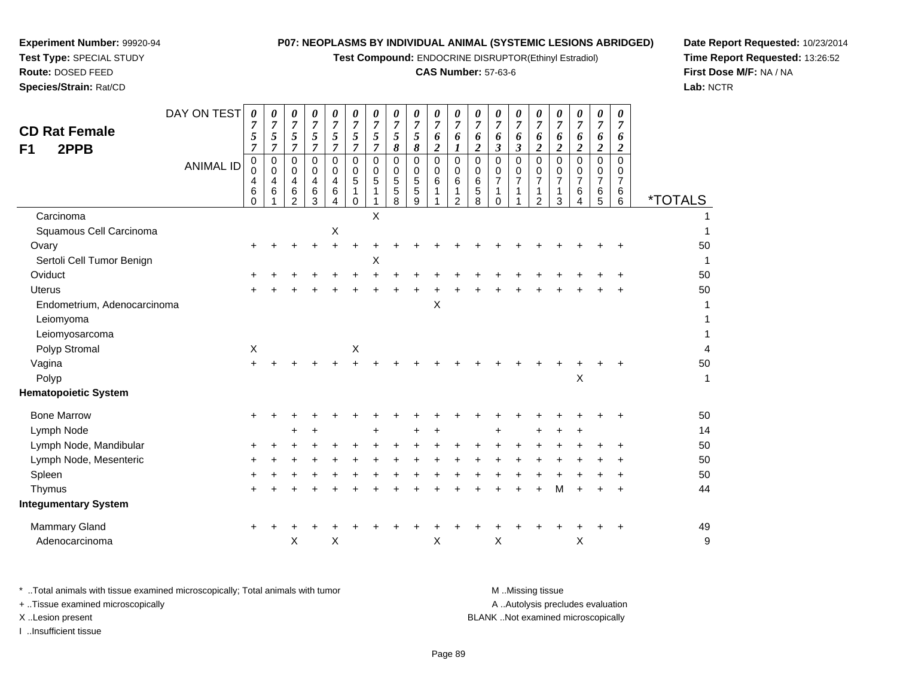**Test Compound:** ENDOCRINE DISRUPTOR(Ethinyl Estradiol)

### **CAS Number:** 57-63-6

**Date Report Requested:** 10/23/2014**Time Report Requested:** 13:26:52**First Dose M/F:** NA / NA**Lab:** NCTR

| <b>CD Rat Female</b><br>2PPB<br>F1 | DAY ON TEST<br><b>ANIMAL ID</b> | $\boldsymbol{\theta}$<br>7<br>5<br>7<br>$\pmb{0}$<br>$\mathbf 0$<br>4<br>6<br>$\Omega$ | 0<br>$\overline{7}$<br>5<br>$\overline{7}$<br>$\pmb{0}$<br>0<br>4<br>6 | 0<br>$\boldsymbol{7}$<br>5<br>$\overline{7}$<br>0<br>0<br>4<br>6<br>$\overline{2}$ | 0<br>$\overline{7}$<br>5<br>$\overline{7}$<br>0<br>0<br>4<br>6<br>3 | 0<br>$\overline{7}$<br>5<br>7<br>0<br>0<br>4<br>$\,6$<br>4 | 0<br>$\overline{7}$<br>5<br>$\overline{7}$<br>$\mathbf 0$<br>0<br>5<br>1<br>$\Omega$ | $\boldsymbol{\theta}$<br>7<br>5<br>7<br>$\mathbf 0$<br>0<br>5<br>1 | 0<br>$\overline{7}$<br>5<br>8<br>$\mathbf 0$<br>0<br>5<br>5<br>8 | 0<br>$\overline{7}$<br>5<br>8<br>0<br>0<br>5<br>5<br>9 | 0<br>$\overline{7}$<br>6<br>$\boldsymbol{2}$<br>0<br>0<br>6 | 0<br>$\overline{7}$<br>6<br>$\mathbf 0$<br>0<br>6<br>$\overline{2}$ | 0<br>7<br>6<br>2<br>$\mathbf 0$<br>$\Omega$<br>6<br>$\mathbf 5$<br>8 | 0<br>$\overline{7}$<br>6<br>$\boldsymbol{\beta}$<br>$\pmb{0}$<br>0<br>$\overline{7}$<br>1<br>$\Omega$ | 0<br>$\overline{7}$<br>6<br>3<br>$\mathbf 0$<br>0<br>$\overline{7}$<br>1 | 0<br>$\overline{7}$<br>6<br>$\boldsymbol{2}$<br>$\mathbf 0$<br>0<br>$\boldsymbol{7}$<br>1<br>$\overline{2}$ | 0<br>7<br>6<br>$\boldsymbol{2}$<br>$\Omega$<br>0<br>$\overline{7}$<br>$\mathbf 1$<br>$\mathbf{3}$ | 0<br>$\overline{7}$<br>6<br>$\boldsymbol{2}$<br>$\mathbf 0$<br>0<br>$\overline{7}$<br>6<br>4 | 0<br>$\overline{7}$<br>6<br>$\overline{c}$<br>0<br>0<br>$\overline{7}$<br>$\,6\,$<br>5 | 0<br>$\overline{7}$<br>6<br>$\boldsymbol{2}$<br>$\Omega$<br>0<br>$\overline{7}$<br>6<br>6 | <i><b>*TOTALS</b></i>    |
|------------------------------------|---------------------------------|----------------------------------------------------------------------------------------|------------------------------------------------------------------------|------------------------------------------------------------------------------------|---------------------------------------------------------------------|------------------------------------------------------------|--------------------------------------------------------------------------------------|--------------------------------------------------------------------|------------------------------------------------------------------|--------------------------------------------------------|-------------------------------------------------------------|---------------------------------------------------------------------|----------------------------------------------------------------------|-------------------------------------------------------------------------------------------------------|--------------------------------------------------------------------------|-------------------------------------------------------------------------------------------------------------|---------------------------------------------------------------------------------------------------|----------------------------------------------------------------------------------------------|----------------------------------------------------------------------------------------|-------------------------------------------------------------------------------------------|--------------------------|
| Carcinoma                          |                                 |                                                                                        |                                                                        |                                                                                    |                                                                     |                                                            |                                                                                      | X                                                                  |                                                                  |                                                        |                                                             |                                                                     |                                                                      |                                                                                                       |                                                                          |                                                                                                             |                                                                                                   |                                                                                              |                                                                                        |                                                                                           |                          |
| Squamous Cell Carcinoma            |                                 |                                                                                        |                                                                        |                                                                                    |                                                                     | X                                                          |                                                                                      |                                                                    |                                                                  |                                                        |                                                             |                                                                     |                                                                      |                                                                                                       |                                                                          |                                                                                                             |                                                                                                   |                                                                                              |                                                                                        |                                                                                           |                          |
| Ovary                              |                                 |                                                                                        |                                                                        |                                                                                    |                                                                     | +                                                          |                                                                                      |                                                                    |                                                                  |                                                        |                                                             |                                                                     |                                                                      |                                                                                                       |                                                                          |                                                                                                             |                                                                                                   |                                                                                              |                                                                                        |                                                                                           | 50                       |
| Sertoli Cell Tumor Benign          |                                 |                                                                                        |                                                                        |                                                                                    |                                                                     |                                                            |                                                                                      | X                                                                  |                                                                  |                                                        |                                                             |                                                                     |                                                                      |                                                                                                       |                                                                          |                                                                                                             |                                                                                                   |                                                                                              |                                                                                        |                                                                                           | 1                        |
| Oviduct                            |                                 |                                                                                        |                                                                        |                                                                                    |                                                                     |                                                            |                                                                                      |                                                                    |                                                                  |                                                        |                                                             |                                                                     |                                                                      |                                                                                                       |                                                                          |                                                                                                             |                                                                                                   |                                                                                              |                                                                                        |                                                                                           | 50                       |
| <b>Uterus</b>                      |                                 |                                                                                        |                                                                        |                                                                                    |                                                                     |                                                            |                                                                                      |                                                                    |                                                                  |                                                        |                                                             |                                                                     |                                                                      |                                                                                                       |                                                                          |                                                                                                             |                                                                                                   |                                                                                              |                                                                                        |                                                                                           | 50                       |
| Endometrium, Adenocarcinoma        |                                 |                                                                                        |                                                                        |                                                                                    |                                                                     |                                                            |                                                                                      |                                                                    |                                                                  |                                                        | X                                                           |                                                                     |                                                                      |                                                                                                       |                                                                          |                                                                                                             |                                                                                                   |                                                                                              |                                                                                        |                                                                                           | 1                        |
| Leiomyoma                          |                                 |                                                                                        |                                                                        |                                                                                    |                                                                     |                                                            |                                                                                      |                                                                    |                                                                  |                                                        |                                                             |                                                                     |                                                                      |                                                                                                       |                                                                          |                                                                                                             |                                                                                                   |                                                                                              |                                                                                        |                                                                                           | 1                        |
| Leiomyosarcoma                     |                                 |                                                                                        |                                                                        |                                                                                    |                                                                     |                                                            |                                                                                      |                                                                    |                                                                  |                                                        |                                                             |                                                                     |                                                                      |                                                                                                       |                                                                          |                                                                                                             |                                                                                                   |                                                                                              |                                                                                        |                                                                                           | 1                        |
| Polyp Stromal                      |                                 | X                                                                                      |                                                                        |                                                                                    |                                                                     |                                                            | $\mathsf X$                                                                          |                                                                    |                                                                  |                                                        |                                                             |                                                                     |                                                                      |                                                                                                       |                                                                          |                                                                                                             |                                                                                                   |                                                                                              |                                                                                        |                                                                                           | $\overline{\mathcal{L}}$ |
| Vagina                             |                                 | $\ddot{}$                                                                              |                                                                        |                                                                                    |                                                                     |                                                            |                                                                                      |                                                                    |                                                                  |                                                        |                                                             |                                                                     |                                                                      |                                                                                                       |                                                                          |                                                                                                             |                                                                                                   |                                                                                              |                                                                                        |                                                                                           | 50                       |
| Polyp                              |                                 |                                                                                        |                                                                        |                                                                                    |                                                                     |                                                            |                                                                                      |                                                                    |                                                                  |                                                        |                                                             |                                                                     |                                                                      |                                                                                                       |                                                                          |                                                                                                             |                                                                                                   | X                                                                                            |                                                                                        |                                                                                           | 1                        |
| <b>Hematopoietic System</b>        |                                 |                                                                                        |                                                                        |                                                                                    |                                                                     |                                                            |                                                                                      |                                                                    |                                                                  |                                                        |                                                             |                                                                     |                                                                      |                                                                                                       |                                                                          |                                                                                                             |                                                                                                   |                                                                                              |                                                                                        |                                                                                           |                          |
| <b>Bone Marrow</b>                 |                                 |                                                                                        |                                                                        |                                                                                    |                                                                     |                                                            |                                                                                      |                                                                    |                                                                  |                                                        |                                                             |                                                                     |                                                                      |                                                                                                       |                                                                          |                                                                                                             |                                                                                                   |                                                                                              |                                                                                        | ٠                                                                                         | 50                       |
| Lymph Node                         |                                 |                                                                                        |                                                                        | +                                                                                  |                                                                     |                                                            |                                                                                      | $\ddot{}$                                                          |                                                                  | +                                                      | $\ddot{}$                                                   |                                                                     |                                                                      |                                                                                                       |                                                                          |                                                                                                             |                                                                                                   | ٠                                                                                            |                                                                                        |                                                                                           | 14                       |
| Lymph Node, Mandibular             |                                 | ÷                                                                                      |                                                                        |                                                                                    |                                                                     |                                                            |                                                                                      |                                                                    |                                                                  |                                                        |                                                             |                                                                     |                                                                      |                                                                                                       |                                                                          |                                                                                                             |                                                                                                   |                                                                                              |                                                                                        |                                                                                           | 50                       |
| Lymph Node, Mesenteric             |                                 | +                                                                                      |                                                                        |                                                                                    |                                                                     |                                                            |                                                                                      |                                                                    |                                                                  |                                                        |                                                             |                                                                     |                                                                      |                                                                                                       |                                                                          |                                                                                                             |                                                                                                   |                                                                                              |                                                                                        |                                                                                           | 50                       |
| Spleen                             |                                 |                                                                                        |                                                                        |                                                                                    |                                                                     |                                                            |                                                                                      |                                                                    |                                                                  |                                                        |                                                             |                                                                     |                                                                      |                                                                                                       |                                                                          |                                                                                                             |                                                                                                   |                                                                                              |                                                                                        |                                                                                           | 50                       |
| Thymus                             |                                 | $\div$                                                                                 |                                                                        |                                                                                    |                                                                     |                                                            |                                                                                      |                                                                    |                                                                  |                                                        |                                                             |                                                                     |                                                                      |                                                                                                       |                                                                          |                                                                                                             | M                                                                                                 | $\div$                                                                                       | $\ddot{}$                                                                              | $\ddot{}$                                                                                 | 44                       |
| <b>Integumentary System</b>        |                                 |                                                                                        |                                                                        |                                                                                    |                                                                     |                                                            |                                                                                      |                                                                    |                                                                  |                                                        |                                                             |                                                                     |                                                                      |                                                                                                       |                                                                          |                                                                                                             |                                                                                                   |                                                                                              |                                                                                        |                                                                                           |                          |
| <b>Mammary Gland</b>               |                                 | $\ddot{}$                                                                              |                                                                        |                                                                                    |                                                                     |                                                            |                                                                                      |                                                                    |                                                                  |                                                        |                                                             |                                                                     |                                                                      |                                                                                                       |                                                                          |                                                                                                             |                                                                                                   |                                                                                              |                                                                                        |                                                                                           | 49                       |
| Adenocarcinoma                     |                                 |                                                                                        |                                                                        | Χ                                                                                  |                                                                     | $\pmb{\times}$                                             |                                                                                      |                                                                    |                                                                  |                                                        | X                                                           |                                                                     |                                                                      | $\pmb{\times}$                                                                                        |                                                                          |                                                                                                             |                                                                                                   | X                                                                                            |                                                                                        |                                                                                           | g                        |
|                                    |                                 |                                                                                        |                                                                        |                                                                                    |                                                                     |                                                            |                                                                                      |                                                                    |                                                                  |                                                        |                                                             |                                                                     |                                                                      |                                                                                                       |                                                                          |                                                                                                             |                                                                                                   |                                                                                              |                                                                                        |                                                                                           |                          |

**Experiment Number:** 99920-94**Test Type:** SPECIAL STUDY**Route:** DOSED FEED**Species/Strain:** Rat/CD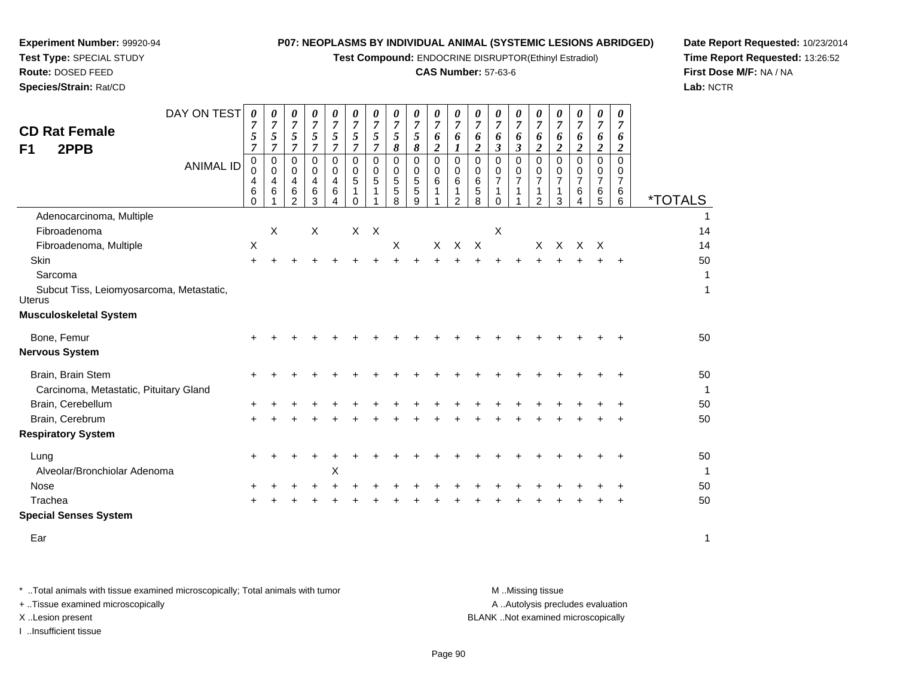**Test Compound:** ENDOCRINE DISRUPTOR(Ethinyl Estradiol)

### **CAS Number:** 57-63-6

**Date Report Requested:** 10/23/2014**Time Report Requested:** 13:26:52**First Dose M/F:** NA / NA**Lab:** NCTR

| DAY ON TEST<br><b>CD Rat Female</b><br>2PPB<br>F <sub>1</sub><br><b>ANIMAL ID</b> | 0<br>7<br>5<br>$\overline{7}$<br>0<br>$\mathbf 0$<br>4 | 0<br>$\overline{7}$<br>5<br>$\overline{7}$<br>0<br>$\mathbf 0$<br>4 | 0<br>$\overline{7}$<br>5<br>$\overline{7}$<br>0<br>0<br>4 | 0<br>7<br>$\sqrt{5}$<br>$\overline{7}$<br>0<br>0<br>$\overline{4}$ | 0<br>$\overline{7}$<br>5<br>$\overline{7}$<br>$\mathbf 0$<br>0<br>4 | 0<br>$\overline{7}$<br>5<br>$\overline{7}$<br>$\mathbf 0$<br>0<br>5 | 0<br>$\overline{7}$<br>$\sqrt{5}$<br>$\overline{7}$<br>0<br>0<br>5 | 0<br>$\overline{7}$<br>5<br>8<br>$\mathbf 0$<br>0<br>$\sqrt{5}$ | 0<br>$\overline{7}$<br>5<br>8<br>0<br>0<br>5 | 0<br>$\overline{7}$<br>6<br>$\boldsymbol{2}$<br>$\mathbf 0$<br>$\mathbf 0$<br>6 | 0<br>$\overline{7}$<br>6<br>$\mathbf 0$<br>0<br>6 | $\boldsymbol{\theta}$<br>$\overline{7}$<br>6<br>$\boldsymbol{2}$<br>$\mathbf 0$<br>0<br>6 | 0<br>$\overline{7}$<br>6<br>$\boldsymbol{\beta}$<br>$\mathbf 0$<br>0<br>$\overline{7}$ | 0<br>$\overline{7}$<br>6<br>$\boldsymbol{\mathfrak{z}}$<br>$\Omega$<br>0<br>7 | 0<br>$\overline{7}$<br>6<br>$\boldsymbol{2}$<br>$\Omega$<br>0<br>$\overline{7}$ | $\boldsymbol{\theta}$<br>$\overline{7}$<br>6<br>$\boldsymbol{2}$<br>$\mathbf 0$<br>0<br>7 | 0<br>$\overline{7}$<br>6<br>$\overline{2}$<br>$\Omega$<br>0<br>$\overline{7}$ | 0<br>$\overline{7}$<br>6<br>$\boldsymbol{2}$<br>$\mathbf 0$<br>0<br>$\overline{7}$ | 0<br>$\overline{7}$<br>6<br>$\boldsymbol{2}$<br>$\Omega$<br>0<br>$\overline{7}$ |                       |
|-----------------------------------------------------------------------------------|--------------------------------------------------------|---------------------------------------------------------------------|-----------------------------------------------------------|--------------------------------------------------------------------|---------------------------------------------------------------------|---------------------------------------------------------------------|--------------------------------------------------------------------|-----------------------------------------------------------------|----------------------------------------------|---------------------------------------------------------------------------------|---------------------------------------------------|-------------------------------------------------------------------------------------------|----------------------------------------------------------------------------------------|-------------------------------------------------------------------------------|---------------------------------------------------------------------------------|-------------------------------------------------------------------------------------------|-------------------------------------------------------------------------------|------------------------------------------------------------------------------------|---------------------------------------------------------------------------------|-----------------------|
|                                                                                   | 6<br>$\Omega$                                          | 6                                                                   | 6<br>$\mathcal{P}$                                        | 6<br>3                                                             | 6                                                                   | 1<br>$\Omega$                                                       | 1                                                                  | 5<br>8                                                          | 5<br>9                                       | 1                                                                               | 1<br>$\overline{2}$                               | 5<br>8                                                                                    | 1<br>$\Omega$                                                                          |                                                                               | 1<br>$\overline{2}$                                                             | $\mathbf{1}$<br>3                                                                         | 6<br>4                                                                        | 6<br>5                                                                             | 6<br>6                                                                          | <i><b>*TOTALS</b></i> |
| Adenocarcinoma, Multiple                                                          |                                                        |                                                                     |                                                           |                                                                    |                                                                     |                                                                     |                                                                    |                                                                 |                                              |                                                                                 |                                                   |                                                                                           |                                                                                        |                                                                               |                                                                                 |                                                                                           |                                                                               |                                                                                    |                                                                                 |                       |
| Fibroadenoma                                                                      |                                                        | X                                                                   |                                                           | X                                                                  |                                                                     |                                                                     | $X$ $X$                                                            |                                                                 |                                              |                                                                                 |                                                   |                                                                                           | X                                                                                      |                                                                               |                                                                                 |                                                                                           |                                                                               |                                                                                    |                                                                                 | 14                    |
| Fibroadenoma, Multiple                                                            | $\boldsymbol{\mathsf{X}}$                              |                                                                     |                                                           |                                                                    |                                                                     |                                                                     |                                                                    | X                                                               |                                              | X                                                                               | X                                                 | $\mathsf{X}$                                                                              |                                                                                        |                                                                               | X                                                                               | $\times$                                                                                  | $\times$                                                                      | $\mathsf{X}$                                                                       |                                                                                 | 14                    |
| Skin                                                                              | $\ddot{}$                                              |                                                                     |                                                           |                                                                    |                                                                     |                                                                     |                                                                    |                                                                 |                                              |                                                                                 |                                                   |                                                                                           |                                                                                        |                                                                               |                                                                                 |                                                                                           |                                                                               |                                                                                    | $\div$                                                                          | 50                    |
| Sarcoma                                                                           |                                                        |                                                                     |                                                           |                                                                    |                                                                     |                                                                     |                                                                    |                                                                 |                                              |                                                                                 |                                                   |                                                                                           |                                                                                        |                                                                               |                                                                                 |                                                                                           |                                                                               |                                                                                    |                                                                                 | 1                     |
| Subcut Tiss, Leiomyosarcoma, Metastatic,<br>Uterus                                |                                                        |                                                                     |                                                           |                                                                    |                                                                     |                                                                     |                                                                    |                                                                 |                                              |                                                                                 |                                                   |                                                                                           |                                                                                        |                                                                               |                                                                                 |                                                                                           |                                                                               |                                                                                    |                                                                                 | 1                     |
| <b>Musculoskeletal System</b>                                                     |                                                        |                                                                     |                                                           |                                                                    |                                                                     |                                                                     |                                                                    |                                                                 |                                              |                                                                                 |                                                   |                                                                                           |                                                                                        |                                                                               |                                                                                 |                                                                                           |                                                                               |                                                                                    |                                                                                 |                       |
| Bone, Femur                                                                       |                                                        |                                                                     |                                                           |                                                                    |                                                                     |                                                                     |                                                                    |                                                                 |                                              |                                                                                 |                                                   |                                                                                           |                                                                                        |                                                                               |                                                                                 |                                                                                           |                                                                               |                                                                                    |                                                                                 | 50                    |
| <b>Nervous System</b>                                                             |                                                        |                                                                     |                                                           |                                                                    |                                                                     |                                                                     |                                                                    |                                                                 |                                              |                                                                                 |                                                   |                                                                                           |                                                                                        |                                                                               |                                                                                 |                                                                                           |                                                                               |                                                                                    |                                                                                 |                       |
| Brain, Brain Stem                                                                 |                                                        |                                                                     |                                                           |                                                                    |                                                                     |                                                                     |                                                                    |                                                                 |                                              |                                                                                 |                                                   |                                                                                           |                                                                                        |                                                                               |                                                                                 |                                                                                           |                                                                               |                                                                                    |                                                                                 | 50                    |
| Carcinoma, Metastatic, Pituitary Gland                                            |                                                        |                                                                     |                                                           |                                                                    |                                                                     |                                                                     |                                                                    |                                                                 |                                              |                                                                                 |                                                   |                                                                                           |                                                                                        |                                                                               |                                                                                 |                                                                                           |                                                                               |                                                                                    |                                                                                 | 1                     |
| Brain, Cerebellum                                                                 |                                                        |                                                                     |                                                           |                                                                    |                                                                     |                                                                     |                                                                    |                                                                 |                                              |                                                                                 |                                                   |                                                                                           |                                                                                        |                                                                               |                                                                                 |                                                                                           |                                                                               |                                                                                    |                                                                                 | 50                    |
| Brain, Cerebrum                                                                   |                                                        |                                                                     |                                                           |                                                                    |                                                                     |                                                                     |                                                                    |                                                                 |                                              |                                                                                 |                                                   |                                                                                           |                                                                                        |                                                                               |                                                                                 |                                                                                           |                                                                               |                                                                                    |                                                                                 | 50                    |
| <b>Respiratory System</b>                                                         |                                                        |                                                                     |                                                           |                                                                    |                                                                     |                                                                     |                                                                    |                                                                 |                                              |                                                                                 |                                                   |                                                                                           |                                                                                        |                                                                               |                                                                                 |                                                                                           |                                                                               |                                                                                    |                                                                                 |                       |
| Lung                                                                              |                                                        |                                                                     |                                                           |                                                                    |                                                                     |                                                                     |                                                                    |                                                                 |                                              |                                                                                 |                                                   |                                                                                           |                                                                                        |                                                                               |                                                                                 |                                                                                           |                                                                               |                                                                                    |                                                                                 | 50                    |
| Alveolar/Bronchiolar Adenoma                                                      |                                                        |                                                                     |                                                           |                                                                    | $\mathsf X$                                                         |                                                                     |                                                                    |                                                                 |                                              |                                                                                 |                                                   |                                                                                           |                                                                                        |                                                                               |                                                                                 |                                                                                           |                                                                               |                                                                                    |                                                                                 | 1                     |
| <b>Nose</b>                                                                       |                                                        |                                                                     |                                                           |                                                                    |                                                                     |                                                                     |                                                                    |                                                                 |                                              |                                                                                 |                                                   |                                                                                           |                                                                                        |                                                                               |                                                                                 |                                                                                           |                                                                               |                                                                                    |                                                                                 | 50                    |
| Trachea                                                                           |                                                        |                                                                     |                                                           |                                                                    |                                                                     |                                                                     |                                                                    |                                                                 |                                              |                                                                                 |                                                   |                                                                                           |                                                                                        |                                                                               |                                                                                 |                                                                                           |                                                                               |                                                                                    |                                                                                 | 50                    |
| <b>Special Senses System</b>                                                      |                                                        |                                                                     |                                                           |                                                                    |                                                                     |                                                                     |                                                                    |                                                                 |                                              |                                                                                 |                                                   |                                                                                           |                                                                                        |                                                                               |                                                                                 |                                                                                           |                                                                               |                                                                                    |                                                                                 |                       |
| Ear                                                                               |                                                        |                                                                     |                                                           |                                                                    |                                                                     |                                                                     |                                                                    |                                                                 |                                              |                                                                                 |                                                   |                                                                                           |                                                                                        |                                                                               |                                                                                 |                                                                                           |                                                                               |                                                                                    |                                                                                 | 1                     |

**Experiment Number:** 99920-94**Test Type:** SPECIAL STUDY**Route:** DOSED FEED**Species/Strain:** Rat/CD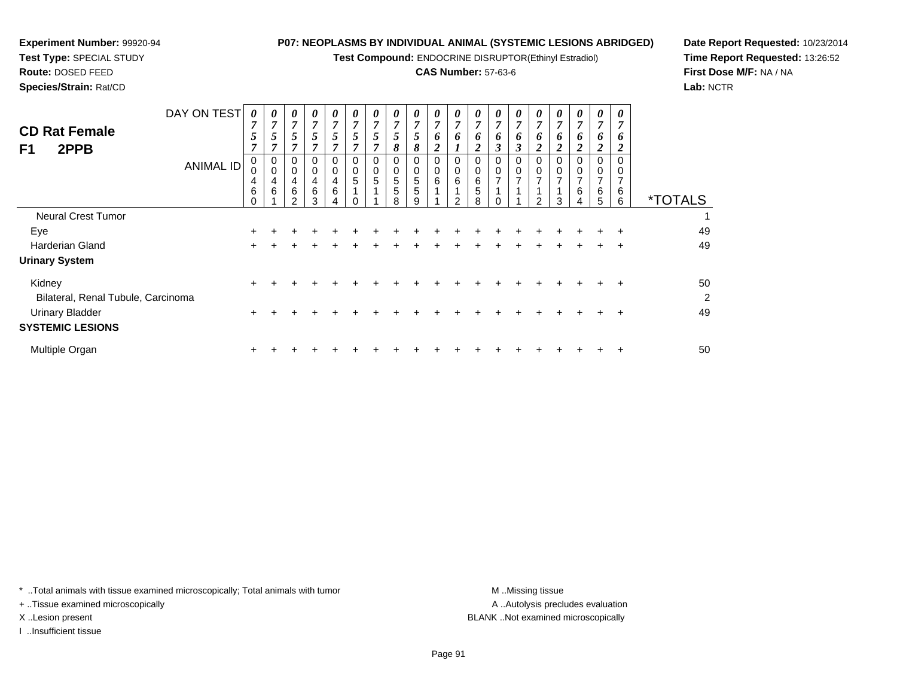**Test Compound:** ENDOCRINE DISRUPTOR(Ethinyl Estradiol)

## **CAS Number:** 57-63-6

<sup>+</sup> <sup>+</sup> <sup>+</sup> <sup>+</sup> <sup>+</sup> <sup>+</sup> <sup>+</sup> <sup>+</sup> <sup>+</sup> <sup>+</sup> <sup>+</sup> <sup>+</sup> <sup>+</sup> <sup>+</sup> <sup>+</sup> <sup>+</sup> <sup>+</sup> <sup>+</sup> <sup>49</sup>

<sup>+</sup> <sup>+</sup> <sup>+</sup> <sup>+</sup> <sup>+</sup> <sup>+</sup> <sup>+</sup> <sup>+</sup> <sup>+</sup> <sup>+</sup> <sup>+</sup> <sup>+</sup> <sup>+</sup> <sup>+</sup> <sup>+</sup> <sup>+</sup> <sup>+</sup> <sup>+</sup> <sup>50</sup>

**Date Report Requested:** 10/23/2014**Time Report Requested:** 13:26:52**First Dose M/F:** NA / NA**Lab:** NCTR

| <b>CD Rat Female</b><br>F1<br>2PPB           | DAY ON TEST<br><b>ANIMAL ID</b> | 0<br>7<br>5<br>7<br>0<br>0<br>$\overline{4}$ | 0<br>$\overline{ }$<br>5<br>$\overline{ }$<br>0<br>$\mathbf 0$<br>4 | 0<br>$\overline{ }$<br>5<br>0<br>0<br>4 | 0<br>$\overline{ }$<br>5<br>0<br>4 | 0<br>$\overline{ }$<br>$\overline{ }$<br>C<br>0<br>0<br>4 | 0<br>7<br>5<br>0<br>0<br>5 | 0<br>7<br>5<br>0<br>$\mathbf 0$<br>5 | $\boldsymbol{\theta}$<br>7<br>C<br>8<br>0<br>5 | $\boldsymbol{\theta}$<br>$\overline{7}$<br>5<br>8<br>0<br>5 | 0<br>$\overline{ }$<br>6<br>↑<br>0<br>0<br>6 | 0<br>6<br>0<br>6 | 0<br>$\mathbf{z}$<br>$\bm{o}$<br>0<br>6 | 0<br>7<br>6<br>0<br>7 | $\boldsymbol{\theta}$<br>7<br>6<br>$\rightarrow$<br>0<br>0<br>7 | 0<br>7<br>6<br><u>ีว</u><br>0<br>0<br>$\overline{ }$ | 0<br>7<br>$\bm{o}$<br>0<br>0<br>$\overline{ }$ | $\boldsymbol{\theta}$<br>7<br>$\bm{o}$<br>0<br>0<br>⇁ | $\theta$<br>6<br>0 | 0<br>7<br>6<br>◠<br>0<br>0 |                       |
|----------------------------------------------|---------------------------------|----------------------------------------------|---------------------------------------------------------------------|-----------------------------------------|------------------------------------|-----------------------------------------------------------|----------------------------|--------------------------------------|------------------------------------------------|-------------------------------------------------------------|----------------------------------------------|------------------|-----------------------------------------|-----------------------|-----------------------------------------------------------------|------------------------------------------------------|------------------------------------------------|-------------------------------------------------------|--------------------|----------------------------|-----------------------|
|                                              |                                 | 6<br>$\Omega$                                | 6                                                                   | 6<br>っ                                  | 6<br>3                             | 6                                                         |                            |                                      | 5<br>8                                         | 5<br>9                                                      |                                              | っ                | 5<br>8                                  |                       |                                                                 | $\mathcal{P}$                                        | 3                                              | 6<br>4                                                | 6<br>5             | 6<br>6                     | <i><b>*TOTALS</b></i> |
| <b>Neural Crest Tumor</b>                    |                                 |                                              |                                                                     |                                         |                                    |                                                           |                            |                                      |                                                |                                                             |                                              |                  |                                         |                       |                                                                 |                                                      |                                                |                                                       |                    |                            |                       |
| Eye                                          |                                 | ÷.                                           |                                                                     |                                         |                                    |                                                           |                            |                                      |                                                |                                                             |                                              |                  |                                         |                       |                                                                 |                                                      |                                                | ÷                                                     | ÷.                 |                            | 49                    |
| <b>Harderian Gland</b>                       |                                 | $\pm$                                        |                                                                     |                                         |                                    |                                                           |                            |                                      |                                                |                                                             |                                              |                  |                                         |                       |                                                                 |                                                      |                                                |                                                       |                    | $\pm$                      | 49                    |
| <b>Urinary System</b>                        |                                 |                                              |                                                                     |                                         |                                    |                                                           |                            |                                      |                                                |                                                             |                                              |                  |                                         |                       |                                                                 |                                                      |                                                |                                                       |                    |                            |                       |
| Kidney<br>Bilateral, Renal Tubule, Carcinoma |                                 | $+$                                          |                                                                     |                                         |                                    |                                                           |                            |                                      |                                                |                                                             |                                              |                  |                                         |                       |                                                                 |                                                      |                                                |                                                       |                    | $\div$                     | 50<br>2               |

\* ..Total animals with tissue examined microscopically; Total animals with tumor **M** ...Missing tissue M ...Missing tissue

 $\mathsf{r}$  +

n  $+$ 

+ ..Tissue examined microscopically

**Experiment Number:** 99920-94**Test Type:** SPECIAL STUDY**Route:** DOSED FEED**Species/Strain:** Rat/CD

I ..Insufficient tissue

Urinary Bladder

Multiple Organ

**SYSTEMIC LESIONS**

A .. Autolysis precludes evaluation X ..Lesion present BLANK ..Not examined microscopically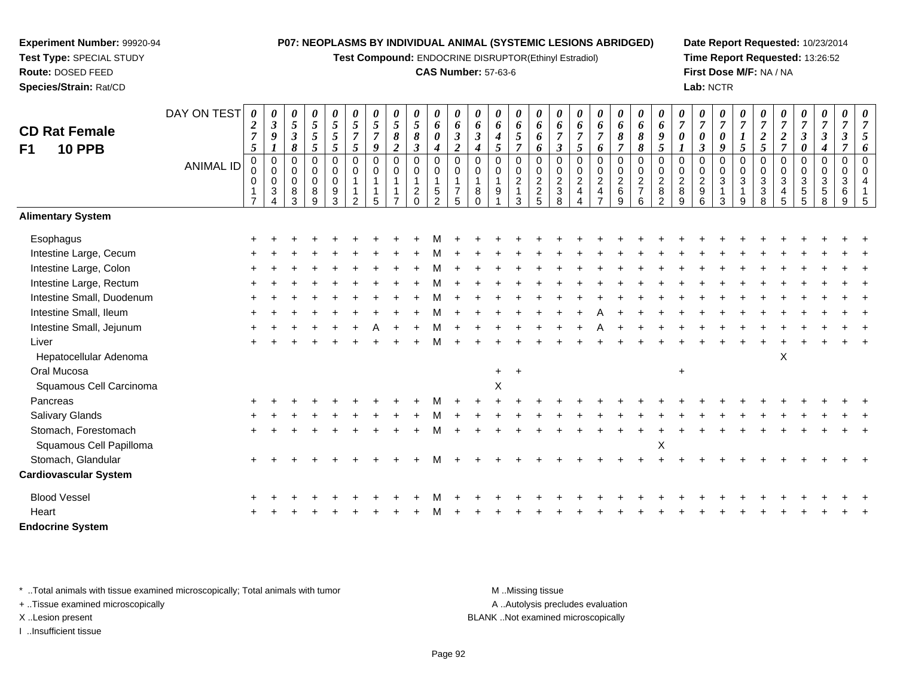**Test Compound:** ENDOCRINE DISRUPTOR(Ethinyl Estradiol)

### **CAS Number:** 57-63-6

**Date Report Requested:** 10/23/2014**Time Report Requested:** 13:26:52**First Dose M/F:** NA / NA**Lab:** NCTR

| <b>CD Rat Female</b><br><b>10 PPB</b><br>F <sub>1</sub> | DAY ON TEST<br><b>ANIMAL ID</b> | 0<br>$\boldsymbol{2}$<br>$\overline{7}$<br>5<br>$\mathbf 0$<br>0<br>0<br>$\mathbf{1}$<br>$\overline{7}$ | 0<br>$\boldsymbol{\beta}$<br>9<br>1<br>$\mathbf 0$<br>$\mathbf 0$<br>$\mathbf 0$<br>$\mathbf{3}$<br>$\boldsymbol{\Lambda}$ | $\boldsymbol{\theta}$<br>$\sqrt{5}$<br>$\mathfrak{z}$<br>$\pmb{8}$<br>$\mathbf 0$<br>$\boldsymbol{0}$<br>$\pmb{0}$<br>$\bf8$<br>3 | $\pmb{\theta}$<br>$\overline{5}$<br>$\mathfrak{I}$<br>5<br>$\mathbf 0$<br>0<br>$\pmb{0}$<br>$\bf 8$<br>$\overline{9}$ | $\boldsymbol{\theta}$<br>$\overline{5}$<br>5<br>$\mathfrak{s}$<br>$\boldsymbol{0}$<br>$\boldsymbol{0}$<br>$\pmb{0}$<br>9<br>$\overline{3}$ | 0<br>5<br>$\overline{7}$<br>5<br>$\mathbf 0$<br>$\mathbf 0$<br>$\overline{2}$ | 0<br>5<br>$\overline{7}$<br>9<br>$\mathbf 0$<br>$\mathbf 0$<br>1<br>5 | $\pmb{\theta}$<br>5<br>8<br>$\boldsymbol{2}$<br>$\pmb{0}$<br>0<br>1 | 0<br>$\mathfrak{z}$<br>$\pmb{8}$<br>3<br>0<br>0<br>$\frac{2}{0}$ | $\boldsymbol{\theta}$<br>6<br>$\boldsymbol{\theta}$<br>$\boldsymbol{4}$<br>$\pmb{0}$<br>$\pmb{0}$<br>$\mathbf{1}$<br>$\frac{5}{2}$ | 0<br>6<br>$\boldsymbol{\beta}$<br>$\boldsymbol{2}$<br>$\mathbf 0$<br>$\mathbf 0$<br>$\mathbf{1}$<br>$\overline{7}$<br>5 | $\boldsymbol{\theta}$<br>6<br>$\boldsymbol{\beta}$<br>$\boldsymbol{4}$<br>$\mathbf 0$<br>$\mathbf 0$<br>$\mathbf{1}$<br>8<br>$\Omega$ | 0<br>6<br>4<br>5<br>$\mathbf 0$<br>0<br>9 | 0<br>6<br>5<br>$\overline{7}$<br>$\mathbf 0$<br>0<br>$\overline{2}$<br>$\overline{1}$<br>3 | 0<br>6<br>6<br>6<br>$\mathbf 0$<br>$\begin{smallmatrix} 0\\2 \end{smallmatrix}$<br>$\frac{2}{5}$ | 0<br>6<br>$\overline{7}$<br>$\boldsymbol{\beta}$<br>$\mathbf 0$<br>$\pmb{0}$<br>$\boldsymbol{2}$<br>$\mathfrak{S}$<br>$\overline{8}$ | $\boldsymbol{\theta}$<br>6<br>$\overline{7}$<br>5<br>$\mathbf 0$<br>$\pmb{0}$<br>$\boldsymbol{2}$<br>$\overline{\mathbf{4}}$<br>$\overline{\mathcal{A}}$ | 0<br>6<br>$\overline{7}$<br>6<br>0<br>0<br>$\boldsymbol{2}$<br>$\overline{4}$<br>$\overline{7}$ | $\pmb{\theta}$<br>6<br>8<br>$\overline{7}$<br>$\mathbf 0$<br>$\pmb{0}$<br>$\boldsymbol{2}$<br>$\,6\,$<br>9 | $\pmb{\theta}$<br>6<br>8<br>8<br>$\mathbf 0$<br>$\pmb{0}$<br>$\frac{2}{7}$<br>6 | 0<br>6<br>9<br>5<br>$\mathbf 0$<br>$\mathbf 0$<br>$\overline{c}$<br>$\bf 8$<br>$\overline{2}$ | 0<br>$\overline{7}$<br>0<br>$\mathbf 0$<br>$\mathbf 0$<br>$\sqrt{2}$<br>$\bf 8$<br>9 | 0<br>$\overline{7}$<br>$\boldsymbol{\theta}$<br>$\mathbf{3}$<br>$\mathbf 0$<br>$\mathbf 0$<br>$\boldsymbol{2}$<br>$\boldsymbol{9}$<br>6 | 0<br>$\overline{7}$<br>$\boldsymbol{\theta}$<br>9<br>$\mathbf 0$<br>$\mathbf 0$<br>$\sqrt{3}$<br>$\mathbf{1}$<br>3 | 0<br>$\overline{7}$<br>$\boldsymbol{l}$<br>5<br>$\mathbf 0$<br>$\pmb{0}$<br>$\sqrt{3}$<br>$\mathbf{1}$<br>9 | 0<br>$\overline{7}$<br>$\boldsymbol{2}$<br>5<br>$\mathbf 0$<br>$\mathbf 0$<br>$\sqrt{3}$<br>$\ensuremath{\mathsf{3}}$<br>8 | 0<br>$\overline{7}$<br>$\boldsymbol{2}$<br>$\overline{7}$<br>0<br>0<br>3<br>4<br>5 | 0<br>$\boldsymbol{7}$<br>$\mathfrak{z}$<br>0<br>$\mathbf 0$<br>0<br>$\ensuremath{\mathsf{3}}$<br>$\frac{5}{5}$ | $\pmb{\theta}$<br>$\overline{7}$<br>$\boldsymbol{\beta}$<br>$\boldsymbol{4}$<br>$\mathbf 0$<br>$\mathbf 0$<br>$\sqrt{3}$<br>$\,$ 5 $\,$<br>8 | $\boldsymbol{\theta}$<br>$\overline{7}$<br>$\boldsymbol{\beta}$<br>7<br>$\mathbf 0$<br>$\mathbf 0$<br>$\ensuremath{\mathsf{3}}$<br>6<br>9 | 0<br>$\overline{7}$<br>5<br>6<br>$\Omega$<br>$\Omega$<br>4<br>5 |
|---------------------------------------------------------|---------------------------------|---------------------------------------------------------------------------------------------------------|----------------------------------------------------------------------------------------------------------------------------|-----------------------------------------------------------------------------------------------------------------------------------|-----------------------------------------------------------------------------------------------------------------------|--------------------------------------------------------------------------------------------------------------------------------------------|-------------------------------------------------------------------------------|-----------------------------------------------------------------------|---------------------------------------------------------------------|------------------------------------------------------------------|------------------------------------------------------------------------------------------------------------------------------------|-------------------------------------------------------------------------------------------------------------------------|---------------------------------------------------------------------------------------------------------------------------------------|-------------------------------------------|--------------------------------------------------------------------------------------------|--------------------------------------------------------------------------------------------------|--------------------------------------------------------------------------------------------------------------------------------------|----------------------------------------------------------------------------------------------------------------------------------------------------------|-------------------------------------------------------------------------------------------------|------------------------------------------------------------------------------------------------------------|---------------------------------------------------------------------------------|-----------------------------------------------------------------------------------------------|--------------------------------------------------------------------------------------|-----------------------------------------------------------------------------------------------------------------------------------------|--------------------------------------------------------------------------------------------------------------------|-------------------------------------------------------------------------------------------------------------|----------------------------------------------------------------------------------------------------------------------------|------------------------------------------------------------------------------------|----------------------------------------------------------------------------------------------------------------|----------------------------------------------------------------------------------------------------------------------------------------------|-------------------------------------------------------------------------------------------------------------------------------------------|-----------------------------------------------------------------|
| <b>Alimentary System</b>                                |                                 |                                                                                                         |                                                                                                                            |                                                                                                                                   |                                                                                                                       |                                                                                                                                            |                                                                               |                                                                       |                                                                     |                                                                  |                                                                                                                                    |                                                                                                                         |                                                                                                                                       |                                           |                                                                                            |                                                                                                  |                                                                                                                                      |                                                                                                                                                          |                                                                                                 |                                                                                                            |                                                                                 |                                                                                               |                                                                                      |                                                                                                                                         |                                                                                                                    |                                                                                                             |                                                                                                                            |                                                                                    |                                                                                                                |                                                                                                                                              |                                                                                                                                           |                                                                 |
| Esophagus                                               |                                 |                                                                                                         |                                                                                                                            |                                                                                                                                   |                                                                                                                       |                                                                                                                                            |                                                                               |                                                                       |                                                                     |                                                                  |                                                                                                                                    |                                                                                                                         |                                                                                                                                       |                                           |                                                                                            |                                                                                                  |                                                                                                                                      |                                                                                                                                                          |                                                                                                 |                                                                                                            |                                                                                 |                                                                                               |                                                                                      |                                                                                                                                         |                                                                                                                    |                                                                                                             |                                                                                                                            |                                                                                    |                                                                                                                |                                                                                                                                              |                                                                                                                                           |                                                                 |
| Intestine Large, Cecum                                  |                                 |                                                                                                         |                                                                                                                            |                                                                                                                                   |                                                                                                                       |                                                                                                                                            |                                                                               |                                                                       |                                                                     |                                                                  |                                                                                                                                    |                                                                                                                         |                                                                                                                                       |                                           |                                                                                            |                                                                                                  |                                                                                                                                      |                                                                                                                                                          |                                                                                                 |                                                                                                            |                                                                                 |                                                                                               |                                                                                      |                                                                                                                                         |                                                                                                                    |                                                                                                             |                                                                                                                            |                                                                                    |                                                                                                                |                                                                                                                                              |                                                                                                                                           |                                                                 |
| Intestine Large, Colon                                  |                                 |                                                                                                         |                                                                                                                            |                                                                                                                                   |                                                                                                                       |                                                                                                                                            |                                                                               |                                                                       |                                                                     |                                                                  |                                                                                                                                    |                                                                                                                         |                                                                                                                                       |                                           |                                                                                            |                                                                                                  |                                                                                                                                      |                                                                                                                                                          |                                                                                                 |                                                                                                            |                                                                                 |                                                                                               |                                                                                      |                                                                                                                                         |                                                                                                                    |                                                                                                             |                                                                                                                            |                                                                                    |                                                                                                                |                                                                                                                                              |                                                                                                                                           |                                                                 |
| Intestine Large, Rectum                                 |                                 |                                                                                                         |                                                                                                                            |                                                                                                                                   |                                                                                                                       |                                                                                                                                            |                                                                               |                                                                       |                                                                     |                                                                  |                                                                                                                                    |                                                                                                                         |                                                                                                                                       |                                           |                                                                                            |                                                                                                  |                                                                                                                                      |                                                                                                                                                          |                                                                                                 |                                                                                                            |                                                                                 |                                                                                               |                                                                                      |                                                                                                                                         |                                                                                                                    |                                                                                                             |                                                                                                                            |                                                                                    |                                                                                                                |                                                                                                                                              |                                                                                                                                           |                                                                 |
| Intestine Small, Duodenum                               |                                 |                                                                                                         |                                                                                                                            |                                                                                                                                   |                                                                                                                       |                                                                                                                                            |                                                                               |                                                                       |                                                                     |                                                                  |                                                                                                                                    |                                                                                                                         |                                                                                                                                       |                                           |                                                                                            |                                                                                                  |                                                                                                                                      |                                                                                                                                                          |                                                                                                 |                                                                                                            |                                                                                 |                                                                                               |                                                                                      |                                                                                                                                         |                                                                                                                    |                                                                                                             |                                                                                                                            |                                                                                    |                                                                                                                |                                                                                                                                              |                                                                                                                                           |                                                                 |
| Intestine Small, Ileum                                  |                                 |                                                                                                         |                                                                                                                            |                                                                                                                                   |                                                                                                                       |                                                                                                                                            |                                                                               |                                                                       |                                                                     |                                                                  |                                                                                                                                    |                                                                                                                         |                                                                                                                                       |                                           |                                                                                            |                                                                                                  |                                                                                                                                      |                                                                                                                                                          |                                                                                                 |                                                                                                            |                                                                                 |                                                                                               |                                                                                      |                                                                                                                                         |                                                                                                                    |                                                                                                             |                                                                                                                            |                                                                                    |                                                                                                                |                                                                                                                                              |                                                                                                                                           |                                                                 |
| Intestine Small, Jejunum                                |                                 |                                                                                                         |                                                                                                                            |                                                                                                                                   |                                                                                                                       |                                                                                                                                            |                                                                               |                                                                       |                                                                     |                                                                  |                                                                                                                                    |                                                                                                                         |                                                                                                                                       |                                           |                                                                                            |                                                                                                  |                                                                                                                                      |                                                                                                                                                          |                                                                                                 |                                                                                                            |                                                                                 |                                                                                               |                                                                                      |                                                                                                                                         |                                                                                                                    |                                                                                                             |                                                                                                                            |                                                                                    |                                                                                                                |                                                                                                                                              |                                                                                                                                           |                                                                 |
| Liver                                                   |                                 |                                                                                                         |                                                                                                                            |                                                                                                                                   |                                                                                                                       |                                                                                                                                            |                                                                               |                                                                       |                                                                     |                                                                  |                                                                                                                                    |                                                                                                                         |                                                                                                                                       |                                           |                                                                                            |                                                                                                  |                                                                                                                                      |                                                                                                                                                          |                                                                                                 |                                                                                                            |                                                                                 |                                                                                               |                                                                                      |                                                                                                                                         |                                                                                                                    |                                                                                                             |                                                                                                                            |                                                                                    |                                                                                                                |                                                                                                                                              |                                                                                                                                           |                                                                 |
| Hepatocellular Adenoma                                  |                                 |                                                                                                         |                                                                                                                            |                                                                                                                                   |                                                                                                                       |                                                                                                                                            |                                                                               |                                                                       |                                                                     |                                                                  |                                                                                                                                    |                                                                                                                         |                                                                                                                                       |                                           |                                                                                            |                                                                                                  |                                                                                                                                      |                                                                                                                                                          |                                                                                                 |                                                                                                            |                                                                                 |                                                                                               |                                                                                      |                                                                                                                                         |                                                                                                                    |                                                                                                             |                                                                                                                            | X                                                                                  |                                                                                                                |                                                                                                                                              |                                                                                                                                           |                                                                 |
| Oral Mucosa                                             |                                 |                                                                                                         |                                                                                                                            |                                                                                                                                   |                                                                                                                       |                                                                                                                                            |                                                                               |                                                                       |                                                                     |                                                                  |                                                                                                                                    |                                                                                                                         |                                                                                                                                       | $\ddot{}$                                 |                                                                                            |                                                                                                  |                                                                                                                                      |                                                                                                                                                          |                                                                                                 |                                                                                                            |                                                                                 |                                                                                               | $\ddot{}$                                                                            |                                                                                                                                         |                                                                                                                    |                                                                                                             |                                                                                                                            |                                                                                    |                                                                                                                |                                                                                                                                              |                                                                                                                                           |                                                                 |
| Squamous Cell Carcinoma                                 |                                 |                                                                                                         |                                                                                                                            |                                                                                                                                   |                                                                                                                       |                                                                                                                                            |                                                                               |                                                                       |                                                                     |                                                                  |                                                                                                                                    |                                                                                                                         |                                                                                                                                       | X                                         |                                                                                            |                                                                                                  |                                                                                                                                      |                                                                                                                                                          |                                                                                                 |                                                                                                            |                                                                                 |                                                                                               |                                                                                      |                                                                                                                                         |                                                                                                                    |                                                                                                             |                                                                                                                            |                                                                                    |                                                                                                                |                                                                                                                                              |                                                                                                                                           |                                                                 |
| Pancreas                                                |                                 |                                                                                                         |                                                                                                                            |                                                                                                                                   |                                                                                                                       |                                                                                                                                            |                                                                               |                                                                       |                                                                     |                                                                  |                                                                                                                                    |                                                                                                                         |                                                                                                                                       |                                           |                                                                                            |                                                                                                  |                                                                                                                                      |                                                                                                                                                          |                                                                                                 |                                                                                                            |                                                                                 |                                                                                               |                                                                                      |                                                                                                                                         |                                                                                                                    |                                                                                                             |                                                                                                                            |                                                                                    |                                                                                                                |                                                                                                                                              |                                                                                                                                           |                                                                 |
| <b>Salivary Glands</b>                                  |                                 |                                                                                                         |                                                                                                                            |                                                                                                                                   |                                                                                                                       |                                                                                                                                            |                                                                               |                                                                       |                                                                     |                                                                  |                                                                                                                                    |                                                                                                                         |                                                                                                                                       |                                           |                                                                                            |                                                                                                  |                                                                                                                                      |                                                                                                                                                          |                                                                                                 |                                                                                                            |                                                                                 |                                                                                               |                                                                                      |                                                                                                                                         |                                                                                                                    |                                                                                                             |                                                                                                                            |                                                                                    |                                                                                                                |                                                                                                                                              |                                                                                                                                           |                                                                 |
| Stomach, Forestomach                                    |                                 |                                                                                                         |                                                                                                                            |                                                                                                                                   |                                                                                                                       |                                                                                                                                            |                                                                               |                                                                       |                                                                     |                                                                  |                                                                                                                                    |                                                                                                                         |                                                                                                                                       |                                           |                                                                                            |                                                                                                  |                                                                                                                                      |                                                                                                                                                          |                                                                                                 |                                                                                                            |                                                                                 |                                                                                               |                                                                                      |                                                                                                                                         |                                                                                                                    |                                                                                                             |                                                                                                                            |                                                                                    |                                                                                                                |                                                                                                                                              |                                                                                                                                           |                                                                 |
| Squamous Cell Papilloma                                 |                                 |                                                                                                         |                                                                                                                            |                                                                                                                                   |                                                                                                                       |                                                                                                                                            |                                                                               |                                                                       |                                                                     |                                                                  |                                                                                                                                    |                                                                                                                         |                                                                                                                                       |                                           |                                                                                            |                                                                                                  |                                                                                                                                      |                                                                                                                                                          |                                                                                                 |                                                                                                            |                                                                                 | X                                                                                             |                                                                                      |                                                                                                                                         |                                                                                                                    |                                                                                                             |                                                                                                                            |                                                                                    |                                                                                                                |                                                                                                                                              |                                                                                                                                           |                                                                 |
| Stomach, Glandular                                      |                                 |                                                                                                         |                                                                                                                            |                                                                                                                                   |                                                                                                                       |                                                                                                                                            |                                                                               |                                                                       |                                                                     |                                                                  |                                                                                                                                    |                                                                                                                         |                                                                                                                                       |                                           |                                                                                            |                                                                                                  |                                                                                                                                      |                                                                                                                                                          |                                                                                                 |                                                                                                            |                                                                                 |                                                                                               |                                                                                      |                                                                                                                                         |                                                                                                                    |                                                                                                             |                                                                                                                            |                                                                                    |                                                                                                                |                                                                                                                                              |                                                                                                                                           |                                                                 |
| <b>Cardiovascular System</b>                            |                                 |                                                                                                         |                                                                                                                            |                                                                                                                                   |                                                                                                                       |                                                                                                                                            |                                                                               |                                                                       |                                                                     |                                                                  |                                                                                                                                    |                                                                                                                         |                                                                                                                                       |                                           |                                                                                            |                                                                                                  |                                                                                                                                      |                                                                                                                                                          |                                                                                                 |                                                                                                            |                                                                                 |                                                                                               |                                                                                      |                                                                                                                                         |                                                                                                                    |                                                                                                             |                                                                                                                            |                                                                                    |                                                                                                                |                                                                                                                                              |                                                                                                                                           |                                                                 |
| <b>Blood Vessel</b>                                     |                                 |                                                                                                         |                                                                                                                            |                                                                                                                                   |                                                                                                                       |                                                                                                                                            |                                                                               |                                                                       |                                                                     |                                                                  |                                                                                                                                    |                                                                                                                         |                                                                                                                                       |                                           |                                                                                            |                                                                                                  |                                                                                                                                      |                                                                                                                                                          |                                                                                                 |                                                                                                            |                                                                                 |                                                                                               |                                                                                      |                                                                                                                                         |                                                                                                                    |                                                                                                             |                                                                                                                            |                                                                                    |                                                                                                                |                                                                                                                                              |                                                                                                                                           |                                                                 |
| Heart                                                   |                                 |                                                                                                         |                                                                                                                            |                                                                                                                                   |                                                                                                                       |                                                                                                                                            |                                                                               |                                                                       |                                                                     |                                                                  |                                                                                                                                    |                                                                                                                         |                                                                                                                                       |                                           |                                                                                            |                                                                                                  |                                                                                                                                      |                                                                                                                                                          |                                                                                                 |                                                                                                            |                                                                                 |                                                                                               |                                                                                      |                                                                                                                                         |                                                                                                                    |                                                                                                             |                                                                                                                            |                                                                                    |                                                                                                                |                                                                                                                                              |                                                                                                                                           |                                                                 |
| <b>Endocrine System</b>                                 |                                 |                                                                                                         |                                                                                                                            |                                                                                                                                   |                                                                                                                       |                                                                                                                                            |                                                                               |                                                                       |                                                                     |                                                                  |                                                                                                                                    |                                                                                                                         |                                                                                                                                       |                                           |                                                                                            |                                                                                                  |                                                                                                                                      |                                                                                                                                                          |                                                                                                 |                                                                                                            |                                                                                 |                                                                                               |                                                                                      |                                                                                                                                         |                                                                                                                    |                                                                                                             |                                                                                                                            |                                                                                    |                                                                                                                |                                                                                                                                              |                                                                                                                                           |                                                                 |

\* ..Total animals with tissue examined microscopically; Total animals with tumor **M** . Missing tissue M ..Missing tissue

+ ..Tissue examined microscopically

**Experiment Number:** 99920-94**Test Type:** SPECIAL STUDY**Route:** DOSED FEED**Species/Strain:** Rat/CD

I ..Insufficient tissue

A ..Autolysis precludes evaluation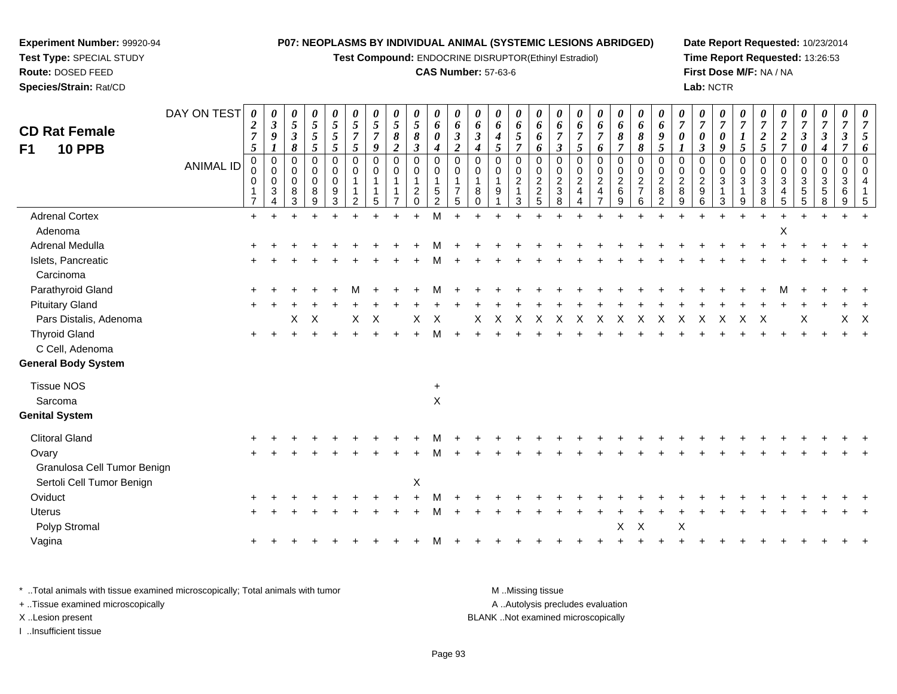**Test Compound:** ENDOCRINE DISRUPTOR(Ethinyl Estradiol)

**Experiment Number:** 99920-94**Test Type:** SPECIAL STUDY**Route:** DOSED FEED**Species/Strain:** Rat/CD

#### **CAS Number:** 57-63-6

**Date Report Requested:** 10/23/2014**Time Report Requested:** 13:26:53**First Dose M/F:** NA / NA**Lab:** NCTR

| <b>CD Rat Female</b><br>F1<br><b>10 PPB</b> | DAY ON TEST<br><b>ANIMAL ID</b> | 0<br>$\boldsymbol{2}$<br>$\boldsymbol{7}$<br>$\mathfrak{s}$<br>$\pmb{0}$<br>0<br>$\Omega$<br>$\overline{7}$ | 0<br>$\boldsymbol{\beta}$<br>$\boldsymbol{9}$<br>$\mathbf 0$<br>$\Omega$<br>$\mathbf 0$<br>3<br>$\Delta$ | 0<br>$\mathfrak{z}$<br>$\mathfrak{z}$<br>8<br>0<br>$\mathbf 0$<br>$\mathbf 0$<br>8<br>3 | 0<br>5<br>5<br>$\overline{5}$<br>$\pmb{0}$<br>$\pmb{0}$<br>$\pmb{0}$<br>8<br>9 | 0<br>$\sqrt{5}$<br>5<br>5<br>$\mathbf 0$<br>$\pmb{0}$<br>$\mathbf 0$<br>9<br>3 | 0<br>5<br>$\overline{7}$<br>5<br>$\mathbf 0$<br>$\Omega$<br>-1<br>$\overline{2}$ | $\boldsymbol{\theta}$<br>5<br>$\overline{7}$<br>9<br>$\mathbf 0$<br>$\Omega$<br>1<br>5 | 0<br>$\mathfrak{s}$<br>$\pmb{8}$<br>$\overline{c}$<br>$\pmb{0}$<br>0<br>$\mathbf{1}$ | 0<br>5<br>$\pmb{8}$<br>$\boldsymbol{\beta}$<br>$\mathbf 0$<br>$\,0\,$<br>$\mathbf{1}$<br>$\frac{2}{0}$ | 0<br>6<br>0<br>$\boldsymbol{4}$<br>$\mathbf 0$<br>$\mathbf 0$<br>$\mathbf{1}$<br>$\sqrt{5}$<br>2 | 0<br>6<br>$\boldsymbol{\beta}$<br>$\overline{c}$<br>0<br>0<br>1<br>7<br>5 | 0<br>6<br>$\boldsymbol{\beta}$<br>$\boldsymbol{4}$<br>$\mathbf 0$<br>$\Omega$<br>8 | 0<br>6<br>$\boldsymbol{4}$<br>5<br>$\mathbf 0$<br>0<br>$\mathbf{1}$<br>9 | 0<br>6<br>5<br>$\overline{7}$<br>$\mathbf 0$<br>0<br>$\overline{c}$<br>$\mathbf{1}$<br>3 | 0<br>6<br>6<br>6<br>$\mathbf 0$<br>0<br>$\overline{c}$<br>$\overline{c}$<br>5 | 0<br>6<br>$\boldsymbol{\beta}$<br>$\mathbf 0$<br>0<br>$\overline{c}$<br>$\mathbf{3}$<br>8 | 0<br>6<br>$\overline{7}$<br>$\mathfrak{s}$<br>$\overline{0}$<br>$\mathbf 0$<br>$\overline{2}$<br>$\overline{4}$ | 0<br>6<br>$\overline{7}$<br>6<br>0<br>$\pmb{0}$<br>$\boldsymbol{2}$<br>$\overline{4}$<br>$\overline{ }$ | 0<br>6<br>8<br>$\overline{7}$<br>$\mathbf 0$<br>$\pmb{0}$<br>$\overline{c}$<br>6<br>9 | 0<br>6<br>$\pmb{8}$<br>8<br>$\mathbf 0$<br>0<br>$\frac{2}{7}$<br>6 | $\boldsymbol{\theta}$<br>6<br>9<br>5<br>$\mathbf 0$<br>0<br>$\boldsymbol{2}$<br>8<br>$\overline{2}$ | 0<br>$\overline{7}$<br>$\boldsymbol{\theta}$<br>$\mathbf 0$<br>$\Omega$<br>$\overline{c}$<br>8<br>9 | 0<br>$\overline{7}$<br>0<br>3<br>0<br>0<br>$\boldsymbol{2}$<br>9<br>6 | 0<br>$\overline{7}$<br>0<br>9<br>$\mathbf 0$<br>$\mathbf 0$<br>$\sqrt{3}$<br>$\mathbf{1}$<br>3 | 0<br>$\overline{7}$<br>1<br>5<br>$\mathbf 0$<br>$\Omega$<br>3<br>1<br>9 | $\overline{7}$<br>$\boldsymbol{2}$<br>$5\overline{)}$<br>$\mathbf 0$<br>0<br>$\sqrt{3}$<br>3<br>8 | $\boldsymbol{\theta}$<br>$\overline{7}$<br>$\boldsymbol{2}$<br>$\overline{7}$<br>$\mathbf 0$<br>$\mathbf 0$<br>$\mathbf{3}$<br>$\overline{4}$<br>5 | 0<br>$\boldsymbol{7}$<br>$\boldsymbol{\beta}$<br>0<br>0<br>0<br>3<br>5<br>5 | 0<br>$\boldsymbol{7}$<br>$\boldsymbol{\beta}$<br>4<br>$\mathbf 0$<br>$\mathbf 0$<br>$\sqrt{3}$<br>5<br>8 | 0<br>$\overline{7}$<br>3<br>7<br>$\mathbf 0$<br>0<br>3<br>6<br>9 | $\overline{7}$<br>6<br>$\mathbf{0}$ |
|---------------------------------------------|---------------------------------|-------------------------------------------------------------------------------------------------------------|----------------------------------------------------------------------------------------------------------|-----------------------------------------------------------------------------------------|--------------------------------------------------------------------------------|--------------------------------------------------------------------------------|----------------------------------------------------------------------------------|----------------------------------------------------------------------------------------|--------------------------------------------------------------------------------------|--------------------------------------------------------------------------------------------------------|--------------------------------------------------------------------------------------------------|---------------------------------------------------------------------------|------------------------------------------------------------------------------------|--------------------------------------------------------------------------|------------------------------------------------------------------------------------------|-------------------------------------------------------------------------------|-------------------------------------------------------------------------------------------|-----------------------------------------------------------------------------------------------------------------|---------------------------------------------------------------------------------------------------------|---------------------------------------------------------------------------------------|--------------------------------------------------------------------|-----------------------------------------------------------------------------------------------------|-----------------------------------------------------------------------------------------------------|-----------------------------------------------------------------------|------------------------------------------------------------------------------------------------|-------------------------------------------------------------------------|---------------------------------------------------------------------------------------------------|----------------------------------------------------------------------------------------------------------------------------------------------------|-----------------------------------------------------------------------------|----------------------------------------------------------------------------------------------------------|------------------------------------------------------------------|-------------------------------------|
| <b>Adrenal Cortex</b>                       |                                 | $\ddot{}$                                                                                                   |                                                                                                          |                                                                                         |                                                                                |                                                                                |                                                                                  |                                                                                        |                                                                                      | $\ddot{}$                                                                                              | M                                                                                                |                                                                           |                                                                                    |                                                                          |                                                                                          |                                                                               |                                                                                           |                                                                                                                 |                                                                                                         |                                                                                       |                                                                    |                                                                                                     |                                                                                                     |                                                                       |                                                                                                |                                                                         |                                                                                                   |                                                                                                                                                    |                                                                             |                                                                                                          |                                                                  |                                     |
| Adenoma                                     |                                 |                                                                                                             |                                                                                                          |                                                                                         |                                                                                |                                                                                |                                                                                  |                                                                                        |                                                                                      |                                                                                                        |                                                                                                  |                                                                           |                                                                                    |                                                                          |                                                                                          |                                                                               |                                                                                           |                                                                                                                 |                                                                                                         |                                                                                       |                                                                    |                                                                                                     |                                                                                                     |                                                                       |                                                                                                |                                                                         |                                                                                                   | Х                                                                                                                                                  |                                                                             |                                                                                                          |                                                                  |                                     |
| Adrenal Medulla                             |                                 |                                                                                                             |                                                                                                          |                                                                                         |                                                                                |                                                                                |                                                                                  |                                                                                        |                                                                                      |                                                                                                        |                                                                                                  |                                                                           |                                                                                    |                                                                          |                                                                                          |                                                                               |                                                                                           |                                                                                                                 |                                                                                                         |                                                                                       |                                                                    |                                                                                                     |                                                                                                     |                                                                       |                                                                                                |                                                                         |                                                                                                   |                                                                                                                                                    |                                                                             |                                                                                                          |                                                                  |                                     |
| Islets, Pancreatic                          |                                 |                                                                                                             |                                                                                                          |                                                                                         |                                                                                |                                                                                |                                                                                  |                                                                                        |                                                                                      |                                                                                                        |                                                                                                  |                                                                           |                                                                                    |                                                                          |                                                                                          |                                                                               |                                                                                           |                                                                                                                 |                                                                                                         |                                                                                       |                                                                    |                                                                                                     |                                                                                                     |                                                                       |                                                                                                |                                                                         |                                                                                                   |                                                                                                                                                    |                                                                             |                                                                                                          |                                                                  |                                     |
| Carcinoma                                   |                                 |                                                                                                             |                                                                                                          |                                                                                         |                                                                                |                                                                                |                                                                                  |                                                                                        |                                                                                      |                                                                                                        |                                                                                                  |                                                                           |                                                                                    |                                                                          |                                                                                          |                                                                               |                                                                                           |                                                                                                                 |                                                                                                         |                                                                                       |                                                                    |                                                                                                     |                                                                                                     |                                                                       |                                                                                                |                                                                         |                                                                                                   |                                                                                                                                                    |                                                                             |                                                                                                          |                                                                  |                                     |
| Parathyroid Gland                           |                                 |                                                                                                             |                                                                                                          |                                                                                         |                                                                                |                                                                                |                                                                                  |                                                                                        |                                                                                      |                                                                                                        |                                                                                                  |                                                                           |                                                                                    |                                                                          |                                                                                          |                                                                               |                                                                                           |                                                                                                                 |                                                                                                         |                                                                                       |                                                                    |                                                                                                     |                                                                                                     |                                                                       |                                                                                                |                                                                         |                                                                                                   |                                                                                                                                                    |                                                                             |                                                                                                          |                                                                  |                                     |
| <b>Pituitary Gland</b>                      |                                 |                                                                                                             |                                                                                                          |                                                                                         |                                                                                |                                                                                |                                                                                  |                                                                                        |                                                                                      |                                                                                                        |                                                                                                  |                                                                           |                                                                                    |                                                                          |                                                                                          |                                                                               |                                                                                           |                                                                                                                 |                                                                                                         |                                                                                       |                                                                    |                                                                                                     |                                                                                                     |                                                                       |                                                                                                |                                                                         |                                                                                                   |                                                                                                                                                    |                                                                             |                                                                                                          |                                                                  |                                     |
| Pars Distalis, Adenoma                      |                                 |                                                                                                             |                                                                                                          | X                                                                                       | $\boldsymbol{\mathsf{X}}$                                                      |                                                                                | X                                                                                | $\times$                                                                               |                                                                                      | X                                                                                                      | X                                                                                                |                                                                           | X                                                                                  | X                                                                        | X                                                                                        | X                                                                             | Χ                                                                                         | X                                                                                                               | Χ                                                                                                       | X                                                                                     | X                                                                  | X                                                                                                   | X                                                                                                   | X                                                                     | X                                                                                              | X                                                                       | X                                                                                                 |                                                                                                                                                    | Х                                                                           |                                                                                                          | X                                                                | $\mathsf{X}$                        |
| <b>Thyroid Gland</b>                        |                                 | $\pm$                                                                                                       |                                                                                                          |                                                                                         |                                                                                |                                                                                |                                                                                  |                                                                                        |                                                                                      |                                                                                                        | M                                                                                                |                                                                           |                                                                                    |                                                                          |                                                                                          |                                                                               |                                                                                           |                                                                                                                 |                                                                                                         |                                                                                       |                                                                    |                                                                                                     |                                                                                                     |                                                                       |                                                                                                |                                                                         |                                                                                                   |                                                                                                                                                    |                                                                             |                                                                                                          |                                                                  |                                     |
| C Cell, Adenoma                             |                                 |                                                                                                             |                                                                                                          |                                                                                         |                                                                                |                                                                                |                                                                                  |                                                                                        |                                                                                      |                                                                                                        |                                                                                                  |                                                                           |                                                                                    |                                                                          |                                                                                          |                                                                               |                                                                                           |                                                                                                                 |                                                                                                         |                                                                                       |                                                                    |                                                                                                     |                                                                                                     |                                                                       |                                                                                                |                                                                         |                                                                                                   |                                                                                                                                                    |                                                                             |                                                                                                          |                                                                  |                                     |
| <b>General Body System</b>                  |                                 |                                                                                                             |                                                                                                          |                                                                                         |                                                                                |                                                                                |                                                                                  |                                                                                        |                                                                                      |                                                                                                        |                                                                                                  |                                                                           |                                                                                    |                                                                          |                                                                                          |                                                                               |                                                                                           |                                                                                                                 |                                                                                                         |                                                                                       |                                                                    |                                                                                                     |                                                                                                     |                                                                       |                                                                                                |                                                                         |                                                                                                   |                                                                                                                                                    |                                                                             |                                                                                                          |                                                                  |                                     |
| <b>Tissue NOS</b>                           |                                 |                                                                                                             |                                                                                                          |                                                                                         |                                                                                |                                                                                |                                                                                  |                                                                                        |                                                                                      |                                                                                                        | $+$                                                                                              |                                                                           |                                                                                    |                                                                          |                                                                                          |                                                                               |                                                                                           |                                                                                                                 |                                                                                                         |                                                                                       |                                                                    |                                                                                                     |                                                                                                     |                                                                       |                                                                                                |                                                                         |                                                                                                   |                                                                                                                                                    |                                                                             |                                                                                                          |                                                                  |                                     |
| Sarcoma                                     |                                 |                                                                                                             |                                                                                                          |                                                                                         |                                                                                |                                                                                |                                                                                  |                                                                                        |                                                                                      |                                                                                                        | $\pmb{\times}$                                                                                   |                                                                           |                                                                                    |                                                                          |                                                                                          |                                                                               |                                                                                           |                                                                                                                 |                                                                                                         |                                                                                       |                                                                    |                                                                                                     |                                                                                                     |                                                                       |                                                                                                |                                                                         |                                                                                                   |                                                                                                                                                    |                                                                             |                                                                                                          |                                                                  |                                     |
| <b>Genital System</b>                       |                                 |                                                                                                             |                                                                                                          |                                                                                         |                                                                                |                                                                                |                                                                                  |                                                                                        |                                                                                      |                                                                                                        |                                                                                                  |                                                                           |                                                                                    |                                                                          |                                                                                          |                                                                               |                                                                                           |                                                                                                                 |                                                                                                         |                                                                                       |                                                                    |                                                                                                     |                                                                                                     |                                                                       |                                                                                                |                                                                         |                                                                                                   |                                                                                                                                                    |                                                                             |                                                                                                          |                                                                  |                                     |
| <b>Clitoral Gland</b>                       |                                 |                                                                                                             |                                                                                                          |                                                                                         |                                                                                |                                                                                |                                                                                  |                                                                                        |                                                                                      |                                                                                                        |                                                                                                  |                                                                           |                                                                                    |                                                                          |                                                                                          |                                                                               |                                                                                           |                                                                                                                 |                                                                                                         |                                                                                       |                                                                    |                                                                                                     |                                                                                                     |                                                                       |                                                                                                |                                                                         |                                                                                                   |                                                                                                                                                    |                                                                             |                                                                                                          |                                                                  |                                     |
| Ovary                                       |                                 |                                                                                                             |                                                                                                          |                                                                                         |                                                                                |                                                                                |                                                                                  |                                                                                        |                                                                                      |                                                                                                        |                                                                                                  |                                                                           |                                                                                    |                                                                          |                                                                                          |                                                                               |                                                                                           |                                                                                                                 |                                                                                                         |                                                                                       |                                                                    |                                                                                                     |                                                                                                     |                                                                       |                                                                                                |                                                                         |                                                                                                   |                                                                                                                                                    |                                                                             |                                                                                                          |                                                                  |                                     |
| Granulosa Cell Tumor Benign                 |                                 |                                                                                                             |                                                                                                          |                                                                                         |                                                                                |                                                                                |                                                                                  |                                                                                        |                                                                                      |                                                                                                        |                                                                                                  |                                                                           |                                                                                    |                                                                          |                                                                                          |                                                                               |                                                                                           |                                                                                                                 |                                                                                                         |                                                                                       |                                                                    |                                                                                                     |                                                                                                     |                                                                       |                                                                                                |                                                                         |                                                                                                   |                                                                                                                                                    |                                                                             |                                                                                                          |                                                                  |                                     |
| Sertoli Cell Tumor Benign                   |                                 |                                                                                                             |                                                                                                          |                                                                                         |                                                                                |                                                                                |                                                                                  |                                                                                        |                                                                                      | $\times$                                                                                               |                                                                                                  |                                                                           |                                                                                    |                                                                          |                                                                                          |                                                                               |                                                                                           |                                                                                                                 |                                                                                                         |                                                                                       |                                                                    |                                                                                                     |                                                                                                     |                                                                       |                                                                                                |                                                                         |                                                                                                   |                                                                                                                                                    |                                                                             |                                                                                                          |                                                                  |                                     |
| Oviduct                                     |                                 |                                                                                                             |                                                                                                          |                                                                                         |                                                                                |                                                                                |                                                                                  |                                                                                        |                                                                                      |                                                                                                        |                                                                                                  |                                                                           |                                                                                    |                                                                          |                                                                                          |                                                                               |                                                                                           |                                                                                                                 |                                                                                                         |                                                                                       |                                                                    |                                                                                                     |                                                                                                     |                                                                       |                                                                                                |                                                                         |                                                                                                   |                                                                                                                                                    |                                                                             |                                                                                                          |                                                                  |                                     |
| Uterus                                      |                                 |                                                                                                             |                                                                                                          |                                                                                         |                                                                                |                                                                                |                                                                                  |                                                                                        |                                                                                      |                                                                                                        |                                                                                                  |                                                                           |                                                                                    |                                                                          |                                                                                          |                                                                               |                                                                                           |                                                                                                                 |                                                                                                         |                                                                                       |                                                                    |                                                                                                     |                                                                                                     |                                                                       |                                                                                                |                                                                         |                                                                                                   |                                                                                                                                                    |                                                                             |                                                                                                          |                                                                  |                                     |
| Polyp Stromal                               |                                 |                                                                                                             |                                                                                                          |                                                                                         |                                                                                |                                                                                |                                                                                  |                                                                                        |                                                                                      |                                                                                                        |                                                                                                  |                                                                           |                                                                                    |                                                                          |                                                                                          |                                                                               |                                                                                           |                                                                                                                 |                                                                                                         | X                                                                                     | $\boldsymbol{\mathsf{X}}$                                          |                                                                                                     | X                                                                                                   |                                                                       |                                                                                                |                                                                         |                                                                                                   |                                                                                                                                                    |                                                                             |                                                                                                          |                                                                  |                                     |
| Vagina                                      |                                 |                                                                                                             |                                                                                                          |                                                                                         |                                                                                |                                                                                |                                                                                  |                                                                                        |                                                                                      |                                                                                                        |                                                                                                  |                                                                           |                                                                                    |                                                                          |                                                                                          |                                                                               |                                                                                           |                                                                                                                 |                                                                                                         |                                                                                       |                                                                    |                                                                                                     |                                                                                                     |                                                                       |                                                                                                |                                                                         |                                                                                                   |                                                                                                                                                    |                                                                             |                                                                                                          |                                                                  |                                     |
|                                             |                                 |                                                                                                             |                                                                                                          |                                                                                         |                                                                                |                                                                                |                                                                                  |                                                                                        |                                                                                      |                                                                                                        |                                                                                                  |                                                                           |                                                                                    |                                                                          |                                                                                          |                                                                               |                                                                                           |                                                                                                                 |                                                                                                         |                                                                                       |                                                                    |                                                                                                     |                                                                                                     |                                                                       |                                                                                                |                                                                         |                                                                                                   |                                                                                                                                                    |                                                                             |                                                                                                          |                                                                  |                                     |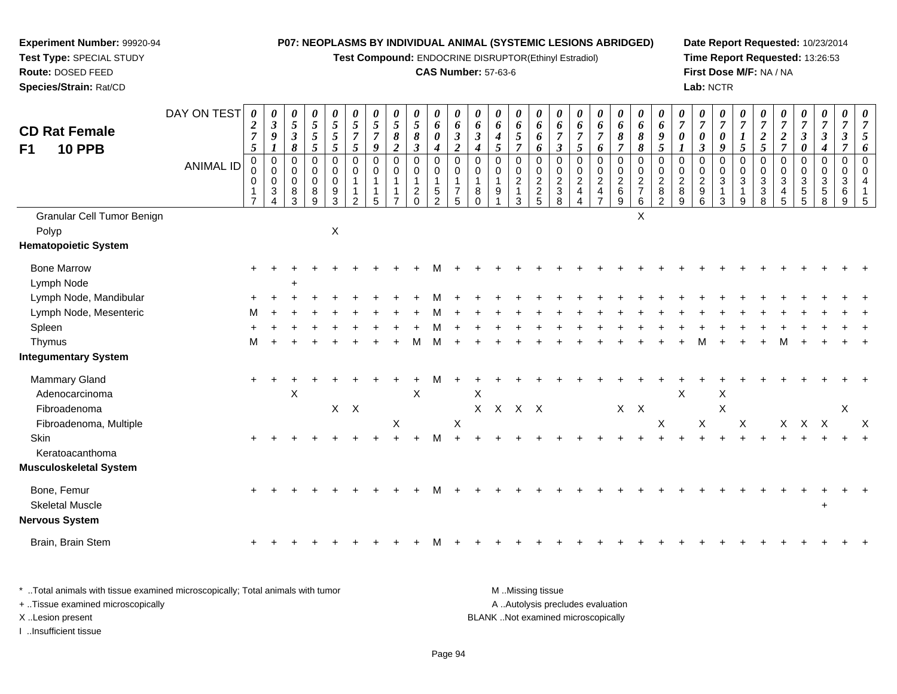**Test Compound:** ENDOCRINE DISRUPTOR(Ethinyl Estradiol)

## **CAS Number:** 57-63-6

**Date Report Requested:** 10/23/2014 **Time Report Requested:** 13:26:53**First Dose M/F:** NA / NA**Lab:** NCTR

| <b>CD Rat Female</b>                  | DAY ON TEST      | 0<br>$\boldsymbol{2}$<br>$\overline{7}$<br>$\sqrt{5}$ | 0<br>$\mathfrak{z}$<br>$\boldsymbol{9}$<br>$\boldsymbol{l}$  | 0<br>$\mathfrak{s}$<br>$\boldsymbol{\beta}$<br>8 | 0<br>$\mathfrak{s}$<br>5<br>$\mathfrak{s}$ | 0<br>$\overline{5}$<br>$\sqrt{5}$<br>$\mathfrak{s}$              | 0<br>$\overline{5}$<br>$\overline{7}$<br>$\mathfrak{s}$ | 0<br>5<br>$\overline{7}$<br>$\boldsymbol{9}$         | 0<br>$\overline{5}$<br>8<br>$\boldsymbol{2}$ | 0<br>$\overline{5}$<br>$\pmb{8}$<br>$\mathfrak{z}$ | 0<br>6<br>0<br>$\boldsymbol{4}$                                          | 0<br>6<br>$\boldsymbol{\beta}$<br>$\boldsymbol{2}$   | 0<br>$\pmb{6}$<br>$\boldsymbol{\beta}$<br>$\boldsymbol{4}$  | 0<br>6<br>$\boldsymbol{4}$<br>5 | 0<br>6<br>$\mathfrak{s}$<br>$\overline{7}$ | 0<br>6<br>6                                    | 0<br>6<br>$\boldsymbol{7}$<br>$\boldsymbol{\beta}$                               | 0<br>6<br>$\overline{7}$<br>5                                       | 0<br>6<br>$\boldsymbol{7}$                                  | 0<br>6<br>$\pmb{8}$<br>$\overline{7}$        | 0<br>6<br>$\pmb{8}$<br>$\pmb{8}$                  | 0<br>6<br>$\boldsymbol{9}$<br>$\mathfrak{s}$                            | 0<br>$\overline{7}$<br>$\boldsymbol{\theta}$ | 0<br>$\overline{7}$<br>$\boldsymbol{\theta}$<br>$\mathfrak{z}$ | $\boldsymbol{\theta}$<br>$\overline{7}$<br>$\pmb{\theta}$<br>9             | $\overline{7}$<br>$\boldsymbol{l}$<br>$\mathfrak{s}$ | 0<br>$\overline{7}$<br>$\boldsymbol{2}$<br>$\sqrt{5}$         | 0<br>$\overline{7}$<br>$\overline{2}$<br>$\overline{7}$          | 0<br>$\overline{7}$<br>$\boldsymbol{\beta}$<br>$\boldsymbol{\theta}$         | 0<br>$\overline{7}$<br>$\boldsymbol{\beta}$                   | 0<br>$\overline{7}$<br>$\mathfrak{z}$<br>$\overline{7}$ | 0<br>$\overline{7}$<br>5                               |
|---------------------------------------|------------------|-------------------------------------------------------|--------------------------------------------------------------|--------------------------------------------------|--------------------------------------------|------------------------------------------------------------------|---------------------------------------------------------|------------------------------------------------------|----------------------------------------------|----------------------------------------------------|--------------------------------------------------------------------------|------------------------------------------------------|-------------------------------------------------------------|---------------------------------|--------------------------------------------|------------------------------------------------|----------------------------------------------------------------------------------|---------------------------------------------------------------------|-------------------------------------------------------------|----------------------------------------------|---------------------------------------------------|-------------------------------------------------------------------------|----------------------------------------------|----------------------------------------------------------------|----------------------------------------------------------------------------|------------------------------------------------------|---------------------------------------------------------------|------------------------------------------------------------------|------------------------------------------------------------------------------|---------------------------------------------------------------|---------------------------------------------------------|--------------------------------------------------------|
| <b>10 PPB</b><br>F <sub>1</sub>       | <b>ANIMAL ID</b> | 0<br>0<br>0<br>$\mathbf{1}$<br>$\overline{7}$         | $\pmb{0}$<br>$\mathbf 0$<br>$\mathbf 0$<br>$\mathbf{3}$<br>4 | 0<br>$\mathbf 0$<br>$\pmb{0}$<br>8<br>3          | 0<br>0<br>$\mathbf 0$<br>8<br>$9\,$        | $\mathbf 0$<br>$\mathbf 0$<br>$\mathbf 0$<br>9<br>$\overline{3}$ | 0<br>0<br>1<br>2                                        | $\pmb{0}$<br>$\mathbf 0$<br>$\overline{1}$<br>1<br>5 | $\mathbf 0$<br>$\mathbf 0$                   | 0<br>$\mathbf 0$<br>$\mathbf{1}$<br>$^2_{0}$       | $\mathsf 0$<br>$\pmb{0}$<br>$\mathbf{1}$<br>$\sqrt{5}$<br>$\overline{2}$ | $\mathbf 0$<br>0<br>$\overline{7}$<br>$\overline{5}$ | $\mathbf 0$<br>$\mathbf 0$<br>$\mathbf{1}$<br>8<br>$\Omega$ | 0<br>0<br>$\overline{1}$<br>9   | $\pmb{0}$<br>$\frac{0}{2}$<br>3            | 6<br>0<br>0<br>$\overline{c}$<br>$\frac{2}{5}$ | $\mathbf 0$<br>$\begin{smallmatrix} 0\\2\\3 \end{smallmatrix}$<br>$\overline{8}$ | $\pmb{0}$<br>$\pmb{0}$<br>$\overline{a}$<br>$\overline{\mathbf{4}}$ | 6<br>0<br>$\overline{0}$<br>$\frac{2}{4}$<br>$\overline{7}$ | $\pmb{0}$<br>$\frac{0}{2}$<br>$\overline{9}$ | 0<br>0<br>$\sqrt{2}$<br>$\overline{7}$<br>$\,6\,$ | $\mathbf 0$<br>$\pmb{0}$<br>$\overline{2}$<br>$\bf 8$<br>$\overline{2}$ | $\Omega$<br>0<br>$\overline{2}$<br>8<br>9    | 0<br>$\begin{smallmatrix} 0\\2\\9 \end{smallmatrix}$<br>6      | $\mathbf 0$<br>$\pmb{0}$<br>$\mathfrak{S}$<br>$\mathbf{1}$<br>$\mathbf{3}$ | 0<br>0<br>3<br>1<br>$\boldsymbol{9}$                 | $\mathbf 0$<br>$_{3}^{\rm 0}$<br>$\sqrt{3}$<br>$\overline{8}$ | $\mathsf 0$<br>0<br>$\mathbf{3}$<br>$\overline{4}$<br>$\sqrt{5}$ | $\pmb{0}$<br>$\mathbf 0$<br>$\mathbf{3}$<br>$\overline{5}$<br>$\overline{5}$ | $\boldsymbol{4}$<br>$\mathbf 0$<br>$\mathbf 0$<br>3<br>5<br>8 | 0<br>0<br>3<br>6<br>$9\,$                               | 6<br>$\mathbf 0$<br>$\mathbf 0$<br>$\overline{4}$<br>5 |
| Granular Cell Tumor Benign<br>Polyp   |                  |                                                       |                                                              |                                                  |                                            | $\pmb{\times}$                                                   |                                                         |                                                      |                                              |                                                    |                                                                          |                                                      |                                                             |                                 |                                            |                                                |                                                                                  |                                                                     |                                                             |                                              | X                                                 |                                                                         |                                              |                                                                |                                                                            |                                                      |                                                               |                                                                  |                                                                              |                                                               |                                                         |                                                        |
| <b>Hematopoietic System</b>           |                  |                                                       |                                                              |                                                  |                                            |                                                                  |                                                         |                                                      |                                              |                                                    |                                                                          |                                                      |                                                             |                                 |                                            |                                                |                                                                                  |                                                                     |                                                             |                                              |                                                   |                                                                         |                                              |                                                                |                                                                            |                                                      |                                                               |                                                                  |                                                                              |                                                               |                                                         |                                                        |
| <b>Bone Marrow</b><br>Lymph Node      |                  |                                                       |                                                              | $\ddot{}$                                        |                                            |                                                                  |                                                         |                                                      |                                              |                                                    |                                                                          |                                                      |                                                             |                                 |                                            |                                                |                                                                                  |                                                                     |                                                             |                                              |                                                   |                                                                         |                                              |                                                                |                                                                            |                                                      |                                                               |                                                                  |                                                                              |                                                               |                                                         |                                                        |
| Lymph Node, Mandibular                |                  |                                                       |                                                              |                                                  |                                            |                                                                  |                                                         |                                                      |                                              |                                                    |                                                                          |                                                      |                                                             |                                 |                                            |                                                |                                                                                  |                                                                     |                                                             |                                              |                                                   |                                                                         |                                              |                                                                |                                                                            |                                                      |                                                               |                                                                  |                                                                              |                                                               |                                                         |                                                        |
| Lymph Node, Mesenteric                |                  | м                                                     |                                                              |                                                  |                                            |                                                                  |                                                         |                                                      |                                              |                                                    |                                                                          |                                                      |                                                             |                                 |                                            |                                                |                                                                                  |                                                                     |                                                             |                                              |                                                   |                                                                         |                                              |                                                                |                                                                            |                                                      |                                                               |                                                                  |                                                                              |                                                               |                                                         |                                                        |
| Spleen                                |                  |                                                       |                                                              |                                                  |                                            |                                                                  |                                                         |                                                      |                                              |                                                    |                                                                          |                                                      |                                                             |                                 |                                            |                                                |                                                                                  |                                                                     |                                                             |                                              |                                                   |                                                                         |                                              |                                                                |                                                                            |                                                      |                                                               |                                                                  |                                                                              |                                                               |                                                         |                                                        |
| Thymus                                |                  | м                                                     |                                                              |                                                  |                                            |                                                                  |                                                         |                                                      |                                              |                                                    | м                                                                        |                                                      |                                                             |                                 |                                            |                                                |                                                                                  |                                                                     |                                                             |                                              |                                                   |                                                                         |                                              |                                                                |                                                                            |                                                      |                                                               |                                                                  |                                                                              |                                                               |                                                         |                                                        |
| <b>Integumentary System</b>           |                  |                                                       |                                                              |                                                  |                                            |                                                                  |                                                         |                                                      |                                              |                                                    |                                                                          |                                                      |                                                             |                                 |                                            |                                                |                                                                                  |                                                                     |                                                             |                                              |                                                   |                                                                         |                                              |                                                                |                                                                            |                                                      |                                                               |                                                                  |                                                                              |                                                               |                                                         |                                                        |
| Mammary Gland<br>Adenocarcinoma       |                  |                                                       |                                                              | $\boldsymbol{\mathsf{X}}$                        |                                            |                                                                  |                                                         |                                                      |                                              | $\boldsymbol{\mathsf{X}}$                          |                                                                          |                                                      | $\boldsymbol{\mathsf{X}}$                                   |                                 |                                            |                                                |                                                                                  |                                                                     |                                                             |                                              |                                                   |                                                                         | $\mathsf X$                                  |                                                                | X                                                                          |                                                      |                                                               |                                                                  |                                                                              |                                                               |                                                         |                                                        |
| Fibroadenoma                          |                  |                                                       |                                                              |                                                  |                                            | X                                                                | $\mathsf{X}$                                            |                                                      |                                              |                                                    |                                                                          |                                                      |                                                             | X X X X                         |                                            |                                                |                                                                                  |                                                                     |                                                             | $X$ $X$                                      |                                                   |                                                                         |                                              |                                                                | $\mathsf X$                                                                |                                                      |                                                               |                                                                  |                                                                              |                                                               | $\mathsf X$                                             |                                                        |
| Fibroadenoma, Multiple<br>Skin        |                  |                                                       |                                                              |                                                  |                                            |                                                                  |                                                         |                                                      | X                                            |                                                    | м                                                                        | $\mathsf X$                                          |                                                             |                                 |                                            |                                                |                                                                                  |                                                                     |                                                             |                                              |                                                   | $\times$                                                                |                                              | X                                                              |                                                                            | X                                                    |                                                               |                                                                  | X X X                                                                        |                                                               |                                                         | $\times$                                               |
| Keratoacanthoma                       |                  |                                                       |                                                              |                                                  |                                            |                                                                  |                                                         |                                                      |                                              |                                                    |                                                                          |                                                      |                                                             |                                 |                                            |                                                |                                                                                  |                                                                     |                                                             |                                              |                                                   |                                                                         |                                              |                                                                |                                                                            |                                                      |                                                               |                                                                  |                                                                              |                                                               |                                                         |                                                        |
| <b>Musculoskeletal System</b>         |                  |                                                       |                                                              |                                                  |                                            |                                                                  |                                                         |                                                      |                                              |                                                    |                                                                          |                                                      |                                                             |                                 |                                            |                                                |                                                                                  |                                                                     |                                                             |                                              |                                                   |                                                                         |                                              |                                                                |                                                                            |                                                      |                                                               |                                                                  |                                                                              |                                                               |                                                         |                                                        |
| Bone, Femur<br><b>Skeletal Muscle</b> |                  |                                                       |                                                              |                                                  |                                            |                                                                  |                                                         |                                                      |                                              |                                                    |                                                                          |                                                      |                                                             |                                 |                                            |                                                |                                                                                  |                                                                     |                                                             |                                              |                                                   |                                                                         |                                              |                                                                |                                                                            |                                                      |                                                               |                                                                  |                                                                              |                                                               |                                                         |                                                        |
| <b>Nervous System</b>                 |                  |                                                       |                                                              |                                                  |                                            |                                                                  |                                                         |                                                      |                                              |                                                    |                                                                          |                                                      |                                                             |                                 |                                            |                                                |                                                                                  |                                                                     |                                                             |                                              |                                                   |                                                                         |                                              |                                                                |                                                                            |                                                      |                                                               |                                                                  |                                                                              |                                                               |                                                         |                                                        |
| Brain, Brain Stem                     |                  |                                                       |                                                              |                                                  |                                            |                                                                  |                                                         |                                                      |                                              |                                                    |                                                                          |                                                      |                                                             |                                 |                                            |                                                |                                                                                  |                                                                     |                                                             |                                              |                                                   |                                                                         |                                              |                                                                |                                                                            |                                                      |                                                               |                                                                  |                                                                              |                                                               |                                                         |                                                        |

| * Total animals with tissue examined microscopically; Total animals with tumor | M Missing tissue                   |
|--------------------------------------------------------------------------------|------------------------------------|
| + Tissue examined microscopically                                              | A Autolysis precludes evaluation   |
| X Lesion present                                                               | BLANK Not examined microscopically |
| …Insufficient tissue                                                           |                                    |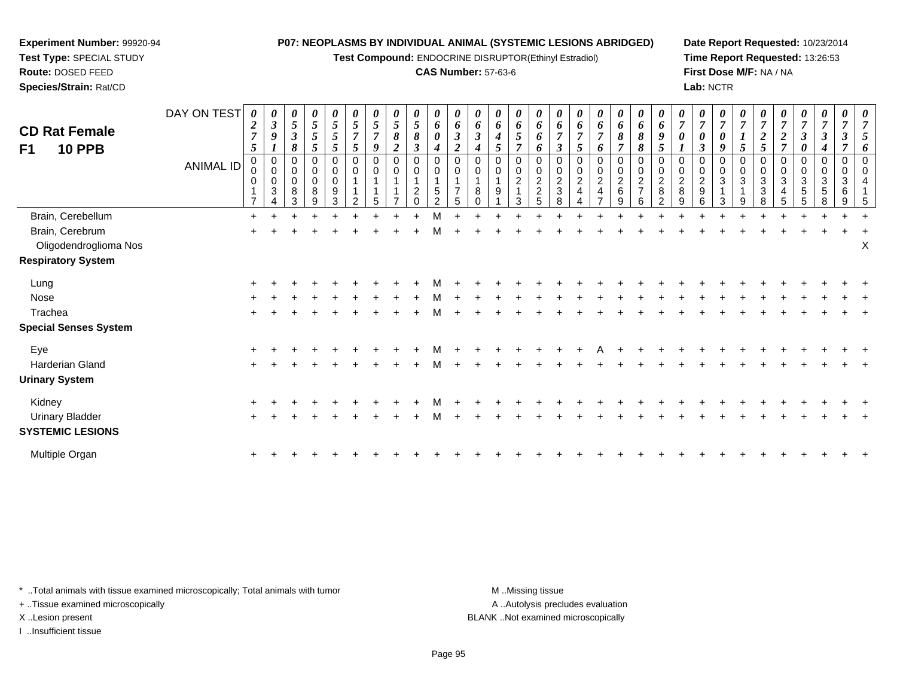**Test Compound:** ENDOCRINE DISRUPTOR(Ethinyl Estradiol)

### **CAS Number:** 57-63-6

**Date Report Requested:** 10/23/2014**Time Report Requested:** 13:26:53**First Dose M/F:** NA / NA**Lab:** NCTR

| <b>CD Rat Female</b><br>F1<br><b>10 PPB</b> | DAY ON TEST<br><b>ANIMAL ID</b> | $\boldsymbol{\theta}$<br>2<br>$\overline{7}$<br>5<br>$\pmb{0}$<br>0<br>0 | $\boldsymbol{\beta}$<br>9<br>1<br>$\mathbf 0$<br>$\boldsymbol{0}$<br>0<br>3 | 0<br>5<br>3<br>8<br>0<br>0<br>8<br>3 | 0<br>5<br>5<br>5<br>$\Omega$<br>$\mathbf 0$<br>0<br>8<br>9 | 0<br>5<br>$5\overline{)}$<br>5<br>0<br>$\mathbf 0$<br>0<br>9<br>3 | 5<br>$\overline{7}$<br>$5\overline{)}$<br>$\Omega$<br>$\mathbf 0$ | $\mathfrak{p}$<br>7<br>9<br>$\Omega$ | 5<br>8<br>$\Omega$<br>0 | $\boldsymbol{\theta}$<br>$\mathfrak{s}$<br>8<br>3<br>0<br>$\pmb{0}$<br>$\overline{c}$<br>$\Omega$ | 0<br>6<br>0<br>4<br>$\mathbf 0$<br>$\pmb{0}$<br>$\sqrt{5}$<br>$\overline{2}$ | $\theta$<br>6<br>$\mathfrak{z}$<br>$\overline{2}$<br>$\Omega$<br>0<br>$\overline{7}$<br>5 | $\bm{o}$<br>$\Omega$<br>$\Omega$<br>8 | 0<br>6<br>0 | 6<br>5<br>$\Omega$<br>$\mathbf 0$<br>$\overline{c}$<br>3 | 6<br>6<br>6<br>0<br>$\pmb{0}$<br>$\overline{c}$<br>$\boldsymbol{2}$<br>5 | 6<br>$\boldsymbol{\beta}$<br>0<br>0<br>$\frac{2}{3}$<br>8 | 6<br>5<br>$\Omega$<br>$\overline{c}$ | 0<br>6<br>6<br>$\Omega$<br>0<br>2 | $\theta$<br>6<br>8<br>$\overline{7}$<br>$\boldsymbol{0}$<br>$\mathbf 0$<br>$\overline{c}$<br>$\,6\,$<br>9 | 0<br>6<br>8<br>8<br>0<br>$\pmb{0}$<br>$\overline{c}$<br>$\overline{7}$<br>6 | $\boldsymbol{\theta}$<br>6<br>9<br>$\mathfrak{s}$<br>$\mathbf 0$<br>$\overline{a}$<br>$\bf 8$<br>2 | $\Omega$<br>$\overline{c}$<br>8<br>9 | 0<br>0<br>2<br>9<br>հ | 9<br>$\mathbf 0$<br>3<br>3 | 5<br>$\Omega$<br>$\mathbf 0$<br>3<br>9 | 2<br>$5\overline{)}$<br>0<br>3<br>3<br>8 | 7<br>$\Omega$<br>3 | 3<br>5 | 0<br>3<br>$\sqrt{5}$<br>8 | 0<br>0<br>3<br>$\,6$<br>9 |   |
|---------------------------------------------|---------------------------------|--------------------------------------------------------------------------|-----------------------------------------------------------------------------|--------------------------------------|------------------------------------------------------------|-------------------------------------------------------------------|-------------------------------------------------------------------|--------------------------------------|-------------------------|---------------------------------------------------------------------------------------------------|------------------------------------------------------------------------------|-------------------------------------------------------------------------------------------|---------------------------------------|-------------|----------------------------------------------------------|--------------------------------------------------------------------------|-----------------------------------------------------------|--------------------------------------|-----------------------------------|-----------------------------------------------------------------------------------------------------------|-----------------------------------------------------------------------------|----------------------------------------------------------------------------------------------------|--------------------------------------|-----------------------|----------------------------|----------------------------------------|------------------------------------------|--------------------|--------|---------------------------|---------------------------|---|
| Brain, Cerebellum                           |                                 | $\pm$                                                                    |                                                                             |                                      |                                                            |                                                                   |                                                                   |                                      |                         |                                                                                                   |                                                                              |                                                                                           |                                       |             |                                                          |                                                                          |                                                           |                                      |                                   |                                                                                                           |                                                                             |                                                                                                    |                                      |                       |                            |                                        |                                          |                    |        |                           |                           |   |
| Brain, Cerebrum                             |                                 |                                                                          |                                                                             |                                      |                                                            |                                                                   |                                                                   |                                      |                         |                                                                                                   | м                                                                            |                                                                                           |                                       |             |                                                          |                                                                          |                                                           |                                      |                                   |                                                                                                           |                                                                             |                                                                                                    |                                      |                       |                            |                                        |                                          |                    |        |                           |                           |   |
| Oligodendroglioma Nos                       |                                 |                                                                          |                                                                             |                                      |                                                            |                                                                   |                                                                   |                                      |                         |                                                                                                   |                                                                              |                                                                                           |                                       |             |                                                          |                                                                          |                                                           |                                      |                                   |                                                                                                           |                                                                             |                                                                                                    |                                      |                       |                            |                                        |                                          |                    |        |                           |                           | Χ |
| <b>Respiratory System</b>                   |                                 |                                                                          |                                                                             |                                      |                                                            |                                                                   |                                                                   |                                      |                         |                                                                                                   |                                                                              |                                                                                           |                                       |             |                                                          |                                                                          |                                                           |                                      |                                   |                                                                                                           |                                                                             |                                                                                                    |                                      |                       |                            |                                        |                                          |                    |        |                           |                           |   |
| Lung                                        |                                 |                                                                          |                                                                             |                                      |                                                            |                                                                   |                                                                   |                                      |                         |                                                                                                   |                                                                              |                                                                                           |                                       |             |                                                          |                                                                          |                                                           |                                      |                                   |                                                                                                           |                                                                             |                                                                                                    |                                      |                       |                            |                                        |                                          |                    |        |                           |                           |   |
| Nose                                        |                                 |                                                                          |                                                                             |                                      |                                                            |                                                                   |                                                                   |                                      |                         |                                                                                                   | м                                                                            |                                                                                           |                                       |             |                                                          |                                                                          |                                                           |                                      |                                   |                                                                                                           |                                                                             |                                                                                                    |                                      |                       |                            |                                        |                                          |                    |        |                           |                           |   |
| Trachea                                     |                                 | $\ddot{}$                                                                |                                                                             |                                      |                                                            |                                                                   |                                                                   |                                      |                         |                                                                                                   | м                                                                            |                                                                                           |                                       |             |                                                          |                                                                          |                                                           |                                      |                                   |                                                                                                           |                                                                             |                                                                                                    |                                      |                       |                            |                                        |                                          |                    |        |                           |                           |   |
| <b>Special Senses System</b>                |                                 |                                                                          |                                                                             |                                      |                                                            |                                                                   |                                                                   |                                      |                         |                                                                                                   |                                                                              |                                                                                           |                                       |             |                                                          |                                                                          |                                                           |                                      |                                   |                                                                                                           |                                                                             |                                                                                                    |                                      |                       |                            |                                        |                                          |                    |        |                           |                           |   |
| Eye                                         |                                 |                                                                          |                                                                             |                                      |                                                            |                                                                   |                                                                   |                                      |                         |                                                                                                   |                                                                              |                                                                                           |                                       |             |                                                          |                                                                          |                                                           |                                      |                                   |                                                                                                           |                                                                             |                                                                                                    |                                      |                       |                            |                                        |                                          |                    |        |                           |                           |   |
| Harderian Gland                             |                                 |                                                                          |                                                                             |                                      |                                                            |                                                                   |                                                                   |                                      |                         |                                                                                                   | м                                                                            |                                                                                           |                                       |             |                                                          |                                                                          |                                                           |                                      |                                   |                                                                                                           |                                                                             |                                                                                                    |                                      |                       |                            |                                        |                                          |                    |        |                           |                           |   |
| <b>Urinary System</b>                       |                                 |                                                                          |                                                                             |                                      |                                                            |                                                                   |                                                                   |                                      |                         |                                                                                                   |                                                                              |                                                                                           |                                       |             |                                                          |                                                                          |                                                           |                                      |                                   |                                                                                                           |                                                                             |                                                                                                    |                                      |                       |                            |                                        |                                          |                    |        |                           |                           |   |
| Kidney                                      |                                 |                                                                          |                                                                             |                                      |                                                            |                                                                   |                                                                   |                                      |                         |                                                                                                   |                                                                              |                                                                                           |                                       |             |                                                          |                                                                          |                                                           |                                      |                                   |                                                                                                           |                                                                             |                                                                                                    |                                      |                       |                            |                                        |                                          |                    |        |                           |                           |   |
| <b>Urinary Bladder</b>                      |                                 |                                                                          |                                                                             |                                      |                                                            |                                                                   |                                                                   |                                      |                         |                                                                                                   | м                                                                            |                                                                                           |                                       |             |                                                          |                                                                          |                                                           |                                      |                                   |                                                                                                           |                                                                             |                                                                                                    |                                      |                       |                            |                                        |                                          |                    |        |                           |                           |   |
| <b>SYSTEMIC LESIONS</b>                     |                                 |                                                                          |                                                                             |                                      |                                                            |                                                                   |                                                                   |                                      |                         |                                                                                                   |                                                                              |                                                                                           |                                       |             |                                                          |                                                                          |                                                           |                                      |                                   |                                                                                                           |                                                                             |                                                                                                    |                                      |                       |                            |                                        |                                          |                    |        |                           |                           |   |
| Multiple Organ                              |                                 | +                                                                        |                                                                             |                                      |                                                            |                                                                   |                                                                   |                                      |                         |                                                                                                   |                                                                              |                                                                                           |                                       |             |                                                          |                                                                          |                                                           |                                      |                                   |                                                                                                           |                                                                             |                                                                                                    |                                      |                       |                            |                                        |                                          |                    |        |                           |                           |   |
|                                             |                                 |                                                                          |                                                                             |                                      |                                                            |                                                                   |                                                                   |                                      |                         |                                                                                                   |                                                                              |                                                                                           |                                       |             |                                                          |                                                                          |                                                           |                                      |                                   |                                                                                                           |                                                                             |                                                                                                    |                                      |                       |                            |                                        |                                          |                    |        |                           |                           |   |

\* ..Total animals with tissue examined microscopically; Total animals with tumor **M** . Missing tissue M ..Missing tissue

+ ..Tissue examined microscopically

**Experiment Number:** 99920-94**Test Type:** SPECIAL STUDY**Route:** DOSED FEED**Species/Strain:** Rat/CD

I ..Insufficient tissue

A ..Autolysis precludes evaluation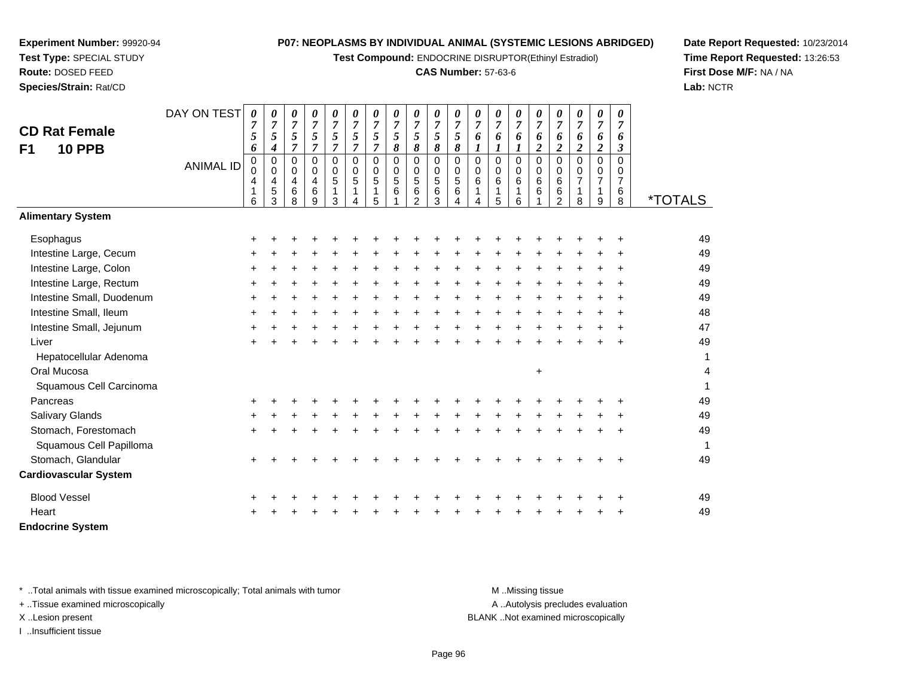**Test Compound:** ENDOCRINE DISRUPTOR(Ethinyl Estradiol)

#### **CAS Number:** 57-63-6

<sup>+</sup> <sup>+</sup> <sup>+</sup> <sup>+</sup> <sup>+</sup> <sup>+</sup> <sup>+</sup> <sup>+</sup> <sup>+</sup> <sup>+</sup> <sup>+</sup> <sup>+</sup> <sup>+</sup> <sup>+</sup> <sup>+</sup> <sup>+</sup> <sup>+</sup> <sup>+</sup> <sup>49</sup>

<sup>+</sup> <sup>+</sup> <sup>+</sup> <sup>+</sup> <sup>+</sup> <sup>+</sup> <sup>+</sup> <sup>+</sup> <sup>+</sup> <sup>+</sup> <sup>+</sup> <sup>+</sup> <sup>+</sup> <sup>+</sup> <sup>+</sup> <sup>+</sup> <sup>+</sup> <sup>+</sup> <sup>49</sup>

8 \*TOTALS

**Date Report Requested:** 10/23/2014**Time Report Requested:** 13:26:53**First Dose M/F:** NA / NA**Lab:** NCTR

| Intestine Small, Ileum                                                         | +         |   |  |    |           |       |   |        |        |       |       |                  |     |     |           |           | 48 |
|--------------------------------------------------------------------------------|-----------|---|--|----|-----------|-------|---|--------|--------|-------|-------|------------------|-----|-----|-----------|-----------|----|
| Intestine Small, Jejunum                                                       | $\ddot{}$ |   |  |    | ÷         |       |   |        |        | $\pm$ | +     |                  |     |     |           | $\ddot{}$ | 47 |
| Liver                                                                          | $\ddot{}$ |   |  |    |           |       |   |        |        |       |       |                  | ÷   |     | $\ddot{}$ | $\ddot{}$ | 49 |
| Hepatocellular Adenoma                                                         |           |   |  |    |           |       |   |        |        |       |       |                  |     |     |           |           | 1  |
| Oral Mucosa                                                                    |           |   |  |    |           |       |   |        |        |       |       | $\ddot{}$        |     |     |           |           | 4  |
| Squamous Cell Carcinoma                                                        |           |   |  |    |           |       |   |        |        |       |       |                  |     |     |           |           | 1  |
| Pancreas                                                                       | +         |   |  |    |           |       |   |        |        |       |       |                  |     |     |           |           | 49 |
| Salivary Glands                                                                | $\ddot{}$ |   |  | ÷. | $\ddot{}$ | $\pm$ | + | +      |        | $\pm$ | $\pm$ | +                |     |     |           | $\pm$     | 49 |
| Stomach, Forestomach                                                           | $\pm$     |   |  |    | ÷         |       |   |        |        |       | +     |                  |     |     | ÷         | $\pm$     | 49 |
| Squamous Cell Papilloma                                                        |           |   |  |    |           |       |   |        |        |       |       |                  |     |     |           |           | 1  |
| Stomach, Glandular                                                             | +         |   |  |    |           |       |   |        |        |       |       |                  |     |     |           | $\ddot{}$ | 49 |
| <b>Cardiovascular System</b>                                                   |           |   |  |    |           |       |   |        |        |       |       |                  |     |     |           |           |    |
| <b>Blood Vessel</b>                                                            | +         |   |  |    |           |       |   |        |        |       |       |                  |     |     |           | $\pm$     | 49 |
| Heart                                                                          | $+$       | ÷ |  |    | $+$       | $\pm$ |   | $\div$ | $\div$ | $\pm$ | $\pm$ |                  | $+$ | $+$ | $\pm$     | $\ddot{}$ | 49 |
| <b>Endocrine System</b>                                                        |           |   |  |    |           |       |   |        |        |       |       |                  |     |     |           |           |    |
|                                                                                |           |   |  |    |           |       |   |        |        |       |       |                  |     |     |           |           |    |
| * Total animals with tissue examined microscopically; Total animals with tumor |           |   |  |    |           |       |   |        |        |       |       | M Missing tissue |     |     |           |           |    |
|                                                                                |           |   |  |    |           |       |   |        |        |       |       |                  |     |     |           |           |    |

+ ..Tissue examined microscopically

**Experiment Number:** 99920-94**Test Type:** SPECIAL STUDY**Route:** DOSED FEED**Species/Strain:** Rat/CD

**CD Rat FemaleF1 10 PPB**

**Alimentary System**

Intestine Large, Cecum

Intestine Large, Rectum

Intestine Small, Duodenum

Intestine Large, Colon

**Esophagus** 

DAY ON TEST

*0*

<sup>+</sup> <sup>+</sup> <sup>+</sup> <sup>+</sup> <sup>+</sup> <sup>+</sup> <sup>+</sup> <sup>+</sup> <sup>+</sup> <sup>+</sup> <sup>+</sup> <sup>+</sup> <sup>+</sup> <sup>+</sup> <sup>+</sup> <sup>+</sup> <sup>+</sup> <sup>+</sup> <sup>+</sup> <sup>49</sup>

<sup>+</sup> <sup>+</sup> <sup>+</sup> <sup>+</sup> <sup>+</sup> <sup>+</sup> <sup>+</sup> <sup>+</sup> <sup>+</sup> <sup>+</sup> <sup>+</sup> <sup>+</sup> <sup>+</sup> <sup>+</sup> <sup>+</sup> <sup>+</sup> <sup>+</sup> <sup>+</sup> <sup>+</sup> <sup>49</sup>

<sup>+</sup> <sup>+</sup> <sup>+</sup> <sup>+</sup> <sup>+</sup> <sup>+</sup> <sup>+</sup> <sup>+</sup> <sup>+</sup> <sup>+</sup> <sup>+</sup> <sup>+</sup> <sup>+</sup> <sup>+</sup> <sup>+</sup> <sup>+</sup> <sup>+</sup> <sup>+</sup> <sup>+</sup> <sup>49</sup>

*7 5 7*

ANIMAL ID

 $\mathsf{S}$  +

 $\mathsf{n}$  +

I ..Insufficient tissue

A ..Autolysis precludes evaluation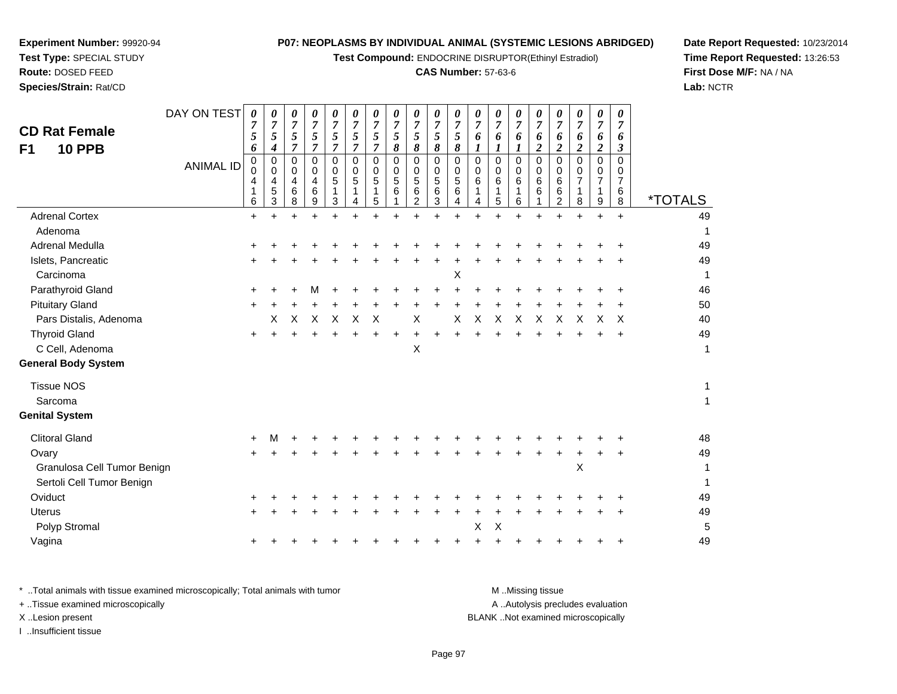**Test Compound:** ENDOCRINE DISRUPTOR(Ethinyl Estradiol)

#### **CAS Number:** 57-63-6

ᅮ

**Date Report Requested:** 10/23/2014**Time Report Requested:** 13:26:53**First Dose M/F:** NA / NA**Lab:** NCTR

| <b>CD Rat Female</b><br><b>10 PPB</b><br>F <sub>1</sub> | DAY ON TEST      | 0<br>5<br>6      | 0<br>$\overline{7}$<br>$\mathfrak{s}$<br>4 | 0<br>$\overline{7}$<br>5<br>$\overline{7}$ | 0<br>7<br>5<br>$\overline{7}$ | 0<br>7<br>$\sqrt{5}$<br>$\overline{7}$ | 0<br>$\overline{7}$<br>5<br>$\boldsymbol{7}$ | 0<br>$\overline{7}$<br>$\sqrt{5}$<br>$\overline{7}$ | 0<br>$\overline{7}$<br>5<br>8 | 0<br>$\overline{7}$<br>5<br>8      | 0<br>7<br>$\sqrt{5}$<br>8                   | 0<br>7<br>5<br>8          | 0<br>$\overline{7}$<br>6 | 0<br>$\overline{7}$<br>6<br>1 | 0<br>7<br>6<br>$\boldsymbol{\mathit{I}}$ | 0<br>6<br>$\overline{c}$ | 0<br>$\overline{7}$<br>6<br>2   | 0<br>$\boldsymbol{7}$<br>6<br>$\boldsymbol{2}$ | 0<br>$\overline{7}$<br>6<br>$\boldsymbol{2}$ | 0<br>$\overline{7}$<br>6<br>3                |                       |
|---------------------------------------------------------|------------------|------------------|--------------------------------------------|--------------------------------------------|-------------------------------|----------------------------------------|----------------------------------------------|-----------------------------------------------------|-------------------------------|------------------------------------|---------------------------------------------|---------------------------|--------------------------|-------------------------------|------------------------------------------|--------------------------|---------------------------------|------------------------------------------------|----------------------------------------------|----------------------------------------------|-----------------------|
|                                                         | <b>ANIMAL ID</b> | 0<br>0<br>4<br>6 | 0<br>0<br>4<br>5<br>3                      | 0<br>$\Omega$<br>4<br>6<br>8               | 0<br>0<br>4<br>6<br>9         | 0<br>0<br>5<br>3                       | 0<br>0<br>5<br>1<br>4                        | 0<br>0<br>$\sqrt{5}$<br>1<br>5                      | 0<br>$\mathbf 0$<br>5<br>6    | 0<br>0<br>5<br>6<br>$\overline{c}$ | 0<br>$\pmb{0}$<br>$\mathbf 5$<br>$\,6$<br>3 | 0<br>0<br>5<br>6<br>4     | 0<br>0<br>6<br>4         | 0<br>0<br>6<br>1<br>5         | 0<br>0<br>6<br>6                         | 0<br>0<br>6<br>6         | $\mathbf 0$<br>0<br>6<br>6<br>2 | $\mathbf 0$<br>0<br>7<br>1<br>8                | $\mathbf 0$<br>0<br>7<br>1<br>9              | $\mathbf 0$<br>0<br>$\overline{7}$<br>6<br>8 | <i><b>*TOTALS</b></i> |
| <b>Adrenal Cortex</b>                                   |                  | $+$              | $\ddot{}$                                  | $+$                                        | $\ddot{}$                     | $\ddot{}$                              | $\ddot{}$                                    | $\ddot{}$                                           | $\ddot{}$                     | $+$                                | $\ddot{}$                                   | $\ddot{}$                 | $\ddot{}$                | $+$                           | $+$                                      | $\ddot{}$                | $\ddot{}$                       | $\ddot{}$                                      | $\ddot{}$                                    | $\ddot{}$                                    | 49                    |
| Adenoma                                                 |                  |                  |                                            |                                            |                               |                                        |                                              |                                                     |                               |                                    |                                             |                           |                          |                               |                                          |                          |                                 |                                                |                                              |                                              | 1                     |
| Adrenal Medulla                                         |                  |                  |                                            |                                            |                               |                                        |                                              |                                                     |                               |                                    |                                             |                           |                          |                               |                                          |                          |                                 |                                                |                                              |                                              | 49                    |
| Islets, Pancreatic                                      |                  |                  |                                            |                                            |                               |                                        |                                              |                                                     |                               |                                    |                                             |                           |                          |                               |                                          |                          |                                 |                                                |                                              |                                              | 49                    |
| Carcinoma                                               |                  |                  |                                            |                                            |                               |                                        |                                              |                                                     |                               |                                    |                                             | $\boldsymbol{\mathsf{X}}$ |                          |                               |                                          |                          |                                 |                                                |                                              |                                              | 1                     |
| Parathyroid Gland                                       |                  |                  |                                            |                                            |                               |                                        |                                              |                                                     |                               |                                    |                                             |                           |                          |                               |                                          |                          |                                 |                                                |                                              |                                              | 46                    |
| <b>Pituitary Gland</b>                                  |                  | +                |                                            |                                            |                               |                                        |                                              |                                                     |                               |                                    |                                             |                           |                          |                               |                                          |                          |                                 |                                                |                                              |                                              | 50                    |
| Pars Distalis, Adenoma                                  |                  |                  | X                                          | X                                          | X                             | X                                      | X                                            | $\boldsymbol{\mathsf{X}}$                           |                               | Χ                                  |                                             | X                         | X                        | X                             | X                                        | X                        | X                               | X                                              | X                                            | X                                            | 40                    |
| <b>Thyroid Gland</b>                                    |                  | $\pm$            |                                            |                                            |                               |                                        |                                              |                                                     |                               |                                    |                                             |                           |                          |                               |                                          |                          |                                 |                                                |                                              | $\ddot{}$                                    | 49                    |
| C Cell, Adenoma                                         |                  |                  |                                            |                                            |                               |                                        |                                              |                                                     |                               | Χ                                  |                                             |                           |                          |                               |                                          |                          |                                 |                                                |                                              |                                              | 1                     |
| <b>General Body System</b>                              |                  |                  |                                            |                                            |                               |                                        |                                              |                                                     |                               |                                    |                                             |                           |                          |                               |                                          |                          |                                 |                                                |                                              |                                              |                       |
| <b>Tissue NOS</b>                                       |                  |                  |                                            |                                            |                               |                                        |                                              |                                                     |                               |                                    |                                             |                           |                          |                               |                                          |                          |                                 |                                                |                                              |                                              | 1                     |
| Sarcoma                                                 |                  |                  |                                            |                                            |                               |                                        |                                              |                                                     |                               |                                    |                                             |                           |                          |                               |                                          |                          |                                 |                                                |                                              |                                              | $\mathbf{1}$          |
| <b>Genital System</b>                                   |                  |                  |                                            |                                            |                               |                                        |                                              |                                                     |                               |                                    |                                             |                           |                          |                               |                                          |                          |                                 |                                                |                                              |                                              |                       |
| <b>Clitoral Gland</b>                                   |                  | ٠                |                                            |                                            |                               |                                        |                                              |                                                     |                               |                                    |                                             |                           |                          |                               |                                          |                          |                                 |                                                |                                              |                                              | 48                    |
| Ovary                                                   |                  |                  |                                            |                                            |                               |                                        |                                              |                                                     |                               |                                    |                                             |                           |                          |                               |                                          |                          |                                 |                                                |                                              |                                              | 49                    |
| Granulosa Cell Tumor Benign                             |                  |                  |                                            |                                            |                               |                                        |                                              |                                                     |                               |                                    |                                             |                           |                          |                               |                                          |                          |                                 | $\pmb{\times}$                                 |                                              |                                              | 1                     |
| Sertoli Cell Tumor Benign                               |                  |                  |                                            |                                            |                               |                                        |                                              |                                                     |                               |                                    |                                             |                           |                          |                               |                                          |                          |                                 |                                                |                                              |                                              |                       |
| Oviduct                                                 |                  |                  |                                            |                                            |                               |                                        |                                              |                                                     |                               |                                    |                                             |                           |                          |                               |                                          |                          |                                 |                                                |                                              |                                              | 49                    |
| <b>Uterus</b>                                           |                  |                  |                                            |                                            |                               |                                        |                                              |                                                     |                               |                                    |                                             |                           |                          |                               |                                          |                          |                                 |                                                |                                              |                                              | 49                    |
| Polyp Stromal                                           |                  |                  |                                            |                                            |                               |                                        |                                              |                                                     |                               |                                    |                                             |                           | X                        | X                             |                                          |                          |                                 |                                                |                                              |                                              | 5                     |
| Vagina                                                  |                  |                  |                                            |                                            |                               |                                        |                                              |                                                     |                               |                                    |                                             |                           |                          |                               |                                          |                          |                                 |                                                |                                              |                                              | 49                    |

**Experiment Number:** 99920-94**Test Type:** SPECIAL STUDY**Route:** DOSED FEED**Species/Strain:** Rat/CD

a  $+$ 

\* ..Total animals with tissue examined microscopically; Total animals with tumor **M** ...Missing tissue M ...Missing tissue A .. Autolysis precludes evaluation + ..Tissue examined microscopically X ..Lesion present BLANK ..Not examined microscopicallyI ..Insufficient tissue

<sup>+</sup> <sup>+</sup> <sup>+</sup> <sup>+</sup> <sup>+</sup> <sup>+</sup> <sup>+</sup> <sup>+</sup> <sup>+</sup> <sup>+</sup> <sup>+</sup> <sup>+</sup> <sup>+</sup> <sup>+</sup> <sup>+</sup> <sup>+</sup> <sup>+</sup> <sup>+</sup> <sup>49</sup>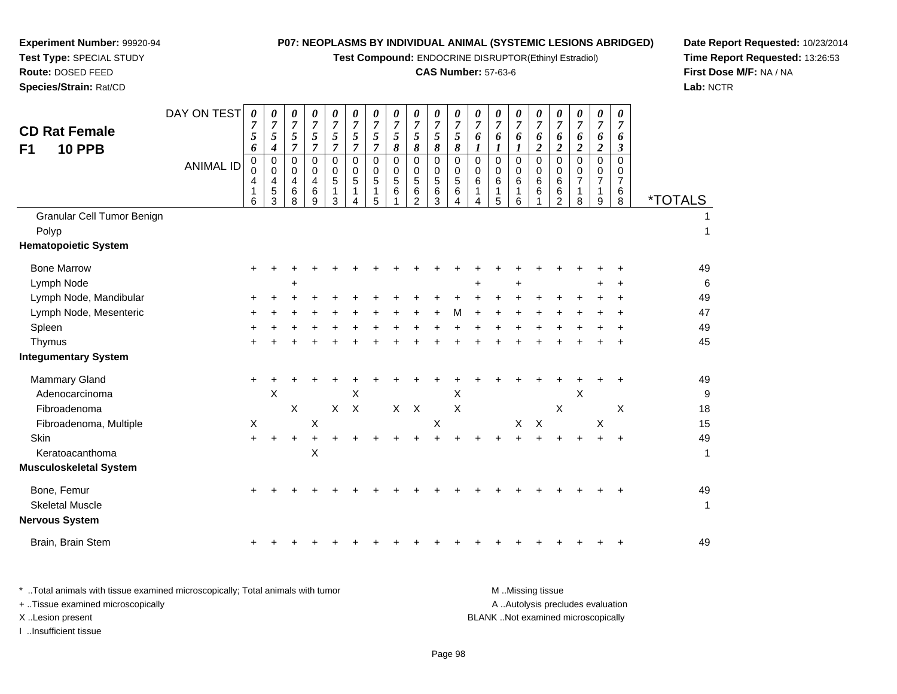**Test Compound:** ENDOCRINE DISRUPTOR(Ethinyl Estradiol)

## **CAS Number:** 57-63-6

**Date Report Requested:** 10/23/2014 **Time Report Requested:** 13:26:53**First Dose M/F:** NA / NA**Lab:** NCTR

|                             | DAY ON TEST      | 0                   | 0                        | 0                          | 0                            | 0                   | 0                         | 0                   | 0                   | 0                   | 0                           | 0                                | 0                   | 0                   | 0                       | 0                   | 0                   | 0                         | $\boldsymbol{\theta}$     | 0                        |                       |
|-----------------------------|------------------|---------------------|--------------------------|----------------------------|------------------------------|---------------------|---------------------------|---------------------|---------------------|---------------------|-----------------------------|----------------------------------|---------------------|---------------------|-------------------------|---------------------|---------------------|---------------------------|---------------------------|--------------------------|-----------------------|
| <b>CD Rat Female</b>        |                  | $\overline{7}$<br>5 | $\overline{7}$<br>5      | $\overline{7}$<br>5        | $\overline{7}$<br>$\sqrt{5}$ | $\overline{7}$<br>5 | $\overline{7}$<br>5       | $\overline{7}$<br>5 | $\overline{7}$<br>5 | $\overline{7}$<br>5 | $\overline{7}$<br>5         | $\overline{7}$<br>$\mathfrak{s}$ | $\overline{7}$<br>6 | $\overline{7}$<br>6 | $\overline{7}$<br>6     | $\overline{7}$<br>6 | $\overline{7}$<br>6 | 7<br>6                    | $\overline{7}$<br>6       | $\overline{7}$<br>6      |                       |
| <b>10 PPB</b><br>F1         |                  | 6                   | $\boldsymbol{4}$         | $\overline{7}$             | $\overline{7}$               | $\overline{7}$      | $\overline{7}$            | $\overline{7}$      | 8                   | 8                   | 8                           | 8                                | 1                   |                     |                         | $\overline{2}$      | $\overline{2}$      | $\overline{c}$            | $\overline{2}$            | 3                        |                       |
|                             | <b>ANIMAL ID</b> | 0<br>$\mathbf 0$    | $\pmb{0}$<br>$\mathbf 0$ | $\mathbf 0$<br>$\mathbf 0$ | 0<br>$\mathbf 0$             | 0<br>0              | $\Omega$<br>0             | $\mathbf 0$<br>0    | $\mathbf 0$<br>0    | 0<br>$\mathbf 0$    | $\mathsf{O}$<br>$\mathbf 0$ | $\pmb{0}$<br>0                   | $\pmb{0}$<br>0      | $\Omega$<br>0       | $\Omega$<br>$\mathbf 0$ | 0<br>$\mathbf 0$    | $\mathbf 0$<br>0    | $\Omega$<br>0             | $\mathbf 0$<br>0          | $\Omega$<br>$\mathbf{0}$ |                       |
|                             |                  | 4                   | 4                        | 4                          | 4                            | 5                   | 5                         | 5                   | 5                   | 5                   | $5\phantom{.0}$             | 5                                | 6                   | 6                   | 6                       | 6                   | 6                   | $\overline{7}$            | $\overline{7}$            | $\overline{7}$           |                       |
|                             |                  | 6                   | 5<br>3                   | 6<br>8                     | 6<br>9                       | 1<br>3              | $\mathbf{1}$<br>Δ         | 1<br>5              | 6                   | 6<br>$\overline{2}$ | 6<br>3                      | 6<br>$\Delta$                    | 1<br>$\overline{A}$ | 1<br>5              | 1<br>6                  | 6                   | 6<br>$\overline{2}$ | 1<br>8                    | $\mathbf{1}$<br>9         | 6<br>8                   | <i><b>*TOTALS</b></i> |
| Granular Cell Tumor Benign  |                  |                     |                          |                            |                              |                     |                           |                     |                     |                     |                             |                                  |                     |                     |                         |                     |                     |                           |                           |                          |                       |
| Polyp                       |                  |                     |                          |                            |                              |                     |                           |                     |                     |                     |                             |                                  |                     |                     |                         |                     |                     |                           |                           |                          | $\mathbf{1}$          |
| <b>Hematopoietic System</b> |                  |                     |                          |                            |                              |                     |                           |                     |                     |                     |                             |                                  |                     |                     |                         |                     |                     |                           |                           |                          |                       |
| <b>Bone Marrow</b>          |                  |                     |                          |                            |                              |                     |                           |                     |                     |                     |                             |                                  |                     |                     |                         |                     |                     |                           |                           |                          | 49                    |
| Lymph Node                  |                  |                     |                          | ٠                          |                              |                     |                           |                     |                     |                     |                             |                                  |                     |                     |                         |                     |                     |                           |                           |                          | $\,6$                 |
| Lymph Node, Mandibular      |                  |                     |                          |                            |                              |                     |                           |                     |                     |                     |                             |                                  |                     |                     |                         |                     |                     |                           |                           |                          | 49                    |
| Lymph Node, Mesenteric      |                  |                     |                          |                            |                              |                     |                           |                     |                     |                     |                             | М                                |                     |                     |                         |                     |                     |                           |                           |                          | 47                    |
| Spleen                      |                  |                     |                          |                            |                              |                     |                           |                     |                     |                     |                             |                                  |                     |                     |                         |                     |                     |                           |                           |                          | 49                    |
| Thymus                      |                  |                     |                          |                            |                              |                     |                           |                     |                     |                     |                             |                                  |                     |                     |                         |                     |                     |                           |                           |                          | 45                    |
| Integumentary System        |                  |                     |                          |                            |                              |                     |                           |                     |                     |                     |                             |                                  |                     |                     |                         |                     |                     |                           |                           |                          |                       |
| <b>Mammary Gland</b>        |                  |                     |                          |                            |                              |                     |                           |                     |                     |                     |                             |                                  |                     |                     |                         |                     |                     |                           |                           |                          | 49                    |
| Adenocarcinoma              |                  |                     | $\pmb{\times}$           |                            |                              |                     | X                         |                     |                     |                     |                             | X                                |                     |                     |                         |                     |                     | $\boldsymbol{\mathsf{X}}$ |                           |                          | 9                     |
| Fibroadenoma                |                  |                     |                          | $\pmb{\times}$             |                              | $\pmb{\times}$      | $\boldsymbol{\mathsf{X}}$ |                     |                     | $X$ $X$             |                             | X                                |                     |                     |                         |                     | Χ                   |                           |                           | $\pmb{\times}$           | 18                    |
| Fibroadenoma, Multiple      |                  | X                   |                          |                            | Χ                            |                     |                           |                     |                     |                     | X                           |                                  |                     |                     | X                       | $\times$            |                     |                           | $\boldsymbol{\mathsf{X}}$ |                          | 15                    |
| Skin                        |                  | $+$                 |                          | $\ddot{}$                  |                              |                     |                           |                     |                     |                     |                             |                                  |                     |                     |                         |                     |                     |                           |                           |                          | 49                    |
| Keratoacanthoma             |                  |                     |                          |                            | X                            |                     |                           |                     |                     |                     |                             |                                  |                     |                     |                         |                     |                     |                           |                           |                          | $\mathbf{1}$          |
| Musculoskeletal System      |                  |                     |                          |                            |                              |                     |                           |                     |                     |                     |                             |                                  |                     |                     |                         |                     |                     |                           |                           |                          |                       |
| Bone, Femur                 |                  |                     |                          |                            |                              |                     |                           |                     |                     |                     |                             |                                  |                     |                     |                         |                     |                     |                           |                           |                          | 49                    |
| <b>Skeletal Muscle</b>      |                  |                     |                          |                            |                              |                     |                           |                     |                     |                     |                             |                                  |                     |                     |                         |                     |                     |                           |                           |                          | 1                     |
| Nervous System              |                  |                     |                          |                            |                              |                     |                           |                     |                     |                     |                             |                                  |                     |                     |                         |                     |                     |                           |                           |                          |                       |
| Brain, Brain Stem           |                  |                     |                          |                            |                              |                     |                           |                     |                     |                     |                             |                                  |                     |                     |                         |                     |                     |                           |                           |                          | 49                    |
|                             |                  |                     |                          |                            |                              |                     |                           |                     |                     |                     |                             |                                  |                     |                     |                         |                     |                     |                           |                           |                          |                       |

| Total animals with tissue examined microscopically; Total animals with tumor. | M Missing tissue                   |
|-------------------------------------------------------------------------------|------------------------------------|
| + Tissue examined microscopically                                             | A Autolysis precludes evaluation   |
| X Lesion present                                                              | BLANK Not examined microscopically |
| Insufficient tissue                                                           |                                    |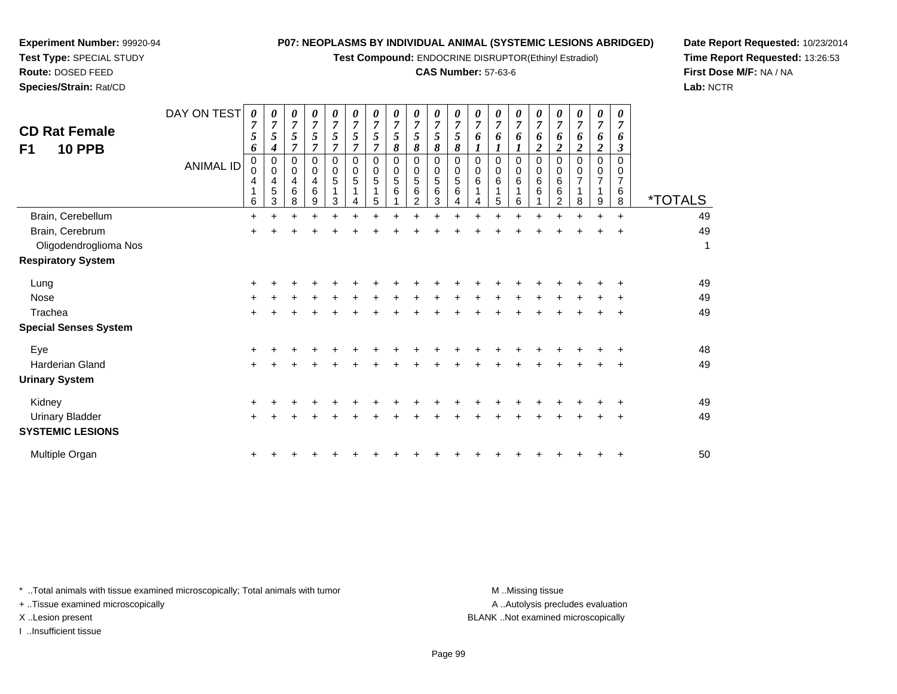**Test Compound:** ENDOCRINE DISRUPTOR(Ethinyl Estradiol)

#### **CAS Number:** 57-63-6

**Date Report Requested:** 10/23/2014**Time Report Requested:** 13:26:53**First Dose M/F:** NA / NA**Lab:** NCTR

| <b>CD Rat Female</b><br>F1<br><b>10 PPB</b> | DAY ON TEST<br><b>ANIMAL ID</b> | $\boldsymbol{\theta}$<br>$\overline{7}$<br>5<br>6<br>0<br>$\Omega$<br>4<br>6 | 0<br>5<br>4<br>0<br>$\Omega$<br>4<br>5<br>3 | 0<br>$\boldsymbol{7}$<br>5<br>7<br>0<br>$\mathbf 0$<br>4<br>6<br>8 | 0<br>$\overline{7}$<br>5<br>0<br>0<br>4<br>6<br>9 | 0<br>7<br>5<br>7<br>0<br>$\Omega$<br>5<br>3 | 0<br>7<br>5<br>7<br>0<br>0<br>$\overline{5}$ | 0<br>$\overline{7}$<br>5<br>7<br>$\Omega$<br>$\Omega$<br>5<br>5 | 0<br>$\overline{7}$<br>5<br>8<br>0<br>$\mathbf 0$<br>5<br>6 | 0<br>$\overline{7}$<br>5<br>8<br>0<br>$\mathbf 0$<br>$\overline{5}$<br>6<br>2 | 0<br>7<br>5<br>8<br>0<br>$\pmb{0}$<br>$\overline{5}$<br>6<br>3 | 0<br>5<br>8<br>0<br>0<br>5<br>6 | 0<br>7<br>6<br>0<br>0<br>6<br>4 | 0<br>$\overline{7}$<br>6<br>0<br>$\mathbf 0$<br>6<br>5 | 0<br>$\overline{7}$<br>6<br>$\Omega$<br>$\Omega$<br>6<br>6 | 0<br>$\overline{7}$<br>6<br>2<br>$\Omega$<br>0<br>6<br>6 | 0<br>$\overline{7}$<br>6<br>2<br>0<br>0<br>6<br>6<br>2 | 0<br>$\overline{7}$<br>6<br>2<br>0<br>$\mathbf 0$<br>$\overline{7}$<br>8 | 0<br>$\overline{7}$<br>6<br>2<br>0<br>0<br>7<br>9 | 0<br>7<br>6<br>3<br>0<br>0<br>7<br>6<br>8 | <i><b>*TOTALS</b></i> |
|---------------------------------------------|---------------------------------|------------------------------------------------------------------------------|---------------------------------------------|--------------------------------------------------------------------|---------------------------------------------------|---------------------------------------------|----------------------------------------------|-----------------------------------------------------------------|-------------------------------------------------------------|-------------------------------------------------------------------------------|----------------------------------------------------------------|---------------------------------|---------------------------------|--------------------------------------------------------|------------------------------------------------------------|----------------------------------------------------------|--------------------------------------------------------|--------------------------------------------------------------------------|---------------------------------------------------|-------------------------------------------|-----------------------|
| Brain, Cerebellum                           |                                 | $\ddot{}$                                                                    |                                             |                                                                    |                                                   |                                             |                                              |                                                                 |                                                             |                                                                               |                                                                |                                 |                                 |                                                        |                                                            |                                                          |                                                        |                                                                          |                                                   | $\ddot{}$                                 | 49                    |
| Brain, Cerebrum                             |                                 | +                                                                            |                                             |                                                                    |                                                   |                                             |                                              |                                                                 |                                                             |                                                                               |                                                                |                                 |                                 |                                                        |                                                            |                                                          |                                                        |                                                                          |                                                   | $\ddot{}$                                 | 49                    |
| Oligodendroglioma Nos                       |                                 |                                                                              |                                             |                                                                    |                                                   |                                             |                                              |                                                                 |                                                             |                                                                               |                                                                |                                 |                                 |                                                        |                                                            |                                                          |                                                        |                                                                          |                                                   |                                           | 1                     |
| <b>Respiratory System</b>                   |                                 |                                                                              |                                             |                                                                    |                                                   |                                             |                                              |                                                                 |                                                             |                                                                               |                                                                |                                 |                                 |                                                        |                                                            |                                                          |                                                        |                                                                          |                                                   |                                           |                       |
| Lung                                        |                                 | +                                                                            |                                             |                                                                    |                                                   |                                             |                                              |                                                                 |                                                             |                                                                               |                                                                |                                 |                                 |                                                        |                                                            |                                                          |                                                        |                                                                          |                                                   |                                           | 49                    |
| Nose                                        |                                 |                                                                              |                                             |                                                                    |                                                   |                                             |                                              |                                                                 |                                                             |                                                                               |                                                                |                                 |                                 |                                                        |                                                            |                                                          |                                                        |                                                                          |                                                   | ÷                                         | 49                    |
| Trachea                                     |                                 | $\ddot{}$                                                                    |                                             |                                                                    |                                                   |                                             |                                              |                                                                 |                                                             |                                                                               |                                                                |                                 |                                 |                                                        |                                                            |                                                          |                                                        |                                                                          |                                                   | ÷                                         | 49                    |
| <b>Special Senses System</b>                |                                 |                                                                              |                                             |                                                                    |                                                   |                                             |                                              |                                                                 |                                                             |                                                                               |                                                                |                                 |                                 |                                                        |                                                            |                                                          |                                                        |                                                                          |                                                   |                                           |                       |
| Eye                                         |                                 |                                                                              |                                             |                                                                    |                                                   |                                             |                                              |                                                                 |                                                             |                                                                               |                                                                |                                 |                                 |                                                        |                                                            |                                                          |                                                        |                                                                          |                                                   |                                           | 48                    |
| Harderian Gland                             |                                 | $\pm$                                                                        |                                             |                                                                    |                                                   |                                             |                                              |                                                                 |                                                             |                                                                               |                                                                |                                 |                                 |                                                        |                                                            |                                                          |                                                        |                                                                          |                                                   | $\ddot{}$                                 | 49                    |
| <b>Urinary System</b>                       |                                 |                                                                              |                                             |                                                                    |                                                   |                                             |                                              |                                                                 |                                                             |                                                                               |                                                                |                                 |                                 |                                                        |                                                            |                                                          |                                                        |                                                                          |                                                   |                                           |                       |
| Kidney                                      |                                 |                                                                              |                                             |                                                                    |                                                   |                                             |                                              |                                                                 |                                                             |                                                                               |                                                                |                                 |                                 |                                                        |                                                            |                                                          |                                                        |                                                                          |                                                   | ÷                                         | 49                    |
| <b>Urinary Bladder</b>                      |                                 | $\ddot{}$                                                                    |                                             |                                                                    |                                                   |                                             |                                              |                                                                 |                                                             |                                                                               |                                                                |                                 |                                 |                                                        |                                                            |                                                          |                                                        |                                                                          |                                                   |                                           | 49                    |
| <b>SYSTEMIC LESIONS</b>                     |                                 |                                                                              |                                             |                                                                    |                                                   |                                             |                                              |                                                                 |                                                             |                                                                               |                                                                |                                 |                                 |                                                        |                                                            |                                                          |                                                        |                                                                          |                                                   |                                           |                       |
| Multiple Organ                              |                                 | +                                                                            |                                             |                                                                    |                                                   |                                             |                                              |                                                                 |                                                             |                                                                               |                                                                |                                 |                                 |                                                        |                                                            |                                                          |                                                        |                                                                          |                                                   | $\ddot{}$                                 | 50                    |

\* ..Total animals with tissue examined microscopically; Total animals with tumor **M** . Missing tissue M ..Missing tissue

+ ..Tissue examined microscopically

**Experiment Number:** 99920-94**Test Type:** SPECIAL STUDY**Route:** DOSED FEED**Species/Strain:** Rat/CD

I ..Insufficient tissue

A ..Autolysis precludes evaluation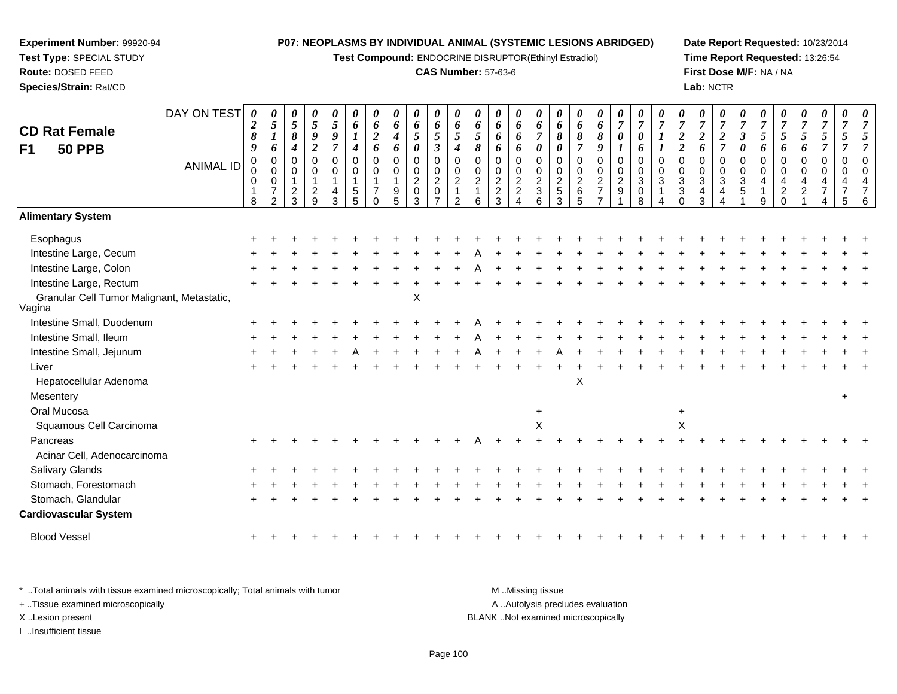**Test Compound:** ENDOCRINE DISRUPTOR(Ethinyl Estradiol)

## **CAS Number:** 57-63-6

**Date Report Requested:** 10/23/2014**Time Report Requested:** 13:26:54**First Dose M/F:** NA / NA**Lab:** NCTR

| <b>CD Rat Female</b><br>F1<br><b>50 PPB</b>          | DAY ON TEST      | 0<br>$\boldsymbol{2}$<br>$\pmb{8}$<br>9   | $\boldsymbol{\theta}$<br>$\sqrt{5}$<br>$\boldsymbol{l}$<br>6        | 0<br>$\mathfrak{s}$<br>8<br>4           | 0<br>$\mathfrak{s}$<br>$\boldsymbol{9}$<br>$\overline{2}$ | $\boldsymbol{\theta}$<br>$\sqrt{5}$<br>$\boldsymbol{g}$<br>$\overline{7}$ | $\boldsymbol{\theta}$<br>6<br>$\boldsymbol{l}$<br>$\boldsymbol{4}$ | $\boldsymbol{\theta}$<br>6<br>$\sqrt{2}$<br>6 | 0<br>6<br>$\boldsymbol{4}$<br>6 | 0<br>6<br>$\mathfrak{s}$<br>0      | $\boldsymbol{\theta}$<br>6<br>$\mathfrak{s}$<br>$\mathfrak{z}$ | $\boldsymbol{\theta}$<br>6<br>$\mathfrak{H}$<br>$\boldsymbol{4}$                 | $\boldsymbol{\theta}$<br>6<br>$\overline{5}$<br>8   | 0<br>6<br>6<br>6                                | 0<br>6<br>6<br>6                                             | $\boldsymbol{\theta}$<br>6<br>$\overline{7}$<br>$\boldsymbol{\theta}$ | $\boldsymbol{\theta}$<br>6<br>$\pmb{8}$<br>$\boldsymbol{\theta}$ | $\boldsymbol{\theta}$<br>6<br>$\pmb{8}$<br>$\overline{7}$ | 0<br>6<br>8<br>9                                       | $\boldsymbol{\theta}$<br>$\boldsymbol{7}$<br>0<br>$\boldsymbol{l}$ | $\boldsymbol{\theta}$<br>$\overline{7}$<br>$\boldsymbol{\theta}$<br>6 | $\theta$<br>$\overline{7}$<br>1<br>$\boldsymbol{I}$        | $\overline{7}$<br>$\frac{2}{2}$                                | 0<br>$\overline{7}$<br>$\overline{c}$<br>6 | 0<br>$\boldsymbol{7}$<br>$\boldsymbol{2}$<br>$\overline{7}$ | $\boldsymbol{\theta}$<br>$\overline{7}$<br>$\mathfrak{z}$<br>$\boldsymbol{\theta}$ | $\theta$<br>$\overline{7}$<br>$\sqrt{5}$<br>6 | $\overline{7}$<br>$\overline{5}$<br>6               | 0<br>$\overline{7}$<br>5<br>6 | 0<br>$\overline{7}$<br>5<br>$\overline{7}$ | 0<br>$\overline{7}$<br>5 | 0<br>$\overline{7}$ |
|------------------------------------------------------|------------------|-------------------------------------------|---------------------------------------------------------------------|-----------------------------------------|-----------------------------------------------------------|---------------------------------------------------------------------------|--------------------------------------------------------------------|-----------------------------------------------|---------------------------------|------------------------------------|----------------------------------------------------------------|----------------------------------------------------------------------------------|-----------------------------------------------------|-------------------------------------------------|--------------------------------------------------------------|-----------------------------------------------------------------------|------------------------------------------------------------------|-----------------------------------------------------------|--------------------------------------------------------|--------------------------------------------------------------------|-----------------------------------------------------------------------|------------------------------------------------------------|----------------------------------------------------------------|--------------------------------------------|-------------------------------------------------------------|------------------------------------------------------------------------------------|-----------------------------------------------|-----------------------------------------------------|-------------------------------|--------------------------------------------|--------------------------|---------------------|
|                                                      | <b>ANIMAL ID</b> | $\mathbf 0$<br>0<br>0<br>$\mathbf 1$<br>8 | $\mathbf 0$<br>0<br>$\pmb{0}$<br>$\boldsymbol{7}$<br>$\overline{2}$ | 0<br>$\mathbf 0$<br>$\overline{c}$<br>3 | 0<br>0<br>1<br>$\overline{c}$<br>9                        | $\mathbf 0$<br>$\mathbf 0$<br>4<br>3                                      | $\mathbf 0$<br>0<br>$\mathbf 1$<br>$\sqrt{5}$<br>5                 | 0<br>0<br>$\overline{7}$<br>$\Omega$          | $\mathbf 0$<br>0<br>9<br>5      | 0<br>0<br>$\overline{c}$<br>0<br>3 | $\mathbf 0$<br>$\pmb{0}$<br>$\boldsymbol{2}$<br>$\mathbf 0$    | $\mathbf 0$<br>$\mathbf 0$<br>$\overline{2}$<br>$\overline{1}$<br>$\overline{2}$ | $\mathbf 0$<br>0<br>$\sqrt{2}$<br>$\mathbf{1}$<br>6 | 0<br>0<br>$\overline{c}$<br>$\overline{c}$<br>3 | 0<br>0<br>$\overline{2}$<br>$\overline{c}$<br>$\overline{4}$ | $\mathbf 0$<br>$\pmb{0}$<br>$\overline{2}$<br>$\sqrt{3}$<br>6         | $\mathbf 0$<br>$\mathbf 0$<br>$rac{2}{5}$<br>3                   | $\mathbf 0$<br>$\mathbf 0$<br>$\sqrt{2}$<br>$\,6\,$<br>5  | $\mathbf 0$<br>0<br>$\boldsymbol{2}$<br>$\overline{7}$ | 0<br>0<br>$\overline{2}$<br>$9\,$                                  | $\mathbf 0$<br>$\pmb{0}$<br>$\overline{3}$<br>$\pmb{0}$<br>8          | $\mathbf 0$<br>$\mathbf 0$<br>$\sqrt{3}$<br>$\overline{1}$ | $\mathbf 0$<br>0<br>$\sqrt{3}$<br>$\mathbf{3}$<br>$\mathbf{0}$ | 0<br>$\mathbf 0$<br>$\mathbf{3}$<br>4<br>3 | 0<br>0<br>$\mathbf{3}$<br>$\overline{4}$                    | 0<br>$\mathbf 0$<br>$\sqrt{3}$<br>$\sqrt{5}$                                       | $\mathbf 0$<br>$\mathbf 0$<br>4<br>9          | $\mathbf 0$<br>0<br>4<br>$\overline{2}$<br>$\Omega$ | 0<br>$\Omega$<br>2            | 0<br>$\mathbf 0$                           | 0<br>$\mathbf 0$<br>5    |                     |
| <b>Alimentary System</b>                             |                  |                                           |                                                                     |                                         |                                                           |                                                                           |                                                                    |                                               |                                 |                                    |                                                                |                                                                                  |                                                     |                                                 |                                                              |                                                                       |                                                                  |                                                           |                                                        |                                                                    |                                                                       |                                                            |                                                                |                                            |                                                             |                                                                                    |                                               |                                                     |                               |                                            |                          |                     |
| Esophagus                                            |                  |                                           |                                                                     |                                         |                                                           |                                                                           |                                                                    |                                               |                                 |                                    |                                                                |                                                                                  |                                                     |                                                 |                                                              |                                                                       |                                                                  |                                                           |                                                        |                                                                    |                                                                       |                                                            |                                                                |                                            |                                                             |                                                                                    |                                               |                                                     |                               |                                            |                          |                     |
| Intestine Large, Cecum                               |                  |                                           |                                                                     |                                         |                                                           |                                                                           |                                                                    |                                               |                                 |                                    |                                                                |                                                                                  |                                                     |                                                 |                                                              |                                                                       |                                                                  |                                                           |                                                        |                                                                    |                                                                       |                                                            |                                                                |                                            |                                                             |                                                                                    |                                               |                                                     |                               |                                            |                          |                     |
| Intestine Large, Colon                               |                  |                                           |                                                                     |                                         |                                                           |                                                                           |                                                                    |                                               |                                 |                                    |                                                                |                                                                                  |                                                     |                                                 |                                                              |                                                                       |                                                                  |                                                           |                                                        |                                                                    |                                                                       |                                                            |                                                                |                                            |                                                             |                                                                                    |                                               |                                                     |                               |                                            |                          |                     |
| Intestine Large, Rectum                              |                  |                                           |                                                                     |                                         |                                                           |                                                                           |                                                                    |                                               |                                 |                                    |                                                                |                                                                                  |                                                     |                                                 |                                                              |                                                                       |                                                                  |                                                           |                                                        |                                                                    |                                                                       |                                                            |                                                                |                                            |                                                             |                                                                                    |                                               |                                                     |                               |                                            |                          |                     |
| Granular Cell Tumor Malignant, Metastatic,<br>Vagina |                  |                                           |                                                                     |                                         |                                                           |                                                                           |                                                                    |                                               |                                 | Χ                                  |                                                                |                                                                                  |                                                     |                                                 |                                                              |                                                                       |                                                                  |                                                           |                                                        |                                                                    |                                                                       |                                                            |                                                                |                                            |                                                             |                                                                                    |                                               |                                                     |                               |                                            |                          |                     |
| Intestine Small, Duodenum                            |                  |                                           |                                                                     |                                         |                                                           |                                                                           |                                                                    |                                               |                                 |                                    |                                                                |                                                                                  |                                                     |                                                 |                                                              |                                                                       |                                                                  |                                                           |                                                        |                                                                    |                                                                       |                                                            |                                                                |                                            |                                                             |                                                                                    |                                               |                                                     |                               |                                            |                          |                     |
| Intestine Small, Ileum                               |                  |                                           |                                                                     |                                         |                                                           |                                                                           |                                                                    |                                               |                                 |                                    |                                                                |                                                                                  |                                                     |                                                 |                                                              |                                                                       |                                                                  |                                                           |                                                        |                                                                    |                                                                       |                                                            |                                                                |                                            |                                                             |                                                                                    |                                               |                                                     |                               |                                            |                          |                     |
| Intestine Small, Jejunum                             |                  |                                           |                                                                     |                                         |                                                           |                                                                           |                                                                    |                                               |                                 |                                    |                                                                |                                                                                  |                                                     |                                                 |                                                              |                                                                       |                                                                  |                                                           |                                                        |                                                                    |                                                                       |                                                            |                                                                |                                            |                                                             |                                                                                    |                                               |                                                     |                               |                                            |                          |                     |
| Liver                                                |                  |                                           |                                                                     |                                         |                                                           |                                                                           |                                                                    |                                               |                                 |                                    |                                                                |                                                                                  |                                                     |                                                 |                                                              |                                                                       |                                                                  |                                                           |                                                        |                                                                    |                                                                       |                                                            |                                                                |                                            |                                                             |                                                                                    |                                               |                                                     |                               |                                            |                          |                     |
| Hepatocellular Adenoma                               |                  |                                           |                                                                     |                                         |                                                           |                                                                           |                                                                    |                                               |                                 |                                    |                                                                |                                                                                  |                                                     |                                                 |                                                              |                                                                       |                                                                  | X                                                         |                                                        |                                                                    |                                                                       |                                                            |                                                                |                                            |                                                             |                                                                                    |                                               |                                                     |                               |                                            |                          |                     |
| Mesentery                                            |                  |                                           |                                                                     |                                         |                                                           |                                                                           |                                                                    |                                               |                                 |                                    |                                                                |                                                                                  |                                                     |                                                 |                                                              |                                                                       |                                                                  |                                                           |                                                        |                                                                    |                                                                       |                                                            |                                                                |                                            |                                                             |                                                                                    |                                               |                                                     |                               |                                            | $\ddot{}$                |                     |
| Oral Mucosa                                          |                  |                                           |                                                                     |                                         |                                                           |                                                                           |                                                                    |                                               |                                 |                                    |                                                                |                                                                                  |                                                     |                                                 |                                                              | $\ddot{}$                                                             |                                                                  |                                                           |                                                        |                                                                    |                                                                       |                                                            |                                                                |                                            |                                                             |                                                                                    |                                               |                                                     |                               |                                            |                          |                     |
| Squamous Cell Carcinoma                              |                  |                                           |                                                                     |                                         |                                                           |                                                                           |                                                                    |                                               |                                 |                                    |                                                                |                                                                                  |                                                     |                                                 |                                                              | X                                                                     |                                                                  |                                                           |                                                        |                                                                    |                                                                       |                                                            | X                                                              |                                            |                                                             |                                                                                    |                                               |                                                     |                               |                                            |                          |                     |
| Pancreas<br>Acinar Cell, Adenocarcinoma              |                  |                                           |                                                                     |                                         |                                                           |                                                                           |                                                                    |                                               |                                 |                                    |                                                                |                                                                                  |                                                     |                                                 |                                                              |                                                                       |                                                                  |                                                           |                                                        |                                                                    |                                                                       |                                                            |                                                                |                                            |                                                             |                                                                                    |                                               |                                                     |                               |                                            |                          |                     |
| Salivary Glands                                      |                  |                                           |                                                                     |                                         |                                                           |                                                                           |                                                                    |                                               |                                 |                                    |                                                                |                                                                                  |                                                     |                                                 |                                                              |                                                                       |                                                                  |                                                           |                                                        |                                                                    |                                                                       |                                                            |                                                                |                                            |                                                             |                                                                                    |                                               |                                                     |                               |                                            |                          |                     |
| Stomach, Forestomach                                 |                  |                                           |                                                                     |                                         |                                                           |                                                                           |                                                                    |                                               |                                 |                                    |                                                                |                                                                                  |                                                     |                                                 |                                                              |                                                                       |                                                                  |                                                           |                                                        |                                                                    |                                                                       |                                                            |                                                                |                                            |                                                             |                                                                                    |                                               |                                                     |                               |                                            |                          |                     |
| Stomach, Glandular                                   |                  |                                           |                                                                     |                                         |                                                           |                                                                           |                                                                    |                                               |                                 |                                    |                                                                |                                                                                  |                                                     |                                                 |                                                              |                                                                       |                                                                  |                                                           |                                                        |                                                                    |                                                                       |                                                            |                                                                |                                            |                                                             |                                                                                    |                                               |                                                     |                               |                                            |                          |                     |
| <b>Cardiovascular System</b>                         |                  |                                           |                                                                     |                                         |                                                           |                                                                           |                                                                    |                                               |                                 |                                    |                                                                |                                                                                  |                                                     |                                                 |                                                              |                                                                       |                                                                  |                                                           |                                                        |                                                                    |                                                                       |                                                            |                                                                |                                            |                                                             |                                                                                    |                                               |                                                     |                               |                                            |                          |                     |
| <b>Blood Vessel</b>                                  |                  |                                           |                                                                     |                                         |                                                           |                                                                           |                                                                    |                                               |                                 |                                    |                                                                |                                                                                  |                                                     |                                                 |                                                              |                                                                       |                                                                  |                                                           |                                                        |                                                                    |                                                                       |                                                            |                                                                |                                            |                                                             |                                                                                    |                                               |                                                     |                               |                                            |                          |                     |

\* ..Total animals with tissue examined microscopically; Total animals with tumor **M** . Missing tissue M ..Missing tissue A ..Autolysis precludes evaluation + ..Tissue examined microscopically X ..Lesion present BLANK ..Not examined microscopicallyI ..Insufficient tissue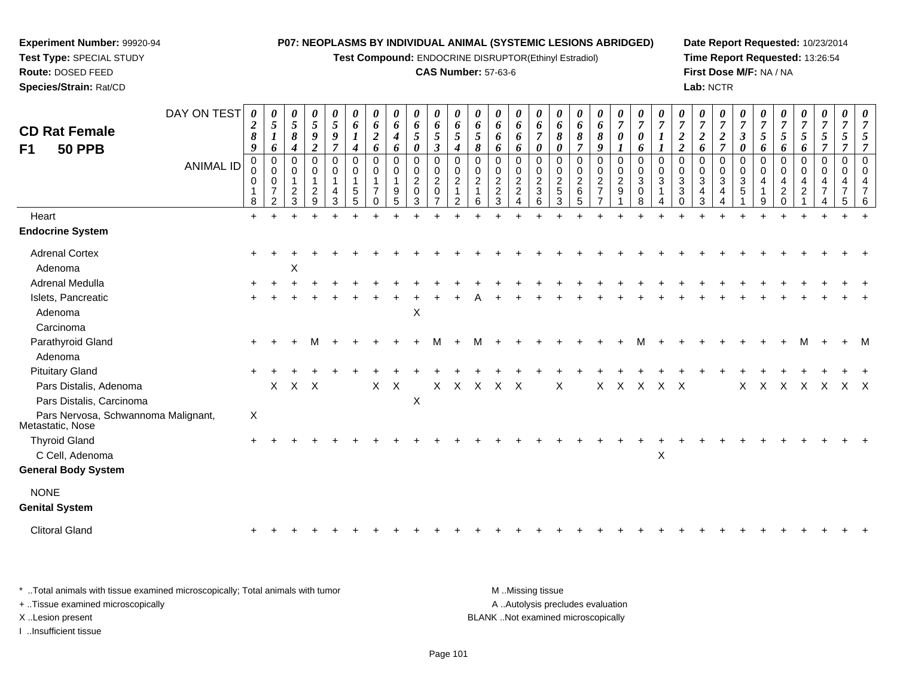**Test Compound:** ENDOCRINE DISRUPTOR(Ethinyl Estradiol)

#### **CAS Number:** 57-63-6

**Date Report Requested:** 10/23/2014**Time Report Requested:** 13:26:54**First Dose M/F:** NA / NA**Lab:** NCTR

| <b>CD Rat Female</b>                                    | DAY ON TEST      | 0<br>$\boldsymbol{2}$<br>8                      | 0<br>$\mathfrak{s}$<br>$\boldsymbol{l}$                                  | $\frac{\theta}{5}$<br>8                                  | $\frac{\theta}{5}$<br>9                                             | $\frac{\theta}{5}$<br>9                                      | 0<br>6<br>$\boldsymbol{l}$                                        | $\boldsymbol{\theta}$<br>6<br>$\boldsymbol{2}$           | 0<br>6<br>$\boldsymbol{4}$           | 0<br>6<br>5                                                                              | 0<br>6<br>5                                                                                   | 0<br>6<br>5                               | 0<br>6<br>5                                    | 0<br>6<br>6                                          | 0<br>6<br>6                       | 0<br>6<br>$\overline{7}$                                               | U<br>6<br>8                              | $\boldsymbol{\theta}$<br>6<br>8                                     | 0<br>6<br>8                                                       | 0<br>$\overline{7}$<br>$\boldsymbol{\theta}$                                  | $\frac{\boldsymbol{\theta}}{\boldsymbol{7}}$<br>0 | $\overline{7}$     | $\overline{7}$<br>$\boldsymbol{2}$                             | 0<br>$\overline{7}$<br>$\boldsymbol{2}$ | 0<br>$\overline{7}$<br>$\boldsymbol{2}$                  | $\theta$<br>$\overline{7}$<br>$\mathbf{3}$ | $\overline{7}$<br>5          | $\overline{7}$<br>5                                   | $\boldsymbol{\theta}$<br>$\overline{7}$<br>5 | 0<br>$\overline{7}$<br>5 <sup>5</sup>                                       | 0<br>$\overline{7}$<br>$5\overline{)}$            |                    |
|---------------------------------------------------------|------------------|-------------------------------------------------|--------------------------------------------------------------------------|----------------------------------------------------------|---------------------------------------------------------------------|--------------------------------------------------------------|-------------------------------------------------------------------|----------------------------------------------------------|--------------------------------------|------------------------------------------------------------------------------------------|-----------------------------------------------------------------------------------------------|-------------------------------------------|------------------------------------------------|------------------------------------------------------|-----------------------------------|------------------------------------------------------------------------|------------------------------------------|---------------------------------------------------------------------|-------------------------------------------------------------------|-------------------------------------------------------------------------------|---------------------------------------------------|--------------------|----------------------------------------------------------------|-----------------------------------------|----------------------------------------------------------|--------------------------------------------|------------------------------|-------------------------------------------------------|----------------------------------------------|-----------------------------------------------------------------------------|---------------------------------------------------|--------------------|
| F1<br><b>50 PPB</b>                                     | <b>ANIMAL ID</b> | 9<br>$\mathbf{0}$<br>0<br>0<br>$\mathbf 1$<br>8 | 6<br>$\mathbf 0$<br>$\mathbf 0$<br>0<br>$\overline{7}$<br>$\mathfrak{p}$ | $\boldsymbol{4}$<br>$\Omega$<br>0<br>$\overline{c}$<br>3 | $\overline{2}$<br>0<br>$\mathbf 0$<br>$\mathbf{1}$<br>$\frac{2}{9}$ | $\overline{7}$<br>$\mathbf 0$<br>0<br>$\mathbf{1}$<br>4<br>3 | $\boldsymbol{4}$<br>$\Omega$<br>0<br>$\mathbf 1$<br>$\frac{5}{5}$ | 6<br>$\mathbf 0$<br>0<br>1<br>$\overline{7}$<br>$\Omega$ | 6<br>$\mathbf 0$<br>0<br>1<br>9<br>5 | $\boldsymbol{\theta}$<br>0<br>$\mathbf 0$<br>$\overline{a}$<br>$\pmb{0}$<br>$\mathbf{3}$ | $\mathfrak{z}$<br>$\mathbf 0$<br>$\mathbf 0$<br>$\overline{c}$<br>$\pmb{0}$<br>$\overline{7}$ | 4<br>$\Omega$<br>0<br>$\overline{2}$<br>2 | 8<br>$\Omega$<br>0<br>$\overline{2}$<br>1<br>6 | 6<br>0<br>0<br>$\overline{2}$<br>$\overline{c}$<br>3 | 6<br>0<br>0<br>$\frac{2}{2}$<br>4 | $\boldsymbol{\theta}$<br>0<br>0<br>$\overline{c}$<br>$\mathbf{3}$<br>6 | 0<br>$\Omega$<br>0<br>$\frac{2}{5}$<br>3 | $\overline{7}$<br>$\Omega$<br>0<br>$\boldsymbol{2}$<br>$\,6\,$<br>5 | 9<br>0<br>0<br>$\overline{2}$<br>$\overline{7}$<br>$\overline{7}$ | 1<br>0<br>$\mathbf 0$<br>$\overline{2}$<br>$\boldsymbol{9}$<br>$\overline{1}$ | 6<br>$\mathbf 0$<br>0<br>$\mathbf{3}$<br>0<br>8   | $\Omega$<br>0<br>3 | 2<br>$\Omega$<br>0<br>$\mathbf{3}$<br>$\mathbf{3}$<br>$\Omega$ | 6<br>$\Omega$<br>0<br>3<br>4<br>3       | $\overline{7}$<br>$\Omega$<br>$\mathbf 0$<br>3<br>4<br>4 | 0<br>$\Omega$<br>0<br>3<br>5               | 6<br>$\Omega$<br>0<br>4<br>9 | 6<br>$\Omega$<br>0<br>4<br>$\overline{2}$<br>$\Omega$ | 6<br>0<br>$\mathbf 0$<br>4<br>$\overline{a}$ | $\overline{7}$<br>$\overline{0}$<br>$\mathbf 0$<br>4<br>7<br>$\overline{A}$ | $\overline{7}$<br>$\mathbf 0$<br>0<br>4<br>7<br>5 | 7<br>$\Omega$<br>4 |
| Heart                                                   |                  | $+$                                             |                                                                          |                                                          |                                                                     |                                                              |                                                                   |                                                          |                                      |                                                                                          |                                                                                               |                                           |                                                |                                                      |                                   |                                                                        |                                          |                                                                     |                                                                   |                                                                               |                                                   |                    |                                                                |                                         |                                                          |                                            |                              |                                                       |                                              |                                                                             |                                                   |                    |
| <b>Endocrine System</b>                                 |                  |                                                 |                                                                          |                                                          |                                                                     |                                                              |                                                                   |                                                          |                                      |                                                                                          |                                                                                               |                                           |                                                |                                                      |                                   |                                                                        |                                          |                                                                     |                                                                   |                                                                               |                                                   |                    |                                                                |                                         |                                                          |                                            |                              |                                                       |                                              |                                                                             |                                                   |                    |
| <b>Adrenal Cortex</b>                                   |                  |                                                 |                                                                          |                                                          |                                                                     |                                                              |                                                                   |                                                          |                                      |                                                                                          |                                                                                               |                                           |                                                |                                                      |                                   |                                                                        |                                          |                                                                     |                                                                   |                                                                               |                                                   |                    |                                                                |                                         |                                                          |                                            |                              |                                                       |                                              |                                                                             |                                                   |                    |
| Adenoma<br>Adrenal Medulla                              |                  |                                                 |                                                                          | X                                                        |                                                                     |                                                              |                                                                   |                                                          |                                      |                                                                                          |                                                                                               |                                           |                                                |                                                      |                                   |                                                                        |                                          |                                                                     |                                                                   |                                                                               |                                                   |                    |                                                                |                                         |                                                          |                                            |                              |                                                       |                                              |                                                                             |                                                   |                    |
| Islets, Pancreatic                                      |                  |                                                 |                                                                          |                                                          |                                                                     |                                                              |                                                                   |                                                          |                                      |                                                                                          |                                                                                               |                                           |                                                |                                                      |                                   |                                                                        |                                          |                                                                     |                                                                   |                                                                               |                                                   |                    |                                                                |                                         |                                                          |                                            |                              |                                                       |                                              |                                                                             |                                                   |                    |
| Adenoma<br>Carcinoma                                    |                  |                                                 |                                                                          |                                                          |                                                                     |                                                              |                                                                   |                                                          |                                      | $\boldsymbol{X}$                                                                         |                                                                                               |                                           |                                                |                                                      |                                   |                                                                        |                                          |                                                                     |                                                                   |                                                                               |                                                   |                    |                                                                |                                         |                                                          |                                            |                              |                                                       |                                              |                                                                             |                                                   |                    |
| Parathyroid Gland<br>Adenoma                            |                  |                                                 |                                                                          |                                                          | м                                                                   |                                                              |                                                                   |                                                          |                                      |                                                                                          | м                                                                                             |                                           | м                                              |                                                      |                                   |                                                                        |                                          |                                                                     |                                                                   |                                                                               |                                                   |                    |                                                                |                                         |                                                          |                                            |                              |                                                       | M                                            |                                                                             |                                                   |                    |
| <b>Pituitary Gland</b>                                  |                  |                                                 |                                                                          |                                                          |                                                                     |                                                              |                                                                   |                                                          |                                      |                                                                                          |                                                                                               |                                           |                                                |                                                      |                                   |                                                                        |                                          |                                                                     |                                                                   |                                                                               |                                                   |                    |                                                                |                                         |                                                          |                                            |                              |                                                       |                                              |                                                                             |                                                   |                    |
| Pars Distalis, Adenoma<br>Pars Distalis, Carcinoma      |                  |                                                 |                                                                          | X X X                                                    |                                                                     |                                                              |                                                                   | X                                                        | $\mathsf{X}$                         | $\boldsymbol{X}$                                                                         |                                                                                               |                                           |                                                | X X X X X                                            |                                   |                                                                        | X                                        |                                                                     |                                                                   | X X X                                                                         |                                                   | $X$ $X$            |                                                                |                                         |                                                          | X                                          |                              | X X X                                                 |                                              | $\mathsf{X}$                                                                | X X                                               |                    |
| Pars Nervosa, Schwannoma Malignant,<br>Metastatic, Nose |                  | X                                               |                                                                          |                                                          |                                                                     |                                                              |                                                                   |                                                          |                                      |                                                                                          |                                                                                               |                                           |                                                |                                                      |                                   |                                                                        |                                          |                                                                     |                                                                   |                                                                               |                                                   |                    |                                                                |                                         |                                                          |                                            |                              |                                                       |                                              |                                                                             |                                                   |                    |
| <b>Thyroid Gland</b><br>C Cell, Adenoma                 |                  |                                                 |                                                                          |                                                          |                                                                     |                                                              |                                                                   |                                                          |                                      |                                                                                          |                                                                                               |                                           |                                                |                                                      |                                   |                                                                        |                                          |                                                                     |                                                                   |                                                                               |                                                   | $\pmb{\times}$     |                                                                |                                         |                                                          |                                            |                              |                                                       |                                              |                                                                             |                                                   |                    |
| <b>General Body System</b>                              |                  |                                                 |                                                                          |                                                          |                                                                     |                                                              |                                                                   |                                                          |                                      |                                                                                          |                                                                                               |                                           |                                                |                                                      |                                   |                                                                        |                                          |                                                                     |                                                                   |                                                                               |                                                   |                    |                                                                |                                         |                                                          |                                            |                              |                                                       |                                              |                                                                             |                                                   |                    |
| <b>NONE</b><br><b>Genital System</b>                    |                  |                                                 |                                                                          |                                                          |                                                                     |                                                              |                                                                   |                                                          |                                      |                                                                                          |                                                                                               |                                           |                                                |                                                      |                                   |                                                                        |                                          |                                                                     |                                                                   |                                                                               |                                                   |                    |                                                                |                                         |                                                          |                                            |                              |                                                       |                                              |                                                                             |                                                   |                    |
| <b>Clitoral Gland</b>                                   |                  |                                                 |                                                                          |                                                          |                                                                     |                                                              |                                                                   |                                                          |                                      |                                                                                          |                                                                                               |                                           |                                                |                                                      |                                   |                                                                        |                                          |                                                                     |                                                                   |                                                                               |                                                   |                    |                                                                |                                         |                                                          |                                            |                              |                                                       |                                              |                                                                             |                                                   |                    |
|                                                         |                  |                                                 |                                                                          |                                                          |                                                                     |                                                              |                                                                   |                                                          |                                      |                                                                                          |                                                                                               |                                           |                                                |                                                      |                                   |                                                                        |                                          |                                                                     |                                                                   |                                                                               |                                                   |                    |                                                                |                                         |                                                          |                                            |                              |                                                       |                                              |                                                                             |                                                   |                    |

\* ..Total animals with tissue examined microscopically; Total animals with tumor **M** . Missing tissue M ..Missing tissue A ..Autolysis precludes evaluation + ..Tissue examined microscopically X ..Lesion present BLANK ..Not examined microscopicallyI ..Insufficient tissue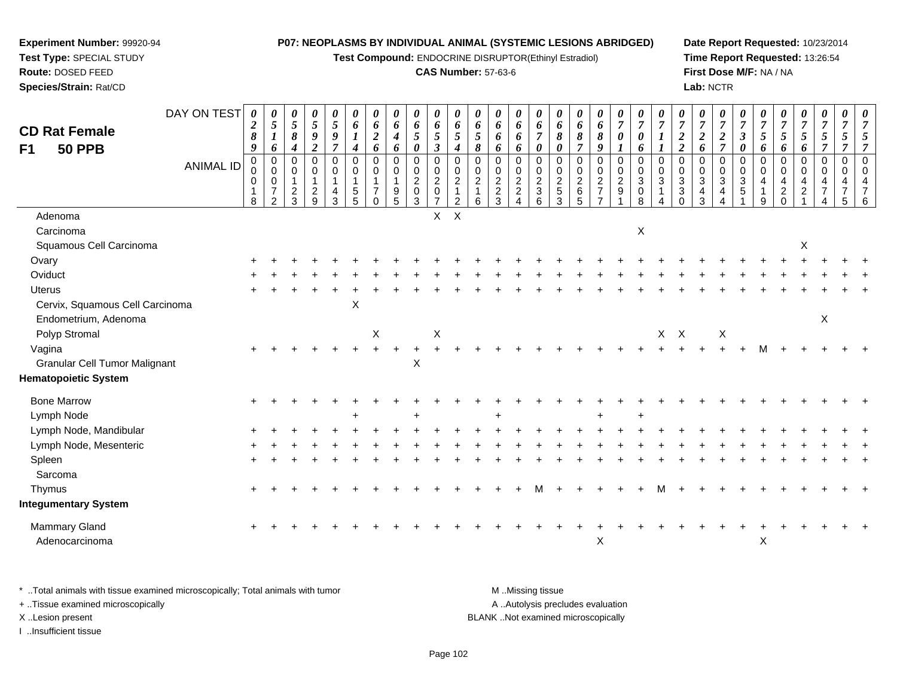**Test Compound:** ENDOCRINE DISRUPTOR(Ethinyl Estradiol)

### **CAS Number:** 57-63-6

**Date Report Requested:** 10/23/2014**Time Report Requested:** 13:26:54**First Dose M/F:** NA / NA**Lab:** NCTR

| <b>CD Rat Female</b><br>F <sub>1</sub><br><b>50 PPB</b> | DAY ON TEST      | 0<br>$\boldsymbol{2}$<br>$\pmb{8}$<br>$\boldsymbol{9}$ | 0<br>$\mathfrak{s}$<br>$\boldsymbol{l}$<br>6                            | 0<br>$\overline{5}$<br>$\pmb{8}$<br>4                       | 0<br>$5\overline{)}$<br>9<br>$\overline{2}$                    | 0<br>$\mathfrak{s}$<br>9<br>$\overline{7}$ | 0<br>6<br>$\boldsymbol{l}$<br>$\boldsymbol{4}$             | 0<br>$\pmb{6}$<br>$\boldsymbol{2}$<br>6                                 | 0<br>6<br>$\boldsymbol{4}$<br>6  | $\boldsymbol{\theta}$<br>6<br>$\mathfrak{s}$<br>$\boldsymbol{\theta}$          | 0<br>6<br>5<br>$\mathfrak{z}$                                     | 0<br>6<br>$\sqrt{5}$<br>$\boldsymbol{4}$                           | 0<br>6<br>$\mathfrak{s}$<br>8                    | 0<br>6<br>6<br>6                                                                 | 0<br>6<br>6<br>6                                                  | 0<br>6<br>$\overline{7}$<br>$\boldsymbol{\theta}$       | 0<br>6<br>8<br>$\boldsymbol{\theta}$ | 0<br>6<br>8<br>$\overline{7}$                                       | 0<br>6<br>$\pmb{8}$<br>9                            | 0<br>$\overline{7}$<br>$\boldsymbol{\theta}$<br>$\boldsymbol{\mathit{1}}$ | 0<br>$\overline{7}$<br>0<br>6                                     | $\boldsymbol{\theta}$<br>$\overline{7}$<br>$\boldsymbol{l}$<br>$\boldsymbol{l}$ | 0<br>$\overline{7}$<br>$\boldsymbol{2}$<br>$\overline{c}$ | 0<br>$\overline{7}$<br>$\overline{2}$<br>6         | 0<br>$\overline{7}$<br>$\boldsymbol{2}$<br>$\overline{\tau}$ | 0<br>$\overline{7}$<br>$\mathfrak{z}$<br>$\boldsymbol{\theta}$ | 0<br>$\overline{7}$<br>$\overline{5}$<br>6                        | 0<br>$\boldsymbol{7}$<br>$5\overline{)}$<br>6      | 0<br>$\boldsymbol{7}$<br>$5\overline{)}$<br>6                         | 0<br>$\overline{7}$<br>5<br>$\overline{7}$      | 0<br>$\overline{7}$<br>5<br>$\overline{7}$ | 0<br>$\overline{7}$<br>5<br>$\overline{7}$                          |
|---------------------------------------------------------|------------------|--------------------------------------------------------|-------------------------------------------------------------------------|-------------------------------------------------------------|----------------------------------------------------------------|--------------------------------------------|------------------------------------------------------------|-------------------------------------------------------------------------|----------------------------------|--------------------------------------------------------------------------------|-------------------------------------------------------------------|--------------------------------------------------------------------|--------------------------------------------------|----------------------------------------------------------------------------------|-------------------------------------------------------------------|---------------------------------------------------------|--------------------------------------|---------------------------------------------------------------------|-----------------------------------------------------|---------------------------------------------------------------------------|-------------------------------------------------------------------|---------------------------------------------------------------------------------|-----------------------------------------------------------|----------------------------------------------------|--------------------------------------------------------------|----------------------------------------------------------------|-------------------------------------------------------------------|----------------------------------------------------|-----------------------------------------------------------------------|-------------------------------------------------|--------------------------------------------|---------------------------------------------------------------------|
|                                                         | <b>ANIMAL ID</b> | $\pmb{0}$<br>0<br>$\mathbf 0$<br>$\overline{1}$<br>8   | $\pmb{0}$<br>$\pmb{0}$<br>$\pmb{0}$<br>$\overline{7}$<br>$\overline{2}$ | $\mathbf 0$<br>$\mathbf 0$<br>$\mathbf{1}$<br>$\frac{2}{3}$ | $\pmb{0}$<br>$\boldsymbol{0}$<br>$\mathbf{1}$<br>$\frac{2}{9}$ | 0<br>$\pmb{0}$<br>$\mathbf{1}$<br>4<br>3   | $\mathbf 0$<br>$\mathbf 0$<br>$\sqrt{5}$<br>$\overline{5}$ | $\pmb{0}$<br>$\pmb{0}$<br>$\mathbf{1}$<br>$\overline{7}$<br>$\mathbf 0$ | 0<br>0<br>$\mathbf{1}$<br>9<br>5 | $\boldsymbol{0}$<br>$\pmb{0}$<br>$\overline{2}$<br>$\mathbf 0$<br>$\mathbf{3}$ | $\mathbf 0$<br>0<br>$\overline{c}$<br>$\pmb{0}$<br>$\overline{7}$ | 0<br>$\pmb{0}$<br>$\overline{2}$<br>$\mathbf{1}$<br>$\overline{2}$ | $\Omega$<br>$\mathbf 0$<br>$\boldsymbol{2}$<br>6 | $\mathbf 0$<br>$\mathbf 0$<br>$\overline{2}$<br>$\boldsymbol{2}$<br>$\mathbf{3}$ | $\mathbf 0$<br>$\pmb{0}$<br>$\overline{2}$<br>$\overline{2}$<br>4 | $\mathbf 0$<br>0<br>$\overline{2}$<br>$\mathbf{3}$<br>6 | 0<br>$\pmb{0}$<br>$\frac{2}{5}$<br>3 | $\mathsf 0$<br>$\mathbf 0$<br>$\overline{a}$<br>6<br>$\overline{5}$ | 0<br>$\mathbf 0$<br>$\frac{2}{7}$<br>$\overline{7}$ | $\mathbf 0$<br>$\pmb{0}$<br>$\frac{2}{9}$                                 | 0<br>$\mathbf 0$<br>$\ensuremath{\mathsf{3}}$<br>$\mathbf 0$<br>8 | $\mathbf 0$<br>$\mathbf 0$<br>$\mathbf{3}$                                      | $\Omega$<br>0<br>$\mathbf{3}$<br>3<br>$\Omega$            | $\mathbf 0$<br>$\pmb{0}$<br>$\mathbf{3}$<br>4<br>3 | $\mathbf 0$<br>$\pmb{0}$<br>$\sqrt{3}$<br>4                  | $\mathbf 0$<br>$\mathbf 0$<br>$\sqrt{3}$<br>5                  | $\mathbf 0$<br>$\mathbf 0$<br>$\overline{4}$<br>$\mathbf{1}$<br>9 | 0<br>$\mathbf 0$<br>$\overline{4}$<br>$^2_{\rm 0}$ | $\,0\,$<br>$\mathbf 0$<br>$\overline{\mathbf{4}}$<br>$\boldsymbol{2}$ | $\pmb{0}$<br>$\mathsf 0$<br>4<br>$\overline{7}$ | 0<br>0<br>4<br>$\overline{7}$<br>5         | $\mathbf 0$<br>$\mathbf 0$<br>$\overline{A}$<br>$\overline{7}$<br>6 |
| Adenoma                                                 |                  |                                                        |                                                                         |                                                             |                                                                |                                            |                                                            |                                                                         |                                  |                                                                                | X                                                                 | $\mathsf{X}$                                                       |                                                  |                                                                                  |                                                                   |                                                         |                                      |                                                                     |                                                     |                                                                           |                                                                   |                                                                                 |                                                           |                                                    |                                                              |                                                                |                                                                   |                                                    |                                                                       |                                                 |                                            |                                                                     |
| Carcinoma                                               |                  |                                                        |                                                                         |                                                             |                                                                |                                            |                                                            |                                                                         |                                  |                                                                                |                                                                   |                                                                    |                                                  |                                                                                  |                                                                   |                                                         |                                      |                                                                     |                                                     |                                                                           | X                                                                 |                                                                                 |                                                           |                                                    |                                                              |                                                                |                                                                   |                                                    |                                                                       |                                                 |                                            |                                                                     |
| Squamous Cell Carcinoma                                 |                  |                                                        |                                                                         |                                                             |                                                                |                                            |                                                            |                                                                         |                                  |                                                                                |                                                                   |                                                                    |                                                  |                                                                                  |                                                                   |                                                         |                                      |                                                                     |                                                     |                                                                           |                                                                   |                                                                                 |                                                           |                                                    |                                                              |                                                                |                                                                   |                                                    | X                                                                     |                                                 |                                            |                                                                     |
| Ovary                                                   |                  |                                                        |                                                                         |                                                             |                                                                |                                            |                                                            |                                                                         |                                  |                                                                                |                                                                   |                                                                    |                                                  |                                                                                  |                                                                   |                                                         |                                      |                                                                     |                                                     |                                                                           |                                                                   |                                                                                 |                                                           |                                                    |                                                              |                                                                |                                                                   |                                                    |                                                                       |                                                 |                                            |                                                                     |
| Oviduct                                                 |                  |                                                        |                                                                         |                                                             |                                                                |                                            |                                                            |                                                                         |                                  |                                                                                |                                                                   |                                                                    |                                                  |                                                                                  |                                                                   |                                                         |                                      |                                                                     |                                                     |                                                                           |                                                                   |                                                                                 |                                                           |                                                    |                                                              |                                                                |                                                                   |                                                    |                                                                       |                                                 |                                            |                                                                     |
| <b>Uterus</b>                                           |                  |                                                        |                                                                         |                                                             |                                                                |                                            |                                                            |                                                                         |                                  |                                                                                |                                                                   |                                                                    |                                                  |                                                                                  |                                                                   |                                                         |                                      |                                                                     |                                                     |                                                                           |                                                                   |                                                                                 |                                                           |                                                    |                                                              |                                                                |                                                                   |                                                    |                                                                       |                                                 |                                            |                                                                     |
| Cervix, Squamous Cell Carcinoma                         |                  |                                                        |                                                                         |                                                             |                                                                |                                            | X                                                          |                                                                         |                                  |                                                                                |                                                                   |                                                                    |                                                  |                                                                                  |                                                                   |                                                         |                                      |                                                                     |                                                     |                                                                           |                                                                   |                                                                                 |                                                           |                                                    |                                                              |                                                                |                                                                   |                                                    |                                                                       |                                                 |                                            |                                                                     |
| Endometrium, Adenoma                                    |                  |                                                        |                                                                         |                                                             |                                                                |                                            |                                                            |                                                                         |                                  |                                                                                |                                                                   |                                                                    |                                                  |                                                                                  |                                                                   |                                                         |                                      |                                                                     |                                                     |                                                                           |                                                                   |                                                                                 |                                                           |                                                    |                                                              |                                                                |                                                                   |                                                    |                                                                       | X                                               |                                            |                                                                     |
| Polyp Stromal                                           |                  |                                                        |                                                                         |                                                             |                                                                |                                            |                                                            | X                                                                       |                                  |                                                                                | X                                                                 |                                                                    |                                                  |                                                                                  |                                                                   |                                                         |                                      |                                                                     |                                                     |                                                                           |                                                                   | $X$ $X$                                                                         |                                                           |                                                    | X                                                            |                                                                |                                                                   |                                                    |                                                                       |                                                 |                                            |                                                                     |
| Vagina                                                  |                  |                                                        |                                                                         |                                                             |                                                                |                                            |                                                            |                                                                         | $\ddot{}$                        |                                                                                |                                                                   |                                                                    |                                                  |                                                                                  |                                                                   |                                                         |                                      |                                                                     |                                                     |                                                                           |                                                                   |                                                                                 |                                                           |                                                    |                                                              |                                                                | М                                                                 |                                                    |                                                                       |                                                 |                                            |                                                                     |
| <b>Granular Cell Tumor Malignant</b>                    |                  |                                                        |                                                                         |                                                             |                                                                |                                            |                                                            |                                                                         |                                  | X                                                                              |                                                                   |                                                                    |                                                  |                                                                                  |                                                                   |                                                         |                                      |                                                                     |                                                     |                                                                           |                                                                   |                                                                                 |                                                           |                                                    |                                                              |                                                                |                                                                   |                                                    |                                                                       |                                                 |                                            |                                                                     |
| <b>Hematopoietic System</b>                             |                  |                                                        |                                                                         |                                                             |                                                                |                                            |                                                            |                                                                         |                                  |                                                                                |                                                                   |                                                                    |                                                  |                                                                                  |                                                                   |                                                         |                                      |                                                                     |                                                     |                                                                           |                                                                   |                                                                                 |                                                           |                                                    |                                                              |                                                                |                                                                   |                                                    |                                                                       |                                                 |                                            |                                                                     |
| <b>Bone Marrow</b>                                      |                  |                                                        |                                                                         |                                                             |                                                                |                                            |                                                            |                                                                         |                                  |                                                                                |                                                                   |                                                                    |                                                  |                                                                                  |                                                                   |                                                         |                                      |                                                                     |                                                     |                                                                           |                                                                   |                                                                                 |                                                           |                                                    |                                                              |                                                                |                                                                   |                                                    |                                                                       |                                                 |                                            |                                                                     |
| Lymph Node                                              |                  |                                                        |                                                                         |                                                             |                                                                |                                            |                                                            |                                                                         |                                  |                                                                                |                                                                   |                                                                    |                                                  |                                                                                  |                                                                   |                                                         |                                      |                                                                     | $\div$                                              |                                                                           | ÷                                                                 |                                                                                 |                                                           |                                                    |                                                              |                                                                |                                                                   |                                                    |                                                                       |                                                 |                                            |                                                                     |
| Lymph Node, Mandibular                                  |                  |                                                        |                                                                         |                                                             |                                                                |                                            |                                                            |                                                                         |                                  |                                                                                |                                                                   |                                                                    |                                                  |                                                                                  |                                                                   |                                                         |                                      |                                                                     |                                                     |                                                                           |                                                                   |                                                                                 |                                                           |                                                    |                                                              |                                                                |                                                                   |                                                    |                                                                       |                                                 |                                            |                                                                     |
| Lymph Node, Mesenteric                                  |                  |                                                        |                                                                         |                                                             |                                                                |                                            |                                                            |                                                                         |                                  |                                                                                |                                                                   |                                                                    |                                                  |                                                                                  |                                                                   |                                                         |                                      |                                                                     |                                                     |                                                                           |                                                                   |                                                                                 |                                                           |                                                    |                                                              |                                                                |                                                                   |                                                    |                                                                       |                                                 |                                            |                                                                     |
| Spleen                                                  |                  |                                                        |                                                                         |                                                             |                                                                |                                            |                                                            |                                                                         |                                  |                                                                                |                                                                   |                                                                    |                                                  |                                                                                  |                                                                   |                                                         |                                      |                                                                     |                                                     |                                                                           |                                                                   |                                                                                 |                                                           |                                                    |                                                              |                                                                |                                                                   |                                                    |                                                                       |                                                 |                                            |                                                                     |
| Sarcoma                                                 |                  |                                                        |                                                                         |                                                             |                                                                |                                            |                                                            |                                                                         |                                  |                                                                                |                                                                   |                                                                    |                                                  |                                                                                  |                                                                   |                                                         |                                      |                                                                     |                                                     |                                                                           |                                                                   |                                                                                 |                                                           |                                                    |                                                              |                                                                |                                                                   |                                                    |                                                                       |                                                 |                                            |                                                                     |
| Thymus                                                  |                  |                                                        |                                                                         |                                                             |                                                                |                                            |                                                            |                                                                         |                                  |                                                                                |                                                                   |                                                                    |                                                  |                                                                                  |                                                                   |                                                         |                                      |                                                                     |                                                     |                                                                           |                                                                   |                                                                                 |                                                           |                                                    |                                                              |                                                                |                                                                   |                                                    |                                                                       |                                                 |                                            |                                                                     |
| <b>Integumentary System</b>                             |                  |                                                        |                                                                         |                                                             |                                                                |                                            |                                                            |                                                                         |                                  |                                                                                |                                                                   |                                                                    |                                                  |                                                                                  |                                                                   |                                                         |                                      |                                                                     |                                                     |                                                                           |                                                                   |                                                                                 |                                                           |                                                    |                                                              |                                                                |                                                                   |                                                    |                                                                       |                                                 |                                            |                                                                     |
| Mammary Gland                                           |                  |                                                        |                                                                         |                                                             |                                                                |                                            |                                                            |                                                                         |                                  |                                                                                |                                                                   |                                                                    |                                                  |                                                                                  |                                                                   |                                                         |                                      |                                                                     |                                                     |                                                                           |                                                                   |                                                                                 |                                                           |                                                    |                                                              |                                                                |                                                                   |                                                    |                                                                       |                                                 |                                            |                                                                     |
| Adenocarcinoma                                          |                  |                                                        |                                                                         |                                                             |                                                                |                                            |                                                            |                                                                         |                                  |                                                                                |                                                                   |                                                                    |                                                  |                                                                                  |                                                                   |                                                         |                                      |                                                                     | X                                                   |                                                                           |                                                                   |                                                                                 |                                                           |                                                    |                                                              |                                                                | X                                                                 |                                                    |                                                                       |                                                 |                                            |                                                                     |

\* ..Total animals with tissue examined microscopically; Total animals with tumor **M** . Missing tissue M ..Missing tissue A ..Autolysis precludes evaluation + ..Tissue examined microscopically X ..Lesion present BLANK ..Not examined microscopicallyI ..Insufficient tissue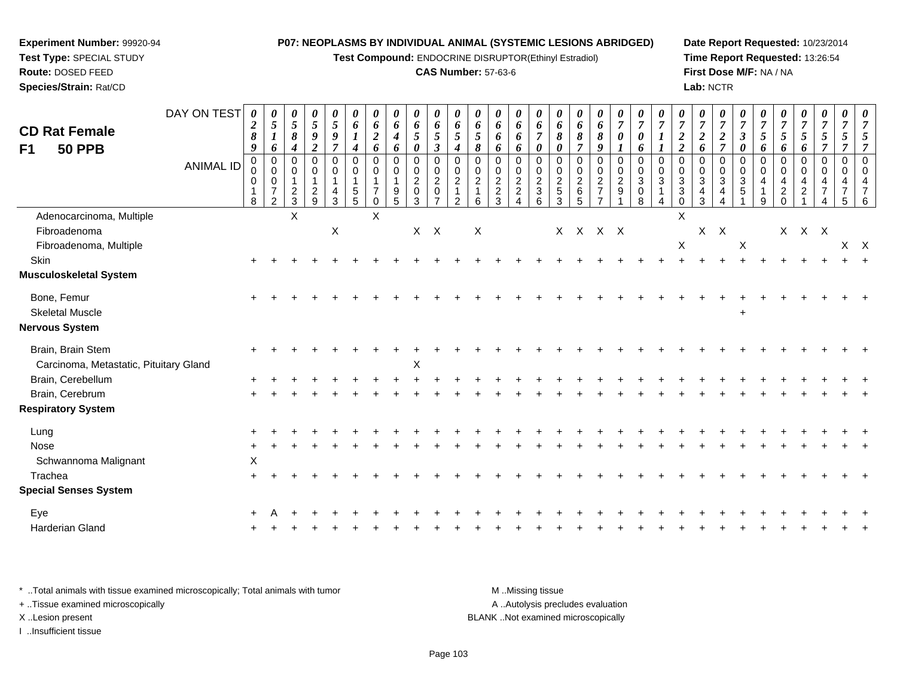**Test Compound:** ENDOCRINE DISRUPTOR(Ethinyl Estradiol)

#### **CAS Number:** 57-63-6

**Date Report Requested:** 10/23/2014**Time Report Requested:** 13:26:54**First Dose M/F:** NA / NA**Lab:** NCTR

| <b>CD Rat Female</b>                                        | DAY ON TEST      | 0<br>$\boldsymbol{2}$   | $\boldsymbol{\theta}$<br>$\sqrt{5}$                                        | 0<br>$\overline{5}$                            | 0<br>$5\overline{)}$                           | 0<br>5                                  | $\boldsymbol{\theta}$<br>6           | 0<br>6                            | 0<br>6                                         | $\boldsymbol{\theta}$<br>6                                 | 0<br>6                                          | $\boldsymbol{\theta}$<br>6                                        | 0<br>6                           | 0<br>6                                           | $\boldsymbol{\theta}$<br>6               | $\boldsymbol{\theta}$<br>6                    | $\boldsymbol{\theta}$<br>6               | $\boldsymbol{\theta}$<br>6                       | 0<br>6                                                     | 0<br>$\overline{7}$                                                       | $\boldsymbol{\theta}$<br>$\overline{7}$ | $\theta$<br>$\overline{7}$                    | $\overline{7}$                                   | 0<br>$\overline{7}$                                 | 0<br>$\overline{7}$                                            | $\boldsymbol{\theta}$<br>$\overline{7}$       | $\overline{7}$               | $\boldsymbol{\theta}$<br>$\overline{7}$       | 0<br>$\overline{7}$                     | 0<br>$\overline{7}$                                              | 0<br>$\overline{7}$               |          |
|-------------------------------------------------------------|------------------|-------------------------|----------------------------------------------------------------------------|------------------------------------------------|------------------------------------------------|-----------------------------------------|--------------------------------------|-----------------------------------|------------------------------------------------|------------------------------------------------------------|-------------------------------------------------|-------------------------------------------------------------------|----------------------------------|--------------------------------------------------|------------------------------------------|-----------------------------------------------|------------------------------------------|--------------------------------------------------|------------------------------------------------------------|---------------------------------------------------------------------------|-----------------------------------------|-----------------------------------------------|--------------------------------------------------|-----------------------------------------------------|----------------------------------------------------------------|-----------------------------------------------|------------------------------|-----------------------------------------------|-----------------------------------------|------------------------------------------------------------------|-----------------------------------|----------|
| <b>50 PPB</b><br>F1                                         |                  | $\pmb{8}$<br>9          | $\boldsymbol{l}$<br>6                                                      | $\pmb{8}$<br>$\boldsymbol{4}$                  | 9<br>$\overline{2}$                            | 9<br>$\mathcal{I}$                      | $\boldsymbol{l}$<br>$\boldsymbol{4}$ | $\boldsymbol{2}$<br>6             | $\boldsymbol{4}$<br>6                          | $5\overline{)}$<br>$\boldsymbol{\theta}$                   | 5<br>$\boldsymbol{\beta}$                       | $\sqrt{5}$<br>$\boldsymbol{4}$                                    | 5<br>8                           | 6<br>6                                           | 6<br>6                                   | $\overline{7}$<br>0                           | 8<br>0                                   | 8<br>7                                           | 8<br>9                                                     | $\boldsymbol{\theta}$<br>$\boldsymbol{\mathit{1}}$                        | $\boldsymbol{\theta}$<br>6              | $\boldsymbol{l}$<br>$\boldsymbol{\mathit{1}}$ | $\boldsymbol{2}$<br>$\overline{2}$               | $\overline{2}$<br>6                                 | $\boldsymbol{2}$<br>$\overline{7}$                             | $\boldsymbol{\beta}$<br>$\boldsymbol{\theta}$ | $\sqrt{5}$<br>6              | 5<br>6                                        | 5<br>6                                  | 5<br>$\overline{7}$                                              | $\overline{5}$<br>7               | 7        |
|                                                             | <b>ANIMAL ID</b> | $\Omega$<br>0<br>0<br>8 | $\Omega$<br>$\mathbf 0$<br>$\mathbf 0$<br>$\overline{7}$<br>$\overline{2}$ | $\Omega$<br>0<br>$\mathbf{1}$<br>$\frac{2}{3}$ | $\Omega$<br>0<br>$\mathbf{1}$<br>$\frac{2}{9}$ | $\Omega$<br>0<br>$\mathbf{1}$<br>4<br>3 | $\Omega$<br>0<br>$\frac{5}{5}$       | $\Omega$<br>0<br>7<br>$\mathbf 0$ | $\Omega$<br>0<br>$\mathbf{1}$<br>$\frac{9}{5}$ | $\Omega$<br>$\mathbf 0$<br>$\overline{c}$<br>$\frac{0}{3}$ | $\Omega$<br>0<br>$^2_{\rm 0}$<br>$\overline{7}$ | $\Omega$<br>0<br>$\overline{c}$<br>$\mathbf{1}$<br>$\overline{2}$ | $\Omega$<br>0<br>$\sqrt{2}$<br>6 | $\Omega$<br>0<br>$\overline{c}$<br>$\frac{2}{3}$ | $\Omega$<br>$\mathbf 0$<br>$\frac{2}{2}$ | $\Omega$<br>$\mathbf 0$<br>$\frac{2}{3}$<br>6 | $\Omega$<br>$\mathbf 0$<br>$\frac{2}{3}$ | $\Omega$<br>0<br>$\overline{c}$<br>$\frac{6}{5}$ | $\Omega$<br>$\mathbf 0$<br>$\frac{2}{7}$<br>$\overline{7}$ | $\Omega$<br>$\mathbf 0$<br>$\sqrt{2}$<br>$\boldsymbol{9}$<br>$\mathbf{1}$ | $\Omega$<br>$\mathbf 0$<br>3<br>0<br>8  | $\Omega$<br>$\Omega$<br>3                     | $\Omega$<br>0<br>3<br>$\overline{3}$<br>$\Omega$ | $\Omega$<br>$\mathbf 0$<br>3<br>$\overline{4}$<br>3 | $\Omega$<br>$\mathbf 0$<br>$\mathbf{3}$<br>4<br>$\overline{4}$ | $\Omega$<br>0<br>3<br>5                       | $\Omega$<br>$\mathbf 0$<br>9 | $\Omega$<br>$\mathbf 0$<br>4<br>$\frac{2}{0}$ | 0<br>$\mathbf 0$<br>4<br>$\overline{2}$ | $\Omega$<br>$\mathbf 0$<br>$\overline{4}$<br>7<br>$\overline{4}$ | $\Omega$<br>$\mathbf 0$<br>7<br>5 | $\Omega$ |
| Adenocarcinoma, Multiple                                    |                  |                         |                                                                            | X                                              |                                                |                                         |                                      | $\times$                          |                                                |                                                            |                                                 |                                                                   |                                  |                                                  |                                          |                                               |                                          |                                                  |                                                            |                                                                           |                                         |                                               | X                                                |                                                     |                                                                |                                               |                              |                                               |                                         |                                                                  |                                   |          |
| Fibroadenoma                                                |                  |                         |                                                                            |                                                |                                                | $\boldsymbol{\mathsf{X}}$               |                                      |                                   |                                                |                                                            | $X$ $X$                                         |                                                                   | $\boldsymbol{\mathsf{X}}$        |                                                  |                                          |                                               |                                          | X X X X                                          |                                                            |                                                                           |                                         |                                               |                                                  |                                                     | $X$ $X$                                                        |                                               |                              |                                               | X X X                                   |                                                                  |                                   |          |
| Fibroadenoma, Multiple                                      |                  |                         |                                                                            |                                                |                                                |                                         |                                      |                                   |                                                |                                                            |                                                 |                                                                   |                                  |                                                  |                                          |                                               |                                          |                                                  |                                                            |                                                                           |                                         |                                               | $\mathsf X$                                      |                                                     |                                                                | $\mathsf X$                                   |                              |                                               |                                         |                                                                  | $X$ $X$                           |          |
| Skin                                                        |                  |                         |                                                                            |                                                |                                                |                                         |                                      |                                   |                                                |                                                            |                                                 |                                                                   |                                  |                                                  |                                          |                                               |                                          |                                                  |                                                            |                                                                           |                                         |                                               |                                                  |                                                     |                                                                |                                               |                              |                                               |                                         |                                                                  |                                   |          |
| Musculoskeletal System                                      |                  |                         |                                                                            |                                                |                                                |                                         |                                      |                                   |                                                |                                                            |                                                 |                                                                   |                                  |                                                  |                                          |                                               |                                          |                                                  |                                                            |                                                                           |                                         |                                               |                                                  |                                                     |                                                                |                                               |                              |                                               |                                         |                                                                  |                                   |          |
| Bone, Femur<br><b>Skeletal Muscle</b>                       |                  |                         |                                                                            |                                                |                                                |                                         |                                      |                                   |                                                |                                                            |                                                 |                                                                   |                                  |                                                  |                                          |                                               |                                          |                                                  |                                                            |                                                                           |                                         |                                               |                                                  |                                                     |                                                                |                                               |                              |                                               |                                         |                                                                  |                                   |          |
| Nervous System                                              |                  |                         |                                                                            |                                                |                                                |                                         |                                      |                                   |                                                |                                                            |                                                 |                                                                   |                                  |                                                  |                                          |                                               |                                          |                                                  |                                                            |                                                                           |                                         |                                               |                                                  |                                                     |                                                                | $\ddot{}$                                     |                              |                                               |                                         |                                                                  |                                   |          |
| Brain, Brain Stem<br>Carcinoma, Metastatic, Pituitary Gland |                  |                         |                                                                            |                                                |                                                |                                         |                                      |                                   |                                                | X                                                          |                                                 |                                                                   |                                  |                                                  |                                          |                                               |                                          |                                                  |                                                            |                                                                           |                                         |                                               |                                                  |                                                     |                                                                |                                               |                              |                                               |                                         |                                                                  |                                   |          |
| Brain, Cerebellum                                           |                  |                         |                                                                            |                                                |                                                |                                         |                                      |                                   |                                                |                                                            |                                                 |                                                                   |                                  |                                                  |                                          |                                               |                                          |                                                  |                                                            |                                                                           |                                         |                                               |                                                  |                                                     |                                                                |                                               |                              |                                               |                                         |                                                                  |                                   |          |
| Brain, Cerebrum                                             |                  |                         |                                                                            |                                                |                                                |                                         |                                      |                                   |                                                |                                                            |                                                 |                                                                   |                                  |                                                  |                                          |                                               |                                          |                                                  |                                                            |                                                                           |                                         |                                               |                                                  |                                                     |                                                                |                                               |                              |                                               |                                         |                                                                  |                                   |          |
| <b>Respiratory System</b>                                   |                  |                         |                                                                            |                                                |                                                |                                         |                                      |                                   |                                                |                                                            |                                                 |                                                                   |                                  |                                                  |                                          |                                               |                                          |                                                  |                                                            |                                                                           |                                         |                                               |                                                  |                                                     |                                                                |                                               |                              |                                               |                                         |                                                                  |                                   |          |
| Lung                                                        |                  |                         |                                                                            |                                                |                                                |                                         |                                      |                                   |                                                |                                                            |                                                 |                                                                   |                                  |                                                  |                                          |                                               |                                          |                                                  |                                                            |                                                                           |                                         |                                               |                                                  |                                                     |                                                                |                                               |                              |                                               |                                         |                                                                  |                                   |          |
| Nose                                                        |                  |                         |                                                                            |                                                |                                                |                                         |                                      |                                   |                                                |                                                            |                                                 |                                                                   |                                  |                                                  |                                          |                                               |                                          |                                                  |                                                            |                                                                           |                                         |                                               |                                                  |                                                     |                                                                |                                               |                              |                                               |                                         |                                                                  |                                   |          |
| Schwannoma Malignant                                        |                  | X                       |                                                                            |                                                |                                                |                                         |                                      |                                   |                                                |                                                            |                                                 |                                                                   |                                  |                                                  |                                          |                                               |                                          |                                                  |                                                            |                                                                           |                                         |                                               |                                                  |                                                     |                                                                |                                               |                              |                                               |                                         |                                                                  |                                   |          |
| Trachea                                                     |                  |                         |                                                                            |                                                |                                                |                                         |                                      |                                   |                                                |                                                            |                                                 |                                                                   |                                  |                                                  |                                          |                                               |                                          |                                                  |                                                            |                                                                           |                                         |                                               |                                                  |                                                     |                                                                |                                               |                              |                                               |                                         |                                                                  |                                   |          |
| <b>Special Senses System</b>                                |                  |                         |                                                                            |                                                |                                                |                                         |                                      |                                   |                                                |                                                            |                                                 |                                                                   |                                  |                                                  |                                          |                                               |                                          |                                                  |                                                            |                                                                           |                                         |                                               |                                                  |                                                     |                                                                |                                               |                              |                                               |                                         |                                                                  |                                   |          |
| Eye                                                         |                  |                         |                                                                            |                                                |                                                |                                         |                                      |                                   |                                                |                                                            |                                                 |                                                                   |                                  |                                                  |                                          |                                               |                                          |                                                  |                                                            |                                                                           |                                         |                                               |                                                  |                                                     |                                                                |                                               |                              |                                               |                                         |                                                                  |                                   |          |
| <b>Harderian Gland</b>                                      |                  |                         |                                                                            |                                                |                                                |                                         |                                      |                                   |                                                |                                                            |                                                 |                                                                   |                                  |                                                  |                                          |                                               |                                          |                                                  |                                                            |                                                                           |                                         |                                               |                                                  |                                                     |                                                                |                                               |                              |                                               |                                         |                                                                  |                                   |          |
|                                                             |                  |                         |                                                                            |                                                |                                                |                                         |                                      |                                   |                                                |                                                            |                                                 |                                                                   |                                  |                                                  |                                          |                                               |                                          |                                                  |                                                            |                                                                           |                                         |                                               |                                                  |                                                     |                                                                |                                               |                              |                                               |                                         |                                                                  |                                   |          |

\* ..Total animals with tissue examined microscopically; Total animals with tumor **M** . Missing tissue M ..Missing tissue A ..Autolysis precludes evaluation + ..Tissue examined microscopically X ..Lesion present BLANK ..Not examined microscopicallyI ..Insufficient tissue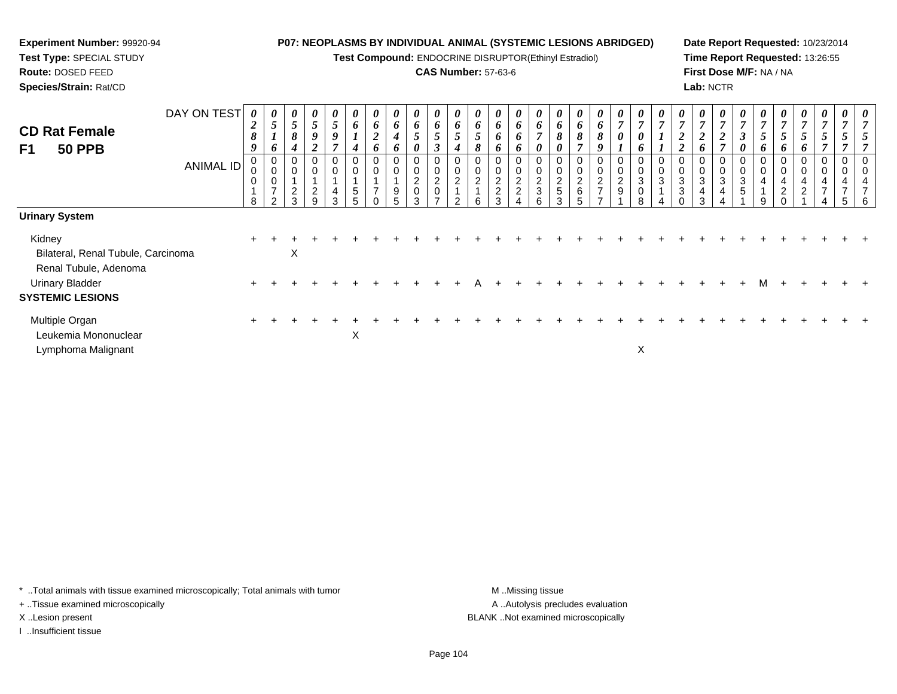**Test Compound:** ENDOCRINE DISRUPTOR(Ethinyl Estradiol)

## **CAS Number:** 57-63-6

**Date Report Requested:** 10/23/2014**Time Report Requested:** 13:26:55**First Dose M/F:** NA / NA**Lab:** NCTR

| <b>CD Rat Female</b><br>F1<br><b>50 PPB</b> | DAY ON TEST<br>ANIMAL ID | 0<br>$\boldsymbol{2}$<br>8<br>9<br>$\mathbf 0$<br>0<br>$\pmb{0}$ | $\overline{5}$<br>$\overline{ }$<br>6<br>$\pmb{0}$<br>$\pmb{0}$<br>$\pmb{0}$<br>$\overline{7}$ | 0<br>$5\overline{)}$<br>8<br>4<br>$\overline{a}$ | 0<br>$5\phantom{.0}$<br>$\boldsymbol{g}$<br>∠<br>$\mathsf 0$<br>$\overline{c}$ | 0<br>$\mathfrak{H}$<br>9<br>0<br>0<br>4 | 6<br>$\mathbf{I}$<br>4<br>0<br>$\pmb{0}$<br>$\,$ 5 $\,$ | 6<br>$\boldsymbol{2}$<br>6<br>0<br>$\mathbf 0$<br>$\overline{7}$ | 0<br>6<br>4<br>6<br>0<br>9 | 0<br>6<br>$5\phantom{.0}$<br>0<br>$\pmb{0}$<br>$^2_{\rm 0}$ | 0<br>6<br>$5\overline{)}$<br>0<br>0<br>$\overline{2}$<br>$\mathbf 0$ | 0<br>6<br>$\overline{5}$<br>4<br>0<br>$\pmb{0}$<br>$\overline{2}$ | 6<br>$\overline{5}$<br>8<br>$\mathbf 0$<br>$\overline{2}$<br>$\mathbf{1}$ | 0<br>6<br>6<br>o<br>$\Omega$<br>$\overline{c}$<br>$\overline{2}$ | 0<br>6<br>6<br>o<br>$\pmb{0}$<br>$\frac{2}{2}$ | $\boldsymbol{\theta}$<br>6<br>$\overline{ }$<br>$\boldsymbol{\theta}$<br>0<br>$\mathbf 0$<br>$\frac{2}{3}$ | $\boldsymbol{\theta}$<br>6<br>8<br>0<br>0<br>$\pmb{0}$<br>$\frac{2}{5}$ | 6<br>8<br>7<br>0<br>$\mathbf 0$<br>$\frac{2}{6}$ | 0<br>6<br>8<br>Q<br>0<br>$\overline{c}$<br>$\overline{ }$ | 0<br>$\overline{7}$<br>0<br>$\pmb{0}$<br>$\frac{2}{9}$ | $\boldsymbol{\theta}$<br>$\overline{ }$<br>0<br>0<br>0<br>0<br>$\sqrt{3}$<br>$\mathbf 0$ | 0<br>$\overline{7}$<br>0<br>$\pmb{0}$<br>$\mathbf{3}$ | $\overline{7}$<br>$\boldsymbol{2}$<br>$\overline{2}$<br>0<br>$\mathbf 0$<br>$\mathbf{3}$<br>3 | 0<br>$\mathbf{r}$<br>$\mathbf{\Omega}$<br>6<br>3<br>4 | 0<br>$\overline{7}$<br><u>ีว</u><br>◢<br>0<br>$\pmb{0}$<br>$\ensuremath{\mathsf{3}}$<br>4 | $\boldsymbol{\theta}$<br>$\overline{ }$<br>$\boldsymbol{\beta}$<br>0<br>0<br>0<br>$\ensuremath{\mathsf{3}}$<br>$\sqrt{5}$ | $\overline{ }$<br>$\overline{5}$<br>6<br>0<br>$\pmb{0}$<br>4 | 7<br>5<br>6<br>$\mathbf 0$<br>$\overline{4}$<br>$\sqrt{2}$ | $\boldsymbol{\theta}$<br>$\overline{7}$<br>$5\overline{)}$<br>6<br>0<br>4<br>2 | 0<br>$\overline{7}$<br>$\mathfrak{s}$<br>4<br>$\overline{ }$ | 0 |  |
|---------------------------------------------|--------------------------|------------------------------------------------------------------|------------------------------------------------------------------------------------------------|--------------------------------------------------|--------------------------------------------------------------------------------|-----------------------------------------|---------------------------------------------------------|------------------------------------------------------------------|----------------------------|-------------------------------------------------------------|----------------------------------------------------------------------|-------------------------------------------------------------------|---------------------------------------------------------------------------|------------------------------------------------------------------|------------------------------------------------|------------------------------------------------------------------------------------------------------------|-------------------------------------------------------------------------|--------------------------------------------------|-----------------------------------------------------------|--------------------------------------------------------|------------------------------------------------------------------------------------------|-------------------------------------------------------|-----------------------------------------------------------------------------------------------|-------------------------------------------------------|-------------------------------------------------------------------------------------------|---------------------------------------------------------------------------------------------------------------------------|--------------------------------------------------------------|------------------------------------------------------------|--------------------------------------------------------------------------------|--------------------------------------------------------------|---|--|
|                                             |                          | 8                                                                | $\overline{2}$                                                                                 | 3                                                | 9                                                                              | 3                                       | 5                                                       |                                                                  | 5.                         | 3                                                           |                                                                      | $\mathcal{P}$                                                     | 6                                                                         | ર                                                                |                                                | 6                                                                                                          | $\mathcal{R}$                                                           | 5                                                |                                                           |                                                        | 8                                                                                        |                                                       |                                                                                               | ર                                                     |                                                                                           |                                                                                                                           | 9                                                            |                                                            |                                                                                |                                                              | 5 |  |
| <b>Urinary System</b>                       |                          |                                                                  |                                                                                                |                                                  |                                                                                |                                         |                                                         |                                                                  |                            |                                                             |                                                                      |                                                                   |                                                                           |                                                                  |                                                |                                                                                                            |                                                                         |                                                  |                                                           |                                                        |                                                                                          |                                                       |                                                                                               |                                                       |                                                                                           |                                                                                                                           |                                                              |                                                            |                                                                                |                                                              |   |  |
| Kidney                                      |                          |                                                                  |                                                                                                |                                                  |                                                                                |                                         |                                                         |                                                                  |                            |                                                             |                                                                      |                                                                   |                                                                           |                                                                  |                                                |                                                                                                            |                                                                         |                                                  |                                                           |                                                        |                                                                                          |                                                       |                                                                                               |                                                       |                                                                                           |                                                                                                                           |                                                              |                                                            |                                                                                |                                                              |   |  |
| Bilateral, Renal Tubule, Carcinoma          |                          |                                                                  |                                                                                                | X                                                |                                                                                |                                         |                                                         |                                                                  |                            |                                                             |                                                                      |                                                                   |                                                                           |                                                                  |                                                |                                                                                                            |                                                                         |                                                  |                                                           |                                                        |                                                                                          |                                                       |                                                                                               |                                                       |                                                                                           |                                                                                                                           |                                                              |                                                            |                                                                                |                                                              |   |  |
| Renal Tubule, Adenoma                       |                          |                                                                  |                                                                                                |                                                  |                                                                                |                                         |                                                         |                                                                  |                            |                                                             |                                                                      |                                                                   |                                                                           |                                                                  |                                                |                                                                                                            |                                                                         |                                                  |                                                           |                                                        |                                                                                          |                                                       |                                                                                               |                                                       |                                                                                           |                                                                                                                           |                                                              |                                                            |                                                                                |                                                              |   |  |
| <b>Urinary Bladder</b>                      |                          |                                                                  |                                                                                                |                                                  |                                                                                |                                         |                                                         |                                                                  |                            |                                                             |                                                                      |                                                                   |                                                                           |                                                                  |                                                |                                                                                                            |                                                                         |                                                  |                                                           |                                                        |                                                                                          |                                                       |                                                                                               |                                                       |                                                                                           |                                                                                                                           |                                                              |                                                            |                                                                                |                                                              |   |  |
| <b>SYSTEMIC LESIONS</b>                     |                          |                                                                  |                                                                                                |                                                  |                                                                                |                                         |                                                         |                                                                  |                            |                                                             |                                                                      |                                                                   |                                                                           |                                                                  |                                                |                                                                                                            |                                                                         |                                                  |                                                           |                                                        |                                                                                          |                                                       |                                                                                               |                                                       |                                                                                           |                                                                                                                           |                                                              |                                                            |                                                                                |                                                              |   |  |
| Multiple Organ                              |                          |                                                                  |                                                                                                |                                                  |                                                                                |                                         |                                                         |                                                                  |                            |                                                             |                                                                      |                                                                   |                                                                           |                                                                  |                                                |                                                                                                            |                                                                         |                                                  |                                                           |                                                        |                                                                                          |                                                       |                                                                                               |                                                       |                                                                                           |                                                                                                                           |                                                              |                                                            |                                                                                |                                                              |   |  |
| Leukemia Mononuclear                        |                          |                                                                  |                                                                                                |                                                  |                                                                                |                                         | $\boldsymbol{\mathsf{X}}$                               |                                                                  |                            |                                                             |                                                                      |                                                                   |                                                                           |                                                                  |                                                |                                                                                                            |                                                                         |                                                  |                                                           |                                                        |                                                                                          |                                                       |                                                                                               |                                                       |                                                                                           |                                                                                                                           |                                                              |                                                            |                                                                                |                                                              |   |  |
| Lymphoma Malignant                          |                          |                                                                  |                                                                                                |                                                  |                                                                                |                                         |                                                         |                                                                  |                            |                                                             |                                                                      |                                                                   |                                                                           |                                                                  |                                                |                                                                                                            |                                                                         |                                                  |                                                           |                                                        | X                                                                                        |                                                       |                                                                                               |                                                       |                                                                                           |                                                                                                                           |                                                              |                                                            |                                                                                |                                                              |   |  |

\* ..Total animals with tissue examined microscopically; Total animals with tumor **M** . Missing tissue M ..Missing tissue

+ ..Tissue examined microscopically

**Experiment Number:** 99920-94**Test Type:** SPECIAL STUDY**Route:** DOSED FEED**Species/Strain:** Rat/CD

I ..Insufficient tissue

A ..Autolysis precludes evaluation X ..Lesion present BLANK ..Not examined microscopically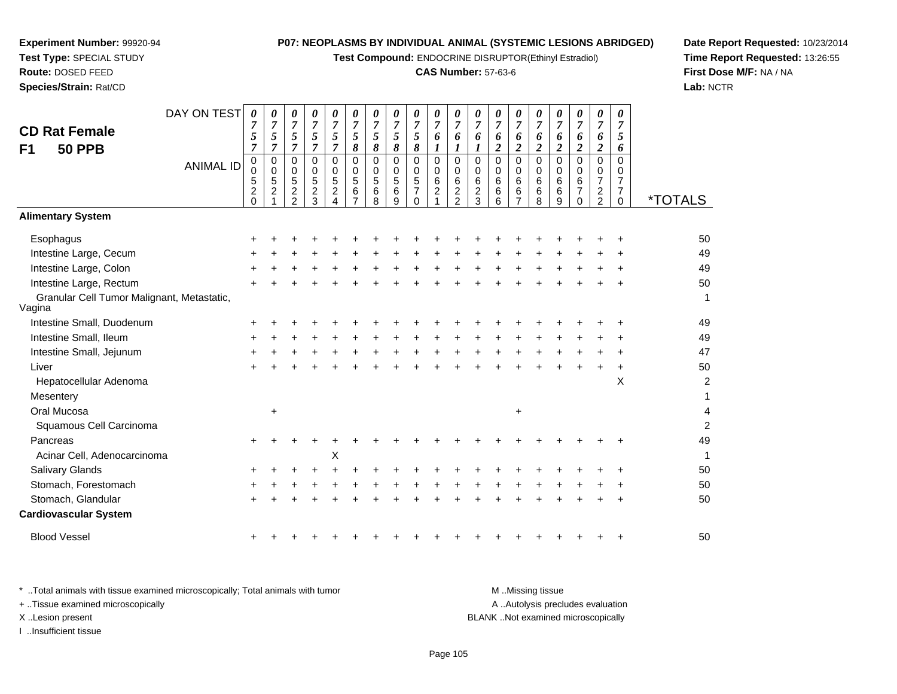**Test Compound:** ENDOCRINE DISRUPTOR(Ethinyl Estradiol)

## **CAS Number:** 57-63-6

**Date Report Requested:** 10/23/2014**Time Report Requested:** 13:26:55**First Dose M/F:** NA / NA**Lab:** NCTR

| <b>CD Rat Female</b><br><b>50 PPB</b><br>F1          | DAY ON TEST      | 0<br>$\overline{7}$<br>5<br>$\overline{7}$                  | 0<br>$\overline{7}$<br>5<br>$\overline{7}$    | 0<br>$\overline{7}$<br>5<br>$\overline{7}$                               | 0<br>$\overline{7}$<br>5<br>$\overline{7}$               | 0<br>$\overline{7}$<br>5<br>$\overline{7}$  | 0<br>$\overline{7}$<br>$\mathfrak{s}$<br>$\boldsymbol{\delta}$ | 0<br>$\overline{7}$<br>5<br>8 | 0<br>$\boldsymbol{7}$<br>5<br>8                            | 0<br>$\overline{7}$<br>5<br>8             | 0<br>$\boldsymbol{7}$<br>6<br>$\boldsymbol{l}$ | 0<br>$\overline{7}$<br>6<br>$\boldsymbol{l}$                            | 0<br>$\overline{7}$<br>6<br>1                         | 0<br>$\overline{7}$<br>6<br>$\boldsymbol{2}$       | 0<br>$\overline{7}$<br>6<br>$\overline{2}$   | 0<br>$\overline{7}$<br>6<br>$\overline{c}$                              | 0<br>$\overline{7}$<br>6<br>$\overline{2}$                    | 0<br>$\overline{7}$<br>6<br>$\overline{c}$                    | 0<br>$\overline{7}$<br>6<br>$\overline{c}$                   | 0<br>$\overline{7}$<br>5<br>6                                                 |                       |
|------------------------------------------------------|------------------|-------------------------------------------------------------|-----------------------------------------------|--------------------------------------------------------------------------|----------------------------------------------------------|---------------------------------------------|----------------------------------------------------------------|-------------------------------|------------------------------------------------------------|-------------------------------------------|------------------------------------------------|-------------------------------------------------------------------------|-------------------------------------------------------|----------------------------------------------------|----------------------------------------------|-------------------------------------------------------------------------|---------------------------------------------------------------|---------------------------------------------------------------|--------------------------------------------------------------|-------------------------------------------------------------------------------|-----------------------|
|                                                      | <b>ANIMAL ID</b> | $\pmb{0}$<br>$\mathbf 0$<br>5<br>$\overline{c}$<br>$\Omega$ | 0<br>$\mathbf 0$<br>$\,$ 5 $\,$<br>$\sqrt{2}$ | 0<br>$\mathbf 0$<br>$\overline{5}$<br>$\boldsymbol{2}$<br>$\mathfrak{p}$ | $\mathbf 0$<br>$\mathbf 0$<br>5<br>$\boldsymbol{2}$<br>3 | 0<br>$\Omega$<br>5<br>$\boldsymbol{2}$<br>4 | $\mathbf 0$<br>$\mathbf 0$<br>5<br>$\,6\,$                     | 0<br>$\Omega$<br>5<br>6<br>8  | $\mathbf 0$<br>$\mathbf 0$<br>$\overline{5}$<br>$\,6$<br>9 | 0<br>0<br>5<br>$\overline{7}$<br>$\Omega$ | $\mathbf 0$<br>$\mathbf 0$<br>$\frac{6}{2}$    | $\mathbf 0$<br>$\mathbf 0$<br>$\,6$<br>$\overline{2}$<br>$\overline{2}$ | $\mathbf 0$<br>$\Omega$<br>6<br>$\boldsymbol{2}$<br>3 | $\mathbf 0$<br>$\Omega$<br>$\,6\,$<br>$\,6\,$<br>6 | 0<br>$\mathbf 0$<br>6<br>6<br>$\overline{7}$ | $\mathbf 0$<br>$\mathbf 0$<br>$\begin{matrix} 6 \\ 6 \end{matrix}$<br>8 | $\mathbf 0$<br>$\mathbf 0$<br>$6\phantom{1}6$<br>$\,6\,$<br>9 | $\mathbf 0$<br>$\mathbf 0$<br>6<br>$\overline{7}$<br>$\Omega$ | 0<br>0<br>$\overline{7}$<br>$\overline{c}$<br>$\overline{2}$ | $\mathbf 0$<br>$\mathbf 0$<br>$\overline{7}$<br>$\overline{7}$<br>$\mathbf 0$ | <i><b>*TOTALS</b></i> |
| <b>Alimentary System</b>                             |                  |                                                             |                                               |                                                                          |                                                          |                                             |                                                                |                               |                                                            |                                           |                                                |                                                                         |                                                       |                                                    |                                              |                                                                         |                                                               |                                                               |                                                              |                                                                               |                       |
| Esophagus                                            |                  |                                                             |                                               |                                                                          |                                                          |                                             |                                                                |                               |                                                            |                                           |                                                |                                                                         |                                                       |                                                    |                                              |                                                                         |                                                               |                                                               |                                                              |                                                                               | 50                    |
| Intestine Large, Cecum                               |                  |                                                             |                                               |                                                                          |                                                          |                                             |                                                                |                               |                                                            |                                           |                                                |                                                                         |                                                       |                                                    |                                              |                                                                         |                                                               |                                                               |                                                              |                                                                               | 49                    |
| Intestine Large, Colon                               |                  |                                                             |                                               |                                                                          |                                                          |                                             |                                                                |                               |                                                            |                                           |                                                |                                                                         |                                                       |                                                    |                                              |                                                                         |                                                               |                                                               |                                                              |                                                                               | 49                    |
| Intestine Large, Rectum                              |                  |                                                             |                                               |                                                                          |                                                          |                                             |                                                                |                               |                                                            |                                           |                                                |                                                                         |                                                       |                                                    |                                              |                                                                         |                                                               |                                                               |                                                              |                                                                               | 50                    |
| Granular Cell Tumor Malignant, Metastatic,<br>Vagina |                  |                                                             |                                               |                                                                          |                                                          |                                             |                                                                |                               |                                                            |                                           |                                                |                                                                         |                                                       |                                                    |                                              |                                                                         |                                                               |                                                               |                                                              |                                                                               | 1                     |
| Intestine Small, Duodenum                            |                  |                                                             |                                               |                                                                          |                                                          |                                             |                                                                |                               |                                                            |                                           |                                                |                                                                         |                                                       |                                                    |                                              |                                                                         |                                                               |                                                               |                                                              |                                                                               | 49                    |
| Intestine Small, Ileum                               |                  |                                                             |                                               |                                                                          |                                                          |                                             |                                                                |                               |                                                            |                                           |                                                |                                                                         |                                                       |                                                    |                                              |                                                                         |                                                               |                                                               |                                                              |                                                                               | 49                    |
| Intestine Small, Jejunum                             |                  |                                                             |                                               |                                                                          |                                                          |                                             |                                                                |                               |                                                            |                                           |                                                |                                                                         |                                                       |                                                    |                                              |                                                                         |                                                               |                                                               |                                                              |                                                                               | 47                    |
| Liver                                                |                  |                                                             |                                               |                                                                          |                                                          |                                             |                                                                |                               |                                                            |                                           |                                                |                                                                         |                                                       |                                                    |                                              |                                                                         |                                                               |                                                               |                                                              |                                                                               | 50                    |
| Hepatocellular Adenoma                               |                  |                                                             |                                               |                                                                          |                                                          |                                             |                                                                |                               |                                                            |                                           |                                                |                                                                         |                                                       |                                                    |                                              |                                                                         |                                                               |                                                               |                                                              | $\times$                                                                      | $\overline{c}$        |
| Mesentery                                            |                  |                                                             |                                               |                                                                          |                                                          |                                             |                                                                |                               |                                                            |                                           |                                                |                                                                         |                                                       |                                                    |                                              |                                                                         |                                                               |                                                               |                                                              |                                                                               | 1                     |
| Oral Mucosa                                          |                  |                                                             | $\ddot{}$                                     |                                                                          |                                                          |                                             |                                                                |                               |                                                            |                                           |                                                |                                                                         |                                                       |                                                    | $\ddot{}$                                    |                                                                         |                                                               |                                                               |                                                              |                                                                               | 4                     |
| Squamous Cell Carcinoma                              |                  |                                                             |                                               |                                                                          |                                                          |                                             |                                                                |                               |                                                            |                                           |                                                |                                                                         |                                                       |                                                    |                                              |                                                                         |                                                               |                                                               |                                                              |                                                                               | $\overline{2}$        |
| Pancreas                                             |                  |                                                             |                                               |                                                                          |                                                          |                                             |                                                                |                               |                                                            |                                           |                                                |                                                                         |                                                       |                                                    |                                              |                                                                         |                                                               |                                                               |                                                              |                                                                               | 49                    |
| Acinar Cell, Adenocarcinoma                          |                  |                                                             |                                               |                                                                          |                                                          | X                                           |                                                                |                               |                                                            |                                           |                                                |                                                                         |                                                       |                                                    |                                              |                                                                         |                                                               |                                                               |                                                              |                                                                               | $\mathbf{1}$          |
| Salivary Glands                                      |                  |                                                             |                                               |                                                                          |                                                          |                                             |                                                                |                               |                                                            |                                           |                                                |                                                                         |                                                       |                                                    |                                              |                                                                         |                                                               |                                                               |                                                              |                                                                               | 50                    |
| Stomach, Forestomach                                 |                  |                                                             |                                               |                                                                          |                                                          |                                             |                                                                |                               |                                                            |                                           |                                                |                                                                         |                                                       |                                                    |                                              |                                                                         |                                                               |                                                               |                                                              |                                                                               | 50                    |
| Stomach, Glandular                                   |                  |                                                             |                                               |                                                                          |                                                          |                                             |                                                                |                               |                                                            |                                           |                                                |                                                                         |                                                       |                                                    |                                              |                                                                         |                                                               |                                                               |                                                              |                                                                               | 50                    |
| <b>Cardiovascular System</b>                         |                  |                                                             |                                               |                                                                          |                                                          |                                             |                                                                |                               |                                                            |                                           |                                                |                                                                         |                                                       |                                                    |                                              |                                                                         |                                                               |                                                               |                                                              |                                                                               |                       |
| <b>Blood Vessel</b>                                  |                  |                                                             |                                               |                                                                          |                                                          |                                             |                                                                |                               |                                                            |                                           |                                                |                                                                         |                                                       |                                                    |                                              |                                                                         |                                                               |                                                               |                                                              |                                                                               | 50                    |

**Experiment Number:** 99920-94**Test Type:** SPECIAL STUDY**Route:** DOSED FEED**Species/Strain:** Rat/CD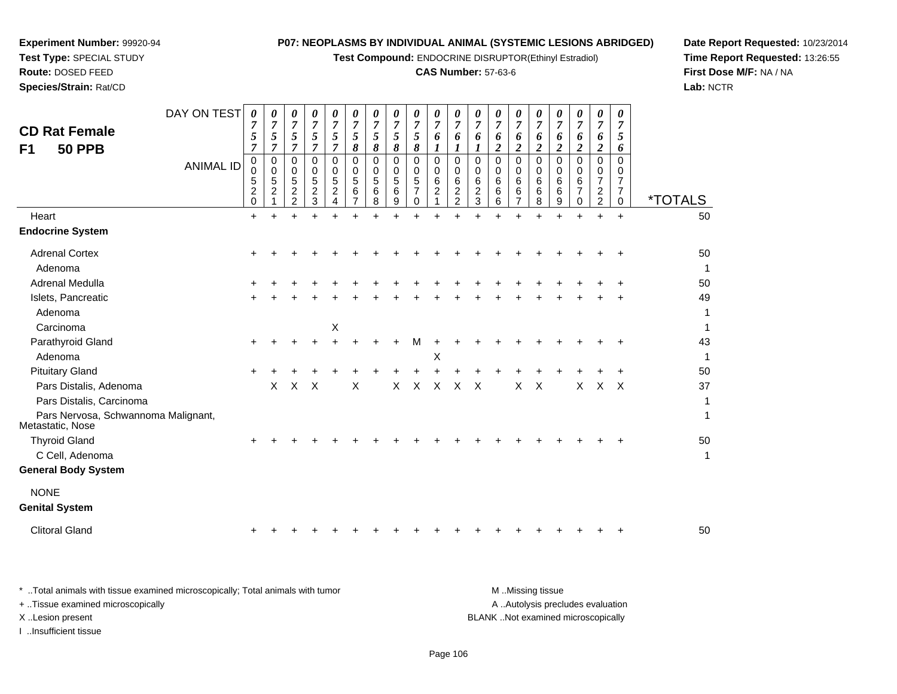**Test Compound:** ENDOCRINE DISRUPTOR(Ethinyl Estradiol)

## **CAS Number:** 57-63-6

**Date Report Requested:** 10/23/2014 **Time Report Requested:** 13:26:55**First Dose M/F:** NA / NA**Lab:** NCTR

| <b>CD Rat Female</b><br><b>50 PPB</b><br>F1             | DAY ON TEST<br><b>ANIMAL ID</b> | $\boldsymbol{\theta}$<br>$\boldsymbol{7}$<br>5<br>$\overline{7}$<br>0<br>0<br>5<br>$\frac{2}{0}$ | 0<br>$\overline{7}$<br>5<br>$\overline{7}$<br>$\mathbf 0$<br>$\mathbf 0$<br>$\sqrt{5}$<br>$\boldsymbol{2}$ | 0<br>$\boldsymbol{7}$<br>$\sqrt{5}$<br>$\overline{7}$<br>0<br>0<br>$\sqrt{5}$<br>$\boldsymbol{2}$ | 0<br>$\boldsymbol{7}$<br>5<br>$\overline{7}$<br>0<br>$\mathbf 0$<br>$\,$ 5 $\,$<br>$\frac{2}{3}$ | 0<br>$\overline{7}$<br>5<br>$\overline{7}$<br>0<br>0<br>5<br>$\overline{\mathbf{c}}$ | 0<br>$\boldsymbol{7}$<br>5<br>8<br>0<br>0<br>$\sqrt{5}$<br>$\,6\,$ | 0<br>7<br>5<br>$\pmb{8}$<br>$\mathbf 0$<br>0<br>$\overline{5}$<br>6 | 0<br>$\overline{7}$<br>$\sqrt{5}$<br>8<br>$\mathbf 0$<br>0<br>$\,$ 5 $\,$<br>6 | 0<br>$\overline{7}$<br>5<br>8<br>0<br>$\mathbf 0$<br>$\sqrt{5}$<br>$\overline{7}$ | 0<br>$\overline{7}$<br>6<br>1<br>0<br>0<br>6<br>$\overline{c}$ | $\boldsymbol{\theta}$<br>$\overline{7}$<br>6<br>$\boldsymbol{l}$<br>$\mathbf 0$<br>0<br>$\,6\,$<br>$\frac{2}{2}$ | 0<br>$\overline{7}$<br>6<br>$\bm{l}$<br>$\mathbf 0$<br>$\mathbf 0$<br>6<br>$\boldsymbol{2}$ | 0<br>$\overline{7}$<br>6<br>$\boldsymbol{2}$<br>$\Omega$<br>0<br>6<br>6 | $\boldsymbol{\theta}$<br>$\overline{7}$<br>6<br>$\boldsymbol{2}$<br>0<br>0<br>6<br>$\,6$ | 0<br>$\overline{7}$<br>6<br>$\overline{\mathbf{c}}$<br>$\Omega$<br>0<br>6<br>6 | $\boldsymbol{\theta}$<br>$\overline{7}$<br>6<br>$\overline{\mathbf{c}}$<br>$\Omega$<br>0<br>6<br>$\,6$ | 0<br>7<br>6<br>$\overline{\mathbf{c}}$<br>$\Omega$<br>0<br>6<br>$\overline{7}$ | 0<br>7<br>6<br>$\boldsymbol{2}$<br>$\Omega$<br>0<br>$\overline{7}$<br>$\overline{c}$ | 0<br>$\overline{7}$<br>5<br>6<br>$\Omega$<br>0<br>$\overline{7}$<br>$\overline{7}$ |                             |
|---------------------------------------------------------|---------------------------------|--------------------------------------------------------------------------------------------------|------------------------------------------------------------------------------------------------------------|---------------------------------------------------------------------------------------------------|--------------------------------------------------------------------------------------------------|--------------------------------------------------------------------------------------|--------------------------------------------------------------------|---------------------------------------------------------------------|--------------------------------------------------------------------------------|-----------------------------------------------------------------------------------|----------------------------------------------------------------|------------------------------------------------------------------------------------------------------------------|---------------------------------------------------------------------------------------------|-------------------------------------------------------------------------|------------------------------------------------------------------------------------------|--------------------------------------------------------------------------------|--------------------------------------------------------------------------------------------------------|--------------------------------------------------------------------------------|--------------------------------------------------------------------------------------|------------------------------------------------------------------------------------|-----------------------------|
| Heart                                                   |                                 |                                                                                                  | $\mathbf 1$                                                                                                | $\overline{2}$<br>$\ddot{}$                                                                       |                                                                                                  | 4<br>$+$                                                                             | $\overline{7}$<br>÷                                                | 8                                                                   | 9<br>$\ddot{}$                                                                 | $\mathbf 0$                                                                       | $\mathbf 1$                                                    | $\ddot{}$                                                                                                        | $\mathbf{3}$                                                                                | 6                                                                       | $\overline{7}$                                                                           | 8<br>$\ddot{}$                                                                 | $\boldsymbol{9}$                                                                                       | $\mathbf 0$                                                                    | $\overline{c}$                                                                       | 0                                                                                  | <i><b>*TOTALS</b></i><br>50 |
|                                                         |                                 | $\ddot{}$                                                                                        | $\ddot{}$                                                                                                  |                                                                                                   | $\ddot{}$                                                                                        |                                                                                      |                                                                    |                                                                     |                                                                                | $+$                                                                               | $+$                                                            |                                                                                                                  |                                                                                             | $\ddot{}$                                                               | $\ddot{}$                                                                                |                                                                                | $\ddot{}$                                                                                              |                                                                                | $\ddot{}$                                                                            | $\ddot{}$                                                                          |                             |
| <b>Endocrine System</b>                                 |                                 |                                                                                                  |                                                                                                            |                                                                                                   |                                                                                                  |                                                                                      |                                                                    |                                                                     |                                                                                |                                                                                   |                                                                |                                                                                                                  |                                                                                             |                                                                         |                                                                                          |                                                                                |                                                                                                        |                                                                                |                                                                                      |                                                                                    |                             |
| <b>Adrenal Cortex</b>                                   |                                 |                                                                                                  |                                                                                                            |                                                                                                   |                                                                                                  |                                                                                      |                                                                    |                                                                     |                                                                                |                                                                                   |                                                                |                                                                                                                  |                                                                                             |                                                                         |                                                                                          |                                                                                |                                                                                                        |                                                                                |                                                                                      |                                                                                    | 50                          |
| Adenoma                                                 |                                 |                                                                                                  |                                                                                                            |                                                                                                   |                                                                                                  |                                                                                      |                                                                    |                                                                     |                                                                                |                                                                                   |                                                                |                                                                                                                  |                                                                                             |                                                                         |                                                                                          |                                                                                |                                                                                                        |                                                                                |                                                                                      |                                                                                    | $\mathbf{1}$                |
| <b>Adrenal Medulla</b>                                  |                                 |                                                                                                  |                                                                                                            |                                                                                                   |                                                                                                  |                                                                                      |                                                                    |                                                                     |                                                                                |                                                                                   |                                                                |                                                                                                                  |                                                                                             |                                                                         |                                                                                          |                                                                                |                                                                                                        |                                                                                |                                                                                      |                                                                                    | 50                          |
| Islets, Pancreatic                                      |                                 |                                                                                                  |                                                                                                            |                                                                                                   |                                                                                                  |                                                                                      |                                                                    |                                                                     |                                                                                |                                                                                   |                                                                |                                                                                                                  |                                                                                             |                                                                         |                                                                                          |                                                                                |                                                                                                        |                                                                                |                                                                                      |                                                                                    | 49                          |
| Adenoma                                                 |                                 |                                                                                                  |                                                                                                            |                                                                                                   |                                                                                                  |                                                                                      |                                                                    |                                                                     |                                                                                |                                                                                   |                                                                |                                                                                                                  |                                                                                             |                                                                         |                                                                                          |                                                                                |                                                                                                        |                                                                                |                                                                                      |                                                                                    | 1                           |
| Carcinoma                                               |                                 |                                                                                                  |                                                                                                            |                                                                                                   |                                                                                                  | $\boldsymbol{\mathsf{X}}$                                                            |                                                                    |                                                                     |                                                                                |                                                                                   |                                                                |                                                                                                                  |                                                                                             |                                                                         |                                                                                          |                                                                                |                                                                                                        |                                                                                |                                                                                      |                                                                                    | $\mathbf{1}$                |
| Parathyroid Gland                                       |                                 | ÷                                                                                                |                                                                                                            |                                                                                                   |                                                                                                  |                                                                                      |                                                                    |                                                                     |                                                                                | M                                                                                 |                                                                |                                                                                                                  |                                                                                             |                                                                         |                                                                                          |                                                                                |                                                                                                        |                                                                                |                                                                                      |                                                                                    | 43                          |
| Adenoma                                                 |                                 |                                                                                                  |                                                                                                            |                                                                                                   |                                                                                                  |                                                                                      |                                                                    |                                                                     |                                                                                |                                                                                   | X                                                              |                                                                                                                  |                                                                                             |                                                                         |                                                                                          |                                                                                |                                                                                                        |                                                                                |                                                                                      |                                                                                    | $\mathbf{1}$                |
| <b>Pituitary Gland</b>                                  |                                 |                                                                                                  |                                                                                                            |                                                                                                   |                                                                                                  |                                                                                      |                                                                    |                                                                     |                                                                                |                                                                                   |                                                                |                                                                                                                  |                                                                                             |                                                                         |                                                                                          |                                                                                |                                                                                                        |                                                                                |                                                                                      |                                                                                    | 50                          |
| Pars Distalis, Adenoma                                  |                                 |                                                                                                  | X                                                                                                          | X                                                                                                 | X                                                                                                |                                                                                      | X                                                                  |                                                                     | X                                                                              | X                                                                                 | $\boldsymbol{\mathsf{X}}$                                      | X                                                                                                                | $\times$                                                                                    |                                                                         | X                                                                                        | $\boldsymbol{\mathsf{X}}$                                                      |                                                                                                        | X                                                                              | X                                                                                    | $\times$                                                                           | 37                          |
| Pars Distalis, Carcinoma                                |                                 |                                                                                                  |                                                                                                            |                                                                                                   |                                                                                                  |                                                                                      |                                                                    |                                                                     |                                                                                |                                                                                   |                                                                |                                                                                                                  |                                                                                             |                                                                         |                                                                                          |                                                                                |                                                                                                        |                                                                                |                                                                                      |                                                                                    | 1                           |
| Pars Nervosa, Schwannoma Malignant,<br>Metastatic, Nose |                                 |                                                                                                  |                                                                                                            |                                                                                                   |                                                                                                  |                                                                                      |                                                                    |                                                                     |                                                                                |                                                                                   |                                                                |                                                                                                                  |                                                                                             |                                                                         |                                                                                          |                                                                                |                                                                                                        |                                                                                |                                                                                      |                                                                                    | 1                           |
| <b>Thyroid Gland</b>                                    |                                 |                                                                                                  |                                                                                                            |                                                                                                   |                                                                                                  |                                                                                      |                                                                    |                                                                     |                                                                                |                                                                                   |                                                                |                                                                                                                  |                                                                                             |                                                                         |                                                                                          |                                                                                |                                                                                                        |                                                                                |                                                                                      |                                                                                    | 50                          |
| C Cell, Adenoma                                         |                                 |                                                                                                  |                                                                                                            |                                                                                                   |                                                                                                  |                                                                                      |                                                                    |                                                                     |                                                                                |                                                                                   |                                                                |                                                                                                                  |                                                                                             |                                                                         |                                                                                          |                                                                                |                                                                                                        |                                                                                |                                                                                      |                                                                                    | 1                           |
| <b>General Body System</b>                              |                                 |                                                                                                  |                                                                                                            |                                                                                                   |                                                                                                  |                                                                                      |                                                                    |                                                                     |                                                                                |                                                                                   |                                                                |                                                                                                                  |                                                                                             |                                                                         |                                                                                          |                                                                                |                                                                                                        |                                                                                |                                                                                      |                                                                                    |                             |
| <b>NONE</b>                                             |                                 |                                                                                                  |                                                                                                            |                                                                                                   |                                                                                                  |                                                                                      |                                                                    |                                                                     |                                                                                |                                                                                   |                                                                |                                                                                                                  |                                                                                             |                                                                         |                                                                                          |                                                                                |                                                                                                        |                                                                                |                                                                                      |                                                                                    |                             |
| <b>Genital System</b>                                   |                                 |                                                                                                  |                                                                                                            |                                                                                                   |                                                                                                  |                                                                                      |                                                                    |                                                                     |                                                                                |                                                                                   |                                                                |                                                                                                                  |                                                                                             |                                                                         |                                                                                          |                                                                                |                                                                                                        |                                                                                |                                                                                      |                                                                                    |                             |
| <b>Clitoral Gland</b>                                   |                                 |                                                                                                  |                                                                                                            |                                                                                                   |                                                                                                  |                                                                                      |                                                                    |                                                                     |                                                                                |                                                                                   |                                                                |                                                                                                                  |                                                                                             |                                                                         |                                                                                          |                                                                                |                                                                                                        |                                                                                |                                                                                      |                                                                                    | 50                          |
|                                                         |                                 |                                                                                                  |                                                                                                            |                                                                                                   |                                                                                                  |                                                                                      |                                                                    |                                                                     |                                                                                |                                                                                   |                                                                |                                                                                                                  |                                                                                             |                                                                         |                                                                                          |                                                                                |                                                                                                        |                                                                                |                                                                                      |                                                                                    |                             |

| Total animals with tissue examined microscopically; Total animals with tumor | M Missing tissue                   |
|------------------------------------------------------------------------------|------------------------------------|
| + Tissue examined microscopically                                            | A Autolysis precludes evaluation   |
| X Lesion present                                                             | BLANK Not examined microscopically |
| …Insufficient tissue                                                         |                                    |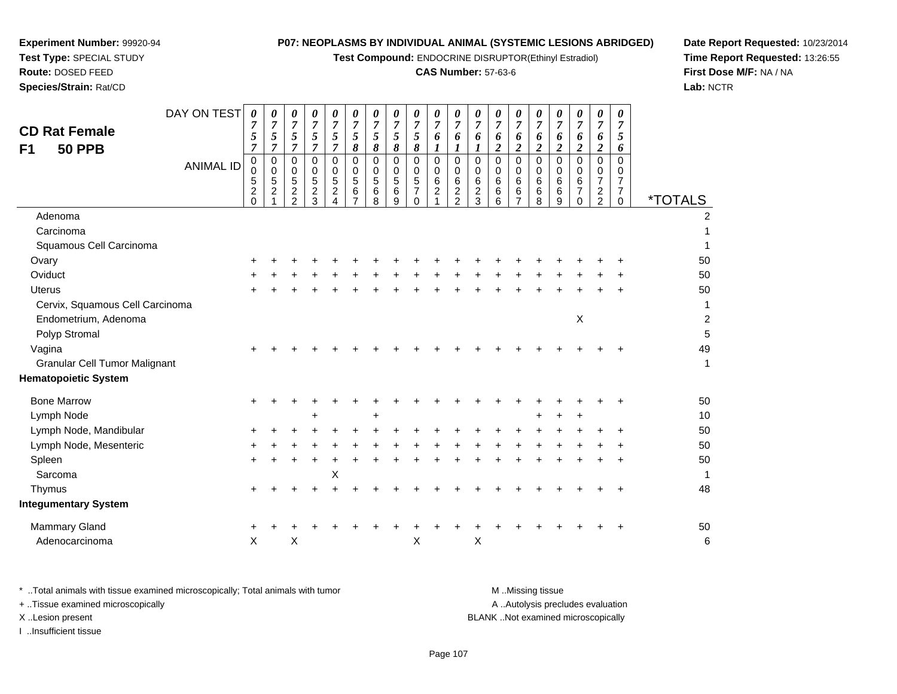**Test Compound:** ENDOCRINE DISRUPTOR(Ethinyl Estradiol)

### **CAS Number:** 57-63-6

**Date Report Requested:** 10/23/2014**Time Report Requested:** 13:26:55**First Dose M/F:** NA / NA**Lab:** NCTR

| DAY ON TEST<br><b>CD Rat Female</b><br><b>50 PPB</b><br>F <sub>1</sub><br><b>ANIMAL ID</b> | 0<br>7<br>$\sqrt{5}$<br>7<br>0<br>0<br>5<br>$\overline{\mathbf{c}}$<br>0 | $\boldsymbol{\theta}$<br>$\overline{7}$<br>$\mathfrak{s}$<br>$\overline{7}$<br>$\pmb{0}$<br>$\mathbf 0$<br>$\sqrt{5}$<br>$\overline{c}$ | 0<br>$\overline{7}$<br>$\sqrt{5}$<br>$\overline{7}$<br>0<br>0<br>5<br>$\overline{c}$<br>$\overline{2}$ | 0<br>$\overline{7}$<br>$\sqrt{5}$<br>$\overline{7}$<br>0<br>0<br>$\sqrt{5}$<br>$\overline{c}$<br>3 | 0<br>7<br>5<br>$\overline{7}$<br>$\mathbf 0$<br>0<br>$\sqrt{5}$<br>$\overline{c}$ | 0<br>$\overline{7}$<br>5<br>8<br>$\pmb{0}$<br>0<br>5<br>6 | 0<br>$\overline{7}$<br>$\sqrt{5}$<br>8<br>$\pmb{0}$<br>0<br>$\sqrt{5}$<br>$\,6$<br>8 | $\pmb{\theta}$<br>$\overline{7}$<br>5<br>8<br>$\pmb{0}$<br>$\mathbf 0$<br>5<br>6<br>9 | 0<br>$\overline{7}$<br>5<br>8<br>0<br>$\mathbf 0$<br>$\sqrt{5}$<br>$\overline{7}$<br>$\Omega$ | 0<br>$\overline{7}$<br>6<br>1<br>0<br>0<br>6<br>$\overline{c}$ | 0<br>$\overline{7}$<br>6<br>1<br>$\pmb{0}$<br>$\mathbf 0$<br>$\,6\,$<br>$\overline{c}$<br>$\overline{2}$ | 0<br>$\overline{7}$<br>6<br>$\boldsymbol{l}$<br>$\pmb{0}$<br>0<br>6<br>$\boldsymbol{2}$<br>3 | 0<br>$\overline{7}$<br>6<br>2<br>$\pmb{0}$<br>0<br>6<br>6<br>6 | 0<br>$\overline{7}$<br>6<br>$\overline{2}$<br>$\mathbf 0$<br>0<br>6<br>6 | 0<br>$\overline{7}$<br>6<br>$\overline{c}$<br>$\pmb{0}$<br>0<br>$\,6$<br>6<br>8 | 0<br>7<br>6<br>$\boldsymbol{2}$<br>$\pmb{0}$<br>0<br>6<br>$\,6\,$<br>9 | 0<br>7<br>6<br>$\boldsymbol{2}$<br>$\pmb{0}$<br>0<br>6<br>$\overline{7}$<br>$\Omega$ | $\boldsymbol{\theta}$<br>$\overline{7}$<br>6<br>$\boldsymbol{2}$<br>$\mathbf 0$<br>0<br>$\overline{7}$<br>$\overline{\mathbf{c}}$<br>$\overline{a}$ | 0<br>7<br>5<br>6<br>0<br>0<br>$\overline{7}$<br>$\overline{7}$ | <i><b>*TOTALS</b></i> |
|--------------------------------------------------------------------------------------------|--------------------------------------------------------------------------|-----------------------------------------------------------------------------------------------------------------------------------------|--------------------------------------------------------------------------------------------------------|----------------------------------------------------------------------------------------------------|-----------------------------------------------------------------------------------|-----------------------------------------------------------|--------------------------------------------------------------------------------------|---------------------------------------------------------------------------------------|-----------------------------------------------------------------------------------------------|----------------------------------------------------------------|----------------------------------------------------------------------------------------------------------|----------------------------------------------------------------------------------------------|----------------------------------------------------------------|--------------------------------------------------------------------------|---------------------------------------------------------------------------------|------------------------------------------------------------------------|--------------------------------------------------------------------------------------|-----------------------------------------------------------------------------------------------------------------------------------------------------|----------------------------------------------------------------|-----------------------|
| Adenoma                                                                                    |                                                                          |                                                                                                                                         |                                                                                                        |                                                                                                    |                                                                                   |                                                           |                                                                                      |                                                                                       |                                                                                               |                                                                |                                                                                                          |                                                                                              |                                                                |                                                                          |                                                                                 |                                                                        |                                                                                      |                                                                                                                                                     | 0                                                              | $\overline{2}$        |
| Carcinoma                                                                                  |                                                                          |                                                                                                                                         |                                                                                                        |                                                                                                    |                                                                                   |                                                           |                                                                                      |                                                                                       |                                                                                               |                                                                |                                                                                                          |                                                                                              |                                                                |                                                                          |                                                                                 |                                                                        |                                                                                      |                                                                                                                                                     |                                                                |                       |
| Squamous Cell Carcinoma                                                                    |                                                                          |                                                                                                                                         |                                                                                                        |                                                                                                    |                                                                                   |                                                           |                                                                                      |                                                                                       |                                                                                               |                                                                |                                                                                                          |                                                                                              |                                                                |                                                                          |                                                                                 |                                                                        |                                                                                      |                                                                                                                                                     |                                                                | 1                     |
| Ovary                                                                                      |                                                                          |                                                                                                                                         |                                                                                                        |                                                                                                    |                                                                                   |                                                           |                                                                                      |                                                                                       |                                                                                               |                                                                |                                                                                                          |                                                                                              |                                                                |                                                                          |                                                                                 |                                                                        |                                                                                      |                                                                                                                                                     |                                                                | 50                    |
| Oviduct                                                                                    |                                                                          |                                                                                                                                         |                                                                                                        |                                                                                                    |                                                                                   |                                                           |                                                                                      |                                                                                       |                                                                                               |                                                                |                                                                                                          |                                                                                              |                                                                |                                                                          |                                                                                 |                                                                        |                                                                                      |                                                                                                                                                     |                                                                | 50                    |
| <b>Uterus</b>                                                                              |                                                                          |                                                                                                                                         |                                                                                                        |                                                                                                    |                                                                                   |                                                           |                                                                                      |                                                                                       |                                                                                               |                                                                |                                                                                                          |                                                                                              |                                                                |                                                                          |                                                                                 |                                                                        |                                                                                      |                                                                                                                                                     |                                                                | 50                    |
| Cervix, Squamous Cell Carcinoma                                                            |                                                                          |                                                                                                                                         |                                                                                                        |                                                                                                    |                                                                                   |                                                           |                                                                                      |                                                                                       |                                                                                               |                                                                |                                                                                                          |                                                                                              |                                                                |                                                                          |                                                                                 |                                                                        |                                                                                      |                                                                                                                                                     |                                                                | $\mathbf 1$           |
| Endometrium, Adenoma                                                                       |                                                                          |                                                                                                                                         |                                                                                                        |                                                                                                    |                                                                                   |                                                           |                                                                                      |                                                                                       |                                                                                               |                                                                |                                                                                                          |                                                                                              |                                                                |                                                                          |                                                                                 |                                                                        | Χ                                                                                    |                                                                                                                                                     |                                                                | $\boldsymbol{2}$      |
| Polyp Stromal                                                                              |                                                                          |                                                                                                                                         |                                                                                                        |                                                                                                    |                                                                                   |                                                           |                                                                                      |                                                                                       |                                                                                               |                                                                |                                                                                                          |                                                                                              |                                                                |                                                                          |                                                                                 |                                                                        |                                                                                      |                                                                                                                                                     |                                                                | 5                     |
| Vagina                                                                                     |                                                                          |                                                                                                                                         |                                                                                                        |                                                                                                    |                                                                                   |                                                           |                                                                                      |                                                                                       |                                                                                               |                                                                |                                                                                                          |                                                                                              |                                                                |                                                                          |                                                                                 |                                                                        |                                                                                      |                                                                                                                                                     |                                                                | 49                    |
| <b>Granular Cell Tumor Malignant</b>                                                       |                                                                          |                                                                                                                                         |                                                                                                        |                                                                                                    |                                                                                   |                                                           |                                                                                      |                                                                                       |                                                                                               |                                                                |                                                                                                          |                                                                                              |                                                                |                                                                          |                                                                                 |                                                                        |                                                                                      |                                                                                                                                                     |                                                                | $\mathbf{1}$          |
| <b>Hematopoietic System</b>                                                                |                                                                          |                                                                                                                                         |                                                                                                        |                                                                                                    |                                                                                   |                                                           |                                                                                      |                                                                                       |                                                                                               |                                                                |                                                                                                          |                                                                                              |                                                                |                                                                          |                                                                                 |                                                                        |                                                                                      |                                                                                                                                                     |                                                                |                       |
| <b>Bone Marrow</b>                                                                         |                                                                          |                                                                                                                                         |                                                                                                        |                                                                                                    |                                                                                   |                                                           |                                                                                      |                                                                                       |                                                                                               |                                                                |                                                                                                          |                                                                                              |                                                                |                                                                          |                                                                                 |                                                                        |                                                                                      |                                                                                                                                                     |                                                                | 50                    |
| Lymph Node                                                                                 |                                                                          |                                                                                                                                         |                                                                                                        | $\ddot{}$                                                                                          |                                                                                   |                                                           | +                                                                                    |                                                                                       |                                                                                               |                                                                |                                                                                                          |                                                                                              |                                                                |                                                                          | ٠                                                                               |                                                                        | $\ddot{}$                                                                            |                                                                                                                                                     |                                                                | 10                    |
| Lymph Node, Mandibular                                                                     | +                                                                        |                                                                                                                                         |                                                                                                        |                                                                                                    |                                                                                   |                                                           |                                                                                      |                                                                                       |                                                                                               |                                                                |                                                                                                          |                                                                                              |                                                                |                                                                          |                                                                                 |                                                                        |                                                                                      |                                                                                                                                                     |                                                                | 50                    |
| Lymph Node, Mesenteric                                                                     |                                                                          |                                                                                                                                         |                                                                                                        |                                                                                                    |                                                                                   |                                                           |                                                                                      |                                                                                       |                                                                                               |                                                                |                                                                                                          |                                                                                              |                                                                |                                                                          |                                                                                 |                                                                        |                                                                                      |                                                                                                                                                     |                                                                | 50                    |
| Spleen                                                                                     | $\pm$                                                                    |                                                                                                                                         |                                                                                                        | $\ddot{}$                                                                                          |                                                                                   |                                                           |                                                                                      |                                                                                       |                                                                                               |                                                                |                                                                                                          |                                                                                              |                                                                |                                                                          |                                                                                 |                                                                        |                                                                                      |                                                                                                                                                     |                                                                | 50                    |
| Sarcoma                                                                                    |                                                                          |                                                                                                                                         |                                                                                                        |                                                                                                    | X                                                                                 |                                                           |                                                                                      |                                                                                       |                                                                                               |                                                                |                                                                                                          |                                                                                              |                                                                |                                                                          |                                                                                 |                                                                        |                                                                                      |                                                                                                                                                     |                                                                | 1                     |
| Thymus                                                                                     |                                                                          |                                                                                                                                         |                                                                                                        |                                                                                                    |                                                                                   |                                                           |                                                                                      |                                                                                       |                                                                                               |                                                                |                                                                                                          |                                                                                              |                                                                |                                                                          |                                                                                 |                                                                        |                                                                                      |                                                                                                                                                     |                                                                | 48                    |
| <b>Integumentary System</b>                                                                |                                                                          |                                                                                                                                         |                                                                                                        |                                                                                                    |                                                                                   |                                                           |                                                                                      |                                                                                       |                                                                                               |                                                                |                                                                                                          |                                                                                              |                                                                |                                                                          |                                                                                 |                                                                        |                                                                                      |                                                                                                                                                     |                                                                |                       |
| <b>Mammary Gland</b>                                                                       |                                                                          |                                                                                                                                         |                                                                                                        |                                                                                                    |                                                                                   |                                                           |                                                                                      |                                                                                       |                                                                                               |                                                                |                                                                                                          |                                                                                              |                                                                |                                                                          |                                                                                 |                                                                        |                                                                                      |                                                                                                                                                     |                                                                | 50                    |
| Adenocarcinoma                                                                             | $\pmb{\times}$                                                           |                                                                                                                                         | X                                                                                                      |                                                                                                    |                                                                                   |                                                           |                                                                                      |                                                                                       | Χ                                                                                             |                                                                |                                                                                                          | X                                                                                            |                                                                |                                                                          |                                                                                 |                                                                        |                                                                                      |                                                                                                                                                     |                                                                | 6                     |

**Experiment Number:** 99920-94**Test Type:** SPECIAL STUDY**Route:** DOSED FEED**Species/Strain:** Rat/CD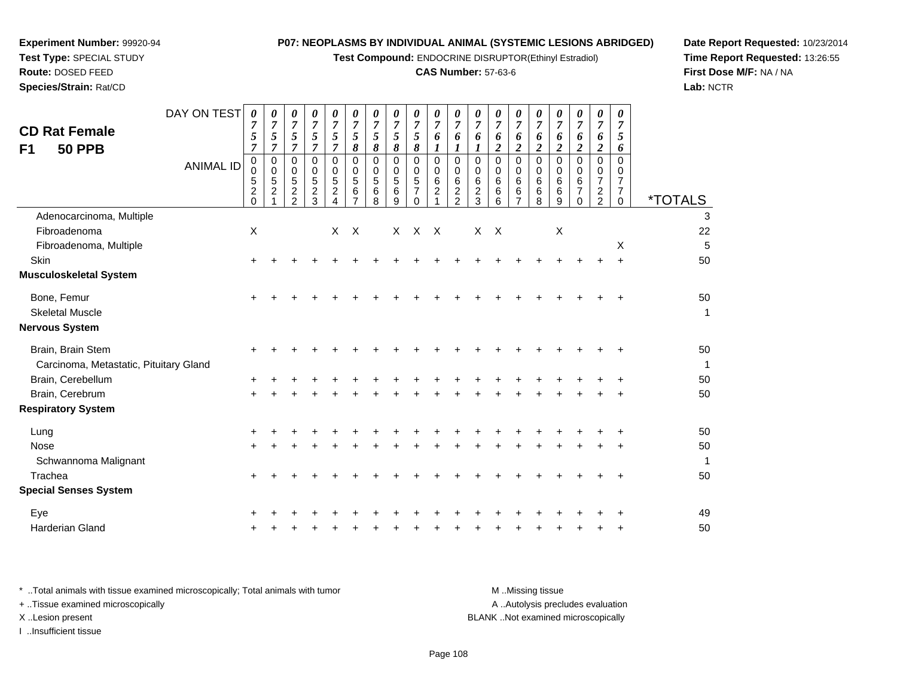**Test Compound:** ENDOCRINE DISRUPTOR(Ethinyl Estradiol)

### **CAS Number:** 57-63-6

**Date Report Requested:** 10/23/2014**Time Report Requested:** 13:26:55**First Dose M/F:** NA / NA**Lab:** NCTR

| <b>CD Rat Female</b><br><b>50 PPB</b><br>F1                 | DAY ON TEST<br><b>ANIMAL ID</b> | 0<br>7<br>5<br>$\overline{7}$<br>0<br>0<br>5<br>$\overline{2}$<br>$\Omega$ | 0<br>$\boldsymbol{7}$<br>$\sqrt{5}$<br>$\overline{7}$<br>$\mathbf 0$<br>0<br>5<br>$\overline{c}$ | $\boldsymbol{\theta}$<br>$\overline{7}$<br>$\sqrt{5}$<br>$\overline{7}$<br>0<br>0<br>5<br>$\boldsymbol{2}$<br>$\overline{2}$ | 0<br>$\overline{7}$<br>5<br>$\overline{7}$<br>$\Omega$<br>0<br>5<br>$\overline{c}$<br>3 | 0<br>$\overline{7}$<br>5<br>$\overline{7}$<br>0<br>0<br>5<br>$\overline{a}$<br>$\overline{4}$ | 0<br>$\overline{7}$<br>5<br>8<br>0<br>0<br>$\sqrt{5}$<br>$\,6$<br>$\overline{7}$ | 0<br>$\boldsymbol{7}$<br>5<br>8<br>$\Omega$<br>0<br>5<br>6<br>8 | $\boldsymbol{\theta}$<br>$\overline{7}$<br>$\sqrt{5}$<br>$\boldsymbol{\delta}$<br>0<br>0<br>5<br>6<br>9 | $\theta$<br>$\overline{7}$<br>5<br>8<br>$\Omega$<br>0<br>5<br>7<br>$\Omega$ | 0<br>$\overline{7}$<br>6<br>1<br>$\mathbf 0$<br>$\mathsf{O}\xspace$<br>6<br>$\overline{c}$ | 0<br>$\overline{7}$<br>6<br>1<br>$\mathbf 0$<br>0<br>$\,6$<br>$\frac{2}{2}$ | 0<br>$\overline{7}$<br>6<br>1<br>$\Omega$<br>0<br>6<br>$\overline{c}$<br>3 | $\boldsymbol{\theta}$<br>$\overline{7}$<br>6<br>$\boldsymbol{2}$<br>$\Omega$<br>0<br>6<br>6<br>6 | $\theta$<br>$\overline{7}$<br>6<br>$\boldsymbol{2}$<br>$\mathbf 0$<br>0<br>6<br>6<br>$\overline{7}$ | 0<br>$\overline{7}$<br>6<br>$\overline{c}$<br>$\mathbf 0$<br>0<br>6<br>6<br>8 | 0<br>$\overline{7}$<br>6<br>$\boldsymbol{2}$<br>$\Omega$<br>0<br>6<br>6<br>9 | 0<br>$\overline{7}$<br>6<br>$\boldsymbol{2}$<br>$\Omega$<br>0<br>6<br>$\overline{7}$<br>$\Omega$ | 0<br>$\overline{7}$<br>6<br>$\boldsymbol{2}$<br>$\mathbf 0$<br>0<br>7<br>$\frac{2}{2}$ | 0<br>$\overline{7}$<br>5<br>6<br>$\Omega$<br>0<br>7<br>7<br>$\Omega$ | <i><b>*TOTALS</b></i> |
|-------------------------------------------------------------|---------------------------------|----------------------------------------------------------------------------|--------------------------------------------------------------------------------------------------|------------------------------------------------------------------------------------------------------------------------------|-----------------------------------------------------------------------------------------|-----------------------------------------------------------------------------------------------|----------------------------------------------------------------------------------|-----------------------------------------------------------------|---------------------------------------------------------------------------------------------------------|-----------------------------------------------------------------------------|--------------------------------------------------------------------------------------------|-----------------------------------------------------------------------------|----------------------------------------------------------------------------|--------------------------------------------------------------------------------------------------|-----------------------------------------------------------------------------------------------------|-------------------------------------------------------------------------------|------------------------------------------------------------------------------|--------------------------------------------------------------------------------------------------|----------------------------------------------------------------------------------------|----------------------------------------------------------------------|-----------------------|
| Adenocarcinoma, Multiple                                    |                                 |                                                                            |                                                                                                  |                                                                                                                              |                                                                                         |                                                                                               |                                                                                  |                                                                 |                                                                                                         |                                                                             |                                                                                            |                                                                             |                                                                            |                                                                                                  |                                                                                                     |                                                                               |                                                                              |                                                                                                  |                                                                                        |                                                                      | 3                     |
| Fibroadenoma                                                |                                 | X                                                                          |                                                                                                  |                                                                                                                              |                                                                                         | X                                                                                             | $\mathsf{X}$                                                                     |                                                                 | $\times$                                                                                                | $\mathsf{X}$                                                                | $\mathsf{X}$                                                                               |                                                                             | X                                                                          | $\mathsf{X}$                                                                                     |                                                                                                     |                                                                               | $\boldsymbol{\mathsf{X}}$                                                    |                                                                                                  |                                                                                        |                                                                      | 22                    |
| Fibroadenoma, Multiple                                      |                                 |                                                                            |                                                                                                  |                                                                                                                              |                                                                                         |                                                                                               |                                                                                  |                                                                 |                                                                                                         |                                                                             |                                                                                            |                                                                             |                                                                            |                                                                                                  |                                                                                                     |                                                                               |                                                                              |                                                                                                  |                                                                                        | X                                                                    | 5                     |
| Skin                                                        |                                 | +                                                                          |                                                                                                  |                                                                                                                              |                                                                                         |                                                                                               |                                                                                  |                                                                 |                                                                                                         |                                                                             |                                                                                            |                                                                             |                                                                            |                                                                                                  |                                                                                                     |                                                                               |                                                                              |                                                                                                  |                                                                                        |                                                                      | 50                    |
| <b>Musculoskeletal System</b>                               |                                 |                                                                            |                                                                                                  |                                                                                                                              |                                                                                         |                                                                                               |                                                                                  |                                                                 |                                                                                                         |                                                                             |                                                                                            |                                                                             |                                                                            |                                                                                                  |                                                                                                     |                                                                               |                                                                              |                                                                                                  |                                                                                        |                                                                      |                       |
| Bone, Femur                                                 |                                 | +                                                                          |                                                                                                  |                                                                                                                              |                                                                                         |                                                                                               |                                                                                  |                                                                 |                                                                                                         |                                                                             |                                                                                            |                                                                             |                                                                            |                                                                                                  |                                                                                                     |                                                                               |                                                                              |                                                                                                  |                                                                                        |                                                                      | 50                    |
| <b>Skeletal Muscle</b>                                      |                                 |                                                                            |                                                                                                  |                                                                                                                              |                                                                                         |                                                                                               |                                                                                  |                                                                 |                                                                                                         |                                                                             |                                                                                            |                                                                             |                                                                            |                                                                                                  |                                                                                                     |                                                                               |                                                                              |                                                                                                  |                                                                                        |                                                                      | $\mathbf 1$           |
| Nervous System                                              |                                 |                                                                            |                                                                                                  |                                                                                                                              |                                                                                         |                                                                                               |                                                                                  |                                                                 |                                                                                                         |                                                                             |                                                                                            |                                                                             |                                                                            |                                                                                                  |                                                                                                     |                                                                               |                                                                              |                                                                                                  |                                                                                        |                                                                      |                       |
| Brain, Brain Stem<br>Carcinoma, Metastatic, Pituitary Gland |                                 | $\pm$                                                                      |                                                                                                  |                                                                                                                              |                                                                                         |                                                                                               |                                                                                  |                                                                 |                                                                                                         |                                                                             |                                                                                            |                                                                             |                                                                            |                                                                                                  |                                                                                                     |                                                                               |                                                                              |                                                                                                  |                                                                                        |                                                                      | 50<br>$\mathbf 1$     |
| Brain, Cerebellum                                           |                                 |                                                                            |                                                                                                  |                                                                                                                              |                                                                                         |                                                                                               |                                                                                  |                                                                 |                                                                                                         |                                                                             |                                                                                            |                                                                             |                                                                            |                                                                                                  |                                                                                                     |                                                                               |                                                                              |                                                                                                  |                                                                                        |                                                                      | 50                    |
| Brain, Cerebrum                                             |                                 | +                                                                          |                                                                                                  |                                                                                                                              |                                                                                         |                                                                                               |                                                                                  |                                                                 |                                                                                                         |                                                                             |                                                                                            |                                                                             |                                                                            |                                                                                                  |                                                                                                     |                                                                               |                                                                              |                                                                                                  |                                                                                        |                                                                      | 50                    |
| <b>Respiratory System</b>                                   |                                 |                                                                            |                                                                                                  |                                                                                                                              |                                                                                         |                                                                                               |                                                                                  |                                                                 |                                                                                                         |                                                                             |                                                                                            |                                                                             |                                                                            |                                                                                                  |                                                                                                     |                                                                               |                                                                              |                                                                                                  |                                                                                        |                                                                      |                       |
| Lung                                                        |                                 | +                                                                          |                                                                                                  |                                                                                                                              |                                                                                         |                                                                                               |                                                                                  |                                                                 |                                                                                                         |                                                                             |                                                                                            |                                                                             |                                                                            |                                                                                                  |                                                                                                     |                                                                               |                                                                              |                                                                                                  |                                                                                        |                                                                      | 50                    |
| <b>Nose</b>                                                 |                                 |                                                                            |                                                                                                  |                                                                                                                              |                                                                                         |                                                                                               |                                                                                  |                                                                 |                                                                                                         |                                                                             |                                                                                            |                                                                             |                                                                            |                                                                                                  |                                                                                                     |                                                                               |                                                                              |                                                                                                  |                                                                                        |                                                                      | 50                    |
| Schwannoma Malignant                                        |                                 |                                                                            |                                                                                                  |                                                                                                                              |                                                                                         |                                                                                               |                                                                                  |                                                                 |                                                                                                         |                                                                             |                                                                                            |                                                                             |                                                                            |                                                                                                  |                                                                                                     |                                                                               |                                                                              |                                                                                                  |                                                                                        |                                                                      | $\mathbf{1}$          |
| Trachea                                                     |                                 | +                                                                          |                                                                                                  |                                                                                                                              |                                                                                         |                                                                                               |                                                                                  |                                                                 |                                                                                                         |                                                                             |                                                                                            |                                                                             |                                                                            |                                                                                                  |                                                                                                     |                                                                               |                                                                              |                                                                                                  |                                                                                        |                                                                      | 50                    |
| <b>Special Senses System</b>                                |                                 |                                                                            |                                                                                                  |                                                                                                                              |                                                                                         |                                                                                               |                                                                                  |                                                                 |                                                                                                         |                                                                             |                                                                                            |                                                                             |                                                                            |                                                                                                  |                                                                                                     |                                                                               |                                                                              |                                                                                                  |                                                                                        |                                                                      |                       |
| Eye                                                         |                                 |                                                                            |                                                                                                  |                                                                                                                              |                                                                                         |                                                                                               |                                                                                  |                                                                 |                                                                                                         |                                                                             |                                                                                            |                                                                             |                                                                            |                                                                                                  |                                                                                                     |                                                                               |                                                                              |                                                                                                  |                                                                                        |                                                                      | 49                    |
| <b>Harderian Gland</b>                                      |                                 |                                                                            |                                                                                                  |                                                                                                                              |                                                                                         |                                                                                               |                                                                                  |                                                                 |                                                                                                         |                                                                             |                                                                                            |                                                                             |                                                                            |                                                                                                  |                                                                                                     |                                                                               |                                                                              |                                                                                                  |                                                                                        |                                                                      | 50                    |
|                                                             |                                 |                                                                            |                                                                                                  |                                                                                                                              |                                                                                         |                                                                                               |                                                                                  |                                                                 |                                                                                                         |                                                                             |                                                                                            |                                                                             |                                                                            |                                                                                                  |                                                                                                     |                                                                               |                                                                              |                                                                                                  |                                                                                        |                                                                      |                       |

**Experiment Number:** 99920-94**Test Type:** SPECIAL STUDY**Route:** DOSED FEED**Species/Strain:** Rat/CD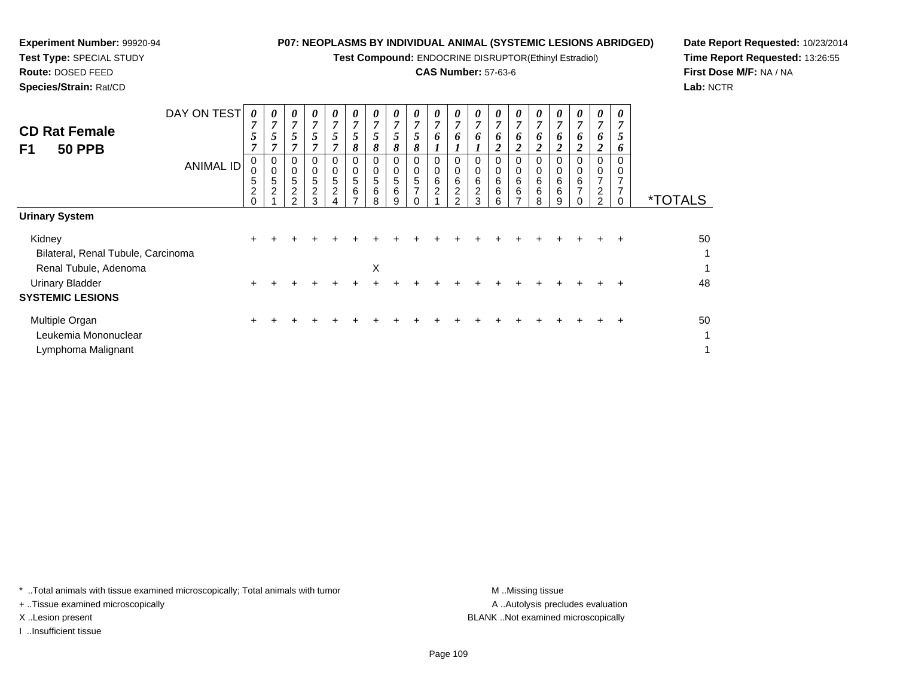**Test Compound:** ENDOCRINE DISRUPTOR(Ethinyl Estradiol)

# **CAS Number:** 57-63-6

**Date Report Requested:** 10/23/2014**Time Report Requested:** 13:26:55**First Dose M/F:** NA / NA**Lab:** NCTR

|                                    | DAY ON TEST      | 0                   | 0      | $\boldsymbol{\theta}$ | $\boldsymbol{\theta}$ | 0                   | 0              | 0      | $\boldsymbol{\theta}$ | $\theta$            | $\boldsymbol{\theta}$ | $\theta$            | $\theta$            | $\boldsymbol{\theta}$ | $\boldsymbol{\theta}$ | $\boldsymbol{\theta}$ | $\theta$ | $\theta$            | 0              | 0              |                       |
|------------------------------------|------------------|---------------------|--------|-----------------------|-----------------------|---------------------|----------------|--------|-----------------------|---------------------|-----------------------|---------------------|---------------------|-----------------------|-----------------------|-----------------------|----------|---------------------|----------------|----------------|-----------------------|
| <b>CD Rat Female</b>               |                  | 7                   | 7      | 7                     | $\mathbf{z}$          | $\overline{ }$      | $\overline{7}$ | 7      | 7                     | $\overline{7}$      | 7                     | $\overline{ }$      | 7                   | 7                     | 7                     | $\overline{7}$        | 7        | 7                   | $\overline{ }$ | $\overline{ }$ |                       |
|                                    |                  | 5                   |        |                       | 5                     | 5                   | 5              |        | 5                     | 5                   | 6                     | 6                   | 6                   | 6                     | o                     | o                     | 0        | 6                   | O.             | $\mathfrak{p}$ |                       |
| F1<br><b>50 PPB</b>                |                  | 7                   |        |                       |                       |                     | 8              | 8      | 8                     | 8                   |                       |                     |                     |                       |                       | 2                     | 2        | 2                   |                | o              |                       |
|                                    | <b>ANIMAL ID</b> | $\mathbf 0$         | 0      | 0                     | 0                     | 0                   | 0              | 0      | 0                     | 0                   | 0                     |                     | 0                   |                       | 0                     | 0                     | 0        | 0                   | 0              | 0              |                       |
|                                    |                  | 0                   | 0      | 0                     | 0                     | 0                   | $\mathbf 0$    | 0      | 0                     | 0                   | 0                     | 0                   | 0                   | 0                     | 0                     | 0                     | 0        | 0                   |                | 0              |                       |
|                                    |                  | 5<br>$\overline{2}$ | 5<br>C | 5<br>$\overline{2}$   | 5<br>$\overline{2}$   | 5<br>$\overline{c}$ | 5<br>6         | 5<br>6 | 5<br>6                | 5<br>$\overline{ }$ | 6<br>$\overline{c}$   | 6<br>$\overline{c}$ | 6<br>$\overline{c}$ | 6<br>6                | 6<br>6                | 6<br>$\,6\,$          | 6<br>6   | 6<br>$\overline{ }$ | 2              |                |                       |
|                                    |                  | $\Omega$            |        | っ                     | 3                     |                     |                | 8      | 9                     |                     |                       | $\mathcal{P}$       | 3                   | 6                     | ⇁                     | 8                     | 9        |                     | 2              | 0              | <i><b>*TOTALS</b></i> |
| <b>Urinary System</b>              |                  |                     |        |                       |                       |                     |                |        |                       |                     |                       |                     |                     |                       |                       |                       |          |                     |                |                |                       |
| Kidney                             |                  | ÷.                  |        |                       |                       |                     |                |        |                       |                     |                       |                     |                     |                       |                       |                       |          |                     |                | ÷              | 50                    |
| Bilateral, Renal Tubule, Carcinoma |                  |                     |        |                       |                       |                     |                |        |                       |                     |                       |                     |                     |                       |                       |                       |          |                     |                |                | 1                     |
| Renal Tubule, Adenoma              |                  |                     |        |                       |                       |                     |                | Х      |                       |                     |                       |                     |                     |                       |                       |                       |          |                     |                |                | 1                     |
| Urinary Bladder                    |                  | $+$                 |        |                       |                       |                     |                |        |                       |                     |                       |                     |                     |                       |                       | ÷.                    | $\pm$    | $\pm$               | $\pm$          | $\pm$          | 48                    |

| Urinary Bladder         |  |  |  |  |  |  |  |  |  | 48 |
|-------------------------|--|--|--|--|--|--|--|--|--|----|
| <b>SYSTEMIC LESIONS</b> |  |  |  |  |  |  |  |  |  |    |
| Multiple Organ          |  |  |  |  |  |  |  |  |  | 50 |
| Leukemia Mononuclear    |  |  |  |  |  |  |  |  |  |    |
| Lymphoma Malignant      |  |  |  |  |  |  |  |  |  |    |

\* ..Total animals with tissue examined microscopically; Total animals with tumor **M** . Missing tissue M ..Missing tissue

+ ..Tissue examined microscopically

**Experiment Number:** 99920-94**Test Type:** SPECIAL STUDY**Route:** DOSED FEED**Species/Strain:** Rat/CD

I ..Insufficient tissue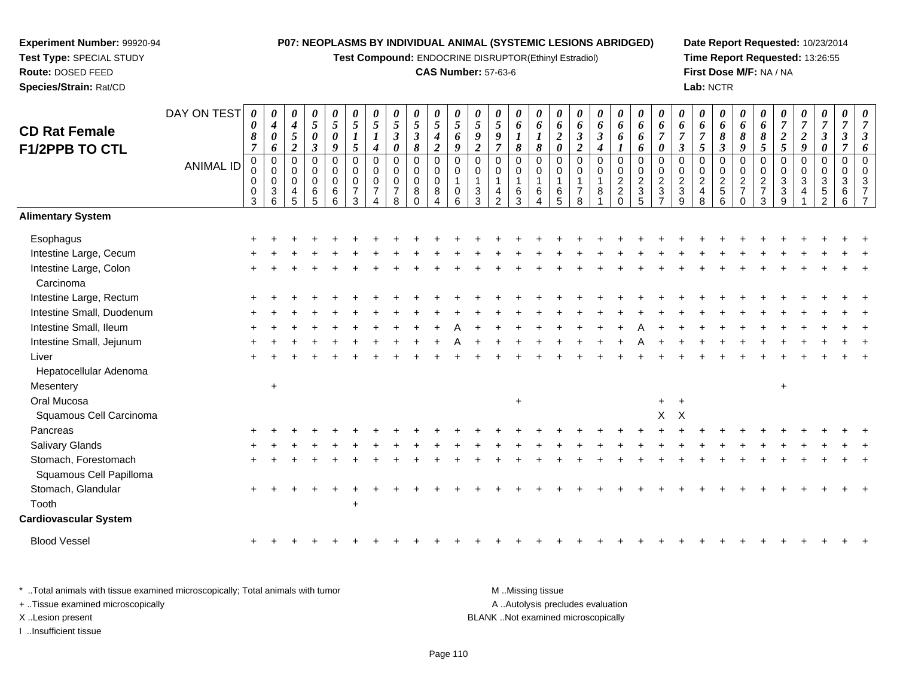**Test Compound:** ENDOCRINE DISRUPTOR(Ethinyl Estradiol)

# **CAS Number:** 57-63-6

**Date Report Requested:** 10/23/2014**Time Report Requested:** 13:26:55**First Dose M/F:** NA / NA**Lab:** NCTR

| <b>CD Rat Female</b>         | DAY ON TEST      | 0<br>$\pmb{\theta}$ | 0<br>$\boldsymbol{4}$      | 0<br>$\boldsymbol{4}$ | 0<br>$5\overline{)}$      | $\boldsymbol{\theta}$<br>$\sqrt{5}$ | 0<br>$\mathfrak{H}$                | $\boldsymbol{\theta}$<br>5           | 0<br>5                         | 0<br>$\mathfrak{s}$             | $\boldsymbol{\theta}$<br>$\sqrt{5}$  | 0<br>$\mathfrak{H}$         | $\boldsymbol{\theta}$<br>$\overline{5}$ | 0<br>5              | 0<br>6                | $\boldsymbol{\theta}$<br>6 | 0<br>6                                    | 0<br>6                             | 0<br>6            | 0<br>6                                       | 0<br>6                    | 0<br>6                                  | 0<br>6                           | 0<br>6                  | 0<br>6                                     | $\boldsymbol{\theta}$<br>6 | 0<br>6                | $\theta$<br>$\overline{7}$ | $\boldsymbol{\theta}$<br>$\boldsymbol{7}$ | 0<br>$\boldsymbol{7}$                  | 0<br>$\overline{7}$                    | 0<br>$\overline{7}$ |
|------------------------------|------------------|---------------------|----------------------------|-----------------------|---------------------------|-------------------------------------|------------------------------------|--------------------------------------|--------------------------------|---------------------------------|--------------------------------------|-----------------------------|-----------------------------------------|---------------------|-----------------------|----------------------------|-------------------------------------------|------------------------------------|-------------------|----------------------------------------------|---------------------------|-----------------------------------------|----------------------------------|-------------------------|--------------------------------------------|----------------------------|-----------------------|----------------------------|-------------------------------------------|----------------------------------------|----------------------------------------|---------------------|
| F1/2PPB TO CTL               |                  | 8<br>$\overline{7}$ | $\boldsymbol{\theta}$<br>6 | 5<br>$\overline{2}$   | 0<br>$\boldsymbol{\beta}$ | $\boldsymbol{\theta}$<br>9          | $\boldsymbol{l}$<br>$\overline{5}$ | $\boldsymbol{l}$<br>$\boldsymbol{4}$ | $\mathbf{3}$<br>$\pmb{\theta}$ | $\boldsymbol{\beta}$<br>8       | $\boldsymbol{4}$<br>$\boldsymbol{2}$ | 6<br>$\boldsymbol{g}$       | 9<br>$\boldsymbol{2}$                   | 9<br>$\overline{7}$ | $\boldsymbol{l}$<br>8 | 8                          | $\boldsymbol{2}$<br>$\boldsymbol{\theta}$ | $\mathfrak{z}$<br>$\boldsymbol{2}$ | $\mathbf{3}$<br>4 | 6<br>$\boldsymbol{l}$                        | 6<br>6                    | $\overline{7}$<br>$\boldsymbol{\theta}$ | $\overline{7}$<br>$\mathfrak{z}$ | $\overline{7}$<br>5     | 8<br>$\mathfrak{z}$                        | 8<br>$\boldsymbol{q}$      | 8<br>5                | $\boldsymbol{2}$<br>5      | $\overline{2}$<br>$\boldsymbol{g}$        | $\boldsymbol{\beta}$<br>$\pmb{\theta}$ | $\boldsymbol{\beta}$<br>$\overline{7}$ |                     |
|                              | <b>ANIMAL ID</b> | $\pmb{0}$           | $\mathbf 0$                | $\mathbf 0$           | $\mathbf 0$               | $\pmb{0}$                           | $\mathbf 0$                        | $\mathbf 0$                          | 0                              | $\mathbf 0$                     | $\pmb{0}$                            | $\pmb{0}$                   | $\mathbf 0$                             | $\mathbf 0$         | 0                     | $\mathbf 0$                | $\mathbf 0$                               | $\mathbf 0$                        | $\mathbf 0$       | 0                                            | $\mathbf 0$               | $\mathbf 0$                             | $\mathbf 0$                      | $\mathbf 0$             | $\mathbf 0$                                | $\mathbf 0$                | $\mathbf 0$           | $\mathbf 0$                | 0                                         | 0                                      | $\pmb{0}$                              |                     |
|                              |                  | 0<br>0              | $\mathbf 0$<br>$\mathbf 0$ | $\Omega$<br>$\Omega$  | 0<br>$\mathbf 0$          | $\mathbf 0$<br>$\mathbf 0$          | $\mathbf 0$<br>$\mathbf 0$         | $\Omega$<br>$\mathbf 0$              | 0<br>$\mathbf 0$               | $\boldsymbol{0}$<br>$\mathsf 0$ | $\mathbf 0$<br>$\mathsf 0$           | $\mathbf 0$<br>$\mathbf{1}$ | 0<br>$\mathbf{1}$                       | $\mathbf 0$<br>1    | 0<br>$\mathbf{1}$     | 0<br>1                     | $\mathbf 0$<br>$\overline{\mathbf{1}}$    | 0<br>$\mathbf{1}$                  | 0                 | $\begin{smallmatrix} 0\\2 \end{smallmatrix}$ | $\,0\,$<br>$\overline{2}$ | 0<br>$\boldsymbol{2}$                   | 0<br>$\overline{c}$              | 0<br>$\overline{a}$     |                                            | $\pmb{0}$                  | 0<br>$\boldsymbol{2}$ | $\mathbf 0$<br>$\sqrt{3}$  | 0<br>3                                    | 0<br>$\mathbf{3}$                      | 0<br>$\mathbf{3}$                      |                     |
|                              |                  | $\pmb{0}$           | $\mathbf{3}$               | 4                     | 6                         | $\,6$                               | $\overline{7}$                     | $\overline{7}$                       | $\overline{7}$                 | 8                               | $\bf 8$                              | 0                           | $\sqrt{3}$                              | 4                   | 6                     | 6                          | 6                                         | $\overline{7}$                     | 8                 | $\overline{c}$                               | $\ensuremath{\mathsf{3}}$ | $\ensuremath{\mathsf{3}}$               | $\sqrt{3}$                       | $\overline{\mathbf{4}}$ | $\begin{array}{c} 0 \\ 2 \\ 5 \end{array}$ | $\frac{2}{7}$              | $\overline{7}$        | $\mathbf{3}$               | 4                                         | $\,$ 5 $\,$                            | 6                                      |                     |
|                              |                  | 3                   | 6                          | 5                     | 5                         | 6                                   | 3                                  |                                      | 8                              | $\Omega$                        |                                      | 6                           | 3                                       | $\overline{2}$      | 3                     |                            | 5                                         | 8                                  |                   | $\Omega$                                     | 5                         |                                         | q                                | 8                       | $6\phantom{1}$                             | $\mathbf 0$                | 3                     | $\mathbf{Q}$               |                                           | 2                                      | 6                                      |                     |
| <b>Alimentary System</b>     |                  |                     |                            |                       |                           |                                     |                                    |                                      |                                |                                 |                                      |                             |                                         |                     |                       |                            |                                           |                                    |                   |                                              |                           |                                         |                                  |                         |                                            |                            |                       |                            |                                           |                                        |                                        |                     |
| Esophagus                    |                  |                     |                            |                       |                           |                                     |                                    |                                      |                                |                                 |                                      |                             |                                         |                     |                       |                            |                                           |                                    |                   |                                              |                           |                                         |                                  |                         |                                            |                            |                       |                            |                                           |                                        |                                        |                     |
| Intestine Large, Cecum       |                  |                     |                            |                       |                           |                                     |                                    |                                      |                                |                                 |                                      |                             |                                         |                     |                       |                            |                                           |                                    |                   |                                              |                           |                                         |                                  |                         |                                            |                            |                       |                            |                                           |                                        |                                        |                     |
| Intestine Large, Colon       |                  |                     |                            |                       |                           |                                     |                                    |                                      |                                |                                 |                                      |                             |                                         |                     |                       |                            |                                           |                                    |                   |                                              |                           |                                         |                                  |                         |                                            |                            |                       |                            |                                           |                                        |                                        |                     |
| Carcinoma                    |                  |                     |                            |                       |                           |                                     |                                    |                                      |                                |                                 |                                      |                             |                                         |                     |                       |                            |                                           |                                    |                   |                                              |                           |                                         |                                  |                         |                                            |                            |                       |                            |                                           |                                        |                                        |                     |
| Intestine Large, Rectum      |                  |                     |                            |                       |                           |                                     |                                    |                                      |                                |                                 |                                      |                             |                                         |                     |                       |                            |                                           |                                    |                   |                                              |                           |                                         |                                  |                         |                                            |                            |                       |                            |                                           |                                        |                                        |                     |
| Intestine Small, Duodenum    |                  |                     |                            |                       |                           |                                     |                                    |                                      |                                |                                 |                                      |                             |                                         |                     |                       |                            |                                           |                                    |                   |                                              |                           |                                         |                                  |                         |                                            |                            |                       |                            |                                           |                                        |                                        |                     |
| Intestine Small, Ileum       |                  |                     |                            |                       |                           |                                     |                                    |                                      |                                |                                 |                                      |                             |                                         |                     |                       |                            |                                           |                                    |                   |                                              |                           |                                         |                                  |                         |                                            |                            |                       |                            |                                           |                                        |                                        |                     |
| Intestine Small, Jejunum     |                  |                     |                            |                       |                           |                                     |                                    |                                      |                                |                                 |                                      |                             |                                         |                     |                       |                            |                                           |                                    |                   |                                              |                           |                                         |                                  |                         |                                            |                            |                       |                            |                                           |                                        |                                        |                     |
| Liver                        |                  |                     |                            |                       |                           |                                     |                                    |                                      |                                |                                 |                                      |                             |                                         |                     |                       |                            |                                           |                                    |                   |                                              |                           |                                         |                                  |                         |                                            |                            |                       |                            |                                           |                                        |                                        |                     |
| Hepatocellular Adenoma       |                  |                     |                            |                       |                           |                                     |                                    |                                      |                                |                                 |                                      |                             |                                         |                     |                       |                            |                                           |                                    |                   |                                              |                           |                                         |                                  |                         |                                            |                            |                       |                            |                                           |                                        |                                        |                     |
| Mesentery                    |                  |                     | $\ddot{}$                  |                       |                           |                                     |                                    |                                      |                                |                                 |                                      |                             |                                         |                     |                       |                            |                                           |                                    |                   |                                              |                           |                                         |                                  |                         |                                            |                            |                       | $\ddot{}$                  |                                           |                                        |                                        |                     |
| Oral Mucosa                  |                  |                     |                            |                       |                           |                                     |                                    |                                      |                                |                                 |                                      |                             |                                         |                     | $\ddot{}$             |                            |                                           |                                    |                   |                                              |                           | $+$                                     | $\ddot{}$                        |                         |                                            |                            |                       |                            |                                           |                                        |                                        |                     |
| Squamous Cell Carcinoma      |                  |                     |                            |                       |                           |                                     |                                    |                                      |                                |                                 |                                      |                             |                                         |                     |                       |                            |                                           |                                    |                   |                                              |                           | $\mathsf{X}$                            | $\times$                         |                         |                                            |                            |                       |                            |                                           |                                        |                                        |                     |
| Pancreas                     |                  |                     |                            |                       |                           |                                     |                                    |                                      |                                |                                 |                                      |                             |                                         |                     |                       |                            |                                           |                                    |                   |                                              |                           |                                         |                                  |                         |                                            |                            |                       |                            |                                           |                                        |                                        |                     |
| Salivary Glands              |                  |                     |                            |                       |                           |                                     |                                    |                                      |                                |                                 |                                      |                             |                                         |                     |                       |                            |                                           |                                    |                   |                                              |                           |                                         |                                  |                         |                                            |                            |                       |                            |                                           |                                        |                                        |                     |
| Stomach, Forestomach         |                  |                     |                            |                       |                           |                                     |                                    |                                      |                                |                                 |                                      |                             |                                         |                     |                       |                            |                                           |                                    |                   |                                              |                           |                                         |                                  |                         |                                            |                            |                       |                            |                                           |                                        |                                        |                     |
| Squamous Cell Papilloma      |                  |                     |                            |                       |                           |                                     |                                    |                                      |                                |                                 |                                      |                             |                                         |                     |                       |                            |                                           |                                    |                   |                                              |                           |                                         |                                  |                         |                                            |                            |                       |                            |                                           |                                        |                                        |                     |
| Stomach, Glandular           |                  |                     |                            |                       |                           |                                     |                                    |                                      |                                |                                 |                                      |                             |                                         |                     |                       |                            |                                           |                                    |                   |                                              |                           |                                         |                                  |                         |                                            |                            |                       |                            |                                           |                                        |                                        |                     |
| Tooth                        |                  |                     |                            |                       |                           |                                     | +                                  |                                      |                                |                                 |                                      |                             |                                         |                     |                       |                            |                                           |                                    |                   |                                              |                           |                                         |                                  |                         |                                            |                            |                       |                            |                                           |                                        |                                        |                     |
| <b>Cardiovascular System</b> |                  |                     |                            |                       |                           |                                     |                                    |                                      |                                |                                 |                                      |                             |                                         |                     |                       |                            |                                           |                                    |                   |                                              |                           |                                         |                                  |                         |                                            |                            |                       |                            |                                           |                                        |                                        |                     |
| <b>Blood Vessel</b>          |                  |                     |                            |                       |                           |                                     |                                    |                                      |                                |                                 |                                      |                             |                                         |                     |                       |                            |                                           |                                    |                   |                                              |                           |                                         |                                  |                         |                                            |                            |                       |                            |                                           |                                        |                                        |                     |
|                              |                  |                     |                            |                       |                           |                                     |                                    |                                      |                                |                                 |                                      |                             |                                         |                     |                       |                            |                                           |                                    |                   |                                              |                           |                                         |                                  |                         |                                            |                            |                       |                            |                                           |                                        |                                        |                     |

\* ..Total animals with tissue examined microscopically; Total animals with tumor **M** . Missing tissue M ..Missing tissue A ..Autolysis precludes evaluation + ..Tissue examined microscopically X ..Lesion present BLANK ..Not examined microscopicallyI ..Insufficient tissue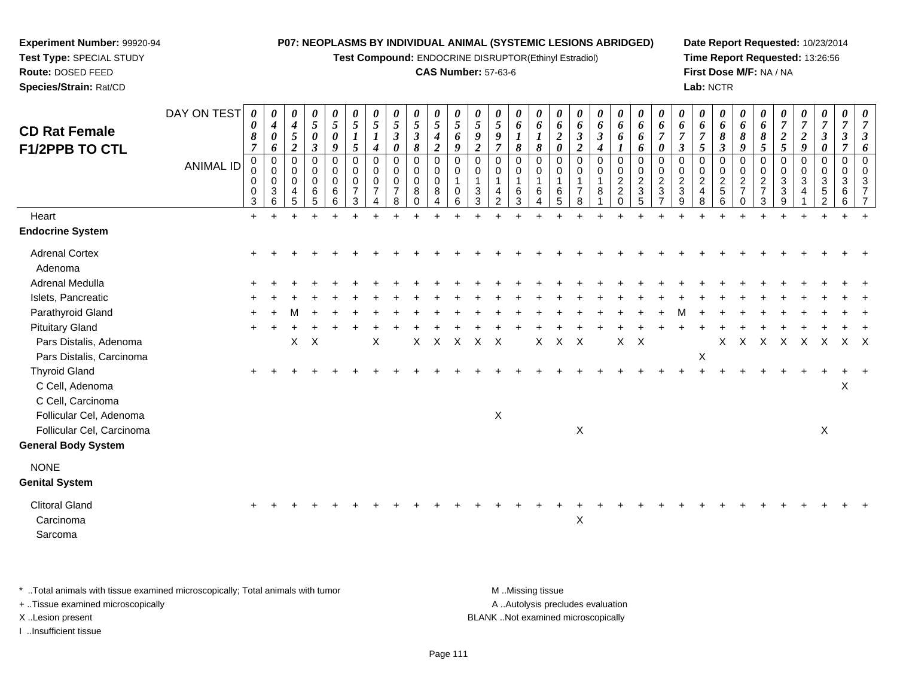**Test Compound:** ENDOCRINE DISRUPTOR(Ethinyl Estradiol)

# **CAS Number:** 57-63-6

**Date Report Requested:** 10/23/2014**Time Report Requested:** 13:26:56**First Dose M/F:** NA / NA**Lab:** NCTR

| <b>CD Rat Female</b>                                         | DAY ON TEST      | $\boldsymbol{\theta}$<br>$\boldsymbol{\theta}$<br>$\pmb{8}$  | $\theta$<br>$\boldsymbol{4}$<br>$\pmb{\theta}$                       | 0<br>$\boldsymbol{4}$<br>5                                  | 0<br>$\mathfrak{s}$<br>$\boldsymbol{\theta}$           | 0<br>$\mathfrak{s}$<br>$\pmb{\theta}$                        | $\boldsymbol{\theta}$<br>$\overline{5}$<br>$\boldsymbol{l}$ | $\boldsymbol{\theta}$<br>$\sqrt{5}$<br>$\boldsymbol{l}$                    | $\frac{\theta}{5}$<br>$\boldsymbol{\mathfrak{z}}$                     | $\frac{\theta}{5}$<br>$\boldsymbol{\mathfrak{z}}$ | $\frac{\theta}{5}$<br>$\boldsymbol{4}$                                                          | $\frac{\theta}{5}$<br>$\pmb{6}$             | $\overline{5}$<br>$\pmb{9}$                               | 0<br>5<br>$\boldsymbol{g}$                                       | 0<br>6<br>$\boldsymbol{l}$                     | 0<br>6<br>$\boldsymbol{l}$      | $\boldsymbol{\theta}$<br>$\pmb{6}$<br>$\boldsymbol{2}$ | $\boldsymbol{\theta}$<br>6<br>$\boldsymbol{\beta}$             | 0<br>6<br>$\mathfrak{z}$   | 0<br>6<br>6                                                                | 0<br>6<br>6                                                                                        | $\boldsymbol{\theta}$<br>6<br>$\overline{7}$                           | $\theta$<br>6<br>$\overline{7}$                                        | 0<br>6<br>$\overline{7}$                             | 0<br>6<br>8                                                    | 0<br>6<br>$\pmb{8}$                                                                | $\boldsymbol{\theta}$<br>6<br>$\pmb{8}$                                 | $\overline{7}$<br>$\frac{2}{5}$                                  | 0<br>$\overline{7}$<br>$\overline{\mathbf{c}}$ | 0<br>$\overline{7}$<br>$\mathbf{3}$             | 0<br>$\overline{7}$<br>$\boldsymbol{\beta}$                                  | 0        |
|--------------------------------------------------------------|------------------|--------------------------------------------------------------|----------------------------------------------------------------------|-------------------------------------------------------------|--------------------------------------------------------|--------------------------------------------------------------|-------------------------------------------------------------|----------------------------------------------------------------------------|-----------------------------------------------------------------------|---------------------------------------------------|-------------------------------------------------------------------------------------------------|---------------------------------------------|-----------------------------------------------------------|------------------------------------------------------------------|------------------------------------------------|---------------------------------|--------------------------------------------------------|----------------------------------------------------------------|----------------------------|----------------------------------------------------------------------------|----------------------------------------------------------------------------------------------------|------------------------------------------------------------------------|------------------------------------------------------------------------|------------------------------------------------------|----------------------------------------------------------------|------------------------------------------------------------------------------------|-------------------------------------------------------------------------|------------------------------------------------------------------|------------------------------------------------|-------------------------------------------------|------------------------------------------------------------------------------|----------|
| F1/2PPB TO CTL                                               | <b>ANIMAL ID</b> | $\overline{7}$<br>0<br>0<br>0<br>$\mathbf 0$<br>$\mathbf{3}$ | 6<br>$\mathbf 0$<br>0<br>$\pmb{0}$<br>$\ensuremath{\mathsf{3}}$<br>6 | $\overline{2}$<br>$\Omega$<br>0<br>0<br>$\overline{4}$<br>5 | $\mathfrak{z}$<br>0<br>0<br>0<br>$\,6\,$<br>$\sqrt{5}$ | 9<br>$\mathbf 0$<br>$\mathbf 0$<br>$\pmb{0}$<br>$\,6\,$<br>6 | $\sqrt{5}$<br>$\mathbf 0$<br>0<br>0<br>$\overline{7}$<br>3  | $\boldsymbol{4}$<br>$\mathbf 0$<br>$\mathbf 0$<br>0<br>$\overline{7}$<br>4 | $\boldsymbol{\theta}$<br>$\mathbf 0$<br>0<br>0<br>$\overline{7}$<br>8 | 8<br>0<br>0<br>0<br>8<br>$\Omega$                 | $\overline{\mathbf{c}}$<br>$\mathbf 0$<br>$\mathbf 0$<br>$\pmb{0}$<br>$\bf 8$<br>$\overline{4}$ | $\boldsymbol{g}$<br>$\Omega$<br>0<br>0<br>6 | $\overline{2}$<br>$\Omega$<br>0<br>1<br>$\mathbf{3}$<br>3 | $\overline{7}$<br>$\Omega$<br>$\mathbf 0$<br>4<br>$\overline{2}$ | $\boldsymbol{\delta}$<br>0<br>0<br>1<br>6<br>3 | 8<br>$\mathbf 0$<br>0<br>6<br>4 | $\pmb{\theta}$<br>$\Omega$<br>0<br>6<br>5              | $\overline{2}$<br>$\mathbf 0$<br>0<br>1<br>$\overline{7}$<br>8 | 4<br>$\mathbf 0$<br>0<br>8 | $\boldsymbol{l}$<br>0<br>0<br>$\overline{c}$<br>$\overline{c}$<br>$\Omega$ | 6<br>$\mathbf 0$<br>$\mathbf 0$<br>$\boldsymbol{2}$<br>$\ensuremath{\mathsf{3}}$<br>$\overline{5}$ | $\boldsymbol{\theta}$<br>$\Omega$<br>0<br>$\overline{2}$<br>$\sqrt{3}$ | $\boldsymbol{\beta}$<br>$\Omega$<br>0<br>$\sqrt{2}$<br>$\sqrt{3}$<br>9 | 5<br>0<br>0<br>$\overline{c}$<br>$\overline{4}$<br>8 | $\boldsymbol{\beta}$<br>0<br>0<br>$\overline{c}$<br>$5\,$<br>6 | 9<br>$\mathbf 0$<br>$\mathbf 0$<br>$\overline{c}$<br>$\overline{7}$<br>$\mathbf 0$ | $\sqrt{5}$<br>$\mathbf 0$<br>0<br>$\overline{2}$<br>$\overline{7}$<br>3 | $\mathbf 0$<br>0<br>$\sqrt{3}$<br>$\ensuremath{\mathsf{3}}$<br>9 | $\boldsymbol{g}$<br>$\mathbf 0$<br>0<br>3<br>4 | 0<br>0<br>0<br>$\mathbf{3}$<br>$\,$ 5 $\,$<br>2 | $\overline{7}$<br>$\mathbf 0$<br>$\mathbf 0$<br>$\mathbf{3}$<br>$\,6\,$<br>6 | 6        |
| Heart                                                        |                  | $+$                                                          |                                                                      |                                                             |                                                        |                                                              |                                                             |                                                                            |                                                                       |                                                   |                                                                                                 |                                             |                                                           |                                                                  |                                                |                                 |                                                        |                                                                |                            |                                                                            |                                                                                                    |                                                                        |                                                                        |                                                      |                                                                |                                                                                    |                                                                         |                                                                  |                                                |                                                 |                                                                              |          |
| <b>Endocrine System</b>                                      |                  |                                                              |                                                                      |                                                             |                                                        |                                                              |                                                             |                                                                            |                                                                       |                                                   |                                                                                                 |                                             |                                                           |                                                                  |                                                |                                 |                                                        |                                                                |                            |                                                                            |                                                                                                    |                                                                        |                                                                        |                                                      |                                                                |                                                                                    |                                                                         |                                                                  |                                                |                                                 |                                                                              |          |
| <b>Adrenal Cortex</b><br>Adenoma                             |                  |                                                              |                                                                      |                                                             |                                                        |                                                              |                                                             |                                                                            |                                                                       |                                                   |                                                                                                 |                                             |                                                           |                                                                  |                                                |                                 |                                                        |                                                                |                            |                                                                            |                                                                                                    |                                                                        |                                                                        |                                                      |                                                                |                                                                                    |                                                                         |                                                                  |                                                |                                                 |                                                                              |          |
| <b>Adrenal Medulla</b>                                       |                  |                                                              |                                                                      |                                                             |                                                        |                                                              |                                                             |                                                                            |                                                                       |                                                   |                                                                                                 |                                             |                                                           |                                                                  |                                                |                                 |                                                        |                                                                |                            |                                                                            |                                                                                                    |                                                                        |                                                                        |                                                      |                                                                |                                                                                    |                                                                         |                                                                  |                                                |                                                 |                                                                              |          |
| Islets, Pancreatic                                           |                  |                                                              |                                                                      |                                                             |                                                        |                                                              |                                                             |                                                                            |                                                                       |                                                   |                                                                                                 |                                             |                                                           |                                                                  |                                                |                                 |                                                        |                                                                |                            |                                                                            |                                                                                                    |                                                                        |                                                                        |                                                      |                                                                |                                                                                    |                                                                         |                                                                  |                                                |                                                 |                                                                              |          |
| Parathyroid Gland                                            |                  |                                                              |                                                                      |                                                             |                                                        |                                                              |                                                             |                                                                            |                                                                       |                                                   |                                                                                                 |                                             |                                                           |                                                                  |                                                |                                 |                                                        |                                                                |                            |                                                                            |                                                                                                    |                                                                        |                                                                        |                                                      |                                                                |                                                                                    |                                                                         |                                                                  |                                                |                                                 |                                                                              |          |
| <b>Pituitary Gland</b>                                       |                  |                                                              |                                                                      |                                                             |                                                        |                                                              |                                                             |                                                                            |                                                                       |                                                   |                                                                                                 |                                             |                                                           |                                                                  |                                                |                                 |                                                        |                                                                |                            |                                                                            |                                                                                                    |                                                                        |                                                                        |                                                      |                                                                |                                                                                    |                                                                         |                                                                  |                                                |                                                 |                                                                              |          |
| Pars Distalis, Adenoma                                       |                  |                                                              |                                                                      | Χ                                                           | $\mathsf{X}$                                           |                                                              |                                                             | Χ                                                                          |                                                                       | X                                                 | X                                                                                               | X                                           | X                                                         | $\times$                                                         |                                                | X                               | X                                                      | Χ                                                              |                            | X                                                                          | $\mathsf{X}$                                                                                       |                                                                        |                                                                        |                                                      | X                                                              | X                                                                                  | X                                                                       | Χ                                                                | $\boldsymbol{X}$                               | $\mathsf{X}$                                    | X                                                                            | $\times$ |
| Pars Distalis, Carcinoma                                     |                  |                                                              |                                                                      |                                                             |                                                        |                                                              |                                                             |                                                                            |                                                                       |                                                   |                                                                                                 |                                             |                                                           |                                                                  |                                                |                                 |                                                        |                                                                |                            |                                                                            |                                                                                                    |                                                                        |                                                                        | $\sf X$                                              |                                                                |                                                                                    |                                                                         |                                                                  |                                                |                                                 |                                                                              |          |
| <b>Thyroid Gland</b><br>C Cell, Adenoma<br>C Cell, Carcinoma |                  |                                                              |                                                                      |                                                             |                                                        |                                                              |                                                             |                                                                            |                                                                       |                                                   |                                                                                                 |                                             |                                                           |                                                                  |                                                |                                 |                                                        |                                                                |                            |                                                                            |                                                                                                    |                                                                        |                                                                        |                                                      |                                                                |                                                                                    |                                                                         |                                                                  |                                                |                                                 | X                                                                            |          |
| Follicular Cel, Adenoma                                      |                  |                                                              |                                                                      |                                                             |                                                        |                                                              |                                                             |                                                                            |                                                                       |                                                   |                                                                                                 |                                             |                                                           | $\mathsf X$                                                      |                                                |                                 |                                                        |                                                                |                            |                                                                            |                                                                                                    |                                                                        |                                                                        |                                                      |                                                                |                                                                                    |                                                                         |                                                                  |                                                |                                                 |                                                                              |          |
| Follicular Cel, Carcinoma                                    |                  |                                                              |                                                                      |                                                             |                                                        |                                                              |                                                             |                                                                            |                                                                       |                                                   |                                                                                                 |                                             |                                                           |                                                                  |                                                |                                 |                                                        | $\mathsf X$                                                    |                            |                                                                            |                                                                                                    |                                                                        |                                                                        |                                                      |                                                                |                                                                                    |                                                                         |                                                                  |                                                | X                                               |                                                                              |          |
| <b>General Body System</b>                                   |                  |                                                              |                                                                      |                                                             |                                                        |                                                              |                                                             |                                                                            |                                                                       |                                                   |                                                                                                 |                                             |                                                           |                                                                  |                                                |                                 |                                                        |                                                                |                            |                                                                            |                                                                                                    |                                                                        |                                                                        |                                                      |                                                                |                                                                                    |                                                                         |                                                                  |                                                |                                                 |                                                                              |          |
| <b>NONE</b><br><b>Genital System</b>                         |                  |                                                              |                                                                      |                                                             |                                                        |                                                              |                                                             |                                                                            |                                                                       |                                                   |                                                                                                 |                                             |                                                           |                                                                  |                                                |                                 |                                                        |                                                                |                            |                                                                            |                                                                                                    |                                                                        |                                                                        |                                                      |                                                                |                                                                                    |                                                                         |                                                                  |                                                |                                                 |                                                                              |          |
| <b>Clitoral Gland</b>                                        |                  |                                                              |                                                                      |                                                             |                                                        |                                                              |                                                             |                                                                            |                                                                       |                                                   |                                                                                                 |                                             |                                                           |                                                                  |                                                |                                 |                                                        |                                                                |                            |                                                                            |                                                                                                    |                                                                        |                                                                        |                                                      |                                                                |                                                                                    |                                                                         |                                                                  |                                                |                                                 |                                                                              |          |
| Carcinoma                                                    |                  |                                                              |                                                                      |                                                             |                                                        |                                                              |                                                             |                                                                            |                                                                       |                                                   |                                                                                                 |                                             |                                                           |                                                                  |                                                |                                 |                                                        | X                                                              |                            |                                                                            |                                                                                                    |                                                                        |                                                                        |                                                      |                                                                |                                                                                    |                                                                         |                                                                  |                                                |                                                 |                                                                              |          |
| Sarcoma                                                      |                  |                                                              |                                                                      |                                                             |                                                        |                                                              |                                                             |                                                                            |                                                                       |                                                   |                                                                                                 |                                             |                                                           |                                                                  |                                                |                                 |                                                        |                                                                |                            |                                                                            |                                                                                                    |                                                                        |                                                                        |                                                      |                                                                |                                                                                    |                                                                         |                                                                  |                                                |                                                 |                                                                              |          |
|                                                              |                  |                                                              |                                                                      |                                                             |                                                        |                                                              |                                                             |                                                                            |                                                                       |                                                   |                                                                                                 |                                             |                                                           |                                                                  |                                                |                                 |                                                        |                                                                |                            |                                                                            |                                                                                                    |                                                                        |                                                                        |                                                      |                                                                |                                                                                    |                                                                         |                                                                  |                                                |                                                 |                                                                              |          |

\* ..Total animals with tissue examined microscopically; Total animals with tumor **M** . Missing tissue M ..Missing tissue

+ ..Tissue examined microscopically

**Experiment Number:** 99920-94**Test Type:** SPECIAL STUDY**Route:** DOSED FEED**Species/Strain:** Rat/CD

I ..Insufficient tissue

A ..Autolysis precludes evaluation

X ..Lesion present BLANK ..Not examined microscopically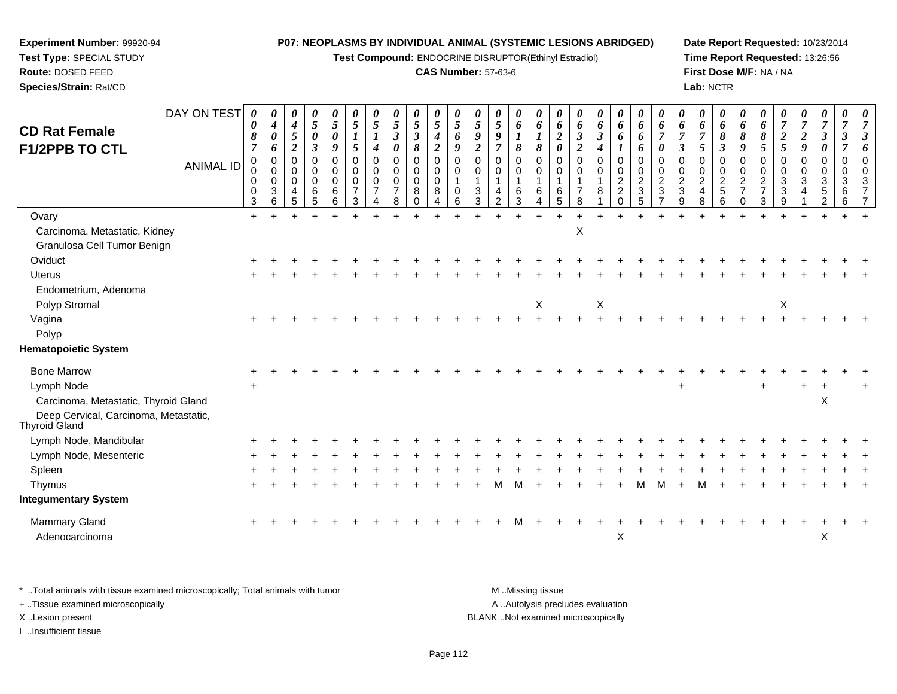**Test Compound:** ENDOCRINE DISRUPTOR(Ethinyl Estradiol)

# **CAS Number:** 57-63-6

**Date Report Requested:** 10/23/2014**Time Report Requested:** 13:26:56**First Dose M/F:** NA / NA**Lab:** NCTR

| <b>CD Rat Female</b><br>F1/2PPB TO CTL                                | DAY ON TEST      | $\boldsymbol{\theta}$<br>0<br>8<br>$\overline{7}$ | 0<br>$\boldsymbol{4}$<br>$\boldsymbol{\theta}$<br>6             | 0<br>$\boldsymbol{4}$<br>$\sqrt{5}$<br>$\overline{2}$ | 0<br>$\mathfrak{s}$<br>$\boldsymbol{\theta}$<br>$\mathfrak{z}$ | $\boldsymbol{\theta}$<br>$\sqrt{5}$<br>0<br>9 | 0<br>$\sqrt{5}$<br>1<br>$\mathfrak{s}$    | $\boldsymbol{\theta}$<br>5<br>$\boldsymbol{4}$           | $\boldsymbol{\theta}$<br>$\sqrt{5}$<br>$\boldsymbol{\beta}$<br>$\boldsymbol{\theta}$ | 0<br>$\overline{5}$<br>$\mathfrak{z}$<br>8                    | $\boldsymbol{\theta}$<br>$\mathfrak{S}$<br>$\boldsymbol{4}$<br>$\boldsymbol{2}$ | 0<br>$\mathfrak{s}$<br>6<br>9     | $\boldsymbol{\theta}$<br>5<br>9<br>$\overline{2}$ | 0<br>5<br>9<br>$\overline{7}$           | $\boldsymbol{\theta}$<br>6<br>$\boldsymbol{l}$<br>8        | 0<br>6<br>$\boldsymbol{l}$<br>8  | 0<br>6<br>$\boldsymbol{2}$<br>$\boldsymbol{\theta}$ | 0<br>6<br>$\boldsymbol{\beta}$<br>$\overline{2}$  | $\boldsymbol{\theta}$<br>6<br>$\boldsymbol{\beta}$<br>$\boldsymbol{4}$ | $\boldsymbol{\theta}$<br>6<br>6                                                 | 0<br>6<br>6<br>6                                | $\boldsymbol{\theta}$<br>6<br>$\overline{7}$<br>$\boldsymbol{\theta}$ | 0<br>6<br>$\overline{7}$<br>3             | 0<br>6<br>$\overline{7}$<br>5                                                | $\boldsymbol{\theta}$<br>6<br>8<br>$\boldsymbol{\beta}$            | 0<br>6<br>8<br>9                                                 | $\boldsymbol{\theta}$<br>6<br>8<br>5                                | 0<br>$\overline{7}$<br>$\overline{c}$<br>5 | 0<br>$\overline{7}$<br>$\boldsymbol{2}$<br>9 | 0<br>$\overline{7}$<br>$\boldsymbol{\beta}$<br>$\boldsymbol{\theta}$ | $\boldsymbol{\theta}$<br>$\overline{7}$<br>$\boldsymbol{\beta}$<br>$\overline{7}$ | 0<br>$\overline{7}$<br>$\boldsymbol{\beta}$<br>6              |
|-----------------------------------------------------------------------|------------------|---------------------------------------------------|-----------------------------------------------------------------|-------------------------------------------------------|----------------------------------------------------------------|-----------------------------------------------|-------------------------------------------|----------------------------------------------------------|--------------------------------------------------------------------------------------|---------------------------------------------------------------|---------------------------------------------------------------------------------|-----------------------------------|---------------------------------------------------|-----------------------------------------|------------------------------------------------------------|----------------------------------|-----------------------------------------------------|---------------------------------------------------|------------------------------------------------------------------------|---------------------------------------------------------------------------------|-------------------------------------------------|-----------------------------------------------------------------------|-------------------------------------------|------------------------------------------------------------------------------|--------------------------------------------------------------------|------------------------------------------------------------------|---------------------------------------------------------------------|--------------------------------------------|----------------------------------------------|----------------------------------------------------------------------|-----------------------------------------------------------------------------------|---------------------------------------------------------------|
|                                                                       | <b>ANIMAL ID</b> | 0<br>0<br>0<br>0<br>3                             | $\mathbf 0$<br>$\boldsymbol{0}$<br>$\pmb{0}$<br>$\sqrt{3}$<br>6 | $\mathbf 0$<br>0<br>$\mathbf 0$<br>4<br>5             | $\overline{0}$<br>$\mathbf 0$<br>$\mathbf 0$<br>6<br>5         | $\Omega$<br>$\mathbf 0$<br>0<br>6<br>6        | 0<br>0<br>$\Omega$<br>$\overline{7}$<br>3 | $\mathbf 0$<br>$\mathbf 0$<br>$\Omega$<br>$\overline{7}$ | $\mathbf 0$<br>$\mathbf 0$<br>$\mathbf 0$<br>$\overline{7}$<br>8                     | $\mathbf 0$<br>$\mathbf 0$<br>$\mathbf 0$<br>8<br>$\mathbf 0$ | 0<br>$\mathbf 0$<br>0<br>8<br>$\overline{4}$                                    | 0<br>$\Omega$<br>$\mathbf 0$<br>6 | $\Omega$<br>0<br>3<br>3                           | $\mathbf 0$<br>0<br>4<br>$\overline{2}$ | $\mathbf 0$<br>$\mathbf 0$<br>$\overline{1}$<br>$\,6$<br>3 | $\mathbf 0$<br>0<br>-1<br>6<br>4 | $\mathbf 0$<br>$\Omega$<br>6<br>5                   | $\mathbf 0$<br>$\mathbf 0$<br>$\overline{7}$<br>8 | 0<br>$\mathbf 0$<br>8                                                  | $\mathbf 0$<br>$\boldsymbol{0}$<br>$\overline{c}$<br>$\overline{c}$<br>$\Omega$ | 0<br>0<br>$\boldsymbol{2}$<br>$\mathbf{3}$<br>5 | $\Omega$<br>$\Omega$<br>$\overline{c}$<br>3                           | $\Omega$<br>0<br>$\overline{c}$<br>3<br>9 | $\mathbf 0$<br>$\mathbf 0$<br>$\overline{c}$<br>$\overline{\mathbf{4}}$<br>8 | $\mathbf 0$<br>$\mathbf 0$<br>$\boldsymbol{2}$<br>$\,$ 5 $\,$<br>6 | $\Omega$<br>0<br>$\overline{c}$<br>$\overline{7}$<br>$\mathbf 0$ | $\mathbf 0$<br>$\mathbf 0$<br>$\overline{2}$<br>$\overline{7}$<br>3 | $\Omega$<br>0<br>$\mathbf{3}$<br>3<br>9    | 0<br>0<br>3<br>4                             | $\mathbf 0$<br>0<br>$\sqrt{3}$<br>$\sqrt{5}$<br>$\overline{2}$       | $\mathbf 0$<br>$\mathbf 0$<br>3<br>6<br>6                                         | $\Omega$<br>$\Omega$<br>3<br>$\overline{7}$<br>$\overline{7}$ |
| Ovary<br>Carcinoma, Metastatic, Kidney<br>Granulosa Cell Tumor Benign |                  | $+$                                               |                                                                 |                                                       |                                                                |                                               |                                           |                                                          |                                                                                      |                                                               |                                                                                 |                                   |                                                   |                                         |                                                            |                                  |                                                     | X                                                 |                                                                        |                                                                                 |                                                 |                                                                       |                                           |                                                                              |                                                                    |                                                                  |                                                                     |                                            |                                              |                                                                      |                                                                                   |                                                               |
| Oviduct                                                               |                  |                                                   |                                                                 |                                                       |                                                                |                                               |                                           |                                                          |                                                                                      |                                                               |                                                                                 |                                   |                                                   |                                         |                                                            |                                  |                                                     |                                                   |                                                                        |                                                                                 |                                                 |                                                                       |                                           |                                                                              |                                                                    |                                                                  |                                                                     |                                            |                                              |                                                                      |                                                                                   |                                                               |
| <b>Uterus</b>                                                         |                  |                                                   |                                                                 |                                                       |                                                                |                                               |                                           |                                                          |                                                                                      |                                                               |                                                                                 |                                   |                                                   |                                         |                                                            |                                  |                                                     |                                                   |                                                                        |                                                                                 |                                                 |                                                                       |                                           |                                                                              |                                                                    |                                                                  |                                                                     |                                            |                                              |                                                                      |                                                                                   |                                                               |
| Endometrium, Adenoma<br>Polyp Stromal                                 |                  |                                                   |                                                                 |                                                       |                                                                |                                               |                                           |                                                          |                                                                                      |                                                               |                                                                                 |                                   |                                                   |                                         |                                                            | X                                |                                                     |                                                   | X                                                                      |                                                                                 |                                                 |                                                                       |                                           |                                                                              |                                                                    |                                                                  |                                                                     | X                                          |                                              |                                                                      |                                                                                   |                                                               |
| Vagina                                                                |                  |                                                   |                                                                 |                                                       |                                                                |                                               |                                           |                                                          |                                                                                      |                                                               |                                                                                 |                                   |                                                   |                                         |                                                            |                                  |                                                     |                                                   |                                                                        |                                                                                 |                                                 |                                                                       |                                           |                                                                              |                                                                    |                                                                  |                                                                     |                                            |                                              |                                                                      |                                                                                   |                                                               |
| Polyp                                                                 |                  |                                                   |                                                                 |                                                       |                                                                |                                               |                                           |                                                          |                                                                                      |                                                               |                                                                                 |                                   |                                                   |                                         |                                                            |                                  |                                                     |                                                   |                                                                        |                                                                                 |                                                 |                                                                       |                                           |                                                                              |                                                                    |                                                                  |                                                                     |                                            |                                              |                                                                      |                                                                                   |                                                               |
| <b>Hematopoietic System</b>                                           |                  |                                                   |                                                                 |                                                       |                                                                |                                               |                                           |                                                          |                                                                                      |                                                               |                                                                                 |                                   |                                                   |                                         |                                                            |                                  |                                                     |                                                   |                                                                        |                                                                                 |                                                 |                                                                       |                                           |                                                                              |                                                                    |                                                                  |                                                                     |                                            |                                              |                                                                      |                                                                                   |                                                               |
| <b>Bone Marrow</b>                                                    |                  |                                                   |                                                                 |                                                       |                                                                |                                               |                                           |                                                          |                                                                                      |                                                               |                                                                                 |                                   |                                                   |                                         |                                                            |                                  |                                                     |                                                   |                                                                        |                                                                                 |                                                 |                                                                       |                                           |                                                                              |                                                                    |                                                                  |                                                                     |                                            |                                              |                                                                      |                                                                                   |                                                               |
| Lymph Node                                                            |                  | $\ddot{}$                                         |                                                                 |                                                       |                                                                |                                               |                                           |                                                          |                                                                                      |                                                               |                                                                                 |                                   |                                                   |                                         |                                                            |                                  |                                                     |                                                   |                                                                        |                                                                                 |                                                 |                                                                       |                                           |                                                                              |                                                                    |                                                                  |                                                                     |                                            |                                              |                                                                      |                                                                                   |                                                               |
| Carcinoma, Metastatic, Thyroid Gland                                  |                  |                                                   |                                                                 |                                                       |                                                                |                                               |                                           |                                                          |                                                                                      |                                                               |                                                                                 |                                   |                                                   |                                         |                                                            |                                  |                                                     |                                                   |                                                                        |                                                                                 |                                                 |                                                                       |                                           |                                                                              |                                                                    |                                                                  |                                                                     |                                            |                                              | X                                                                    |                                                                                   |                                                               |
| Deep Cervical, Carcinoma, Metastatic,<br>Thyroid Gland                |                  |                                                   |                                                                 |                                                       |                                                                |                                               |                                           |                                                          |                                                                                      |                                                               |                                                                                 |                                   |                                                   |                                         |                                                            |                                  |                                                     |                                                   |                                                                        |                                                                                 |                                                 |                                                                       |                                           |                                                                              |                                                                    |                                                                  |                                                                     |                                            |                                              |                                                                      |                                                                                   |                                                               |
| Lymph Node, Mandibular                                                |                  |                                                   |                                                                 |                                                       |                                                                |                                               |                                           |                                                          |                                                                                      |                                                               |                                                                                 |                                   |                                                   |                                         |                                                            |                                  |                                                     |                                                   |                                                                        |                                                                                 |                                                 |                                                                       |                                           |                                                                              |                                                                    |                                                                  |                                                                     |                                            |                                              |                                                                      |                                                                                   |                                                               |
| Lymph Node, Mesenteric                                                |                  |                                                   |                                                                 |                                                       |                                                                |                                               |                                           |                                                          |                                                                                      |                                                               |                                                                                 |                                   |                                                   |                                         |                                                            |                                  |                                                     |                                                   |                                                                        |                                                                                 |                                                 |                                                                       |                                           |                                                                              |                                                                    |                                                                  |                                                                     |                                            |                                              |                                                                      |                                                                                   |                                                               |
| Spleen                                                                |                  |                                                   |                                                                 |                                                       |                                                                |                                               |                                           |                                                          |                                                                                      |                                                               |                                                                                 |                                   |                                                   |                                         |                                                            |                                  |                                                     |                                                   |                                                                        |                                                                                 |                                                 |                                                                       |                                           |                                                                              |                                                                    |                                                                  |                                                                     |                                            |                                              |                                                                      |                                                                                   |                                                               |
| Thymus                                                                |                  |                                                   |                                                                 |                                                       |                                                                |                                               |                                           |                                                          |                                                                                      |                                                               |                                                                                 |                                   |                                                   |                                         |                                                            |                                  |                                                     |                                                   |                                                                        |                                                                                 | м                                               | м                                                                     |                                           | м                                                                            |                                                                    |                                                                  |                                                                     |                                            |                                              |                                                                      |                                                                                   |                                                               |
| <b>Integumentary System</b>                                           |                  |                                                   |                                                                 |                                                       |                                                                |                                               |                                           |                                                          |                                                                                      |                                                               |                                                                                 |                                   |                                                   |                                         |                                                            |                                  |                                                     |                                                   |                                                                        |                                                                                 |                                                 |                                                                       |                                           |                                                                              |                                                                    |                                                                  |                                                                     |                                            |                                              |                                                                      |                                                                                   |                                                               |
| <b>Mammary Gland</b><br>Adenocarcinoma                                |                  |                                                   |                                                                 |                                                       |                                                                |                                               |                                           |                                                          |                                                                                      |                                                               |                                                                                 |                                   |                                                   |                                         |                                                            |                                  |                                                     |                                                   |                                                                        | $\pmb{\times}$                                                                  |                                                 |                                                                       |                                           |                                                                              |                                                                    |                                                                  |                                                                     |                                            |                                              | X                                                                    |                                                                                   |                                                               |
|                                                                       |                  |                                                   |                                                                 |                                                       |                                                                |                                               |                                           |                                                          |                                                                                      |                                                               |                                                                                 |                                   |                                                   |                                         |                                                            |                                  |                                                     |                                                   |                                                                        |                                                                                 |                                                 |                                                                       |                                           |                                                                              |                                                                    |                                                                  |                                                                     |                                            |                                              |                                                                      |                                                                                   |                                                               |

\* ..Total animals with tissue examined microscopically; Total animals with tumor **M** . Missing tissue M ..Missing tissue A ..Autolysis precludes evaluation + ..Tissue examined microscopically X ..Lesion present BLANK ..Not examined microscopicallyI ..Insufficient tissue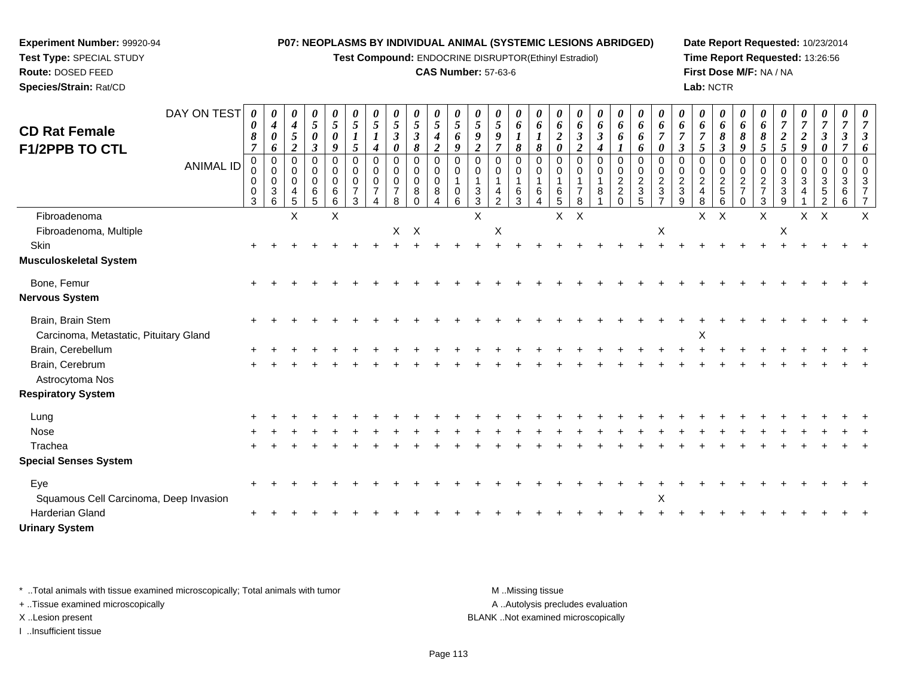**Test Compound:** ENDOCRINE DISRUPTOR(Ethinyl Estradiol)

# **CAS Number:** 57-63-6

**Date Report Requested:** 10/23/2014**Time Report Requested:** 13:26:56**First Dose M/F:** NA / NA**Lab:** NCTR

| <b>CD Rat Female</b>                                        | DAY ON TEST      | 0<br>0           | 0<br>$\boldsymbol{4}$                                               | 0<br>$\boldsymbol{4}$                                               | 0<br>5                    | 0<br>5                | $\boldsymbol{\theta}$<br>$\mathfrak{s}$ | 0<br>$\mathfrak{s}$                                                 | 0<br>$\sqrt{5}$                                        | 0<br>$\mathfrak{s}$                                        | 0<br>$\sqrt{5}$                           | $\boldsymbol{\theta}$<br>$\mathfrak{s}$ | $\boldsymbol{\theta}$<br>5<br>9             | 0<br>5                                                 | 0<br>6                                                           | 0<br>6                       | 0<br>6                                    | 0<br>6                    | 0<br>6                                   | 0<br>6                                                          | 0<br>6                                                         | $\boldsymbol{\theta}$<br>6                                 | 0<br>6                                                 | 0<br>6                                                    | 0<br>6                                           | 0<br>6                                       | $\boldsymbol{\theta}$<br>6                                                      | 0<br>$\overline{\tau}$                                  | 0<br>$\overline{7}$   | 0<br>$\overline{7}$                                    | $\boldsymbol{\theta}$<br>$\overline{7}$ |   |
|-------------------------------------------------------------|------------------|------------------|---------------------------------------------------------------------|---------------------------------------------------------------------|---------------------------|-----------------------|-----------------------------------------|---------------------------------------------------------------------|--------------------------------------------------------|------------------------------------------------------------|-------------------------------------------|-----------------------------------------|---------------------------------------------|--------------------------------------------------------|------------------------------------------------------------------|------------------------------|-------------------------------------------|---------------------------|------------------------------------------|-----------------------------------------------------------------|----------------------------------------------------------------|------------------------------------------------------------|--------------------------------------------------------|-----------------------------------------------------------|--------------------------------------------------|----------------------------------------------|---------------------------------------------------------------------------------|---------------------------------------------------------|-----------------------|--------------------------------------------------------|-----------------------------------------|---|
| F1/2PPB TO CTL                                              |                  | 8<br>7           | $\boldsymbol{\theta}$<br>6                                          | $\mathfrak{s}$<br>$\overline{c}$                                    | 0<br>$\boldsymbol{\beta}$ | 0<br>9                | $\boldsymbol{l}$<br>5                   | $\boldsymbol{4}$                                                    | $\mathbf{3}$<br>0                                      | $\mathbf{3}$<br>8                                          | 4<br>$\overline{2}$                       | 6<br>9                                  | 2                                           | $\boldsymbol{9}$<br>$\overline{7}$                     | $\boldsymbol{l}$<br>8                                            | 8                            | $\boldsymbol{2}$<br>$\boldsymbol{\theta}$ | 3<br>$\boldsymbol{2}$     | $\boldsymbol{\beta}$<br>$\boldsymbol{4}$ | 6                                                               | 6<br>6                                                         |                                                            | 3                                                      | $\overline{7}$<br>5                                       | 8<br>$\boldsymbol{\beta}$                        | 8<br>9                                       | 8<br>5                                                                          | $\boldsymbol{2}$<br>5                                   | $\boldsymbol{2}$<br>9 | $\boldsymbol{\beta}$<br>0                              | $\boldsymbol{\beta}$                    |   |
|                                                             | <b>ANIMAL ID</b> | 0<br>0<br>0<br>3 | $\mathbf 0$<br>$\mathbf 0$<br>$\boldsymbol{0}$<br>$\mathbf{3}$<br>6 | $\mathbf 0$<br>0<br>$\mathbf 0$<br>$\overline{4}$<br>$\overline{5}$ | 0<br>0<br>0<br>6<br>5     | 0<br>0<br>0<br>6<br>6 | $\Omega$<br>0<br>$\mathbf 0$<br>3       | $\mathbf 0$<br>$\mathbf 0$<br>$\mathbf 0$<br>$\boldsymbol{\Lambda}$ | 0<br>$\mathbf 0$<br>$\mathbf 0$<br>$\overline{7}$<br>8 | $\mathbf 0$<br>$\mathbf 0$<br>$\mathbf 0$<br>8<br>$\Omega$ | $\mathbf 0$<br>$\mathbf 0$<br>0<br>8<br>4 | $\mathbf 0$<br>0<br>$\pmb{0}$<br>6      | $\Omega$<br>0<br>$\sqrt{3}$<br>$\mathbf{3}$ | 0<br>$\mathbf 0$<br>$\mathbf 1$<br>4<br>$\overline{2}$ | $\overline{0}$<br>$\mathbf 0$<br>$\overline{1}$<br>$\frac{6}{3}$ | $\Omega$<br>0<br>1<br>6<br>4 | 0<br>0<br>6<br>5                          | $\Omega$<br>0<br>8        | $\mathbf 0$<br>$\mathbf 0$<br>8          | $\mathbf 0$<br>$\boldsymbol{0}$<br>$\frac{2}{2}$<br>$\mathbf 0$ | $\Omega$<br>$\mathbf 0$<br>$\overline{c}$<br>$\mathbf{3}$<br>5 | 0<br>0<br>$\boldsymbol{2}$<br>$\sqrt{3}$<br>$\overline{7}$ | $\Omega$<br>0<br>$\overline{c}$<br>$\mathfrak{S}$<br>9 | $\mathbf 0$<br>0<br>$\overline{2}$<br>$\overline{4}$<br>8 | $\mathbf 0$<br>$\mathbf 0$<br>$\frac{2}{5}$<br>6 | 0<br>0<br>$\overline{c}$<br>7<br>$\mathbf 0$ | $\Omega$<br>0<br>$\boldsymbol{2}$<br>$\overline{\mathcal{I}}$<br>$\mathfrak{S}$ | 0<br>$\mathbf 0$<br>3<br>$\ensuremath{\mathsf{3}}$<br>9 | 0<br>0<br>3           | $\mathbf 0$<br>$\mathbf 0$<br>3<br>5<br>$\overline{2}$ | 0<br>0<br>3<br>6<br>6                   |   |
| Fibroadenoma                                                |                  |                  |                                                                     | X                                                                   |                           | X                     |                                         |                                                                     |                                                        |                                                            |                                           |                                         | X                                           |                                                        |                                                                  |                              | X                                         | $\boldsymbol{\mathsf{X}}$ |                                          |                                                                 |                                                                |                                                            |                                                        | X.                                                        | $\times$                                         |                                              | $\mathsf{X}$                                                                    |                                                         | $\mathsf{X}$          | $\mathsf{X}$                                           |                                         | X |
| Fibroadenoma, Multiple                                      |                  |                  |                                                                     |                                                                     |                           |                       |                                         |                                                                     | X                                                      | $\mathsf{X}$                                               |                                           |                                         |                                             | X                                                      |                                                                  |                              |                                           |                           |                                          |                                                                 |                                                                | $\mathsf X$                                                |                                                        |                                                           |                                                  |                                              |                                                                                 | $\pmb{\times}$                                          |                       |                                                        |                                         |   |
| Skin                                                        |                  |                  |                                                                     |                                                                     |                           |                       |                                         |                                                                     |                                                        |                                                            |                                           |                                         |                                             |                                                        |                                                                  |                              |                                           |                           |                                          |                                                                 |                                                                |                                                            |                                                        |                                                           |                                                  |                                              |                                                                                 |                                                         |                       |                                                        |                                         |   |
| Musculoskeletal System                                      |                  |                  |                                                                     |                                                                     |                           |                       |                                         |                                                                     |                                                        |                                                            |                                           |                                         |                                             |                                                        |                                                                  |                              |                                           |                           |                                          |                                                                 |                                                                |                                                            |                                                        |                                                           |                                                  |                                              |                                                                                 |                                                         |                       |                                                        |                                         |   |
| Bone, Femur<br>Nervous System                               |                  |                  |                                                                     |                                                                     |                           |                       |                                         |                                                                     |                                                        |                                                            |                                           |                                         |                                             |                                                        |                                                                  |                              |                                           |                           |                                          |                                                                 |                                                                |                                                            |                                                        |                                                           |                                                  |                                              |                                                                                 |                                                         |                       |                                                        |                                         |   |
| Brain, Brain Stem<br>Carcinoma, Metastatic, Pituitary Gland |                  |                  |                                                                     |                                                                     |                           |                       |                                         |                                                                     |                                                        |                                                            |                                           |                                         |                                             |                                                        |                                                                  |                              |                                           |                           |                                          |                                                                 |                                                                |                                                            |                                                        | $\pmb{\times}$                                            |                                                  |                                              |                                                                                 |                                                         |                       |                                                        |                                         |   |
| Brain, Cerebellum                                           |                  |                  |                                                                     |                                                                     |                           |                       |                                         |                                                                     |                                                        |                                                            |                                           |                                         |                                             |                                                        |                                                                  |                              |                                           |                           |                                          |                                                                 |                                                                |                                                            |                                                        |                                                           |                                                  |                                              |                                                                                 |                                                         |                       |                                                        |                                         |   |
| Brain, Cerebrum<br>Astrocytoma Nos                          |                  |                  |                                                                     |                                                                     |                           |                       |                                         |                                                                     |                                                        |                                                            |                                           |                                         |                                             |                                                        |                                                                  |                              |                                           |                           |                                          |                                                                 |                                                                |                                                            |                                                        |                                                           |                                                  |                                              |                                                                                 |                                                         |                       |                                                        |                                         |   |
| <b>Respiratory System</b>                                   |                  |                  |                                                                     |                                                                     |                           |                       |                                         |                                                                     |                                                        |                                                            |                                           |                                         |                                             |                                                        |                                                                  |                              |                                           |                           |                                          |                                                                 |                                                                |                                                            |                                                        |                                                           |                                                  |                                              |                                                                                 |                                                         |                       |                                                        |                                         |   |
| Lung                                                        |                  |                  |                                                                     |                                                                     |                           |                       |                                         |                                                                     |                                                        |                                                            |                                           |                                         |                                             |                                                        |                                                                  |                              |                                           |                           |                                          |                                                                 |                                                                |                                                            |                                                        |                                                           |                                                  |                                              |                                                                                 |                                                         |                       |                                                        |                                         |   |
| Nose                                                        |                  |                  |                                                                     |                                                                     |                           |                       |                                         |                                                                     |                                                        |                                                            |                                           |                                         |                                             |                                                        |                                                                  |                              |                                           |                           |                                          |                                                                 |                                                                |                                                            |                                                        |                                                           |                                                  |                                              |                                                                                 |                                                         |                       |                                                        |                                         |   |
| Trachea<br><b>Special Senses System</b>                     |                  |                  |                                                                     |                                                                     |                           |                       |                                         |                                                                     |                                                        |                                                            |                                           |                                         |                                             |                                                        |                                                                  |                              |                                           |                           |                                          |                                                                 |                                                                |                                                            |                                                        |                                                           |                                                  |                                              |                                                                                 |                                                         |                       |                                                        |                                         |   |
| Eye<br>Squamous Cell Carcinoma, Deep Invasion               |                  |                  |                                                                     |                                                                     |                           |                       |                                         |                                                                     |                                                        |                                                            |                                           |                                         |                                             |                                                        |                                                                  |                              |                                           |                           |                                          |                                                                 |                                                                | X                                                          |                                                        |                                                           |                                                  |                                              |                                                                                 |                                                         |                       |                                                        |                                         |   |
| Harderian Gland<br><b>Urinary System</b>                    |                  |                  |                                                                     |                                                                     |                           |                       |                                         |                                                                     |                                                        |                                                            |                                           |                                         |                                             |                                                        |                                                                  |                              |                                           |                           |                                          |                                                                 |                                                                |                                                            |                                                        |                                                           |                                                  |                                              |                                                                                 |                                                         |                       |                                                        |                                         |   |

\* ..Total animals with tissue examined microscopically; Total animals with tumor **M** . Missing tissue M ..Missing tissue

+ ..Tissue examined microscopically

**Experiment Number:** 99920-94**Test Type:** SPECIAL STUDY**Route:** DOSED FEED**Species/Strain:** Rat/CD

I ..Insufficient tissue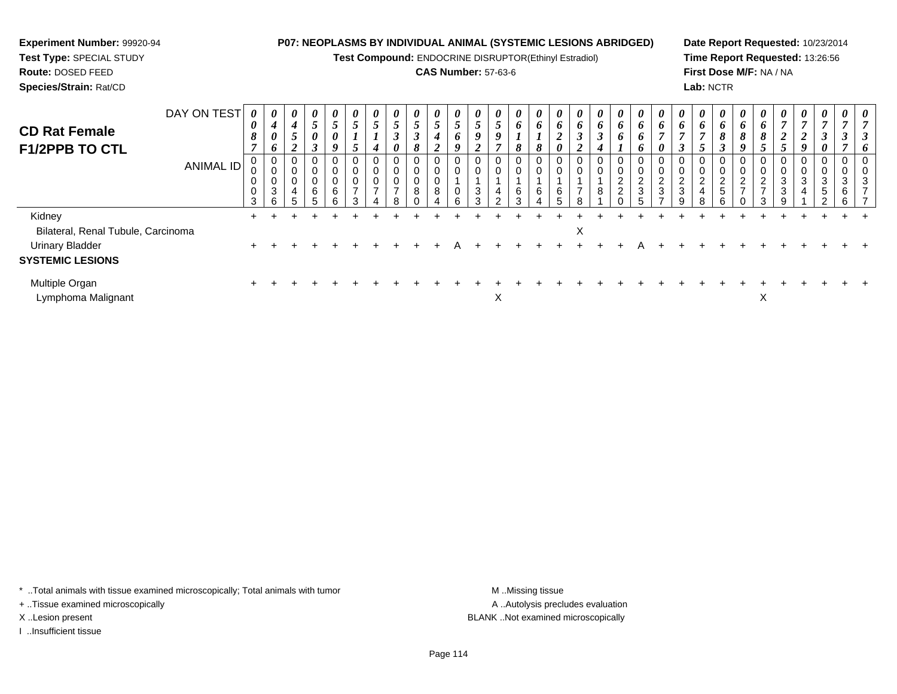**Test Compound:** ENDOCRINE DISRUPTOR(Ethinyl Estradiol)

# **CAS Number:** 57-63-6

**Date Report Requested:** 10/23/2014**Time Report Requested:** 13:26:56**First Dose M/F:** NA / NA**Lab:** NCTR

| <b>CD Rat Female</b>               | DAY ON TEST | $\theta$<br>0    | $\boldsymbol{\theta}$<br>$\boldsymbol{4}$ | 0<br>4                                            | $\boldsymbol{\theta}$<br>$\overline{\phantom{0}}$<br>C | $\boldsymbol{\theta}$<br>$\overline{\phantom{0}}$<br>J | $\boldsymbol{\theta}$<br>5 | $\boldsymbol{\theta}$<br>$\mathcal{L}$ | $\boldsymbol{\theta}$<br>$\overline{5}$       | 0<br>$\mathfrak{I}$              | $\boldsymbol{\theta}$<br>$\overline{\phantom{0}}$<br>$\mathcal{L}$ | $\boldsymbol{\theta}$<br>$\overline{a}$<br>$\mathcal{L}$ | 0<br>5                | $\boldsymbol{\theta}$<br>$\mathfrak{p}$ | $\boldsymbol{\theta}$<br>$\bm{b}$ | $\boldsymbol{\theta}$<br>6 | $\boldsymbol{\theta}$<br>6      | 0<br>6         | $\boldsymbol{\theta}$<br>6 | $\boldsymbol{\theta}$<br>6                      | $\boldsymbol{\theta}$<br>$\bm{b}$ | $\boldsymbol{\theta}$<br>6    | $\boldsymbol{\theta}$<br>6         | $\boldsymbol{\theta}$<br>$\bm{b}$ | 0<br>6                                                     | U<br>6      | $\boldsymbol{\theta}$<br>$\bm{b}$         | $\boldsymbol{\theta}$ | $\boldsymbol{\theta}$<br>$\overline{7}$ | $\boldsymbol{\theta}$ | $\boldsymbol{\theta}$ | $\theta$ |
|------------------------------------|-------------|------------------|-------------------------------------------|---------------------------------------------------|--------------------------------------------------------|--------------------------------------------------------|----------------------------|----------------------------------------|-----------------------------------------------|----------------------------------|--------------------------------------------------------------------|----------------------------------------------------------|-----------------------|-----------------------------------------|-----------------------------------|----------------------------|---------------------------------|----------------|----------------------------|-------------------------------------------------|-----------------------------------|-------------------------------|------------------------------------|-----------------------------------|------------------------------------------------------------|-------------|-------------------------------------------|-----------------------|-----------------------------------------|-----------------------|-----------------------|----------|
| F1/2PPB TO CTL                     |             | 8                | $\boldsymbol{\theta}$<br>6                | $5\overline{)}$<br><sup>1</sup><br>$\overline{2}$ | 0<br>$\mathbf{\hat{z}}$<br>J                           | 0                                                      | 5                          | 4                                      | $\boldsymbol{\beta}$<br>$\boldsymbol{\theta}$ | $\boldsymbol{\beta}$<br>8        | 4<br>∍<br>$\epsilon$                                               | 6                                                        | 9<br>◠<br>◢           | 9<br>$\mathbf{r}$                       | 8                                 | 8                          | ി<br>◢<br>$\boldsymbol{\theta}$ | ◠              | Ĵ<br>4                     | o                                               | 0<br>$\bm{b}$                     | 0                             | $\mathbf{r}$<br>$\rightarrow$<br>J | -<br>$\mathcal{L}$                | 8<br>$\rightarrow$<br>J                                    | 8<br>9      | 8<br>$\mathcal{L}$                        | 2<br>$\mathfrak{s}$   | 2<br>9                                  | 0                     |                       | n        |
|                                    | ANIMAL ID   | U<br>0<br>0<br>3 | 0<br>0<br>$\pmb{0}$<br>$\sqrt{3}$<br>6    | 0<br>U<br>0<br>4<br>5                             | 0<br>U<br>U<br>6                                       | 6                                                      | 0<br>0<br>$\rightarrow$    | U<br>0<br>0<br>-                       | 0<br>0<br>0<br>$\overline{ }$                 | 0<br>$\pmb{0}$<br>$\pmb{0}$<br>8 | 0<br>0<br>0<br>8                                                   |                                                          | 0<br>0<br>3<br>$\sim$ | 0<br>0<br>4<br>C                        | 0<br>0<br>6<br>ົ                  | U<br>0<br>6                | U<br>U<br>6                     | $\overline{ }$ | 0<br>0<br>8                | U<br>0<br>$\sim$<br>∠<br>$\Omega$<br>$\epsilon$ | 0<br>0<br>ົ<br>▴<br>3             | 0<br>0<br>$\overline{2}$<br>3 | 0<br>0<br>$\overline{2}$<br>3<br>a | 2<br>4                            | $\mathbf{0}$<br>0<br>$\overline{c}$<br>$\overline{5}$<br>ี | U<br>◠<br>∠ | 0<br>0<br>$\overline{2}$<br>$\rightarrow$ | 0<br>0<br>3<br>3<br>9 | U<br>3<br>4                             | ົ<br>ა<br>5           | 3<br>6<br>6           | З        |
| Kidney                             |             | $+$              |                                           |                                                   |                                                        |                                                        |                            |                                        |                                               |                                  |                                                                    |                                                          |                       |                                         |                                   |                            |                                 |                |                            |                                                 |                                   |                               |                                    |                                   |                                                            |             |                                           |                       |                                         |                       |                       |          |
| Bilateral, Renal Tubule, Carcinoma |             |                  |                                           |                                                   |                                                        |                                                        |                            |                                        |                                               |                                  |                                                                    |                                                          |                       |                                         |                                   |                            |                                 | X              |                            |                                                 |                                   |                               |                                    |                                   |                                                            |             |                                           |                       |                                         |                       |                       |          |
| <b>Urinary Bladder</b>             |             |                  |                                           |                                                   |                                                        |                                                        |                            |                                        |                                               |                                  |                                                                    |                                                          |                       |                                         |                                   |                            |                                 |                |                            |                                                 |                                   |                               |                                    |                                   |                                                            |             |                                           |                       |                                         |                       |                       |          |
| <b>SYSTEMIC LESIONS</b>            |             |                  |                                           |                                                   |                                                        |                                                        |                            |                                        |                                               |                                  |                                                                    |                                                          |                       |                                         |                                   |                            |                                 |                |                            |                                                 |                                   |                               |                                    |                                   |                                                            |             |                                           |                       |                                         |                       |                       |          |
| Multiple Organ                     |             |                  |                                           |                                                   |                                                        |                                                        |                            |                                        |                                               |                                  |                                                                    |                                                          |                       |                                         |                                   |                            |                                 |                |                            |                                                 |                                   |                               |                                    |                                   |                                                            |             |                                           |                       |                                         |                       |                       |          |

t and the contract of the contract of the contract of the contract of the contract of the contract of the contract of the contract of the contract of the contract of the contract of the contract of the contract of the cont

 $\mathsf{X}$  and  $\mathsf{X}$ 

\* ..Total animals with tissue examined microscopically; Total animals with tumor **M** . Missing tissue M ..Missing tissue

+ ..Tissue examined microscopically

**Experiment Number:** 99920-94**Test Type:** SPECIAL STUDY**Route:** DOSED FEED**Species/Strain:** Rat/CD

Lymphoma Malignant

I ..Insufficient tissue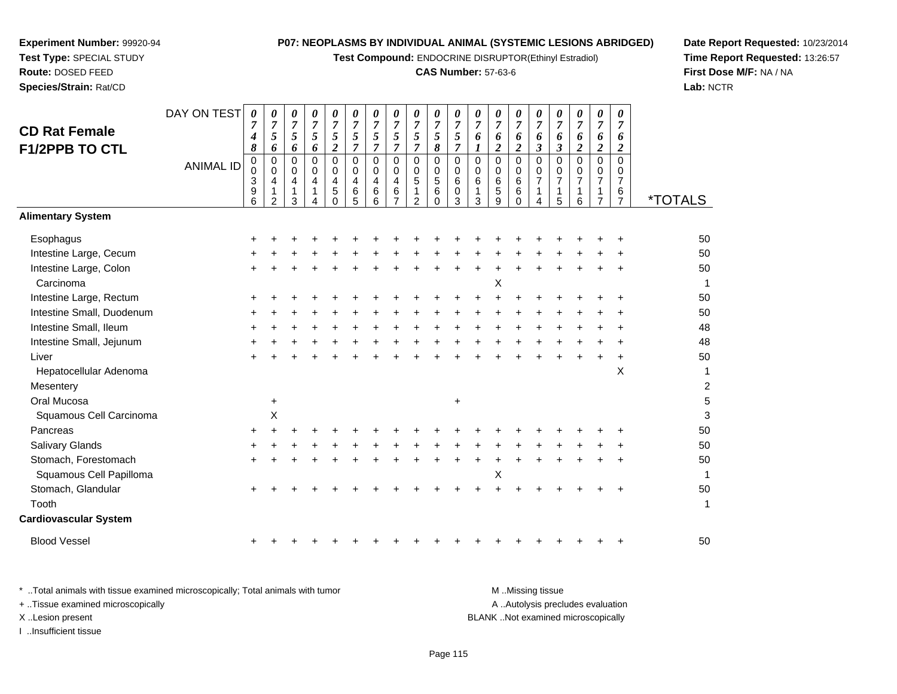**Test Compound:** ENDOCRINE DISRUPTOR(Ethinyl Estradiol)

# **CAS Number:** 57-63-6

**Date Report Requested:** 10/23/2014**Time Report Requested:** 13:26:57**First Dose M/F:** NA / NA**Lab:** NCTR

| <b>CD Rat Female</b><br>F1/2PPB TO CTL | DAY ON TEST<br><b>ANIMAL ID</b> | 0<br>$\overline{7}$<br>$\boldsymbol{4}$<br>8<br>$\mathbf 0$<br>0<br>$\ensuremath{\mathsf{3}}$<br>9<br>$\overline{6}$ | 0<br>$\overline{7}$<br>5<br>6<br>$\mathbf 0$<br>$\mathbf 0$<br>$\overline{4}$<br>$\mathbf{1}$<br>$\mathcal{P}$ | 0<br>$\overline{7}$<br>5<br>6<br>$\Omega$<br>$\mathbf 0$<br>4<br>1<br>3 | 0<br>$\overline{7}$<br>$\sqrt{5}$<br>6<br>$\Omega$<br>0<br>4 | $\boldsymbol{\theta}$<br>$\overline{7}$<br>5<br>$\overline{2}$<br>$\Omega$<br>$\Omega$<br>4<br>5<br>0 | 0<br>$\overline{7}$<br>5<br>$\overline{7}$<br>0<br>$\mathbf 0$<br>$\overline{4}$<br>6<br>$\overline{5}$ | 0<br>$\overline{7}$<br>5<br>$\overline{7}$<br>$\Omega$<br>$\mathbf 0$<br>4<br>$\,6\,$<br>6 | 0<br>$\overline{7}$<br>5<br>$\overline{7}$<br>$\mathbf 0$<br>$\Omega$<br>$\overline{4}$<br>6<br>$\overline{7}$ | 0<br>$\overline{7}$<br>5<br>$\overline{7}$<br>$\mathbf 0$<br>$\mathbf 0$<br>5<br>1<br>2 | 0<br>$\overline{7}$<br>5<br>8<br>0<br>$\mathsf{O}\xspace$<br>$\sqrt{5}$<br>6<br>$\Omega$ | 0<br>$\overline{7}$<br>$\mathfrak{s}$<br>$\overline{7}$<br>0<br>0<br>6<br>0<br>$\overline{3}$ | 0<br>$\overline{7}$<br>6<br>$\boldsymbol{l}$<br>$\mathbf 0$<br>$\mathbf 0$<br>6<br>$\mathbf{1}$<br>3 | 0<br>$\overline{7}$<br>6<br>$\boldsymbol{2}$<br>$\mathbf 0$<br>$\Omega$<br>6<br>$\sqrt{5}$<br>9 | 0<br>$\overline{7}$<br>6<br>$\boldsymbol{2}$<br>$\Omega$<br>$\mathbf 0$<br>6<br>6<br>$\Omega$ | $\boldsymbol{\theta}$<br>$\overline{7}$<br>6<br>$\mathfrak{z}$<br>$\mathbf 0$<br>$\mathbf 0$<br>$\overline{7}$<br>4 | 0<br>$\overline{7}$<br>6<br>$\boldsymbol{\beta}$<br>$\mathbf 0$<br>0<br>$\overline{7}$<br>1<br>5 | 0<br>$\overline{7}$<br>6<br>$\overline{c}$<br>$\Omega$<br>0<br>$\overline{7}$<br>1<br>6 | $\boldsymbol{\theta}$<br>$\overline{7}$<br>6<br>$\boldsymbol{2}$<br>$\mathbf 0$<br>0<br>$\overline{7}$<br>1<br>$\overline{7}$ | 0<br>$\overline{7}$<br>6<br>$\overline{c}$<br>$\Omega$<br>0<br>$\overline{7}$<br>6<br>$\overline{7}$ | <i><b>*TOTALS</b></i> |
|----------------------------------------|---------------------------------|----------------------------------------------------------------------------------------------------------------------|----------------------------------------------------------------------------------------------------------------|-------------------------------------------------------------------------|--------------------------------------------------------------|-------------------------------------------------------------------------------------------------------|---------------------------------------------------------------------------------------------------------|--------------------------------------------------------------------------------------------|----------------------------------------------------------------------------------------------------------------|-----------------------------------------------------------------------------------------|------------------------------------------------------------------------------------------|-----------------------------------------------------------------------------------------------|------------------------------------------------------------------------------------------------------|-------------------------------------------------------------------------------------------------|-----------------------------------------------------------------------------------------------|---------------------------------------------------------------------------------------------------------------------|--------------------------------------------------------------------------------------------------|-----------------------------------------------------------------------------------------|-------------------------------------------------------------------------------------------------------------------------------|------------------------------------------------------------------------------------------------------|-----------------------|
| <b>Alimentary System</b>               |                                 |                                                                                                                      |                                                                                                                |                                                                         |                                                              |                                                                                                       |                                                                                                         |                                                                                            |                                                                                                                |                                                                                         |                                                                                          |                                                                                               |                                                                                                      |                                                                                                 |                                                                                               |                                                                                                                     |                                                                                                  |                                                                                         |                                                                                                                               |                                                                                                      |                       |
| Esophagus                              |                                 |                                                                                                                      |                                                                                                                |                                                                         |                                                              |                                                                                                       |                                                                                                         |                                                                                            |                                                                                                                |                                                                                         |                                                                                          |                                                                                               |                                                                                                      |                                                                                                 |                                                                                               |                                                                                                                     |                                                                                                  |                                                                                         |                                                                                                                               |                                                                                                      | 50                    |
| Intestine Large, Cecum                 |                                 |                                                                                                                      |                                                                                                                |                                                                         |                                                              |                                                                                                       |                                                                                                         |                                                                                            |                                                                                                                |                                                                                         |                                                                                          |                                                                                               |                                                                                                      |                                                                                                 |                                                                                               |                                                                                                                     |                                                                                                  |                                                                                         |                                                                                                                               |                                                                                                      | 50                    |
| Intestine Large, Colon                 |                                 |                                                                                                                      |                                                                                                                |                                                                         |                                                              |                                                                                                       |                                                                                                         |                                                                                            |                                                                                                                |                                                                                         |                                                                                          |                                                                                               |                                                                                                      |                                                                                                 |                                                                                               |                                                                                                                     |                                                                                                  |                                                                                         |                                                                                                                               |                                                                                                      | 50                    |
| Carcinoma                              |                                 |                                                                                                                      |                                                                                                                |                                                                         |                                                              |                                                                                                       |                                                                                                         |                                                                                            |                                                                                                                |                                                                                         |                                                                                          |                                                                                               |                                                                                                      | X                                                                                               |                                                                                               |                                                                                                                     |                                                                                                  |                                                                                         |                                                                                                                               |                                                                                                      | $\mathbf{1}$          |
| Intestine Large, Rectum                |                                 |                                                                                                                      |                                                                                                                |                                                                         |                                                              |                                                                                                       |                                                                                                         |                                                                                            |                                                                                                                |                                                                                         |                                                                                          |                                                                                               |                                                                                                      |                                                                                                 |                                                                                               |                                                                                                                     |                                                                                                  |                                                                                         |                                                                                                                               |                                                                                                      | 50                    |
| Intestine Small, Duodenum              |                                 |                                                                                                                      |                                                                                                                |                                                                         |                                                              |                                                                                                       |                                                                                                         |                                                                                            |                                                                                                                |                                                                                         |                                                                                          |                                                                                               |                                                                                                      |                                                                                                 |                                                                                               |                                                                                                                     |                                                                                                  |                                                                                         |                                                                                                                               |                                                                                                      | 50                    |
| Intestine Small, Ileum                 |                                 |                                                                                                                      |                                                                                                                |                                                                         |                                                              |                                                                                                       |                                                                                                         |                                                                                            |                                                                                                                |                                                                                         |                                                                                          |                                                                                               |                                                                                                      |                                                                                                 |                                                                                               |                                                                                                                     |                                                                                                  |                                                                                         |                                                                                                                               |                                                                                                      | 48                    |
| Intestine Small, Jejunum               |                                 |                                                                                                                      |                                                                                                                |                                                                         |                                                              |                                                                                                       |                                                                                                         |                                                                                            |                                                                                                                |                                                                                         |                                                                                          |                                                                                               |                                                                                                      |                                                                                                 |                                                                                               |                                                                                                                     |                                                                                                  |                                                                                         |                                                                                                                               |                                                                                                      | 48                    |
| Liver                                  |                                 |                                                                                                                      |                                                                                                                |                                                                         |                                                              |                                                                                                       |                                                                                                         |                                                                                            |                                                                                                                |                                                                                         |                                                                                          |                                                                                               |                                                                                                      |                                                                                                 |                                                                                               |                                                                                                                     |                                                                                                  |                                                                                         |                                                                                                                               | ÷                                                                                                    | 50                    |
| Hepatocellular Adenoma                 |                                 |                                                                                                                      |                                                                                                                |                                                                         |                                                              |                                                                                                       |                                                                                                         |                                                                                            |                                                                                                                |                                                                                         |                                                                                          |                                                                                               |                                                                                                      |                                                                                                 |                                                                                               |                                                                                                                     |                                                                                                  |                                                                                         |                                                                                                                               | X                                                                                                    | 1                     |
| Mesentery                              |                                 |                                                                                                                      |                                                                                                                |                                                                         |                                                              |                                                                                                       |                                                                                                         |                                                                                            |                                                                                                                |                                                                                         |                                                                                          |                                                                                               |                                                                                                      |                                                                                                 |                                                                                               |                                                                                                                     |                                                                                                  |                                                                                         |                                                                                                                               |                                                                                                      | $\overline{c}$        |
| Oral Mucosa                            |                                 |                                                                                                                      | $\ddot{}$                                                                                                      |                                                                         |                                                              |                                                                                                       |                                                                                                         |                                                                                            |                                                                                                                |                                                                                         |                                                                                          | $\ddot{}$                                                                                     |                                                                                                      |                                                                                                 |                                                                                               |                                                                                                                     |                                                                                                  |                                                                                         |                                                                                                                               |                                                                                                      | 5                     |
| Squamous Cell Carcinoma                |                                 |                                                                                                                      | X                                                                                                              |                                                                         |                                                              |                                                                                                       |                                                                                                         |                                                                                            |                                                                                                                |                                                                                         |                                                                                          |                                                                                               |                                                                                                      |                                                                                                 |                                                                                               |                                                                                                                     |                                                                                                  |                                                                                         |                                                                                                                               |                                                                                                      | 3                     |
| Pancreas                               |                                 | +                                                                                                                    |                                                                                                                |                                                                         |                                                              |                                                                                                       |                                                                                                         |                                                                                            |                                                                                                                |                                                                                         |                                                                                          |                                                                                               |                                                                                                      |                                                                                                 |                                                                                               |                                                                                                                     |                                                                                                  |                                                                                         |                                                                                                                               |                                                                                                      | 50                    |
| <b>Salivary Glands</b>                 |                                 |                                                                                                                      |                                                                                                                |                                                                         |                                                              |                                                                                                       |                                                                                                         |                                                                                            |                                                                                                                |                                                                                         |                                                                                          |                                                                                               |                                                                                                      |                                                                                                 |                                                                                               |                                                                                                                     |                                                                                                  |                                                                                         |                                                                                                                               |                                                                                                      | 50                    |
| Stomach, Forestomach                   |                                 |                                                                                                                      |                                                                                                                |                                                                         |                                                              |                                                                                                       |                                                                                                         |                                                                                            |                                                                                                                |                                                                                         |                                                                                          |                                                                                               |                                                                                                      |                                                                                                 |                                                                                               |                                                                                                                     |                                                                                                  |                                                                                         |                                                                                                                               |                                                                                                      | 50                    |
| Squamous Cell Papilloma                |                                 |                                                                                                                      |                                                                                                                |                                                                         |                                                              |                                                                                                       |                                                                                                         |                                                                                            |                                                                                                                |                                                                                         |                                                                                          |                                                                                               |                                                                                                      | X                                                                                               |                                                                                               |                                                                                                                     |                                                                                                  |                                                                                         |                                                                                                                               |                                                                                                      | $\mathbf{1}$          |
| Stomach, Glandular                     |                                 |                                                                                                                      |                                                                                                                |                                                                         |                                                              |                                                                                                       |                                                                                                         |                                                                                            |                                                                                                                |                                                                                         |                                                                                          |                                                                                               |                                                                                                      |                                                                                                 |                                                                                               |                                                                                                                     |                                                                                                  |                                                                                         |                                                                                                                               |                                                                                                      | 50                    |
| Tooth                                  |                                 |                                                                                                                      |                                                                                                                |                                                                         |                                                              |                                                                                                       |                                                                                                         |                                                                                            |                                                                                                                |                                                                                         |                                                                                          |                                                                                               |                                                                                                      |                                                                                                 |                                                                                               |                                                                                                                     |                                                                                                  |                                                                                         |                                                                                                                               |                                                                                                      | 1                     |
| <b>Cardiovascular System</b>           |                                 |                                                                                                                      |                                                                                                                |                                                                         |                                                              |                                                                                                       |                                                                                                         |                                                                                            |                                                                                                                |                                                                                         |                                                                                          |                                                                                               |                                                                                                      |                                                                                                 |                                                                                               |                                                                                                                     |                                                                                                  |                                                                                         |                                                                                                                               |                                                                                                      |                       |
| <b>Blood Vessel</b>                    |                                 | ÷.                                                                                                                   |                                                                                                                |                                                                         |                                                              |                                                                                                       |                                                                                                         |                                                                                            |                                                                                                                |                                                                                         |                                                                                          |                                                                                               |                                                                                                      |                                                                                                 |                                                                                               |                                                                                                                     |                                                                                                  |                                                                                         |                                                                                                                               |                                                                                                      | 50                    |
|                                        |                                 |                                                                                                                      |                                                                                                                |                                                                         |                                                              |                                                                                                       |                                                                                                         |                                                                                            |                                                                                                                |                                                                                         |                                                                                          |                                                                                               |                                                                                                      |                                                                                                 |                                                                                               |                                                                                                                     |                                                                                                  |                                                                                         |                                                                                                                               |                                                                                                      |                       |

**Experiment Number:** 99920-94**Test Type:** SPECIAL STUDY**Route:** DOSED FEED**Species/Strain:** Rat/CD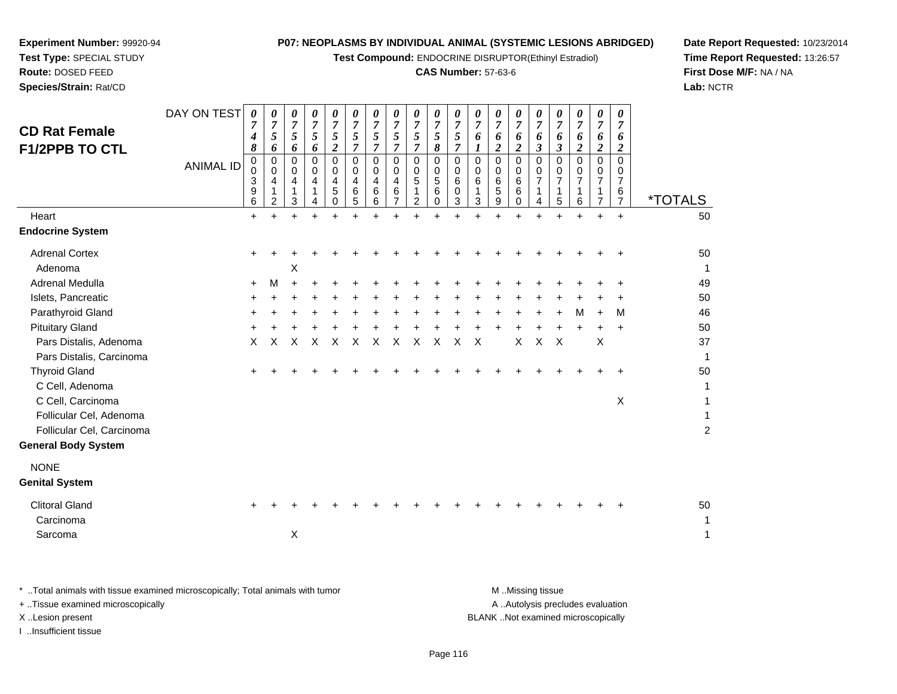**Test Compound:** ENDOCRINE DISRUPTOR(Ethinyl Estradiol)

# **CAS Number:** 57-63-6

**Date Report Requested:** 10/23/2014**Time Report Requested:** 13:26:57**First Dose M/F:** NA / NA**Lab:** NCTR

| <b>CD Rat Female</b><br><b>F1/2PPB TO CTL</b>                             | DAY ON TEST      | $\boldsymbol{\theta}$<br>$\overline{7}$<br>4<br>8 | 0<br>$\overline{7}$<br>5<br>6                | 0<br>$\overline{7}$<br>5<br>6 | 0<br>$\overline{7}$<br>5<br>6 | 0<br>$\overline{7}$<br>5<br>$\overline{\mathbf{c}}$                 | 0<br>$\overline{7}$<br>5<br>$\overline{7}$ | 0<br>$\overline{7}$<br>$\sqrt{5}$<br>$\overline{7}$ | 0<br>$\overline{7}$<br>5<br>$\overline{7}$ | 0<br>$\overline{7}$<br>5<br>$\overline{7}$ | 0<br>$\overline{7}$<br>$\mathfrak{s}$<br>8 | $\boldsymbol{\theta}$<br>$\boldsymbol{7}$<br>5<br>$\overline{7}$ | 0<br>$\overline{7}$<br>6            | 0<br>$\overline{7}$<br>6<br>$\boldsymbol{2}$ | 0<br>$\overline{7}$<br>6<br>$\overline{2}$ | 0<br>$\overline{7}$<br>6<br>3 | 0<br>$\overline{7}$<br>6<br>3 | 0<br>$\overline{7}$<br>6<br>$\boldsymbol{2}$ | 0<br>$\overline{7}$<br>6<br>$\boldsymbol{2}$     | 0<br>$\overline{7}$<br>6<br>$\overline{2}$                    |                          |
|---------------------------------------------------------------------------|------------------|---------------------------------------------------|----------------------------------------------|-------------------------------|-------------------------------|---------------------------------------------------------------------|--------------------------------------------|-----------------------------------------------------|--------------------------------------------|--------------------------------------------|--------------------------------------------|------------------------------------------------------------------|-------------------------------------|----------------------------------------------|--------------------------------------------|-------------------------------|-------------------------------|----------------------------------------------|--------------------------------------------------|---------------------------------------------------------------|--------------------------|
|                                                                           | <b>ANIMAL ID</b> | 0<br>0<br>3<br>9<br>6                             | $\mathbf 0$<br>0<br>4<br>1<br>$\overline{c}$ | 0<br>0<br>4<br>1<br>3         | 0<br>$\Omega$<br>4<br>1<br>4  | $\Omega$<br>$\Omega$<br>$\overline{4}$<br>$\sqrt{5}$<br>$\mathbf 0$ | $\Omega$<br>$\Omega$<br>4<br>$\,6$<br>5    | $\Omega$<br>$\Omega$<br>4<br>6<br>6                 | 0<br>0<br>4<br>$\,6\,$<br>$\overline{7}$   | 0<br>0<br>5<br>1<br>$\overline{a}$         | 0<br>0<br>$\sqrt{5}$<br>$\,6$<br>0         | $\mathbf 0$<br>$\mathbf 0$<br>6<br>$\mathbf 0$<br>$\mathbf{3}$   | $\Omega$<br>$\Omega$<br>6<br>1<br>3 | $\Omega$<br>$\Omega$<br>6<br>5<br>9          | $\Omega$<br>0<br>6<br>6<br>0               | 0<br>$\Omega$<br>7<br>1<br>4  | $\Omega$<br>0<br>7<br>1<br>5  | $\Omega$<br>$\Omega$<br>7<br>1<br>6          | $\Omega$<br>$\Omega$<br>7<br>1<br>$\overline{7}$ | $\Omega$<br>$\Omega$<br>$\overline{7}$<br>6<br>$\overline{7}$ | <i><b>*TOTALS</b></i>    |
| Heart                                                                     |                  | $\ddot{}$                                         | $\ddot{}$                                    | $+$                           | $+$                           | $\ddot{}$                                                           |                                            | $\ddot{}$                                           | $\ddot{}$                                  | $+$                                        | $\ddot{}$                                  |                                                                  |                                     | $\ddot{}$                                    | $+$                                        | $\ddot{}$                     | $\ddot{}$                     | $\ddot{}$                                    | $\ddot{}$                                        | $\ddot{}$                                                     | 50                       |
| <b>Endocrine System</b>                                                   |                  |                                                   |                                              |                               |                               |                                                                     |                                            |                                                     |                                            |                                            |                                            |                                                                  |                                     |                                              |                                            |                               |                               |                                              |                                                  |                                                               |                          |
| <b>Adrenal Cortex</b><br>Adenoma                                          |                  | $\ddot{}$                                         |                                              | х                             |                               |                                                                     |                                            |                                                     |                                            |                                            |                                            |                                                                  |                                     |                                              |                                            |                               |                               |                                              |                                                  |                                                               | 50<br>1                  |
| Adrenal Medulla                                                           |                  | $\ddot{}$                                         | M                                            |                               |                               |                                                                     |                                            |                                                     |                                            |                                            |                                            |                                                                  |                                     |                                              |                                            |                               |                               |                                              |                                                  |                                                               | 49                       |
| Islets, Pancreatic                                                        |                  |                                                   |                                              |                               |                               |                                                                     |                                            |                                                     |                                            |                                            |                                            |                                                                  |                                     |                                              |                                            |                               |                               |                                              |                                                  |                                                               | 50                       |
| Parathyroid Gland                                                         |                  |                                                   |                                              |                               |                               |                                                                     |                                            |                                                     |                                            |                                            |                                            |                                                                  |                                     |                                              |                                            |                               |                               | м                                            |                                                  | М                                                             | 46                       |
| <b>Pituitary Gland</b>                                                    |                  |                                                   |                                              |                               |                               |                                                                     |                                            |                                                     |                                            |                                            |                                            |                                                                  |                                     |                                              |                                            |                               |                               |                                              |                                                  | $\div$                                                        | 50                       |
| Pars Distalis, Adenoma<br>Pars Distalis, Carcinoma                        |                  | X                                                 | X                                            | X                             | X                             | $\times$                                                            | X                                          | X                                                   | X                                          | X                                          | X                                          | X                                                                | $\times$                            |                                              | X                                          | $\mathsf{X}$                  | $\boldsymbol{\mathsf{X}}$     |                                              | $\times$                                         |                                                               | 37<br>1                  |
| <b>Thyroid Gland</b><br>C Cell, Adenoma                                   |                  |                                                   |                                              |                               |                               |                                                                     |                                            |                                                     |                                            |                                            |                                            |                                                                  |                                     |                                              |                                            |                               |                               |                                              |                                                  |                                                               | 50<br>1                  |
| C Cell, Carcinoma<br>Follicular Cel, Adenoma<br>Follicular Cel, Carcinoma |                  |                                                   |                                              |                               |                               |                                                                     |                                            |                                                     |                                            |                                            |                                            |                                                                  |                                     |                                              |                                            |                               |                               |                                              |                                                  | $\mathsf X$                                                   | 1<br>1<br>$\overline{c}$ |
| <b>General Body System</b>                                                |                  |                                                   |                                              |                               |                               |                                                                     |                                            |                                                     |                                            |                                            |                                            |                                                                  |                                     |                                              |                                            |                               |                               |                                              |                                                  |                                                               |                          |
| <b>NONE</b><br><b>Genital System</b>                                      |                  |                                                   |                                              |                               |                               |                                                                     |                                            |                                                     |                                            |                                            |                                            |                                                                  |                                     |                                              |                                            |                               |                               |                                              |                                                  |                                                               |                          |
| <b>Clitoral Gland</b><br>Carcinoma                                        |                  |                                                   |                                              |                               |                               |                                                                     |                                            |                                                     |                                            |                                            |                                            |                                                                  |                                     |                                              |                                            |                               |                               |                                              |                                                  |                                                               | 50<br>1                  |
| Sarcoma                                                                   |                  |                                                   |                                              | $\boldsymbol{\mathsf{X}}$     |                               |                                                                     |                                            |                                                     |                                            |                                            |                                            |                                                                  |                                     |                                              |                                            |                               |                               |                                              |                                                  |                                                               | 1                        |
|                                                                           |                  |                                                   |                                              |                               |                               |                                                                     |                                            |                                                     |                                            |                                            |                                            |                                                                  |                                     |                                              |                                            |                               |                               |                                              |                                                  |                                                               |                          |

**Experiment Number:** 99920-94**Test Type:** SPECIAL STUDY**Route:** DOSED FEED**Species/Strain:** Rat/CD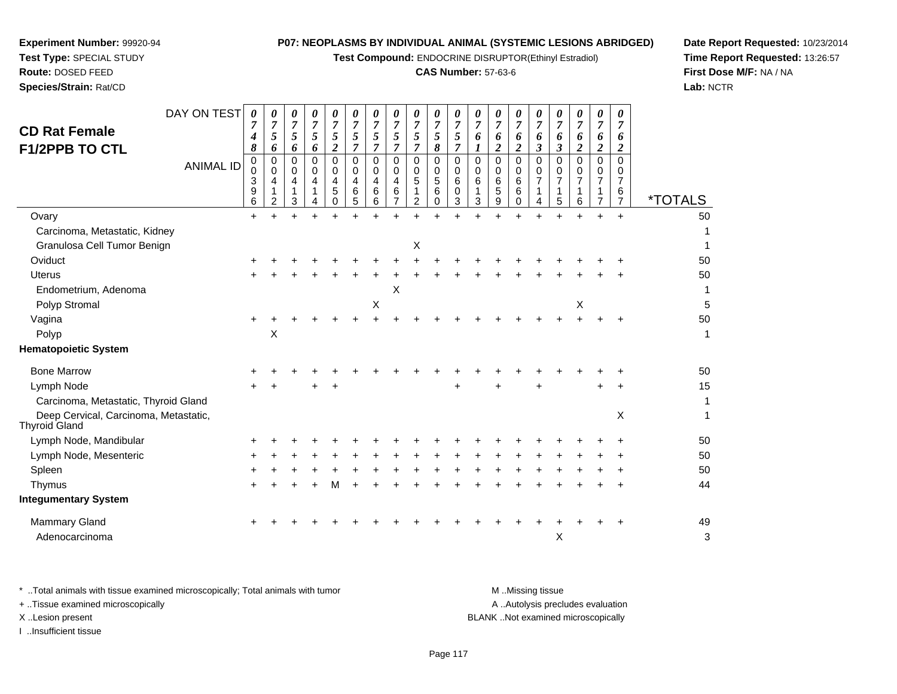**Test Compound:** ENDOCRINE DISRUPTOR(Ethinyl Estradiol)

# **CAS Number:** 57-63-6

**Date Report Requested:** 10/23/2014**Time Report Requested:** 13:26:57**First Dose M/F:** NA / NA**Lab:** NCTR

| <b>CD Rat Female</b><br><b>F1/2PPB TO CTL</b>                 | DAY ON TEST<br><b>ANIMAL ID</b> | 0<br>4<br>8<br>0<br>0<br>3<br>9<br>6 | 0<br>$\overline{7}$<br>5<br>6<br>$\mathbf 0$<br>0<br>4<br>1<br>2 | 0<br>$\overline{7}$<br>5<br>6<br>$\Omega$<br>0<br>4<br>$\mathbf{1}$<br>3 | 0<br>$\overline{7}$<br>5<br>6<br>$\Omega$<br>$\mathbf 0$<br>4<br>1 | 0<br>$\overline{7}$<br>5<br>$\overline{c}$<br>$\Omega$<br>0<br>4<br>5<br>0 | 0<br>7<br>5<br>7<br>$\overline{0}$<br>0<br>$\overline{4}$<br>$\,6\,$<br>5 | 0<br>$\overline{7}$<br>5<br>7<br>$\Omega$<br>0<br>4<br>6<br>6 | 0<br>$\overline{7}$<br>$\overline{5}$<br>$\overline{7}$<br>$\mathbf 0$<br>0<br>4<br>6<br>7 | 0<br>$\overline{7}$<br>5<br>$\overline{7}$<br>$\Omega$<br>0<br>5<br>1<br>2 | 0<br>$\overline{7}$<br>5<br>8<br>$\mathbf 0$<br>0<br>5<br>6<br>$\Omega$ | 0<br>$\overline{7}$<br>5<br>$\overline{7}$<br>$\mathbf 0$<br>0<br>$\,6$<br>$\pmb{0}$<br>3 | 0<br>7<br>6<br>1<br>$\overline{0}$<br>0<br>6<br>1<br>3 | 0<br>7<br>6<br>$\boldsymbol{2}$<br>$\mathbf 0$<br>0<br>6<br>5<br>9 | 0<br>$\overline{7}$<br>6<br>$\overline{c}$<br>$\mathbf 0$<br>0<br>6<br>6<br>$\Omega$ | 0<br>7<br>6<br>$\mathfrak{z}$<br>$\Omega$<br>0<br>$\overline{7}$<br>1<br>4 | 0<br>$\overline{7}$<br>6<br>$\boldsymbol{\beta}$<br>$\Omega$<br>0<br>$\overline{7}$<br>1<br>5 | 0<br>7<br>6<br>$\boldsymbol{2}$<br>$\Omega$<br>0<br>7<br>$\mathbf{1}$<br>6 | 0<br>7<br>6<br>$\boldsymbol{2}$<br>$\mathbf 0$<br>0<br>7<br>1<br>$\overline{7}$ | 0<br>7<br>6<br>$\overline{2}$<br>$\Omega$<br>0<br>$\overline{7}$<br>6<br>$\overline{7}$ | <i><b>*TOTALS</b></i> |
|---------------------------------------------------------------|---------------------------------|--------------------------------------|------------------------------------------------------------------|--------------------------------------------------------------------------|--------------------------------------------------------------------|----------------------------------------------------------------------------|---------------------------------------------------------------------------|---------------------------------------------------------------|--------------------------------------------------------------------------------------------|----------------------------------------------------------------------------|-------------------------------------------------------------------------|-------------------------------------------------------------------------------------------|--------------------------------------------------------|--------------------------------------------------------------------|--------------------------------------------------------------------------------------|----------------------------------------------------------------------------|-----------------------------------------------------------------------------------------------|----------------------------------------------------------------------------|---------------------------------------------------------------------------------|-----------------------------------------------------------------------------------------|-----------------------|
| Ovary                                                         |                                 | $+$                                  |                                                                  |                                                                          |                                                                    |                                                                            |                                                                           |                                                               |                                                                                            |                                                                            |                                                                         |                                                                                           |                                                        |                                                                    |                                                                                      |                                                                            |                                                                                               |                                                                            | $\ddot{}$                                                                       | $+$                                                                                     | 50                    |
| Carcinoma, Metastatic, Kidney                                 |                                 |                                      |                                                                  |                                                                          |                                                                    |                                                                            |                                                                           |                                                               |                                                                                            |                                                                            |                                                                         |                                                                                           |                                                        |                                                                    |                                                                                      |                                                                            |                                                                                               |                                                                            |                                                                                 |                                                                                         | 1                     |
| Granulosa Cell Tumor Benign                                   |                                 |                                      |                                                                  |                                                                          |                                                                    |                                                                            |                                                                           |                                                               |                                                                                            | X                                                                          |                                                                         |                                                                                           |                                                        |                                                                    |                                                                                      |                                                                            |                                                                                               |                                                                            |                                                                                 |                                                                                         | 1                     |
| Oviduct                                                       |                                 | +                                    |                                                                  |                                                                          |                                                                    |                                                                            |                                                                           |                                                               |                                                                                            |                                                                            |                                                                         |                                                                                           |                                                        |                                                                    |                                                                                      |                                                                            |                                                                                               |                                                                            |                                                                                 |                                                                                         | 50                    |
| <b>Uterus</b>                                                 |                                 |                                      |                                                                  |                                                                          |                                                                    |                                                                            |                                                                           |                                                               |                                                                                            |                                                                            |                                                                         |                                                                                           |                                                        |                                                                    |                                                                                      |                                                                            |                                                                                               |                                                                            |                                                                                 |                                                                                         | 50                    |
| Endometrium, Adenoma                                          |                                 |                                      |                                                                  |                                                                          |                                                                    |                                                                            |                                                                           |                                                               | X                                                                                          |                                                                            |                                                                         |                                                                                           |                                                        |                                                                    |                                                                                      |                                                                            |                                                                                               |                                                                            |                                                                                 |                                                                                         | 1                     |
| Polyp Stromal                                                 |                                 |                                      |                                                                  |                                                                          |                                                                    |                                                                            |                                                                           | $\boldsymbol{\mathsf{X}}$                                     |                                                                                            |                                                                            |                                                                         |                                                                                           |                                                        |                                                                    |                                                                                      |                                                                            |                                                                                               | $\mathsf X$                                                                |                                                                                 |                                                                                         | 5                     |
| Vagina                                                        |                                 | $\ddot{}$                            |                                                                  |                                                                          |                                                                    |                                                                            |                                                                           |                                                               |                                                                                            |                                                                            |                                                                         |                                                                                           |                                                        |                                                                    |                                                                                      |                                                                            |                                                                                               |                                                                            |                                                                                 |                                                                                         | 50                    |
| Polyp                                                         |                                 |                                      | $\times$                                                         |                                                                          |                                                                    |                                                                            |                                                                           |                                                               |                                                                                            |                                                                            |                                                                         |                                                                                           |                                                        |                                                                    |                                                                                      |                                                                            |                                                                                               |                                                                            |                                                                                 |                                                                                         | $\mathbf{1}$          |
| <b>Hematopoietic System</b>                                   |                                 |                                      |                                                                  |                                                                          |                                                                    |                                                                            |                                                                           |                                                               |                                                                                            |                                                                            |                                                                         |                                                                                           |                                                        |                                                                    |                                                                                      |                                                                            |                                                                                               |                                                                            |                                                                                 |                                                                                         |                       |
| <b>Bone Marrow</b>                                            |                                 | ٠                                    |                                                                  |                                                                          |                                                                    |                                                                            |                                                                           |                                                               |                                                                                            |                                                                            |                                                                         |                                                                                           |                                                        |                                                                    |                                                                                      |                                                                            |                                                                                               |                                                                            |                                                                                 |                                                                                         | 50                    |
| Lymph Node                                                    |                                 |                                      |                                                                  |                                                                          |                                                                    |                                                                            |                                                                           |                                                               |                                                                                            |                                                                            |                                                                         |                                                                                           |                                                        |                                                                    |                                                                                      |                                                                            |                                                                                               |                                                                            | $\ddot{}$                                                                       |                                                                                         | 15                    |
| Carcinoma, Metastatic, Thyroid Gland                          |                                 |                                      |                                                                  |                                                                          |                                                                    |                                                                            |                                                                           |                                                               |                                                                                            |                                                                            |                                                                         |                                                                                           |                                                        |                                                                    |                                                                                      |                                                                            |                                                                                               |                                                                            |                                                                                 |                                                                                         | $\mathbf{1}$          |
| Deep Cervical, Carcinoma, Metastatic,<br><b>Thyroid Gland</b> |                                 |                                      |                                                                  |                                                                          |                                                                    |                                                                            |                                                                           |                                                               |                                                                                            |                                                                            |                                                                         |                                                                                           |                                                        |                                                                    |                                                                                      |                                                                            |                                                                                               |                                                                            |                                                                                 | X                                                                                       | 1                     |
| Lymph Node, Mandibular                                        |                                 |                                      |                                                                  |                                                                          |                                                                    |                                                                            |                                                                           |                                                               |                                                                                            |                                                                            |                                                                         |                                                                                           |                                                        |                                                                    |                                                                                      |                                                                            |                                                                                               |                                                                            |                                                                                 |                                                                                         | 50                    |
| Lymph Node, Mesenteric                                        |                                 | +                                    |                                                                  |                                                                          |                                                                    |                                                                            |                                                                           |                                                               |                                                                                            |                                                                            |                                                                         |                                                                                           |                                                        |                                                                    |                                                                                      |                                                                            |                                                                                               |                                                                            |                                                                                 |                                                                                         | 50                    |
| Spleen                                                        |                                 |                                      |                                                                  |                                                                          |                                                                    |                                                                            |                                                                           |                                                               |                                                                                            |                                                                            |                                                                         |                                                                                           |                                                        |                                                                    |                                                                                      |                                                                            |                                                                                               |                                                                            |                                                                                 |                                                                                         | 50                    |
| Thymus                                                        |                                 | +                                    |                                                                  |                                                                          |                                                                    | м                                                                          |                                                                           |                                                               |                                                                                            |                                                                            |                                                                         |                                                                                           |                                                        |                                                                    |                                                                                      |                                                                            |                                                                                               |                                                                            |                                                                                 | ÷                                                                                       | 44                    |
| <b>Integumentary System</b>                                   |                                 |                                      |                                                                  |                                                                          |                                                                    |                                                                            |                                                                           |                                                               |                                                                                            |                                                                            |                                                                         |                                                                                           |                                                        |                                                                    |                                                                                      |                                                                            |                                                                                               |                                                                            |                                                                                 |                                                                                         |                       |
| <b>Mammary Gland</b>                                          |                                 | +                                    |                                                                  |                                                                          |                                                                    |                                                                            |                                                                           |                                                               |                                                                                            |                                                                            |                                                                         |                                                                                           |                                                        |                                                                    |                                                                                      |                                                                            |                                                                                               |                                                                            |                                                                                 |                                                                                         | 49                    |
| Adenocarcinoma                                                |                                 |                                      |                                                                  |                                                                          |                                                                    |                                                                            |                                                                           |                                                               |                                                                                            |                                                                            |                                                                         |                                                                                           |                                                        |                                                                    |                                                                                      |                                                                            | X                                                                                             |                                                                            |                                                                                 |                                                                                         | 3                     |
|                                                               |                                 |                                      |                                                                  |                                                                          |                                                                    |                                                                            |                                                                           |                                                               |                                                                                            |                                                                            |                                                                         |                                                                                           |                                                        |                                                                    |                                                                                      |                                                                            |                                                                                               |                                                                            |                                                                                 |                                                                                         |                       |

**Experiment Number:** 99920-94**Test Type:** SPECIAL STUDY**Route:** DOSED FEED**Species/Strain:** Rat/CD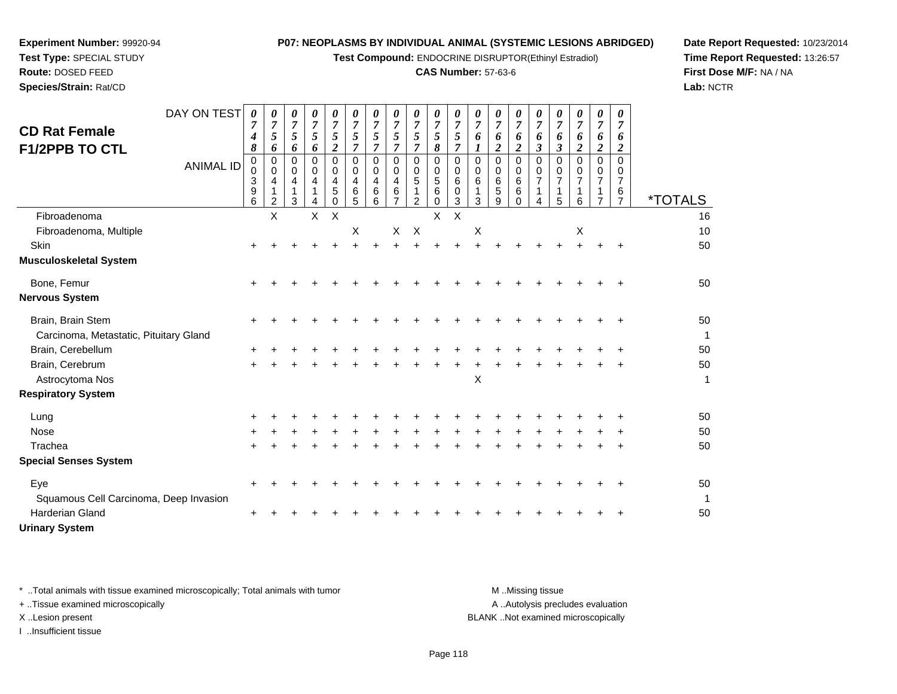**Test Compound:** ENDOCRINE DISRUPTOR(Ethinyl Estradiol)

# **CAS Number:** 57-63-6

**Date Report Requested:** 10/23/2014**Time Report Requested:** 13:26:57**First Dose M/F:** NA / NA**Lab:** NCTR

| <b>CD Rat Female</b><br><b>F1/2PPB TO CTL</b> | DAY ON TEST      | 0<br>$\overline{7}$<br>4<br>8   | $\boldsymbol{\theta}$<br>$\overline{7}$<br>5<br>6 | $\boldsymbol{\theta}$<br>$\overline{7}$<br>5<br>6 | 0<br>$\overline{7}$<br>5<br>6 | $\boldsymbol{\theta}$<br>$\boldsymbol{7}$<br>5<br>$\overline{\mathbf{c}}$ | 0<br>$\overline{7}$<br>5<br>$\overline{7}$   | 0<br>$\overline{7}$<br>5<br>7 | 0<br>$\overline{7}$<br>5<br>$\overline{7}$       | 0<br>$\overline{7}$<br>5<br>$\overline{7}$ | $\boldsymbol{\theta}$<br>$\boldsymbol{7}$<br>5<br>$\pmb{8}$ | $\boldsymbol{\theta}$<br>$\overline{7}$<br>5<br>$\overline{7}$ | 0<br>$\overline{7}$<br>6<br>1 | 0<br>$\overline{7}$<br>6<br>$\overline{\mathbf{2}}$ | 0<br>$\overline{7}$<br>6<br>$\overline{\mathbf{c}}$ | 0<br>$\overline{7}$<br>6<br>$\mathfrak{z}$ | 0<br>$\overline{7}$<br>6<br>$\boldsymbol{\beta}$ | 0<br>$\overline{7}$<br>6<br>$\boldsymbol{2}$ | 0<br>$\overline{7}$<br>6<br>$\boldsymbol{2}$ | 0<br>$\overline{7}$<br>6<br>$\overline{2}$ |                       |
|-----------------------------------------------|------------------|---------------------------------|---------------------------------------------------|---------------------------------------------------|-------------------------------|---------------------------------------------------------------------------|----------------------------------------------|-------------------------------|--------------------------------------------------|--------------------------------------------|-------------------------------------------------------------|----------------------------------------------------------------|-------------------------------|-----------------------------------------------------|-----------------------------------------------------|--------------------------------------------|--------------------------------------------------|----------------------------------------------|----------------------------------------------|--------------------------------------------|-----------------------|
|                                               | <b>ANIMAL ID</b> | $\mathbf 0$<br>0<br>3<br>9<br>6 | $\Omega$<br>0<br>4<br>2                           | $\Omega$<br>0<br>4<br>3                           | $\Omega$<br>0<br>4            | $\Omega$<br>0<br>4<br>5<br>$\Omega$                                       | $\Omega$<br>$\mathbf 0$<br>4<br>$\,6\,$<br>5 | $\Omega$<br>0<br>4<br>6<br>6  | $\mathbf 0$<br>0<br>4<br>$\,6$<br>$\overline{7}$ | $\Omega$<br>0<br>5<br>$\overline{2}$       | $\mathbf 0$<br>0<br>$\sqrt{5}$<br>$\,6$<br>$\Omega$         | $\Omega$<br>0<br>6<br>0<br>$\overline{3}$                      | $\Omega$<br>0<br>6<br>3       | $\Omega$<br>0<br>6<br>$\sqrt{5}$<br>9               | $\Omega$<br>0<br>6<br>6<br>0                        | $\Omega$<br>0<br>$\overline{7}$<br>4       | $\Omega$<br>0<br>$\overline{7}$<br>1<br>5        | $\Omega$<br>0<br>7<br>6                      | $\Omega$<br>0<br>7<br>1<br>$\overline{7}$    | $\Omega$<br>0<br>7<br>6<br>$\overline{7}$  | <i><b>*TOTALS</b></i> |
| Fibroadenoma                                  |                  |                                 | X                                                 |                                                   | $\mathsf{X}$                  | $\boldsymbol{\mathsf{X}}$                                                 |                                              |                               |                                                  |                                            | $\mathsf{X}$                                                | X                                                              |                               |                                                     |                                                     |                                            |                                                  |                                              |                                              |                                            | 16                    |
| Fibroadenoma, Multiple                        |                  |                                 |                                                   |                                                   |                               |                                                                           | $\boldsymbol{\mathsf{X}}$                    |                               | X                                                | $\mathsf{X}$                               |                                                             |                                                                | Χ                             |                                                     |                                                     |                                            |                                                  | $\boldsymbol{\mathsf{X}}$                    |                                              |                                            | 10                    |
| Skin                                          |                  |                                 |                                                   |                                                   |                               |                                                                           |                                              |                               |                                                  |                                            |                                                             |                                                                |                               |                                                     |                                                     |                                            |                                                  |                                              |                                              |                                            | 50                    |
| <b>Musculoskeletal System</b>                 |                  |                                 |                                                   |                                                   |                               |                                                                           |                                              |                               |                                                  |                                            |                                                             |                                                                |                               |                                                     |                                                     |                                            |                                                  |                                              |                                              |                                            |                       |
| Bone, Femur                                   |                  | $\pm$                           |                                                   |                                                   |                               |                                                                           |                                              |                               |                                                  |                                            |                                                             |                                                                |                               |                                                     |                                                     |                                            |                                                  |                                              |                                              |                                            | 50                    |
| <b>Nervous System</b>                         |                  |                                 |                                                   |                                                   |                               |                                                                           |                                              |                               |                                                  |                                            |                                                             |                                                                |                               |                                                     |                                                     |                                            |                                                  |                                              |                                              |                                            |                       |
| Brain, Brain Stem                             |                  |                                 |                                                   |                                                   |                               |                                                                           |                                              |                               |                                                  |                                            |                                                             |                                                                |                               |                                                     |                                                     |                                            |                                                  |                                              |                                              |                                            | 50                    |
| Carcinoma, Metastatic, Pituitary Gland        |                  |                                 |                                                   |                                                   |                               |                                                                           |                                              |                               |                                                  |                                            |                                                             |                                                                |                               |                                                     |                                                     |                                            |                                                  |                                              |                                              |                                            | $\mathbf{1}$          |
| Brain, Cerebellum                             |                  |                                 |                                                   |                                                   |                               |                                                                           |                                              |                               |                                                  |                                            |                                                             |                                                                |                               |                                                     |                                                     |                                            |                                                  |                                              |                                              |                                            | 50                    |
| Brain, Cerebrum<br>Astrocytoma Nos            |                  | $\ddot{}$                       |                                                   |                                                   |                               |                                                                           |                                              |                               |                                                  |                                            |                                                             |                                                                | X                             |                                                     |                                                     |                                            |                                                  |                                              |                                              |                                            | 50<br>1               |
| <b>Respiratory System</b>                     |                  |                                 |                                                   |                                                   |                               |                                                                           |                                              |                               |                                                  |                                            |                                                             |                                                                |                               |                                                     |                                                     |                                            |                                                  |                                              |                                              |                                            |                       |
| Lung                                          |                  |                                 |                                                   |                                                   |                               |                                                                           |                                              |                               |                                                  |                                            |                                                             |                                                                |                               |                                                     |                                                     |                                            |                                                  |                                              |                                              |                                            | 50                    |
| Nose                                          |                  |                                 |                                                   |                                                   |                               |                                                                           |                                              |                               |                                                  |                                            |                                                             |                                                                |                               |                                                     |                                                     |                                            |                                                  |                                              |                                              |                                            | 50                    |
| Trachea                                       |                  |                                 |                                                   |                                                   |                               |                                                                           |                                              |                               |                                                  |                                            |                                                             |                                                                |                               |                                                     |                                                     |                                            |                                                  |                                              |                                              |                                            | 50                    |
| <b>Special Senses System</b>                  |                  |                                 |                                                   |                                                   |                               |                                                                           |                                              |                               |                                                  |                                            |                                                             |                                                                |                               |                                                     |                                                     |                                            |                                                  |                                              |                                              |                                            |                       |
| Eye                                           |                  |                                 |                                                   |                                                   |                               |                                                                           |                                              |                               |                                                  |                                            |                                                             |                                                                |                               |                                                     |                                                     |                                            |                                                  |                                              |                                              |                                            | 50                    |
| Squamous Cell Carcinoma, Deep Invasion        |                  |                                 |                                                   |                                                   |                               |                                                                           |                                              |                               |                                                  |                                            |                                                             |                                                                |                               |                                                     |                                                     |                                            |                                                  |                                              |                                              |                                            | $\mathbf{1}$          |
| <b>Harderian Gland</b>                        |                  |                                 |                                                   |                                                   |                               |                                                                           |                                              |                               |                                                  |                                            |                                                             |                                                                |                               |                                                     |                                                     |                                            |                                                  |                                              |                                              |                                            | 50                    |
| <b>Urinary System</b>                         |                  |                                 |                                                   |                                                   |                               |                                                                           |                                              |                               |                                                  |                                            |                                                             |                                                                |                               |                                                     |                                                     |                                            |                                                  |                                              |                                              |                                            |                       |

**Experiment Number:** 99920-94**Test Type:** SPECIAL STUDY**Route:** DOSED FEED**Species/Strain:** Rat/CD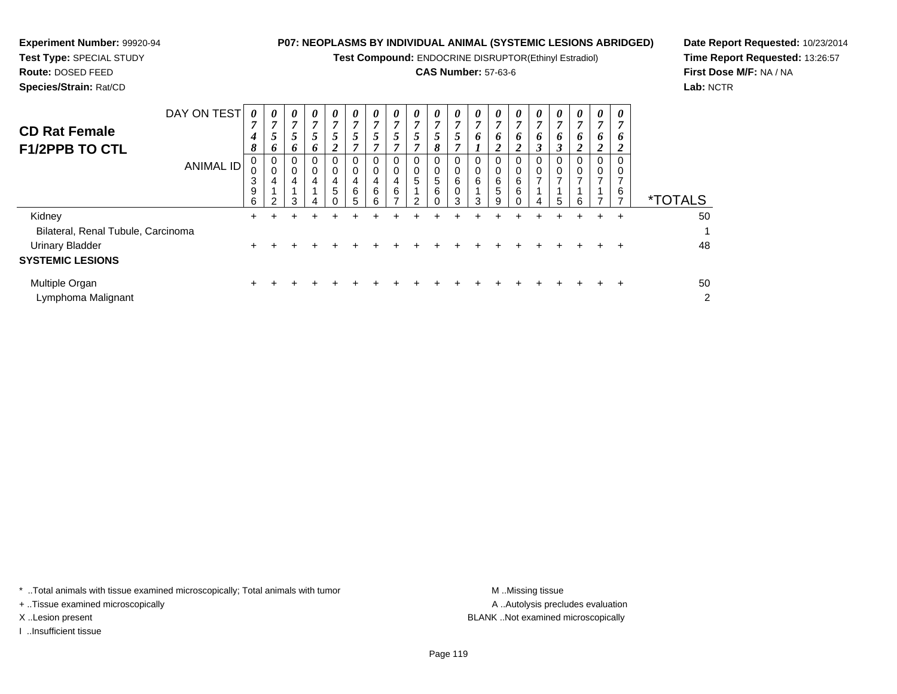**Test Compound:** ENDOCRINE DISRUPTOR(Ethinyl Estradiol)

# **CAS Number:** 57-63-6

**Date Report Requested:** 10/23/2014**Time Report Requested:** 13:26:57**First Dose M/F:** NA / NA**Lab:** NCTR

| Species/Strain: Rat/CD |             |                |   |   |   |              |  |   |   |  |
|------------------------|-------------|----------------|---|---|---|--------------|--|---|---|--|
|                        | DAY ON TEST | $\overline{ }$ |   | U | U | $\mathbf{r}$ |  |   |   |  |
| <b>CD Rat Female</b>   |             |                |   |   | 7 |              |  | − | − |  |
|                        |             |                |   |   | J |              |  |   |   |  |
| <b>F1/2PPB TO CTL</b>  |             | п              |   |   | , |              |  | ິ | − |  |
|                        | ANIMA       | 0              | U |   | U |              |  |   | 0 |  |

| <b>ANIMAL ID</b>                     | 0<br>0<br>3<br>9<br>6 | 0<br>U<br>4<br>ົ | 0<br>4<br>З | 0<br>0<br>4<br>5 | 0<br>4<br>6<br>5 | 0<br>0<br>4<br>6<br>6 | 0<br>0<br>4<br>6 | 0<br>$\mathbf{0}$<br>5<br>$\mathcal{P}$ | 0<br>0<br>5<br>6<br>0 | 0<br>$\mathbf 0$<br>6<br>0<br>3 | 0<br>0<br>6<br>3 | 0<br>0<br>6<br>5<br>9 | 6<br>6 | 0<br>0<br>-<br>4 | 0<br>5 | 0<br>6 | - U | 0<br>0<br>⇁<br>6 | TALS<br>$\star$      |
|--------------------------------------|-----------------------|------------------|-------------|------------------|------------------|-----------------------|------------------|-----------------------------------------|-----------------------|---------------------------------|------------------|-----------------------|--------|------------------|--------|--------|-----|------------------|----------------------|
| Kidney                               | ÷                     |                  |             |                  |                  |                       |                  |                                         |                       |                                 |                  |                       |        |                  |        |        |     | $\div$           | 50                   |
| Bilateral, Renal Tubule, Carcinoma   |                       |                  |             |                  |                  |                       |                  |                                         |                       |                                 |                  |                       |        |                  |        |        |     |                  |                      |
| <b>Urinary Bladder</b>               |                       |                  |             |                  |                  |                       |                  |                                         |                       |                                 |                  |                       |        |                  |        |        |     |                  | 48                   |
| <b>SYSTEMIC LESIONS</b>              |                       |                  |             |                  |                  |                       |                  |                                         |                       |                                 |                  |                       |        |                  |        |        |     |                  |                      |
| Multiple Organ<br>Lymphoma Malignant |                       |                  |             |                  |                  |                       |                  |                                         |                       |                                 |                  |                       |        |                  |        |        |     |                  | 50<br>$\overline{2}$ |

\* ..Total animals with tissue examined microscopically; Total animals with tumor **M** . Missing tissue M ..Missing tissue

+ ..Tissue examined microscopically

**Experiment Number:** 99920-94**Test Type:** SPECIAL STUDY**Route:** DOSED FEED

I ..Insufficient tissue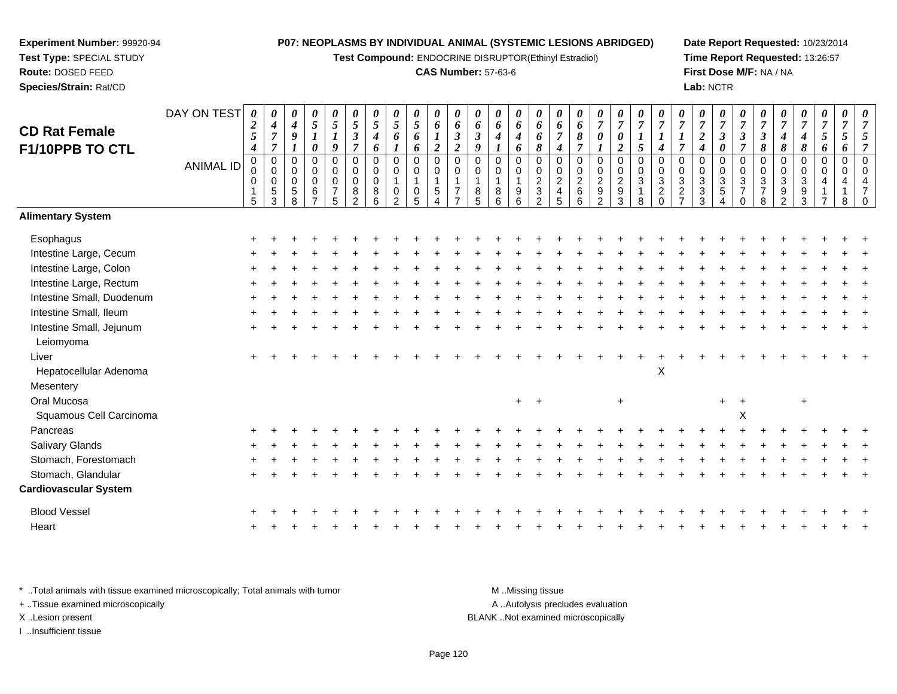**Test Compound:** ENDOCRINE DISRUPTOR(Ethinyl Estradiol)

# **CAS Number:** 57-63-6

**Date Report Requested:** 10/23/2014**Time Report Requested:** 13:26:57**First Dose M/F:** NA / NA**Lab:** NCTR

| <b>CD Rat Female</b><br>F1/10PPB TO CTL | DAY ON TEST      | $\boldsymbol{\theta}$<br>$\boldsymbol{2}$<br>5<br>$\boldsymbol{4}$ | 0<br>$\boldsymbol{4}$<br>$\overline{7}$<br>$\overline{7}$   | 0<br>$\boldsymbol{4}$<br>9<br>$\mathbf{I}$ | 0<br>5<br>$\boldsymbol{l}$<br>0                  | $\boldsymbol{\theta}$<br>$\mathfrak{s}$<br>$\boldsymbol{l}$<br>9 | 0<br>5<br>$\mathfrak{z}$<br>$\overline{7}$                       | 0<br>$\sqrt{5}$<br>$\boldsymbol{4}$<br>6            | 0<br>5<br>6                                                          | 0<br>5<br>6<br>6                                | $\boldsymbol{\theta}$<br>6<br>$\boldsymbol{l}$<br>$\boldsymbol{2}$  | $\boldsymbol{\theta}$<br>6<br>$\mathfrak{z}$<br>$\overline{2}$       | 0<br>6<br>$\boldsymbol{\beta}$<br>9 | 0<br>6<br>$\boldsymbol{4}$                 | 0<br>6<br>4<br>6                                | $\boldsymbol{\theta}$<br>6<br>6<br>8        | $\boldsymbol{\theta}$<br>6<br>$\overline{7}$<br>$\boldsymbol{4}$ | 0<br>6<br>8<br>$\overline{7}$               | 0<br>$\overline{7}$<br>0                               | 0<br>$\overline{7}$<br>0<br>$\overline{c}$           | $\pmb{\theta}$<br>$\overline{7}$<br>$\boldsymbol{l}$<br>$\mathfrak{s}$ | 0<br>$\overline{7}$<br>$\boldsymbol{l}$<br>$\boldsymbol{4}$    | $\overline{7}$<br>1<br>$\overline{7}$            | 0<br>$\overline{7}$<br>$\overline{2}$<br>$\boldsymbol{4}$ | 0<br>$\boldsymbol{7}$<br>$\mathfrak{z}$<br>0                  | 0<br>$\overline{7}$<br>$\boldsymbol{\beta}$<br>$\overline{7}$          | 0<br>$\overline{7}$<br>$\boldsymbol{\beta}$<br>$\pmb{8}$ | 7<br>4<br>8                                  | 0<br>$\overline{7}$<br>4<br>8 | 0<br>$\overline{7}$<br>5<br>6                | 0<br>$\overline{7}$<br>5<br>6 | $\boldsymbol{\theta}$<br>$\overline{7}$ |
|-----------------------------------------|------------------|--------------------------------------------------------------------|-------------------------------------------------------------|--------------------------------------------|--------------------------------------------------|------------------------------------------------------------------|------------------------------------------------------------------|-----------------------------------------------------|----------------------------------------------------------------------|-------------------------------------------------|---------------------------------------------------------------------|----------------------------------------------------------------------|-------------------------------------|--------------------------------------------|-------------------------------------------------|---------------------------------------------|------------------------------------------------------------------|---------------------------------------------|--------------------------------------------------------|------------------------------------------------------|------------------------------------------------------------------------|----------------------------------------------------------------|--------------------------------------------------|-----------------------------------------------------------|---------------------------------------------------------------|------------------------------------------------------------------------|----------------------------------------------------------|----------------------------------------------|-------------------------------|----------------------------------------------|-------------------------------|-----------------------------------------|
|                                         | <b>ANIMAL ID</b> | $\pmb{0}$<br>0<br>0<br>1<br>5                                      | $\mathbf 0$<br>$\mathbf 0$<br>$\pmb{0}$<br>$\,$ 5 $\,$<br>3 | $\mathbf 0$<br>0<br>0<br>$\,$ 5 $\,$<br>8  | $\mathbf 0$<br>0<br>0<br>$\,6$<br>$\overline{z}$ | $\pmb{0}$<br>$\mathbf 0$<br>$\mathbf 0$<br>$\overline{7}$<br>5   | $\mathbf 0$<br>$\mathbf 0$<br>$\mathbf 0$<br>8<br>$\overline{2}$ | $\mathbf 0$<br>$\mathbf 0$<br>$\mathbf 0$<br>8<br>6 | $\pmb{0}$<br>0<br>$\mathbf{1}$<br>$\boldsymbol{0}$<br>$\mathfrak{p}$ | 0<br>0<br>$\begin{array}{c} 0 \\ 5 \end{array}$ | $\boldsymbol{0}$<br>$\mathbf 0$<br>$\mathbf{1}$<br>$\,$ 5 $\,$<br>4 | $\mathbf 0$<br>0<br>$\mathbf{1}$<br>$\overline{7}$<br>$\overline{ }$ | $\Omega$<br>0<br>1<br>8<br>5        | $\mathbf 0$<br>0<br>$\mathbf{1}$<br>8<br>6 | 0<br>0<br>$\begin{array}{c} 9 \\ 6 \end{array}$ | $\mathbf 0$<br>$\mathbf 0$<br>$\frac{2}{3}$ | $\mathbf 0$<br>0<br>$\overline{\mathbf{c}}$<br>$\frac{4}{5}$     | $\mathbf 0$<br>$\mathbf 0$<br>$\frac{2}{6}$ | 0<br>0<br>$\begin{array}{c}\n2 \\ 9 \\ 2\n\end{array}$ | 0<br>$\begin{array}{c} 0 \\ 2 \\ 9 \\ 3 \end{array}$ | $\pmb{0}$<br>$\mathbf 0$<br>$\overline{3}$<br>$\mathbf{1}$<br>8        | $\mathbf 0$<br>0<br>$\ensuremath{\mathsf{3}}$<br>$\frac{2}{0}$ | $\Omega$<br>0<br>$\overline{3}$<br>$\frac{2}{7}$ | $\mathbf 0$<br>0<br>$\frac{3}{3}$                         | $\mathbf 0$<br>0<br>$\frac{3}{5}$<br>$\boldsymbol{\varDelta}$ | $\mathbf 0$<br>$\mathbf 0$<br>$\sqrt{3}$<br>$\overline{7}$<br>$\Omega$ | $\mathbf 0$<br>0<br>3<br>$\overline{7}$<br>8             | $\mathbf 0$<br>0<br>3<br>9<br>$\overline{2}$ | 0<br>0<br>3<br>$\frac{9}{3}$  | $\mathbf 0$<br>$\mathbf 0$<br>$\overline{4}$ | $\pmb{0}$<br>$\mathbf 0$<br>8 |                                         |
| <b>Alimentary System</b>                |                  |                                                                    |                                                             |                                            |                                                  |                                                                  |                                                                  |                                                     |                                                                      |                                                 |                                                                     |                                                                      |                                     |                                            |                                                 |                                             |                                                                  |                                             |                                                        |                                                      |                                                                        |                                                                |                                                  |                                                           |                                                               |                                                                        |                                                          |                                              |                               |                                              |                               |                                         |
| Esophagus                               |                  |                                                                    |                                                             |                                            |                                                  |                                                                  |                                                                  |                                                     |                                                                      |                                                 |                                                                     |                                                                      |                                     |                                            |                                                 |                                             |                                                                  |                                             |                                                        |                                                      |                                                                        |                                                                |                                                  |                                                           |                                                               |                                                                        |                                                          |                                              |                               |                                              |                               |                                         |
| Intestine Large, Cecum                  |                  |                                                                    |                                                             |                                            |                                                  |                                                                  |                                                                  |                                                     |                                                                      |                                                 |                                                                     |                                                                      |                                     |                                            |                                                 |                                             |                                                                  |                                             |                                                        |                                                      |                                                                        |                                                                |                                                  |                                                           |                                                               |                                                                        |                                                          |                                              |                               |                                              |                               |                                         |
| Intestine Large, Colon                  |                  |                                                                    |                                                             |                                            |                                                  |                                                                  |                                                                  |                                                     |                                                                      |                                                 |                                                                     |                                                                      |                                     |                                            |                                                 |                                             |                                                                  |                                             |                                                        |                                                      |                                                                        |                                                                |                                                  |                                                           |                                                               |                                                                        |                                                          |                                              |                               |                                              |                               |                                         |
| Intestine Large, Rectum                 |                  |                                                                    |                                                             |                                            |                                                  |                                                                  |                                                                  |                                                     |                                                                      |                                                 |                                                                     |                                                                      |                                     |                                            |                                                 |                                             |                                                                  |                                             |                                                        |                                                      |                                                                        |                                                                |                                                  |                                                           |                                                               |                                                                        |                                                          |                                              |                               |                                              |                               |                                         |
| Intestine Small, Duodenum               |                  |                                                                    |                                                             |                                            |                                                  |                                                                  |                                                                  |                                                     |                                                                      |                                                 |                                                                     |                                                                      |                                     |                                            |                                                 |                                             |                                                                  |                                             |                                                        |                                                      |                                                                        |                                                                |                                                  |                                                           |                                                               |                                                                        |                                                          |                                              |                               |                                              |                               |                                         |
| Intestine Small, Ileum                  |                  |                                                                    |                                                             |                                            |                                                  |                                                                  |                                                                  |                                                     |                                                                      |                                                 |                                                                     |                                                                      |                                     |                                            |                                                 |                                             |                                                                  |                                             |                                                        |                                                      |                                                                        |                                                                |                                                  |                                                           |                                                               |                                                                        |                                                          |                                              |                               |                                              |                               |                                         |
| Intestine Small, Jejunum<br>Leiomyoma   |                  |                                                                    |                                                             |                                            |                                                  |                                                                  |                                                                  |                                                     |                                                                      |                                                 |                                                                     |                                                                      |                                     |                                            |                                                 |                                             |                                                                  |                                             |                                                        |                                                      |                                                                        |                                                                |                                                  |                                                           |                                                               |                                                                        |                                                          |                                              |                               |                                              |                               |                                         |
| Liver                                   |                  |                                                                    |                                                             |                                            |                                                  |                                                                  |                                                                  |                                                     |                                                                      |                                                 |                                                                     |                                                                      |                                     |                                            |                                                 |                                             |                                                                  |                                             |                                                        |                                                      |                                                                        |                                                                |                                                  |                                                           |                                                               |                                                                        |                                                          |                                              |                               |                                              |                               |                                         |
| Hepatocellular Adenoma                  |                  |                                                                    |                                                             |                                            |                                                  |                                                                  |                                                                  |                                                     |                                                                      |                                                 |                                                                     |                                                                      |                                     |                                            |                                                 |                                             |                                                                  |                                             |                                                        |                                                      |                                                                        | $\pmb{\times}$                                                 |                                                  |                                                           |                                                               |                                                                        |                                                          |                                              |                               |                                              |                               |                                         |
| Mesentery                               |                  |                                                                    |                                                             |                                            |                                                  |                                                                  |                                                                  |                                                     |                                                                      |                                                 |                                                                     |                                                                      |                                     |                                            |                                                 |                                             |                                                                  |                                             |                                                        |                                                      |                                                                        |                                                                |                                                  |                                                           |                                                               |                                                                        |                                                          |                                              |                               |                                              |                               |                                         |
| Oral Mucosa                             |                  |                                                                    |                                                             |                                            |                                                  |                                                                  |                                                                  |                                                     |                                                                      |                                                 |                                                                     |                                                                      |                                     |                                            | $+$                                             | $+$                                         |                                                                  |                                             |                                                        | $+$                                                  |                                                                        |                                                                |                                                  |                                                           | $+$                                                           | $\overline{+}$                                                         |                                                          |                                              | $\ddot{}$                     |                                              |                               |                                         |
| Squamous Cell Carcinoma                 |                  |                                                                    |                                                             |                                            |                                                  |                                                                  |                                                                  |                                                     |                                                                      |                                                 |                                                                     |                                                                      |                                     |                                            |                                                 |                                             |                                                                  |                                             |                                                        |                                                      |                                                                        |                                                                |                                                  |                                                           |                                                               | X                                                                      |                                                          |                                              |                               |                                              |                               |                                         |
| Pancreas                                |                  |                                                                    |                                                             |                                            |                                                  |                                                                  |                                                                  |                                                     |                                                                      |                                                 |                                                                     |                                                                      |                                     |                                            |                                                 |                                             |                                                                  |                                             |                                                        |                                                      |                                                                        |                                                                |                                                  |                                                           |                                                               |                                                                        |                                                          |                                              |                               |                                              |                               |                                         |
| Salivary Glands                         |                  |                                                                    |                                                             |                                            |                                                  |                                                                  |                                                                  |                                                     |                                                                      |                                                 |                                                                     |                                                                      |                                     |                                            |                                                 |                                             |                                                                  |                                             |                                                        |                                                      |                                                                        |                                                                |                                                  |                                                           |                                                               |                                                                        |                                                          |                                              |                               |                                              |                               |                                         |
| Stomach, Forestomach                    |                  |                                                                    |                                                             |                                            |                                                  |                                                                  |                                                                  |                                                     |                                                                      |                                                 |                                                                     |                                                                      |                                     |                                            |                                                 |                                             |                                                                  |                                             |                                                        |                                                      |                                                                        |                                                                |                                                  |                                                           |                                                               |                                                                        |                                                          |                                              |                               |                                              |                               |                                         |
| Stomach, Glandular                      |                  |                                                                    |                                                             |                                            |                                                  |                                                                  |                                                                  |                                                     |                                                                      |                                                 |                                                                     |                                                                      |                                     |                                            |                                                 |                                             |                                                                  |                                             |                                                        |                                                      |                                                                        |                                                                |                                                  |                                                           |                                                               |                                                                        |                                                          |                                              |                               |                                              |                               |                                         |
| <b>Cardiovascular System</b>            |                  |                                                                    |                                                             |                                            |                                                  |                                                                  |                                                                  |                                                     |                                                                      |                                                 |                                                                     |                                                                      |                                     |                                            |                                                 |                                             |                                                                  |                                             |                                                        |                                                      |                                                                        |                                                                |                                                  |                                                           |                                                               |                                                                        |                                                          |                                              |                               |                                              |                               |                                         |
| <b>Blood Vessel</b>                     |                  |                                                                    |                                                             |                                            |                                                  |                                                                  |                                                                  |                                                     |                                                                      |                                                 |                                                                     |                                                                      |                                     |                                            |                                                 |                                             |                                                                  |                                             |                                                        |                                                      |                                                                        |                                                                |                                                  |                                                           |                                                               |                                                                        |                                                          |                                              |                               |                                              |                               |                                         |
| Heart                                   |                  |                                                                    |                                                             |                                            |                                                  |                                                                  |                                                                  |                                                     |                                                                      |                                                 |                                                                     |                                                                      |                                     |                                            |                                                 |                                             |                                                                  |                                             |                                                        |                                                      |                                                                        |                                                                |                                                  |                                                           |                                                               |                                                                        |                                                          |                                              |                               |                                              |                               |                                         |
|                                         |                  |                                                                    |                                                             |                                            |                                                  |                                                                  |                                                                  |                                                     |                                                                      |                                                 |                                                                     |                                                                      |                                     |                                            |                                                 |                                             |                                                                  |                                             |                                                        |                                                      |                                                                        |                                                                |                                                  |                                                           |                                                               |                                                                        |                                                          |                                              |                               |                                              |                               |                                         |

\* ..Total animals with tissue examined microscopically; Total animals with tumor **M** . Missing tissue M ..Missing tissue A ..Autolysis precludes evaluation + ..Tissue examined microscopically X ..Lesion present BLANK ..Not examined microscopicallyI ..Insufficient tissue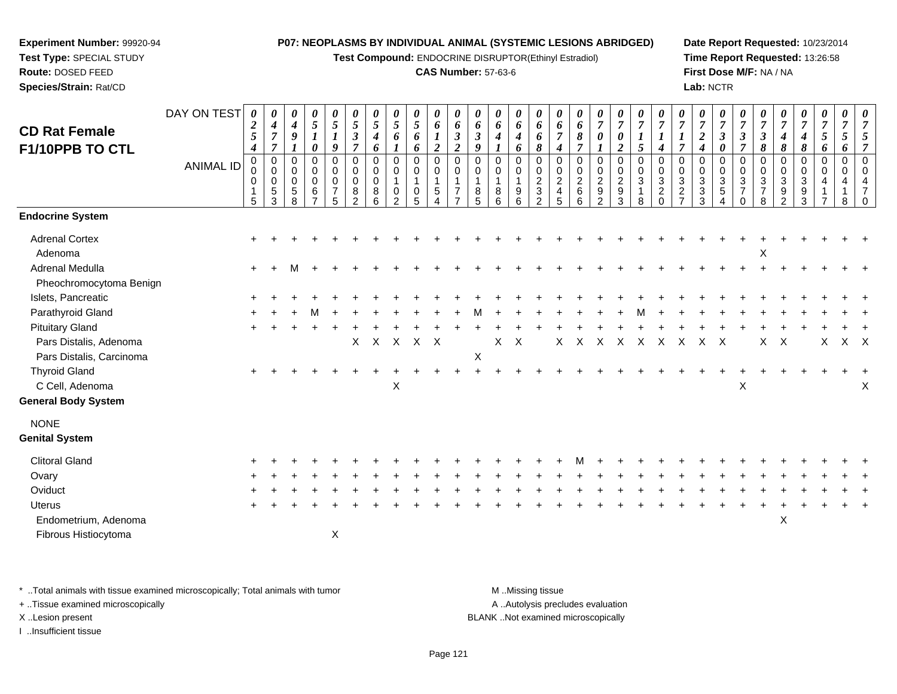**Test Compound:** ENDOCRINE DISRUPTOR(Ethinyl Estradiol)

#### **CAS Number:** 57-63-6

**Date Report Requested:** 10/23/2014**Time Report Requested:** 13:26:58**First Dose M/F:** NA / NA**Lab:** NCTR

#### DAY ON TEST**CD Rat Female F1/10PPB TO CTL**ANIMAL ID*0 2 5 4* 0 0 0 1 5*0 4 7 7* 0 0 0 5 3*0 4 9 1* 0 0 0 5 8*0 5 1 0* 0 0 0 6 7*0 5 1 9* 0 0 0 7 5*0 5 3 7* 0 0 0 8 2*0 5 4 6* 0 0 0 8 6*0 5 6 1* 0 0 1 0 2*0 5 6 6* 0 0 1 0 5*0 6 1 2* 0 0 1 5 4*0 6 3 2* 0 0 1 7 7*0 6 3 9* 0 0 1 8 5*0 6 4 1* 0 0 1 8 6*0 6 4 6* 0 0 1 9 6*0 6 6 8* 0 0 2 3 2*0 6 7 4* 0 0 2 4 5*0 6 8 7* 0 0 2 6 6*0 7 0 1* 0 0 2 9 2*0 7 0 2* 0 0 2 9 3*0 7 1 5* 0 0 3 1 8*0 7 1 4* 0 0 3 2 0*0 7 1 7* 0 0 3 2 7*0 7 2 4* 0 0 3 3 3*0 7 3 0* 0 0 3 5 4*0 7 3 7* 0 0 3 7 0*0 7 3 8* 0 0 3 7 8*0 7 4 8* 0 0 3 9 2*0 7 4 8* 0 0 3 9 3*0 7 5 6* 0 0 4 1 7*0 7 5 6* 0 0 4 1 8*0 7 5 7* 0 0 4 7 0**Endocrine System**Adrenal Cortex $\times$  + <sup>+</sup> <sup>+</sup> <sup>+</sup> <sup>+</sup> <sup>+</sup> <sup>+</sup> <sup>+</sup> <sup>+</sup> <sup>+</sup> <sup>+</sup> <sup>+</sup> <sup>+</sup> <sup>+</sup> <sup>+</sup> <sup>+</sup> <sup>+</sup> <sup>+</sup> <sup>+</sup> <sup>+</sup> <sup>+</sup> <sup>+</sup> <sup>+</sup> <sup>+</sup> <sup>+</sup> <sup>+</sup> <sup>+</sup> <sup>+</sup> <sup>+</sup> <sup>+</sup> <sup>+</sup> Adenomaa and the contract of the contract of the contract of the contract of the contract of the contract of the contract of the contract of the contract of the contract of the contract of the contract of the contract of the cont  $\ddot{}$ Adrenal Medullaa  $+$  <sup>+</sup> <sup>M</sup> <sup>+</sup> <sup>+</sup> <sup>+</sup> <sup>+</sup> <sup>+</sup> <sup>+</sup> <sup>+</sup> <sup>+</sup> <sup>+</sup> <sup>+</sup> <sup>+</sup> <sup>+</sup> <sup>+</sup> <sup>+</sup> <sup>+</sup> <sup>+</sup> <sup>+</sup> <sup>+</sup> <sup>+</sup> <sup>+</sup> <sup>+</sup> <sup>+</sup> <sup>+</sup> <sup>+</sup> <sup>+</sup> <sup>+</sup> <sup>+</sup> <sup>+</sup> Pheochromocytoma BenignIslets, Pancreatic $\overline{c}$  + <sup>+</sup> <sup>+</sup> <sup>+</sup> <sup>+</sup> <sup>+</sup> <sup>+</sup> <sup>+</sup> <sup>+</sup> <sup>+</sup> <sup>+</sup> <sup>+</sup> <sup>+</sup> <sup>+</sup> <sup>+</sup> <sup>+</sup> <sup>+</sup> <sup>+</sup> <sup>+</sup> <sup>+</sup> <sup>+</sup> <sup>+</sup> <sup>+</sup> <sup>+</sup> <sup>+</sup> <sup>+</sup> <sup>+</sup> <sup>+</sup> <sup>+</sup> <sup>+</sup> <sup>+</sup> Parathyroid Gland $\alpha$  + <sup>+</sup> <sup>+</sup> <sup>M</sup> <sup>+</sup> <sup>+</sup> <sup>+</sup> <sup>+</sup> <sup>+</sup> <sup>+</sup> <sup>+</sup> <sup>M</sup> <sup>+</sup> <sup>+</sup> <sup>+</sup> <sup>+</sup> <sup>+</sup> <sup>+</sup> <sup>+</sup> <sup>M</sup> <sup>+</sup> <sup>+</sup> <sup>+</sup> <sup>+</sup> <sup>+</sup> <sup>+</sup> <sup>+</sup> <sup>+</sup> <sup>+</sup> <sup>+</sup> <sup>+</sup> Pituitary Glandd  $+$  <sup>+</sup> <sup>+</sup> <sup>+</sup> <sup>+</sup> <sup>+</sup> <sup>+</sup> <sup>+</sup> <sup>+</sup> <sup>+</sup> <sup>+</sup> <sup>+</sup> <sup>+</sup> <sup>+</sup> <sup>+</sup> <sup>+</sup> <sup>+</sup> <sup>+</sup> <sup>+</sup> <sup>+</sup> <sup>+</sup> <sup>+</sup> <sup>+</sup> <sup>+</sup> <sup>+</sup> <sup>+</sup> <sup>+</sup> <sup>+</sup> <sup>+</sup> <sup>+</sup> <sup>+</sup> Pars Distalis, Adenomaa  $\lambda$  <sup>X</sup> <sup>X</sup> <sup>X</sup> <sup>X</sup> <sup>X</sup> <sup>X</sup> <sup>X</sup> <sup>X</sup> <sup>X</sup> <sup>X</sup> <sup>X</sup> <sup>X</sup> <sup>X</sup> <sup>X</sup> <sup>X</sup> <sup>X</sup> <sup>X</sup> <sup>X</sup> <sup>X</sup> <sup>X</sup> Pars Distalis, Carcinomaa  $X$ Thyroid Glandd  $+$  <sup>+</sup> <sup>+</sup> <sup>+</sup> <sup>+</sup> <sup>+</sup> <sup>+</sup> <sup>+</sup> <sup>+</sup> <sup>+</sup> <sup>+</sup> <sup>+</sup> <sup>+</sup> <sup>+</sup> <sup>+</sup> <sup>+</sup> <sup>+</sup> <sup>+</sup> <sup>+</sup> <sup>+</sup> <sup>+</sup> <sup>+</sup> <sup>+</sup> <sup>+</sup> <sup>+</sup> <sup>+</sup> <sup>+</sup> <sup>+</sup> <sup>+</sup> <sup>+</sup> <sup>+</sup> C Cell, Adenomaa  $X$  $\mathsf{X}$  x x x **General Body System**NONE **Genital System**Clitoral Gland $\alpha$  + <sup>+</sup> <sup>+</sup> <sup>+</sup> <sup>+</sup> <sup>+</sup> <sup>+</sup> <sup>+</sup> <sup>+</sup> <sup>+</sup> <sup>+</sup> <sup>+</sup> <sup>+</sup> <sup>+</sup> <sup>+</sup> <sup>+</sup> <sup>M</sup> <sup>+</sup> <sup>+</sup> <sup>+</sup> <sup>+</sup> <sup>+</sup> <sup>+</sup> <sup>+</sup> <sup>+</sup> <sup>+</sup> <sup>+</sup> <sup>+</sup> <sup>+</sup> <sup>+</sup> <sup>+</sup> **Ovary**  $\mathsf y$  <sup>+</sup> <sup>+</sup> <sup>+</sup> <sup>+</sup> <sup>+</sup> <sup>+</sup> <sup>+</sup> <sup>+</sup> <sup>+</sup> <sup>+</sup> <sup>+</sup> <sup>+</sup> <sup>+</sup> <sup>+</sup> <sup>+</sup> <sup>+</sup> <sup>+</sup> <sup>+</sup> <sup>+</sup> <sup>+</sup> <sup>+</sup> <sup>+</sup> <sup>+</sup> <sup>+</sup> <sup>+</sup> <sup>+</sup> <sup>+</sup> <sup>+</sup> <sup>+</sup> <sup>+</sup> **Oviduct**  $\mathfrak{t}$  + <sup>+</sup> <sup>+</sup> <sup>+</sup> <sup>+</sup> <sup>+</sup> <sup>+</sup> <sup>+</sup> <sup>+</sup> <sup>+</sup> <sup>+</sup> <sup>+</sup> <sup>+</sup> <sup>+</sup> <sup>+</sup> <sup>+</sup> <sup>+</sup> <sup>+</sup> <sup>+</sup> <sup>+</sup> <sup>+</sup> <sup>+</sup> <sup>+</sup> <sup>+</sup> <sup>+</sup> <sup>+</sup> <sup>+</sup> <sup>+</sup> <sup>+</sup> <sup>+</sup> <sup>+</sup> Uterus <sup>+</sup> <sup>+</sup> <sup>+</sup> <sup>+</sup> <sup>+</sup> <sup>+</sup> <sup>+</sup> <sup>+</sup> <sup>+</sup> <sup>+</sup> <sup>+</sup> <sup>+</sup> <sup>+</sup> <sup>+</sup> <sup>+</sup> <sup>+</sup> <sup>+</sup> <sup>+</sup> <sup>+</sup> <sup>+</sup> <sup>+</sup> <sup>+</sup> <sup>+</sup> <sup>+</sup> <sup>+</sup> <sup>+</sup> <sup>+</sup> <sup>+</sup> <sup>+</sup> <sup>+</sup> <sup>+</sup> Endometrium, Adenoma $\alpha$ Fibrous Histiocytomaa  $\lambda$

\* ..Total animals with tissue examined microscopically; Total animals with tumor M ...Missing tissue M ...Missing tissue

+ ..Tissue examined microscopically

**Experiment Number:** 99920-94**Test Type:** SPECIAL STUDY**Route:** DOSED FEED**Species/Strain:** Rat/CD

I ..Insufficient tissue

A ..Autolysis precludes evaluation

X ..Lesion present BLANK ..Not examined microscopically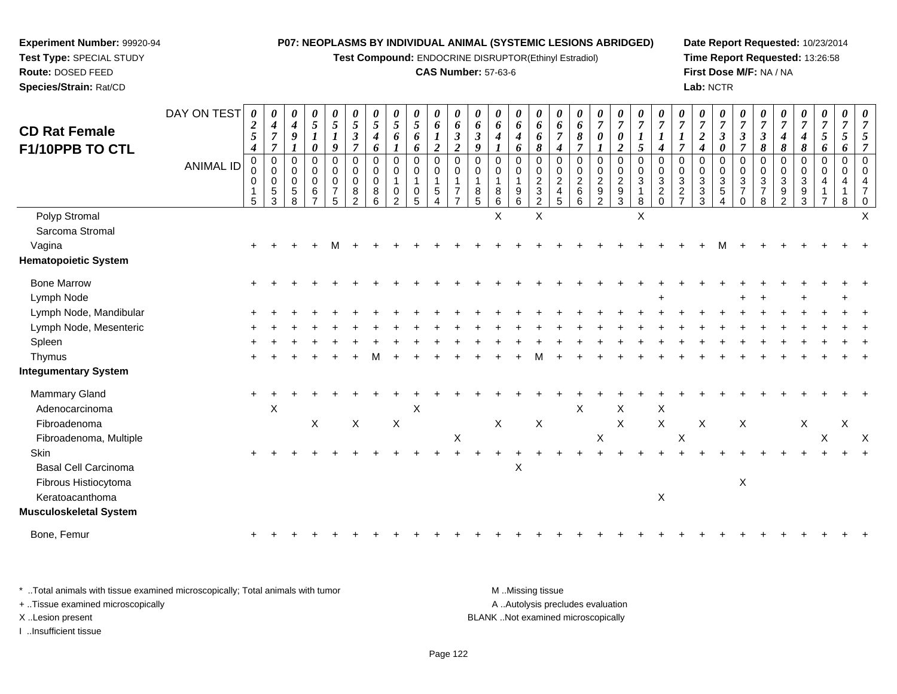**Test Compound:** ENDOCRINE DISRUPTOR(Ethinyl Estradiol)

# **CAS Number:** 57-63-6

**Date Report Requested:** 10/23/2014**Time Report Requested:** 13:26:58**First Dose M/F:** NA / NA**Lab:** NCTR

| <b>CD Rat Female</b><br><b>F1/10PPB TO CTL</b> | DAY ON TEST<br><b>ANIMAL ID</b> | $\boldsymbol{\theta}$<br>$\boldsymbol{2}$<br>$\mathfrak{I}$<br>$\boldsymbol{4}$<br>$\pmb{0}$<br>0<br>$\mathbf 0$<br>$\sqrt{5}$ | 0<br>$\boldsymbol{4}$<br>$\overline{7}$<br>$\overline{7}$<br>$\pmb{0}$<br>$\pmb{0}$<br>0<br>$\sqrt{5}$<br>$\mathbf{3}$ | 0<br>$\boldsymbol{4}$<br>9<br>0<br>0<br>$\mathbf 0$<br>5<br>8 | 0<br>$\mathfrak{z}$<br>$\boldsymbol{l}$<br>0<br>0<br>0<br>$\mathbf 0$<br>6<br>$\overline{7}$ | 0<br>$\sqrt{5}$<br>9<br>$\boldsymbol{0}$<br>0<br>0<br>$\overline{7}$<br>5 | 0<br>$\mathfrak{s}$<br>$\boldsymbol{\beta}$<br>7<br>$\pmb{0}$<br>0<br>$\mathbf 0$<br>8<br>$\overline{2}$ | 0<br>$\mathfrak{s}$<br>$\boldsymbol{4}$<br>6<br>$\mathbf 0$<br>0<br>$\mathbf 0$<br>8<br>6 | 0<br>5<br>6<br>$\mathbf 0$<br>0<br>$\mathbf{1}$<br>0<br>$\overline{2}$ | 0<br>$\mathfrak{z}$<br>6<br>6<br>0<br>0<br>$\mathbf{1}$<br>0<br>5 | $\boldsymbol{\theta}$<br>6<br>1<br>$\overline{2}$<br>$\pmb{0}$<br>$\mathbf 0$<br>1<br>$\sqrt{5}$<br>Δ | $\boldsymbol{\theta}$<br>6<br>$\boldsymbol{\beta}$<br>$\overline{\mathbf{c}}$<br>$\boldsymbol{0}$<br>$\mathbf 0$<br>$\overline{1}$<br>$\overline{7}$ | $\boldsymbol{\theta}$<br>6<br>$\boldsymbol{\beta}$<br>9<br>$\mathbf 0$<br>0<br>$\overline{1}$<br>8<br>5 | 0<br>6<br>4<br>$\Omega$<br>0<br>1<br>8<br>6 | $\boldsymbol{\theta}$<br>6<br>$\boldsymbol{4}$<br>6<br>0<br>0<br>$\mathbf{1}$<br>9<br>6 | 0<br>6<br>6<br>8<br>$\pmb{0}$<br>$\pmb{0}$<br>$\boldsymbol{2}$<br>$\sqrt{3}$<br>$\overline{c}$ | 0<br>6<br>$\overline{7}$<br>$\boldsymbol{4}$<br>$\mathbf 0$<br>0<br>$\boldsymbol{2}$<br>$\overline{4}$<br>5 | 0<br>6<br>8<br>$\overline{7}$<br>$\mathbf 0$<br>$\pmb{0}$<br>$\overline{2}$<br>$\,6\,$<br>6 | 0<br>$\overline{7}$<br>0<br>$\mathbf 0$<br>0<br>$\overline{c}$<br>9<br>$\overline{2}$ | $\pmb{\theta}$<br>$\boldsymbol{7}$<br>0<br>$\boldsymbol{2}$<br>$\pmb{0}$<br>$\pmb{0}$<br>$\overline{c}$<br>$\boldsymbol{9}$<br>$\mathbf{3}$ | 0<br>$\overline{7}$<br>1<br>5<br>$\pmb{0}$<br>$\mathsf 0$<br>$\sqrt{3}$<br>$\mathbf{1}$<br>8 | 0<br>$\overline{7}$<br>$\boldsymbol{l}$<br>4<br>0<br>$\mathbf 0$<br>$\mathbf{3}$<br>$\overline{c}$<br>$\Omega$ | 0<br>$\overline{7}$<br>$\boldsymbol{l}$<br>$\overline{7}$<br>$\Omega$<br>$\mathbf 0$<br>$\ensuremath{\mathsf{3}}$<br>$\overline{2}$<br>$\overline{7}$ | 0<br>$\overline{7}$<br>$\overline{c}$<br>4<br>$\Omega$<br>$\Omega$<br>3<br>3<br>3 | $\pmb{\theta}$<br>$\boldsymbol{7}$<br>$\boldsymbol{\beta}$<br>0<br>0<br>$\pmb{0}$<br>$\sqrt{3}$<br>$\sqrt{5}$<br>4 | $\pmb{\theta}$<br>$\overline{7}$<br>3<br>7<br>$\pmb{0}$<br>$\mathbf 0$<br>$\sqrt{3}$<br>$\overline{7}$<br>$\mathbf 0$ | 0<br>$\overline{7}$<br>$\boldsymbol{\beta}$<br>8<br>0<br>$\mathbf 0$<br>3<br>$\overline{7}$<br>$\,8\,$ | 7<br>4<br>8<br>$\Omega$<br>$\Omega$<br>3<br>9<br>$\overline{2}$ | 0<br>$\overline{7}$<br>4<br>8<br>$\mathbf 0$<br>$\Omega$<br>3<br>9<br>3 | $\pmb{\theta}$<br>$\overline{7}$<br>5<br>6<br>$\,0\,$<br>0<br>$\overline{7}$ | 0<br>$\overline{7}$<br>5<br>6<br>$\mathbf 0$<br>$\Omega$<br>8 |   |
|------------------------------------------------|---------------------------------|--------------------------------------------------------------------------------------------------------------------------------|------------------------------------------------------------------------------------------------------------------------|---------------------------------------------------------------|----------------------------------------------------------------------------------------------|---------------------------------------------------------------------------|----------------------------------------------------------------------------------------------------------|-------------------------------------------------------------------------------------------|------------------------------------------------------------------------|-------------------------------------------------------------------|-------------------------------------------------------------------------------------------------------|------------------------------------------------------------------------------------------------------------------------------------------------------|---------------------------------------------------------------------------------------------------------|---------------------------------------------|-----------------------------------------------------------------------------------------|------------------------------------------------------------------------------------------------|-------------------------------------------------------------------------------------------------------------|---------------------------------------------------------------------------------------------|---------------------------------------------------------------------------------------|---------------------------------------------------------------------------------------------------------------------------------------------|----------------------------------------------------------------------------------------------|----------------------------------------------------------------------------------------------------------------|-------------------------------------------------------------------------------------------------------------------------------------------------------|-----------------------------------------------------------------------------------|--------------------------------------------------------------------------------------------------------------------|-----------------------------------------------------------------------------------------------------------------------|--------------------------------------------------------------------------------------------------------|-----------------------------------------------------------------|-------------------------------------------------------------------------|------------------------------------------------------------------------------|---------------------------------------------------------------|---|
| Polyp Stromal                                  |                                 |                                                                                                                                |                                                                                                                        |                                                               |                                                                                              |                                                                           |                                                                                                          |                                                                                           |                                                                        |                                                                   |                                                                                                       |                                                                                                                                                      |                                                                                                         | X                                           |                                                                                         | X                                                                                              |                                                                                                             |                                                                                             |                                                                                       |                                                                                                                                             | X                                                                                            |                                                                                                                |                                                                                                                                                       |                                                                                   |                                                                                                                    |                                                                                                                       |                                                                                                        |                                                                 |                                                                         |                                                                              |                                                               |   |
| Sarcoma Stromal                                |                                 |                                                                                                                                |                                                                                                                        |                                                               |                                                                                              |                                                                           |                                                                                                          |                                                                                           |                                                                        |                                                                   |                                                                                                       |                                                                                                                                                      |                                                                                                         |                                             |                                                                                         |                                                                                                |                                                                                                             |                                                                                             |                                                                                       |                                                                                                                                             |                                                                                              |                                                                                                                |                                                                                                                                                       |                                                                                   |                                                                                                                    |                                                                                                                       |                                                                                                        |                                                                 |                                                                         |                                                                              |                                                               |   |
| Vagina                                         |                                 |                                                                                                                                |                                                                                                                        |                                                               |                                                                                              |                                                                           |                                                                                                          |                                                                                           |                                                                        |                                                                   |                                                                                                       |                                                                                                                                                      |                                                                                                         |                                             |                                                                                         |                                                                                                |                                                                                                             |                                                                                             |                                                                                       |                                                                                                                                             |                                                                                              |                                                                                                                |                                                                                                                                                       |                                                                                   |                                                                                                                    |                                                                                                                       |                                                                                                        |                                                                 |                                                                         |                                                                              |                                                               |   |
| <b>Hematopoietic System</b>                    |                                 |                                                                                                                                |                                                                                                                        |                                                               |                                                                                              |                                                                           |                                                                                                          |                                                                                           |                                                                        |                                                                   |                                                                                                       |                                                                                                                                                      |                                                                                                         |                                             |                                                                                         |                                                                                                |                                                                                                             |                                                                                             |                                                                                       |                                                                                                                                             |                                                                                              |                                                                                                                |                                                                                                                                                       |                                                                                   |                                                                                                                    |                                                                                                                       |                                                                                                        |                                                                 |                                                                         |                                                                              |                                                               |   |
| <b>Bone Marrow</b>                             |                                 |                                                                                                                                |                                                                                                                        |                                                               |                                                                                              |                                                                           |                                                                                                          |                                                                                           |                                                                        |                                                                   |                                                                                                       |                                                                                                                                                      |                                                                                                         |                                             |                                                                                         |                                                                                                |                                                                                                             |                                                                                             |                                                                                       |                                                                                                                                             |                                                                                              |                                                                                                                |                                                                                                                                                       |                                                                                   |                                                                                                                    |                                                                                                                       |                                                                                                        |                                                                 |                                                                         |                                                                              |                                                               |   |
| Lymph Node                                     |                                 |                                                                                                                                |                                                                                                                        |                                                               |                                                                                              |                                                                           |                                                                                                          |                                                                                           |                                                                        |                                                                   |                                                                                                       |                                                                                                                                                      |                                                                                                         |                                             |                                                                                         |                                                                                                |                                                                                                             |                                                                                             |                                                                                       |                                                                                                                                             |                                                                                              |                                                                                                                |                                                                                                                                                       |                                                                                   |                                                                                                                    |                                                                                                                       |                                                                                                        |                                                                 |                                                                         |                                                                              |                                                               |   |
| Lymph Node, Mandibular                         |                                 |                                                                                                                                |                                                                                                                        |                                                               |                                                                                              |                                                                           |                                                                                                          |                                                                                           |                                                                        |                                                                   |                                                                                                       |                                                                                                                                                      |                                                                                                         |                                             |                                                                                         |                                                                                                |                                                                                                             |                                                                                             |                                                                                       |                                                                                                                                             |                                                                                              |                                                                                                                |                                                                                                                                                       |                                                                                   |                                                                                                                    |                                                                                                                       |                                                                                                        |                                                                 |                                                                         |                                                                              |                                                               |   |
| Lymph Node, Mesenteric                         |                                 |                                                                                                                                |                                                                                                                        |                                                               |                                                                                              |                                                                           |                                                                                                          |                                                                                           |                                                                        |                                                                   |                                                                                                       |                                                                                                                                                      |                                                                                                         |                                             |                                                                                         |                                                                                                |                                                                                                             |                                                                                             |                                                                                       |                                                                                                                                             |                                                                                              |                                                                                                                |                                                                                                                                                       |                                                                                   |                                                                                                                    |                                                                                                                       |                                                                                                        |                                                                 |                                                                         |                                                                              |                                                               |   |
| Spleen                                         |                                 |                                                                                                                                |                                                                                                                        |                                                               |                                                                                              |                                                                           |                                                                                                          |                                                                                           |                                                                        |                                                                   |                                                                                                       |                                                                                                                                                      |                                                                                                         |                                             |                                                                                         |                                                                                                |                                                                                                             |                                                                                             |                                                                                       |                                                                                                                                             |                                                                                              |                                                                                                                |                                                                                                                                                       |                                                                                   |                                                                                                                    |                                                                                                                       |                                                                                                        |                                                                 |                                                                         |                                                                              |                                                               |   |
| Thymus                                         |                                 |                                                                                                                                |                                                                                                                        |                                                               |                                                                                              |                                                                           |                                                                                                          |                                                                                           |                                                                        |                                                                   |                                                                                                       |                                                                                                                                                      |                                                                                                         |                                             |                                                                                         |                                                                                                |                                                                                                             |                                                                                             |                                                                                       |                                                                                                                                             |                                                                                              |                                                                                                                |                                                                                                                                                       |                                                                                   |                                                                                                                    |                                                                                                                       |                                                                                                        |                                                                 |                                                                         |                                                                              |                                                               |   |
| <b>Integumentary System</b>                    |                                 |                                                                                                                                |                                                                                                                        |                                                               |                                                                                              |                                                                           |                                                                                                          |                                                                                           |                                                                        |                                                                   |                                                                                                       |                                                                                                                                                      |                                                                                                         |                                             |                                                                                         |                                                                                                |                                                                                                             |                                                                                             |                                                                                       |                                                                                                                                             |                                                                                              |                                                                                                                |                                                                                                                                                       |                                                                                   |                                                                                                                    |                                                                                                                       |                                                                                                        |                                                                 |                                                                         |                                                                              |                                                               |   |
| Mammary Gland                                  |                                 |                                                                                                                                |                                                                                                                        |                                                               |                                                                                              |                                                                           |                                                                                                          |                                                                                           |                                                                        |                                                                   |                                                                                                       |                                                                                                                                                      |                                                                                                         |                                             |                                                                                         |                                                                                                |                                                                                                             |                                                                                             |                                                                                       |                                                                                                                                             |                                                                                              |                                                                                                                |                                                                                                                                                       |                                                                                   |                                                                                                                    |                                                                                                                       |                                                                                                        |                                                                 |                                                                         |                                                                              |                                                               |   |
| Adenocarcinoma                                 |                                 |                                                                                                                                | X                                                                                                                      |                                                               |                                                                                              |                                                                           |                                                                                                          |                                                                                           |                                                                        | $\boldsymbol{\mathsf{X}}$                                         |                                                                                                       |                                                                                                                                                      |                                                                                                         |                                             |                                                                                         |                                                                                                |                                                                                                             | $\mathsf{X}$                                                                                |                                                                                       | X                                                                                                                                           |                                                                                              | $\boldsymbol{\mathsf{X}}$                                                                                      |                                                                                                                                                       |                                                                                   |                                                                                                                    |                                                                                                                       |                                                                                                        |                                                                 |                                                                         |                                                                              |                                                               |   |
| Fibroadenoma                                   |                                 |                                                                                                                                |                                                                                                                        |                                                               | X                                                                                            |                                                                           | $\mathsf X$                                                                                              |                                                                                           | X                                                                      |                                                                   |                                                                                                       |                                                                                                                                                      |                                                                                                         | X                                           |                                                                                         | $\boldsymbol{\mathsf{X}}$                                                                      |                                                                                                             |                                                                                             |                                                                                       | X                                                                                                                                           |                                                                                              | $\mathsf X$                                                                                                    |                                                                                                                                                       | X                                                                                 |                                                                                                                    | X                                                                                                                     |                                                                                                        |                                                                 | X                                                                       |                                                                              | X                                                             |   |
| Fibroadenoma, Multiple                         |                                 |                                                                                                                                |                                                                                                                        |                                                               |                                                                                              |                                                                           |                                                                                                          |                                                                                           |                                                                        |                                                                   |                                                                                                       | $\mathsf X$                                                                                                                                          |                                                                                                         |                                             |                                                                                         |                                                                                                |                                                                                                             |                                                                                             | $\mathsf X$                                                                           |                                                                                                                                             |                                                                                              |                                                                                                                | $\boldsymbol{\mathsf{X}}$                                                                                                                             |                                                                                   |                                                                                                                    |                                                                                                                       |                                                                                                        |                                                                 |                                                                         | X                                                                            |                                                               | X |
| <b>Skin</b>                                    |                                 |                                                                                                                                |                                                                                                                        |                                                               |                                                                                              |                                                                           |                                                                                                          |                                                                                           |                                                                        |                                                                   |                                                                                                       |                                                                                                                                                      |                                                                                                         |                                             |                                                                                         |                                                                                                |                                                                                                             |                                                                                             |                                                                                       |                                                                                                                                             |                                                                                              |                                                                                                                |                                                                                                                                                       |                                                                                   |                                                                                                                    |                                                                                                                       |                                                                                                        |                                                                 |                                                                         |                                                                              |                                                               |   |
| <b>Basal Cell Carcinoma</b>                    |                                 |                                                                                                                                |                                                                                                                        |                                                               |                                                                                              |                                                                           |                                                                                                          |                                                                                           |                                                                        |                                                                   |                                                                                                       |                                                                                                                                                      |                                                                                                         |                                             | $\mathsf X$                                                                             |                                                                                                |                                                                                                             |                                                                                             |                                                                                       |                                                                                                                                             |                                                                                              |                                                                                                                |                                                                                                                                                       |                                                                                   |                                                                                                                    |                                                                                                                       |                                                                                                        |                                                                 |                                                                         |                                                                              |                                                               |   |
| Fibrous Histiocytoma                           |                                 |                                                                                                                                |                                                                                                                        |                                                               |                                                                                              |                                                                           |                                                                                                          |                                                                                           |                                                                        |                                                                   |                                                                                                       |                                                                                                                                                      |                                                                                                         |                                             |                                                                                         |                                                                                                |                                                                                                             |                                                                                             |                                                                                       |                                                                                                                                             |                                                                                              |                                                                                                                |                                                                                                                                                       |                                                                                   |                                                                                                                    | X                                                                                                                     |                                                                                                        |                                                                 |                                                                         |                                                                              |                                                               |   |
| Keratoacanthoma                                |                                 |                                                                                                                                |                                                                                                                        |                                                               |                                                                                              |                                                                           |                                                                                                          |                                                                                           |                                                                        |                                                                   |                                                                                                       |                                                                                                                                                      |                                                                                                         |                                             |                                                                                         |                                                                                                |                                                                                                             |                                                                                             |                                                                                       |                                                                                                                                             |                                                                                              | X                                                                                                              |                                                                                                                                                       |                                                                                   |                                                                                                                    |                                                                                                                       |                                                                                                        |                                                                 |                                                                         |                                                                              |                                                               |   |
| Musculoskeletal System                         |                                 |                                                                                                                                |                                                                                                                        |                                                               |                                                                                              |                                                                           |                                                                                                          |                                                                                           |                                                                        |                                                                   |                                                                                                       |                                                                                                                                                      |                                                                                                         |                                             |                                                                                         |                                                                                                |                                                                                                             |                                                                                             |                                                                                       |                                                                                                                                             |                                                                                              |                                                                                                                |                                                                                                                                                       |                                                                                   |                                                                                                                    |                                                                                                                       |                                                                                                        |                                                                 |                                                                         |                                                                              |                                                               |   |
| Bone, Femur                                    |                                 |                                                                                                                                |                                                                                                                        |                                                               |                                                                                              |                                                                           |                                                                                                          |                                                                                           |                                                                        |                                                                   |                                                                                                       |                                                                                                                                                      |                                                                                                         |                                             |                                                                                         |                                                                                                |                                                                                                             |                                                                                             |                                                                                       |                                                                                                                                             |                                                                                              |                                                                                                                |                                                                                                                                                       |                                                                                   |                                                                                                                    |                                                                                                                       |                                                                                                        |                                                                 |                                                                         |                                                                              |                                                               |   |
|                                                |                                 |                                                                                                                                |                                                                                                                        |                                                               |                                                                                              |                                                                           |                                                                                                          |                                                                                           |                                                                        |                                                                   |                                                                                                       |                                                                                                                                                      |                                                                                                         |                                             |                                                                                         |                                                                                                |                                                                                                             |                                                                                             |                                                                                       |                                                                                                                                             |                                                                                              |                                                                                                                |                                                                                                                                                       |                                                                                   |                                                                                                                    |                                                                                                                       |                                                                                                        |                                                                 |                                                                         |                                                                              |                                                               |   |

\* ..Total animals with tissue examined microscopically; Total animals with tumor **M** . Missing tissue M ..Missing tissue A ..Autolysis precludes evaluation + ..Tissue examined microscopically X ..Lesion present BLANK ..Not examined microscopicallyI ..Insufficient tissue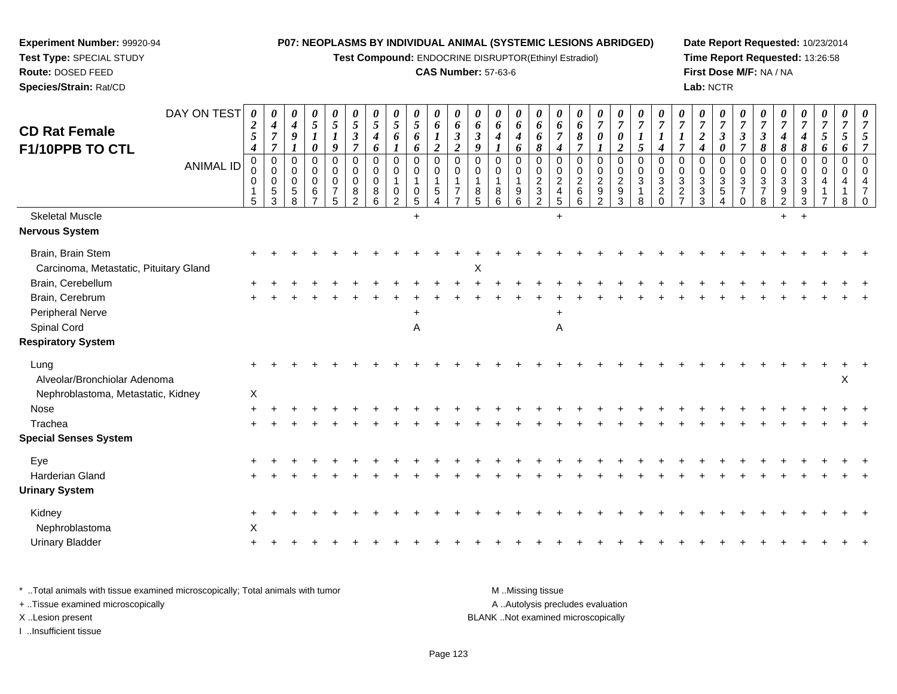**Test Compound:** ENDOCRINE DISRUPTOR(Ethinyl Estradiol)

# **CAS Number:** 57-63-6

**Date Report Requested:** 10/23/2014**Time Report Requested:** 13:26:58**First Dose M/F:** NA / NA**Lab:** NCTR

| <b>CD Rat Female</b><br>F1/10PPB TO CTL<br><b>Skeletal Muscle</b> | DAY ON TEST<br><b>ANIMAL ID</b> | 0<br>$\overline{2}$<br>$\overline{\mathbf{5}}$<br>$\boldsymbol{4}$<br>$\Omega$<br>0<br>0<br>5 | 0<br>$\boldsymbol{4}$<br>$\boldsymbol{7}$<br>$\overline{7}$<br>$\Omega$<br>$\mathbf 0$<br>$\mathbf 0$<br>$\,$ 5 $\,$<br>3 | 0<br>$\boldsymbol{4}$<br>9<br>$\Omega$<br>0<br>$\mathbf 0$<br>$\,$ 5 $\,$<br>8 | 0<br>$\mathfrak{s}$<br>0<br>$\Omega$<br>$\mathbf 0$<br>0<br>6<br>$\overline{7}$ | $\boldsymbol{\theta}$<br>$\sqrt{5}$<br>$\boldsymbol{l}$<br>9<br>$\Omega$<br>$\mathbf 0$<br>$\mathsf{O}\xspace$<br>$\overline{7}$<br>5 | 0<br>$\sqrt{5}$<br>$\boldsymbol{\beta}$<br>$\overline{7}$<br>$\mathbf 0$<br>$\mathbf 0$<br>0<br>$\,8\,$<br>2 | $\boldsymbol{\theta}$<br>$\sqrt{5}$<br>$\boldsymbol{4}$<br>6<br>$\Omega$<br>$\mathbf 0$<br>$\mathbf 0$<br>8<br>6 | $\frac{\theta}{5}$<br>6<br>$\boldsymbol{l}$<br>0<br>0<br>$\frac{0}{2}$ | 0<br>$\sqrt{5}$<br>6<br>6<br>$\pmb{0}$<br>$\mathbf 0$<br>$\mathbf{1}$<br>$\frac{0}{5}$<br>$+$ | 0<br>6<br>$\boldsymbol{l}$<br>$\boldsymbol{2}$<br>$\mathbf 0$<br>0<br>$\mathbf{1}$<br>$\,$ 5 $\,$<br>$\overline{4}$ | $\boldsymbol{\theta}$<br>6<br>$\boldsymbol{\beta}$<br>$\boldsymbol{2}$<br>$\Omega$<br>$\mathbf 0$<br>$\overline{1}$<br>7<br>$\overline{7}$ | $\boldsymbol{\theta}$<br>6<br>$\boldsymbol{\beta}$<br>9<br>$\Omega$<br>$\overline{0}$<br>$\overline{1}$<br>$\frac{8}{5}$ | 0<br>6<br>4<br>$\Omega$<br>0<br>8<br>6 | 0<br>6<br>$\boldsymbol{4}$<br>6<br>$\Omega$<br>0<br>1<br>$\begin{array}{c} 9 \\ 6 \end{array}$ | 0<br>6<br>6<br>$\pmb{8}$<br>$\mathbf 0$<br>0<br>$\overline{2}$<br>$\ensuremath{\mathsf{3}}$<br>$\overline{2}$ | $\boldsymbol{\theta}$<br>6<br>$\overline{7}$<br>$\boldsymbol{4}$<br>$\Omega$<br>0<br>$\sqrt{2}$<br>$\overline{4}$<br>$\sqrt{5}$<br>$+$ | $\boldsymbol{\theta}$<br>6<br>$\pmb{8}$<br>$\overline{7}$<br>$\mathbf 0$<br>0<br>$\overline{2}$<br>$\,6$<br>6 | 0<br>$\boldsymbol{7}$<br>$\pmb{\theta}$<br>$\boldsymbol{l}$<br>$\mathbf 0$<br>$\mathbf 0$<br>$\overline{c}$<br>$\frac{9}{2}$ | $\frac{\boldsymbol{\theta}}{\boldsymbol{7}}$<br>$\pmb{\theta}$<br>$\overline{2}$<br>$\mathbf 0$<br>$\mathbf 0$<br>$\frac{2}{9}$ | $\frac{\boldsymbol{0}}{7}$<br>$\boldsymbol{l}$<br>5<br>$\mathbf 0$<br>0<br>3<br>1<br>8 | $\boldsymbol{\theta}$<br>$\overline{7}$<br>$\boldsymbol{4}$<br>$\Omega$<br>0<br>3<br>$\sqrt{2}$<br>$\Omega$ | $\overline{7}$<br>$\overline{7}$<br>$\Omega$<br>0<br>$\ensuremath{\mathsf{3}}$<br>$\frac{2}{7}$ | 0<br>$\boldsymbol{7}$<br>$\overline{2}$<br>4<br>$\Omega$<br>0<br>$\sqrt{3}$<br>$\frac{3}{3}$ | 0<br>$\boldsymbol{7}$<br>$\overline{\mathbf{3}}$<br>$\pmb{\theta}$<br>$\Omega$<br>$\mathbf 0$<br>$\sqrt{3}$<br>5<br>$\overline{4}$ | $\frac{\boldsymbol{\theta}}{\boldsymbol{7}}$<br>$\boldsymbol{\beta}$<br>$\overline{7}$<br>$\Omega$<br>0<br>3<br>$\overline{7}$<br>$\Omega$ | $\boldsymbol{\theta}$<br>$\overline{7}$<br>$\boldsymbol{\beta}$<br>8<br>$\mathbf 0$<br>0<br>$\ensuremath{\mathsf{3}}$<br>$\begin{array}{c} 7 \\ 8 \end{array}$ | $\boldsymbol{\theta}$<br>$\overline{7}$<br>$\boldsymbol{4}$<br>$\pmb{8}$<br>$\mathbf 0$<br>0<br>$\sqrt{3}$<br>$\frac{9}{2}$<br>$+$ | 0<br>$\boldsymbol{7}$<br>$\boldsymbol{4}$<br>$\boldsymbol{\delta}$<br>$\mathbf 0$<br>$\mathbf 0$<br>$\mathsf 3$<br>$\frac{9}{3}$<br>$+$ | $\boldsymbol{\theta}$<br>$\overline{7}$<br>$\mathfrak{s}$<br>6<br>$\mathbf 0$<br>$\mathbf 0$<br>$\overline{4}$<br>$\mathbf{1}$<br>$\overline{7}$ | 0<br>$\boldsymbol{7}$<br>5<br>6<br>$\mathbf 0$<br>$\mathbf 0$<br>4<br>8 | $\overline{7}$<br>5<br>$\Omega$<br>$\Omega$<br>$\overline{4}$<br>$\overline{7}$ |
|-------------------------------------------------------------------|---------------------------------|-----------------------------------------------------------------------------------------------|---------------------------------------------------------------------------------------------------------------------------|--------------------------------------------------------------------------------|---------------------------------------------------------------------------------|---------------------------------------------------------------------------------------------------------------------------------------|--------------------------------------------------------------------------------------------------------------|------------------------------------------------------------------------------------------------------------------|------------------------------------------------------------------------|-----------------------------------------------------------------------------------------------|---------------------------------------------------------------------------------------------------------------------|--------------------------------------------------------------------------------------------------------------------------------------------|--------------------------------------------------------------------------------------------------------------------------|----------------------------------------|------------------------------------------------------------------------------------------------|---------------------------------------------------------------------------------------------------------------|----------------------------------------------------------------------------------------------------------------------------------------|---------------------------------------------------------------------------------------------------------------|------------------------------------------------------------------------------------------------------------------------------|---------------------------------------------------------------------------------------------------------------------------------|----------------------------------------------------------------------------------------|-------------------------------------------------------------------------------------------------------------|-------------------------------------------------------------------------------------------------|----------------------------------------------------------------------------------------------|------------------------------------------------------------------------------------------------------------------------------------|--------------------------------------------------------------------------------------------------------------------------------------------|----------------------------------------------------------------------------------------------------------------------------------------------------------------|------------------------------------------------------------------------------------------------------------------------------------|-----------------------------------------------------------------------------------------------------------------------------------------|--------------------------------------------------------------------------------------------------------------------------------------------------|-------------------------------------------------------------------------|---------------------------------------------------------------------------------|
| <b>Nervous System</b>                                             |                                 |                                                                                               |                                                                                                                           |                                                                                |                                                                                 |                                                                                                                                       |                                                                                                              |                                                                                                                  |                                                                        |                                                                                               |                                                                                                                     |                                                                                                                                            |                                                                                                                          |                                        |                                                                                                |                                                                                                               |                                                                                                                                        |                                                                                                               |                                                                                                                              |                                                                                                                                 |                                                                                        |                                                                                                             |                                                                                                 |                                                                                              |                                                                                                                                    |                                                                                                                                            |                                                                                                                                                                |                                                                                                                                    |                                                                                                                                         |                                                                                                                                                  |                                                                         |                                                                                 |
| Brain, Brain Stem<br>Carcinoma, Metastatic, Pituitary Gland       |                                 |                                                                                               |                                                                                                                           |                                                                                |                                                                                 |                                                                                                                                       |                                                                                                              |                                                                                                                  |                                                                        |                                                                                               |                                                                                                                     |                                                                                                                                            | X                                                                                                                        |                                        |                                                                                                |                                                                                                               |                                                                                                                                        |                                                                                                               |                                                                                                                              |                                                                                                                                 |                                                                                        |                                                                                                             |                                                                                                 |                                                                                              |                                                                                                                                    |                                                                                                                                            |                                                                                                                                                                |                                                                                                                                    |                                                                                                                                         |                                                                                                                                                  |                                                                         |                                                                                 |
| Brain, Cerebellum                                                 |                                 |                                                                                               |                                                                                                                           |                                                                                |                                                                                 |                                                                                                                                       |                                                                                                              |                                                                                                                  |                                                                        |                                                                                               |                                                                                                                     |                                                                                                                                            |                                                                                                                          |                                        |                                                                                                |                                                                                                               |                                                                                                                                        |                                                                                                               |                                                                                                                              |                                                                                                                                 |                                                                                        |                                                                                                             |                                                                                                 |                                                                                              |                                                                                                                                    |                                                                                                                                            |                                                                                                                                                                |                                                                                                                                    |                                                                                                                                         |                                                                                                                                                  |                                                                         |                                                                                 |
| Brain, Cerebrum                                                   |                                 |                                                                                               |                                                                                                                           |                                                                                |                                                                                 |                                                                                                                                       |                                                                                                              |                                                                                                                  |                                                                        |                                                                                               |                                                                                                                     |                                                                                                                                            |                                                                                                                          |                                        |                                                                                                |                                                                                                               |                                                                                                                                        |                                                                                                               |                                                                                                                              |                                                                                                                                 |                                                                                        |                                                                                                             |                                                                                                 |                                                                                              |                                                                                                                                    |                                                                                                                                            |                                                                                                                                                                |                                                                                                                                    |                                                                                                                                         |                                                                                                                                                  |                                                                         |                                                                                 |
| Peripheral Nerve                                                  |                                 |                                                                                               |                                                                                                                           |                                                                                |                                                                                 |                                                                                                                                       |                                                                                                              |                                                                                                                  |                                                                        |                                                                                               |                                                                                                                     |                                                                                                                                            |                                                                                                                          |                                        |                                                                                                |                                                                                                               |                                                                                                                                        |                                                                                                               |                                                                                                                              |                                                                                                                                 |                                                                                        |                                                                                                             |                                                                                                 |                                                                                              |                                                                                                                                    |                                                                                                                                            |                                                                                                                                                                |                                                                                                                                    |                                                                                                                                         |                                                                                                                                                  |                                                                         |                                                                                 |
| Spinal Cord                                                       |                                 |                                                                                               |                                                                                                                           |                                                                                |                                                                                 |                                                                                                                                       |                                                                                                              |                                                                                                                  |                                                                        | Α                                                                                             |                                                                                                                     |                                                                                                                                            |                                                                                                                          |                                        |                                                                                                |                                                                                                               | A                                                                                                                                      |                                                                                                               |                                                                                                                              |                                                                                                                                 |                                                                                        |                                                                                                             |                                                                                                 |                                                                                              |                                                                                                                                    |                                                                                                                                            |                                                                                                                                                                |                                                                                                                                    |                                                                                                                                         |                                                                                                                                                  |                                                                         |                                                                                 |
| <b>Respiratory System</b>                                         |                                 |                                                                                               |                                                                                                                           |                                                                                |                                                                                 |                                                                                                                                       |                                                                                                              |                                                                                                                  |                                                                        |                                                                                               |                                                                                                                     |                                                                                                                                            |                                                                                                                          |                                        |                                                                                                |                                                                                                               |                                                                                                                                        |                                                                                                               |                                                                                                                              |                                                                                                                                 |                                                                                        |                                                                                                             |                                                                                                 |                                                                                              |                                                                                                                                    |                                                                                                                                            |                                                                                                                                                                |                                                                                                                                    |                                                                                                                                         |                                                                                                                                                  |                                                                         |                                                                                 |
| Lung<br>Alveolar/Bronchiolar Adenoma                              |                                 |                                                                                               |                                                                                                                           |                                                                                |                                                                                 |                                                                                                                                       |                                                                                                              |                                                                                                                  |                                                                        |                                                                                               |                                                                                                                     |                                                                                                                                            |                                                                                                                          |                                        |                                                                                                |                                                                                                               |                                                                                                                                        |                                                                                                               |                                                                                                                              |                                                                                                                                 |                                                                                        |                                                                                                             |                                                                                                 |                                                                                              |                                                                                                                                    |                                                                                                                                            |                                                                                                                                                                |                                                                                                                                    |                                                                                                                                         |                                                                                                                                                  | $\times$                                                                |                                                                                 |
| Nephroblastoma, Metastatic, Kidney                                |                                 | $\sf X$                                                                                       |                                                                                                                           |                                                                                |                                                                                 |                                                                                                                                       |                                                                                                              |                                                                                                                  |                                                                        |                                                                                               |                                                                                                                     |                                                                                                                                            |                                                                                                                          |                                        |                                                                                                |                                                                                                               |                                                                                                                                        |                                                                                                               |                                                                                                                              |                                                                                                                                 |                                                                                        |                                                                                                             |                                                                                                 |                                                                                              |                                                                                                                                    |                                                                                                                                            |                                                                                                                                                                |                                                                                                                                    |                                                                                                                                         |                                                                                                                                                  |                                                                         |                                                                                 |
| Nose                                                              |                                 |                                                                                               |                                                                                                                           |                                                                                |                                                                                 |                                                                                                                                       |                                                                                                              |                                                                                                                  |                                                                        |                                                                                               |                                                                                                                     |                                                                                                                                            |                                                                                                                          |                                        |                                                                                                |                                                                                                               |                                                                                                                                        |                                                                                                               |                                                                                                                              |                                                                                                                                 |                                                                                        |                                                                                                             |                                                                                                 |                                                                                              |                                                                                                                                    |                                                                                                                                            |                                                                                                                                                                |                                                                                                                                    |                                                                                                                                         |                                                                                                                                                  |                                                                         |                                                                                 |
| Trachea                                                           |                                 |                                                                                               |                                                                                                                           |                                                                                |                                                                                 |                                                                                                                                       |                                                                                                              |                                                                                                                  |                                                                        |                                                                                               |                                                                                                                     |                                                                                                                                            |                                                                                                                          |                                        |                                                                                                |                                                                                                               |                                                                                                                                        |                                                                                                               |                                                                                                                              |                                                                                                                                 |                                                                                        |                                                                                                             |                                                                                                 |                                                                                              |                                                                                                                                    |                                                                                                                                            |                                                                                                                                                                |                                                                                                                                    |                                                                                                                                         |                                                                                                                                                  |                                                                         |                                                                                 |
| <b>Special Senses System</b>                                      |                                 |                                                                                               |                                                                                                                           |                                                                                |                                                                                 |                                                                                                                                       |                                                                                                              |                                                                                                                  |                                                                        |                                                                                               |                                                                                                                     |                                                                                                                                            |                                                                                                                          |                                        |                                                                                                |                                                                                                               |                                                                                                                                        |                                                                                                               |                                                                                                                              |                                                                                                                                 |                                                                                        |                                                                                                             |                                                                                                 |                                                                                              |                                                                                                                                    |                                                                                                                                            |                                                                                                                                                                |                                                                                                                                    |                                                                                                                                         |                                                                                                                                                  |                                                                         |                                                                                 |
| Eye                                                               |                                 |                                                                                               |                                                                                                                           |                                                                                |                                                                                 |                                                                                                                                       |                                                                                                              |                                                                                                                  |                                                                        |                                                                                               |                                                                                                                     |                                                                                                                                            |                                                                                                                          |                                        |                                                                                                |                                                                                                               |                                                                                                                                        |                                                                                                               |                                                                                                                              |                                                                                                                                 |                                                                                        |                                                                                                             |                                                                                                 |                                                                                              |                                                                                                                                    |                                                                                                                                            |                                                                                                                                                                |                                                                                                                                    |                                                                                                                                         |                                                                                                                                                  |                                                                         |                                                                                 |
| Harderian Gland                                                   |                                 |                                                                                               |                                                                                                                           |                                                                                |                                                                                 |                                                                                                                                       |                                                                                                              |                                                                                                                  |                                                                        |                                                                                               |                                                                                                                     |                                                                                                                                            |                                                                                                                          |                                        |                                                                                                |                                                                                                               |                                                                                                                                        |                                                                                                               |                                                                                                                              |                                                                                                                                 |                                                                                        |                                                                                                             |                                                                                                 |                                                                                              |                                                                                                                                    |                                                                                                                                            |                                                                                                                                                                |                                                                                                                                    |                                                                                                                                         |                                                                                                                                                  |                                                                         |                                                                                 |
| <b>Urinary System</b>                                             |                                 |                                                                                               |                                                                                                                           |                                                                                |                                                                                 |                                                                                                                                       |                                                                                                              |                                                                                                                  |                                                                        |                                                                                               |                                                                                                                     |                                                                                                                                            |                                                                                                                          |                                        |                                                                                                |                                                                                                               |                                                                                                                                        |                                                                                                               |                                                                                                                              |                                                                                                                                 |                                                                                        |                                                                                                             |                                                                                                 |                                                                                              |                                                                                                                                    |                                                                                                                                            |                                                                                                                                                                |                                                                                                                                    |                                                                                                                                         |                                                                                                                                                  |                                                                         |                                                                                 |
| Kidney                                                            |                                 |                                                                                               |                                                                                                                           |                                                                                |                                                                                 |                                                                                                                                       |                                                                                                              |                                                                                                                  |                                                                        |                                                                                               |                                                                                                                     |                                                                                                                                            |                                                                                                                          |                                        |                                                                                                |                                                                                                               |                                                                                                                                        |                                                                                                               |                                                                                                                              |                                                                                                                                 |                                                                                        |                                                                                                             |                                                                                                 |                                                                                              |                                                                                                                                    |                                                                                                                                            |                                                                                                                                                                |                                                                                                                                    |                                                                                                                                         |                                                                                                                                                  |                                                                         |                                                                                 |
| Nephroblastoma                                                    |                                 | X                                                                                             |                                                                                                                           |                                                                                |                                                                                 |                                                                                                                                       |                                                                                                              |                                                                                                                  |                                                                        |                                                                                               |                                                                                                                     |                                                                                                                                            |                                                                                                                          |                                        |                                                                                                |                                                                                                               |                                                                                                                                        |                                                                                                               |                                                                                                                              |                                                                                                                                 |                                                                                        |                                                                                                             |                                                                                                 |                                                                                              |                                                                                                                                    |                                                                                                                                            |                                                                                                                                                                |                                                                                                                                    |                                                                                                                                         |                                                                                                                                                  |                                                                         |                                                                                 |
| <b>Urinary Bladder</b>                                            |                                 |                                                                                               |                                                                                                                           |                                                                                |                                                                                 |                                                                                                                                       |                                                                                                              |                                                                                                                  |                                                                        |                                                                                               |                                                                                                                     |                                                                                                                                            |                                                                                                                          |                                        |                                                                                                |                                                                                                               |                                                                                                                                        |                                                                                                               |                                                                                                                              |                                                                                                                                 |                                                                                        |                                                                                                             |                                                                                                 |                                                                                              |                                                                                                                                    |                                                                                                                                            |                                                                                                                                                                |                                                                                                                                    |                                                                                                                                         |                                                                                                                                                  |                                                                         |                                                                                 |
|                                                                   |                                 |                                                                                               |                                                                                                                           |                                                                                |                                                                                 |                                                                                                                                       |                                                                                                              |                                                                                                                  |                                                                        |                                                                                               |                                                                                                                     |                                                                                                                                            |                                                                                                                          |                                        |                                                                                                |                                                                                                               |                                                                                                                                        |                                                                                                               |                                                                                                                              |                                                                                                                                 |                                                                                        |                                                                                                             |                                                                                                 |                                                                                              |                                                                                                                                    |                                                                                                                                            |                                                                                                                                                                |                                                                                                                                    |                                                                                                                                         |                                                                                                                                                  |                                                                         |                                                                                 |

\* ..Total animals with tissue examined microscopically; Total animals with tumor **M** . Missing tissue M ..Missing tissue A ..Autolysis precludes evaluation + ..Tissue examined microscopically X ..Lesion present BLANK ..Not examined microscopicallyI ..Insufficient tissue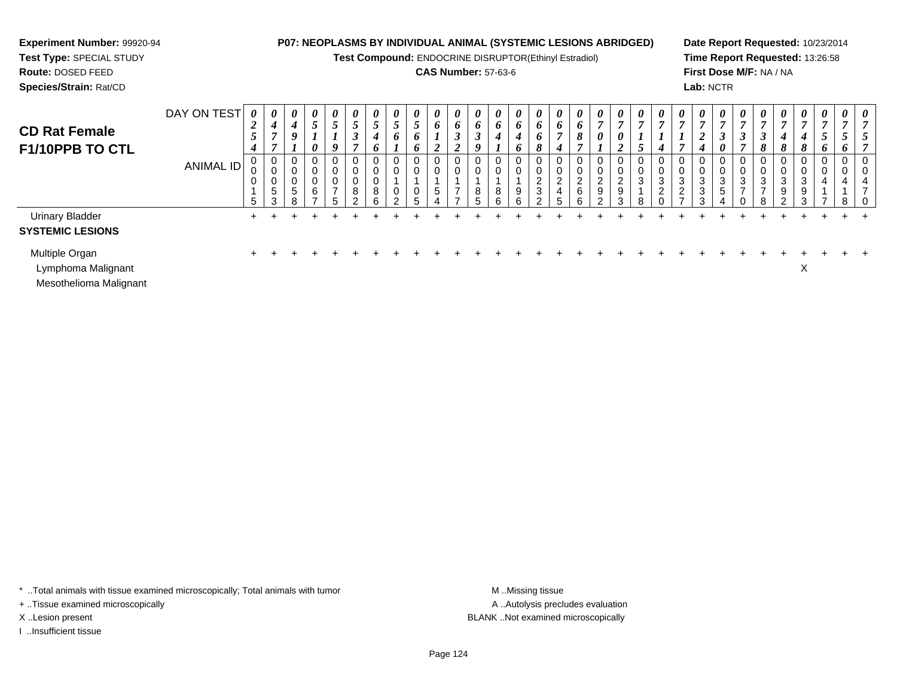# **Experiment Number:** 99920-94

**Test Type:** SPECIAL STUDY**Route:** DOSED FEED**Species/Strain:** Rat/CD

# **P07: NEOPLASMS BY INDIVIDUAL ANIMAL (SYSTEMIC LESIONS ABRIDGED)**

**Test Compound:** ENDOCRINE DISRUPTOR(Ethinyl Estradiol)

# **CAS Number:** 57-63-6

**Date Report Requested:** 10/23/2014**Time Report Requested:** 13:26:58**First Dose M/F:** NA / NA**Lab:** NCTR

| <b>CD Rat Female</b><br>F1/10PPB TO CTL                        | DAY ON TEST | $\boldsymbol{\theta}$<br>$\overline{2}$<br>$5\overline{)}$<br>$\boldsymbol{4}$ | 0<br>4<br>$\overline{ }$ | $\boldsymbol{\theta}$<br>4<br>9 | $\boldsymbol{\theta}$<br>-<br>J<br>0 | 0<br>5<br>9      | $\theta$                       | $\boldsymbol{\theta}$<br>C<br>4<br>o | $\boldsymbol{\theta}$<br>$\overline{ }$<br>$\mathcal{L}$<br>$\bm{o}$ | 0<br>5<br>$\bm{o}$<br><sup>o</sup> | $\boldsymbol{\theta}$<br>6<br>$\mathbf{I}$<br>$\overline{2}$ | $\boldsymbol{\theta}$<br>o<br>◡ | $\boldsymbol{\theta}$<br>o<br>J | $\boldsymbol{\theta}$<br>6<br>4 | $\boldsymbol{\theta}$<br>6<br>4<br>6 | $\boldsymbol{\theta}$<br>$\bm{o}$<br>$\bm{o}$<br>8 | $\boldsymbol{\theta}$<br>$\bm{o}$<br>$\boldsymbol{4}$ | $\boldsymbol{\theta}$<br>6<br>8 | $\boldsymbol{\theta}$<br>$\mathbf{r}$<br>$\boldsymbol{\theta}$ | $\boldsymbol{\theta}$<br>$\overline{ }$<br>$\boldsymbol{\theta}$<br>◢ | $\boldsymbol{\theta}$<br>$\mathbf{r}$ | $\boldsymbol{\theta}$<br>r,<br>$\overline{4}$ | $\boldsymbol{\theta}$<br>$\overline{ }$ | $\boldsymbol{\theta}$<br>$\mathbf{z}$<br>$\boldsymbol{2}$<br>$\boldsymbol{4}$ | $\boldsymbol{\theta}$<br>$\boldsymbol{\beta}$<br>$\boldsymbol{\theta}$ | $\boldsymbol{\theta}$<br>$\mathbf{J}$<br>$\overline{ }$ | $\boldsymbol{\theta}$<br>J<br>8 | $\boldsymbol{\theta}$<br>$\mathbf{r}$<br>4<br>8 | $\theta$<br>$\overline{ }$<br>4<br>8 | $\boldsymbol{\theta}$<br>$\overline{ }$<br>$\mathcal{L}$<br>6 | $\boldsymbol{\theta}$<br>C<br>o | $\boldsymbol{\theta}$ |
|----------------------------------------------------------------|-------------|--------------------------------------------------------------------------------|--------------------------|---------------------------------|--------------------------------------|------------------|--------------------------------|--------------------------------------|----------------------------------------------------------------------|------------------------------------|--------------------------------------------------------------|---------------------------------|---------------------------------|---------------------------------|--------------------------------------|----------------------------------------------------|-------------------------------------------------------|---------------------------------|----------------------------------------------------------------|-----------------------------------------------------------------------|---------------------------------------|-----------------------------------------------|-----------------------------------------|-------------------------------------------------------------------------------|------------------------------------------------------------------------|---------------------------------------------------------|---------------------------------|-------------------------------------------------|--------------------------------------|---------------------------------------------------------------|---------------------------------|-----------------------|
|                                                                | ANIMAL ID   | υ<br>0<br>5                                                                    | 0<br>0<br>0<br>5<br>3    | U<br>G<br>8                     | 6                                    | 0<br>0<br>U<br>- | U<br>υ<br>0<br>8<br>$\sqrt{2}$ | 0<br>υ<br>υ<br>8<br>հ                | 0<br>0<br>0<br>ົ                                                     | 0<br>0<br>0<br>h                   | 0<br>$\mathbf 0$<br>$\sqrt{5}$                               |                                 | 8                               | 0<br>0<br>8<br>6                | 0<br>U<br>9<br>6                     | 0<br>0<br>ົ<br>$\epsilon$<br>$\mathbf{3}$<br>ົ     | 0<br>U<br>2<br>4<br>5                                 | 0<br>0<br>2<br>$\,6$<br>6       | 0<br>U<br>$\sim$<br>$\epsilon$<br>9<br>$\sim$                  | U<br>U<br>$\overline{c}$<br>$\boldsymbol{9}$<br>3                     | 0<br>0<br>3<br>я                      | U<br>U<br>3<br>ົ<br>$\epsilon$                | 0<br>0<br>3<br>$\overline{2}$<br>-      | 0<br>0<br>$\mathbf{3}$<br>$\mathbf{3}$<br>3                                   | 0<br>0<br>$\mathbf{3}$<br>$\sqrt{5}$                                   | 0<br>0<br>3                                             | 0<br>3                          | 0<br>0<br>3<br>9<br>$\sim$                      | 0<br>0<br>3<br>9<br>3                | $\mathbf{0}$<br>0<br>$\overline{4}$                           | 0<br>0<br>4<br>8                | U<br>U<br>Е.          |
| <b>Urinary Bladder</b><br><b>SYSTEMIC LESIONS</b>              |             |                                                                                |                          |                                 |                                      |                  |                                |                                      |                                                                      |                                    |                                                              |                                 |                                 |                                 |                                      |                                                    |                                                       |                                 |                                                                |                                                                       |                                       |                                               |                                         |                                                                               |                                                                        |                                                         |                                 |                                                 |                                      |                                                               |                                 |                       |
| Multiple Organ<br>Lymphoma Malignant<br>Mesothelioma Malignant |             |                                                                                |                          |                                 |                                      |                  |                                |                                      |                                                                      |                                    |                                                              |                                 |                                 |                                 |                                      |                                                    |                                                       |                                 |                                                                |                                                                       |                                       |                                               |                                         |                                                                               |                                                                        |                                                         |                                 |                                                 | $\checkmark$<br>v                    |                                                               |                                 |                       |

\* ..Total animals with tissue examined microscopically; Total animals with tumor **M** . Missing tissue M ..Missing tissue

+ ..Tissue examined microscopically

I ..Insufficient tissue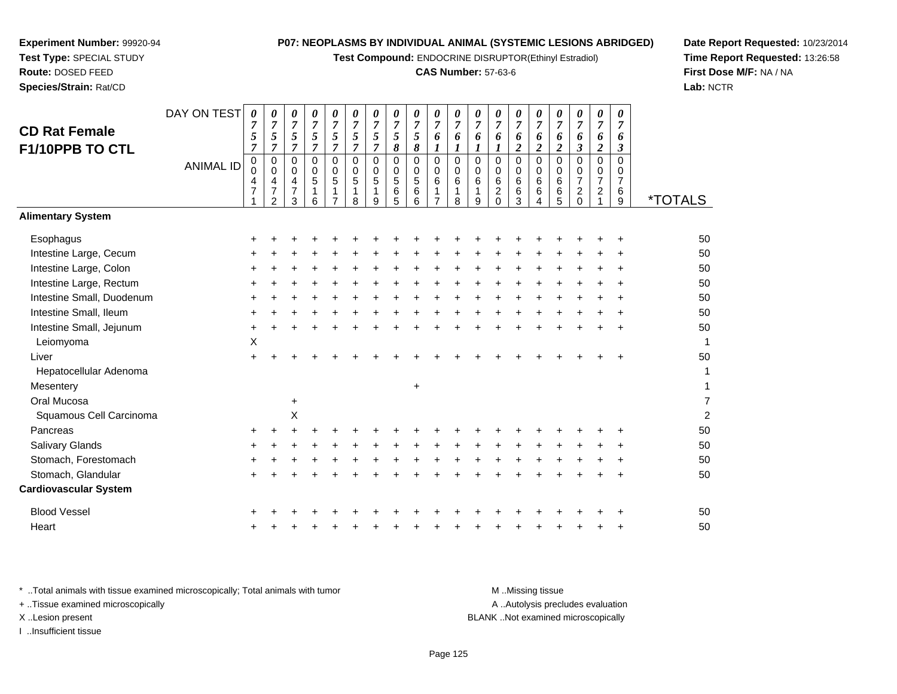**Test Compound:** ENDOCRINE DISRUPTOR(Ethinyl Estradiol)

#### **CAS Number:** 57-63-6

*0 7 6*

*0 7 6*

*0 7 6*

*0 7 6*

*0 7 6*

*0 7 6*

*0 7 6*

*0 7 6*

*07 6*

**Date Report Requested:** 10/23/2014**Time Report Requested:** 13:26:58**First Dose M/F:** NA / NA**Lab:** NCTR

| F1/10PPB TO CTL              |                  | $\overline{7}$                                | $\overline{7}$                     | 7                                                      | $\overline{7}$                                              | $\overline{7}$                                         | $\overline{7}$                                      | $\overline{7}$                  | 8                                                          | 8                                                                       | $\boldsymbol{l}$                                                     | $\boldsymbol{l}$                                     |                                 | 1                                                           | $\boldsymbol{2}$                                               | $\boldsymbol{2}$                          | $\boldsymbol{2}$                                | $\boldsymbol{\beta}$                                           | $\boldsymbol{2}$                                     | $\boldsymbol{\beta}$                                    |                       |
|------------------------------|------------------|-----------------------------------------------|------------------------------------|--------------------------------------------------------|-------------------------------------------------------------|--------------------------------------------------------|-----------------------------------------------------|---------------------------------|------------------------------------------------------------|-------------------------------------------------------------------------|----------------------------------------------------------------------|------------------------------------------------------|---------------------------------|-------------------------------------------------------------|----------------------------------------------------------------|-------------------------------------------|-------------------------------------------------|----------------------------------------------------------------|------------------------------------------------------|---------------------------------------------------------|-----------------------|
|                              | <b>ANIMAL ID</b> | $\pmb{0}$<br>$\pmb{0}$<br>4<br>$\overline{7}$ | 0<br>0<br>4<br>7<br>$\overline{2}$ | $\mathbf 0$<br>$\mathbf 0$<br>4<br>$\overline{7}$<br>3 | $\pmb{0}$<br>$\mathbf 0$<br>$\sqrt{5}$<br>$\mathbf{1}$<br>6 | $\mathbf 0$<br>$\mathbf 0$<br>5<br>1<br>$\overline{7}$ | 0<br>$\mathbf 0$<br>$\sqrt{5}$<br>$\mathbf{1}$<br>8 | 0<br>$\mathbf 0$<br>5<br>1<br>9 | $\mathbf 0$<br>$\mathsf{O}\xspace$<br>$\sqrt{5}$<br>6<br>5 | $\pmb{0}$<br>$\overline{0}$<br>$\,$ 5 $\,$<br>$\,6\,$<br>$6\phantom{a}$ | $\mathbf 0$<br>$\mathbf 0$<br>$6\phantom{1}6$<br>1<br>$\overline{7}$ | $\mathbf 0$<br>$\mathbf 0$<br>6<br>$\mathbf{1}$<br>8 | 0<br>$\mathbf 0$<br>6<br>1<br>9 | 0<br>$\mathbf 0$<br>$\,6\,$<br>$\overline{\mathbf{c}}$<br>0 | $\pmb{0}$<br>$\mathbf 0$<br>$\,6$<br>$\,6\,$<br>$\overline{3}$ | $\mathbf 0$<br>$\mathbf 0$<br>6<br>6<br>4 | $\mathbf 0$<br>$\mathbf 0$<br>$\,6\,$<br>6<br>5 | 0<br>0<br>$\boldsymbol{7}$<br>$\overline{c}$<br>$\overline{0}$ | $\mathbf 0$<br>0<br>$\overline{7}$<br>$\overline{c}$ | $\pmb{0}$<br>0<br>$\overline{7}$<br>6<br>$\overline{9}$ | <i><b>*TOTALS</b></i> |
| <b>Alimentary System</b>     |                  |                                               |                                    |                                                        |                                                             |                                                        |                                                     |                                 |                                                            |                                                                         |                                                                      |                                                      |                                 |                                                             |                                                                |                                           |                                                 |                                                                |                                                      |                                                         |                       |
| Esophagus                    |                  |                                               |                                    |                                                        |                                                             |                                                        |                                                     |                                 |                                                            |                                                                         |                                                                      |                                                      |                                 |                                                             |                                                                |                                           |                                                 |                                                                |                                                      |                                                         | 50                    |
| Intestine Large, Cecum       |                  | +                                             |                                    |                                                        |                                                             |                                                        |                                                     |                                 |                                                            |                                                                         |                                                                      |                                                      |                                 |                                                             |                                                                |                                           |                                                 |                                                                |                                                      |                                                         | 50                    |
| Intestine Large, Colon       |                  | ÷                                             |                                    |                                                        |                                                             |                                                        |                                                     |                                 |                                                            |                                                                         |                                                                      |                                                      |                                 |                                                             |                                                                |                                           |                                                 |                                                                |                                                      |                                                         | 50                    |
| Intestine Large, Rectum      |                  | +                                             |                                    |                                                        |                                                             |                                                        |                                                     |                                 |                                                            | ÷                                                                       |                                                                      |                                                      |                                 |                                                             |                                                                |                                           |                                                 |                                                                |                                                      | +                                                       | 50                    |
| Intestine Small, Duodenum    |                  | +                                             |                                    |                                                        |                                                             |                                                        |                                                     |                                 |                                                            |                                                                         |                                                                      |                                                      |                                 |                                                             |                                                                |                                           |                                                 |                                                                |                                                      |                                                         | 50                    |
| Intestine Small, Ileum       |                  | +                                             |                                    |                                                        |                                                             |                                                        |                                                     |                                 |                                                            |                                                                         |                                                                      |                                                      |                                 |                                                             |                                                                |                                           |                                                 |                                                                |                                                      | +                                                       | 50                    |
| Intestine Small, Jejunum     |                  | $\ddot{}$                                     |                                    |                                                        |                                                             |                                                        |                                                     |                                 |                                                            |                                                                         |                                                                      |                                                      |                                 |                                                             |                                                                |                                           |                                                 |                                                                |                                                      | $\ddot{}$                                               | 50                    |
| Leiomyoma                    |                  | $\boldsymbol{\mathsf{X}}$                     |                                    |                                                        |                                                             |                                                        |                                                     |                                 |                                                            |                                                                         |                                                                      |                                                      |                                 |                                                             |                                                                |                                           |                                                 |                                                                |                                                      |                                                         | 1                     |
| Liver                        |                  | $\ddot{}$                                     |                                    |                                                        |                                                             |                                                        |                                                     |                                 |                                                            |                                                                         |                                                                      |                                                      |                                 |                                                             |                                                                |                                           |                                                 |                                                                |                                                      |                                                         | 50                    |
| Hepatocellular Adenoma       |                  |                                               |                                    |                                                        |                                                             |                                                        |                                                     |                                 |                                                            |                                                                         |                                                                      |                                                      |                                 |                                                             |                                                                |                                           |                                                 |                                                                |                                                      |                                                         | 1                     |
| Mesentery                    |                  |                                               |                                    |                                                        |                                                             |                                                        |                                                     |                                 |                                                            | $\ddot{}$                                                               |                                                                      |                                                      |                                 |                                                             |                                                                |                                           |                                                 |                                                                |                                                      |                                                         | 1                     |
| Oral Mucosa                  |                  |                                               |                                    | $\ddot{}$                                              |                                                             |                                                        |                                                     |                                 |                                                            |                                                                         |                                                                      |                                                      |                                 |                                                             |                                                                |                                           |                                                 |                                                                |                                                      |                                                         | $\overline{7}$        |
| Squamous Cell Carcinoma      |                  |                                               |                                    | $\boldsymbol{\mathsf{X}}$                              |                                                             |                                                        |                                                     |                                 |                                                            |                                                                         |                                                                      |                                                      |                                 |                                                             |                                                                |                                           |                                                 |                                                                |                                                      |                                                         | $\overline{2}$        |
| Pancreas                     |                  | +                                             |                                    |                                                        |                                                             |                                                        |                                                     |                                 |                                                            |                                                                         |                                                                      |                                                      |                                 |                                                             |                                                                |                                           |                                                 |                                                                |                                                      |                                                         | 50                    |
| Salivary Glands              |                  | ÷                                             |                                    |                                                        |                                                             |                                                        |                                                     |                                 |                                                            |                                                                         |                                                                      |                                                      |                                 |                                                             |                                                                |                                           |                                                 |                                                                |                                                      | 4                                                       | 50                    |
| Stomach, Forestomach         |                  |                                               |                                    |                                                        |                                                             |                                                        |                                                     |                                 |                                                            |                                                                         |                                                                      |                                                      |                                 |                                                             |                                                                |                                           |                                                 |                                                                |                                                      |                                                         | 50                    |
| Stomach, Glandular           |                  |                                               |                                    |                                                        |                                                             |                                                        |                                                     |                                 |                                                            |                                                                         |                                                                      |                                                      |                                 |                                                             |                                                                |                                           |                                                 |                                                                |                                                      |                                                         | 50                    |
| <b>Cardiovascular System</b> |                  |                                               |                                    |                                                        |                                                             |                                                        |                                                     |                                 |                                                            |                                                                         |                                                                      |                                                      |                                 |                                                             |                                                                |                                           |                                                 |                                                                |                                                      |                                                         |                       |
| <b>Blood Vessel</b>          |                  | ÷                                             |                                    |                                                        |                                                             |                                                        |                                                     |                                 |                                                            |                                                                         |                                                                      |                                                      |                                 |                                                             |                                                                |                                           |                                                 |                                                                |                                                      | +                                                       | 50                    |
| Heart                        |                  |                                               |                                    |                                                        |                                                             |                                                        |                                                     |                                 |                                                            |                                                                         |                                                                      |                                                      |                                 |                                                             |                                                                |                                           |                                                 |                                                                |                                                      |                                                         | 50                    |
|                              |                  |                                               |                                    |                                                        |                                                             |                                                        |                                                     |                                 |                                                            |                                                                         |                                                                      |                                                      |                                 |                                                             |                                                                |                                           |                                                 |                                                                |                                                      |                                                         |                       |
|                              |                  |                                               |                                    |                                                        |                                                             |                                                        |                                                     |                                 |                                                            |                                                                         |                                                                      |                                                      |                                 |                                                             |                                                                |                                           |                                                 |                                                                |                                                      |                                                         |                       |

**Experiment Number:** 99920-94**Test Type:** SPECIAL STUDY**Route:** DOSED FEED**Species/Strain:** Rat/CD

**CD Rat Female**

DAY ON TEST

*0 7 5*

*0 7 5*

*0 7 5*

*0 7 5*

*0 7 5*

*0 7 5*

*0 7 5*

*0 7 5*

*0 7 5*

*0 7 6*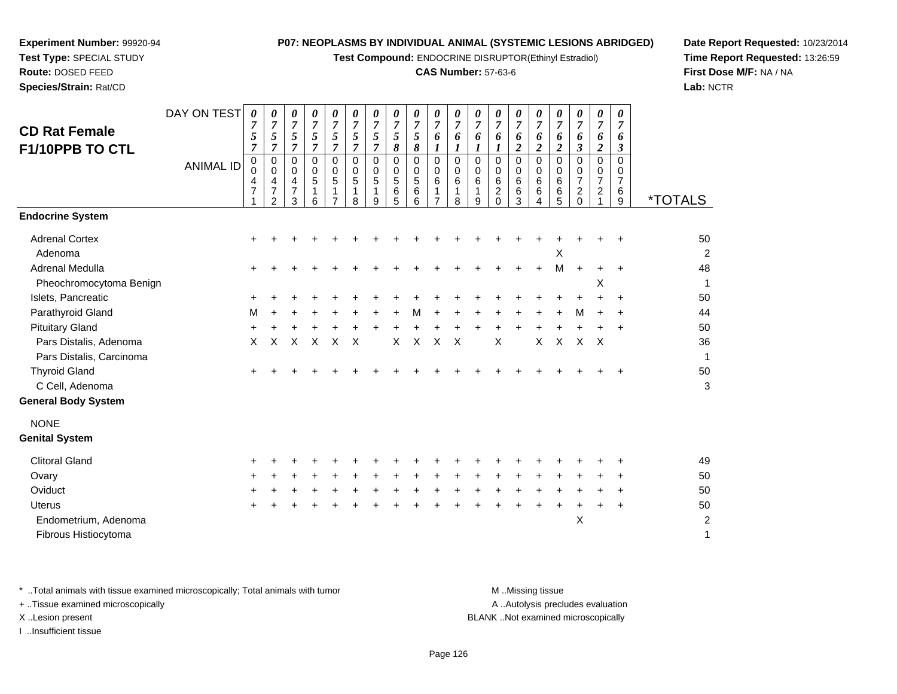**Test Compound:** ENDOCRINE DISRUPTOR(Ethinyl Estradiol)

# **CAS Number:** 57-63-6

**Date Report Requested:** 10/23/2014**Time Report Requested:** 13:26:59**First Dose M/F:** NA / NA**Lab:** NCTR

| <b>CD Rat Female</b><br>F1/10PPB TO CTL                    | DAY ON TEST<br><b>ANIMAL ID</b> | 0<br>7<br>5<br>7<br>0<br>$\Omega$<br>4<br>7 | 0<br>7<br>5<br>$\overline{7}$<br>0<br>$\Omega$<br>4<br>$\overline{7}$<br>$\overline{2}$ | 0<br>$\overline{7}$<br>5<br>$\overline{7}$<br>0<br>$\Omega$<br>4<br>$\overline{7}$<br>3 | 0<br>$\overline{7}$<br>5<br>$\overline{7}$<br>0<br>0<br>5<br>1<br>6 | 0<br>$\overline{7}$<br>5<br>$\overline{7}$<br>0<br>$\Omega$<br>5<br>1 | 0<br>$\overline{7}$<br>5<br>$\overline{7}$<br>$\mathbf 0$<br>$\Omega$<br>5<br>1<br>8 | 0<br>$\overline{7}$<br>5<br>$\overline{7}$<br>$\mathbf 0$<br>$\Omega$<br>5<br>1<br>9 | 0<br>$\overline{7}$<br>$\sqrt{5}$<br>8<br>$\mathbf 0$<br>$\Omega$<br>5<br>6<br>5 | 0<br>$\overline{7}$<br>5<br>8<br>$\mathbf 0$<br>0<br>5<br>6<br>6 | 0<br>$\overline{7}$<br>6<br>$\mathbf 0$<br>0<br>$\,6$<br>$\mathbf 1$<br>$\overline{7}$ | 0<br>7<br>6<br>1<br>0<br>0<br>6<br>1<br>8 | 0<br>$\overline{7}$<br>6<br>$\boldsymbol{l}$<br>$\mathbf 0$<br>$\Omega$<br>6<br>1<br>9 | 0<br>7<br>6<br>1<br>$\mathbf 0$<br>$\Omega$<br>6<br>$\overline{c}$<br>$\Omega$ | 0<br>$\overline{7}$<br>6<br>$\overline{2}$<br>$\mathbf 0$<br>0<br>$\,6\,$<br>6<br>3 | 0<br>$\overline{7}$<br>6<br>$\overline{2}$<br>$\mathbf 0$<br>$\Omega$<br>6<br>6<br>4 | 0<br>7<br>6<br>$\boldsymbol{2}$<br>$\mathbf 0$<br>$\Omega$<br>6<br>6<br>5 | 0<br>$\overline{7}$<br>6<br>$\mathfrak{z}$<br>$\mathbf 0$<br>0<br>$\overline{7}$<br>$\overline{c}$<br>$\Omega$ | 0<br>$\overline{7}$<br>6<br>$\overline{\mathbf{c}}$<br>0<br>0<br>$\overline{7}$<br>$\overline{a}$ | 0<br>$\overline{7}$<br>6<br>3<br>0<br>0<br>$\overline{7}$<br>6<br>9 | <i><b>*TOTALS</b></i> |
|------------------------------------------------------------|---------------------------------|---------------------------------------------|-----------------------------------------------------------------------------------------|-----------------------------------------------------------------------------------------|---------------------------------------------------------------------|-----------------------------------------------------------------------|--------------------------------------------------------------------------------------|--------------------------------------------------------------------------------------|----------------------------------------------------------------------------------|------------------------------------------------------------------|----------------------------------------------------------------------------------------|-------------------------------------------|----------------------------------------------------------------------------------------|--------------------------------------------------------------------------------|-------------------------------------------------------------------------------------|--------------------------------------------------------------------------------------|---------------------------------------------------------------------------|----------------------------------------------------------------------------------------------------------------|---------------------------------------------------------------------------------------------------|---------------------------------------------------------------------|-----------------------|
| <b>Endocrine System</b>                                    |                                 |                                             |                                                                                         |                                                                                         |                                                                     |                                                                       |                                                                                      |                                                                                      |                                                                                  |                                                                  |                                                                                        |                                           |                                                                                        |                                                                                |                                                                                     |                                                                                      |                                                                           |                                                                                                                |                                                                                                   |                                                                     |                       |
| <b>Adrenal Cortex</b><br>Adenoma<br><b>Adrenal Medulla</b> |                                 | ٠                                           |                                                                                         |                                                                                         |                                                                     |                                                                       |                                                                                      |                                                                                      |                                                                                  |                                                                  |                                                                                        |                                           |                                                                                        |                                                                                |                                                                                     |                                                                                      | Χ<br>M                                                                    | $\ddot{}$                                                                                                      | +                                                                                                 | $\ddot{}$<br>$\ddot{}$                                              | 50<br>2<br>48         |
| Pheochromocytoma Benign                                    |                                 |                                             |                                                                                         |                                                                                         |                                                                     |                                                                       |                                                                                      |                                                                                      |                                                                                  |                                                                  |                                                                                        |                                           |                                                                                        |                                                                                |                                                                                     |                                                                                      |                                                                           |                                                                                                                | Х                                                                                                 |                                                                     | 1                     |
| Islets, Pancreatic                                         |                                 |                                             |                                                                                         |                                                                                         |                                                                     |                                                                       |                                                                                      |                                                                                      |                                                                                  |                                                                  |                                                                                        |                                           |                                                                                        |                                                                                |                                                                                     |                                                                                      |                                                                           |                                                                                                                |                                                                                                   | $\ddot{}$                                                           | 50                    |
| Parathyroid Gland                                          |                                 | м                                           |                                                                                         |                                                                                         |                                                                     |                                                                       |                                                                                      |                                                                                      |                                                                                  | м                                                                |                                                                                        |                                           |                                                                                        |                                                                                |                                                                                     |                                                                                      |                                                                           | м                                                                                                              |                                                                                                   | $\ddot{}$                                                           | 44                    |
| <b>Pituitary Gland</b>                                     |                                 | ٠                                           |                                                                                         |                                                                                         |                                                                     |                                                                       |                                                                                      |                                                                                      |                                                                                  |                                                                  |                                                                                        |                                           |                                                                                        |                                                                                |                                                                                     |                                                                                      |                                                                           |                                                                                                                |                                                                                                   | $\ddot{}$                                                           | 50                    |
| Pars Distalis, Adenoma<br>Pars Distalis, Carcinoma         |                                 | X                                           | X                                                                                       | X                                                                                       | $\times$                                                            | X                                                                     | $\times$                                                                             |                                                                                      | $\times$                                                                         | $\mathsf{x}$                                                     | $\times$                                                                               | $\times$                                  |                                                                                        | X                                                                              |                                                                                     | X                                                                                    | $\mathsf{X}$                                                              | X                                                                                                              | $\boldsymbol{\mathsf{X}}$                                                                         |                                                                     | 36                    |
| <b>Thyroid Gland</b>                                       |                                 |                                             |                                                                                         |                                                                                         |                                                                     |                                                                       |                                                                                      |                                                                                      |                                                                                  |                                                                  |                                                                                        |                                           |                                                                                        |                                                                                |                                                                                     |                                                                                      |                                                                           |                                                                                                                |                                                                                                   |                                                                     | 50                    |
| C Cell, Adenoma                                            |                                 |                                             |                                                                                         |                                                                                         |                                                                     |                                                                       |                                                                                      |                                                                                      |                                                                                  |                                                                  |                                                                                        |                                           |                                                                                        |                                                                                |                                                                                     |                                                                                      |                                                                           |                                                                                                                |                                                                                                   |                                                                     | 3                     |
| <b>General Body System</b>                                 |                                 |                                             |                                                                                         |                                                                                         |                                                                     |                                                                       |                                                                                      |                                                                                      |                                                                                  |                                                                  |                                                                                        |                                           |                                                                                        |                                                                                |                                                                                     |                                                                                      |                                                                           |                                                                                                                |                                                                                                   |                                                                     |                       |
| <b>NONE</b><br><b>Genital System</b>                       |                                 |                                             |                                                                                         |                                                                                         |                                                                     |                                                                       |                                                                                      |                                                                                      |                                                                                  |                                                                  |                                                                                        |                                           |                                                                                        |                                                                                |                                                                                     |                                                                                      |                                                                           |                                                                                                                |                                                                                                   |                                                                     |                       |
| <b>Clitoral Gland</b>                                      |                                 |                                             |                                                                                         |                                                                                         |                                                                     |                                                                       |                                                                                      |                                                                                      |                                                                                  |                                                                  |                                                                                        |                                           |                                                                                        |                                                                                |                                                                                     |                                                                                      |                                                                           |                                                                                                                |                                                                                                   |                                                                     | 49                    |
| Ovary                                                      |                                 |                                             |                                                                                         |                                                                                         |                                                                     |                                                                       |                                                                                      |                                                                                      |                                                                                  |                                                                  |                                                                                        |                                           |                                                                                        |                                                                                |                                                                                     |                                                                                      |                                                                           |                                                                                                                |                                                                                                   |                                                                     | 50                    |
| Oviduct                                                    |                                 |                                             |                                                                                         |                                                                                         |                                                                     |                                                                       |                                                                                      |                                                                                      |                                                                                  |                                                                  |                                                                                        |                                           |                                                                                        |                                                                                |                                                                                     |                                                                                      |                                                                           |                                                                                                                |                                                                                                   | $\ddot{}$                                                           | 50                    |
| <b>Uterus</b>                                              |                                 |                                             |                                                                                         |                                                                                         |                                                                     |                                                                       |                                                                                      |                                                                                      |                                                                                  |                                                                  |                                                                                        |                                           |                                                                                        |                                                                                |                                                                                     |                                                                                      |                                                                           |                                                                                                                |                                                                                                   | $\ddot{}$                                                           | 50                    |
| Endometrium, Adenoma<br>Fibrous Histiocytoma               |                                 |                                             |                                                                                         |                                                                                         |                                                                     |                                                                       |                                                                                      |                                                                                      |                                                                                  |                                                                  |                                                                                        |                                           |                                                                                        |                                                                                |                                                                                     |                                                                                      |                                                                           | Χ                                                                                                              |                                                                                                   |                                                                     | $\overline{c}$<br>1   |

**Experiment Number:** 99920-94**Test Type:** SPECIAL STUDY**Route:** DOSED FEED**Species/Strain:** Rat/CD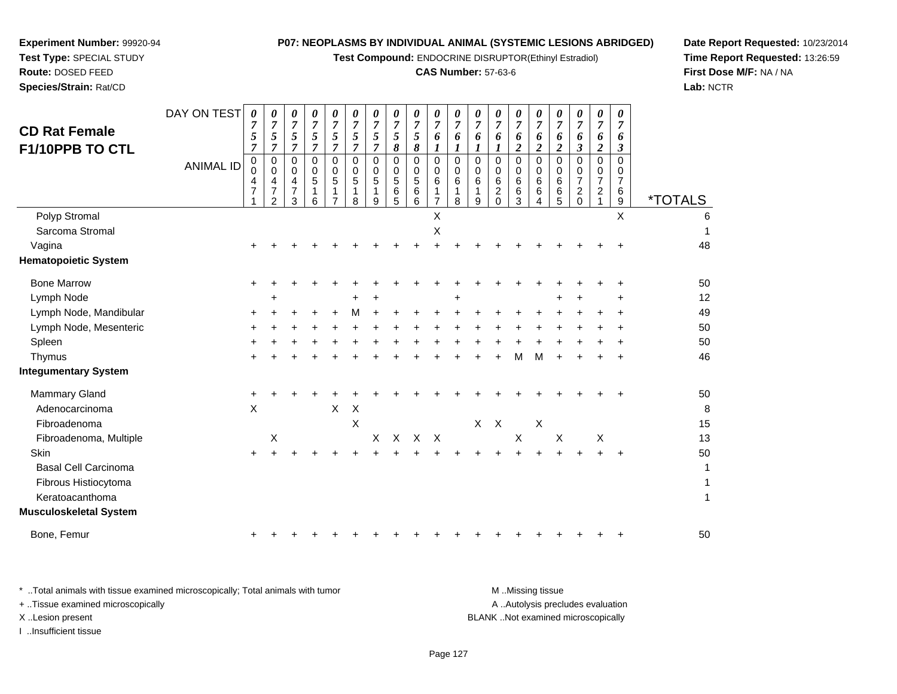**Test Compound:** ENDOCRINE DISRUPTOR(Ethinyl Estradiol)

# **CAS Number:** 57-63-6

**Date Report Requested:** 10/23/2014**Time Report Requested:** 13:26:59**First Dose M/F:** NA / NA**Lab:** NCTR

| <b>CD Rat Female</b><br>F1/10PPB TO CTL | DAY ON TEST<br><b>ANIMAL ID</b> | 0<br>7<br>5<br>7<br>0<br>$\Omega$<br>4<br>$\overline{7}$ | 0<br>$\boldsymbol{7}$<br>5<br>$\mathbf 0$<br>0<br>4<br>$\overline{7}$<br>2 | 0<br>$\boldsymbol{7}$<br>5<br>7<br>0<br>0<br>4<br>7<br>3 | 0<br>$\overline{7}$<br>5<br>7<br>0<br>0<br>5<br>6 | $\pmb{\theta}$<br>$\overline{7}$<br>5<br>7<br>$\Omega$<br>0<br>5<br>1<br>$\overline{7}$ | 0<br>$\overline{7}$<br>5<br>7<br>$\Omega$<br>$\Omega$<br>5<br>1<br>8 | $\boldsymbol{\theta}$<br>$\overline{7}$<br>5<br>7<br>$\Omega$<br>0<br>5<br>1<br>9 | 0<br>$\overline{7}$<br>5<br>8<br>0<br>0<br>5<br>6<br>5 | 0<br>$\boldsymbol{7}$<br>5<br>8<br>$\mathbf 0$<br>0<br>5<br>6<br>6 | 0<br>$\overline{7}$<br>6<br>1<br>$\overline{0}$<br>0<br>$6\phantom{1}6$<br>1<br>$\overline{7}$ | 0<br>7<br>6<br>1<br>$\Omega$<br>0<br>6<br>1<br>8 | 0<br>$\overline{7}$<br>6<br>$\mathbf 0$<br>0<br>6<br>1<br>9 | 0<br>$\overline{7}$<br>6<br>1<br>$\mathbf 0$<br>0<br>6<br>$\overline{c}$<br>$\Omega$ | 0<br>$\overline{7}$<br>6<br>2<br>$\Omega$<br>0<br>6<br>$\,6$<br>3 | 0<br>$\overline{7}$<br>6<br>$\boldsymbol{2}$<br>$\Omega$<br>$\Omega$<br>6<br>6<br>4 | $\pmb{\theta}$<br>7<br>6<br>$\boldsymbol{2}$<br>$\Omega$<br>0<br>6<br>6<br>5 | $\boldsymbol{\theta}$<br>$\overline{7}$<br>6<br>3<br>$\mathbf 0$<br>0<br>$\overline{7}$<br>$\boldsymbol{2}$<br>$\overline{0}$ | 0<br>$\overline{7}$<br>6<br>2<br>0<br>0<br>$\overline{7}$<br>$\overline{a}$ | 0<br>$\overline{7}$<br>6<br>3<br>$\Omega$<br>0<br>7<br>6<br>$\mathsf g$ | <i><b>*TOTALS</b></i> |
|-----------------------------------------|---------------------------------|----------------------------------------------------------|----------------------------------------------------------------------------|----------------------------------------------------------|---------------------------------------------------|-----------------------------------------------------------------------------------------|----------------------------------------------------------------------|-----------------------------------------------------------------------------------|--------------------------------------------------------|--------------------------------------------------------------------|------------------------------------------------------------------------------------------------|--------------------------------------------------|-------------------------------------------------------------|--------------------------------------------------------------------------------------|-------------------------------------------------------------------|-------------------------------------------------------------------------------------|------------------------------------------------------------------------------|-------------------------------------------------------------------------------------------------------------------------------|-----------------------------------------------------------------------------|-------------------------------------------------------------------------|-----------------------|
| Polyp Stromal                           |                                 |                                                          |                                                                            |                                                          |                                                   |                                                                                         |                                                                      |                                                                                   |                                                        |                                                                    | X                                                                                              |                                                  |                                                             |                                                                                      |                                                                   |                                                                                     |                                                                              |                                                                                                                               |                                                                             | X                                                                       |                       |
| Sarcoma Stromal                         |                                 |                                                          |                                                                            |                                                          |                                                   |                                                                                         |                                                                      |                                                                                   |                                                        |                                                                    | Х                                                                                              |                                                  |                                                             |                                                                                      |                                                                   |                                                                                     |                                                                              |                                                                                                                               |                                                                             |                                                                         |                       |
| Vagina                                  |                                 | ÷                                                        |                                                                            |                                                          |                                                   |                                                                                         |                                                                      |                                                                                   |                                                        |                                                                    |                                                                                                |                                                  |                                                             |                                                                                      |                                                                   |                                                                                     |                                                                              |                                                                                                                               |                                                                             |                                                                         | 48                    |
| <b>Hematopoietic System</b>             |                                 |                                                          |                                                                            |                                                          |                                                   |                                                                                         |                                                                      |                                                                                   |                                                        |                                                                    |                                                                                                |                                                  |                                                             |                                                                                      |                                                                   |                                                                                     |                                                                              |                                                                                                                               |                                                                             |                                                                         |                       |
| <b>Bone Marrow</b>                      |                                 | $\ddot{}$                                                |                                                                            |                                                          |                                                   |                                                                                         |                                                                      |                                                                                   |                                                        |                                                                    |                                                                                                |                                                  |                                                             |                                                                                      |                                                                   |                                                                                     |                                                                              |                                                                                                                               |                                                                             | ٠                                                                       | 50                    |
| Lymph Node                              |                                 |                                                          |                                                                            |                                                          |                                                   |                                                                                         |                                                                      |                                                                                   |                                                        |                                                                    |                                                                                                |                                                  |                                                             |                                                                                      |                                                                   |                                                                                     |                                                                              |                                                                                                                               |                                                                             |                                                                         | 12                    |
| Lymph Node, Mandibular                  |                                 | +                                                        |                                                                            |                                                          |                                                   | +                                                                                       | M                                                                    |                                                                                   |                                                        |                                                                    | +                                                                                              |                                                  |                                                             |                                                                                      |                                                                   |                                                                                     |                                                                              |                                                                                                                               |                                                                             |                                                                         | 49                    |
| Lymph Node, Mesenteric                  |                                 |                                                          |                                                                            |                                                          |                                                   |                                                                                         |                                                                      |                                                                                   |                                                        |                                                                    |                                                                                                |                                                  |                                                             |                                                                                      |                                                                   |                                                                                     |                                                                              |                                                                                                                               |                                                                             |                                                                         | 50                    |
| Spleen                                  |                                 |                                                          |                                                                            |                                                          |                                                   |                                                                                         |                                                                      |                                                                                   |                                                        |                                                                    |                                                                                                |                                                  |                                                             |                                                                                      |                                                                   |                                                                                     |                                                                              |                                                                                                                               |                                                                             |                                                                         | 50                    |
| Thymus                                  |                                 |                                                          |                                                                            |                                                          |                                                   |                                                                                         |                                                                      |                                                                                   |                                                        |                                                                    |                                                                                                |                                                  |                                                             |                                                                                      | М                                                                 | м                                                                                   |                                                                              |                                                                                                                               |                                                                             |                                                                         | 46                    |
| <b>Integumentary System</b>             |                                 |                                                          |                                                                            |                                                          |                                                   |                                                                                         |                                                                      |                                                                                   |                                                        |                                                                    |                                                                                                |                                                  |                                                             |                                                                                      |                                                                   |                                                                                     |                                                                              |                                                                                                                               |                                                                             |                                                                         |                       |
| Mammary Gland                           |                                 | +                                                        |                                                                            |                                                          |                                                   |                                                                                         |                                                                      |                                                                                   |                                                        |                                                                    |                                                                                                |                                                  |                                                             |                                                                                      |                                                                   |                                                                                     |                                                                              |                                                                                                                               |                                                                             |                                                                         | 50                    |
| Adenocarcinoma                          |                                 | X                                                        |                                                                            |                                                          |                                                   | Χ                                                                                       | $\boldsymbol{\mathsf{X}}$                                            |                                                                                   |                                                        |                                                                    |                                                                                                |                                                  |                                                             |                                                                                      |                                                                   |                                                                                     |                                                                              |                                                                                                                               |                                                                             |                                                                         | 8                     |
| Fibroadenoma                            |                                 |                                                          |                                                                            |                                                          |                                                   |                                                                                         | $\times$                                                             |                                                                                   |                                                        |                                                                    |                                                                                                |                                                  | X                                                           | $\mathsf{X}$                                                                         |                                                                   | $\boldsymbol{\mathsf{X}}$                                                           |                                                                              |                                                                                                                               |                                                                             |                                                                         | 15                    |
| Fibroadenoma, Multiple                  |                                 |                                                          | Χ                                                                          |                                                          |                                                   |                                                                                         |                                                                      | X                                                                                 | $\mathsf{X}$                                           | $X$ $X$                                                            |                                                                                                |                                                  |                                                             |                                                                                      | $\mathsf X$                                                       |                                                                                     | $\mathsf X$                                                                  |                                                                                                                               | $\boldsymbol{\mathsf{X}}$                                                   |                                                                         | 13                    |
| Skin                                    |                                 | $\pm$                                                    |                                                                            |                                                          |                                                   |                                                                                         |                                                                      |                                                                                   |                                                        |                                                                    |                                                                                                |                                                  |                                                             |                                                                                      |                                                                   |                                                                                     |                                                                              |                                                                                                                               |                                                                             | $\ddot{}$                                                               | 50                    |
| <b>Basal Cell Carcinoma</b>             |                                 |                                                          |                                                                            |                                                          |                                                   |                                                                                         |                                                                      |                                                                                   |                                                        |                                                                    |                                                                                                |                                                  |                                                             |                                                                                      |                                                                   |                                                                                     |                                                                              |                                                                                                                               |                                                                             |                                                                         | 1                     |
| Fibrous Histiocytoma                    |                                 |                                                          |                                                                            |                                                          |                                                   |                                                                                         |                                                                      |                                                                                   |                                                        |                                                                    |                                                                                                |                                                  |                                                             |                                                                                      |                                                                   |                                                                                     |                                                                              |                                                                                                                               |                                                                             |                                                                         | 1                     |
| Keratoacanthoma                         |                                 |                                                          |                                                                            |                                                          |                                                   |                                                                                         |                                                                      |                                                                                   |                                                        |                                                                    |                                                                                                |                                                  |                                                             |                                                                                      |                                                                   |                                                                                     |                                                                              |                                                                                                                               |                                                                             |                                                                         | 1                     |
| Musculoskeletal System                  |                                 |                                                          |                                                                            |                                                          |                                                   |                                                                                         |                                                                      |                                                                                   |                                                        |                                                                    |                                                                                                |                                                  |                                                             |                                                                                      |                                                                   |                                                                                     |                                                                              |                                                                                                                               |                                                                             |                                                                         |                       |
| Bone, Femur                             |                                 | +                                                        |                                                                            |                                                          |                                                   |                                                                                         |                                                                      |                                                                                   |                                                        |                                                                    |                                                                                                |                                                  |                                                             |                                                                                      |                                                                   |                                                                                     |                                                                              |                                                                                                                               |                                                                             | ٠                                                                       | 50                    |
|                                         |                                 |                                                          |                                                                            |                                                          |                                                   |                                                                                         |                                                                      |                                                                                   |                                                        |                                                                    |                                                                                                |                                                  |                                                             |                                                                                      |                                                                   |                                                                                     |                                                                              |                                                                                                                               |                                                                             |                                                                         |                       |

**Experiment Number:** 99920-94**Test Type:** SPECIAL STUDY**Route:** DOSED FEED**Species/Strain:** Rat/CD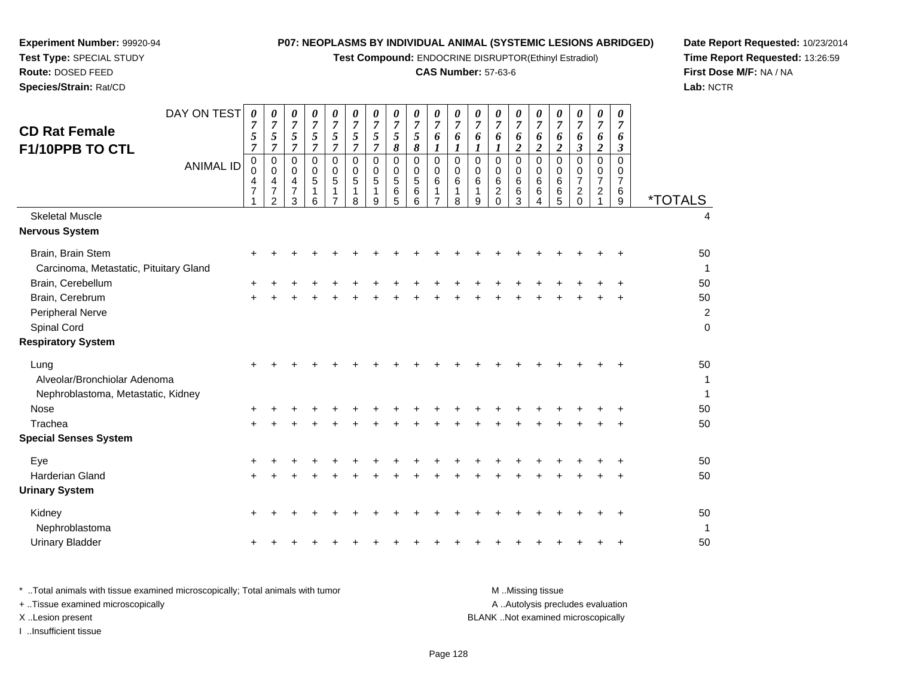**Test Compound:** ENDOCRINE DISRUPTOR(Ethinyl Estradiol)

# **CAS Number:** 57-63-6

**Date Report Requested:** 10/23/2014 **Time Report Requested:** 13:26:59**First Dose M/F:** NA / NA**Lab:** NCTR

| <b>CD Rat Female</b><br>F1/10PPB TO CTL                                    | DAY ON TEST<br><b>ANIMAL ID</b> | 0<br>$\overline{7}$<br>5<br>$\overline{7}$<br>0<br>$\mathbf 0$<br>4<br>$\overline{7}$ | 0<br>$\overline{7}$<br>5<br>$\overline{7}$<br>$\mathbf 0$<br>0<br>4<br>$\overline{7}$ | 0<br>$\overline{7}$<br>5<br>$\overline{7}$<br>0<br>$\mathbf 0$<br>4<br>$\overline{7}$ | 0<br>$\overline{7}$<br>5<br>$\overline{7}$<br>$\mathbf 0$<br>0<br>5<br>$\mathbf{1}$ | 0<br>$\overline{7}$<br>5<br>$\overline{7}$<br>0<br>$\mathbf 0$<br>5<br>$\mathbf{1}$ | 0<br>$\overline{7}$<br>$\mathfrak{s}$<br>$\overline{7}$<br>$\mathbf 0$<br>0<br>5<br>1 | 0<br>$\overline{7}$<br>5<br>$\overline{7}$<br>$\Omega$<br>0<br>5<br>1 | 0<br>$\overline{7}$<br>5<br>8<br>$\mathbf 0$<br>$\mathbf 0$<br>5<br>6 | 0<br>$\overline{7}$<br>5<br>8<br>$\mathbf 0$<br>$\mathbf 0$<br>5<br>6 | 0<br>$\overline{7}$<br>6<br>$\boldsymbol{l}$<br>$\mathbf 0$<br>$\mathbf 0$<br>$6\phantom{1}6$<br>$\mathbf{1}$ | 0<br>7<br>6<br>1<br>0<br>0<br>6<br>1 | 0<br>$\overline{7}$<br>6<br>1<br>0<br>0<br>6<br>1 | 0<br>$\boldsymbol{7}$<br>6<br>1<br>$\Omega$<br>0<br>$\,6\,$<br>$\sqrt{2}$ | 0<br>$\boldsymbol{7}$<br>6<br>$\boldsymbol{2}$<br>$\mathbf 0$<br>$\mathbf 0$<br>$\,6\,$<br>$\,6\,$ | 0<br>$\boldsymbol{7}$<br>6<br>$\overline{2}$<br>$\mathbf 0$<br>$\mathbf 0$<br>$\,6\,$<br>$\,6$ | 0<br>$\overline{7}$<br>6<br>$\boldsymbol{2}$<br>$\Omega$<br>0<br>6<br>6 | 0<br>$\overline{7}$<br>6<br>$\boldsymbol{\beta}$<br>$\pmb{0}$<br>$\mathbf 0$<br>$\overline{7}$<br>$\overline{c}$ |          | 0<br>$\overline{7}$<br>6<br>$\overline{2}$<br>$\mathbf 0$<br>0<br>$\overline{7}$<br>$\overline{c}$ | 0<br>$\overline{7}$<br>6<br>3<br>$\Omega$<br>0<br>$\overline{7}$<br>6 |                       |
|----------------------------------------------------------------------------|---------------------------------|---------------------------------------------------------------------------------------|---------------------------------------------------------------------------------------|---------------------------------------------------------------------------------------|-------------------------------------------------------------------------------------|-------------------------------------------------------------------------------------|---------------------------------------------------------------------------------------|-----------------------------------------------------------------------|-----------------------------------------------------------------------|-----------------------------------------------------------------------|---------------------------------------------------------------------------------------------------------------|--------------------------------------|---------------------------------------------------|---------------------------------------------------------------------------|----------------------------------------------------------------------------------------------------|------------------------------------------------------------------------------------------------|-------------------------------------------------------------------------|------------------------------------------------------------------------------------------------------------------|----------|----------------------------------------------------------------------------------------------------|-----------------------------------------------------------------------|-----------------------|
|                                                                            |                                 |                                                                                       | 2                                                                                     | 3                                                                                     | 6                                                                                   |                                                                                     | 8                                                                                     | 9                                                                     | 5                                                                     | 6                                                                     |                                                                                                               | 8                                    | 9                                                 | $\Omega$                                                                  | 3                                                                                                  | 4                                                                                              | 5                                                                       |                                                                                                                  | $\Omega$ |                                                                                                    | 9                                                                     | <i><b>*TOTALS</b></i> |
| <b>Skeletal Muscle</b><br>Nervous System                                   |                                 |                                                                                       |                                                                                       |                                                                                       |                                                                                     |                                                                                     |                                                                                       |                                                                       |                                                                       |                                                                       |                                                                                                               |                                      |                                                   |                                                                           |                                                                                                    |                                                                                                |                                                                         |                                                                                                                  |          |                                                                                                    |                                                                       |                       |
| Brain, Brain Stem                                                          |                                 | ٠                                                                                     |                                                                                       |                                                                                       |                                                                                     |                                                                                     |                                                                                       |                                                                       |                                                                       |                                                                       |                                                                                                               |                                      |                                                   |                                                                           |                                                                                                    |                                                                                                |                                                                         |                                                                                                                  |          |                                                                                                    |                                                                       | 50                    |
| Carcinoma, Metastatic, Pituitary Gland                                     |                                 |                                                                                       |                                                                                       |                                                                                       |                                                                                     |                                                                                     |                                                                                       |                                                                       |                                                                       |                                                                       |                                                                                                               |                                      |                                                   |                                                                           |                                                                                                    |                                                                                                |                                                                         |                                                                                                                  |          |                                                                                                    |                                                                       |                       |
| Brain, Cerebellum                                                          |                                 |                                                                                       |                                                                                       |                                                                                       |                                                                                     |                                                                                     |                                                                                       |                                                                       |                                                                       |                                                                       |                                                                                                               |                                      |                                                   |                                                                           |                                                                                                    |                                                                                                |                                                                         |                                                                                                                  |          |                                                                                                    |                                                                       | 50                    |
| Brain, Cerebrum                                                            |                                 |                                                                                       |                                                                                       |                                                                                       |                                                                                     |                                                                                     |                                                                                       |                                                                       |                                                                       |                                                                       |                                                                                                               |                                      |                                                   |                                                                           |                                                                                                    |                                                                                                |                                                                         |                                                                                                                  |          |                                                                                                    |                                                                       | 50                    |
| Peripheral Nerve                                                           |                                 |                                                                                       |                                                                                       |                                                                                       |                                                                                     |                                                                                     |                                                                                       |                                                                       |                                                                       |                                                                       |                                                                                                               |                                      |                                                   |                                                                           |                                                                                                    |                                                                                                |                                                                         |                                                                                                                  |          |                                                                                                    |                                                                       | $\overline{a}$        |
| Spinal Cord                                                                |                                 |                                                                                       |                                                                                       |                                                                                       |                                                                                     |                                                                                     |                                                                                       |                                                                       |                                                                       |                                                                       |                                                                                                               |                                      |                                                   |                                                                           |                                                                                                    |                                                                                                |                                                                         |                                                                                                                  |          |                                                                                                    |                                                                       | $\mathbf 0$           |
| <b>Respiratory System</b>                                                  |                                 |                                                                                       |                                                                                       |                                                                                       |                                                                                     |                                                                                     |                                                                                       |                                                                       |                                                                       |                                                                       |                                                                                                               |                                      |                                                   |                                                                           |                                                                                                    |                                                                                                |                                                                         |                                                                                                                  |          |                                                                                                    |                                                                       |                       |
| Lung<br>Alveolar/Bronchiolar Adenoma<br>Nephroblastoma, Metastatic, Kidney |                                 |                                                                                       |                                                                                       |                                                                                       |                                                                                     |                                                                                     |                                                                                       |                                                                       |                                                                       |                                                                       |                                                                                                               |                                      |                                                   |                                                                           |                                                                                                    |                                                                                                |                                                                         |                                                                                                                  |          |                                                                                                    |                                                                       | 50<br>1<br>1          |
| Nose                                                                       |                                 |                                                                                       |                                                                                       |                                                                                       |                                                                                     |                                                                                     |                                                                                       |                                                                       |                                                                       |                                                                       |                                                                                                               |                                      |                                                   |                                                                           |                                                                                                    |                                                                                                |                                                                         |                                                                                                                  |          |                                                                                                    |                                                                       | 50                    |
| Trachea                                                                    |                                 |                                                                                       |                                                                                       |                                                                                       |                                                                                     |                                                                                     |                                                                                       |                                                                       |                                                                       |                                                                       |                                                                                                               |                                      |                                                   |                                                                           |                                                                                                    |                                                                                                |                                                                         |                                                                                                                  |          |                                                                                                    |                                                                       | 50                    |
| <b>Special Senses System</b>                                               |                                 |                                                                                       |                                                                                       |                                                                                       |                                                                                     |                                                                                     |                                                                                       |                                                                       |                                                                       |                                                                       |                                                                                                               |                                      |                                                   |                                                                           |                                                                                                    |                                                                                                |                                                                         |                                                                                                                  |          |                                                                                                    |                                                                       |                       |
| Eye                                                                        |                                 |                                                                                       |                                                                                       |                                                                                       |                                                                                     |                                                                                     |                                                                                       |                                                                       |                                                                       |                                                                       |                                                                                                               |                                      |                                                   |                                                                           |                                                                                                    |                                                                                                |                                                                         |                                                                                                                  |          |                                                                                                    |                                                                       | 50                    |
| <b>Harderian Gland</b>                                                     |                                 |                                                                                       |                                                                                       |                                                                                       |                                                                                     |                                                                                     |                                                                                       |                                                                       |                                                                       |                                                                       |                                                                                                               |                                      |                                                   |                                                                           |                                                                                                    |                                                                                                |                                                                         |                                                                                                                  |          |                                                                                                    | $\pm$                                                                 | 50                    |
| <b>Urinary System</b>                                                      |                                 |                                                                                       |                                                                                       |                                                                                       |                                                                                     |                                                                                     |                                                                                       |                                                                       |                                                                       |                                                                       |                                                                                                               |                                      |                                                   |                                                                           |                                                                                                    |                                                                                                |                                                                         |                                                                                                                  |          |                                                                                                    |                                                                       |                       |
| Kidney<br>Nephroblastoma                                                   |                                 | $\pm$                                                                                 |                                                                                       |                                                                                       |                                                                                     |                                                                                     |                                                                                       |                                                                       |                                                                       |                                                                       |                                                                                                               |                                      |                                                   |                                                                           |                                                                                                    |                                                                                                |                                                                         |                                                                                                                  |          |                                                                                                    | $\ddot{}$                                                             | 50                    |
| <b>Urinary Bladder</b>                                                     |                                 |                                                                                       |                                                                                       |                                                                                       |                                                                                     |                                                                                     |                                                                                       |                                                                       |                                                                       |                                                                       |                                                                                                               |                                      |                                                   |                                                                           |                                                                                                    |                                                                                                |                                                                         |                                                                                                                  |          |                                                                                                    | $\ddot{}$                                                             | 50                    |

| * Total animals with tissue examined microscopically; Total animals with tumor | M Missing tissue                   |
|--------------------------------------------------------------------------------|------------------------------------|
| + Tissue examined microscopically                                              | A Autolysis precludes evaluation   |
| X Lesion present                                                               | BLANK Not examined microscopically |
| Insufficient tissue                                                            |                                    |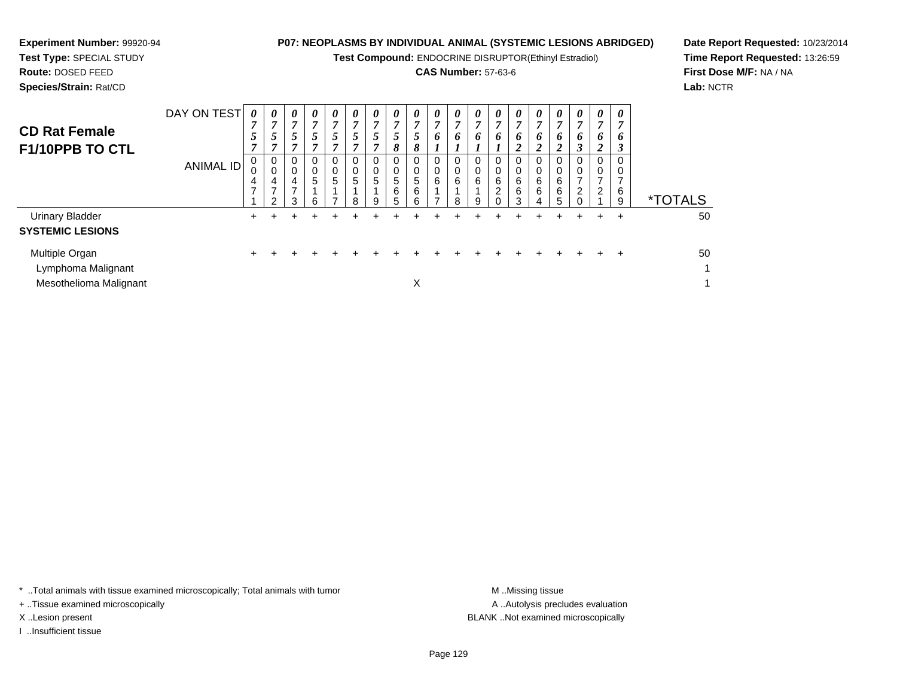**Test Compound:** ENDOCRINE DISRUPTOR(Ethinyl Estradiol)

# **CAS Number:** 57-63-6

**Date Report Requested:** 10/23/2014**Time Report Requested:** 13:26:59**First Dose M/F:** NA / NA**Lab:** NCTR

**Experiment Number:** 99920-94

| <b>CD Rat Female</b><br>F1/10PPB TO CTL                        | DAY ON TEST<br><b>ANIMAL ID</b> | 0<br>$\overline{ }$<br>5<br>7<br>0<br>0<br>4<br>$\overline{ }$ | $\theta$<br>5<br>4<br>$\mathcal{P}$ | $\boldsymbol{\theta}$<br>7<br>5 <sup>5</sup><br>7<br>0<br>$\pmb{0}$<br>4<br>$\overline{ }$<br>3 | 0<br>$\overline{7}$<br>5<br>7<br>0<br>$\begin{matrix}0\\5\end{matrix}$<br>6 | $\boldsymbol{\theta}$<br>$\mathbf{r}$<br>$\overline{5}$<br>$\overline{ }$<br>0<br>0<br>5 | 0<br>7<br>5<br>7<br>$\mathbf 0$<br>0<br>5<br>8 | 0<br>7<br>5<br>0<br>5<br>9 | $\boldsymbol{\theta}$<br>7<br>5<br>8<br>$\overline{0}$<br>0<br>5<br>6<br>5 | $\boldsymbol{\theta}$<br>$\overline{ }$<br>5<br>8<br>0<br>0<br>5<br>6<br>6 | 0<br>$\overline{7}$<br>6<br>0<br>$\pmb{0}$<br>6<br>⇁ | 0<br>7<br>6<br>0<br>0<br>6<br>8 | 0<br>7<br>6<br>0<br>0<br>6<br>9 | 0<br>6<br>6<br>2 | $\boldsymbol{\theta}$<br>7<br>6<br>2<br>0<br>0<br>6<br>6<br>3 | $\boldsymbol{\theta}$<br>7<br>6<br>$\boldsymbol{2}$<br>0<br>0<br>6<br>6<br>4 | 0<br>$\overline{ }$<br>6<br>2<br>0<br>6<br>6<br>5 | $\boldsymbol{\theta}$<br>7<br>6<br>3<br>0<br>0<br>$\overline{ }$<br>2 | $\boldsymbol{\theta}$<br>7<br>6<br>$\overline{2}$<br>0<br>0<br>$\overline{ }$<br>$\overline{\mathbf{c}}$ | 0<br>o<br>3<br>6<br>9 | <i><b>*TOTALS</b></i> |
|----------------------------------------------------------------|---------------------------------|----------------------------------------------------------------|-------------------------------------|-------------------------------------------------------------------------------------------------|-----------------------------------------------------------------------------|------------------------------------------------------------------------------------------|------------------------------------------------|----------------------------|----------------------------------------------------------------------------|----------------------------------------------------------------------------|------------------------------------------------------|---------------------------------|---------------------------------|------------------|---------------------------------------------------------------|------------------------------------------------------------------------------|---------------------------------------------------|-----------------------------------------------------------------------|----------------------------------------------------------------------------------------------------------|-----------------------|-----------------------|
| <b>Urinary Bladder</b><br><b>SYSTEMIC LESIONS</b>              |                                 | $\div$                                                         |                                     |                                                                                                 |                                                                             |                                                                                          |                                                |                            |                                                                            |                                                                            |                                                      |                                 |                                 |                  | ٠                                                             | ÷                                                                            |                                                   | +                                                                     | ÷                                                                                                        | $\pm$                 | 50                    |
| Multiple Organ<br>Lymphoma Malignant<br>Mesothelioma Malignant |                                 | $\div$                                                         |                                     |                                                                                                 |                                                                             | +                                                                                        |                                                |                            |                                                                            | X                                                                          |                                                      |                                 |                                 |                  |                                                               |                                                                              | $\pm$                                             | $\div$                                                                | $\div$                                                                                                   | $\div$                | 50<br>1<br>1          |

\* ..Total animals with tissue examined microscopically; Total animals with tumor **M** . Missing tissue M ..Missing tissue

+ ..Tissue examined microscopically

I ..Insufficient tissue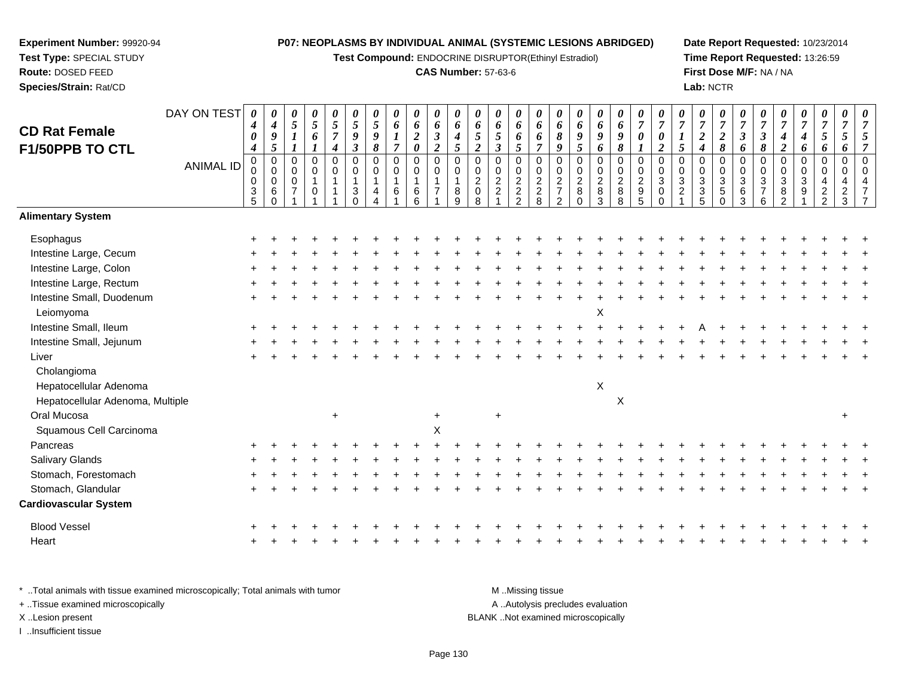**Test Compound:** ENDOCRINE DISRUPTOR(Ethinyl Estradiol)

# **CAS Number:** 57-63-6

**Date Report Requested:** 10/23/2014**Time Report Requested:** 13:26:59**First Dose M/F:** NA / NA**Lab:** NCTR

|                                  | DAY ON TEST      | 0<br>4                | 0<br>$\boldsymbol{4}$   | 0<br>5                        | 0<br>$\sqrt{5}$  | 0<br>$\sqrt{5}$            | $\boldsymbol{\theta}$<br>5 | 0<br>$\sqrt{5}$          | 0<br>6              | 0<br>6           | 0<br>$\pmb{6}$                | 0<br>$\pmb{6}$   | 0<br>6           | 0<br>6                     | 0<br>6           | 0<br>6                   | 0<br>6                           | 0<br>6                        | 0<br>6         | 0<br>6                    | 0<br>$\overline{7}$                   | 0<br>$\overline{7}$                | $\overline{7}$                | 0<br>$\overline{7}$ | 0<br>$\boldsymbol{7}$ | 0<br>$\overline{7}$  | 0<br>$\overline{7}$        | 0<br>$\overline{7}$      | 0<br>$\boldsymbol{7}$ | 0<br>$\boldsymbol{7}$             | 0<br>$\overline{7}$        |  |
|----------------------------------|------------------|-----------------------|-------------------------|-------------------------------|------------------|----------------------------|----------------------------|--------------------------|---------------------|------------------|-------------------------------|------------------|------------------|----------------------------|------------------|--------------------------|----------------------------------|-------------------------------|----------------|---------------------------|---------------------------------------|------------------------------------|-------------------------------|---------------------|-----------------------|----------------------|----------------------------|--------------------------|-----------------------|-----------------------------------|----------------------------|--|
| <b>CD Rat Female</b>             |                  | $\boldsymbol{\theta}$ | 9                       |                               | 6                | $\overline{7}$             | 9                          | 9                        | 1                   | $\boldsymbol{2}$ | $\boldsymbol{\beta}$          | $\boldsymbol{4}$ | 5                | 5                          | 6                | 6                        | $\pmb{8}$                        | 9                             | 9              | 9                         | 0                                     | $\boldsymbol{\theta}$              | $\boldsymbol{l}$              | $\overline{c}$      | $\boldsymbol{2}$      | $\boldsymbol{\beta}$ | $\boldsymbol{\beta}$       | 4                        | 4                     | 5                                 | 5                          |  |
| F1/50PPB TO CTL                  |                  | 4                     | 5                       |                               |                  | $\boldsymbol{4}$           | $\boldsymbol{\beta}$       | 8                        | $\overline{7}$      | $\pmb{\theta}$   | $\overline{2}$                | $\mathfrak{s}$   | $\overline{2}$   | $\boldsymbol{\beta}$       | 5                | $\overline{7}$           | 9                                | $\mathfrak{s}$                | 6              | 8                         |                                       | $\overline{2}$                     | $\mathfrak{s}$                | 4                   | $\pmb{8}$             | 6                    | 8                          | $\boldsymbol{2}$         | 6                     | 6                                 | 6                          |  |
|                                  | <b>ANIMAL ID</b> | $\mathbf 0$<br>0      | $\mathbf 0$<br>$\Omega$ | $\mathbf 0$<br>0              | $\mathbf 0$<br>0 | $\mathbf 0$<br>$\mathbf 0$ | $\mathbf 0$<br>0           | $\mathbf 0$<br>$\pmb{0}$ | $\overline{0}$<br>0 | $\mathbf 0$<br>0 | $\overline{0}$<br>$\mathbf 0$ | $\mathbf 0$<br>0 | $\mathbf 0$<br>0 | $\mathbf 0$<br>$\mathbf 0$ | 0<br>$\mathbf 0$ | $\mathbf 0$<br>$\pmb{0}$ | 0<br>0                           | $\overline{0}$<br>$\mathbf 0$ | 0<br>0         | $\mathbf 0$<br>$\pmb{0}$  | $\mathsf 0$<br>$\pmb{0}$              | $\mathbf 0$<br>$\mathsf{O}\xspace$ | $\overline{0}$<br>$\mathbf 0$ | 0<br>0              | $\mathbf 0$<br>0      | $\mathbf 0$<br>0     | $\mathbf 0$<br>$\mathbf 0$ | $\overline{0}$<br>0      | 0<br>0                | $\mathbf 0$<br>$\pmb{0}$          | $\mathsf 0$<br>$\mathbf 0$ |  |
|                                  |                  | 0                     | 0                       | $\mathbf 0$<br>$\overline{7}$ | 1                | $\mathbf{1}$               | 1                          | $\mathbf{1}$             | $\mathbf{1}$        | $\mathbf{1}$     | $\mathbf{1}$                  | $\mathbf{1}$     | $\overline{2}$   | $\overline{a}$             | $\overline{2}$   | $\overline{2}$           | $\sqrt{2}$                       | $\overline{2}$                | $\overline{c}$ | $\overline{2}$            | $\boldsymbol{2}$                      | $\sqrt{3}$                         | $\ensuremath{\mathsf{3}}$     | $\mathbf{3}$        | $\overline{3}$        | $\sqrt{3}$           | $\sqrt{3}$                 | $\sqrt{3}$               | $\sqrt{3}$            | $\overline{4}$                    | 4                          |  |
|                                  |                  | $\frac{3}{5}$         | 6<br>$\Omega$           |                               | 0                | 1                          | $\mathbf{3}$<br>$\Omega$   | 4                        | 6                   | 6<br>6           | $\overline{7}$                | 8<br>9           | $\mathsf 0$<br>8 | $\overline{a}$             | $\frac{2}{2}$    | $\frac{2}{8}$            | $\overline{7}$<br>$\overline{2}$ | $\bf 8$<br>$\Omega$           | 8<br>3         | $\bf 8$<br>8              | $\begin{array}{c} 9 \\ 5 \end{array}$ | $\mathbf 0$<br>$\Omega$            | $\overline{2}$                | $\mathbf{3}$<br>5   | 5<br>$\Omega$         | $\,6$<br>3           | $\overline{7}$<br>6        | $\,8\,$<br>$\mathcal{P}$ | 9                     | $\boldsymbol{2}$<br>$\mathcal{P}$ | $\overline{c}$<br>3        |  |
| <b>Alimentary System</b>         |                  |                       |                         |                               |                  |                            |                            |                          |                     |                  |                               |                  |                  |                            |                  |                          |                                  |                               |                |                           |                                       |                                    |                               |                     |                       |                      |                            |                          |                       |                                   |                            |  |
| Esophagus                        |                  |                       |                         |                               |                  |                            |                            |                          |                     |                  |                               |                  |                  |                            |                  |                          |                                  |                               |                |                           |                                       |                                    |                               |                     |                       |                      |                            |                          |                       |                                   |                            |  |
| Intestine Large, Cecum           |                  |                       |                         |                               |                  |                            |                            |                          |                     |                  |                               |                  |                  |                            |                  |                          |                                  |                               |                |                           |                                       |                                    |                               |                     |                       |                      |                            |                          |                       |                                   |                            |  |
| Intestine Large, Colon           |                  |                       |                         |                               |                  |                            |                            |                          |                     |                  |                               |                  |                  |                            |                  |                          |                                  |                               |                |                           |                                       |                                    |                               |                     |                       |                      |                            |                          |                       |                                   |                            |  |
| Intestine Large, Rectum          |                  |                       |                         |                               |                  |                            |                            |                          |                     |                  |                               |                  |                  |                            |                  |                          |                                  |                               |                |                           |                                       |                                    |                               |                     |                       |                      |                            |                          |                       |                                   |                            |  |
| Intestine Small, Duodenum        |                  |                       |                         |                               |                  |                            |                            |                          |                     |                  |                               |                  |                  |                            |                  |                          |                                  |                               |                |                           |                                       |                                    |                               |                     |                       |                      |                            |                          |                       |                                   |                            |  |
| Leiomyoma                        |                  |                       |                         |                               |                  |                            |                            |                          |                     |                  |                               |                  |                  |                            |                  |                          |                                  |                               | X              |                           |                                       |                                    |                               |                     |                       |                      |                            |                          |                       |                                   |                            |  |
| Intestine Small, Ileum           |                  |                       |                         |                               |                  |                            |                            |                          |                     |                  |                               |                  |                  |                            |                  |                          |                                  |                               |                |                           |                                       |                                    |                               |                     |                       |                      |                            |                          |                       |                                   |                            |  |
| Intestine Small, Jejunum         |                  |                       |                         |                               |                  |                            |                            |                          |                     |                  |                               |                  |                  |                            |                  |                          |                                  |                               |                |                           |                                       |                                    |                               |                     |                       |                      |                            |                          |                       |                                   |                            |  |
| Liver                            |                  |                       |                         |                               |                  |                            |                            |                          |                     |                  |                               |                  |                  |                            |                  |                          |                                  |                               |                |                           |                                       |                                    |                               |                     |                       |                      |                            |                          |                       |                                   |                            |  |
| Cholangioma                      |                  |                       |                         |                               |                  |                            |                            |                          |                     |                  |                               |                  |                  |                            |                  |                          |                                  |                               |                |                           |                                       |                                    |                               |                     |                       |                      |                            |                          |                       |                                   |                            |  |
| Hepatocellular Adenoma           |                  |                       |                         |                               |                  |                            |                            |                          |                     |                  |                               |                  |                  |                            |                  |                          |                                  |                               | X              |                           |                                       |                                    |                               |                     |                       |                      |                            |                          |                       |                                   |                            |  |
| Hepatocellular Adenoma, Multiple |                  |                       |                         |                               |                  |                            |                            |                          |                     |                  |                               |                  |                  |                            |                  |                          |                                  |                               |                | $\boldsymbol{\mathsf{X}}$ |                                       |                                    |                               |                     |                       |                      |                            |                          |                       |                                   |                            |  |
| Oral Mucosa                      |                  |                       |                         |                               |                  | $\ddot{}$                  |                            |                          |                     |                  |                               |                  |                  | $\ddot{}$                  |                  |                          |                                  |                               |                |                           |                                       |                                    |                               |                     |                       |                      |                            |                          |                       |                                   | $\ddot{}$                  |  |
| Squamous Cell Carcinoma          |                  |                       |                         |                               |                  |                            |                            |                          |                     |                  | $\boldsymbol{\mathsf{X}}$     |                  |                  |                            |                  |                          |                                  |                               |                |                           |                                       |                                    |                               |                     |                       |                      |                            |                          |                       |                                   |                            |  |
| Pancreas                         |                  |                       |                         |                               |                  |                            |                            |                          |                     |                  |                               |                  |                  |                            |                  |                          |                                  |                               |                |                           |                                       |                                    |                               |                     |                       |                      |                            |                          |                       |                                   |                            |  |
| Salivary Glands                  |                  |                       |                         |                               |                  |                            |                            |                          |                     |                  |                               |                  |                  |                            |                  |                          |                                  |                               |                |                           |                                       |                                    |                               |                     |                       |                      |                            |                          |                       |                                   |                            |  |
| Stomach, Forestomach             |                  |                       |                         |                               |                  |                            |                            |                          |                     |                  |                               |                  |                  |                            |                  |                          |                                  |                               |                |                           |                                       |                                    |                               |                     |                       |                      |                            |                          |                       |                                   |                            |  |
| Stomach, Glandular               |                  |                       |                         |                               |                  |                            |                            |                          |                     |                  |                               |                  |                  |                            |                  |                          |                                  |                               |                |                           |                                       |                                    |                               |                     |                       |                      |                            |                          |                       |                                   |                            |  |
| <b>Cardiovascular System</b>     |                  |                       |                         |                               |                  |                            |                            |                          |                     |                  |                               |                  |                  |                            |                  |                          |                                  |                               |                |                           |                                       |                                    |                               |                     |                       |                      |                            |                          |                       |                                   |                            |  |
| <b>Blood Vessel</b>              |                  |                       |                         |                               |                  |                            |                            |                          |                     |                  |                               |                  |                  |                            |                  |                          |                                  |                               |                |                           |                                       |                                    |                               |                     |                       |                      |                            |                          |                       |                                   |                            |  |
| Heart                            |                  |                       |                         |                               |                  |                            |                            |                          |                     |                  |                               |                  |                  |                            |                  |                          |                                  |                               |                |                           |                                       |                                    |                               |                     |                       |                      |                            |                          |                       |                                   |                            |  |
|                                  |                  |                       |                         |                               |                  |                            |                            |                          |                     |                  |                               |                  |                  |                            |                  |                          |                                  |                               |                |                           |                                       |                                    |                               |                     |                       |                      |                            |                          |                       |                                   |                            |  |

\* ..Total animals with tissue examined microscopically; Total animals with tumor **M** . Missing tissue M ..Missing tissue A ..Autolysis precludes evaluation + ..Tissue examined microscopically X ..Lesion present BLANK ..Not examined microscopicallyI ..Insufficient tissue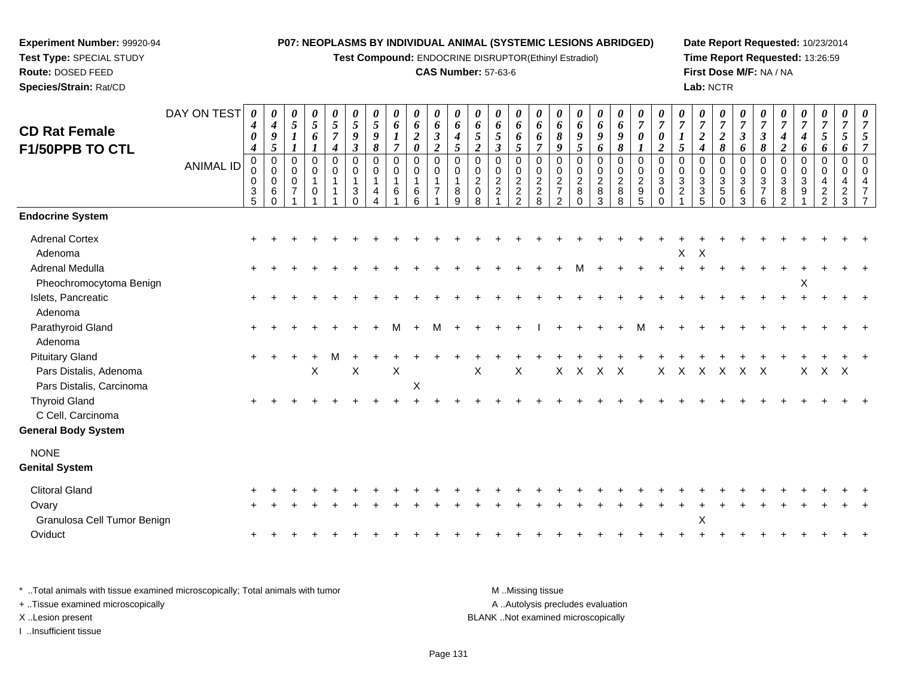**Test Compound:** ENDOCRINE DISRUPTOR(Ethinyl Estradiol)

# **CAS Number:** 57-63-6

**Date Report Requested:** 10/23/2014**Time Report Requested:** 13:26:59**First Dose M/F:** NA / NA**Lab:** NCTR

| <b>CD Rat Female</b>                                                         | DAY ON TEST      | 0<br>$\boldsymbol{4}$<br>$\boldsymbol{\theta}$<br>$\boldsymbol{4}$ | 0<br>$\boldsymbol{4}$<br>$\boldsymbol{g}$<br>5   | $\boldsymbol{\theta}$<br>5<br>$\boldsymbol{l}$ | 0<br>$\sqrt{5}$<br>6                        | $\frac{\theta}{5}$<br>$\overline{7}$<br>$\boldsymbol{4}$ | 0<br>5<br>9<br>$\mathfrak{z}$                 | 0<br>$\mathfrak{s}$<br>$\pmb{9}$<br>8 | 0<br>6<br>$\boldsymbol{l}$<br>$\overline{7}$ | 0<br>6<br>$\boldsymbol{2}$<br>$\boldsymbol{\theta}$                   | 0<br>6<br>$\boldsymbol{\beta}$<br>$\overline{2}$             | 0<br>6<br>$\boldsymbol{4}$<br>$\mathfrak{S}$ | 0<br>6<br>5<br>$\overline{2}$                     | 0<br>6<br>5<br>$\mathfrak{z}$                     | 0<br>6<br>6<br>$5\overline{)}$                             | 0<br>6<br>6<br>$\overline{7}$                              | $\boldsymbol{\theta}$<br>6<br>$\boldsymbol{\delta}$<br>9            | $\boldsymbol{\theta}$<br>6<br>9<br>$5\overline{)}$             | 0<br>6<br>9<br>6                                           | $\boldsymbol{\theta}$<br>6<br>9<br>8 | $\frac{\theta}{7}$<br>$\pmb{\theta}$<br>$\boldsymbol{l}$                           | $\boldsymbol{\theta}$<br>$\overline{7}$<br>$\boldsymbol{\theta}$<br>$\overline{2}$ | $\overline{7}$<br>$\boldsymbol{l}$<br>5                                | 0<br>$\overline{7}$<br>$\overline{a}$<br>$\boldsymbol{4}$   | $\frac{\boldsymbol{\theta}}{\boldsymbol{7}}$<br>$\boldsymbol{2}$<br>8   | $\boldsymbol{\theta}$<br>$\overline{7}$<br>$\mathfrak{z}$<br>6 | $\boldsymbol{\theta}$<br>$\overline{7}$<br>$\mathfrak{z}$<br>8    | $\overline{7}$<br>4<br>$\overline{2}$                             | $\frac{\bm{\theta}}{\bm{7}}$<br>4<br>6 | $\boldsymbol{\theta}$<br>$\overline{7}$<br>$\mathfrak{s}$<br>6   | 0<br>$\overline{7}$<br>$5\overline{)}$<br>6      | $\frac{\theta}{7}$ |
|------------------------------------------------------------------------------|------------------|--------------------------------------------------------------------|--------------------------------------------------|------------------------------------------------|---------------------------------------------|----------------------------------------------------------|-----------------------------------------------|---------------------------------------|----------------------------------------------|-----------------------------------------------------------------------|--------------------------------------------------------------|----------------------------------------------|---------------------------------------------------|---------------------------------------------------|------------------------------------------------------------|------------------------------------------------------------|---------------------------------------------------------------------|----------------------------------------------------------------|------------------------------------------------------------|--------------------------------------|------------------------------------------------------------------------------------|------------------------------------------------------------------------------------|------------------------------------------------------------------------|-------------------------------------------------------------|-------------------------------------------------------------------------|----------------------------------------------------------------|-------------------------------------------------------------------|-------------------------------------------------------------------|----------------------------------------|------------------------------------------------------------------|--------------------------------------------------|--------------------|
| F1/50PPB TO CTL                                                              | <b>ANIMAL ID</b> | $\Omega$<br>0<br>0<br>$\frac{3}{5}$                                | $\mathbf 0$<br>$\mathbf 0$<br>0<br>6<br>$\Omega$ | $\Omega$<br>$\mathbf 0$<br>$\mathbf 0$         | $\Omega$<br>$\mathbf 0$<br>$\mathbf 1$<br>0 | $\Omega$<br>0<br>$\mathbf{1}$<br>1                       | $\Omega$<br>$\mathbf 0$<br>1<br>3<br>$\Omega$ | $\Omega$<br>$\mathbf 0$<br>4          | $\mathbf 0$<br>0<br>6                        | $\mathbf 0$<br>$\mathbf 0$<br>$\overline{\mathbf{1}}$<br>$\,6\,$<br>6 | $\mathbf 0$<br>$\mathbf 0$<br>$\mathbf{1}$<br>$\overline{7}$ | $\Omega$<br>$\mathbf 0$<br>1<br>$\bf 8$<br>9 | $\Omega$<br>0<br>$\overline{c}$<br>$\pmb{0}$<br>8 | $\Omega$<br>0<br>$\overline{c}$<br>$\overline{c}$ | $\Omega$<br>$\mathbf 0$<br>$\overline{2}$<br>$\frac{2}{2}$ | $\Omega$<br>$\mathbf 0$<br>$\overline{c}$<br>$\frac{2}{8}$ | $\Omega$<br>0<br>$\overline{c}$<br>$\overline{7}$<br>$\overline{2}$ | $\Omega$<br>$\pmb{0}$<br>$\overline{2}$<br>$\bf 8$<br>$\Omega$ | $\mathbf 0$<br>$\pmb{0}$<br>$\overline{c}$<br>$\bf 8$<br>3 | 0<br>0<br>$\overline{c}$<br>$_{8}^8$ | $\Omega$<br>$\pmb{0}$<br>$\boldsymbol{2}$<br>$\begin{array}{c} 9 \\ 5 \end{array}$ | $\Omega$<br>0<br>3<br>$\pmb{0}$<br>$\Omega$                                        | $\Omega$<br>$\mathbf 0$<br>$\ensuremath{\mathsf{3}}$<br>$\overline{c}$ | $\Omega$<br>0<br>$\ensuremath{\mathsf{3}}$<br>$\frac{3}{5}$ | $\Omega$<br>0<br>$\ensuremath{\mathsf{3}}$<br>$\sqrt{5}$<br>$\mathbf 0$ | $\Omega$<br>$\mathbf 0$<br>$\mathbf{3}$<br>$\,6\,$<br>3        | $\Omega$<br>0<br>$\ensuremath{\mathsf{3}}$<br>$\overline{7}$<br>6 | $\Omega$<br>0<br>$\ensuremath{\mathsf{3}}$<br>8<br>$\mathfrak{p}$ | 0<br>0<br>3<br>9                       | $\Omega$<br>$\mathbf 0$<br>4<br>$\overline{c}$<br>$\overline{2}$ | $\mathbf 0$<br>$\mathbf 0$<br>4<br>$\frac{2}{3}$ |                    |
| <b>Endocrine System</b>                                                      |                  |                                                                    |                                                  |                                                |                                             |                                                          |                                               |                                       |                                              |                                                                       |                                                              |                                              |                                                   |                                                   |                                                            |                                                            |                                                                     |                                                                |                                                            |                                      |                                                                                    |                                                                                    |                                                                        |                                                             |                                                                         |                                                                |                                                                   |                                                                   |                                        |                                                                  |                                                  |                    |
| <b>Adrenal Cortex</b><br>Adenoma                                             |                  |                                                                    |                                                  |                                                |                                             |                                                          |                                               |                                       |                                              |                                                                       |                                                              |                                              |                                                   |                                                   |                                                            |                                                            |                                                                     |                                                                |                                                            |                                      |                                                                                    |                                                                                    | X                                                                      | X                                                           |                                                                         |                                                                |                                                                   |                                                                   |                                        |                                                                  |                                                  |                    |
| <b>Adrenal Medulla</b><br>Pheochromocytoma Benign                            |                  |                                                                    |                                                  |                                                |                                             |                                                          |                                               |                                       |                                              |                                                                       |                                                              |                                              |                                                   |                                                   |                                                            |                                                            |                                                                     |                                                                |                                                            |                                      |                                                                                    |                                                                                    |                                                                        |                                                             |                                                                         |                                                                |                                                                   |                                                                   | X                                      |                                                                  |                                                  |                    |
| Islets, Pancreatic<br>Adenoma                                                |                  |                                                                    |                                                  |                                                |                                             |                                                          |                                               |                                       |                                              |                                                                       |                                                              |                                              |                                                   |                                                   |                                                            |                                                            |                                                                     |                                                                |                                                            |                                      |                                                                                    |                                                                                    |                                                                        |                                                             |                                                                         |                                                                |                                                                   |                                                                   |                                        |                                                                  |                                                  |                    |
| Parathyroid Gland<br>Adenoma                                                 |                  |                                                                    |                                                  |                                                |                                             |                                                          |                                               |                                       | м                                            |                                                                       | м                                                            |                                              |                                                   |                                                   |                                                            |                                                            |                                                                     |                                                                |                                                            |                                      |                                                                                    |                                                                                    |                                                                        |                                                             |                                                                         |                                                                |                                                                   |                                                                   |                                        |                                                                  |                                                  |                    |
| <b>Pituitary Gland</b><br>Pars Distalis, Adenoma<br>Pars Distalis, Carcinoma |                  |                                                                    |                                                  |                                                | $\mathsf X$                                 | м                                                        | X                                             |                                       | X                                            | $\mathsf X$                                                           |                                                              |                                              | X                                                 |                                                   | X                                                          |                                                            | Χ                                                                   | $\times$                                                       | X X                                                        |                                      |                                                                                    | X                                                                                  | $\mathsf{X}$                                                           | $\mathsf{X}$                                                | $\mathsf{X}$                                                            | X                                                              | $\mathsf{X}$                                                      |                                                                   | X                                      | X X                                                              |                                                  |                    |
| <b>Thyroid Gland</b><br>C Cell, Carcinoma                                    |                  |                                                                    |                                                  |                                                |                                             |                                                          |                                               |                                       |                                              |                                                                       |                                                              |                                              |                                                   |                                                   |                                                            |                                                            |                                                                     |                                                                |                                                            |                                      |                                                                                    |                                                                                    |                                                                        |                                                             |                                                                         |                                                                |                                                                   |                                                                   |                                        |                                                                  |                                                  |                    |
| <b>General Body System</b>                                                   |                  |                                                                    |                                                  |                                                |                                             |                                                          |                                               |                                       |                                              |                                                                       |                                                              |                                              |                                                   |                                                   |                                                            |                                                            |                                                                     |                                                                |                                                            |                                      |                                                                                    |                                                                                    |                                                                        |                                                             |                                                                         |                                                                |                                                                   |                                                                   |                                        |                                                                  |                                                  |                    |
| <b>NONE</b><br><b>Genital System</b>                                         |                  |                                                                    |                                                  |                                                |                                             |                                                          |                                               |                                       |                                              |                                                                       |                                                              |                                              |                                                   |                                                   |                                                            |                                                            |                                                                     |                                                                |                                                            |                                      |                                                                                    |                                                                                    |                                                                        |                                                             |                                                                         |                                                                |                                                                   |                                                                   |                                        |                                                                  |                                                  |                    |
| <b>Clitoral Gland</b>                                                        |                  |                                                                    |                                                  |                                                |                                             |                                                          |                                               |                                       |                                              |                                                                       |                                                              |                                              |                                                   |                                                   |                                                            |                                                            |                                                                     |                                                                |                                                            |                                      |                                                                                    |                                                                                    |                                                                        |                                                             |                                                                         |                                                                |                                                                   |                                                                   |                                        |                                                                  |                                                  |                    |
| Ovary<br>Granulosa Cell Tumor Benign                                         |                  |                                                                    |                                                  |                                                |                                             |                                                          |                                               |                                       |                                              |                                                                       |                                                              |                                              |                                                   |                                                   |                                                            |                                                            |                                                                     |                                                                |                                                            |                                      |                                                                                    |                                                                                    |                                                                        | X                                                           |                                                                         |                                                                |                                                                   |                                                                   |                                        |                                                                  |                                                  |                    |
| Oviduct                                                                      |                  |                                                                    |                                                  |                                                |                                             |                                                          |                                               |                                       |                                              |                                                                       |                                                              |                                              |                                                   |                                                   |                                                            |                                                            |                                                                     |                                                                |                                                            |                                      |                                                                                    |                                                                                    |                                                                        |                                                             |                                                                         |                                                                |                                                                   |                                                                   |                                        |                                                                  |                                                  |                    |

\* ..Total animals with tissue examined microscopically; Total animals with tumor **M** . Missing tissue M ..Missing tissue A ..Autolysis precludes evaluation + ..Tissue examined microscopically X ..Lesion present BLANK ..Not examined microscopicallyI ..Insufficient tissue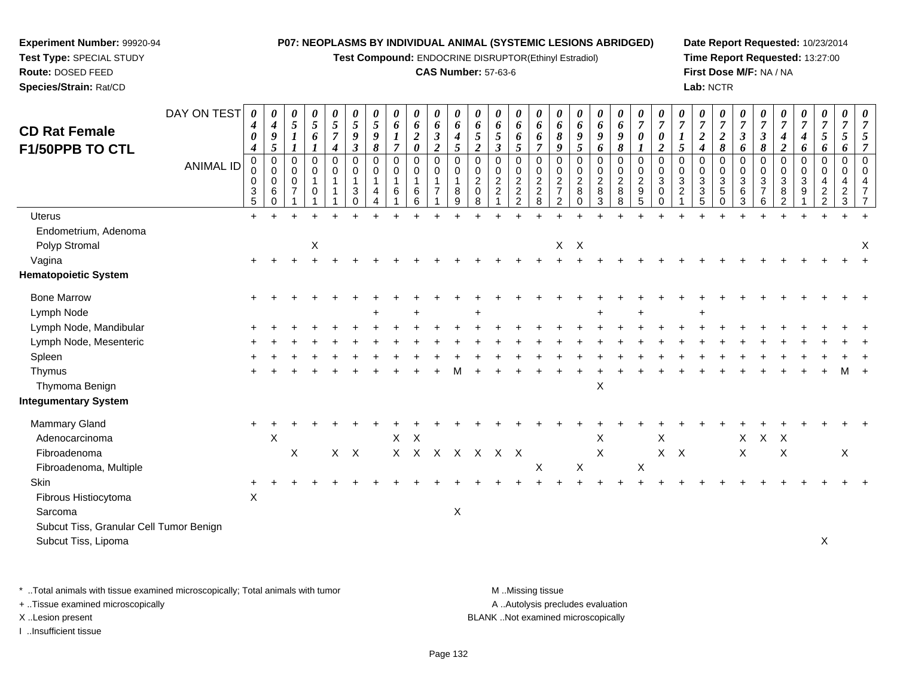**Test Compound:** ENDOCRINE DISRUPTOR(Ethinyl Estradiol)

# **CAS Number:** 57-63-6

**Date Report Requested:** 10/23/2014**Time Report Requested:** 13:27:00**First Dose M/F:** NA / NA**Lab:** NCTR

| <b>CD Rat Female</b>                    | DAY ON TEST      | 0<br>$\boldsymbol{4}$<br>$\pmb{\theta}$                      | 0<br>$\boldsymbol{4}$<br>$\boldsymbol{g}$                          | 0<br>$\mathfrak{s}$<br>$\boldsymbol{l}$      | 0<br>5<br>6                | $\frac{\theta}{5}$<br>$\overline{7}$      | $\boldsymbol{\theta}$<br>$\mathfrak{s}$<br>$\boldsymbol{9}$ | 0<br>$\mathfrak{s}$<br>9             | 0<br>$\boldsymbol{6}$<br>$\boldsymbol{l}$    | 0<br>6<br>$\boldsymbol{2}$                                         | 0<br>6<br>$\mathfrak{z}$                                   | 0<br>6<br>$\boldsymbol{4}$      | 0<br>6<br>$\mathfrak{s}$                                                           | 0<br>6<br>$\sqrt{5}$                                                     | 0<br>6<br>6                                                                                 | 0<br>6<br>6                                                                      | $\boldsymbol{\theta}$<br>6<br>$\pmb{8}$                                       | 0<br>6<br>9                                                                                    | 0<br>6<br>9                                              | 0<br>6<br>9                                                 | $\frac{\boldsymbol{\theta}}{\boldsymbol{7}}$<br>$\pmb{\theta}$ | $\overline{7}$<br>$\pmb{\theta}$                            | $\overline{7}$                            | 0<br>$\overline{7}$<br>$\boldsymbol{2}$ | $\boldsymbol{\theta}$<br>$\overline{7}$<br>$\boldsymbol{2}$             | 0<br>$\overline{7}$<br>$\boldsymbol{\beta}$ | $\overline{7}$<br>$\boldsymbol{\beta}$            | $\overline{7}$<br>$\boldsymbol{4}$                           | 0<br>$\overline{7}$<br>4                       | 0<br>$\overline{7}$<br>$\mathfrak{s}$                                                      | 0<br>$\overline{7}$<br>$\mathfrak{s}$       |                                            |
|-----------------------------------------|------------------|--------------------------------------------------------------|--------------------------------------------------------------------|----------------------------------------------|----------------------------|-------------------------------------------|-------------------------------------------------------------|--------------------------------------|----------------------------------------------|--------------------------------------------------------------------|------------------------------------------------------------|---------------------------------|------------------------------------------------------------------------------------|--------------------------------------------------------------------------|---------------------------------------------------------------------------------------------|----------------------------------------------------------------------------------|-------------------------------------------------------------------------------|------------------------------------------------------------------------------------------------|----------------------------------------------------------|-------------------------------------------------------------|----------------------------------------------------------------|-------------------------------------------------------------|-------------------------------------------|-----------------------------------------|-------------------------------------------------------------------------|---------------------------------------------|---------------------------------------------------|--------------------------------------------------------------|------------------------------------------------|--------------------------------------------------------------------------------------------|---------------------------------------------|--------------------------------------------|
| F1/50PPB TO CTL                         | <b>ANIMAL ID</b> | $\boldsymbol{4}$<br>$\mathbf 0$<br>0<br>0<br>3<br>$\sqrt{5}$ | $\mathfrak{s}$<br>$\mathbf 0$<br>$\mathbf 0$<br>0<br>6<br>$\Omega$ | 1<br>0<br>$\mathbf 0$<br>0<br>$\overline{7}$ | 0<br>$\mathbf 0$<br>1<br>0 | $\boldsymbol{4}$<br>0<br>0<br>$\mathbf 1$ | $\boldsymbol{\beta}$<br>$\mathbf 0$<br>0<br>3<br>$\Omega$   | 8<br>$\mathbf 0$<br>$\mathbf 0$<br>4 | $\overline{7}$<br>$\mathbf 0$<br>0<br>1<br>6 | $\boldsymbol{\theta}$<br>$\mathbf 0$<br>$\mathbf 0$<br>1<br>6<br>6 | $\overline{2}$<br>0<br>0<br>$\mathbf{1}$<br>$\overline{7}$ | 5<br>$\mathbf 0$<br>0<br>8<br>9 | $\overline{2}$<br>$\mathbf 0$<br>$\mathbf 0$<br>$\overline{2}$<br>$\mathbf 0$<br>8 | $\mathfrak{z}$<br>0<br>$\mathbf 0$<br>$\overline{c}$<br>$\boldsymbol{2}$ | $5\overline{)}$<br>$\mathbf 0$<br>0<br>$\overline{c}$<br>$\boldsymbol{2}$<br>$\overline{2}$ | $\overline{7}$<br>$\mathbf 0$<br>0<br>$\begin{array}{c} 2 \\ 2 \\ 8 \end{array}$ | 9<br>$\mathbf 0$<br>0<br>$\boldsymbol{2}$<br>$\overline{7}$<br>$\overline{2}$ | $\mathfrak{s}$<br>$\mathbf 0$<br>$\begin{smallmatrix} 0\\2 \end{smallmatrix}$<br>8<br>$\Omega$ | 6<br>0<br>0<br>$\overline{c}$<br>$\bf 8$<br>$\mathbf{3}$ | 8<br>$\mathbf 0$<br>$\mathbf 0$<br>$\overline{c}$<br>8<br>8 | $\mathbf 0$<br>0<br>$\frac{2}{9}$<br>5                         | $\boldsymbol{2}$<br>$\mathbf 0$<br>0<br>3<br>0<br>$\pmb{0}$ | 5<br>$\mathbf 0$<br>$\mathbf 0$<br>3<br>2 | 4<br>0<br>0<br>3<br>3<br>5              | 8<br>$\mathbf 0$<br>$\mathbf 0$<br>$\sqrt{3}$<br>$\sqrt{5}$<br>$\Omega$ | 6<br>$\mathbf 0$<br>0<br>3<br>6<br>3        | 8<br>$\mathbf 0$<br>0<br>3<br>$\overline{7}$<br>6 | $\boldsymbol{2}$<br>$\mathbf 0$<br>0<br>$\sqrt{3}$<br>8<br>2 | 6<br>$\mathbf 0$<br>0<br>3<br>$\boldsymbol{9}$ | 6<br>$\overline{0}$<br>$\mathbf 0$<br>$\overline{4}$<br>$\boldsymbol{2}$<br>$\overline{c}$ | 6<br>$\mathbf 0$<br>0<br>4<br>$\frac{2}{3}$ | $\overline{7}$<br>$\mathbf{0}$<br>$\Omega$ |
| <b>Uterus</b>                           |                  | $\ddot{}$                                                    |                                                                    |                                              |                            |                                           |                                                             |                                      |                                              |                                                                    |                                                            |                                 |                                                                                    |                                                                          |                                                                                             |                                                                                  |                                                                               |                                                                                                |                                                          |                                                             |                                                                |                                                             |                                           |                                         |                                                                         |                                             |                                                   |                                                              |                                                |                                                                                            |                                             |                                            |
| Endometrium, Adenoma<br>Polyp Stromal   |                  |                                                              |                                                                    |                                              | X                          |                                           |                                                             |                                      |                                              |                                                                    |                                                            |                                 |                                                                                    |                                                                          |                                                                                             |                                                                                  | X                                                                             | $\boldsymbol{\mathsf{X}}$                                                                      |                                                          |                                                             |                                                                |                                                             |                                           |                                         |                                                                         |                                             |                                                   |                                                              |                                                |                                                                                            |                                             | X                                          |
| Vagina                                  |                  | $\ddot{}$                                                    |                                                                    |                                              |                            |                                           |                                                             |                                      |                                              |                                                                    |                                                            |                                 |                                                                                    |                                                                          |                                                                                             |                                                                                  |                                                                               |                                                                                                |                                                          |                                                             |                                                                |                                                             |                                           |                                         |                                                                         |                                             |                                                   |                                                              |                                                |                                                                                            |                                             |                                            |
| <b>Hematopoietic System</b>             |                  |                                                              |                                                                    |                                              |                            |                                           |                                                             |                                      |                                              |                                                                    |                                                            |                                 |                                                                                    |                                                                          |                                                                                             |                                                                                  |                                                                               |                                                                                                |                                                          |                                                             |                                                                |                                                             |                                           |                                         |                                                                         |                                             |                                                   |                                                              |                                                |                                                                                            |                                             |                                            |
| <b>Bone Marrow</b>                      |                  |                                                              |                                                                    |                                              |                            |                                           |                                                             |                                      |                                              |                                                                    |                                                            |                                 |                                                                                    |                                                                          |                                                                                             |                                                                                  |                                                                               |                                                                                                |                                                          |                                                             |                                                                |                                                             |                                           |                                         |                                                                         |                                             |                                                   |                                                              |                                                |                                                                                            |                                             |                                            |
| Lymph Node                              |                  |                                                              |                                                                    |                                              |                            |                                           |                                                             |                                      |                                              |                                                                    |                                                            |                                 |                                                                                    |                                                                          |                                                                                             |                                                                                  |                                                                               |                                                                                                |                                                          |                                                             |                                                                |                                                             |                                           |                                         |                                                                         |                                             |                                                   |                                                              |                                                |                                                                                            |                                             |                                            |
| Lymph Node, Mandibular                  |                  |                                                              |                                                                    |                                              |                            |                                           |                                                             |                                      |                                              |                                                                    |                                                            |                                 |                                                                                    |                                                                          |                                                                                             |                                                                                  |                                                                               |                                                                                                |                                                          |                                                             |                                                                |                                                             |                                           |                                         |                                                                         |                                             |                                                   |                                                              |                                                |                                                                                            |                                             |                                            |
| Lymph Node, Mesenteric                  |                  |                                                              |                                                                    |                                              |                            |                                           |                                                             |                                      |                                              |                                                                    |                                                            |                                 |                                                                                    |                                                                          |                                                                                             |                                                                                  |                                                                               |                                                                                                |                                                          |                                                             |                                                                |                                                             |                                           |                                         |                                                                         |                                             |                                                   |                                                              |                                                |                                                                                            |                                             |                                            |
| Spleen                                  |                  |                                                              |                                                                    |                                              |                            |                                           |                                                             |                                      |                                              |                                                                    |                                                            |                                 |                                                                                    |                                                                          |                                                                                             |                                                                                  |                                                                               |                                                                                                |                                                          |                                                             |                                                                |                                                             |                                           |                                         |                                                                         |                                             |                                                   |                                                              |                                                |                                                                                            |                                             |                                            |
| Thymus<br>Thymoma Benign                |                  |                                                              |                                                                    |                                              |                            |                                           |                                                             |                                      |                                              |                                                                    |                                                            |                                 |                                                                                    |                                                                          |                                                                                             |                                                                                  |                                                                               |                                                                                                | $\mathsf X$                                              |                                                             |                                                                |                                                             |                                           |                                         |                                                                         |                                             |                                                   |                                                              |                                                |                                                                                            |                                             |                                            |
| <b>Integumentary System</b>             |                  |                                                              |                                                                    |                                              |                            |                                           |                                                             |                                      |                                              |                                                                    |                                                            |                                 |                                                                                    |                                                                          |                                                                                             |                                                                                  |                                                                               |                                                                                                |                                                          |                                                             |                                                                |                                                             |                                           |                                         |                                                                         |                                             |                                                   |                                                              |                                                |                                                                                            |                                             |                                            |
| <b>Mammary Gland</b>                    |                  |                                                              |                                                                    |                                              |                            |                                           |                                                             |                                      |                                              |                                                                    |                                                            |                                 |                                                                                    |                                                                          |                                                                                             |                                                                                  |                                                                               |                                                                                                |                                                          |                                                             |                                                                |                                                             |                                           |                                         |                                                                         |                                             |                                                   |                                                              |                                                |                                                                                            |                                             |                                            |
| Adenocarcinoma                          |                  |                                                              | X                                                                  |                                              |                            |                                           |                                                             |                                      |                                              | $X$ $X$                                                            |                                                            |                                 |                                                                                    |                                                                          |                                                                                             |                                                                                  |                                                                               |                                                                                                | X                                                        |                                                             |                                                                | X                                                           |                                           |                                         |                                                                         | X                                           | X X                                               |                                                              |                                                |                                                                                            |                                             |                                            |
| Fibroadenoma                            |                  |                                                              |                                                                    | X                                            |                            | X                                         | $\mathsf{X}$                                                |                                      |                                              |                                                                    | X X X X X X X                                              |                                 |                                                                                    |                                                                          |                                                                                             |                                                                                  |                                                                               |                                                                                                | X                                                        |                                                             |                                                                | $X$ $X$                                                     |                                           |                                         |                                                                         | X                                           |                                                   | X                                                            |                                                |                                                                                            | X                                           |                                            |
| Fibroadenoma, Multiple                  |                  |                                                              |                                                                    |                                              |                            |                                           |                                                             |                                      |                                              |                                                                    |                                                            |                                 |                                                                                    |                                                                          |                                                                                             | X                                                                                |                                                                               | $\sf X$                                                                                        |                                                          |                                                             | $\boldsymbol{\mathsf{X}}$                                      |                                                             |                                           |                                         |                                                                         |                                             |                                                   |                                                              |                                                |                                                                                            |                                             |                                            |
| <b>Skin</b>                             |                  |                                                              |                                                                    |                                              |                            |                                           |                                                             |                                      |                                              |                                                                    |                                                            |                                 |                                                                                    |                                                                          |                                                                                             |                                                                                  |                                                                               |                                                                                                |                                                          |                                                             |                                                                |                                                             |                                           |                                         |                                                                         |                                             |                                                   |                                                              |                                                |                                                                                            |                                             |                                            |
| Fibrous Histiocytoma                    |                  | $\mathsf X$                                                  |                                                                    |                                              |                            |                                           |                                                             |                                      |                                              |                                                                    |                                                            |                                 |                                                                                    |                                                                          |                                                                                             |                                                                                  |                                                                               |                                                                                                |                                                          |                                                             |                                                                |                                                             |                                           |                                         |                                                                         |                                             |                                                   |                                                              |                                                |                                                                                            |                                             |                                            |
| Sarcoma                                 |                  |                                                              |                                                                    |                                              |                            |                                           |                                                             |                                      |                                              |                                                                    |                                                            | X                               |                                                                                    |                                                                          |                                                                                             |                                                                                  |                                                                               |                                                                                                |                                                          |                                                             |                                                                |                                                             |                                           |                                         |                                                                         |                                             |                                                   |                                                              |                                                |                                                                                            |                                             |                                            |
| Subcut Tiss, Granular Cell Tumor Benign |                  |                                                              |                                                                    |                                              |                            |                                           |                                                             |                                      |                                              |                                                                    |                                                            |                                 |                                                                                    |                                                                          |                                                                                             |                                                                                  |                                                                               |                                                                                                |                                                          |                                                             |                                                                |                                                             |                                           |                                         |                                                                         |                                             |                                                   |                                                              |                                                |                                                                                            |                                             |                                            |
| Subcut Tiss, Lipoma                     |                  |                                                              |                                                                    |                                              |                            |                                           |                                                             |                                      |                                              |                                                                    |                                                            |                                 |                                                                                    |                                                                          |                                                                                             |                                                                                  |                                                                               |                                                                                                |                                                          |                                                             |                                                                |                                                             |                                           |                                         |                                                                         |                                             |                                                   |                                                              |                                                | X                                                                                          |                                             |                                            |
|                                         |                  |                                                              |                                                                    |                                              |                            |                                           |                                                             |                                      |                                              |                                                                    |                                                            |                                 |                                                                                    |                                                                          |                                                                                             |                                                                                  |                                                                               |                                                                                                |                                                          |                                                             |                                                                |                                                             |                                           |                                         |                                                                         |                                             |                                                   |                                                              |                                                |                                                                                            |                                             |                                            |

\* ..Total animals with tissue examined microscopically; Total animals with tumor **M** . Missing tissue M ..Missing tissue

+ ..Tissue examined microscopically

**Experiment Number:** 99920-94**Test Type:** SPECIAL STUDY**Route:** DOSED FEED**Species/Strain:** Rat/CD

I ..Insufficient tissue

A ..Autolysis precludes evaluation

X ..Lesion present BLANK ..Not examined microscopically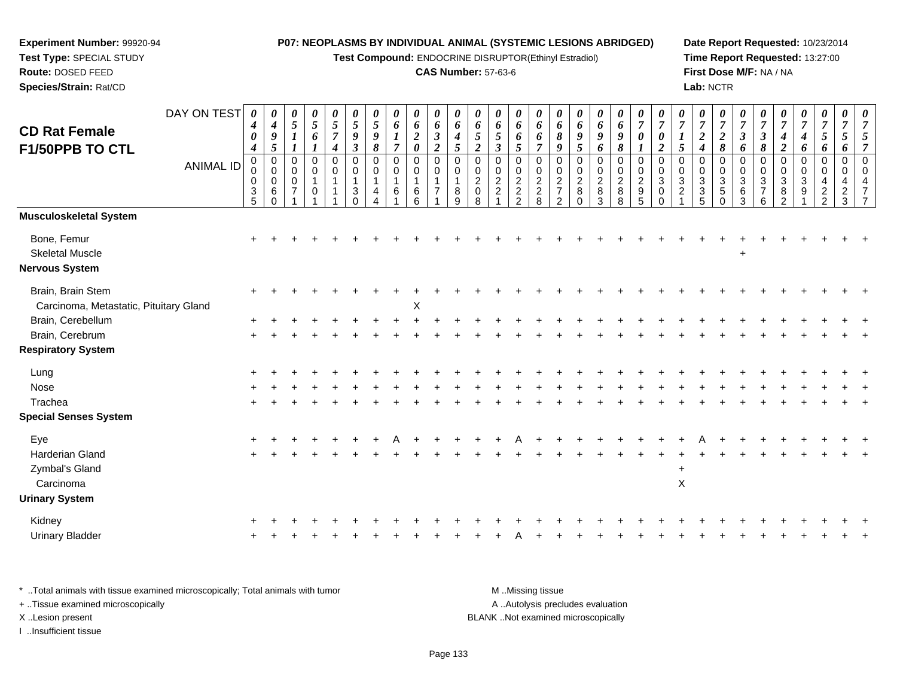**Test Compound:** ENDOCRINE DISRUPTOR(Ethinyl Estradiol)

# **CAS Number:** 57-63-6

**Date Report Requested:** 10/23/2014 **Time Report Requested:** 13:27:00**First Dose M/F:** NA / NA**Lab:** NCTR

| <b>CD Rat Female</b>                                           | DAY ON TEST      | 0<br>$\boldsymbol{4}$                      | 0<br>$\boldsymbol{4}$                        | 0<br>$\sqrt{5}$                         | $\boldsymbol{\theta}$<br>$\sqrt{5}$ | 0<br>$\overline{5}$                   | $\boldsymbol{\theta}$<br>5                      | 0<br>$\mathfrak{s}$                  | 0<br>$\boldsymbol{6}$              | 0<br>6                                | 0<br>6                                                       | $\boldsymbol{\theta}$<br>6                           | $\boldsymbol{\theta}$<br>6                                     | 0<br>6                                                        | 0<br>6                                      | 0<br>6                                      | $\boldsymbol{\theta}$<br>6                                         | 0<br>6                                                                | $\boldsymbol{\theta}$<br>6                          | $\boldsymbol{\theta}$<br>6                                   | 0<br>$\overline{7}$                                                   | $\boldsymbol{\theta}$<br>$\overline{7}$ | $\boldsymbol{\theta}$<br>$\overline{7}$           | 0<br>$\overline{7}$                                       | $\boldsymbol{\theta}$<br>$\overline{7}$                    | $\boldsymbol{\theta}$<br>$\overline{7}$          | $\overline{7}$                                                    | $\boldsymbol{\theta}$<br>$\overline{7}$ | 0<br>$\overline{7}$         | 0<br>$\overline{7}$                                         | 0<br>$\overline{7}$                    | 0<br>$\overline{7}$                                                        |
|----------------------------------------------------------------|------------------|--------------------------------------------|----------------------------------------------|-----------------------------------------|-------------------------------------|---------------------------------------|-------------------------------------------------|--------------------------------------|------------------------------------|---------------------------------------|--------------------------------------------------------------|------------------------------------------------------|----------------------------------------------------------------|---------------------------------------------------------------|---------------------------------------------|---------------------------------------------|--------------------------------------------------------------------|-----------------------------------------------------------------------|-----------------------------------------------------|--------------------------------------------------------------|-----------------------------------------------------------------------|-----------------------------------------|---------------------------------------------------|-----------------------------------------------------------|------------------------------------------------------------|--------------------------------------------------|-------------------------------------------------------------------|-----------------------------------------|-----------------------------|-------------------------------------------------------------|----------------------------------------|----------------------------------------------------------------------------|
| F1/50PPB TO CTL                                                |                  | 0<br>4                                     | $\pmb{9}$<br>5                               | $\boldsymbol{l}$                        | 6                                   | $\overline{7}$<br>$\boldsymbol{4}$    | $\boldsymbol{9}$<br>$\boldsymbol{\beta}$        | 9<br>8                               | $\boldsymbol{l}$<br>$\overline{7}$ | $\boldsymbol{2}$<br>$\pmb{\theta}$    | $\mathfrak{z}$<br>$\overline{2}$                             | $\boldsymbol{4}$<br>5                                | $\overline{5}$<br>$\overline{2}$                               | 5<br>$\boldsymbol{\beta}$                                     | 6<br>$\mathfrak{s}$                         | 6<br>$\overline{7}$                         | 8<br>9                                                             | $\boldsymbol{g}$<br>$\mathfrak{s}$                                    | $\boldsymbol{g}$<br>6                               | $\boldsymbol{g}$<br>$\pmb{8}$                                | $\boldsymbol{\theta}$                                                 | $\boldsymbol{\theta}$<br>$\overline{c}$ | 5                                                 | $\boldsymbol{2}$<br>$\boldsymbol{4}$                      | $\boldsymbol{2}$<br>$\pmb{8}$                              | $\boldsymbol{\beta}$<br>6                        | $\boldsymbol{\beta}$<br>8                                         | $\boldsymbol{4}$<br>$\boldsymbol{2}$    | $\boldsymbol{4}$<br>6       | $\mathfrak{s}$<br>6                                         | $\mathfrak{H}$<br>6                    | 5<br>$\overline{7}$                                                        |
|                                                                | <b>ANIMAL ID</b> | 0<br>0<br>$\mathbf 0$<br>$\mathbf{3}$<br>5 | $\mathbf 0$<br>0<br>0<br>$\,6\,$<br>$\Omega$ | 0<br>0<br>$\mathbf 0$<br>$\overline{7}$ | $\mathbf 0$<br>0<br>$\Omega$        | $\mathbf 0$<br>0<br>$\mathbf{1}$<br>1 | $\mathbf 0$<br>0<br>1<br>$\sqrt{3}$<br>$\Omega$ | $\mathbf 0$<br>0<br>$\mathbf 1$<br>4 | 0<br>0<br>1<br>6                   | 0<br>0<br>$\mathbf 1$<br>$\,6\,$<br>6 | $\mathbf 0$<br>$\mathbf 0$<br>$\mathbf{1}$<br>$\overline{7}$ | $\mathbf 0$<br>$\mathbf 0$<br>$\mathbf{1}$<br>8<br>9 | $\mathbf 0$<br>$\mathbf 0$<br>$\overline{2}$<br>$\pmb{0}$<br>8 | $\mathbf 0$<br>$\mathbf 0$<br>$\boldsymbol{2}$<br>$\mathbf 2$ | $\mathbf 0$<br>$\mathbf 0$<br>$\frac{2}{2}$ | $\mathbf 0$<br>$\mathbf 0$<br>$\frac{2}{8}$ | $\mathbf 0$<br>0<br>$\sqrt{2}$<br>$\overline{7}$<br>$\overline{c}$ | $\mathbf 0$<br>$\begin{array}{c} 0 \\ 2 \\ 8 \end{array}$<br>$\Omega$ | 0<br>0<br>$\overline{2}$<br>$\bf 8$<br>$\mathbf{3}$ | $\mathbf 0$<br>$\mathbf 0$<br>$\overline{2}$<br>$\bf 8$<br>8 | $\mathbf 0$<br>$\mathbf 0$<br>$\overline{c}$<br>$\boldsymbol{9}$<br>5 | 0<br>$\Omega$<br>3<br>0<br>$\Omega$     | $\mathbf 0$<br>$\mathbf 0$<br>3<br>$\overline{c}$ | 0<br>0<br>$\sqrt{3}$<br>$\overline{3}$<br>$5\phantom{.0}$ | $\mathbf 0$<br>$\mathbf 0$<br>$\frac{3}{5}$<br>$\mathbf 0$ | $\mathbf 0$<br>0<br>3<br>$\,6\,$<br>$\mathbf{3}$ | $\mathbf 0$<br>$\mathbf 0$<br>$\mathbf{3}$<br>$\overline{7}$<br>6 | 0<br>0<br>3<br>8<br>$\overline{2}$      | 0<br>0<br>$\mathbf{3}$<br>9 | $\mathbf 0$<br>0<br>4<br>$\boldsymbol{2}$<br>$\overline{2}$ | $\mathbf 0$<br>0<br>4<br>$\frac{2}{3}$ | $\Omega$<br>$\Omega$<br>$\overline{4}$<br>$\overline{7}$<br>$\overline{7}$ |
| <b>Musculoskeletal System</b>                                  |                  |                                            |                                              |                                         |                                     |                                       |                                                 |                                      |                                    |                                       |                                                              |                                                      |                                                                |                                                               |                                             |                                             |                                                                    |                                                                       |                                                     |                                                              |                                                                       |                                         |                                                   |                                                           |                                                            |                                                  |                                                                   |                                         |                             |                                                             |                                        |                                                                            |
| Bone, Femur<br><b>Skeletal Muscle</b><br><b>Nervous System</b> |                  |                                            |                                              |                                         |                                     |                                       |                                                 |                                      |                                    |                                       |                                                              |                                                      |                                                                |                                                               |                                             |                                             |                                                                    |                                                                       |                                                     |                                                              |                                                                       |                                         |                                                   |                                                           |                                                            | $\ddot{}$                                        |                                                                   |                                         |                             |                                                             |                                        |                                                                            |
| Brain, Brain Stem<br>Carcinoma, Metastatic, Pituitary Gland    |                  |                                            |                                              |                                         |                                     |                                       |                                                 |                                      |                                    | $\pmb{\times}$                        |                                                              |                                                      |                                                                |                                                               |                                             |                                             |                                                                    |                                                                       |                                                     |                                                              |                                                                       |                                         |                                                   |                                                           |                                                            |                                                  |                                                                   |                                         |                             |                                                             |                                        |                                                                            |
| Brain, Cerebellum                                              |                  |                                            |                                              |                                         |                                     |                                       |                                                 |                                      |                                    |                                       |                                                              |                                                      |                                                                |                                                               |                                             |                                             |                                                                    |                                                                       |                                                     |                                                              |                                                                       |                                         |                                                   |                                                           |                                                            |                                                  |                                                                   |                                         |                             |                                                             |                                        |                                                                            |
| Brain, Cerebrum                                                |                  |                                            |                                              |                                         |                                     |                                       |                                                 |                                      |                                    |                                       |                                                              |                                                      |                                                                |                                                               |                                             |                                             |                                                                    |                                                                       |                                                     |                                                              |                                                                       |                                         |                                                   |                                                           |                                                            |                                                  |                                                                   |                                         |                             |                                                             |                                        |                                                                            |
| <b>Respiratory System</b>                                      |                  |                                            |                                              |                                         |                                     |                                       |                                                 |                                      |                                    |                                       |                                                              |                                                      |                                                                |                                                               |                                             |                                             |                                                                    |                                                                       |                                                     |                                                              |                                                                       |                                         |                                                   |                                                           |                                                            |                                                  |                                                                   |                                         |                             |                                                             |                                        |                                                                            |
| Lung                                                           |                  |                                            |                                              |                                         |                                     |                                       |                                                 |                                      |                                    |                                       |                                                              |                                                      |                                                                |                                                               |                                             |                                             |                                                                    |                                                                       |                                                     |                                                              |                                                                       |                                         |                                                   |                                                           |                                                            |                                                  |                                                                   |                                         |                             |                                                             |                                        |                                                                            |
| Nose                                                           |                  |                                            |                                              |                                         |                                     |                                       |                                                 |                                      |                                    |                                       |                                                              |                                                      |                                                                |                                                               |                                             |                                             |                                                                    |                                                                       |                                                     |                                                              |                                                                       |                                         |                                                   |                                                           |                                                            |                                                  |                                                                   |                                         |                             |                                                             |                                        |                                                                            |
| Trachea                                                        |                  |                                            |                                              |                                         |                                     |                                       |                                                 |                                      |                                    |                                       |                                                              |                                                      |                                                                |                                                               |                                             |                                             |                                                                    |                                                                       |                                                     |                                                              |                                                                       |                                         |                                                   |                                                           |                                                            |                                                  |                                                                   |                                         |                             |                                                             |                                        |                                                                            |
| <b>Special Senses System</b>                                   |                  |                                            |                                              |                                         |                                     |                                       |                                                 |                                      |                                    |                                       |                                                              |                                                      |                                                                |                                                               |                                             |                                             |                                                                    |                                                                       |                                                     |                                                              |                                                                       |                                         |                                                   |                                                           |                                                            |                                                  |                                                                   |                                         |                             |                                                             |                                        |                                                                            |
| Eye                                                            |                  |                                            |                                              |                                         |                                     |                                       |                                                 |                                      |                                    |                                       |                                                              |                                                      |                                                                |                                                               |                                             |                                             |                                                                    |                                                                       |                                                     |                                                              |                                                                       |                                         |                                                   |                                                           |                                                            |                                                  |                                                                   |                                         |                             |                                                             |                                        |                                                                            |
| <b>Harderian Gland</b>                                         |                  |                                            |                                              |                                         |                                     |                                       |                                                 |                                      |                                    |                                       |                                                              |                                                      |                                                                |                                                               |                                             |                                             |                                                                    |                                                                       |                                                     |                                                              |                                                                       |                                         |                                                   |                                                           |                                                            |                                                  |                                                                   |                                         |                             |                                                             |                                        |                                                                            |
| Zymbal's Gland<br>Carcinoma                                    |                  |                                            |                                              |                                         |                                     |                                       |                                                 |                                      |                                    |                                       |                                                              |                                                      |                                                                |                                                               |                                             |                                             |                                                                    |                                                                       |                                                     |                                                              |                                                                       |                                         | $\ddot{}$<br>X                                    |                                                           |                                                            |                                                  |                                                                   |                                         |                             |                                                             |                                        |                                                                            |
| <b>Urinary System</b>                                          |                  |                                            |                                              |                                         |                                     |                                       |                                                 |                                      |                                    |                                       |                                                              |                                                      |                                                                |                                                               |                                             |                                             |                                                                    |                                                                       |                                                     |                                                              |                                                                       |                                         |                                                   |                                                           |                                                            |                                                  |                                                                   |                                         |                             |                                                             |                                        |                                                                            |
| Kidney                                                         |                  |                                            |                                              |                                         |                                     |                                       |                                                 |                                      |                                    |                                       |                                                              |                                                      |                                                                |                                                               |                                             |                                             |                                                                    |                                                                       |                                                     |                                                              |                                                                       |                                         |                                                   |                                                           |                                                            |                                                  |                                                                   |                                         |                             |                                                             |                                        |                                                                            |
| <b>Urinary Bladder</b>                                         |                  |                                            |                                              |                                         |                                     |                                       |                                                 |                                      |                                    |                                       |                                                              |                                                      |                                                                |                                                               |                                             |                                             |                                                                    |                                                                       |                                                     |                                                              |                                                                       |                                         |                                                   |                                                           |                                                            |                                                  |                                                                   |                                         |                             |                                                             |                                        |                                                                            |
|                                                                |                  |                                            |                                              |                                         |                                     |                                       |                                                 |                                      |                                    |                                       |                                                              |                                                      |                                                                |                                                               |                                             |                                             |                                                                    |                                                                       |                                                     |                                                              |                                                                       |                                         |                                                   |                                                           |                                                            |                                                  |                                                                   |                                         |                             |                                                             |                                        |                                                                            |

| * Total animals with tissue examined microscopically; Total animals with tumor | M Missing tissue                   |
|--------------------------------------------------------------------------------|------------------------------------|
| + Tissue examined microscopically                                              | A Autolysis precludes evaluation   |
| X Lesion present                                                               | BLANK Not examined microscopically |
| …Insufficient tissue                                                           |                                    |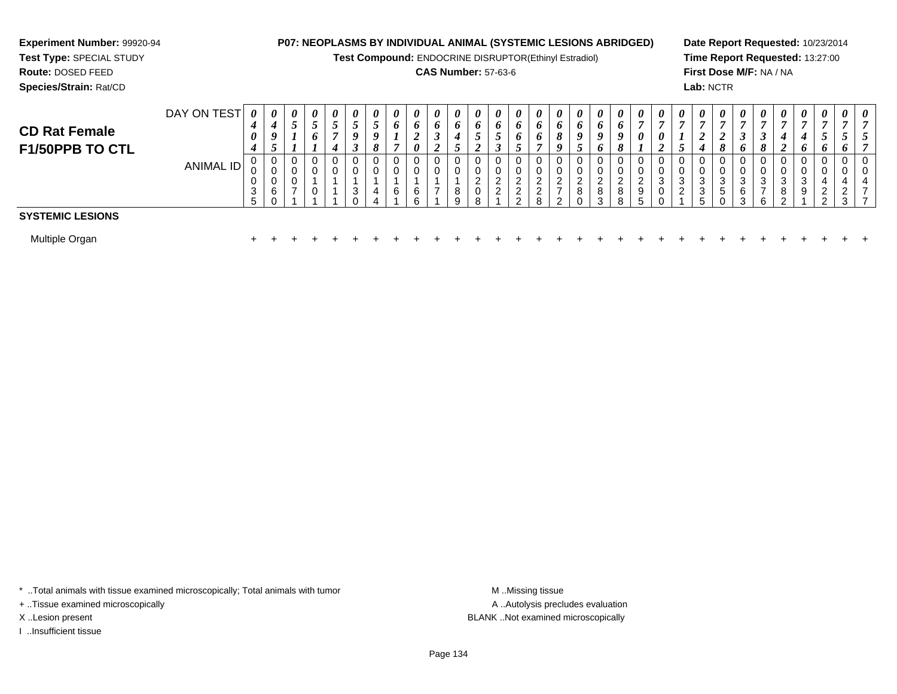# **Experiment Number:** 99920-94**Test Type:** SPECIAL STUDY

**Route:** DOSED FEED

**Species/Strain:** Rat/CD

# **P07: NEOPLASMS BY INDIVIDUAL ANIMAL (SYSTEMIC LESIONS ABRIDGED)**

**Test Compound:** ENDOCRINE DISRUPTOR(Ethinyl Estradiol)

# **CAS Number:** 57-63-6

**Date Report Requested:** 10/23/2014**Time Report Requested:** 13:27:00**First Dose M/F:** NA / NA**Lab:** NCTR

| <b>CD Rat Female</b><br><b>F1/50PPB TO CTL</b> | DAY ON TEST | 0<br>4<br>0<br>4                 | 0<br>9<br>ູ                  | 0<br>$\overline{\phantom{0}}$<br>J | 0<br>ູ<br>6<br>. . | $\boldsymbol{\theta}$<br>J<br>$\overline{ }$<br>4 | $\boldsymbol{\theta}$<br>ັ<br>◡ | $\boldsymbol{\theta}$<br>◡<br>8 | $\boldsymbol{\theta}$<br>6 | 0<br>6<br>◠<br>$\epsilon$<br>0 | $\boldsymbol{\theta}$<br>$\bm{o}$<br>◡<br>◢ | $\boldsymbol{\theta}$<br>$\bm{o}$<br>J | $\boldsymbol{\theta}$<br>$\bm{o}$<br>لہ<br>$\epsilon$ | 0<br>$\bm{o}$<br>ັ<br>ູ    | $\boldsymbol{\theta}$<br>$\bm{o}$<br>$\bm{o}$<br>$\mathcal{L}$           | $\boldsymbol{\mathit{U}}$<br>$\bm{o}$<br>$\bm{o}$ | $\boldsymbol{\theta}$<br>6<br>8 | $\boldsymbol{\theta}$<br>6<br>o | $\theta$<br>9<br>o         | $\boldsymbol{\theta}$<br>$\bm{b}$<br>$\boldsymbol{o}$<br>$\mathbf o$ | $\boldsymbol{\theta}$<br>,<br>0 | $\boldsymbol{\theta}$<br>$\theta$ | $\boldsymbol{\theta}$<br>−<br>لہ | 0<br>ി<br>◢<br>4       | 0<br>$\epsilon$<br>$\mathbf{o}$  | $\boldsymbol{\theta}$<br>6 | 0<br>8           | 0                 | $\boldsymbol{\theta}$<br>6 | $\boldsymbol{\theta}$<br>−<br>6 | $\boldsymbol{\theta}$<br>o                         | $\boldsymbol{\theta}$                   |
|------------------------------------------------|-------------|----------------------------------|------------------------------|------------------------------------|--------------------|---------------------------------------------------|---------------------------------|---------------------------------|----------------------------|--------------------------------|---------------------------------------------|----------------------------------------|-------------------------------------------------------|----------------------------|--------------------------------------------------------------------------|---------------------------------------------------|---------------------------------|---------------------------------|----------------------------|----------------------------------------------------------------------|---------------------------------|-----------------------------------|----------------------------------|------------------------|----------------------------------|----------------------------|------------------|-------------------|----------------------------|---------------------------------|----------------------------------------------------|-----------------------------------------|
|                                                | ANIMAL ID   | 0<br>0<br>0<br>3<br><sub>5</sub> | 0<br>0<br>0<br>6<br>$\Omega$ | 0<br>0<br>0<br>-                   | 0<br>0<br>0        |                                                   |                                 |                                 | 0<br>0<br>6                | 0<br>6<br>ี                    | 0<br>-                                      | 0<br>0<br>8<br>-9                      | ົ<br>∠<br>Я.                                          | 0<br>0<br>ົ<br>∼<br>◠<br>∠ | $\overline{0}$<br>0<br>$\overline{2}$<br>$\overline{2}$<br>$\mathcal{D}$ | $\sim$<br>_<br>$\sim$<br>я                        | $\sim$<br>$\overline{ }$<br>ാ   | $\sim$<br>$\epsilon$<br>8       | 0<br>$\sim$<br>ے<br>8<br>3 | U<br>$\sqrt{2}$<br><u>_</u><br>8<br>8                                | 9<br>$5 -$                      | 0<br>0<br>3<br>0<br>$\Omega$      | 0<br>3<br>$\overline{2}$         | 0<br>0<br>3<br>3<br>5. | 0<br>0<br>3<br><sub>5</sub><br>∩ | $\sim$<br>- 3<br>3         | $\sim$<br>-<br>ี | 3<br>o<br>$\circ$ | 0<br>0<br>3<br>9           | U<br>ົ<br>∠                     | $\mathbf{0}$<br>0<br>$\overline{4}$<br>ົ<br>∼<br>3 | $\mathbf 0$<br>0<br>4<br>$\overline{ }$ |
| <b>SYSTEMIC LESIONS</b>                        |             |                                  |                              |                                    |                    |                                                   |                                 |                                 |                            |                                |                                             |                                        |                                                       |                            |                                                                          |                                                   |                                 |                                 |                            |                                                                      |                                 |                                   |                                  |                        |                                  |                            |                  |                   |                            |                                 |                                                    |                                         |
| Multiple Organ                                 |             |                                  |                              |                                    |                    |                                                   |                                 |                                 |                            |                                |                                             |                                        |                                                       |                            |                                                                          |                                                   |                                 |                                 |                            |                                                                      |                                 |                                   |                                  |                        |                                  |                            |                  |                   |                            |                                 |                                                    |                                         |

\* ..Total animals with tissue examined microscopically; Total animals with tumor **M** . Missing tissue M ..Missing tissue

+ ..Tissue examined microscopically

I ..Insufficient tissue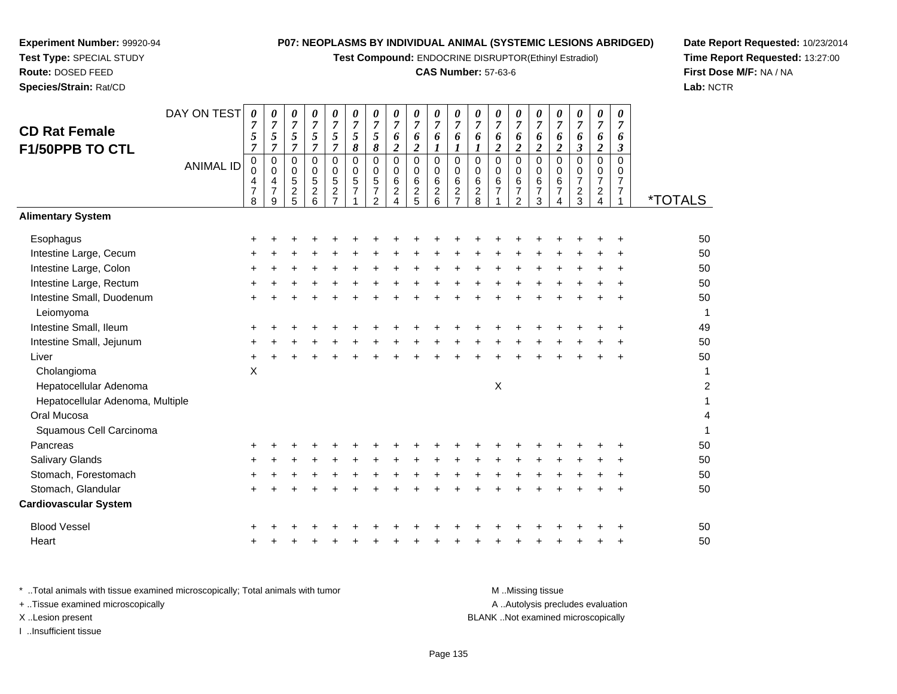**Test Compound:** ENDOCRINE DISRUPTOR(Ethinyl Estradiol)

# **CAS Number:** 57-63-6

**Date Report Requested:** 10/23/2014 **Time Report Requested:** 13:27:00**First Dose M/F:** NA / NA**Lab:** NCTR

| <b>CD Rat Female</b><br>F1/50PPB TO CTL | DAY ON TEST      | $\boldsymbol{\theta}$<br>$\overline{7}$<br>5<br>$\overline{7}$ | 0<br>$\overline{7}$<br>5<br>$\overline{7}$ | 0<br>$\overline{7}$<br>5<br>$\overline{7}$ | 0<br>$\overline{7}$<br>5<br>$\overline{7}$ | 0<br>$\overline{7}$<br>5<br>$\overline{7}$        | 0<br>$\overline{7}$<br>5<br>8                   | 0<br>$\overline{7}$<br>5<br>8                         | 0<br>$\overline{7}$<br>6<br>$\boldsymbol{2}$                      | 0<br>$\overline{7}$<br>6<br>$\overline{2}$ | 0<br>$\overline{7}$<br>6<br>$\boldsymbol{l}$       | 0<br>$\overline{7}$<br>6<br>1                   | 0<br>$\overline{7}$<br>6<br>1   | 0<br>$\overline{7}$<br>6<br>$\overline{c}$            | 0<br>$\overline{7}$<br>6<br>$\overline{\mathbf{c}}$                       | 0<br>$\overline{7}$<br>6<br>$\overline{\mathbf{c}}$    | 0<br>$\overline{7}$<br>6<br>$\boldsymbol{2}$        | 0<br>$\overline{7}$<br>6<br>$\boldsymbol{\mathfrak{z}}$ | 0<br>$\overline{7}$<br>6<br>$\overline{c}$ | 0<br>$\overline{7}$<br>6<br>$\boldsymbol{\beta}$        |                       |
|-----------------------------------------|------------------|----------------------------------------------------------------|--------------------------------------------|--------------------------------------------|--------------------------------------------|---------------------------------------------------|-------------------------------------------------|-------------------------------------------------------|-------------------------------------------------------------------|--------------------------------------------|----------------------------------------------------|-------------------------------------------------|---------------------------------|-------------------------------------------------------|---------------------------------------------------------------------------|--------------------------------------------------------|-----------------------------------------------------|---------------------------------------------------------|--------------------------------------------|---------------------------------------------------------|-----------------------|
|                                         | <b>ANIMAL ID</b> | 0<br>$\Omega$<br>4<br>$\overline{7}$<br>8                      | 0<br>0<br>4<br>$\overline{7}$<br>9         | 0<br>0<br>5<br>$\overline{c}$<br>5         | 0<br>0<br>5<br>$\overline{c}$<br>6         | 0<br>0<br>5<br>$\boldsymbol{2}$<br>$\overline{7}$ | 0<br>0<br>$\overline{5}$<br>$\overline{7}$<br>1 | $\mathbf 0$<br>0<br>$\sqrt{5}$<br>$\overline{7}$<br>2 | $\pmb{0}$<br>$\mathbf 0$<br>6<br>$\overline{c}$<br>$\overline{4}$ | $\pmb{0}$<br>0<br>$\,6$<br>$\frac{2}{5}$   | $\pmb{0}$<br>$\pmb{0}$<br>$\,6\,$<br>$\frac{2}{6}$ | 0<br>0<br>6<br>$\overline{c}$<br>$\overline{7}$ | 0<br>0<br>6<br>$\mathbf 2$<br>8 | $\mathbf 0$<br>$\mathbf 0$<br>$\,6$<br>$\overline{7}$ | $\mathbf 0$<br>$\mathbf 0$<br>$\,6$<br>$\boldsymbol{7}$<br>$\overline{2}$ | $\mathbf 0$<br>$\mathbf 0$<br>6<br>$\overline{7}$<br>3 | $\mathbf 0$<br>$\Omega$<br>6<br>$\overline{7}$<br>4 | 0<br>$\mathbf 0$<br>$\overline{7}$<br>$\frac{2}{3}$     | 0<br>0<br>$\overline{7}$<br>$\frac{2}{4}$  | $\mathbf 0$<br>0<br>7<br>$\overline{7}$<br>$\mathbf{1}$ | <i><b>*TOTALS</b></i> |
| <b>Alimentary System</b>                |                  |                                                                |                                            |                                            |                                            |                                                   |                                                 |                                                       |                                                                   |                                            |                                                    |                                                 |                                 |                                                       |                                                                           |                                                        |                                                     |                                                         |                                            |                                                         |                       |
| Esophagus                               |                  |                                                                |                                            |                                            |                                            |                                                   |                                                 |                                                       |                                                                   |                                            |                                                    |                                                 |                                 |                                                       |                                                                           |                                                        |                                                     |                                                         |                                            |                                                         | 50                    |
| Intestine Large, Cecum                  |                  |                                                                |                                            |                                            |                                            |                                                   |                                                 |                                                       |                                                                   |                                            |                                                    |                                                 |                                 |                                                       |                                                                           |                                                        |                                                     |                                                         |                                            |                                                         | 50                    |
| Intestine Large, Colon                  |                  |                                                                |                                            |                                            |                                            |                                                   |                                                 |                                                       |                                                                   |                                            |                                                    |                                                 |                                 |                                                       |                                                                           |                                                        |                                                     |                                                         |                                            |                                                         | 50                    |
| Intestine Large, Rectum                 |                  | +                                                              |                                            |                                            |                                            |                                                   |                                                 |                                                       |                                                                   |                                            |                                                    |                                                 |                                 |                                                       |                                                                           |                                                        |                                                     |                                                         |                                            |                                                         | 50                    |
| Intestine Small, Duodenum<br>Leiomyoma  |                  |                                                                |                                            |                                            |                                            |                                                   |                                                 |                                                       |                                                                   |                                            |                                                    |                                                 |                                 |                                                       |                                                                           |                                                        |                                                     |                                                         |                                            |                                                         | 50                    |
| Intestine Small, Ileum                  |                  |                                                                |                                            |                                            |                                            |                                                   |                                                 |                                                       |                                                                   |                                            |                                                    |                                                 |                                 |                                                       |                                                                           |                                                        |                                                     |                                                         |                                            |                                                         | 49                    |
| Intestine Small, Jejunum                |                  |                                                                |                                            |                                            |                                            |                                                   |                                                 |                                                       |                                                                   |                                            |                                                    |                                                 |                                 |                                                       |                                                                           |                                                        |                                                     |                                                         |                                            |                                                         | 50                    |
| Liver                                   |                  | ٠                                                              |                                            |                                            |                                            |                                                   |                                                 |                                                       |                                                                   |                                            |                                                    |                                                 |                                 |                                                       |                                                                           |                                                        |                                                     |                                                         |                                            | ÷                                                       | 50                    |
| Cholangioma                             |                  | X                                                              |                                            |                                            |                                            |                                                   |                                                 |                                                       |                                                                   |                                            |                                                    |                                                 |                                 |                                                       |                                                                           |                                                        |                                                     |                                                         |                                            |                                                         |                       |
| Hepatocellular Adenoma                  |                  |                                                                |                                            |                                            |                                            |                                                   |                                                 |                                                       |                                                                   |                                            |                                                    |                                                 |                                 | X                                                     |                                                                           |                                                        |                                                     |                                                         |                                            |                                                         | 2                     |
| Hepatocellular Adenoma, Multiple        |                  |                                                                |                                            |                                            |                                            |                                                   |                                                 |                                                       |                                                                   |                                            |                                                    |                                                 |                                 |                                                       |                                                                           |                                                        |                                                     |                                                         |                                            |                                                         |                       |
| Oral Mucosa                             |                  |                                                                |                                            |                                            |                                            |                                                   |                                                 |                                                       |                                                                   |                                            |                                                    |                                                 |                                 |                                                       |                                                                           |                                                        |                                                     |                                                         |                                            |                                                         | 4                     |
| Squamous Cell Carcinoma                 |                  |                                                                |                                            |                                            |                                            |                                                   |                                                 |                                                       |                                                                   |                                            |                                                    |                                                 |                                 |                                                       |                                                                           |                                                        |                                                     |                                                         |                                            |                                                         |                       |
| Pancreas                                |                  |                                                                |                                            |                                            |                                            |                                                   |                                                 |                                                       |                                                                   |                                            |                                                    |                                                 |                                 |                                                       |                                                                           |                                                        |                                                     |                                                         |                                            |                                                         | 50                    |
| <b>Salivary Glands</b>                  |                  |                                                                |                                            |                                            |                                            |                                                   |                                                 |                                                       |                                                                   |                                            |                                                    |                                                 |                                 |                                                       |                                                                           |                                                        |                                                     |                                                         |                                            |                                                         | 50                    |
| Stomach, Forestomach                    |                  |                                                                |                                            |                                            |                                            |                                                   |                                                 |                                                       |                                                                   |                                            |                                                    |                                                 |                                 |                                                       |                                                                           |                                                        |                                                     |                                                         |                                            |                                                         | 50                    |
| Stomach, Glandular                      |                  |                                                                |                                            |                                            |                                            |                                                   |                                                 |                                                       |                                                                   |                                            |                                                    |                                                 |                                 |                                                       |                                                                           |                                                        |                                                     |                                                         |                                            |                                                         | 50                    |
| <b>Cardiovascular System</b>            |                  |                                                                |                                            |                                            |                                            |                                                   |                                                 |                                                       |                                                                   |                                            |                                                    |                                                 |                                 |                                                       |                                                                           |                                                        |                                                     |                                                         |                                            |                                                         |                       |
| <b>Blood Vessel</b>                     |                  |                                                                |                                            |                                            |                                            |                                                   |                                                 |                                                       |                                                                   |                                            |                                                    |                                                 |                                 |                                                       |                                                                           |                                                        |                                                     |                                                         |                                            |                                                         | 50                    |
| Heart                                   |                  |                                                                |                                            |                                            |                                            |                                                   |                                                 |                                                       |                                                                   |                                            |                                                    |                                                 |                                 |                                                       |                                                                           |                                                        |                                                     |                                                         |                                            | ÷                                                       | 50                    |
|                                         |                  |                                                                |                                            |                                            |                                            |                                                   |                                                 |                                                       |                                                                   |                                            |                                                    |                                                 |                                 |                                                       |                                                                           |                                                        |                                                     |                                                         |                                            |                                                         |                       |

| Total animals with tissue examined microscopically; Total animals with tumor | M Missing tissue                   |
|------------------------------------------------------------------------------|------------------------------------|
| + Tissue examined microscopically                                            | A Autolysis precludes evaluation   |
| X Lesion present                                                             | BLANK Not examined microscopically |
| Insufficient tissue                                                          |                                    |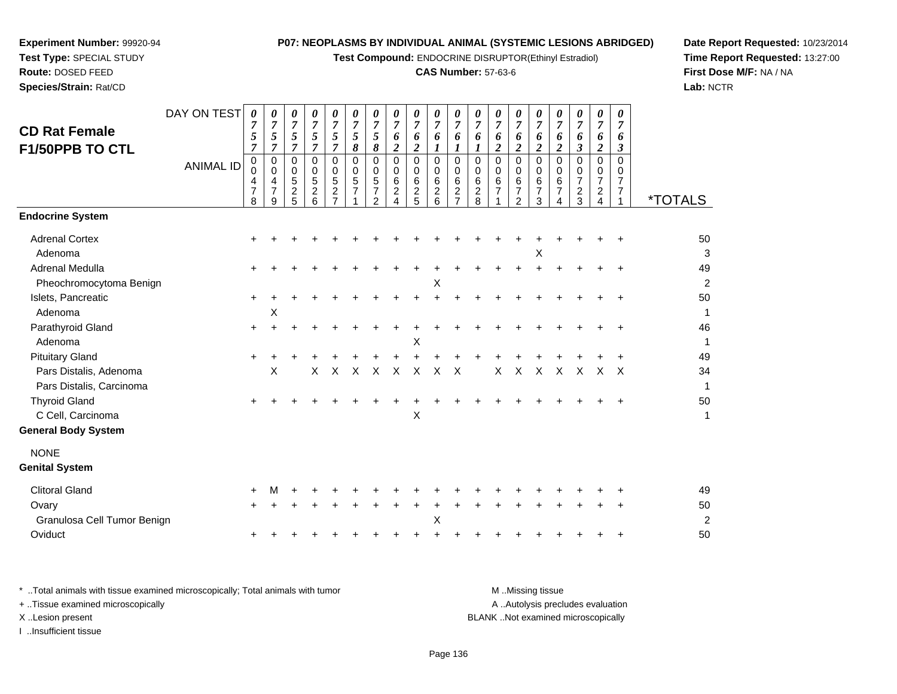**Test Compound:** ENDOCRINE DISRUPTOR(Ethinyl Estradiol)

#### **CAS Number:** 57-63-6

**Date Report Requested:** 10/23/2014**Time Report Requested:** 13:27:00**First Dose M/F:** NA / NA**Lab:** NCTR

DAY ON TEST**CD Rat Female F1/50PPB TO CTL**ANIMAL ID*0 7 5 7* 0 0 4 7 8*0 7 5 7* 0 0 4 7 9*0 7 5 7* 0 0 5 2 5*0 7 5 7* 0 0 5 2 6*0 7 5 7* 0 0 5 2 7*0 7 5 8* 0 0 5 71*0 7 5 8* 0 0 5 7 2*0 7 6 2* 0 0 6 2 4*0 7 6 2* 0 0 6 2 5*0 7 6 1* 0 0 6 2 6*0 7 6 1* 0 0 6 2 7*0 7 6 1* 0 0 6 2 8*0 7 6 2* 0 0 6 7 1*0 7 6 2* 0 0 6 7 2*0 7 6 2* 0 0 6 7 3*0 7 6 2* 0 0 6 7 4*0 7 6 3* 0 0 7 2 3*0 7 6 2* 0 0 7 2 4*0 7 6 3* 0 0 7 7 $\mathbf{1}$ <sup>1</sup> \*TOTALS**Endocrine System**Adrenal Cortex $\times$  + <sup>+</sup> <sup>+</sup> <sup>+</sup> <sup>+</sup> <sup>+</sup> <sup>+</sup> <sup>+</sup> <sup>+</sup> <sup>+</sup> <sup>+</sup> <sup>+</sup> <sup>+</sup> <sup>+</sup> <sup>+</sup> <sup>+</sup> <sup>+</sup> <sup>+</sup> <sup>+</sup> <sup>50</sup> Adenoma $\alpha$  $\mathsf{X}$  3 Adrenal Medullaa  $+$  <sup>+</sup> <sup>+</sup> <sup>+</sup> <sup>+</sup> <sup>+</sup> <sup>+</sup> <sup>+</sup> <sup>+</sup> <sup>+</sup> <sup>+</sup> <sup>+</sup> <sup>+</sup> <sup>+</sup> <sup>+</sup> <sup>+</sup> <sup>+</sup> <sup>+</sup> <sup>+</sup> <sup>49</sup> Pheochromocytoma Benign $\mathsf{M}$  $\mathsf{X}$  and  $\mathsf{Z}$ Islets, Pancreatic $\overline{c}$  + <sup>+</sup> <sup>+</sup> <sup>+</sup> <sup>+</sup> <sup>+</sup> <sup>+</sup> <sup>+</sup> <sup>+</sup> <sup>+</sup> <sup>+</sup> <sup>+</sup> <sup>+</sup> <sup>+</sup> <sup>+</sup> <sup>+</sup> <sup>+</sup> <sup>+</sup> <sup>+</sup> <sup>50</sup> Adenomaa  $\lambda$  $\chi$  1 Parathyroid Glandd  $+$  <sup>+</sup> <sup>+</sup> <sup>+</sup> <sup>+</sup> <sup>+</sup> <sup>+</sup> <sup>+</sup> <sup>+</sup> <sup>+</sup> <sup>+</sup> <sup>+</sup> <sup>+</sup> <sup>+</sup> <sup>+</sup> <sup>+</sup> <sup>+</sup> <sup>+</sup> <sup>+</sup> <sup>46</sup> Adenoma $\alpha$  $\boldsymbol{\mathsf{X}}$  and  $\boldsymbol{\mathsf{X}}$  and  $\boldsymbol{\mathsf{Y}}$  are the set of  $\boldsymbol{\mathsf{Y}}$  and  $\boldsymbol{\mathsf{Y}}$  are the set of  $\boldsymbol{\mathsf{Y}}$  and  $\boldsymbol{\mathsf{Y}}$  are the set of  $\boldsymbol{\mathsf{Y}}$  and  $\boldsymbol{\mathsf{Y}}$  are the set of  $\boldsymbol{\mathsf{Y}}$  and  $\boldsymbol{\mathsf{Y}}$  are t Pituitary Gland $\alpha$  + <sup>+</sup> <sup>+</sup> <sup>+</sup> <sup>+</sup> <sup>+</sup> <sup>+</sup> <sup>+</sup> <sup>+</sup> <sup>+</sup> <sup>+</sup> <sup>+</sup> <sup>+</sup> <sup>+</sup> <sup>+</sup> <sup>+</sup> <sup>+</sup> <sup>+</sup> <sup>+</sup> <sup>49</sup> Pars Distalis, Adenomaa X <sup>X</sup> <sup>X</sup> <sup>X</sup> <sup>X</sup> <sup>X</sup> <sup>X</sup> <sup>X</sup> <sup>X</sup> <sup>X</sup> <sup>X</sup> <sup>X</sup> <sup>X</sup> <sup>X</sup> <sup>X</sup> <sup>X</sup> <sup>34</sup> Pars Distalis, Carcinoma $\overline{a}$ Thyroid Gland $\alpha$  + <sup>+</sup> <sup>+</sup> <sup>+</sup> <sup>+</sup> <sup>+</sup> <sup>+</sup> <sup>+</sup> <sup>+</sup> <sup>+</sup> <sup>+</sup> <sup>+</sup> <sup>+</sup> <sup>+</sup> <sup>+</sup> <sup>+</sup> <sup>+</sup> <sup>+</sup> <sup>+</sup> <sup>50</sup> C Cell, Carcinomaa  $X$  $\mathsf{X}$  and  $\mathsf{Y}$  are the set of  $\mathsf{Y}$  and  $\mathsf{Y}$  are the set of  $\mathsf{Y}$  and  $\mathsf{Y}$  are the set of  $\mathsf{Y}$  and  $\mathsf{Y}$  are the set of  $\mathsf{Y}$  and  $\mathsf{Y}$  are the set of  $\mathsf{Y}$  and  $\mathsf{Y}$  are the set of **General Body System**NONE **Genital System**Clitoral Glandd  $+$  <sup>M</sup> <sup>+</sup> <sup>+</sup> <sup>+</sup> <sup>+</sup> <sup>+</sup> <sup>+</sup> <sup>+</sup> <sup>+</sup> <sup>+</sup> <sup>+</sup> <sup>+</sup> <sup>+</sup> <sup>+</sup> <sup>+</sup> <sup>+</sup> <sup>+</sup> <sup>+</sup> <sup>49</sup> Ovary $\mathsf y$  <sup>+</sup> <sup>+</sup> <sup>+</sup> <sup>+</sup> <sup>+</sup> <sup>+</sup> <sup>+</sup> <sup>+</sup> <sup>+</sup> <sup>+</sup> <sup>+</sup> <sup>+</sup> <sup>+</sup> <sup>+</sup> <sup>+</sup> <sup>+</sup> <sup>+</sup> <sup>+</sup> <sup>50</sup> Granulosa Cell Tumor Benignn  $\mathsf{X}$  $\mathsf{X}$  2 **Oviduct**  $\mathfrak{t}$  + <sup>+</sup> <sup>+</sup> <sup>+</sup> <sup>+</sup> <sup>+</sup> <sup>+</sup> <sup>+</sup> <sup>+</sup> <sup>+</sup> <sup>+</sup> <sup>+</sup> <sup>+</sup> <sup>+</sup> <sup>+</sup> <sup>+</sup> <sup>+</sup> <sup>+</sup> <sup>+</sup> <sup>50</sup>

**Experiment Number:** 99920-94**Test Type:** SPECIAL STUDY**Route:** DOSED FEED**Species/Strain:** Rat/CD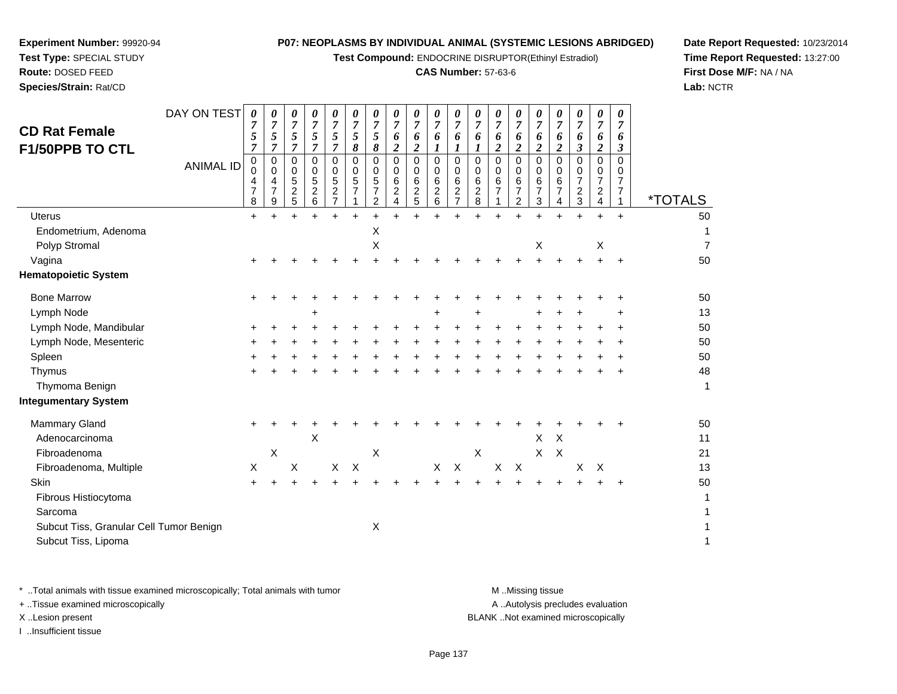**Test Compound:** ENDOCRINE DISRUPTOR(Ethinyl Estradiol)

# **CAS Number:** 57-63-6

**Date Report Requested:** 10/23/2014**Time Report Requested:** 13:27:00**First Dose M/F:** NA / NA**Lab:** NCTR

| <b>CD Rat Female</b><br>F1/50PPB TO CTL | DAY ON TEST<br><b>ANIMAL ID</b> | 0<br>$\overline{7}$<br>5<br>$\overline{7}$<br>$\pmb{0}$<br>$\Omega$<br>4<br>$\overline{7}$<br>8 | 0<br>$\overline{7}$<br>5<br>$\overline{7}$<br>$\mathbf 0$<br>0<br>$\overline{\mathbf{4}}$<br>$\overline{7}$<br>9 | 0<br>$\overline{7}$<br>5<br>$\overline{7}$<br>$\mathbf 0$<br>0<br>5<br>$\overline{c}$<br>5 | 0<br>$\overline{7}$<br>5<br>$\overline{7}$<br>$\mathbf 0$<br>0<br>$\sqrt{5}$<br>$\overline{c}$<br>6 | 0<br>$\overline{7}$<br>5<br>$\overline{7}$<br>$\Omega$<br>0<br>5<br>$\overline{\mathbf{c}}$<br>$\overline{7}$ | 0<br>$\boldsymbol{7}$<br>5<br>8<br>$\Omega$<br>0<br>$\sqrt{5}$<br>7 | 0<br>$\overline{7}$<br>5<br>8<br>$\Omega$<br>0<br>5<br>7<br>$\overline{c}$ | 0<br>$\overline{7}$<br>6<br>$\boldsymbol{2}$<br>$\Omega$<br>0<br>6<br>$\boldsymbol{2}$<br>4 | 0<br>$\overline{7}$<br>6<br>$\boldsymbol{2}$<br>$\mathbf 0$<br>0<br>6<br>$\overline{c}$<br>5 | 0<br>$\overline{7}$<br>6<br>1<br>$\Omega$<br>0<br>6<br>$\overline{c}$<br>6 | 0<br>$\overline{7}$<br>6<br>1<br>$\mathbf 0$<br>0<br>6<br>$\boldsymbol{2}$<br>$\overline{7}$ | 0<br>$\overline{7}$<br>6<br>1<br>$\mathbf 0$<br>0<br>$\,6\,$<br>$\overline{c}$<br>8 | 0<br>$\boldsymbol{7}$<br>6<br>$\boldsymbol{2}$<br>$\Omega$<br>$\Omega$<br>6<br>$\overline{7}$ | 0<br>$\overline{7}$<br>6<br>$\boldsymbol{2}$<br>$\Omega$<br>0<br>6<br>$\overline{7}$<br>$\overline{2}$ | 0<br>7<br>6<br>$\overline{c}$<br>$\Omega$<br>0<br>6<br>$\overline{7}$<br>3 | 0<br>7<br>6<br>$\overline{c}$<br>$\Omega$<br>0<br>6<br>7<br>4 | 0<br>$\overline{7}$<br>6<br>3<br>$\Omega$<br>0<br>$\overline{7}$<br>$\overline{c}$<br>$\mathbf{3}$ | 0<br>$\overline{7}$<br>6<br>$\boldsymbol{2}$<br>$\mathbf 0$<br>0<br>$\overline{7}$<br>$\overline{c}$<br>$\overline{4}$ | 0<br>$\overline{7}$<br>6<br>3<br>$\Omega$<br>0<br>$\overline{7}$<br>7<br>1 | <i><b>*TOTALS</b></i> |
|-----------------------------------------|---------------------------------|-------------------------------------------------------------------------------------------------|------------------------------------------------------------------------------------------------------------------|--------------------------------------------------------------------------------------------|-----------------------------------------------------------------------------------------------------|---------------------------------------------------------------------------------------------------------------|---------------------------------------------------------------------|----------------------------------------------------------------------------|---------------------------------------------------------------------------------------------|----------------------------------------------------------------------------------------------|----------------------------------------------------------------------------|----------------------------------------------------------------------------------------------|-------------------------------------------------------------------------------------|-----------------------------------------------------------------------------------------------|--------------------------------------------------------------------------------------------------------|----------------------------------------------------------------------------|---------------------------------------------------------------|----------------------------------------------------------------------------------------------------|------------------------------------------------------------------------------------------------------------------------|----------------------------------------------------------------------------|-----------------------|
| <b>Uterus</b>                           |                                 | $\ddot{}$                                                                                       |                                                                                                                  |                                                                                            |                                                                                                     |                                                                                                               |                                                                     |                                                                            |                                                                                             |                                                                                              |                                                                            |                                                                                              |                                                                                     |                                                                                               |                                                                                                        |                                                                            |                                                               |                                                                                                    | $\ddot{}$                                                                                                              | $+$                                                                        | 50                    |
| Endometrium, Adenoma                    |                                 |                                                                                                 |                                                                                                                  |                                                                                            |                                                                                                     |                                                                                                               |                                                                     | X                                                                          |                                                                                             |                                                                                              |                                                                            |                                                                                              |                                                                                     |                                                                                               |                                                                                                        |                                                                            |                                                               |                                                                                                    |                                                                                                                        |                                                                            | 1                     |
| Polyp Stromal                           |                                 |                                                                                                 |                                                                                                                  |                                                                                            |                                                                                                     |                                                                                                               |                                                                     | $\mathsf X$                                                                |                                                                                             |                                                                                              |                                                                            |                                                                                              |                                                                                     |                                                                                               |                                                                                                        | $\mathsf X$                                                                |                                                               |                                                                                                    | $\boldsymbol{\mathsf{X}}$                                                                                              |                                                                            | $\overline{7}$        |
| Vagina                                  |                                 |                                                                                                 |                                                                                                                  |                                                                                            |                                                                                                     |                                                                                                               |                                                                     |                                                                            |                                                                                             |                                                                                              |                                                                            |                                                                                              |                                                                                     |                                                                                               |                                                                                                        | ÷                                                                          |                                                               |                                                                                                    | $\ddot{}$                                                                                                              | $\div$                                                                     | 50                    |
| <b>Hematopoietic System</b>             |                                 |                                                                                                 |                                                                                                                  |                                                                                            |                                                                                                     |                                                                                                               |                                                                     |                                                                            |                                                                                             |                                                                                              |                                                                            |                                                                                              |                                                                                     |                                                                                               |                                                                                                        |                                                                            |                                                               |                                                                                                    |                                                                                                                        |                                                                            |                       |
| <b>Bone Marrow</b>                      |                                 | $\pm$                                                                                           |                                                                                                                  |                                                                                            |                                                                                                     |                                                                                                               |                                                                     |                                                                            |                                                                                             |                                                                                              |                                                                            |                                                                                              |                                                                                     |                                                                                               |                                                                                                        |                                                                            |                                                               |                                                                                                    |                                                                                                                        |                                                                            | 50                    |
| Lymph Node                              |                                 |                                                                                                 |                                                                                                                  |                                                                                            |                                                                                                     |                                                                                                               |                                                                     |                                                                            |                                                                                             |                                                                                              |                                                                            |                                                                                              |                                                                                     |                                                                                               |                                                                                                        |                                                                            |                                                               |                                                                                                    |                                                                                                                        |                                                                            | 13                    |
| Lymph Node, Mandibular                  |                                 |                                                                                                 |                                                                                                                  |                                                                                            |                                                                                                     |                                                                                                               |                                                                     |                                                                            |                                                                                             |                                                                                              |                                                                            |                                                                                              |                                                                                     |                                                                                               |                                                                                                        |                                                                            |                                                               |                                                                                                    |                                                                                                                        |                                                                            | 50                    |
| Lymph Node, Mesenteric                  |                                 |                                                                                                 |                                                                                                                  |                                                                                            |                                                                                                     |                                                                                                               |                                                                     |                                                                            |                                                                                             |                                                                                              |                                                                            |                                                                                              |                                                                                     |                                                                                               |                                                                                                        |                                                                            |                                                               |                                                                                                    |                                                                                                                        |                                                                            | 50                    |
| Spleen                                  |                                 |                                                                                                 |                                                                                                                  |                                                                                            |                                                                                                     |                                                                                                               |                                                                     |                                                                            |                                                                                             |                                                                                              |                                                                            |                                                                                              |                                                                                     |                                                                                               |                                                                                                        |                                                                            |                                                               |                                                                                                    |                                                                                                                        |                                                                            | 50                    |
| Thymus                                  |                                 |                                                                                                 |                                                                                                                  |                                                                                            |                                                                                                     |                                                                                                               |                                                                     |                                                                            |                                                                                             |                                                                                              |                                                                            |                                                                                              |                                                                                     |                                                                                               |                                                                                                        |                                                                            |                                                               |                                                                                                    |                                                                                                                        |                                                                            | 48                    |
| Thymoma Benign                          |                                 |                                                                                                 |                                                                                                                  |                                                                                            |                                                                                                     |                                                                                                               |                                                                     |                                                                            |                                                                                             |                                                                                              |                                                                            |                                                                                              |                                                                                     |                                                                                               |                                                                                                        |                                                                            |                                                               |                                                                                                    |                                                                                                                        |                                                                            | 1                     |
| <b>Integumentary System</b>             |                                 |                                                                                                 |                                                                                                                  |                                                                                            |                                                                                                     |                                                                                                               |                                                                     |                                                                            |                                                                                             |                                                                                              |                                                                            |                                                                                              |                                                                                     |                                                                                               |                                                                                                        |                                                                            |                                                               |                                                                                                    |                                                                                                                        |                                                                            |                       |
| Mammary Gland                           |                                 | ÷.                                                                                              |                                                                                                                  |                                                                                            |                                                                                                     |                                                                                                               |                                                                     |                                                                            |                                                                                             |                                                                                              |                                                                            |                                                                                              |                                                                                     |                                                                                               |                                                                                                        |                                                                            |                                                               |                                                                                                    |                                                                                                                        |                                                                            | 50                    |
| Adenocarcinoma                          |                                 |                                                                                                 |                                                                                                                  |                                                                                            | X                                                                                                   |                                                                                                               |                                                                     |                                                                            |                                                                                             |                                                                                              |                                                                            |                                                                                              |                                                                                     |                                                                                               |                                                                                                        | $\pmb{\times}$                                                             | $\boldsymbol{\mathsf{X}}$                                     |                                                                                                    |                                                                                                                        |                                                                            | 11                    |
| Fibroadenoma                            |                                 |                                                                                                 | $\boldsymbol{\mathsf{X}}$                                                                                        |                                                                                            |                                                                                                     |                                                                                                               |                                                                     | $\boldsymbol{\mathsf{X}}$                                                  |                                                                                             |                                                                                              |                                                                            |                                                                                              | $\boldsymbol{\mathsf{X}}$                                                           |                                                                                               |                                                                                                        | $\mathsf{X}$                                                               | $\times$                                                      |                                                                                                    |                                                                                                                        |                                                                            | 21                    |
| Fibroadenoma, Multiple                  |                                 | X                                                                                               |                                                                                                                  | X                                                                                          |                                                                                                     | $\boldsymbol{\mathsf{X}}$                                                                                     | $\times$                                                            |                                                                            |                                                                                             |                                                                                              | X                                                                          | $\boldsymbol{\mathsf{X}}$                                                                    |                                                                                     | $\boldsymbol{\mathsf{X}}$                                                                     | $\boldsymbol{\mathsf{X}}$                                                                              |                                                                            |                                                               | $\boldsymbol{\mathsf{X}}$                                                                          | $\times$                                                                                                               |                                                                            | 13                    |
| Skin                                    |                                 |                                                                                                 |                                                                                                                  |                                                                                            |                                                                                                     |                                                                                                               |                                                                     |                                                                            |                                                                                             |                                                                                              |                                                                            |                                                                                              |                                                                                     |                                                                                               |                                                                                                        |                                                                            |                                                               |                                                                                                    |                                                                                                                        |                                                                            | 50                    |
| Fibrous Histiocytoma                    |                                 |                                                                                                 |                                                                                                                  |                                                                                            |                                                                                                     |                                                                                                               |                                                                     |                                                                            |                                                                                             |                                                                                              |                                                                            |                                                                                              |                                                                                     |                                                                                               |                                                                                                        |                                                                            |                                                               |                                                                                                    |                                                                                                                        |                                                                            | 1                     |
| Sarcoma                                 |                                 |                                                                                                 |                                                                                                                  |                                                                                            |                                                                                                     |                                                                                                               |                                                                     |                                                                            |                                                                                             |                                                                                              |                                                                            |                                                                                              |                                                                                     |                                                                                               |                                                                                                        |                                                                            |                                                               |                                                                                                    |                                                                                                                        |                                                                            | 1                     |
| Subcut Tiss, Granular Cell Tumor Benign |                                 |                                                                                                 |                                                                                                                  |                                                                                            |                                                                                                     |                                                                                                               |                                                                     | $\boldsymbol{\mathsf{X}}$                                                  |                                                                                             |                                                                                              |                                                                            |                                                                                              |                                                                                     |                                                                                               |                                                                                                        |                                                                            |                                                               |                                                                                                    |                                                                                                                        |                                                                            | 1                     |
| Subcut Tiss, Lipoma                     |                                 |                                                                                                 |                                                                                                                  |                                                                                            |                                                                                                     |                                                                                                               |                                                                     |                                                                            |                                                                                             |                                                                                              |                                                                            |                                                                                              |                                                                                     |                                                                                               |                                                                                                        |                                                                            |                                                               |                                                                                                    |                                                                                                                        |                                                                            | 1                     |

**Experiment Number:** 99920-94**Test Type:** SPECIAL STUDY**Route:** DOSED FEED**Species/Strain:** Rat/CD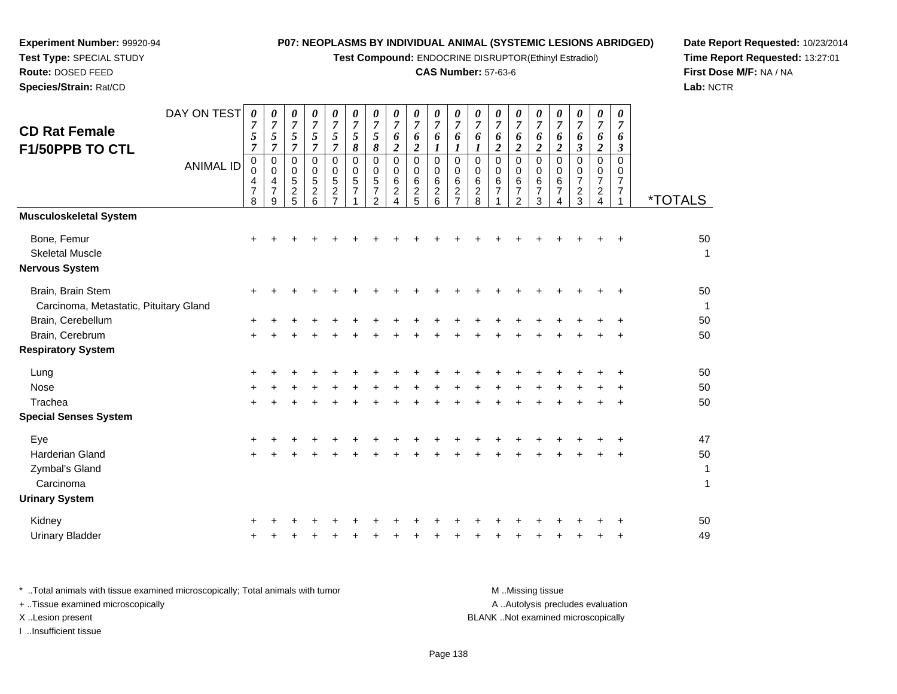**Test Compound:** ENDOCRINE DISRUPTOR(Ethinyl Estradiol)

# **CAS Number:** 57-63-6

**Date Report Requested:** 10/23/2014 **Time Report Requested:** 13:27:01**First Dose M/F:** NA / NA**Lab:** NCTR

| <b>CD Rat Female</b><br>F1/50PPB TO CTL                        | DAY ON TEST<br><b>ANIMAL ID</b> | 0<br>7<br>5<br>7<br>$\pmb{0}$<br>0<br>4<br>$\overline{7}$<br>8 | 0<br>$\overline{7}$<br>$\mathfrak{s}$<br>$\overline{7}$<br>$\pmb{0}$<br>0<br>4<br>$\overline{7}$<br>9 | 0<br>$\overline{7}$<br>5<br>$\overline{7}$<br>$\Omega$<br>$\mathbf 0$<br>5<br>$\overline{c}$<br>5 | 0<br>$\overline{7}$<br>5<br>$\overline{7}$<br>0<br>$\mathbf 0$<br>$\sqrt{5}$<br>$\overline{c}$<br>6 | 0<br>$\boldsymbol{7}$<br>5<br>7<br>0<br>0<br>5<br>$\boldsymbol{2}$<br>$\overline{7}$ | 0<br>$\overline{7}$<br>$\mathfrak{s}$<br>8<br>$\mathbf 0$<br>0<br>5<br>$\overline{7}$<br>1 | 0<br>$\overline{7}$<br>5<br>8<br>$\mathbf 0$<br>$\mathbf 0$<br>5<br>$\overline{7}$<br>$\overline{2}$ | 0<br>$\overline{7}$<br>6<br>$\boldsymbol{2}$<br>$\pmb{0}$<br>0<br>6<br>$\boldsymbol{2}$<br>$\overline{4}$ | 0<br>$\overline{7}$<br>6<br>$\overline{c}$<br>0<br>0<br>6<br>$\frac{2}{5}$ | 0<br>$\boldsymbol{7}$<br>6<br>$\boldsymbol{l}$<br>$\pmb{0}$<br>$\pmb{0}$<br>$\,6\,$<br>$\frac{2}{6}$ | 0<br>$\overline{7}$<br>6<br>1<br>$\mathbf 0$<br>$\mathbf 0$<br>$\,6$<br>$\overline{c}$<br>$\overline{7}$ | 0<br>$\overline{7}$<br>6<br>1<br>$\pmb{0}$<br>0<br>6<br>$\overline{c}$<br>8 | 0<br>$\boldsymbol{7}$<br>6<br>2<br>$\mathbf 0$<br>0<br>6<br>$\overline{7}$ | 0<br>$\overline{7}$<br>6<br>$\overline{c}$<br>$\mathbf 0$<br>0<br>6<br>$\boldsymbol{7}$<br>$\overline{2}$ | 0<br>$\boldsymbol{7}$<br>6<br>$\overline{c}$<br>$\mathbf 0$<br>0<br>$\,6\,$<br>$\overline{7}$<br>3 | 0<br>$\overline{7}$<br>6<br>$\overline{c}$<br>$\pmb{0}$<br>0<br>$\,6\,$<br>$\overline{7}$<br>$\overline{4}$ | 0<br>$\overline{7}$<br>6<br>3<br>$\mathbf 0$<br>0<br>7<br>$\overline{c}$<br>3 | 0<br>$\overline{7}$<br>6<br>$\boldsymbol{2}$<br>$\pmb{0}$<br>0<br>$\overline{7}$<br>$\frac{2}{4}$ | 0<br>7<br>6<br>3<br>$\Omega$<br>$\mathbf 0$<br>7<br>$\overline{7}$<br>1 | <i><b>*TOTALS</b></i> |
|----------------------------------------------------------------|---------------------------------|----------------------------------------------------------------|-------------------------------------------------------------------------------------------------------|---------------------------------------------------------------------------------------------------|-----------------------------------------------------------------------------------------------------|--------------------------------------------------------------------------------------|--------------------------------------------------------------------------------------------|------------------------------------------------------------------------------------------------------|-----------------------------------------------------------------------------------------------------------|----------------------------------------------------------------------------|------------------------------------------------------------------------------------------------------|----------------------------------------------------------------------------------------------------------|-----------------------------------------------------------------------------|----------------------------------------------------------------------------|-----------------------------------------------------------------------------------------------------------|----------------------------------------------------------------------------------------------------|-------------------------------------------------------------------------------------------------------------|-------------------------------------------------------------------------------|---------------------------------------------------------------------------------------------------|-------------------------------------------------------------------------|-----------------------|
| <b>Musculoskeletal System</b>                                  |                                 |                                                                |                                                                                                       |                                                                                                   |                                                                                                     |                                                                                      |                                                                                            |                                                                                                      |                                                                                                           |                                                                            |                                                                                                      |                                                                                                          |                                                                             |                                                                            |                                                                                                           |                                                                                                    |                                                                                                             |                                                                               |                                                                                                   |                                                                         |                       |
| Bone, Femur<br><b>Skeletal Muscle</b><br><b>Nervous System</b> |                                 | +                                                              |                                                                                                       |                                                                                                   |                                                                                                     |                                                                                      |                                                                                            |                                                                                                      |                                                                                                           |                                                                            |                                                                                                      |                                                                                                          |                                                                             |                                                                            |                                                                                                           |                                                                                                    |                                                                                                             |                                                                               |                                                                                                   |                                                                         | 50<br>1               |
| Brain, Brain Stem<br>Carcinoma, Metastatic, Pituitary Gland    |                                 |                                                                |                                                                                                       |                                                                                                   |                                                                                                     |                                                                                      |                                                                                            |                                                                                                      |                                                                                                           |                                                                            |                                                                                                      |                                                                                                          |                                                                             |                                                                            |                                                                                                           |                                                                                                    |                                                                                                             |                                                                               |                                                                                                   |                                                                         | 50<br>$\mathbf{1}$    |
| Brain, Cerebellum                                              |                                 | +                                                              |                                                                                                       |                                                                                                   |                                                                                                     |                                                                                      |                                                                                            |                                                                                                      |                                                                                                           |                                                                            |                                                                                                      |                                                                                                          |                                                                             |                                                                            |                                                                                                           |                                                                                                    |                                                                                                             |                                                                               |                                                                                                   |                                                                         | 50                    |
| Brain, Cerebrum                                                |                                 | $\ddot{}$                                                      |                                                                                                       |                                                                                                   |                                                                                                     |                                                                                      |                                                                                            |                                                                                                      |                                                                                                           |                                                                            |                                                                                                      |                                                                                                          |                                                                             |                                                                            |                                                                                                           |                                                                                                    |                                                                                                             |                                                                               |                                                                                                   |                                                                         | 50                    |
| <b>Respiratory System</b>                                      |                                 |                                                                |                                                                                                       |                                                                                                   |                                                                                                     |                                                                                      |                                                                                            |                                                                                                      |                                                                                                           |                                                                            |                                                                                                      |                                                                                                          |                                                                             |                                                                            |                                                                                                           |                                                                                                    |                                                                                                             |                                                                               |                                                                                                   |                                                                         |                       |
| Lung                                                           |                                 | +                                                              |                                                                                                       |                                                                                                   |                                                                                                     |                                                                                      |                                                                                            |                                                                                                      |                                                                                                           |                                                                            |                                                                                                      |                                                                                                          |                                                                             |                                                                            |                                                                                                           |                                                                                                    |                                                                                                             |                                                                               |                                                                                                   |                                                                         | 50                    |
| Nose                                                           |                                 |                                                                |                                                                                                       |                                                                                                   |                                                                                                     |                                                                                      |                                                                                            |                                                                                                      |                                                                                                           |                                                                            |                                                                                                      |                                                                                                          |                                                                             |                                                                            |                                                                                                           |                                                                                                    |                                                                                                             |                                                                               |                                                                                                   |                                                                         | 50                    |
| Trachea                                                        |                                 | $+$                                                            |                                                                                                       |                                                                                                   |                                                                                                     |                                                                                      |                                                                                            |                                                                                                      |                                                                                                           |                                                                            |                                                                                                      |                                                                                                          |                                                                             |                                                                            |                                                                                                           |                                                                                                    |                                                                                                             |                                                                               |                                                                                                   |                                                                         | 50                    |
| <b>Special Senses System</b>                                   |                                 |                                                                |                                                                                                       |                                                                                                   |                                                                                                     |                                                                                      |                                                                                            |                                                                                                      |                                                                                                           |                                                                            |                                                                                                      |                                                                                                          |                                                                             |                                                                            |                                                                                                           |                                                                                                    |                                                                                                             |                                                                               |                                                                                                   |                                                                         |                       |
| Eye                                                            |                                 | +                                                              |                                                                                                       |                                                                                                   |                                                                                                     |                                                                                      |                                                                                            |                                                                                                      |                                                                                                           |                                                                            |                                                                                                      |                                                                                                          |                                                                             |                                                                            |                                                                                                           |                                                                                                    |                                                                                                             |                                                                               |                                                                                                   |                                                                         | 47                    |
| <b>Harderian Gland</b>                                         |                                 | $\ddot{}$                                                      |                                                                                                       |                                                                                                   |                                                                                                     |                                                                                      |                                                                                            |                                                                                                      |                                                                                                           |                                                                            |                                                                                                      |                                                                                                          |                                                                             |                                                                            |                                                                                                           |                                                                                                    |                                                                                                             |                                                                               |                                                                                                   |                                                                         | 50                    |
| Zymbal's Gland<br>Carcinoma                                    |                                 |                                                                |                                                                                                       |                                                                                                   |                                                                                                     |                                                                                      |                                                                                            |                                                                                                      |                                                                                                           |                                                                            |                                                                                                      |                                                                                                          |                                                                             |                                                                            |                                                                                                           |                                                                                                    |                                                                                                             |                                                                               |                                                                                                   |                                                                         | 1<br>1                |
| <b>Urinary System</b>                                          |                                 |                                                                |                                                                                                       |                                                                                                   |                                                                                                     |                                                                                      |                                                                                            |                                                                                                      |                                                                                                           |                                                                            |                                                                                                      |                                                                                                          |                                                                             |                                                                            |                                                                                                           |                                                                                                    |                                                                                                             |                                                                               |                                                                                                   |                                                                         |                       |
| Kidney                                                         |                                 |                                                                |                                                                                                       |                                                                                                   |                                                                                                     |                                                                                      |                                                                                            |                                                                                                      |                                                                                                           |                                                                            |                                                                                                      |                                                                                                          |                                                                             |                                                                            |                                                                                                           |                                                                                                    |                                                                                                             |                                                                               |                                                                                                   |                                                                         | 50                    |
| <b>Urinary Bladder</b>                                         |                                 |                                                                |                                                                                                       |                                                                                                   |                                                                                                     |                                                                                      |                                                                                            |                                                                                                      |                                                                                                           |                                                                            |                                                                                                      |                                                                                                          |                                                                             |                                                                            |                                                                                                           |                                                                                                    |                                                                                                             |                                                                               |                                                                                                   |                                                                         | 49                    |

| Total animals with tissue examined microscopically; Total animals with tumor | M Missing tissue                   |
|------------------------------------------------------------------------------|------------------------------------|
| + Tissue examined microscopically                                            | A Autolysis precludes evaluation   |
| X Lesion present                                                             | BLANK Not examined microscopically |
| Insufficient tissue                                                          |                                    |